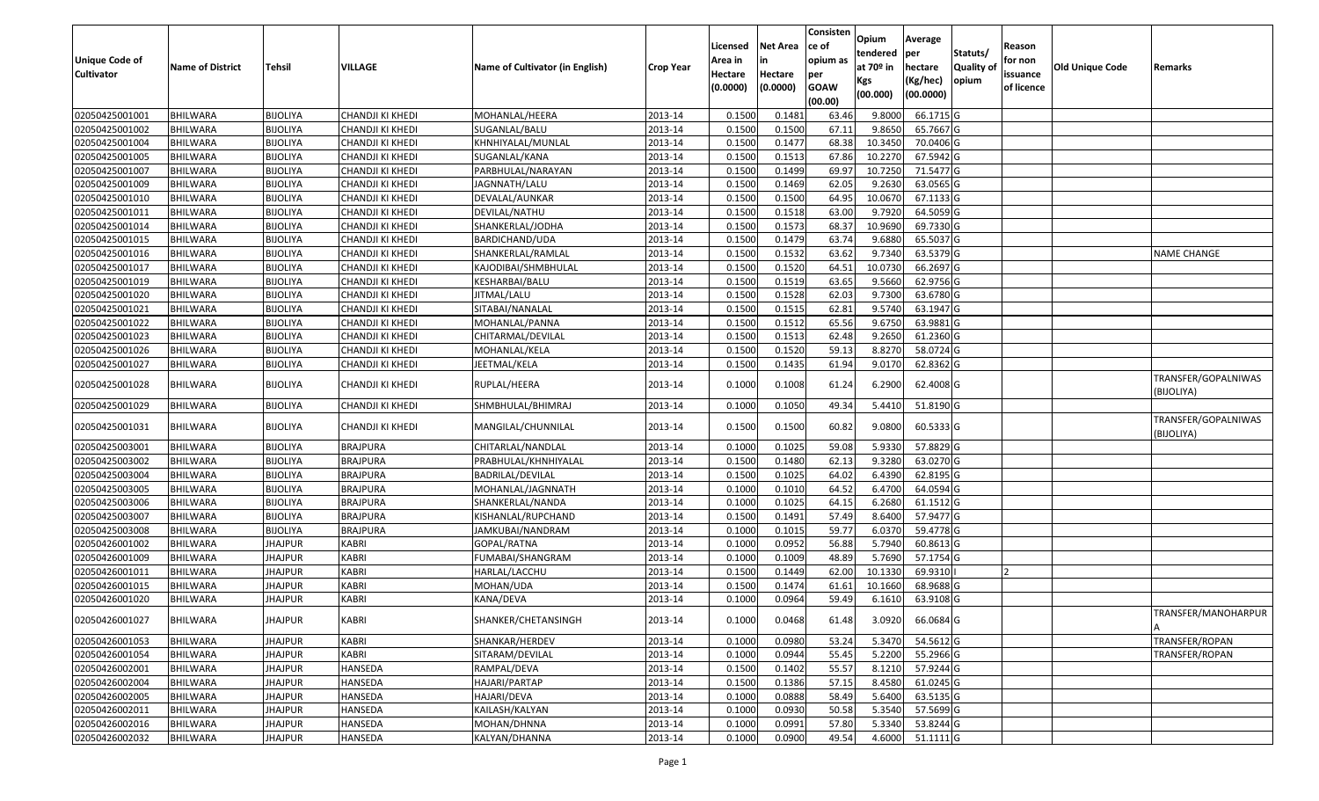| <b>Unique Code of</b><br><b>Cultivator</b> | <b>Name of District</b> | Tehsil          | VILLAGE          | Name of Cultivator (in English) | <b>Crop Year</b> | Licensed<br>Area in<br>Hectare<br>(0.0000) | Net Area<br>in<br>Hectare<br>(0.0000) | Consisten<br>ce of<br>opium as<br>per<br><b>GOAW</b><br>(00.00) | Opium<br>tendered<br>at 70 <sup>o</sup> in<br>Kgs<br>(00.000) | Average<br>per<br>hectare<br>(Kg/hec)<br>(00.0000) | Statuts/<br><b>Quality of</b><br>opium | Reason<br>for non<br>issuance<br>of licence | <b>Old Unique Code</b> | Remarks                           |
|--------------------------------------------|-------------------------|-----------------|------------------|---------------------------------|------------------|--------------------------------------------|---------------------------------------|-----------------------------------------------------------------|---------------------------------------------------------------|----------------------------------------------------|----------------------------------------|---------------------------------------------|------------------------|-----------------------------------|
| 02050425001001                             | <b>BHILWARA</b>         | <b>BIJOLIYA</b> | CHANDJI KI KHEDI | MOHANLAL/HEERA                  | 2013-14          | 0.1500                                     | 0.1482                                | 63.46                                                           | 9.8000                                                        | 66.1715 G                                          |                                        |                                             |                        |                                   |
| 02050425001002                             | <b>BHILWARA</b>         | <b>BIJOLIYA</b> | CHANDJI KI KHEDI | SUGANLAL/BALU                   | 2013-14          | 0.1500                                     | 0.1500                                | 67.11                                                           | 9.8650                                                        | 65.7667 G                                          |                                        |                                             |                        |                                   |
| 02050425001004                             | BHILWARA                | <b>BIJOLIYA</b> | CHANDJI KI KHEDI | KHNHIYALAL/MUNLAL               | 2013-14          | 0.1500                                     | 0.1477                                | 68.38                                                           | 10.3450                                                       | 70.0406 G                                          |                                        |                                             |                        |                                   |
| 02050425001005                             | <b>BHILWARA</b>         | <b>BIJOLIYA</b> | CHANDJI KI KHEDI | SUGANLAL/KANA                   | 2013-14          | 0.1500                                     | 0.1513                                | 67.86                                                           | 10.2270                                                       | 67.5942 G                                          |                                        |                                             |                        |                                   |
| 02050425001007                             | <b>BHILWARA</b>         | <b>BIJOLIYA</b> | CHANDJI KI KHEDI | PARBHULAL/NARAYAN               | 2013-14          | 0.1500                                     | 0.1499                                | 69.97                                                           | 10.7250                                                       | 71.5477 G                                          |                                        |                                             |                        |                                   |
| 02050425001009                             | <b>BHILWARA</b>         | <b>BIJOLIYA</b> | CHANDJI KI KHEDI | JAGNNATH/LALU                   | 2013-14          | 0.1500                                     | 0.1469                                | 62.05                                                           | 9.2630                                                        | 63.0565 G                                          |                                        |                                             |                        |                                   |
| 02050425001010                             | <b>BHILWARA</b>         | <b>BIJOLIYA</b> | CHANDJI KI KHEDI | DEVALAL/AUNKAR                  | 2013-14          | 0.1500                                     | 0.1500                                | 64.95                                                           | 10.0670                                                       | 67.1133 G                                          |                                        |                                             |                        |                                   |
| 02050425001011                             | <b>BHILWARA</b>         | <b>BIJOLIYA</b> | CHANDJI KI KHEDI | DEVILAL/NATHU                   | 2013-14          | 0.1500                                     | 0.1518                                | 63.00                                                           | 9.7920                                                        | 64.5059 G                                          |                                        |                                             |                        |                                   |
| 02050425001014                             | <b>BHILWARA</b>         | <b>BIJOLIYA</b> | CHANDJI KI KHEDI | SHANKERLAL/JODHA                | 2013-14          | 0.1500                                     | 0.1573                                | 68.37                                                           | 10.9690                                                       | 69.7330 G                                          |                                        |                                             |                        |                                   |
| 02050425001015                             | <b>BHILWARA</b>         | <b>BIJOLIYA</b> | CHANDJI KI KHEDI | BARDICHAND/UDA                  | 2013-14          | 0.1500                                     | 0.1479                                | 63.74                                                           | 9.6880                                                        | 65.5037 G                                          |                                        |                                             |                        |                                   |
| 02050425001016                             | <b>BHILWARA</b>         | <b>BIJOLIYA</b> | CHANDJI KI KHEDI | SHANKERLAL/RAMLAL               | 2013-14          | 0.1500                                     | 0.1532                                | 63.62                                                           | 9.7340                                                        | 63.5379 G                                          |                                        |                                             |                        | <b>NAME CHANGE</b>                |
| 02050425001017                             | <b>BHILWARA</b>         | <b>BIJOLIYA</b> | CHANDJI KI KHEDI | KAJODIBAI/SHMBHULAL             | 2013-14          | 0.1500                                     | 0.1520                                | 64.51                                                           | 10.0730                                                       | 66.2697 G                                          |                                        |                                             |                        |                                   |
| 02050425001019                             | <b>BHILWARA</b>         | <b>BIJOLIYA</b> | CHANDJI KI KHEDI | KESHARBAI/BALU                  | 2013-14          | 0.1500                                     | 0.1519                                | 63.65                                                           | 9.5660                                                        | 62.9756 G                                          |                                        |                                             |                        |                                   |
| 02050425001020                             | <b>BHILWARA</b>         | <b>BIJOLIYA</b> | CHANDJI KI KHEDI | JITMAL/LALU                     | 2013-14          | 0.1500                                     | 0.1528                                | 62.03                                                           | 9.7300                                                        | 63.6780 G                                          |                                        |                                             |                        |                                   |
| 02050425001021                             | <b>BHILWARA</b>         | <b>BIJOLIYA</b> | CHANDJI KI KHEDI | SITABAI/NANALAL                 | 2013-14          | 0.1500                                     | 0.1515                                | 62.81                                                           | 9.5740                                                        | 63.1947 G                                          |                                        |                                             |                        |                                   |
| 02050425001022                             | <b>BHILWARA</b>         | <b>BIJOLIYA</b> | CHANDJI KI KHEDI | MOHANLAL/PANNA                  | 2013-14          | 0.1500                                     | 0.1512                                | 65.56                                                           | 9.6750                                                        | 63.9881 G                                          |                                        |                                             |                        |                                   |
| 02050425001023                             | <b>BHILWARA</b>         | <b>BIJOLIYA</b> | CHANDJI KI KHEDI | CHITARMAL/DEVILAL               | 2013-14          | 0.1500                                     | 0.1513                                | 62.48                                                           | 9.2650                                                        | 61.2360 G                                          |                                        |                                             |                        |                                   |
| 02050425001026                             | <b>BHILWARA</b>         | <b>BIJOLIYA</b> | CHANDJI KI KHEDI | MOHANLAL/KELA                   | 2013-14          | 0.1500                                     | 0.1520                                | 59.13                                                           | 8.8270                                                        | 58.0724 G                                          |                                        |                                             |                        |                                   |
| 02050425001027                             | <b>BHILWARA</b>         | <b>BIJOLIYA</b> | CHANDJI KI KHEDI | JEETMAL/KELA                    | 2013-14          | 0.1500                                     | 0.1435                                | 61.94                                                           | 9.0170                                                        | 62.8362 G                                          |                                        |                                             |                        |                                   |
| 02050425001028                             | BHILWARA                | <b>BIJOLIYA</b> | CHANDJI KI KHEDI | RUPLAL/HEERA                    | 2013-14          | 0.1000                                     | 0.1008                                | 61.24                                                           | 6.2900                                                        | 62.4008 G                                          |                                        |                                             |                        | TRANSFER/GOPALNIWAS<br>(BIJOLIYA) |
| 02050425001029                             | <b>BHILWARA</b>         | <b>BIJOLIYA</b> | CHANDJI KI KHEDI | SHMBHULAL/BHIMRAJ               | 2013-14          | 0.1000                                     | 0.1050                                | 49.34                                                           | 5.4410                                                        | 51.8190 G                                          |                                        |                                             |                        |                                   |
| 02050425001031                             | <b>BHILWARA</b>         | <b>BIJOLIYA</b> | CHANDJI KI KHEDI | MANGILAL/CHUNNILAL              | 2013-14          | 0.1500                                     | 0.1500                                | 60.82                                                           | 9.0800                                                        | 60.5333 G                                          |                                        |                                             |                        | TRANSFER/GOPALNIWAS<br>BIJOLIYA)  |
| 02050425003001                             | <b>BHILWARA</b>         | <b>BIJOLIYA</b> | <b>BRAJPURA</b>  | CHITARLAL/NANDLAL               | 2013-14          | 0.1000                                     | 0.1025                                | 59.08                                                           | 5.9330                                                        | 57.8829 G                                          |                                        |                                             |                        |                                   |
| 02050425003002                             | <b>BHILWARA</b>         | <b>BIJOLIYA</b> | <b>BRAJPURA</b>  | PRABHULAL/KHNHIYALAL            | 2013-14          | 0.1500                                     | 0.1480                                | 62.13                                                           | 9.3280                                                        | 63.0270 G                                          |                                        |                                             |                        |                                   |
| 02050425003004                             | <b>BHILWARA</b>         | <b>BIJOLIYA</b> | <b>BRAJPURA</b>  | BADRILAL/DEVILAL                | 2013-14          | 0.1500                                     | 0.1025                                | 64.02                                                           | 6.4390                                                        | 62.8195 G                                          |                                        |                                             |                        |                                   |
| 02050425003005                             | <b>BHILWARA</b>         | <b>BIJOLIYA</b> | <b>BRAJPURA</b>  | MOHANLAL/JAGNNATH               | 2013-14          | 0.1000                                     | 0.1010                                | 64.52                                                           | 6.4700                                                        | 64.0594 G                                          |                                        |                                             |                        |                                   |
| 02050425003006                             | <b>BHILWARA</b>         | <b>BIJOLIYA</b> | <b>BRAJPURA</b>  | SHANKERLAL/NANDA                | 2013-14          | 0.1000                                     | 0.1025                                | 64.15                                                           | 6.2680                                                        | 61.1512 G                                          |                                        |                                             |                        |                                   |
| 02050425003007                             | <b>BHILWARA</b>         | <b>BIJOLIYA</b> | <b>BRAJPURA</b>  | KISHANLAL/RUPCHAND              | 2013-14          | 0.1500                                     | 0.1491                                | 57.49                                                           | 8.6400                                                        | 57.9477 G                                          |                                        |                                             |                        |                                   |
| 02050425003008                             | <b>BHILWARA</b>         | <b>BIJOLIYA</b> | <b>BRAJPURA</b>  | JAMKUBAI/NANDRAM                | 2013-14          | 0.1000                                     | 0.1015                                | 59.77                                                           | 6.0370                                                        | 59.4778 G                                          |                                        |                                             |                        |                                   |
| 02050426001002                             | <b>BHILWARA</b>         | <b>JHAJPUR</b>  | <b>KABRI</b>     | GOPAL/RATNA                     | 2013-14          | 0.1000                                     | 0.0952                                | 56.88                                                           | 5.7940                                                        | 60.8613 G                                          |                                        |                                             |                        |                                   |
| 02050426001009                             | <b>BHILWARA</b>         | <b>JHAJPUR</b>  | <b>KABRI</b>     | FUMABAI/SHANGRAM                | 2013-14          | 0.1000                                     | 0.1009                                | 48.89                                                           | 5.7690                                                        | 57.1754 G                                          |                                        |                                             |                        |                                   |
| 02050426001011                             | <b>BHILWARA</b>         | <b>JHAJPUR</b>  | KABRI            | HARLAL/LACCHU                   | 2013-14          | 0.1500                                     | 0.1449                                | 62.00                                                           | 10.1330                                                       | 69.9310                                            |                                        |                                             |                        |                                   |
| 02050426001015                             | <b>BHILWARA</b>         | <b>JHAJPUR</b>  | KABRI            | MOHAN/UDA                       | 2013-14          | 0.1500                                     | 0.1474                                | 61.61                                                           | 10.1660                                                       | 68.9688 G                                          |                                        |                                             |                        |                                   |
| 02050426001020                             | <b>BHILWARA</b>         | JHAJPUR         | <b>KABRI</b>     | KANA/DEVA                       | 2013-14          | 0.1000                                     | 0.0964                                | 59.49                                                           | 6.1610                                                        | 63.9108 G                                          |                                        |                                             |                        |                                   |
| 02050426001027                             | <b>BHILWARA</b>         | <b>JHAJPUR</b>  | <b>KABRI</b>     | SHANKER/CHETANSINGH             | 2013-14          | 0.1000                                     | 0.0468                                | 61.48                                                           | 3.0920                                                        | 66.0684 G                                          |                                        |                                             |                        | TRANSFER/MANOHARPUR               |
| 02050426001053                             | <b>BHILWARA</b>         | <b>JHAJPUR</b>  | KABRI            | SHANKAR/HERDEV                  | 2013-14          | 0.1000                                     | 0.0980                                | 53.24                                                           | 5.3470                                                        | 54.5612 G                                          |                                        |                                             |                        | TRANSFER/ROPAN                    |
| 02050426001054                             | <b>BHILWARA</b>         | <b>JHAJPUR</b>  | <b>KABRI</b>     | SITARAM/DEVILAL                 | 2013-14          | 0.1000                                     | 0.0944                                | 55.45                                                           | 5.2200                                                        | 55.2966 G                                          |                                        |                                             |                        | TRANSFER/ROPAN                    |
| 02050426002001                             | <b>BHILWARA</b>         | <b>JHAJPUR</b>  | HANSEDA          | RAMPAL/DEVA                     | 2013-14          | 0.1500                                     | 0.1402                                | 55.57                                                           | 8.1210                                                        | 57.9244 G                                          |                                        |                                             |                        |                                   |
| 02050426002004                             | <b>BHILWARA</b>         | <b>JHAJPUR</b>  | <b>HANSEDA</b>   | HAJARI/PARTAP                   | 2013-14          | 0.1500                                     | 0.1386                                | 57.15                                                           | 8.4580                                                        | 61.0245 G                                          |                                        |                                             |                        |                                   |
| 02050426002005                             | <b>BHILWARA</b>         | <b>JHAJPUR</b>  | HANSEDA          | HAJARI/DEVA                     | 2013-14          | 0.1000                                     | 0.0888                                | 58.49                                                           | 5.6400                                                        | 63.5135 G                                          |                                        |                                             |                        |                                   |
| 02050426002011                             | <b>BHILWARA</b>         | <b>JHAJPUR</b>  | HANSEDA          | KAILASH/KALYAN                  | 2013-14          | 0.1000                                     | 0.0930                                | 50.58                                                           | 5.3540                                                        | 57.5699 G                                          |                                        |                                             |                        |                                   |
| 02050426002016                             | BHILWARA                | <b>JHAJPUR</b>  | HANSEDA          | MOHAN/DHNNA                     | 2013-14          | 0.1000                                     | 0.0991                                | 57.80                                                           | 5.3340                                                        | 53.8244 G                                          |                                        |                                             |                        |                                   |
| 02050426002032                             | <b>BHILWARA</b>         | <b>JHAJPUR</b>  | HANSEDA          | KALYAN/DHANNA                   | 2013-14          | 0.1000                                     | 0.0900                                | 49.54                                                           |                                                               | 4.6000 51.1111 G                                   |                                        |                                             |                        |                                   |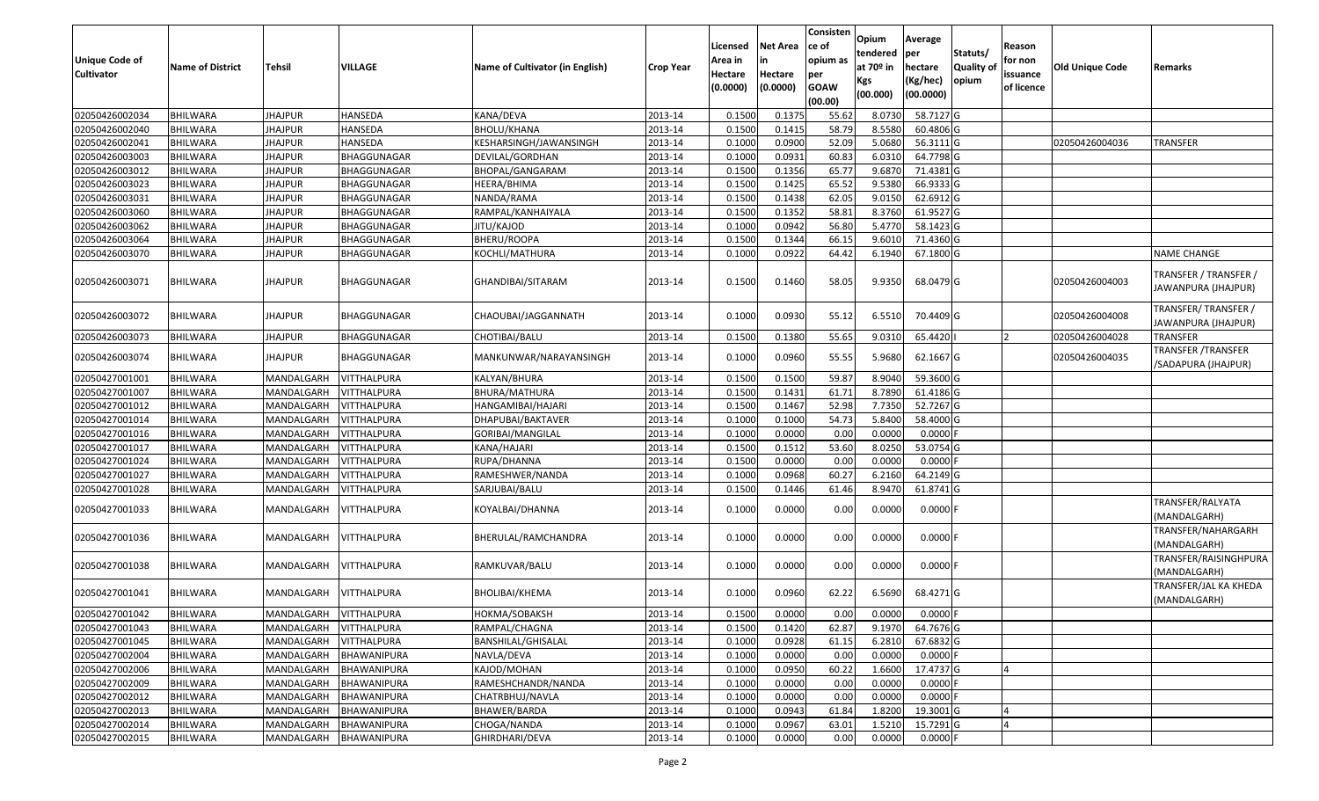| <b>Unique Code of</b><br><b>Cultivator</b> | <b>Name of District</b> | Tehsil                 | VILLAGE            | Name of Cultivator (in English) | <b>Crop Year</b> | Licensed<br>Area in<br>Hectare<br>(0.0000) | <b>Net Area</b><br>in<br>Hectare<br>(0.0000) | Consisten<br>ce of<br>opium as<br>per<br><b>GOAW</b><br>(00.00) | Opium<br>tendered<br>at 70º in<br>Kgs<br>(00.000) | Average<br>per<br>hectare<br>(Kg/hec)<br>(00.0000) | Statuts/<br><b>Quality of</b><br>opium | Reason<br>for non<br>issuance<br>of licence | Old Unique Code | Remarks                                          |
|--------------------------------------------|-------------------------|------------------------|--------------------|---------------------------------|------------------|--------------------------------------------|----------------------------------------------|-----------------------------------------------------------------|---------------------------------------------------|----------------------------------------------------|----------------------------------------|---------------------------------------------|-----------------|--------------------------------------------------|
| 02050426002034                             | <b>BHILWARA</b>         | <b>JHAJPUR</b>         | HANSEDA            | KANA/DEVA                       | 2013-14          | 0.1500                                     | 0.1375                                       | 55.62                                                           | 8.0730                                            | 58.7127 G                                          |                                        |                                             |                 |                                                  |
| 02050426002040                             | <b>BHILWARA</b>         | <b>JHAJPUR</b>         | HANSEDA            | <b>BHOLU/KHANA</b>              | 2013-14          | 0.1500                                     | 0.1415                                       | 58.79                                                           | 8.5580                                            | 60.4806 G                                          |                                        |                                             |                 |                                                  |
| 02050426002041                             | BHILWARA                | JHAJPUR                | HANSEDA            | KESHARSINGH/JAWANSINGH          | 2013-14          | 0.1000                                     | 0.0900                                       | 52.09                                                           | 5.0680                                            | 56.3111G                                           |                                        |                                             | 02050426004036  | <b>TRANSFER</b>                                  |
| 02050426003003                             | <b>BHILWARA</b>         | <b>JHAJPUR</b>         | BHAGGUNAGAR        | DEVILAL/GORDHAN                 | 2013-14          | 0.1000                                     | 0.0931                                       | 60.83                                                           | 6.0310                                            | 64.7798 G                                          |                                        |                                             |                 |                                                  |
| 02050426003012                             | <b>BHILWARA</b>         | <b>JHAJPUR</b>         | BHAGGUNAGAR        | BHOPAL/GANGARAM                 | 2013-14          | 0.1500                                     | 0.1356                                       | 65.77                                                           | 9.6870                                            | 71.4381 G                                          |                                        |                                             |                 |                                                  |
| 02050426003023                             | <b>BHILWARA</b>         | <b>JHAJPUR</b>         | BHAGGUNAGAR        | HEERA/BHIMA                     | 2013-14          | 0.1500                                     | 0.1425                                       | 65.52                                                           | 9.5380                                            | 66.9333 G                                          |                                        |                                             |                 |                                                  |
| 02050426003031                             | BHILWARA                | <b>JHAJPUR</b>         | BHAGGUNAGAR        | NANDA/RAMA                      | 2013-14          | 0.1500                                     | 0.1438                                       | 62.05                                                           | 9.0150                                            | 62.6912 G                                          |                                        |                                             |                 |                                                  |
| 02050426003060                             | <b>BHILWARA</b>         | <b>JHAJPUR</b>         | BHAGGUNAGAR        | RAMPAL/KANHAIYALA               | 2013-14          | 0.1500                                     | 0.1352                                       | 58.81                                                           | 8.3760                                            | 61.9527 G                                          |                                        |                                             |                 |                                                  |
| 02050426003062                             | <b>BHILWARA</b>         | <b>JHAJPUR</b>         | BHAGGUNAGAR        | JITU/KAJOD                      | 2013-14          | 0.1000                                     | 0.0942                                       | 56.80                                                           | 5.4770                                            | 58.1423 G                                          |                                        |                                             |                 |                                                  |
| 02050426003064                             | <b>BHILWARA</b>         | <b>JHAJPUR</b>         | BHAGGUNAGAR        | BHERU/ROOPA                     | 2013-14          | 0.1500                                     | 0.1344                                       | 66.15                                                           | 9.601                                             | 71.4360 G                                          |                                        |                                             |                 |                                                  |
| 02050426003070                             | <b>BHILWARA</b>         | <b>JHAJPUR</b>         | BHAGGUNAGAR        | KOCHLI/MATHURA                  | 2013-14          | 0.1000                                     | 0.0922                                       | 64.42                                                           | 6.1940                                            | 67.1800 G                                          |                                        |                                             |                 | <b>NAME CHANGE</b>                               |
| 02050426003071                             | <b>BHILWARA</b>         | <b>JHAJPUR</b>         | BHAGGUNAGAR        | GHANDIBAI/SITARAM               | 2013-14          | 0.1500                                     | 0.1460                                       | 58.05                                                           | 9.9350                                            | 68.0479 G                                          |                                        |                                             | 02050426004003  | TRANSFER / TRANSFER /<br>JAWANPURA (JHAJPUR)     |
| 02050426003072                             | BHILWARA                | <b>JHAJPUR</b>         | BHAGGUNAGAR        | CHAOUBAI/JAGGANNATH             | 2013-14          | 0.1000                                     | 0.0930                                       | 55.12                                                           | 6.5510                                            | 70.4409 G                                          |                                        |                                             | 02050426004008  | TRANSFER/ TRANSFER /<br>JAWANPURA (JHAJPUR)      |
| 02050426003073                             | <b>BHILWARA</b>         | <b>JHAJPUR</b>         | BHAGGUNAGAR        | CHOTIBAI/BALU                   | 2013-14          | 0.1500                                     | 0.1380                                       | 55.65                                                           | 9.0310                                            | 65.4420                                            |                                        | l 2                                         | 02050426004028  | <b>TRANSFER</b>                                  |
| 02050426003074                             | BHILWARA                | <b>JHAJPUR</b>         | BHAGGUNAGAR        | MANKUNWAR/NARAYANSINGH          | 2013-14          | 0.1000                                     | 0.0960                                       | 55.55                                                           | 5.9680                                            | 62.1667 G                                          |                                        |                                             | 02050426004035  | <b>TRANSFER /TRANSFER</b><br>/SADAPURA (JHAJPUR) |
| 02050427001001                             | BHILWARA                | MANDALGARH             | VITTHALPURA        | KALYAN/BHURA                    | 2013-14          | 0.1500                                     | 0.1500                                       | 59.87                                                           | 8.9040                                            | 59.3600 G                                          |                                        |                                             |                 |                                                  |
| 02050427001007                             | <b>BHILWARA</b>         | MANDALGARH             | VITTHALPURA        | BHURA/MATHURA                   | 2013-14          | 0.1500                                     | 0.1431                                       | 61.71                                                           | 8.7890                                            | 61.4186 G                                          |                                        |                                             |                 |                                                  |
| 02050427001012                             | <b>BHILWARA</b>         | MANDALGARH             | VITTHALPURA        | HANGAMIBAI/HAJARI               | 2013-14          | 0.1500                                     | 0.1467                                       | 52.98                                                           | 7.7350                                            | 52.7267 G                                          |                                        |                                             |                 |                                                  |
| 02050427001014                             | <b>BHILWARA</b>         | MANDALGARH             | <b>VITTHALPURA</b> | DHAPUBAI/BAKTAVER               | 2013-14          | 0.1000                                     | 0.1000                                       | 54.73                                                           | 5.8400                                            | 58.4000 G                                          |                                        |                                             |                 |                                                  |
| 02050427001016                             | BHILWARA                | MANDALGARH             | VITTHALPURA        | GORIBAI/MANGILAL                | 2013-14          | 0.1000                                     | 0.0000                                       | 0.00                                                            | 0.0000                                            | $0.0000$ F                                         |                                        |                                             |                 |                                                  |
| 02050427001017                             | <b>BHILWARA</b>         | MANDALGARH             | <b>VITTHALPURA</b> | KANA/HAJARI                     | 2013-14          | 0.1500                                     | 0.1512                                       | 53.60                                                           | 8.0250                                            | 53.0754 G                                          |                                        |                                             |                 |                                                  |
| 02050427001024                             | <b>BHILWARA</b>         | MANDALGARH             | <b>VITTHALPURA</b> | RUPA/DHANNA                     | 2013-14          | 0.1500                                     | 0.0000                                       | 0.00                                                            | 0.0000                                            | $0.0000$ F                                         |                                        |                                             |                 |                                                  |
| 02050427001027                             | <b>BHILWARA</b>         | MANDALGARH             | <b>VITTHALPURA</b> | RAMESHWER/NANDA                 | 2013-14          | 0.1000                                     | 0.0968                                       | 60.27                                                           | 6.2160                                            | 64.2149 G                                          |                                        |                                             |                 |                                                  |
| 02050427001028                             | <b>BHILWARA</b>         | MANDALGARH             | VITTHALPURA        | SARJUBAI/BALU                   | 2013-14          | 0.1500                                     | 0.1446                                       | 61.46                                                           | 8.9470                                            | 61.8741 G                                          |                                        |                                             |                 |                                                  |
| 02050427001033                             | <b>BHILWARA</b>         | MANDALGARH             | VITTHALPURA        | KOYALBAI/DHANNA                 | 2013-14          | 0.1000                                     | 0.0000                                       | 0.00                                                            | 0.0000                                            | $0.0000$ F                                         |                                        |                                             |                 | TRANSFER/RALYATA<br>(MANDALGARH)                 |
| 02050427001036                             | <b>BHILWARA</b>         | MANDALGARH             | VITTHALPURA        | BHERULAL/RAMCHANDRA             | 2013-14          | 0.1000                                     | 0.0000                                       | 0.00                                                            | 0.0000                                            | $0.0000$ F                                         |                                        |                                             |                 | TRANSFER/NAHARGARH<br>(MANDALGARH)               |
| 02050427001038                             | BHILWARA                | MANDALGARH             | VITTHALPURA        | RAMKUVAR/BALU                   | 2013-14          | 0.1000                                     | 0.0000                                       | 0.00                                                            | 0.0000                                            | $0.0000$ F                                         |                                        |                                             |                 | TRANSFER/RAISINGHPURA<br>(MANDALGARH)            |
| 02050427001041                             | BHILWARA                | MANDALGARH             | VITTHALPURA        | BHOLIBAI/KHEMA                  | 2013-14          | 0.1000                                     | 0.0960                                       | 62.22                                                           | 6.5690                                            | 68.4271 G                                          |                                        |                                             |                 | TRANSFER/JAL KA KHEDA<br>(MANDALGARH)            |
| 02050427001042                             | BHILWARA                | MANDALGARH VITTHALPURA |                    | HOKMA/SOBAKSH                   | 2013-14          | 0.1500                                     | 0.0000                                       | 0.00                                                            | 0.0000                                            | $0.0000$ F                                         |                                        |                                             |                 |                                                  |
| 02050427001043                             | <b>BHILWARA</b>         | MANDALGARH             | VITTHALPURA        | RAMPAL/CHAGNA                   | 2013-14          | 0.1500                                     | 0.1420                                       | 62.87                                                           | 9.1970                                            | 64.7676 G                                          |                                        |                                             |                 |                                                  |
| 02050427001045                             | <b>BHILWARA</b>         | MANDALGARH             | <b>VITTHALPURA</b> | BANSHILAL/GHISALAL              | 2013-14          | 0.1000                                     | 0.0928                                       | 61.15                                                           | 6.2810                                            | 67.6832 G                                          |                                        |                                             |                 |                                                  |
| 02050427002004                             | <b>BHILWARA</b>         | MANDALGARH             | BHAWANIPURA        | NAVLA/DEVA                      | 2013-14          | 0.1000                                     | 0.0000                                       | 0.00                                                            | 0.0000                                            | $0.0000$ F                                         |                                        |                                             |                 |                                                  |
| 02050427002006                             | <b>BHILWARA</b>         | MANDALGARH             | <b>BHAWANIPURA</b> | KAJOD/MOHAN                     | 2013-14          | 0.1000                                     | 0.0950                                       | 60.22                                                           | 1.6600                                            | 17.4737 G                                          |                                        | 4                                           |                 |                                                  |
| 02050427002009                             | <b>BHILWARA</b>         | MANDALGARH             | BHAWANIPURA        | RAMESHCHANDR/NANDA              | 2013-14          | 0.1000                                     | 0.0000                                       | 0.00                                                            | 0.0000                                            | $0.0000$ F                                         |                                        |                                             |                 |                                                  |
| 02050427002012                             | <b>BHILWARA</b>         | MANDALGARH             | <b>BHAWANIPURA</b> | CHATRBHUJ/NAVLA                 | 2013-14          | 0.1000                                     | 0.0000                                       | 0.00                                                            | 0.0000                                            | $0.0000$ F                                         |                                        |                                             |                 |                                                  |
| 02050427002013                             | <b>BHILWARA</b>         | MANDALGARH             | <b>BHAWANIPURA</b> | BHAWER/BARDA                    | 2013-14          | 0.1000                                     | 0.0943                                       | 61.84                                                           | 1.8200                                            | 19.3001G                                           |                                        |                                             |                 |                                                  |
| 02050427002014                             | <b>BHILWARA</b>         | MANDALGARH             | BHAWANIPURA        | CHOGA/NANDA                     | 2013-14          | 0.1000                                     | 0.0967                                       | 63.01                                                           | 1.5210                                            | 15.7291 G                                          |                                        | $\Delta$                                    |                 |                                                  |
| 02050427002015                             | <b>BHILWARA</b>         | MANDALGARH             | <b>BHAWANIPURA</b> | GHIRDHARI/DEVA                  | 2013-14          | 0.1000                                     | 0.0000                                       | 0.00                                                            | 0.0000                                            | $0.0000$ F                                         |                                        |                                             |                 |                                                  |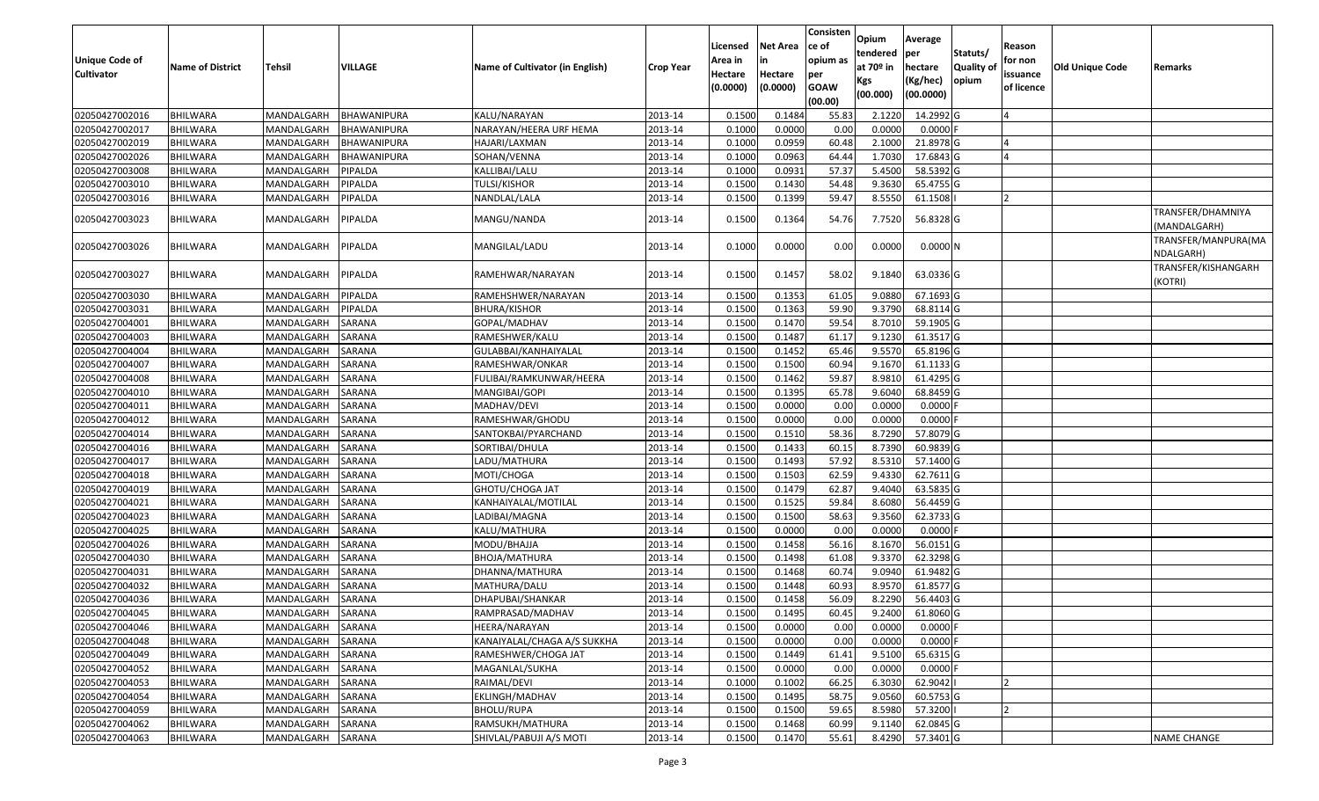|                       |                         |               |                    |                                 |                  | Licensed | <b>Net Area</b> | Consisten<br>ce of | Opium<br>tendered | Average<br>per | Statuts/         | Reason     |                        |                                   |
|-----------------------|-------------------------|---------------|--------------------|---------------------------------|------------------|----------|-----------------|--------------------|-------------------|----------------|------------------|------------|------------------------|-----------------------------------|
| <b>Unique Code of</b> | <b>Name of District</b> | <b>Tehsil</b> | VILLAGE            | Name of Cultivator (in English) | <b>Crop Year</b> | Area in  | in              | opium as           | at $70°$ in       | hectare        | <b>Quality o</b> | for non    | <b>Old Unique Code</b> | Remarks                           |
| <b>Cultivator</b>     |                         |               |                    |                                 |                  | Hectare  | Hectare         | per                | Kgs               | (Kg/hec)       | opium            | issuance   |                        |                                   |
|                       |                         |               |                    |                                 |                  | (0.0000) | (0.0000)        | <b>GOAW</b>        | (00.000)          | (00.0000)      |                  | of licence |                        |                                   |
|                       |                         |               |                    |                                 |                  |          |                 | (00.00)            |                   |                |                  |            |                        |                                   |
| 02050427002016        | <b>BHILWARA</b>         | MANDALGARH    | BHAWANIPURA        | KALU/NARAYAN                    | 2013-14          | 0.1500   | 0.1484          | 55.83              | 2.1220            | 14.2992 G      |                  |            |                        |                                   |
| 02050427002017        | <b>BHILWARA</b>         | MANDALGARH    | BHAWANIPURA        | NARAYAN/HEERA URF HEMA          | 2013-14          | 0.1000   | 0.0000          | 0.00               | 0.0000            | $0.0000$ F     |                  |            |                        |                                   |
| 02050427002019        | BHILWARA                | MANDALGARH    | BHAWANIPURA        | HAJARI/LAXMAN                   | 2013-14          | 0.1000   | 0.0959          | 60.48              | 2.1000            | 21.8978 G      |                  |            |                        |                                   |
| 02050427002026        | <b>BHILWARA</b>         | MANDALGARH    | <b>BHAWANIPURA</b> | SOHAN/VENNA                     | 2013-14          | 0.1000   | 0.0963          | 64.44              | 1.7030            | 17.6843 G      |                  |            |                        |                                   |
| 02050427003008        | BHILWARA                | MANDALGARH    | PIPALDA            | KALLIBAI/LALU                   | 2013-14          | 0.1000   | 0.0931          | 57.37              | 5.4500            | 58.5392 G      |                  |            |                        |                                   |
| 02050427003010        | <b>BHILWARA</b>         | MANDALGARH    | PIPALDA            | TULSI/KISHOR                    | 2013-14          | 0.1500   | 0.1430          | 54.48              | 9.3630            | 65.4755 G      |                  |            |                        |                                   |
| 02050427003016        | BHILWARA                | MANDALGARH    | PIPALDA            | NANDLAL/LALA                    | 2013-14          | 0.1500   | 0.1399          | 59.47              | 8.5550            | 61.1508        |                  |            |                        |                                   |
| 02050427003023        | <b>BHILWARA</b>         | MANDALGARH    | PIPALDA            | MANGU/NANDA                     | 2013-14          | 0.1500   | 0.1364          | 54.76              | 7.7520            | 56.8328 G      |                  |            |                        | TRANSFER/DHAMNIYA<br>(MANDALGARH) |
| 02050427003026        | BHILWARA                | MANDALGARH    | PIPALDA            | MANGILAL/LADU                   | 2013-14          | 0.1000   | 0.0000          | 0.00               | 0.0000            | $0.0000$ N     |                  |            |                        | TRANSFER/MANPURA(MA<br>NDALGARH)  |
| 02050427003027        | <b>BHILWARA</b>         | MANDALGARH    | PIPALDA            | RAMEHWAR/NARAYAN                | 2013-14          | 0.1500   | 0.1457          | 58.02              | 9.1840            | 63.0336 G      |                  |            |                        | TRANSFER/KISHANGARH<br>(KOTRI)    |
| 02050427003030        | BHILWARA                | MANDALGARH    | PIPALDA            | RAMEHSHWER/NARAYAN              | 2013-14          | 0.150    | 0.1353          | 61.05              | 9.0880            | 67.1693 G      |                  |            |                        |                                   |
| 02050427003031        | <b>BHILWARA</b>         | MANDALGARH    | PIPALDA            | BHURA/KISHOR                    | 2013-14          | 0.1500   | 0.1363          | 59.90              | 9.3790            | 68.8114 G      |                  |            |                        |                                   |
| 02050427004001        | <b>BHILWARA</b>         | MANDALGARH    | SARANA             | GOPAL/MADHAV                    | 2013-14          | 0.1500   | 0.1470          | 59.54              | 8.7010            | 59.1905 G      |                  |            |                        |                                   |
| 02050427004003        | <b>BHILWARA</b>         | MANDALGARH    | <b>SARANA</b>      | RAMESHWER/KALU                  | 2013-14          | 0.1500   | 0.1487          | 61.17              | 9.1230            | 61.3517 G      |                  |            |                        |                                   |
| 02050427004004        | BHILWARA                | MANDALGARH    | <b>SARANA</b>      | GULABBAI/KANHAIYALAL            | 2013-14          | 0.1500   | 0.1452          | 65.46              | 9.5570            | 65.8196 G      |                  |            |                        |                                   |
| 02050427004007        | <b>BHILWARA</b>         | MANDALGARH    | SARANA             | RAMESHWAR/ONKAR                 | 2013-14          | 0.1500   | 0.1500          | 60.94              | 9.1670            | 61.1133 G      |                  |            |                        |                                   |
| 02050427004008        | BHILWARA                | MANDALGARH    | SARANA             | FULIBAI/RAMKUNWAR/HEERA         | 2013-14          | 0.1500   | 0.1462          | 59.87              | 8.9810            | 61.4295 G      |                  |            |                        |                                   |
| 02050427004010        | <b>BHILWARA</b>         | MANDALGARH    | SARANA             | MANGIBAI/GOPI                   | 2013-14          | 0.1500   | 0.1395          | 65.78              | 9.6040            | 68.8459 G      |                  |            |                        |                                   |
| 02050427004011        | <b>BHILWARA</b>         | MANDALGARH    | SARANA             | MADHAV/DEVI                     | 2013-14          | 0.1500   | 0.0000          | 0.00               | 0.0000            | 0.0000         |                  |            |                        |                                   |
| 02050427004012        | <b>BHILWARA</b>         | MANDALGARH    | SARANA             | RAMESHWAR/GHODU                 | 2013-14          | 0.1500   | 0.0000          | 0.00               | 0.0000            | $0.0000$ F     |                  |            |                        |                                   |
| 02050427004014        | BHILWARA                | MANDALGARH    | SARANA             | SANTOKBAI/PYARCHAND             | 2013-14          | 0.1500   | 0.1510          | 58.36              | 8.7290            | 57.8079 G      |                  |            |                        |                                   |
| 02050427004016        | <b>BHILWARA</b>         | MANDALGARH    | SARANA             | SORTIBAI/DHULA                  | 2013-14          | 0.1500   | 0.1433          | 60.15              | 8.7390            | 60.9839 G      |                  |            |                        |                                   |
| 02050427004017        | <b>BHILWARA</b>         | MANDALGARH    | SARANA             | LADU/MATHURA                    | 2013-14          | 0.1500   | 0.1493          | 57.92              | 8.5310            | 57.1400 G      |                  |            |                        |                                   |
| 02050427004018        | <b>BHILWARA</b>         | MANDALGARH    | SARANA             | MOTI/CHOGA                      | 2013-14          | 0.1500   | 0.1503          | 62.59              | 9.4330            | 62.7611 G      |                  |            |                        |                                   |
| 02050427004019        | BHILWARA                | MANDALGARH    | SARANA             | GHOTU/CHOGA JAT                 | 2013-14          | 0.1500   | 0.1479          | 62.87              | 9.4040            | 63.5835 G      |                  |            |                        |                                   |
| 02050427004021        | <b>BHILWARA</b>         | MANDALGARH    | SARANA             | KANHAIYALAL/MOTILAL             | 2013-14          | 0.1500   | 0.1525          | 59.84              | 8.6080            | 56.4459 G      |                  |            |                        |                                   |
| 02050427004023        | <b>BHILWARA</b>         | MANDALGARH    | SARANA             | LADIBAI/MAGNA                   | 2013-14          | 0.1500   | 0.1500          | 58.63              | 9.3560            | 62.3733 G      |                  |            |                        |                                   |
| 02050427004025        | <b>BHILWARA</b>         | MANDALGARH    | <b>SARANA</b>      | KALU/MATHURA                    | 2013-14          | 0.1500   | 0.0000          | 0.00               | 0.0000            | $0.0000$ F     |                  |            |                        |                                   |
| 02050427004026        | BHILWARA                | MANDALGARH    | <b>SARANA</b>      | MODU/BHAJJA                     | 2013-14          | 0.1500   | 0.1458          | 56.16              | 8.1670            | 56.0151G       |                  |            |                        |                                   |
| 02050427004030        | <b>BHILWARA</b>         | MANDALGARH    | SARANA             | BHOJA/MATHURA                   | 2013-14          | 0.1500   | 0.1498          | 61.08              | 9.3370            | 62.3298 G      |                  |            |                        |                                   |
| 02050427004031        | <b>BHILWARA</b>         | MANDALGARH    | <b>SARANA</b>      | DHANNA/MATHURA                  | 2013-14          | 0.1500   | 0.1468          | 60.74              | 9.0940            | 61.9482 G      |                  |            |                        |                                   |
| 02050427004032        | BHILWARA                | MANDALGARH    | SARANA             | MATHURA/DALU                    | 2013-14          | 0.150    | 0.1448          | 60.93              | 8.957             | 61.8577 G      |                  |            |                        |                                   |
| 02050427004036        | <b>BHILWARA</b>         | MANDALGARH    | <b>SARANA</b>      | DHAPUBAI/SHANKAR                | 2013-14          | 0.1500   | 0.1458          | 56.09              | 8.2290            | 56.4403 G      |                  |            |                        |                                   |
| 02050427004045        | <b>BHILWARA</b>         | MANDALGARH    | SARANA             | RAMPRASAD/MADHAV                | 2013-14          | 0.1500   | 0.1495          | 60.45              | 9.2400            | 61.8060 G      |                  |            |                        |                                   |
| 02050427004046        | <b>BHILWARA</b>         | MANDALGARH    | SARANA             | HEERA/NARAYAN                   | 2013-14          | 0.1500   | 0.0000          | 0.00               | 0.0000            | $0.0000$ F     |                  |            |                        |                                   |
| 02050427004048        | <b>BHILWARA</b>         | MANDALGARH    | SARANA             | KANAIYALAL/CHAGA A/S SUKKHA     | 2013-14          | 0.1500   | 0.0000          | 0.00               | 0.0000            | $0.0000$ F     |                  |            |                        |                                   |
| 02050427004049        | <b>BHILWARA</b>         | MANDALGARH    | SARANA             | RAMESHWER/CHOGA JAT             | 2013-14          | 0.1500   | 0.1449          | 61.41              | 9.5100            | 65.6315 G      |                  |            |                        |                                   |
| 02050427004052        | <b>BHILWARA</b>         | MANDALGARH    | <b>SARANA</b>      | MAGANLAL/SUKHA                  | 2013-14          | 0.1500   | 0.0000          | 0.00               | 0.0000            | $0.0000$ F     |                  |            |                        |                                   |
| 02050427004053        | <b>BHILWARA</b>         | MANDALGARH    | <b>SARANA</b>      | RAIMAL/DEVI                     | 2013-14          | 0.1000   | 0.1002          | 66.25              | 6.3030            | 62.9042        |                  |            |                        |                                   |
| 02050427004054        | <b>BHILWARA</b>         | MANDALGARH    | SARANA             | EKLINGH/MADHAV                  | 2013-14          | 0.1500   | 0.1495          | 58.75              | 9.0560            | 60.5753 G      |                  |            |                        |                                   |
| 02050427004059        | <b>BHILWARA</b>         | MANDALGARH    | <b>SARANA</b>      | BHOLU/RUPA                      | 2013-14          | 0.1500   | 0.1500          | 59.65              | 8.5980            | 57.3200        |                  |            |                        |                                   |
| 02050427004062        | BHILWARA                | MANDALGARH    | SARANA             | RAMSUKH/MATHURA                 | 2013-14          | 0.1500   | 0.1468          | 60.99              | 9.1140            | 62.0845 G      |                  |            |                        |                                   |
| 02050427004063        | <b>BHILWARA</b>         | MANDALGARH    | SARANA             | SHIVLAL/PABUJI A/S MOTI         | 2013-14          | 0.1500   | 0.1470          | 55.61              | 8.4290            | 57.3401G       |                  |            |                        | <b>NAME CHANGE</b>                |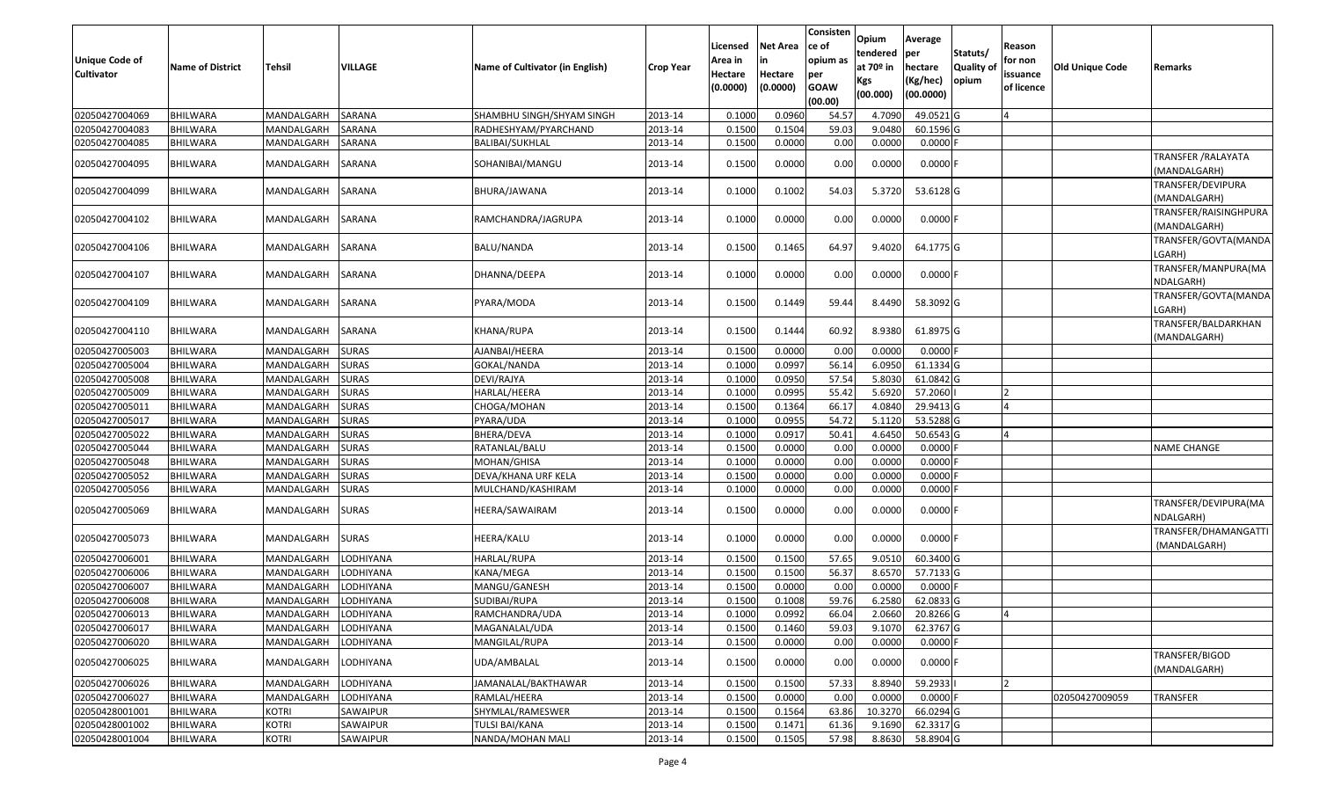| <b>Unique Code of</b><br>Cultivator | <b>Name of District</b> | <b>Tehsil</b> | VILLAGE          | Name of Cultivator (in English) | <b>Crop Year</b> | Licensed<br>Area in<br>Hectare<br>(0.0000) | Net Area<br>Hectare<br>(0.0000) | Consisten<br>ce of<br>opium as<br>per<br><b>GOAW</b><br>(00.00) | Opium<br>tendered<br>at 70º in<br>Kgs<br>(00.000) | Average<br>per<br>hectare<br>(Kg/hec)<br>(00.0000) | Statuts/<br>Quality of<br>opium | Reason<br>for non<br>issuance<br>of licence | <b>Old Unique Code</b> | Remarks                                    |
|-------------------------------------|-------------------------|---------------|------------------|---------------------------------|------------------|--------------------------------------------|---------------------------------|-----------------------------------------------------------------|---------------------------------------------------|----------------------------------------------------|---------------------------------|---------------------------------------------|------------------------|--------------------------------------------|
| 02050427004069                      | <b>BHILWARA</b>         | MANDALGARH    | SARANA           | SHAMBHU SINGH/SHYAM SINGH       | 2013-14          | 0.1000                                     | 0.0960                          | 54.57                                                           | 4.7090                                            | 49.0521 G                                          |                                 |                                             |                        |                                            |
| 02050427004083                      | <b>BHILWARA</b>         | MANDALGARH    | SARANA           | RADHESHYAM/PYARCHAND            | 2013-14          | 0.1500                                     | 0.1504                          | 59.03                                                           | 9.0480                                            | 60.1596 G                                          |                                 |                                             |                        |                                            |
| 02050427004085                      | BHILWARA                | MANDALGARH    | SARANA           | BALIBAI/SUKHLAL                 | 2013-14          | 0.1500                                     | 0.0000                          | 0.00                                                            | 0.0000                                            | $0.0000$ F                                         |                                 |                                             |                        |                                            |
| 02050427004095                      | BHILWARA                | MANDALGARH    | SARANA           | SOHANIBAI/MANGU                 | 2013-14          | 0.1500                                     | 0.0000                          | 0.00                                                            | 0.0000                                            | $0.0000$ F                                         |                                 |                                             |                        | <b>TRANSFER / RALAYATA</b><br>(MANDALGARH) |
| 02050427004099                      | <b>BHILWARA</b>         | MANDALGARH    | SARANA           | BHURA/JAWANA                    | 2013-14          | 0.1000                                     | 0.1002                          | 54.03                                                           | 5.3720                                            | 53.6128 G                                          |                                 |                                             |                        | TRANSFER/DEVIPURA<br>(MANDALGARH)          |
| 02050427004102                      | <b>BHILWARA</b>         | MANDALGARH    | SARANA           | RAMCHANDRA/JAGRUPA              | 2013-14          | 0.1000                                     | 0.0000                          | 0.00                                                            | 0.0000                                            | $0.0000$ F                                         |                                 |                                             |                        | TRANSFER/RAISINGHPURA<br>(MANDALGARH)      |
| 02050427004106                      | BHILWARA                | MANDALGARH    | SARANA           | BALU/NANDA                      | 2013-14          | 0.1500                                     | 0.1465                          | 64.97                                                           | 9.4020                                            | 64.1775 G                                          |                                 |                                             |                        | TRANSFER/GOVTA(MANDA<br>LGARH)             |
| 02050427004107                      | <b>BHILWARA</b>         | MANDALGARH    | SARANA           | DHANNA/DEEPA                    | 2013-14          | 0.1000                                     | 0.0000                          | 0.00                                                            | 0.0000                                            | $0.0000$ F                                         |                                 |                                             |                        | TRANSFER/MANPURA(MA<br>NDALGARH)           |
| 02050427004109                      | BHILWARA                | MANDALGARH    | SARANA           | PYARA/MODA                      | 2013-14          | 0.1500                                     | 0.1449                          | 59.44                                                           | 8.4490                                            | 58.3092 G                                          |                                 |                                             |                        | TRANSFER/GOVTA(MANDA<br>LGARH)             |
| 02050427004110                      | BHILWARA                | MANDALGARH    | SARANA           | KHANA/RUPA                      | 2013-14          | 0.1500                                     | 0.1444                          | 60.92                                                           | 8.9380                                            | 61.8975 G                                          |                                 |                                             |                        | TRANSFER/BALDARKHAN<br>MANDALGARH)         |
| 02050427005003                      | <b>BHILWARA</b>         | MANDALGARH    | <b>SURAS</b>     | AJANBAI/HEERA                   | 2013-14          | 0.1500                                     | 0.0000                          | 0.00                                                            | 0.0000                                            | $0.0000$ F                                         |                                 |                                             |                        |                                            |
| 02050427005004                      | <b>BHILWARA</b>         | MANDALGARH    | <b>SURAS</b>     | GOKAL/NANDA                     | 2013-14          | 0.1000                                     | 0.0997                          | 56.14                                                           | 6.0950                                            | 61.1334 G                                          |                                 |                                             |                        |                                            |
| 02050427005008                      | BHILWARA                | MANDALGARH    | <b>SURAS</b>     | DEVI/RAJYA                      | 2013-14          | 0.1000                                     | 0.0950                          | 57.54                                                           | 5.8030                                            | 61.0842 G                                          |                                 |                                             |                        |                                            |
| 02050427005009                      | <b>BHILWARA</b>         | MANDALGARH    | <b>SURAS</b>     | HARLAL/HEERA                    | 2013-14          | 0.1000                                     | 0.0995                          | 55.42                                                           | 5.6920                                            | 57.2060                                            |                                 | $\overline{2}$                              |                        |                                            |
| 02050427005011                      | <b>BHILWARA</b>         | MANDALGARH    | <b>SURAS</b>     | CHOGA/MOHAN                     | 2013-14          | 0.1500                                     | 0.1364                          | 66.17                                                           | 4.0840                                            | 29.9413 G                                          |                                 |                                             |                        |                                            |
| 02050427005017                      | <b>BHILWARA</b>         | MANDALGARH    | <b>SURAS</b>     | PYARA/UDA                       | 2013-14          | 0.1000                                     | 0.0955                          | 54.72                                                           | 5.1120                                            | 53.5288 G                                          |                                 |                                             |                        |                                            |
| 02050427005022                      | BHILWARA                | MANDALGARH    | <b>SURAS</b>     | BHERA/DEVA                      | 2013-14          | 0.1000                                     | 0.0917                          | 50.41                                                           | 4.6450                                            | 50.6543 G                                          |                                 |                                             |                        |                                            |
| 02050427005044                      | <b>BHILWARA</b>         | MANDALGARH    | <b>SURAS</b>     | RATANLAL/BALU                   | 2013-14          | 0.1500                                     | 0.0000                          | 0.00                                                            | 0.0000                                            | $0.0000$ F                                         |                                 |                                             |                        | <b>NAME CHANGE</b>                         |
| 02050427005048                      | <b>BHILWARA</b>         | MANDALGARH    | <b>SURAS</b>     | MOHAN/GHISA                     | 2013-14          | 0.1000                                     | 0.0000                          | 0.00                                                            | 0.0000                                            | $0.0000$ F                                         |                                 |                                             |                        |                                            |
| 02050427005052                      | <b>BHILWARA</b>         | MANDALGARH    | <b>SURAS</b>     | DEVA/KHANA URF KELA             | 2013-14          | 0.1500                                     | 0.0000                          | 0.00                                                            | 0.0000                                            | $0.0000$ F                                         |                                 |                                             |                        |                                            |
| 02050427005056                      | <b>BHILWARA</b>         | MANDALGARH    | <b>SURAS</b>     | MULCHAND/KASHIRAM               | 2013-14          | 0.1000                                     | 0.0000                          | 0.00                                                            | 0.0000                                            | $0.0000$ F                                         |                                 |                                             |                        |                                            |
| 02050427005069                      | <b>BHILWARA</b>         | MANDALGARH    | <b>SURAS</b>     | HEERA/SAWAIRAM                  | 2013-14          | 0.1500                                     | 0.0000                          | 0.00                                                            | 0.0000                                            | $0.0000$ F                                         |                                 |                                             |                        | TRANSFER/DEVIPURA(MA<br>NDALGARH)          |
| 02050427005073                      | BHILWARA                | MANDALGARH    | <b>SURAS</b>     | HEERA/KALU                      | 2013-14          | 0.1000                                     | 0.0000                          | 0.00                                                            | 0.0000                                            | $0.0000$ F                                         |                                 |                                             |                        | TRANSFER/DHAMANGATTI<br>(MANDALGARH)       |
| 02050427006001                      | BHILWARA                | MANDALGARH    | LODHIYANA        | HARLAL/RUPA                     | 2013-14          | 0.1500                                     | 0.1500                          | 57.65                                                           | 9.0510                                            | 60.3400 G                                          |                                 |                                             |                        |                                            |
| 02050427006006                      | <b>BHILWARA</b>         | MANDALGARH    | LODHIYANA        | KANA/MEGA                       | 2013-14          | 0.1500                                     | 0.1500                          | 56.37                                                           | 8.6570                                            | 57.7133 G                                          |                                 |                                             |                        |                                            |
| 02050427006007                      | BHILWARA                | MANDALGARH    | LODHIYANA        | MANGU/GANESH                    | 2013-14          | 0.1500                                     | 0.0000                          | 0.00                                                            | 0.000                                             | $0.0000$ F                                         |                                 |                                             |                        |                                            |
| 02050427006008                      | <b>BHILWARA</b>         | MANDALGARH    | LODHIYANA        | SUDIBAI/RUPA                    | 2013-14          | 0.1500                                     | 0.1008                          | 59.76                                                           | 6.2580                                            | 62.0833 G                                          |                                 |                                             |                        |                                            |
| 02050427006013                      | BHILWARA                | MANDALGARH    | <b>LODHIYANA</b> | RAMCHANDRA/UDA                  | 2013-14          | 0.1000                                     | 0.0992                          | 66.04                                                           | 2.0660                                            | 20.8266 G                                          |                                 | 4                                           |                        |                                            |
| 02050427006017                      | <b>BHILWARA</b>         | MANDALGARH    | LODHIYANA        | MAGANALAL/UDA                   | 2013-14          | 0.1500                                     | 0.1460                          | 59.03                                                           | 9.1070                                            | 62.3767 G                                          |                                 |                                             |                        |                                            |
| 02050427006020                      | BHILWARA                | MANDALGARH    | LODHIYANA        | MANGILAL/RUPA                   | 2013-14          | 0.1500                                     | 0.0000                          | 0.00                                                            | 0.0000                                            | $0.0000$ F                                         |                                 |                                             |                        |                                            |
| 02050427006025                      | <b>BHILWARA</b>         | MANDALGARH    | LODHIYANA        | UDA/AMBALAL                     | 2013-14          | 0.1500                                     | 0.0000                          | 0.00                                                            | 0.0000                                            | $0.0000$ F                                         |                                 |                                             |                        | TRANSFER/BIGOD<br>(MANDALGARH)             |
| 02050427006026                      | <b>BHILWARA</b>         | MANDALGARH    | LODHIYANA        | JAMANALAL/BAKTHAWAR             | 2013-14          | 0.1500                                     | 0.1500                          | 57.33                                                           | 8.8940                                            | 59.2933                                            |                                 | $\overline{2}$                              |                        |                                            |
| 02050427006027                      | <b>BHILWARA</b>         | MANDALGARH    | LODHIYANA        | RAMLAL/HEERA                    | 2013-14          | 0.1500                                     | 0.0000                          | 0.00                                                            | 0.0000                                            | $0.0000$ F                                         |                                 |                                             | 02050427009059         | <b>TRANSFER</b>                            |
| 02050428001001                      | <b>BHILWARA</b>         | <b>KOTRI</b>  | SAWAIPUR         | SHYMLAL/RAMESWER                | 2013-14          | 0.1500                                     | 0.1564                          | 63.86                                                           | 10.3270                                           | 66.0294 G                                          |                                 |                                             |                        |                                            |
| 02050428001002                      | <b>BHILWARA</b>         | <b>KOTRI</b>  | SAWAIPUR         | TULSI BAI/KANA                  | 2013-14          | 0.1500                                     | 0.1471                          | 61.36                                                           | 9.1690                                            | 62.3317 G                                          |                                 |                                             |                        |                                            |
| 02050428001004                      | BHILWARA                | <b>KOTRI</b>  | SAWAIPUR         | NANDA/MOHAN MALI                | 2013-14          | 0.1500                                     | 0.1505                          | 57.98                                                           | 8.8630                                            | 58.8904 G                                          |                                 |                                             |                        |                                            |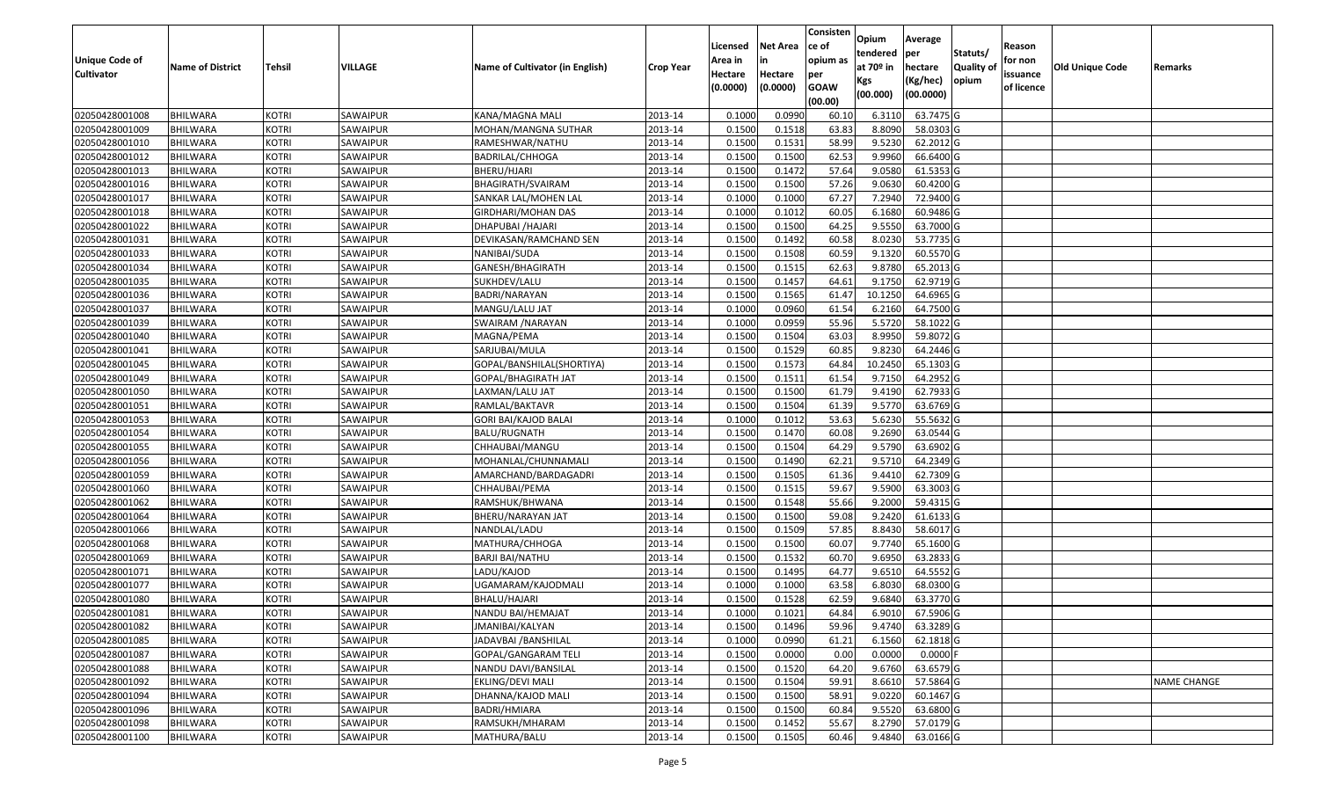|                   |                         |               |          |                                 |                  |          |                 | Consisten   | Opium       | Average    |                  |            |                 |                    |
|-------------------|-------------------------|---------------|----------|---------------------------------|------------------|----------|-----------------|-------------|-------------|------------|------------------|------------|-----------------|--------------------|
|                   |                         |               |          |                                 |                  | Licensed | <b>Net Area</b> | ce of       | tendered    | per        | Statuts/         | Reason     |                 |                    |
| Unique Code of    | <b>Name of District</b> | <b>Tehsil</b> | VILLAGE  | Name of Cultivator (in English) | <b>Crop Year</b> | Area in  | in              | opium as    | at $70°$ in | hectare    | <b>Quality o</b> | for non    | Old Unique Code | Remarks            |
| <b>Cultivator</b> |                         |               |          |                                 |                  | Hectare  | Hectare         | per         | Kgs         | (Kg/hec)   | opium            | issuance   |                 |                    |
|                   |                         |               |          |                                 |                  | (0.0000) | (0.0000)        | <b>GOAW</b> | (00.000)    | (00.0000)  |                  | of licence |                 |                    |
|                   |                         |               |          |                                 |                  |          |                 | (00.00)     |             |            |                  |            |                 |                    |
| 02050428001008    | <b>BHILWARA</b>         | <b>KOTRI</b>  | SAWAIPUR | KANA/MAGNA MALI                 | 2013-14          | 0.1000   | 0.0990          | 60.10       | 6.3110      | 63.7475 G  |                  |            |                 |                    |
| 02050428001009    | <b>BHILWARA</b>         | <b>KOTRI</b>  | SAWAIPUR | MOHAN/MANGNA SUTHAR             | 2013-14          | 0.1500   | 0.1518          | 63.83       | 8.8090      | 58.0303 G  |                  |            |                 |                    |
| 02050428001010    | BHILWARA                | <b>KOTRI</b>  | SAWAIPUR | RAMESHWAR/NATHU                 | 2013-14          | 0.1500   | 0.1531          | 58.99       | 9.5230      | 62.2012 G  |                  |            |                 |                    |
| 02050428001012    | <b>BHILWARA</b>         | <b>KOTRI</b>  | SAWAIPUR | BADRILAL/CHHOGA                 | 2013-14          | 0.1500   | 0.1500          | 62.53       | 9.9960      | 66.6400G   |                  |            |                 |                    |
| 02050428001013    | BHILWARA                | <b>KOTRI</b>  | SAWAIPUR | BHERU/HJARI                     | 2013-14          | 0.1500   | 0.1472          | 57.64       | 9.0580      | 61.5353 G  |                  |            |                 |                    |
| 02050428001016    | <b>BHILWARA</b>         | <b>KOTRI</b>  | SAWAIPUR | BHAGIRATH/SVAIRAM               | 2013-14          | 0.1500   | 0.1500          | 57.26       | 9.0630      | 60.4200G   |                  |            |                 |                    |
| 02050428001017    | BHILWARA                | <b>KOTRI</b>  | SAWAIPUR | SANKAR LAL/MOHEN LAL            | 2013-14          | 0.1000   | 0.1000          | 67.27       | 7.2940      | 72.9400 G  |                  |            |                 |                    |
| 02050428001018    | <b>BHILWARA</b>         | <b>KOTRI</b>  | SAWAIPUR | GIRDHARI/MOHAN DAS              | 2013-14          | 0.1000   | 0.1012          | 60.05       | 6.1680      | 60.9486 G  |                  |            |                 |                    |
| 02050428001022    | <b>BHILWARA</b>         | <b>KOTRI</b>  | SAWAIPUR | DHAPUBAI / HAJARI               | 2013-14          | 0.1500   | 0.1500          | 64.25       | 9.5550      | 63.7000 G  |                  |            |                 |                    |
| 02050428001031    | <b>BHILWARA</b>         | <b>KOTRI</b>  | SAWAIPUR | DEVIKASAN/RAMCHAND SEN          | 2013-14          | 0.1500   | 0.1492          | 60.58       | 8.0230      | 53.7735 G  |                  |            |                 |                    |
| 02050428001033    | BHILWARA                | <b>KOTRI</b>  | SAWAIPUR | NANIBAI/SUDA                    | 2013-14          | 0.1500   | 0.1508          | 60.59       | 9.1320      | 60.5570 G  |                  |            |                 |                    |
| 02050428001034    | <b>BHILWARA</b>         | <b>KOTRI</b>  | SAWAIPUR | GANESH/BHAGIRATH                | 2013-14          | 0.1500   | 0.1515          | 62.63       | 9.8780      | 65.2013 G  |                  |            |                 |                    |
| 02050428001035    | <b>BHILWARA</b>         | <b>KOTRI</b>  | SAWAIPUR | SUKHDEV/LALU                    | 2013-14          | 0.1500   | 0.1457          | 64.61       | 9.1750      | 62.9719 G  |                  |            |                 |                    |
| 02050428001036    | <b>BHILWARA</b>         | <b>KOTRI</b>  | SAWAIPUR | BADRI/NARAYAN                   | 2013-14          | 0.1500   | 0.1565          | 61.47       | 10.1250     | 64.6965 G  |                  |            |                 |                    |
| 02050428001037    | BHILWARA                | <b>KOTRI</b>  | SAWAIPUR | MANGU/LALU JAT                  | 2013-14          | 0.1000   | 0.0960          | 61.54       | 6.2160      | 64.7500 G  |                  |            |                 |                    |
| 02050428001039    | <b>BHILWARA</b>         | <b>KOTRI</b>  | SAWAIPUR | SWAIRAM / NARAYAN               | 2013-14          | 0.1000   | 0.0959          | 55.96       | 5.5720      | 58.1022 G  |                  |            |                 |                    |
| 02050428001040    | <b>BHILWARA</b>         | <b>KOTRI</b>  | SAWAIPUR | MAGNA/PEMA                      | 2013-14          | 0.1500   | 0.1504          | 63.03       | 8.9950      | 59.8072G   |                  |            |                 |                    |
| 02050428001041    | BHILWARA                | <b>KOTRI</b>  | SAWAIPUR | SARJUBAI/MULA                   | 2013-14          | 0.1500   | 0.1529          | 60.85       | 9.8230      | 64.2446 G  |                  |            |                 |                    |
| 02050428001045    | <b>BHILWARA</b>         | <b>KOTRI</b>  | SAWAIPUR | GOPAL/BANSHILAL(SHORTIYA)       | 2013-14          | 0.1500   | 0.1573          | 64.84       | 10.2450     | 65.1303 G  |                  |            |                 |                    |
| 02050428001049    | BHILWARA                | <b>KOTRI</b>  | SAWAIPUR | GOPAL/BHAGIRATH JAT             | 2013-14          | 0.1500   | 0.1511          | 61.54       | 9.715       | 64.2952 G  |                  |            |                 |                    |
| 02050428001050    | <b>BHILWARA</b>         | <b>KOTRI</b>  | SAWAIPUR | LAXMAN/LALU JAT                 | 2013-14          | 0.1500   | 0.1500          | 61.79       | 9.4190      | 62.7933 G  |                  |            |                 |                    |
| 02050428001051    | <b>BHILWARA</b>         | <b>KOTRI</b>  | SAWAIPUR | RAMLAL/BAKTAVR                  | 2013-14          | 0.150    | 0.1504          | 61.39       | 9.5770      | 63.6769 G  |                  |            |                 |                    |
| 02050428001053    | <b>BHILWARA</b>         | <b>KOTRI</b>  | SAWAIPUR | GORI BAI/KAJOD BALAI            | 2013-14          | 0.1000   | 0.1012          | 53.63       | 5.6230      | 55.5632 G  |                  |            |                 |                    |
| 02050428001054    | <b>BHILWARA</b>         | <b>KOTRI</b>  | SAWAIPUR | <b>BALU/RUGNATH</b>             | 2013-14          | 0.1500   | 0.1470          | 60.08       | 9.2690      | 63.0544 G  |                  |            |                 |                    |
| 02050428001055    | <b>BHILWARA</b>         | <b>KOTRI</b>  | SAWAIPUR | CHHAUBAI/MANGU                  | 2013-14          | 0.1500   | 0.1504          | 64.29       | 9.5790      | 63.6902 G  |                  |            |                 |                    |
| 02050428001056    | BHILWARA                | <b>KOTRI</b>  | SAWAIPUR | MOHANLAL/CHUNNAMALI             | 2013-14          | 0.1500   | 0.1490          | 62.21       | 9.5710      | 64.2349 G  |                  |            |                 |                    |
| 02050428001059    | <b>BHILWARA</b>         | <b>KOTRI</b>  | SAWAIPUR | AMARCHAND/BARDAGADRI            | 2013-14          | 0.1500   | 0.1505          | 61.36       | 9.4410      | 62.7309 G  |                  |            |                 |                    |
| 02050428001060    | BHILWARA                | <b>KOTRI</b>  | SAWAIPUR | CHHAUBAI/PEMA                   | 2013-14          | 0.1500   | 0.1515          | 59.67       | 9.5900      | 63.3003 G  |                  |            |                 |                    |
| 02050428001062    | <b>BHILWARA</b>         | <b>KOTRI</b>  | SAWAIPUR | RAMSHUK/BHWANA                  | 2013-14          | 0.1500   | 0.1548          | 55.66       | 9.2000      | 59.4315 G  |                  |            |                 |                    |
| 02050428001064    | <b>BHILWARA</b>         | <b>KOTRI</b>  | SAWAIPUR | BHERU/NARAYAN JAT               | 2013-14          | 0.1500   | 0.1500          | 59.08       | 9.2420      | 61.6133 G  |                  |            |                 |                    |
| 02050428001066    | <b>BHILWARA</b>         | <b>KOTRI</b>  | SAWAIPUR | NANDLAL/LADU                    | 2013-14          | 0.1500   | 0.1509          | 57.85       | 8.8430      | 58.6017 G  |                  |            |                 |                    |
| 02050428001068    | BHILWARA                | <b>KOTRI</b>  | SAWAIPUR | MATHURA/CHHOGA                  | 2013-14          | 0.1500   | 0.1500          | 60.07       | 9.7740      | 65.1600 G  |                  |            |                 |                    |
| 02050428001069    | <b>BHILWARA</b>         | <b>KOTRI</b>  | SAWAIPUR | <b>BARJI BAI/NATHU</b>          | 2013-14          | 0.1500   | 0.1532          | 60.70       | 9.6950      | 63.2833 G  |                  |            |                 |                    |
| 02050428001071    | BHILWARA                | <b>KOTRI</b>  | SAWAIPUR | LADU/KAJOD                      | 2013-14          | 0.1500   | 0.1495          | 64.77       | 9.6510      | 64.5552 G  |                  |            |                 |                    |
| 02050428001077    | <b>BHILWARA</b>         | <b>KOTRI</b>  | SAWAIPUR | UGAMARAM/KAJODMALI              | 2013-14          | 0.1000   | 0.1000          | 63.58       | 6.8030      | 68.0300 G  |                  |            |                 |                    |
| 02050428001080    | <b>BHILWARA</b>         | <b>KOTRI</b>  | SAWAIPUR | BHALU/HAJARI                    | 2013-14          | 0.1500   | 0.1528          | 62.59       | 9.6840      | 63.3770 G  |                  |            |                 |                    |
| 02050428001081    | <b>BHILWARA</b>         | <b>KOTRI</b>  | SAWAIPUR | NANDU BAI/HEMAJAT               | 2013-14          | 0.1000   | 0.1021          | 64.84       | 6.9010      | 67.5906 G  |                  |            |                 |                    |
| 02050428001082    | <b>BHILWARA</b>         | <b>KOTRI</b>  | SAWAIPUR | JMANIBAI/KALYAN                 | 2013-14          | 0.1500   | 0.1496          | 59.96       | 9.4740      | 63.3289 G  |                  |            |                 |                    |
| 02050428001085    | <b>BHILWARA</b>         | <b>KOTRI</b>  | SAWAIPUR | JADAVBAI / BANSHILAL            | 2013-14          | 0.1000   | 0.0990          | 61.21       | 6.1560      | 62.1818 G  |                  |            |                 |                    |
| 02050428001087    | <b>BHILWARA</b>         | <b>KOTRI</b>  | SAWAIPUR | GOPAL/GANGARAM TELI             | 2013-14          | 0.1500   | 0.0000          | 0.00        | 0.0000      | $0.0000$ F |                  |            |                 |                    |
| 02050428001088    | <b>BHILWARA</b>         | <b>KOTRI</b>  | SAWAIPUR | NANDU DAVI/BANSILAL             | 2013-14          | 0.1500   | 0.1520          | 64.20       | 9.6760      | 63.6579 G  |                  |            |                 |                    |
| 02050428001092    | <b>BHILWARA</b>         | <b>KOTRI</b>  | SAWAIPUR | EKLING/DEVI MALI                | 2013-14          | 0.1500   | 0.1504          | 59.91       | 8.6610      | 57.5864 G  |                  |            |                 | <b>NAME CHANGE</b> |
| 02050428001094    | <b>BHILWARA</b>         | <b>KOTRI</b>  | SAWAIPUR | DHANNA/KAJOD MALI               | 2013-14          | 0.1500   | 0.1500          | 58.91       | 9.0220      | 60.1467 G  |                  |            |                 |                    |
| 02050428001096    | <b>BHILWARA</b>         | <b>KOTRI</b>  | SAWAIPUR | BADRI/HMIARA                    | 2013-14          | 0.1500   | 0.1500          | 60.84       | 9.5520      | 63.6800 G  |                  |            |                 |                    |
| 02050428001098    | <b>BHILWARA</b>         | <b>KOTRI</b>  | SAWAIPUR | RAMSUKH/MHARAM                  | 2013-14          | 0.1500   | 0.1452          | 55.67       | 8.2790      | 57.0179 G  |                  |            |                 |                    |
| 02050428001100    | <b>BHILWARA</b>         | <b>KOTRI</b>  | SAWAIPUR | MATHURA/BALU                    | 2013-14          | 0.1500   | 0.1505          | 60.46       | 9.4840      | 63.0166 G  |                  |            |                 |                    |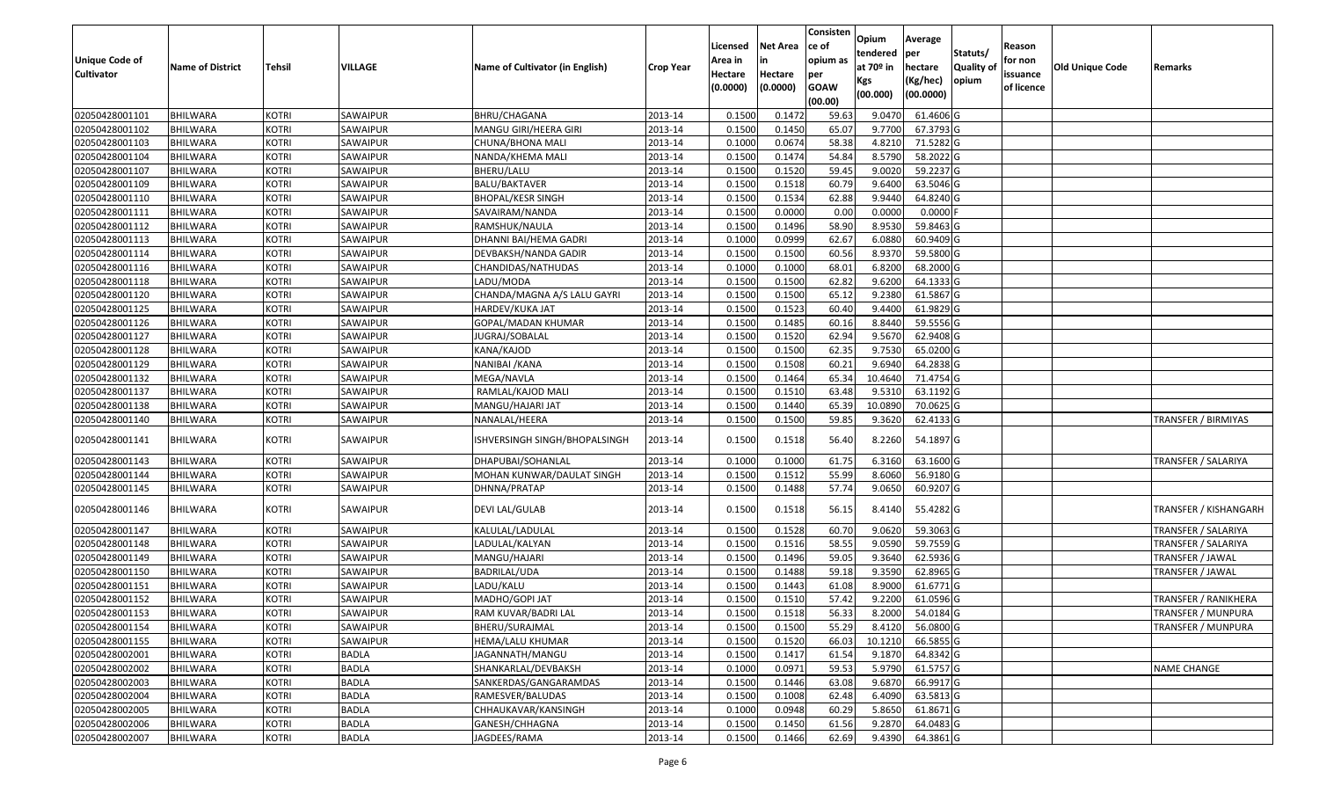| <b>Unique Code of</b> |                         |               |              |                                 |                  | Licensed<br>Area in | <b>Net Area</b><br>in | Consisten<br>ce of<br>opium as | Opium<br>tendered            | Average<br>per                   | Statuts/                   | Reason<br>for non      |                        |                              |
|-----------------------|-------------------------|---------------|--------------|---------------------------------|------------------|---------------------|-----------------------|--------------------------------|------------------------------|----------------------------------|----------------------------|------------------------|------------------------|------------------------------|
| <b>Cultivator</b>     | <b>Name of District</b> | <b>Tehsil</b> | VILLAGE      | Name of Cultivator (in English) | <b>Crop Year</b> | Hectare<br>(0.0000) | Hectare<br>(0.0000)   | per<br><b>GOAW</b><br>(00.00)  | at 70º in<br>Kgs<br>(00.000) | hectare<br>(Kg/hec)<br>(00.0000) | <b>Quality of</b><br>opium | issuance<br>of licence | <b>Old Unique Code</b> | Remarks                      |
| 02050428001101        | <b>BHILWARA</b>         | KOTRI         | SAWAIPUR     | BHRU/CHAGANA                    | 2013-14          | 0.1500              | 0.1472                | 59.63                          | 9.0470                       | 61.4606 G                        |                            |                        |                        |                              |
| 02050428001102        | <b>BHILWARA</b>         | KOTRI         | SAWAIPUR     | MANGU GIRI/HEERA GIRI           | 2013-14          | 0.1500              | 0.1450                | 65.07                          | 9.7700                       | 67.3793 G                        |                            |                        |                        |                              |
| 02050428001103        | <b>BHILWARA</b>         | KOTRI         | SAWAIPUR     | CHUNA/BHONA MALI                | 2013-14          | 0.1000              | 0.0674                | 58.38                          | 4.8210                       | 71.5282 G                        |                            |                        |                        |                              |
| 02050428001104        | <b>BHILWARA</b>         | KOTRI         | SAWAIPUR     | NANDA/KHEMA MALI                | 2013-14          | 0.1500              | 0.1474                | 54.84                          | 8.5790                       | 58.2022 G                        |                            |                        |                        |                              |
| 02050428001107        | <b>BHILWARA</b>         | <b>KOTRI</b>  | SAWAIPUR     | BHERU/LALU                      | 2013-14          | 0.1500              | 0.1520                | 59.45                          | 9.0020                       | 59.2237 G                        |                            |                        |                        |                              |
| 02050428001109        | <b>BHILWARA</b>         | <b>KOTRI</b>  | SAWAIPUR     | BALU/BAKTAVER                   | 2013-14          | 0.1500              | 0.1518                | 60.79                          | 9.6400                       | 63.5046 G                        |                            |                        |                        |                              |
| 02050428001110        | BHILWARA                | <b>KOTRI</b>  | SAWAIPUR     | BHOPAL/KESR SINGH               | 2013-14          | 0.1500              | 0.1534                | 62.88                          | 9.9440                       | 64.8240 G                        |                            |                        |                        |                              |
| 02050428001111        | <b>BHILWARA</b>         | KOTRI         | SAWAIPUR     | SAVAIRAM/NANDA                  | 2013-14          | 0.1500              | 0.0000                | 0.00                           | 0.0000                       | $0.0000$ F                       |                            |                        |                        |                              |
| 02050428001112        | <b>BHILWARA</b>         | <b>KOTRI</b>  | SAWAIPUR     | RAMSHUK/NAULA                   | 2013-14          | 0.1500              | 0.1496                | 58.90                          | 8.9530                       | 59.8463 G                        |                            |                        |                        |                              |
| 02050428001113        | <b>BHILWARA</b>         | <b>KOTRI</b>  | SAWAIPUR     | DHANNI BAI/HEMA GADRI           | 2013-14          | 0.1000              | 0.0999                | 62.67                          | 6.0880                       | 60.9409 G                        |                            |                        |                        |                              |
| 02050428001114        | <b>BHILWARA</b>         | <b>KOTRI</b>  | SAWAIPUR     | DEVBAKSH/NANDA GADIR            | 2013-14          | 0.1500              | 0.1500                | 60.56                          | 8.9370                       | 59.5800 G                        |                            |                        |                        |                              |
| 02050428001116        | <b>BHILWARA</b>         | <b>KOTRI</b>  | SAWAIPUR     | CHANDIDAS/NATHUDAS              | 2013-14          | 0.1000              | 0.1000                | 68.01                          | 6.8200                       | 68.2000 G                        |                            |                        |                        |                              |
| 02050428001118        | <b>BHILWARA</b>         | <b>KOTRI</b>  | SAWAIPUR     | LADU/MODA                       | 2013-14          | 0.1500              | 0.1500                | 62.82                          | 9.6200                       | 64.1333 G                        |                            |                        |                        |                              |
| 02050428001120        | <b>BHILWARA</b>         | <b>KOTRI</b>  | SAWAIPUR     | CHANDA/MAGNA A/S LALU GAYRI     | 2013-14          | 0.1500              | 0.1500                | 65.12                          | 9.2380                       | 61.5867 G                        |                            |                        |                        |                              |
| 02050428001125        | <b>BHILWARA</b>         | KOTRI         | SAWAIPUR     | HARDEV/KUKA JAT                 | 2013-14          | 0.1500              | 0.1523                | 60.40                          | 9.4400                       | 61.9829 G                        |                            |                        |                        |                              |
| 02050428001126        | <b>BHILWARA</b>         | <b>KOTRI</b>  | SAWAIPUR     | GOPAL/MADAN KHUMAR              | 2013-14          | 0.1500              | 0.1485                | 60.16                          | 8.8440                       | 59.5556 G                        |                            |                        |                        |                              |
| 02050428001127        | <b>BHILWARA</b>         | <b>KOTRI</b>  | SAWAIPUR     | JUGRAJ/SOBALAL                  | 2013-14          | 0.1500              | 0.1520                | 62.94                          | 9.5670                       | 62.9408 G                        |                            |                        |                        |                              |
| 02050428001128        | <b>BHILWARA</b>         | <b>KOTRI</b>  | SAWAIPUR     | KANA/KAJOD                      | 2013-14          | 0.1500              | 0.1500                | 62.35                          | 9.7530                       | 65.0200 G                        |                            |                        |                        |                              |
| 02050428001129        | <b>BHILWARA</b>         | <b>KOTRI</b>  | SAWAIPUR     | NANIBAI /KANA                   | 2013-14          | 0.1500              | 0.1508                | 60.21                          | 9.6940                       | 64.2838 G                        |                            |                        |                        |                              |
| 02050428001132        | <b>BHILWARA</b>         | <b>KOTRI</b>  | SAWAIPUR     | MEGA/NAVLA                      | 2013-14          | 0.1500              | 0.1464                | 65.34                          | 10.4640                      | 71.4754 G                        |                            |                        |                        |                              |
| 02050428001137        | <b>BHILWARA</b>         | <b>KOTRI</b>  | SAWAIPUR     | RAMLAL/KAJOD MALI               | 2013-14          | 0.1500              | 0.1510                | 63.48                          | 9.5310                       | 63.1192 G                        |                            |                        |                        |                              |
| 02050428001138        | BHILWARA                | <b>KOTRI</b>  | SAWAIPUR     | MANGU/HAJARI JAT                | 2013-14          | 0.1500              | 0.1440                | 65.39                          | 10.0890                      | 70.0625 G                        |                            |                        |                        |                              |
| 02050428001140        | <b>BHILWARA</b>         | KOTRI         | SAWAIPUR     | NANALAL/HEERA                   | 2013-14          | 0.1500              | 0.1500                | 59.85                          | 9.3620                       | 62.4133 G                        |                            |                        |                        | TRANSFER / BIRMIYAS          |
| 02050428001141        | <b>BHILWARA</b>         | <b>KOTRI</b>  | SAWAIPUR     | ISHVERSINGH SINGH/BHOPALSINGH   | 2013-14          | 0.1500              | 0.1518                | 56.40                          | 8.2260                       | 54.1897 G                        |                            |                        |                        |                              |
| 02050428001143        | <b>BHILWARA</b>         | <b>KOTRI</b>  | SAWAIPUR     | DHAPUBAI/SOHANLAL               | 2013-14          | 0.1000              | 0.1000                | 61.75                          | 6.3160                       | 63.1600 G                        |                            |                        |                        | <b>TRANSFER / SALARIYA</b>   |
| 02050428001144        | <b>BHILWARA</b>         | <b>KOTRI</b>  | SAWAIPUR     | MOHAN KUNWAR/DAULAT SINGH       | 2013-14          | 0.1500              | 0.1512                | 55.99                          | 8.6060                       | 56.9180 G                        |                            |                        |                        |                              |
| 02050428001145        | <b>BHILWARA</b>         | KOTRI         | SAWAIPUR     | DHNNA/PRATAP                    | 2013-14          | 0.1500              | 0.1488                | 57.74                          | 9.0650                       | 60.9207 G                        |                            |                        |                        |                              |
| 02050428001146        | <b>BHILWARA</b>         | <b>KOTRI</b>  | SAWAIPUR     | DEVI LAL/GULAB                  | 2013-14          | 0.1500              | 0.1518                | 56.15                          | 8.4140                       | 55.4282 G                        |                            |                        |                        | <b>TRANSFER / KISHANGARH</b> |
| 02050428001147        | <b>BHILWARA</b>         | <b>KOTRI</b>  | SAWAIPUR     | KALULAL/LADULAL                 | 2013-14          | 0.1500              | 0.1528                | 60.70                          | 9.0620                       | 59.3063 G                        |                            |                        |                        | TRANSFER / SALARIYA          |
| 02050428001148        | <b>BHILWARA</b>         | KOTRI         | SAWAIPUR     | LADULAL/KALYAN                  | 2013-14          | 0.1500              | 0.1516                | 58.55                          | 9.0590                       | 59.7559 G                        |                            |                        |                        | TRANSFER / SALARIYA          |
| 02050428001149        | <b>BHILWARA</b>         | <b>KOTRI</b>  | SAWAIPUR     | MANGU/HAJARI                    | 2013-14          | 0.1500              | 0.1496                | 59.05                          | 9.3640                       | 62.5936 G                        |                            |                        |                        | TRANSFER / JAWAL             |
| 02050428001150        | <b>BHILWARA</b>         | <b>KOTRI</b>  | SAWAIPUR     | BADRILAL/UDA                    | 2013-14          | 0.1500              | 0.1488                | 59.18                          | 9.3590                       | 62.8965 G                        |                            |                        |                        | TRANSFER / JAWAL             |
| 02050428001151        | BHILWARA                | KOTRI         | SAWAIPUR     | LADU/KALU                       | 2013-14          | 0.1500              | 0.1443                | 61.08                          | 8.9000                       | 61.6771 G                        |                            |                        |                        |                              |
| 02050428001152        | <b>BHILWARA</b>         | KOTRI         | SAWAIPUR     | MADHO/GOPI JAT                  | 2013-14          | 0.1500              | 0.1510                | 57.42                          | 9.2200                       | 61.0596 G                        |                            |                        |                        | TRANSFER / RANIKHERA         |
| 02050428001153        | <b>BHILWARA</b>         | <b>KOTRI</b>  | SAWAIPUR     | RAM KUVAR/BADRI LAL             | 2013-14          | 0.1500              | 0.1518                | 56.33                          | 8.2000                       | 54.0184 G                        |                            |                        |                        | TRANSFER / MUNPURA           |
| 02050428001154        | BHILWARA                | <b>KOTRI</b>  | SAWAIPUR     | BHERU/SURAJMAL                  | 2013-14          | 0.1500              | 0.1500                | 55.29                          | 8.4120                       | 56.0800 G                        |                            |                        |                        | <b>TRANSFER / MUNPURA</b>    |
| 02050428001155        | <b>BHILWARA</b>         | <b>KOTRI</b>  | SAWAIPUR     | HEMA/LALU KHUMAR                | 2013-14          | 0.1500              | 0.1520                | 66.03                          | 10.1210                      | 66.5855 G                        |                            |                        |                        |                              |
| 02050428002001        | <b>BHILWARA</b>         | <b>KOTRI</b>  | <b>BADLA</b> | JAGANNATH/MANGU                 | 2013-14          | 0.1500              | 0.1417                | 61.54                          | 9.1870                       | 64.8342 G                        |                            |                        |                        |                              |
| 02050428002002        | <b>BHILWARA</b>         | <b>KOTRI</b>  | <b>BADLA</b> | SHANKARLAL/DEVBAKSH             | 2013-14          | 0.1000              | 0.0971                | 59.53                          | 5.9790                       | 61.5757 G                        |                            |                        |                        | NAME CHANGE                  |
| 02050428002003        | <b>BHILWARA</b>         | <b>KOTRI</b>  | <b>BADLA</b> | SANKERDAS/GANGARAMDAS           | 2013-14          | 0.1500              | 0.1446                | 63.08                          | 9.6870                       | 66.9917 G                        |                            |                        |                        |                              |
| 02050428002004        | <b>BHILWARA</b>         | <b>KOTRI</b>  | <b>BADLA</b> | RAMESVER/BALUDAS                | 2013-14          | 0.1500              | 0.1008                | 62.48                          | 6.4090                       | 63.5813 G                        |                            |                        |                        |                              |
| 02050428002005        | <b>BHILWARA</b>         | <b>KOTRI</b>  | <b>BADLA</b> | CHHAUKAVAR/KANSINGH             | 2013-14          | 0.1000              | 0.0948                | 60.29                          | 5.8650                       | 61.8671 G                        |                            |                        |                        |                              |
| 02050428002006        | <b>BHILWARA</b>         | <b>KOTRI</b>  | <b>BADLA</b> | GANESH/CHHAGNA                  | 2013-14          | 0.1500              | 0.1450                | 61.56                          | 9.2870                       | 64.0483 G                        |                            |                        |                        |                              |
| 02050428002007        | <b>BHILWARA</b>         | <b>KOTRI</b>  | BADLA        | JAGDEES/RAMA                    | 2013-14          | 0.1500              | 0.1466                | 62.69                          | 9.4390                       | 64.3861 G                        |                            |                        |                        |                              |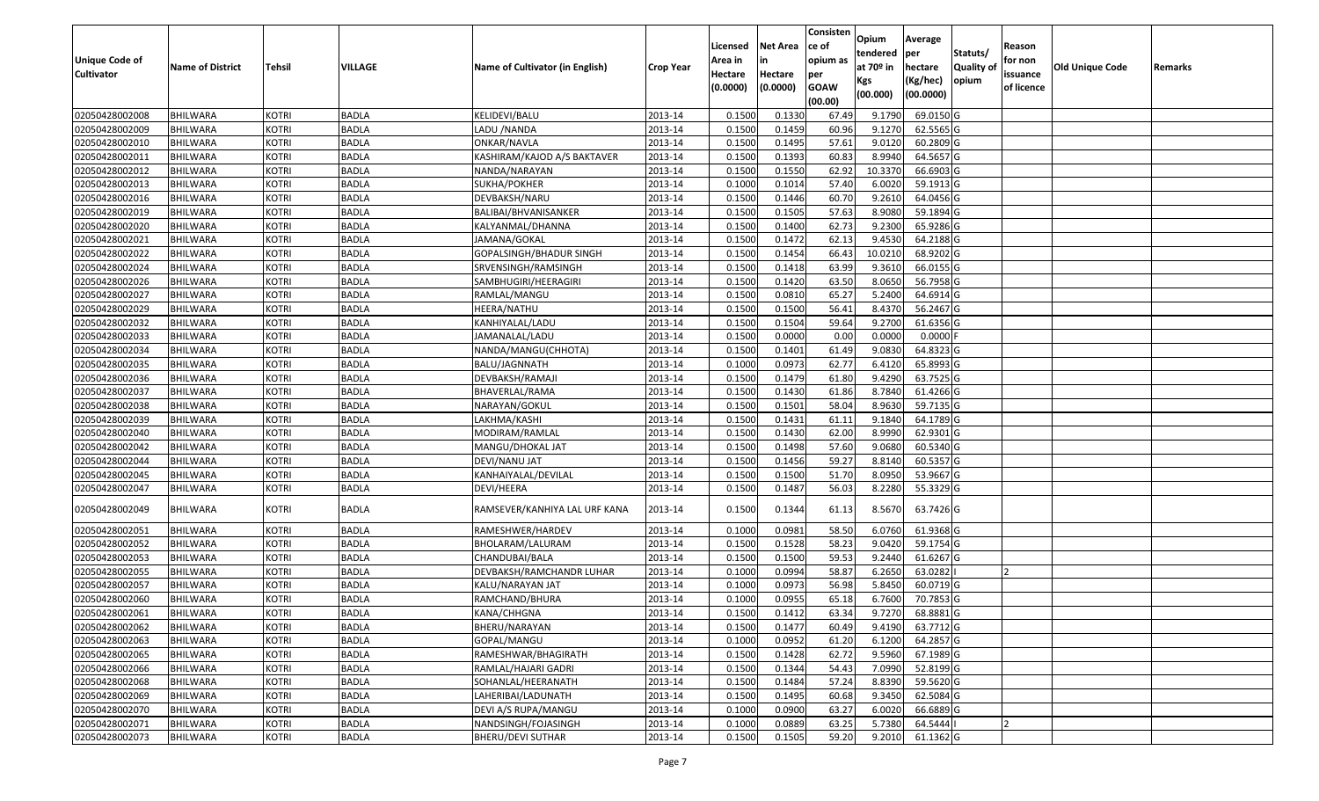|                                  |                             |                              |              |                                            |                    |          |                  | Consisten        | Opium       | Average                 |                  |            |                        |         |
|----------------------------------|-----------------------------|------------------------------|--------------|--------------------------------------------|--------------------|----------|------------------|------------------|-------------|-------------------------|------------------|------------|------------------------|---------|
|                                  |                             |                              |              |                                            |                    | Licensed | <b>Net Area</b>  | ce of            | tendered    | per                     | Statuts/         | Reason     |                        |         |
| Unique Code of                   | <b>Name of District</b>     | <b>Tehsil</b>                | VILLAGE      | Name of Cultivator (in English)            | <b>Crop Year</b>   | Area in  | in               | opium as         | at $70°$ in | hectare                 | <b>Quality o</b> | for non    | <b>Old Unique Code</b> | Remarks |
| <b>Cultivator</b>                |                             |                              |              |                                            |                    | Hectare  | Hectare          | per              | Kgs         | (Kg/hec)                | opium            | issuance   |                        |         |
|                                  |                             |                              |              |                                            |                    | (0.0000) | (0.0000)         | <b>GOAW</b>      | (00.000)    | (00.0000)               |                  | of licence |                        |         |
| 02050428002008                   | <b>BHILWARA</b>             | <b>KOTRI</b>                 | <b>BADLA</b> | KELIDEVI/BALU                              | 2013-14            | 0.1500   | 0.1330           | (00.00)<br>67.49 | 9.1790      | 69.0150G                |                  |            |                        |         |
| 02050428002009                   | <b>BHILWARA</b>             |                              | <b>BADLA</b> | LADU /NANDA                                |                    | 0.1500   | 0.1459           | 60.96            | 9.1270      | 62.5565 G               |                  |            |                        |         |
| 02050428002010                   |                             | <b>KOTRI</b><br><b>KOTRI</b> | <b>BADLA</b> |                                            | 2013-14<br>2013-14 | 0.1500   | 0.1495           | 57.61            | 9.0120      | 60.2809 G               |                  |            |                        |         |
| 02050428002011                   | BHILWARA<br><b>BHILWARA</b> | <b>KOTRI</b>                 | <b>BADLA</b> | ONKAR/NAVLA<br>KASHIRAM/KAJOD A/S BAKTAVER | 2013-14            | 0.1500   | 0.1393           | 60.83            | 8.9940      | 64.5657 G               |                  |            |                        |         |
| 02050428002012                   | BHILWARA                    | <b>KOTRI</b>                 | <b>BADLA</b> | NANDA/NARAYAN                              | 2013-14            | 0.1500   | 0.1550           | 62.92            | 10.3370     | 66.6903 G               |                  |            |                        |         |
| 02050428002013                   | <b>BHILWARA</b>             | <b>KOTRI</b>                 | <b>BADLA</b> | SUKHA/POKHER                               | 2013-14            | 0.1000   | 0.1014           | 57.40            | 6.0020      | 59.1913 G               |                  |            |                        |         |
| 02050428002016                   | BHILWARA                    | <b>KOTRI</b>                 | <b>BADLA</b> |                                            | 2013-14            | 0.1500   | 0.1446           | 60.70            | 9.2610      | 64.0456 G               |                  |            |                        |         |
| 02050428002019                   | <b>BHILWARA</b>             | <b>KOTRI</b>                 | <b>BADLA</b> | DEVBAKSH/NARU<br>BALIBAI/BHVANISANKER      | 2013-14            | 0.1500   | 0.1505           | 57.63            | 8.9080      | 59.1894 G               |                  |            |                        |         |
| 02050428002020                   | <b>BHILWARA</b>             | <b>KOTRI</b>                 | <b>BADLA</b> | KALYANMAL/DHANNA                           | 2013-14            | 0.1500   | 0.1400           | 62.73            | 9.2300      | 65.9286 G               |                  |            |                        |         |
| 02050428002021                   | <b>BHILWARA</b>             | <b>KOTRI</b>                 | <b>BADLA</b> | JAMANA/GOKAL                               | 2013-14            | 0.1500   | 0.1472           | 62.13            | 9.4530      | 64.2188 G               |                  |            |                        |         |
| 02050428002022                   |                             | <b>KOTRI</b>                 | <b>BADLA</b> |                                            | 2013-14            | 0.1500   | 0.1454           | 66.43            | 10.0210     | 68.9202 G               |                  |            |                        |         |
|                                  | BHILWARA<br><b>BHILWARA</b> | <b>KOTRI</b>                 | <b>BADLA</b> | GOPALSINGH/BHADUR SINGH                    | 2013-14            | 0.1500   | 0.1418           | 63.99            | 9.3610      | 66.0155 G               |                  |            |                        |         |
| 02050428002024                   |                             |                              |              | SRVENSINGH/RAMSINGH                        |                    |          |                  |                  |             |                         |                  |            |                        |         |
| 02050428002026<br>02050428002027 | <b>BHILWARA</b>             | <b>KOTRI</b>                 | <b>BADLA</b> | SAMBHUGIRI/HEERAGIRI                       | 2013-14            | 0.1500   | 0.1420           | 63.50            | 8.0650      | 56.7958 G               |                  |            |                        |         |
|                                  | <b>BHILWARA</b>             | <b>KOTRI</b>                 | <b>BADLA</b> | RAMLAL/MANGU                               | 2013-14            | 0.1500   | 0.0810           | 65.27            | 5.2400      | 64.6914 G               |                  |            |                        |         |
| 02050428002029                   | BHILWARA                    | <b>KOTRI</b>                 | <b>BADLA</b> | HEERA/NATHU                                | 2013-14            | 0.1500   | 0.1500<br>0.1504 | 56.41            | 8.4370      | 56.2467 G               |                  |            |                        |         |
| 02050428002032                   | <b>BHILWARA</b>             | <b>KOTRI</b>                 | <b>BADLA</b> | KANHIYALAL/LADU                            | 2013-14            | 0.1500   |                  | 59.64            | 9.2700      | 61.6356 G               |                  |            |                        |         |
| 02050428002033                   | <b>BHILWARA</b>             | <b>KOTRI</b>                 | <b>BADLA</b> | JAMANALAL/LADU                             | 2013-14            | 0.1500   | 0.0000           | 0.00             | 0.0000      | $0.0000$ F<br>64.8323 G |                  |            |                        |         |
| 02050428002034                   | BHILWARA                    | <b>KOTRI</b>                 | <b>BADLA</b> | NANDA/MANGU(CHHOTA)                        | 2013-14            | 0.1500   | 0.1401           | 61.49            | 9.0830      |                         |                  |            |                        |         |
| 02050428002035                   | <b>BHILWARA</b>             | <b>KOTRI</b>                 | <b>BADLA</b> | BALU/JAGNNATH                              | 2013-14            | 0.1000   | 0.0973           | 62.77            | 6.4120      | 65.8993 G               |                  |            |                        |         |
| 02050428002036                   | BHILWARA                    | <b>KOTRI</b>                 | <b>BADLA</b> | DEVBAKSH/RAMAJI                            | 2013-14            | 0.1500   | 0.1479           | 61.80            | 9.4290      | 63.7525 G               |                  |            |                        |         |
| 02050428002037                   | <b>BHILWARA</b>             | <b>KOTRI</b>                 | <b>BADLA</b> | BHAVERLAL/RAMA                             | 2013-14            | 0.1500   | 0.1430           | 61.86            | 8.7840      | 61.4266 G               |                  |            |                        |         |
| 02050428002038                   | <b>BHILWARA</b>             | <b>KOTRI</b>                 | <b>BADLA</b> | NARAYAN/GOKUL                              | 2013-14            | 0.150    | 0.1501           | 58.04            | 8.9630      | 59.7135 G               |                  |            |                        |         |
| 02050428002039                   | <b>BHILWARA</b>             | <b>KOTRI</b>                 | <b>BADLA</b> | LAKHMA/KASHI                               | 2013-14            | 0.1500   | 0.1431           | 61.11            | 9.1840      | 64.1789 G               |                  |            |                        |         |
| 02050428002040                   | BHILWARA                    | <b>KOTRI</b>                 | <b>BADLA</b> | MODIRAM/RAMLAL                             | 2013-14            | 0.1500   | 0.1430           | 62.00            | 8.9990      | 62.9301G                |                  |            |                        |         |
| 02050428002042                   | <b>BHILWARA</b>             | <b>KOTRI</b>                 | <b>BADLA</b> | MANGU/DHOKAL JAT                           | 2013-14            | 0.1500   | 0.1498           | 57.60            | 9.0680      | 60.5340 G               |                  |            |                        |         |
| 02050428002044                   | BHILWARA                    | <b>KOTRI</b>                 | <b>BADLA</b> | DEVI/NANU JAT                              | 2013-14            | 0.1500   | 0.1456           | 59.27            | 8.8140      | 60.5357 G               |                  |            |                        |         |
| 02050428002045                   | <b>BHILWARA</b>             | <b>KOTRI</b>                 | <b>BADLA</b> | KANHAIYALAL/DEVILAL                        | 2013-14            | 0.1500   | 0.1500           | 51.70            | 8.0950      | 53.9667 G               |                  |            |                        |         |
| 02050428002047                   | BHILWARA                    | <b>KOTRI</b>                 | <b>BADLA</b> | DEVI/HEERA                                 | 2013-14            | 0.1500   | 0.1487           | 56.03            | 8.2280      | 55.3329 G               |                  |            |                        |         |
| 02050428002049                   | BHILWARA                    | <b>KOTRI</b>                 | <b>BADLA</b> | RAMSEVER/KANHIYA LAL URF KANA              | 2013-14            | 0.1500   | 0.1344           | 61.13            | 8.5670      | 63.7426 G               |                  |            |                        |         |
| 02050428002051                   | BHILWARA                    | <b>KOTRI</b>                 | <b>BADLA</b> | RAMESHWER/HARDEV                           | 2013-14            | 0.1000   | 0.0981           | 58.50            | 6.0760      | 61.9368 G               |                  |            |                        |         |
| 02050428002052                   | BHILWARA                    | <b>KOTRI</b>                 | <b>BADLA</b> | BHOLARAM/LALURAM                           | 2013-14            | 0.1500   | 0.1528           | 58.23            | 9.0420      | 59.1754 G               |                  |            |                        |         |
| 02050428002053                   | <b>BHILWARA</b>             | <b>KOTRI</b>                 | <b>BADLA</b> | CHANDUBAI/BALA                             | 2013-14            | 0.1500   | 0.1500           | 59.53            | 9.2440      | 61.6267 G               |                  |            |                        |         |
| 02050428002055                   | BHILWARA                    | <b>KOTRI</b>                 | <b>BADLA</b> | DEVBAKSH/RAMCHANDR LUHAR                   | 2013-14            | 0.1000   | 0.0994           | 58.87            | 6.2650      | 63.0282                 |                  |            |                        |         |
| 02050428002057                   | BHILWARA                    | <b>KOTRI</b>                 | <b>BADLA</b> | KALU/NARAYAN JAT                           | 2013-14            | 0.1000   | 0.0973           | 56.98            | 5.8450      | 60.0719 G               |                  |            |                        |         |
| 02050428002060                   | BHILWARA                    | <b>KOTRI</b>                 | <b>BADLA</b> | RAMCHAND/BHURA                             | 2013-14            | 0.1000   | 0.0955           | 65.18            | 6.7600      | 70.7853 G               |                  |            |                        |         |
| 02050428002061                   | <b>BHILWARA</b>             | <b>KOTRI</b>                 | <b>BADLA</b> | KANA/CHHGNA                                | 2013-14            | 0.1500   | 0.1412           | 63.34            | 9.7270      | 68.8881 G               |                  |            |                        |         |
| 02050428002062                   | <b>BHILWARA</b>             | <b>KOTRI</b>                 | <b>BADLA</b> | BHERU/NARAYAN                              | 2013-14            | 0.1500   | 0.1477           | 60.49            | 9.4190      | 63.7712 G               |                  |            |                        |         |
| 02050428002063                   | <b>BHILWARA</b>             | <b>KOTRI</b>                 | <b>BADLA</b> | GOPAL/MANGU                                | 2013-14            | 0.1000   | 0.0952           | 61.20            | 6.1200      | 64.2857 G               |                  |            |                        |         |
| 02050428002065                   | <b>BHILWARA</b>             | <b>KOTRI</b>                 | <b>BADLA</b> | RAMESHWAR/BHAGIRATH                        | 2013-14            | 0.1500   | 0.1428           | 62.72            | 9.5960      | 67.1989 G               |                  |            |                        |         |
| 02050428002066                   | <b>BHILWARA</b>             | <b>KOTRI</b>                 | <b>BADLA</b> | RAMLAL/HAJARI GADRI                        | 2013-14            | 0.1500   | 0.1344           | 54.43            | 7.0990      | 52.8199 G               |                  |            |                        |         |
| 02050428002068                   | <b>BHILWARA</b>             | <b>KOTRI</b>                 | <b>BADLA</b> | SOHANLAL/HEERANATH                         | 2013-14            | 0.1500   | 0.1484           | 57.24            | 8.8390      | 59.5620 G               |                  |            |                        |         |
| 02050428002069                   | <b>BHILWARA</b>             | <b>KOTRI</b>                 | <b>BADLA</b> | LAHERIBAI/LADUNATH                         | 2013-14            | 0.1500   | 0.1495           | 60.68            | 9.3450      | 62.5084 G               |                  |            |                        |         |
| 02050428002070                   | <b>BHILWARA</b>             | <b>KOTRI</b>                 | <b>BADLA</b> | DEVI A/S RUPA/MANGU                        | 2013-14            | 0.1000   | 0.0900           | 63.27            | 6.0020      | 66.6889 G               |                  |            |                        |         |
| 02050428002071                   | <b>BHILWARA</b>             | <b>KOTRI</b>                 | <b>BADLA</b> | NANDSINGH/FOJASINGH                        | 2013-14            | 0.1000   | 0.0889           | 63.25            | 5.7380      | 64.5444                 |                  |            |                        |         |
| 02050428002073                   | <b>BHILWARA</b>             | <b>KOTRI</b>                 | <b>BADLA</b> | <b>BHERU/DEVI SUTHAR</b>                   | 2013-14            | 0.1500   | 0.1505           | 59.20            | 9.2010      | 61.1362 G               |                  |            |                        |         |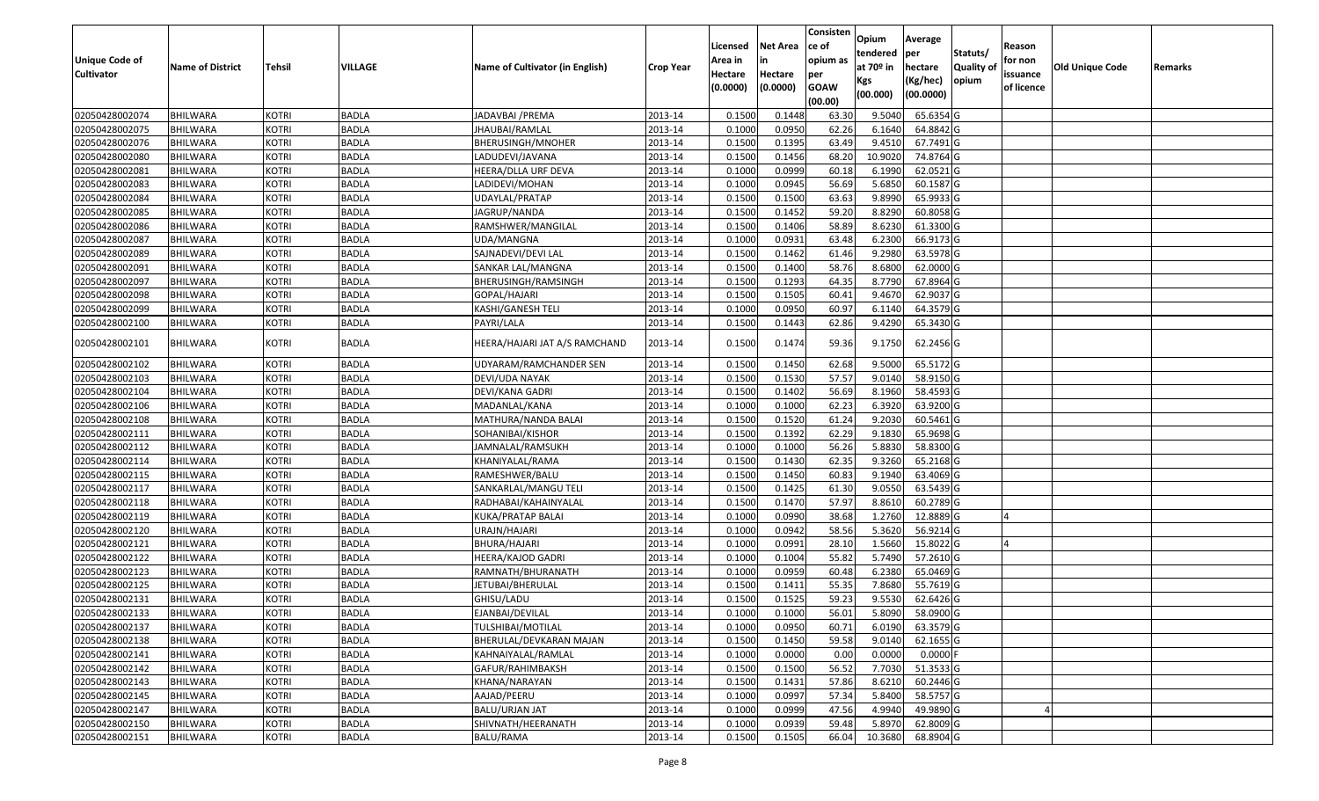|                   |                         |               |                |                                 |                  |          |                 | Consisten        | Opium       | Average    |                  |            |                 |         |
|-------------------|-------------------------|---------------|----------------|---------------------------------|------------------|----------|-----------------|------------------|-------------|------------|------------------|------------|-----------------|---------|
|                   |                         |               |                |                                 |                  | Licensed | <b>Net Area</b> | ce of            | tendered    | per        | Statuts/         | Reason     |                 |         |
| Unique Code of    | <b>Name of District</b> | <b>Tehsil</b> | <b>VILLAGE</b> | Name of Cultivator (in English) | <b>Crop Year</b> | Area in  | in              | opium as         | at $70°$ in | hectare    | <b>Quality o</b> | for non    | Old Unique Code | Remarks |
| <b>Cultivator</b> |                         |               |                |                                 |                  | Hectare  | Hectare         | per              | Kgs         | (Kg/hec)   | opium            | issuance   |                 |         |
|                   |                         |               |                |                                 |                  | (0.0000) | (0.0000)        | <b>GOAW</b>      | (00.000)    | (00.0000)  |                  | of licence |                 |         |
| 02050428002074    | <b>BHILWARA</b>         | <b>KOTRI</b>  | <b>BADLA</b>   | JADAVBAI / PREMA                | 2013-14          | 0.1500   | 0.1448          | (00.00)<br>63.30 | 9.5040      | 65.6354 G  |                  |            |                 |         |
| 02050428002075    | <b>BHILWARA</b>         | <b>KOTRI</b>  | <b>BADLA</b>   | JHAUBAI/RAMLAL                  | 2013-14          | 0.1000   | 0.0950          | 62.26            | 6.1640      | 64.8842 G  |                  |            |                 |         |
| 02050428002076    | BHILWARA                | <b>KOTRI</b>  | <b>BADLA</b>   | BHERUSINGH/MNOHER               | 2013-14          | 0.1500   | 0.1395          | 63.49            | 9.4510      | 67.7491G   |                  |            |                 |         |
| 02050428002080    | <b>BHILWARA</b>         | <b>KOTRI</b>  | <b>BADLA</b>   | LADUDEVI/JAVANA                 | 2013-14          | 0.1500   | 0.1456          | 68.20            | 10.9020     | 74.8764 G  |                  |            |                 |         |
| 02050428002081    | BHILWARA                | <b>KOTRI</b>  | <b>BADLA</b>   | HEERA/DLLA URF DEVA             | 2013-14          | 0.1000   | 0.0999          | 60.18            | 6.1990      | 62.0521 G  |                  |            |                 |         |
| 02050428002083    | <b>BHILWARA</b>         | <b>KOTRI</b>  | <b>BADLA</b>   | LADIDEVI/MOHAN                  | 2013-14          | 0.1000   | 0.0945          | 56.69            | 5.6850      | 60.1587G   |                  |            |                 |         |
| 02050428002084    | BHILWARA                | <b>KOTRI</b>  | <b>BADLA</b>   | JDAYLAL/PRATAP                  | 2013-14          | 0.1500   | 0.1500          | 63.63            | 9.8990      | 65.9933 G  |                  |            |                 |         |
| 02050428002085    | <b>BHILWARA</b>         | <b>KOTRI</b>  | <b>BADLA</b>   | JAGRUP/NANDA                    | 2013-14          | 0.1500   | 0.1452          | 59.20            | 8.8290      | 60.8058 G  |                  |            |                 |         |
| 02050428002086    | <b>BHILWARA</b>         | <b>KOTRI</b>  | <b>BADLA</b>   | RAMSHWER/MANGILAL               | 2013-14          | 0.1500   | 0.1406          | 58.89            | 8.6230      | 61.3300 G  |                  |            |                 |         |
| 02050428002087    | <b>BHILWARA</b>         | <b>KOTRI</b>  | <b>BADLA</b>   | UDA/MANGNA                      | 2013-14          | 0.1000   | 0.0931          | 63.48            | 6.2300      | 66.9173 G  |                  |            |                 |         |
| 02050428002089    | <b>BHILWARA</b>         | <b>KOTRI</b>  | <b>BADLA</b>   | SAJNADEVI/DEVI LAL              | 2013-14          | 0.1500   | 0.1462          | 61.46            | 9.2980      | 63.5978 G  |                  |            |                 |         |
| 02050428002091    | <b>BHILWARA</b>         | <b>KOTRI</b>  | <b>BADLA</b>   | SANKAR LAL/MANGNA               | 2013-14          | 0.1500   | 0.1400          | 58.76            | 8.6800      | 62.0000 G  |                  |            |                 |         |
| 02050428002097    | <b>BHILWARA</b>         | <b>KOTRI</b>  | <b>BADLA</b>   | BHERUSINGH/RAMSINGH             | 2013-14          | 0.1500   | 0.1293          | 64.35            | 8.7790      | 67.8964 G  |                  |            |                 |         |
| 02050428002098    | <b>BHILWARA</b>         | <b>KOTRI</b>  | <b>BADLA</b>   | GOPAL/HAJARI                    | 2013-14          | 0.1500   | 0.1505          | 60.41            | 9.4670      | 62.9037 G  |                  |            |                 |         |
| 02050428002099    | BHILWARA                | <b>KOTRI</b>  | <b>BADLA</b>   | KASHI/GANESH TELI               | 2013-14          | 0.1000   | 0.0950          | 60.97            | 6.1140      | 64.3579 G  |                  |            |                 |         |
| 02050428002100    | BHILWARA                | <b>KOTRI</b>  | <b>BADLA</b>   | PAYRI/LALA                      | 2013-14          | 0.1500   | 0.1443          | 62.86            | 9.4290      | 65.3430 G  |                  |            |                 |         |
| 02050428002101    | <b>BHILWARA</b>         | <b>KOTRI</b>  | <b>BADLA</b>   | HEERA/HAJARI JAT A/S RAMCHAND   | 2013-14          | 0.1500   | 0.1474          | 59.36            | 9.1750      | 62.2456 G  |                  |            |                 |         |
| 02050428002102    | <b>BHILWARA</b>         | <b>KOTRI</b>  | <b>BADLA</b>   | UDYARAM/RAMCHANDER SEN          | 2013-14          | 0.1500   | 0.1450          | 62.68            | 9.5000      | 65.5172G   |                  |            |                 |         |
| 02050428002103    | BHILWARA                | <b>KOTRI</b>  | <b>BADLA</b>   | DEVI/UDA NAYAK                  | 2013-14          | 0.1500   | 0.1530          | 57.57            | 9.0140      | 58.9150 G  |                  |            |                 |         |
| 02050428002104    | <b>BHILWARA</b>         | <b>KOTRI</b>  | <b>BADLA</b>   | DEVI/KANA GADRI                 | 2013-14          | 0.1500   | 0.1402          | 56.69            | 8.1960      | 58.4593 G  |                  |            |                 |         |
| 02050428002106    | <b>BHILWARA</b>         | <b>KOTRI</b>  | <b>BADLA</b>   | MADANLAL/KANA                   | 2013-14          | 0.1000   | 0.1000          | 62.23            | 6.3920      | 63.9200 G  |                  |            |                 |         |
| 02050428002108    | BHILWARA                | <b>KOTRI</b>  | <b>BADLA</b>   | MATHURA/NANDA BALAI             | 2013-14          | 0.1500   | 0.1520          | 61.24            | 9.2030      | 60.5461G   |                  |            |                 |         |
| 02050428002111    | BHILWARA                | <b>KOTRI</b>  | <b>BADLA</b>   | SOHANIBAI/KISHOR                | 2013-14          | 0.1500   | 0.1392          | 62.29            | 9.1830      | 65.9698 G  |                  |            |                 |         |
| 02050428002112    | <b>BHILWARA</b>         | <b>KOTRI</b>  | <b>BADLA</b>   | JAMNALAL/RAMSUKH                | 2013-14          | 0.1000   | 0.1000          | 56.26            | 5.8830      | 58.8300 G  |                  |            |                 |         |
| 02050428002114    | BHILWARA                | <b>KOTRI</b>  | <b>BADLA</b>   | KHANIYALAL/RAMA                 | 2013-14          | 0.1500   | 0.1430          | 62.35            | 9.3260      | 65.2168 G  |                  |            |                 |         |
| 02050428002115    | <b>BHILWARA</b>         | <b>KOTRI</b>  | <b>BADLA</b>   | RAMESHWER/BALU                  | 2013-14          | 0.1500   | 0.1450          | 60.83            | 9.1940      | 63.4069 G  |                  |            |                 |         |
| 02050428002117    | BHILWARA                | <b>KOTRI</b>  | <b>BADLA</b>   | SANKARLAL/MANGU TELI            | 2013-14          | 0.1500   | 0.1425          | 61.30            | 9.0550      | 63.5439 G  |                  |            |                 |         |
| 02050428002118    | <b>BHILWARA</b>         | <b>KOTRI</b>  | <b>BADLA</b>   | RADHABAI/KAHAINYALAL            | 2013-14          | 0.1500   | 0.1470          | 57.97            | 8.8610      | 60.2789 G  |                  |            |                 |         |
| 02050428002119    | BHILWARA                | <b>KOTRI</b>  | <b>BADLA</b>   | KUKA/PRATAP BALAI               | 2013-14          | 0.1000   | 0.0990          | 38.68            | 1.2760      | 12.8889 G  |                  |            |                 |         |
| 02050428002120    | <b>BHILWARA</b>         | <b>KOTRI</b>  | <b>BADLA</b>   | URAJN/HAJARI                    | 2013-14          | 0.1000   | 0.0942          | 58.56            | 5.3620      | 56.9214 G  |                  |            |                 |         |
| 02050428002121    | BHILWARA                | <b>KOTRI</b>  | <b>BADLA</b>   | BHURA/HAJARI                    | 2013-14          | 0.1000   | 0.0991          | 28.10            | 1.5660      | 15.8022 G  |                  |            |                 |         |
| 02050428002122    | <b>BHILWARA</b>         | <b>KOTRI</b>  | <b>BADLA</b>   | HEERA/KAJOD GADRI               | 2013-14          | 0.1000   | 0.1004          | 55.82            | 5.7490      | 57.2610 G  |                  |            |                 |         |
| 02050428002123    | BHILWARA                | <b>KOTRI</b>  | <b>BADLA</b>   | RAMNATH/BHURANATH               | 2013-14          | 0.1000   | 0.0959          | 60.48            | 6.2380      | 65.0469 G  |                  |            |                 |         |
| 02050428002125    | BHILWARA                | <b>KOTRI</b>  | <b>BADLA</b>   | IETUBAI/BHERULAL                | 2013-14          | 0.150    | 0.1411          | 55.35            | 7.8680      | 55.7619G   |                  |            |                 |         |
| 02050428002131    | BHILWARA                | <b>KOTRI</b>  | <b>BADLA</b>   | GHISU/LADU                      | 2013-14          | 0.1500   | 0.1525          | 59.23            | 9.5530      | 62.6426 G  |                  |            |                 |         |
| 02050428002133    | <b>BHILWARA</b>         | <b>KOTRI</b>  | <b>BADLA</b>   | EJANBAI/DEVILAL                 | 2013-14          | 0.1000   | 0.1000          | 56.01            | 5.8090      | 58.0900 G  |                  |            |                 |         |
| 02050428002137    | <b>BHILWARA</b>         | <b>KOTRI</b>  | <b>BADLA</b>   | TULSHIBAI/MOTILAL               | 2013-14          | 0.1000   | 0.0950          | 60.71            | 6.0190      | 63.3579 G  |                  |            |                 |         |
| 02050428002138    | <b>BHILWARA</b>         | <b>KOTRI</b>  | <b>BADLA</b>   | BHERULAL/DEVKARAN MAJAN         | 2013-14          | 0.1500   | 0.1450          | 59.58            | 9.0140      | 62.1655 G  |                  |            |                 |         |
| 02050428002141    | <b>BHILWARA</b>         | <b>KOTRI</b>  | <b>BADLA</b>   | KAHNAIYALAL/RAMLAL              | 2013-14          | 0.1000   | 0.0000          | 0.00             | 0.0000      | $0.0000$ F |                  |            |                 |         |
| 02050428002142    | <b>BHILWARA</b>         | <b>KOTRI</b>  | <b>BADLA</b>   | GAFUR/RAHIMBAKSH                | 2013-14          | 0.1500   | 0.1500          | 56.52            | 7.7030      | 51.3533 G  |                  |            |                 |         |
| 02050428002143    | <b>BHILWARA</b>         | <b>KOTRI</b>  | <b>BADLA</b>   | KHANA/NARAYAN                   | 2013-14          | 0.1500   | 0.1431          | 57.86            | 8.6210      | 60.2446 G  |                  |            |                 |         |
| 02050428002145    | <b>BHILWARA</b>         | <b>KOTRI</b>  | <b>BADLA</b>   | AAJAD/PEERU                     | 2013-14          | 0.1000   | 0.0997          | 57.34            | 5.8400      | 58.5757 G  |                  |            |                 |         |
| 02050428002147    | <b>BHILWARA</b>         | <b>KOTRI</b>  | <b>BADLA</b>   | BALU/URJAN JAT                  | 2013-14          | 0.1000   | 0.0999          | 47.56            | 4.9940      | 49.9890 G  |                  |            |                 |         |
| 02050428002150    | <b>BHILWARA</b>         | <b>KOTRI</b>  | <b>BADLA</b>   | SHIVNATH/HEERANATH              | 2013-14          | 0.1000   | 0.0939          | 59.48            | 5.8970      | 62.8009 G  |                  |            |                 |         |
| 02050428002151    | <b>BHILWARA</b>         | <b>KOTRI</b>  | <b>BADLA</b>   | <b>BALU/RAMA</b>                | 2013-14          | 0.1500   | 0.1505          | 66.04            | 10.3680     | 68.8904 G  |                  |            |                 |         |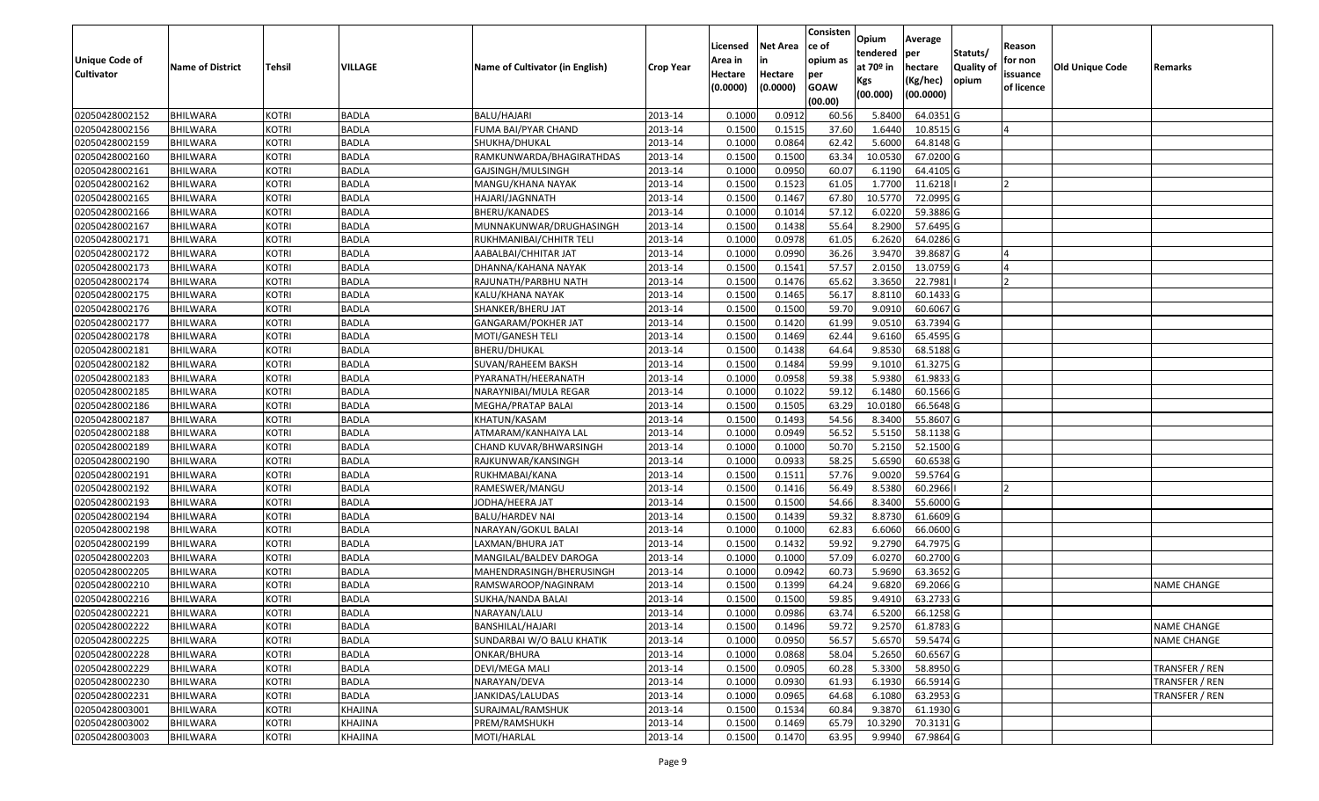| <b>Unique Code of</b><br><b>Cultivator</b> | <b>Name of District</b> | <b>Tehsil</b> | VILLAGE        | Name of Cultivator (in English) | <b>Crop Year</b> | Licensed<br>Area in<br>Hectare<br>(0.0000) | <b>Net Area</b><br>in<br>Hectare<br>(0.0000) | Consisten<br>ce of<br>opium as<br>per<br><b>GOAW</b><br>(00.00) | Opium<br>tendered<br>at $70°$ in<br>Kgs<br>(00.000) | Average<br>per<br>hectare<br>(Kg/hec)<br>(00.0000) | Statuts/<br>Quality of<br>opium | Reason<br>for non<br>issuance<br>of licence | <b>Old Unique Code</b> | Remarks            |
|--------------------------------------------|-------------------------|---------------|----------------|---------------------------------|------------------|--------------------------------------------|----------------------------------------------|-----------------------------------------------------------------|-----------------------------------------------------|----------------------------------------------------|---------------------------------|---------------------------------------------|------------------------|--------------------|
| 02050428002152                             | BHILWARA                | <b>KOTRI</b>  | <b>BADLA</b>   | <b>BALU/HAJARI</b>              | 2013-14          | 0.1000                                     | 0.0912                                       | 60.56                                                           | 5.8400                                              | 64.0351 G                                          |                                 |                                             |                        |                    |
| 02050428002156                             | <b>BHILWARA</b>         | <b>KOTRI</b>  | <b>BADLA</b>   | FUMA BAI/PYAR CHAND             | 2013-14          | 0.1500                                     | 0.1515                                       | 37.60                                                           | 1.6440                                              | 10.8515 G                                          |                                 |                                             |                        |                    |
| 02050428002159                             | BHILWARA                | <b>KOTRI</b>  | <b>BADLA</b>   | SHUKHA/DHUKAL                   | 2013-14          | 0.1000                                     | 0.0864                                       | 62.42                                                           | 5.6000                                              | 64.8148 G                                          |                                 |                                             |                        |                    |
| 02050428002160                             | <b>BHILWARA</b>         | <b>KOTRI</b>  | <b>BADLA</b>   | RAMKUNWARDA/BHAGIRATHDAS        | 2013-14          | 0.1500                                     | 0.1500                                       | 63.34                                                           | 10.0530                                             | 67.0200G                                           |                                 |                                             |                        |                    |
| 02050428002161                             | <b>BHILWARA</b>         | <b>KOTRI</b>  | <b>BADLA</b>   | GAJSINGH/MULSINGH               | 2013-14          | 0.1000                                     | 0.0950                                       | 60.07                                                           | 6.1190                                              | 64.4105 G                                          |                                 |                                             |                        |                    |
| 02050428002162                             | BHILWARA                | <b>KOTRI</b>  | <b>BADLA</b>   | MANGU/KHANA NAYAK               | 2013-14          | 0.1500                                     | 0.1523                                       | 61.05                                                           | 1.7700                                              | 11.6218                                            |                                 |                                             |                        |                    |
| 02050428002165                             | <b>BHILWARA</b>         | <b>KOTRI</b>  | <b>BADLA</b>   | HAJARI/JAGNNATH                 | 2013-14          | 0.1500                                     | 0.1467                                       | 67.80                                                           | 10.5770                                             | 72.0995 G                                          |                                 |                                             |                        |                    |
| 02050428002166                             | <b>BHILWARA</b>         | <b>KOTRI</b>  | <b>BADLA</b>   | BHERU/KANADES                   | 2013-14          | 0.1000                                     | 0.1014                                       | 57.12                                                           | 6.0220                                              | 59.3886 G                                          |                                 |                                             |                        |                    |
| 02050428002167                             | <b>BHILWARA</b>         | <b>KOTRI</b>  | <b>BADLA</b>   | MUNNAKUNWAR/DRUGHASINGH         | 2013-14          | 0.1500                                     | 0.1438                                       | 55.64                                                           | 8.2900                                              | 57.6495 G                                          |                                 |                                             |                        |                    |
| 02050428002171                             | <b>BHILWARA</b>         | <b>KOTRI</b>  | <b>BADLA</b>   | RUKHMANIBAI/CHHITR TELI         | 2013-14          | 0.1000                                     | 0.0978                                       | 61.05                                                           | 6.2620                                              | 64.0286 G                                          |                                 |                                             |                        |                    |
| 02050428002172                             | <b>BHILWARA</b>         | <b>KOTRI</b>  | <b>BADLA</b>   | AABALBAI/CHHITAR JAT            | 2013-14          | 0.1000                                     | 0.0990                                       | 36.26                                                           | 3.9470                                              | 39.8687 G                                          |                                 |                                             |                        |                    |
| 02050428002173                             | <b>BHILWARA</b>         | <b>KOTRI</b>  | <b>BADLA</b>   | DHANNA/KAHANA NAYAK             | 2013-14          | 0.1500                                     | 0.1541                                       | 57.57                                                           | 2.0150                                              | 13.0759 G                                          |                                 |                                             |                        |                    |
| 02050428002174                             | <b>BHILWARA</b>         | <b>KOTRI</b>  | <b>BADLA</b>   | RAJUNATH/PARBHU NATH            | 2013-14          | 0.1500                                     | 0.1476                                       | 65.62                                                           | 3.3650                                              | 22.7981                                            |                                 |                                             |                        |                    |
| 02050428002175                             | <b>BHILWARA</b>         | <b>KOTRI</b>  | <b>BADLA</b>   | KALU/KHANA NAYAK                | 2013-14          | 0.1500                                     | 0.1465                                       | 56.17                                                           | 8.8110                                              | 60.1433 G                                          |                                 |                                             |                        |                    |
| 02050428002176                             | BHILWARA                | <b>KOTRI</b>  | <b>BADLA</b>   | SHANKER/BHERU JAT               | 2013-14          | 0.1500                                     | 0.1500                                       | 59.70                                                           | 9.091                                               | 60.6067 G                                          |                                 |                                             |                        |                    |
| 02050428002177                             | <b>BHILWARA</b>         | <b>KOTRI</b>  | <b>BADLA</b>   | GANGARAM/POKHER JAT             | 2013-14          | 0.1500                                     | 0.1420                                       | 61.99                                                           | 9.0510                                              | 63.7394 G                                          |                                 |                                             |                        |                    |
| 02050428002178                             | <b>BHILWARA</b>         | <b>KOTRI</b>  | <b>BADLA</b>   | MOTI/GANESH TELI                | 2013-14          | 0.1500                                     | 0.1469                                       | 62.44                                                           | 9.6160                                              | 65.4595 G                                          |                                 |                                             |                        |                    |
| 02050428002181                             | <b>BHILWARA</b>         | <b>KOTRI</b>  | <b>BADLA</b>   | BHERU/DHUKAL                    | 2013-14          | 0.1500                                     | 0.1438                                       | 64.64                                                           | 9.8530                                              | 68.5188 G                                          |                                 |                                             |                        |                    |
| 02050428002182                             | BHILWARA                | <b>KOTRI</b>  | <b>BADLA</b>   | SUVAN/RAHEEM BAKSH              | 2013-14          | 0.1500                                     | 0.1484                                       | 59.99                                                           | 9.1010                                              | 61.3275 G                                          |                                 |                                             |                        |                    |
| 02050428002183                             | <b>BHILWARA</b>         | <b>KOTRI</b>  | <b>BADLA</b>   | PYARANATH/HEERANATH             | 2013-14          | 0.1000                                     | 0.0958                                       | 59.38                                                           | 5.9380                                              | 61.9833 G                                          |                                 |                                             |                        |                    |
| 02050428002185                             | <b>BHILWARA</b>         | <b>KOTRI</b>  | <b>BADLA</b>   | NARAYNIBAI/MULA REGAR           | 2013-14          | 0.1000                                     | 0.1022                                       | 59.12                                                           | 6.1480                                              | 60.1566 G                                          |                                 |                                             |                        |                    |
| 02050428002186                             | <b>BHILWARA</b>         | <b>KOTRI</b>  | <b>BADLA</b>   | MEGHA/PRATAP BALAI              | 2013-14          | 0.1500                                     | 0.1505                                       | 63.29                                                           | 10.0180                                             | 66.5648 G                                          |                                 |                                             |                        |                    |
| 02050428002187                             | BHILWARA                | <b>KOTRI</b>  | <b>BADLA</b>   | KHATUN/KASAM                    | 2013-14          | 0.1500                                     | 0.1493                                       | 54.56                                                           | 8.3400                                              | 55.8607 G                                          |                                 |                                             |                        |                    |
| 02050428002188                             | <b>BHILWARA</b>         | <b>KOTRI</b>  | <b>BADLA</b>   | ATMARAM/KANHAIYA LAL            | 2013-14          | 0.1000                                     | 0.0949                                       | 56.52                                                           | 5.5150                                              | 58.1138 G                                          |                                 |                                             |                        |                    |
| 02050428002189                             | <b>BHILWARA</b>         | <b>KOTRI</b>  | <b>BADLA</b>   | CHAND KUVAR/BHWARSINGH          | 2013-14          | 0.1000                                     | 0.1000                                       | 50.70                                                           | 5.2150                                              | 52.1500G                                           |                                 |                                             |                        |                    |
| 02050428002190                             | <b>BHILWARA</b>         | <b>KOTRI</b>  | <b>BADLA</b>   | RAJKUNWAR/KANSINGH              | 2013-14          | 0.1000                                     | 0.0933                                       | 58.25                                                           | 5.6590                                              | 60.6538 G                                          |                                 |                                             |                        |                    |
| 02050428002191                             | <b>BHILWARA</b>         | <b>KOTRI</b>  | <b>BADLA</b>   | RUKHMABAI/KANA                  | 2013-14          | 0.1500                                     | 0.1511                                       | 57.76                                                           | 9.0020                                              | 59.5764 G                                          |                                 |                                             |                        |                    |
| 02050428002192                             | BHILWARA                | <b>KOTRI</b>  | <b>BADLA</b>   | RAMESWER/MANGU                  | 2013-14          | 0.1500                                     | 0.1416                                       | 56.49                                                           | 8.5380                                              | 60.2966                                            |                                 |                                             |                        |                    |
| 02050428002193                             | <b>BHILWARA</b>         | <b>KOTRI</b>  | <b>BADLA</b>   | JODHA/HEERA JAT                 | 2013-14          | 0.1500                                     | 0.1500                                       | 54.66                                                           | 8.3400                                              | 55.6000G                                           |                                 |                                             |                        |                    |
| 02050428002194                             | <b>BHILWARA</b>         | <b>KOTRI</b>  | <b>BADLA</b>   | BALU/HARDEV NAI                 | 2013-14          | 0.1500                                     | 0.1439                                       | 59.32                                                           | 8.8730                                              | 61.6609 G                                          |                                 |                                             |                        |                    |
| 02050428002198                             | <b>BHILWARA</b>         | <b>KOTRI</b>  | <b>BADLA</b>   | NARAYAN/GOKUL BALAI             | 2013-14          | 0.1000                                     | 0.1000                                       | 62.83                                                           | 6.6060                                              | 66.0600 G                                          |                                 |                                             |                        |                    |
| 02050428002199                             | BHILWARA                | <b>KOTRI</b>  | <b>BADLA</b>   | LAXMAN/BHURA JAT                | 2013-14          | 0.1500                                     | 0.1432                                       | 59.92                                                           | 9.2790                                              | 64.7975 G                                          |                                 |                                             |                        |                    |
| 02050428002203                             | <b>BHILWARA</b>         | <b>KOTRI</b>  | <b>BADLA</b>   | MANGILAL/BALDEV DAROGA          | 2013-14          | 0.1000                                     | 0.1000                                       | 57.09                                                           | 6.0270                                              | 60.2700 G                                          |                                 |                                             |                        |                    |
| 02050428002205                             | <b>BHILWARA</b>         | <b>KOTRI</b>  | <b>BADLA</b>   | MAHENDRASINGH/BHERUSINGH        | 2013-14          | 0.1000                                     | 0.0942                                       | 60.73                                                           | 5.9690                                              | 63.3652 G                                          |                                 |                                             |                        |                    |
| 02050428002210                             | <b>BHILWARA</b>         | <b>KOTRI</b>  | <b>BADLA</b>   | RAMSWAROOP/NAGINRAM             | 2013-14          | 0.1500                                     | 0.1399                                       | 64.24                                                           | 9.6820                                              | 69.2066 G                                          |                                 |                                             |                        | <b>NAME CHANGE</b> |
| 02050428002216                             | <b>BHILWARA</b>         | <b>KOTRI</b>  | <b>BADLA</b>   | SUKHA/NANDA BALAI               | 2013-14          | 0.1500                                     | 0.1500                                       | 59.85                                                           | 9.4910                                              | 63.2733 G                                          |                                 |                                             |                        |                    |
| 02050428002221                             | <b>BHILWARA</b>         | KOTRI         | <b>BADLA</b>   | NARAYAN/LALU                    | 2013-14          | 0.1000                                     | 0.0986                                       | 63.74                                                           | 6.5200                                              | 66.1258 G                                          |                                 |                                             |                        |                    |
| 02050428002222                             | <b>BHILWARA</b>         | <b>KOTRI</b>  | <b>BADLA</b>   | BANSHILAL/HAJARI                | 2013-14          | 0.1500                                     | 0.1496                                       | 59.72                                                           | 9.2570                                              | 61.8783 G                                          |                                 |                                             |                        | <b>NAME CHANGE</b> |
| 02050428002225                             | <b>BHILWARA</b>         | <b>KOTRI</b>  | <b>BADLA</b>   | SUNDARBAI W/O BALU KHATIK       | 2013-14          | 0.1000                                     | 0.0950                                       | 56.57                                                           | 5.6570                                              | 59.5474 G                                          |                                 |                                             |                        | <b>NAME CHANGE</b> |
| 02050428002228                             | BHILWARA                | <b>KOTRI</b>  | <b>BADLA</b>   | ONKAR/BHURA                     | 2013-14          | 0.1000                                     | 0.0868                                       | 58.04                                                           | 5.2650                                              | 60.6567 G                                          |                                 |                                             |                        |                    |
| 02050428002229                             | <b>BHILWARA</b>         | <b>KOTRI</b>  | <b>BADLA</b>   | DEVI/MEGA MALI                  | 2013-14          | 0.1500                                     | 0.0905                                       | 60.28                                                           | 5.3300                                              | 58.8950 G                                          |                                 |                                             |                        | TRANSFER / REN     |
| 02050428002230                             | <b>BHILWARA</b>         | <b>KOTRI</b>  | <b>BADLA</b>   | NARAYAN/DEVA                    | 2013-14          | 0.1000                                     | 0.0930                                       | 61.93                                                           | 6.1930                                              | 66.5914 G                                          |                                 |                                             |                        | TRANSFER / REN     |
| 02050428002231                             | <b>BHILWARA</b>         | <b>KOTRI</b>  | <b>BADLA</b>   | JANKIDAS/LALUDAS                | 2013-14          | 0.1000                                     | 0.0965                                       | 64.68                                                           | 6.1080                                              | 63.2953 G                                          |                                 |                                             |                        | TRANSFER / REN     |
| 02050428003001                             | <b>BHILWARA</b>         | <b>KOTRI</b>  | KHAJINA        | SURAJMAL/RAMSHUK                | 2013-14          | 0.1500                                     | 0.1534                                       | 60.84                                                           | 9.3870                                              | 61.1930 G                                          |                                 |                                             |                        |                    |
| 02050428003002                             | <b>BHILWARA</b>         | <b>KOTRI</b>  | KHAJINA        | PREM/RAMSHUKH                   | 2013-14          | 0.1500                                     | 0.1469                                       | 65.79                                                           | 10.3290                                             | 70.3131 G                                          |                                 |                                             |                        |                    |
| 02050428003003                             | <b>BHILWARA</b>         | <b>KOTRI</b>  | <b>KHAJINA</b> | MOTI/HARLAL                     | 2013-14          | 0.1500                                     | 0.1470                                       | 63.95                                                           | 9.9940                                              | 67.9864 G                                          |                                 |                                             |                        |                    |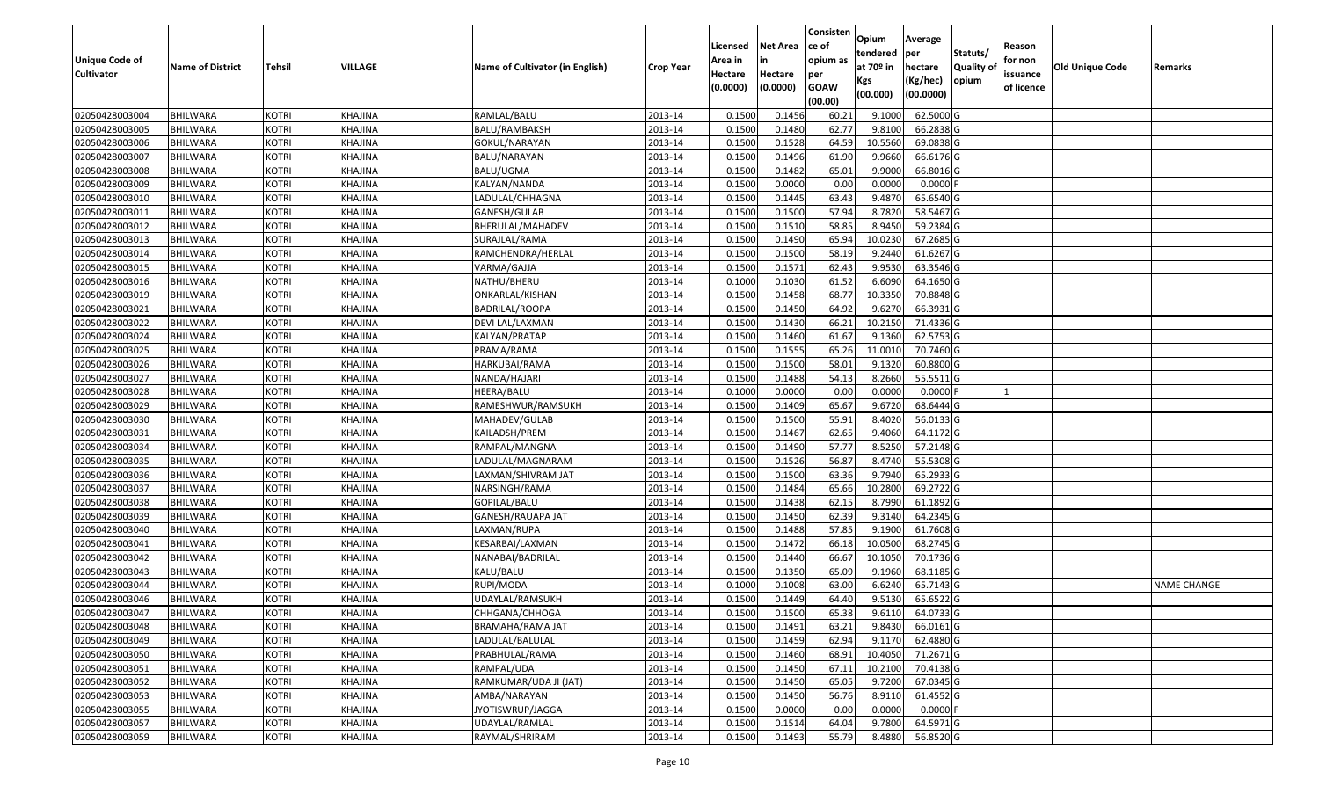|                       |                         |               |                |                                 |                  |          |                 | Consisten   | Opium       | Average    |                  |            |                        |                    |
|-----------------------|-------------------------|---------------|----------------|---------------------------------|------------------|----------|-----------------|-------------|-------------|------------|------------------|------------|------------------------|--------------------|
|                       |                         |               |                |                                 |                  | Licensed | <b>Net Area</b> | ce of       | tendered    | per        | Statuts/         | Reason     |                        |                    |
| <b>Unique Code of</b> | <b>Name of District</b> | <b>Tehsil</b> | <b>VILLAGE</b> | Name of Cultivator (in English) | <b>Crop Year</b> | Area in  | in              | opium as    | at $70°$ in | hectare    | <b>Quality o</b> | for non    | <b>Old Unique Code</b> | Remarks            |
| <b>Cultivator</b>     |                         |               |                |                                 |                  | Hectare  | Hectare         | per         | Kgs         | (Kg/hec)   | opium            | issuance   |                        |                    |
|                       |                         |               |                |                                 |                  | (0.0000) | (0.0000)        | <b>GOAW</b> | (00.000)    | (00.0000)  |                  | of licence |                        |                    |
|                       |                         |               |                |                                 |                  |          |                 | (00.00)     |             |            |                  |            |                        |                    |
| 02050428003004        | <b>BHILWARA</b>         | <b>KOTRI</b>  | KHAJINA        | RAMLAL/BALU                     | 2013-14          | 0.1500   | 0.1456          | 60.2        | 9.1000      | 62.5000G   |                  |            |                        |                    |
| 02050428003005        | <b>BHILWARA</b>         | <b>KOTRI</b>  | KHAJINA        | BALU/RAMBAKSH                   | 2013-14          | 0.1500   | 0.1480          | 62.77       | 9.8100      | 66.2838 G  |                  |            |                        |                    |
| 02050428003006        | BHILWARA                | <b>KOTRI</b>  | KHAJINA        | GOKUL/NARAYAN                   | 2013-14          | 0.1500   | 0.1528          | 64.59       | 10.5560     | 69.0838 G  |                  |            |                        |                    |
| 02050428003007        | <b>BHILWARA</b>         | <b>KOTRI</b>  | KHAJINA        | <b>BALU/NARAYAN</b>             | 2013-14          | 0.1500   | 0.1496          | 61.90       | 9.9660      | 66.6176 G  |                  |            |                        |                    |
| 02050428003008        | BHILWARA                | <b>KOTRI</b>  | KHAJINA        | BALU/UGMA                       | 2013-14          | 0.1500   | 0.1482          | 65.01       | 9.9000      | 66.8016 G  |                  |            |                        |                    |
| 02050428003009        | <b>BHILWARA</b>         | <b>KOTRI</b>  | KHAJINA        | KALYAN/NANDA                    | 2013-14          | 0.1500   | 0.0000          | 0.00        | 0.0000      | $0.0000$ F |                  |            |                        |                    |
| 02050428003010        | BHILWARA                | <b>KOTRI</b>  | KHAJINA        | LADULAL/CHHAGNA                 | 2013-14          | 0.1500   | 0.1445          | 63.43       | 9.4870      | 65.6540 G  |                  |            |                        |                    |
| 02050428003011        | <b>BHILWARA</b>         | <b>KOTRI</b>  | KHAJINA        | GANESH/GULAB                    | 2013-14          | 0.1500   | 0.1500          | 57.94       | 8.7820      | 58.5467 G  |                  |            |                        |                    |
| 02050428003012        | <b>BHILWARA</b>         | <b>KOTRI</b>  | KHAJINA        | BHERULAL/MAHADEV                | 2013-14          | 0.1500   | 0.1510          | 58.85       | 8.9450      | 59.2384 G  |                  |            |                        |                    |
| 02050428003013        | <b>BHILWARA</b>         | <b>KOTRI</b>  | KHAJINA        | SURAJLAL/RAMA                   | 2013-14          | 0.1500   | 0.1490          | 65.94       | 10.0230     | 67.2685 G  |                  |            |                        |                    |
| 02050428003014        | <b>BHILWARA</b>         | <b>KOTRI</b>  | KHAJINA        | RAMCHENDRA/HERLAL               | 2013-14          | 0.1500   | 0.1500          | 58.19       | 9.2440      | 61.6267 G  |                  |            |                        |                    |
| 02050428003015        | <b>BHILWARA</b>         | <b>KOTRI</b>  | KHAJINA        | VARMA/GAJJA                     | 2013-14          | 0.1500   | 0.1571          | 62.43       | 9.9530      | 63.3546 G  |                  |            |                        |                    |
| 02050428003016        | <b>BHILWARA</b>         | <b>KOTRI</b>  | KHAJINA        | NATHU/BHERU                     | 2013-14          | 0.1000   | 0.1030          | 61.52       | 6.6090      | 64.1650 G  |                  |            |                        |                    |
| 02050428003019        | <b>BHILWARA</b>         | <b>KOTRI</b>  | KHAJINA        | ONKARLAL/KISHAN                 | 2013-14          | 0.1500   | 0.1458          | 68.77       | 10.3350     | 70.8848 G  |                  |            |                        |                    |
| 02050428003021        | BHILWARA                | <b>KOTRI</b>  | KHAJINA        | BADRILAL/ROOPA                  | 2013-14          | 0.1500   | 0.1450          | 64.92       | 9.6270      | 66.3931 G  |                  |            |                        |                    |
| 02050428003022        | <b>BHILWARA</b>         | <b>KOTRI</b>  | KHAJINA        | DEVI LAL/LAXMAN                 | 2013-14          | 0.1500   | 0.1430          | 66.21       | 10.2150     | 71.4336 G  |                  |            |                        |                    |
| 02050428003024        | <b>BHILWARA</b>         | <b>KOTRI</b>  | KHAJINA        | KALYAN/PRATAP                   | 2013-14          | 0.1500   | 0.1460          | 61.67       | 9.1360      | 62.5753 G  |                  |            |                        |                    |
| 02050428003025        | <b>BHILWARA</b>         | <b>KOTRI</b>  | KHAJINA        | PRAMA/RAMA                      | 2013-14          | 0.1500   | 0.1555          | 65.26       | 11.0010     | 70.7460 G  |                  |            |                        |                    |
| 02050428003026        | <b>BHILWARA</b>         | <b>KOTRI</b>  | KHAJINA        | HARKUBAI/RAMA                   | 2013-14          | 0.1500   | 0.1500          | 58.01       | 9.1320      | 60.8800 G  |                  |            |                        |                    |
| 02050428003027        | BHILWARA                | <b>KOTRI</b>  | KHAJINA        | NANDA/HAJARI                    | 2013-14          | 0.1500   | 0.1488          | 54.13       | 8.2660      | 55.5511G   |                  |            |                        |                    |
| 02050428003028        | <b>BHILWARA</b>         | <b>KOTRI</b>  | KHAJINA        | HEERA/BALU                      | 2013-14          | 0.100    | 0.0000          | 0.00        | 0.0000      | 0.0000     |                  |            |                        |                    |
| 02050428003029        | <b>BHILWARA</b>         | <b>KOTRI</b>  | KHAJINA        | RAMESHWUR/RAMSUKH               | 2013-14          | 0.1500   | 0.1409          | 65.67       | 9.6720      | 68.6444 G  |                  |            |                        |                    |
| 02050428003030        | <b>BHILWARA</b>         | <b>KOTRI</b>  | KHAJINA        | MAHADEV/GULAB                   | 2013-14          | 0.1500   | 0.1500          | 55.91       | 8.4020      | 56.0133 G  |                  |            |                        |                    |
| 02050428003031        | <b>BHILWARA</b>         | <b>KOTRI</b>  | KHAJINA        | KAILADSH/PREM                   | 2013-14          | 0.1500   | 0.1467          | 62.65       | 9.4060      | 64.1172 G  |                  |            |                        |                    |
| 02050428003034        | <b>BHILWARA</b>         | <b>KOTRI</b>  | <b>KHAJINA</b> | RAMPAL/MANGNA                   | 2013-14          | 0.1500   | 0.1490          | 57.77       | 8.5250      | 57.2148 G  |                  |            |                        |                    |
| 02050428003035        | <b>BHILWARA</b>         | <b>KOTRI</b>  | KHAJINA        | LADULAL/MAGNARAM                | 2013-14          | 0.1500   | 0.1526          | 56.87       | 8.4740      | 55.5308 G  |                  |            |                        |                    |
| 02050428003036        | <b>BHILWARA</b>         | <b>KOTRI</b>  | KHAJINA        | LAXMAN/SHIVRAM JAT              | 2013-14          | 0.1500   | 0.1500          | 63.36       | 9.7940      | 65.2933 G  |                  |            |                        |                    |
| 02050428003037        | <b>BHILWARA</b>         | <b>KOTRI</b>  | KHAJINA        | NARSINGH/RAMA                   | 2013-14          | 0.1500   | 0.1484          | 65.66       | 10.2800     | 69.2722 G  |                  |            |                        |                    |
| 02050428003038        | <b>BHILWARA</b>         | <b>KOTRI</b>  | KHAJINA        | GOPILAL/BALU                    | 2013-14          | 0.1500   | 0.1438          | 62.15       | 8.7990      | 61.1892 G  |                  |            |                        |                    |
| 02050428003039        | BHILWARA                | <b>KOTRI</b>  | KHAJINA        | GANESH/RAUAPA JAT               | 2013-14          | 0.1500   | 0.1450          | 62.39       | 9.3140      | 64.2345 G  |                  |            |                        |                    |
| 02050428003040        | <b>BHILWARA</b>         | <b>KOTRI</b>  | KHAJINA        | LAXMAN/RUPA                     | 2013-14          | 0.1500   | 0.1488          | 57.85       | 9.1900      | 61.7608 G  |                  |            |                        |                    |
| 02050428003041        | BHILWARA                | <b>KOTRI</b>  | KHAJINA        | KESARBAI/LAXMAN                 | 2013-14          | 0.1500   | 0.1472          | 66.18       | 10.0500     | 68.2745 G  |                  |            |                        |                    |
| 02050428003042        | <b>BHILWARA</b>         | <b>KOTRI</b>  | KHAJINA        | NANABAI/BADRILAL                | 2013-14          | 0.1500   | 0.1440          | 66.67       | 10.1050     | 70.1736 G  |                  |            |                        |                    |
| 02050428003043        | BHILWARA                | <b>KOTRI</b>  | KHAJINA        | KALU/BALU                       | 2013-14          | 0.1500   | 0.1350          | 65.09       | 9.1960      | 68.1185 G  |                  |            |                        |                    |
| 02050428003044        | <b>BHILWARA</b>         | <b>KOTRI</b>  | <b>KHAJINA</b> | RUPI/MODA                       | 2013-14          | 0.1000   | 0.1008          | 63.00       | 6.6240      | 65.7143 G  |                  |            |                        | <b>NAME CHANGE</b> |
| 02050428003046        | <b>BHILWARA</b>         | <b>KOTRI</b>  | KHAJINA        | UDAYLAL/RAMSUKH                 | 2013-14          | 0.1500   | 0.1449          | 64.40       | 9.5130      | 65.6522G   |                  |            |                        |                    |
| 02050428003047        | <b>BHILWARA</b>         | <b>KOTRI</b>  | KHAJINA        | CHHGANA/CHHOGA                  | 2013-14          | 0.1500   | 0.1500          | 65.38       | 9.6110      | 64.0733 G  |                  |            |                        |                    |
| 02050428003048        | <b>BHILWARA</b>         | <b>KOTRI</b>  | KHAJINA        | BRAMAHA/RAMA JAT                | 2013-14          | 0.1500   | 0.1491          | 63.21       | 9.8430      | 66.0161 G  |                  |            |                        |                    |
| 02050428003049        | <b>BHILWARA</b>         | <b>KOTRI</b>  | KHAJINA        | LADULAL/BALULAL                 | 2013-14          | 0.1500   | 0.1459          | 62.94       | 9.1170      | 62.4880 G  |                  |            |                        |                    |
| 02050428003050        | <b>BHILWARA</b>         | <b>KOTRI</b>  | KHAJINA        | PRABHULAL/RAMA                  | 2013-14          | 0.1500   | 0.1460          | 68.91       | 10.4050     | 71.2671 G  |                  |            |                        |                    |
| 02050428003051        | <b>BHILWARA</b>         | <b>KOTRI</b>  | KHAJINA        | RAMPAL/UDA                      | 2013-14          | 0.1500   | 0.1450          | 67.11       | 10.2100     | 70.4138 G  |                  |            |                        |                    |
| 02050428003052        | <b>BHILWARA</b>         | <b>KOTRI</b>  | <b>KHAJINA</b> | RAMKUMAR/UDA JI (JAT)           | 2013-14          | 0.1500   | 0.1450          | 65.05       | 9.7200      | 67.0345 G  |                  |            |                        |                    |
| 02050428003053        | <b>BHILWARA</b>         | <b>KOTRI</b>  | KHAJINA        | AMBA/NARAYAN                    | 2013-14          | 0.1500   | 0.1450          | 56.76       | 8.9110      | 61.4552 G  |                  |            |                        |                    |
| 02050428003055        | <b>BHILWARA</b>         | <b>KOTRI</b>  | KHAJINA        | JYOTISWRUP/JAGGA                | 2013-14          | 0.1500   | 0.0000          | 0.00        | 0.0000      | $0.0000$ F |                  |            |                        |                    |
| 02050428003057        | <b>BHILWARA</b>         | <b>KOTRI</b>  | KHAJINA        | UDAYLAL/RAMLAL                  | 2013-14          | 0.1500   | 0.1514          | 64.04       | 9.7800      | 64.5971 G  |                  |            |                        |                    |
| 02050428003059        | <b>BHILWARA</b>         | <b>KOTRI</b>  | <b>KHAJINA</b> | RAYMAL/SHRIRAM                  | 2013-14          | 0.1500   | 0.1493          | 55.79       | 8.4880      | 56.8520 G  |                  |            |                        |                    |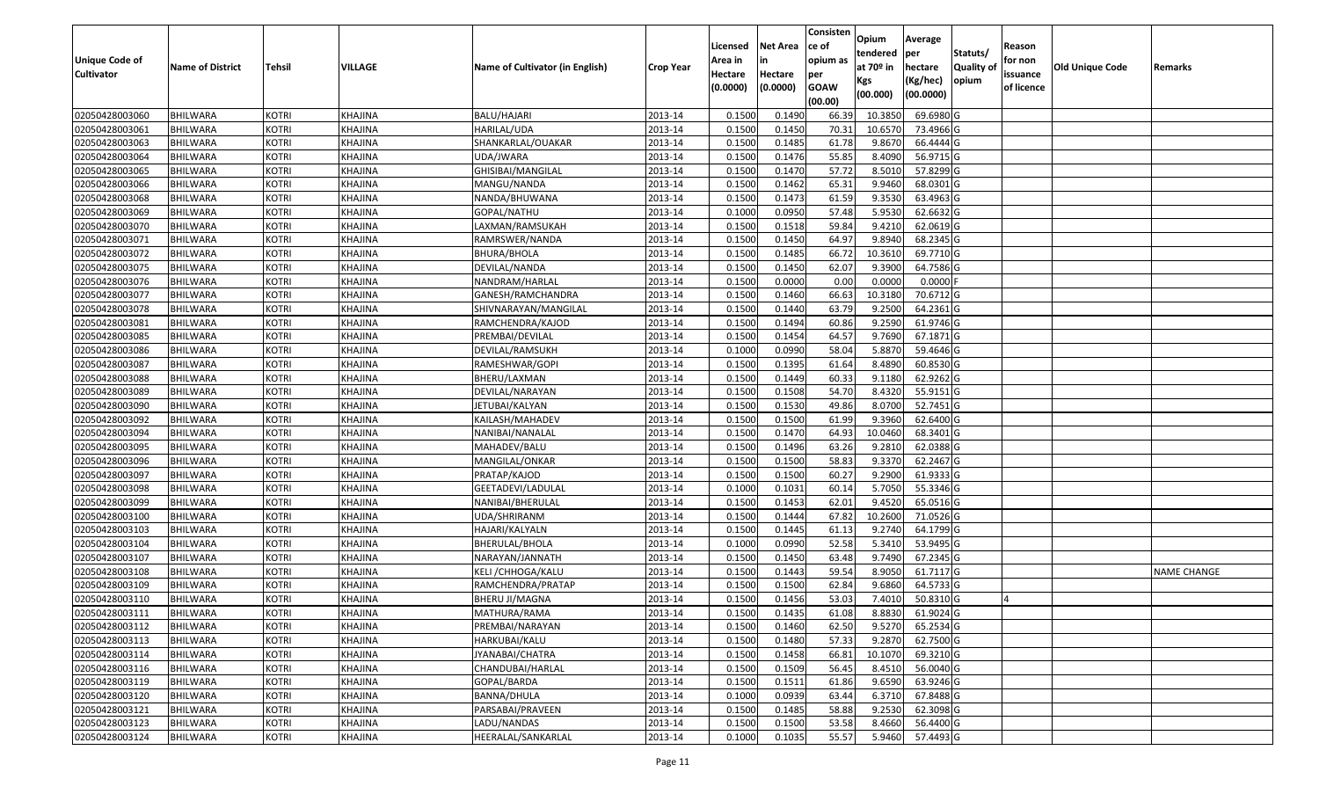|                   |                         |               |                |                                 |                  |          |                 | Consisten   | Opium       | Average                |                  |            |                        |                    |
|-------------------|-------------------------|---------------|----------------|---------------------------------|------------------|----------|-----------------|-------------|-------------|------------------------|------------------|------------|------------------------|--------------------|
|                   |                         |               |                |                                 |                  | Licensed | <b>Net Area</b> | ce of       | tendered    | per                    | Statuts/         | Reason     |                        |                    |
| Unique Code of    | <b>Name of District</b> | <b>Tehsil</b> | VILLAGE        | Name of Cultivator (in English) | <b>Crop Year</b> | Area in  | in              | opium as    | at $70°$ in | hectare                | <b>Quality o</b> | for non    | <b>Old Unique Code</b> | Remarks            |
| <b>Cultivator</b> |                         |               |                |                                 |                  | Hectare  | Hectare         | per         | Kgs         | (Kg/hec)               | opium            | issuance   |                        |                    |
|                   |                         |               |                |                                 |                  | (0.0000) | (0.0000)        | <b>GOAW</b> | (00.000)    | (00.0000)              |                  | of licence |                        |                    |
|                   |                         |               |                |                                 |                  |          |                 | (00.00)     |             |                        |                  |            |                        |                    |
| 02050428003060    | <b>BHILWARA</b>         | <b>KOTRI</b>  | KHAJINA        | BALU/HAJARI                     | 2013-14          | 0.1500   | 0.1490          | 66.39       | 10.385      | 69.6980 G              |                  |            |                        |                    |
| 02050428003061    | <b>BHILWARA</b>         | <b>KOTRI</b>  | KHAJINA        | HARILAL/UDA                     | 2013-14          | 0.1500   | 0.1450          | 70.3        | 10.6570     | 73.4966 G              |                  |            |                        |                    |
| 02050428003063    | <b>BHILWARA</b>         | <b>KOTRI</b>  | KHAJINA        | SHANKARLAL/OUAKAR               | 2013-14          | 0.1500   | 0.1485          | 61.78       | 9.8670      | 66.4444 G              |                  |            |                        |                    |
| 02050428003064    | <b>BHILWARA</b>         | <b>KOTRI</b>  | <b>KHAJINA</b> | UDA/JWARA                       | 2013-14          | 0.1500   | 0.1476          | 55.85       | 8.4090      | 56.9715 G              |                  |            |                        |                    |
| 02050428003065    | BHILWARA                | <b>KOTRI</b>  | KHAJINA        | GHISIBAI/MANGILAL               | 2013-14          | 0.1500   | 0.1470          | 57.72       | 8.5010      | 57.8299 G              |                  |            |                        |                    |
| 02050428003066    | <b>BHILWARA</b>         | <b>KOTRI</b>  | KHAJINA        | MANGU/NANDA                     | 2013-14          | 0.1500   | 0.1462          | 65.31       | 9.9460      | 68.0301G               |                  |            |                        |                    |
| 02050428003068    | BHILWARA                | <b>KOTRI</b>  | KHAJINA        | NANDA/BHUWANA                   | 2013-14          | 0.1500   | 0.1473          | 61.59       | 9.3530      | 63.4963 G              |                  |            |                        |                    |
| 02050428003069    | <b>BHILWARA</b>         | <b>KOTRI</b>  | <b>KHAJINA</b> | GOPAL/NATHU                     | 2013-14          | 0.1000   | 0.0950          | 57.48       | 5.9530      | 62.6632 G              |                  |            |                        |                    |
| 02050428003070    | <b>BHILWARA</b>         | <b>KOTRI</b>  | KHAJINA        | LAXMAN/RAMSUKAH                 | 2013-14          | 0.1500   | 0.1518          | 59.84       | 9.4210      | 62.0619 G              |                  |            |                        |                    |
| 02050428003071    | <b>BHILWARA</b>         | <b>KOTRI</b>  | KHAJINA        | RAMRSWER/NANDA                  | 2013-14          | 0.1500   | 0.1450          | 64.97       | 9.8940      | 68.2345 G              |                  |            |                        |                    |
| 02050428003072    | <b>BHILWARA</b>         | <b>KOTRI</b>  | KHAJINA        | BHURA/BHOLA                     | 2013-14          | 0.1500   | 0.1485          | 66.72       | 10.3610     | 69.7710 G              |                  |            |                        |                    |
| 02050428003075    | <b>BHILWARA</b>         | <b>KOTRI</b>  | KHAJINA        | DEVILAL/NANDA                   | 2013-14          | 0.1500   | 0.1450          | 62.07       | 9.3900      | 64.7586 G              |                  |            |                        |                    |
| 02050428003076    | <b>BHILWARA</b>         | <b>KOTRI</b>  | KHAJINA        | NANDRAM/HARLAL                  | 2013-14          | 0.1500   | 0.0000          | 0.00        | 0.0000      | $0.0000$ F             |                  |            |                        |                    |
| 02050428003077    | <b>BHILWARA</b>         | <b>KOTRI</b>  | KHAJINA        | GANESH/RAMCHANDRA               | 2013-14          | 0.1500   | 0.1460          | 66.63       | 10.3180     | 70.6712 G              |                  |            |                        |                    |
| 02050428003078    | BHILWARA                | <b>KOTRI</b>  | KHAJINA        | SHIVNARAYAN/MANGILAL            | 2013-14          | 0.1500   | 0.1440          | 63.79       | 9.2500      | 64.2361 G              |                  |            |                        |                    |
| 02050428003081    | <b>BHILWARA</b>         | <b>KOTRI</b>  | KHAJINA        | RAMCHENDRA/KAJOD                | 2013-14          | 0.1500   | 0.1494          | 60.86       | 9.2590      | 61.9746 G              |                  |            |                        |                    |
| 02050428003085    | <b>BHILWARA</b>         | <b>KOTRI</b>  | KHAJINA        | PREMBAI/DEVILAL                 | 2013-14          | 0.1500   | 0.1454          | 64.57       | 9.7690      | 67.1871 G              |                  |            |                        |                    |
| 02050428003086    | BHILWARA                | <b>KOTRI</b>  | KHAJINA        | DEVILAL/RAMSUKH                 | 2013-14          | 0.1000   | 0.0990          | 58.04       | 5.8870      | $\overline{59.4646}$ G |                  |            |                        |                    |
| 02050428003087    | <b>BHILWARA</b>         | <b>KOTRI</b>  | KHAJINA        | RAMESHWAR/GOPI                  | 2013-14          | 0.1500   | 0.1395          | 61.64       | 8.4890      | 60.8530 G              |                  |            |                        |                    |
| 02050428003088    | BHILWARA                | <b>KOTRI</b>  | KHAJINA        | BHERU/LAXMAN                    | 2013-14          | 0.1500   | 0.1449          | 60.33       | 9.1180      | 62.9262 G              |                  |            |                        |                    |
| 02050428003089    | <b>BHILWARA</b>         | <b>KOTRI</b>  | KHAJINA        | DEVILAL/NARAYAN                 | 2013-14          | 0.1500   | 0.1508          | 54.70       | 8.4320      | 55.9151 G              |                  |            |                        |                    |
| 02050428003090    | <b>BHILWARA</b>         | <b>KOTRI</b>  | KHAJINA        | JETUBAI/KALYAN                  | 2013-14          | 0.1500   | 0.1530          | 49.86       | 8.0700      | 52.7451 G              |                  |            |                        |                    |
| 02050428003092    | <b>BHILWARA</b>         | <b>KOTRI</b>  | KHAJINA        | KAILASH/MAHADEV                 | 2013-14          | 0.1500   | 0.1500          | 61.99       | 9.3960      | 62.6400 G              |                  |            |                        |                    |
| 02050428003094    | <b>BHILWARA</b>         | <b>KOTRI</b>  | KHAJINA        | NANIBAI/NANALAL                 | 2013-14          | 0.1500   | 0.1470          | 64.93       | 10.0460     | 68.3401 G              |                  |            |                        |                    |
| 02050428003095    | <b>BHILWARA</b>         | <b>KOTRI</b>  | <b>KHAJINA</b> | MAHADEV/BALU                    | 2013-14          | 0.1500   | 0.1496          | 63.26       | 9.2810      | 62.0388 G              |                  |            |                        |                    |
| 02050428003096    | BHILWARA                | <b>KOTRI</b>  | KHAJINA        | MANGILAL/ONKAR                  | 2013-14          | 0.1500   | 0.1500          | 58.83       | 9.3370      | 62.2467 G              |                  |            |                        |                    |
| 02050428003097    | <b>BHILWARA</b>         | <b>KOTRI</b>  | KHAJINA        | PRATAP/KAJOD                    | 2013-14          | 0.1500   | 0.1500          | 60.27       | 9.2900      | 61.9333 G              |                  |            |                        |                    |
| 02050428003098    | <b>BHILWARA</b>         | <b>KOTRI</b>  | KHAJINA        | GEETADEVI/LADULAL               | 2013-14          | 0.1000   | 0.1031          | 60.14       | 5.7050      | 55.3346 G              |                  |            |                        |                    |
| 02050428003099    | <b>BHILWARA</b>         | <b>KOTRI</b>  | KHAJINA        | NANIBAI/BHERULAL                | 2013-14          | 0.1500   | 0.1453          | 62.01       | 9.4520      | 65.0516 G              |                  |            |                        |                    |
| 02050428003100    | BHILWARA                | <b>KOTRI</b>  | KHAJINA        | UDA/SHRIRANM                    | 2013-14          | 0.1500   | 0.1444          | 67.82       | 10.2600     | 71.0526 G              |                  |            |                        |                    |
| 02050428003103    | <b>BHILWARA</b>         | <b>KOTRI</b>  | KHAJINA        | HAJARI/KALYALN                  | 2013-14          | 0.1500   | 0.1445          | 61.13       | 9.2740      | 64.1799 G              |                  |            |                        |                    |
| 02050428003104    | BHILWARA                | <b>KOTRI</b>  | KHAJINA        | BHERULAL/BHOLA                  | 2013-14          | 0.1000   | 0.0990          | 52.58       | 5.3410      | 53.9495 G              |                  |            |                        |                    |
| 02050428003107    | <b>BHILWARA</b>         | <b>KOTRI</b>  | KHAJINA        | NARAYAN/JANNATH                 | 2013-14          | 0.1500   | 0.1450          | 63.48       | 9.7490      | 67.2345 G              |                  |            |                        |                    |
| 02050428003108    | BHILWARA                | <b>KOTRI</b>  | KHAJINA        | KELI / CHHOGA/KALU              | 2013-14          | 0.1500   | 0.1443          | 59.54       | 8.9050      | 61.7117G               |                  |            |                        | <b>NAME CHANGE</b> |
| 02050428003109    | <b>BHILWARA</b>         | <b>KOTRI</b>  | <b>KHAJINA</b> | RAMCHENDRA/PRATAP               | 2013-14          | 0.1500   | 0.1500          | 62.84       | 9.6860      | 64.5733 G              |                  |            |                        |                    |
| 02050428003110    | <b>BHILWARA</b>         | <b>KOTRI</b>  | KHAJINA        | BHERU JI/MAGNA                  | 2013-14          | 0.1500   | 0.1456          | 53.03       | 7.4010      | 50.8310 G              |                  |            |                        |                    |
| 02050428003111    | <b>BHILWARA</b>         | <b>KOTRI</b>  | KHAJINA        | MATHURA/RAMA                    | 2013-14          | 0.1500   | 0.1435          | 61.08       | 8.8830      | 61.9024 G              |                  |            |                        |                    |
| 02050428003112    | <b>BHILWARA</b>         | <b>KOTRI</b>  | KHAJINA        | PREMBAI/NARAYAN                 | 2013-14          | 0.1500   | 0.1460          | 62.50       | 9.5270      | 65.2534 G              |                  |            |                        |                    |
| 02050428003113    | <b>BHILWARA</b>         | <b>KOTRI</b>  | KHAJINA        | HARKUBAI/KALU                   | 2013-14          | 0.1500   | 0.1480          | 57.33       | 9.2870      | 62.7500 G              |                  |            |                        |                    |
| 02050428003114    | <b>BHILWARA</b>         | <b>KOTRI</b>  | KHAJINA        | JYANABAI/CHATRA                 | 2013-14          | 0.1500   | 0.1458          | 66.81       | 10.1070     | 69.3210 G              |                  |            |                        |                    |
| 02050428003116    | <b>BHILWARA</b>         | <b>KOTRI</b>  | KHAJINA        | CHANDUBAI/HARLAL                | 2013-14          | 0.1500   | 0.1509          | 56.45       | 8.4510      | 56.0040 G              |                  |            |                        |                    |
| 02050428003119    | <b>BHILWARA</b>         | <b>KOTRI</b>  | KHAJINA        | GOPAL/BARDA                     | 2013-14          | 0.1500   | 0.1511          | 61.86       | 9.6590      | 63.9246 G              |                  |            |                        |                    |
| 02050428003120    | <b>BHILWARA</b>         | <b>KOTRI</b>  | KHAJINA        | BANNA/DHULA                     | 2013-14          | 0.1000   | 0.0939          | 63.44       | 6.3710      | 67.8488 G              |                  |            |                        |                    |
| 02050428003121    | <b>BHILWARA</b>         | <b>KOTRI</b>  | KHAJINA        | PARSABAI/PRAVEEN                | 2013-14          | 0.1500   | 0.1485          | 58.88       | 9.2530      | 62.3098 G              |                  |            |                        |                    |
| 02050428003123    | <b>BHILWARA</b>         | <b>KOTRI</b>  | KHAJINA        | LADU/NANDAS                     | 2013-14          | 0.1500   | 0.1500          | 53.58       | 8.4660      | 56.4400 G              |                  |            |                        |                    |
| 02050428003124    | <b>BHILWARA</b>         | <b>KOTRI</b>  | <b>KHAJINA</b> | HEERALAL/SANKARLAL              | 2013-14          | 0.1000   | 0.1035          | 55.57       | 5.9460      | 57.4493 G              |                  |            |                        |                    |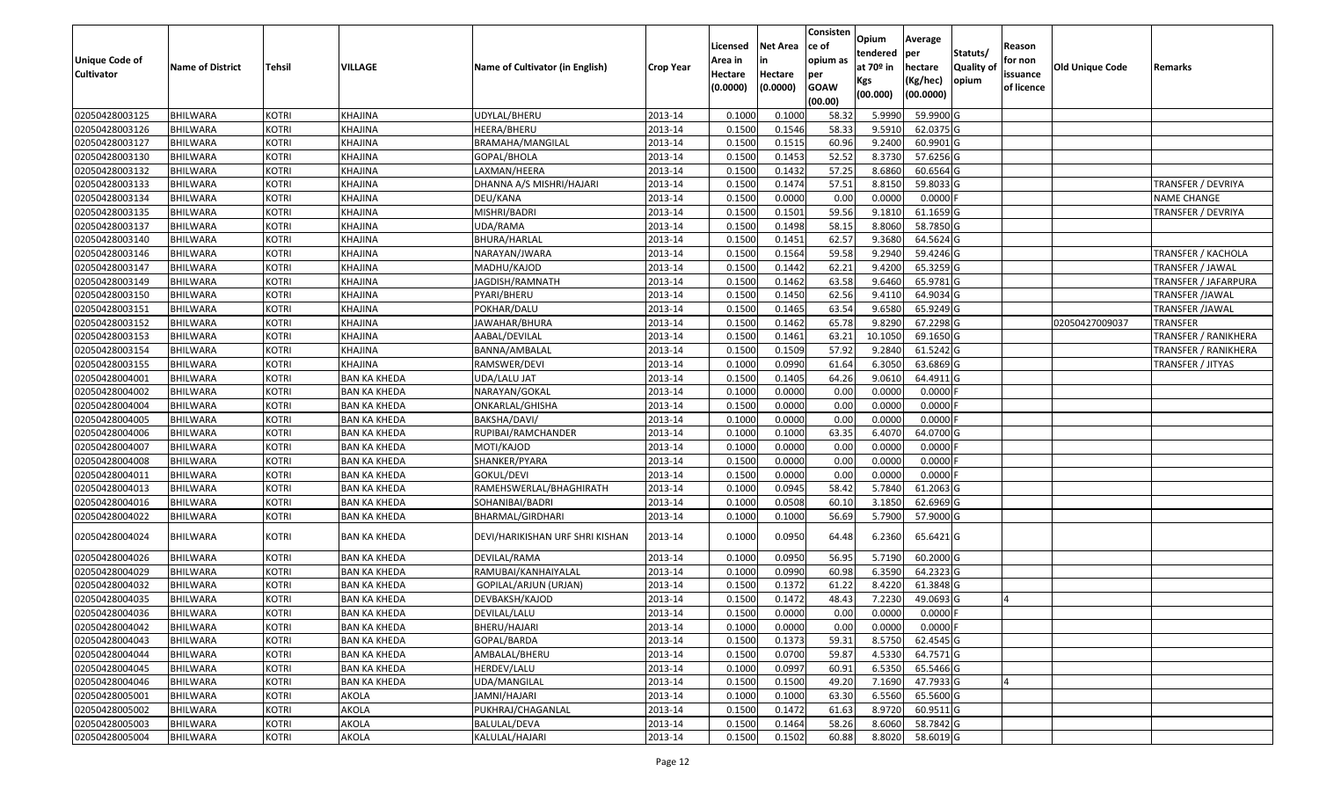| <b>Unique Code of</b><br><b>Cultivator</b> | <b>Name of District</b> | <b>Tehsil</b> | VILLAGE             | Name of Cultivator (in English) | <b>Crop Year</b> | Licensed<br>Area in<br>Hectare<br>(0.0000) | <b>Net Area</b><br>in<br>Hectare<br>(0.0000) | Consisten<br>ce of<br>opium as<br>per<br><b>GOAW</b><br>(00.00) | Opium<br>tendered<br>at $70°$ in<br>Kgs<br>(00.000) | Average<br>per<br>hectare<br>(Kg/hec)<br>(00.0000) | Statuts/<br>Quality of<br>opium | Reason<br>for non<br>issuance<br>of licence | <b>Old Unique Code</b> | Remarks                     |
|--------------------------------------------|-------------------------|---------------|---------------------|---------------------------------|------------------|--------------------------------------------|----------------------------------------------|-----------------------------------------------------------------|-----------------------------------------------------|----------------------------------------------------|---------------------------------|---------------------------------------------|------------------------|-----------------------------|
| 02050428003125                             | <b>BHILWARA</b>         | <b>KOTRI</b>  | KHAJINA             | UDYLAL/BHERU                    | 2013-14          | 0.100                                      | 0.1000                                       | 58.32                                                           | 5.9990                                              | 59.9900 G                                          |                                 |                                             |                        |                             |
| 02050428003126                             | <b>BHILWARA</b>         | <b>KOTRI</b>  | KHAJINA             | HEERA/BHERU                     | 2013-14          | 0.1500                                     | 0.1546                                       | 58.33                                                           | 9.5910                                              | 62.0375 G                                          |                                 |                                             |                        |                             |
| 02050428003127                             | BHILWARA                | <b>KOTRI</b>  | KHAJINA             | BRAMAHA/MANGILAL                | 2013-14          | 0.1500                                     | 0.1515                                       | 60.96                                                           | 9.2400                                              | 60.9901G                                           |                                 |                                             |                        |                             |
| 02050428003130                             | <b>BHILWARA</b>         | <b>KOTRI</b>  | KHAJINA             | GOPAL/BHOLA                     | 2013-14          | 0.1500                                     | 0.1453                                       | 52.52                                                           | 8.3730                                              | 57.6256 G                                          |                                 |                                             |                        |                             |
| 02050428003132                             | BHILWARA                | <b>KOTRI</b>  | KHAJINA             | LAXMAN/HEERA                    | 2013-14          | 0.1500                                     | 0.1432                                       | 57.25                                                           | 8.6860                                              | 60.6564 G                                          |                                 |                                             |                        |                             |
| 02050428003133                             | BHILWARA                | <b>KOTRI</b>  | KHAJINA             | DHANNA A/S MISHRI/HAJARI        | 2013-14          | 0.1500                                     | 0.1474                                       | 57.53                                                           | 8.8150                                              | 59.8033 G                                          |                                 |                                             |                        | <b>TRANSFER / DEVRIYA</b>   |
| 02050428003134                             | BHILWARA                | <b>KOTRI</b>  | KHAJINA             | DEU/KANA                        | 2013-14          | 0.1500                                     | 0.0000                                       | 0.00                                                            | 0.0000                                              | 0.0000F                                            |                                 |                                             |                        | <b>NAME CHANGE</b>          |
| 02050428003135                             | <b>BHILWARA</b>         | <b>KOTRI</b>  | KHAJINA             | MISHRI/BADRI                    | 2013-14          | 0.1500                                     | 0.1501                                       | 59.56                                                           | 9.1810                                              | 61.1659 G                                          |                                 |                                             |                        | <b>TRANSFER / DEVRIYA</b>   |
| 02050428003137                             | BHILWARA                | <b>KOTRI</b>  | KHAJINA             | UDA/RAMA                        | 2013-14          | 0.1500                                     | 0.1498                                       | 58.15                                                           | 8.8060                                              | 58.7850 G                                          |                                 |                                             |                        |                             |
| 02050428003140                             | <b>BHILWARA</b>         | <b>KOTRI</b>  | KHAJINA             | BHURA/HARLAL                    | 2013-14          | 0.1500                                     | 0.1451                                       | 62.57                                                           | 9.3680                                              | 64.5624 G                                          |                                 |                                             |                        |                             |
| 02050428003146                             | BHILWARA                | <b>KOTRI</b>  | KHAJINA             | NARAYAN/JWARA                   | 2013-14          | 0.1500                                     | 0.1564                                       | 59.58                                                           | 9.2940                                              | 59.4246 G                                          |                                 |                                             |                        | <b>TRANSFER / KACHOLA</b>   |
| 02050428003147                             | <b>BHILWARA</b>         | <b>KOTRI</b>  | KHAJINA             | MADHU/KAJOD                     | 2013-14          | 0.1500                                     | 0.1442                                       | 62.21                                                           | 9.4200                                              | 65.3259 G                                          |                                 |                                             |                        | TRANSFER / JAWAL            |
| 02050428003149                             | <b>BHILWARA</b>         | <b>KOTRI</b>  | KHAJINA             | JAGDISH/RAMNATH                 | 2013-14          | 0.1500                                     | 0.1462                                       | 63.58                                                           | 9.6460                                              | 65.9781 G                                          |                                 |                                             |                        | <b>TRANSFER / JAFARPURA</b> |
| 02050428003150                             | <b>BHILWARA</b>         | <b>KOTRI</b>  | KHAJINA             | PYARI/BHERU                     | 2013-14          | 0.1500                                     | 0.1450                                       | 62.56                                                           | 9.4110                                              | 64.9034 G                                          |                                 |                                             |                        | <b>TRANSFER /JAWAL</b>      |
| 02050428003151                             | BHILWARA                | <b>KOTRI</b>  | KHAJINA             | POKHAR/DALU                     | 2013-14          | 0.1500                                     | 0.1465                                       | 63.54                                                           | 9.6580                                              | 65.9249 G                                          |                                 |                                             |                        | TRANSFER / JAWAL            |
| 02050428003152                             | <b>BHILWARA</b>         | <b>KOTRI</b>  | KHAJINA             | IAWAHAR/BHURA                   | 2013-14          | 0.1500                                     | 0.1462                                       | 65.78                                                           | 9.8290                                              | 67.2298 G                                          |                                 |                                             | 02050427009037         | <b>TRANSFER</b>             |
| 02050428003153                             | <b>BHILWARA</b>         | <b>KOTRI</b>  | KHAJINA             | AABAL/DEVILAL                   | 2013-14          | 0.1500                                     | 0.1461                                       | 63.21                                                           | 10.1050                                             | 69.1650 G                                          |                                 |                                             |                        | <b>TRANSFER / RANIKHERA</b> |
| 02050428003154                             | BHILWARA                | <b>KOTRI</b>  | KHAJINA             | BANNA/AMBALAL                   | 2013-14          | 0.150                                      | 0.1509                                       | 57.92                                                           | 9.2840                                              | $61.5242$ G                                        |                                 |                                             |                        | TRANSFER / RANIKHERA        |
| 02050428003155                             | BHILWARA                | <b>KOTRI</b>  | KHAJINA             | RAMSWER/DEVI                    | 2013-14          | 0.1000                                     | 0.0990                                       | 61.64                                                           | 6.3050                                              | 63.6869 G                                          |                                 |                                             |                        | TRANSFER / JITYAS           |
| 02050428004001                             | <b>BHILWARA</b>         | <b>KOTRI</b>  | <b>BAN KA KHEDA</b> | UDA/LALU JAT                    | 2013-14          | 0.1500                                     | 0.1405                                       | 64.26                                                           | 9.0610                                              | 64.4911 G                                          |                                 |                                             |                        |                             |
| 02050428004002                             | <b>BHILWARA</b>         | <b>KOTRI</b>  | <b>BAN KA KHEDA</b> | NARAYAN/GOKAL                   | 2013-14          | 0.1000                                     | 0.0000                                       | 0.00                                                            | 0.0000                                              | $0.0000$ F                                         |                                 |                                             |                        |                             |
| 02050428004004                             | BHILWARA                | <b>KOTRI</b>  | <b>BAN KA KHEDA</b> | ONKARLAL/GHISHA                 | 2013-14          | 0.1500                                     | 0.0000                                       | 0.00                                                            | 0.0000                                              | 0.0000                                             |                                 |                                             |                        |                             |
| 02050428004005                             | BHILWARA                | <b>KOTRI</b>  | <b>BAN KA KHEDA</b> | BAKSHA/DAVI/                    | 2013-14          | 0.1000                                     | 0.0000                                       | 0.00                                                            | 0.0000                                              | $0.0000$ F                                         |                                 |                                             |                        |                             |
| 02050428004006                             | BHILWARA                | <b>KOTRI</b>  | <b>BAN KA KHEDA</b> | RUPIBAI/RAMCHANDER              | 2013-14          | 0.1000                                     | 0.1000                                       | 63.35                                                           | 6.4070                                              | 64.0700 G                                          |                                 |                                             |                        |                             |
| 02050428004007                             | <b>BHILWARA</b>         | <b>KOTRI</b>  | <b>BAN KA KHEDA</b> | MOTI/KAJOD                      | 2013-14          | 0.100                                      | 0.0000                                       | 0.00                                                            | 0.0000                                              | 0.0000                                             |                                 |                                             |                        |                             |
| 02050428004008                             | BHILWARA                | <b>KOTRI</b>  | <b>BAN KA KHEDA</b> | SHANKER/PYARA                   | 2013-14          | 0.150                                      | 0.0000                                       | 0.00                                                            | 0.0000                                              | 0.0000                                             |                                 |                                             |                        |                             |
| 02050428004011                             | <b>BHILWARA</b>         | <b>KOTRI</b>  | <b>BAN KA KHEDA</b> | GOKUL/DEVI                      | 2013-14          | 0.1500                                     | 0.0000                                       | 0.00                                                            | 0.0000                                              | $0.0000$ F                                         |                                 |                                             |                        |                             |
| 02050428004013                             | BHILWARA                | <b>KOTRI</b>  | <b>BAN KA KHEDA</b> | RAMEHSWERLAL/BHAGHIRATH         | 2013-14          | 0.100                                      | 0.0945                                       | 58.42                                                           | 5.7840                                              | 61.2063 G                                          |                                 |                                             |                        |                             |
| 02050428004016                             | <b>BHILWARA</b>         | <b>KOTRI</b>  | <b>BAN KA KHEDA</b> | SOHANIBAI/BADRI                 | 2013-14          | 0.1000                                     | 0.0508                                       | 60.10                                                           | 3.1850                                              | 62.6969 G                                          |                                 |                                             |                        |                             |
| 02050428004022                             | BHILWARA                | <b>KOTRI</b>  | <b>BAN KA KHEDA</b> | BHARMAL/GIRDHARI                | 2013-14          | 0.1000                                     | 0.1000                                       | 56.69                                                           | 5.7900                                              | 57.9000 G                                          |                                 |                                             |                        |                             |
| 02050428004024                             | BHILWARA                | <b>KOTRI</b>  | <b>BAN KA KHEDA</b> | DEVI/HARIKISHAN URF SHRI KISHAN | 2013-14          | 0.1000                                     | 0.0950                                       | 64.48                                                           | 6.2360                                              | 65.6421 G                                          |                                 |                                             |                        |                             |
| 02050428004026                             | <b>BHILWARA</b>         | <b>KOTRI</b>  | <b>BAN KA KHEDA</b> | DEVILAL/RAMA                    | 2013-14          | 0.100                                      | 0.0950                                       | 56.95                                                           | 5.7190                                              | 60.2000 G                                          |                                 |                                             |                        |                             |
| 02050428004029                             | BHILWARA                | <b>KOTRI</b>  | <b>BAN KA KHEDA</b> | RAMUBAI/KANHAIYALAL             | 2013-14          | 0.1000                                     | 0.0990                                       | 60.98                                                           | 6.3590                                              | 64.2323 G                                          |                                 |                                             |                        |                             |
| 02050428004032                             | <b>BHILWARA</b>         | <b>KOTRI</b>  | <b>BAN KA KHEDA</b> | GOPILAL/ARJUN (URJAN)           | 2013-14          | 0.150                                      | 0.1372                                       | 61.22                                                           | 8.4220                                              | 61.3848 G                                          |                                 |                                             |                        |                             |
| 02050428004035                             | BHILWARA                | <b>KOTRI</b>  | BAN KA KHEDA        | DEVBAKSH/KAJOD                  | 2013-14          | 0.1500                                     | 0.1472                                       | 48.43                                                           | 7.2230                                              | 49.0693 G                                          |                                 |                                             |                        |                             |
| 02050428004036                             | <b>BHILWARA</b>         | KOTRI         | <b>BAN KA KHEDA</b> | DEVILAL/LALU                    | 2013-14          | 0.1500                                     | 0.0000                                       | $0.00\,$                                                        | 0.0000                                              | 0.0000 F                                           |                                 |                                             |                        |                             |
| 02050428004042                             | <b>BHILWARA</b>         | <b>KOTRI</b>  | <b>BAN KA KHEDA</b> | BHERU/HAJARI                    | 2013-14          | 0.1000                                     | 0.0000                                       | 0.00                                                            | 0.0000                                              | $0.0000$ F                                         |                                 |                                             |                        |                             |
| 02050428004043                             | <b>BHILWARA</b>         | <b>KOTRI</b>  | <b>BAN KA KHEDA</b> | GOPAL/BARDA                     | 2013-14          | 0.1500                                     | 0.1373                                       | 59.31                                                           | 8.5750                                              | 62.4545 G                                          |                                 |                                             |                        |                             |
| 02050428004044                             | <b>BHILWARA</b>         | <b>KOTRI</b>  | <b>BAN KA KHEDA</b> | AMBALAL/BHERU                   | 2013-14          | 0.1500                                     | 0.0700                                       | 59.87                                                           | 4.5330                                              | 64.7571 G                                          |                                 |                                             |                        |                             |
| 02050428004045                             | <b>BHILWARA</b>         | <b>KOTRI</b>  | <b>BAN KA KHEDA</b> | HERDEV/LALU                     | 2013-14          | 0.1000                                     | 0.0997                                       | 60.91                                                           | 6.5350                                              | 65.5466 G                                          |                                 |                                             |                        |                             |
| 02050428004046                             | <b>BHILWARA</b>         | <b>KOTRI</b>  | <b>BAN KA KHEDA</b> | <b>UDA/MANGILAL</b>             | 2013-14          | 0.1500                                     | 0.1500                                       | 49.20                                                           | 7.1690                                              | 47.7933 G                                          |                                 |                                             |                        |                             |
| 02050428005001                             | <b>BHILWARA</b>         | <b>KOTRI</b>  | AKOLA               | JAMNI/HAJARI                    | 2013-14          | 0.1000                                     | 0.1000                                       | 63.30                                                           | 6.5560                                              | 65.5600 G                                          |                                 |                                             |                        |                             |
| 02050428005002                             | <b>BHILWARA</b>         | <b>KOTRI</b>  | AKOLA               | PUKHRAJ/CHAGANLAL               | 2013-14          | 0.1500                                     | 0.1472                                       | 61.63                                                           | 8.9720                                              | 60.9511 G                                          |                                 |                                             |                        |                             |
| 02050428005003                             | <b>BHILWARA</b>         | <b>KOTRI</b>  | AKOLA               | BALULAL/DEVA                    | 2013-14          | 0.1500                                     | 0.1464                                       | 58.26                                                           | 8.6060                                              | 58.7842 G                                          |                                 |                                             |                        |                             |
| 02050428005004                             | <b>BHILWARA</b>         | <b>KOTRI</b>  | AKOLA               | KALULAL/HAJARI                  | 2013-14          | 0.1500                                     | 0.1502                                       | 60.88                                                           | 8.8020                                              | 58.6019 G                                          |                                 |                                             |                        |                             |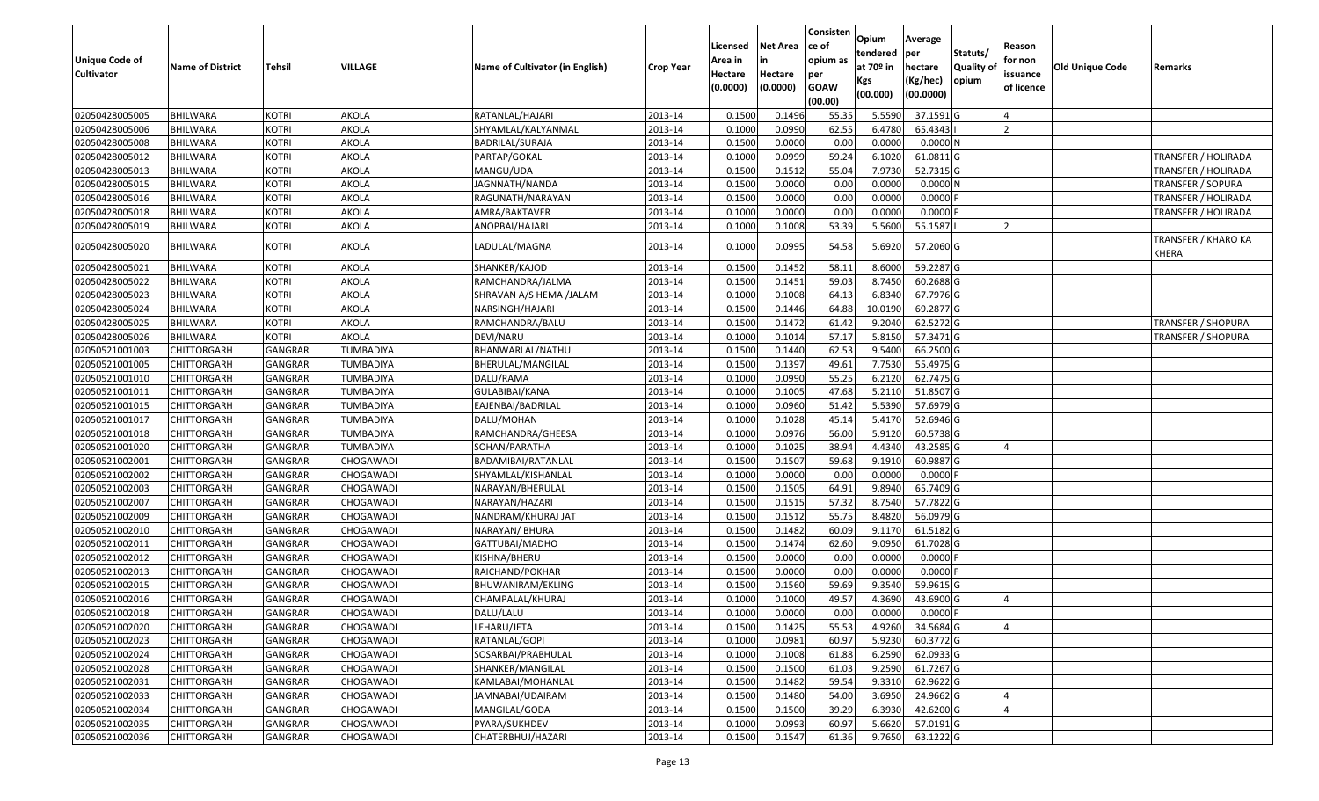|                       |                         |                |                  |                                 |                  | Licensed | <b>Net Area</b> | Consisten<br>ce of | Opium<br>tendered     | Average<br>per | Statuts/         | Reason     |                        |                                     |
|-----------------------|-------------------------|----------------|------------------|---------------------------------|------------------|----------|-----------------|--------------------|-----------------------|----------------|------------------|------------|------------------------|-------------------------------------|
| <b>Unique Code of</b> | <b>Name of District</b> | <b>Tehsil</b>  | VILLAGE          | Name of Cultivator (in English) | <b>Crop Year</b> | Area in  |                 | opium as           | at 70 <sup>o</sup> in | hectare        | <b>Quality o</b> | for non    | <b>Old Unique Code</b> | Remarks                             |
| <b>Cultivator</b>     |                         |                |                  |                                 |                  | Hectare  | Hectare         | per                | Kgs                   | (Kg/hec)       | opium            | issuance   |                        |                                     |
|                       |                         |                |                  |                                 |                  | (0.0000) | (0.0000)        | <b>GOAW</b>        | (00.000)              | (00.0000)      |                  | of licence |                        |                                     |
|                       |                         |                |                  |                                 |                  |          |                 | (00.00)            |                       |                |                  |            |                        |                                     |
| 02050428005005        | <b>BHILWARA</b>         | <b>KOTRI</b>   | AKOLA            | RATANLAL/HAJARI                 | 2013-14          | 0.1500   | 0.1496          | 55.35              | 5.5590                | 37.1591 G      |                  |            |                        |                                     |
| 02050428005006        | <b>BHILWARA</b>         | <b>KOTRI</b>   | AKOLA            | SHYAMLAL/KALYANMAL              | 2013-14          | 0.1000   | 0.0990          | 62.55              | 6.4780                | 65.4343        |                  |            |                        |                                     |
| 02050428005008        | BHILWARA                | <b>KOTRI</b>   | AKOLA            | BADRILAL/SURAJA                 | 2013-14          | 0.1500   | 0.0000          | 0.00               | 0.0000                | 0.0000N        |                  |            |                        |                                     |
| 02050428005012        | <b>BHILWARA</b>         | <b>KOTRI</b>   | AKOLA            | PARTAP/GOKAL                    | 2013-14          | 0.1000   | 0.0999          | 59.24              | 6.1020                | $61.0811$ G    |                  |            |                        | <b>TRANSFER / HOLIRADA</b>          |
| 02050428005013        | BHILWARA                | <b>KOTRI</b>   | AKOLA            | MANGU/UDA                       | 2013-14          | 0.1500   | 0.1512          | 55.04              | 7.9730                | 52.7315 G      |                  |            |                        | <b>TRANSFER / HOLIRADA</b>          |
| 02050428005015        | <b>BHILWARA</b>         | <b>KOTRI</b>   | AKOLA            | JAGNNATH/NANDA                  | 2013-14          | 0.1500   | 0.0000          | 0.00               | 0.0000                | 0.0000N        |                  |            |                        | TRANSFER / SOPURA                   |
| 02050428005016        | BHILWARA                | <b>KOTRI</b>   | AKOLA            | RAGUNATH/NARAYAN                | 2013-14          | 0.1500   | 0.0000          | 0.00               | 0.0000                | 0.0000         |                  |            |                        | <b>TRANSFER / HOLIRADA</b>          |
| 02050428005018        | <b>BHILWARA</b>         | <b>KOTRI</b>   | AKOLA            | AMRA/BAKTAVER                   | 2013-14          | 0.1000   | 0.0000          | 0.00               | 0.0000                | 0.0000         |                  |            |                        | <b>TRANSFER / HOLIRADA</b>          |
| 02050428005019        | BHILWARA                | <b>KOTRI</b>   | AKOLA            | ANOPBAI/HAJARI                  | 2013-14          | 0.1000   | 0.1008          | 53.39              | 5.5600                | 55.1587        |                  |            |                        |                                     |
| 02050428005020        | <b>BHILWARA</b>         | <b>KOTRI</b>   | AKOLA            | LADULAL/MAGNA                   | 2013-14          | 0.1000   | 0.0995          | 54.58              | 5.6920                | 57.2060 G      |                  |            |                        | <b>TRANSFER / KHARO KA</b><br>KHERA |
| 02050428005021        | BHILWARA                | <b>KOTRI</b>   | AKOLA            | SHANKER/KAJOD                   | 2013-14          | 0.1500   | 0.1452          | 58.1               | 8.6000                | 59.2287 G      |                  |            |                        |                                     |
| 02050428005022        | <b>BHILWARA</b>         | <b>KOTRI</b>   | AKOLA            | RAMCHANDRA/JALMA                | 2013-14          | 0.1500   | 0.1451          | 59.03              | 8.7450                | 60.2688G       |                  |            |                        |                                     |
| 02050428005023        | BHILWARA                | <b>KOTRI</b>   | AKOLA            | SHRAVAN A/S HEMA /JALAM         | 2013-14          | 0.1000   | 0.1008          | 64.13              | 6.8340                | 67.7976 G      |                  |            |                        |                                     |
| 02050428005024        | BHILWARA                | <b>KOTRI</b>   | AKOLA            | NARSINGH/HAJARI                 | 2013-14          | 0.1500   | 0.1446          | 64.88              | 10.0190               | 69.2877 G      |                  |            |                        |                                     |
| 02050428005025        | BHILWARA                | <b>KOTRI</b>   | AKOLA            | RAMCHANDRA/BALU                 | 2013-14          | 0.1500   | 0.1472          | 61.42              | 9.2040                | 62.5272 G      |                  |            |                        | <b>TRANSFER / SHOPURA</b>           |
| 02050428005026        | <b>BHILWARA</b>         | <b>KOTRI</b>   | AKOLA            | DEVI/NARU                       | 2013-14          | 0.100    | 0.1014          | 57.17              | 5.8150                | 57.3471 G      |                  |            |                        | <b>TRANSFER / SHOPURA</b>           |
| 02050521001003        | CHITTORGARH             | GANGRAR        | <b>TUMBADIYA</b> | BHANWARLAL/NATHU                | 2013-14          | 0.150    | 0.1440          | 62.53              | 9.5400                | 66.2500 G      |                  |            |                        |                                     |
| 02050521001005        | CHITTORGARH             | <b>GANGRAR</b> | TUMBADIYA        | BHERULAL/MANGILAL               | 2013-14          | 0.1500   | 0.1397          | 49.61              | 7.7530                | 55.4975 G      |                  |            |                        |                                     |
| 02050521001010        | CHITTORGARH             | GANGRAR        | TUMBADIYA        | DALU/RAMA                       | 2013-14          | 0.1000   | 0.0990          | 55.25              | 6.2120                | 62.7475 G      |                  |            |                        |                                     |
| 02050521001011        | CHITTORGARH             | <b>GANGRAR</b> | TUMBADIYA        | GULABIBAI/KANA                  | 2013-14          | 0.1000   | 0.1005          | 47.68              | 5.2110                | 51.8507 G      |                  |            |                        |                                     |
| 02050521001015        | CHITTORGARH             | <b>GANGRAR</b> | TUMBADIYA        | EAJENBAI/BADRILAL               | 2013-14          | 0.1000   | 0.0960          | 51.42              | 5.5390                | 57.6979 G      |                  |            |                        |                                     |
| 02050521001017        | CHITTORGARH             | GANGRAR        | TUMBADIYA        | DALU/MOHAN                      | 2013-14          | 0.1000   | 0.1028          | 45.14              | 5.4170                | 52.6946 G      |                  |            |                        |                                     |
| 02050521001018        | CHITTORGARH             | GANGRAR        | TUMBADIYA        | RAMCHANDRA/GHEESA               | 2013-14          | 0.1000   | 0.0976          | 56.00              | 5.9120                | 60.5738 G      |                  |            |                        |                                     |
| 02050521001020        | <b>CHITTORGARH</b>      | <b>GANGRAR</b> | <b>TUMBADIYA</b> | SOHAN/PARATHA                   | 2013-14          | 0.1000   | 0.1025          | 38.94              | 4.4340                | 43.2585 G      |                  |            |                        |                                     |
| 02050521002001        | CHITTORGARH             | GANGRAR        | CHOGAWADI        | BADAMIBAI/RATANLAL              | 2013-14          | 0.1500   | 0.1507          | 59.68              | 9.1910                | 60.9887 G      |                  |            |                        |                                     |
| 02050521002002        | CHITTORGARH             | GANGRAR        | CHOGAWADI        | SHYAMLAL/KISHANLAL              | 2013-14          | 0.1000   | 0.0000          | 0.00               | 0.0000                | $0.0000$ F     |                  |            |                        |                                     |
| 02050521002003        | CHITTORGARH             | GANGRAR        | CHOGAWADI        | NARAYAN/BHERULAL                | 2013-14          | 0.1500   | 0.1505          | 64.91              | 9.8940                | 65.7409 G      |                  |            |                        |                                     |
| 02050521002007        | CHITTORGARH             | <b>GANGRAR</b> | CHOGAWADI        | NARAYAN/HAZARI                  | 2013-14          | 0.1500   | 0.1515          | 57.32              | 8.7540                | 57.7822 G      |                  |            |                        |                                     |
| 02050521002009        | CHITTORGARH             | <b>GANGRAR</b> | CHOGAWADI        | NANDRAM/KHURAJ JAT              | 2013-14          | 0.1500   | 0.1512          | 55.75              | 8.4820                | 56.0979 G      |                  |            |                        |                                     |
| 02050521002010        | CHITTORGARH             | GANGRAR        | CHOGAWADI        | NARAYAN/ BHURA                  | 2013-14          | 0.1500   | 0.1482          | 60.09              | 9.1170                | 61.5182G       |                  |            |                        |                                     |
| 02050521002011        | CHITTORGARH             | GANGRAR        | CHOGAWADI        | GATTUBAI/MADHO                  | 2013-14          | 0.1500   | 0.1474          | 62.60              | 9.095                 | 61.7028 G      |                  |            |                        |                                     |
| 02050521002012        | CHITTORGARH             | <b>GANGRAR</b> | CHOGAWADI        | KISHNA/BHERU                    | 2013-14          | 0.1500   | 0.0000          | 0.00               | 0.0000                | $0.0000$ F     |                  |            |                        |                                     |
| 02050521002013        | <b>CHITTORGARH</b>      | <b>GANGRAR</b> | CHOGAWADI        | RAICHAND/POKHAR                 | 2013-14          | 0.1500   | 0.0000          | 0.00               | 0.0000                | $0.0000$ F     |                  |            |                        |                                     |
| 02050521002015        | CHITTORGARH             | GANGRAR        | CHOGAWADI        | BHUWANIRAM/EKLING               | 2013-14          | 0.150    | 0.1560          | 59.69              | 9.3540                | 59.9615 G      |                  |            |                        |                                     |
| 02050521002016        | CHITTORGARH             | <b>GANGRAR</b> | CHOGAWADI        | CHAMPALAL/KHURAJ                | 2013-14          | 0.1000   | 0.1000          | 49.57              | 4.3690                | 43.6900 G      |                  |            |                        |                                     |
| 02050521002018        | <b>CHITTORGARH</b>      | GANGRAR        | CHOGAWADI        | DALU/LALU                       | 2013-14          | 0.1000   | 0.0000          | 0.00               | 0.0000                | $0.0000$ F     |                  |            |                        |                                     |
| 02050521002020        | CHITTORGARH             | <b>GANGRAR</b> | CHOGAWADI        | LEHARU/JETA                     | 2013-14          | 0.1500   | 0.1425          | 55.53              | 4.9260                | 34.5684 G      |                  |            |                        |                                     |
| 02050521002023        | <b>CHITTORGARH</b>      | <b>GANGRAR</b> | CHOGAWADI        | RATANLAL/GOPI                   | 2013-14          | 0.1000   | 0.0981          | 60.97              | 5.9230                | 60.3772 G      |                  |            |                        |                                     |
| 02050521002024        | <b>CHITTORGARH</b>      | <b>GANGRAR</b> | CHOGAWADI        | SOSARBAI/PRABHULAL              | 2013-14          | 0.1000   | 0.1008          | 61.88              | 6.2590                | $62.0933$ G    |                  |            |                        |                                     |
| 02050521002028        | CHITTORGARH             | <b>GANGRAR</b> | CHOGAWADI        | SHANKER/MANGILAL                | 2013-14          | 0.1500   | 0.1500          | 61.03              | 9.2590                | 61.7267 G      |                  |            |                        |                                     |
| 02050521002031        | <b>CHITTORGARH</b>      | <b>GANGRAR</b> | CHOGAWADI        | KAMLABAI/MOHANLAL               | 2013-14          | 0.1500   | 0.1482          | 59.54              | 9.3310                | 62.9622 G      |                  |            |                        |                                     |
| 02050521002033        | <b>CHITTORGARH</b>      | <b>GANGRAR</b> | CHOGAWADI        | JAMNABAI/UDAIRAM                | 2013-14          | 0.1500   | 0.1480          | 54.00              | 3.6950                | 24.9662 G      |                  |            |                        |                                     |
| 02050521002034        | CHITTORGARH             | <b>GANGRAR</b> | CHOGAWADI        | MANGILAL/GODA                   | 2013-14          | 0.1500   | 0.1500          | 39.29              | 6.3930                | 42.6200 G      |                  |            |                        |                                     |
| 02050521002035        | CHITTORGARH             | <b>GANGRAR</b> | CHOGAWADI        | PYARA/SUKHDEV                   | 2013-14          | 0.1000   | 0.0993          | 60.97              | 5.6620                | 57.0191 G      |                  |            |                        |                                     |
| 02050521002036        | <b>CHITTORGARH</b>      | <b>GANGRAR</b> | CHOGAWADI        | CHATERBHUJ/HAZARI               | 2013-14          | 0.1500   | 0.1547          | 61.36              | 9.7650                | 63.1222 G      |                  |            |                        |                                     |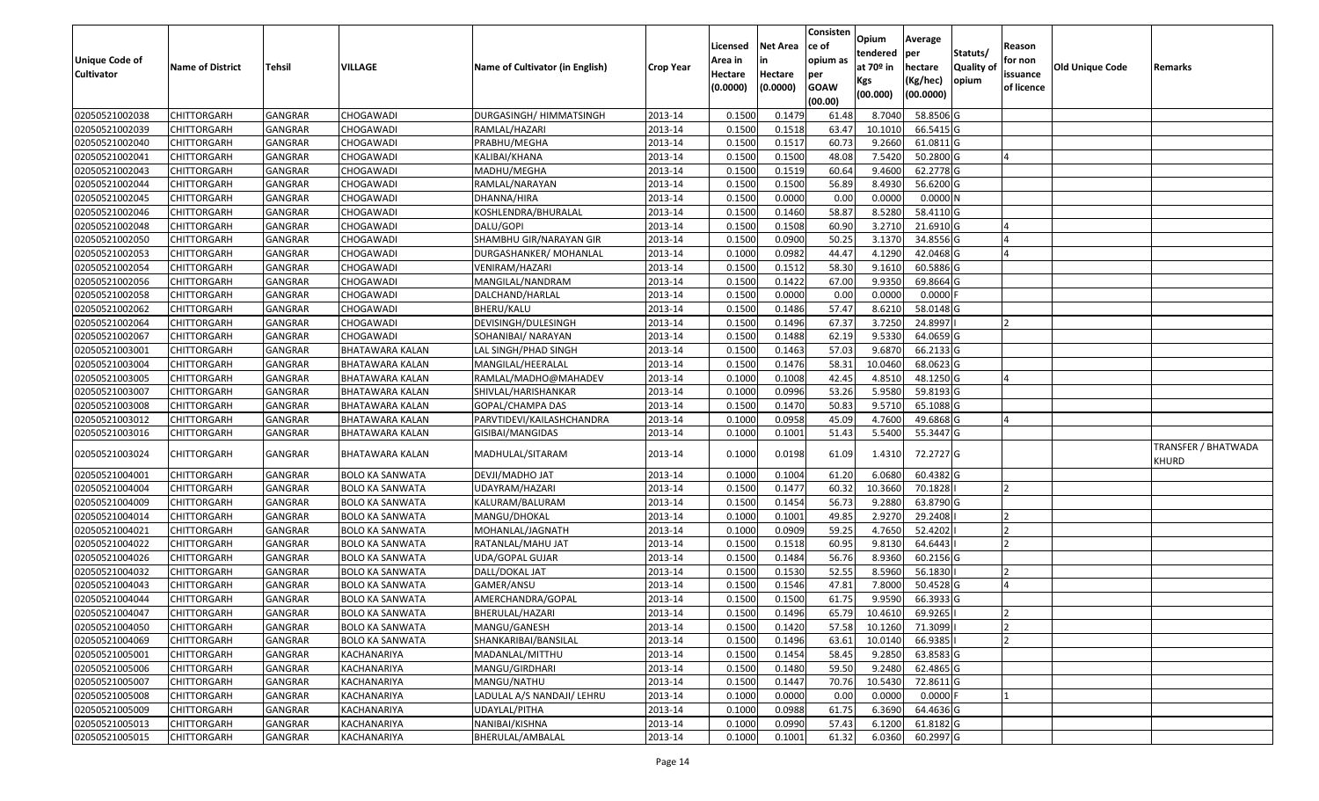| <b>Unique Code of</b><br><b>Cultivator</b> | <b>Name of District</b> | <b>Tehsil</b>  | VILLAGE                | Name of Cultivator (in English) | <b>Crop Year</b> | Licensed<br>Area in<br>Hectare<br>(0.0000) | <b>Net Area</b><br>in<br>Hectare<br>(0.0000) | Consisten<br>ce of<br>opium as<br>per<br><b>GOAW</b><br>(00.00) | Opium<br>tendered<br>at $70°$ in<br>Kgs<br>(00.000) | Average<br>per<br>hectare<br>(Kg/hec)<br>(00.0000) | Statuts/<br>Quality of<br>opium | Reason<br>for non<br>issuance<br>of licence | <b>Old Unique Code</b> | Remarks                      |
|--------------------------------------------|-------------------------|----------------|------------------------|---------------------------------|------------------|--------------------------------------------|----------------------------------------------|-----------------------------------------------------------------|-----------------------------------------------------|----------------------------------------------------|---------------------------------|---------------------------------------------|------------------------|------------------------------|
| 02050521002038                             | <b>CHITTORGARH</b>      | <b>GANGRAR</b> | CHOGAWADI              | DURGASINGH/ HIMMATSINGH         | 2013-14          | 0.1500                                     | 0.1479                                       | 61.48                                                           | 8.7040                                              | 58.8506 G                                          |                                 |                                             |                        |                              |
| 02050521002039                             | CHITTORGARH             | <b>GANGRAR</b> | CHOGAWADI              | RAMLAL/HAZARI                   | 2013-14          | 0.1500                                     | 0.1518                                       | 63.47                                                           | 10.1010                                             | 66.5415 G                                          |                                 |                                             |                        |                              |
| 02050521002040                             | CHITTORGARH             | GANGRAR        | CHOGAWADI              | PRABHU/MEGHA                    | 2013-14          | 0.1500                                     | 0.1517                                       | 60.73                                                           | 9.2660                                              | 61.0811 G                                          |                                 |                                             |                        |                              |
| 02050521002041                             | <b>CHITTORGARH</b>      | <b>GANGRAR</b> | CHOGAWADI              | KALIBAI/KHANA                   | 2013-14          | 0.1500                                     | 0.1500                                       | 48.08                                                           | 7.5420                                              | 50.2800 G                                          |                                 |                                             |                        |                              |
| 02050521002043                             | <b>CHITTORGARH</b>      | <b>GANGRAR</b> | CHOGAWADI              | MADHU/MEGHA                     | 2013-14          | 0.1500                                     | 0.1519                                       | 60.64                                                           | 9.4600                                              | 62.2778 G                                          |                                 |                                             |                        |                              |
| 02050521002044                             | CHITTORGARH             | <b>GANGRAR</b> | CHOGAWADI              | RAMLAL/NARAYAN                  | 2013-14          | 0.1500                                     | 0.1500                                       | 56.89                                                           | 8.4930                                              | 56.6200 G                                          |                                 |                                             |                        |                              |
| 02050521002045                             | CHITTORGARH             | <b>GANGRAR</b> | CHOGAWADI              | DHANNA/HIRA                     | 2013-14          | 0.1500                                     | 0.0000                                       | 0.00                                                            | 0.0000                                              | 0.0000N                                            |                                 |                                             |                        |                              |
| 02050521002046                             | CHITTORGARH             | <b>GANGRAR</b> | CHOGAWADI              | KOSHLENDRA/BHURALAL             | 2013-14          | 0.1500                                     | 0.1460                                       | 58.87                                                           | 8.5280                                              | 58.4110G                                           |                                 |                                             |                        |                              |
| 02050521002048                             | CHITTORGARH             | <b>GANGRAR</b> | CHOGAWADI              | DALU/GOPI                       | 2013-14          | 0.1500                                     | 0.1508                                       | 60.90                                                           | 3.2710                                              | 21.6910 G                                          |                                 |                                             |                        |                              |
| 02050521002050                             | CHITTORGARH             | GANGRAR        | CHOGAWADI              | SHAMBHU GIR/NARAYAN GIR         | 2013-14          | 0.1500                                     | 0.0900                                       | 50.25                                                           | 3.1370                                              | 34.8556 G                                          |                                 |                                             |                        |                              |
| 02050521002053                             | CHITTORGARH             | <b>GANGRAR</b> | CHOGAWADI              | DURGASHANKER/ MOHANLAL          | 2013-14          | 0.1000                                     | 0.0982                                       | 44.47                                                           | 4.1290                                              | 42.0468G                                           |                                 |                                             |                        |                              |
| 02050521002054                             | CHITTORGARH             | <b>GANGRAR</b> | CHOGAWADI              | VENIRAM/HAZARI                  | 2013-14          | 0.1500                                     | 0.1512                                       | 58.30                                                           | 9.1610                                              | 60.5886 G                                          |                                 |                                             |                        |                              |
| 02050521002056                             | CHITTORGARH             | <b>GANGRAR</b> | CHOGAWADI              | MANGILAL/NANDRAM                | 2013-14          | 0.1500                                     | 0.1422                                       | 67.00                                                           | 9.9350                                              | 69.8664 G                                          |                                 |                                             |                        |                              |
| 02050521002058                             | CHITTORGARH             | GANGRAR        | CHOGAWADI              | DALCHAND/HARLAL                 | 2013-14          | 0.1500                                     | 0.0000                                       | 0.00                                                            | 0.0000                                              | 0.0000                                             |                                 |                                             |                        |                              |
| 02050521002062                             | CHITTORGARH             | <b>GANGRAR</b> | CHOGAWADI              | BHERU/KALU                      | 2013-14          | 0.1500                                     | 0.1486                                       | 57.47                                                           | 8.6210                                              | 58.0148 G                                          |                                 |                                             |                        |                              |
| 02050521002064                             | CHITTORGARH             | GANGRAR        | CHOGAWADI              | DEVISINGH/DULESINGH             | 2013-14          | 0.1500                                     | 0.1496                                       | 67.37                                                           | 3.7250                                              | 24.8997                                            |                                 |                                             |                        |                              |
| 02050521002067                             | CHITTORGARH             | <b>GANGRAR</b> | CHOGAWADI              | SOHANIBAI/ NARAYAN              | 2013-14          | 0.1500                                     | 0.1488                                       | 62.19                                                           | 9.5330                                              | 64.0659 G                                          |                                 |                                             |                        |                              |
| 02050521003001                             | CHITTORGARH             | GANGRAR        | BHATAWARA KALAN        | LAL SINGH/PHAD SINGH            | 2013-14          | 0.1500                                     | 0.1463                                       | 57.03                                                           | 9.6870                                              | 66.2133 G                                          |                                 |                                             |                        |                              |
| 02050521003004                             | <b>CHITTORGARH</b>      | <b>GANGRAR</b> | BHATAWARA KALAN        | MANGILAL/HEERALAL               | 2013-14          | 0.1500                                     | 0.1476                                       | 58.31                                                           | 10.0460                                             | 68.0623 G                                          |                                 |                                             |                        |                              |
| 02050521003005                             | CHITTORGARH             | GANGRAR        | BHATAWARA KALAN        | RAMLAL/MADHO@MAHADEV            | 2013-14          | 0.1000                                     | 0.1008                                       | 42.45                                                           | 4.8510                                              | 48.1250 G                                          |                                 |                                             |                        |                              |
| 02050521003007                             | <b>CHITTORGARH</b>      | <b>GANGRAR</b> | BHATAWARA KALAN        | SHIVLAL/HARISHANKAR             | 2013-14          | 0.1000                                     | 0.0996                                       | 53.26                                                           | 5.9580                                              | 59.8193 G                                          |                                 |                                             |                        |                              |
| 02050521003008                             | CHITTORGARH             | <b>GANGRAR</b> | BHATAWARA KALAN        | GOPAL/CHAMPA DAS                | 2013-14          | 0.1500                                     | 0.1470                                       | 50.83                                                           | 9.5710                                              | 65.1088 G                                          |                                 |                                             |                        |                              |
| 02050521003012                             | CHITTORGARH             | GANGRAR        | BHATAWARA KALAN        | PARVTIDEVI/KAILASHCHANDRA       | 2013-14          | 0.1000                                     | 0.0958                                       | 45.09                                                           | 4.7600                                              | 49.6868 G                                          |                                 |                                             |                        |                              |
| 02050521003016                             | CHITTORGARH             | GANGRAR        | BHATAWARA KALAN        | GISIBAI/MANGIDAS                | 2013-14          | 0.1000                                     | 0.1001                                       | 51.43                                                           | 5.5400                                              | 55.3447 G                                          |                                 |                                             |                        |                              |
| 02050521003024                             | CHITTORGARH             | <b>GANGRAR</b> | BHATAWARA KALAN        | MADHULAL/SITARAM                | 2013-14          | 0.1000                                     | 0.0198                                       | 61.09                                                           | 1.4310                                              | 72.2727 G                                          |                                 |                                             |                        | TRANSFER / BHATWADA<br>KHURD |
| 02050521004001                             | <b>CHITTORGARH</b>      | <b>GANGRAR</b> | <b>BOLO KA SANWATA</b> | DEVJI/MADHO JAT                 | 2013-14          | 0.100                                      | 0.1004                                       | 61.20                                                           | 6.0680                                              | 60.4382 G                                          |                                 |                                             |                        |                              |
| 02050521004004                             | CHITTORGARH             | GANGRAR        | <b>BOLO KA SANWATA</b> | UDAYRAM/HAZARI                  | 2013-14          | 0.1500                                     | 0.1477                                       | 60.32                                                           | 10.3660                                             | 70.1828                                            |                                 | $\overline{2}$                              |                        |                              |
| 02050521004009                             | <b>CHITTORGARH</b>      | <b>GANGRAR</b> | <b>BOLO KA SANWATA</b> | KALURAM/BALURAM                 | 2013-14          | 0.1500                                     | 0.1454                                       | 56.73                                                           | 9.2880                                              | 63.8790 G                                          |                                 |                                             |                        |                              |
| 02050521004014                             | <b>CHITTORGARH</b>      | <b>GANGRAR</b> | <b>BOLO KA SANWATA</b> | MANGU/DHOKAL                    | 2013-14          | 0.1000                                     | 0.1001                                       | 49.85                                                           | 2.9270                                              | 29.2408                                            |                                 |                                             |                        |                              |
| 02050521004021                             | CHITTORGARH             | <b>GANGRAR</b> | <b>BOLO KA SANWATA</b> | MOHANLAL/JAGNATH                | 2013-14          | 0.1000                                     | 0.0909                                       | 59.25                                                           | 4.7650                                              | 52.4202                                            |                                 |                                             |                        |                              |
| 02050521004022                             | <b>CHITTORGARH</b>      | <b>GANGRAR</b> | <b>BOLO KA SANWATA</b> | RATANLAL/MAHU JAT               | 2013-14          | 0.1500                                     | 0.1518                                       | 60.95                                                           | 9.8130                                              | 64.6443                                            |                                 |                                             |                        |                              |
| 02050521004026                             | CHITTORGARH             | <b>GANGRAR</b> | <b>BOLO KA SANWATA</b> | UDA/GOPAL GUJAR                 | 2013-14          | 0.1500                                     | 0.1484                                       | 56.76                                                           | 8.9360                                              | 60.2156 G                                          |                                 |                                             |                        |                              |
| 02050521004032                             | <b>CHITTORGARH</b>      | <b>GANGRAR</b> | <b>BOLO KA SANWATA</b> | DALL/DOKAL JAT                  | 2013-14          | 0.1500                                     | 0.1530                                       | 52.55                                                           | 8.5960                                              | 56.1830                                            |                                 |                                             |                        |                              |
| 02050521004043                             | CHITTORGARH             | GANGRAR        | <b>BOLO KA SANWATA</b> | GAMER/ANSU                      | 2013-14          | 0.150                                      | 0.1546                                       | 47.81                                                           | 7.8000                                              | 50.4528 G                                          |                                 |                                             |                        |                              |
| 02050521004044                             | CHITTORGARH             | <b>GANGRAR</b> | <b>BOLO KA SANWATA</b> | AMERCHANDRA/GOPAL               | 2013-14          | 0.1500                                     | 0.1500                                       | 61.75                                                           | 9.9590                                              | 66.3933 G                                          |                                 |                                             |                        |                              |
| 02050521004047                             | <b>CHITTORGARH</b>      | GANGRAR        | <b>BOLO KA SANWATA</b> | BHERULAL/HAZARI                 | 2013-14          | 0.1500                                     | 0.1496                                       | 65.79                                                           | 10.4610                                             | 69.9265                                            |                                 |                                             |                        |                              |
| 02050521004050                             | <b>CHITTORGARH</b>      | <b>GANGRAR</b> | <b>BOLO KA SANWATA</b> | MANGU/GANESH                    | 2013-14          | 0.1500                                     | 0.1420                                       | 57.58                                                           | 10.1260                                             | 71.3099                                            |                                 | $\overline{ }$                              |                        |                              |
| 02050521004069                             | <b>CHITTORGARH</b>      | <b>GANGRAR</b> | <b>BOLO KA SANWATA</b> | SHANKARIBAI/BANSILAL            | 2013-14          | 0.1500                                     | 0.1496                                       | 63.61                                                           | 10.0140                                             | 66.9385                                            |                                 |                                             |                        |                              |
| 02050521005001                             | <b>CHITTORGARH</b>      | <b>GANGRAR</b> | KACHANARIYA            | MADANLAL/MITTHU                 | 2013-14          | 0.1500                                     | 0.1454                                       | 58.45                                                           | 9.2850                                              | 63.8583 G                                          |                                 |                                             |                        |                              |
| 02050521005006                             | <b>CHITTORGARH</b>      | <b>GANGRAR</b> | KACHANARIYA            | MANGU/GIRDHARI                  | 2013-14          | 0.1500                                     | 0.1480                                       | 59.50                                                           | 9.2480                                              | 62.4865 G                                          |                                 |                                             |                        |                              |
| 02050521005007                             | <b>CHITTORGARH</b>      | <b>GANGRAR</b> | KACHANARIYA            | MANGU/NATHU                     | 2013-14          | 0.1500                                     | 0.1447                                       | 70.76                                                           | 10.5430                                             | 72.8611 G                                          |                                 |                                             |                        |                              |
| 02050521005008                             | <b>CHITTORGARH</b>      | <b>GANGRAR</b> | KACHANARIYA            | LADULAL A/S NANDAJI/ LEHRU      | 2013-14          | 0.1000                                     | 0.0000                                       | 0.00                                                            | 0.0000                                              | $0.0000$ F                                         |                                 |                                             |                        |                              |
| 02050521005009                             | <b>CHITTORGARH</b>      | <b>GANGRAR</b> | KACHANARIYA            | UDAYLAL/PITHA                   | 2013-14          | 0.1000                                     | 0.0988                                       | 61.75                                                           | 6.3690                                              | 64.4636 G                                          |                                 |                                             |                        |                              |
| 02050521005013                             | CHITTORGARH             | <b>GANGRAR</b> | KACHANARIYA            | NANIBAI/KISHNA                  | 2013-14          | 0.1000                                     | 0.0990                                       | 57.43                                                           | 6.1200                                              | 61.8182 G                                          |                                 |                                             |                        |                              |
| 02050521005015                             | <b>CHITTORGARH</b>      | <b>GANGRAR</b> | KACHANARIYA            | BHERULAL/AMBALAL                | 2013-14          | 0.1000                                     | 0.1001                                       | 61.32                                                           | 6.0360                                              | 60.2997 G                                          |                                 |                                             |                        |                              |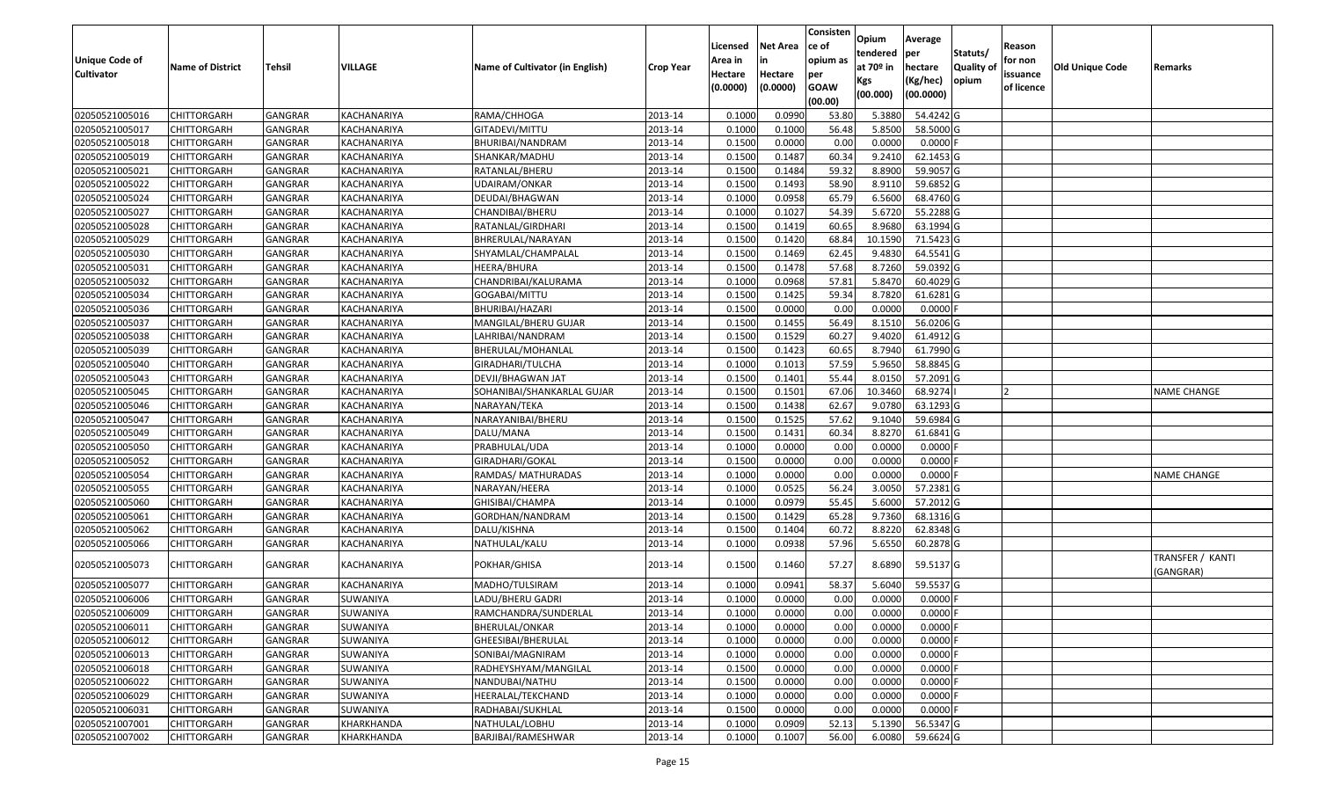| <b>Unique Code of</b><br><b>Cultivator</b> | <b>Name of District</b> | Tehsil         | VILLAGE     | Name of Cultivator (in English) | <b>Crop Year</b> | Licensed<br>Area in<br>Hectare | <b>Net Area</b><br>in<br>Hectare | Consisten<br>ce of<br>opium as<br>per | Opium<br>tendered<br>at 70º in | Average<br>per<br>hectare | Statuts/<br><b>Quality o</b> | Reason<br>for non<br>issuance | Old Unique Code | Remarks                       |
|--------------------------------------------|-------------------------|----------------|-------------|---------------------------------|------------------|--------------------------------|----------------------------------|---------------------------------------|--------------------------------|---------------------------|------------------------------|-------------------------------|-----------------|-------------------------------|
|                                            |                         |                |             |                                 |                  | (0.0000)                       | (0.0000)                         | <b>GOAW</b><br>(00.00)                | Kgs<br>(00.000)                | (Kg/hec)<br>(00.0000)     | opium                        | of licence                    |                 |                               |
| 02050521005016                             | <b>CHITTORGARH</b>      | GANGRAR        | KACHANARIYA | RAMA/CHHOGA                     | 2013-14          | 0.1000                         | 0.0990                           | 53.80                                 | 5.3880                         | 54.4242 G                 |                              |                               |                 |                               |
| 02050521005017                             | <b>CHITTORGARH</b>      | GANGRAR        | KACHANARIYA | GITADEVI/MITTU                  | 2013-14          | 0.1000                         | 0.1000                           | 56.48                                 | 5.8500                         | 58.5000 G                 |                              |                               |                 |                               |
| 02050521005018                             | <b>CHITTORGARH</b>      | GANGRAR        | KACHANARIYA | BHURIBAI/NANDRAM                | 2013-14          | 0.1500                         | 0.0000                           | 0.00                                  | 0.0000                         | 0.0000                    |                              |                               |                 |                               |
| 02050521005019                             | <b>CHITTORGARH</b>      | <b>GANGRAR</b> | KACHANARIYA | SHANKAR/MADHU                   | 2013-14          | 0.1500                         | 0.1487                           | 60.34                                 | 9.2410                         | 62.1453 G                 |                              |                               |                 |                               |
| 02050521005021                             | <b>CHITTORGARH</b>      | GANGRAR        | KACHANARIYA | RATANLAL/BHERU                  | 2013-14          | 0.1500                         | 0.1484                           | 59.32                                 | 8.8900                         | 59.9057 G                 |                              |                               |                 |                               |
| 02050521005022                             | <b>CHITTORGARH</b>      | <b>GANGRAR</b> | KACHANARIYA | UDAIRAM/ONKAR                   | 2013-14          | 0.1500                         | 0.1493                           | 58.90                                 | 8.9110                         | 59.6852 G                 |                              |                               |                 |                               |
| 02050521005024                             | CHITTORGARH             | GANGRAR        | KACHANARIYA | DEUDAI/BHAGWAN                  | 2013-14          | 0.1000                         | 0.0958                           | 65.79                                 | 6.5600                         | 68.4760 G                 |                              |                               |                 |                               |
| 02050521005027                             | <b>CHITTORGARH</b>      | GANGRAR        | KACHANARIYA | CHANDIBAI/BHERU                 | 2013-14          | 0.1000                         | 0.1027                           | 54.39                                 | 5.6720                         | 55.2288 G                 |                              |                               |                 |                               |
| 02050521005028                             | <b>CHITTORGARH</b>      | GANGRAR        | KACHANARIYA | RATANLAL/GIRDHARI               | 2013-14          | 0.1500                         | 0.1419                           | 60.65                                 | 8.9680                         | 63.1994 G                 |                              |                               |                 |                               |
| 02050521005029                             | <b>CHITTORGARH</b>      | <b>GANGRAR</b> | KACHANARIYA | BHRERULAL/NARAYAN               | 2013-14          | 0.1500                         | 0.1420                           | 68.84                                 | 10.1590                        | 71.5423 G                 |                              |                               |                 |                               |
| 02050521005030                             | <b>CHITTORGARH</b>      | <b>GANGRAR</b> | KACHANARIYA | SHYAMLAL/CHAMPALAL              | 2013-14          | 0.1500                         | 0.1469                           | 62.45                                 | 9.4830                         | $64.5541$ G               |                              |                               |                 |                               |
| 02050521005031                             | <b>CHITTORGARH</b>      | GANGRAR        | KACHANARIYA | HEERA/BHURA                     | 2013-14          | 0.1500                         | 0.1478                           | 57.68                                 | 8.7260                         | 59.0392 G                 |                              |                               |                 |                               |
| 02050521005032                             | <b>CHITTORGARH</b>      | GANGRAR        | KACHANARIYA | CHANDRIBAI/KALURAMA             | 2013-14          | 0.1000                         | 0.0968                           | 57.81                                 | 5.8470                         | 60.4029 G                 |                              |                               |                 |                               |
| 02050521005034                             | <b>CHITTORGARH</b>      | GANGRAR        | KACHANARIYA | GOGABAI/MITTU                   | 2013-14          | 0.1500                         | 0.1425                           | 59.34                                 | 8.7820                         | 61.6281G                  |                              |                               |                 |                               |
| 02050521005036                             | <b>CHITTORGARH</b>      | GANGRAR        | KACHANARIYA | BHURIBAI/HAZARI                 | 2013-14          | 0.1500                         | 0.0000                           | 0.00                                  | 0.0000                         | $0.0000$ F                |                              |                               |                 |                               |
| 02050521005037                             | <b>CHITTORGARH</b>      | GANGRAR        | KACHANARIYA | MANGILAL/BHERU GUJAR            | 2013-14          | 0.1500                         | 0.1455                           | 56.49                                 | 8.1510                         | 56.0206 G                 |                              |                               |                 |                               |
| 02050521005038                             | <b>CHITTORGARH</b>      | <b>GANGRAR</b> | KACHANARIYA | LAHRIBAI/NANDRAM                | 2013-14          | 0.1500                         | 0.1529                           | 60.27                                 | 9.4020                         | 61.4912 G                 |                              |                               |                 |                               |
| 02050521005039                             | <b>CHITTORGARH</b>      | GANGRAR        | KACHANARIYA | BHERULAL/MOHANLAL               | 2013-14          | 0.1500                         | 0.1423                           | 60.65                                 | 8.7940                         | 61.7990 G                 |                              |                               |                 |                               |
| 02050521005040                             | <b>CHITTORGARH</b>      | GANGRAR        | KACHANARIYA | GIRADHARI/TULCHA                | 2013-14          | 0.1000                         | 0.1013                           | 57.59                                 | 5.9650                         | 58.8845 G                 |                              |                               |                 |                               |
| 02050521005043                             | <b>CHITTORGARH</b>      | <b>GANGRAR</b> | KACHANARIYA | DEVJI/BHAGWAN JAT               | 2013-14          | 0.1500                         | 0.1401                           | 55.44                                 | 8.0150                         | 57.2091 G                 |                              |                               |                 |                               |
| 02050521005045                             | <b>CHITTORGARH</b>      | GANGRAR        | KACHANARIYA | SOHANIBAI/SHANKARLAL GUJAR      | 2013-14          | 0.1500                         | 0.1501                           | 67.06                                 | 10.3460                        | 68.9274                   |                              |                               |                 | <b>NAME CHANGE</b>            |
| 02050521005046                             | <b>CHITTORGARH</b>      | GANGRAR        | KACHANARIYA | NARAYAN/TEKA                    | 2013-14          | 0.1500                         | 0.1438                           | 62.67                                 | 9.0780                         | 63.1293 G                 |                              |                               |                 |                               |
| 02050521005047                             | <b>CHITTORGARH</b>      | GANGRAR        | KACHANARIYA | NARAYANIBAI/BHERU               | 2013-14          | 0.1500                         | 0.1525                           | 57.62                                 | 9.1040                         | 59.6984 G                 |                              |                               |                 |                               |
| 02050521005049                             | <b>CHITTORGARH</b>      | GANGRAR        | KACHANARIYA | DALU/MANA                       | 2013-14          | 0.1500                         | 0.1431                           | 60.34                                 | 8.8270                         | 61.6841 G                 |                              |                               |                 |                               |
| 02050521005050                             | <b>CHITTORGARH</b>      | <b>GANGRAR</b> | KACHANARIYA | PRABHULAL/UDA                   | 2013-14          | 0.1000                         | 0.0000                           | 0.00                                  | 0.0000                         | 0.0000                    |                              |                               |                 |                               |
| 02050521005052                             | <b>CHITTORGARH</b>      | GANGRAR        | KACHANARIYA | GIRADHARI/GOKAL                 | 2013-14          | 0.1500                         | 0.0000                           | 0.00                                  | 0.0000                         | 0.0000                    |                              |                               |                 |                               |
| 02050521005054                             | <b>CHITTORGARH</b>      | <b>GANGRAR</b> | KACHANARIYA | RAMDAS/ MATHURADAS              | 2013-14          | 0.1000                         | 0.0000                           | 0.00                                  | 0.0000                         | 0.0000                    |                              |                               |                 | <b>NAME CHANGE</b>            |
| 02050521005055                             | <b>CHITTORGARH</b>      | GANGRAR        | KACHANARIYA | NARAYAN/HEERA                   | 2013-14          | 0.1000                         | 0.0525                           | 56.24                                 | 3.0050                         | 57.2381 G                 |                              |                               |                 |                               |
| 02050521005060                             | <b>CHITTORGARH</b>      | <b>GANGRAR</b> | KACHANARIYA | GHISIBAI/CHAMPA                 | 2013-14          | 0.1000                         | 0.0979                           | 55.45                                 | 5.6000                         | 57.2012 G                 |                              |                               |                 |                               |
| 02050521005061                             | <b>CHITTORGARH</b>      | <b>GANGRAR</b> | KACHANARIYA | GORDHAN/NANDRAM                 | 2013-14          | 0.1500                         | 0.1429                           | 65.28                                 | 9.7360                         | 68.1316 G                 |                              |                               |                 |                               |
| 02050521005062                             | <b>CHITTORGARH</b>      | GANGRAR        | KACHANARIYA | DALU/KISHNA                     | 2013-14          | 0.1500                         | 0.1404                           | 60.72                                 | 8.8220                         | 62.8348 G                 |                              |                               |                 |                               |
| 02050521005066                             | CHITTORGARH             | GANGRAR        | KACHANARIYA | NATHULAL/KALU                   | 2013-14          | 0.1000                         | 0.0938                           | 57.96                                 | 5.6550                         | 60.2878 G                 |                              |                               |                 |                               |
| 02050521005073                             | <b>CHITTORGARH</b>      | GANGRAR        | KACHANARIYA | POKHAR/GHISA                    | 2013-14          | 0.1500                         | 0.1460                           | 57.27                                 | 8.6890                         | 59.5137 G                 |                              |                               |                 | TRANSFER / KANTI<br>(GANGRAR) |
| 02050521005077                             | <b>CHITTORGARH</b>      | GANGRAR        | KACHANARIYA | MADHO/TULSIRAM                  | 2013-14          | 0.1000                         | 0.0941                           | 58.37                                 | 5.6040                         | 59.5537 G                 |                              |                               |                 |                               |
| 02050521006006                             | <b>CHITTORGARH</b>      | GANGRAR        | SUWANIYA    | LADU/BHERU GADRI                | 2013-14          | 0.1000                         | 0.0000                           | 0.00                                  | 0.0000                         | 0.0000                    |                              |                               |                 |                               |
| 02050521006009                             | CHITTORGARH             | GANGRAR        | SUWANIYA    | RAMCHANDRA/SUNDERLAL            | 2013-14          | 0.1000                         | 0.0000                           | 0.00                                  | 0.0000                         | 0.0000                    |                              |                               |                 |                               |
| 02050521006011                             | <b>CHITTORGARH</b>      | <b>GANGRAR</b> | SUWANIYA    | BHERULAL/ONKAR                  | 2013-14          | 0.1000                         | 0.0000                           | 0.00                                  | 0.0000                         | 0.0000F                   |                              |                               |                 |                               |
| 02050521006012                             | <b>CHITTORGARH</b>      | GANGRAR        | SUWANIYA    | GHEESIBAI/BHERULAL              | 2013-14          | 0.1000                         | 0.0000                           | 0.00                                  | 0.0000                         | 0.0000                    |                              |                               |                 |                               |
| 02050521006013                             | <b>CHITTORGARH</b>      | GANGRAR        | SUWANIYA    | SONIBAI/MAGNIRAM                | 2013-14          | 0.1000                         | 0.0000                           | 0.00                                  | 0.0000                         | 0.0000                    |                              |                               |                 |                               |
| 02050521006018                             | <b>CHITTORGARH</b>      | GANGRAR        | SUWANIYA    | RADHEYSHYAM/MANGILAL            | 2013-14          | 0.1500                         | 0.0000                           | 0.00                                  | 0.0000                         | 0.0000                    |                              |                               |                 |                               |
| 02050521006022                             | <b>CHITTORGARH</b>      | GANGRAR        | SUWANIYA    | NANDUBAI/NATHU                  | 2013-14          | 0.1500                         | 0.0000                           | 0.00                                  | 0.0000                         | 0.0000                    |                              |                               |                 |                               |
| 02050521006029                             | <b>CHITTORGARH</b>      | GANGRAR        | SUWANIYA    | HEERALAL/TEKCHAND               | 2013-14          | 0.1000                         | 0.0000                           | 0.00                                  | 0.0000                         | 0.0000                    |                              |                               |                 |                               |
| 02050521006031                             | <b>CHITTORGARH</b>      | GANGRAR        | SUWANIYA    | RADHABAI/SUKHLAL                | 2013-14          | 0.1500                         | 0.0000                           | 0.00                                  | 0.0000                         | 0.0000                    |                              |                               |                 |                               |
| 02050521007001                             | <b>CHITTORGARH</b>      | GANGRAR        | KHARKHANDA  | NATHULAL/LOBHU                  | 2013-14          | 0.1000                         | 0.0909                           | 52.13                                 | 5.1390                         | 56.5347 G                 |                              |                               |                 |                               |
| 02050521007002                             | <b>CHITTORGARH</b>      | <b>GANGRAR</b> | KHARKHANDA  | BARJIBAI/RAMESHWAR              | 2013-14          | 0.1000                         | 0.1007                           | 56.00                                 | 6.0080                         | 59.6624 G                 |                              |                               |                 |                               |
|                                            |                         |                |             |                                 |                  |                                |                                  |                                       |                                |                           |                              |                               |                 |                               |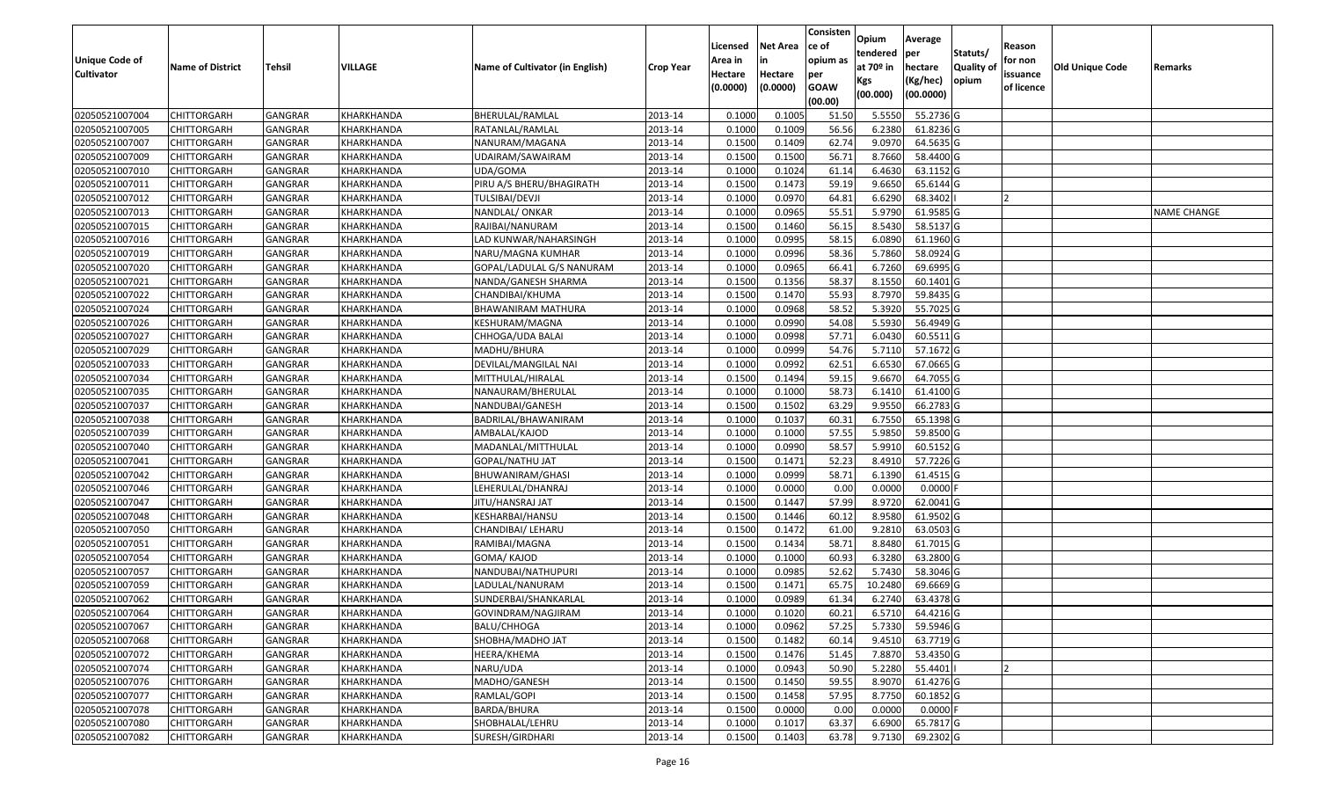|                   |                         |                |            |                                 |                  |          |                 | Consisten   |                         | Average          |                  |                |                        |                    |
|-------------------|-------------------------|----------------|------------|---------------------------------|------------------|----------|-----------------|-------------|-------------------------|------------------|------------------|----------------|------------------------|--------------------|
|                   |                         |                |            |                                 |                  | Licensed | <b>Net Area</b> | ce of       | Opium                   |                  |                  | Reason         |                        |                    |
| Unique Code of    |                         |                |            |                                 |                  | Area in  |                 | opium as    | tendered<br>at $70°$ in | per              | Statuts/         | for non        |                        |                    |
| <b>Cultivator</b> | <b>Name of District</b> | <b>Tehsil</b>  | VILLAGE    | Name of Cultivator (in English) | <b>Crop Year</b> | Hectare  | Hectare         | per         |                         | hectare          | <b>Quality o</b> | issuance       | <b>Old Unique Code</b> | Remarks            |
|                   |                         |                |            |                                 |                  | (0.0000) | (0.0000)        | <b>GOAW</b> | Kgs                     | (Kg/hec)         | opium            | of licence     |                        |                    |
|                   |                         |                |            |                                 |                  |          |                 | (00.00)     | (00.000)                | (00.0000)        |                  |                |                        |                    |
| 02050521007004    | CHITTORGARH             | GANGRAR        | KHARKHANDA | BHERULAL/RAMLAL                 | 2013-14          | 0.1000   | 0.1005          | 51.50       | 5.5550                  | 55.2736 G        |                  |                |                        |                    |
| 02050521007005    | CHITTORGARH             | GANGRAR        | KHARKHANDA | RATANLAL/RAMLAL                 | 2013-14          | 0.1000   | 0.1009          | 56.56       | 6.2380                  | 61.8236 G        |                  |                |                        |                    |
| 02050521007007    | CHITTORGARH             | GANGRAR        | KHARKHANDA | NANURAM/MAGANA                  | 2013-14          | 0.1500   | 0.1409          | 62.74       | 9.0970                  | 64.5635 G        |                  |                |                        |                    |
| 02050521007009    | <b>CHITTORGARH</b>      | <b>GANGRAR</b> | KHARKHANDA | JDAIRAM/SAWAIRAM                | 2013-14          | 0.1500   | 0.1500          | 56.71       | 8.7660                  | 58.4400 G        |                  |                |                        |                    |
| 02050521007010    | CHITTORGARH             | GANGRAR        | KHARKHANDA | UDA/GOMA                        | 2013-14          | 0.1000   | 0.1024          | 61.14       | 6.4630                  | 63.1152 G        |                  |                |                        |                    |
| 02050521007011    | CHITTORGARH             | <b>GANGRAR</b> | KHARKHANDA | PIRU A/S BHERU/BHAGIRATH        | 2013-14          | 0.1500   | 0.1473          | 59.19       | 9.6650                  | 65.6144 G        |                  |                |                        |                    |
| 02050521007012    | CHITTORGARH             | GANGRAR        | KHARKHANDA | TULSIBAI/DEVJI                  | 2013-14          | 0.1000   | 0.0970          | 64.81       | 6.6290                  | 68.3402          |                  |                |                        |                    |
| 02050521007013    | <b>CHITTORGARH</b>      | <b>GANGRAR</b> | KHARKHANDA | NANDLAL/ ONKAR                  | 2013-14          | 0.1000   | 0.0965          | 55.51       | 5.9790                  | 61.9585 G        |                  |                |                        | <b>NAME CHANGE</b> |
| 02050521007015    | CHITTORGARH             | GANGRAR        | KHARKHANDA | RAJIBAI/NANURAM                 | 2013-14          | 0.1500   | 0.1460          | 56.15       | 8.5430                  | 58.5137 G        |                  |                |                        |                    |
| 02050521007016    | CHITTORGARH             | <b>GANGRAR</b> | KHARKHANDA | LAD KUNWAR/NAHARSINGH           | 2013-14          | 0.1000   | 0.0995          | 58.15       | 6.0890                  | 61.1960 G        |                  |                |                        |                    |
| 02050521007019    | CHITTORGARH             | GANGRAR        | KHARKHANDA | NARU/MAGNA KUMHAR               | 2013-14          | 0.1000   | 0.0996          | 58.36       | 5.7860                  | 58.0924 G        |                  |                |                        |                    |
| 02050521007020    | <b>CHITTORGARH</b>      | <b>GANGRAR</b> | KHARKHANDA | GOPAL/LADULAL G/S NANURAM       | 2013-14          | 0.1000   | 0.0965          | 66.41       | 6.7260                  | 69.6995 G        |                  |                |                        |                    |
| 02050521007021    | <b>CHITTORGARH</b>      | <b>GANGRAR</b> | KHARKHANDA | NANDA/GANESH SHARMA             | 2013-14          | 0.1500   | 0.1356          | 58.37       | 8.1550                  | $60.1401$ G      |                  |                |                        |                    |
| 02050521007022    | <b>CHITTORGARH</b>      | GANGRAR        | KHARKHANDA | CHANDIBAI/KHUMA                 | 2013-14          | 0.1500   | 0.1470          | 55.93       | 8.7970                  | 59.8435 G        |                  |                |                        |                    |
| 02050521007024    | CHITTORGARH             | <b>GANGRAR</b> | KHARKHANDA | BHAWANIRAM MATHURA              | 2013-14          | 0.1000   | 0.0968          | 58.52       | 5.3920                  | 55.7025 G        |                  |                |                        |                    |
| 02050521007026    | CHITTORGARH             | <b>GANGRAR</b> | KHARKHANDA | KESHURAM/MAGNA                  | 2013-14          | 0.1000   | 0.0990          | 54.08       | 5.5930                  | 56.4949 G        |                  |                |                        |                    |
| 02050521007027    | <b>CHITTORGARH</b>      | <b>GANGRAR</b> | KHARKHANDA | CHHOGA/UDA BALAI                | 2013-14          | 0.1000   | 0.0998          | 57.71       | 6.0430                  | 60.5511G         |                  |                |                        |                    |
| 02050521007029    | CHITTORGARH             | GANGRAR        | KHARKHANDA | MADHU/BHURA                     | 2013-14          | 0.1000   | 0.0999          | 54.76       | 5.7110                  | 57.1672 G        |                  |                |                        |                    |
| 02050521007033    | CHITTORGARH             | <b>GANGRAR</b> | KHARKHANDA | DEVILAL/MANGILAL NAI            | 2013-14          | 0.1000   | 0.0992          | 62.51       | 6.6530                  | 67.0665 G        |                  |                |                        |                    |
| 02050521007034    | CHITTORGARH             | GANGRAR        | KHARKHANDA | MITTHULAL/HIRALAL               | 2013-14          | 0.150    | 0.1494          | 59.1        | 9.6670                  | 64.7055 G        |                  |                |                        |                    |
| 02050521007035    | CHITTORGARH             | <b>GANGRAR</b> | KHARKHANDA | NANAURAM/BHERULAL               | 2013-14          | 0.1000   | 0.1000          | 58.73       | 6.1410                  | 61.4100G         |                  |                |                        |                    |
| 02050521007037    | CHITTORGARH             | GANGRAR        | KHARKHANDA | NANDUBAI/GANESH                 | 2013-14          | 0.150    | 0.1502          | 63.29       | 9.955                   | 66.2783 G        |                  |                |                        |                    |
| 02050521007038    | CHITTORGARH             | GANGRAR        | KHARKHANDA | BADRILAL/BHAWANIRAM             | 2013-14          | 0.1000   | 0.1037          | 60.31       | 6.7550                  | 65.1398 G        |                  |                |                        |                    |
| 02050521007039    | <b>CHITTORGARH</b>      | <b>GANGRAR</b> | KHARKHANDA | AMBALAL/KAJOD                   | 2013-14          | 0.1000   | 0.1000          | 57.55       | 5.9850                  | 59.8500 G        |                  |                |                        |                    |
| 02050521007040    | <b>CHITTORGARH</b>      | <b>GANGRAR</b> | KHARKHANDA | MADANLAL/MITTHULAL              | 2013-14          | 0.1000   | 0.0990          | 58.57       | 5.9910                  | 60.5152 G        |                  |                |                        |                    |
| 02050521007041    | CHITTORGARH             | GANGRAR        | KHARKHANDA | GOPAL/NATHU JAT                 | 2013-14          | 0.1500   | 0.1471          | 52.23       | 8.4910                  | 57.7226 G        |                  |                |                        |                    |
| 02050521007042    | CHITTORGARH             | GANGRAR        | KHARKHANDA | BHUWANIRAM/GHASI                | 2013-14          | 0.1000   | 0.0999          | 58.71       | 6.1390                  | 61.4515 G        |                  |                |                        |                    |
| 02050521007046    | CHITTORGARH             | GANGRAR        | KHARKHANDA | LEHERULAL/DHANRAJ               | 2013-14          | 0.1000   | 0.0000          | 0.00        | 0.0000                  | $0.0000$ F       |                  |                |                        |                    |
| 02050521007047    | CHITTORGARH             | <b>GANGRAR</b> | KHARKHANDA | JITU/HANSRAJ JAT                | 2013-14          | 0.1500   | 0.1447          | 57.99       | 8.9720                  | 62.0041 G        |                  |                |                        |                    |
| 02050521007048    | CHITTORGARH             | <b>GANGRAR</b> | KHARKHANDA | KESHARBAI/HANSU                 | 2013-14          | 0.1500   | 0.1446          | 60.12       | 8.9580                  | 61.9502 G        |                  |                |                        |                    |
| 02050521007050    | CHITTORGARH             | <b>GANGRAR</b> | KHARKHANDA | CHANDIBAI/ LEHARU               | 2013-14          | 0.1500   | 0.1472          | 61.00       | 9.281                   | 63.0503 G        |                  |                |                        |                    |
| 02050521007051    | CHITTORGARH             | GANGRAR        | KHARKHANDA | RAMIBAI/MAGNA                   | 2013-14          | 0.1500   | 0.1434          | 58.7        | 8.8480                  | 61.7015 G        |                  |                |                        |                    |
| 02050521007054    | CHITTORGARH             | <b>GANGRAR</b> | KHARKHANDA | GOMA/KAJOD                      | 2013-14          | 0.1000   | 0.1000          | 60.93       | 6.3280                  | 63.2800 G        |                  |                |                        |                    |
| 02050521007057    | <b>CHITTORGARH</b>      | GANGRAR        | KHARKHANDA | NANDUBAI/NATHUPURI              | 2013-14          | 0.1000   | 0.0985          | 52.62       | 5.7430                  | 58.3046 G        |                  |                |                        |                    |
| 02050521007059    | CHITTORGARH             | <b>GANGRAR</b> | KHARKHANDA | LADULAL/NANURAM                 | 2013-14          | 0.150    | 0.1471          | 65.75       | 10.2480                 | 69.6669 G        |                  |                |                        |                    |
| 02050521007062    | CHITTORGARH             | GANGRAR        | KHARKHANDA | SUNDERBAI/SHANKARLAL            | 2013-14          | 0.1000   | 0.0989          | 61.34       | 6.2740                  | 63.4378 G        |                  |                |                        |                    |
| 02050521007064    | <b>CHITTORGARH</b>      | <b>GANGRAR</b> | KHARKHANDA | GOVINDRAM/NAGJIRAM              | 2013-14          | 0.1000   | 0.1020          | 60.21       |                         | 6.5710 64.4216 G |                  |                |                        |                    |
| 02050521007067    | <b>CHITTORGARH</b>      | <b>GANGRAR</b> | KHARKHANDA | BALU/CHHOGA                     | 2013-14          | 0.1000   | 0.0962          | 57.25       | 5.7330                  | 59.5946 G        |                  |                |                        |                    |
| 02050521007068    | <b>CHITTORGARH</b>      | <b>GANGRAR</b> | KHARKHANDA | SHOBHA/MADHO JAT                | 2013-14          | 0.1500   | 0.1482          | 60.14       | 9.4510                  | 63.7719 G        |                  |                |                        |                    |
| 02050521007072    | <b>CHITTORGARH</b>      | <b>GANGRAR</b> | KHARKHANDA | HEERA/KHEMA                     | 2013-14          | 0.1500   | 0.1476          | 51.45       | 7.8870                  | 53.4350 G        |                  |                |                        |                    |
| 02050521007074    | CHITTORGARH             | <b>GANGRAR</b> | KHARKHANDA | NARU/UDA                        | 2013-14          | 0.1000   | 0.0943          | 50.90       | 5.2280                  | 55.4401          |                  | $\overline{2}$ |                        |                    |
| 02050521007076    | <b>CHITTORGARH</b>      | <b>GANGRAR</b> | KHARKHANDA | MADHO/GANESH                    | 2013-14          | 0.1500   | 0.1450          | 59.55       | 8.9070                  | 61.4276 G        |                  |                |                        |                    |
| 02050521007077    | <b>CHITTORGARH</b>      | <b>GANGRAR</b> | KHARKHANDA | RAMLAL/GOPI                     | 2013-14          | 0.1500   | 0.1458          | 57.95       | 8.7750                  | 60.1852 G        |                  |                |                        |                    |
| 02050521007078    | <b>CHITTORGARH</b>      | <b>GANGRAR</b> | KHARKHANDA | BARDA/BHURA                     | 2013-14          | 0.1500   | 0.0000          | 0.00        | 0.0000                  | $0.0000$ F       |                  |                |                        |                    |
| 02050521007080    | <b>CHITTORGARH</b>      | <b>GANGRAR</b> | KHARKHANDA | SHOBHALAL/LEHRU                 | 2013-14          | 0.1000   | 0.1017          | 63.37       | 6.6900                  | 65.7817 G        |                  |                |                        |                    |
| 02050521007082    | <b>CHITTORGARH</b>      | <b>GANGRAR</b> | KHARKHANDA | SURESH/GIRDHARI                 | 2013-14          | 0.1500   | 0.1403          | 63.78       | 9.7130                  | 69.2302 G        |                  |                |                        |                    |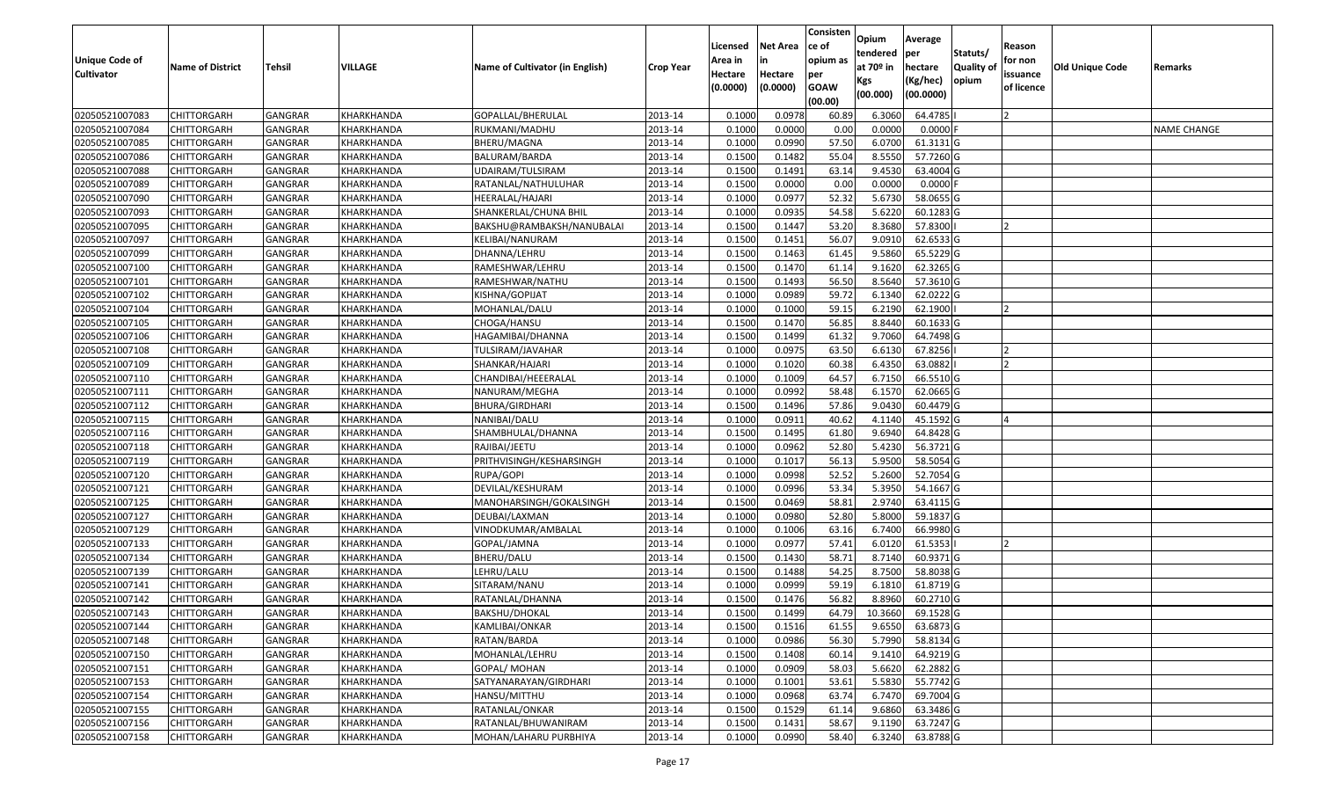| <b>Unique Code of</b><br><b>Cultivator</b> | <b>Name of District</b> | Tehsil         | <b>VILLAGE</b> | Name of Cultivator (in English) | <b>Crop Year</b> | Licensed<br>Area in<br>Hectare<br>(0.0000) | <b>Net Area</b><br>Hectare<br>(0.0000) | Consisten<br>ce of<br>opium as<br>per<br><b>GOAW</b><br>(00.00) | <b>Opium</b><br>tendered<br>at 70º in<br>Kgs<br>(00.000) | Average<br>per<br>hectare<br>(Kg/hec)<br>(00.0000) | Statuts/<br>Quality of<br>opium | Reason<br>for non<br>issuance<br>of licence | Old Unique Code | Remarks            |
|--------------------------------------------|-------------------------|----------------|----------------|---------------------------------|------------------|--------------------------------------------|----------------------------------------|-----------------------------------------------------------------|----------------------------------------------------------|----------------------------------------------------|---------------------------------|---------------------------------------------|-----------------|--------------------|
| 02050521007083                             | CHITTORGARH             | GANGRAR        | KHARKHANDA     | GOPALLAL/BHERULAL               | 2013-14          | 0.1000                                     | 0.0978                                 | 60.89                                                           | 6.3060                                                   | 64.4785                                            |                                 |                                             |                 |                    |
| 02050521007084                             | CHITTORGARH             | GANGRAR        | KHARKHANDA     | RUKMANI/MADHU                   | 2013-14          | 0.1000                                     | 0.0000                                 | 0.00                                                            | 0.0000                                                   | $0.0000$ F                                         |                                 |                                             |                 | <b>NAME CHANGE</b> |
| 02050521007085                             | CHITTORGARH             | GANGRAR        | KHARKHANDA     | BHERU/MAGNA                     | 2013-14          | 0.1000                                     | 0.0990                                 | 57.50                                                           | 6.0700                                                   | 61.3131G                                           |                                 |                                             |                 |                    |
| 02050521007086                             | <b>CHITTORGARH</b>      | <b>GANGRAR</b> | KHARKHANDA     | BALURAM/BARDA                   | 2013-14          | 0.1500                                     | 0.1482                                 | 55.04                                                           | 8.5550                                                   | 57.7260 G                                          |                                 |                                             |                 |                    |
| 02050521007088                             | CHITTORGARH             | GANGRAR        | KHARKHANDA     | UDAIRAM/TULSIRAM                | 2013-14          | 0.1500                                     | 0.1491                                 | 63.14                                                           | 9.4530                                                   | 63.4004 G                                          |                                 |                                             |                 |                    |
| 02050521007089                             | CHITTORGARH             | GANGRAR        | KHARKHANDA     | RATANLAL/NATHULUHAR             | 2013-14          | 0.1500                                     | 0.0000                                 | 0.00                                                            | 0.0000                                                   | $0.0000$ F                                         |                                 |                                             |                 |                    |
| 02050521007090                             | CHITTORGARH             | GANGRAR        | KHARKHANDA     | HEERALAL/HAJARI                 | 2013-14          | 0.1000                                     | 0.0977                                 | 52.32                                                           | 5.6730                                                   | 58.0655 G                                          |                                 |                                             |                 |                    |
| 02050521007093                             | CHITTORGARH             | <b>GANGRAR</b> | KHARKHANDA     | SHANKERLAL/CHUNA BHIL           | 2013-14          | 0.1000                                     | 0.0935                                 | 54.58                                                           | 5.6220                                                   | 60.1283 G                                          |                                 |                                             |                 |                    |
| 02050521007095                             | CHITTORGARH             | <b>GANGRAR</b> | KHARKHANDA     | BAKSHU@RAMBAKSH/NANUBALAI       | 2013-14          | 0.1500                                     | 0.1447                                 | 53.20                                                           | 8.3680                                                   | 57.8300                                            |                                 |                                             |                 |                    |
| 02050521007097                             | CHITTORGARH             | GANGRAR        | KHARKHANDA     | KELIBAI/NANURAM                 | 2013-14          | 0.1500                                     | 0.1451                                 | 56.07                                                           | 9.0910                                                   | 62.6533 G                                          |                                 |                                             |                 |                    |
| 02050521007099                             | CHITTORGARH             | <b>GANGRAR</b> | KHARKHANDA     | DHANNA/LEHRU                    | 2013-14          | 0.1500                                     | 0.1463                                 | 61.45                                                           | 9.5860                                                   | 65.5229 G                                          |                                 |                                             |                 |                    |
| 02050521007100                             | <b>CHITTORGARH</b>      | GANGRAR        | KHARKHANDA     | RAMESHWAR/LEHRU                 | 2013-14          | 0.1500                                     | 0.1470                                 | 61.14                                                           | 9.1620                                                   | 62.3265 G                                          |                                 |                                             |                 |                    |
| 02050521007101                             | <b>CHITTORGARH</b>      | <b>GANGRAR</b> | KHARKHANDA     | RAMESHWAR/NATHU                 | 2013-14          | 0.1500                                     | 0.1493                                 | 56.50                                                           | 8.5640                                                   | 57.3610 G                                          |                                 |                                             |                 |                    |
| 02050521007102                             | CHITTORGARH             | GANGRAR        | KHARKHANDA     | KISHNA/GOPIJAT                  | 2013-14          | 0.1000                                     | 0.0989                                 | 59.72                                                           | 6.1340                                                   | 62.0222G                                           |                                 |                                             |                 |                    |
| 02050521007104                             | <b>CHITTORGARH</b>      | <b>GANGRAR</b> | KHARKHANDA     | MOHANLAL/DALU                   | 2013-14          | 0.1000                                     | 0.1000                                 | 59.15                                                           | 6.2190                                                   | 62.1900                                            |                                 |                                             |                 |                    |
| 02050521007105                             | CHITTORGARH             | GANGRAR        | KHARKHANDA     | CHOGA/HANSU                     | 2013-14          | 0.1500                                     | 0.1470                                 | 56.85                                                           | 8.8440                                                   | 60.1633 G                                          |                                 |                                             |                 |                    |
| 02050521007106                             | CHITTORGARH             | <b>GANGRAR</b> | KHARKHANDA     | HAGAMIBAI/DHANNA                | 2013-14          | 0.1500                                     | 0.1499                                 | 61.32                                                           | 9.7060                                                   | 64.7498 G                                          |                                 |                                             |                 |                    |
| 02050521007108                             | CHITTORGARH             | GANGRAR        | KHARKHANDA     | TULSIRAM/JAVAHAR                | 2013-14          | 0.1000                                     | 0.0975                                 | 63.50                                                           | 6.6130                                                   | 67.8256                                            |                                 |                                             |                 |                    |
| 02050521007109                             | CHITTORGARH             | <b>GANGRAR</b> | KHARKHANDA     | SHANKAR/HAJARI                  | 2013-14          | 0.1000                                     | 0.1020                                 | 60.38                                                           | 6.4350                                                   | 63.0882                                            |                                 |                                             |                 |                    |
| 02050521007110                             | CHITTORGARH             | <b>GANGRAR</b> | KHARKHANDA     | CHANDIBAI/HEEERALAL             | 2013-14          | 0.1000                                     | 0.1009                                 | 64.57                                                           | 6.7150                                                   | 66.5510 G                                          |                                 |                                             |                 |                    |
| 02050521007111                             | CHITTORGARH             | <b>GANGRAR</b> | KHARKHANDA     | NANURAM/MEGHA                   | 2013-14          | 0.1000                                     | 0.0992                                 | 58.48                                                           | 6.1570                                                   | 62.0665 G                                          |                                 |                                             |                 |                    |
| 02050521007112                             | CHITTORGARH             | GANGRAR        | KHARKHANDA     | <b>BHURA/GIRDHARI</b>           | 2013-14          | 0.1500                                     | 0.1496                                 | 57.86                                                           | 9.0430                                                   | 60.4479 G                                          |                                 |                                             |                 |                    |
| 02050521007115                             | CHITTORGARH             | GANGRAR        | KHARKHANDA     | NANIBAI/DALU                    | 2013-14          | 0.1000                                     | 0.0911                                 | 40.62                                                           | 4.1140                                                   | 45.1592 G                                          |                                 |                                             |                 |                    |
| 02050521007116                             | CHITTORGARH             | <b>GANGRAR</b> | KHARKHANDA     | SHAMBHULAL/DHANNA               | 2013-14          | 0.1500                                     | 0.1495                                 | 61.80                                                           | 9.6940                                                   | 64.8428 G                                          |                                 |                                             |                 |                    |
| 02050521007118                             | CHITTORGARH             | <b>GANGRAR</b> | KHARKHANDA     | RAJIBAI/JEETU                   | 2013-14          | 0.1000                                     | 0.0962                                 | 52.80                                                           | 5.4230                                                   | 56.3721 G                                          |                                 |                                             |                 |                    |
| 02050521007119                             | CHITTORGARH             | GANGRAR        | KHARKHANDA     | PRITHVISINGH/KESHARSINGH        | 2013-14          | 0.1000                                     | 0.1017                                 | 56.13                                                           | 5.9500                                                   | 58.5054 G                                          |                                 |                                             |                 |                    |
| 02050521007120                             | CHITTORGARH             | GANGRAR        | KHARKHANDA     | RUPA/GOPI                       | 2013-14          | 0.1000                                     | 0.0998                                 | 52.52                                                           | 5.2600                                                   | 52.7054 G                                          |                                 |                                             |                 |                    |
| 02050521007121                             | CHITTORGARH             | <b>GANGRAR</b> | KHARKHANDA     | DEVILAL/KESHURAM                | 2013-14          | 0.1000                                     | 0.0996                                 | 53.34                                                           | 5.3950                                                   | 54.1667 G                                          |                                 |                                             |                 |                    |
| 02050521007125                             | CHITTORGARH             | <b>GANGRAR</b> | KHARKHANDA     | MANOHARSINGH/GOKALSINGH         | 2013-14          | 0.1500                                     | 0.0469                                 | 58.81                                                           | 2.9740                                                   | 63.4115 G                                          |                                 |                                             |                 |                    |
| 02050521007127                             | CHITTORGARH             | GANGRAR        | KHARKHANDA     | DEUBAI/LAXMAN                   | 2013-14          | 0.1000                                     | 0.0980                                 | 52.80                                                           | 5.8000                                                   | 59.1837 G                                          |                                 |                                             |                 |                    |
| 02050521007129                             | CHITTORGARH             | GANGRAR        | KHARKHANDA     | VINODKUMAR/AMBALAL              | 2013-14          | 0.1000                                     | 0.1006                                 | 63.16                                                           | 6.7400                                                   | 66.9980 G                                          |                                 |                                             |                 |                    |
| 02050521007133                             | CHITTORGARH             | GANGRAR        | KHARKHANDA     | GOPAL/JAMNA                     | 2013-14          | 0.1000                                     | 0.0977                                 | 57.41                                                           | 6.0120                                                   | 61.5353                                            |                                 |                                             |                 |                    |
| 02050521007134                             | CHITTORGARH             | <b>GANGRAR</b> | KHARKHANDA     | <b>BHERU/DALU</b>               | 2013-14          | 0.1500                                     | 0.1430                                 | 58.71                                                           | 8.7140                                                   | 60.9371 G                                          |                                 |                                             |                 |                    |
| 02050521007139                             | CHITTORGARH             | GANGRAR        | KHARKHANDA     | LEHRU/LALU                      | 2013-14          | 0.1500                                     | 0.1488                                 | 54.25                                                           | 8.7500                                                   | 58.8038 G                                          |                                 |                                             |                 |                    |
| 02050521007141                             | CHITTORGARH             | GANGRAR        | KHARKHANDA     | SITARAM/NANU                    | 2013-14          | 0.1000                                     | 0.0999                                 | 59.19                                                           | 6.1810                                                   | 61.8719 G                                          |                                 |                                             |                 |                    |
| 02050521007142                             | CHITTORGARH             | GANGRAR        | KHARKHANDA     | RATANLAL/DHANNA                 | 2013-14          | 0.1500                                     | 0.1476                                 | 56.82                                                           | 8.8960                                                   | 60.2710 G                                          |                                 |                                             |                 |                    |
| 02050521007143                             | <b>CHITTORGARH</b>      | GANGRAR        | KHARKHANDA     | BAKSHU/DHOKAL                   | 2013-14          | 0.1500                                     | 0.1499                                 | 64.79                                                           | 10.3660                                                  | 69.1528 G                                          |                                 |                                             |                 |                    |
| 02050521007144                             | <b>CHITTORGARH</b>      | <b>GANGRAR</b> | KHARKHANDA     | <b>KAMLIBAI/ONKAR</b>           | 2013-14          | 0.1500                                     | 0.1516                                 | 61.55                                                           | 9.6550                                                   | 63.6873 G                                          |                                 |                                             |                 |                    |
| 02050521007148                             | <b>CHITTORGARH</b>      | GANGRAR        | KHARKHANDA     | RATAN/BARDA                     | 2013-14          | 0.1000                                     | 0.0986                                 | 56.30                                                           | 5.7990                                                   | 58.8134 G                                          |                                 |                                             |                 |                    |
| 02050521007150                             | <b>CHITTORGARH</b>      | <b>GANGRAR</b> | KHARKHANDA     | MOHANLAL/LEHRU                  | 2013-14          | 0.1500                                     | 0.1408                                 | 60.14                                                           | 9.1410                                                   | 64.9219 G                                          |                                 |                                             |                 |                    |
| 02050521007151                             | CHITTORGARH             | GANGRAR        | KHARKHANDA     | <b>GOPAL/ MOHAN</b>             | 2013-14          | 0.1000                                     | 0.0909                                 | 58.03                                                           | 5.6620                                                   | 62.2882G                                           |                                 |                                             |                 |                    |
| 02050521007153                             | <b>CHITTORGARH</b>      | <b>GANGRAR</b> | KHARKHANDA     | SATYANARAYAN/GIRDHARI           | 2013-14          | 0.1000                                     | 0.1001                                 | 53.61                                                           | 5.5830                                                   | 55.7742 G                                          |                                 |                                             |                 |                    |
| 02050521007154                             | <b>CHITTORGARH</b>      | <b>GANGRAR</b> | KHARKHANDA     | HANSU/MITTHU                    | 2013-14          | 0.1000                                     | 0.0968                                 | 63.74                                                           | 6.7470                                                   | 69.7004 G                                          |                                 |                                             |                 |                    |
| 02050521007155                             | CHITTORGARH             | <b>GANGRAR</b> | KHARKHANDA     | RATANLAL/ONKAR                  | 2013-14          | 0.1500                                     | 0.1529                                 | 61.14                                                           | 9.6860                                                   | 63.3486 G                                          |                                 |                                             |                 |                    |
| 02050521007156                             | CHITTORGARH             | <b>GANGRAR</b> | KHARKHANDA     | RATANLAL/BHUWANIRAM             | 2013-14          | 0.1500                                     | 0.1431                                 | 58.67                                                           | 9.1190                                                   | 63.7247 G                                          |                                 |                                             |                 |                    |
| 02050521007158                             | <b>CHITTORGARH</b>      | GANGRAR        | KHARKHANDA     | MOHAN/LAHARU PURBHIYA           | 2013-14          | 0.1000                                     | 0.0990                                 | 58.40                                                           | 6.3240                                                   | 63.8788 G                                          |                                 |                                             |                 |                    |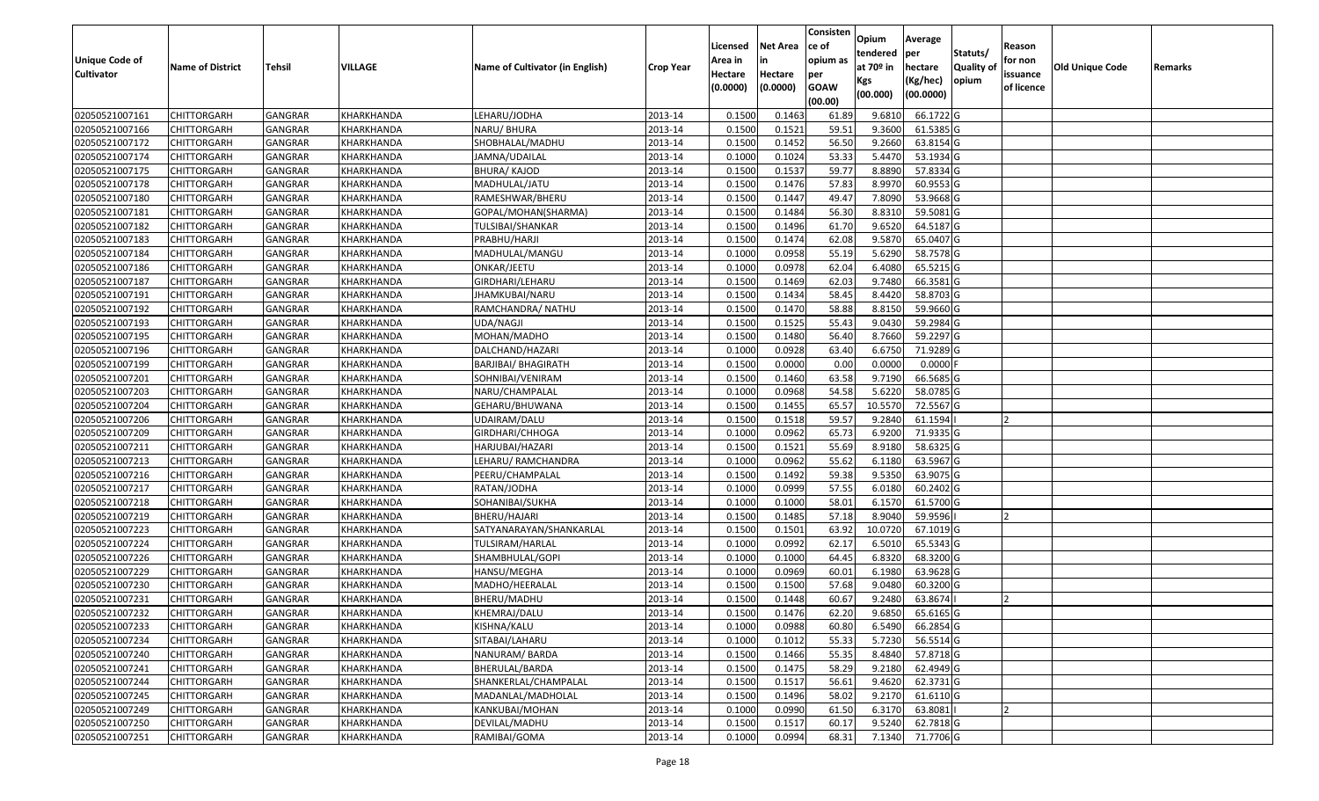|                       |                         |                |                |                                 |                  |          |                 | Consisten              | Opium       | Average    |                  |            |                        |         |
|-----------------------|-------------------------|----------------|----------------|---------------------------------|------------------|----------|-----------------|------------------------|-------------|------------|------------------|------------|------------------------|---------|
|                       |                         |                |                |                                 |                  | Licensed | <b>Net Area</b> | ce of                  | tendered    | per        | Statuts/         | Reason     |                        |         |
| <b>Unique Code of</b> | <b>Name of District</b> | <b>Tehsil</b>  | <b>VILLAGE</b> | Name of Cultivator (in English) | <b>Crop Year</b> | Area in  | in              | opium as               | at $70°$ in | hectare    | <b>Quality o</b> | for non    | <b>Old Unique Code</b> | Remarks |
| <b>Cultivator</b>     |                         |                |                |                                 |                  | Hectare  | Hectare         | per                    | Kgs         | (Kg/hec)   | opium            | issuance   |                        |         |
|                       |                         |                |                |                                 |                  | (0.0000) | (0.0000)        | <b>GOAW</b><br>(00.00) | (00.000)    | (00.0000)  |                  | of licence |                        |         |
| 02050521007161        | CHITTORGARH             | GANGRAR        | KHARKHANDA     | LEHARU/JODHA                    | 2013-14          | 0.1500   | 0.1463          | 61.89                  | 9.6810      | 66.1722 G  |                  |            |                        |         |
| 02050521007166        | CHITTORGARH             | GANGRAR        | KHARKHANDA     | NARU/ BHURA                     | 2013-14          | 0.1500   | 0.1521          | 59.51                  | 9.3600      | 61.5385 G  |                  |            |                        |         |
| 02050521007172        | CHITTORGARH             | GANGRAR        | KHARKHANDA     | SHOBHALAL/MADHU                 | 2013-14          | 0.1500   | 0.1452          | 56.50                  | 9.2660      | 63.8154 G  |                  |            |                        |         |
| 02050521007174        | <b>CHITTORGARH</b>      | <b>GANGRAR</b> | KHARKHANDA     | JAMNA/UDAILAL                   | 2013-14          | 0.1000   | 0.1024          | 53.33                  | 5.4470      | 53.1934 G  |                  |            |                        |         |
| 02050521007175        | CHITTORGARH             | GANGRAR        | KHARKHANDA     | <b>BHURA/ KAJOD</b>             | 2013-14          | 0.1500   | 0.1537          | 59.77                  | 8.8890      | 57.8334 G  |                  |            |                        |         |
| 02050521007178        | CHITTORGARH             | <b>GANGRAR</b> | KHARKHANDA     | MADHULAL/JATU                   | 2013-14          | 0.1500   | 0.1476          | 57.83                  | 8.9970      | 60.9553 G  |                  |            |                        |         |
| 02050521007180        | CHITTORGARH             | GANGRAR        | KHARKHANDA     | RAMESHWAR/BHERU                 | 2013-14          | 0.1500   | 0.1447          | 49.47                  | 7.8090      | 53.9668 G  |                  |            |                        |         |
| 02050521007181        | <b>CHITTORGARH</b>      | <b>GANGRAR</b> | KHARKHANDA     | GOPAL/MOHAN(SHARMA)             | 2013-14          | 0.1500   | 0.1484          | 56.30                  | 8.8310      | 59.5081G   |                  |            |                        |         |
| 02050521007182        | <b>CHITTORGARH</b>      | GANGRAR        | KHARKHANDA     | TULSIBAI/SHANKAR                | 2013-14          | 0.1500   | 0.1496          | 61.70                  | 9.6520      | 64.5187 G  |                  |            |                        |         |
| 02050521007183        | CHITTORGARH             | <b>GANGRAR</b> | KHARKHANDA     | PRABHU/HARJI                    | 2013-14          | 0.1500   | 0.1474          | 62.08                  | 9.5870      | 65.0407 G  |                  |            |                        |         |
| 02050521007184        | CHITTORGARH             | GANGRAR        | KHARKHANDA     | MADHULAL/MANGU                  | 2013-14          | 0.1000   | 0.0958          | 55.19                  | 5.6290      | 58.7578 G  |                  |            |                        |         |
| 02050521007186        | <b>CHITTORGARH</b>      | <b>GANGRAR</b> | KHARKHANDA     | ONKAR/JEETU                     | 2013-14          | 0.1000   | 0.0978          | 62.04                  | 6.4080      | 65.5215 G  |                  |            |                        |         |
| 02050521007187        | <b>CHITTORGARH</b>      | <b>GANGRAR</b> | KHARKHANDA     | GIRDHARI/LEHARU                 | 2013-14          | 0.1500   | 0.1469          | 62.03                  | 9.7480      | 66.3581G   |                  |            |                        |         |
| 02050521007191        | <b>CHITTORGARH</b>      | GANGRAR        | KHARKHANDA     | JHAMKUBAI/NARU                  | 2013-14          | 0.1500   | 0.1434          | 58.45                  | 8.4420      | 58.8703 G  |                  |            |                        |         |
| 02050521007192        | <b>CHITTORGARH</b>      | <b>GANGRAR</b> | KHARKHANDA     | RAMCHANDRA/ NATHU               | 2013-14          | 0.1500   | 0.1470          | 58.88                  | 8.8150      | 59.9660 G  |                  |            |                        |         |
| 02050521007193        | <b>CHITTORGARH</b>      | <b>GANGRAR</b> | KHARKHANDA     | UDA/NAGJI                       | 2013-14          | 0.1500   | 0.1525          | 55.43                  | 9.0430      | 59.2984 G  |                  |            |                        |         |
| 02050521007195        | <b>CHITTORGARH</b>      | <b>GANGRAR</b> | KHARKHANDA     | MOHAN/MADHO                     | 2013-14          | 0.1500   | 0.1480          | 56.40                  | 8.7660      | 59.2297 G  |                  |            |                        |         |
| 02050521007196        | CHITTORGARH             | GANGRAR        | KHARKHANDA     | DALCHAND/HAZARI                 | 2013-14          | 0.1000   | 0.0928          | 63.40                  | 6.6750      | 71.9289 G  |                  |            |                        |         |
| 02050521007199        | CHITTORGARH             | GANGRAR        | KHARKHANDA     | <b>BARJIBAI/ BHAGIRATH</b>      | 2013-14          | 0.1500   | 0.0000          | 0.00                   | 0.0000      | $0.0000$ F |                  |            |                        |         |
| 02050521007201        | CHITTORGARH             | GANGRAR        | KHARKHANDA     | SOHNIBAI/VENIRAM                | 2013-14          | 0.1500   | 0.1460          | 63.58                  | 9.7190      | 66.5685 G  |                  |            |                        |         |
| 02050521007203        | CHITTORGARH             | <b>GANGRAR</b> | KHARKHANDA     | NARU/CHAMPALAL                  | 2013-14          | 0.1000   | 0.0968          | 54.58                  | 5.6220      | 58.0785 G  |                  |            |                        |         |
| 02050521007204        | CHITTORGARH             | GANGRAR        | KHARKHANDA     | GEHARU/BHUWANA                  | 2013-14          | 0.150    | 0.1455          | 65.5                   | 10.5570     | 72.5567 G  |                  |            |                        |         |
| 02050521007206        | CHITTORGARH             | GANGRAR        | KHARKHANDA     | UDAIRAM/DALU                    | 2013-14          | 0.1500   | 0.1518          | 59.57                  | 9.2840      | 61.1594    |                  |            |                        |         |
| 02050521007209        | <b>CHITTORGARH</b>      | <b>GANGRAR</b> | KHARKHANDA     | GIRDHARI/CHHOGA                 | 2013-14          | 0.1000   | 0.0962          | 65.73                  | 6.9200      | 71.9335 G  |                  |            |                        |         |
| 02050521007211        | <b>CHITTORGARH</b>      | <b>GANGRAR</b> | KHARKHANDA     | HARJUBAI/HAZARI                 | 2013-14          | 0.1500   | 0.1521          | 55.69                  | 8.9180      | 58.6325 G  |                  |            |                        |         |
| 02050521007213        | CHITTORGARH             | GANGRAR        | KHARKHANDA     | LEHARU/ RAMCHANDRA              | 2013-14          | 0.1000   | 0.0962          | 55.62                  | 6.1180      | 63.5967 G  |                  |            |                        |         |
| 02050521007216        | CHITTORGARH             | GANGRAR        | KHARKHANDA     | PEERU/CHAMPALAL                 | 2013-14          | 0.1500   | 0.1492          | 59.38                  | 9.5350      | 63.9075 G  |                  |            |                        |         |
| 02050521007217        | CHITTORGARH             | GANGRAR        | KHARKHANDA     | RATAN/JODHA                     | 2013-14          | 0.1000   | 0.0999          | 57.55                  | 6.0180      | 60.2402 G  |                  |            |                        |         |
| 02050521007218        | CHITTORGARH             | <b>GANGRAR</b> | KHARKHANDA     | SOHANIBAI/SUKHA                 | 2013-14          | 0.1000   | 0.1000          | 58.01                  | 6.1570      | 61.5700 G  |                  |            |                        |         |
| 02050521007219        | CHITTORGARH             | <b>GANGRAR</b> | KHARKHANDA     | BHERU/HAJARI                    | 2013-14          | 0.1500   | 0.1485          | 57.18                  | 8.9040      | 59.9596    |                  |            |                        |         |
| 02050521007223        | CHITTORGARH             | <b>GANGRAR</b> | KHARKHANDA     | SATYANARAYAN/SHANKARLAL         | 2013-14          | 0.1500   | 0.1501          | 63.92                  | 10.0720     | 67.1019 G  |                  |            |                        |         |
| 02050521007224        | CHITTORGARH             | GANGRAR        | KHARKHANDA     | TULSIRAM/HARLAL                 | 2013-14          | 0.1000   | 0.0992          | 62.17                  | 6.5010      | 65.5343 G  |                  |            |                        |         |
| 02050521007226        | CHITTORGARH             | <b>GANGRAR</b> | KHARKHANDA     | SHAMBHULAL/GOPI                 | 2013-14          | 0.100    | 0.1000          | 64.45                  | 6.8320      | 68.3200 G  |                  |            |                        |         |
| 02050521007229        | <b>CHITTORGARH</b>      | GANGRAR        | KHARKHANDA     | HANSU/MEGHA                     | 2013-14          | 0.1000   | 0.0969          | 60.01                  | 6.1980      | 63.9628 G  |                  |            |                        |         |
| 02050521007230        | CHITTORGARH             | <b>GANGRAR</b> | KHARKHANDA     | MADHO/HEERALAL                  | 2013-14          | 0.150    | 0.1500          | 57.68                  | 9.0480      | 60.3200 G  |                  |            |                        |         |
| 02050521007231        | CHITTORGARH             | GANGRAR        | KHARKHANDA     | BHERU/MADHU                     | 2013-14          | 0.1500   | 0.1448          | 60.67                  | 9.2480      | 63.8674    |                  |            |                        |         |
| 02050521007232        | <b>CHITTORGARH</b>      | <b>GANGRAR</b> | KHARKHANDA     | KHEMRAJ/DALU                    | 2013-14          | 0.1500   | 0.1476          | 62.20                  | 9.6850      | 65.6165 G  |                  |            |                        |         |
| 02050521007233        | <b>CHITTORGARH</b>      | <b>GANGRAR</b> | KHARKHANDA     | KISHNA/KALU                     | 2013-14          | 0.1000   | 0.0988          | 60.80                  | 6.5490      | 66.2854 G  |                  |            |                        |         |
| 02050521007234        | <b>CHITTORGARH</b>      | <b>GANGRAR</b> | KHARKHANDA     | SITABAI/LAHARU                  | 2013-14          | 0.1000   | 0.1012          | 55.33                  | 5.7230      | 56.5514 G  |                  |            |                        |         |
| 02050521007240        | <b>CHITTORGARH</b>      | <b>GANGRAR</b> | KHARKHANDA     | NANURAM/BARDA                   | 2013-14          | 0.1500   | 0.1466          | 55.35                  | 8.4840      | 57.8718 G  |                  |            |                        |         |
| 02050521007241        | CHITTORGARH             | <b>GANGRAR</b> | KHARKHANDA     | BHERULAL/BARDA                  | 2013-14          | 0.1500   | 0.1475          | 58.29                  | 9.2180      | 62.4949 G  |                  |            |                        |         |
| 02050521007244        | <b>CHITTORGARH</b>      | <b>GANGRAR</b> | KHARKHANDA     | SHANKERLAL/CHAMPALAL            | 2013-14          | 0.1500   | 0.1517          | 56.61                  | 9.4620      | 62.3731 G  |                  |            |                        |         |
| 02050521007245        | <b>CHITTORGARH</b>      | <b>GANGRAR</b> | KHARKHANDA     | MADANLAL/MADHOLAL               | 2013-14          | 0.1500   | 0.1496          | 58.02                  | 9.2170      | 61.6110 G  |                  |            |                        |         |
| 02050521007249        | CHITTORGARH             | <b>GANGRAR</b> | KHARKHANDA     | KANKUBAI/MOHAN                  | 2013-14          | 0.1000   | 0.0990          | 61.50                  | 6.3170      | 63.8081    |                  |            |                        |         |
| 02050521007250        | <b>CHITTORGARH</b>      | <b>GANGRAR</b> | KHARKHANDA     | DEVILAL/MADHU                   | 2013-14          | 0.1500   | 0.1517          | 60.17                  | 9.5240      | 62.7818 G  |                  |            |                        |         |
| 02050521007251        | <b>CHITTORGARH</b>      | <b>GANGRAR</b> | KHARKHANDA     | RAMIBAI/GOMA                    | 2013-14          | 0.1000   | 0.0994          | 68.31                  | 7.1340      | 71.7706 G  |                  |            |                        |         |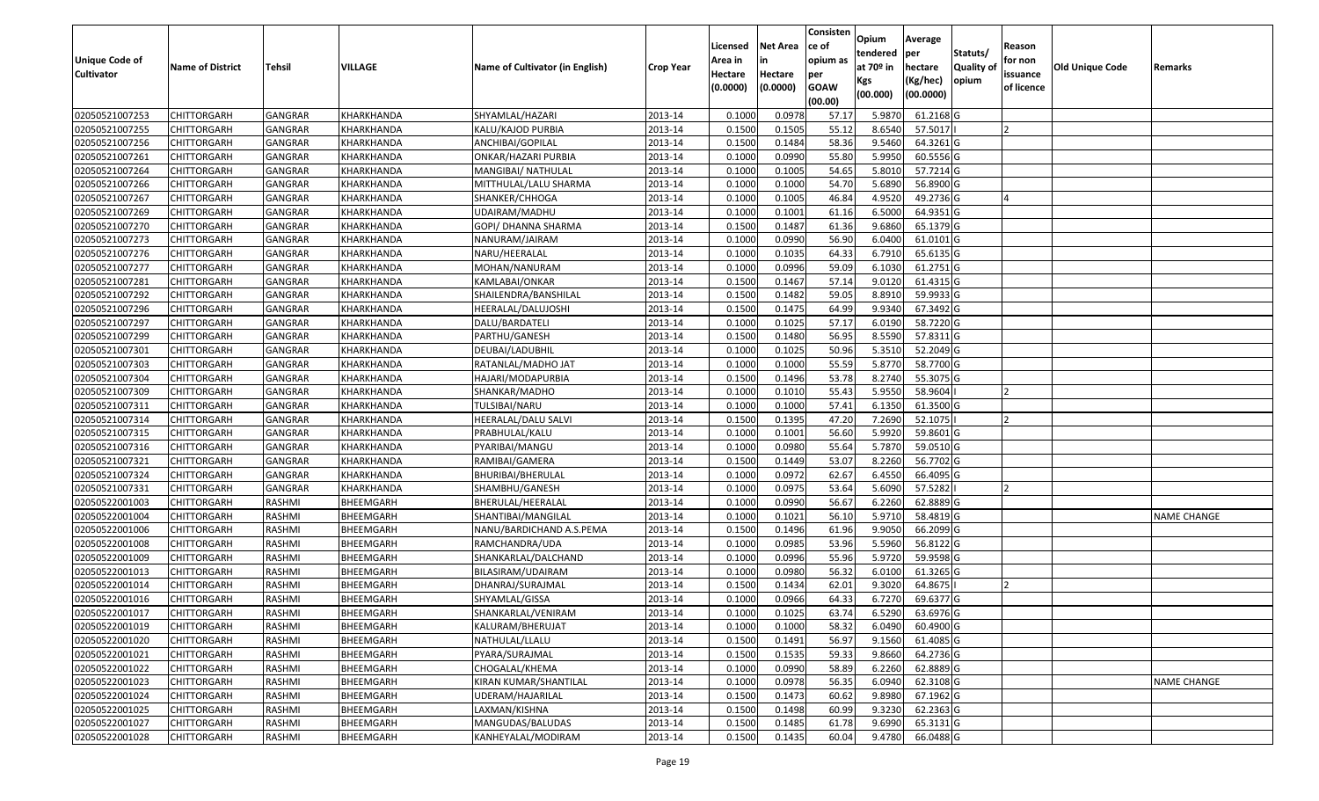|                   |                         |                |            |                                 |                  |          |                 | Consisten   | Opium       | Average        |                  |            |                 |                    |
|-------------------|-------------------------|----------------|------------|---------------------------------|------------------|----------|-----------------|-------------|-------------|----------------|------------------|------------|-----------------|--------------------|
|                   |                         |                |            |                                 |                  | Licensed | <b>Net Area</b> | ce of       | tendered    |                | Statuts/         | Reason     |                 |                    |
| Unique Code of    | <b>Name of District</b> | <b>Tehsil</b>  | VILLAGE    | Name of Cultivator (in English) | <b>Crop Year</b> | Area in  | in              | opium as    | at $70°$ in | per<br>hectare | <b>Quality o</b> | for non    | Old Unique Code | Remarks            |
| <b>Cultivator</b> |                         |                |            |                                 |                  | Hectare  | Hectare         | per         | Kgs         | (Kg/hec)       | opium            | issuance   |                 |                    |
|                   |                         |                |            |                                 |                  | (0.0000) | (0.0000)        | <b>GOAW</b> | (00.000)    | (00.0000)      |                  | of licence |                 |                    |
|                   |                         |                |            |                                 |                  |          |                 | (00.00)     |             |                |                  |            |                 |                    |
| 02050521007253    | CHITTORGARH             | GANGRAR        | KHARKHANDA | SHYAMLAL/HAZARI                 | 2013-14          | 0.1000   | 0.0978          | 57.17       | 5.9870      | 61.2168 G      |                  |            |                 |                    |
| 02050521007255    | CHITTORGARH             | GANGRAR        | KHARKHANDA | KALU/KAJOD PURBIA               | 2013-14          | 0.1500   | 0.1505          | 55.12       | 8.6540      | 57.5017        |                  |            |                 |                    |
| 02050521007256    | CHITTORGARH             | GANGRAR        | KHARKHANDA | ANCHIBAI/GOPILAL                | 2013-14          | 0.1500   | 0.1484          | 58.36       | 9.5460      | 64.3261G       |                  |            |                 |                    |
| 02050521007261    | <b>CHITTORGARH</b>      | <b>GANGRAR</b> | KHARKHANDA | ONKAR/HAZARI PURBIA             | 2013-14          | 0.1000   | 0.0990          | 55.80       | 5.9950      | 60.5556 G      |                  |            |                 |                    |
| 02050521007264    | CHITTORGARH             | GANGRAR        | KHARKHANDA | MANGIBAI/ NATHULAL              | 2013-14          | 0.1000   | 0.1005          | 54.65       | 5.8010      | 57.7214 G      |                  |            |                 |                    |
| 02050521007266    | <b>CHITTORGARH</b>      | <b>GANGRAR</b> | KHARKHANDA | MITTHULAL/LALU SHARMA           | 2013-14          | 0.1000   | 0.1000          | 54.70       | 5.6890      | 56.8900 G      |                  |            |                 |                    |
| 02050521007267    | CHITTORGARH             | GANGRAR        | KHARKHANDA | SHANKER/CHHOGA                  | 2013-14          | 0.1000   | 0.1005          | 46.84       | 4.9520      | 49.2736 G      |                  |            |                 |                    |
| 02050521007269    | CHITTORGARH             | <b>GANGRAR</b> | KHARKHANDA | UDAIRAM/MADHU                   | 2013-14          | 0.1000   | 0.1001          | 61.16       | 6.5000      | 64.9351 G      |                  |            |                 |                    |
| 02050521007270    | CHITTORGARH             | <b>GANGRAR</b> | KHARKHANDA | GOPI/ DHANNA SHARMA             | 2013-14          | 0.1500   | 0.1487          | 61.36       | 9.6860      | 65.1379 G      |                  |            |                 |                    |
| 02050521007273    | CHITTORGARH             | <b>GANGRAR</b> | KHARKHANDA | NANURAM/JAIRAM                  | 2013-14          | 0.1000   | 0.0990          | 56.90       | 6.0400      | $61.0101$ G    |                  |            |                 |                    |
| 02050521007276    | CHITTORGARH             | GANGRAR        | KHARKHANDA | NARU/HEERALAL                   | 2013-14          | 0.1000   | 0.1035          | 64.33       | 6.7910      | 65.6135 G      |                  |            |                 |                    |
| 02050521007277    | CHITTORGARH             | <b>GANGRAR</b> | KHARKHANDA | MOHAN/NANURAM                   | 2013-14          | 0.1000   | 0.0996          | 59.09       | 6.1030      | 61.2751 G      |                  |            |                 |                    |
| 02050521007281    | <b>CHITTORGARH</b>      | <b>GANGRAR</b> | KHARKHANDA | KAMLABAI/ONKAR                  | 2013-14          | 0.1500   | 0.1467          | 57.14       | 9.0120      | 61.4315 G      |                  |            |                 |                    |
| 02050521007292    | <b>CHITTORGARH</b>      | GANGRAR        | KHARKHANDA | SHAILENDRA/BANSHILAL            | 2013-14          | 0.1500   | 0.1482          | 59.05       | 8.8910      | 59.9933 G      |                  |            |                 |                    |
| 02050521007296    | <b>CHITTORGARH</b>      | <b>GANGRAR</b> | KHARKHANDA | HEERALAL/DALUJOSHI              | 2013-14          | 0.1500   | 0.1475          | 64.99       | 9.9340      | 67.3492 G      |                  |            |                 |                    |
| 02050521007297    | <b>CHITTORGARH</b>      | <b>GANGRAR</b> | KHARKHANDA | DALU/BARDATELI                  | 2013-14          | 0.1000   | 0.1025          | 57.17       | 6.0190      | 58.7220 G      |                  |            |                 |                    |
| 02050521007299    | <b>CHITTORGARH</b>      | <b>GANGRAR</b> | KHARKHANDA | PARTHU/GANESH                   | 2013-14          | 0.1500   | 0.1480          | 56.95       | 8.5590      | 57.8311 G      |                  |            |                 |                    |
| 02050521007301    | CHITTORGARH             | GANGRAR        | KHARKHANDA | DEUBAI/LADUBHIL                 | 2013-14          | 0.100    | 0.1025          | 50.96       | 5.3510      | 52.2049 G      |                  |            |                 |                    |
| 02050521007303    | CHITTORGARH             | GANGRAR        | KHARKHANDA | RATANLAL/MADHO JAT              | 2013-14          | 0.100    | 0.1000          | 55.59       | 5.8770      | 58.7700 G      |                  |            |                 |                    |
| 02050521007304    | CHITTORGARH             | GANGRAR        | KHARKHANDA | HAJARI/MODAPURBIA               | 2013-14          | 0.1500   | 0.1496          | 53.78       | 8.2740      | 55.3075 G      |                  |            |                 |                    |
| 02050521007309    | CHITTORGARH             | <b>GANGRAR</b> | KHARKHANDA | SHANKAR/MADHO                   | 2013-14          | 0.100    | 0.1010          | 55.43       | 5.9550      | 58.9604        |                  |            |                 |                    |
| 02050521007311    | CHITTORGARH             | GANGRAR        | KHARKHANDA | TULSIBAI/NARU                   | 2013-14          | 0.100    | 0.1000          | 57.41       | 6.135       | 61.3500 G      |                  |            |                 |                    |
| 02050521007314    | CHITTORGARH             | GANGRAR        | KHARKHANDA | HEERALAL/DALU SALVI             | 2013-14          | 0.1500   | 0.1395          | 47.20       | 7.2690      | 52.1075        |                  |            |                 |                    |
| 02050521007315    | <b>CHITTORGARH</b>      | <b>GANGRAR</b> | KHARKHANDA | PRABHULAL/KALU                  | 2013-14          | 0.100    | 0.1001          | 56.60       | 5.9920      | 59.8601G       |                  |            |                 |                    |
| 02050521007316    | <b>CHITTORGARH</b>      | <b>GANGRAR</b> | KHARKHANDA | PYARIBAI/MANGU                  | 2013-14          | 0.1000   | 0.0980          | 55.64       | 5.7870      | 59.0510 G      |                  |            |                 |                    |
| 02050521007321    | CHITTORGARH             | GANGRAR        | KHARKHANDA | RAMIBAI/GAMERA                  | 2013-14          | 0.1500   | 0.1449          | 53.07       | 8.2260      | 56.7702G       |                  |            |                 |                    |
| 02050521007324    | CHITTORGARH             | GANGRAR        | KHARKHANDA | BHURIBAI/BHERULAL               | 2013-14          | 0.100    | 0.0972          | 62.67       | 6.4550      | 66.4095 G      |                  |            |                 |                    |
| 02050521007331    | CHITTORGARH             | GANGRAR        | KHARKHANDA | SHAMBHU/GANESH                  | 2013-14          | 0.1000   | 0.0975          | 53.64       | 5.6090      | 57.5282        |                  |            |                 |                    |
| 02050522001003    | CHITTORGARH             | RASHMI         | BHEEMGARH  | BHERULAL/HEERALAL               | 2013-14          | 0.1000   | 0.0990          | 56.67       | 6.2260      | 62.8889 G      |                  |            |                 |                    |
| 02050522001004    | CHITTORGARH             | RASHMI         | BHEEMGARH  | SHANTIBAI/MANGILAL              | 2013-14          | 0.1000   | 0.1021          | 56.10       | 5.9710      | 58.4819 G      |                  |            |                 | <b>NAME CHANGE</b> |
| 02050522001006    | CHITTORGARH             | RASHMI         | BHEEMGARH  | NANU/BARDICHAND A.S.PEMA        | 2013-14          | 0.1500   | 0.1496          | 61.96       | 9.905       | 66.2099 G      |                  |            |                 |                    |
| 02050522001008    | CHITTORGARH             | RASHMI         | BHEEMGARH  | RAMCHANDRA/UDA                  | 2013-14          | 0.1000   | 0.0985          | 53.96       | 5.5960      | 56.8122G       |                  |            |                 |                    |
| 02050522001009    | CHITTORGARH             | RASHMI         | BHEEMGARH  | SHANKARLAL/DALCHAND             | 2013-14          | 0.1000   | 0.0996          | 55.96       | 5.9720      | 59.9598 G      |                  |            |                 |                    |
| 02050522001013    | <b>CHITTORGARH</b>      | RASHMI         | BHEEMGARH  | BILASIRAM/UDAIRAM               | 2013-14          | 0.1000   | 0.0980          | 56.32       | 6.0100      | 61.3265 G      |                  |            |                 |                    |
| 02050522001014    | CHITTORGARH             | RASHMI         | BHEEMGARH  | DHANRAJ/SURAJMAL                | 2013-14          | 0.1500   | 0.1434          | 62.01       | 9.3020      | 64.8675        |                  |            |                 |                    |
| 02050522001016    | CHITTORGARH             | RASHMI         | BHEEMGARH  | SHYAMLAL/GISSA                  | 2013-14          | 0.1000   | 0.0966          | 64.33       | 6.7270      | 69.6377 G      |                  |            |                 |                    |
| 02050522001017    | CHITTORGARH             | RASHMI         | BHEEMGARH  | SHANKARLAL/VENIRAM              | 2013-14          | 0.1000   | 0.1025          | 63.74       | 6.5290      | 63.6976 G      |                  |            |                 |                    |
| 02050522001019    | <b>CHITTORGARH</b>      | RASHMI         | BHEEMGARH  | KALURAM/BHERUJAT                | 2013-14          | 0.1000   | 0.1000          | 58.32       | 6.0490      | 60.4900 G      |                  |            |                 |                    |
| 02050522001020    | <b>CHITTORGARH</b>      | RASHMI         | BHEEMGARH  | NATHULAL/LLALU                  | 2013-14          | 0.1500   | 0.1491          | 56.97       | 9.1560      | 61.4085 G      |                  |            |                 |                    |
| 02050522001021    | <b>CHITTORGARH</b>      | RASHMI         | BHEEMGARH  | PYARA/SURAJMAL                  | 2013-14          | 0.1500   | 0.1535          | 59.33       | 9.8660      | 64.2736 G      |                  |            |                 |                    |
| 02050522001022    | CHITTORGARH             | RASHMI         | BHEEMGARH  | CHOGALAL/KHEMA                  | 2013-14          | 0.1000   | 0.0990          | 58.89       | 6.2260      | 62.8889 G      |                  |            |                 |                    |
| 02050522001023    | <b>CHITTORGARH</b>      | RASHMI         | BHEEMGARH  | KIRAN KUMAR/SHANTILAL           | 2013-14          | 0.1000   | 0.0978          | 56.35       | 6.0940      | 62.3108 G      |                  |            |                 | <b>NAME CHANGE</b> |
| 02050522001024    | <b>CHITTORGARH</b>      | RASHMI         | BHEEMGARH  | UDERAM/HAJARILAL                | 2013-14          | 0.1500   | 0.1473          | 60.62       | 9.8980      | 67.1962 G      |                  |            |                 |                    |
| 02050522001025    | CHITTORGARH             | RASHMI         | BHEEMGARH  | LAXMAN/KISHNA                   | 2013-14          | 0.1500   | 0.1498          | 60.99       | 9.3230      | 62.2363 G      |                  |            |                 |                    |
| 02050522001027    | <b>CHITTORGARH</b>      | RASHMI         | BHEEMGARH  | MANGUDAS/BALUDAS                | 2013-14          | 0.1500   | 0.1485          | 61.78       | 9.6990      | 65.3131 G      |                  |            |                 |                    |
| 02050522001028    | <b>CHITTORGARH</b>      | RASHMI         | BHEEMGARH  | KANHEYALAL/MODIRAM              | 2013-14          | 0.1500   | 0.1435          | 60.04       | 9.4780      | 66.0488 G      |                  |            |                 |                    |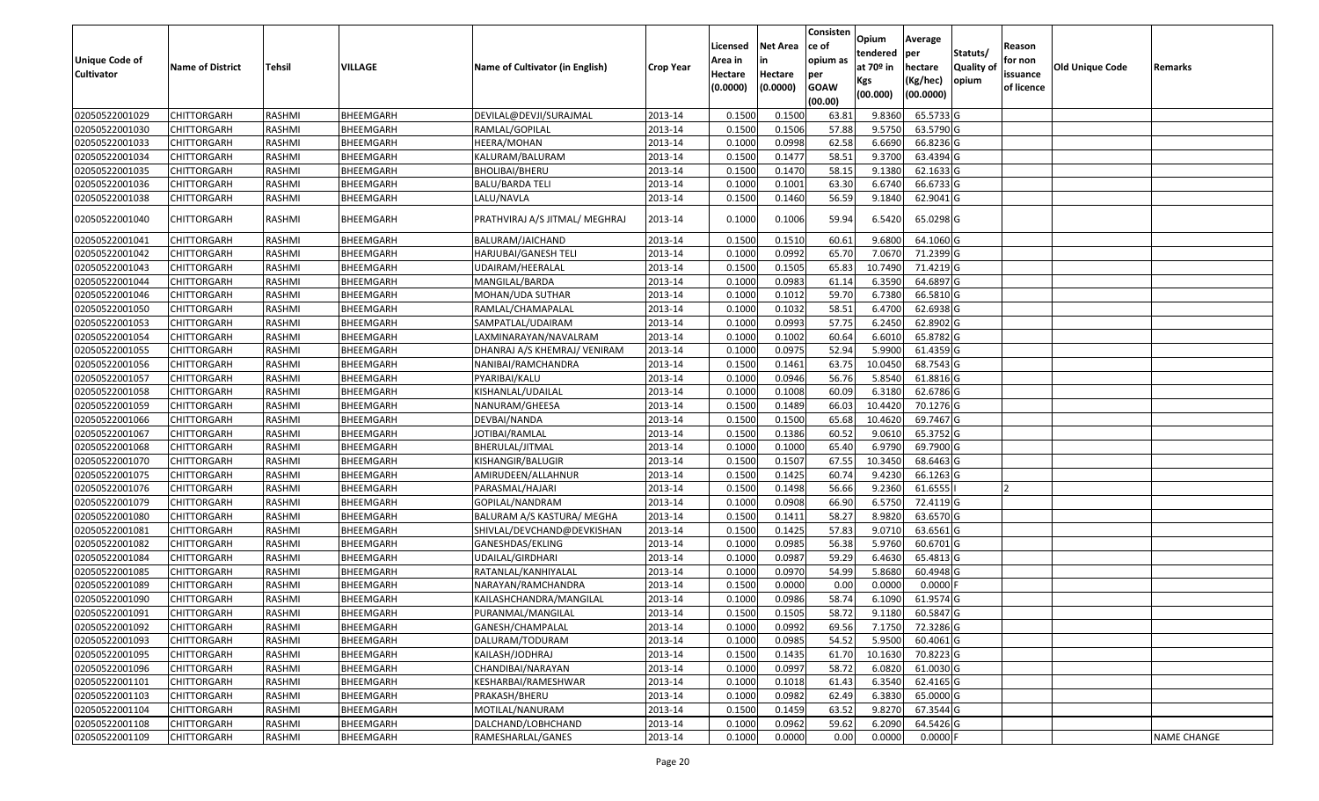| <b>Unique Code of</b><br><b>Cultivator</b> | <b>Name of District</b> | <b>Tehsil</b> | VILLAGE          | Name of Cultivator (in English) | <b>Crop Year</b> | Licensed<br>Area in<br>Hectare<br>(0.0000) | <b>Net Area</b><br>in<br>Hectare<br>(0.0000) | Consisten<br>ce of<br>opium as<br>per<br><b>GOAW</b><br>(00.00) | Opium<br>tendered<br>at $70°$ in<br>Kgs<br>(00.000) | Average<br>per<br>hectare<br>(Kg/hec)<br>(00.0000) | Statuts/<br>Quality of<br>opium | Reason<br>for non<br>issuance<br>of licence | <b>Old Unique Code</b> | Remarks            |
|--------------------------------------------|-------------------------|---------------|------------------|---------------------------------|------------------|--------------------------------------------|----------------------------------------------|-----------------------------------------------------------------|-----------------------------------------------------|----------------------------------------------------|---------------------------------|---------------------------------------------|------------------------|--------------------|
| 02050522001029                             | <b>CHITTORGARH</b>      | RASHMI        | BHEEMGARH        | DEVILAL@DEVJI/SURAJMAL          | 2013-14          | 0.1500                                     | 0.1500                                       | 63.81                                                           | 9.8360                                              | 65.5733 G                                          |                                 |                                             |                        |                    |
| 02050522001030                             | CHITTORGARH             | RASHMI        | BHEEMGARH        | RAMLAL/GOPILAL                  | 2013-14          | 0.1500                                     | 0.1506                                       | 57.88                                                           | 9.5750                                              | 63.5790 G                                          |                                 |                                             |                        |                    |
| 02050522001033                             | CHITTORGARH             | RASHMI        | BHEEMGARH        | HEERA/MOHAN                     | 2013-14          | 0.1000                                     | 0.0998                                       | 62.58                                                           | 6.6690                                              | 66.8236 G                                          |                                 |                                             |                        |                    |
| 02050522001034                             | <b>CHITTORGARH</b>      | RASHMI        | BHEEMGARH        | KALURAM/BALURAM                 | 2013-14          | 0.1500                                     | 0.1477                                       | 58.51                                                           | 9.3700                                              | 63.4394 G                                          |                                 |                                             |                        |                    |
| 02050522001035                             | <b>CHITTORGARH</b>      | RASHMI        | BHEEMGARH        | <b>BHOLIBAI/BHERU</b>           | 2013-14          | 0.1500                                     | 0.1470                                       | 58.15                                                           | 9.1380                                              | 62.1633 G                                          |                                 |                                             |                        |                    |
| 02050522001036                             | CHITTORGARH             | RASHMI        | BHEEMGARH        | <b>BALU/BARDA TELI</b>          | 2013-14          | 0.1000                                     | 0.1001                                       | 63.30                                                           | 6.6740                                              | 66.6733 G                                          |                                 |                                             |                        |                    |
| 02050522001038                             | CHITTORGARH             | RASHMI        | BHEEMGARH        | LALU/NAVLA                      | 2013-14          | 0.1500                                     | 0.1460                                       | 56.59                                                           | 9.1840                                              | 62.9041G                                           |                                 |                                             |                        |                    |
| 02050522001040                             | CHITTORGARH             | RASHMI        | BHEEMGARH        | PRATHVIRAJ A/S JITMAL/ MEGHRAJ  | 2013-14          | 0.1000                                     | 0.1006                                       | 59.94                                                           | 6.5420                                              | 65.0298 G                                          |                                 |                                             |                        |                    |
| 02050522001041                             | CHITTORGARH             | RASHMI        | BHEEMGARH        | BALURAM/JAICHAND                | 2013-14          | 0.150                                      | 0.1510                                       | 60.61                                                           | 9.6800                                              | 64.1060 G                                          |                                 |                                             |                        |                    |
| 02050522001042                             | CHITTORGARH             | RASHMI        | BHEEMGARH        | HARJUBAI/GANESH TELI            | 2013-14          | 0.1000                                     | 0.0992                                       | 65.70                                                           | 7.0670                                              | 71.2399 G                                          |                                 |                                             |                        |                    |
| 02050522001043                             | CHITTORGARH             | RASHMI        | BHEEMGARH        | JDAIRAM/HEERALAL                | 2013-14          | 0.1500                                     | 0.1505                                       | 65.83                                                           | 10.7490                                             | 71.4219 G                                          |                                 |                                             |                        |                    |
| 02050522001044                             | CHITTORGARH             | RASHMI        | BHEEMGARH        | MANGILAL/BARDA                  | 2013-14          | 0.1000                                     | 0.0983                                       | 61.14                                                           | 6.3590                                              | 64.6897 G                                          |                                 |                                             |                        |                    |
| 02050522001046                             | CHITTORGARH             | RASHMI        | BHEEMGARH        | MOHAN/UDA SUTHAR                | 2013-14          | 0.1000                                     | 0.1012                                       | 59.70                                                           | 6.7380                                              | 66.5810 G                                          |                                 |                                             |                        |                    |
| 02050522001050                             | CHITTORGARH             | RASHMI        | BHEEMGARH        | RAMLAL/CHAMAPALAL               | 2013-14          | 0.1000                                     | 0.1032                                       | 58.51                                                           | 6.4700                                              | 62.6938 G                                          |                                 |                                             |                        |                    |
| 02050522001053                             | CHITTORGARH             | RASHMI        | BHEEMGARH        | SAMPATLAL/UDAIRAM               | 2013-14          | 0.1000                                     | 0.0993                                       | 57.75                                                           | 6.2450                                              | 62.8902G                                           |                                 |                                             |                        |                    |
| 02050522001054                             | CHITTORGARH             | RASHMI        | BHEEMGARH        | LAXMINARAYAN/NAVALRAM           | 2013-14          | 0.1000                                     | 0.1002                                       | 60.64                                                           | 6.6010                                              | 65.8782 G                                          |                                 |                                             |                        |                    |
| 02050522001055                             | CHITTORGARH             | RASHMI        | BHEEMGARH        | DHANRAJ A/S KHEMRAJ/ VENIRAM    | 2013-14          | 0.1000                                     | 0.0975                                       | 52.94                                                           | 5.9900                                              | 61.4359 G                                          |                                 |                                             |                        |                    |
| 02050522001056                             | CHITTORGARH             | RASHMI        | BHEEMGARH        | NANIBAI/RAMCHANDRA              | 2013-14          | 0.1500                                     | 0.1461                                       | 63.75                                                           | 10.0450                                             | 68.7543 G                                          |                                 |                                             |                        |                    |
| 02050522001057                             | CHITTORGARH             | RASHMI        | BHEEMGARH        | PYARIBAI/KALU                   | 2013-14          | 0.1000                                     | 0.0946                                       | 56.76                                                           | 5.8540                                              | 61.8816 G                                          |                                 |                                             |                        |                    |
| 02050522001058                             | <b>CHITTORGARH</b>      | RASHMI        | <b>BHEEMGARH</b> | KISHANLAL/UDAILAL               | 2013-14          | 0.1000                                     | 0.1008                                       | 60.09                                                           | 6.3180                                              | 62.6786 G                                          |                                 |                                             |                        |                    |
| 02050522001059                             | CHITTORGARH             | RASHMI        | BHEEMGARH        | NANURAM/GHEESA                  | 2013-14          | 0.1500                                     | 0.1489                                       | 66.03                                                           | 10.4420                                             | 70.1276 G                                          |                                 |                                             |                        |                    |
| 02050522001066                             | CHITTORGARH             | RASHMI        | BHEEMGARH        | DEVBAI/NANDA                    | 2013-14          | 0.1500                                     | 0.1500                                       | 65.68                                                           | 10.4620                                             | 69.7467 G                                          |                                 |                                             |                        |                    |
| 02050522001067                             | CHITTORGARH             | RASHMI        | BHEEMGARH        | IOTIBAI/RAMLAL                  | 2013-14          | 0.1500                                     | 0.1386                                       | 60.52                                                           | 9.0610                                              | 65.3752 G                                          |                                 |                                             |                        |                    |
| 02050522001068                             | <b>CHITTORGARH</b>      | RASHMI        | BHEEMGARH        | BHERULAL/JITMAL                 | 2013-14          | 0.1000                                     | 0.1000                                       | 65.40                                                           | 6.9790                                              | 69.7900 G                                          |                                 |                                             |                        |                    |
| 02050522001070                             | CHITTORGARH             | RASHMI        | BHEEMGARH        | KISHANGIR/BALUGIR               | 2013-14          | 0.1500                                     | 0.1507                                       | 67.55                                                           | 10.3450                                             | 68.6463 G                                          |                                 |                                             |                        |                    |
| 02050522001075                             | CHITTORGARH             | RASHMI        | BHEEMGARH        | AMIRUDEEN/ALLAHNUR              | 2013-14          | 0.1500                                     | 0.1425                                       | 60.74                                                           | 9.4230                                              | 66.1263 G                                          |                                 |                                             |                        |                    |
| 02050522001076                             | <b>CHITTORGARH</b>      | RASHMI        | BHEEMGARH        | PARASMAL/HAJARI                 | 2013-14          | 0.1500                                     | 0.1498                                       | 56.66                                                           | 9.2360                                              | 61.6555                                            |                                 |                                             |                        |                    |
| 02050522001079                             | <b>CHITTORGARH</b>      | RASHMI        | BHEEMGARH        | GOPILAL/NANDRAM                 | 2013-14          | 0.1000                                     | 0.0908                                       | 66.90                                                           | 6.5750                                              | 72.4119 G                                          |                                 |                                             |                        |                    |
| 02050522001080                             | <b>CHITTORGARH</b>      | RASHMI        | BHEEMGARH        | BALURAM A/S KASTURA/ MEGHA      | 2013-14          | 0.1500                                     | 0.1411                                       | 58.27                                                           | 8.9820                                              | 63.6570 G                                          |                                 |                                             |                        |                    |
| 02050522001081                             | CHITTORGARH             | RASHMI        | BHEEMGARH        | SHIVLAL/DEVCHAND@DEVKISHAN      | 2013-14          | 0.1500                                     | 0.1425                                       | 57.83                                                           | 9.0710                                              | 63.6561 G                                          |                                 |                                             |                        |                    |
| 02050522001082                             | <b>CHITTORGARH</b>      | RASHMI        | BHEEMGARH        | GANESHDAS/EKLING                | 2013-14          | 0.1000                                     | 0.0985                                       | 56.38                                                           | 5.9760                                              | 60.6701G                                           |                                 |                                             |                        |                    |
| 02050522001084                             | CHITTORGARH             | RASHMI        | BHEEMGARH        | UDAILAL/GIRDHARI                | 2013-14          | 0.1000                                     | 0.0987                                       | 59.29                                                           | 6.4630                                              | 65.4813 G                                          |                                 |                                             |                        |                    |
| 02050522001085                             | <b>CHITTORGARH</b>      | RASHMI        | BHEEMGARH        | RATANLAL/KANHIYALAL             | 2013-14          | 0.1000                                     | 0.0970                                       | 54.99                                                           | 5.8680                                              | 60.4948 G                                          |                                 |                                             |                        |                    |
| 02050522001089                             | CHITTORGARH             | RASHMI        | BHEEMGARH        | NARAYAN/RAMCHANDRA              | 2013-14          | 0.150                                      | 0.0000                                       | 0.00                                                            | 0.0000                                              | 0.0000                                             |                                 |                                             |                        |                    |
| 02050522001090                             | CHITTORGARH             | RASHMI        | BHEEMGARH        | KAILASHCHANDRA/MANGILAL         | 2013-14          | 0.1000                                     | 0.0986                                       | 58.74                                                           | 6.1090                                              | 61.9574 G                                          |                                 |                                             |                        |                    |
| 02050522001091                             | <b>CHITTORGARH</b>      | RASHMI        | BHEEMGARH        | PURANMAL/MANGILAL               | 2013-14          | 0.1500                                     | 0.1505                                       | 58.72                                                           | 9.1180                                              | 60.5847 G                                          |                                 |                                             |                        |                    |
| 02050522001092                             | <b>CHITTORGARH</b>      | RASHMI        | BHEEMGARH        | GANESH/CHAMPALAL                | 2013-14          | 0.1000                                     | 0.0992                                       | 69.56                                                           | 7.1750                                              | 72.3286 G                                          |                                 |                                             |                        |                    |
| 02050522001093                             | <b>CHITTORGARH</b>      | RASHMI        | BHEEMGARH        | DALURAM/TODURAM                 | 2013-14          | 0.1000                                     | 0.0985                                       | 54.52                                                           | 5.9500                                              | 60.4061 G                                          |                                 |                                             |                        |                    |
| 02050522001095                             | <b>CHITTORGARH</b>      | RASHMI        | BHEEMGARH        | KAILASH/JODHRAJ                 | 2013-14          | 0.1500                                     | 0.1435                                       | 61.70                                                           | 10.1630                                             | 70.8223 G                                          |                                 |                                             |                        |                    |
| 02050522001096                             | CHITTORGARH             | RASHMI        | BHEEMGARH        | CHANDIBAI/NARAYAN               | 2013-14          | 0.1000                                     | 0.0997                                       | 58.72                                                           | 6.0820                                              | 61.0030 G                                          |                                 |                                             |                        |                    |
| 02050522001101                             | <b>CHITTORGARH</b>      | RASHMI        | BHEEMGARH        | KESHARBAI/RAMESHWAR             | 2013-14          | 0.1000                                     | 0.1018                                       | 61.43                                                           | 6.3540                                              | 62.4165 G                                          |                                 |                                             |                        |                    |
| 02050522001103                             | <b>CHITTORGARH</b>      | RASHMI        | BHEEMGARH        | PRAKASH/BHERU                   | 2013-14          | 0.1000                                     | 0.0982                                       | 62.49                                                           | 6.3830                                              | 65.0000 G                                          |                                 |                                             |                        |                    |
| 02050522001104                             | <b>CHITTORGARH</b>      | RASHMI        | BHEEMGARH        | MOTILAL/NANURAM                 | 2013-14          | 0.1500                                     | 0.1459                                       | 63.52                                                           | 9.8270                                              | 67.3544 G                                          |                                 |                                             |                        |                    |
| 02050522001108                             | CHITTORGARH             | RASHMI        | BHEEMGARH        | DALCHAND/LOBHCHAND              | 2013-14          | 0.1000                                     | 0.0962                                       | 59.62                                                           | 6.2090                                              | 64.5426 G                                          |                                 |                                             |                        |                    |
| 02050522001109                             | <b>CHITTORGARH</b>      | RASHMI        | BHEEMGARH        | RAMESHARLAL/GANES               | 2013-14          | 0.1000                                     | 0.0000                                       | 0.00                                                            | 0.0000                                              | $0.0000$ F                                         |                                 |                                             |                        | <b>NAME CHANGE</b> |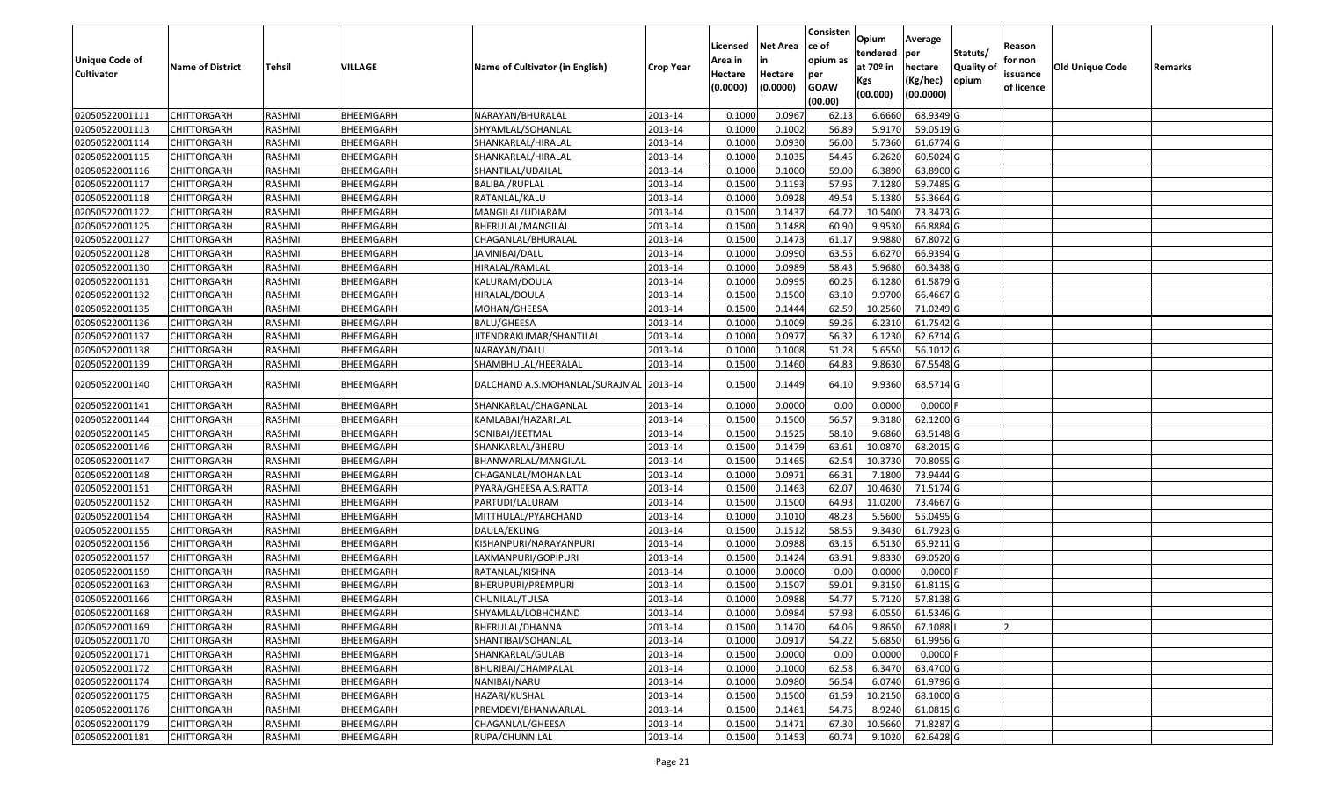| Opium<br>Average<br><b>Net Area</b><br>Licensed<br>ce of<br>Reason<br>Statuts/<br>tendered<br>per<br><b>Unique Code of</b><br>opium as<br>for non<br>Area in<br>in<br>at $70°$ in<br><b>Quality o</b><br>VILLAGE<br>Name of Cultivator (in English)<br><b>Old Unique Code</b><br><b>Name of District</b><br><b>Tehsil</b><br>hectare<br><b>Crop Year</b><br><b>Cultivator</b><br>Hectare<br>issuance<br>Hectare<br>per<br>opium<br>(Kg/hec)<br>Kgs<br>(0.0000)<br><b>GOAW</b><br>(0.0000)<br>of licence<br>(00.0000)<br>(00.000)<br>(00.00)<br>BHEEMGARH<br>0.0967<br>6.6660<br>68.9349 G<br>02050522001111<br>CHITTORGARH<br>RASHMI<br>NARAYAN/BHURALAL<br>2013-14<br>0.1000<br>62.13<br>02050522001113<br>0.1000<br>0.1002<br>56.89<br>5.9170<br>59.0519 G<br>CHITTORGARH<br>RASHMI<br>BHEEMGARH<br>SHYAMLAL/SOHANLAL<br>2013-14 | Remarks |
|------------------------------------------------------------------------------------------------------------------------------------------------------------------------------------------------------------------------------------------------------------------------------------------------------------------------------------------------------------------------------------------------------------------------------------------------------------------------------------------------------------------------------------------------------------------------------------------------------------------------------------------------------------------------------------------------------------------------------------------------------------------------------------------------------------------------------------|---------|
|                                                                                                                                                                                                                                                                                                                                                                                                                                                                                                                                                                                                                                                                                                                                                                                                                                    |         |
|                                                                                                                                                                                                                                                                                                                                                                                                                                                                                                                                                                                                                                                                                                                                                                                                                                    |         |
|                                                                                                                                                                                                                                                                                                                                                                                                                                                                                                                                                                                                                                                                                                                                                                                                                                    |         |
|                                                                                                                                                                                                                                                                                                                                                                                                                                                                                                                                                                                                                                                                                                                                                                                                                                    |         |
|                                                                                                                                                                                                                                                                                                                                                                                                                                                                                                                                                                                                                                                                                                                                                                                                                                    |         |
|                                                                                                                                                                                                                                                                                                                                                                                                                                                                                                                                                                                                                                                                                                                                                                                                                                    |         |
|                                                                                                                                                                                                                                                                                                                                                                                                                                                                                                                                                                                                                                                                                                                                                                                                                                    |         |
| 0.1000<br>0.0930<br>56.00<br>5.7360<br>61.6774 G<br>02050522001114<br>CHITTORGARH<br>RASHMI<br>BHEEMGARH<br>2013-14<br>SHANKARLAL/HIRALAL                                                                                                                                                                                                                                                                                                                                                                                                                                                                                                                                                                                                                                                                                          |         |
| 02050522001115<br>CHITTORGARH<br>RASHMI<br>BHEEMGARH<br>2013-14<br>0.1000<br>0.1035<br>54.45<br>6.2620<br>60.5024 G<br>SHANKARLAL/HIRALAL                                                                                                                                                                                                                                                                                                                                                                                                                                                                                                                                                                                                                                                                                          |         |
| 02050522001116<br>2013-14<br>0.1000<br>0.1000<br>59.00<br>6.3890<br>63.8900 G<br>CHITTORGARH<br>RASHMI<br>BHEEMGARH<br>SHANTILAL/UDAILAL                                                                                                                                                                                                                                                                                                                                                                                                                                                                                                                                                                                                                                                                                           |         |
| 02050522001117<br>BHEEMGARH<br>0.1500<br>0.1193<br>57.95<br>7.1280<br>59.7485 G<br>CHITTORGARH<br>RASHMI<br><b>BALIBAI/RUPLAL</b><br>2013-14                                                                                                                                                                                                                                                                                                                                                                                                                                                                                                                                                                                                                                                                                       |         |
| 2013-14<br>0.1000<br>0.0928<br>49.54<br>5.1380<br>55.3664 G<br>02050522001118<br>RASHMI<br>BHEEMGARH<br>CHITTORGARH<br>RATANLAL/KALU                                                                                                                                                                                                                                                                                                                                                                                                                                                                                                                                                                                                                                                                                               |         |
| 0.1437<br>10.5400<br>02050522001122<br><b>CHITTORGARH</b><br>RASHMI<br>BHEEMGARH<br>MANGILAL/UDIARAM<br>2013-14<br>0.1500<br>64.72<br>73.3473 G                                                                                                                                                                                                                                                                                                                                                                                                                                                                                                                                                                                                                                                                                    |         |
| 02050522001125<br>BHEEMGARH<br>2013-14<br>0.1500<br>0.1488<br>66.8884 G<br>CHITTORGARH<br>RASHMI<br>BHERULAL/MANGILAL<br>60.90<br>9.9530                                                                                                                                                                                                                                                                                                                                                                                                                                                                                                                                                                                                                                                                                           |         |
| 02050522001127<br>RASHMI<br>BHEEMGARH<br>2013-14<br>0.1500<br>0.1473<br>9.9880<br>67.8072 G<br>CHITTORGARH<br>CHAGANLAL/BHURALAL<br>61.17                                                                                                                                                                                                                                                                                                                                                                                                                                                                                                                                                                                                                                                                                          |         |
| 0.1000<br>0.0990<br>63.55<br>6.6270<br>02050522001128<br>2013-14<br>66.9394 G<br>CHITTORGARH<br>RASHMI<br>BHEEMGARH<br>JAMNIBAI/DALU                                                                                                                                                                                                                                                                                                                                                                                                                                                                                                                                                                                                                                                                                               |         |
| 02050522001130<br><b>CHITTORGARH</b><br>RASHMI<br>BHEEMGARH<br>2013-14<br>0.1000<br>0.0989<br>58.43<br>5.9680<br>60.3438 G<br>HIRALAL/RAMLAL                                                                                                                                                                                                                                                                                                                                                                                                                                                                                                                                                                                                                                                                                       |         |
| 02050522001131<br>BHEEMGARH<br>2013-14<br>0.1000<br>0.0995<br>60.25<br>6.1280<br>61.5879 G<br><b>CHITTORGARH</b><br>RASHMI<br>KALURAM/DOULA                                                                                                                                                                                                                                                                                                                                                                                                                                                                                                                                                                                                                                                                                        |         |
| 02050522001132<br>0.1500<br>0.1500<br>63.10<br>9.9700<br>66.4667 G<br><b>CHITTORGARH</b><br>RASHMI<br>BHEEMGARH<br>HIRALAL/DOULA<br>2013-14                                                                                                                                                                                                                                                                                                                                                                                                                                                                                                                                                                                                                                                                                        |         |
| 10.2560<br>02050522001135<br>0.1500<br>0.1444<br>62.59<br>71.0249 G<br>CHITTORGARH<br>RASHMI<br>BHEEMGARH<br>MOHAN/GHEESA<br>2013-14                                                                                                                                                                                                                                                                                                                                                                                                                                                                                                                                                                                                                                                                                               |         |
| 61.7542 G<br>02050522001136<br>RASHMI<br>BHEEMGARH<br>2013-14<br>0.1000<br>0.1009<br>59.26<br>6.2310<br><b>CHITTORGARH</b><br>BALU/GHEESA                                                                                                                                                                                                                                                                                                                                                                                                                                                                                                                                                                                                                                                                                          |         |
| 02050522001137<br>2013-14<br>0.1000<br>0.0977<br>56.32<br>6.1230<br>62.6714 G<br>CHITTORGARH<br>RASHMI<br>BHEEMGARH<br>JITENDRAKUMAR/SHANTILAL                                                                                                                                                                                                                                                                                                                                                                                                                                                                                                                                                                                                                                                                                     |         |
| 02050522001138<br>RASHMI<br>BHEEMGARH<br>2013-14<br>0.1000<br>0.1008<br>51.28<br>5.6550<br>56.1012G<br>CHITTORGARH<br>NARAYAN/DALU                                                                                                                                                                                                                                                                                                                                                                                                                                                                                                                                                                                                                                                                                                 |         |
| 0.1500<br>0.1460<br>64.83<br>9.8630<br>67.5548 G<br>02050522001139<br>CHITTORGARH<br>RASHMI<br>BHEEMGARH<br>SHAMBHULAL/HEERALAL<br>2013-14                                                                                                                                                                                                                                                                                                                                                                                                                                                                                                                                                                                                                                                                                         |         |
| BHEEMGARH<br>0.1500<br>68.5714 G<br>02050522001140<br>CHITTORGARH<br>RASHMI<br>DALCHAND A.S.MOHANLAL/SURAJMAL 2013-14<br>0.1449<br>9.9360<br>64.10                                                                                                                                                                                                                                                                                                                                                                                                                                                                                                                                                                                                                                                                                 |         |
| 0.0000<br>0.0000<br>$0.0000$ F<br>02050522001141<br>CHITTORGARH<br>RASHMI<br>BHEEMGARH<br>SHANKARLAL/CHAGANLAL<br>2013-14<br>0.1000<br>0.00                                                                                                                                                                                                                                                                                                                                                                                                                                                                                                                                                                                                                                                                                        |         |
| 02050522001144<br>0.1500<br>0.1500<br>56.57<br>9.3180<br>62.1200 G<br>CHITTORGARH<br>RASHMI<br>BHEEMGARH<br>KAMLABAI/HAZARILAL<br>2013-14                                                                                                                                                                                                                                                                                                                                                                                                                                                                                                                                                                                                                                                                                          |         |
| 2013-14<br>0.1500<br>0.1525<br>58.10<br>9.6860<br>63.5148 G<br>02050522001145<br>CHITTORGARH<br>RASHMI<br>BHEEMGARH<br>SONIBAI/JEETMAL                                                                                                                                                                                                                                                                                                                                                                                                                                                                                                                                                                                                                                                                                             |         |
| 02050522001146<br>RASHMI<br>BHEEMGARH<br>SHANKARLAL/BHERU<br>2013-14<br>0.1500<br>0.1479<br>63.61<br>10.0870<br>68.2015 G<br>CHITTORGARH                                                                                                                                                                                                                                                                                                                                                                                                                                                                                                                                                                                                                                                                                           |         |
| 02050522001147<br>BHEEMGARH<br>2013-14<br>0.1500<br>10.3730<br>70.8055 G<br>CHITTORGARH<br>RASHMI<br>BHANWARLAL/MANGILAL<br>0.1465<br>62.54                                                                                                                                                                                                                                                                                                                                                                                                                                                                                                                                                                                                                                                                                        |         |
| 02050522001148<br>BHEEMGARH<br>0.1000<br>0.0971<br>66.3<br>7.1800<br>73.9444 G<br>CHITTORGARH<br>RASHMI<br>CHAGANLAL/MOHANLAL<br>2013-14                                                                                                                                                                                                                                                                                                                                                                                                                                                                                                                                                                                                                                                                                           |         |
| 62.07<br>0.1500<br>0.1463<br>10.4630<br>71.5174 G<br>02050522001151<br>CHITTORGARH<br>RASHMI<br>BHEEMGARH<br>2013-14<br>PYARA/GHEESA A.S.RATTA                                                                                                                                                                                                                                                                                                                                                                                                                                                                                                                                                                                                                                                                                     |         |
| 02050522001152<br>2013-14<br>0.1500<br>0.1500<br>11.0200<br>73.4667 G<br><b>CHITTORGARH</b><br><b>RASHMI</b><br>BHEEMGARH<br>64.93<br>PARTUDI/LALURAM                                                                                                                                                                                                                                                                                                                                                                                                                                                                                                                                                                                                                                                                              |         |
| 02050522001154<br>RASHMI<br>BHEEMGARH<br>MITTHULAL/PYARCHAND<br>2013-14<br>0.1000<br>48.23<br>5.5600<br>55.0495 G<br>CHITTORGARH<br>0.1010                                                                                                                                                                                                                                                                                                                                                                                                                                                                                                                                                                                                                                                                                         |         |
| 02050522001155<br>BHEEMGARH<br>2013-14<br>0.1500<br>0.1512<br>58.55<br>9.3430<br>61.7923 G<br>CHITTORGARH<br>RASHMI<br>DAULA/EKLING                                                                                                                                                                                                                                                                                                                                                                                                                                                                                                                                                                                                                                                                                                |         |
| 2013-14<br>0.1000<br>0.0988<br>63.15<br>6.5130<br>65.9211G<br>02050522001156<br>RASHMI<br>BHEEMGARH<br>KISHANPURI/NARAYANPURI<br>CHITTORGARH                                                                                                                                                                                                                                                                                                                                                                                                                                                                                                                                                                                                                                                                                       |         |
| 02050522001157<br>CHITTORGARH<br>RASHMI<br>BHEEMGARH<br>2013-14<br>0.1500<br>0.1424<br>63.91<br>9.8330<br>69.0520 G<br>LAXMANPURI/GOPIPURI                                                                                                                                                                                                                                                                                                                                                                                                                                                                                                                                                                                                                                                                                         |         |
| 02050522001159<br>BHEEMGARH<br>2013-14<br>0.1000<br>0.0000<br>0.0000<br>$0.0000$ F<br><b>CHITTORGARH</b><br>RASHMI<br>RATANLAL/KISHNA<br>0.00                                                                                                                                                                                                                                                                                                                                                                                                                                                                                                                                                                                                                                                                                      |         |
| 02050522001163<br>0.150<br>0.1507<br>59.01<br>CHITTORGARH<br>RASHMI<br>BHEEMGARH<br>BHERUPURI/PREMPURI<br>2013-14<br>9.3150<br>61.8115 G                                                                                                                                                                                                                                                                                                                                                                                                                                                                                                                                                                                                                                                                                           |         |
| 54.77<br>5.7120<br>0.1000<br>0.0988<br>57.8138 G<br>02050522001166<br>RASHMI<br>2013-14<br>CHITTORGARH<br>BHEEMGARH<br>CHUNILAL/TULSA                                                                                                                                                                                                                                                                                                                                                                                                                                                                                                                                                                                                                                                                                              |         |
| 02050522001168<br>RASHMI<br>SHYAMLAL/LOBHCHAND<br>2013-14<br>0.1000<br>0.0984<br>6.0550<br>61.5346 G<br><b>CHITTORGARH</b><br>BHEEMGARH<br>57.98                                                                                                                                                                                                                                                                                                                                                                                                                                                                                                                                                                                                                                                                                   |         |
| 2013-14<br>0.1500<br>0.1470<br>02050522001169<br><b>CHITTORGARH</b><br>RASHMI<br>BHEEMGARH<br>BHERULAL/DHANNA<br>64.06<br>9.8650<br>67.1088                                                                                                                                                                                                                                                                                                                                                                                                                                                                                                                                                                                                                                                                                        |         |
| 02050522001170<br>61.9956 G<br><b>CHITTORGARH</b><br>RASHMI<br>BHEEMGARH<br>SHANTIBAI/SOHANLAL<br>2013-14<br>0.1000<br>0.0917<br>54.22<br>5.6850                                                                                                                                                                                                                                                                                                                                                                                                                                                                                                                                                                                                                                                                                   |         |
| 0.0000<br>$0.0000$ F<br>02050522001171<br>BHEEMGARH<br>0.1500<br>0.0000<br>0.00<br><b>CHITTORGARH</b><br>RASHMI<br>SHANKARLAL/GULAB<br>2013-14                                                                                                                                                                                                                                                                                                                                                                                                                                                                                                                                                                                                                                                                                     |         |
| 62.58<br>6.3470<br>63.4700 G<br>02050522001172<br>RASHMI<br>BHEEMGARH<br>2013-14<br>0.1000<br>0.1000<br>CHITTORGARH<br>BHURIBAI/CHAMPALAL                                                                                                                                                                                                                                                                                                                                                                                                                                                                                                                                                                                                                                                                                          |         |
| 0.0980<br>56.54<br>6.0740<br>61.9796 G<br>02050522001174<br><b>CHITTORGARH</b><br>RASHMI<br>BHEEMGARH<br>NANIBAI/NARU<br>2013-14<br>0.1000                                                                                                                                                                                                                                                                                                                                                                                                                                                                                                                                                                                                                                                                                         |         |
| 02050522001175<br>10.2150<br>68.1000 G<br><b>CHITTORGARH</b><br>RASHMI<br>BHEEMGARH<br>HAZARI/KUSHAL<br>2013-14<br>0.1500<br>0.1500<br>61.59                                                                                                                                                                                                                                                                                                                                                                                                                                                                                                                                                                                                                                                                                       |         |
| 8.9240<br>61.0815 G<br>02050522001176<br>PREMDEVI/BHANWARLAL<br>0.1500<br>0.1461<br>54.75<br><b>CHITTORGARH</b><br>RASHMI<br>BHEEMGARH<br>2013-14                                                                                                                                                                                                                                                                                                                                                                                                                                                                                                                                                                                                                                                                                  |         |
| 71.8287 G<br>02050522001179<br>RASHMI<br>BHEEMGARH<br>0.1500<br>0.1471<br>67.30<br>10.5660<br><b>CHITTORGARH</b><br>CHAGANLAL/GHEESA<br>2013-14                                                                                                                                                                                                                                                                                                                                                                                                                                                                                                                                                                                                                                                                                    |         |
| 02050522001181<br>62.6428 G<br>BHEEMGARH<br>RUPA/CHUNNILAL<br>0.1500<br>0.1453<br>60.74<br>9.1020<br><b>CHITTORGARH</b><br>RASHMI<br>2013-14                                                                                                                                                                                                                                                                                                                                                                                                                                                                                                                                                                                                                                                                                       |         |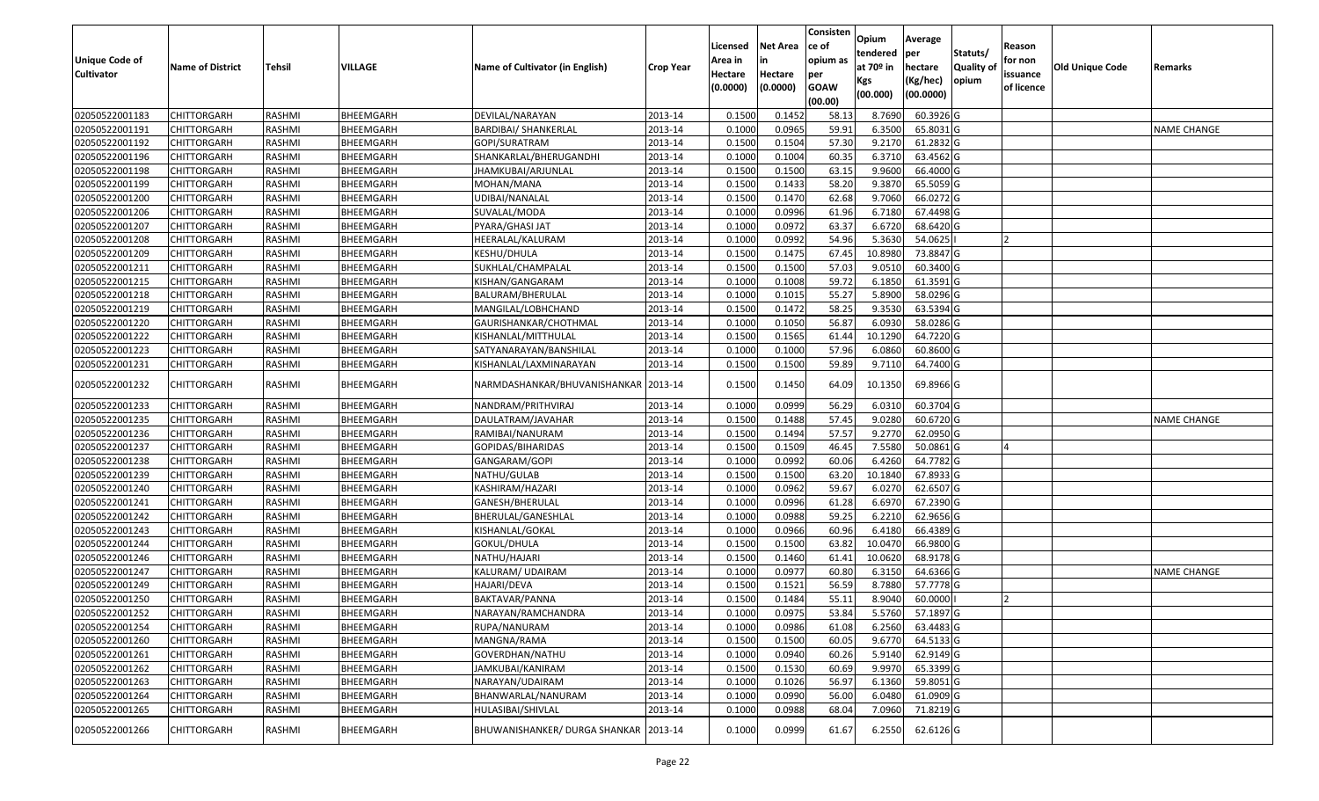| Unique Code of    | <b>Name of District</b> | <b>Tehsil</b> | VILLAGE          | Name of Cultivator (in English)       | <b>Crop Year</b> | Licensed<br>Area in | <b>Net Area</b><br>in | Consisten<br>ce of<br>opium as | Opium<br>tendered<br>at $70°$ in | Average<br>per<br>hectare | Statuts/<br><b>Quality o</b> | Reason<br>for non      | <b>Old Unique Code</b> | Remarks            |
|-------------------|-------------------------|---------------|------------------|---------------------------------------|------------------|---------------------|-----------------------|--------------------------------|----------------------------------|---------------------------|------------------------------|------------------------|------------------------|--------------------|
| <b>Cultivator</b> |                         |               |                  |                                       |                  | Hectare<br>(0.0000) | Hectare<br>(0.0000)   | per<br><b>GOAW</b><br>(00.00)  | Kgs<br>(00.000)                  | (Kg/hec)<br>(00.0000)     | opium                        | issuance<br>of licence |                        |                    |
| 02050522001183    | CHITTORGARH             | RASHMI        | BHEEMGARH        | DEVILAL/NARAYAN                       | 2013-14          | 0.1500              | 0.1452                | 58.13                          | 8.7690                           | 60.3926 G                 |                              |                        |                        |                    |
| 02050522001191    | CHITTORGARH             | RASHMI        | BHEEMGARH        | <b>BARDIBAI/ SHANKERLAL</b>           | 2013-14          | 0.1000              | 0.0965                | 59.91                          | 6.3500                           | 65.8031 G                 |                              |                        |                        | <b>NAME CHANGE</b> |
| 02050522001192    | CHITTORGARH             | RASHMI        | BHEEMGARH        | GOPI/SURATRAM                         | 2013-14          | 0.1500              | 0.1504                | 57.30                          | 9.2170                           | 61.2832 G                 |                              |                        |                        |                    |
| 02050522001196    | <b>CHITTORGARH</b>      | RASHMI        | BHEEMGARH        | SHANKARLAL/BHERUGANDHI                | 2013-14          | 0.1000              | 0.1004                | 60.35                          | 6.3710                           | 63.4562G                  |                              |                        |                        |                    |
| 02050522001198    | CHITTORGARH             | RASHMI        | BHEEMGARH        | JHAMKUBAI/ARJUNLAL                    | 2013-14          | 0.1500              | 0.1500                | 63.15                          | 9.9600                           | 66.4000 G                 |                              |                        |                        |                    |
| 02050522001199    | <b>CHITTORGARH</b>      | RASHMI        | <b>BHEEMGARH</b> | MOHAN/MANA                            | 2013-14          | 0.1500              | 0.1433                | 58.20                          | 9.3870                           | 65.5059 G                 |                              |                        |                        |                    |
| 02050522001200    | CHITTORGARH             | RASHMI        | BHEEMGARH        | JDIBAI/NANALAL                        | 2013-14          | 0.1500              | 0.1470                | 62.68                          | 9.7060                           | 66.0272 G                 |                              |                        |                        |                    |
| 02050522001206    | CHITTORGARH             | <b>RASHMI</b> | BHEEMGARH        | SUVALAL/MODA                          | 2013-14          | 0.1000              | 0.0996                | 61.96                          | 6.7180                           | 67.4498 G                 |                              |                        |                        |                    |
| 02050522001207    | CHITTORGARH             | RASHMI        | BHEEMGARH        | PYARA/GHASI JAT                       | 2013-14          | 0.1000              | 0.0972                | 63.37                          | 6.6720                           | 68.6420 G                 |                              |                        |                        |                    |
| 02050522001208    | CHITTORGARH             | RASHMI        | BHEEMGARH        | HEERALAL/KALURAM                      | 2013-14          | 0.1000              | 0.0992                | 54.96                          | 5.3630                           | 54.0625                   |                              |                        |                        |                    |
| 02050522001209    | CHITTORGARH             | RASHMI        | BHEEMGARH        | KESHU/DHULA                           | 2013-14          | 0.1500              | 0.1475                | 67.45                          | 10.8980                          | 73.8847 G                 |                              |                        |                        |                    |
| 02050522001211    | <b>CHITTORGARH</b>      | RASHMI        | BHEEMGARH        | SUKHLAL/CHAMPALAL                     | 2013-14          | 0.1500              | 0.1500                | 57.03                          | 9.0510                           | 60.3400 G                 |                              |                        |                        |                    |
| 02050522001215    | <b>CHITTORGARH</b>      | RASHMI        | BHEEMGARH        | KISHAN/GANGARAM                       | 2013-14          | 0.1000              | 0.1008                | 59.72                          | 6.1850                           | 61.3591 G                 |                              |                        |                        |                    |
| 02050522001218    | <b>CHITTORGARH</b>      | RASHMI        | BHEEMGARH        | BALURAM/BHERULAL                      | 2013-14          | 0.1000              | 0.1015                | 55.27                          | 5.8900                           | 58.0296 G                 |                              |                        |                        |                    |
| 02050522001219    | CHITTORGARH             | RASHMI        | BHEEMGARH        | MANGILAL/LOBHCHAND                    | 2013-14          | 0.1500              | 0.1472                | 58.25                          | 9.3530                           | 63.5394 G                 |                              |                        |                        |                    |
| 02050522001220    | CHITTORGARH             | RASHMI        | BHEEMGARH        | GAURISHANKAR/CHOTHMAL                 | 2013-14          | 0.1000              | 0.1050                | 56.87                          | 6.0930                           | 58.0286 G                 |                              |                        |                        |                    |
| 02050522001222    | CHITTORGARH             | RASHMI        | BHEEMGARH        | KISHANLAL/MITTHULAL                   | 2013-14          | 0.1500              | 0.1565                | 61.44                          | 10.1290                          | 64.7220 G                 |                              |                        |                        |                    |
| 02050522001223    | CHITTORGARH             | RASHMI        | BHEEMGARH        | SATYANARAYAN/BANSHILAL                | 2013-14          | 0.1000              | 0.1000                | 57.96                          | 6.0860                           | 60.8600 G                 |                              |                        |                        |                    |
| 02050522001231    | CHITTORGARH             | RASHMI        | BHEEMGARH        | KISHANLAL/LAXMINARAYAN                | 2013-14          | 0.1500              | 0.1500                | 59.89                          | 9.7110                           | 64.7400 G                 |                              |                        |                        |                    |
| 02050522001232    | CHITTORGARH             | RASHMI        | BHEEMGARH        | NARMDASHANKAR/BHUVANISHANKAR 2013-14  |                  | 0.1500              | 0.1450                | 64.09                          | 10.1350                          | 69.8966 G                 |                              |                        |                        |                    |
| 02050522001233    | CHITTORGARH             | RASHMI        | BHEEMGARH        | NANDRAM/PRITHVIRAJ                    | 2013-14          | 0.1000              | 0.0999                | 56.29                          | 6.031                            | 60.3704 G                 |                              |                        |                        |                    |
| 02050522001235    | CHITTORGARH             | RASHMI        | BHEEMGARH        | DAULATRAM/JAVAHAR                     | 2013-14          | 0.1500              | 0.1488                | 57.45                          | 9.0280                           | 60.6720 G                 |                              |                        |                        | <b>NAME CHANGE</b> |
| 02050522001236    | CHITTORGARH             | RASHMI        | BHEEMGARH        | RAMIBAI/NANURAM                       | 2013-14          | 0.1500              | 0.1494                | 57.57                          | 9.2770                           | 62.0950 G                 |                              |                        |                        |                    |
| 02050522001237    | <b>CHITTORGARH</b>      | RASHMI        | BHEEMGARH        | GOPIDAS/BIHARIDAS                     | 2013-14          | 0.1500              | 0.1509                | 46.45                          | 7.5580                           | 50.0861G                  |                              |                        |                        |                    |
| 02050522001238    | CHITTORGARH             | RASHMI        | BHEEMGARH        | GANGARAM/GOPI                         | 2013-14          | 0.1000              | 0.0992                | 60.06                          | 6.4260                           | 64.7782 G                 |                              |                        |                        |                    |
| 02050522001239    | CHITTORGARH             | RASHMI        | BHEEMGARH        | NATHU/GULAB                           | 2013-14          | 0.1500              | 0.1500                | 63.20                          | 10.1840                          | 67.8933 G                 |                              |                        |                        |                    |
| 02050522001240    | CHITTORGARH             | RASHMI        | BHEEMGARH        | KASHIRAM/HAZARI                       | 2013-14          | 0.1000              | 0.0962                | 59.67                          | 6.0270                           | 62.6507 G                 |                              |                        |                        |                    |
| 02050522001241    | <b>CHITTORGARH</b>      | <b>RASHMI</b> | BHEEMGARH        | GANESH/BHERULAL                       | 2013-14          | 0.1000              | 0.0996                | 61.28                          | 6.6970                           | 67.2390 G                 |                              |                        |                        |                    |
| 02050522001242    | CHITTORGARH             | RASHMI        | BHEEMGARH        | BHERULAL/GANESHLAL                    | 2013-14          | 0.1000              | 0.0988                | 59.25                          | 6.2210                           | 62.9656 G                 |                              |                        |                        |                    |
| 02050522001243    | CHITTORGARH             | RASHMI        | BHEEMGARH        | KISHANLAL/GOKAL                       | 2013-14          | 0.1000              | 0.0966                | 60.96                          | 6.4180                           | 66.4389 G                 |                              |                        |                        |                    |
| 02050522001244    | CHITTORGARH             | RASHMI        | BHEEMGARH        | GOKUL/DHULA                           | 2013-14          | 0.1500              | 0.1500                | 63.82                          | 10.0470                          | 66.9800 G                 |                              |                        |                        |                    |
| 02050522001246    | CHITTORGARH             | RASHMI        | BHEEMGARH        | NATHU/HAJARI                          | 2013-14          | 0.1500              | 0.1460                | 61.41                          | 10.0620                          | 68.9178 G                 |                              |                        |                        |                    |
| 02050522001247    | <b>CHITTORGARH</b>      | RASHMI        | BHEEMGARH        | KALURAM/ UDAIRAM                      | 2013-14          | 0.1000              | 0.0977                | 60.80                          | 6.3150                           | 64.6366 G                 |                              |                        |                        | <b>NAME CHANGE</b> |
| 02050522001249    | CHITTORGARH             | RASHMI        | BHEEMGARH        | HAJARI/DEVA                           | 2013-14          | 0.150               | 0.1521                | 56.59                          | 8.7880                           | 57.7778 G                 |                              |                        |                        |                    |
| 02050522001250    | CHITTORGARH             | RASHMI        | BHEEMGARH        | BAKTAVAR/PANNA                        | 2013-14          | 0.1500              | 0.1484                | 55.13                          | 8.9040                           | 60.0000                   |                              |                        |                        |                    |
| 02050522001252    | <b>CHITTORGARH</b>      | RASHMI        | BHEEMGARH        | NARAYAN/RAMCHANDRA                    | 2013-14          | 0.1000              | 0.0975                | 53.84                          | 5.5760                           | 57.1897 G                 |                              |                        |                        |                    |
| 02050522001254    | <b>CHITTORGARH</b>      | RASHMI        | BHEEMGARH        | RUPA/NANURAM                          | 2013-14          | 0.1000              | 0.0986                | 61.08                          | 6.2560                           | 63.4483 G                 |                              |                        |                        |                    |
| 02050522001260    | <b>CHITTORGARH</b>      | RASHMI        | BHEEMGARH        | MANGNA/RAMA                           | 2013-14          | 0.1500              | 0.1500                | 60.05                          | 9.6770                           | 64.5133 G                 |                              |                        |                        |                    |
| 02050522001261    | <b>CHITTORGARH</b>      | RASHMI        | BHEEMGARH        | GOVERDHAN/NATHU                       | 2013-14          | 0.1000              | 0.0940                | 60.26                          | 5.9140                           | 62.9149 G                 |                              |                        |                        |                    |
| 02050522001262    | <b>CHITTORGARH</b>      | RASHMI        | BHEEMGARH        | JAMKUBAI/KANIRAM                      | 2013-14          | 0.1500              | 0.1530                | 60.69                          | 9.9970                           | 65.3399 G                 |                              |                        |                        |                    |
| 02050522001263    | <b>CHITTORGARH</b>      | RASHMI        | BHEEMGARH        | NARAYAN/UDAIRAM                       | 2013-14          | 0.1000              | 0.1026                | 56.97                          | 6.1360                           | 59.8051 G                 |                              |                        |                        |                    |
| 02050522001264    | <b>CHITTORGARH</b>      | RASHMI        | BHEEMGARH        | BHANWARLAL/NANURAM                    | 2013-14          | 0.1000              | 0.0990                | 56.00                          | 6.0480                           | 61.0909 G                 |                              |                        |                        |                    |
| 02050522001265    | CHITTORGARH             | RASHMI        | BHEEMGARH        | HULASIBAI/SHIVLAL                     | 2013-14          | 0.1000              | 0.0988                | 68.04                          | 7.0960                           | 71.8219 G                 |                              |                        |                        |                    |
| 02050522001266    | CHITTORGARH             | RASHMI        | BHEEMGARH        | BHUWANISHANKER/ DURGA SHANKAR 2013-14 |                  | 0.1000              | 0.0999                | 61.67                          | 6.2550                           | 62.6126 G                 |                              |                        |                        |                    |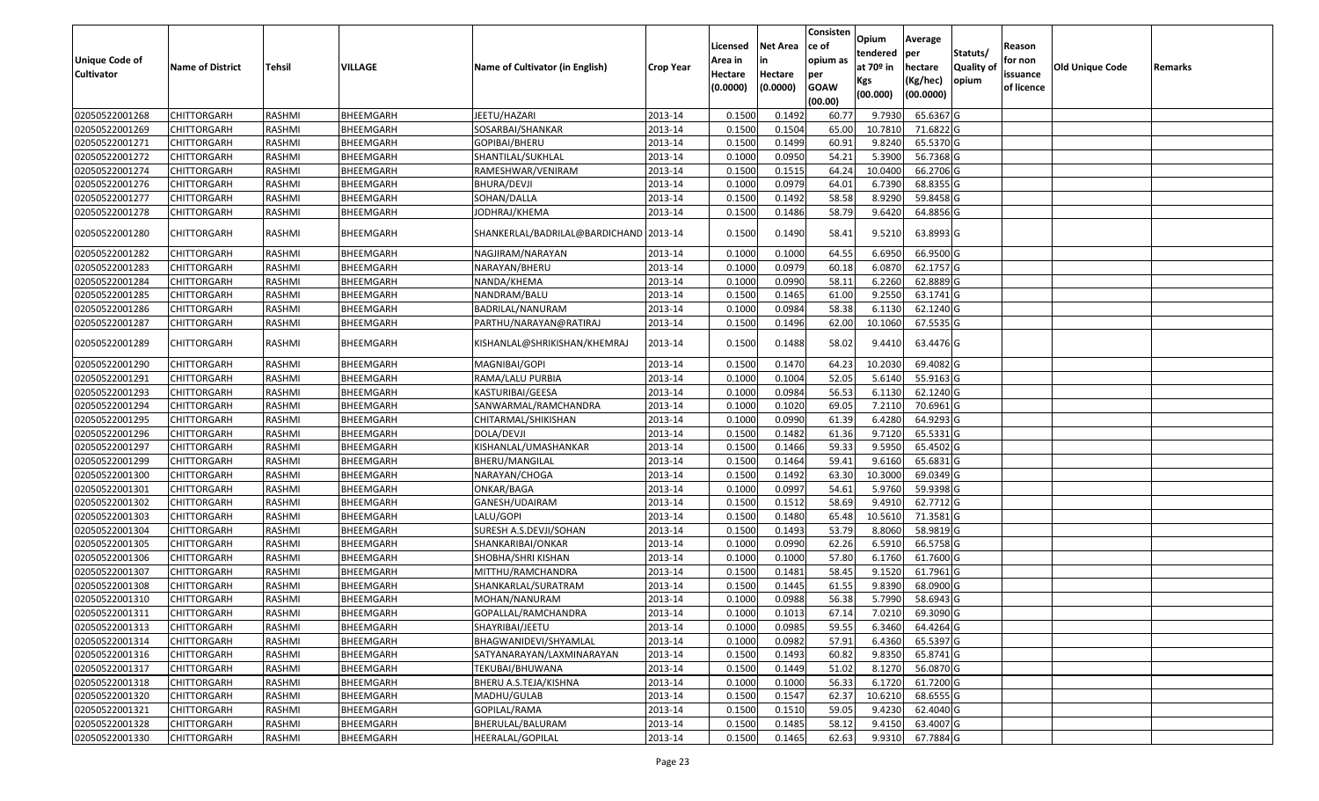|                                            |                         |               |           |                                        |                  |                     |                     | Consisten          | Opium       | Average     |                  |                        |                 |         |
|--------------------------------------------|-------------------------|---------------|-----------|----------------------------------------|------------------|---------------------|---------------------|--------------------|-------------|-------------|------------------|------------------------|-----------------|---------|
|                                            |                         |               |           |                                        |                  | Licensed            | <b>Net Area</b>     | ce of              | tendered    | per         | Statuts/         | Reason                 |                 |         |
| <b>Unique Code of</b><br><b>Cultivator</b> | <b>Name of District</b> | <b>Tehsil</b> | VILLAGE   | Name of Cultivator (in English)        | <b>Crop Year</b> | Area in             |                     | opium as           | at $70°$ in | hectare     | <b>Quality o</b> | for non                | Old Unique Code | Remarks |
|                                            |                         |               |           |                                        |                  | Hectare<br>(0.0000) | Hectare<br>(0.0000) | per<br><b>GOAW</b> | Kgs         | (Kg/hec)    | opium            | issuance<br>of licence |                 |         |
|                                            |                         |               |           |                                        |                  |                     |                     | (00.00)            | (00.000)    | (00.0000)   |                  |                        |                 |         |
| 02050522001268                             | CHITTORGARH             | RASHMI        | BHEEMGARH | JEETU/HAZARI                           | 2013-14          | 0.1500              | 0.1492              | 60.77              | 9.7930      | 65.6367 G   |                  |                        |                 |         |
| 02050522001269                             | CHITTORGARH             | RASHMI        | BHEEMGARH | SOSARBAI/SHANKAR                       | 2013-14          | 0.1500              | 0.1504              | 65.00              | 10.7810     | 71.6822 G   |                  |                        |                 |         |
| 02050522001271                             | CHITTORGARH             | RASHMI        | BHEEMGARH | GOPIBAI/BHERU                          | 2013-14          | 0.1500              | 0.1499              | 60.91              | 9.8240      | 65.5370 G   |                  |                        |                 |         |
| 02050522001272                             | <b>CHITTORGARH</b>      | RASHMI        | BHEEMGARH | SHANTILAL/SUKHLAL                      | 2013-14          | 0.1000              | 0.0950              | 54.21              | 5.3900      | 56.7368 G   |                  |                        |                 |         |
| 02050522001274                             | CHITTORGARH             | RASHMI        | BHEEMGARH | RAMESHWAR/VENIRAM                      | 2013-14          | 0.1500              | 0.1515              | 64.24              | 10.0400     | 66.2706 G   |                  |                        |                 |         |
| 02050522001276                             | CHITTORGARH             | RASHMI        | BHEEMGARH | BHURA/DEVJI                            | 2013-14          | 0.1000              | 0.0979              | 64.01              | 6.7390      | 68.8355 G   |                  |                        |                 |         |
| 02050522001277                             | CHITTORGARH             | RASHMI        | BHEEMGARH | SOHAN/DALLA                            | 2013-14          | 0.1500              | 0.1492              | 58.58              | 8.9290      | 59.8458 G   |                  |                        |                 |         |
| 02050522001278                             | CHITTORGARH             | <b>RASHMI</b> | BHEEMGARH | JODHRAJ/KHEMA                          | 2013-14          | 0.1500              | 0.1486              | 58.79              | 9.6420      | 64.8856 G   |                  |                        |                 |         |
| 02050522001280                             | CHITTORGARH             | RASHMI        | BHEEMGARH | SHANKERLAL/BADRILAL@BARDICHAND 2013-14 |                  | 0.1500              | 0.1490              | 58.41              | 9.5210      | 63.8993 G   |                  |                        |                 |         |
| 02050522001282                             | <b>CHITTORGARH</b>      | RASHMI        | BHEEMGARH | NAGJIRAM/NARAYAN                       | 2013-14          | 0.100               | 0.1000              | 64.55              | 6.6950      | 66.9500 G   |                  |                        |                 |         |
| 02050522001283                             | CHITTORGARH             | RASHMI        | BHEEMGARH | NARAYAN/BHERU                          | 2013-14          | 0.1000              | 0.0979              | 60.18              | 6.0870      | 62.1757 G   |                  |                        |                 |         |
| 02050522001284                             | <b>CHITTORGARH</b>      | RASHMI        | BHEEMGARH | NANDA/KHEMA                            | 2013-14          | 0.1000              | 0.0990              | 58.11              | 6.2260      | 62.8889 G   |                  |                        |                 |         |
| 02050522001285                             | CHITTORGARH             | RASHMI        | BHEEMGARH | NANDRAM/BALU                           | 2013-14          | 0.1500              | 0.1465              | 61.00              | 9.2550      | 63.1741 G   |                  |                        |                 |         |
| 02050522001286                             | CHITTORGARH             | RASHMI        | BHEEMGARH | BADRILAL/NANURAM                       | 2013-14          | 0.1000              | 0.0984              | 58.38              | 6.1130      | 62.1240 G   |                  |                        |                 |         |
| 02050522001287                             | CHITTORGARH             | RASHMI        | BHEEMGARH | PARTHU/NARAYAN@RATIRAJ                 | 2013-14          | 0.150               | 0.1496              | 62.00              | 10.1060     | 67.5535 G   |                  |                        |                 |         |
| 02050522001289                             | CHITTORGARH             | RASHMI        | BHEEMGARH | KISHANLAL@SHRIKISHAN/KHEMRAJ           | 2013-14          | 0.1500              | 0.1488              | 58.02              | 9.4410      | 63.4476 G   |                  |                        |                 |         |
| 02050522001290                             | CHITTORGARH             | RASHMI        | BHEEMGARH | MAGNIBAI/GOPI                          | 2013-14          | 0.1500              | 0.1470              | 64.23              | 10.2030     | 69.4082G    |                  |                        |                 |         |
| 02050522001291                             | CHITTORGARH             | RASHMI        | BHEEMGARH | RAMA/LALU PURBIA                       | 2013-14          | 0.1000              | 0.1004              | 52.05              | 5.6140      | 55.9163 G   |                  |                        |                 |         |
| 02050522001293                             | <b>CHITTORGARH</b>      | RASHMI        | BHEEMGARH | KASTURIBAI/GEESA                       | 2013-14          | 0.1000              | 0.0984              | 56.53              | 6.1130      | 62.1240 G   |                  |                        |                 |         |
| 02050522001294                             | CHITTORGARH             | RASHMI        | BHEEMGARH | SANWARMAL/RAMCHANDRA                   | 2013-14          | 0.1000              | 0.1020              | 69.05              | 7.2110      | 70.6961G    |                  |                        |                 |         |
| 02050522001295                             | CHITTORGARH             | RASHMI        | BHEEMGARH | CHITARMAL/SHIKISHAN                    | 2013-14          | 0.1000              | 0.0990              | 61.39              | 6.4280      | 64.9293 G   |                  |                        |                 |         |
| 02050522001296                             | CHITTORGARH             | RASHMI        | BHEEMGARH | DOLA/DEVJI                             | 2013-14          | 0.1500              | 0.1482              | 61.36              | 9.7120      | 65.5331G    |                  |                        |                 |         |
| 02050522001297                             | CHITTORGARH             | RASHMI        | BHEEMGARH | KISHANLAL/UMASHANKAR                   | 2013-14          | 0.1500              | 0.1466              | 59.33              | 9.5950      | 65.4502 G   |                  |                        |                 |         |
| 02050522001299                             | CHITTORGARH             | RASHMI        | BHEEMGARH | BHERU/MANGILAL                         | 2013-14          | 0.1500              | 0.1464              | 59.41              | 9.6160      | 65.6831 G   |                  |                        |                 |         |
| 02050522001300                             | CHITTORGARH             | RASHMI        | BHEEMGARH | NARAYAN/CHOGA                          | 2013-14          | 0.1500              | 0.1492              | 63.30              | 10.3000     | 69.0349 G   |                  |                        |                 |         |
| 02050522001301                             | CHITTORGARH             | RASHMI        | BHEEMGARH | ONKAR/BAGA                             | 2013-14          | 0.1000              | 0.0997              | 54.6               | 5.9760      | 59.9398 G   |                  |                        |                 |         |
| 02050522001302                             | CHITTORGARH             | <b>RASHMI</b> | BHEEMGARH | GANESH/UDAIRAM                         | 2013-14          | 0.1500              | 0.1512              | 58.69              | 9.4910      | 62.7712G    |                  |                        |                 |         |
| 02050522001303                             | CHITTORGARH             | RASHMI        | BHEEMGARH | LALU/GOPI                              | 2013-14          | 0.1500              | 0.1480              | 65.48              | 10.5610     | 71.3581 G   |                  |                        |                 |         |
| 02050522001304                             | CHITTORGARH             | RASHMI        | BHEEMGARH | SURESH A.S.DEVJI/SOHAN                 | 2013-14          | 0.1500              | 0.1493              | 53.79              | 8.8060      | 58.9819 G   |                  |                        |                 |         |
| 02050522001305                             | <b>CHITTORGARH</b>      | RASHMI        | BHEEMGARH | SHANKARIBAI/ONKAR                      | 2013-14          | 0.1000              | 0.0990              | 62.26              | 6.5910      | 66.5758 G   |                  |                        |                 |         |
| 02050522001306                             | CHITTORGARH             | RASHMI        | BHEEMGARH | SHOBHA/SHRI KISHAN                     | 2013-14          | 0.1000              | 0.1000              | 57.80              | 6.1760      | 61.7600 G   |                  |                        |                 |         |
| 02050522001307                             | <b>CHITTORGARH</b>      | RASHMI        | BHEEMGARH | MITTHU/RAMCHANDRA                      | 2013-14          | 0.1500              | 0.1481              | 58.45              | 9.1520      | 61.7961G    |                  |                        |                 |         |
| 02050522001308                             | CHITTORGARH             | RASHMI        | BHEEMGARH | SHANKARLAL/SURATRAM                    | 2013-14          | 0.150               | 0.1445              | 61.55              | 9.8390      | 68.0900 G   |                  |                        |                 |         |
| 02050522001310                             | CHITTORGARH             | RASHMI        | BHEEMGARH | MOHAN/NANURAM                          | 2013-14          | 0.1000              | 0.0988              | 56.38              | 5.7990      | 58.6943 G   |                  |                        |                 |         |
| 02050522001311                             | <b>CHITTORGARH</b>      | RASHMI        | BHEEMGARH | GOPALLAL/RAMCHANDRA                    | 2013-14          | 0.1000              | 0.1013              | 67.14              | 7.0210      | 69.3090 G   |                  |                        |                 |         |
| 02050522001313                             | <b>CHITTORGARH</b>      | RASHMI        | BHEEMGARH | SHAYRIBAI/JEETU                        | 2013-14          | 0.1000              | 0.0985              | 59.55              | 6.3460      | 64.4264 G   |                  |                        |                 |         |
| 02050522001314                             | <b>CHITTORGARH</b>      | RASHMI        | BHEEMGARH | BHAGWANIDEVI/SHYAMLAL                  | 2013-14          | 0.1000              | 0.0982              | 57.91              | 6.4360      | 65.5397 G   |                  |                        |                 |         |
| 02050522001316                             | <b>CHITTORGARH</b>      | RASHMI        | BHEEMGARH | SATYANARAYAN/LAXMINARAYAN              | 2013-14          | 0.1500              | 0.1493              | 60.82              | 9.8350      | 65.8741 G   |                  |                        |                 |         |
| 02050522001317                             | CHITTORGARH             | RASHMI        | BHEEMGARH | TEKUBAI/BHUWANA                        | 2013-14          | 0.1500              | 0.1449              | 51.02              | 8.1270      | 56.0870 G   |                  |                        |                 |         |
| 02050522001318                             | <b>CHITTORGARH</b>      | RASHMI        | BHEEMGARH | BHERU A.S.TEJA/KISHNA                  | 2013-14          | 0.1000              | 0.1000              | 56.33              | 6.1720      | 61.7200 G   |                  |                        |                 |         |
| 02050522001320                             | <b>CHITTORGARH</b>      | RASHMI        | BHEEMGARH | MADHU/GULAB                            | 2013-14          | 0.1500              | 0.1547              | 62.37              | 10.6210     | $68.6555$ G |                  |                        |                 |         |
| 02050522001321                             | <b>CHITTORGARH</b>      | RASHMI        | BHEEMGARH | GOPILAL/RAMA                           | 2013-14          | 0.1500              | 0.1510              | 59.05              | 9.4230      | 62.4040 G   |                  |                        |                 |         |
| 02050522001328                             | <b>CHITTORGARH</b>      | RASHMI        | BHEEMGARH | BHERULAL/BALURAM                       | 2013-14          | 0.1500              | 0.1485              | 58.12              | 9.4150      | 63.4007 G   |                  |                        |                 |         |
| 02050522001330                             | <b>CHITTORGARH</b>      | RASHMI        | BHEEMGARH | HEERALAL/GOPILAL                       | 2013-14          | 0.1500              | 0.1465              | 62.63              | 9.9310      | 67.7884 G   |                  |                        |                 |         |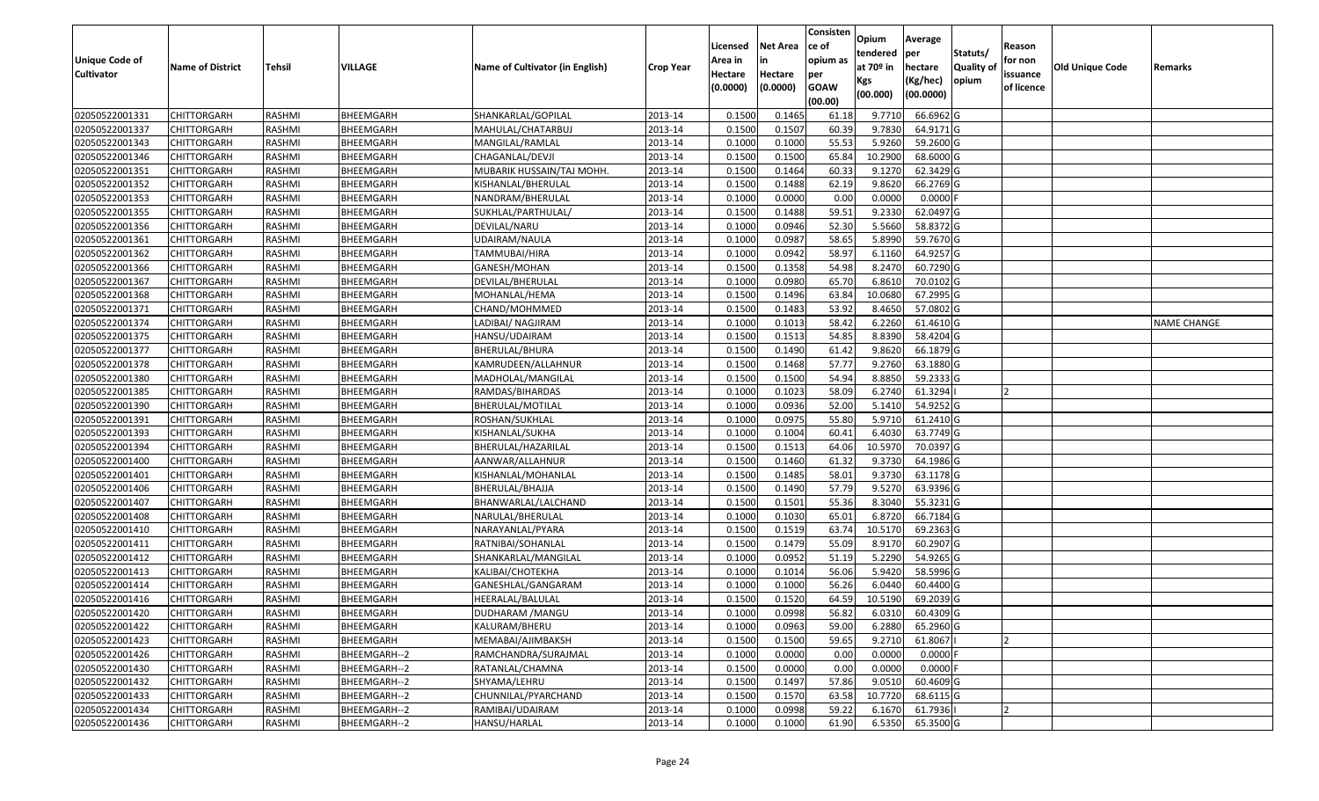| <b>Unique Code of</b><br><b>Cultivator</b> | <b>Name of District</b> | Tehsil        | VILLAGE      | Name of Cultivator (in English) | <b>Crop Year</b> | Licensed<br>Area in<br>Hectare<br>(0.0000) | Net Area<br>in<br>Hectare<br>(0.0000) | Consisten<br>ce of<br>opium as<br>per<br><b>GOAW</b><br>(00.00) | Opium<br>tendered<br>at 70º in<br>Kgs<br>(00.000) | Average<br> per<br>hectare<br>(Kg/hec)<br>(00.0000) | Statuts/<br><b>Quality of</b><br>opium | Reason<br>for non<br>issuance<br>of licence | <b>Old Unique Code</b> | Remarks            |
|--------------------------------------------|-------------------------|---------------|--------------|---------------------------------|------------------|--------------------------------------------|---------------------------------------|-----------------------------------------------------------------|---------------------------------------------------|-----------------------------------------------------|----------------------------------------|---------------------------------------------|------------------------|--------------------|
| 02050522001331                             | <b>CHITTORGARH</b>      | RASHMI        | BHEEMGARH    | SHANKARLAL/GOPILAL              | 2013-14          | 0.1500                                     | 0.1465                                | 61.18                                                           | 9.7710                                            | 66.6962 G                                           |                                        |                                             |                        |                    |
| 02050522001337                             | CHITTORGARH             | RASHMI        | BHEEMGARH    | MAHULAL/CHATARBUJ               | 2013-14          | 0.1500                                     | 0.1507                                | 60.39                                                           | 9.7830                                            | 64.9171 G                                           |                                        |                                             |                        |                    |
| 02050522001343                             | CHITTORGARH             | RASHMI        | BHEEMGARH    | MANGILAL/RAMLAL                 | 2013-14          | 0.1000                                     | 0.1000                                | 55.53                                                           | 5.9260                                            | 59.2600 G                                           |                                        |                                             |                        |                    |
| 02050522001346                             | <b>CHITTORGARH</b>      | RASHMI        | BHEEMGARH    | CHAGANLAL/DEVJI                 | 2013-14          | 0.1500                                     | 0.1500                                | 65.84                                                           | 10.2900                                           | 68.6000 G                                           |                                        |                                             |                        |                    |
| 02050522001351                             | <b>CHITTORGARH</b>      | RASHMI        | BHEEMGARH    | MUBARIK HUSSAIN/TAJ MOHH.       | 2013-14          | 0.1500                                     | 0.1464                                | 60.33                                                           | 9.1270                                            | 62.3429 G                                           |                                        |                                             |                        |                    |
| 02050522001352                             | <b>CHITTORGARH</b>      | RASHMI        | BHEEMGARH    | KISHANLAL/BHERULAL              | 2013-14          | 0.1500                                     | 0.1488                                | 62.19                                                           | 9.8620                                            | 66.2769 G                                           |                                        |                                             |                        |                    |
| 02050522001353                             | CHITTORGARH             | RASHMI        | BHEEMGARH    | NANDRAM/BHERULAL                | 2013-14          | 0.1000                                     | 0.0000                                | 0.00                                                            | 0.0000                                            | $0.0000$ F                                          |                                        |                                             |                        |                    |
| 02050522001355                             | <b>CHITTORGARH</b>      | RASHMI        | BHEEMGARH    | SUKHLAL/PARTHULAL/              | 2013-14          | 0.1500                                     | 0.1488                                | 59.51                                                           | 9.2330                                            | 62.0497 G                                           |                                        |                                             |                        |                    |
| 02050522001356                             | <b>CHITTORGARH</b>      | RASHMI        | BHEEMGARH    | DEVILAL/NARU                    | 2013-14          | 0.1000                                     | 0.0946                                | 52.30                                                           | 5.5660                                            | 58.8372 G                                           |                                        |                                             |                        |                    |
| 02050522001361                             | <b>CHITTORGARH</b>      | RASHMI        | BHEEMGARH    | UDAIRAM/NAULA                   | 2013-14          | 0.1000                                     | 0.0987                                | 58.65                                                           | 5.8990                                            | 59.7670 G                                           |                                        |                                             |                        |                    |
| 02050522001362                             | CHITTORGARH             | RASHMI        | BHEEMGARH    | TAMMUBAI/HIRA                   | 2013-14          | 0.1000                                     | 0.0942                                | 58.97                                                           | 6.1160                                            | 64.9257 G                                           |                                        |                                             |                        |                    |
| 02050522001366                             | CHITTORGARH             | RASHMI        | BHEEMGARH    | GANESH/MOHAN                    | 2013-14          | 0.1500                                     | 0.1358                                | 54.98                                                           | 8.2470                                            | 60.7290 G                                           |                                        |                                             |                        |                    |
| 02050522001367                             | CHITTORGARH             | RASHMI        | BHEEMGARH    | DEVILAL/BHERULAL                | 2013-14          | 0.1000                                     | 0.0980                                | 65.70                                                           | 6.8610                                            | 70.0102 G                                           |                                        |                                             |                        |                    |
| 02050522001368                             | CHITTORGARH             | RASHMI        | BHEEMGARH    | MOHANLAL/HEMA                   | 2013-14          | 0.1500                                     | 0.1496                                | 63.84                                                           | 10.0680                                           | 67.2995 G                                           |                                        |                                             |                        |                    |
| 02050522001371                             | CHITTORGARH             | RASHMI        | BHEEMGARH    | CHAND/MOHMMED                   | 2013-14          | 0.1500                                     | 0.1483                                | 53.92                                                           | 8.4650                                            | 57.0802 G                                           |                                        |                                             |                        |                    |
| 02050522001374                             | CHITTORGARH             | RASHMI        | BHEEMGARH    | LADIBAI/ NAGJIRAM               | 2013-14          | 0.1000                                     | 0.1013                                | 58.42                                                           | 6.2260                                            | 61.4610 G                                           |                                        |                                             |                        | <b>NAME CHANGE</b> |
| 02050522001375                             | CHITTORGARH             | RASHMI        | BHEEMGARH    | HANSU/UDAIRAM                   | 2013-14          | 0.1500                                     | 0.1513                                | 54.85                                                           | 8.8390                                            | 58.4204 G                                           |                                        |                                             |                        |                    |
| 02050522001377                             | <b>CHITTORGARH</b>      | RASHMI        | BHEEMGARH    | BHERULAL/BHURA                  | 2013-14          | 0.1500                                     | 0.1490                                | 61.42                                                           | 9.8620                                            | 66.1879 G                                           |                                        |                                             |                        |                    |
| 02050522001378                             | <b>CHITTORGARH</b>      | RASHMI        | BHEEMGARH    | KAMRUDEEN/ALLAHNUR              | 2013-14          | 0.1500                                     | 0.1468                                | 57.77                                                           | 9.2760                                            | 63.1880 G                                           |                                        |                                             |                        |                    |
| 02050522001380                             | CHITTORGARH             | RASHMI        | BHEEMGARH    | MADHOLAL/MANGILAL               | 2013-14          | 0.1500                                     | 0.1500                                | 54.94                                                           | 8.8850                                            | 59.2333 G                                           |                                        |                                             |                        |                    |
| 02050522001385                             | <b>CHITTORGARH</b>      | RASHMI        | BHEEMGARH    | RAMDAS/BIHARDAS                 | 2013-14          | 0.1000                                     | 0.1023                                | 58.09                                                           | 6.2740                                            | 61.3294                                             |                                        |                                             |                        |                    |
| 02050522001390                             | <b>CHITTORGARH</b>      | RASHMI        | BHEEMGARH    | BHERULAL/MOTILAL                | 2013-14          | 0.1000                                     | 0.0936                                | 52.00                                                           | 5.1410                                            | 54.9252 G                                           |                                        |                                             |                        |                    |
| 02050522001391                             | CHITTORGARH             | RASHMI        | BHEEMGARH    | ROSHAN/SUKHLAL                  | 2013-14          | 0.1000                                     | 0.0975                                | 55.80                                                           | 5.9710                                            | 61.2410 G                                           |                                        |                                             |                        |                    |
| 02050522001393                             | CHITTORGARH             | RASHMI        | BHEEMGARH    | KISHANLAL/SUKHA                 | 2013-14          | 0.1000                                     | 0.1004                                | 60.41                                                           | 6.4030                                            | 63.7749 G                                           |                                        |                                             |                        |                    |
| 02050522001394                             | <b>CHITTORGARH</b>      | RASHMI        | BHEEMGARH    | BHERULAL/HAZARILAL              | 2013-14          | 0.1500                                     | 0.1513                                | 64.06                                                           | 10.5970                                           | 70.0397 G                                           |                                        |                                             |                        |                    |
| 02050522001400                             | CHITTORGARH             | <b>RASHMI</b> | BHEEMGARH    | AANWAR/ALLAHNUR                 | 2013-14          | 0.1500                                     | 0.1460                                | 61.32                                                           | 9.3730                                            | 64.1986 G                                           |                                        |                                             |                        |                    |
| 02050522001401                             | CHITTORGARH             | RASHMI        | BHEEMGARH    | KISHANLAL/MOHANLAL              | 2013-14          | 0.1500                                     | 0.1485                                | 58.01                                                           | 9.3730                                            | 63.1178 G                                           |                                        |                                             |                        |                    |
| 02050522001406                             | CHITTORGARH             | RASHMI        | BHEEMGARH    | BHERULAL/BHAJJA                 | 2013-14          | 0.1500                                     | 0.1490                                | 57.79                                                           | 9.5270                                            | 63.9396 G                                           |                                        |                                             |                        |                    |
| 02050522001407                             | <b>CHITTORGARH</b>      | RASHMI        | BHEEMGARH    | BHANWARLAL/LALCHAND             | 2013-14          | 0.1500                                     | 0.1501                                | 55.36                                                           | 8.3040                                            | 55.3231 G                                           |                                        |                                             |                        |                    |
| 02050522001408                             | <b>CHITTORGARH</b>      | RASHMI        | BHEEMGARH    | NARULAL/BHERULAL                | 2013-14          | 0.1000                                     | 0.1030                                | 65.01                                                           | 6.8720                                            | 66.7184 G                                           |                                        |                                             |                        |                    |
| 02050522001410                             | <b>CHITTORGARH</b>      | RASHMI        | BHEEMGARH    | NARAYANLAL/PYARA                | 2013-14          | 0.1500                                     | 0.1519                                | 63.74                                                           | 10.5170                                           | 69.2363 G                                           |                                        |                                             |                        |                    |
| 02050522001411                             | CHITTORGARH             | RASHMI        | BHEEMGARH    | RATNIBAI/SOHANLAL               | 2013-14          | 0.1500                                     | 0.1479                                | 55.09                                                           | 8.9170                                            | 60.2907 G                                           |                                        |                                             |                        |                    |
| 02050522001412                             | <b>CHITTORGARH</b>      | RASHMI        | BHEEMGARH    | SHANKARLAL/MANGILAL             | 2013-14          | 0.1000                                     | 0.0952                                | 51.19                                                           | 5.2290                                            | 54.9265 G                                           |                                        |                                             |                        |                    |
| 02050522001413                             | CHITTORGARH             | RASHMI        | BHEEMGARH    | KALIBAI/CHOTEKHA                | 2013-14          | 0.1000                                     | 0.1014                                | 56.06                                                           | 5.9420                                            | 58.5996 G                                           |                                        |                                             |                        |                    |
| 02050522001414                             | CHITTORGARH             | RASHMI        | BHEEMGARH    | GANESHLAL/GANGARAM              | 2013-14          | 0.1000                                     | 0.1000                                | 56.26                                                           | 6.0440                                            | 60.4400 G                                           |                                        |                                             |                        |                    |
| 02050522001416                             | <b>CHITTORGARH</b>      | RASHMI        | BHEEMGARH    | HEERALAL/BALULAL                | 2013-14          | 0.1500                                     | 0.1520                                | 64.59                                                           | 10.5190                                           | 69.2039 G                                           |                                        |                                             |                        |                    |
| 02050522001420                             | <b>CHITTORGARH</b>      | RASHMI        | BHEEMGARH    | DUDHARAM / MANGU                | 2013-14          | 0.1000                                     | 0.0998                                | 56.82                                                           | 6.0310                                            | 60.4309 G                                           |                                        |                                             |                        |                    |
| 02050522001422                             | <b>CHITTORGARH</b>      | RASHMI        | BHEEMGARH    | KALURAM/BHERU                   | 2013-14          | 0.1000                                     | 0.0963                                | 59.00                                                           | 6.2880                                            | 65.2960 G                                           |                                        |                                             |                        |                    |
| 02050522001423                             | <b>CHITTORGARH</b>      | RASHMI        | BHEEMGARH    | MEMABAI/AJIMBAKSH               | 2013-14          | 0.1500                                     | 0.1500                                | 59.65                                                           | 9.2710                                            | 61.8067                                             |                                        |                                             |                        |                    |
| 02050522001426                             | <b>CHITTORGARH</b>      | RASHMI        | BHEEMGARH--2 | RAMCHANDRA/SURAJMAL             | 2013-14          | 0.1000                                     | 0.0000                                | 0.00                                                            | 0.0000                                            | $0.0000$ F                                          |                                        |                                             |                        |                    |
| 02050522001430                             | <b>CHITTORGARH</b>      | RASHMI        | BHEEMGARH--2 | RATANLAL/CHAMNA                 | 2013-14          | 0.1500                                     | 0.0000                                | 0.00                                                            | 0.0000                                            | $0.0000$ F                                          |                                        |                                             |                        |                    |
| 02050522001432                             | <b>CHITTORGARH</b>      | RASHMI        | BHEEMGARH--2 | SHYAMA/LEHRU                    | 2013-14          | 0.1500                                     | 0.1497                                | 57.86                                                           | 9.0510                                            | 60.4609 G                                           |                                        |                                             |                        |                    |
| 02050522001433                             | <b>CHITTORGARH</b>      | RASHMI        | BHEEMGARH--2 | CHUNNILAL/PYARCHAND             | 2013-14          | 0.1500                                     | 0.1570                                | 63.58                                                           | 10.7720                                           | 68.6115 G                                           |                                        |                                             |                        |                    |
| 02050522001434                             | <b>CHITTORGARH</b>      | RASHMI        | BHEEMGARH--2 | RAMIBAI/UDAIRAM                 | 2013-14          | 0.1000                                     | 0.0998                                | 59.22                                                           | 6.1670                                            | 61.7936                                             |                                        |                                             |                        |                    |
| 02050522001436                             | <b>CHITTORGARH</b>      | RASHMI        | BHEEMGARH--2 | HANSU/HARLAL                    | 2013-14          | 0.1000                                     | 0.1000                                | 61.90                                                           | 6.5350                                            | 65.3500 G                                           |                                        |                                             |                        |                    |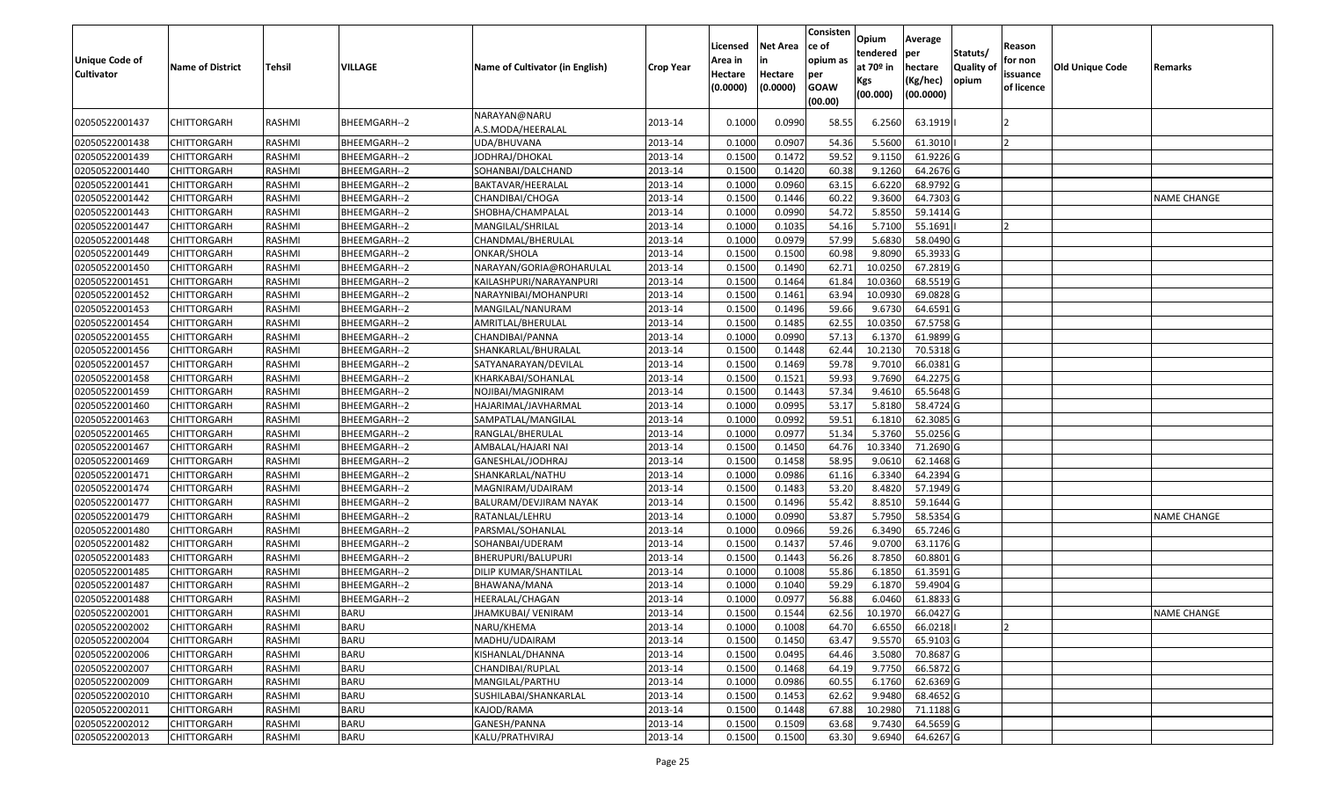| <b>Unique Code of</b><br><b>Cultivator</b> | <b>Name of District</b> | <b>Tehsil</b> | VILLAGE      | Name of Cultivator (in English)   | <b>Crop Year</b> | Licensed<br>Area in<br>Hectare<br>(0.0000) | <b>Net Area</b><br>in<br>Hectare<br>(0.0000) | Consisten<br>ce of<br>opium as<br>per<br><b>GOAW</b><br>(00.00) | Opium<br>tendered<br>at $70°$ in<br>Kgs<br>(00.000) | Average<br>per<br>hectare<br>(Kg/hec)<br>(00.0000) | Statuts/<br><b>Quality o</b><br>opium | Reason<br>for non<br>issuance<br>of licence | Old Unique Code | Remarks            |
|--------------------------------------------|-------------------------|---------------|--------------|-----------------------------------|------------------|--------------------------------------------|----------------------------------------------|-----------------------------------------------------------------|-----------------------------------------------------|----------------------------------------------------|---------------------------------------|---------------------------------------------|-----------------|--------------------|
| 02050522001437                             | CHITTORGARH             | RASHMI        | BHEEMGARH--2 | NARAYAN@NARU<br>A.S.MODA/HEERALAL | 2013-14          | 0.1000                                     | 0.0990                                       | 58.55                                                           | 6.2560                                              | 63.1919                                            |                                       |                                             |                 |                    |
| 02050522001438                             | CHITTORGARH             | RASHMI        | BHEEMGARH--2 | UDA/BHUVANA                       | 2013-14          | 0.1000                                     | 0.0907                                       | 54.36                                                           | 5.5600                                              | 61.3010                                            |                                       |                                             |                 |                    |
| 02050522001439                             | CHITTORGARH             | RASHMI        | BHEEMGARH--2 | JODHRAJ/DHOKAL                    | 2013-14          | 0.1500                                     | 0.1472                                       | 59.52                                                           | 9.1150                                              | 61.9226 G                                          |                                       |                                             |                 |                    |
| 02050522001440                             | <b>CHITTORGARH</b>      | RASHMI        | BHEEMGARH--2 | SOHANBAI/DALCHAND                 | 2013-14          | 0.1500                                     | 0.1420                                       | 60.38                                                           | 9.1260                                              | 64.2676 G                                          |                                       |                                             |                 |                    |
| 02050522001441                             | CHITTORGARH             | RASHMI        | BHEEMGARH--2 | BAKTAVAR/HEERALAL                 | 2013-14          | 0.1000                                     | 0.0960                                       | 63.15                                                           | 6.6220                                              | 68.9792 G                                          |                                       |                                             |                 |                    |
| 02050522001442                             | CHITTORGARH             | RASHMI        | BHEEMGARH--2 | CHANDIBAI/CHOGA                   | 2013-14          | 0.1500                                     | 0.1446                                       | 60.22                                                           | 9.3600                                              | 64.7303 G                                          |                                       |                                             |                 | <b>NAME CHANGE</b> |
| 02050522001443                             | <b>CHITTORGARH</b>      | <b>RASHMI</b> | BHEEMGARH--2 | SHOBHA/CHAMPALAL                  | 2013-14          | 0.1000                                     | 0.0990                                       | 54.72                                                           | 5.8550                                              | 59.1414 G                                          |                                       |                                             |                 |                    |
| 02050522001447                             | CHITTORGARH             | RASHMI        | BHEEMGARH--2 | MANGILAL/SHRILAL                  | 2013-14          | 0.1000                                     | 0.1035                                       | 54.16                                                           | 5.7100                                              | 55.1691                                            |                                       |                                             |                 |                    |
| 02050522001448                             | <b>CHITTORGARH</b>      | RASHMI        | BHEEMGARH--2 | CHANDMAL/BHERULAL                 | 2013-14          | 0.1000                                     | 0.0979                                       | 57.99                                                           | 5.6830                                              | 58.0490 G                                          |                                       |                                             |                 |                    |
| 02050522001449                             | <b>CHITTORGARH</b>      | RASHMI        | BHEEMGARH--2 | ONKAR/SHOLA                       | 2013-14          | 0.1500                                     | 0.1500                                       | 60.98                                                           | 9.8090                                              | 65.3933 G                                          |                                       |                                             |                 |                    |
| 02050522001450                             | CHITTORGARH             | RASHMI        | BHEEMGARH--2 | NARAYAN/GORIA@ROHARULAL           | 2013-14          | 0.1500                                     | 0.1490                                       | 62.71                                                           | 10.0250                                             | 67.2819 G                                          |                                       |                                             |                 |                    |
| 02050522001451                             | <b>CHITTORGARH</b>      | RASHMI        | BHEEMGARH--2 | KAILASHPURI/NARAYANPURI           | 2013-14          | 0.1500                                     | 0.1464                                       | 61.84                                                           | 10.0360                                             | 68.5519 G                                          |                                       |                                             |                 |                    |
| 02050522001452                             | CHITTORGARH             | RASHMI        | BHEEMGARH--2 | NARAYNIBAI/MOHANPURI              | 2013-14          | 0.1500                                     | 0.1461                                       | 63.94                                                           | 10.093                                              | 69.0828 G                                          |                                       |                                             |                 |                    |
| 02050522001453                             | CHITTORGARH             | RASHMI        | BHEEMGARH--2 | MANGILAL/NANURAM                  | 2013-14          | 0.1500                                     | 0.1496                                       | 59.66                                                           | 9.6730                                              | 64.6591 G                                          |                                       |                                             |                 |                    |
| 02050522001454                             | CHITTORGARH             | RASHMI        | BHEEMGARH--2 | AMRITLAL/BHERULAL                 | 2013-14          | 0.1500                                     | 0.1485                                       | 62.55                                                           | 10.035                                              | 67.5758 G                                          |                                       |                                             |                 |                    |
| 02050522001455                             | CHITTORGARH             | RASHMI        | BHEEMGARH--2 | CHANDIBAI/PANNA                   | 2013-14          | 0.100                                      | 0.0990                                       | 57.13                                                           | 6.1370                                              | 61.9899 G                                          |                                       |                                             |                 |                    |
| 02050522001456                             | CHITTORGARH             | RASHMI        | BHEEMGARH--2 | SHANKARLAL/BHURALAL               | 2013-14          | 0.150                                      | 0.1448                                       | 62.44                                                           | 10.2130                                             | 70.5318 G                                          |                                       |                                             |                 |                    |
| 02050522001457                             | CHITTORGARH             | RASHMI        | BHEEMGARH--2 | SATYANARAYAN/DEVILAL              | 2013-14          | 0.1500                                     | 0.1469                                       | 59.78                                                           | 9.7010                                              | 66.0381G                                           |                                       |                                             |                 |                    |
| 02050522001458                             | CHITTORGARH             | RASHMI        | BHEEMGARH--2 | KHARKABAI/SOHANLAL                | 2013-14          | 0.1500                                     | 0.1521                                       | 59.93                                                           | 9.7690                                              | 64.2275 G                                          |                                       |                                             |                 |                    |
| 02050522001459                             | CHITTORGARH             | RASHMI        | BHEEMGARH--2 | NOJIBAI/MAGNIRAM                  | 2013-14          | 0.1500                                     | 0.1443                                       | 57.34                                                           | 9.4610                                              | 65.5648 G                                          |                                       |                                             |                 |                    |
| 02050522001460                             | CHITTORGARH             | RASHMI        | BHEEMGARH--2 | HAJARIMAL/JAVHARMAL               | 2013-14          | 0.1000                                     | 0.0995                                       | 53.17                                                           | 5.8180                                              | 58.4724 G                                          |                                       |                                             |                 |                    |
| 02050522001463                             | CHITTORGARH             | RASHMI        | BHEEMGARH--2 | SAMPATLAL/MANGILAL                | 2013-14          | 0.1000                                     | 0.0992                                       | 59.51                                                           | 6.1810                                              | 62.3085 G                                          |                                       |                                             |                 |                    |
| 02050522001465                             | CHITTORGARH             | RASHMI        | BHEEMGARH--2 | RANGLAL/BHERULAL                  | 2013-14          | 0.1000                                     | 0.0977                                       | 51.34                                                           | 5.3760                                              | 55.0256 G                                          |                                       |                                             |                 |                    |
| 02050522001467                             | CHITTORGARH             | RASHMI        | BHEEMGARH--2 | AMBALAL/HAJARI NAI                | 2013-14          | 0.1500                                     | 0.1450                                       | 64.76                                                           | 10.3340                                             | 71.2690 G                                          |                                       |                                             |                 |                    |
| 02050522001469                             | CHITTORGARH             | RASHMI        | BHEEMGARH--2 | GANESHLAL/JODHRAJ                 | 2013-14          | 0.1500                                     | 0.1458                                       | 58.95                                                           | 9.0610                                              | 62.1468 G                                          |                                       |                                             |                 |                    |
| 02050522001471                             | CHITTORGARH             | RASHMI        | BHEEMGARH--2 | SHANKARLAL/NATHU                  | 2013-14          | 0.1000                                     | 0.0986                                       | 61.16                                                           | 6.3340                                              | 64.2394 G                                          |                                       |                                             |                 |                    |
| 02050522001474                             | CHITTORGARH             | RASHMI        | BHEEMGARH--2 | MAGNIRAM/UDAIRAM                  | 2013-14          | 0.1500                                     | 0.1483                                       | 53.20                                                           | 8.4820                                              | 57.1949 G                                          |                                       |                                             |                 |                    |
| 02050522001477                             | CHITTORGARH             | <b>RASHMI</b> | BHEEMGARH--2 | BALURAM/DEVJIRAM NAYAK            | 2013-14          | 0.1500                                     | 0.1496                                       | 55.42                                                           | 8.8510                                              | 59.1644 G                                          |                                       |                                             |                 |                    |
| 02050522001479                             | CHITTORGARH             | RASHMI        | BHEEMGARH--2 | RATANLAL/LEHRU                    | 2013-14          | 0.1000                                     | 0.0990                                       | 53.87                                                           | 5.7950                                              | 58.5354 G                                          |                                       |                                             |                 | <b>NAME CHANGE</b> |
| 02050522001480                             | CHITTORGARH             | RASHMI        | BHEEMGARH--2 | PARSMAL/SOHANLAL                  | 2013-14          | 0.1000                                     | 0.0966                                       | 59.26                                                           | 6.3490                                              | 65.7246 G                                          |                                       |                                             |                 |                    |
| 02050522001482                             | CHITTORGARH             | RASHMI        | BHEEMGARH--2 | SOHANBAI/UDERAM                   | 2013-14          | 0.1500                                     | 0.1437                                       | 57.46                                                           | 9.0700                                              | 63.1176 G                                          |                                       |                                             |                 |                    |
| 02050522001483                             | CHITTORGARH             | RASHMI        | BHEEMGARH--2 | BHERUPURI/BALUPURI                | 2013-14          | 0.1500                                     | 0.1443                                       | 56.26                                                           | 8.7850                                              | 60.8801G                                           |                                       |                                             |                 |                    |
| 02050522001485                             | <b>CHITTORGARH</b>      | RASHMI        | BHEEMGARH--2 | DILIP KUMAR/SHANTILAL             | 2013-14          | 0.1000                                     | 0.1008                                       | 55.86                                                           | 6.1850                                              | 61.3591 G                                          |                                       |                                             |                 |                    |
| 02050522001487                             | CHITTORGARH             | RASHMI        | BHEEMGARH--2 | BHAWANA/MANA                      | 2013-14          | 0.1000                                     | 0.1040                                       | 59.29                                                           | 6.1870                                              | 59.4904 G                                          |                                       |                                             |                 |                    |
| 02050522001488                             | CHITTORGARH             | RASHMI        | BHEEMGARH--2 | HEERALAL/CHAGAN                   | 2013-14          | 0.1000                                     | 0.0977                                       | 56.88                                                           | 6.0460                                              | 61.8833 G                                          |                                       |                                             |                 |                    |
| 02050522002001                             | <b>CHITTORGARH</b>      | RASHMI        | <b>BARU</b>  | JHAMKUBAI/ VENIRAM                | 2013-14          | 0.1500                                     | 0.1544                                       | 62.56                                                           | 10.1970                                             | 66.0427 G                                          |                                       |                                             |                 | <b>NAME CHANGE</b> |
| 02050522002002                             | <b>CHITTORGARH</b>      | RASHMI        | <b>BARU</b>  | NARU/KHEMA                        | 2013-14          | 0.1000                                     | 0.1008                                       | 64.70                                                           | 6.6550                                              | 66.0218                                            |                                       |                                             |                 |                    |
| 02050522002004                             | <b>CHITTORGARH</b>      | RASHMI        | <b>BARU</b>  | MADHU/UDAIRAM                     | 2013-14          | 0.1500                                     | 0.1450                                       | 63.47                                                           | 9.5570                                              | 65.9103 G                                          |                                       |                                             |                 |                    |
| 02050522002006                             | <b>CHITTORGARH</b>      | RASHMI        | <b>BARU</b>  | KISHANLAL/DHANNA                  | 2013-14          | 0.1500                                     | 0.0495                                       | 64.46                                                           | 3.5080                                              | 70.8687 G                                          |                                       |                                             |                 |                    |
| 02050522002007                             | CHITTORGARH             | RASHMI        | <b>BARU</b>  | CHANDIBAI/RUPLAL                  | 2013-14          | 0.1500                                     | 0.1468                                       | 64.19                                                           | 9.7750                                              | 66.5872 G                                          |                                       |                                             |                 |                    |
| 02050522002009                             | <b>CHITTORGARH</b>      | RASHMI        | <b>BARU</b>  | MANGILAL/PARTHU                   | 2013-14          | 0.1000                                     | 0.0986                                       | 60.55                                                           | 6.1760                                              | 62.6369 G                                          |                                       |                                             |                 |                    |
| 02050522002010                             | <b>CHITTORGARH</b>      | RASHMI        | <b>BARU</b>  | SUSHILABAI/SHANKARLAL             | 2013-14          | 0.1500                                     | 0.1453                                       | 62.62                                                           | 9.9480                                              | 68.4652 G                                          |                                       |                                             |                 |                    |
| 02050522002011                             | CHITTORGARH             | RASHMI        | <b>BARU</b>  | KAJOD/RAMA                        | 2013-14          | 0.1500                                     | 0.1448                                       | 67.88                                                           | 10.2980                                             | 71.1188 G                                          |                                       |                                             |                 |                    |
| 02050522002012                             | CHITTORGARH             | RASHMI        | <b>BARU</b>  | GANESH/PANNA                      | 2013-14          | 0.1500                                     | 0.1509                                       | 63.68                                                           | 9.7430                                              | 64.5659 G                                          |                                       |                                             |                 |                    |
| 02050522002013                             | <b>CHITTORGARH</b>      | RASHMI        | <b>BARU</b>  | KALU/PRATHVIRAJ                   | 2013-14          | 0.1500                                     | 0.1500                                       | 63.30                                                           | 9.6940                                              | 64.6267 G                                          |                                       |                                             |                 |                    |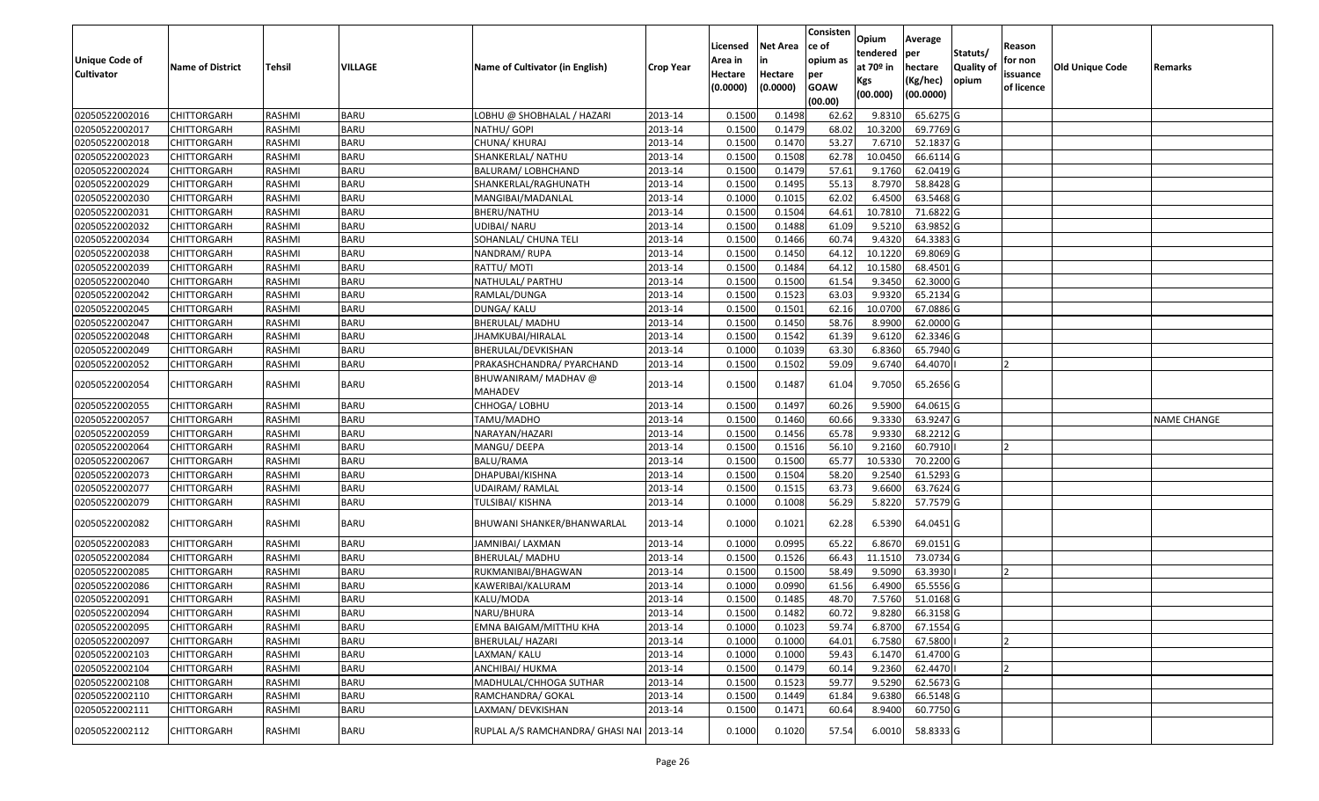| <b>Unique Code of</b><br><b>Cultivator</b> | <b>Name of District</b> | <b>Tehsil</b> | VILLAGE     | Name of Cultivator (in English)          | <b>Crop Year</b> | Licensed<br>Area in<br>Hectare<br>(0.0000) | Net Area<br>in<br>Hectare<br>(0.0000) | Consisten<br>ce of<br>opium as<br>per<br><b>GOAW</b><br>(00.00) | Opium<br>tendered<br>at 70º in<br>Kgs<br>(00.000) | Average<br> per<br>hectare<br>(Kg/hec)<br>(00.0000) | Statuts/<br><b>Quality of</b><br>opium | Reason<br>for non<br>issuance<br>of licence | <b>Old Unique Code</b> | Remarks            |
|--------------------------------------------|-------------------------|---------------|-------------|------------------------------------------|------------------|--------------------------------------------|---------------------------------------|-----------------------------------------------------------------|---------------------------------------------------|-----------------------------------------------------|----------------------------------------|---------------------------------------------|------------------------|--------------------|
| 02050522002016                             | <b>CHITTORGARH</b>      | RASHMI        | <b>BARU</b> | LOBHU @ SHOBHALAL / HAZARI               | 2013-14          | 0.1500                                     | 0.1498                                | 62.62                                                           | 9.8310                                            | 65.6275 G                                           |                                        |                                             |                        |                    |
| 02050522002017                             | CHITTORGARH             | RASHMI        | <b>BARU</b> | NATHU/ GOPI                              | 2013-14          | 0.1500                                     | 0.1479                                | 68.02                                                           | 10.3200                                           | 69.7769 G                                           |                                        |                                             |                        |                    |
| 02050522002018                             | CHITTORGARH             | RASHMI        | <b>BARU</b> | CHUNA/ KHURAJ                            | 2013-14          | 0.1500                                     | 0.1470                                | 53.27                                                           | 7.6710                                            | 52.1837 G                                           |                                        |                                             |                        |                    |
| 02050522002023                             | <b>CHITTORGARH</b>      | <b>RASHMI</b> | <b>BARU</b> | SHANKERLAL/ NATHU                        | 2013-14          | 0.1500                                     | 0.1508                                | 62.78                                                           | 10.0450                                           | 66.6114 G                                           |                                        |                                             |                        |                    |
| 02050522002024                             | <b>CHITTORGARH</b>      | RASHMI        | <b>BARU</b> | BALURAM/ LOBHCHAND                       | 2013-14          | 0.1500                                     | 0.1479                                | 57.61                                                           | 9.1760                                            | 62.0419 G                                           |                                        |                                             |                        |                    |
| 02050522002029                             | <b>CHITTORGARH</b>      | RASHMI        | <b>BARU</b> | SHANKERLAL/RAGHUNATH                     | 2013-14          | 0.1500                                     | 0.1495                                | 55.13                                                           | 8.7970                                            | 58.8428 G                                           |                                        |                                             |                        |                    |
| 02050522002030                             | CHITTORGARH             | RASHMI        | <b>BARU</b> | MANGIBAI/MADANLAL                        | 2013-14          | 0.1000                                     | 0.1015                                | 62.02                                                           | 6.4500                                            | 63.5468 G                                           |                                        |                                             |                        |                    |
| 02050522002031                             | <b>CHITTORGARH</b>      | RASHMI        | <b>BARU</b> | BHERU/NATHU                              | 2013-14          | 0.1500                                     | 0.1504                                | 64.61                                                           | 10.7810                                           | 71.6822 G                                           |                                        |                                             |                        |                    |
| 02050522002032                             | CHITTORGARH             | RASHMI        | <b>BARU</b> | UDIBAI/ NARU                             | 2013-14          | 0.1500                                     | 0.1488                                | 61.09                                                           | 9.5210                                            | 63.9852 G                                           |                                        |                                             |                        |                    |
| 02050522002034                             | <b>CHITTORGARH</b>      | RASHMI        | <b>BARU</b> | SOHANLAL/ CHUNA TELI                     | 2013-14          | 0.1500                                     | 0.1466                                | 60.74                                                           | 9.4320                                            | 64.3383 G                                           |                                        |                                             |                        |                    |
| 02050522002038                             | CHITTORGARH             | RASHMI        | <b>BARU</b> | NANDRAM/ RUPA                            | 2013-14          | 0.1500                                     | 0.1450                                | 64.12                                                           | 10.1220                                           | 69.8069 G                                           |                                        |                                             |                        |                    |
| 02050522002039                             | <b>CHITTORGARH</b>      | RASHMI        | <b>BARU</b> | RATTU/ MOTI                              | 2013-14          | 0.1500                                     | 0.1484                                | 64.12                                                           | 10.1580                                           | 68.4501 G                                           |                                        |                                             |                        |                    |
| 02050522002040                             | CHITTORGARH             | RASHMI        | <b>BARU</b> | NATHULAL/ PARTHU                         | 2013-14          | 0.1500                                     | 0.1500                                | 61.54                                                           | 9.3450                                            | 62.3000 G                                           |                                        |                                             |                        |                    |
| 02050522002042                             | CHITTORGARH             | RASHMI        | <b>BARU</b> | RAMLAL/DUNGA                             | 2013-14          | 0.1500                                     | 0.1523                                | 63.03                                                           | 9.9320                                            | 65.2134 G                                           |                                        |                                             |                        |                    |
| 02050522002045                             | CHITTORGARH             | RASHMI        | <b>BARU</b> | DUNGA/ KALU                              | 2013-14          | 0.1500                                     | 0.1501                                | 62.16                                                           | 10.0700                                           | 67.0886 G                                           |                                        |                                             |                        |                    |
| 02050522002047                             | CHITTORGARH             | RASHMI        | <b>BARU</b> | <b>BHERULAL/ MADHU</b>                   | 2013-14          | 0.1500                                     | 0.1450                                | 58.76                                                           | 8.9900                                            | 62.0000 G                                           |                                        |                                             |                        |                    |
| 02050522002048                             | CHITTORGARH             | RASHMI        | <b>BARU</b> | JHAMKUBAI/HIRALAL                        | 2013-14          | 0.1500                                     | 0.1542                                | 61.39                                                           | 9.6120                                            | 62.3346 G                                           |                                        |                                             |                        |                    |
| 02050522002049                             | CHITTORGARH             | RASHMI        | <b>BARU</b> | BHERULAL/DEVKISHAN                       | 2013-14          | 0.1000                                     | 0.1039                                | 63.30                                                           | 6.8360                                            | 65.7940 G                                           |                                        |                                             |                        |                    |
| 02050522002052                             | <b>CHITTORGARH</b>      | RASHMI        | <b>BARU</b> | PRAKASHCHANDRA/ PYARCHAND                | 2013-14          | 0.1500                                     | 0.1502                                | 59.09                                                           | 9.6740                                            | 64.4070                                             |                                        | 12                                          |                        |                    |
| 02050522002054                             | CHITTORGARH             | RASHMI        | <b>BARU</b> | BHUWANIRAM/ MADHAV @<br><b>MAHADEV</b>   | 2013-14          | 0.1500                                     | 0.1487                                | 61.04                                                           | 9.7050                                            | 65.2656 G                                           |                                        |                                             |                        |                    |
| 02050522002055                             | CHITTORGARH             | RASHMI        | <b>BARU</b> | CHHOGA/ LOBHU                            | 2013-14          | 0.1500                                     | 0.1497                                | 60.26                                                           | 9.5900                                            | 64.0615 G                                           |                                        |                                             |                        |                    |
| 02050522002057                             | <b>CHITTORGARH</b>      | RASHMI        | <b>BARU</b> | TAMU/MADHO                               | 2013-14          | 0.1500                                     | 0.1460                                | 60.66                                                           | 9.3330                                            | 63.9247 G                                           |                                        |                                             |                        | <b>NAME CHANGE</b> |
| 02050522002059                             | CHITTORGARH             | RASHMI        | <b>BARU</b> | NARAYAN/HAZARI                           | 2013-14          | 0.1500                                     | 0.1456                                | 65.78                                                           | 9.9330                                            | 68.2212 G                                           |                                        |                                             |                        |                    |
| 02050522002064                             | <b>CHITTORGARH</b>      | <b>RASHMI</b> | <b>BARU</b> | MANGU/ DEEPA                             | 2013-14          | 0.1500                                     | 0.1516                                | 56.10                                                           | 9.2160                                            | 60.7910                                             |                                        |                                             |                        |                    |
| 02050522002067                             | CHITTORGARH             | <b>RASHMI</b> | <b>BARU</b> | <b>BALU/RAMA</b>                         | 2013-14          | 0.1500                                     | 0.1500                                | 65.77                                                           | 10.5330                                           | 70.2200 G                                           |                                        |                                             |                        |                    |
| 02050522002073                             | <b>CHITTORGARH</b>      | RASHMI        | <b>BARU</b> | DHAPUBAI/KISHNA                          | 2013-14          | 0.1500                                     | 0.1504                                | 58.20                                                           | 9.2540                                            | 61.5293 G                                           |                                        |                                             |                        |                    |
| 02050522002077                             | CHITTORGARH             | RASHMI        | <b>BARU</b> | UDAIRAM/ RAMLAL                          | 2013-14          | 0.1500                                     | 0.1515                                | 63.73                                                           | 9.6600                                            | 63.7624 G                                           |                                        |                                             |                        |                    |
| 02050522002079                             | <b>CHITTORGARH</b>      | RASHMI        | <b>BARU</b> | TULSIBAI/ KISHNA                         | 2013-14          | 0.1000                                     | 0.1008                                | 56.29                                                           | 5.8220                                            | 57.7579 G                                           |                                        |                                             |                        |                    |
| 02050522002082                             | CHITTORGARH             | RASHMI        | <b>BARU</b> | BHUWANI SHANKER/BHANWARLAL               | 2013-14          | 0.1000                                     | 0.1021                                | 62.28                                                           | 6.5390                                            | 64.0451 G                                           |                                        |                                             |                        |                    |
| 02050522002083                             | CHITTORGARH             | RASHMI        | <b>BARU</b> | JAMNIBAI/ LAXMAN                         | 2013-14          | 0.1000                                     | 0.0995                                | 65.22                                                           | 6.8670                                            | 69.0151 G                                           |                                        |                                             |                        |                    |
| 02050522002084                             | CHITTORGARH             | RASHMI        | <b>BARU</b> | BHERULAL/ MADHU                          | 2013-14          | 0.1500                                     | 0.1526                                | 66.43                                                           | 11.1510                                           | 73.0734 G                                           |                                        |                                             |                        |                    |
| 02050522002085                             | CHITTORGARH             | RASHMI        | <b>BARU</b> | RUKMANIBAI/BHAGWAN                       | 2013-14          | 0.1500                                     | 0.1500                                | 58.49                                                           | 9.5090                                            | 63.3930                                             |                                        |                                             |                        |                    |
| 02050522002086                             | CHITTORGARH             | RASHMI        | <b>BARU</b> | KAWERIBAI/KALURAM                        | 2013-14          | 0.1000                                     | 0.0990                                | 61.56                                                           | 6.4900                                            | 65.5556 G                                           |                                        |                                             |                        |                    |
| 02050522002091                             | <b>CHITTORGARH</b>      | RASHMI        | <b>BARU</b> | KALU/MODA                                | 2013-14          | 0.1500                                     | 0.1485                                | 48.70                                                           | 7.5760                                            | 51.0168 G                                           |                                        |                                             |                        |                    |
| 02050522002094                             | <b>CHITTORGARH</b>      | <b>RASHMI</b> | <b>BARU</b> | NARU/BHURA                               | 2013-14          | 0.1500                                     | 0.1482                                | 60.72                                                           | 9.8280                                            | 66.3158 G                                           |                                        |                                             |                        |                    |
| 02050522002095                             | <b>CHITTORGARH</b>      | RASHMI        | <b>BARU</b> | EMNA BAIGAM/MITTHU KHA                   | 2013-14          | 0.1000                                     | 0.1023                                | 59.74                                                           | 6.8700                                            | 67.1554 G                                           |                                        |                                             |                        |                    |
| 02050522002097                             | <b>CHITTORGARH</b>      | RASHMI        | <b>BARU</b> | <b>BHERULAL/ HAZARI</b>                  | 2013-14          | 0.1000                                     | 0.1000                                | 64.01                                                           | 6.7580                                            | 67.5800                                             |                                        |                                             |                        |                    |
| 02050522002103                             | <b>CHITTORGARH</b>      | RASHMI        | <b>BARU</b> | LAXMAN/ KALU                             | 2013-14          | 0.1000                                     | 0.1000                                | 59.43                                                           | 6.1470                                            | 61.4700 G                                           |                                        |                                             |                        |                    |
| 02050522002104                             | <b>CHITTORGARH</b>      | RASHMI        | <b>BARU</b> | ANCHIBAI/ HUKMA                          | 2013-14          | 0.1500                                     | 0.1479                                | 60.14                                                           | 9.2360                                            | 62.4470                                             |                                        | 12                                          |                        |                    |
| 02050522002108                             | <b>CHITTORGARH</b>      | RASHMI        | <b>BARU</b> | MADHULAL/CHHOGA SUTHAR                   | 2013-14          | 0.1500                                     | 0.1523                                | 59.77                                                           | 9.5290                                            | 62.5673 G                                           |                                        |                                             |                        |                    |
| 02050522002110                             | <b>CHITTORGARH</b>      | RASHMI        | <b>BARU</b> | RAMCHANDRA/ GOKAL                        | 2013-14          | 0.1500                                     | 0.1449                                | 61.84                                                           | 9.6380                                            | 66.5148 G                                           |                                        |                                             |                        |                    |
| 02050522002111                             | <b>CHITTORGARH</b>      | RASHMI        | <b>BARU</b> | LAXMAN/ DEVKISHAN                        | 2013-14          | 0.1500                                     | 0.1471                                | 60.64                                                           | 8.9400                                            | 60.7750 G                                           |                                        |                                             |                        |                    |
| 02050522002112                             | CHITTORGARH             | RASHMI        | <b>BARU</b> | RUPLAL A/S RAMCHANDRA/ GHASI NAI 2013-14 |                  | 0.1000                                     | 0.1020                                | 57.54                                                           | 6.0010                                            | 58.8333 G                                           |                                        |                                             |                        |                    |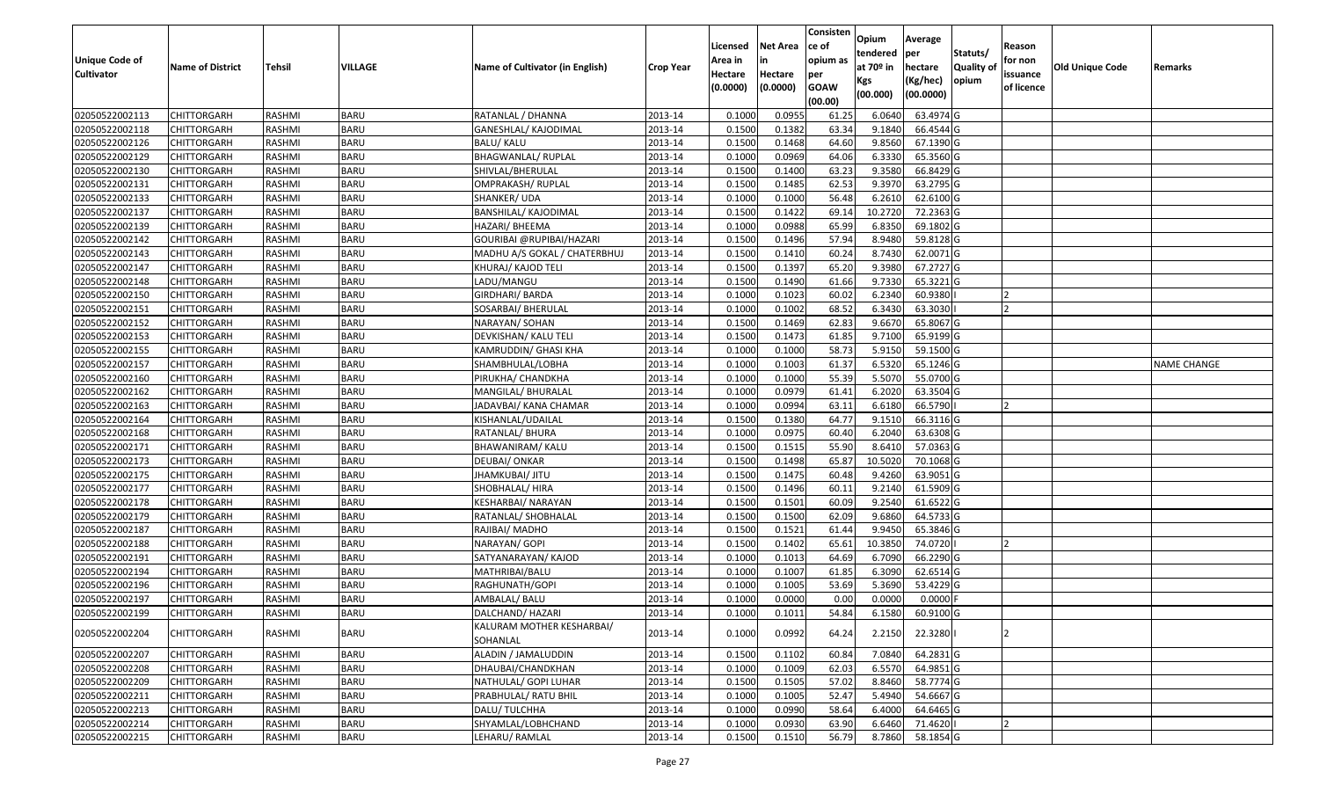|                       |                         |               |                |                                 |                  |          |                 | Consisten   | Opium       | Average    |                  |            |                        |                    |
|-----------------------|-------------------------|---------------|----------------|---------------------------------|------------------|----------|-----------------|-------------|-------------|------------|------------------|------------|------------------------|--------------------|
|                       |                         |               |                |                                 |                  | Licensed | <b>Net Area</b> | ce of       | tendered    | per        | Statuts/         | Reason     |                        |                    |
| <b>Unique Code of</b> | <b>Name of District</b> | <b>Tehsil</b> | <b>VILLAGE</b> | Name of Cultivator (in English) | <b>Crop Year</b> | Area in  |                 | opium as    | at $70°$ in | hectare    | <b>Quality o</b> | for non    | <b>Old Unique Code</b> | Remarks            |
| <b>Cultivator</b>     |                         |               |                |                                 |                  | Hectare  | Hectare         | per         | Kgs         | (Kg/hec)   | opium            | issuance   |                        |                    |
|                       |                         |               |                |                                 |                  | (0.0000) | (0.0000)        | <b>GOAW</b> | (00.000)    | (00.0000)  |                  | of licence |                        |                    |
|                       |                         |               |                |                                 |                  |          |                 | (00.00)     |             |            |                  |            |                        |                    |
| 02050522002113        | CHITTORGARH             | RASHMI        | <b>BARU</b>    | RATANLAL / DHANNA               | 2013-14          | 0.1000   | 0.0955          | 61.25       | 6.0640      | 63.4974 G  |                  |            |                        |                    |
| 02050522002118        | CHITTORGARH             | RASHMI        | <b>BARU</b>    | GANESHLAL/ KAJODIMAL            | 2013-14          | 0.1500   | 0.1382          | 63.34       | 9.1840      | 66.4544 G  |                  |            |                        |                    |
| 02050522002126        | CHITTORGARH             | RASHMI        | <b>BARU</b>    | BALU/ KALU                      | 2013-14          | 0.1500   | 0.1468          | 64.60       | 9.8560      | 67.1390 G  |                  |            |                        |                    |
| 02050522002129        | <b>CHITTORGARH</b>      | RASHMI        | <b>BARU</b>    | <b>BHAGWANLAL/ RUPLAL</b>       | 2013-14          | 0.1000   | 0.0969          | 64.06       | 6.3330      | 65.3560 G  |                  |            |                        |                    |
| 02050522002130        | CHITTORGARH             | RASHMI        | <b>BARU</b>    | SHIVLAL/BHERULAL                | 2013-14          | 0.1500   | 0.1400          | 63.23       | 9.3580      | 66.8429 G  |                  |            |                        |                    |
| 02050522002131        | <b>CHITTORGARH</b>      | RASHMI        | <b>BARU</b>    | OMPRAKASH/ RUPLAL               | 2013-14          | 0.1500   | 0.1485          | 62.53       | 9.3970      | 63.2795 G  |                  |            |                        |                    |
| 02050522002133        | CHITTORGARH             | RASHMI        | <b>BARU</b>    | SHANKER/ UDA                    | 2013-14          | 0.1000   | 0.1000          | 56.48       | 6.2610      | 62.6100G   |                  |            |                        |                    |
| 02050522002137        | <b>CHITTORGARH</b>      | <b>RASHMI</b> | <b>BARU</b>    | <b>BANSHILAL/ KAJODIMAL</b>     | 2013-14          | 0.1500   | 0.1422          | 69.14       | 10.2720     | 72.2363 G  |                  |            |                        |                    |
| 02050522002139        | CHITTORGARH             | RASHMI        | <b>BARU</b>    | HAZARI/ BHEEMA                  | 2013-14          | 0.1000   | 0.0988          | 65.99       | 6.8350      | 69.1802 G  |                  |            |                        |                    |
| 02050522002142        | CHITTORGARH             | RASHMI        | <b>BARU</b>    | GOURIBAI @RUPIBAI/HAZARI        | 2013-14          | 0.1500   | 0.1496          | 57.94       | 8.9480      | 59.8128 G  |                  |            |                        |                    |
| 02050522002143        | CHITTORGARH             | RASHMI        | <b>BARU</b>    | MADHU A/S GOKAL / CHATERBHUJ    | 2013-14          | 0.1500   | 0.1410          | 60.24       | 8.7430      | 62.0071G   |                  |            |                        |                    |
| 02050522002147        | CHITTORGARH             | RASHMI        | <b>BARU</b>    | KHURAJ/ KAJOD TELI              | 2013-14          | 0.1500   | 0.1397          | 65.20       | 9.3980      | 67.2727 G  |                  |            |                        |                    |
| 02050522002148        | <b>CHITTORGARH</b>      | RASHMI        | <b>BARU</b>    | LADU/MANGU                      | 2013-14          | 0.1500   | 0.1490          | 61.66       | 9.7330      | 65.3221G   |                  |            |                        |                    |
| 02050522002150        | <b>CHITTORGARH</b>      | RASHMI        | <b>BARU</b>    | GIRDHARI/ BARDA                 | 2013-14          | 0.1000   | 0.1023          | 60.02       | 6.2340      | 60.9380    |                  |            |                        |                    |
| 02050522002151        | <b>CHITTORGARH</b>      | RASHMI        | <b>BARU</b>    | SOSARBAI/ BHERULAL              | 2013-14          | 0.1000   | 0.1002          | 68.52       | 6.3430      | 63.3030    |                  | כו         |                        |                    |
| 02050522002152        | <b>CHITTORGARH</b>      | RASHMI        | <b>BARU</b>    | NARAYAN/ SOHAN                  | 2013-14          | 0.1500   | 0.1469          | 62.83       | 9.6670      | 65.8067 G  |                  |            |                        |                    |
| 02050522002153        | CHITTORGARH             | RASHMI        | <b>BARU</b>    | DEVKISHAN/ KALU TELI            | 2013-14          | 0.1500   | 0.1473          | 61.85       | 9.7100      | 65.9199 G  |                  |            |                        |                    |
| 02050522002155        | CHITTORGARH             | RASHMI        | <b>BARU</b>    | KAMRUDDIN/ GHASI KHA            | 2013-14          | 0.1000   | 0.1000          | 58.73       | 5.9150      | 59.1500G   |                  |            |                        |                    |
| 02050522002157        | CHITTORGARH             | RASHMI        | <b>BARU</b>    | SHAMBHULAL/LOBHA                | 2013-14          | 0.1000   | 0.1003          | 61.37       | 6.5320      | 65.1246 G  |                  |            |                        | <b>NAME CHANGE</b> |
| 02050522002160        | CHITTORGARH             | RASHMI        | <b>BARU</b>    | PIRUKHA/ CHANDKHA               | 2013-14          | 0.1000   | 0.1000          | 55.39       | 5.5070      | 55.0700G   |                  |            |                        |                    |
| 02050522002162        | CHITTORGARH             | RASHMI        | <b>BARU</b>    | MANGILAL/ BHURALAL              | 2013-14          | 0.1000   | 0.0979          | 61.41       | 6.2020      | 63.3504 G  |                  |            |                        |                    |
| 02050522002163        | CHITTORGARH             | RASHMI        | <b>BARU</b>    | JADAVBAI/ KANA CHAMAR           | 2013-14          | 0.1000   | 0.0994          | 63.1        | 6.6180      | 66.5790    |                  |            |                        |                    |
| 02050522002164        | CHITTORGARH             | RASHMI        | <b>BARU</b>    | KISHANLAL/UDAILAL               | 2013-14          | 0.1500   | 0.1380          | 64.77       | 9.1510      | 66.3116 G  |                  |            |                        |                    |
| 02050522002168        | CHITTORGARH             | RASHMI        | <b>BARU</b>    | RATANLAL/ BHURA                 | 2013-14          | 0.1000   | 0.0975          | 60.40       | 6.2040      | 63.6308 G  |                  |            |                        |                    |
| 02050522002171        | <b>CHITTORGARH</b>      | RASHMI        | <b>BARU</b>    | BHAWANIRAM/ KALU                | 2013-14          | 0.1500   | 0.1515          | 55.90       | 8.6410      | 57.0363 G  |                  |            |                        |                    |
| 02050522002173        | CHITTORGARH             | RASHMI        | <b>BARU</b>    | DEUBAI/ ONKAR                   | 2013-14          | 0.1500   | 0.1498          | 65.87       | 10.5020     | 70.1068 G  |                  |            |                        |                    |
| 02050522002175        | CHITTORGARH             | RASHMI        | <b>BARU</b>    | JHAMKUBAI/ JITU                 | 2013-14          | 0.1500   | 0.1475          | 60.48       | 9.4260      | 63.9051 G  |                  |            |                        |                    |
| 02050522002177        | CHITTORGARH             | RASHMI        | <b>BARU</b>    | SHOBHALAL/ HIRA                 | 2013-14          | 0.1500   | 0.1496          | 60.11       | 9.2140      | 61.5909 G  |                  |            |                        |                    |
| 02050522002178        | CHITTORGARH             | RASHMI        | <b>BARU</b>    | KESHARBAI/ NARAYAN              | 2013-14          | 0.1500   | 0.1501          | 60.09       | 9.2540      | 61.6522 G  |                  |            |                        |                    |
| 02050522002179        | CHITTORGARH             | RASHMI        | <b>BARU</b>    | RATANLAL/ SHOBHALAL             | 2013-14          | 0.1500   | 0.1500          | 62.09       | 9.6860      | 64.5733 G  |                  |            |                        |                    |
| 02050522002187        | CHITTORGARH             | RASHMI        | <b>BARU</b>    | RAJIBAI/ MADHO                  | 2013-14          | 0.1500   | 0.1521          | 61.44       | 9.945       | 65.3846 G  |                  |            |                        |                    |
| 02050522002188        | CHITTORGARH             | RASHMI        | <b>BARU</b>    | NARAYAN/ GOPI                   | 2013-14          | 0.1500   | 0.1402          | 65.61       | 10.3850     | 74.0720    |                  |            |                        |                    |
| 02050522002191        | CHITTORGARH             | <b>RASHMI</b> | <b>BARU</b>    | SATYANARAYAN/ KAJOD             | 2013-14          | 0.1000   | 0.1013          | 64.69       | 6.7090      | 66.2290 G  |                  |            |                        |                    |
| 02050522002194        | <b>CHITTORGARH</b>      | RASHMI        | BARU           | MATHRIBAI/BALU                  | 2013-14          | 0.1000   | 0.1007          | 61.85       | 6.3090      | 62.6514 G  |                  |            |                        |                    |
| 02050522002196        | CHITTORGARH             | RASHMI        | <b>BARU</b>    | RAGHUNATH/GOPI                  | 2013-14          | 0.1000   | 0.1005          | 53.69       | 5.3690      | 53.4229 G  |                  |            |                        |                    |
| 02050522002197        | CHITTORGARH             | RASHMI        | <b>BARU</b>    | AMBALAL/ BALU                   | 2013-14          | 0.1000   | 0.0000          | 0.00        | 0.0000      | $0.0000$ F |                  |            |                        |                    |
| 02050522002199        | <b>CHITTORGARH</b>      | RASHMI        | <b>BARU</b>    | DALCHAND/ HAZARI                | 2013-14          | 0.1000   | 0.1011          | 54.84       | 6.1580      | 60.9100 G  |                  |            |                        |                    |
| 02050522002204        | <b>CHITTORGARH</b>      | RASHMI        | <b>BARU</b>    | KALURAM MOTHER KESHARBAI/       | 2013-14          | 0.1000   | 0.0992          | 64.24       | 2.2150      | 22.3280    |                  |            |                        |                    |
|                       |                         |               |                | SOHANLAL                        |                  |          |                 |             |             |            |                  |            |                        |                    |
| 02050522002207        | <b>CHITTORGARH</b>      | RASHMI        | <b>BARU</b>    | ALADIN / JAMALUDDIN             | 2013-14          | 0.1500   | 0.1102          | 60.84       | 7.0840      | 64.2831 G  |                  |            |                        |                    |
| 02050522002208        | <b>CHITTORGARH</b>      | RASHMI        | <b>BARU</b>    | DHAUBAI/CHANDKHAN               | 2013-14          | 0.1000   | 0.1009          | 62.03       | 6.5570      | 64.9851 G  |                  |            |                        |                    |
| 02050522002209        | <b>CHITTORGARH</b>      | RASHMI        | <b>BARU</b>    | NATHULAL/ GOPI LUHAR            | 2013-14          | 0.1500   | 0.1505          | 57.02       | 8.8460      | 58.7774 G  |                  |            |                        |                    |
| 02050522002211        | <b>CHITTORGARH</b>      | RASHMI        | <b>BARU</b>    | PRABHULAL/ RATU BHIL            | 2013-14          | 0.1000   | 0.1005          | 52.47       | 5.4940      | 54.6667 G  |                  |            |                        |                    |
| 02050522002213        | <b>CHITTORGARH</b>      | RASHMI        | <b>BARU</b>    | DALU/TULCHHA                    | 2013-14          | 0.1000   | 0.0990          | 58.64       | 6.4000      | 64.6465 G  |                  |            |                        |                    |
| 02050522002214        | <b>CHITTORGARH</b>      | RASHMI        | <b>BARU</b>    | SHYAMLAL/LOBHCHAND              | 2013-14          | 0.1000   | 0.0930          | 63.90       | 6.6460      | 71.4620    |                  |            |                        |                    |
| 02050522002215        | <b>CHITTORGARH</b>      | RASHMI        | <b>BARU</b>    | LEHARU/RAMLAL                   | 2013-14          | 0.1500   | 0.1510          | 56.79       | 8.7860      | 58.1854 G  |                  |            |                        |                    |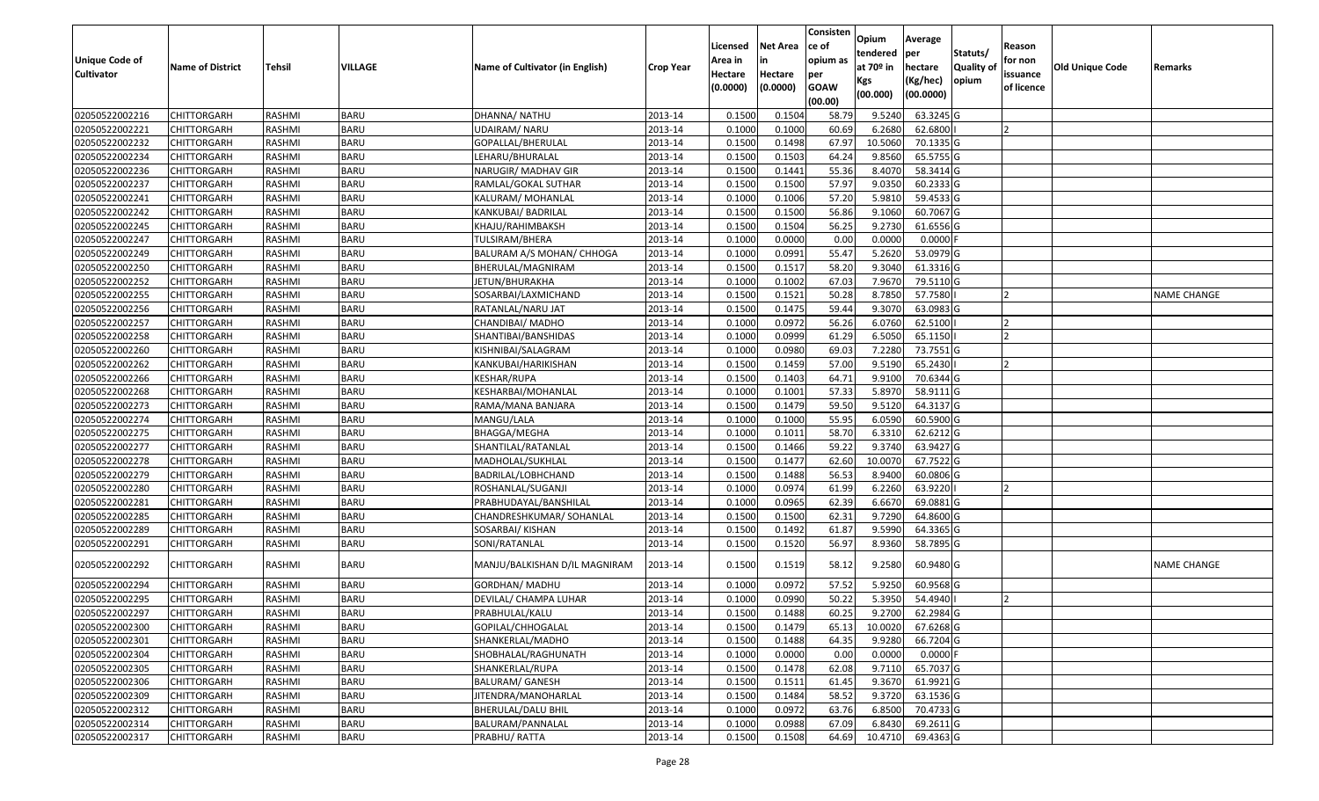|                   |                         |               |             |                                 |                  | Licensed | <b>Net Area</b> | Consisten<br>ce of | Opium           | Average               |                  | Reason     |                        |                    |
|-------------------|-------------------------|---------------|-------------|---------------------------------|------------------|----------|-----------------|--------------------|-----------------|-----------------------|------------------|------------|------------------------|--------------------|
| Unique Code of    |                         |               |             |                                 |                  | Area in  | in              | opium as           | tendered        | per                   | Statuts/         | for non    |                        |                    |
| <b>Cultivator</b> | <b>Name of District</b> | <b>Tehsil</b> | VILLAGE     | Name of Cultivator (in English) | <b>Crop Year</b> | Hectare  | Hectare         | per                | at $70°$ in     | hectare               | <b>Quality o</b> | issuance   | <b>Old Unique Code</b> | Remarks            |
|                   |                         |               |             |                                 |                  | (0.0000) | (0.0000)        | <b>GOAW</b>        | Kgs<br>(00.000) | (Kg/hec)<br>(00.0000) | opium            | of licence |                        |                    |
|                   |                         |               |             |                                 |                  |          |                 | (00.00)            |                 |                       |                  |            |                        |                    |
| 02050522002216    | CHITTORGARH             | RASHMI        | <b>BARU</b> | DHANNA/ NATHU                   | 2013-14          | 0.1500   | 0.1504          | 58.79              | 9.5240          | 63.3245 G             |                  |            |                        |                    |
| 02050522002221    | CHITTORGARH             | RASHMI        | <b>BARU</b> | JDAIRAM/ NARU                   | 2013-14          | 0.1000   | 0.1000          | 60.69              | 6.2680          | 62.6800               |                  |            |                        |                    |
| 02050522002232    | CHITTORGARH             | RASHMI        | <b>BARU</b> | GOPALLAL/BHERULAL               | 2013-14          | 0.1500   | 0.1498          | 67.97              | 10.5060         | 70.1335 G             |                  |            |                        |                    |
| 02050522002234    | <b>CHITTORGARH</b>      | RASHMI        | <b>BARU</b> | LEHARU/BHURALAL                 | 2013-14          | 0.1500   | 0.1503          | 64.24              | 9.8560          | 65.5755 G             |                  |            |                        |                    |
| 02050522002236    | CHITTORGARH             | RASHMI        | <b>BARU</b> | NARUGIR/ MADHAV GIR             | 2013-14          | 0.1500   | 0.1441          | 55.36              | 8.4070          | 58.3414 G             |                  |            |                        |                    |
| 02050522002237    | <b>CHITTORGARH</b>      | RASHMI        | <b>BARU</b> | RAMLAL/GOKAL SUTHAR             | 2013-14          | 0.1500   | 0.1500          | 57.97              | 9.0350          | 60.2333 G             |                  |            |                        |                    |
| 02050522002241    | CHITTORGARH             | RASHMI        | <b>BARU</b> | KALURAM/ MOHANLAL               | 2013-14          | 0.1000   | 0.1006          | 57.20              | 5.9810          | 59.4533 G             |                  |            |                        |                    |
| 02050522002242    | CHITTORGARH             | <b>RASHMI</b> | <b>BARU</b> | KANKUBAI/ BADRILAL              | 2013-14          | 0.1500   | 0.1500          | 56.86              | 9.1060          | 60.7067 G             |                  |            |                        |                    |
| 02050522002245    | CHITTORGARH             | RASHMI        | <b>BARU</b> | KHAJU/RAHIMBAKSH                | 2013-14          | 0.1500   | 0.1504          | 56.25              | 9.2730          | 61.6556 G             |                  |            |                        |                    |
| 02050522002247    | CHITTORGARH             | RASHMI        | <b>BARU</b> | TULSIRAM/BHERA                  | 2013-14          | 0.1000   | 0.0000          | 0.00               | 0.0000          | $0.0000$ F            |                  |            |                        |                    |
| 02050522002249    | CHITTORGARH             | RASHMI        | <b>BARU</b> | BALURAM A/S MOHAN/ CHHOGA       | 2013-14          | 0.1000   | 0.0991          | 55.47              | 5.2620          | 53.0979 G             |                  |            |                        |                    |
| 02050522002250    | <b>CHITTORGARH</b>      | RASHMI        | <b>BARU</b> | BHERULAL/MAGNIRAM               | 2013-14          | 0.1500   | 0.1517          | 58.20              | 9.3040          | 61.3316 G             |                  |            |                        |                    |
| 02050522002252    | <b>CHITTORGARH</b>      | RASHMI        | <b>BARU</b> | JETUN/BHURAKHA                  | 2013-14          | 0.1000   | 0.1002          | 67.03              | 7.9670          | 79.5110 G             |                  |            |                        |                    |
| 02050522002255    | <b>CHITTORGARH</b>      | RASHMI        | <b>BARU</b> | SOSARBAI/LAXMICHAND             | 2013-14          | 0.1500   | 0.1521          | 50.28              | 8.7850          | 57.7580               |                  |            |                        | <b>NAME CHANGE</b> |
| 02050522002256    | <b>CHITTORGARH</b>      | RASHMI        | <b>BARU</b> | RATANLAL/NARU JAT               | 2013-14          | 0.1500   | 0.1475          | 59.44              | 9.3070          | 63.0983 G             |                  |            |                        |                    |
| 02050522002257    | CHITTORGARH             | RASHMI        | <b>BARU</b> | CHANDIBAI/ MADHO                | 2013-14          | 0.1000   | 0.0972          | 56.26              | 6.0760          | 62.5100               |                  |            |                        |                    |
| 02050522002258    | CHITTORGARH             | RASHMI        | <b>BARU</b> | SHANTIBAI/BANSHIDAS             | 2013-14          | 0.1000   | 0.0999          | 61.29              | 6.5050          | 65.1150               |                  |            |                        |                    |
| 02050522002260    | CHITTORGARH             | RASHMI        | <b>BARU</b> | KISHNIBAI/SALAGRAM              | 2013-14          | 0.1000   | 0.0980          | 69.03              | 7.2280          | 73.7551G              |                  |            |                        |                    |
| 02050522002262    | CHITTORGARH             | RASHMI        | <b>BARU</b> | KANKUBAI/HARIKISHAN             | 2013-14          | 0.1500   | 0.1459          | 57.00              | 9.5190          | 65.2430               |                  |            |                        |                    |
| 02050522002266    | CHITTORGARH             | RASHMI        | <b>BARU</b> | KESHAR/RUPA                     | 2013-14          | 0.1500   | 0.1403          | 64.71              | 9.9100          | 70.6344 G             |                  |            |                        |                    |
| 02050522002268    | CHITTORGARH             | RASHMI        | <b>BARU</b> | KESHARBAI/MOHANLAL              | 2013-14          | 0.1000   | 0.1001          | 57.33              | 5.8970          | 58.9111G              |                  |            |                        |                    |
| 02050522002273    | CHITTORGARH             | RASHMI        | <b>BARU</b> | RAMA/MANA BANJARA               | 2013-14          | 0.150    | 0.1479          | 59.50              | 9.5120          | 64.3137 G             |                  |            |                        |                    |
| 02050522002274    | CHITTORGARH             | RASHMI        | <b>BARU</b> | MANGU/LALA                      | 2013-14          | 0.1000   | 0.1000          | 55.95              | 6.0590          | 60.5900 G             |                  |            |                        |                    |
| 02050522002275    | CHITTORGARH             | RASHMI        | <b>BARU</b> | BHAGGA/MEGHA                    | 2013-14          | 0.1000   | 0.1011          | 58.70              | 6.3310          | 62.6212G              |                  |            |                        |                    |
| 02050522002277    | <b>CHITTORGARH</b>      | RASHMI        | <b>BARU</b> | SHANTILAL/RATANLAL              | 2013-14          | 0.1500   | 0.1466          | 59.22              | 9.374           | 63.9427 G             |                  |            |                        |                    |
| 02050522002278    | CHITTORGARH             | RASHMI        | <b>BARU</b> | MADHOLAL/SUKHLAL                | 2013-14          | 0.1500   | 0.1477          | 62.60              | 10.007          | 67.7522 G             |                  |            |                        |                    |
| 02050522002279    | CHITTORGARH             | RASHMI        | <b>BARU</b> | BADRILAL/LOBHCHAND              | 2013-14          | 0.1500   | 0.1488          | 56.53              | 8.9400          | 60.0806 G             |                  |            |                        |                    |
| 02050522002280    | CHITTORGARH             | RASHMI        | <b>BARU</b> | ROSHANLAL/SUGANJI               | 2013-14          | 0.1000   | 0.0974          | 61.99              | 6.2260          | 63.9220               |                  |            |                        |                    |
| 02050522002281    | CHITTORGARH             | RASHMI        | <b>BARU</b> | PRABHUDAYAL/BANSHILAL           | 2013-14          | 0.1000   | 0.0965          | 62.39              | 6.6670          | 69.0881 G             |                  |            |                        |                    |
| 02050522002285    | <b>CHITTORGARH</b>      | RASHMI        | <b>BARU</b> | CHANDRESHKUMAR/ SOHANLAL        | 2013-14          | 0.1500   | 0.1500          | 62.31              | 9.7290          | 64.8600 G             |                  |            |                        |                    |
| 02050522002289    | CHITTORGARH             | RASHMI        | <b>BARU</b> | SOSARBAI/ KISHAN                | 2013-14          | 0.1500   | 0.1492          | 61.87              | 9.5990          | 64.3365 G             |                  |            |                        |                    |
| 02050522002291    | CHITTORGARH             | RASHMI        | <b>BARU</b> | SONI/RATANLAL                   | 2013-14          | 0.1500   | 0.1520          | 56.97              | 8.9360          | 58.7895 G             |                  |            |                        |                    |
| 02050522002292    | CHITTORGARH             | RASHMI        | <b>BARU</b> | MANJU/BALKISHAN D/IL MAGNIRAM   | 2013-14          | 0.1500   | 0.1519          | 58.12              | 9.2580          | 60.9480 G             |                  |            |                        | <b>NAME CHANGE</b> |
| 02050522002294    | CHITTORGARH             | RASHMI        | <b>BARU</b> | GORDHAN/ MADHU                  | 2013-14          | 0.1000   | 0.0972          | 57.52              | 5.9250          | 60.9568 G             |                  |            |                        |                    |
| 02050522002295    | CHITTORGARH             | RASHMI        | <b>BARU</b> | DEVILAL/ CHAMPA LUHAR           | 2013-14          | 0.1000   | 0.0990          | 50.22              | 5.3950          | 54.4940               |                  |            |                        |                    |
| 02050522002297    | <b>CHITTORGARH</b>      | RASHMI        | <b>BARU</b> | PRABHULAL/KALU                  | 2013-14          | 0.1500   | 0.1488          | 60.25              | 9.2700          | 62.2984 G             |                  |            |                        |                    |
| 02050522002300    | <b>CHITTORGARH</b>      | RASHMI        | <b>BARU</b> | GOPILAL/CHHOGALAL               | 2013-14          | 0.1500   | 0.1479          | 65.13              | 10.0020         | 67.6268 G             |                  |            |                        |                    |
| 02050522002301    | <b>CHITTORGARH</b>      | RASHMI        | <b>BARU</b> | SHANKERLAL/MADHO                | 2013-14          | 0.1500   | 0.1488          | 64.35              | 9.9280          | 66.7204 G             |                  |            |                        |                    |
| 02050522002304    | <b>CHITTORGARH</b>      | RASHMI        | <b>BARU</b> | SHOBHALAL/RAGHUNATH             | 2013-14          | 0.1000   | 0.0000          | 0.00               | 0.0000          | $0.0000$ F            |                  |            |                        |                    |
| 02050522002305    | <b>CHITTORGARH</b>      | RASHMI        | <b>BARU</b> | SHANKERLAL/RUPA                 | 2013-14          | 0.1500   | 0.1478          | 62.08              | 9.7110          | 65.7037 G             |                  |            |                        |                    |
| 02050522002306    | <b>CHITTORGARH</b>      | RASHMI        | <b>BARU</b> | <b>BALURAM/ GANESH</b>          | 2013-14          | 0.1500   | 0.1511          | 61.45              | 9.3670          | 61.9921 G             |                  |            |                        |                    |
| 02050522002309    | <b>CHITTORGARH</b>      | RASHMI        | <b>BARU</b> | JITENDRA/MANOHARLAL             | 2013-14          | 0.1500   | 0.1484          | 58.52              | 9.3720          | 63.1536 G             |                  |            |                        |                    |
| 02050522002312    | <b>CHITTORGARH</b>      | RASHMI        | <b>BARU</b> | BHERULAL/DALU BHIL              | 2013-14          | 0.1000   | 0.0972          | 63.76              | 6.8500          | 70.4733 G             |                  |            |                        |                    |
| 02050522002314    | <b>CHITTORGARH</b>      | RASHMI        | <b>BARU</b> | BALURAM/PANNALAL                | 2013-14          | 0.1000   | 0.0988          | 67.09              | 6.8430          | 69.2611G              |                  |            |                        |                    |
| 02050522002317    | <b>CHITTORGARH</b>      | RASHMI        | <b>BARU</b> | PRABHU/RATTA                    | 2013-14          | 0.1500   | 0.1508          | 64.69              | 10.4710         | 69.4363 G             |                  |            |                        |                    |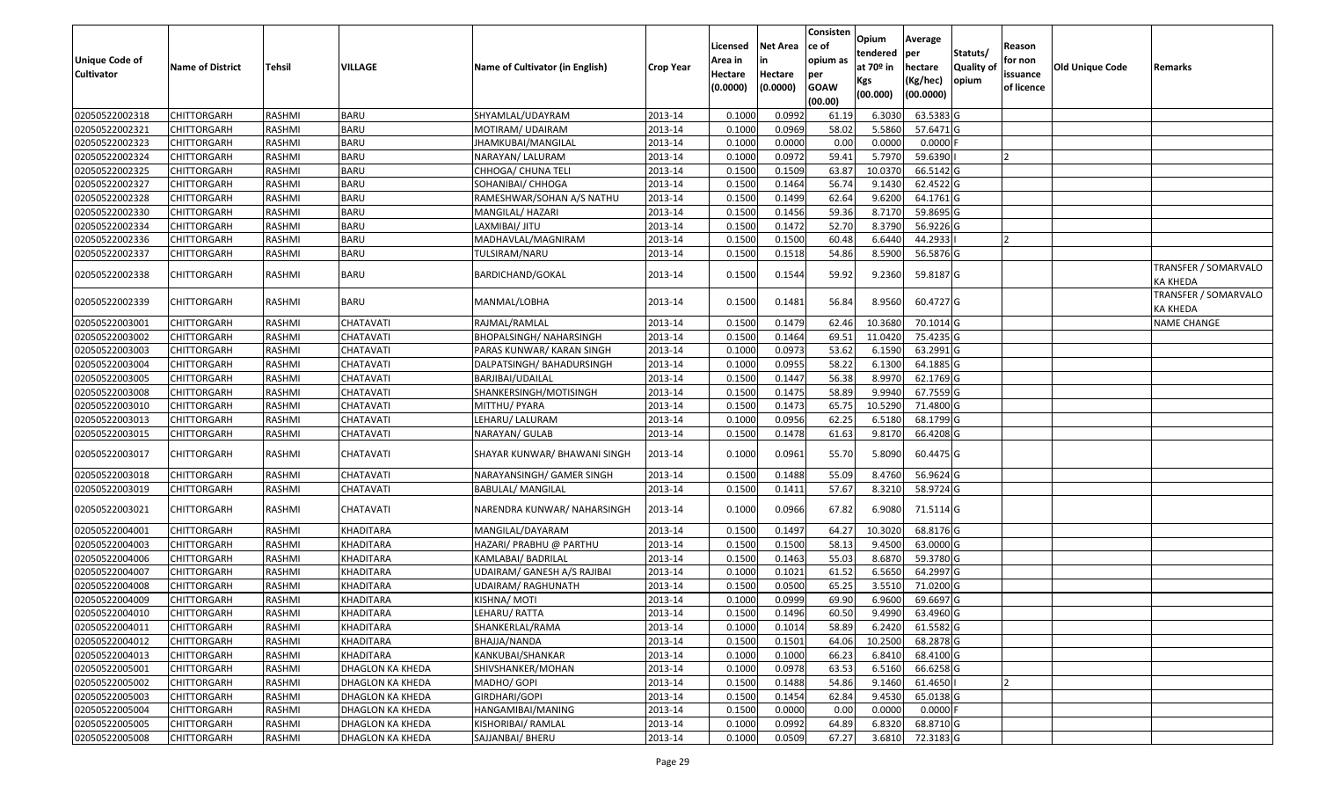| <b>Unique Code of</b><br><b>Cultivator</b> | <b>Name of District</b> | <b>Tehsil</b> | VILLAGE          | Name of Cultivator (in English) | <b>Crop Year</b> | Licensed<br>Area in<br>Hectare<br>(0.0000) | <b>Net Area</b><br>in<br>Hectare<br>(0.0000) | Consisten<br>ce of<br>opium as<br>per<br><b>GOAW</b><br>(00.00) | Opium<br>tendered<br>at $70°$ in<br>Kgs<br>(00.000) | Average<br>per<br>hectare<br>(Kg/hec)<br>(00.0000) | Statuts/<br>Quality of<br>opium | Reason<br>for non<br>issuance<br>of licence | <b>Old Unique Code</b> | Remarks                                 |
|--------------------------------------------|-------------------------|---------------|------------------|---------------------------------|------------------|--------------------------------------------|----------------------------------------------|-----------------------------------------------------------------|-----------------------------------------------------|----------------------------------------------------|---------------------------------|---------------------------------------------|------------------------|-----------------------------------------|
| 02050522002318                             | CHITTORGARH             | RASHMI        | <b>BARU</b>      | SHYAMLAL/UDAYRAM                | 2013-14          | 0.1000                                     | 0.0992                                       | 61.19                                                           | 6.3030                                              | 63.5383 G                                          |                                 |                                             |                        |                                         |
| 02050522002321                             | CHITTORGARH             | RASHMI        | <b>BARU</b>      | MOTIRAM/ UDAIRAM                | 2013-14          | 0.1000                                     | 0.0969                                       | 58.02                                                           | 5.5860                                              | 57.6471 G                                          |                                 |                                             |                        |                                         |
| 02050522002323                             | <b>CHITTORGARH</b>      | RASHMI        | <b>BARU</b>      | JHAMKUBAI/MANGILAL              | 2013-14          | 0.1000                                     | 0.0000                                       | 0.00                                                            | 0.0000                                              | 0.0000                                             |                                 |                                             |                        |                                         |
| 02050522002324                             | CHITTORGARH             | RASHMI        | <b>BARU</b>      | NARAYAN/ LALURAM                | 2013-14          | 0.1000                                     | 0.0972                                       | 59.41                                                           | 5.7970                                              | 59.6390                                            |                                 |                                             |                        |                                         |
| 02050522002325                             | CHITTORGARH             | RASHMI        | <b>BARU</b>      | CHHOGA/ CHUNA TELI              | 2013-14          | 0.1500                                     | 0.1509                                       | 63.87                                                           | 10.037                                              | 66.5142 G                                          |                                 |                                             |                        |                                         |
| 02050522002327                             | CHITTORGARH             | RASHMI        | <b>BARU</b>      | SOHANIBAI/ CHHOGA               | 2013-14          | 0.1500                                     | 0.1464                                       | 56.74                                                           | 9.1430                                              | 62.4522 G                                          |                                 |                                             |                        |                                         |
| 02050522002328                             | CHITTORGARH             | RASHMI        | <b>BARU</b>      | RAMESHWAR/SOHAN A/S NATHU       | 2013-14          | 0.1500                                     | 0.1499                                       | 62.64                                                           | 9.6200                                              | 64.1761 G                                          |                                 |                                             |                        |                                         |
| 02050522002330                             | CHITTORGARH             | RASHMI        | <b>BARU</b>      | MANGILAL/ HAZARI                | 2013-14          | 0.1500                                     | 0.1456                                       | 59.36                                                           | 8.7170                                              | 59.8695 G                                          |                                 |                                             |                        |                                         |
| 02050522002334                             | CHITTORGARH             | RASHMI        | <b>BARU</b>      | LAXMIBAI/ JITU                  | 2013-14          | 0.1500                                     | 0.1472                                       | 52.70                                                           | 8.3790                                              | 56.9226 G                                          |                                 |                                             |                        |                                         |
| 02050522002336                             | CHITTORGARH             | RASHMI        | <b>BARU</b>      | MADHAVLAL/MAGNIRAM              | 2013-14          | 0.1500                                     | 0.1500                                       | 60.48                                                           | 6.6440                                              | 44.2933                                            |                                 |                                             |                        |                                         |
| 02050522002337                             | CHITTORGARH             | RASHMI        | <b>BARU</b>      | TULSIRAM/NARU                   | 2013-14          | 0.1500                                     | 0.1518                                       | 54.86                                                           | 8.5900                                              | 56.5876 G                                          |                                 |                                             |                        |                                         |
| 02050522002338                             | CHITTORGARH             | RASHMI        | <b>BARU</b>      | BARDICHAND/GOKAL                | 2013-14          | 0.1500                                     | 0.1544                                       | 59.92                                                           | 9.2360                                              | 59.8187 G                                          |                                 |                                             |                        | TRANSFER / SOMARVALO<br><b>KA KHEDA</b> |
| 02050522002339                             | CHITTORGARH             | RASHMI        | <b>BARU</b>      | MANMAL/LOBHA                    | 2013-14          | 0.1500                                     | 0.1481                                       | 56.84                                                           | 8.9560                                              | 60.4727 G                                          |                                 |                                             |                        | TRANSFER / SOMARVALO<br><b>KA KHEDA</b> |
| 02050522003001                             | <b>CHITTORGARH</b>      | RASHMI        | CHATAVATI        | RAJMAL/RAMLAL                   | 2013-14          | 0.1500                                     | 0.1479                                       | 62.46                                                           | 10.3680                                             | 70.1014 G                                          |                                 |                                             |                        | <b>NAME CHANGE</b>                      |
| 02050522003002                             | <b>CHITTORGARH</b>      | RASHMI        | CHATAVATI        | <b>BHOPALSINGH/ NAHARSINGH</b>  | 2013-14          | 0.1500                                     | 0.1464                                       | 69.51                                                           | 11.0420                                             | 75.4235 G                                          |                                 |                                             |                        |                                         |
| 02050522003003                             | CHITTORGARH             | RASHMI        | CHATAVATI        | PARAS KUNWAR/ KARAN SINGH       | 2013-14          | 0.1000                                     | 0.0973                                       | 53.62                                                           | 6.1590                                              | 63.2991 G                                          |                                 |                                             |                        |                                         |
| 02050522003004                             | <b>CHITTORGARH</b>      | RASHMI        | CHATAVATI        | DALPATSINGH/ BAHADURSINGH       | 2013-14          | 0.1000                                     | 0.0955                                       | 58.22                                                           | 6.1300                                              | 64.1885 G                                          |                                 |                                             |                        |                                         |
| 02050522003005                             | <b>CHITTORGARH</b>      | RASHMI        | CHATAVATI        | BARJIBAI/UDAILAL                | 2013-14          | 0.1500                                     | 0.1447                                       | 56.38                                                           | 8.9970                                              | 62.1769 G                                          |                                 |                                             |                        |                                         |
| 02050522003008                             | CHITTORGARH             | RASHMI        | CHATAVATI        | SHANKERSINGH/MOTISINGH          | 2013-14          | 0.1500                                     | 0.1475                                       | 58.89                                                           | 9.994                                               | 67.7559 G                                          |                                 |                                             |                        |                                         |
| 02050522003010                             | <b>CHITTORGARH</b>      | RASHMI        | CHATAVATI        | MITTHU/ PYARA                   | 2013-14          | 0.1500                                     | 0.1473                                       | 65.75                                                           | 10.5290                                             | 71.4800 G                                          |                                 |                                             |                        |                                         |
| 02050522003013                             | CHITTORGARH             | RASHMI        | CHATAVATI        | LEHARU/ LALURAM                 | 2013-14          | 0.1000                                     | 0.0956                                       | 62.25                                                           | 6.5180                                              | 68.1799 G                                          |                                 |                                             |                        |                                         |
| 02050522003015                             | CHITTORGARH             | RASHMI        | CHATAVATI        | NARAYAN/ GULAB                  | 2013-14          | 0.150                                      | 0.1478                                       | 61.63                                                           | 9.8170                                              | 66.4208 G                                          |                                 |                                             |                        |                                         |
| 02050522003017                             | <b>CHITTORGARH</b>      | RASHMI        | CHATAVATI        | SHAYAR KUNWAR/ BHAWANI SINGH    | 2013-14          | 0.1000                                     | 0.0961                                       | 55.70                                                           | 5.8090                                              | 60.4475 G                                          |                                 |                                             |                        |                                         |
| 02050522003018                             | CHITTORGARH             | RASHMI        | CHATAVATI        | NARAYANSINGH/ GAMER SINGH       | 2013-14          | 0.1500                                     | 0.1488                                       | 55.09                                                           | 8.4760                                              | 56.9624 G                                          |                                 |                                             |                        |                                         |
| 02050522003019                             | CHITTORGARH             | RASHMI        | CHATAVATI        | BABULAL/ MANGILAL               | 2013-14          | 0.1500                                     | 0.1411                                       | 57.67                                                           | 8.3210                                              | 58.9724 G                                          |                                 |                                             |                        |                                         |
| 02050522003021                             | CHITTORGARH             | RASHMI        | CHATAVATI        | NARENDRA KUNWAR/ NAHARSINGH     | 2013-14          | 0.1000                                     | 0.0966                                       | 67.82                                                           | 6.9080                                              | 71.5114 G                                          |                                 |                                             |                        |                                         |
| 02050522004001                             | CHITTORGARH             | RASHMI        | KHADITARA        | MANGILAL/DAYARAM                | 2013-14          | 0.1500                                     | 0.1497                                       | 64.27                                                           | 10.3020                                             | 68.8176 G                                          |                                 |                                             |                        |                                         |
| 02050522004003                             | CHITTORGARH             | RASHMI        | KHADITARA        | HAZARI/ PRABHU @ PARTHU         | 2013-14          | 0.1500                                     | 0.1500                                       | 58.13                                                           | 9.4500                                              | 63.0000G                                           |                                 |                                             |                        |                                         |
| 02050522004006                             | CHITTORGARH             | RASHMI        | KHADITARA        | KAMLABAI/ BADRILAL              | 2013-14          | 0.1500                                     | 0.1463                                       | 55.03                                                           | 8.6870                                              | 59.3780 G                                          |                                 |                                             |                        |                                         |
| 02050522004007                             | <b>CHITTORGARH</b>      | RASHMI        | KHADITARA        | UDAIRAM/ GANESH A/S RAJIBAI     | 2013-14          | 0.1000                                     | 0.1021                                       | 61.52                                                           | 6.5650                                              | 64.2997 G                                          |                                 |                                             |                        |                                         |
| 02050522004008                             | CHITTORGARH             | RASHMI        | KHADITARA        | UDAIRAM/RAGHUNATH               | 2013-14          | 0.1500                                     | 0.0500                                       | 65.25                                                           | 3.5510                                              | 71.0200 G                                          |                                 |                                             |                        |                                         |
| 02050522004009                             | CHITTORGARH             | RASHMI        | KHADITARA        | KISHNA/ MOTI                    | 2013-14          | 0.1000                                     | 0.0999                                       | 69.90                                                           | 6.9600                                              | 69.6697 G                                          |                                 |                                             |                        |                                         |
| 02050522004010                             | <b>CHITTORGARH</b>      | RASHMI        | <b>KHADITARA</b> | LEHARU/RATTA                    | 2013-14          | 0.1500                                     | 0.1496                                       | 60.50                                                           | 9.4990                                              | 63.4960G                                           |                                 |                                             |                        |                                         |
| 02050522004011                             | <b>CHITTORGARH</b>      | RASHMI        | <b>KHADITARA</b> | SHANKERLAL/RAMA                 | 2013-14          | 0.1000                                     | 0.1014                                       | 58.89                                                           | 6.2420                                              | 61.5582 G                                          |                                 |                                             |                        |                                         |
| 02050522004012                             | <b>CHITTORGARH</b>      | RASHMI        | KHADITARA        | BHAJJA/NANDA                    | 2013-14          | 0.1500                                     | 0.1501                                       | 64.06                                                           | 10.2500                                             | 68.2878 G                                          |                                 |                                             |                        |                                         |
| 02050522004013                             | <b>CHITTORGARH</b>      | RASHMI        | <b>KHADITARA</b> | KANKUBAI/SHANKAR                | 2013-14          | 0.1000                                     | 0.1000                                       | 66.23                                                           | 6.8410                                              | 68.4100 G                                          |                                 |                                             |                        |                                         |
| 02050522005001                             | <b>CHITTORGARH</b>      | RASHMI        | DHAGLON KA KHEDA | SHIVSHANKER/MOHAN               | 2013-14          | 0.1000                                     | 0.0978                                       | 63.53                                                           | 6.5160                                              | 66.6258 G                                          |                                 |                                             |                        |                                         |
| 02050522005002                             | <b>CHITTORGARH</b>      | RASHMI        | DHAGLON KA KHEDA | MADHO/ GOPI                     | 2013-14          | 0.1500                                     | 0.1488                                       | 54.86                                                           | 9.1460                                              | 61.4650                                            |                                 |                                             |                        |                                         |
| 02050522005003                             | <b>CHITTORGARH</b>      | RASHMI        | DHAGLON KA KHEDA | GIRDHARI/GOPI                   | 2013-14          | 0.1500                                     | 0.1454                                       | 62.84                                                           | 9.4530                                              | 65.0138 G                                          |                                 |                                             |                        |                                         |
| 02050522005004                             | CHITTORGARH             | RASHMI        | DHAGLON KA KHEDA | HANGAMIBAI/MANING               | 2013-14          | 0.1500                                     | 0.0000                                       | 0.00                                                            | 0.0000                                              | $0.0000$ F                                         |                                 |                                             |                        |                                         |
| 02050522005005                             | <b>CHITTORGARH</b>      | RASHMI        | DHAGLON KA KHEDA | KISHORIBAI/ RAMLAL              | 2013-14          | 0.1000                                     | 0.0992                                       | 64.89                                                           | 6.8320                                              | 68.8710 G                                          |                                 |                                             |                        |                                         |
| 02050522005008                             | <b>CHITTORGARH</b>      | RASHMI        | DHAGLON KA KHEDA | SAJJANBAI/ BHERU                | 2013-14          | 0.1000                                     | 0.0509                                       | 67.27                                                           | 3.6810                                              | 72.3183 G                                          |                                 |                                             |                        |                                         |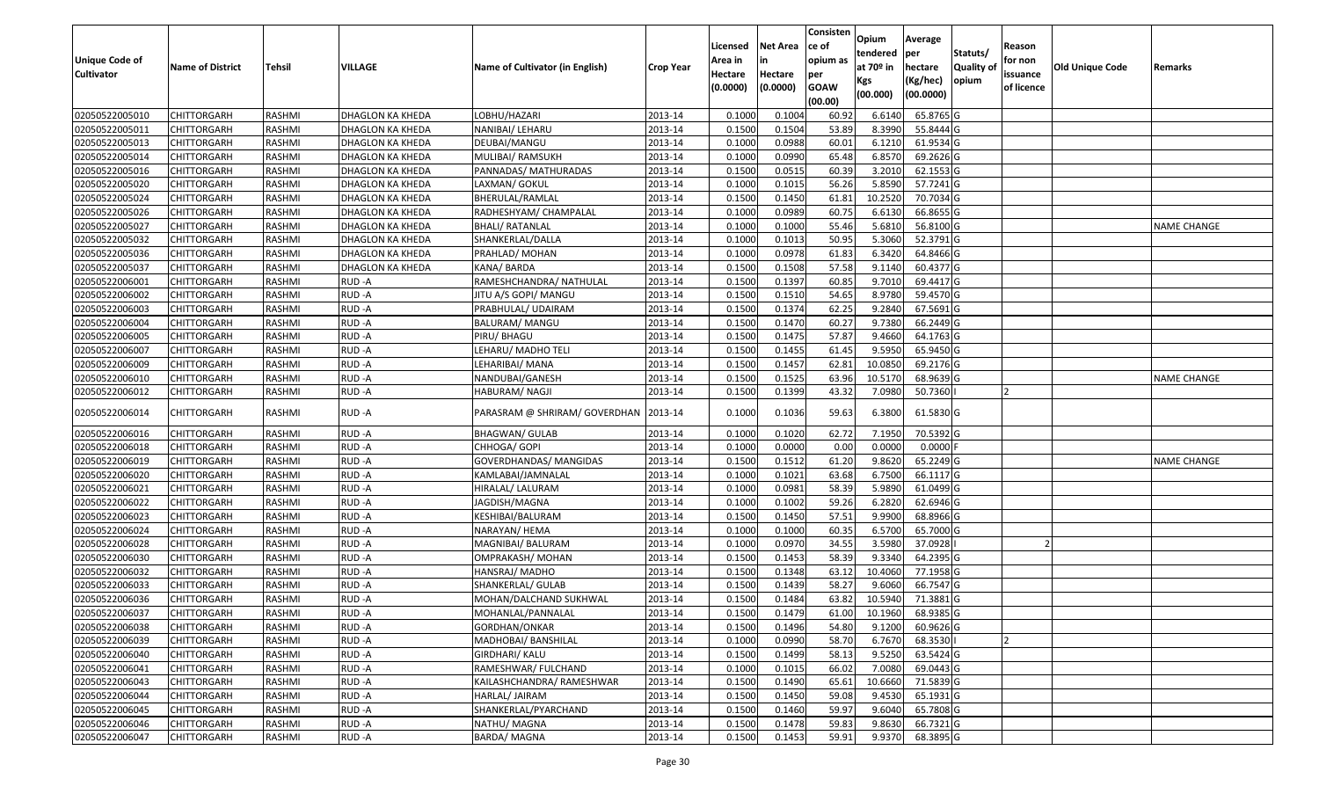|                   |                         |               |                  |                                 |                  |          |                 | Consisten              | Opium       | Average    |                  |            |                 |                    |
|-------------------|-------------------------|---------------|------------------|---------------------------------|------------------|----------|-----------------|------------------------|-------------|------------|------------------|------------|-----------------|--------------------|
|                   |                         |               |                  |                                 |                  | Licensed | <b>Net Area</b> | ce of                  | tendered    | per        | Statuts/         | Reason     |                 |                    |
| Unique Code of    | <b>Name of District</b> | <b>Tehsil</b> | VILLAGE          | Name of Cultivator (in English) | <b>Crop Year</b> | Area in  | in              | opium as               | at $70°$ in | hectare    | <b>Quality o</b> | for non    | Old Unique Code | Remarks            |
| <b>Cultivator</b> |                         |               |                  |                                 |                  | Hectare  | Hectare         | per                    | Kgs         | (Kg/hec)   | opium            | issuance   |                 |                    |
|                   |                         |               |                  |                                 |                  | (0.0000) | (0.0000)        | <b>GOAW</b><br>(00.00) | (00.000)    | (00.0000)  |                  | of licence |                 |                    |
| 02050522005010    | CHITTORGARH             | RASHMI        | DHAGLON KA KHEDA | LOBHU/HAZARI                    | 2013-14          | 0.1000   | 0.1004          | 60.92                  | 6.6140      | 65.8765 G  |                  |            |                 |                    |
| 02050522005011    | CHITTORGARH             | RASHMI        | DHAGLON KA KHEDA | NANIBAI/ LEHARU                 | 2013-14          | 0.1500   | 0.1504          | 53.89                  | 8.3990      | 55.8444 G  |                  |            |                 |                    |
| 02050522005013    | CHITTORGARH             | RASHMI        | DHAGLON KA KHEDA | DEUBAI/MANGU                    | 2013-14          | 0.1000   | 0.0988          | 60.01                  | 6.1210      | 61.9534 G  |                  |            |                 |                    |
| 02050522005014    | <b>CHITTORGARH</b>      | RASHMI        | DHAGLON KA KHEDA | MULIBAI/ RAMSUKH                | 2013-14          | 0.1000   | 0.0990          | 65.48                  | 6.8570      | 69.2626 G  |                  |            |                 |                    |
| 02050522005016    | CHITTORGARH             | RASHMI        | DHAGLON KA KHEDA | PANNADAS/ MATHURADAS            | 2013-14          | 0.1500   | 0.0515          | 60.39                  | 3.2010      | 62.1553 G  |                  |            |                 |                    |
| 02050522005020    | <b>CHITTORGARH</b>      | RASHMI        | DHAGLON KA KHEDA | LAXMAN/ GOKUL                   | 2013-14          | 0.1000   | 0.1015          | 56.26                  | 5.8590      | 57.7241 G  |                  |            |                 |                    |
| 02050522005024    | CHITTORGARH             | RASHMI        | DHAGLON KA KHEDA | BHERULAL/RAMLAL                 | 2013-14          | 0.1500   | 0.1450          | 61.81                  | 10.2520     | 70.7034 G  |                  |            |                 |                    |
| 02050522005026    | CHITTORGARH             | <b>RASHMI</b> | DHAGLON KA KHEDA | RADHESHYAM/ CHAMPALAL           | 2013-14          | 0.1000   | 0.0989          | 60.75                  | 6.6130      | 66.8655 G  |                  |            |                 |                    |
| 02050522005027    | CHITTORGARH             | RASHMI        | DHAGLON KA KHEDA | <b>BHALI/ RATANLAL</b>          | 2013-14          | 0.1000   | 0.1000          | 55.46                  | 5.6810      | 56.8100 G  |                  |            |                 | <b>NAME CHANGE</b> |
| 02050522005032    | CHITTORGARH             | RASHMI        | DHAGLON KA KHEDA | SHANKERLAL/DALLA                | 2013-14          | 0.1000   | 0.1013          | 50.95                  | 5.3060      | 52.3791 G  |                  |            |                 |                    |
| 02050522005036    | CHITTORGARH             | RASHMI        | DHAGLON KA KHEDA | PRAHLAD/ MOHAN                  | 2013-14          | 0.1000   | 0.0978          | 61.83                  | 6.3420      | 64.8466 G  |                  |            |                 |                    |
| 02050522005037    | CHITTORGARH             | RASHMI        | DHAGLON KA KHEDA | KANA/BARDA                      | 2013-14          | 0.1500   | 0.1508          | 57.58                  | 9.1140      | 60.4377 G  |                  |            |                 |                    |
| 02050522006001    | <b>CHITTORGARH</b>      | RASHMI        | RUD-A            | RAMESHCHANDRA/ NATHULAL         | 2013-14          | 0.1500   | 0.1397          | 60.85                  | 9.7010      | 69.4417 G  |                  |            |                 |                    |
| 02050522006002    | <b>CHITTORGARH</b>      | RASHMI        | RUD-A            | JITU A/S GOPI/ MANGU            | 2013-14          | 0.1500   | 0.1510          | 54.65                  | 8.9780      | 59.4570 G  |                  |            |                 |                    |
| 02050522006003    | <b>CHITTORGARH</b>      | RASHMI        | RUD-A            | PRABHULAL/ UDAIRAM              | 2013-14          | 0.1500   | 0.1374          | 62.25                  | 9.2840      | 67.5691G   |                  |            |                 |                    |
| 02050522006004    | <b>CHITTORGARH</b>      | RASHMI        | RUD-A            | BALURAM/ MANGU                  | 2013-14          | 0.1500   | 0.1470          | 60.27                  | 9.7380      | 66.2449 G  |                  |            |                 |                    |
| 02050522006005    | <b>CHITTORGARH</b>      | RASHMI        | RUD-A            | PIRU/ BHAGU                     | 2013-14          | 0.1500   | 0.1475          | 57.87                  | 9.4660      | 64.1763 G  |                  |            |                 |                    |
| 02050522006007    | CHITTORGARH             | RASHMI        | RUD-A            | LEHARU/ MADHO TELI              | 2013-14          | 0.1500   | 0.1455          | 61.45                  | 9.5950      | 65.9450 G  |                  |            |                 |                    |
| 02050522006009    | CHITTORGARH             | RASHMI        | RUD-A            | LEHARIBAI/ MANA                 | 2013-14          | 0.1500   | 0.1457          | 62.81                  | 10.085      | 69.2176 G  |                  |            |                 |                    |
| 02050522006010    | CHITTORGARH             | RASHMI        | RUD-A            | NANDUBAI/GANESH                 | 2013-14          | 0.1500   | 0.1525          | 63.96                  | 10.5170     | 68.9639 G  |                  |            |                 | <b>NAME CHANGE</b> |
| 02050522006012    | CHITTORGARH             | RASHMI        | RUD-A            | HABURAM/ NAGJI                  | 2013-14          | 0.1500   | 0.1399          | 43.32                  | 7.0980      | 50.7360    |                  |            |                 |                    |
| 02050522006014    | CHITTORGARH             | RASHMI        | RUD-A            | PARASRAM @ SHRIRAM/ GOVERDHAN   | 2013-14          | 0.1000   | 0.1036          | 59.63                  | 6.3800      | 61.5830 G  |                  |            |                 |                    |
| 02050522006016    | CHITTORGARH             | RASHMI        | RUD-A            | <b>BHAGWAN/ GULAB</b>           | 2013-14          | 0.1000   | 0.1020          | 62.72                  | 7.1950      | 70.5392 G  |                  |            |                 |                    |
| 02050522006018    | CHITTORGARH             | RASHMI        | RUD-A            | CHHOGA/ GOPI                    | 2013-14          | 0.1000   | 0.0000          | 0.00                   | 0.0000      | $0.0000$ F |                  |            |                 |                    |
| 02050522006019    | CHITTORGARH             | RASHMI        | RUD-A            | GOVERDHANDAS/ MANGIDAS          | 2013-14          | 0.1500   | 0.1512          | 61.20                  | 9.8620      | 65.2249 G  |                  |            |                 | <b>NAME CHANGE</b> |
| 02050522006020    | CHITTORGARH             | RASHMI        | RUD-A            | KAMLABAI/JAMNALAL               | 2013-14          | 0.1000   | 0.1021          | 63.68                  | 6.7500      | 66.1117 G  |                  |            |                 |                    |
| 02050522006021    | CHITTORGARH             | RASHMI        | RUD-A            | HIRALAL/ LALURAM                | 2013-14          | 0.1000   | 0.0981          | 58.39                  | 5.9890      | 61.0499 G  |                  |            |                 |                    |
| 02050522006022    | CHITTORGARH             | <b>RASHMI</b> | RUD-A            | JAGDISH/MAGNA                   | 2013-14          | 0.1000   | 0.1002          | 59.26                  | 6.2820      | 62.6946 G  |                  |            |                 |                    |
| 02050522006023    | CHITTORGARH             | RASHMI        | RUD-A            | KESHIBAI/BALURAM                | 2013-14          | 0.1500   | 0.1450          | 57.51                  | 9.9900      | 68.8966 G  |                  |            |                 |                    |
| 02050522006024    | CHITTORGARH             | RASHMI        | RUD-A            | NARAYAN/ HEMA                   | 2013-14          | 0.1000   | 0.1000          | 60.35                  | 6.5700      | 65.7000 G  |                  |            |                 |                    |
| 02050522006028    | CHITTORGARH             | RASHMI        | RUD-A            | MAGNIBAI/ BALURAM               | 2013-14          | 0.1000   | 0.0970          | 34.55                  | 3.5980      | 37.0928    |                  |            |                 |                    |
| 02050522006030    | CHITTORGARH             | RASHMI        | RUD-A            | OMPRAKASH/ MOHAN                | 2013-14          | 0.1500   | 0.1453          | 58.39                  | 9.3340      | 64.2395 G  |                  |            |                 |                    |
| 02050522006032    | <b>CHITTORGARH</b>      | RASHMI        | RUD-A            | HANSRAJ/ MADHO                  | 2013-14          | 0.1500   | 0.1348          | 63.12                  | 10.4060     | 77.1958 G  |                  |            |                 |                    |
| 02050522006033    | CHITTORGARH             | RASHMI        | RUD-A            | SHANKERLAL/ GULAB               | 2013-14          | 0.150    | 0.1439          | 58.27                  | 9.6060      | 66.7547 G  |                  |            |                 |                    |
| 02050522006036    | CHITTORGARH             | RASHMI        | RUD-A            | MOHAN/DALCHAND SUKHWAL          | 2013-14          | 0.1500   | 0.1484          | 63.82                  | 10.5940     | 71.3881G   |                  |            |                 |                    |
| 02050522006037    | <b>CHITTORGARH</b>      | RASHMI        | RUD-A            | MOHANLAL/PANNALAL               | 2013-14          | 0.1500   | 0.1479          | 61.00                  | 10.1960     | 68.9385 G  |                  |            |                 |                    |
| 02050522006038    | <b>CHITTORGARH</b>      | RASHMI        | RUD-A            | GORDHAN/ONKAR                   | 2013-14          | 0.1500   | 0.1496          | 54.80                  | 9.1200      | 60.9626 G  |                  |            |                 |                    |
| 02050522006039    | <b>CHITTORGARH</b>      | RASHMI        | RUD-A            | MADHOBAI/ BANSHILAL             | 2013-14          | 0.1000   | 0.0990          | 58.70                  | 6.7670      | 68.3530    |                  |            |                 |                    |
| 02050522006040    | <b>CHITTORGARH</b>      | RASHMI        | RUD-A            | GIRDHARI/ KALU                  | 2013-14          | 0.1500   | 0.1499          | 58.13                  | 9.5250      | 63.5424 G  |                  |            |                 |                    |
| 02050522006041    | <b>CHITTORGARH</b>      | RASHMI        | RUD-A            | RAMESHWAR/ FULCHAND             | 2013-14          | 0.1000   | 0.1015          | 66.02                  | 7.0080      | 69.0443 G  |                  |            |                 |                    |
| 02050522006043    | <b>CHITTORGARH</b>      | RASHMI        | RUD-A            | KAILASHCHANDRA/ RAMESHWAR       | 2013-14          | 0.1500   | 0.1490          | 65.61                  | 10.6660     | 71.5839 G  |                  |            |                 |                    |
| 02050522006044    | <b>CHITTORGARH</b>      | RASHMI        | RUD-A            | HARLAL/ JAIRAM                  | 2013-14          | 0.1500   | 0.1450          | 59.08                  | 9.4530      | 65.1931 G  |                  |            |                 |                    |
| 02050522006045    | CHITTORGARH             | RASHMI        | RUD-A            | SHANKERLAL/PYARCHAND            | 2013-14          | 0.1500   | 0.1460          | 59.97                  | 9.6040      | 65.7808 G  |                  |            |                 |                    |
| 02050522006046    | <b>CHITTORGARH</b>      | RASHMI        | RUD-A            | NATHU/ MAGNA                    | 2013-14          | 0.1500   | 0.1478          | 59.83                  | 9.8630      | 66.7321 G  |                  |            |                 |                    |
| 02050522006047    | <b>CHITTORGARH</b>      | RASHMI        | RUD-A            | <b>BARDA/MAGNA</b>              | 2013-14          | 0.1500   | 0.1453          | 59.91                  | 9.9370      | 68.3895 G  |                  |            |                 |                    |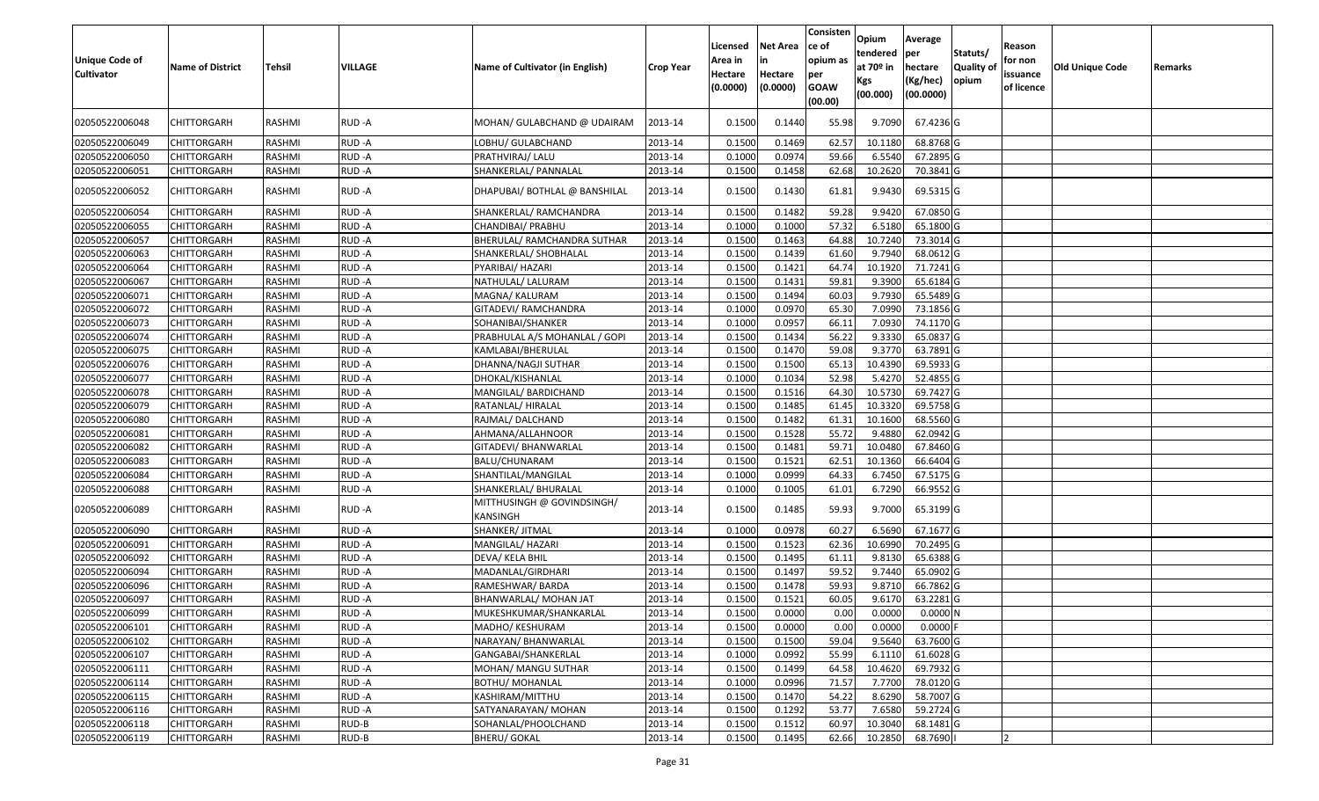| <b>Unique Code of</b><br><b>Cultivator</b> | <b>Name of District</b> | <b>Tehsil</b> | <b>VILLAGE</b> | Name of Cultivator (in English)        | <b>Crop Year</b> | Licensed<br>Area in<br>Hectare<br>(0.0000) | <b>Net Area</b><br>Hectare<br>(0.0000) | Consisten<br>ce of<br>opium as<br>per<br><b>GOAW</b><br>(00.00) | <b>Opium</b><br>tendered<br>at 70 <sup>o</sup> in<br>Kgs<br>(00.000) | Average<br>per<br>hectare<br>(Kg/hec)<br>(00.0000) | Statuts/<br>Quality of<br>opium | Reason<br>for non<br>issuance<br>of licence | Old Unique Code | Remarks |
|--------------------------------------------|-------------------------|---------------|----------------|----------------------------------------|------------------|--------------------------------------------|----------------------------------------|-----------------------------------------------------------------|----------------------------------------------------------------------|----------------------------------------------------|---------------------------------|---------------------------------------------|-----------------|---------|
| 02050522006048                             | CHITTORGARH             | RASHMI        | RUD-A          | MOHAN/ GULABCHAND @ UDAIRAM            | 2013-14          | 0.1500                                     | 0.1440                                 | 55.98                                                           | 9.7090                                                               | 67.4236 G                                          |                                 |                                             |                 |         |
| 02050522006049                             | <b>CHITTORGARH</b>      | RASHMI        | RUD-A          | LOBHU/ GULABCHAND                      | 2013-14          | 0.1500                                     | 0.1469                                 | 62.57                                                           | 10.1180                                                              | 68.8768 G                                          |                                 |                                             |                 |         |
| 02050522006050                             | <b>CHITTORGARH</b>      | RASHMI        | RUD-A          | PRATHVIRAJ/ LALU                       | 2013-14          | 0.1000                                     | 0.0974                                 | 59.66                                                           | 6.5540                                                               | 67.2895 G                                          |                                 |                                             |                 |         |
| 02050522006051                             | <b>CHITTORGARH</b>      | RASHMI        | RUD-A          | SHANKERLAL/ PANNALAL                   | 2013-14          | 0.1500                                     | 0.1458                                 | 62.68                                                           | 10.2620                                                              | 70.3841 G                                          |                                 |                                             |                 |         |
| 02050522006052                             | CHITTORGARH             | RASHMI        | RUD-A          | DHAPUBAI/ BOTHLAL @ BANSHILAL          | 2013-14          | 0.1500                                     | 0.1430                                 | 61.81                                                           | 9.9430                                                               | 69.5315 G                                          |                                 |                                             |                 |         |
| 02050522006054                             | <b>CHITTORGARH</b>      | <b>RASHMI</b> | RUD-A          | SHANKERLAL/ RAMCHANDRA                 | 2013-14          | 0.1500                                     | 0.1482                                 | 59.28                                                           | 9.9420                                                               | 67.0850 G                                          |                                 |                                             |                 |         |
| 02050522006055                             | <b>CHITTORGARH</b>      | RASHMI        | RUD-A          | CHANDIBAI/ PRABHU                      | 2013-14          | 0.1000                                     | 0.1000                                 | 57.32                                                           | 6.5180                                                               | 65.1800 G                                          |                                 |                                             |                 |         |
| 02050522006057                             | <b>CHITTORGARH</b>      | RASHMI        | RUD-A          | BHERULAL/ RAMCHANDRA SUTHAR            | 2013-14          | 0.1500                                     | 0.1463                                 | 64.88                                                           | 10.7240                                                              | 73.3014 G                                          |                                 |                                             |                 |         |
| 02050522006063                             | <b>CHITTORGARH</b>      | RASHMI        | RUD-A          | SHANKERLAL/ SHOBHALAL                  | 2013-14          | 0.1500                                     | 0.1439                                 | 61.60                                                           | 9.7940                                                               | 68.0612 G                                          |                                 |                                             |                 |         |
| 02050522006064                             | CHITTORGARH             | <b>RASHMI</b> | RUD-A          | PYARIBAI/ HAZARI                       | 2013-14          | 0.1500                                     | 0.1421                                 | 64.74                                                           | 10.1920                                                              | 71.7241 G                                          |                                 |                                             |                 |         |
| 02050522006067                             | <b>CHITTORGARH</b>      | RASHMI        | RUD-A          | NATHULAL/ LALURAM                      | 2013-14          | 0.1500                                     | 0.1431                                 | 59.81                                                           | 9.3900                                                               | 65.6184 G                                          |                                 |                                             |                 |         |
| 02050522006071                             | CHITTORGARH             | RASHMI        | RUD-A          | MAGNA/ KALURAM                         | 2013-14          | 0.1500                                     | 0.1494                                 | 60.03                                                           | 9.7930                                                               | 65.5489 G                                          |                                 |                                             |                 |         |
| 02050522006072                             | <b>CHITTORGARH</b>      | RASHMI        | RUD-A          | GITADEVI/ RAMCHANDRA                   | 2013-14          | 0.1000                                     | 0.0970                                 | 65.30                                                           | 7.0990                                                               | 73.1856 G                                          |                                 |                                             |                 |         |
| 02050522006073                             | <b>CHITTORGARH</b>      | <b>RASHMI</b> | RUD-A          | SOHANIBAI/SHANKER                      | 2013-14          | 0.1000                                     | 0.0957                                 | 66.11                                                           | 7.0930                                                               | 74.1170 G                                          |                                 |                                             |                 |         |
| 02050522006074                             | <b>CHITTORGARH</b>      | RASHMI        | RUD-A          | PRABHULAL A/S MOHANLAL / GOPI          | 2013-14          | 0.1500                                     | 0.1434                                 | 56.22                                                           | 9.3330                                                               | 65.0837 G                                          |                                 |                                             |                 |         |
| 02050522006075                             | <b>CHITTORGARH</b>      | RASHMI        | RUD-A          | KAMLABAI/BHERULAL                      | 2013-14          | 0.1500                                     | 0.1470                                 | 59.08                                                           | 9.3770                                                               | 63.7891 G                                          |                                 |                                             |                 |         |
| 02050522006076                             | <b>CHITTORGARH</b>      | RASHMI        | RUD-A          | DHANNA/NAGJI SUTHAR                    | 2013-14          | 0.1500                                     | 0.1500                                 | 65.13                                                           | 10.4390                                                              | 69.5933 G                                          |                                 |                                             |                 |         |
| 02050522006077                             | <b>CHITTORGARH</b>      | RASHMI        | RUD-A          | DHOKAL/KISHANLAL                       | 2013-14          | 0.1000                                     | 0.1034                                 | 52.98                                                           | 5.4270                                                               | 52.4855 G                                          |                                 |                                             |                 |         |
| 02050522006078                             | <b>CHITTORGARH</b>      | <b>RASHMI</b> | RUD-A          | MANGILAL/ BARDICHAND                   | 2013-14          | 0.1500                                     | 0.1516                                 | 64.30                                                           | 10.5730                                                              | 69.7427 G                                          |                                 |                                             |                 |         |
| 02050522006079                             | <b>CHITTORGARH</b>      | RASHMI        | RUD-A          | RATANLAL/ HIRALAL                      | 2013-14          | 0.1500                                     | 0.1485                                 | 61.45                                                           | 10.3320                                                              | 69.5758 G                                          |                                 |                                             |                 |         |
| 02050522006080                             | <b>CHITTORGARH</b>      | RASHMI        | RUD-A          | RAJMAL/ DALCHAND                       | 2013-14          | 0.1500                                     | 0.1482                                 | 61.31                                                           | 10.1600                                                              | 68.5560 G                                          |                                 |                                             |                 |         |
| 02050522006081                             | <b>CHITTORGARH</b>      | RASHMI        | RUD-A          | AHMANA/ALLAHNOOR                       | 2013-14          | 0.1500                                     | 0.1528                                 | 55.72                                                           | 9.4880                                                               | 62.0942 G                                          |                                 |                                             |                 |         |
| 02050522006082                             | <b>CHITTORGARH</b>      | <b>RASHMI</b> | RUD-A          | GITADEVI/ BHANWARLAL                   | 2013-14          | 0.1500                                     | 0.1481                                 | 59.71                                                           | 10.0480                                                              | 67.8460 G                                          |                                 |                                             |                 |         |
| 02050522006083                             | <b>CHITTORGARH</b>      | <b>RASHMI</b> | RUD-A          | BALU/CHUNARAM                          | 2013-14          | 0.1500                                     | 0.1521                                 | 62.51                                                           | 10.1360                                                              | 66.6404 G                                          |                                 |                                             |                 |         |
| 02050522006084                             | <b>CHITTORGARH</b>      | RASHMI        | RUD-A          | SHANTILAL/MANGILAL                     | 2013-14          | 0.1000                                     | 0.0999                                 | 64.33                                                           | 6.7450                                                               | 67.5175 G                                          |                                 |                                             |                 |         |
| 02050522006088                             | <b>CHITTORGARH</b>      | RASHMI        | RUD-A          | SHANKERLAL/ BHURALAL                   | 2013-14          | 0.1000                                     | 0.1005                                 | 61.01                                                           | 6.7290                                                               | 66.9552 G                                          |                                 |                                             |                 |         |
| 02050522006089                             | <b>CHITTORGARH</b>      | RASHMI        | RUD-A          | MITTHUSINGH @ GOVINDSINGH/<br>KANSINGH | 2013-14          | 0.1500                                     | 0.1485                                 | 59.93                                                           | 9.7000                                                               | 65.3199 G                                          |                                 |                                             |                 |         |
| 02050522006090                             | <b>CHITTORGARH</b>      | RASHMI        | RUD-A          | SHANKER/ JITMAL                        | 2013-14          | 0.1000                                     | 0.0978                                 | 60.27                                                           | 6.5690                                                               | 67.1677 G                                          |                                 |                                             |                 |         |
| 02050522006091                             | <b>CHITTORGARH</b>      | RASHMI        | RUD-A          | MANGILAL/ HAZARI                       | 2013-14          | 0.1500                                     | 0.1523                                 | 62.36                                                           | 10.6990                                                              | 70.2495 G                                          |                                 |                                             |                 |         |
| 02050522006092                             | CHITTORGARH             | <b>RASHMI</b> | RUD-A          | DEVA/ KELA BHIL                        | 2013-14          | 0.1500                                     | 0.1495                                 | 61.11                                                           | 9.8130                                                               | 65.6388 G                                          |                                 |                                             |                 |         |
| 02050522006094                             | CHITTORGARH             | RASHMI        | RUD-A          | MADANLAL/GIRDHARI                      | 2013-14          | 0.1500                                     | 0.1497                                 | 59.52                                                           | 9.7440                                                               | 65.0902 G                                          |                                 |                                             |                 |         |
| 02050522006096                             | <b>CHITTORGARH</b>      | RASHMI        | RUD-A          | RAMESHWAR/ BARDA                       | 2013-14          | 0.1500                                     | 0.1478                                 | 59.93                                                           | 9.8710                                                               | 66.7862 G                                          |                                 |                                             |                 |         |
| 02050522006097                             | <b>CHITTORGARH</b>      | RASHMI        | RUD-A          | BHANWARLAL/ MOHAN JAT                  | 2013-14          | 0.1500                                     | 0.1521                                 | 60.05                                                           | 9.6170                                                               | 63.2281 G                                          |                                 |                                             |                 |         |
| 02050522006099                             | <b>CHITTORGARH</b>      | RASHMI        | RUD-A          | MUKESHKUMAR/SHANKARLAL                 | 2013-14          | 0.1500                                     | 0.0000                                 | 0.00                                                            | 0.0000                                                               | 0.0000N                                            |                                 |                                             |                 |         |
| 02050522006101                             | <b>CHITTORGARH</b>      | RASHMI        | RUD-A          | MADHO/ KESHURAM                        | 2013-14          | 0.1500                                     | 0.0000                                 | 0.00                                                            | 0.0000                                                               | $0.0000$ F                                         |                                 |                                             |                 |         |
| 02050522006102                             | <b>CHITTORGARH</b>      | RASHMI        | RUD-A          | NARAYAN/ BHANWARLAL                    | 2013-14          | 0.1500                                     | 0.1500                                 | 59.04                                                           | 9.5640                                                               | 63.7600 G                                          |                                 |                                             |                 |         |
| 02050522006107                             | <b>CHITTORGARH</b>      | RASHMI        | RUD-A          | GANGABAI/SHANKERLAL                    | 2013-14          | 0.1000                                     | 0.0992                                 | 55.99                                                           | 6.1110                                                               | 61.6028 G                                          |                                 |                                             |                 |         |
| 02050522006111                             | <b>CHITTORGARH</b>      | RASHMI        | RUD-A          | MOHAN/ MANGU SUTHAR                    | 2013-14          | 0.1500                                     | 0.1499                                 | 64.58                                                           | 10.4620                                                              | 69.7932 G                                          |                                 |                                             |                 |         |
| 02050522006114                             | <b>CHITTORGARH</b>      | RASHMI        | RUD-A          | <b>BOTHU/ MOHANLAL</b>                 | 2013-14          | 0.1000                                     | 0.0996                                 | 71.57                                                           | 7.7700                                                               | 78.0120 G                                          |                                 |                                             |                 |         |
| 02050522006115                             | <b>CHITTORGARH</b>      | RASHMI        | RUD-A          | KASHIRAM/MITTHU                        | 2013-14          | 0.1500                                     | 0.1470                                 | 54.22                                                           | 8.6290                                                               | 58.7007 G                                          |                                 |                                             |                 |         |
| 02050522006116                             | <b>CHITTORGARH</b>      | RASHMI        | RUD-A          | SATYANARAYAN/ MOHAN                    | 2013-14          | 0.1500                                     | 0.1292                                 | 53.77                                                           | 7.6580                                                               | 59.2724 G                                          |                                 |                                             |                 |         |
| 02050522006118                             | <b>CHITTORGARH</b>      | RASHMI        | RUD-B          | SOHANLAL/PHOOLCHAND                    | 2013-14          | 0.1500                                     | 0.1512                                 | 60.97                                                           | 10.3040                                                              | 68.1481 G                                          |                                 |                                             |                 |         |
| 02050522006119                             | <b>CHITTORGARH</b>      | RASHMI        | RUD-B          | <b>BHERU/ GOKAL</b>                    | 2013-14          | 0.1500                                     | 0.1495                                 | 62.66                                                           | 10.2850                                                              | 68.7690                                            |                                 |                                             |                 |         |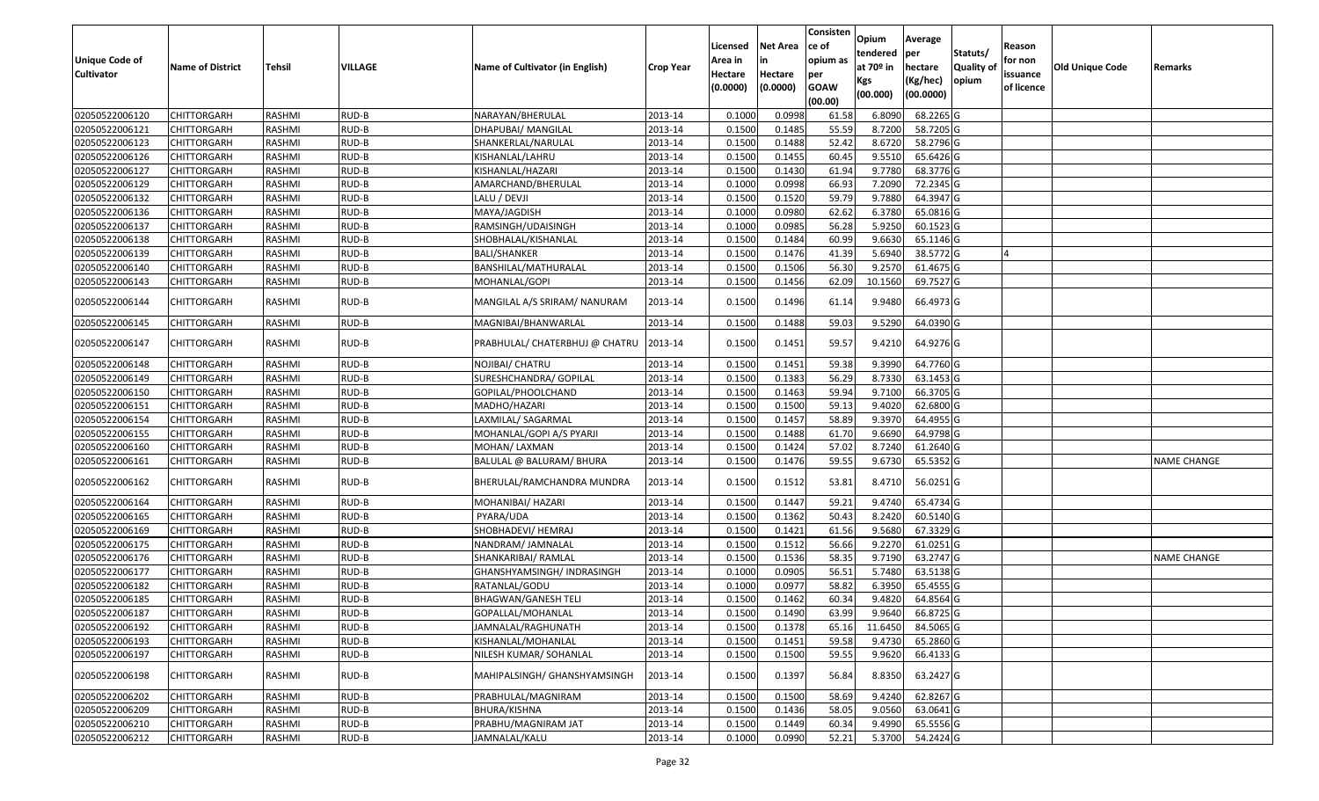|                       |                         |               |         |                                 |                  |          |                 | Consisten        | Opium       | Average   |           |            |                 |                    |
|-----------------------|-------------------------|---------------|---------|---------------------------------|------------------|----------|-----------------|------------------|-------------|-----------|-----------|------------|-----------------|--------------------|
|                       |                         |               |         |                                 |                  | Licensed | <b>Net Area</b> | ce of            | tendered    | per       | Statuts/  | Reason     |                 |                    |
| <b>Unique Code of</b> | <b>Name of District</b> | Tehsil        | VILLAGE | Name of Cultivator (in English) | <b>Crop Year</b> | Area in  |                 | opium as         | at $70°$ in | hectare   | Quality o | for non    | Old Unique Code | Remarks            |
| <b>Cultivator</b>     |                         |               |         |                                 |                  | Hectare  | Hectare         | per              | Kgs         | (Kg/hec)  | opium     | issuance   |                 |                    |
|                       |                         |               |         |                                 |                  | (0.0000) | (0.0000)        | <b>GOAW</b>      | (00.000)    | (00.0000) |           | of licence |                 |                    |
| 02050522006120        | CHITTORGARH             | RASHMI        | RUD-B   | NARAYAN/BHERULAL                | 2013-14          | 0.1000   | 0.0998          | (00.00)<br>61.58 | 6.8090      | 68.2265 G |           |            |                 |                    |
| 02050522006121        | CHITTORGARH             | RASHMI        | RUD-B   | DHAPUBAI/ MANGILAL              | 2013-14          | 0.1500   | 0.1485          | 55.59            | 8.7200      | 58.7205 G |           |            |                 |                    |
| 02050522006123        | CHITTORGARH             | RASHMI        | RUD-B   | SHANKERLAL/NARULAL              | 2013-14          | 0.1500   | 0.1488          | 52.42            | 8.6720      | 58.2796 G |           |            |                 |                    |
| 02050522006126        | CHITTORGARH             | RASHMI        | RUD-B   | KISHANLAL/LAHRU                 | 2013-14          | 0.1500   | 0.1455          | 60.45            | 9.5510      | 65.6426 G |           |            |                 |                    |
| 02050522006127        | CHITTORGARH             | RASHMI        | RUD-B   | KISHANLAL/HAZARI                | 2013-14          | 0.1500   | 0.1430          | 61.94            | 9.778       | 68.3776 G |           |            |                 |                    |
| 02050522006129        | <b>CHITTORGARH</b>      | RASHMI        | RUD-B   | AMARCHAND/BHERULAL              | 2013-14          | 0.1000   | 0.0998          | 66.93            | 7.2090      | 72.2345 G |           |            |                 |                    |
| 02050522006132        | CHITTORGARH             | RASHMI        | RUD-B   | LALU / DEVJI                    | 2013-14          | 0.1500   | 0.1520          | 59.79            | 9.7880      | 64.3947 G |           |            |                 |                    |
| 02050522006136        | CHITTORGARH             | <b>RASHMI</b> | RUD-B   | MAYA/JAGDISH                    | 2013-14          | 0.1000   | 0.0980          | 62.62            | 6.3780      | 65.0816 G |           |            |                 |                    |
| 02050522006137        | CHITTORGARH             | RASHMI        | RUD-B   | RAMSINGH/UDAISINGH              | 2013-14          | 0.1000   | 0.0985          | 56.28            | 5.9250      | 60.1523 G |           |            |                 |                    |
| 02050522006138        | CHITTORGARH             | RASHMI        | RUD-B   | SHOBHALAL/KISHANLAL             | 2013-14          | 0.1500   | 0.1484          | 60.99            | 9.6630      | 65.1146 G |           |            |                 |                    |
| 02050522006139        | CHITTORGARH             | RASHMI        | RUD-B   | <b>BALI/SHANKER</b>             | 2013-14          | 0.1500   | 0.1476          | 41.39            | 5.6940      | 38.5772 G |           |            |                 |                    |
| 02050522006140        | <b>CHITTORGARH</b>      | RASHMI        | RUD-B   | BANSHILAL/MATHURALAL            | 2013-14          | 0.1500   | 0.1506          | 56.30            | 9.2570      | 61.4675 G |           |            |                 |                    |
| 02050522006143        | <b>CHITTORGARH</b>      | RASHMI        | RUD-B   | MOHANLAL/GOPI                   | 2013-14          | 0.1500   | 0.1456          | 62.09            | 10.1560     | 69.7527 G |           |            |                 |                    |
|                       |                         |               |         |                                 |                  |          |                 |                  |             |           |           |            |                 |                    |
| 02050522006144        | CHITTORGARH             | RASHMI        | RUD-B   | MANGILAL A/S SRIRAM/ NANURAM    | 2013-14          | 0.1500   | 0.1496          | 61.14            | 9.9480      | 66.4973 G |           |            |                 |                    |
| 02050522006145        | CHITTORGARH             | RASHMI        | RUD-B   | MAGNIBAI/BHANWARLAL             | 2013-14          | 0.150    | 0.1488          | 59.03            | 9.5290      | 64.0390 G |           |            |                 |                    |
| 02050522006147        | CHITTORGARH             | RASHMI        | RUD-B   | PRABHULAL/ CHATERBHUJ @ CHATRU  | 2013-14          | 0.1500   | 0.1451          | 59.57            | 9.4210      | 64.9276 G |           |            |                 |                    |
| 02050522006148        | CHITTORGARH             | RASHMI        | RUD-B   | NOJIBAI/ CHATRU                 | 2013-14          | 0.1500   | 0.1451          | 59.38            | 9.3990      | 64.7760 G |           |            |                 |                    |
| 02050522006149        | CHITTORGARH             | RASHMI        | RUD-B   | SURESHCHANDRA/ GOPILAL          | 2013-14          | 0.1500   | 0.1383          | 56.29            | 8.7330      | 63.1453 G |           |            |                 |                    |
| 02050522006150        | CHITTORGARH             | RASHMI        | RUD-B   | GOPILAL/PHOOLCHAND              | 2013-14          | 0.1500   | 0.1463          | 59.94            | 9.7100      | 66.3705 G |           |            |                 |                    |
| 02050522006151        | CHITTORGARH             | RASHMI        | RUD-B   | MADHO/HAZARI                    | 2013-14          | 0.1500   | 0.1500          | 59.13            | 9.4020      | 62.6800 G |           |            |                 |                    |
| 02050522006154        | CHITTORGARH             | RASHMI        | RUD-B   | LAXMILAL/ SAGARMAL              | 2013-14          | 0.1500   | 0.1457          | 58.89            | 9.3970      | 64.4955 G |           |            |                 |                    |
| 02050522006155        | CHITTORGARH             | RASHMI        | RUD-B   | MOHANLAL/GOPI A/S PYARJI        | 2013-14          | 0.1500   | 0.1488          | 61.70            | 9.6690      | 64.9798 G |           |            |                 |                    |
| 02050522006160        | CHITTORGARH             | RASHMI        | RUD-B   | MOHAN/ LAXMAN                   | 2013-14          | 0.1500   | 0.1424          | 57.02            | 8.7240      | 61.2640 G |           |            |                 |                    |
| 02050522006161        | CHITTORGARH             | RASHMI        | RUD-B   | BALULAL @ BALURAM/ BHURA        | 2013-14          | 0.1500   | 0.1476          | 59.55            | 9.6730      | 65.5352 G |           |            |                 | <b>NAME CHANGE</b> |
| 02050522006162        | CHITTORGARH             | RASHMI        | RUD-B   | BHERULAL/RAMCHANDRA MUNDRA      | 2013-14          | 0.1500   | 0.1512          | 53.81            | 8.4710      | 56.0251 G |           |            |                 |                    |
| 02050522006164        | <b>CHITTORGARH</b>      | RASHMI        | RUD-B   | MOHANIBAI/ HAZARI               | 2013-14          | 0.1500   | 0.1447          | 59.21            | 9.4740      | 65.4734 G |           |            |                 |                    |
| 02050522006165        | <b>CHITTORGARH</b>      | RASHMI        | RUD-B   | PYARA/UDA                       | 2013-14          | 0.1500   | 0.1362          | 50.43            | 8.2420      | 60.5140 G |           |            |                 |                    |
| 02050522006169        | CHITTORGARH             | RASHMI        | RUD-B   | SHOBHADEVI/ HEMRAJ              | 2013-14          | 0.1500   | 0.1421          | 61.56            | 9.5680      | 67.3329 G |           |            |                 |                    |
| 02050522006175        | CHITTORGARH             | RASHMI        | RUD-B   | NANDRAM/ JAMNALAL               | 2013-14          | 0.1500   | 0.1512          | 56.66            | 9.2270      | 61.0251 G |           |            |                 |                    |
| 02050522006176        | CHITTORGARH             | RASHMI        | RUD-B   | SHANKARIBAI/ RAMLAL             | 2013-14          | 0.1500   | 0.1536          | 58.35            | 9.7190      | 63.2747 G |           |            |                 | <b>NAME CHANGE</b> |
| 02050522006177        | <b>CHITTORGARH</b>      | RASHMI        | RUD-B   | GHANSHYAMSINGH/ INDRASINGH      | 2013-14          | 0.1000   | 0.0905          | 56.51            | 5.7480      | 63.5138 G |           |            |                 |                    |
| 02050522006182        | CHITTORGARH             | RASHMI        | RUD-B   | RATANLAL/GODU                   | 2013-14          | 0.1000   | 0.0977          | 58.82            | 6.3950      | 65.4555 G |           |            |                 |                    |
| 02050522006185        | CHITTORGARH             | RASHMI        | RUD-B   | BHAGWAN/GANESH TELI             | 2013-14          | 0.1500   | 0.1462          | 60.34            | 9.4820      | 64.8564 G |           |            |                 |                    |
| 02050522006187        | <b>CHITTORGARH</b>      | RASHMI        | $RUD-B$ | GOPALLAL/MOHANLAL               | 2013-14          | 0.1500   | 0.1490          | 63.99            | 9.9640      | 66.8725 G |           |            |                 |                    |
| 02050522006192        | <b>CHITTORGARH</b>      | RASHMI        | RUD-B   | JAMNALAL/RAGHUNATH              | 2013-14          | 0.1500   | 0.1378          | 65.16            | 11.6450     | 84.5065 G |           |            |                 |                    |
| 02050522006193        | <b>CHITTORGARH</b>      | RASHMI        | RUD-B   | KISHANLAL/MOHANLAL              | 2013-14          | 0.1500   | 0.1451          | 59.58            | 9.4730      | 65.2860 G |           |            |                 |                    |
| 02050522006197        | <b>CHITTORGARH</b>      | RASHMI        | RUD-B   | NILESH KUMAR/ SOHANLAL          | 2013-14          | 0.1500   | 0.1500          | 59.55            | 9.9620      | 66.4133 G |           |            |                 |                    |
| 02050522006198        | <b>CHITTORGARH</b>      | RASHMI        | RUD-B   | MAHIPALSINGH/ GHANSHYAMSINGH    | 2013-14          | 0.1500   | 0.1397          | 56.84            | 8.8350      | 63.2427 G |           |            |                 |                    |
| 02050522006202        | <b>CHITTORGARH</b>      | RASHMI        | RUD-B   | PRABHULAL/MAGNIRAM              | 2013-14          | 0.1500   | 0.1500          | 58.69            | 9.4240      | 62.8267 G |           |            |                 |                    |
| 02050522006209        | <b>CHITTORGARH</b>      | RASHMI        | RUD-B   | BHURA/KISHNA                    | 2013-14          | 0.1500   | 0.1436          | 58.05            | 9.0560      | 63.0641 G |           |            |                 |                    |
| 02050522006210        | CHITTORGARH             | RASHMI        | RUD-B   | PRABHU/MAGNIRAM JAT             | 2013-14          | 0.1500   | 0.1449          | 60.34            | 9.4990      | 65.5556 G |           |            |                 |                    |
| 02050522006212        | CHITTORGARH             | RASHMI        | RUD-B   | JAMNALAL/KALU                   | 2013-14          | 0.1000   | 0.0990          | 52.21            | 5.3700      | 54.2424 G |           |            |                 |                    |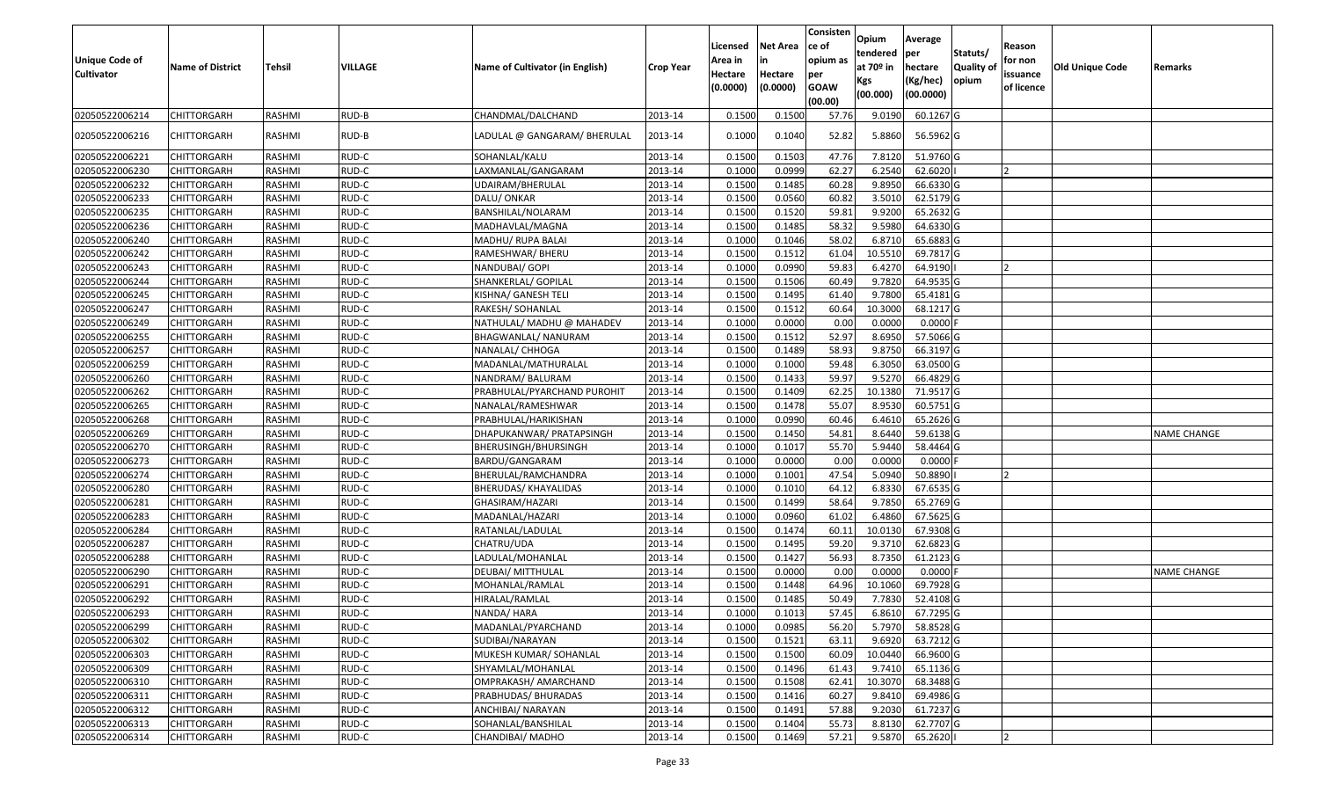| Unique Code of<br><b>Cultivator</b> | <b>Name of District</b> | <b>Tehsil</b> | VILLAGE | Name of Cultivator (in English) | <b>Crop Year</b> | Licensed<br>Area in<br>Hectare<br>(0.0000) | <b>Net Area</b><br>in<br>Hectare<br>(0.0000) | Consisten<br>ce of<br>opium as<br>per<br><b>GOAW</b><br>(00.00) | Opium<br>tendered<br>at 70º in<br>Kgs<br>(00.000) | Average<br>per<br>hectare<br>(Kg/hec)<br>(00.0000) | Statuts/<br>Quality of<br>opium | Reason<br>for non<br>issuance<br>of licence | <b>Old Unique Code</b> | Remarks            |
|-------------------------------------|-------------------------|---------------|---------|---------------------------------|------------------|--------------------------------------------|----------------------------------------------|-----------------------------------------------------------------|---------------------------------------------------|----------------------------------------------------|---------------------------------|---------------------------------------------|------------------------|--------------------|
| 02050522006214                      | CHITTORGARH             | RASHMI        | RUD-B   | CHANDMAL/DALCHAND               | 2013-14          | 0.1500                                     | 0.150                                        | 57.76                                                           | 9.0190                                            | 60.1267 G                                          |                                 |                                             |                        |                    |
| 02050522006216                      | CHITTORGARH             | RASHMI        | RUD-B   | LADULAL @ GANGARAM/ BHERULAL    | 2013-14          | 0.1000                                     | 0.1040                                       | 52.82                                                           | 5.8860                                            | 56.5962 G                                          |                                 |                                             |                        |                    |
| 02050522006221                      | <b>CHITTORGARH</b>      | RASHMI        | RUD-C   | SOHANLAL/KALU                   | 2013-14          | 0.1500                                     | 0.1503                                       | 47.76                                                           | 7.8120                                            | 51.9760 G                                          |                                 |                                             |                        |                    |
| 02050522006230                      | CHITTORGARH             | <b>RASHMI</b> | RUD-C   | LAXMANLAL/GANGARAM              | 2013-14          | 0.1000                                     | 0.0999                                       | 62.27                                                           | 6.2540                                            | 62.6020                                            |                                 |                                             |                        |                    |
| 02050522006232                      | <b>CHITTORGARH</b>      | RASHMI        | RUD-C   | JDAIRAM/BHERULAL                | 2013-14          | 0.1500                                     | 0.1485                                       | 60.28                                                           | 9.8950                                            | 66.6330 G                                          |                                 |                                             |                        |                    |
| 02050522006233                      | CHITTORGARH             | RASHMI        | RUD-C   | DALU/ ONKAR                     | 2013-14          | 0.1500                                     | 0.0560                                       | 60.82                                                           | 3.5010                                            | 62.5179 G                                          |                                 |                                             |                        |                    |
| 02050522006235                      | CHITTORGARH             | RASHMI        | RUD-C   | BANSHILAL/NOLARAM               | 2013-14          | 0.1500                                     | 0.1520                                       | 59.81                                                           | 9.9200                                            | 65.2632 G                                          |                                 |                                             |                        |                    |
| 02050522006236                      | CHITTORGARH             | RASHMI        | RUD-C   | MADHAVLAL/MAGNA                 | 2013-14          | 0.1500                                     | 0.1485                                       | 58.32                                                           | 9.5980                                            | 64.6330 G                                          |                                 |                                             |                        |                    |
| 02050522006240                      | CHITTORGARH             | RASHMI        | RUD-C   | MADHU/ RUPA BALAI               | 2013-14          | 0.1000                                     | 0.1046                                       | 58.02                                                           | 6.8710                                            | 65.6883 G                                          |                                 |                                             |                        |                    |
| 02050522006242                      | CHITTORGARH             | RASHMI        | RUD-C   | RAMESHWAR/ BHERU                | 2013-14          | 0.1500                                     | 0.1512                                       | 61.04                                                           | 10.5510                                           | 69.7817 G                                          |                                 |                                             |                        |                    |
| 02050522006243                      | CHITTORGARH             | RASHMI        | RUD-C   | NANDUBAI/ GOPI                  | 2013-14          | 0.1000                                     | 0.0990                                       | 59.83                                                           | 6.4270                                            | 64.9190                                            |                                 |                                             |                        |                    |
| 02050522006244                      | CHITTORGARH             | RASHMI        | RUD-C   | SHANKERLAL/ GOPILAL             | 2013-14          | 0.1500                                     | 0.1506                                       | 60.49                                                           | 9.7820                                            | 64.9535 G                                          |                                 |                                             |                        |                    |
| 02050522006245                      | <b>CHITTORGARH</b>      | RASHMI        | RUD-C   | KISHNA/ GANESH TELI             | 2013-14          | 0.1500                                     | 0.1495                                       | 61.40                                                           | 9.7800                                            | 65.4181 G                                          |                                 |                                             |                        |                    |
| 02050522006247                      | CHITTORGARH             | RASHMI        | RUD-C   | RAKESH/ SOHANLAL                | 2013-14          | 0.1500                                     | 0.1512                                       | 60.64                                                           | 10.3000                                           | 68.1217 G                                          |                                 |                                             |                        |                    |
| 02050522006249                      | <b>CHITTORGARH</b>      | RASHMI        | RUD-C   | NATHULAL/ MADHU @ MAHADEV       | 2013-14          | 0.1000                                     | 0.0000                                       | 0.00                                                            | 0.0000                                            | $0.0000$ F                                         |                                 |                                             |                        |                    |
| 02050522006255                      | <b>CHITTORGARH</b>      | RASHMI        | RUD-C   | BHAGWANLAL/ NANURAM             | 2013-14          | 0.1500                                     | 0.1512                                       | 52.97                                                           | 8.6950                                            | 57.5066 G                                          |                                 |                                             |                        |                    |
| 02050522006257                      | CHITTORGARH             | RASHMI        | RUD-C   | NANALAL/ CHHOGA                 | 2013-14          | 0.1500                                     | 0.1489                                       | 58.93                                                           | 9.8750                                            | 66.3197 G                                          |                                 |                                             |                        |                    |
| 02050522006259                      | CHITTORGARH             | RASHMI        | RUD-C   | MADANLAL/MATHURALAL             | 2013-14          | 0.1000                                     | 0.1000                                       | 59.48                                                           | 6.3050                                            | 63.0500G                                           |                                 |                                             |                        |                    |
| 02050522006260                      | <b>CHITTORGARH</b>      | RASHMI        | RUD-C   | NANDRAM/BALURAM                 | 2013-14          | 0.1500                                     | 0.1433                                       | 59.97                                                           | 9.5270                                            | 66.4829 G                                          |                                 |                                             |                        |                    |
| 02050522006262                      | <b>CHITTORGARH</b>      | RASHMI        | RUD-C   | PRABHULAL/PYARCHAND PUROHIT     | 2013-14          | 0.1500                                     | 0.1409                                       | 62.25                                                           | 10.1380                                           | 71.9517 G                                          |                                 |                                             |                        |                    |
| 02050522006265                      | CHITTORGARH             | RASHMI        | RUD-C   | NANALAL/RAMESHWAR               | 2013-14          | 0.1500                                     | 0.1478                                       | 55.07                                                           | 8.9530                                            | 60.5751 G                                          |                                 |                                             |                        |                    |
| 02050522006268                      | CHITTORGARH             | RASHMI        | RUD-C   | PRABHULAL/HARIKISHAN            | 2013-14          | 0.1000                                     | 0.0990                                       | 60.46                                                           | 6.4610                                            | 65.2626 G                                          |                                 |                                             |                        |                    |
| 02050522006269                      | CHITTORGARH             | RASHMI        | RUD-C   | DHAPUKANWAR/ PRATAPSINGH        | 2013-14          | 0.1500                                     | 0.1450                                       | 54.81                                                           | 8.6440                                            | 59.6138 G                                          |                                 |                                             |                        | <b>NAME CHANGE</b> |
| 02050522006270                      | CHITTORGARH             | RASHMI        | RUD-C   | BHERUSINGH/BHURSINGH            | 2013-14          | 0.1000                                     | 0.1017                                       | 55.70                                                           | 5.9440                                            | 58.4464 G                                          |                                 |                                             |                        |                    |
| 02050522006273                      | CHITTORGARH             | RASHMI        | RUD-C   | BARDU/GANGARAM                  | 2013-14          | 0.1000                                     | 0.0000                                       | 0.00                                                            | 0.0000                                            | 0.0000                                             |                                 |                                             |                        |                    |
| 02050522006274                      | CHITTORGARH             | RASHMI        | RUD-C   | BHERULAL/RAMCHANDRA             | 2013-14          | 0.1000                                     | 0.1001                                       | 47.54                                                           | 5.0940                                            | 50.8890                                            |                                 |                                             |                        |                    |
| 02050522006280                      | CHITTORGARH             | RASHMI        | RUD-C   | BHERUDAS/ KHAYALIDAS            | 2013-14          | 0.1000                                     | 0.1010                                       | 64.12                                                           | 6.8330                                            | 67.6535 G                                          |                                 |                                             |                        |                    |
| 02050522006281                      | CHITTORGARH             | RASHMI        | RUD-C   | GHASIRAM/HAZARI                 | 2013-14          | 0.1500                                     | 0.1499                                       | 58.64                                                           | 9.7850                                            | 65.2769 G                                          |                                 |                                             |                        |                    |
| 02050522006283                      | CHITTORGARH             | RASHMI        | RUD-C   | MADANLAL/HAZARI                 | 2013-14          | 0.1000                                     | 0.0960                                       | 61.02                                                           | 6.4860                                            | 67.5625 G                                          |                                 |                                             |                        |                    |
| 02050522006284                      | <b>CHITTORGARH</b>      | RASHMI        | RUD-C   | RATANLAL/LADULAL                | 2013-14          | 0.1500                                     | 0.1474                                       | 60.1                                                            | 10.0130                                           | 67.9308 G                                          |                                 |                                             |                        |                    |
| 02050522006287                      | CHITTORGARH             | RASHMI        | RUD-C   | CHATRU/UDA                      | 2013-14          | 0.1500                                     | 0.1495                                       | 59.20                                                           | 9.3710                                            | 62.6823 G                                          |                                 |                                             |                        |                    |
| 02050522006288                      | CHITTORGARH             | RASHMI        | RUD-C   | LADULAL/MOHANLAL                | 2013-14          | 0.1500                                     | 0.1427                                       | 56.93                                                           | 8.7350                                            | $61.2123$ G                                        |                                 |                                             |                        |                    |
| 02050522006290                      | CHITTORGARH             | RASHMI        | RUD-C   | DEUBAI/ MITTHULAL               | 2013-14          | 0.1500                                     | 0.0000                                       | 0.00                                                            | 0.0000                                            | 0.0000                                             |                                 |                                             |                        | <b>NAME CHANGE</b> |
| 02050522006291                      | CHITTORGARH             | RASHMI        | RUD-C   | MOHANLAL/RAMLAL                 | 2013-14          | 0.1500                                     | 0.1448                                       | 64.96                                                           | 10.1060                                           | 69.7928 G                                          |                                 |                                             |                        |                    |
| 02050522006292                      | CHITTORGARH             | RASHMI        | RUD-C   | HIRALAL/RAMLAL                  | 2013-14          | 0.1500                                     | 0.1485                                       | 50.49                                                           | 7.7830                                            | 52.4108 G                                          |                                 |                                             |                        |                    |
| 02050522006293                      | <b>CHITTORGARH</b>      | RASHMI        | RUD-C   | NANDA/ HARA                     | 2013-14          | 0.1000                                     | 0.1013                                       | 57.45                                                           | 6.8610                                            | 67.7295 G                                          |                                 |                                             |                        |                    |
| 02050522006299                      | <b>CHITTORGARH</b>      | RASHMI        | RUD-C   | MADANLAL/PYARCHAND              | 2013-14          | 0.1000                                     | 0.0985                                       | 56.20                                                           | 5.7970                                            | 58.8528 G                                          |                                 |                                             |                        |                    |
| 02050522006302                      | <b>CHITTORGARH</b>      | RASHMI        | RUD-C   | SUDIBAI/NARAYAN                 | 2013-14          | 0.1500                                     | 0.1521                                       | 63.11                                                           | 9.6920                                            | 63.7212 G                                          |                                 |                                             |                        |                    |
| 02050522006303                      | <b>CHITTORGARH</b>      | RASHMI        | RUD-C   | MUKESH KUMAR/ SOHANLAL          | 2013-14          | 0.1500                                     | 0.1500                                       | 60.09                                                           | 10.0440                                           | 66.9600 G                                          |                                 |                                             |                        |                    |
| 02050522006309                      | CHITTORGARH             | RASHMI        | RUD-C   | SHYAMLAL/MOHANLAL               | 2013-14          | 0.1500                                     | 0.1496                                       | 61.43                                                           | 9.7410                                            | 65.1136 G                                          |                                 |                                             |                        |                    |
| 02050522006310                      | <b>CHITTORGARH</b>      | RASHMI        | RUD-C   | OMPRAKASH/ AMARCHAND            | 2013-14          | 0.1500                                     | 0.1508                                       | 62.41                                                           | 10.3070                                           | 68.3488 G                                          |                                 |                                             |                        |                    |
| 02050522006311                      | <b>CHITTORGARH</b>      | RASHMI        | RUD-C   | PRABHUDAS/ BHURADAS             | 2013-14          | 0.1500                                     | 0.1416                                       | 60.27                                                           | 9.8410                                            | 69.4986 G                                          |                                 |                                             |                        |                    |
| 02050522006312                      | <b>CHITTORGARH</b>      | RASHMI        | RUD-C   | ANCHIBAI/ NARAYAN               | 2013-14          | 0.1500                                     | 0.1491                                       | 57.88                                                           | 9.2030                                            | 61.7237 G                                          |                                 |                                             |                        |                    |
| 02050522006313                      | <b>CHITTORGARH</b>      | RASHMI        | RUD-C   | SOHANLAL/BANSHILAL              | 2013-14          | 0.1500                                     | 0.1404                                       | 55.73                                                           | 8.8130                                            | 62.7707 G                                          |                                 |                                             |                        |                    |
| 02050522006314                      | <b>CHITTORGARH</b>      | RASHMI        | RUD-C   | CHANDIBAI/ MADHO                | 2013-14          | 0.1500                                     | 0.1469                                       | 57.21                                                           | 9.5870                                            | 65.2620                                            |                                 | 12                                          |                        |                    |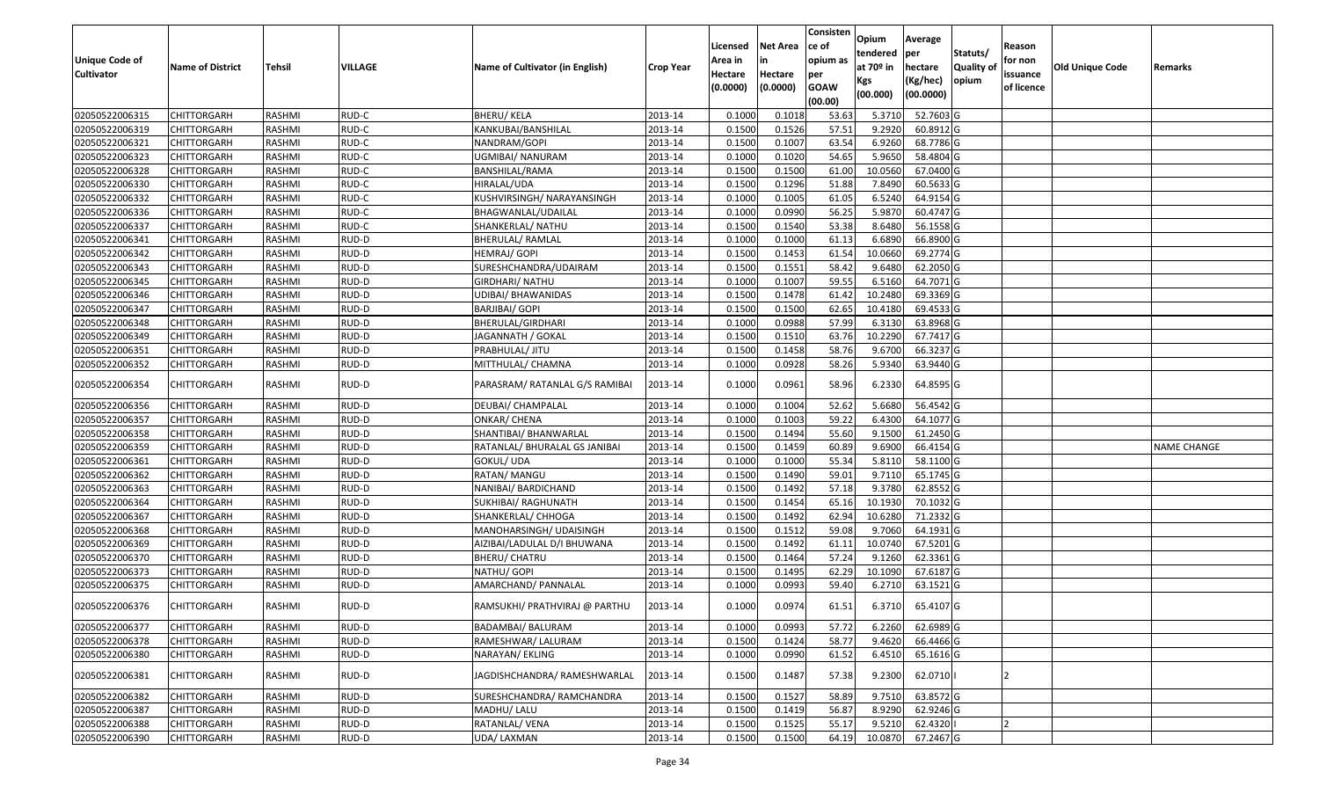|                       |                         |               |                |                                 |                  | Licensed | <b>Net Area</b> | Consisten<br>ce of | Opium       | Average   |                  | Reason     |                 |                    |
|-----------------------|-------------------------|---------------|----------------|---------------------------------|------------------|----------|-----------------|--------------------|-------------|-----------|------------------|------------|-----------------|--------------------|
| <b>Unique Code of</b> |                         |               |                |                                 |                  | Area in  |                 | opium as           | tendered    | per       | Statuts/         | for non    |                 |                    |
| <b>Cultivator</b>     | <b>Name of District</b> | <b>Tehsil</b> | <b>VILLAGE</b> | Name of Cultivator (in English) | <b>Crop Year</b> | Hectare  | Hectare         | per                | at $70°$ in | hectare   | <b>Quality o</b> | issuance   | Old Unique Code | Remarks            |
|                       |                         |               |                |                                 |                  | (0.0000) | (0.0000)        | <b>GOAW</b>        | Kgs         | (Kg/hec)  | opium            | of licence |                 |                    |
|                       |                         |               |                |                                 |                  |          |                 | (00.00)            | (00.000)    | (00.0000) |                  |            |                 |                    |
| 02050522006315        | CHITTORGARH             | RASHMI        | RUD-C          | <b>BHERU/ KELA</b>              | 2013-14          | 0.1000   | 0.1018          | 53.63              | 5.3710      | 52.7603 G |                  |            |                 |                    |
| 02050522006319        | CHITTORGARH             | RASHMI        | RUD-C          | KANKUBAI/BANSHILAL              | 2013-14          | 0.1500   | 0.1526          | 57.51              | 9.2920      | 60.8912G  |                  |            |                 |                    |
| 02050522006321        | CHITTORGARH             | RASHMI        | RUD-C          | NANDRAM/GOPI                    | 2013-14          | 0.1500   | 0.1007          | 63.54              | 6.9260      | 68.7786 G |                  |            |                 |                    |
| 02050522006323        | <b>CHITTORGARH</b>      | RASHMI        | RUD-C          | UGMIBAI/ NANURAM                | 2013-14          | 0.1000   | 0.1020          | 54.65              | 5.9650      | 58.4804 G |                  |            |                 |                    |
| 02050522006328        | CHITTORGARH             | RASHMI        | RUD-C          | BANSHILAL/RAMA                  | 2013-14          | 0.1500   | 0.1500          | 61.00              | 10.0560     | 67.0400 G |                  |            |                 |                    |
| 02050522006330        | CHITTORGARH             | RASHMI        | RUD-C          | HIRALAL/UDA                     | 2013-14          | 0.1500   | 0.1296          | 51.88              | 7.8490      | 60.5633 G |                  |            |                 |                    |
| 02050522006332        | CHITTORGARH             | RASHMI        | RUD-C          | KUSHVIRSINGH/ NARAYANSINGH      | 2013-14          | 0.1000   | 0.1005          | 61.05              | 6.5240      | 64.9154 G |                  |            |                 |                    |
| 02050522006336        | CHITTORGARH             | <b>RASHMI</b> | RUD-C          | BHAGWANLAL/UDAILAL              | 2013-14          | 0.1000   | 0.0990          | 56.25              | 5.9870      | 60.4747 G |                  |            |                 |                    |
| 02050522006337        | CHITTORGARH             | RASHMI        | RUD-C          | SHANKERLAL/ NATHU               | 2013-14          | 0.1500   | 0.1540          | 53.38              | 8.6480      | 56.1558 G |                  |            |                 |                    |
| 02050522006341        | CHITTORGARH             | RASHMI        | RUD-D          | BHERULAL/ RAMLAL                | 2013-14          | 0.1000   | 0.1000          | 61.13              | 6.6890      | 66.8900 G |                  |            |                 |                    |
| 02050522006342        | CHITTORGARH             | RASHMI        | RUD-D          | HEMRAJ/ GOPI                    | 2013-14          | 0.1500   | 0.1453          | 61.54              | 10.0660     | 69.2774 G |                  |            |                 |                    |
| 02050522006343        | <b>CHITTORGARH</b>      | RASHMI        | RUD-D          | SURESHCHANDRA/UDAIRAM           | 2013-14          | 0.1500   | 0.1551          | 58.42              | 9.6480      | 62.2050 G |                  |            |                 |                    |
| 02050522006345        | <b>CHITTORGARH</b>      | RASHMI        | RUD-D          | <b>GIRDHARI/ NATHU</b>          | 2013-14          | 0.1000   | 0.1007          | 59.55              | 6.5160      | 64.7071 G |                  |            |                 |                    |
| 02050522006346        | CHITTORGARH             | RASHMI        | RUD-D          | UDIBAI/ BHAWANIDAS              | 2013-14          | 0.1500   | 0.1478          | 61.42              | 10.2480     | 69.3369 G |                  |            |                 |                    |
| 02050522006347        | <b>CHITTORGARH</b>      | RASHMI        | RUD-D          | BARJIBAI/ GOPI                  | 2013-14          | 0.1500   | 0.1500          | 62.65              | 10.4180     | 69.4533 G |                  |            |                 |                    |
| 02050522006348        | CHITTORGARH             | RASHMI        | RUD-D          | BHERULAL/GIRDHARI               | 2013-14          | 0.1000   | 0.0988          | 57.99              | 6.3130      | 63.8968 G |                  |            |                 |                    |
| 02050522006349        | CHITTORGARH             | RASHMI        | RUD-D          | JAGANNATH / GOKAL               | 2013-14          | 0.1500   | 0.1510          | 63.76              | 10.2290     | 67.7417 G |                  |            |                 |                    |
| 02050522006351        | CHITTORGARH             | RASHMI        | RUD-D          | PRABHULAL/ JITU                 | 2013-14          | 0.1500   | 0.1458          | 58.76              | 9.6700      | 66.3237 G |                  |            |                 |                    |
| 02050522006352        | CHITTORGARH             | RASHMI        | RUD-D          | MITTHULAL/ CHAMNA               | 2013-14          | 0.1000   | 0.0928          | 58.26              | 5.9340      | 63.9440 G |                  |            |                 |                    |
| 02050522006354        | CHITTORGARH             | RASHMI        | RUD-D          | PARASRAM/ RATANLAL G/S RAMIBAI  | 2013-14          | 0.1000   | 0.0961          | 58.96              | 6.2330      | 64.8595 G |                  |            |                 |                    |
| 02050522006356        | CHITTORGARH             | RASHMI        | RUD-D          | DEUBAI/ CHAMPALAL               | 2013-14          | 0.1000   | 0.1004          | 52.62              | 5.6680      | 56.4542 G |                  |            |                 |                    |
| 02050522006357        | CHITTORGARH             | RASHMI        | RUD-D          | ONKAR/ CHENA                    | 2013-14          | 0.1000   | 0.1003          | 59.22              | 6.4300      | 64.1077 G |                  |            |                 |                    |
| 02050522006358        | CHITTORGARH             | RASHMI        | RUD-D          | SHANTIBAI/ BHANWARLAL           | 2013-14          | 0.1500   | 0.1494          | 55.60              | 9.1500      | 61.2450 G |                  |            |                 |                    |
| 02050522006359        | CHITTORGARH             | RASHMI        | RUD-D          | RATANLAL/ BHURALAL GS JANIBAI   | 2013-14          | 0.1500   | 0.1459          | 60.89              | 9.6900      | 66.4154 G |                  |            |                 | <b>NAME CHANGE</b> |
| 02050522006361        | CHITTORGARH             | RASHMI        | RUD-D          | GOKUL/ UDA                      | 2013-14          | 0.1000   | 0.1000          | 55.34              | 5.8110      | 58.1100G  |                  |            |                 |                    |
| 02050522006362        | CHITTORGARH             | RASHMI        | RUD-D          | RATAN/ MANGU                    | 2013-14          | 0.1500   | 0.1490          | 59.01              | 9.7110      | 65.1745 G |                  |            |                 |                    |
| 02050522006363        | CHITTORGARH             | RASHMI        | RUD-D          | NANIBAI/ BARDICHAND             | 2013-14          | 0.1500   | 0.1492          | 57.18              | 9.3780      | 62.8552 G |                  |            |                 |                    |
| 02050522006364        | CHITTORGARH             | <b>RASHMI</b> | RUD-D          | SUKHIBAI/ RAGHUNATH             | 2013-14          | 0.1500   | 0.1454          | 65.16              | 10.1930     | 70.1032 G |                  |            |                 |                    |
| 02050522006367        | CHITTORGARH             | RASHMI        | RUD-D          | SHANKERLAL/ CHHOGA              | 2013-14          | 0.1500   | 0.1492          | 62.94              | 10.6280     | 71.2332 G |                  |            |                 |                    |
| 02050522006368        | CHITTORGARH             | RASHMI        | RUD-D          | MANOHARSINGH/ UDAISINGH         | 2013-14          | 0.1500   | 0.1512          | 59.08              | 9.7060      | 64.1931 G |                  |            |                 |                    |
| 02050522006369        | CHITTORGARH             | RASHMI        | RUD-D          | AIZIBAI/LADULAL D/I BHUWANA     | 2013-14          | 0.1500   | 0.1492          | 61.11              | 10.0740     | 67.5201G  |                  |            |                 |                    |
| 02050522006370        | CHITTORGARH             | RASHMI        | RUD-D          | <b>BHERU/ CHATRU</b>            | 2013-14          | 0.1500   | 0.1464          | 57.24              | 9.1260      | 62.3361 G |                  |            |                 |                    |
| 02050522006373        | <b>CHITTORGARH</b>      | RASHMI        | RUD-D          | NATHU/ GOPI                     | 2013-14          | 0.1500   | 0.1495          | 62.29              | 10.1090     | 67.6187 G |                  |            |                 |                    |
| 02050522006375        | CHITTORGARH             | RASHMI        | RUD-D          | AMARCHAND/ PANNALAL             | 2013-14          | 0.100    | 0.0993          | 59.40              | 6.2710      | 63.1521 G |                  |            |                 |                    |
| 02050522006376        | CHITTORGARH             | RASHMI        | RUD-D          | RAMSUKHI/ PRATHVIRAJ @ PARTHU   | 2013-14          | 0.1000   | 0.0974          | 61.51              | 6.3710      | 65.4107 G |                  |            |                 |                    |
| 02050522006377        | <b>CHITTORGARH</b>      | RASHMI        | RUD-D          | BADAMBAI/ BALURAM               | 2013-14          | 0.1000   | 0.0993          | 57.72              | 6.2260      | 62.6989 G |                  |            |                 |                    |
| 02050522006378        | <b>CHITTORGARH</b>      | RASHMI        | RUD-D          | RAMESHWAR/ LALURAM              | 2013-14          | 0.1500   | 0.1424          | 58.77              | 9.4620      | 66.4466 G |                  |            |                 |                    |
| 02050522006380        | <b>CHITTORGARH</b>      | RASHMI        | RUD-D          | NARAYAN/ EKLING                 | 2013-14          | 0.1000   | 0.0990          | 61.52              | 6.4510      | 65.1616 G |                  |            |                 |                    |
| 02050522006381        | <b>CHITTORGARH</b>      | RASHMI        | RUD-D          | JAGDISHCHANDRA/RAMESHWARLAL     | 2013-14          | 0.1500   | 0.1487          | 57.38              | 9.2300      | 62.0710   |                  |            |                 |                    |
| 02050522006382        | <b>CHITTORGARH</b>      | RASHMI        | RUD-D          | SURESHCHANDRA/ RAMCHANDRA       | 2013-14          | 0.1500   | 0.1527          | 58.89              | 9.7510      | 63.8572 G |                  |            |                 |                    |
| 02050522006387        | <b>CHITTORGARH</b>      | RASHMI        | RUD-D          | MADHU/ LALU                     | 2013-14          | 0.1500   | 0.1419          | 56.87              | 8.9290      | 62.9246 G |                  |            |                 |                    |
| 02050522006388        | CHITTORGARH             | RASHMI        | RUD-D          | RATANLAL/ VENA                  | 2013-14          | 0.1500   | 0.1525          | 55.17              | 9.5210      | 62.4320   |                  |            |                 |                    |
| 02050522006390        | <b>CHITTORGARH</b>      | RASHMI        | RUD-D          | UDA/ LAXMAN                     | 2013-14          | 0.1500   | 0.1500          | 64.19              | 10.0870     | 67.2467 G |                  |            |                 |                    |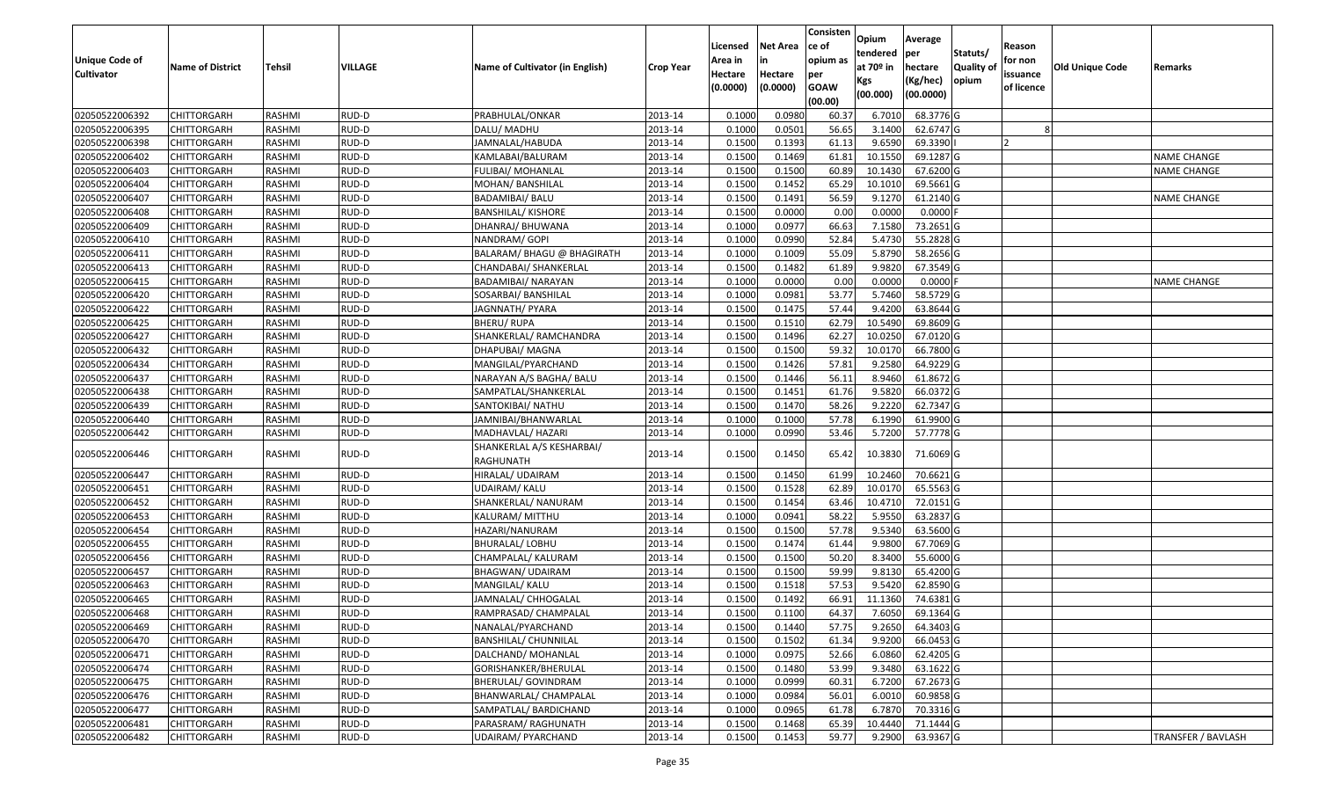| <b>Unique Code of</b><br><b>Cultivator</b> | <b>Name of District</b> | <b>Tehsil</b> | VILLAGE | Name of Cultivator (in English)        | <b>Crop Year</b> | Licensed<br>Area in<br>Hectare | <b>Net Area</b><br>in<br>Hectare | Consisten<br>lce of<br>opium as<br>per | Opium<br>tendered<br>at $70°$ in<br>Kgs | Average<br>per<br>hectare<br>(Kg/hec) | Statuts/<br>Quality of<br>opium | Reason<br>for non<br>issuance | Old Unique Code | Remarks                   |
|--------------------------------------------|-------------------------|---------------|---------|----------------------------------------|------------------|--------------------------------|----------------------------------|----------------------------------------|-----------------------------------------|---------------------------------------|---------------------------------|-------------------------------|-----------------|---------------------------|
|                                            |                         |               |         |                                        |                  | (0.0000)                       | (0.0000)                         | <b>GOAW</b><br>(00.00)                 | (00.000)                                | (00.0000)                             |                                 | of licence                    |                 |                           |
| 02050522006392                             | <b>CHITTORGARH</b>      | RASHMI        | RUD-D   | PRABHULAL/ONKAR                        | 2013-14          | 0.1000                         | 0.0980                           | 60.37                                  | 6.7010                                  | 68.3776 G                             |                                 |                               |                 |                           |
| 02050522006395                             | CHITTORGARH             | RASHMI        | RUD-D   | DALU/MADHU                             | 2013-14          | 0.1000                         | 0.0501                           | 56.65                                  | 3.1400                                  | 62.6747 G                             |                                 |                               |                 |                           |
| 02050522006398                             | CHITTORGARH             | <b>RASHMI</b> | RUD-D   | JAMNALAL/HABUDA                        | 2013-14          | 0.1500                         | 0.1393                           | 61.13                                  | 9.6590                                  | 69.3390                               |                                 |                               |                 |                           |
| 02050522006402                             | <b>CHITTORGARH</b>      | RASHMI        | RUD-D   | KAMLABAI/BALURAM                       | 2013-14          | 0.1500                         | 0.1469                           | 61.8                                   | 10.1550                                 | 69.1287 G                             |                                 |                               |                 | <b>NAME CHANGE</b>        |
| 02050522006403                             | CHITTORGARH             | RASHMI        | RUD-D   | FULIBAI/ MOHANLAL                      | 2013-14          | 0.1500                         | 0.1500                           | 60.89                                  | 10.1430                                 | 67.6200 G                             |                                 |                               |                 | <b>NAME CHANGE</b>        |
| 02050522006404                             | CHITTORGARH             | RASHMI        | RUD-D   | MOHAN/ BANSHILAL                       | 2013-14          | 0.1500                         | 0.1452                           | 65.29                                  | 10.1010                                 | 69.5661 G                             |                                 |                               |                 |                           |
| 02050522006407                             | CHITTORGARH             | <b>RASHMI</b> | RUD-D   | BADAMIBAI/ BALU                        | 2013-14          | 0.1500                         | 0.1491                           | 56.59                                  | 9.1270                                  | 61.2140 G                             |                                 |                               |                 | <b>NAME CHANGE</b>        |
| 02050522006408                             | <b>CHITTORGARH</b>      | <b>RASHMI</b> | RUD-D   | <b>BANSHILAL/ KISHORE</b>              | 2013-14          | 0.1500                         | 0.0000                           | 0.00                                   | 0.0000                                  | $0.0000$ F                            |                                 |                               |                 |                           |
| 02050522006409                             | <b>CHITTORGARH</b>      | <b>RASHMI</b> | RUD-D   | DHANRAJ/ BHUWANA                       | 2013-14          | 0.1000                         | 0.0977                           | 66.63                                  | 7.1580                                  | 73.2651 G                             |                                 |                               |                 |                           |
| 02050522006410                             | CHITTORGARH             | RASHMI        | RUD-D   | NANDRAM/ GOPI                          | 2013-14          | 0.1000                         | 0.0990                           | 52.84                                  | 5.4730                                  | 55.2828 G                             |                                 |                               |                 |                           |
| 02050522006411                             | CHITTORGARH             | RASHMI        | RUD-D   | BALARAM/ BHAGU @ BHAGIRATH             | 2013-14          | 0.1000                         | 0.1009                           | 55.09                                  | 5.8790                                  | 58.2656 G                             |                                 |                               |                 |                           |
| 02050522006413                             | <b>CHITTORGARH</b>      | RASHMI        | RUD-D   | CHANDABAI/ SHANKERLAL                  | 2013-14          | 0.1500                         | 0.1482                           | 61.89                                  | 9.9820                                  | 67.3549 G                             |                                 |                               |                 |                           |
| 02050522006415                             | <b>CHITTORGARH</b>      | RASHMI        | RUD-D   | BADAMIBAI/ NARAYAN                     | 2013-14          | 0.1000                         | 0.0000                           | 0.00                                   | 0.0000                                  | $0.0000$ F                            |                                 |                               |                 | <b>NAME CHANGE</b>        |
| 02050522006420                             | CHITTORGARH             | RASHMI        | RUD-D   | SOSARBAI/ BANSHILAL                    | 2013-14          | 0.1000                         | 0.0981                           | 53.77                                  | 5.7460                                  | 58.5729 G                             |                                 |                               |                 |                           |
| 02050522006422                             | CHITTORGARH             | RASHMI        | RUD-D   | JAGNNATH/ PYARA                        | 2013-14          | 0.1500                         | 0.1475                           | 57.44                                  | 9.4200                                  | 63.8644 G                             |                                 |                               |                 |                           |
| 02050522006425                             | <b>CHITTORGARH</b>      | <b>RASHMI</b> | RUD-D   | BHERU/RUPA                             | 2013-14          | 0.1500                         | 0.1510                           | 62.79                                  | 10.5490                                 | 69.8609 G                             |                                 |                               |                 |                           |
| 02050522006427                             | CHITTORGARH             | <b>RASHMI</b> | RUD-D   | SHANKERLAL/ RAMCHANDRA                 | 2013-14          | 0.1500                         | 0.1496                           | 62.27                                  | 10.0250                                 | 67.0120 G                             |                                 |                               |                 |                           |
| 02050522006432                             | CHITTORGARH             | RASHMI        | RUD-D   | DHAPUBAI/ MAGNA                        | 2013-14          | 0.1500                         | 0.1500                           | 59.32                                  | 10.017                                  | 66.7800 G                             |                                 |                               |                 |                           |
| 02050522006434                             | CHITTORGARH             | RASHMI        | RUD-D   | MANGILAL/PYARCHAND                     | 2013-14          | 0.1500                         | 0.1426                           | 57.81                                  | 9.2580                                  | 64.9229 G                             |                                 |                               |                 |                           |
| 02050522006437                             | CHITTORGARH             | RASHMI        | RUD-D   | NARAYAN A/S BAGHA/ BALU                | 2013-14          | 0.1500                         | 0.1446                           | 56.11                                  | 8.9460                                  | 61.8672 G                             |                                 |                               |                 |                           |
| 02050522006438                             | CHITTORGARH             | RASHMI        | RUD-D   | SAMPATLAL/SHANKERLAL                   | 2013-14          | 0.1500                         | 0.1451                           | 61.76                                  | 9.5820                                  | 66.0372 G                             |                                 |                               |                 |                           |
| 02050522006439                             | CHITTORGARH             | RASHMI        | RUD-D   | SANTOKIBAI/ NATHU                      | 2013-14          | 0.1500                         | 0.1470                           | 58.26                                  | 9.2220                                  | 62.7347 G                             |                                 |                               |                 |                           |
| 02050522006440                             | CHITTORGARH             | RASHMI        | RUD-D   | JAMNIBAI/BHANWARLAL                    | 2013-14          | 0.1000                         | 0.1000                           | 57.78                                  | 6.1990                                  | 61.9900 G                             |                                 |                               |                 |                           |
| 02050522006442                             | CHITTORGARH             | RASHMI        | RUD-D   | MADHAVLAL/ HAZARI                      | 2013-14          | 0.1000                         | 0.0990                           | 53.46                                  | 5.7200                                  | 57.7778 G                             |                                 |                               |                 |                           |
| 02050522006446                             | CHITTORGARH             | RASHMI        | RUD-D   | SHANKERLAL A/S KESHARBAI/<br>RAGHUNATH | 2013-14          | 0.1500                         | 0.1450                           | 65.42                                  | 10.3830                                 | 71.6069 G                             |                                 |                               |                 |                           |
| 02050522006447                             | CHITTORGARH             | RASHMI        | RUD-D   | HIRALAL/ UDAIRAM                       | 2013-14          | 0.1500                         | 0.1450                           | 61.99                                  | 10.2460                                 | 70.6621 G                             |                                 |                               |                 |                           |
| 02050522006451                             | CHITTORGARH             | RASHMI        | RUD-D   | UDAIRAM/ KALU                          | 2013-14          | 0.1500                         | 0.1528                           | 62.89                                  | 10.0170                                 | 65.5563 G                             |                                 |                               |                 |                           |
| 02050522006452                             | <b>CHITTORGARH</b>      | <b>RASHMI</b> | RUD-D   | SHANKERLAL/ NANURAM                    | 2013-14          | 0.1500                         | 0.1454                           | 63.46                                  | 10.4710                                 | 72.0151 G                             |                                 |                               |                 |                           |
| 02050522006453                             | CHITTORGARH             | <b>RASHMI</b> | RUD-D   | KALURAM/ MITTHU                        | 2013-14          | 0.1000                         | 0.0941                           | 58.22                                  | 5.9550                                  | 63.2837 G                             |                                 |                               |                 |                           |
| 02050522006454                             | CHITTORGARH             | RASHMI        | RUD-D   | HAZARI/NANURAM                         | 2013-14          | 0.1500                         | 0.1500                           | 57.78                                  | 9.5340                                  | 63.5600 G                             |                                 |                               |                 |                           |
| 02050522006455                             | CHITTORGARH             | RASHMI        | RUD-D   | BHURALAL/LOBHU                         | 2013-14          | 0.1500                         | 0.1474                           | 61.44                                  | 9.9800                                  | 67.7069 G                             |                                 |                               |                 |                           |
| 02050522006456                             | <b>CHITTORGARH</b>      | RASHMI        | RUD-D   | CHAMPALAL/ KALURAM                     | 2013-14          | 0.1500                         | 0.1500                           | 50.20                                  | 8.3400                                  | 55.6000 G                             |                                 |                               |                 |                           |
| 02050522006457                             | <b>CHITTORGARH</b>      | RASHMI        | RUD-D   | <b>BHAGWAN/ UDAIRAM</b>                | 2013-14          | 0.1500                         | 0.1500                           | 59.99                                  | 9.8130                                  | 65.4200 G                             |                                 |                               |                 |                           |
| 02050522006463                             | CHITTORGARH             | RASHMI        | RUD-D   | MANGILAL/ KALU                         | 2013-14          | 0.1500                         | 0.1518                           | 57.53                                  | 9.5420                                  | 62.8590 G                             |                                 |                               |                 |                           |
| 02050522006465                             | <b>CHITTORGARH</b>      | RASHMI        | RUD-D   | JAMNALAL/ CHHOGALAL                    | 2013-14          | 0.1500                         | 0.1492                           | 66.91                                  | 11.1360                                 | 74.6381 G                             |                                 |                               |                 |                           |
| 02050522006468                             | <b>CHITTORGARH</b>      | RASHMI        | RUD-D   | RAMPRASAD/ CHAMPALAL                   | 2013-14          | 0.1500                         | 0.1100                           | 64.37                                  | 7.6050                                  | 69.1364 G                             |                                 |                               |                 |                           |
| 02050522006469                             | <b>CHITTORGARH</b>      | RASHMI        | RUD-D   | NANALAL/PYARCHAND                      | 2013-14          | 0.1500                         | 0.1440                           | 57.75                                  | 9.2650                                  | 64.3403 G                             |                                 |                               |                 |                           |
| 02050522006470                             | <b>CHITTORGARH</b>      | RASHMI        | RUD-D   | BANSHILAL/ CHUNNILAL                   | 2013-14          | 0.1500                         | 0.1502                           | 61.34                                  | 9.9200                                  | 66.0453 G                             |                                 |                               |                 |                           |
| 02050522006471                             | <b>CHITTORGARH</b>      | RASHMI        | RUD-D   | DALCHAND/ MOHANLAL                     | 2013-14          | 0.1000                         | 0.0975                           | 52.66                                  | 6.0860                                  | 62.4205 G                             |                                 |                               |                 |                           |
| 02050522006474                             | <b>CHITTORGARH</b>      | RASHMI        | RUD-D   | GORISHANKER/BHERULAL                   | 2013-14          | 0.1500                         | 0.1480                           | 53.99                                  | 9.3480                                  | 63.1622 G                             |                                 |                               |                 |                           |
| 02050522006475                             | <b>CHITTORGARH</b>      | RASHMI        | RUD-D   | BHERULAL/ GOVINDRAM                    | 2013-14          | 0.1000                         | 0.0999                           | 60.31                                  | 6.7200                                  | 67.2673 G                             |                                 |                               |                 |                           |
| 02050522006476                             | <b>CHITTORGARH</b>      | RASHMI        | RUD-D   | BHANWARLAL/ CHAMPALAL                  | 2013-14          | 0.1000                         | 0.0984                           | 56.01                                  | 6.0010                                  | 60.9858 G                             |                                 |                               |                 |                           |
| 02050522006477                             | <b>CHITTORGARH</b>      | RASHMI        | RUD-D   | SAMPATLAL/ BARDICHAND                  | 2013-14          | 0.1000                         | 0.0965                           | 61.78                                  | 6.7870                                  | 70.3316 G                             |                                 |                               |                 |                           |
| 02050522006481                             | <b>CHITTORGARH</b>      | RASHMI        | RUD-D   | PARASRAM/ RAGHUNATH                    | 2013-14          | 0.1500                         | 0.1468                           | 65.39                                  | 10.4440                                 | 71.1444 G                             |                                 |                               |                 |                           |
| 02050522006482                             | <b>CHITTORGARH</b>      | RASHMI        | RUD-D   | UDAIRAM/ PYARCHAND                     | 2013-14          | 0.1500                         | 0.1453                           | 59.77                                  | 9.2900                                  | 63.9367 G                             |                                 |                               |                 | <b>TRANSFER / BAVLASH</b> |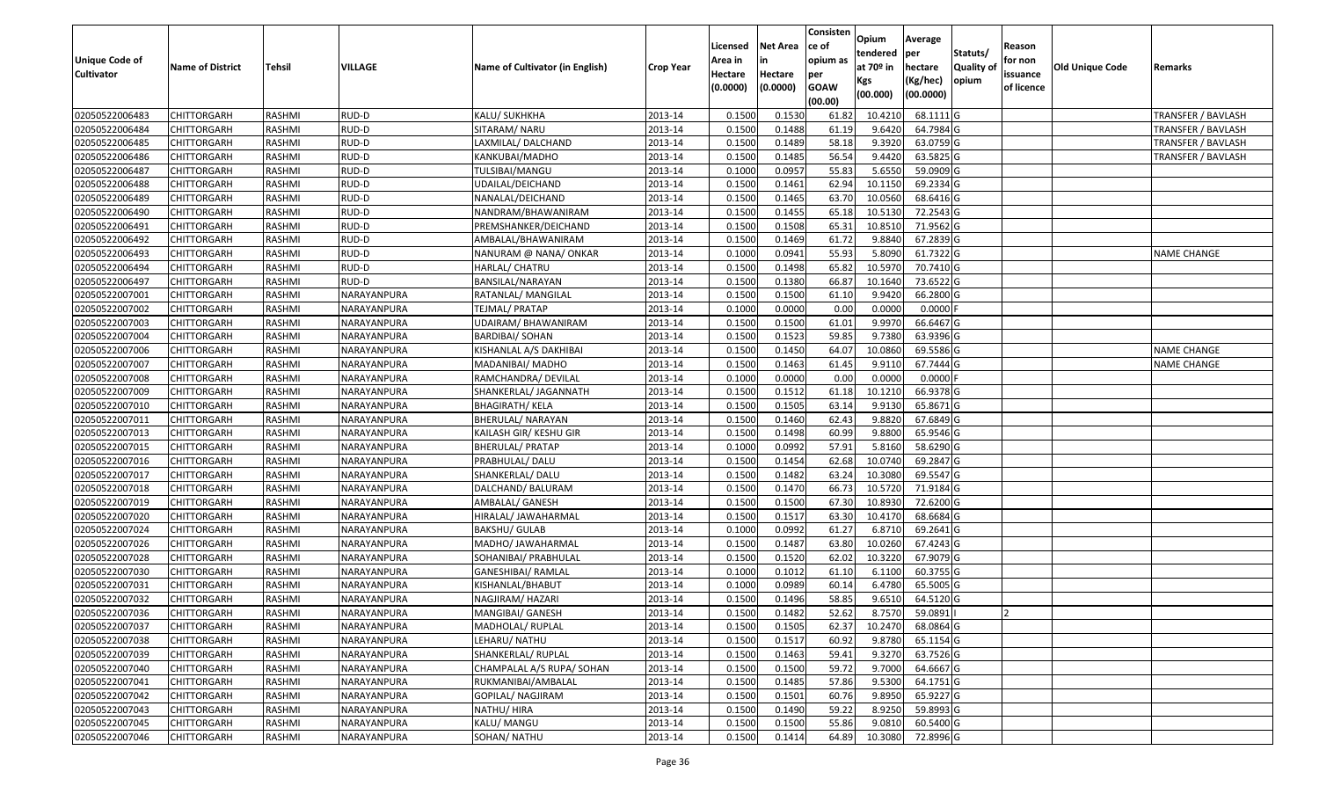|                                  |                            |                  |                |                                 |                    |          |                 | Consisten        | Opium             | Average               |                  |            |                        |                                          |
|----------------------------------|----------------------------|------------------|----------------|---------------------------------|--------------------|----------|-----------------|------------------|-------------------|-----------------------|------------------|------------|------------------------|------------------------------------------|
|                                  |                            |                  |                |                                 |                    | Licensed | <b>Net Area</b> | ce of            | tendered          | per                   | Statuts/         | Reason     |                        |                                          |
| <b>Unique Code of</b>            | <b>Name of District</b>    | <b>Tehsil</b>    | <b>VILLAGE</b> | Name of Cultivator (in English) | <b>Crop Year</b>   | Area in  | in              | opium as         | at $70°$ in       | hectare               | <b>Quality o</b> | for non    | <b>Old Unique Code</b> | Remarks                                  |
| <b>Cultivator</b>                |                            |                  |                |                                 |                    | Hectare  | Hectare         | per              | Kgs               | (Kg/hec)              | opium            | issuance   |                        |                                          |
|                                  |                            |                  |                |                                 |                    | (0.0000) | (0.0000)        | <b>GOAW</b>      | (00.000)          | (00.0000)             |                  | of licence |                        |                                          |
| 02050522006483                   | CHITTORGARH                | RASHMI           | RUD-D          | KALU/ SUKHKHA                   | 2013-14            | 0.1500   | 0.1530          | (00.00)<br>61.82 | 10.4210           | 68.1111G              |                  |            |                        | <b>TRANSFER / BAVLASH</b>                |
| 02050522006484                   | CHITTORGARH                |                  |                | SITARAM/ NARU                   |                    | 0.1500   | 0.1488          |                  | 9.6420            | 64.7984 G             |                  |            |                        |                                          |
| 02050522006485                   | CHITTORGARH                | RASHMI<br>RASHMI | RUD-D<br>RUD-D | LAXMILAL/DALCHAND               | 2013-14<br>2013-14 | 0.1500   | 0.1489          | 61.19<br>58.18   | 9.3920            | 63.0759 G             |                  |            |                        | TRANSFER / BAVLASH<br>TRANSFER / BAVLASH |
| 02050522006486                   | <b>CHITTORGARH</b>         | RASHMI           | RUD-D          | KANKUBAI/MADHO                  | 2013-14            | 0.1500   | 0.1485          | 56.54            | 9.4420            | 63.5825 G             |                  |            |                        |                                          |
| 02050522006487                   | CHITTORGARH                | RASHMI           | RUD-D          | TULSIBAI/MANGU                  | 2013-14            | 0.1000   | 0.0957          | 55.83            | 5.6550            | 59.0909 G             |                  |            |                        | <b>TRANSFER / BAVLASH</b>                |
| 02050522006488                   | CHITTORGARH                | RASHMI           | RUD-D          | UDAILAL/DEICHAND                | 2013-14            | 0.1500   | 0.1461          | 62.94            | 10.1150           | 69.2334 G             |                  |            |                        |                                          |
| 02050522006489                   |                            | RASHMI           | RUD-D          | NANALAL/DEICHAND                | 2013-14            | 0.1500   | 0.1465          | 63.70            | 10.0560           | 68.6416 G             |                  |            |                        |                                          |
| 02050522006490                   | CHITTORGARH<br>CHITTORGARH | <b>RASHMI</b>    | RUD-D          | NANDRAM/BHAWANIRAM              | 2013-14            | 0.1500   | 0.1455          | 65.18            | 10.5130           | 72.2543 G             |                  |            |                        |                                          |
|                                  |                            |                  | RUD-D          |                                 | 2013-14            | 0.1500   | 0.1508          | 65.31            |                   |                       |                  |            |                        |                                          |
| 02050522006491<br>02050522006492 | CHITTORGARH                | RASHMI<br>RASHMI | RUD-D          | PREMSHANKER/DEICHAND            |                    | 0.1500   | 0.1469          | 61.72            | 10.8510<br>9.8840 | 71.9562 G             |                  |            |                        |                                          |
|                                  | CHITTORGARH                |                  | RUD-D          | AMBALAL/BHAWANIRAM              | 2013-14<br>2013-14 | 0.1000   | 0.0941          | 55.93            | 5.8090            | 67.2839 G<br>61.7322G |                  |            |                        |                                          |
| 02050522006493                   | CHITTORGARH                | RASHMI<br>RASHMI | RUD-D          | NANURAM @ NANA/ ONKAR           |                    | 0.1500   | 0.1498          | 65.82            | 10.597            | 70.7410 G             |                  |            |                        | <b>NAME CHANGE</b>                       |
| 02050522006494                   | CHITTORGARH                |                  |                | HARLAL/ CHATRU                  | 2013-14            |          |                 |                  |                   |                       |                  |            |                        |                                          |
| 02050522006497                   | <b>CHITTORGARH</b>         | RASHMI           | RUD-D          | BANSILAL/NARAYAN                | 2013-14            | 0.1500   | 0.1380          | 66.87            | 10.1640           | 73.6522 G             |                  |            |                        |                                          |
| 02050522007001                   | CHITTORGARH                | RASHMI           | NARAYANPURA    | RATANLAL/ MANGILAL              | 2013-14            | 0.1500   | 0.1500          | 61.10            | 9.9420            | 66.2800 G             |                  |            |                        |                                          |
| 02050522007002                   | <b>CHITTORGARH</b>         | RASHMI           | NARAYANPURA    | TEJMAL/ PRATAP                  | 2013-14            | 0.1000   | 0.0000          | 0.00             | 0.0000            | $0.0000$ F            |                  |            |                        |                                          |
| 02050522007003                   | <b>CHITTORGARH</b>         | RASHMI           | NARAYANPURA    | UDAIRAM/BHAWANIRAM              | 2013-14            | 0.1500   | 0.1500          | 61.01            | 9.9970            | 66.6467 G             |                  |            |                        |                                          |
| 02050522007004                   | <b>CHITTORGARH</b>         | RASHMI           | NARAYANPURA    | <b>BARDIBAI/ SOHAN</b>          | 2013-14            | 0.1500   | 0.1523          | 59.85            | 9.7380            | 63.9396 G             |                  |            |                        |                                          |
| 02050522007006                   | CHITTORGARH                | RASHMI           | NARAYANPURA    | KISHANLAL A/S DAKHIBAI          | 2013-14            | 0.1500   | 0.1450          | 64.07            | 10.0860           | 69.5586 G             |                  |            |                        | <b>NAME CHANGE</b>                       |
| 02050522007007                   | CHITTORGARH                | RASHMI           | NARAYANPURA    | MADANIBAI/ MADHO                | 2013-14            | 0.1500   | 0.1463          | 61.45            | 9.9110            | 67.7444 G             |                  |            |                        | <b>NAME CHANGE</b>                       |
| 02050522007008                   | CHITTORGARH                | RASHMI           | NARAYANPURA    | RAMCHANDRA/ DEVILAL             | 2013-14            | 0.1000   | 0.0000          | 0.00             | 0.0000            | 0.0000                |                  |            |                        |                                          |
| 02050522007009                   | CHITTORGARH                | RASHMI           | NARAYANPURA    | SHANKERLAL/ JAGANNATH           | 2013-14            | 0.1500   | 0.1512          | 61.18            | 10.1210           | 66.9378 G             |                  |            |                        |                                          |
| 02050522007010                   | CHITTORGARH                | RASHMI           | NARAYANPURA    | <b>BHAGIRATH/ KELA</b>          | 2013-14            | 0.150    | 0.1505          | 63.14            | 9.9130            | 65.8671 G             |                  |            |                        |                                          |
| 02050522007011                   | CHITTORGARH                | RASHMI           | NARAYANPURA    | BHERULAL/ NARAYAN               | 2013-14            | 0.1500   | 0.1460          | 62.43            | 9.8820            | 67.6849 G             |                  |            |                        |                                          |
| 02050522007013                   | <b>CHITTORGARH</b>         | RASHMI           | NARAYANPURA    | KAILASH GIR/ KESHU GIR          | 2013-14            | 0.1500   | 0.1498          | 60.99            | 9.8800            | 65.9546 G             |                  |            |                        |                                          |
| 02050522007015                   | CHITTORGARH                | RASHMI           | NARAYANPURA    | <b>BHERULAL/ PRATAP</b>         | 2013-14            | 0.1000   | 0.0992          | 57.91            | 5.8160            | 58.6290 G             |                  |            |                        |                                          |
| 02050522007016                   | CHITTORGARH                | RASHMI           | NARAYANPURA    | PRABHULAL/ DALU                 | 2013-14            | 0.1500   | 0.1454          | 62.68            | 10.0740           | 69.2847 G             |                  |            |                        |                                          |
| 02050522007017                   | CHITTORGARH                | RASHMI           | NARAYANPURA    | SHANKERLAL/DALU                 | 2013-14            | 0.1500   | 0.1482          | 63.24            | 10.3080           | 69.5547 G             |                  |            |                        |                                          |
| 02050522007018                   | CHITTORGARH                | RASHMI           | NARAYANPURA    | DALCHAND/ BALURAM               | 2013-14            | 0.1500   | 0.1470          | 66.73            | 10.5720           | 71.9184 G             |                  |            |                        |                                          |
| 02050522007019                   | CHITTORGARH                | RASHMI           | NARAYANPURA    | AMBALAL/ GANESH                 | 2013-14            | 0.1500   | 0.1500          | 67.30            | 10.8930           | 72.6200 G             |                  |            |                        |                                          |
| 02050522007020                   | CHITTORGARH                | RASHMI           | NARAYANPURA    | HIRALAL/ JAWAHARMAL             | 2013-14            | 0.1500   | 0.1517          | 63.30            | 10.4170           | 68.6684 G             |                  |            |                        |                                          |
| 02050522007024                   | CHITTORGARH                | RASHMI           | NARAYANPURA    | BAKSHU/ GULAB                   | 2013-14            | 0.1000   | 0.0992          | 61.27            | 6.871             | 69.2641 G             |                  |            |                        |                                          |
| 02050522007026                   | CHITTORGARH                | RASHMI           | NARAYANPURA    | MADHO/ JAWAHARMAL               | 2013-14            | 0.1500   | 0.1487          | 63.80            | 10.0260           | 67.4243 G             |                  |            |                        |                                          |
| 02050522007028                   | CHITTORGARH                | <b>RASHMI</b>    | NARAYANPURA    | SOHANIBAI/ PRABHULAL            | 2013-14            | 0.1500   | 0.1520          | 62.02            | 10.3220           | 67.9079 G             |                  |            |                        |                                          |
| 02050522007030                   | <b>CHITTORGARH</b>         | RASHMI           | NARAYANPURA    | GANESHIBAI/ RAMLAL              | 2013-14            | 0.1000   | 0.1012          | 61.10            | 6.1100            | 60.3755 G             |                  |            |                        |                                          |
| 02050522007031                   | CHITTORGARH                | RASHMI           | NARAYANPURA    | KISHANLAL/BHABUT                | 2013-14            | 0.1000   | 0.0989          | 60.14            | 6.4780            | 65.5005 G             |                  |            |                        |                                          |
| 02050522007032                   | CHITTORGARH                | RASHMI           | NARAYANPURA    | NAGJIRAM/ HAZARI                | 2013-14            | 0.1500   | 0.1496          | 58.85            | 9.6510            | 64.5120 G             |                  |            |                        |                                          |
| 02050522007036                   | CHITTORGARH                | RASHMI           | NARAYANPURA    | MANGIBAI/ GANESH                | 2013-14            | 0.1500   | 0.1482          | 52.62            | 8.7570            | 59.0891               |                  | ΙZ         |                        |                                          |
| 02050522007037                   | <b>CHITTORGARH</b>         | RASHMI           | NARAYANPURA    | MADHOLAL/ RUPLAL                | 2013-14            | 0.1500   | 0.1505          | 62.37            | 10.2470           | 68.0864 G             |                  |            |                        |                                          |
| 02050522007038                   | <b>CHITTORGARH</b>         | RASHMI           | NARAYANPURA    | LEHARU/ NATHU                   | 2013-14            | 0.1500   | 0.1517          | 60.92            | 9.8780            | 65.1154 G             |                  |            |                        |                                          |
| 02050522007039                   | <b>CHITTORGARH</b>         | RASHMI           | NARAYANPURA    | SHANKERLAL/ RUPLAL              | 2013-14            | 0.1500   | 0.1463          | 59.41            | 9.3270            | 63.7526 G             |                  |            |                        |                                          |
| 02050522007040                   | CHITTORGARH                | RASHMI           | NARAYANPURA    | CHAMPALAL A/S RUPA/ SOHAN       | 2013-14            | 0.1500   | 0.1500          | 59.72            | 9.7000            | 64.6667 G             |                  |            |                        |                                          |
| 02050522007041                   | <b>CHITTORGARH</b>         | RASHMI           | NARAYANPURA    | RUKMANIBAI/AMBALAL              | 2013-14            | 0.1500   | 0.1485          | 57.86            | 9.5300            | 64.1751 G             |                  |            |                        |                                          |
| 02050522007042                   | <b>CHITTORGARH</b>         | RASHMI           | NARAYANPURA    | GOPILAL/ NAGJIRAM               | 2013-14            | 0.1500   | 0.1501          | 60.76            | 9.8950            | 65.9227 G             |                  |            |                        |                                          |
| 02050522007043                   | <b>CHITTORGARH</b>         | RASHMI           | NARAYANPURA    | NATHU/ HIRA                     | 2013-14            | 0.1500   | 0.1490          | 59.22            | 8.9250            | 59.8993 G             |                  |            |                        |                                          |
| 02050522007045                   | <b>CHITTORGARH</b>         | RASHMI           | NARAYANPURA    | KALU/ MANGU                     | 2013-14            | 0.1500   | 0.1500          | 55.86            | 9.0810            | 60.5400 G             |                  |            |                        |                                          |
| 02050522007046                   | <b>CHITTORGARH</b>         | RASHMI           | NARAYANPURA    | SOHAN/ NATHU                    | 2013-14            | 0.1500   | 0.1414          | 64.89            | 10.3080           | 72.8996 G             |                  |            |                        |                                          |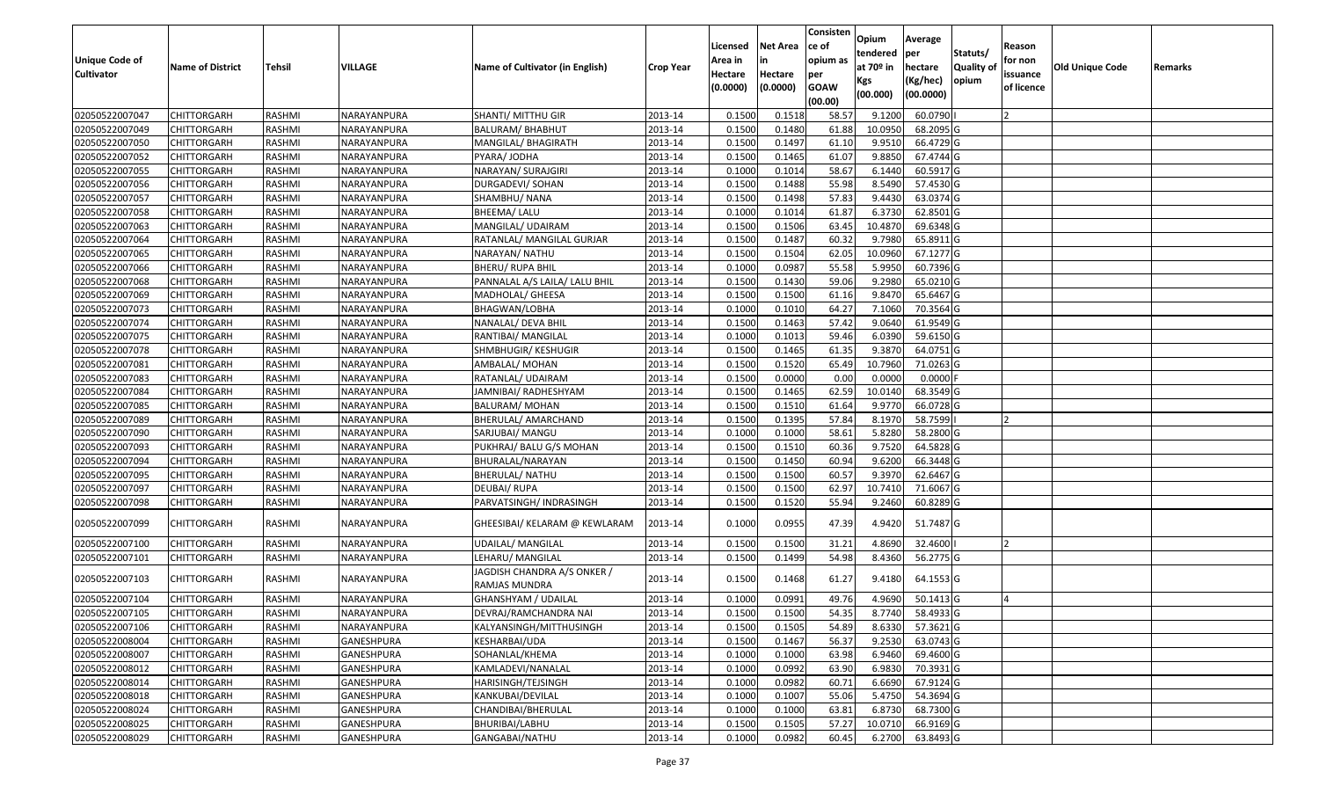| <b>Unique Code of</b><br><b>Cultivator</b> | <b>Name of District</b> | <b>Tehsil</b> | VILLAGE           | Name of Cultivator (in English)              | <b>Crop Year</b> | Licensed<br>Area in<br>Hectare<br>(0.0000) | <b>Net Area</b><br>in<br>Hectare<br>(0.0000) | Consisten<br>ce of<br>opium as<br>per<br><b>GOAW</b><br>(00.00) | Opium<br>tendered<br>at $70°$ in<br>Kgs<br>(00.000) | Average<br>per<br>hectare<br>(Kg/hec)<br>(00.0000) | Statuts/<br>Quality of<br>opium | Reason<br>for non<br>issuance<br>of licence | <b>Old Unique Code</b> | Remarks |
|--------------------------------------------|-------------------------|---------------|-------------------|----------------------------------------------|------------------|--------------------------------------------|----------------------------------------------|-----------------------------------------------------------------|-----------------------------------------------------|----------------------------------------------------|---------------------------------|---------------------------------------------|------------------------|---------|
| 02050522007047                             | <b>CHITTORGARH</b>      | RASHMI        | NARAYANPURA       | SHANTI/ MITTHU GIR                           | 2013-14          | 0.1500                                     | 0.1518                                       | 58.57                                                           | 9.1200                                              | 60.0790                                            |                                 |                                             |                        |         |
| 02050522007049                             | CHITTORGARH             | RASHMI        | NARAYANPURA       | BALURAM/ BHABHUT                             | 2013-14          | 0.1500                                     | 0.1480                                       | 61.88                                                           | 10.0950                                             | 68.2095 G                                          |                                 |                                             |                        |         |
| 02050522007050                             | CHITTORGARH             | RASHMI        | NARAYANPURA       | MANGILAL/ BHAGIRATH                          | 2013-14          | 0.1500                                     | 0.1497                                       | 61.10                                                           | 9.9510                                              | 66.4729 G                                          |                                 |                                             |                        |         |
| 02050522007052                             | <b>CHITTORGARH</b>      | RASHMI        | NARAYANPURA       | PYARA/ JODHA                                 | 2013-14          | 0.1500                                     | 0.1465                                       | 61.07                                                           | 9.8850                                              | 67.4744 G                                          |                                 |                                             |                        |         |
| 02050522007055                             | <b>CHITTORGARH</b>      | RASHMI        | NARAYANPURA       | NARAYAN/ SURAJGIRI                           | 2013-14          | 0.1000                                     | 0.1014                                       | 58.67                                                           | 6.1440                                              | 60.5917 G                                          |                                 |                                             |                        |         |
| 02050522007056                             | <b>CHITTORGARH</b>      | RASHMI        | NARAYANPURA       | DURGADEVI/ SOHAN                             | 2013-14          | 0.1500                                     | 0.1488                                       | 55.98                                                           | 8.5490                                              | 57.4530 G                                          |                                 |                                             |                        |         |
| 02050522007057                             | <b>CHITTORGARH</b>      | RASHMI        | NARAYANPURA       | SHAMBHU/ NANA                                | 2013-14          | 0.1500                                     | 0.1498                                       | 57.83                                                           | 9.4430                                              | 63.0374 G                                          |                                 |                                             |                        |         |
| 02050522007058                             | <b>CHITTORGARH</b>      | RASHMI        | NARAYANPURA       | BHEEMA/ LALU                                 | 2013-14          | 0.1000                                     | 0.1014                                       | 61.87                                                           | 6.3730                                              | 62.8501 G                                          |                                 |                                             |                        |         |
| 02050522007063                             | CHITTORGARH             | RASHMI        | NARAYANPURA       | MANGILAL/ UDAIRAM                            | 2013-14          | 0.1500                                     | 0.1506                                       | 63.45                                                           | 10.4870                                             | 69.6348 G                                          |                                 |                                             |                        |         |
| 02050522007064                             | CHITTORGARH             | RASHMI        | NARAYANPURA       | RATANLAL/ MANGILAL GURJAR                    | 2013-14          | 0.1500                                     | 0.1487                                       | 60.32                                                           | 9.7980                                              | 65.8911 G                                          |                                 |                                             |                        |         |
| 02050522007065                             | <b>CHITTORGARH</b>      | RASHMI        | NARAYANPURA       | NARAYAN/ NATHU                               | 2013-14          | 0.1500                                     | 0.1504                                       | 62.05                                                           | 10.0960                                             | 67.1277 G                                          |                                 |                                             |                        |         |
| 02050522007066                             | CHITTORGARH             | RASHMI        | NARAYANPURA       | <b>BHERU/ RUPA BHIL</b>                      | 2013-14          | 0.1000                                     | 0.0987                                       | 55.58                                                           | 5.995                                               | 60.7396 G                                          |                                 |                                             |                        |         |
| 02050522007068                             | CHITTORGARH             | RASHMI        | NARAYANPURA       | PANNALAL A/S LAILA/ LALU BHIL                | 2013-14          | 0.1500                                     | 0.1430                                       | 59.06                                                           | 9.2980                                              | 65.0210 G                                          |                                 |                                             |                        |         |
| 02050522007069                             | CHITTORGARH             | RASHMI        | NARAYANPURA       | MADHOLAL/ GHEESA                             | 2013-14          | 0.150                                      | 0.1500                                       | 61.16                                                           | 9.8470                                              | 65.6467 G                                          |                                 |                                             |                        |         |
| 02050522007073                             | CHITTORGARH             | RASHMI        | NARAYANPURA       | BHAGWAN/LOBHA                                | 2013-14          | 0.1000                                     | 0.1010                                       | 64.27                                                           | 7.1060                                              | 70.3564 G                                          |                                 |                                             |                        |         |
| 02050522007074                             | CHITTORGARH             | RASHMI        | NARAYANPURA       | NANALAL/ DEVA BHIL                           | 2013-14          | 0.150                                      | 0.1463                                       | 57.42                                                           | 9.0640                                              | 61.9549 G                                          |                                 |                                             |                        |         |
| 02050522007075                             | CHITTORGARH             | RASHMI        | NARAYANPURA       | RANTIBAI/ MANGILAL                           | 2013-14          | 0.1000                                     | 0.1013                                       | 59.46                                                           | 6.0390                                              | 59.6150 G                                          |                                 |                                             |                        |         |
| 02050522007078                             | CHITTORGARH             | RASHMI        | NARAYANPURA       | SHMBHUGIR/KESHUGIR                           | 2013-14          | 0.1500                                     | 0.1465                                       | 61.35                                                           | 9.3870                                              | 64.0751 G                                          |                                 |                                             |                        |         |
| 02050522007081                             | <b>CHITTORGARH</b>      | RASHMI        | NARAYANPURA       | AMBALAL/ MOHAN                               | 2013-14          | 0.1500                                     | 0.1520                                       | 65.49                                                           | 10.7960                                             | 71.0263G                                           |                                 |                                             |                        |         |
| 02050522007083                             | CHITTORGARH             | RASHMI        | NARAYANPURA       | RATANLAL/ UDAIRAM                            | 2013-14          | 0.1500                                     | 0.0000                                       | 0.00                                                            | 0.0000                                              | $0.0000$ F                                         |                                 |                                             |                        |         |
| 02050522007084                             | <b>CHITTORGARH</b>      | RASHMI        | NARAYANPURA       | JAMNIBAI/ RADHESHYAM                         | 2013-14          | 0.1500                                     | 0.1465                                       | 62.59                                                           | 10.0140                                             | 68.3549 G                                          |                                 |                                             |                        |         |
| 02050522007085                             | CHITTORGARH             | RASHMI        | NARAYANPURA       | <b>BALURAM/MOHAN</b>                         | 2013-14          | 0.1500                                     | 0.1510                                       | 61.64                                                           | 9.9770                                              | 66.0728 G                                          |                                 |                                             |                        |         |
| 02050522007089                             | CHITTORGARH             | RASHMI        | NARAYANPURA       | BHERULAL/ AMARCHAND                          | 2013-14          | 0.1500                                     | 0.1395                                       | 57.84                                                           | 8.1970                                              | 58.7599                                            |                                 |                                             |                        |         |
| 02050522007090                             | CHITTORGARH             | RASHMI        | NARAYANPURA       | SARJUBAI/ MANGU                              | 2013-14          | 0.1000                                     | 0.1000                                       | 58.61                                                           | 5.8280                                              | 58.2800 G                                          |                                 |                                             |                        |         |
| 02050522007093                             | CHITTORGARH             | RASHMI        | NARAYANPURA       | PUKHRAJ/ BALU G/S MOHAN                      | 2013-14          | 0.1500                                     | 0.1510                                       | 60.36                                                           | 9.7520                                              | 64.5828 G                                          |                                 |                                             |                        |         |
| 02050522007094                             | CHITTORGARH             | RASHMI        | NARAYANPURA       | BHURALAL/NARAYAN                             | 2013-14          | 0.1500                                     | 0.1450                                       | 60.94                                                           | 9.6200                                              | 66.3448 G                                          |                                 |                                             |                        |         |
| 02050522007095                             | CHITTORGARH             | RASHMI        | NARAYANPURA       | <b>BHERULAL/ NATHU</b>                       | 2013-14          | 0.1500                                     | 0.1500                                       | 60.57                                                           | 9.3970                                              | 62.6467 G                                          |                                 |                                             |                        |         |
| 02050522007097                             | CHITTORGARH             | RASHMI        | NARAYANPURA       | DEUBAI/ RUPA                                 | 2013-14          | 0.1500                                     | 0.1500                                       | 62.97                                                           | 10.7410                                             | 71.6067 G                                          |                                 |                                             |                        |         |
| 02050522007098                             | <b>CHITTORGARH</b>      | RASHMI        | NARAYANPURA       | PARVATSINGH/ INDRASINGH                      | 2013-14          | 0.1500                                     | 0.1520                                       | 55.94                                                           | 9.2460                                              | 60.8289 G                                          |                                 |                                             |                        |         |
| 02050522007099                             | CHITTORGARH             | RASHMI        | NARAYANPURA       | GHEESIBAI/ KELARAM @ KEWLARAM                | 2013-14          | 0.1000                                     | 0.0955                                       | 47.39                                                           | 4.9420                                              | 51.7487 G                                          |                                 |                                             |                        |         |
| 02050522007100                             | <b>CHITTORGARH</b>      | RASHMI        | NARAYANPURA       | <b>UDAILAL/ MANGILAL</b>                     | 2013-14          | 0.1500                                     | 0.1500                                       | 31.21                                                           | 4.8690                                              | 32.4600                                            |                                 | 12                                          |                        |         |
| 02050522007101                             | CHITTORGARH             | RASHMI        | NARAYANPURA       | LEHARU/ MANGILAL                             | 2013-14          | 0.150                                      | 0.1499                                       | 54.98                                                           | 8.4360                                              | 56.2775 G                                          |                                 |                                             |                        |         |
| 02050522007103                             | CHITTORGARH             | RASHMI        | NARAYANPURA       | JAGDISH CHANDRA A/S ONKER /<br>RAMJAS MUNDRA | 2013-14          | 0.1500                                     | 0.1468                                       | 61.27                                                           | 9.4180                                              | 64.1553 G                                          |                                 |                                             |                        |         |
| 02050522007104                             | CHITTORGARH             | RASHMI        | NARAYANPURA       | GHANSHYAM / UDAILAL                          | 2013-14          | 0.1000                                     | 0.0991                                       | 49.76                                                           | 4.9690                                              | 50.1413 G                                          |                                 |                                             |                        |         |
| 02050522007105                             | <b>CHITTORGARH</b>      | RASHMI        | NARAYANPURA       | DEVRAJ/RAMCHANDRA NAI                        | 2013-14          | 0.1500                                     | 0.1500                                       | 54.35                                                           | 8.7740                                              | 58.4933 G                                          |                                 |                                             |                        |         |
| 02050522007106                             | <b>CHITTORGARH</b>      | RASHMI        | NARAYANPURA       | KALYANSINGH/MITTHUSINGH                      | 2013-14          | 0.1500                                     | 0.1505                                       | 54.89                                                           | 8.6330                                              | 57.3621 G                                          |                                 |                                             |                        |         |
| 02050522008004                             | <b>CHITTORGARH</b>      | RASHMI        | GANESHPURA        | KESHARBAI/UDA                                | 2013-14          | 0.1500                                     | 0.1467                                       | 56.37                                                           | 9.2530                                              | 63.0743 G                                          |                                 |                                             |                        |         |
| 02050522008007                             | <b>CHITTORGARH</b>      | RASHMI        | GANESHPURA        | SOHANLAL/KHEMA                               | 2013-14          | 0.1000                                     | 0.1000                                       | 63.98                                                           | 6.9460                                              | 69.4600 G                                          |                                 |                                             |                        |         |
| 02050522008012                             | CHITTORGARH             | RASHMI        | <b>GANESHPURA</b> | KAMLADEVI/NANALAL                            | 2013-14          | 0.1000                                     | 0.0992                                       | 63.90                                                           | 6.9830                                              | 70.3931 G                                          |                                 |                                             |                        |         |
| 02050522008014                             | <b>CHITTORGARH</b>      | RASHMI        | GANESHPURA        | HARISINGH/TEJSINGH                           | 2013-14          | 0.1000                                     | 0.0982                                       | 60.71                                                           | 6.6690                                              | 67.9124 G                                          |                                 |                                             |                        |         |
| 02050522008018                             | <b>CHITTORGARH</b>      | RASHMI        | GANESHPURA        | KANKUBAI/DEVILAL                             | 2013-14          | 0.1000                                     | 0.1007                                       | 55.06                                                           | 5.4750                                              | 54.3694 G                                          |                                 |                                             |                        |         |
| 02050522008024                             | <b>CHITTORGARH</b>      | RASHMI        | GANESHPURA        | CHANDIBAI/BHERULAL                           | 2013-14          | 0.1000                                     | 0.1000                                       | 63.81                                                           | 6.8730                                              | 68.7300 G                                          |                                 |                                             |                        |         |
| 02050522008025                             | CHITTORGARH             | RASHMI        | <b>GANESHPURA</b> | BHURIBAI/LABHU                               | 2013-14          | 0.1500                                     | 0.1505                                       | 57.27                                                           | 10.0710                                             | 66.9169 G                                          |                                 |                                             |                        |         |
| 02050522008029                             | <b>CHITTORGARH</b>      | RASHMI        | GANESHPURA        | GANGABAI/NATHU                               | 2013-14          | 0.1000                                     | 0.0982                                       | 60.45                                                           | 6.2700                                              | 63.8493 G                                          |                                 |                                             |                        |         |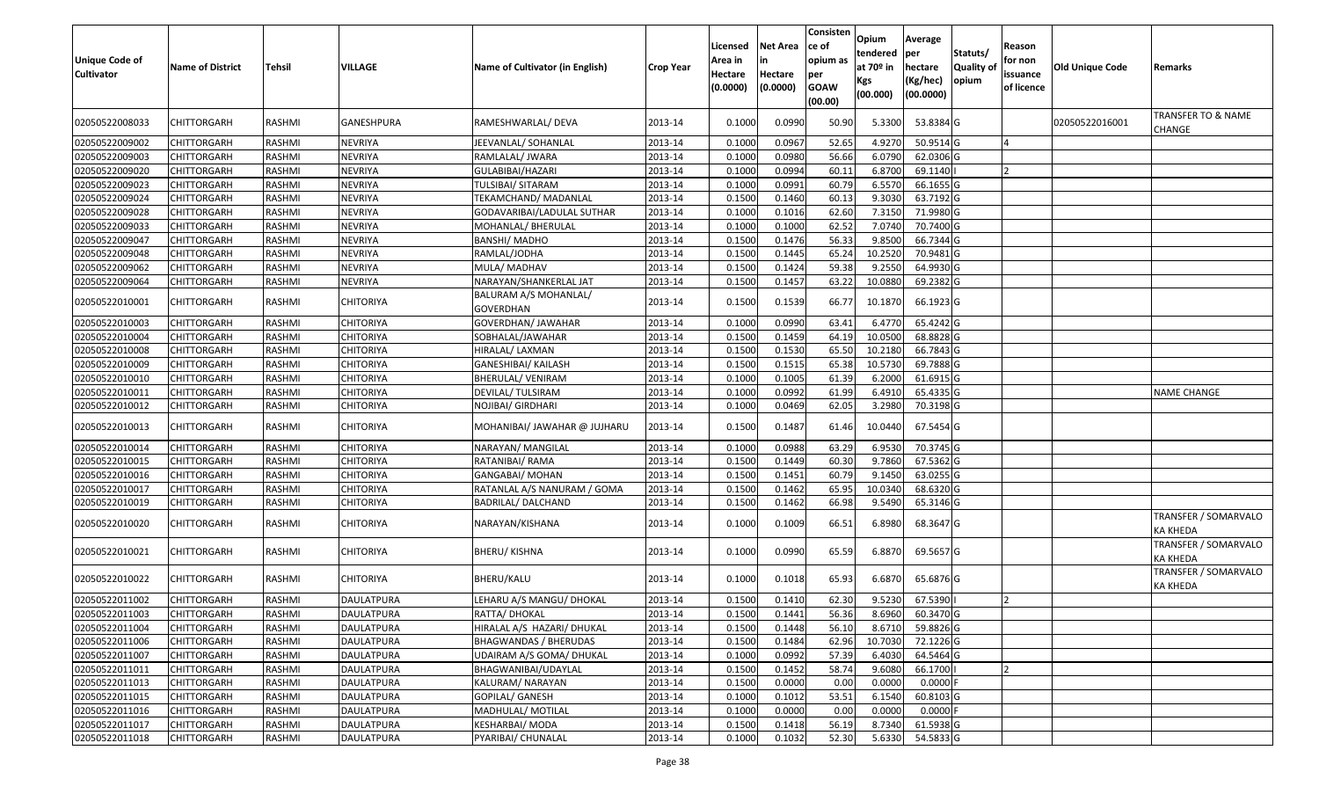| <b>Unique Code of</b><br><b>Cultivator</b> | <b>Name of District</b> | <b>Tehsil</b> | VILLAGE           | Name of Cultivator (in English)           | <b>Crop Year</b> | Licensed<br>Area in<br>Hectare<br>(0.0000) | <b>Net Area</b><br>lin<br>Hectare<br>(0.0000) | Consisten<br>ce of<br>opium as<br>per<br><b>GOAW</b><br>(00.00) | Opium<br>tendered<br>at $70°$ in<br>Kgs<br>(00.000) | Average<br>per<br>hectare<br>(Kg/hec)<br>(00.0000) | Statuts/<br>Quality of<br>opium | Reason<br>for non<br>issuance<br>of licence | Old Unique Code | Remarks                          |
|--------------------------------------------|-------------------------|---------------|-------------------|-------------------------------------------|------------------|--------------------------------------------|-----------------------------------------------|-----------------------------------------------------------------|-----------------------------------------------------|----------------------------------------------------|---------------------------------|---------------------------------------------|-----------------|----------------------------------|
| 02050522008033                             | CHITTORGARH             | RASHMI        | GANESHPURA        | RAMESHWARLAL/ DEVA                        | 2013-14          | 0.1000                                     | 0.0990                                        | 50.90                                                           | 5.3300                                              | 53.8384 G                                          |                                 |                                             | 02050522016001  | TRANSFER TO & NAME<br>CHANGE     |
| 02050522009002                             | <b>CHITTORGARH</b>      | RASHMI        | NEVRIYA           | JEEVANLAL/ SOHANLAL                       | 2013-14          | 0.1000                                     | 0.0967                                        | 52.65                                                           | 4.9270                                              | 50.9514 G                                          |                                 |                                             |                 |                                  |
| 02050522009003                             | <b>CHITTORGARH</b>      | RASHMI        | <b>NEVRIYA</b>    | RAMLALAL/ JWARA                           | 2013-14          | 0.1000                                     | 0.0980                                        | 56.66                                                           | 6.0790                                              | 62.0306 G                                          |                                 |                                             |                 |                                  |
| 02050522009020                             | <b>CHITTORGARH</b>      | RASHMI        | <b>NEVRIYA</b>    | GULABIBAI/HAZARI                          | 2013-14          | 0.1000                                     | 0.0994                                        | 60.11                                                           | 6.8700                                              | 69.1140                                            |                                 |                                             |                 |                                  |
| 02050522009023                             | <b>CHITTORGARH</b>      | RASHMI        | <b>NEVRIYA</b>    | <b>TULSIBAI/ SITARAM</b>                  | 2013-14          | 0.1000                                     | 0.0991                                        | 60.79                                                           | 6.5570                                              | 66.1655 G                                          |                                 |                                             |                 |                                  |
| 02050522009024                             | <b>CHITTORGARH</b>      | RASHMI        | <b>NEVRIYA</b>    | TEKAMCHAND/ MADANLAL                      | 2013-14          | 0.1500                                     | 0.1460                                        | 60.13                                                           | 9.3030                                              | 63.7192 G                                          |                                 |                                             |                 |                                  |
| 02050522009028                             | CHITTORGARH             | RASHMI        | <b>NEVRIYA</b>    | GODAVARIBAI/LADULAL SUTHAR                | 2013-14          | 0.1000                                     | 0.1016                                        | 62.60                                                           | 7.3150                                              | 71.9980 G                                          |                                 |                                             |                 |                                  |
| 02050522009033                             | <b>CHITTORGARH</b>      | RASHMI        | <b>NEVRIYA</b>    | MOHANLAL/ BHERULAL                        | 2013-14          | 0.1000                                     | 0.1000                                        | 62.52                                                           | 7.0740                                              | 70.7400 G                                          |                                 |                                             |                 |                                  |
| 02050522009047                             | <b>CHITTORGARH</b>      | RASHMI        | <b>NEVRIYA</b>    | <b>BANSHI/ MADHO</b>                      | 2013-14          | 0.1500                                     | 0.1476                                        | 56.33                                                           | 9.8500                                              | 66.7344 G                                          |                                 |                                             |                 |                                  |
| 02050522009048                             | CHITTORGARH             | RASHMI        | <b>NEVRIYA</b>    | RAMLAL/JODHA                              | 2013-14          | 0.1500                                     | 0.1445                                        | 65.24                                                           | 10.2520                                             | 70.9481 G                                          |                                 |                                             |                 |                                  |
| 02050522009062                             | CHITTORGARH             | RASHMI        | <b>NEVRIYA</b>    | MULA/ MADHAV                              | 2013-14          | 0.1500                                     | 0.1424                                        | 59.38                                                           | 9.2550                                              | 64.9930 G                                          |                                 |                                             |                 |                                  |
| 02050522009064                             | CHITTORGARH             | RASHMI        | <b>NEVRIYA</b>    | NARAYAN/SHANKERLAL JAT                    | 2013-14          | 0.1500                                     | 0.1457                                        | 63.22                                                           | 10.0880                                             | 69.2382 G                                          |                                 |                                             |                 |                                  |
| 02050522010001                             | CHITTORGARH             | RASHMI        | <b>CHITORIYA</b>  | BALURAM A/S MOHANLAL/<br><b>GOVERDHAN</b> | 2013-14          | 0.1500                                     | 0.1539                                        | 66.7                                                            | 10.1870                                             | 66.1923 G                                          |                                 |                                             |                 |                                  |
| 02050522010003                             | CHITTORGARH             | RASHMI        | <b>CHITORIYA</b>  | GOVERDHAN/ JAWAHAR                        | 2013-14          | 0.1000                                     | 0.0990                                        | 63.41                                                           | 6.4770                                              | 65.4242 G                                          |                                 |                                             |                 |                                  |
| 02050522010004                             | CHITTORGARH             | RASHMI        | CHITORIYA         | SOBHALAL/JAWAHAR                          | 2013-14          | 0.1500                                     | 0.1459                                        | 64.19                                                           | 10.0500                                             | 68.8828 G                                          |                                 |                                             |                 |                                  |
| 02050522010008                             | <b>CHITTORGARH</b>      | RASHMI        | <b>CHITORIYA</b>  | HIRALAL/ LAXMAN                           | 2013-14          | 0.1500                                     | 0.1530                                        | 65.50                                                           | 10.2180                                             | 66.7843 G                                          |                                 |                                             |                 |                                  |
| 02050522010009                             | <b>CHITTORGARH</b>      | RASHMI        | <b>CHITORIYA</b>  | <b>GANESHIBAI/ KAILASH</b>                | 2013-14          | 0.1500                                     | 0.1515                                        | 65.38                                                           | 10.5730                                             | 69.7888 G                                          |                                 |                                             |                 |                                  |
| 02050522010010                             | CHITTORGARH             | RASHMI        | <b>CHITORIYA</b>  | <b>BHERULAL/ VENIRAM</b>                  | 2013-14          | 0.1000                                     | 0.1005                                        | 61.39                                                           | 6.2000                                              | 61.6915 G                                          |                                 |                                             |                 |                                  |
| 02050522010011                             | CHITTORGARH             | RASHMI        | <b>CHITORIYA</b>  | DEVILAL/ TULSIRAM                         | 2013-14          | 0.1000                                     | 0.0992                                        | 61.99                                                           | 6.4910                                              | 65.4335 G                                          |                                 |                                             |                 | NAME CHANGE                      |
| 02050522010012                             | CHITTORGARH             | RASHMI        | <b>CHITORIYA</b>  | NOJIBAI/ GIRDHARI                         | 2013-14          | 0.1000                                     | 0.0469                                        | 62.05                                                           | 3.2980                                              | 70.3198 G                                          |                                 |                                             |                 |                                  |
| 02050522010013                             | CHITTORGARH             | RASHMI        | <b>CHITORIYA</b>  | MOHANIBAI/ JAWAHAR @ JUJHARU              | 2013-14          | 0.1500                                     | 0.1487                                        | 61.46                                                           | 10.0440                                             | 67.5454 G                                          |                                 |                                             |                 |                                  |
| 02050522010014                             | <b>CHITTORGARH</b>      | RASHMI        | <b>CHITORIYA</b>  | NARAYAN/ MANGILAL                         | 2013-14          | 0.1000                                     | 0.0988                                        | 63.29                                                           | 6.9530                                              | 70.3745 G                                          |                                 |                                             |                 |                                  |
| 02050522010015                             | <b>CHITTORGARH</b>      | RASHMI        | <b>CHITORIYA</b>  | RATANIBAI/RAMA                            | 2013-14          | 0.1500                                     | 0.1449                                        | 60.30                                                           | 9.7860                                              | 67.5362 G                                          |                                 |                                             |                 |                                  |
| 02050522010016                             | <b>CHITTORGARH</b>      | RASHMI        | <b>CHITORIYA</b>  | <b>GANGABAI/ MOHAN</b>                    | 2013-14          | 0.1500                                     | 0.1451                                        | 60.79                                                           | 9.1450                                              | 63.0255 G                                          |                                 |                                             |                 |                                  |
| 02050522010017                             | <b>CHITTORGARH</b>      | RASHMI        | <b>CHITORIYA</b>  | RATANLAL A/S NANURAM / GOMA               | 2013-14          | 0.1500                                     | 0.1462                                        | 65.95                                                           | 10.0340                                             | 68.6320 G                                          |                                 |                                             |                 |                                  |
| 02050522010019                             | CHITTORGARH             | RASHMI        | CHITORIYA         | BADRILAL/ DALCHAND                        | 2013-14          | 0.1500                                     | 0.1462                                        | 66.98                                                           | 9.5490                                              | 65.3146 G                                          |                                 |                                             |                 |                                  |
| 02050522010020                             | CHITTORGARH             | RASHMI        | <b>CHITORIYA</b>  | NARAYAN/KISHANA                           | 2013-14          | 0.1000                                     | 0.1009                                        | 66.51                                                           | 6.8980                                              | 68.3647 G                                          |                                 |                                             |                 | TRANSFER / SOMARVALO<br>KA KHEDA |
| 02050522010021                             | CHITTORGARH             | RASHMI        | CHITORIYA         | <b>BHERU/ KISHNA</b>                      | 2013-14          | 0.1000                                     | 0.0990                                        | 65.59                                                           | 6.8870                                              | 69.5657 G                                          |                                 |                                             |                 | TRANSFER / SOMARVALO<br>KA KHEDA |
| 02050522010022                             | CHITTORGARH             | RASHMI        | <b>CHITORIYA</b>  | <b>BHERU/KALU</b>                         | 2013-14          | 0.1000                                     | 0.1018                                        | 65.93                                                           | 6.6870                                              | 65.6876 G                                          |                                 |                                             |                 | TRANSFER / SOMARVALO<br>KA KHEDA |
| 02050522011002                             | CHITTORGARH             | RASHMI        | DAULATPURA        | LEHARU A/S MANGU/ DHOKAL                  | 2013-14          | 0.1500                                     | 0.1410                                        | 62.30                                                           | 9.5230                                              | 67.5390                                            |                                 |                                             |                 |                                  |
| 02050522011003                             | <b>CHITTORGARH</b>      | RASHMI        | DAULATPURA        | RATTA/ DHOKAL                             | 2013-14          | 0.1500                                     | 0.1441                                        | 56.36                                                           | 8.6960                                              | 60.3470 G                                          |                                 |                                             |                 |                                  |
| 02050522011004                             | <b>CHITTORGARH</b>      | RASHMI        | DAULATPURA        | HIRALAL A/S HAZARI/ DHUKAL                | 2013-14          | 0.1500                                     | 0.1448                                        | 56.10                                                           | 8.6710                                              | 59.8826 G                                          |                                 |                                             |                 |                                  |
| 02050522011006                             | <b>CHITTORGARH</b>      | RASHMI        | DAULATPURA        | <b>BHAGWANDAS / BHERUDAS</b>              | 2013-14          | 0.1500                                     | 0.1484                                        | 62.96                                                           | 10.7030                                             | 72.1226 G                                          |                                 |                                             |                 |                                  |
| 02050522011007                             | <b>CHITTORGARH</b>      | RASHMI        | DAULATPURA        | UDAIRAM A/S GOMA/ DHUKAL                  | 2013-14          | 0.1000                                     | 0.0992                                        | 57.39                                                           | 6.4030                                              | 64.5464 G                                          |                                 |                                             |                 |                                  |
| 02050522011011                             | <b>CHITTORGARH</b>      | RASHMI        | DAULATPURA        | BHAGWANIBAI/UDAYLAL                       | 2013-14          | 0.1500                                     | 0.1452                                        | 58.74                                                           | 9.6080                                              | 66.1700                                            |                                 |                                             |                 |                                  |
| 02050522011013                             | <b>CHITTORGARH</b>      | RASHMI        | <b>DAULATPURA</b> | KALURAM/ NARAYAN                          | 2013-14          | 0.1500                                     | 0.0000                                        | 0.00                                                            | 0.0000                                              | $0.0000$ F                                         |                                 |                                             |                 |                                  |
| 02050522011015                             | <b>CHITTORGARH</b>      | RASHMI        | DAULATPURA        | GOPILAL/ GANESH                           | 2013-14          | 0.1000                                     | 0.1012                                        | 53.51                                                           | 6.1540                                              | 60.8103 G                                          |                                 |                                             |                 |                                  |
| 02050522011016                             | <b>CHITTORGARH</b>      | RASHMI        | DAULATPURA        | MADHULAL/ MOTILAL                         | 2013-14          | 0.1000                                     | 0.0000                                        | 0.00                                                            | 0.0000                                              | $0.0000$ F                                         |                                 |                                             |                 |                                  |
| 02050522011017                             | <b>CHITTORGARH</b>      | RASHMI        | DAULATPURA        | KESHARBAI/ MODA                           | 2013-14          | 0.1500                                     | 0.1418                                        | 56.19                                                           | 8.7340                                              | 61.5938 G                                          |                                 |                                             |                 |                                  |
| 02050522011018                             | <b>CHITTORGARH</b>      | RASHMI        | DAULATPURA        | PYARIBAI/ CHUNALAL                        | 2013-14          | 0.1000                                     | 0.1032                                        | 52.30                                                           | 5.6330                                              | 54.5833 G                                          |                                 |                                             |                 |                                  |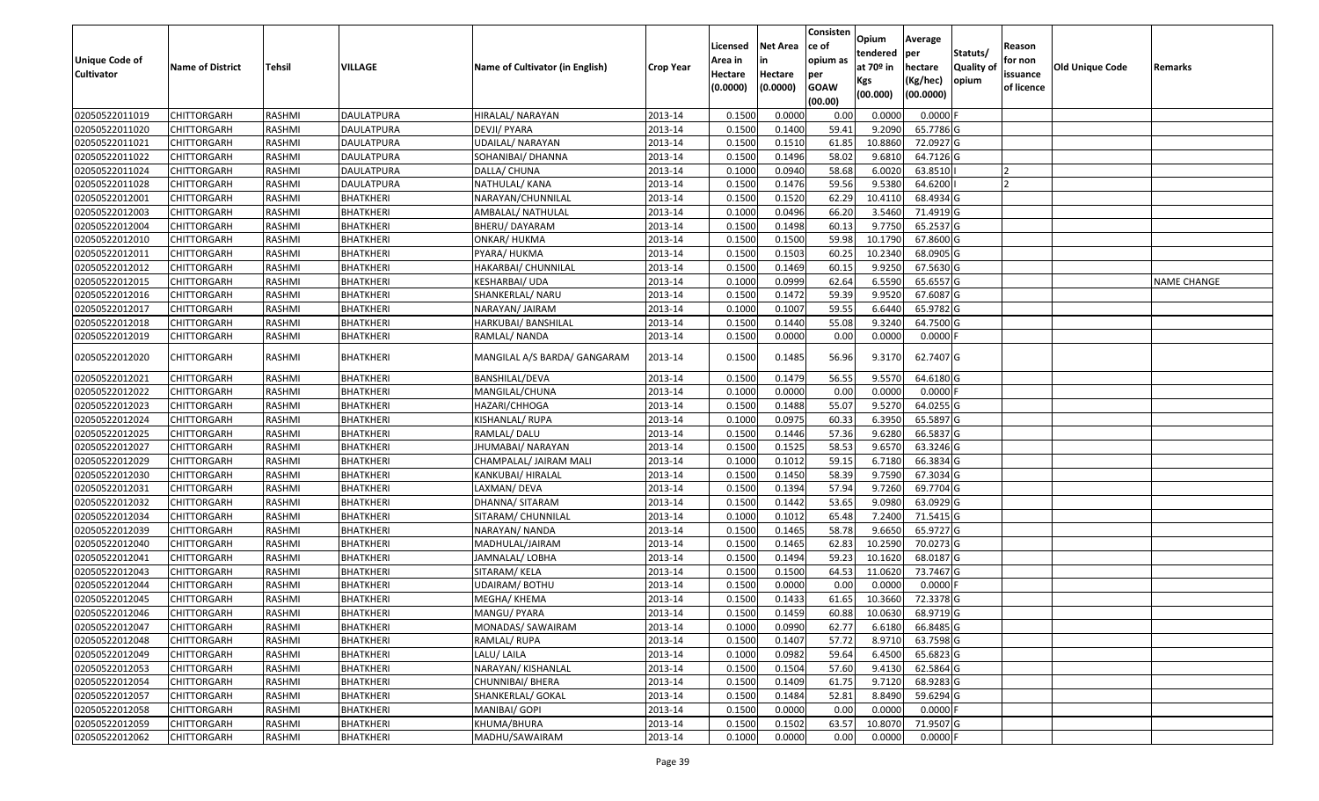|                                  |                                          |                  |                                      |                                        |                    | Licensed            | <b>Net Area</b>     | Consisten<br>ce of | Opium<br>tendered | Average<br>per         | Statuts/         | Reason                 |                        |                    |
|----------------------------------|------------------------------------------|------------------|--------------------------------------|----------------------------------------|--------------------|---------------------|---------------------|--------------------|-------------------|------------------------|------------------|------------------------|------------------------|--------------------|
| Unique Code of                   | <b>Name of District</b>                  | <b>Tehsil</b>    | VILLAGE                              | Name of Cultivator (in English)        | <b>Crop Year</b>   | Area in             | in                  | opium as           | at $70°$ in       | hectare                | <b>Quality o</b> | for non                | <b>Old Unique Code</b> | Remarks            |
| <b>Cultivator</b>                |                                          |                  |                                      |                                        |                    | Hectare<br>(0.0000) | Hectare<br>(0.0000) | per<br><b>GOAW</b> | Kgs               | (Kg/hec)               | opium            | issuance<br>of licence |                        |                    |
|                                  |                                          |                  |                                      |                                        |                    |                     |                     | (00.00)            | (00.000)          | (00.0000)              |                  |                        |                        |                    |
| 02050522011019                   | CHITTORGARH                              | RASHMI           | <b>DAULATPURA</b>                    | HIRALAL/ NARAYAN                       | 2013-14            | 0.1500              | 0.0000              | 0.00               | 0.0000            | 0.0000F                |                  |                        |                        |                    |
| 02050522011020                   | CHITTORGARH                              | RASHMI           | <b>DAULATPURA</b>                    | DEVJI/ PYARA                           | 2013-14            | 0.1500              | 0.1400              | 59.41              | 9.2090            | 65.7786 G              |                  |                        |                        |                    |
| 02050522011021                   | CHITTORGARH                              | RASHMI           | DAULATPURA                           | JDAILAL/ NARAYAN                       | 2013-14            | 0.1500              | 0.1510              | 61.85              | 10.8860           | 72.0927 G              |                  |                        |                        |                    |
| 02050522011022                   | CHITTORGARH                              | RASHMI           | <b>DAULATPURA</b>                    | SOHANIBAI/ DHANNA                      | 2013-14            | 0.1500              | 0.1496              | 58.02              | 9.6810            | 64.7126 G              |                  |                        |                        |                    |
| 02050522011024                   | CHITTORGARH                              | RASHMI           | <b>DAULATPURA</b>                    | DALLA/ CHUNA                           | 2013-14            | 0.1000              | 0.0940              | 58.68              | 6.0020            | 63.8510                |                  |                        |                        |                    |
| 02050522011028                   | <b>CHITTORGARH</b>                       | RASHMI           | DAULATPURA                           | NATHULAL/KANA                          | 2013-14            | 0.1500              | 0.1476              | 59.56              | 9.5380            | 64.6200                |                  |                        |                        |                    |
| 02050522012001                   | CHITTORGARH                              | RASHMI           | <b>BHATKHERI</b>                     | NARAYAN/CHUNNILAL                      | 2013-14            | 0.1500              | 0.1520              | 62.29              | 10.4110           | 68.4934 G              |                  |                        |                        |                    |
| 02050522012003                   | CHITTORGARH                              | <b>RASHMI</b>    | <b>BHATKHERI</b>                     | AMBALAL/NATHULAL                       | 2013-14            | 0.1000              | 0.0496              | 66.20              | 3.5460            | 71.4919G               |                  |                        |                        |                    |
| 02050522012004                   | CHITTORGARH                              | RASHMI           | <b>BHATKHERI</b>                     | BHERU/ DAYARAM                         | 2013-14            | 0.1500              | 0.1498              | 60.13              | 9.775             | 65.2537 G              |                  |                        |                        |                    |
| 02050522012010                   | <b>CHITTORGARH</b>                       | RASHMI           | <b>BHATKHERI</b>                     | ONKAR/ HUKMA                           | 2013-14            | 0.1500              | 0.1500              | 59.98              | 10.1790           | 67.8600 G              |                  |                        |                        |                    |
| 02050522012011                   | CHITTORGARH                              | RASHMI           | BHATKHERI                            | PYARA/ HUKMA                           | 2013-14            | 0.1500              | 0.1503              | 60.25              | 10.2340           | 68.0905 G              |                  |                        |                        |                    |
| 02050522012012                   | <b>CHITTORGARH</b>                       | RASHMI           | <b>BHATKHERI</b>                     | HAKARBAI/ CHUNNILAL                    | 2013-14            | 0.1500              | 0.1469              | 60.15              | 9.9250            | 67.5630 G              |                  |                        |                        |                    |
| 02050522012015                   | <b>CHITTORGARH</b>                       | RASHMI           | <b>BHATKHERI</b>                     | KESHARBAI/ UDA                         | 2013-14            | 0.1000              | 0.0999              | 62.64              | 6.5590            | 65.6557 G              |                  |                        |                        | <b>NAME CHANGE</b> |
| 02050522012016                   | <b>CHITTORGARH</b>                       | RASHMI           | BHATKHERI                            | SHANKERLAL/ NARU                       | 2013-14            | 0.1500              | 0.1472              | 59.39              | 9.9520            | 67.6087 G              |                  |                        |                        |                    |
| 02050522012017                   | <b>CHITTORGARH</b>                       | RASHMI           | BHATKHERI                            | NARAYAN/ JAIRAM                        | 2013-14            | 0.1000              | 0.1007              | 59.55              | 6.6440            | 65.9782 G              |                  |                        |                        |                    |
| 02050522012018                   | <b>CHITTORGARH</b>                       | RASHMI           | <b>BHATKHERI</b>                     | HARKUBAI/ BANSHILAL                    | 2013-14            | 0.1500              | 0.1440              | 55.08              | 9.3240            | 64.7500 G              |                  |                        |                        |                    |
| 02050522012019                   | CHITTORGARH                              | RASHMI           | BHATKHERI                            | RAMLAL/NANDA                           | 2013-14            | 0.1500              | 0.0000              | 0.00               | 0.0000            | $0.0000$ F             |                  |                        |                        |                    |
| 02050522012020                   | CHITTORGARH                              | RASHMI           | <b>BHATKHERI</b>                     | MANGILAL A/S BARDA/ GANGARAM           | 2013-14            | 0.1500              | 0.1485              | 56.96              | 9.3170            | 62.7407 G              |                  |                        |                        |                    |
| 02050522012021                   | <b>CHITTORGARH</b>                       | RASHMI           | <b>BHATKHERI</b>                     | BANSHILAL/DEVA                         | 2013-14            | 0.1500              | 0.1479              | 56.55              | 9.5570            | 64.6180 G              |                  |                        |                        |                    |
| 02050522012022                   | CHITTORGARH                              | RASHMI           | <b>BHATKHERI</b>                     | MANGILAL/CHUNA                         | 2013-14            | 0.1000              | 0.0000              | 0.00               | 0.0000            | $0.0000$ F             |                  |                        |                        |                    |
| 02050522012023                   | CHITTORGARH                              | RASHMI           | BHATKHERI                            | HAZARI/CHHOGA                          | 2013-14            | 0.1500              | 0.1488              | 55.07              | 9.5270            | 64.0255 G              |                  |                        |                        |                    |
| 02050522012024                   | CHITTORGARH                              | RASHMI           | <b>BHATKHERI</b>                     | KISHANLAL/ RUPA                        | 2013-14            | 0.1000              | 0.0975              | 60.33              | 6.3950            | 65.5897 G              |                  |                        |                        |                    |
| 02050522012025                   | CHITTORGARH                              | RASHMI           | BHATKHERI                            | RAMLAL/ DALU                           | 2013-14            | 0.1500              | 0.1446              | 57.36              | 9.6280            | 66.5837 G              |                  |                        |                        |                    |
| 02050522012027                   | <b>CHITTORGARH</b>                       | RASHMI           | <b>BHATKHERI</b>                     | JHUMABAI/ NARAYAN                      | 2013-14            | 0.1500              | 0.1525              | 58.53              | 9.6570            | 63.3246 G              |                  |                        |                        |                    |
| 02050522012029                   | CHITTORGARH                              | RASHMI           | BHATKHERI                            | CHAMPALAL/ JAIRAM MALI                 | 2013-14            | 0.1000              | 0.1012              | 59.15              | 6.7180            | 66.3834 G              |                  |                        |                        |                    |
| 02050522012030                   | CHITTORGARH                              | RASHMI           | <b>BHATKHERI</b>                     | KANKUBAI/ HIRALAL                      | 2013-14            | 0.1500              | 0.1450              | 58.39              | 9.7590            | 67.3034 G              |                  |                        |                        |                    |
| 02050522012031                   | <b>CHITTORGARH</b>                       | RASHMI           | BHATKHERI                            | LAXMAN/ DEVA                           | 2013-14            | 0.1500              | 0.1394              | 57.94              | 9.7260            | 69.7704 G              |                  |                        |                        |                    |
| 02050522012032                   | CHITTORGARH                              | <b>RASHMI</b>    | <b>BHATKHERI</b>                     | DHANNA/ SITARAM                        | 2013-14            | 0.1500              | 0.1442              | 53.65              | 9.0980            | 63.0929 G              |                  |                        |                        |                    |
| 02050522012034                   | CHITTORGARH                              | RASHMI           | <b>BHATKHERI</b>                     | SITARAM/ CHUNNILAL                     | 2013-14            | 0.1000              | 0.1012              | 65.48              | 7.2400            | 71.5415 G              |                  |                        |                        |                    |
| 02050522012039                   | CHITTORGARH                              | RASHMI           | <b>BHATKHERI</b>                     | NARAYAN/ NANDA                         | 2013-14            | 0.1500              | 0.1465              | 58.78              | 9.6650            | 65.9727 G              |                  |                        |                        |                    |
| 02050522012040                   | CHITTORGARH                              | RASHMI           | BHATKHERI                            | MADHULAL/JAIRAM                        | 2013-14            | 0.1500              | 0.1465              | 62.83              | 10.2590           | 70.0273 G              |                  |                        |                        |                    |
| 02050522012041                   | <b>CHITTORGARH</b>                       | RASHMI           | <b>BHATKHERI</b>                     | JAMNALAL/ LOBHA                        | 2013-14            | 0.1500              | 0.1494              | 59.23              | 10.1620           | 68.0187 G              |                  |                        |                        |                    |
| 02050522012043                   | <b>CHITTORGARH</b>                       | RASHMI           | <b>BHATKHERI</b>                     | SITARAM/KELA                           | 2013-14            | 0.1500              | 0.1500              | 64.53              | 11.0620           | 73.7467 G              |                  |                        |                        |                    |
| 02050522012044                   | CHITTORGARH                              | RASHMI           | BHATKHERI                            | UDAIRAM/ BOTHU                         | 2013-14            | 0.1500              | 0.0000              | 0.00               | 0.0000            | $0.0000$ F             |                  |                        |                        |                    |
| 02050522012045                   | CHITTORGARH<br><b>CHITTORGARH</b>        | RASHMI           | <b>BHATKHERI</b>                     | MEGHA/ KHEMA                           | 2013-14            | 0.1500<br>0.1500    | 0.1433              | 61.65              | 10.3660           | 72.3378 G<br>68.9719 G |                  |                        |                        |                    |
| 02050522012046                   |                                          | RASHMI           | <b>BHATKHERI</b>                     | MANGU/ PYARA                           | 2013-14            |                     | 0.1459              | 60.88              | 10.0630           |                        |                  |                        |                        |                    |
| 02050522012047                   | <b>CHITTORGARH</b>                       | RASHMI           | <b>BHATKHERI</b>                     | MONADAS/ SAWAIRAM                      | 2013-14            | 0.1000              | 0.0990              | 62.77              | 6.6180            | 66.8485 G              |                  |                        |                        |                    |
| 02050522012048<br>02050522012049 | <b>CHITTORGARH</b><br><b>CHITTORGARH</b> | RASHMI           | <b>BHATKHERI</b><br><b>BHATKHERI</b> | RAMLAL/RUPA                            | 2013-14<br>2013-14 | 0.1500<br>0.1000    | 0.1407<br>0.0982    | 57.72<br>59.64     | 8.9710<br>6.4500  | 63.7598 G<br>65.6823 G |                  |                        |                        |                    |
|                                  |                                          | RASHMI           |                                      | LALU/ LAILA                            |                    |                     | 0.1504              |                    |                   | 62.5864 G              |                  |                        |                        |                    |
| 02050522012053<br>02050522012054 | <b>CHITTORGARH</b><br><b>CHITTORGARH</b> | RASHMI<br>RASHMI | <b>BHATKHERI</b><br><b>BHATKHERI</b> | NARAYAN/ KISHANLAL<br>CHUNNIBAI/ BHERA | 2013-14<br>2013-14 | 0.1500<br>0.1500    | 0.1409              | 57.60<br>61.75     | 9.4130<br>9.7120  | 68.9283 G              |                  |                        |                        |                    |
| 02050522012057                   | <b>CHITTORGARH</b>                       | RASHMI           | <b>BHATKHERI</b>                     | SHANKERLAL/ GOKAL                      | 2013-14            | 0.1500              | 0.1484              | 52.81              | 8.8490            | 59.6294 G              |                  |                        |                        |                    |
| 02050522012058                   | <b>CHITTORGARH</b>                       | RASHMI           | <b>BHATKHERI</b>                     | MANIBAI/ GOPI                          | 2013-14            | 0.1500              | 0.0000              | 0.00               | 0.0000            | $0.0000$ F             |                  |                        |                        |                    |
| 02050522012059                   | <b>CHITTORGARH</b>                       | RASHMI           | <b>BHATKHERI</b>                     | KHUMA/BHURA                            | 2013-14            | 0.1500              | 0.1502              | 63.57              | 10.8070           | 71.9507 G              |                  |                        |                        |                    |
| 02050522012062                   | <b>CHITTORGARH</b>                       | RASHMI           | <b>BHATKHERI</b>                     | MADHU/SAWAIRAM                         | 2013-14            | 0.1000              | 0.0000              | 0.00               | 0.0000            | $0.0000$ F             |                  |                        |                        |                    |
|                                  |                                          |                  |                                      |                                        |                    |                     |                     |                    |                   |                        |                  |                        |                        |                    |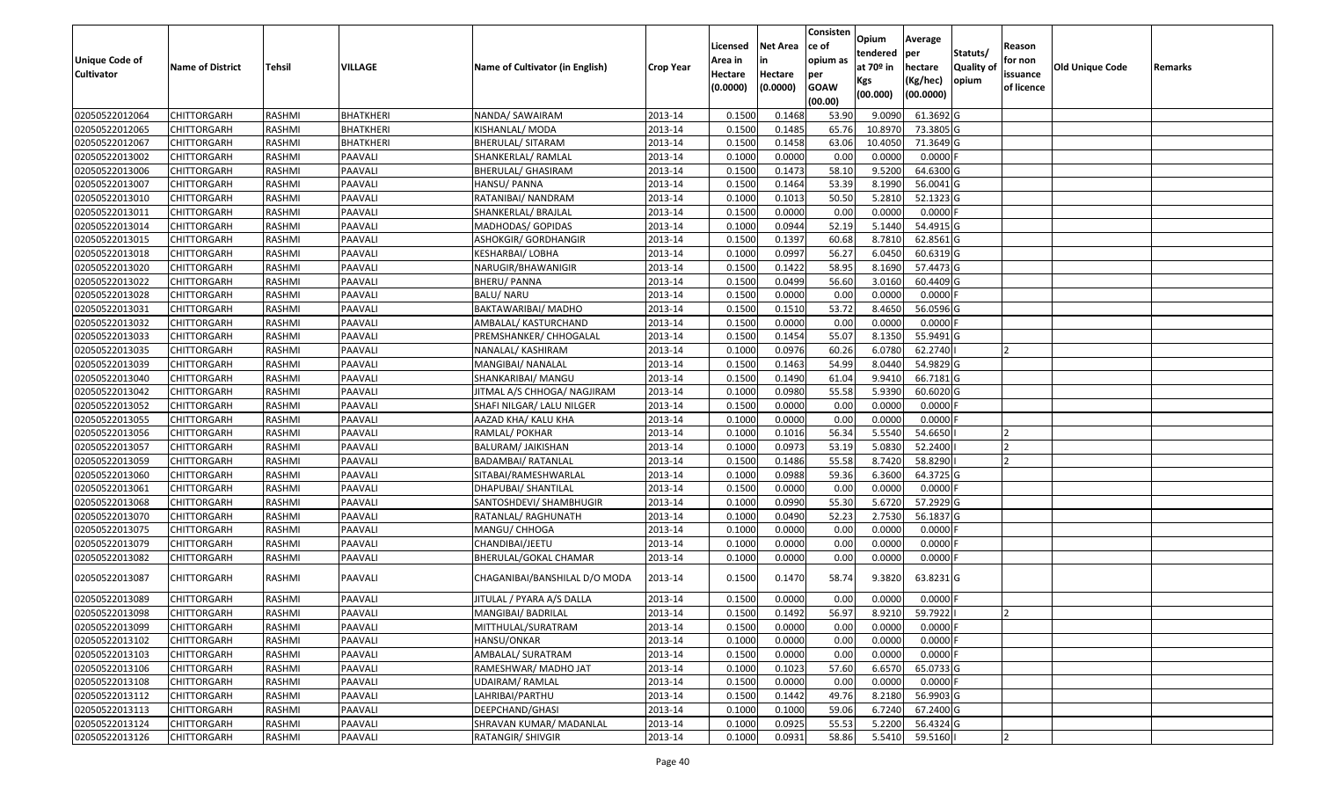|                       |                         |               |                  |                                 |                  |          |                 | Consisten              | Opium       | Average    |                  |            |                        |         |
|-----------------------|-------------------------|---------------|------------------|---------------------------------|------------------|----------|-----------------|------------------------|-------------|------------|------------------|------------|------------------------|---------|
|                       |                         |               |                  |                                 |                  | Licensed | <b>Net Area</b> | ce of                  | tendered    | per        | Statuts/         | Reason     |                        |         |
| <b>Unique Code of</b> | <b>Name of District</b> | <b>Tehsil</b> | <b>VILLAGE</b>   | Name of Cultivator (in English) | <b>Crop Year</b> | Area in  |                 | opium as               | at $70°$ in | hectare    | <b>Quality o</b> | for non    | <b>Old Unique Code</b> | Remarks |
| <b>Cultivator</b>     |                         |               |                  |                                 |                  | Hectare  | Hectare         | per                    | Kgs         | (Kg/hec)   | opium            | issuance   |                        |         |
|                       |                         |               |                  |                                 |                  | (0.0000) | (0.0000)        | <b>GOAW</b><br>(00.00) | (00.000)    | (00.0000)  |                  | of licence |                        |         |
| 02050522012064        | CHITTORGARH             | RASHMI        | <b>BHATKHERI</b> | NANDA/ SAWAIRAM                 | 2013-14          | 0.1500   | 0.1468          | 53.90                  | 9.0090      | 61.3692 G  |                  |            |                        |         |
| 02050522012065        | CHITTORGARH             | RASHMI        | <b>BHATKHERI</b> | KISHANLAL/ MODA                 | 2013-14          | 0.1500   | 0.1485          | 65.76                  | 10.897      | 73.3805 G  |                  |            |                        |         |
| 02050522012067        | CHITTORGARH             | RASHMI        | BHATKHERI        | BHERULAL/ SITARAM               | 2013-14          | 0.1500   | 0.1458          | 63.06                  | 10.4050     | 71.3649 G  |                  |            |                        |         |
| 02050522013002        | CHITTORGARH             | RASHMI        | PAAVALI          | SHANKERLAL/ RAMLAL              | 2013-14          | 0.1000   | 0.0000          | 0.00                   | 0.0000      | $0.0000$ F |                  |            |                        |         |
| 02050522013006        | CHITTORGARH             | RASHMI        | PAAVALI          | BHERULAL/ GHASIRAM              | 2013-14          | 0.1500   | 0.1473          | 58.10                  | 9.5200      | 64.6300 G  |                  |            |                        |         |
| 02050522013007        | CHITTORGARH             | RASHMI        | PAAVALI          | HANSU/ PANNA                    | 2013-14          | 0.1500   | 0.1464          | 53.39                  | 8.1990      | 56.0041 G  |                  |            |                        |         |
| 02050522013010        | CHITTORGARH             | RASHMI        | PAAVALI          | RATANIBAI/ NANDRAM              | 2013-14          | 0.1000   | 0.1013          | 50.50                  | 5.2810      | 52.1323 G  |                  |            |                        |         |
| 02050522013011        | <b>CHITTORGARH</b>      | <b>RASHMI</b> | PAAVALI          | SHANKERLAL/ BRAJLAL             | 2013-14          | 0.1500   | 0.0000          | 0.00                   | 0.0000      | $0.0000$ F |                  |            |                        |         |
| 02050522013014        | CHITTORGARH             | RASHMI        | PAAVALI          | MADHODAS/ GOPIDAS               | 2013-14          | 0.1000   | 0.0944          | 52.19                  | 5.1440      | 54.4915 G  |                  |            |                        |         |
| 02050522013015        | CHITTORGARH             | RASHMI        | PAAVALI          | ASHOKGIR/ GORDHANGIR            | 2013-14          | 0.1500   | 0.1397          | 60.68                  | 8.7810      | 62.8561 G  |                  |            |                        |         |
| 02050522013018        | CHITTORGARH             | RASHMI        | PAAVALI          | KESHARBAI/ LOBHA                | 2013-14          | 0.1000   | 0.0997          | 56.27                  | 6.0450      | 60.6319 G  |                  |            |                        |         |
| 02050522013020        | <b>CHITTORGARH</b>      | RASHMI        | PAAVALI          | NARUGIR/BHAWANIGIR              | 2013-14          | 0.1500   | 0.1422          | 58.95                  | 8.1690      | 57.4473 G  |                  |            |                        |         |
| 02050522013022        | <b>CHITTORGARH</b>      | RASHMI        | PAAVALI          | <b>BHERU/ PANNA</b>             | 2013-14          | 0.1500   | 0.0499          | 56.60                  | 3.0160      | 60.4409 G  |                  |            |                        |         |
| 02050522013028        | <b>CHITTORGARH</b>      | RASHMI        | PAAVALI          | <b>BALU/ NARU</b>               | 2013-14          | 0.1500   | 0.0000          | 0.00                   | 0.0000      | $0.0000$ F |                  |            |                        |         |
| 02050522013031        | <b>CHITTORGARH</b>      | RASHMI        | PAAVALI          | BAKTAWARIBAI/ MADHO             | 2013-14          | 0.1500   | 0.1510          | 53.72                  | 8.4650      | 56.0596 G  |                  |            |                        |         |
| 02050522013032        | <b>CHITTORGARH</b>      | RASHMI        | PAAVALI          | AMBALAL/ KASTURCHAND            | 2013-14          | 0.1500   | 0.0000          | 0.00                   | 0.0000      | $0.0000$ F |                  |            |                        |         |
| 02050522013033        | CHITTORGARH             | RASHMI        | PAAVALI          | PREMSHANKER/ CHHOGALAL          | 2013-14          | 0.1500   | 0.1454          | 55.07                  | 8.1350      | 55.9491 G  |                  |            |                        |         |
| 02050522013035        | CHITTORGARH             | RASHMI        | PAAVALI          | NANALAL/ KASHIRAM               | 2013-14          | 0.1000   | 0.0976          | 60.26                  | 6.0780      | 62.2740    |                  |            |                        |         |
| 02050522013039        | CHITTORGARH             | RASHMI        | PAAVALI          | MANGIBAI/ NANALAL               | 2013-14          | 0.150    | 0.1463          | 54.99                  | 8.0440      | 54.9829 G  |                  |            |                        |         |
| 02050522013040        | CHITTORGARH             | RASHMI        | PAAVALI          | SHANKARIBAI/ MANGU              | 2013-14          | 0.1500   | 0.1490          | 61.04                  | 9.941       | 66.7181G   |                  |            |                        |         |
| 02050522013042        | CHITTORGARH             | RASHMI        | PAAVALI          | JITMAL A/S CHHOGA/ NAGJIRAM     | 2013-14          | 0.1000   | 0.0980          | 55.58                  | 5.9390      | 60.6020 G  |                  |            |                        |         |
| 02050522013052        | CHITTORGARH             | RASHMI        | PAAVALI          | SHAFI NILGAR/ LALU NILGER       | 2013-14          | 0.150    | 0.0000          | 0.00                   | 0.0000      | 0.0000     |                  |            |                        |         |
| 02050522013055        | CHITTORGARH             | RASHMI        | PAAVALI          | AAZAD KHA/ KALU KHA             | 2013-14          | 0.1000   | 0.0000          | 0.00                   | 0.0000      | 0.0000     |                  |            |                        |         |
| 02050522013056        | <b>CHITTORGARH</b>      | RASHMI        | PAAVALI          | RAMLAL/ POKHAR                  | 2013-14          | 0.1000   | 0.1016          | 56.34                  | 5.5540      | 54.6650    |                  |            |                        |         |
| 02050522013057        | <b>CHITTORGARH</b>      | RASHMI        | PAAVALI          | BALURAM/ JAIKISHAN              | 2013-14          | 0.1000   | 0.0973          | 53.19                  | 5.0830      | 52.2400    |                  |            |                        |         |
| 02050522013059        | CHITTORGARH             | RASHMI        | PAAVALI          | <b>BADAMBAI/ RATANLAL</b>       | 2013-14          | 0.1500   | 0.1486          | 55.58                  | 8.7420      | 58.8290    |                  |            |                        |         |
| 02050522013060        | CHITTORGARH             | RASHMI        | PAAVALI          | SITABAI/RAMESHWARLAL            | 2013-14          | 0.1000   | 0.0988          | 59.36                  | 6.3600      | 64.3725 G  |                  |            |                        |         |
| 02050522013061        | CHITTORGARH             | RASHMI        | PAAVALI          | DHAPUBAI/ SHANTILAL             | 2013-14          | 0.1500   | 0.0000          | 0.00                   | 0.0000      | $0.0000$ F |                  |            |                        |         |
| 02050522013068        | CHITTORGARH             | RASHMI        | PAAVALI          | SANTOSHDEVI/ SHAMBHUGIR         | 2013-14          | 0.1000   | 0.0990          | 55.30                  | 5.6720      | 57.2929 G  |                  |            |                        |         |
| 02050522013070        | CHITTORGARH             | RASHMI        | PAAVALI          | RATANLAL/ RAGHUNATH             | 2013-14          | 0.1000   | 0.0490          | 52.23                  | 2.7530      | 56.1837 G  |                  |            |                        |         |
| 02050522013075        | CHITTORGARH             | RASHMI        | PAAVALI          | MANGU/ CHHOGA                   | 2013-14          | 0.1000   | 0.0000          | 0.00                   | 0.0000      | $0.0000$ F |                  |            |                        |         |
| 02050522013079        | CHITTORGARH             | RASHMI        | PAAVALI          | CHANDIBAI/JEETU                 | 2013-14          | 0.1000   | 0.0000          | 0.00                   | 0.0000      | 0.0000     |                  |            |                        |         |
| 02050522013082        | CHITTORGARH             | <b>RASHMI</b> | PAAVALI          | BHERULAL/GOKAL CHAMAR           | 2013-14          | 0.1000   | 0.0000          | 0.00                   | 0.0000      | $0.0000$ F |                  |            |                        |         |
| 02050522013087        | CHITTORGARH             | RASHMI        | PAAVALI          | CHAGANIBAI/BANSHILAL D/O MODA   | 2013-14          | 0.1500   | 0.1470          | 58.74                  | 9.3820      | 63.8231 G  |                  |            |                        |         |
| 02050522013089        | CHITTORGARH             | RASHMI        | PAAVALI          | JITULAL / PYARA A/S DALLA       | 2013-14          | 0.1500   | 0.0000          | 0.00                   | 0.0000      | $0.0000$ F |                  |            |                        |         |
| 02050522013098        | <b>CHITTORGARH</b>      | RASHMI        | PAAVALI          | MANGIBAI/ BADRILAL              | 2013-14          | 0.1500   | 0.1492          | 56.97                  | 8.9210      | 59.7922    |                  |            |                        |         |
| 02050522013099        | <b>CHITTORGARH</b>      | RASHMI        | PAAVALI          | MITTHULAL/SURATRAM              | 2013-14          | 0.1500   | 0.0000          | 0.00                   | 0.0000      | $0.0000$ F |                  | ΙZ         |                        |         |
| 02050522013102        | <b>CHITTORGARH</b>      | RASHMI        | PAAVALI          | HANSU/ONKAR                     | 2013-14          | 0.1000   | 0.0000          | 0.00                   | 0.0000      | $0.0000$ F |                  |            |                        |         |
| 02050522013103        | <b>CHITTORGARH</b>      | RASHMI        | PAAVALI          | AMBALAL/ SURATRAM               | 2013-14          | 0.1500   | 0.0000          | 0.00                   | 0.0000      | $0.0000$ F |                  |            |                        |         |
| 02050522013106        | <b>CHITTORGARH</b>      | RASHMI        | PAAVALI          | RAMESHWAR/ MADHO JAT            | 2013-14          | 0.1000   | 0.1023          | 57.60                  | 6.6570      | 65.0733 G  |                  |            |                        |         |
| 02050522013108        | <b>CHITTORGARH</b>      | RASHMI        | PAAVALI          | <b>UDAIRAM/ RAMLAL</b>          | 2013-14          | 0.1500   | 0.0000          | 0.00                   | 0.0000      | $0.0000$ F |                  |            |                        |         |
| 02050522013112        | <b>CHITTORGARH</b>      | RASHMI        | PAAVALI          | LAHRIBAI/PARTHU                 | 2013-14          | 0.1500   | 0.1442          | 49.76                  | 8.2180      | 56.9903 G  |                  |            |                        |         |
| 02050522013113        | <b>CHITTORGARH</b>      | RASHMI        | PAAVALI          | DEEPCHAND/GHASI                 | 2013-14          | 0.1000   | 0.1000          | 59.06                  | 6.7240      | 67.2400 G  |                  |            |                        |         |
| 02050522013124        | <b>CHITTORGARH</b>      | RASHMI        | PAAVALI          | SHRAVAN KUMAR/ MADANLAL         | 2013-14          | 0.1000   | 0.0925          | 55.53                  | 5.2200      | 56.4324 G  |                  |            |                        |         |
| 02050522013126        | <b>CHITTORGARH</b>      | RASHMI        | PAAVALI          | RATANGIR/ SHIVGIR               | 2013-14          | 0.1000   | 0.0931          | 58.86                  | 5.5410      | 59.5160    |                  |            |                        |         |
|                       |                         |               |                  |                                 |                  |          |                 |                        |             |            |                  |            |                        |         |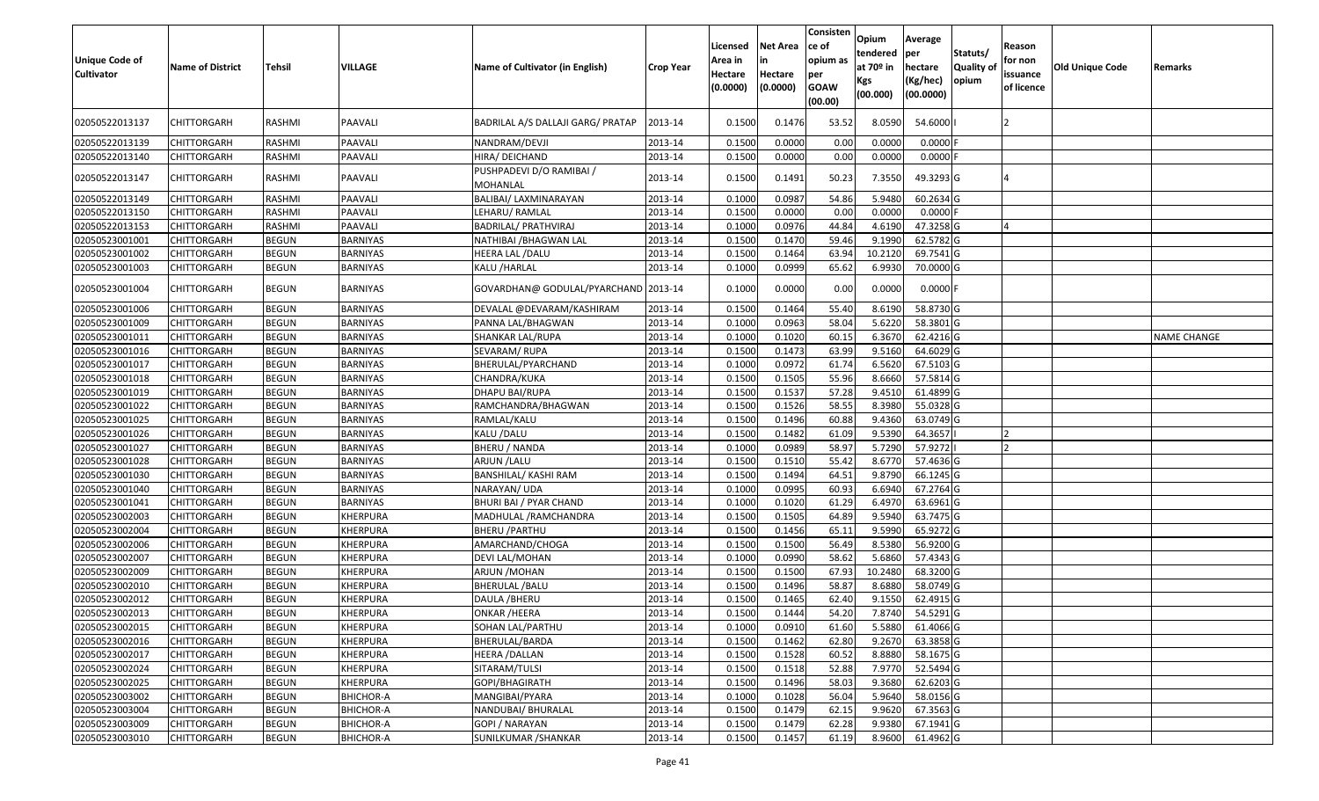| <b>Unique Code of</b><br><b>Cultivator</b> | <b>Name of District</b> | Tehsil       | VILLAGE          | Name of Cultivator (in English)      | <b>Crop Year</b> | Licensed<br>Area in<br>Hectare<br>(0.0000) | Net Area<br>in<br>Hectare<br>(0.0000) | Consisten<br>ce of<br>opium as<br>per<br><b>GOAW</b><br>(00.00) | Opium<br>tendered<br>at 70º in<br>Kgs<br>(00.000) | Average<br>per<br>hectare<br>(Kg/hec)<br>(00.0000) | Statuts/<br><b>Quality of</b><br>opium | Reason<br>for non<br>issuance<br>of licence | Old Unique Code | Remarks            |
|--------------------------------------------|-------------------------|--------------|------------------|--------------------------------------|------------------|--------------------------------------------|---------------------------------------|-----------------------------------------------------------------|---------------------------------------------------|----------------------------------------------------|----------------------------------------|---------------------------------------------|-----------------|--------------------|
| 02050522013137                             | CHITTORGARH             | RASHMI       | PAAVALI          | BADRILAL A/S DALLAJI GARG/ PRATAP    | 2013-14          | 0.1500                                     | 0.1476                                | 53.52                                                           | 8.0590                                            | 54.6000                                            |                                        |                                             |                 |                    |
| 02050522013139                             | CHITTORGARH             | RASHMI       | PAAVALI          | NANDRAM/DEVJI                        | 2013-14          | 0.1500                                     | 0.0000                                | 0.00                                                            | 0.0000                                            | $0.0000$ F                                         |                                        |                                             |                 |                    |
| 02050522013140                             | CHITTORGARH             | RASHMI       | PAAVALI          | HIRA/ DEICHAND                       | 2013-14          | 0.1500                                     | 0.0000                                | 0.00                                                            | 0.0000                                            | $0.0000$ F                                         |                                        |                                             |                 |                    |
| 02050522013147                             | CHITTORGARH             | RASHMI       | PAAVALI          | PUSHPADEVI D/O RAMIBAI /<br>MOHANLAL | 2013-14          | 0.1500                                     | 0.1491                                | 50.23                                                           | 7.3550                                            | 49.3293 G                                          |                                        |                                             |                 |                    |
| 02050522013149                             | CHITTORGARH             | RASHMI       | PAAVALI          | BALIBAI/ LAXMINARAYAN                | 2013-14          | 0.1000                                     | 0.0987                                | 54.86                                                           | 5.9480                                            | 60.2634 G                                          |                                        |                                             |                 |                    |
| 02050522013150                             | <b>CHITTORGARH</b>      | RASHMI       | PAAVALI          | LEHARU/RAMLAL                        | 2013-14          | 0.1500                                     | 0.0000                                | 0.00                                                            | 0.0000                                            | $0.0000$ F                                         |                                        |                                             |                 |                    |
| 02050522013153                             | <b>CHITTORGARH</b>      | RASHMI       | PAAVALI          | BADRILAL/ PRATHVIRAJ                 | 2013-14          | 0.1000                                     | 0.0976                                | 44.84                                                           | 4.6190                                            | 47.3258 G                                          |                                        |                                             |                 |                    |
| 02050523001001                             | <b>CHITTORGARH</b>      | <b>BEGUN</b> | <b>BARNIYAS</b>  | NATHIBAI / BHAGWAN LAL               | 2013-14          | 0.1500                                     | 0.1470                                | 59.46                                                           | 9.1990                                            | 62.5782 G                                          |                                        |                                             |                 |                    |
| 02050523001002                             | CHITTORGARH             | <b>BEGUN</b> | BARNIYAS         | HEERA LAL /DALU                      | 2013-14          | 0.1500                                     | 0.1464                                | 63.94                                                           | 10.2120                                           | 69.7541 G                                          |                                        |                                             |                 |                    |
| 02050523001003                             | CHITTORGARH             | <b>BEGUN</b> | BARNIYAS         | KALU /HARLAL                         | 2013-14          | 0.1000                                     | 0.0999                                | 65.62                                                           | 6.9930                                            | 70.0000 G                                          |                                        |                                             |                 |                    |
| 02050523001004                             | CHITTORGARH             | <b>BEGUN</b> | BARNIYAS         | GOVARDHAN@ GODULAL/PYARCHAND 2013-14 |                  | 0.1000                                     | 0.0000                                | 0.00                                                            | 0.0000                                            | $0.0000$ F                                         |                                        |                                             |                 |                    |
| 02050523001006                             | CHITTORGARH             | <b>BEGUN</b> | BARNIYAS         | DEVALAL @DEVARAM/KASHIRAM            | 2013-14          | 0.1500                                     | 0.1464                                | 55.40                                                           | 8.6190                                            | 58.8730 G                                          |                                        |                                             |                 |                    |
| 02050523001009                             | CHITTORGARH             | <b>BEGUN</b> | <b>BARNIYAS</b>  | PANNA LAL/BHAGWAN                    | 2013-14          | 0.1000                                     | 0.0963                                | 58.04                                                           | 5.6220                                            | 58.3801 G                                          |                                        |                                             |                 |                    |
| 02050523001011                             | CHITTORGARH             | <b>BEGUN</b> | <b>BARNIYAS</b>  | SHANKAR LAL/RUPA                     | 2013-14          | 0.1000                                     | 0.1020                                | 60.15                                                           | 6.3670                                            | 62.4216 G                                          |                                        |                                             |                 | <b>NAME CHANGE</b> |
| 02050523001016                             | <b>CHITTORGARH</b>      | <b>BEGUN</b> | BARNIYAS         | SEVARAM/RUPA                         | 2013-14          | 0.1500                                     | 0.1473                                | 63.99                                                           | 9.5160                                            | 64.6029 G                                          |                                        |                                             |                 |                    |
| 02050523001017                             | <b>CHITTORGARH</b>      | <b>BEGUN</b> | <b>BARNIYAS</b>  | BHERULAL/PYARCHAND                   | 2013-14          | 0.1000                                     | 0.0972                                | 61.74                                                           | 6.5620                                            | 67.5103 G                                          |                                        |                                             |                 |                    |
| 02050523001018                             | CHITTORGARH             | <b>BEGUN</b> | <b>BARNIYAS</b>  | CHANDRA/KUKA                         | 2013-14          | 0.1500                                     | 0.1505                                | 55.96                                                           | 8.6660                                            | 57.5814 G                                          |                                        |                                             |                 |                    |
| 02050523001019                             | <b>CHITTORGARH</b>      | <b>BEGUN</b> | <b>BARNIYAS</b>  | DHAPU BAI/RUPA                       | 2013-14          | 0.1500                                     | 0.1537                                | 57.28                                                           | 9.4510                                            | 61.4899 G                                          |                                        |                                             |                 |                    |
| 02050523001022                             | CHITTORGARH             | <b>BEGUN</b> | <b>BARNIYAS</b>  | RAMCHANDRA/BHAGWAN                   | 2013-14          | 0.1500                                     | 0.1526                                | 58.55                                                           | 8.3980                                            | 55.0328 G                                          |                                        |                                             |                 |                    |
| 02050523001025                             | CHITTORGARH             | <b>BEGUN</b> | <b>BARNIYAS</b>  | RAMLAL/KALU                          | 2013-14          | 0.1500                                     | 0.1496                                | 60.88                                                           | 9.4360                                            | 63.0749 G                                          |                                        |                                             |                 |                    |
| 02050523001026                             | CHITTORGARH             | <b>BEGUN</b> | <b>BARNIYAS</b>  | KALU /DALU                           | 2013-14          | 0.1500                                     | 0.1482                                | 61.09                                                           | 9.5390                                            | 64.3657                                            |                                        |                                             |                 |                    |
| 02050523001027                             | <b>CHITTORGARH</b>      | <b>BEGUN</b> | <b>BARNIYAS</b>  | <b>BHERU / NANDA</b>                 | 2013-14          | 0.1000                                     | 0.0989                                | 58.97                                                           | 5.7290                                            | 57.9272                                            |                                        |                                             |                 |                    |
| 02050523001028                             | CHITTORGARH             | <b>BEGUN</b> | <b>BARNIYAS</b>  | ARJUN / LALU                         | 2013-14          | 0.1500                                     | 0.1510                                | 55.42                                                           | 8.6770                                            | 57.4636 G                                          |                                        |                                             |                 |                    |
| 02050523001030                             | CHITTORGARH             | <b>BEGUN</b> | <b>BARNIYAS</b>  | <b>BANSHILAL/ KASHI RAM</b>          | 2013-14          | 0.1500                                     | 0.1494                                | 64.51                                                           | 9.8790                                            | 66.1245 G                                          |                                        |                                             |                 |                    |
| 02050523001040                             | CHITTORGARH             | <b>BEGUN</b> | <b>BARNIYAS</b>  | NARAYAN/ UDA                         | 2013-14          | 0.1000                                     | 0.0995                                | 60.93                                                           | 6.6940                                            | 67.2764 G                                          |                                        |                                             |                 |                    |
| 02050523001041                             | <b>CHITTORGARH</b>      | <b>BEGUN</b> | <b>BARNIYAS</b>  | BHURI BAI / PYAR CHAND               | 2013-14          | 0.1000                                     | 0.1020                                | 61.29                                                           | 6.4970                                            | 63.6961 G                                          |                                        |                                             |                 |                    |
| 02050523002003                             | <b>CHITTORGARH</b>      | <b>BEGUN</b> | <b>KHERPURA</b>  | MADHULAL / RAMCHANDRA                | 2013-14          | 0.1500                                     | 0.1505                                | 64.89                                                           | 9.5940                                            | 63.7475 G                                          |                                        |                                             |                 |                    |
| 02050523002004                             | CHITTORGARH             | <b>BEGUN</b> | KHERPURA         | <b>BHERU / PARTHU</b>                | 2013-14          | 0.1500                                     | 0.1456                                | 65.11                                                           | 9.5990                                            | 65.9272 G                                          |                                        |                                             |                 |                    |
| 02050523002006                             | CHITTORGARH             | <b>BEGUN</b> | KHERPURA         | AMARCHAND/CHOGA                      | 2013-14          | 0.1500                                     | 0.1500                                | 56.49                                                           | 8.5380                                            | 56.9200 G                                          |                                        |                                             |                 |                    |
| 02050523002007                             | CHITTORGARH             | <b>BEGUN</b> | KHERPURA         | DEVI LAL/MOHAN                       | 2013-14          | 0.1000                                     | 0.0990                                | 58.62                                                           | 5.6860                                            | 57.4343 G                                          |                                        |                                             |                 |                    |
| 02050523002009                             | CHITTORGARH             | <b>BEGUN</b> | KHERPURA         | ARJUN / MOHAN                        | 2013-14          | 0.1500                                     | 0.1500                                | 67.93                                                           | 10.2480                                           | 68.3200 G                                          |                                        |                                             |                 |                    |
| 02050523002010                             | CHITTORGARH             | <b>BEGUN</b> | KHERPURA         | <b>BHERULAL / BALU</b>               | 2013-14          | 0.1500                                     | 0.1496                                | 58.87                                                           | 8.6880                                            | 58.0749 G                                          |                                        |                                             |                 |                    |
| 02050523002012                             | <b>CHITTORGARH</b>      | <b>BEGUN</b> | <b>KHERPURA</b>  | DAULA / BHERU                        | 2013-14          | 0.1500                                     | 0.1465                                | 62.40                                                           | 9.1550                                            | 62.4915 G                                          |                                        |                                             |                 |                    |
| 02050523002013                             | <b>CHITTORGARH</b>      | <b>BEGUN</b> | <b>KHERPURA</b>  | <b>ONKAR /HEERA</b>                  | 2013-14          | 0.1500                                     | 0.1444                                | 54.20                                                           |                                                   | 7.8740 54.5291 G                                   |                                        |                                             |                 |                    |
| 02050523002015                             | <b>CHITTORGARH</b>      | <b>BEGUN</b> | <b>KHERPURA</b>  | SOHAN LAL/PARTHU                     | 2013-14          | 0.1000                                     | 0.0910                                | 61.60                                                           | 5.5880                                            | 61.4066 G                                          |                                        |                                             |                 |                    |
| 02050523002016                             | <b>CHITTORGARH</b>      | <b>BEGUN</b> | KHERPURA         | BHERULAL/BARDA                       | 2013-14          | 0.1500                                     | 0.1462                                | 62.80                                                           | 9.2670                                            | 63.3858 G                                          |                                        |                                             |                 |                    |
| 02050523002017                             | <b>CHITTORGARH</b>      | <b>BEGUN</b> | <b>KHERPURA</b>  | <b>HEERA /DALLAN</b>                 | 2013-14          | 0.1500                                     | 0.1528                                | 60.52                                                           | 8.8880                                            | 58.1675 G                                          |                                        |                                             |                 |                    |
| 02050523002024                             | <b>CHITTORGARH</b>      | <b>BEGUN</b> | <b>KHERPURA</b>  | SITARAM/TULSI                        | 2013-14          | 0.1500                                     | 0.1518                                | 52.88                                                           | 7.9770                                            | 52.5494 G                                          |                                        |                                             |                 |                    |
| 02050523002025                             | <b>CHITTORGARH</b>      | <b>BEGUN</b> | <b>KHERPURA</b>  | GOPI/BHAGIRATH                       | 2013-14          | 0.1500                                     | 0.1496                                | 58.03                                                           | 9.3680                                            | 62.6203 G                                          |                                        |                                             |                 |                    |
| 02050523003002                             | <b>CHITTORGARH</b>      | <b>BEGUN</b> | <b>BHICHOR-A</b> | MANGIBAI/PYARA                       | 2013-14          | 0.1000                                     | 0.1028                                | 56.04                                                           | 5.9640                                            | 58.0156 G                                          |                                        |                                             |                 |                    |
| 02050523003004                             | <b>CHITTORGARH</b>      | <b>BEGUN</b> | <b>BHICHOR-A</b> | NANDUBAI/ BHURALAL                   | 2013-14          | 0.1500                                     | 0.1479                                | 62.15                                                           | 9.9620                                            | 67.3563 G                                          |                                        |                                             |                 |                    |
| 02050523003009                             | <b>CHITTORGARH</b>      | <b>BEGUN</b> | <b>BHICHOR-A</b> | <b>GOPI / NARAYAN</b>                | 2013-14          | 0.1500                                     | 0.1479                                | 62.28                                                           | 9.9380                                            | 67.1941 G                                          |                                        |                                             |                 |                    |
| 02050523003010                             | <b>CHITTORGARH</b>      | <b>BEGUN</b> | <b>BHICHOR-A</b> | SUNILKUMAR / SHANKAR                 | 2013-14          | 0.1500                                     | 0.1457                                | 61.19                                                           | 8.9600                                            | 61.4962 G                                          |                                        |                                             |                 |                    |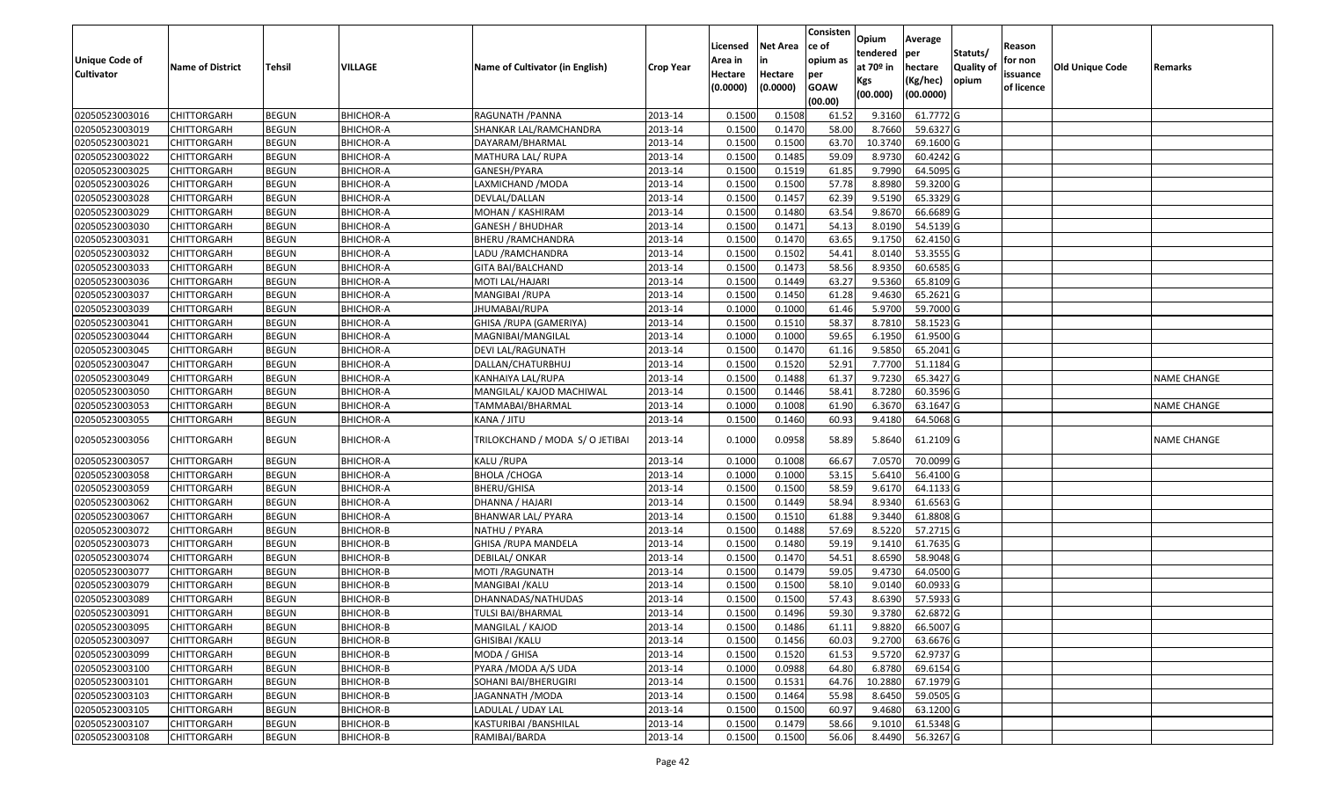| <b>Unique Code of</b><br><b>Cultivator</b> | <b>Name of District</b> | <b>Tehsil</b> | VILLAGE          | Name of Cultivator (in English) | <b>Crop Year</b> | Licensed<br>Area in<br>Hectare<br>(0.0000) | <b>Net Area</b><br>in<br>Hectare<br>(0.0000) | Consisten<br>ce of<br>opium as<br>per<br><b>GOAW</b><br>(00.00) | Opium<br>tendered<br>at $70°$ in<br>Kgs<br>(00.000) | Average<br>per<br>hectare<br>(Kg/hec)<br>(00.0000) | Statuts/<br>Quality of<br>opium | Reason<br>for non<br>issuance<br>of licence | <b>Old Unique Code</b> | Remarks            |
|--------------------------------------------|-------------------------|---------------|------------------|---------------------------------|------------------|--------------------------------------------|----------------------------------------------|-----------------------------------------------------------------|-----------------------------------------------------|----------------------------------------------------|---------------------------------|---------------------------------------------|------------------------|--------------------|
| 02050523003016                             | <b>CHITTORGARH</b>      | <b>BEGUN</b>  | <b>BHICHOR-A</b> | RAGUNATH / PANNA                | 2013-14          | 0.1500                                     | 0.1508                                       | 61.52                                                           | 9.3160                                              | 61.7772 G                                          |                                 |                                             |                        |                    |
| 02050523003019                             | CHITTORGARH             | <b>BEGUN</b>  | <b>BHICHOR-A</b> | SHANKAR LAL/RAMCHANDRA          | 2013-14          | 0.1500                                     | 0.1470                                       | 58.00                                                           | 8.7660                                              | 59.6327 G                                          |                                 |                                             |                        |                    |
| 02050523003021                             | CHITTORGARH             | <b>BEGUN</b>  | <b>BHICHOR-A</b> | DAYARAM/BHARMAL                 | 2013-14          | 0.1500                                     | 0.1500                                       | 63.70                                                           | 10.3740                                             | 69.1600 G                                          |                                 |                                             |                        |                    |
| 02050523003022                             | <b>CHITTORGARH</b>      | <b>BEGUN</b>  | <b>BHICHOR-A</b> | MATHURA LAL/ RUPA               | 2013-14          | 0.1500                                     | 0.1485                                       | 59.09                                                           | 8.9730                                              | 60.4242 G                                          |                                 |                                             |                        |                    |
| 02050523003025                             | <b>CHITTORGARH</b>      | <b>BEGUN</b>  | <b>BHICHOR-A</b> | GANESH/PYARA                    | 2013-14          | 0.1500                                     | 0.1519                                       | 61.85                                                           | 9.7990                                              | 64.5095 G                                          |                                 |                                             |                        |                    |
| 02050523003026                             | CHITTORGARH             | <b>BEGUN</b>  | <b>BHICHOR-A</b> | LAXMICHAND /MODA                | 2013-14          | 0.1500                                     | 0.1500                                       | 57.78                                                           | 8.8980                                              | 59.3200 G                                          |                                 |                                             |                        |                    |
| 02050523003028                             | <b>CHITTORGARH</b>      | <b>BEGUN</b>  | <b>BHICHOR-A</b> | DEVLAL/DALLAN                   | 2013-14          | 0.1500                                     | 0.1457                                       | 62.39                                                           | 9.5190                                              | 65.3329 G                                          |                                 |                                             |                        |                    |
| 02050523003029                             | <b>CHITTORGARH</b>      | <b>BEGUN</b>  | <b>BHICHOR-A</b> | MOHAN / KASHIRAM                | 2013-14          | 0.1500                                     | 0.1480                                       | 63.54                                                           | 9.8670                                              | 66.6689 G                                          |                                 |                                             |                        |                    |
| 02050523003030                             | <b>CHITTORGARH</b>      | <b>BEGUN</b>  | <b>BHICHOR-A</b> | GANESH / BHUDHAR                | 2013-14          | 0.1500                                     | 0.1471                                       | 54.13                                                           | 8.0190                                              | 54.5139 G                                          |                                 |                                             |                        |                    |
| 02050523003031                             | CHITTORGARH             | <b>BEGUN</b>  | <b>BHICHOR-A</b> | BHERU / RAMCHANDRA              | 2013-14          | 0.1500                                     | 0.1470                                       | 63.65                                                           | 9.1750                                              | 62.4150 G                                          |                                 |                                             |                        |                    |
| 02050523003032                             | <b>CHITTORGARH</b>      | <b>BEGUN</b>  | <b>BHICHOR-A</b> | LADU /RAMCHANDRA                | 2013-14          | 0.1500                                     | 0.1502                                       | 54.41                                                           | 8.0140                                              | 53.3555 G                                          |                                 |                                             |                        |                    |
| 02050523003033                             | CHITTORGARH             | <b>BEGUN</b>  | <b>BHICHOR-A</b> | <b>GITA BAI/BALCHAND</b>        | 2013-14          | 0.1500                                     | 0.1473                                       | 58.56                                                           | 8.9350                                              | 60.6585 G                                          |                                 |                                             |                        |                    |
| 02050523003036                             | CHITTORGARH             | <b>BEGUN</b>  | <b>BHICHOR-A</b> | MOTI LAL/HAJARI                 | 2013-14          | 0.1500                                     | 0.1449                                       | 63.27                                                           | 9.5360                                              | 65.8109 G                                          |                                 |                                             |                        |                    |
| 02050523003037                             | CHITTORGARH             | <b>BEGUN</b>  | <b>BHICHOR-A</b> | MANGIBAI /RUPA                  | 2013-14          | 0.150                                      | 0.1450                                       | 61.28                                                           | 9.4630                                              | 65.2621G                                           |                                 |                                             |                        |                    |
| 02050523003039                             | CHITTORGARH             | <b>BEGUN</b>  | <b>BHICHOR-A</b> | JHUMABAI/RUPA                   | 2013-14          | 0.1000                                     | 0.1000                                       | 61.46                                                           | 5.9700                                              | 59.7000 G                                          |                                 |                                             |                        |                    |
| 02050523003041                             | CHITTORGARH             | <b>BEGUN</b>  | <b>BHICHOR-A</b> | GHISA / RUPA (GAMERIYA)         | 2013-14          | 0.150                                      | 0.1510                                       | 58.37                                                           | 8.7810                                              | 58.1523 G                                          |                                 |                                             |                        |                    |
| 02050523003044                             | CHITTORGARH             | <b>BEGUN</b>  | <b>BHICHOR-A</b> | MAGNIBAI/MANGILAL               | 2013-14          | 0.1000                                     | 0.1000                                       | 59.65                                                           | 6.1950                                              | 61.9500 G                                          |                                 |                                             |                        |                    |
| 02050523003045                             | CHITTORGARH             | <b>BEGUN</b>  | <b>BHICHOR-A</b> | DEVI LAL/RAGUNATH               | 2013-14          | 0.1500                                     | 0.1470                                       | 61.16                                                           | 9.585                                               | 65.2041 G                                          |                                 |                                             |                        |                    |
| 02050523003047                             | CHITTORGARH             | <b>BEGUN</b>  | <b>BHICHOR-A</b> | DALLAN/CHATURBHUJ               | 2013-14          | 0.1500                                     | 0.1520                                       | 52.91                                                           | 7.7700                                              | 51.1184 G                                          |                                 |                                             |                        |                    |
| 02050523003049                             | CHITTORGARH             | <b>BEGUN</b>  | <b>BHICHOR-A</b> | KANHAIYA LAL/RUPA               | 2013-14          | 0.1500                                     | 0.1488                                       | 61.37                                                           | 9.7230                                              | 65.3427 G                                          |                                 |                                             |                        | <b>NAME CHANGE</b> |
| 02050523003050                             | CHITTORGARH             | <b>BEGUN</b>  | <b>BHICHOR-A</b> | MANGILAL/ KAJOD MACHIWAL        | 2013-14          | 0.1500                                     | 0.1446                                       | 58.41                                                           | 8.7280                                              | 60.3596 G                                          |                                 |                                             |                        |                    |
| 02050523003053                             | CHITTORGARH             | <b>BEGUN</b>  | <b>BHICHOR-A</b> | TAMMABAI/BHARMAL                | 2013-14          | 0.1000                                     | 0.1008                                       | 61.90                                                           | 6.3670                                              | 63.1647 G                                          |                                 |                                             |                        | <b>NAME CHANGE</b> |
| 02050523003055                             | CHITTORGARH             | <b>BEGUN</b>  | <b>BHICHOR-A</b> | KANA / JITU                     | 2013-14          | 0.1500                                     | 0.1460                                       | 60.93                                                           | 9.4180                                              | 64.5068 G                                          |                                 |                                             |                        |                    |
| 02050523003056                             | CHITTORGARH             | <b>BEGUN</b>  | <b>BHICHOR-A</b> | TRILOKCHAND / MODA S/ O JETIBAI | 2013-14          | 0.1000                                     | 0.0958                                       | 58.89                                                           | 5.8640                                              | 61.2109 G                                          |                                 |                                             |                        | <b>NAME CHANGE</b> |
| 02050523003057                             | <b>CHITTORGARH</b>      | <b>BEGUN</b>  | <b>BHICHOR-A</b> | KALU /RUPA                      | 2013-14          | 0.1000                                     | 0.1008                                       | 66.67                                                           | 7.0570                                              | 70.0099 G                                          |                                 |                                             |                        |                    |
| 02050523003058                             | <b>CHITTORGARH</b>      | <b>BEGUN</b>  | <b>BHICHOR-A</b> | <b>BHOLA / CHOGA</b>            | 2013-14          | 0.1000                                     | 0.1000                                       | 53.15                                                           | 5.6410                                              | 56.4100 G                                          |                                 |                                             |                        |                    |
| 02050523003059                             | <b>CHITTORGARH</b>      | <b>BEGUN</b>  | <b>BHICHOR-A</b> | BHERU/GHISA                     | 2013-14          | 0.1500                                     | 0.1500                                       | 58.59                                                           | 9.6170                                              | 64.1133 G                                          |                                 |                                             |                        |                    |
| 02050523003062                             | CHITTORGARH             | <b>BEGUN</b>  | <b>BHICHOR-A</b> | DHANNA / HAJARI                 | 2013-14          | 0.1500                                     | 0.1449                                       | 58.94                                                           | 8.9340                                              | 61.6563 G                                          |                                 |                                             |                        |                    |
| 02050523003067                             | <b>CHITTORGARH</b>      | <b>BEGUN</b>  | <b>BHICHOR-A</b> | BHANWAR LAL/ PYARA              | 2013-14          | 0.1500                                     | 0.1510                                       | 61.88                                                           | 9.3440                                              | 61.8808 G                                          |                                 |                                             |                        |                    |
| 02050523003072                             | CHITTORGARH             | <b>BEGUN</b>  | BHICHOR-B        | NATHU / PYARA                   | 2013-14          | 0.1500                                     | 0.1488                                       | 57.69                                                           | 8.5220                                              | 57.2715 G                                          |                                 |                                             |                        |                    |
| 02050523003073                             | CHITTORGARH             | <b>BEGUN</b>  | <b>BHICHOR-B</b> | GHISA /RUPA MANDELA             | 2013-14          | 0.1500                                     | 0.1480                                       | 59.19                                                           | 9.1410                                              | 61.7635 G                                          |                                 |                                             |                        |                    |
| 02050523003074                             | CHITTORGARH             | <b>BEGUN</b>  | BHICHOR-B        | DEBILAL/ ONKAR                  | 2013-14          | 0.1500                                     | 0.1470                                       | 54.51                                                           | 8.6590                                              | 58.9048 G                                          |                                 |                                             |                        |                    |
| 02050523003077                             | <b>CHITTORGARH</b>      | <b>BEGUN</b>  | <b>BHICHOR-B</b> | MOTI / RAGUNATH                 | 2013-14          | 0.1500                                     | 0.1479                                       | 59.05                                                           | 9.4730                                              | 64.0500G                                           |                                 |                                             |                        |                    |
| 02050523003079                             | CHITTORGARH             | <b>BEGUN</b>  | BHICHOR-B        | MANGIBAI /KALU                  | 2013-14          | 0.150                                      | 0.1500                                       | 58.10                                                           | 9.0140                                              | 60.0933 G                                          |                                 |                                             |                        |                    |
| 02050523003089                             | CHITTORGARH             | <b>BEGUN</b>  | <b>BHICHOR-B</b> | DHANNADAS/NATHUDAS              | 2013-14          | 0.1500                                     | 0.1500                                       | 57.43                                                           | 8.6390                                              | 57.5933 G                                          |                                 |                                             |                        |                    |
| 02050523003091                             | <b>CHITTORGARH</b>      | <b>BEGUN</b>  | BHICHOR-B        | <b>TULSI BAI/BHARMAL</b>        | 2013-14          | 0.1500                                     | 0.1496                                       | 59.30                                                           | 9.3780                                              | 62.6872 G                                          |                                 |                                             |                        |                    |
| 02050523003095                             | <b>CHITTORGARH</b>      | <b>BEGUN</b>  | <b>BHICHOR-B</b> | MANGILAL / KAJOD                | 2013-14          | 0.1500                                     | 0.1486                                       | 61.11                                                           | 9.8820                                              | 66.5007 G                                          |                                 |                                             |                        |                    |
| 02050523003097                             | <b>CHITTORGARH</b>      | <b>BEGUN</b>  | <b>BHICHOR-B</b> | GHISIBAI /KALU                  | 2013-14          | 0.1500                                     | 0.1456                                       | 60.03                                                           | 9.2700                                              | 63.6676 G                                          |                                 |                                             |                        |                    |
| 02050523003099                             | <b>CHITTORGARH</b>      | <b>BEGUN</b>  | <b>BHICHOR-B</b> | MODA / GHISA                    | 2013-14          | 0.1500                                     | 0.1520                                       | 61.53                                                           | 9.5720                                              | 62.9737 G                                          |                                 |                                             |                        |                    |
| 02050523003100                             | <b>CHITTORGARH</b>      | <b>BEGUN</b>  | <b>BHICHOR-B</b> | PYARA / MODA A/S UDA            | 2013-14          | 0.1000                                     | 0.0988                                       | 64.80                                                           | 6.8780                                              | 69.6154 G                                          |                                 |                                             |                        |                    |
| 02050523003101                             | <b>CHITTORGARH</b>      | <b>BEGUN</b>  | <b>BHICHOR-B</b> | SOHANI BAI/BHERUGIRI            | 2013-14          | 0.1500                                     | 0.1531                                       | 64.76                                                           | 10.2880                                             | 67.1979 G                                          |                                 |                                             |                        |                    |
| 02050523003103                             | <b>CHITTORGARH</b>      | <b>BEGUN</b>  | <b>BHICHOR-B</b> | JAGANNATH / MODA                | 2013-14          | 0.1500                                     | 0.1464                                       | 55.98                                                           | 8.6450                                              | 59.0505 G                                          |                                 |                                             |                        |                    |
| 02050523003105                             | <b>CHITTORGARH</b>      | <b>BEGUN</b>  | <b>BHICHOR-B</b> | LADULAL / UDAY LAL              | 2013-14          | 0.1500                                     | 0.1500                                       | 60.97                                                           | 9.4680                                              | 63.1200 G                                          |                                 |                                             |                        |                    |
| 02050523003107                             | CHITTORGARH             | <b>BEGUN</b>  | <b>BHICHOR-B</b> | KASTURIBAI /BANSHILAL           | 2013-14          | 0.1500                                     | 0.1479                                       | 58.66                                                           | 9.1010                                              | 61.5348 G                                          |                                 |                                             |                        |                    |
| 02050523003108                             | <b>CHITTORGARH</b>      | <b>BEGUN</b>  | <b>BHICHOR-B</b> | RAMIBAI/BARDA                   | 2013-14          | 0.1500                                     | 0.1500                                       | 56.06                                                           | 8.4490                                              | 56.3267 G                                          |                                 |                                             |                        |                    |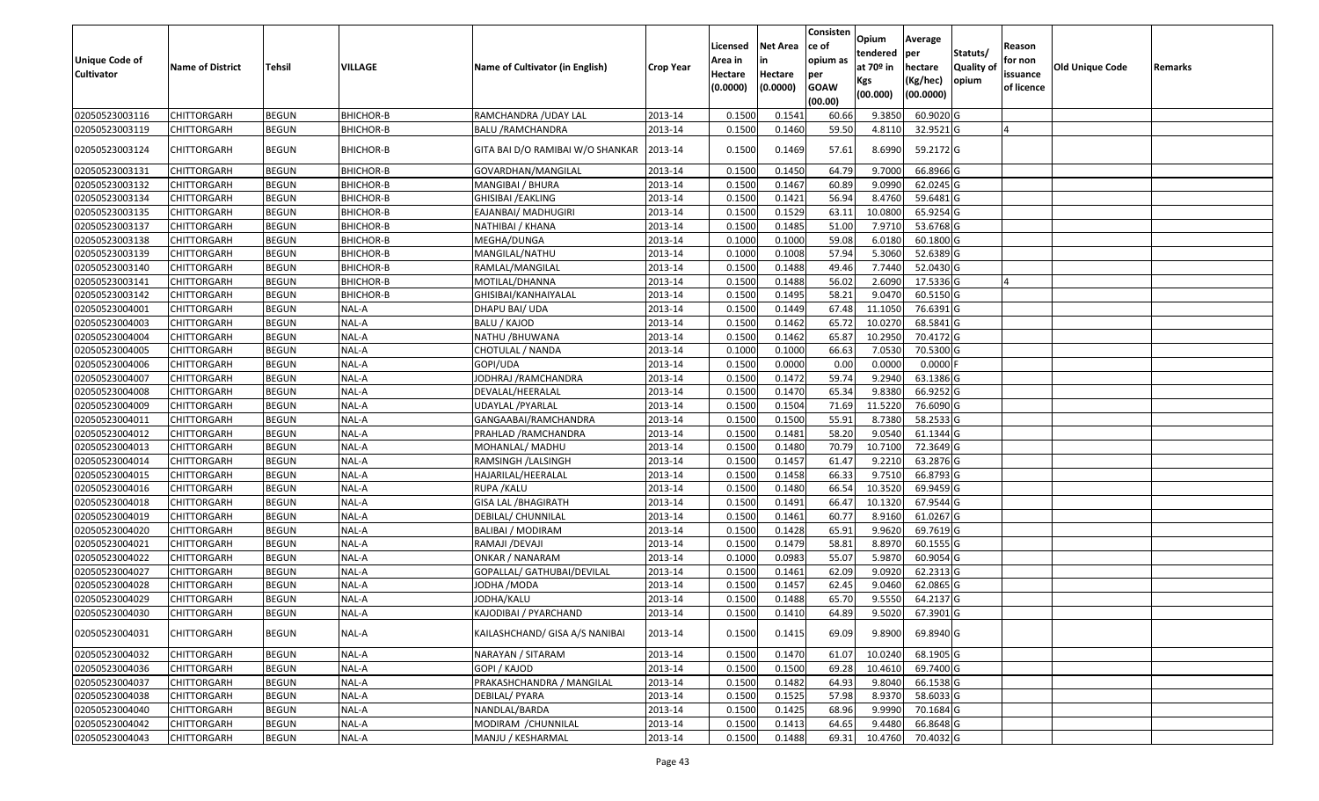| <b>Unique Code of</b><br><b>Cultivator</b> | <b>Name of District</b> | <b>Tehsil</b> | <b>VILLAGE</b>   | Name of Cultivator (in English)  | <b>Crop Year</b> | Licensed<br>Area in<br>Hectare<br>(0.0000) | <b>Net Area</b><br>Hectare<br>(0.0000) | Consisten<br>ce of<br>opium as<br>per<br><b>GOAW</b><br>(00.00) | Opium<br>tendered<br>at $70°$ in<br>Kgs<br>(00.000) | Average<br>per<br>hectare<br>(Kg/hec)<br>(00.0000) | Statuts/<br><b>Quality o</b><br>opium | Reason<br>for non<br>issuance<br>of licence | <b>Old Unique Code</b> | Remarks |
|--------------------------------------------|-------------------------|---------------|------------------|----------------------------------|------------------|--------------------------------------------|----------------------------------------|-----------------------------------------------------------------|-----------------------------------------------------|----------------------------------------------------|---------------------------------------|---------------------------------------------|------------------------|---------|
| 02050523003116                             | CHITTORGARH             | <b>BEGUN</b>  | BHICHOR-B        | RAMCHANDRA / UDAY LAL            | 2013-14          | 0.1500                                     | 0.1541                                 | 60.66                                                           | 9.3850                                              | 60.9020 G                                          |                                       |                                             |                        |         |
| 02050523003119                             | CHITTORGARH             | <b>BEGUN</b>  | <b>BHICHOR-B</b> | <b>BALU /RAMCHANDRA</b>          | 2013-14          | 0.1500                                     | 0.1460                                 | 59.50                                                           | 4.8110                                              | 32.9521G                                           |                                       |                                             |                        |         |
| 02050523003124                             | CHITTORGARH             | <b>BEGUN</b>  | <b>BHICHOR-B</b> | GITA BAI D/O RAMIBAI W/O SHANKAR | 2013-14          | 0.1500                                     | 0.1469                                 | 57.61                                                           | 8.6990                                              | 59.2172 G                                          |                                       |                                             |                        |         |
| 02050523003131                             | <b>CHITTORGARH</b>      | <b>BEGUN</b>  | BHICHOR-B        | GOVARDHAN/MANGILAL               | 2013-14          | 0.150                                      | 0.1450                                 | 64.79                                                           | 9.700                                               | 66.8966 G                                          |                                       |                                             |                        |         |
| 02050523003132                             | CHITTORGARH             | <b>BEGUN</b>  | BHICHOR-B        | MANGIBAI / BHURA                 | 2013-14          | 0.1500                                     | 0.1467                                 | 60.89                                                           | 9.0990                                              | 62.0245 G                                          |                                       |                                             |                        |         |
| 02050523003134                             | CHITTORGARH             | <b>BEGUN</b>  | <b>BHICHOR-B</b> | GHISIBAI /EAKLING                | 2013-14          | 0.1500                                     | 0.1421                                 | 56.94                                                           | 8.4760                                              | 59.6481 G                                          |                                       |                                             |                        |         |
| 02050523003135                             | <b>CHITTORGARH</b>      | <b>BEGUN</b>  | BHICHOR-B        | EAJANBAI/ MADHUGIRI              | 2013-14          | 0.1500                                     | 0.1529                                 | 63.11                                                           | 10.0800                                             | 65.9254 G                                          |                                       |                                             |                        |         |
| 02050523003137                             | CHITTORGARH             | <b>BEGUN</b>  | <b>BHICHOR-B</b> | NATHIBAI / KHANA                 | 2013-14          | 0.1500                                     | 0.1485                                 | 51.00                                                           | 7.9710                                              | 53.6768 G                                          |                                       |                                             |                        |         |
| 02050523003138                             | CHITTORGARH             | <b>BEGUN</b>  | BHICHOR-B        | MEGHA/DUNGA                      | 2013-14          | 0.1000                                     | 0.1000                                 | 59.08                                                           | 6.0180                                              | 60.1800 G                                          |                                       |                                             |                        |         |
| 02050523003139                             | <b>CHITTORGARH</b>      | <b>BEGUN</b>  | <b>BHICHOR-B</b> | MANGILAL/NATHU                   | 2013-14          | 0.1000                                     | 0.1008                                 | 57.94                                                           | 5.3060                                              | 52.6389 G                                          |                                       |                                             |                        |         |
| 02050523003140                             | CHITTORGARH             | <b>BEGUN</b>  | <b>BHICHOR-B</b> | RAMLAL/MANGILAL                  | 2013-14          | 0.1500                                     | 0.1488                                 | 49.46                                                           | 7.7440                                              | 52.0430 G                                          |                                       |                                             |                        |         |
| 02050523003141                             | <b>CHITTORGARH</b>      | <b>BEGUN</b>  | <b>BHICHOR-B</b> | MOTILAL/DHANNA                   | 2013-14          | 0.1500                                     | 0.1488                                 | 56.02                                                           | 2.6090                                              | 17.5336 G                                          |                                       |                                             |                        |         |
| 02050523003142                             | CHITTORGARH             | <b>BEGUN</b>  | <b>BHICHOR-B</b> | GHISIBAI/KANHAIYALAL             | 2013-14          | 0.1500                                     | 0.1495                                 | 58.21                                                           | 9.0470                                              | 60.5150 G                                          |                                       |                                             |                        |         |
| 02050523004001                             | CHITTORGARH             | <b>BEGUN</b>  | NAL-A            | DHAPU BAI/ UDA                   | 2013-14          | 0.1500                                     | 0.1449                                 | 67.48                                                           | 11.1050                                             | 76.6391G                                           |                                       |                                             |                        |         |
| 02050523004003                             | CHITTORGARH             | <b>BEGUN</b>  | NAL-A            | BALU / KAJOD                     | 2013-14          | 0.1500                                     | 0.1462                                 | 65.72                                                           | 10.0270                                             | 68.5841 G                                          |                                       |                                             |                        |         |
| 02050523004004                             | CHITTORGARH             | <b>BEGUN</b>  | NAL-A            | NATHU / BHUWANA                  | 2013-14          | 0.1500                                     | 0.1462                                 | 65.87                                                           | 10.295                                              | 70.4172 G                                          |                                       |                                             |                        |         |
| 02050523004005                             | CHITTORGARH             | <b>BEGUN</b>  | NAL-A            | CHOTULAL / NANDA                 | 2013-14          | 0.1000                                     | 0.1000                                 | 66.63                                                           | 7.0530                                              | 70.5300 G                                          |                                       |                                             |                        |         |
| 02050523004006                             | CHITTORGARH             | <b>BEGUN</b>  | NAL-A            | GOPI/UDA                         | 2013-14          | 0.1500                                     | 0.0000                                 | 0.00                                                            | 0.0000                                              | $0.0000$ F                                         |                                       |                                             |                        |         |
| 02050523004007                             | CHITTORGARH             | <b>BEGUN</b>  | NAL-A            | JODHRAJ / RAMCHANDRA             | 2013-14          | 0.1500                                     | 0.1472                                 | 59.74                                                           | 9.2940                                              | 63.1386 G                                          |                                       |                                             |                        |         |
| 02050523004008                             | CHITTORGARH             | <b>BEGUN</b>  | NAL-A            | DEVALAL/HEERALAL                 | 2013-14          | 0.1500                                     | 0.1470                                 | 65.34                                                           | 9.8380                                              | 66.9252 G                                          |                                       |                                             |                        |         |
| 02050523004009                             | CHITTORGARH             | <b>BEGUN</b>  | NAL-A            | UDAYLAL /PYARLAL                 | 2013-14          | 0.1500                                     | 0.1504                                 | 71.69                                                           | 11.5220                                             | 76.6090 G                                          |                                       |                                             |                        |         |
| 02050523004011                             | CHITTORGARH             | <b>BEGUN</b>  | NAL-A            | GANGAABAI/RAMCHANDRA             | 2013-14          | 0.1500                                     | 0.1500                                 | 55.91                                                           | 8.7380                                              | 58.2533 G                                          |                                       |                                             |                        |         |
| 02050523004012                             | CHITTORGARH             | <b>BEGUN</b>  | NAL-A            | PRAHLAD /RAMCHANDRA              | 2013-14          | 0.1500                                     | 0.1481                                 | 58.20                                                           | 9.054                                               | 61.1344 G                                          |                                       |                                             |                        |         |
| 02050523004013                             | CHITTORGARH             | <b>BEGUN</b>  | NAL-A            | MOHANLAL/ MADHU                  | 2013-14          | 0.1500                                     | 0.1480                                 | 70.79                                                           | 10.7100                                             | 72.3649 G                                          |                                       |                                             |                        |         |
| 02050523004014                             | CHITTORGARH             | <b>BEGUN</b>  | NAL-A            | RAMSINGH / LALSINGH              | 2013-14          | 0.1500                                     | 0.1457                                 | 61.47                                                           | 9.2210                                              | 63.2876 G                                          |                                       |                                             |                        |         |
| 02050523004015                             | CHITTORGARH             | <b>BEGUN</b>  | NAL-A            | HAJARILAL/HEERALAL               | 2013-14          | 0.1500                                     | 0.1458                                 | 66.33                                                           | 9.7510                                              | 66.8793 G                                          |                                       |                                             |                        |         |
| 02050523004016                             | CHITTORGARH             | <b>BEGUN</b>  | NAL-A            | RUPA / KALU                      | 2013-14          | 0.1500                                     | 0.1480                                 | 66.54                                                           | 10.3520                                             | 69.9459 G                                          |                                       |                                             |                        |         |
| 02050523004018                             | <b>CHITTORGARH</b>      | <b>BEGUN</b>  | NAL-A            | <b>GISA LAL / BHAGIRATH</b>      | 2013-14          | 0.1500                                     | 0.1491                                 | 66.47                                                           | 10.1320                                             | 67.9544 G                                          |                                       |                                             |                        |         |
| 02050523004019                             | CHITTORGARH             | <b>BEGUN</b>  | NAL-A            | DEBILAL/ CHUNNILAL               | 2013-14          | 0.1500                                     | 0.1461                                 | 60.7                                                            | 8.9160                                              | 61.0267 G                                          |                                       |                                             |                        |         |
| 02050523004020                             | CHITTORGARH             | <b>BEGUN</b>  | NAL-A            | BALIBAI / MODIRAM                | 2013-14          | 0.1500                                     | 0.1428                                 | 65.9                                                            | 9.9620                                              | 69.7619 G                                          |                                       |                                             |                        |         |
| 02050523004021                             | CHITTORGARH             | <b>BEGUN</b>  | NAL-A            | RAMAJI /DEVAJI                   | 2013-14          | 0.1500                                     | 0.1479                                 | 58.81                                                           | 8.8970                                              | 60.1555 G                                          |                                       |                                             |                        |         |
| 02050523004022                             | CHITTORGARH             | <b>BEGUN</b>  | NAL-A            | ONKAR / NANARAM                  | 2013-14          | 0.1000                                     | 0.0983                                 | 55.07                                                           | 5.9870                                              | 60.9054 G                                          |                                       |                                             |                        |         |
| 02050523004027                             | <b>CHITTORGARH</b>      | <b>BEGUN</b>  | NAL-A            | GOPALLAL/ GATHUBAI/DEVILAL       | 2013-14          | 0.1500                                     | 0.1461                                 | 62.09                                                           | 9.0920                                              | 62.2313 G                                          |                                       |                                             |                        |         |
| 02050523004028                             | CHITTORGARH             | <b>BEGUN</b>  | NAL-A            | IODHA /MODA                      | 2013-14          | 0.150                                      | 0.1457                                 | 62.45                                                           | 9.0460                                              | 62.0865 G                                          |                                       |                                             |                        |         |
| 02050523004029                             | CHITTORGARH             | <b>BEGUN</b>  | NAL-A            | IODHA/KALU                       | 2013-14          | 0.1500                                     | 0.1488                                 | 65.70                                                           | 9.5550                                              | 64.2137 G                                          |                                       |                                             |                        |         |
| 02050523004030                             | CHITTORGARH             | <b>BEGUN</b>  | NAL-A            | KAJODIBAI / PYARCHAND            | 2013-14          | 0.1500                                     | 0.1410                                 | 64.89                                                           | 9.5020                                              | 67.3901 G                                          |                                       |                                             |                        |         |
| 02050523004031                             | <b>CHITTORGARH</b>      | <b>BEGUN</b>  | NAL-A            | KAILASHCHAND/ GISA A/S NANIBAI   | 2013-14          | 0.1500                                     | 0.1415                                 | 69.09                                                           | 9.8900                                              | 69.8940 G                                          |                                       |                                             |                        |         |
| 02050523004032                             | <b>CHITTORGARH</b>      | <b>BEGUN</b>  | NAL-A            | NARAYAN / SITARAM                | 2013-14          | 0.1500                                     | 0.1470                                 | 61.07                                                           | 10.0240                                             | 68.1905 G                                          |                                       |                                             |                        |         |
| 02050523004036                             | <b>CHITTORGARH</b>      | <b>BEGUN</b>  | NAL-A            | GOPI / KAJOD                     | 2013-14          | 0.1500                                     | 0.1500                                 | 69.28                                                           | 10.4610                                             | 69.7400 G                                          |                                       |                                             |                        |         |
| 02050523004037                             | <b>CHITTORGARH</b>      | <b>BEGUN</b>  | NAL-A            | PRAKASHCHANDRA / MANGILAL        | 2013-14          | 0.1500                                     | 0.1482                                 | 64.93                                                           | 9.8040                                              | 66.1538 G                                          |                                       |                                             |                        |         |
| 02050523004038                             | <b>CHITTORGARH</b>      | <b>BEGUN</b>  | NAL-A            | DEBILAL/ PYARA                   | 2013-14          | 0.1500                                     | 0.1525                                 | 57.98                                                           | 8.9370                                              | 58.6033 G                                          |                                       |                                             |                        |         |
| 02050523004040                             | <b>CHITTORGARH</b>      | <b>BEGUN</b>  | NAL-A            | NANDLAL/BARDA                    | 2013-14          | 0.1500                                     | 0.1425                                 | 68.96                                                           | 9.9990                                              | 70.1684 G                                          |                                       |                                             |                        |         |
| 02050523004042                             | CHITTORGARH             | <b>BEGUN</b>  | NAL-A            | MODIRAM / CHUNNILAL              | 2013-14          | 0.1500                                     | 0.1413                                 | 64.65                                                           | 9.4480                                              | 66.8648 G                                          |                                       |                                             |                        |         |
| 02050523004043                             | <b>CHITTORGARH</b>      | <b>BEGUN</b>  | $NAL-A$          | MANJU / KESHARMAL                | 2013-14          | 0.1500                                     | 0.1488                                 | 69.31                                                           | 10.4760                                             | 70.4032 G                                          |                                       |                                             |                        |         |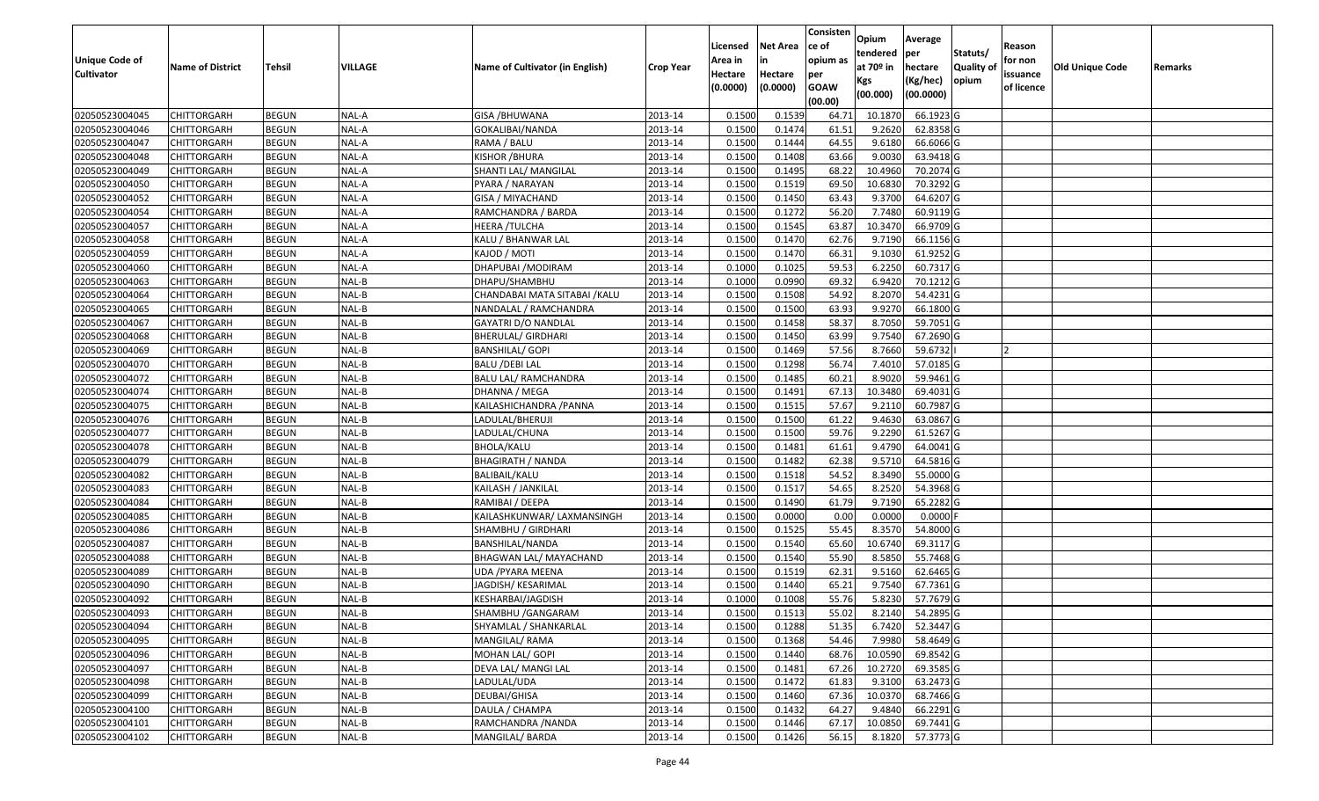|                   |                         |               |         |                                 |                  |          |                 | Consisten   | Opium       | Average          |                  |            |                 |         |
|-------------------|-------------------------|---------------|---------|---------------------------------|------------------|----------|-----------------|-------------|-------------|------------------|------------------|------------|-----------------|---------|
|                   |                         |               |         |                                 |                  | Licensed | <b>Net Area</b> | ce of       | tendered    | per              | Statuts/         | Reason     |                 |         |
| Unique Code of    | <b>Name of District</b> | <b>Tehsil</b> | VILLAGE | Name of Cultivator (in English) | <b>Crop Year</b> | Area in  |                 | opium as    | at $70°$ in | hectare          | <b>Quality o</b> | for non    | Old Unique Code | Remarks |
| <b>Cultivator</b> |                         |               |         |                                 |                  | Hectare  | Hectare         | per         | Kgs         | (Kg/hec)         | opium            | issuance   |                 |         |
|                   |                         |               |         |                                 |                  | (0.0000) | (0.0000)        | <b>GOAW</b> | (00.000)    | (00.0000)        |                  | of licence |                 |         |
|                   |                         |               |         |                                 |                  |          |                 | (00.00)     |             |                  |                  |            |                 |         |
| 02050523004045    | CHITTORGARH             | <b>BEGUN</b>  | NAL-A   | <b>GISA / BHUWANA</b>           | 2013-14          | 0.1500   | 0.1539          | 64.71       | 10.1870     | 66.1923 G        |                  |            |                 |         |
| 02050523004046    | CHITTORGARH             | <b>BEGUN</b>  | NAL-A   | GOKALIBAI/NANDA                 | 2013-14          | 0.1500   | 0.1474          | 61.5        | 9.2620      | 62.8358 G        |                  |            |                 |         |
| 02050523004047    | CHITTORGARH             | <b>BEGUN</b>  | NAL-A   | RAMA / BALU                     | 2013-14          | 0.1500   | 0.1444          | 64.55       | 9.6180      | 66.6066 G        |                  |            |                 |         |
| 02050523004048    | CHITTORGARH             | <b>BEGUN</b>  | NAL-A   | KISHOR / BHURA                  | 2013-14          | 0.1500   | 0.1408          | 63.66       | 9.0030      | 63.9418 G        |                  |            |                 |         |
| 02050523004049    | CHITTORGARH             | <b>BEGUN</b>  | NAL-A   | SHANTI LAL/ MANGILAL            | 2013-14          | 0.1500   | 0.1495          | 68.22       | 10.4960     | 70.2074 G        |                  |            |                 |         |
| 02050523004050    | CHITTORGARH             | <b>BEGUN</b>  | NAL-A   | PYARA / NARAYAN                 | 2013-14          | 0.1500   | 0.1519          | 69.50       | 10.6830     | 70.3292 G        |                  |            |                 |         |
| 02050523004052    | CHITTORGARH             | <b>BEGUN</b>  | NAL-A   | GISA / MIYACHAND                | 2013-14          | 0.1500   | 0.1450          | 63.43       | 9.3700      | 64.6207 G        |                  |            |                 |         |
| 02050523004054    | CHITTORGARH             | <b>BEGUN</b>  | NAL-A   | RAMCHANDRA / BARDA              | 2013-14          | 0.1500   | 0.1272          | 56.20       | 7.7480      | 60.9119 G        |                  |            |                 |         |
| 02050523004057    | CHITTORGARH             | <b>BEGUN</b>  | NAL-A   | HEERA / TULCHA                  | 2013-14          | 0.1500   | 0.1545          | 63.87       | 10.3470     | 66.9709 G        |                  |            |                 |         |
| 02050523004058    | CHITTORGARH             | <b>BEGUN</b>  | NAL-A   | KALU / BHANWAR LAL              | 2013-14          | 0.1500   | 0.1470          | 62.76       | 9.7190      | 66.1156 G        |                  |            |                 |         |
| 02050523004059    | CHITTORGARH             | <b>BEGUN</b>  | NAL-A   | KAJOD / MOTI                    | 2013-14          | 0.1500   | 0.1470          | 66.31       | 9.1030      | 61.9252 G        |                  |            |                 |         |
| 02050523004060    | <b>CHITTORGARH</b>      | <b>BEGUN</b>  | NAL-A   | DHAPUBAI / MODIRAM              | 2013-14          | 0.1000   | 0.1025          | 59.53       | 6.2250      | 60.7317 G        |                  |            |                 |         |
| 02050523004063    | <b>CHITTORGARH</b>      | <b>BEGUN</b>  | NAL-B   | DHAPU/SHAMBHU                   | 2013-14          | 0.1000   | 0.0990          | 69.32       | 6.9420      | 70.1212 G        |                  |            |                 |         |
| 02050523004064    | CHITTORGARH             | <b>BEGUN</b>  | NAL-B   | CHANDABAI MATA SITABAI /KALU    | 2013-14          | 0.1500   | 0.1508          | 54.92       | 8.2070      | 54.4231 G        |                  |            |                 |         |
| 02050523004065    | <b>CHITTORGARH</b>      | <b>BEGUN</b>  | NAL-B   | NANDALAL / RAMCHANDRA           | 2013-14          | 0.1500   | 0.1500          | 63.93       | 9.9270      | 66.1800 G        |                  |            |                 |         |
| 02050523004067    | CHITTORGARH             | <b>BEGUN</b>  | NAL-B   | GAYATRI D/O NANDLAL             | 2013-14          | 0.1500   | 0.1458          | 58.37       | 8.7050      | 59.7051G         |                  |            |                 |         |
| 02050523004068    | CHITTORGARH             | <b>BEGUN</b>  | NAL-B   | BHERULAL/ GIRDHARI              | 2013-14          | 0.1500   | 0.1450          | 63.99       | 9.7540      | 67.2690 G        |                  |            |                 |         |
| 02050523004069    | CHITTORGARH             | <b>BEGUN</b>  | NAL-B   | <b>BANSHILAL/ GOPI</b>          | 2013-14          | 0.1500   | 0.1469          | 57.56       | 8.7660      | 59.6732          |                  |            |                 |         |
| 02050523004070    | CHITTORGARH             | <b>BEGUN</b>  | NAL-B   | <b>BALU /DEBI LAL</b>           | 2013-14          | 0.1500   | 0.1298          | 56.74       | 7.4010      | 57.0185 G        |                  |            |                 |         |
| 02050523004072    | CHITTORGARH             | <b>BEGUN</b>  | NAL-B   | BALU LAL/ RAMCHANDRA            | 2013-14          | 0.1500   | 0.1485          | 60.21       | 8.9020      | 59.9461G         |                  |            |                 |         |
| 02050523004074    | CHITTORGARH             | <b>BEGUN</b>  | NAL-B   | DHANNA / MEGA                   | 2013-14          | 0.1500   | 0.1491          | 67.13       | 10.3480     | 69.4031G         |                  |            |                 |         |
| 02050523004075    | CHITTORGARH             | <b>BEGUN</b>  | NAL-B   | KAILASHICHANDRA /PANNA          | 2013-14          | 0.150    | 0.1515          | 57.67       | 9.2110      | 60.7987 G        |                  |            |                 |         |
| 02050523004076    | CHITTORGARH             | <b>BEGUN</b>  | NAL-B   | LADULAL/BHERUJI                 | 2013-14          | 0.1500   | 0.1500          | 61.22       | 9.4630      | 63.0867 G        |                  |            |                 |         |
| 02050523004077    | CHITTORGARH             | <b>BEGUN</b>  | NAL-B   | LADULAL/CHUNA                   | 2013-14          | 0.1500   | 0.1500          | 59.76       | 9.2290      | 61.5267 G        |                  |            |                 |         |
| 02050523004078    | <b>CHITTORGARH</b>      | <b>BEGUN</b>  | NAL-B   | BHOLA/KALU                      | 2013-14          | 0.1500   | 0.1481          | 61.61       | 9.4790      | 64.0041 G        |                  |            |                 |         |
| 02050523004079    | CHITTORGARH             | <b>BEGUN</b>  | NAL-B   | <b>BHAGIRATH / NANDA</b>        | 2013-14          | 0.1500   | 0.1482          | 62.38       | 9.5710      | 64.5816 G        |                  |            |                 |         |
| 02050523004082    | CHITTORGARH             | <b>BEGUN</b>  | NAL-B   | BALIBAIL/KALU                   | 2013-14          | 0.1500   | 0.1518          | 54.52       | 8.3490      | 55.0000G         |                  |            |                 |         |
| 02050523004083    | CHITTORGARH             | <b>BEGUN</b>  | NAL-B   | KAILASH / JANKILAL              | 2013-14          | 0.1500   | 0.1517          | 54.65       | 8.2520      | 54.3968 G        |                  |            |                 |         |
| 02050523004084    | CHITTORGARH             | <b>BEGUN</b>  | NAL-B   | RAMIBAI / DEEPA                 | 2013-14          | 0.1500   | 0.1490          | 61.79       | 9.7190      | 65.2282 G        |                  |            |                 |         |
| 02050523004085    | CHITTORGARH             | <b>BEGUN</b>  | NAL-B   | KAILASHKUNWAR/ LAXMANSINGH      | 2013-14          | 0.1500   | 0.0000          | 0.00        | 0.0000      | $0.0000$ F       |                  |            |                 |         |
| 02050523004086    | CHITTORGARH             | <b>BEGUN</b>  | NAL-B   | SHAMBHU / GIRDHARI              | 2013-14          | 0.1500   | 0.1525          | 55.45       | 8.3570      | 54.8000 G        |                  |            |                 |         |
| 02050523004087    | CHITTORGARH             | <b>BEGUN</b>  | NAL-B   | BANSHILAL/NANDA                 | 2013-14          | 0.1500   | 0.1540          | 65.60       | 10.6740     | 69.3117G         |                  |            |                 |         |
| 02050523004088    | CHITTORGARH             | <b>BEGUN</b>  | NAL-B   | <b>BHAGWAN LAL/ MAYACHAND</b>   | 2013-14          | 0.1500   | 0.1540          | 55.90       | 8.5850      | 55.7468 G        |                  |            |                 |         |
| 02050523004089    | CHITTORGARH             | <b>BEGUN</b>  | NAL-B   | UDA /PYARA MEENA                | 2013-14          | 0.1500   | 0.1519          | 62.31       | 9.5160      | 62.6465 G        |                  |            |                 |         |
| 02050523004090    | CHITTORGARH             | <b>BEGUN</b>  | NAL-B   | JAGDISH/KESARIMAL               | 2013-14          | 0.150    | 0.1440          | 65.21       | 9.7540      | 67.7361 G        |                  |            |                 |         |
| 02050523004092    | CHITTORGARH             | <b>BEGUN</b>  | NAL-B   | KESHARBAI/JAGDISH               | 2013-14          | 0.1000   | 0.1008          | 55.76       | 5.8230      | 57.7679 G        |                  |            |                 |         |
| 02050523004093    | <b>CHITTORGARH</b>      | <b>BEGUN</b>  | NAL-B   | SHAMBHU / GANGARAM              | 2013-14          | 0.1500   | 0.1513          | 55.02       |             | 8.2140 54.2895 G |                  |            |                 |         |
| 02050523004094    | <b>CHITTORGARH</b>      | <b>BEGUN</b>  | NAL-B   | SHYAMLAL / SHANKARLAL           | 2013-14          | 0.1500   | 0.1288          | 51.35       | 6.7420      | 52.3447 G        |                  |            |                 |         |
| 02050523004095    | <b>CHITTORGARH</b>      | <b>BEGUN</b>  | NAL-B   | MANGILAL/RAMA                   | 2013-14          | 0.1500   | 0.1368          | 54.46       | 7.9980      | 58.4649 G        |                  |            |                 |         |
| 02050523004096    | <b>CHITTORGARH</b>      | <b>BEGUN</b>  | NAL-B   | MOHAN LAL/ GOPI                 | 2013-14          | 0.1500   | 0.1440          | 68.76       | 10.0590     | 69.8542 G        |                  |            |                 |         |
| 02050523004097    | <b>CHITTORGARH</b>      | <b>BEGUN</b>  | NAL-B   | DEVA LAL/ MANGI LAL             | 2013-14          | 0.1500   | 0.1481          | 67.26       | 10.2720     | 69.3585 G        |                  |            |                 |         |
| 02050523004098    | <b>CHITTORGARH</b>      | <b>BEGUN</b>  | NAL-B   | LADULAL/UDA                     | 2013-14          | 0.1500   | 0.1472          | 61.83       | 9.3100      | 63.2473 G        |                  |            |                 |         |
| 02050523004099    | <b>CHITTORGARH</b>      | <b>BEGUN</b>  | NAL-B   | DEUBAI/GHISA                    | 2013-14          | 0.1500   | 0.1460          | 67.36       | 10.0370     | 68.7466 G        |                  |            |                 |         |
| 02050523004100    | <b>CHITTORGARH</b>      | <b>BEGUN</b>  | NAL-B   | DAULA / CHAMPA                  | 2013-14          | 0.1500   | 0.1432          | 64.27       | 9.4840      | 66.2291 G        |                  |            |                 |         |
| 02050523004101    | <b>CHITTORGARH</b>      | <b>BEGUN</b>  | $NAL-B$ | RAMCHANDRA /NANDA               | 2013-14          | 0.1500   | 0.1446          | 67.17       | 10.0850     | 69.7441 G        |                  |            |                 |         |
| 02050523004102    | <b>CHITTORGARH</b>      | <b>BEGUN</b>  | $NAL-B$ | MANGILAL/ BARDA                 | 2013-14          | 0.1500   | 0.1426          | 56.15       | 8.1820      | 57.3773 G        |                  |            |                 |         |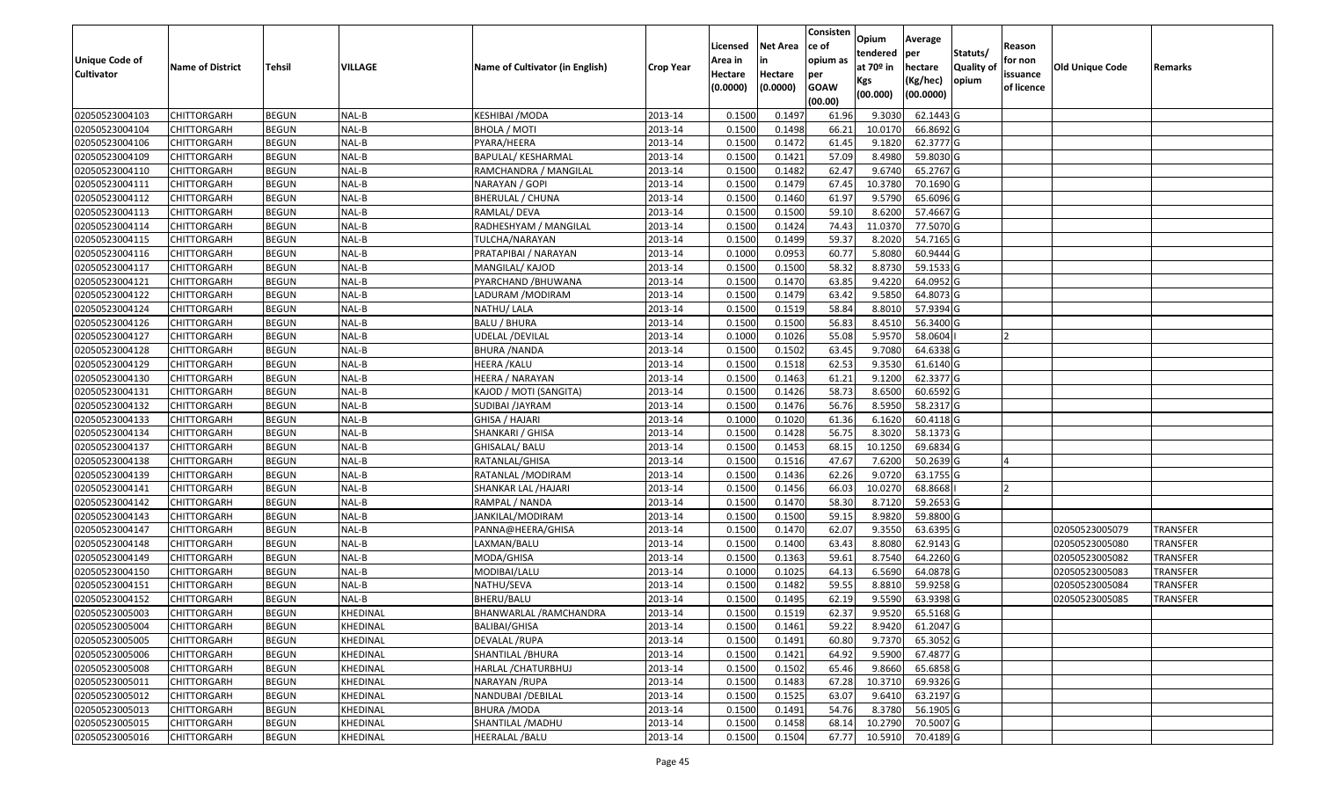|                   |                         |               |                |                                 |                  |          |                 | Consisten   | Opium       | Average   |                  |            |                 |                 |
|-------------------|-------------------------|---------------|----------------|---------------------------------|------------------|----------|-----------------|-------------|-------------|-----------|------------------|------------|-----------------|-----------------|
|                   |                         |               |                |                                 |                  | Licensed | <b>Net Area</b> | ce of       | tendered    | per       | Statuts/         | Reason     |                 |                 |
| Unique Code of    | <b>Name of District</b> | <b>Tehsil</b> | <b>VILLAGE</b> | Name of Cultivator (in English) | <b>Crop Year</b> | Area in  | in              | opium as    | at $70°$ in | hectare   | <b>Quality o</b> | for non    | Old Unique Code | Remarks         |
| <b>Cultivator</b> |                         |               |                |                                 |                  | Hectare  | Hectare         | per         | Kgs         | (Kg/hec)  | opium            | issuance   |                 |                 |
|                   |                         |               |                |                                 |                  | (0.0000) | (0.0000)        | <b>GOAW</b> | (00.000)    | (00.0000) |                  | of licence |                 |                 |
|                   |                         |               |                |                                 |                  |          |                 | (00.00)     |             |           |                  |            |                 |                 |
| 02050523004103    | CHITTORGARH             | <b>BEGUN</b>  | NAL-B          | KESHIBAI / MODA                 | 2013-14          | 0.1500   | 0.1497          | 61.96       | 9.3030      | 62.1443 G |                  |            |                 |                 |
| 02050523004104    | CHITTORGARH             | <b>BEGUN</b>  | NAL-B          | BHOLA / MOTI                    | 2013-14          | 0.1500   | 0.1498          | 66.21       | 10.0170     | 66.8692 G |                  |            |                 |                 |
| 02050523004106    | CHITTORGARH             | <b>BEGUN</b>  | NAL-B          | PYARA/HEERA                     | 2013-14          | 0.1500   | 0.1472          | 61.45       | 9.1820      | 62.3777 G |                  |            |                 |                 |
| 02050523004109    | <b>CHITTORGARH</b>      | <b>BEGUN</b>  | NAL-B          | <b>BAPULAL/ KESHARMAL</b>       | 2013-14          | 0.1500   | 0.1421          | 57.09       | 8.4980      | 59.8030 G |                  |            |                 |                 |
| 02050523004110    | CHITTORGARH             | <b>BEGUN</b>  | NAL-B          | RAMCHANDRA / MANGILAL           | 2013-14          | 0.1500   | 0.1482          | 62.47       | 9.6740      | 65.2767 G |                  |            |                 |                 |
| 02050523004111    | CHITTORGARH             | <b>BEGUN</b>  | NAL-B          | NARAYAN / GOPI                  | 2013-14          | 0.1500   | 0.1479          | 67.45       | 10.3780     | 70.1690 G |                  |            |                 |                 |
| 02050523004112    | CHITTORGARH             | <b>BEGUN</b>  | NAL-B          | BHERULAL / CHUNA                | 2013-14          | 0.1500   | 0.1460          | 61.97       | 9.5790      | 65.6096 G |                  |            |                 |                 |
| 02050523004113    | <b>CHITTORGARH</b>      | <b>BEGUN</b>  | NAL-B          | RAMLAL/ DEVA                    | 2013-14          | 0.1500   | 0.1500          | 59.10       | 8.6200      | 57.4667G  |                  |            |                 |                 |
| 02050523004114    | CHITTORGARH             | <b>BEGUN</b>  | NAL-B          | RADHESHYAM / MANGILAL           | 2013-14          | 0.1500   | 0.1424          | 74.43       | 11.037      | 77.5070 G |                  |            |                 |                 |
| 02050523004115    | CHITTORGARH             | <b>BEGUN</b>  | NAL-B          | TULCHA/NARAYAN                  | 2013-14          | 0.1500   | 0.1499          | 59.37       | 8.2020      | 54.7165 G |                  |            |                 |                 |
| 02050523004116    | CHITTORGARH             | <b>BEGUN</b>  | NAL-B          | PRATAPIBAI / NARAYAN            | 2013-14          | 0.1000   | 0.0953          | 60.77       | 5.8080      | 60.9444 G |                  |            |                 |                 |
| 02050523004117    | CHITTORGARH             | <b>BEGUN</b>  | NAL-B          | MANGILAL/ KAJOD                 | 2013-14          | 0.1500   | 0.1500          | 58.32       | 8.8730      | 59.1533 G |                  |            |                 |                 |
| 02050523004121    | <b>CHITTORGARH</b>      | <b>BEGUN</b>  | NAL-B          | PYARCHAND / BHUWANA             | 2013-14          | 0.1500   | 0.1470          | 63.85       | 9.4220      | 64.0952 G |                  |            |                 |                 |
| 02050523004122    | CHITTORGARH             | <b>BEGUN</b>  | NAL-B          | LADURAM / MODIRAM               | 2013-14          | 0.1500   | 0.1479          | 63.42       | 9.5850      | 64.8073 G |                  |            |                 |                 |
| 02050523004124    | <b>CHITTORGARH</b>      | <b>BEGUN</b>  | NAL-B          | NATHU/ LALA                     | 2013-14          | 0.1500   | 0.1519          | 58.84       | 8.8010      | 57.9394 G |                  |            |                 |                 |
| 02050523004126    | CHITTORGARH             | <b>BEGUN</b>  | NAL-B          | BALU / BHURA                    | 2013-14          | 0.1500   | 0.1500          | 56.83       | 8.4510      | 56.3400 G |                  |            |                 |                 |
| 02050523004127    | CHITTORGARH             | <b>BEGUN</b>  | NAL-B          | UDELAL /DEVILAL                 | 2013-14          | 0.1000   | 0.1026          | 55.08       | 5.9570      | 58.0604   |                  |            |                 |                 |
| 02050523004128    | CHITTORGARH             | <b>BEGUN</b>  | NAL-B          | BHURA /NANDA                    | 2013-14          | 0.1500   | 0.1502          | 63.45       | 9.7080      | 64.6338 G |                  |            |                 |                 |
| 02050523004129    | CHITTORGARH             | <b>BEGUN</b>  | NAL-B          | HEERA /KALU                     | 2013-14          | 0.1500   | 0.1518          | 62.53       | 9.3530      | 61.6140 G |                  |            |                 |                 |
| 02050523004130    | CHITTORGARH             | <b>BEGUN</b>  | NAL-B          | HEERA / NARAYAN                 | 2013-14          | 0.1500   | 0.1463          | 61.21       | 9.1200      | 62.3377 G |                  |            |                 |                 |
| 02050523004131    | CHITTORGARH             | <b>BEGUN</b>  | NAL-B          | KAJOD / MOTI (SANGITA)          | 2013-14          | 0.1500   | 0.1426          | 58.73       | 8.6500      | 60.6592 G |                  |            |                 |                 |
| 02050523004132    | CHITTORGARH             | <b>BEGUN</b>  | NAL-B          | SUDIBAI /JAYRAM                 | 2013-14          | 0.150    | 0.1476          | 56.76       | 8.5950      | 58.2317 G |                  |            |                 |                 |
| 02050523004133    | CHITTORGARH             | <b>BEGUN</b>  | NAL-B          | GHISA / HAJARI                  | 2013-14          | 0.1000   | 0.1020          | 61.36       | 6.1620      | 60.4118 G |                  |            |                 |                 |
| 02050523004134    | CHITTORGARH             | <b>BEGUN</b>  | NAL-B          | SHANKARI / GHISA                | 2013-14          | 0.1500   | 0.1428          | 56.75       | 8.3020      | 58.1373 G |                  |            |                 |                 |
| 02050523004137    | CHITTORGARH             | <b>BEGUN</b>  | NAL-B          | GHISALAL/ BALU                  | 2013-14          | 0.1500   | 0.1453          | 68.15       | 10.1250     | 69.6834 G |                  |            |                 |                 |
| 02050523004138    | CHITTORGARH             | <b>BEGUN</b>  | NAL-B          | RATANLAL/GHISA                  | 2013-14          | 0.1500   | 0.1516          | 47.67       | 7.6200      | 50.2639 G |                  |            |                 |                 |
| 02050523004139    | CHITTORGARH             | <b>BEGUN</b>  | NAL-B          | RATANLAL /MODIRAM               | 2013-14          | 0.1500   | 0.1436          | 62.26       | 9.0720      | 63.1755 G |                  |            |                 |                 |
| 02050523004141    | CHITTORGARH             | <b>BEGUN</b>  | NAL-B          | SHANKAR LAL / HAJARI            | 2013-14          | 0.1500   | 0.1456          | 66.03       | 10.0270     | 68.8668   |                  |            |                 |                 |
| 02050523004142    | CHITTORGARH             | <b>BEGUN</b>  | NAL-B          | RAMPAL / NANDA                  | 2013-14          | 0.1500   | 0.1470          | 58.30       | 8.7120      | 59.2653 G |                  |            |                 |                 |
| 02050523004143    | CHITTORGARH             | <b>BEGUN</b>  | NAL-B          | JANKILAL/MODIRAM                | 2013-14          | 0.1500   | 0.1500          | 59.15       | 8.9820      | 59.8800 G |                  |            |                 |                 |
| 02050523004147    | CHITTORGARH             | <b>BEGUN</b>  | NAL-B          | PANNA@HEERA/GHISA               | 2013-14          | 0.1500   | 0.1470          | 62.07       | 9.3550      | 63.6395 G |                  |            | 02050523005079  | TRANSFER        |
| 02050523004148    | CHITTORGARH             | <b>BEGUN</b>  | NAL-B          | LAXMAN/BALU                     | 2013-14          | 0.1500   | 0.1400          | 63.43       | 8.8080      | 62.9143 G |                  |            | 02050523005080  | <b>TRANSFER</b> |
| 02050523004149    | CHITTORGARH             | <b>BEGUN</b>  | NAL-B          | MODA/GHISA                      | 2013-14          | 0.1500   | 0.1363          | 59.61       | 8.7540      | 64.2260 G |                  |            | 02050523005082  | <b>TRANSFER</b> |
| 02050523004150    | CHITTORGARH             | <b>BEGUN</b>  | NAL-B          | MODIBAI/LALU                    | 2013-14          | 0.1000   | 0.1025          | 64.13       | 6.5690      | 64.0878 G |                  |            | 02050523005083  | <b>TRANSFER</b> |
| 02050523004151    | CHITTORGARH             | <b>BEGUN</b>  | NAL-B          | NATHU/SEVA                      | 2013-14          | 0.150    | 0.1482          | 59.55       | 8.881       | 59.9258 G |                  |            | 02050523005084  | <b>TRANSFER</b> |
| 02050523004152    | CHITTORGARH             | <b>BEGUN</b>  | NAL-B          | BHERU/BALU                      | 2013-14          | 0.1500   | 0.1495          | 62.19       | 9.5590      | 63.9398 G |                  |            | 02050523005085  | <b>TRANSFER</b> |
| 02050523005003    | <b>CHITTORGARH</b>      | <b>BEGUN</b>  | KHEDINAL       | BHANWARLAL /RAMCHANDRA          | 2013-14          | 0.1500   | 0.1519          | 62.37       | 9.9520      | 65.5168 G |                  |            |                 |                 |
| 02050523005004    | <b>CHITTORGARH</b>      | <b>BEGUN</b>  | KHEDINAL       | <b>BALIBAI/GHISA</b>            | 2013-14          | 0.1500   | 0.1461          | 59.22       | 8.9420      | 61.2047 G |                  |            |                 |                 |
| 02050523005005    | <b>CHITTORGARH</b>      | <b>BEGUN</b>  | KHEDINAL       | <b>DEVALAL /RUPA</b>            | 2013-14          | 0.1500   | 0.1491          | 60.80       | 9.7370      | 65.3052 G |                  |            |                 |                 |
| 02050523005006    | <b>CHITTORGARH</b>      | <b>BEGUN</b>  | KHEDINAL       | SHANTILAL / BHURA               | 2013-14          | 0.1500   | 0.1421          | 64.92       | 9.5900      | 67.4877 G |                  |            |                 |                 |
| 02050523005008    | <b>CHITTORGARH</b>      | <b>BEGUN</b>  | KHEDINAL       | HARLAL / CHATURBHUJ             | 2013-14          | 0.1500   | 0.1502          | 65.46       | 9.8660      | 65.6858 G |                  |            |                 |                 |
| 02050523005011    | <b>CHITTORGARH</b>      | <b>BEGUN</b>  | KHEDINAL       | NARAYAN /RUPA                   | 2013-14          | 0.1500   | 0.1483          | 67.28       | 10.3710     | 69.9326 G |                  |            |                 |                 |
| 02050523005012    | <b>CHITTORGARH</b>      | <b>BEGUN</b>  | KHEDINAL       | NANDUBAI / DEBILAL              | 2013-14          | 0.1500   | 0.1525          | 63.07       | 9.6410      | 63.2197 G |                  |            |                 |                 |
| 02050523005013    | <b>CHITTORGARH</b>      | <b>BEGUN</b>  | KHEDINAL       | <b>BHURA /MODA</b>              | 2013-14          | 0.1500   | 0.1491          | 54.76       | 8.3780      | 56.1905 G |                  |            |                 |                 |
| 02050523005015    | CHITTORGARH             | <b>BEGUN</b>  | KHEDINAL       | SHANTILAL /MADHU                | 2013-14          | 0.1500   | 0.1458          | 68.14       | 10.2790     | 70.5007 G |                  |            |                 |                 |
| 02050523005016    | <b>CHITTORGARH</b>      | <b>BEGUN</b>  | KHEDINAL       | HEERALAL / BALU                 | 2013-14          | 0.1500   | 0.1504          | 67.77       | 10.5910     | 70.4189 G |                  |            |                 |                 |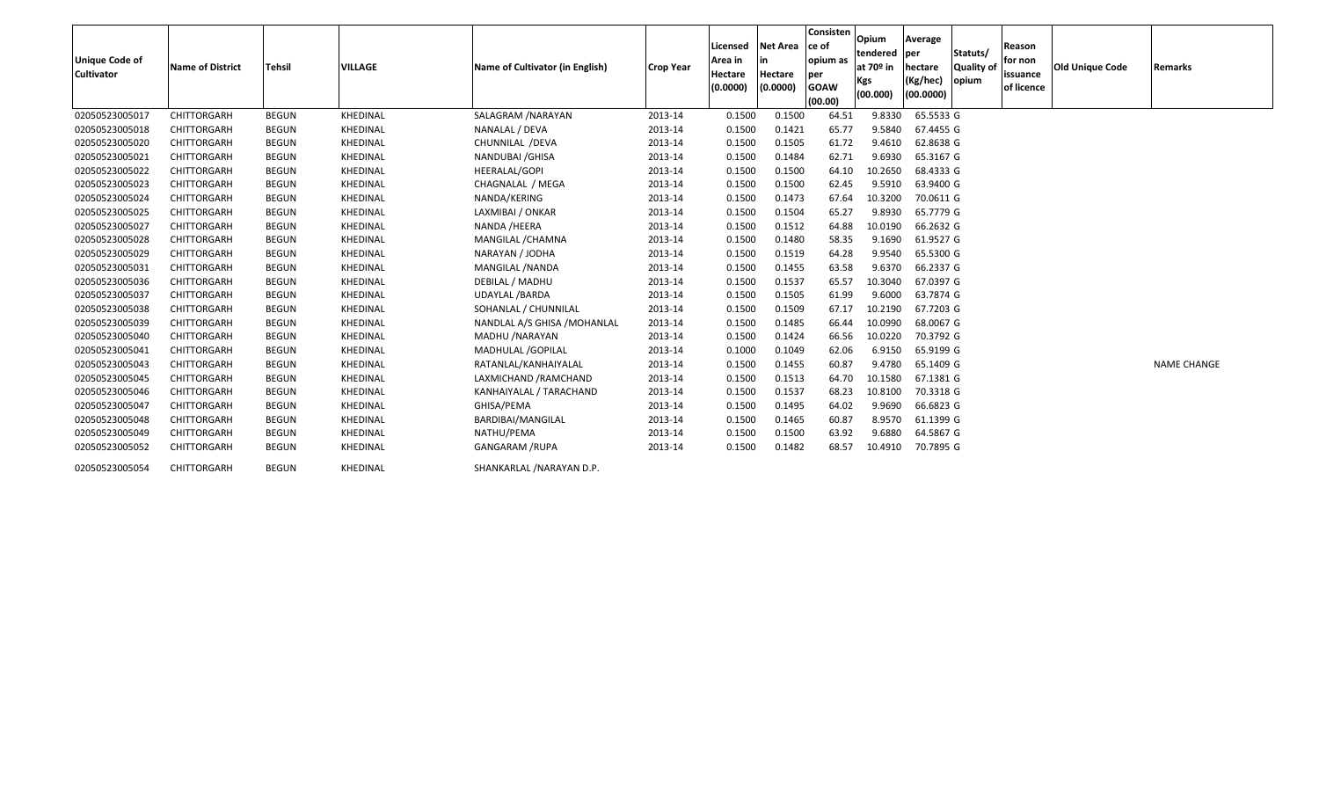| <b>Unique Code of</b><br><b>Cultivator</b> | Name of District | <b>Tehsil</b> | <b>VILLAGE</b> | Name of Cultivator (in English) | <b>Crop Year</b> | Licensed<br>Area in<br><b>Hectare</b><br>(0.0000) | <b>Net Area</b><br>in<br>Hectare<br>(0.0000) | Consisten<br>ce of<br>opium as<br>per<br><b>GOAW</b><br>(00.00) | Opium<br>tendered per<br>at 70 <sup>o</sup> in<br>Kgs<br>(00.000) | Average<br>hectare<br>(Kg/hec)<br>(00.0000) | Statuts/<br><b>Quality of</b><br>opium | Reason<br>for non<br>issuance<br>of licence | <b>Old Unique Code</b> | <b>Remarks</b>     |
|--------------------------------------------|------------------|---------------|----------------|---------------------------------|------------------|---------------------------------------------------|----------------------------------------------|-----------------------------------------------------------------|-------------------------------------------------------------------|---------------------------------------------|----------------------------------------|---------------------------------------------|------------------------|--------------------|
| 02050523005017                             | CHITTORGARH      | <b>BEGUN</b>  | KHEDINAL       | SALAGRAM / NARAYAN              | 2013-14          | 0.1500                                            | 0.1500                                       | 64.51                                                           | 9.8330                                                            | 65.5533 G                                   |                                        |                                             |                        |                    |
| 02050523005018                             | CHITTORGARH      | <b>BEGUN</b>  | KHEDINAL       | NANALAL / DEVA                  | 2013-14          | 0.1500                                            | 0.1421                                       | 65.77                                                           | 9.5840                                                            | 67.4455 G                                   |                                        |                                             |                        |                    |
| 02050523005020                             | CHITTORGARH      | <b>BEGUN</b>  | KHEDINAL       | CHUNNILAL /DEVA                 | 2013-14          | 0.1500                                            | 0.1505                                       | 61.72                                                           | 9.4610                                                            | 62.8638 G                                   |                                        |                                             |                        |                    |
| 02050523005021                             | CHITTORGARH      | <b>BEGUN</b>  | KHEDINAL       | NANDUBAI / GHISA                | 2013-14          | 0.1500                                            | 0.1484                                       | 62.71                                                           | 9.6930                                                            | 65.3167 G                                   |                                        |                                             |                        |                    |
| 02050523005022                             | CHITTORGARH      | <b>BEGUN</b>  | KHEDINAL       | HEERALAL/GOPI                   | 2013-14          | 0.1500                                            | 0.1500                                       | 64.10                                                           | 10.2650                                                           | 68.4333 G                                   |                                        |                                             |                        |                    |
| 02050523005023                             | CHITTORGARH      | <b>BEGUN</b>  | KHEDINAL       | CHAGNALAL / MEGA                | 2013-14          | 0.1500                                            | 0.1500                                       | 62.45                                                           | 9.5910                                                            | 63.9400 G                                   |                                        |                                             |                        |                    |
| 02050523005024                             | CHITTORGARH      | <b>BEGUN</b>  | KHEDINAL       | NANDA/KERING                    | 2013-14          | 0.1500                                            | 0.1473                                       | 67.64                                                           | 10.3200                                                           | 70.0611 G                                   |                                        |                                             |                        |                    |
| 02050523005025                             | CHITTORGARH      | <b>BEGUN</b>  | KHEDINAL       | LAXMIBAI / ONKAR                | 2013-14          | 0.1500                                            | 0.1504                                       | 65.27                                                           | 9.8930                                                            | 65.7779 G                                   |                                        |                                             |                        |                    |
| 02050523005027                             | CHITTORGARH      | <b>BEGUN</b>  | KHEDINAL       | NANDA /HEERA                    | 2013-14          | 0.1500                                            | 0.1512                                       | 64.88                                                           | 10.0190                                                           | 66.2632 G                                   |                                        |                                             |                        |                    |
| 02050523005028                             | CHITTORGARH      | <b>BEGUN</b>  | KHEDINAL       | MANGILAL / CHAMNA               | 2013-14          | 0.1500                                            | 0.1480                                       | 58.35                                                           | 9.1690                                                            | 61.9527 G                                   |                                        |                                             |                        |                    |
| 02050523005029                             | CHITTORGARH      | <b>BEGUN</b>  | KHEDINAL       | NARAYAN / JODHA                 | 2013-14          | 0.1500                                            | 0.1519                                       | 64.28                                                           | 9.9540                                                            | 65.5300 G                                   |                                        |                                             |                        |                    |
| 02050523005031                             | CHITTORGARH      | <b>BEGUN</b>  | KHEDINAL       | MANGILAL /NANDA                 | 2013-14          | 0.1500                                            | 0.1455                                       | 63.58                                                           | 9.6370                                                            | 66.2337 G                                   |                                        |                                             |                        |                    |
| 02050523005036                             | CHITTORGARH      | <b>BEGUN</b>  | KHEDINAL       | DEBILAL / MADHU                 | 2013-14          | 0.1500                                            | 0.1537                                       | 65.57                                                           | 10.3040                                                           | 67.0397 G                                   |                                        |                                             |                        |                    |
| 02050523005037                             | CHITTORGARH      | <b>BEGUN</b>  | KHEDINAL       | UDAYLAL / BARDA                 | 2013-14          | 0.1500                                            | 0.1505                                       | 61.99                                                           | 9.6000                                                            | 63.7874 G                                   |                                        |                                             |                        |                    |
| 02050523005038                             | CHITTORGARH      | <b>BEGUN</b>  | KHEDINAL       | SOHANLAL / CHUNNILAL            | 2013-14          | 0.1500                                            | 0.1509                                       | 67.17                                                           | 10.2190                                                           | 67.7203 G                                   |                                        |                                             |                        |                    |
| 02050523005039                             | CHITTORGARH      | <b>BEGUN</b>  | KHEDINAL       | NANDLAL A/S GHISA /MOHANLAL     | 2013-14          | 0.1500                                            | 0.1485                                       | 66.44                                                           | 10.0990                                                           | 68.0067 G                                   |                                        |                                             |                        |                    |
| 02050523005040                             | CHITTORGARH      | <b>BEGUN</b>  | KHEDINAL       | MADHU /NARAYAN                  | 2013-14          | 0.1500                                            | 0.1424                                       | 66.56                                                           | 10.0220                                                           | 70.3792 G                                   |                                        |                                             |                        |                    |
| 02050523005041                             | CHITTORGARH      | <b>BEGUN</b>  | KHEDINAL       | MADHULAL /GOPILAL               | 2013-14          | 0.1000                                            | 0.1049                                       | 62.06                                                           | 6.9150                                                            | 65.9199 G                                   |                                        |                                             |                        |                    |
| 02050523005043                             | CHITTORGARH      | <b>BEGUN</b>  | KHEDINAL       | RATANLAL/KANHAIYALAL            | 2013-14          | 0.1500                                            | 0.1455                                       | 60.87                                                           | 9.4780                                                            | 65.1409 G                                   |                                        |                                             |                        | <b>NAME CHANGE</b> |
| 02050523005045                             | CHITTORGARH      | <b>BEGUN</b>  | KHEDINAL       | LAXMICHAND / RAMCHAND           | 2013-14          | 0.1500                                            | 0.1513                                       | 64.70                                                           | 10.1580                                                           | 67.1381 G                                   |                                        |                                             |                        |                    |
| 02050523005046                             | CHITTORGARH      | <b>BEGUN</b>  | KHEDINAL       | KANHAIYALAL / TARACHAND         | 2013-14          | 0.1500                                            | 0.1537                                       | 68.23                                                           | 10.8100                                                           | 70.3318 G                                   |                                        |                                             |                        |                    |
| 02050523005047                             | CHITTORGARH      | <b>BEGUN</b>  | KHEDINAL       | GHISA/PEMA                      | 2013-14          | 0.1500                                            | 0.1495                                       | 64.02                                                           | 9.9690                                                            | 66.6823 G                                   |                                        |                                             |                        |                    |
| 02050523005048                             | CHITTORGARH      | <b>BEGUN</b>  | KHEDINAL       | BARDIBAI/MANGILAL               | 2013-14          | 0.1500                                            | 0.1465                                       | 60.87                                                           | 8.9570                                                            | 61.1399 G                                   |                                        |                                             |                        |                    |
| 02050523005049                             | CHITTORGARH      | <b>BEGUN</b>  | KHEDINAL       | NATHU/PEMA                      | 2013-14          | 0.1500                                            | 0.1500                                       | 63.92                                                           | 9.6880                                                            | 64.5867 G                                   |                                        |                                             |                        |                    |
| 02050523005052                             | CHITTORGARH      | <b>BEGUN</b>  | KHEDINAL       | <b>GANGARAM /RUPA</b>           | 2013-14          | 0.1500                                            | 0.1482                                       | 68.57                                                           | 10.4910                                                           | 70.7895 G                                   |                                        |                                             |                        |                    |
| 02050523005054                             | CHITTORGARH      | <b>BEGUN</b>  | KHEDINAL       | SHANKARLAL / NARAYAN D.P.       |                  |                                                   |                                              |                                                                 |                                                                   |                                             |                                        |                                             |                        |                    |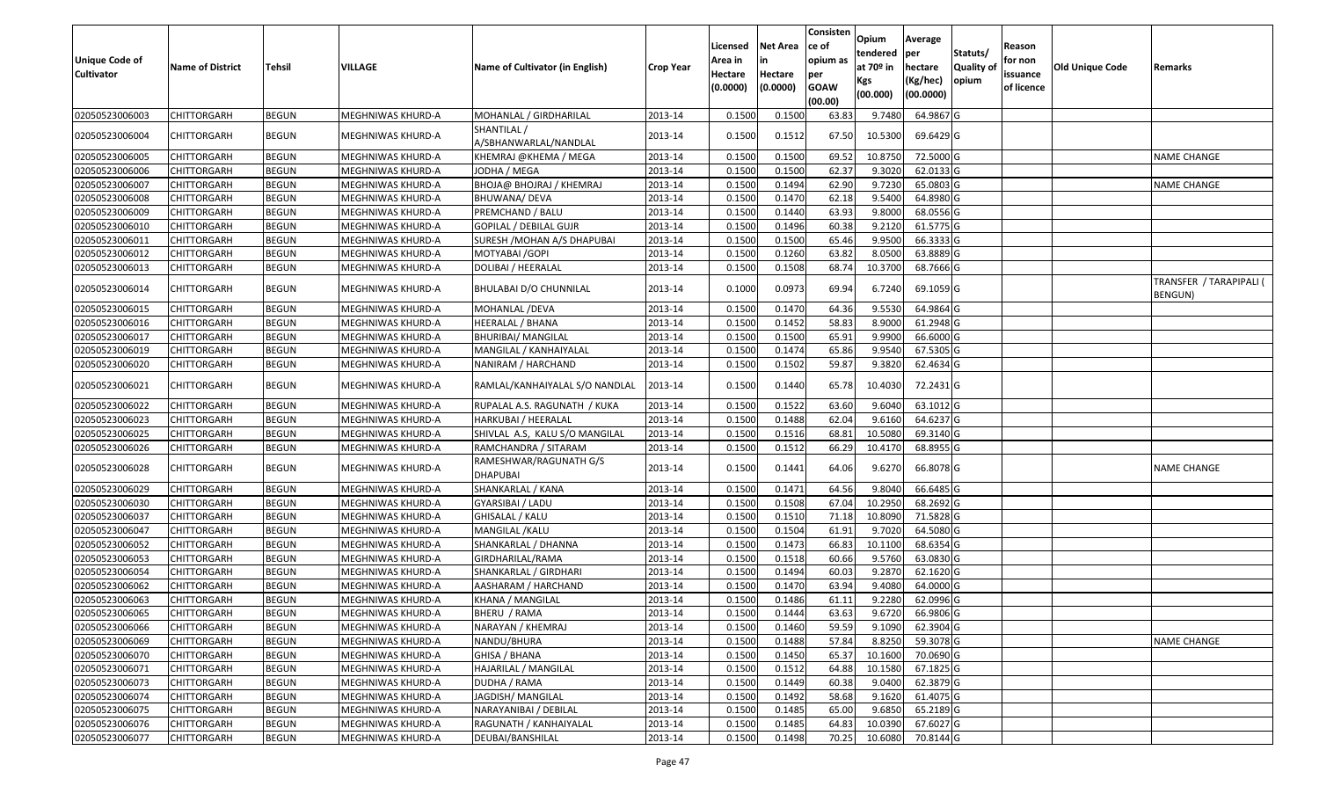| Unique Code of<br><b>Cultivator</b> | <b>Name of District</b> | <b>Tehsil</b> | VILLAGE           | Name of Cultivator (in English)      | <b>Crop Year</b> | Licensed<br>Area in<br>Hectare | <b>Net Area</b><br>in<br>Hectare | Consisten<br>ce of<br>opium as<br>per | Opium<br>tendered<br>at 70 <sup>o</sup> in | Average<br>per<br>hectare | Statuts/<br><b>Quality of</b> | Reason<br>for non<br>issuance | Old Unique Code | Remarks                            |
|-------------------------------------|-------------------------|---------------|-------------------|--------------------------------------|------------------|--------------------------------|----------------------------------|---------------------------------------|--------------------------------------------|---------------------------|-------------------------------|-------------------------------|-----------------|------------------------------------|
|                                     |                         |               |                   |                                      |                  | (0.0000)                       | (0.0000)                         | <b>GOAW</b><br>(00.00)                | Kgs<br>(00.000)                            | (Kg/hec)<br>(00.0000)     | opium                         | of licence                    |                 |                                    |
| 02050523006003                      | <b>CHITTORGARH</b>      | <b>BEGUN</b>  | MEGHNIWAS KHURD-A | MOHANLAL / GIRDHARILAL               | 2013-14          | 0.1500                         | 0.1500                           | 63.83                                 | 9.7480                                     | 64.9867 G                 |                               |                               |                 |                                    |
| 02050523006004                      | CHITTORGARH             | <b>BEGUN</b>  | MEGHNIWAS KHURD-A | SHANTILAL /<br>A/SBHANWARLAL/NANDLAL | 2013-14          | 0.1500                         | 0.1512                           | 67.50                                 | 10.5300                                    | 69.6429 G                 |                               |                               |                 |                                    |
| 02050523006005                      | <b>CHITTORGARH</b>      | <b>BEGUN</b>  | MEGHNIWAS KHURD-A | KHEMRAJ @KHEMA / MEGA                | 2013-14          | 0.1500                         | 0.1500                           | 69.52                                 | 10.8750                                    | 72.5000 G                 |                               |                               |                 | <b>NAME CHANGE</b>                 |
| 02050523006006                      | <b>CHITTORGARH</b>      | <b>BEGUN</b>  | MEGHNIWAS KHURD-A | JODHA / MEGA                         | 2013-14          | 0.1500                         | 0.1500                           | 62.37                                 | 9.3020                                     | 62.0133 G                 |                               |                               |                 |                                    |
| 02050523006007                      | <b>CHITTORGARH</b>      | <b>BEGUN</b>  | MEGHNIWAS KHURD-A | BHOJA@ BHOJRAJ / KHEMRAJ             | 2013-14          | 0.1500                         | 0.1494                           | 62.90                                 | 9.7230                                     | 65.0803 G                 |                               |                               |                 | <b>NAME CHANGE</b>                 |
| 02050523006008                      | <b>CHITTORGARH</b>      | <b>BEGUN</b>  | MEGHNIWAS KHURD-A | BHUWANA/DEVA                         | 2013-14          | 0.1500                         | 0.1470                           | 62.18                                 | 9.5400                                     | 64.8980 G                 |                               |                               |                 |                                    |
| 02050523006009                      | <b>CHITTORGARH</b>      | <b>BEGUN</b>  | MEGHNIWAS KHURD-A | PREMCHAND / BALU                     | 2013-14          | 0.1500                         | 0.1440                           | 63.93                                 | 9.8000                                     | 68.0556 G                 |                               |                               |                 |                                    |
| 02050523006010                      | <b>CHITTORGARH</b>      | <b>BEGUN</b>  | MEGHNIWAS KHURD-A | GOPILAL / DEBILAL GUJR               | 2013-14          | 0.1500                         | 0.1496                           | 60.38                                 | 9.2120                                     | 61.5775 G                 |                               |                               |                 |                                    |
| 02050523006011                      | <b>CHITTORGARH</b>      | <b>BEGUN</b>  | MEGHNIWAS KHURD-A | SURESH / MOHAN A/S DHAPUBAI          | 2013-14          | 0.1500                         | 0.1500                           | 65.46                                 | 9.9500                                     | 66.3333 G                 |                               |                               |                 |                                    |
| 02050523006012                      | <b>CHITTORGARH</b>      | <b>BEGUN</b>  | MEGHNIWAS KHURD-A | MOTYABAI / GOPI                      | 2013-14          | 0.1500                         | 0.1260                           | 63.82                                 | 8.0500                                     | 63.8889 G                 |                               |                               |                 |                                    |
| 02050523006013                      | <b>CHITTORGARH</b>      | <b>BEGUN</b>  | MEGHNIWAS KHURD-A | DOLIBAI / HEERALAL                   | 2013-14          | 0.1500                         | 0.1508                           | 68.74                                 | 10.3700                                    | 68.7666 G                 |                               |                               |                 |                                    |
| 02050523006014                      | <b>CHITTORGARH</b>      | <b>BEGUN</b>  | MEGHNIWAS KHURD-A | BHULABAI D/O CHUNNILAL               | 2013-14          | 0.1000                         | 0.0973                           | 69.94                                 | 6.7240                                     | 69.1059 G                 |                               |                               |                 | TRANSFER / TARAPIPALI (<br>BENGUN) |
| 02050523006015                      | <b>CHITTORGARH</b>      | <b>BEGUN</b>  | MEGHNIWAS KHURD-A | MOHANLAL / DEVA                      | 2013-14          | 0.1500                         | 0.1470                           | 64.36                                 | 9.5530                                     | 64.9864 G                 |                               |                               |                 |                                    |
| 02050523006016                      | <b>CHITTORGARH</b>      | <b>BEGUN</b>  | MEGHNIWAS KHURD-A | HEERALAL / BHANA                     | 2013-14          | 0.1500                         | 0.1452                           | 58.83                                 | 8.9000                                     | 61.2948 G                 |                               |                               |                 |                                    |
| 02050523006017                      | <b>CHITTORGARH</b>      | <b>BEGUN</b>  | MEGHNIWAS KHURD-A | <b>BHURIBAI/ MANGILAL</b>            | 2013-14          | 0.1500                         | 0.1500                           | 65.91                                 | 9.9900                                     | 66.6000 G                 |                               |                               |                 |                                    |
| 02050523006019                      | <b>CHITTORGARH</b>      | <b>BEGUN</b>  | MEGHNIWAS KHURD-A | MANGILAL / KANHAIYALAL               | 2013-14          | 0.1500                         | 0.1474                           | 65.86                                 | 9.9540                                     | 67.5305 G                 |                               |                               |                 |                                    |
| 02050523006020                      | <b>CHITTORGARH</b>      | <b>BEGUN</b>  | MEGHNIWAS KHURD-A | NANIRAM / HARCHAND                   | 2013-14          | 0.1500                         | 0.1502                           | 59.87                                 | 9.3820                                     | 62.4634 G                 |                               |                               |                 |                                    |
| 02050523006021                      | <b>CHITTORGARH</b>      | <b>BEGUN</b>  | MEGHNIWAS KHURD-A | RAMLAL/KANHAIYALAL S/O NANDLAL       | 2013-14          | 0.1500                         | 0.1440                           | 65.78                                 | 10.4030                                    | 72.2431 G                 |                               |                               |                 |                                    |
| 02050523006022                      | <b>CHITTORGARH</b>      | <b>BEGUN</b>  | MEGHNIWAS KHURD-A | RUPALAL A.S. RAGUNATH / KUKA         | 2013-14          | 0.1500                         | 0.1522                           | 63.60                                 | 9.6040                                     | 63.1012 G                 |                               |                               |                 |                                    |
| 02050523006023                      | <b>CHITTORGARH</b>      | <b>BEGUN</b>  | MEGHNIWAS KHURD-A | HARKUBAI / HEERALAL                  | 2013-14          | 0.1500                         | 0.1488                           | 62.04                                 | 9.6160                                     | 64.6237 G                 |                               |                               |                 |                                    |
| 02050523006025                      | <b>CHITTORGARH</b>      | <b>BEGUN</b>  | MEGHNIWAS KHURD-A | SHIVLAL A.S, KALU S/O MANGILAL       | 2013-14          | 0.1500                         | 0.1516                           | 68.81                                 | 10.5080                                    | 69.3140 G                 |                               |                               |                 |                                    |
| 02050523006026                      | <b>CHITTORGARH</b>      | <b>BEGUN</b>  | MEGHNIWAS KHURD-A | RAMCHANDRA / SITARAM                 | 2013-14          | 0.1500                         | 0.1512                           | 66.29                                 | 10.4170                                    | 68.8955 G                 |                               |                               |                 |                                    |
| 02050523006028                      | <b>CHITTORGARH</b>      | <b>BEGUN</b>  | MEGHNIWAS KHURD-A | RAMESHWAR/RAGUNATH G/S<br>DHAPUBAI   | 2013-14          | 0.1500                         | 0.1441                           | 64.06                                 | 9.6270                                     | 66.8078 G                 |                               |                               |                 | <b>NAME CHANGE</b>                 |
| 02050523006029                      | <b>CHITTORGARH</b>      | <b>BEGUN</b>  | MEGHNIWAS KHURD-A | SHANKARLAL / KANA                    | 2013-14          | 0.1500                         | 0.1471                           | 64.56                                 | 9.8040                                     | 66.6485 G                 |                               |                               |                 |                                    |
| 02050523006030                      | <b>CHITTORGARH</b>      | <b>BEGUN</b>  | MEGHNIWAS KHURD-A | GYARSIBAI / LADU                     | 2013-14          | 0.1500                         | 0.1508                           | 67.04                                 | 10.2950                                    | 68.2692 G                 |                               |                               |                 |                                    |
| 02050523006037                      | <b>CHITTORGARH</b>      | <b>BEGUN</b>  | MEGHNIWAS KHURD-A | GHISALAL / KALU                      | 2013-14          | 0.1500                         | 0.1510                           | 71.18                                 | 10.8090                                    | 71.5828 G                 |                               |                               |                 |                                    |
| 02050523006047                      | <b>CHITTORGARH</b>      | <b>BEGUN</b>  | MEGHNIWAS KHURD-A | MANGILAL / KALU                      | 2013-14          | 0.1500                         | 0.1504                           | 61.91                                 | 9.7020                                     | 64.5080 G                 |                               |                               |                 |                                    |
| 02050523006052                      | <b>CHITTORGARH</b>      | <b>BEGUN</b>  | MEGHNIWAS KHURD-A | SHANKARLAL / DHANNA                  | 2013-14          | 0.1500                         | 0.1473                           | 66.83                                 | 10.1100                                    | 68.6354 G                 |                               |                               |                 |                                    |
| 02050523006053                      | <b>CHITTORGARH</b>      | <b>BEGUN</b>  | MEGHNIWAS KHURD-A | GIRDHARILAL/RAMA                     | 2013-14          | 0.1500                         | 0.1518                           | 60.66                                 | 9.5760                                     | 63.0830 G                 |                               |                               |                 |                                    |
| 02050523006054                      | <b>CHITTORGARH</b>      | <b>BEGUN</b>  | MEGHNIWAS KHURD-A | SHANKARLAL / GIRDHARI                | 2013-14          | 0.1500                         | 0.1494                           | 60.03                                 | 9.2870                                     | 62.1620 G                 |                               |                               |                 |                                    |
| 02050523006062                      | CHITTORGARH             | <b>BEGUN</b>  | MEGHNIWAS KHURD-A | AASHARAM / HARCHAND                  | 2013-14          | 0.1500                         | 0.1470                           | 63.94                                 | 9.4080                                     | 64.0000 G                 |                               |                               |                 |                                    |
| 02050523006063                      | <b>CHITTORGARH</b>      | <b>BEGUN</b>  | MEGHNIWAS KHURD-A | KHANA / MANGILAL                     | 2013-14          | 0.1500                         | 0.1486                           | 61.11                                 | 9.2280                                     | 62.0996 G                 |                               |                               |                 |                                    |
| 02050523006065                      | <b>CHITTORGARH</b>      | <b>BEGUN</b>  | MEGHNIWAS KHURD-A | BHERU / RAMA                         | 2013-14          | 0.1500                         | 0.1444                           | 63.63                                 | 9.6720                                     | 66.9806 G                 |                               |                               |                 |                                    |
| 02050523006066                      | <b>CHITTORGARH</b>      | <b>BEGUN</b>  | MEGHNIWAS KHURD-A | NARAYAN / KHEMRAJ                    | 2013-14          | 0.1500                         | 0.1460                           | 59.59                                 | 9.1090                                     | 62.3904 G                 |                               |                               |                 |                                    |
| 02050523006069                      | <b>CHITTORGARH</b>      | <b>BEGUN</b>  | MEGHNIWAS KHURD-A | NANDU/BHURA                          | 2013-14          | 0.1500                         | 0.1488                           | 57.84                                 | 8.8250                                     | 59.3078 G                 |                               |                               |                 | NAME CHANGE                        |
| 02050523006070                      | <b>CHITTORGARH</b>      | <b>BEGUN</b>  | MEGHNIWAS KHURD-A | GHISA / BHANA                        | 2013-14          | 0.1500                         | 0.1450                           | 65.37                                 | 10.1600                                    | 70.0690 G                 |                               |                               |                 |                                    |
| 02050523006071                      | <b>CHITTORGARH</b>      | <b>BEGUN</b>  | MEGHNIWAS KHURD-A | HAJARILAL / MANGILAL                 | 2013-14          | 0.1500                         | 0.1512                           | 64.88                                 | 10.1580                                    | 67.1825 G                 |                               |                               |                 |                                    |
| 02050523006073                      | <b>CHITTORGARH</b>      | <b>BEGUN</b>  | MEGHNIWAS KHURD-A | DUDHA / RAMA                         | 2013-14          | 0.1500                         | 0.1449                           | 60.38                                 | 9.0400                                     | 62.3879 G                 |                               |                               |                 |                                    |
| 02050523006074                      | <b>CHITTORGARH</b>      | <b>BEGUN</b>  | MEGHNIWAS KHURD-A | JAGDISH/ MANGILAL                    | 2013-14          | 0.1500                         | 0.1492                           | 58.68                                 | 9.1620                                     | 61.4075 G                 |                               |                               |                 |                                    |
| 02050523006075                      | <b>CHITTORGARH</b>      | <b>BEGUN</b>  | MEGHNIWAS KHURD-A | NARAYANIBAI / DEBILAL                | 2013-14          | 0.1500                         | 0.1485                           | 65.00                                 | 9.6850                                     | 65.2189 G                 |                               |                               |                 |                                    |
| 02050523006076                      | <b>CHITTORGARH</b>      | <b>BEGUN</b>  | MEGHNIWAS KHURD-A | RAGUNATH / KANHAIYALAL               | 2013-14          | 0.1500                         | 0.1485                           | 64.83                                 | 10.0390                                    | 67.6027 G                 |                               |                               |                 |                                    |
| 02050523006077                      | <b>CHITTORGARH</b>      | <b>BEGUN</b>  | MEGHNIWAS KHURD-A | <b>DEUBAI/BANSHILAL</b>              | 2013-14          | 0.1500                         | 0.1498                           | 70.25                                 | 10.6080                                    | 70.8144 G                 |                               |                               |                 |                                    |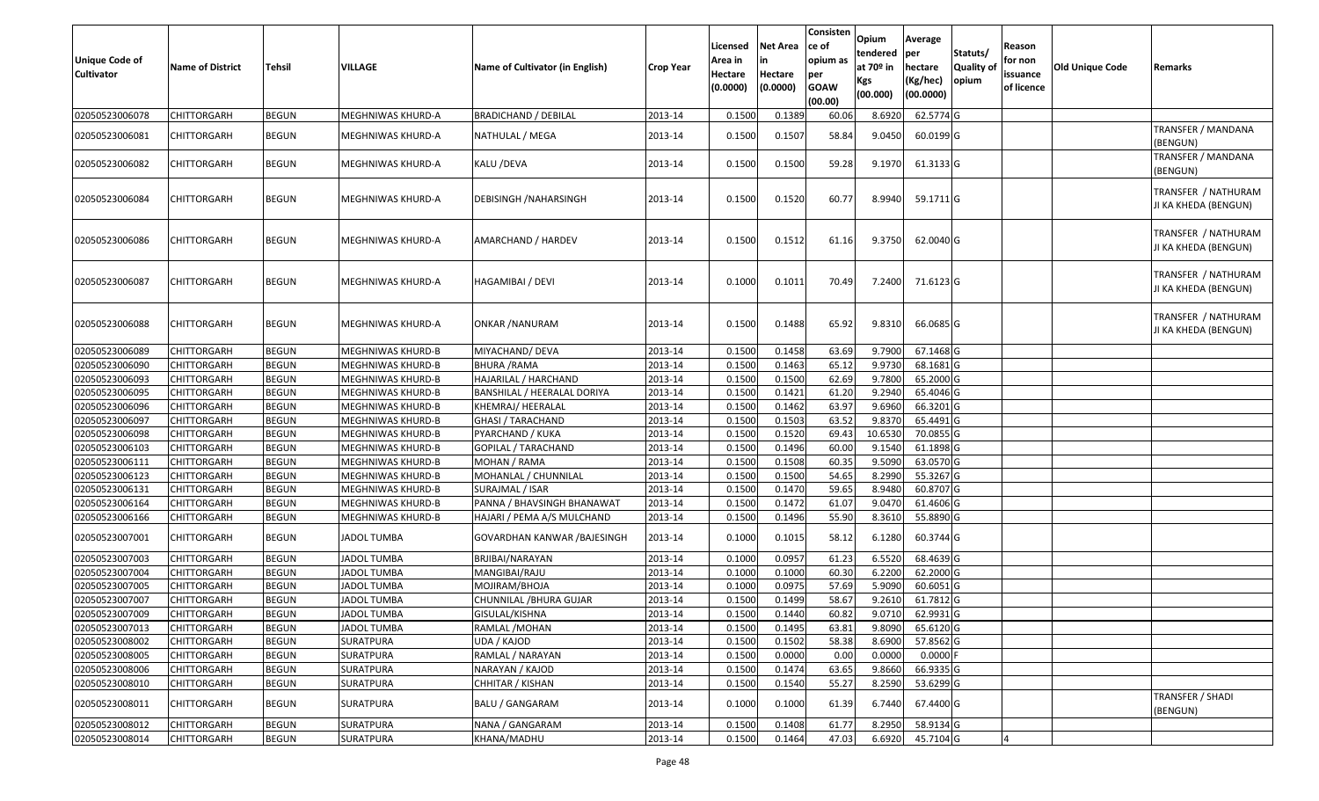| Unique Code of<br><b>Cultivator</b> | <b>Name of District</b> | <b>Tehsil</b> | VILLAGE                  | Name of Cultivator (in English) | <b>Crop Year</b> | Licensed<br>Area in<br>Hectare<br>(0.0000) | <b>Net Area</b><br>in<br>Hectare<br>(0.0000) | Consisten<br>ce of<br>opium as<br>per<br><b>GOAW</b><br>(00.00) | Opium<br>tendered<br>at $70°$ in<br>Kgs<br>(00.000) | Average<br>per<br>hectare<br>(Kg/hec)<br>(00.0000) | Statuts/<br>Quality of<br>opium | Reason<br>for non<br>issuance<br>of licence | <b>Old Unique Code</b> | Remarks                                     |
|-------------------------------------|-------------------------|---------------|--------------------------|---------------------------------|------------------|--------------------------------------------|----------------------------------------------|-----------------------------------------------------------------|-----------------------------------------------------|----------------------------------------------------|---------------------------------|---------------------------------------------|------------------------|---------------------------------------------|
| 02050523006078                      | CHITTORGARH             | <b>BEGUN</b>  | MEGHNIWAS KHURD-A        | <b>BRADICHAND / DEBILAL</b>     | 2013-14          | 0.1500                                     | 0.1389                                       | 60.06                                                           | 8.6920                                              | 62.5774 G                                          |                                 |                                             |                        |                                             |
| 02050523006081                      | CHITTORGARH             | <b>BEGUN</b>  | MEGHNIWAS KHURD-A        | NATHULAL / MEGA                 | 2013-14          | 0.1500                                     | 0.1507                                       | 58.84                                                           | 9.0450                                              | 60.0199 G                                          |                                 |                                             |                        | TRANSFER / MANDANA<br>(BENGUN)              |
| 02050523006082                      | CHITTORGARH             | <b>BEGUN</b>  | MEGHNIWAS KHURD-A        | KALU /DEVA                      | 2013-14          | 0.1500                                     | 0.1500                                       | 59.28                                                           | 9.1970                                              | 61.3133 G                                          |                                 |                                             |                        | TRANSFER / MANDANA<br>(BENGUN)              |
| 02050523006084                      | CHITTORGARH             | <b>BEGUN</b>  | MEGHNIWAS KHURD-A        | DEBISINGH / NAHARSINGH          | 2013-14          | 0.1500                                     | 0.1520                                       | 60.77                                                           | 8.9940                                              | 59.1711 G                                          |                                 |                                             |                        | TRANSFER / NATHURAM<br>JI KA KHEDA (BENGUN) |
| 02050523006086                      | CHITTORGARH             | <b>BEGUN</b>  | MEGHNIWAS KHURD-A        | AMARCHAND / HARDEV              | 2013-14          | 0.1500                                     | 0.1512                                       | 61.16                                                           | 9.3750                                              | 62.0040 G                                          |                                 |                                             |                        | TRANSFER / NATHURAM<br>JI KA KHEDA (BENGUN) |
| 02050523006087                      | <b>CHITTORGARH</b>      | <b>BEGUN</b>  | <b>MEGHNIWAS KHURD-A</b> | HAGAMIBAI / DEVI                | 2013-14          | 0.1000                                     | 0.1011                                       | 70.49                                                           | 7.2400                                              | 71.6123 G                                          |                                 |                                             |                        | TRANSFER / NATHURAM<br>JI KA KHEDA (BENGUN) |
| 02050523006088                      | CHITTORGARH             | <b>BEGUN</b>  | MEGHNIWAS KHURD-A        | ONKAR / NANURAM                 | 2013-14          | 0.1500                                     | 0.1488                                       | 65.92                                                           | 9.8310                                              | 66.0685 G                                          |                                 |                                             |                        | TRANSFER / NATHURAM<br>JI KA KHEDA (BENGUN) |
| 02050523006089                      | CHITTORGARH             | <b>BEGUN</b>  | MEGHNIWAS KHURD-B        | MIYACHAND/ DEVA                 | 2013-14          | 0.1500                                     | 0.1458                                       | 63.69                                                           | 9.7900                                              | 67.1468 G                                          |                                 |                                             |                        |                                             |
| 02050523006090                      | CHITTORGARH             | <b>BEGUN</b>  | MEGHNIWAS KHURD-B        | <b>BHURA / RAMA</b>             | 2013-14          | 0.1500                                     | 0.1463                                       | 65.12                                                           | 9.9730                                              | 68.1681 G                                          |                                 |                                             |                        |                                             |
| 02050523006093                      | CHITTORGARH             | <b>BEGUN</b>  | MEGHNIWAS KHURD-B        | HAJARILAL / HARCHAND            | 2013-14          | 0.1500                                     | 0.1500                                       | 62.69                                                           | 9.7800                                              | 65.2000 G                                          |                                 |                                             |                        |                                             |
| 02050523006095                      | <b>CHITTORGARH</b>      | <b>BEGUN</b>  | MEGHNIWAS KHURD-B        | BANSHILAL / HEERALAL DORIYA     | 2013-14          | 0.1500                                     | 0.1421                                       | 61.20                                                           | 9.2940                                              | 65.4046 G                                          |                                 |                                             |                        |                                             |
| 02050523006096                      | CHITTORGARH             | <b>BEGUN</b>  | MEGHNIWAS KHURD-B        | KHEMRAJ/ HEERALAL               | 2013-14          | 0.1500                                     | 0.1462                                       | 63.97                                                           | 9.6960                                              | 66.3201G                                           |                                 |                                             |                        |                                             |
| 02050523006097                      | CHITTORGARH             | <b>BEGUN</b>  | MEGHNIWAS KHURD-B        | <b>GHASI / TARACHAND</b>        | 2013-14          | 0.1500                                     | 0.1503                                       | 63.52                                                           | 9.8370                                              | 65.4491 G                                          |                                 |                                             |                        |                                             |
| 02050523006098                      | CHITTORGARH             | <b>BEGUN</b>  | MEGHNIWAS KHURD-B        | PYARCHAND / KUKA                | 2013-14          | 0.1500                                     | 0.1520                                       | 69.43                                                           | 10.6530                                             | 70.0855 G                                          |                                 |                                             |                        |                                             |
| 02050523006103                      | CHITTORGARH             | <b>BEGUN</b>  | MEGHNIWAS KHURD-B        | GOPILAL / TARACHAND             | 2013-14          | 0.1500                                     | 0.1496                                       | 60.00                                                           | 9.154                                               | 61.1898 G                                          |                                 |                                             |                        |                                             |
| 02050523006111                      | CHITTORGARH             | <b>BEGUN</b>  | MEGHNIWAS KHURD-B        | MOHAN / RAMA                    | 2013-14          | 0.1500                                     | 0.1508                                       | 60.35                                                           | 9.5090                                              | 63.0570 G                                          |                                 |                                             |                        |                                             |
| 02050523006123                      | CHITTORGARH             | <b>BEGUN</b>  | MEGHNIWAS KHURD-B        | MOHANLAL / CHUNNILAL            | 2013-14          | 0.1500                                     | 0.1500                                       | 54.65                                                           | 8.2990                                              | 55.3267 G                                          |                                 |                                             |                        |                                             |
| 02050523006131                      | CHITTORGARH             | <b>BEGUN</b>  | MEGHNIWAS KHURD-B        | SURAJMAL / ISAR                 | 2013-14          | 0.1500                                     | 0.1470                                       | 59.65                                                           | 8.9480                                              | 60.8707 G                                          |                                 |                                             |                        |                                             |
| 02050523006164                      | <b>CHITTORGARH</b>      | <b>BEGUN</b>  | MEGHNIWAS KHURD-B        | PANNA / BHAVSINGH BHANAWAT      | 2013-14          | 0.1500                                     | 0.1472                                       | 61.07                                                           | 9.0470                                              | 61.4606 G                                          |                                 |                                             |                        |                                             |
| 02050523006166                      | <b>CHITTORGARH</b>      | <b>BEGUN</b>  | MEGHNIWAS KHURD-B        | HAJARI / PEMA A/S MULCHAND      | 2013-14          | 0.1500                                     | 0.1496                                       | 55.90                                                           | 8.3610                                              | 55.8890 G                                          |                                 |                                             |                        |                                             |
| 02050523007001                      | CHITTORGARH             | <b>BEGUN</b>  | JADOL TUMBA              | GOVARDHAN KANWAR / BAJESINGH    | 2013-14          | 0.1000                                     | 0.1015                                       | 58.12                                                           | 6.1280                                              | 60.3744 G                                          |                                 |                                             |                        |                                             |
| 02050523007003                      | CHITTORGARH             | <b>BEGUN</b>  | <b>JADOL TUMBA</b>       | BRJIBAI/NARAYAN                 | 2013-14          | 0.1000                                     | 0.0957                                       | 61.23                                                           | 6.5520                                              | 68.4639 G                                          |                                 |                                             |                        |                                             |
| 02050523007004                      | CHITTORGARH             | <b>BEGUN</b>  | <b>JADOL TUMBA</b>       | MANGIBAI/RAJU                   | 2013-14          | 0.1000                                     | 0.1000                                       | 60.30                                                           | 6.2200                                              | 62.2000 G                                          |                                 |                                             |                        |                                             |
| 02050523007005                      | CHITTORGARH             | <b>BEGUN</b>  | <b>JADOL TUMBA</b>       | MOJIRAM/BHOJA                   | 2013-14          | 0.1000                                     | 0.0975                                       | 57.69                                                           | 5.9090                                              | 60.6051 G                                          |                                 |                                             |                        |                                             |
| 02050523007007                      | CHITTORGARH             | <b>BEGUN</b>  | <b>JADOL TUMBA</b>       | CHUNNILAL /BHURA GUJAR          | 2013-14          | 0.1500                                     | 0.1499                                       | 58.67                                                           | 9.2610                                              | 61.7812 G                                          |                                 |                                             |                        |                                             |
| 02050523007009                      | <b>CHITTORGARH</b>      | <b>BEGUN</b>  | <b>JADOL TUMBA</b>       | GISULAL/KISHNA                  | 2013-14          | 0.1500                                     | 0.1440                                       | 60.82                                                           | 9.0710                                              | 62.9931G                                           |                                 |                                             |                        |                                             |
| 02050523007013                      | <b>CHITTORGARH</b>      | <b>BEGUN</b>  | <b>JADOL TUMBA</b>       | RAMLAL / MOHAN                  | 2013-14          | 0.1500                                     | 0.1495                                       | 63.81                                                           | 9.8090                                              | 65.6120 G                                          |                                 |                                             |                        |                                             |
| 02050523008002                      | <b>CHITTORGARH</b>      | <b>BEGUN</b>  | SURATPURA                | UDA / KAJOD                     | 2013-14          | 0.1500                                     | 0.1502                                       | 58.38                                                           | 8.6900                                              | 57.8562 G                                          |                                 |                                             |                        |                                             |
| 02050523008005                      | <b>CHITTORGARH</b>      | <b>BEGUN</b>  | <b>SURATPURA</b>         | RAMLAL / NARAYAN                | 2013-14          | 0.1500                                     | 0.0000                                       | 0.00                                                            | 0.0000                                              | $0.0000$ F                                         |                                 |                                             |                        |                                             |
| 02050523008006                      | <b>CHITTORGARH</b>      | <b>BEGUN</b>  | SURATPURA                | NARAYAN / KAJOD                 | 2013-14          | 0.1500                                     | 0.1474                                       | 63.65                                                           | 9.8660                                              | 66.9335 G                                          |                                 |                                             |                        |                                             |
| 02050523008010                      | <b>CHITTORGARH</b>      | <b>BEGUN</b>  | <b>SURATPURA</b>         | CHHITAR / KISHAN                | 2013-14          | 0.1500                                     | 0.1540                                       | 55.27                                                           | 8.2590                                              | 53.6299 G                                          |                                 |                                             |                        |                                             |
| 02050523008011                      | <b>CHITTORGARH</b>      | <b>BEGUN</b>  | <b>SURATPURA</b>         | <b>BALU / GANGARAM</b>          | 2013-14          | 0.1000                                     | 0.1000                                       | 61.39                                                           | 6.7440                                              | 67.4400 G                                          |                                 |                                             |                        | TRANSFER / SHADI<br>(BENGUN)                |
| 02050523008012                      | CHITTORGARH             | <b>BEGUN</b>  | SURATPURA                | NANA / GANGARAM                 | 2013-14          | 0.1500                                     | 0.1408                                       | 61.77                                                           | 8.2950                                              | 58.9134 G                                          |                                 |                                             |                        |                                             |
| 02050523008014                      | <b>CHITTORGARH</b>      | <b>BEGUN</b>  | SURATPURA                | KHANA/MADHU                     | 2013-14          | 0.1500                                     | 0.1464                                       | 47.03                                                           | 6.6920                                              | 45.7104 G                                          |                                 |                                             |                        |                                             |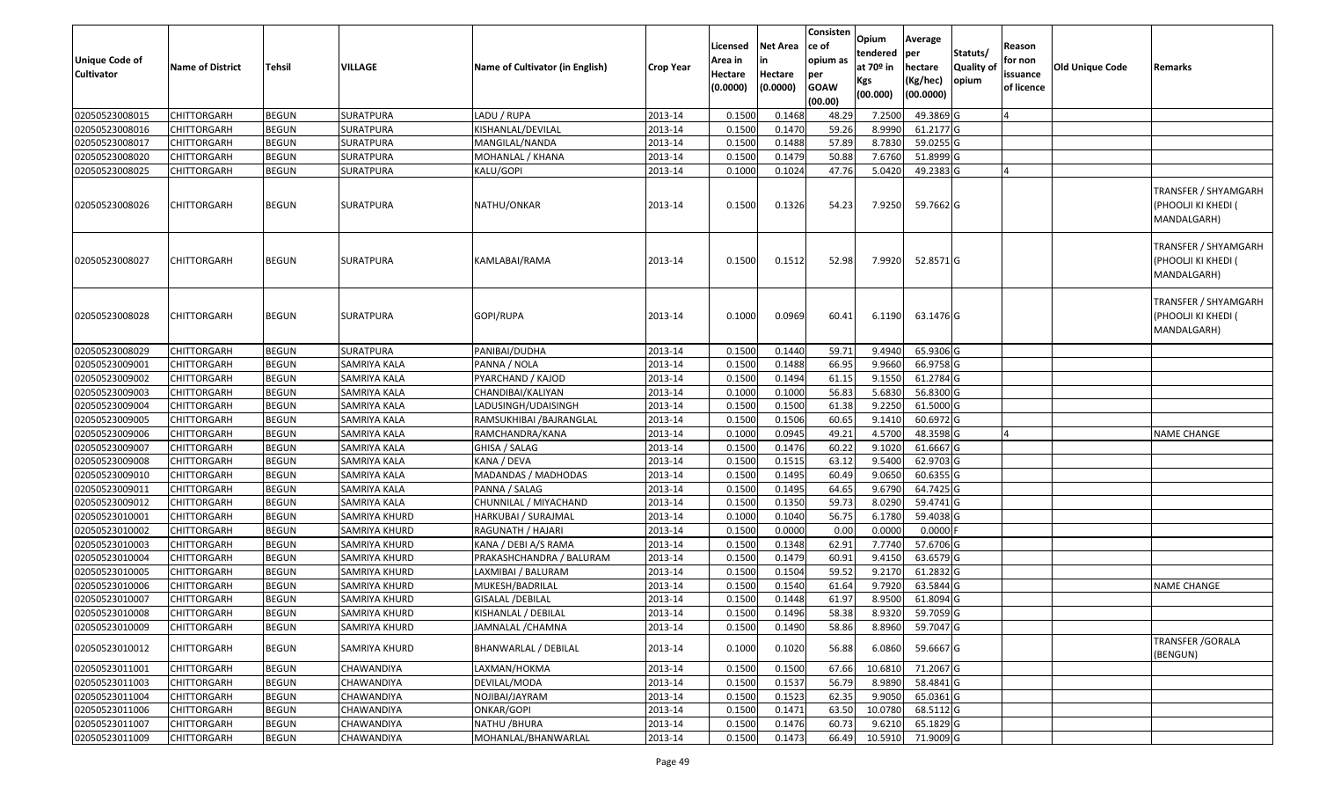| <b>Unique Code of</b><br><b>Cultivator</b> | <b>Name of District</b> | <b>Tehsil</b> | VILLAGE             | Name of Cultivator (in English) | <b>Crop Year</b> | Licensed<br>Area in<br>Hectare<br>(0.0000) | <b>Net Area</b><br>in<br>Hectare<br>(0.0000) | Consisten<br>ce of<br>opium as<br>per<br><b>GOAW</b><br>(00.00) | Opium<br>tendered<br>at $70°$ in<br>Kgs<br>(00.000) | Average<br>per<br>hectare<br>(Kg/hec)<br>(00.0000) | Statuts/<br>Quality of<br>opium | Reason<br>for non<br>issuance<br>of licence | <b>Old Unique Code</b> | Remarks                                                    |
|--------------------------------------------|-------------------------|---------------|---------------------|---------------------------------|------------------|--------------------------------------------|----------------------------------------------|-----------------------------------------------------------------|-----------------------------------------------------|----------------------------------------------------|---------------------------------|---------------------------------------------|------------------------|------------------------------------------------------------|
| 02050523008015                             | <b>CHITTORGARH</b>      | <b>BEGUN</b>  | <b>SURATPURA</b>    | LADU / RUPA                     | 2013-14          | 0.1500                                     | 0.1468                                       | 48.29                                                           | 7.2500                                              | 49.3869 G                                          |                                 |                                             |                        |                                                            |
| 02050523008016                             | CHITTORGARH             | <b>BEGUN</b>  | SURATPURA           | KISHANLAL/DEVILAL               | 2013-14          | 0.1500                                     | 0.1470                                       | 59.26                                                           | 8.9990                                              | 61.2177 G                                          |                                 |                                             |                        |                                                            |
| 02050523008017                             | CHITTORGARH             | <b>BEGUN</b>  | SURATPURA           | MANGILAL/NANDA                  | 2013-14          | 0.1500                                     | 0.1488                                       | 57.89                                                           | 8.7830                                              | 59.0255 G                                          |                                 |                                             |                        |                                                            |
| 02050523008020                             | <b>CHITTORGARH</b>      | <b>BEGUN</b>  | <b>SURATPURA</b>    | MOHANLAL / KHANA                | 2013-14          | 0.1500                                     | 0.1479                                       | 50.88                                                           | 7.6760                                              | 51.8999 G                                          |                                 |                                             |                        |                                                            |
| 02050523008025                             | CHITTORGARH             | <b>BEGUN</b>  | SURATPURA           | KALU/GOPI                       | 2013-14          | 0.1000                                     | 0.1024                                       | 47.76                                                           | 5.0420                                              | 49.2383 G                                          |                                 | $\overline{4}$                              |                        |                                                            |
| 02050523008026                             | <b>CHITTORGARH</b>      | <b>BEGUN</b>  | SURATPURA           | NATHU/ONKAR                     | 2013-14          | 0.1500                                     | 0.1326                                       | 54.23                                                           | 7.9250                                              | 59.7662 G                                          |                                 |                                             |                        | TRANSFER / SHYAMGARH<br>(PHOOLJI KI KHEDI (<br>MANDALGARH) |
| 02050523008027                             | CHITTORGARH             | <b>BEGUN</b>  | SURATPURA           | KAMLABAI/RAMA                   | 2013-14          | 0.1500                                     | 0.1512                                       | 52.98                                                           | 7.9920                                              | 52.8571 G                                          |                                 |                                             |                        | TRANSFER / SHYAMGARH<br>(PHOOLJI KI KHEDI (<br>MANDALGARH) |
| 02050523008028                             | CHITTORGARH             | <b>BEGUN</b>  | SURATPURA           | GOPI/RUPA                       | 2013-14          | 0.1000                                     | 0.0969                                       | 60.41                                                           | 6.1190                                              | 63.1476 G                                          |                                 |                                             |                        | TRANSFER / SHYAMGARH<br>(PHOOLJI KI KHEDI (<br>MANDALGARH) |
| 02050523008029                             | <b>CHITTORGARH</b>      | <b>BEGUN</b>  | <b>SURATPURA</b>    | PANIBAI/DUDHA                   | 2013-14          | 0.1500                                     | 0.1440                                       | 59.71                                                           | 9.4940                                              | 65.9306 G                                          |                                 |                                             |                        |                                                            |
| 02050523009001                             | <b>CHITTORGARH</b>      | <b>BEGUN</b>  | <b>SAMRIYA KALA</b> | PANNA / NOLA                    | 2013-14          | 0.1500                                     | 0.1488                                       | 66.95                                                           | 9.9660                                              | 66.9758 G                                          |                                 |                                             |                        |                                                            |
| 02050523009002                             | CHITTORGARH             | <b>BEGUN</b>  | SAMRIYA KALA        | PYARCHAND / KAJOD               | 2013-14          | 0.1500                                     | 0.1494                                       | 61.15                                                           | 9.1550                                              | 61.2784 G                                          |                                 |                                             |                        |                                                            |
| 02050523009003                             | <b>CHITTORGARH</b>      | <b>BEGUN</b>  | SAMRIYA KALA        | CHANDIBAI/KALIYAN               | 2013-14          | 0.1000                                     | 0.1000                                       | 56.83                                                           | 5.6830                                              | 56.8300 G                                          |                                 |                                             |                        |                                                            |
| 02050523009004                             | CHITTORGARH             | <b>BEGUN</b>  | <b>SAMRIYA KALA</b> | LADUSINGH/UDAISINGH             | 2013-14          | 0.1500                                     | 0.1500                                       | 61.38                                                           | 9.2250                                              | 61.5000 G                                          |                                 |                                             |                        |                                                            |
| 02050523009005                             | <b>CHITTORGARH</b>      | <b>BEGUN</b>  | <b>SAMRIYA KALA</b> | RAMSUKHIBAI /BAJRANGLAL         | 2013-14          | 0.1500                                     | 0.1506                                       | 60.65                                                           | 9.1410                                              | 60.6972 G                                          |                                 |                                             |                        |                                                            |
| 02050523009006                             | CHITTORGARH             | <b>BEGUN</b>  | SAMRIYA KALA        | RAMCHANDRA/KANA                 | 2013-14          | 0.1000                                     | 0.0945                                       | 49.21                                                           | 4.5700                                              | 48.3598 G                                          |                                 | ıΔ                                          |                        | <b>NAME CHANGE</b>                                         |
| 02050523009007                             | <b>CHITTORGARH</b>      | <b>BEGUN</b>  | SAMRIYA KALA        | GHISA / SALAG                   | 2013-14          | 0.1500                                     | 0.1476                                       | 60.22                                                           | 9.1020                                              | 61.6667 G                                          |                                 |                                             |                        |                                                            |
| 02050523009008                             | <b>CHITTORGARH</b>      | <b>BEGUN</b>  | <b>SAMRIYA KALA</b> | KANA / DEVA                     | 2013-14          | 0.1500                                     | 0.1515                                       | 63.12                                                           | 9.5400                                              | 62.9703 G                                          |                                 |                                             |                        |                                                            |
| 02050523009010                             | <b>CHITTORGARH</b>      | <b>BEGUN</b>  | SAMRIYA KALA        | MADANDAS / MADHODAS             | 2013-14          | 0.1500                                     | 0.1495                                       | 60.49                                                           | 9.0650                                              | 60.6355 G                                          |                                 |                                             |                        |                                                            |
| 02050523009011                             | CHITTORGARH             | <b>BEGUN</b>  | SAMRIYA KALA        | PANNA / SALAG                   | 2013-14          | 0.1500                                     | 0.1495                                       | 64.65                                                           | 9.6790                                              | 64.7425 G                                          |                                 |                                             |                        |                                                            |
| 02050523009012                             | <b>CHITTORGARH</b>      | <b>BEGUN</b>  | SAMRIYA KALA        | CHUNNILAL / MIYACHAND           | 2013-14          | 0.1500                                     | 0.1350                                       | 59.73                                                           | 8.0290                                              | 59.4741 G                                          |                                 |                                             |                        |                                                            |
| 02050523010001                             | <b>CHITTORGARH</b>      | <b>BEGUN</b>  | SAMRIYA KHURD       | HARKUBAI / SURAJMAL             | 2013-14          | 0.1000                                     | 0.1040                                       | 56.75                                                           | 6.1780                                              | 59.4038 G                                          |                                 |                                             |                        |                                                            |
| 02050523010002                             | <b>CHITTORGARH</b>      | <b>BEGUN</b>  | SAMRIYA KHURD       | RAGUNATH / HAJARI               | 2013-14          | 0.1500                                     | 0.0000                                       | 0.00                                                            | 0.0000                                              | 0.0000                                             |                                 |                                             |                        |                                                            |
| 02050523010003                             | CHITTORGARH             | <b>BEGUN</b>  | SAMRIYA KHURD       | KANA / DEBI A/S RAMA            | 2013-14          | 0.1500                                     | 0.1348                                       | 62.91                                                           | 7.7740                                              | 57.6706 G                                          |                                 |                                             |                        |                                                            |
| 02050523010004                             | CHITTORGARH             | <b>BEGUN</b>  | SAMRIYA KHURD       | PRAKASHCHANDRA / BALURAM        | 2013-14          | 0.1500                                     | 0.1479                                       | 60.91                                                           | 9.4150                                              | 63.6579 G                                          |                                 |                                             |                        |                                                            |
| 02050523010005                             | CHITTORGARH             | <b>BEGUN</b>  | SAMRIYA KHURD       | LAXMIBAI / BALURAM              | 2013-14          | 0.1500                                     | 0.1504                                       | 59.52                                                           | 9.2170                                              | 61.2832 G                                          |                                 |                                             |                        |                                                            |
| 02050523010006                             | CHITTORGARH             | <b>BEGUN</b>  | SAMRIYA KHURD       | MUKESH/BADRILAL                 | 2013-14          | 0.1500                                     | 0.1540                                       | 61.64                                                           | 9.7920                                              | 63.5844 G                                          |                                 |                                             |                        | <b>NAME CHANGE</b>                                         |
| 02050523010007                             | CHITTORGARH             | <b>BEGUN</b>  | SAMRIYA KHURD       | GISALAL /DEBILAL                | 2013-14          | 0.1500                                     | 0.1448                                       | 61.97                                                           | 8.9500                                              | 61.8094 G                                          |                                 |                                             |                        |                                                            |
| 02050523010008                             | <b>CHITTORGARH</b>      | <b>BEGUN</b>  | SAMRIYA KHURD       | KISHANLAL / DEBILAL             | 2013-14          | 0.1500                                     | 0.1496                                       | 58.38                                                           |                                                     | 8.9320 59.7059 G                                   |                                 |                                             |                        |                                                            |
| 02050523010009                             | <b>CHITTORGARH</b>      | <b>BEGUN</b>  | SAMRIYA KHURD       | JAMNALAL / CHAMNA               | 2013-14          | 0.1500                                     | 0.1490                                       | 58.86                                                           | 8.8960                                              | 59.7047 G                                          |                                 |                                             |                        |                                                            |
| 02050523010012                             | CHITTORGARH             | <b>BEGUN</b>  | SAMRIYA KHURD       | BHANWARLAL / DEBILAL            | 2013-14          | 0.1000                                     | 0.1020                                       | 56.88                                                           | 6.0860                                              | 59.6667 G                                          |                                 |                                             |                        | TRANSFER / GORALA<br>(BENGUN)                              |
| 02050523011001                             | <b>CHITTORGARH</b>      | <b>BEGUN</b>  | CHAWANDIYA          | LAXMAN/HOKMA                    | 2013-14          | 0.1500                                     | 0.1500                                       | 67.66                                                           | 10.6810                                             | 71.2067 G                                          |                                 |                                             |                        |                                                            |
| 02050523011003                             | <b>CHITTORGARH</b>      | <b>BEGUN</b>  | CHAWANDIYA          | DEVILAL/MODA                    | 2013-14          | 0.1500                                     | 0.1537                                       | 56.79                                                           | 8.9890                                              | 58.4841G                                           |                                 |                                             |                        |                                                            |
| 02050523011004                             | <b>CHITTORGARH</b>      | <b>BEGUN</b>  | CHAWANDIYA          | NOJIBAI/JAYRAM                  | 2013-14          | 0.1500                                     | 0.1523                                       | 62.35                                                           | 9.9050                                              | 65.0361G                                           |                                 |                                             |                        |                                                            |
| 02050523011006                             | <b>CHITTORGARH</b>      | <b>BEGUN</b>  | CHAWANDIYA          | ONKAR/GOPI                      | 2013-14          | 0.1500                                     | 0.1471                                       | 63.50                                                           | 10.0780                                             | 68.5112G                                           |                                 |                                             |                        |                                                            |
| 02050523011007                             | <b>CHITTORGARH</b>      | <b>BEGUN</b>  | CHAWANDIYA          | NATHU / BHURA                   | 2013-14          | 0.1500                                     | 0.1476                                       | 60.73                                                           | 9.6210                                              | 65.1829 G                                          |                                 |                                             |                        |                                                            |
| 02050523011009                             | CHITTORGARH             | <b>BEGUN</b>  | CHAWANDIYA          | MOHANLAL/BHANWARLAL             | 2013-14          | 0.1500                                     | 0.1473                                       | 66.49                                                           | 10.5910                                             | 71.9009 G                                          |                                 |                                             |                        |                                                            |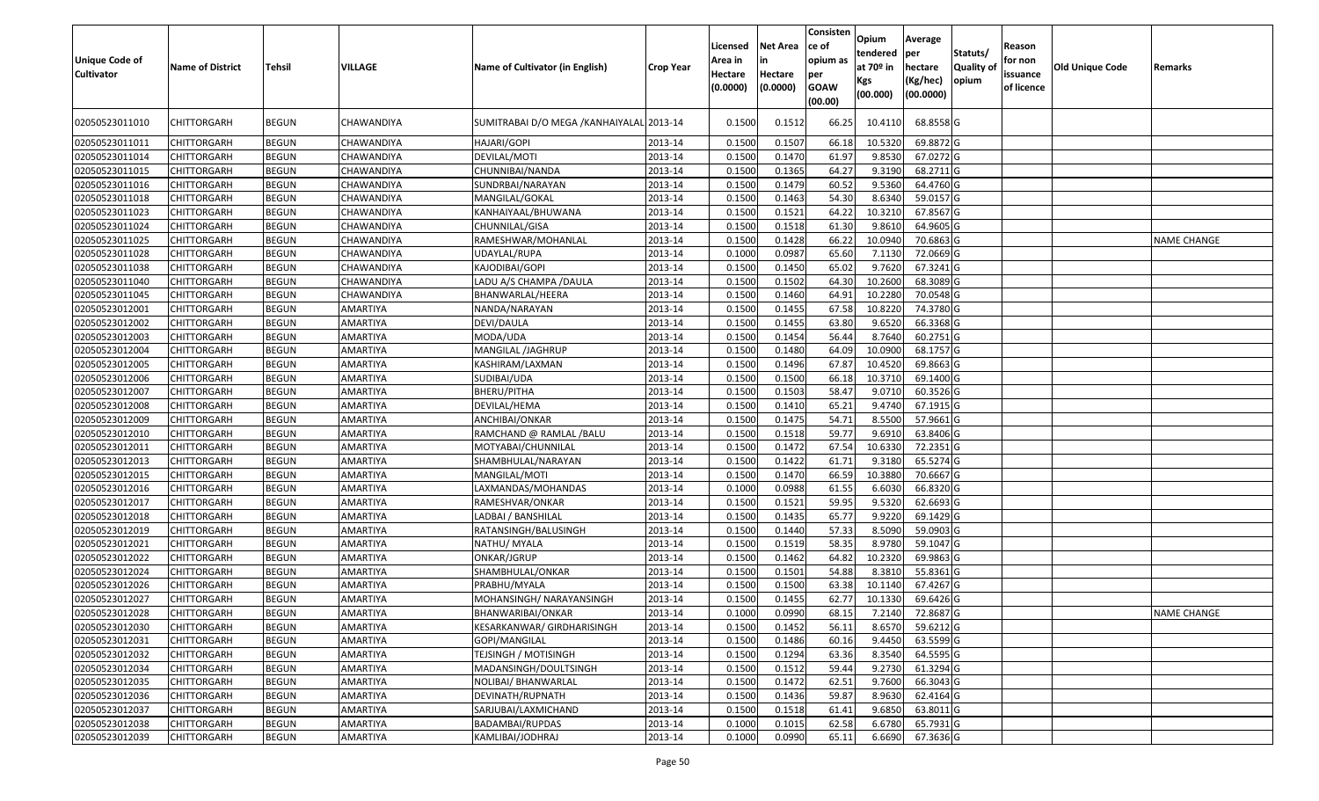| <b>Unique Code of</b><br><b>Cultivator</b> | <b>Name of District</b> | <b>Tehsil</b> | VILLAGE         | Name of Cultivator (in English)           | <b>Crop Year</b> | Licensed<br>Area in<br>Hectare<br>(0.0000) | <b>Net Area</b><br>in<br>Hectare<br>(0.0000) | Consisten<br>ce of<br>opium as<br>per<br><b>GOAW</b><br>(00.00) | Opium<br>tendered<br>at $70°$ in<br>Kgs<br>(00.000) | Average<br>per<br>hectare<br>(Kg/hec)<br>(00.0000) | Statuts/<br>Quality of<br>opium | Reason<br>for non<br>issuance<br>of licence | <b>Old Unique Code</b> | Remarks            |
|--------------------------------------------|-------------------------|---------------|-----------------|-------------------------------------------|------------------|--------------------------------------------|----------------------------------------------|-----------------------------------------------------------------|-----------------------------------------------------|----------------------------------------------------|---------------------------------|---------------------------------------------|------------------------|--------------------|
| 02050523011010                             | CHITTORGARH             | <b>BEGUN</b>  | CHAWANDIYA      | SUMITRABAI D/O MEGA / KANHAIYALAL 2013-14 |                  | 0.1500                                     | 0.1512                                       | 66.25                                                           | 10.4110                                             | 68.8558 G                                          |                                 |                                             |                        |                    |
| 02050523011011                             | <b>CHITTORGARH</b>      | <b>BEGUN</b>  | CHAWANDIYA      | HAJARI/GOPI                               | 2013-14          | 0.1500                                     | 0.1507                                       | 66.18                                                           | 10.5320                                             | 69.8872 G                                          |                                 |                                             |                        |                    |
| 02050523011014                             | <b>CHITTORGARH</b>      | <b>BEGUN</b>  | CHAWANDIYA      | DEVILAL/MOTI                              | 2013-14          | 0.1500                                     | 0.1470                                       | 61.97                                                           | 9.8530                                              | 67.0272 G                                          |                                 |                                             |                        |                    |
| 02050523011015                             | <b>CHITTORGARH</b>      | <b>BEGUN</b>  | CHAWANDIYA      | CHUNNIBAI/NANDA                           | 2013-14          | 0.1500                                     | 0.1365                                       | 64.27                                                           | 9.3190                                              | 68.2711 G                                          |                                 |                                             |                        |                    |
| 02050523011016                             | <b>CHITTORGARH</b>      | <b>BEGUN</b>  | CHAWANDIYA      | SUNDRBAI/NARAYAN                          | 2013-14          | 0.1500                                     | 0.1479                                       | 60.52                                                           | 9.5360                                              | 64.4760 G                                          |                                 |                                             |                        |                    |
| 02050523011018                             | <b>CHITTORGARH</b>      | <b>BEGUN</b>  | CHAWANDIYA      | MANGILAL/GOKAL                            | 2013-14          | 0.1500                                     | 0.1463                                       | 54.30                                                           | 8.6340                                              | 59.0157 G                                          |                                 |                                             |                        |                    |
| 02050523011023                             | CHITTORGARH             | <b>BEGUN</b>  | CHAWANDIYA      | KANHAIYAAL/BHUWANA                        | 2013-14          | 0.1500                                     | 0.1521                                       | 64.22                                                           | 10.3210                                             | 67.8567 G                                          |                                 |                                             |                        |                    |
| 02050523011024                             | CHITTORGARH             | <b>BEGUN</b>  | CHAWANDIYA      | CHUNNILAL/GISA                            | 2013-14          | 0.1500                                     | 0.1518                                       | 61.30                                                           | 9.8610                                              | 64.9605 G                                          |                                 |                                             |                        |                    |
| 02050523011025                             | CHITTORGARH             | <b>BEGUN</b>  | CHAWANDIYA      | RAMESHWAR/MOHANLAL                        | 2013-14          | 0.150                                      | 0.1428                                       | 66.22                                                           | 10.0940                                             | 70.6863 G                                          |                                 |                                             |                        | <b>NAME CHANGE</b> |
| 02050523011028                             | CHITTORGARH             | <b>BEGUN</b>  | CHAWANDIYA      | UDAYLAL/RUPA                              | 2013-14          | 0.100                                      | 0.0987                                       | 65.60                                                           | 7.1130                                              | 72.0669 G                                          |                                 |                                             |                        |                    |
| 02050523011038                             | CHITTORGARH             | <b>BEGUN</b>  | CHAWANDIYA      | KAJODIBAI/GOPI                            | 2013-14          | 0.1500                                     | 0.1450                                       | 65.02                                                           | 9.7620                                              | 67.3241 G                                          |                                 |                                             |                        |                    |
| 02050523011040                             | <b>CHITTORGARH</b>      | <b>BEGUN</b>  | CHAWANDIYA      | LADU A/S CHAMPA / DAULA                   | 2013-14          | 0.1500                                     | 0.1502                                       | 64.30                                                           | 10.2600                                             | 68.3089 G                                          |                                 |                                             |                        |                    |
| 02050523011045                             | CHITTORGARH             | <b>BEGUN</b>  | CHAWANDIYA      | BHANWARLAL/HEERA                          | 2013-14          | 0.150                                      | 0.1460                                       | 64.91                                                           | 10.2280                                             | 70.0548 G                                          |                                 |                                             |                        |                    |
| 02050523012001                             | CHITTORGARH             | <b>BEGUN</b>  | AMARTIYA        | NANDA/NARAYAN                             | 2013-14          | 0.1500                                     | 0.1455                                       | 67.58                                                           | 10.8220                                             | 74.3780 G                                          |                                 |                                             |                        |                    |
| 02050523012002                             | CHITTORGARH             | <b>BEGUN</b>  | AMARTIYA        | DEVI/DAULA                                | 2013-14          | 0.1500                                     | 0.1455                                       | 63.80                                                           | 9.6520                                              | 66.3368 G                                          |                                 |                                             |                        |                    |
| 02050523012003                             | CHITTORGARH             | <b>BEGUN</b>  | <b>AMARTIYA</b> | MODA/UDA                                  | 2013-14          | 0.1500                                     | 0.1454                                       | 56.44                                                           | 8.7640                                              | 60.2751 G                                          |                                 |                                             |                        |                    |
| 02050523012004                             | CHITTORGARH             | <b>BEGUN</b>  | AMARTIYA        | MANGILAL /JAGHRUP                         | 2013-14          | 0.1500                                     | 0.1480                                       | 64.09                                                           | 10.0900                                             | 68.1757 G                                          |                                 |                                             |                        |                    |
| 02050523012005                             | <b>CHITTORGARH</b>      | <b>BEGUN</b>  | <b>AMARTIYA</b> | KASHIRAM/LAXMAN                           | 2013-14          | 0.1500                                     | 0.1496                                       | 67.87                                                           | 10.4520                                             | 69.8663 G                                          |                                 |                                             |                        |                    |
| 02050523012006                             | CHITTORGARH             | <b>BEGUN</b>  | AMARTIYA        | SUDIBAI/UDA                               | 2013-14          | 0.1500                                     | 0.1500                                       | 66.18                                                           | 10.3710                                             | 69.1400 G                                          |                                 |                                             |                        |                    |
| 02050523012007                             | CHITTORGARH             | <b>BEGUN</b>  | AMARTIYA        | BHERU/PITHA                               | 2013-14          | 0.1500                                     | 0.1503                                       | 58.47                                                           | 9.0710                                              | 60.3526 G                                          |                                 |                                             |                        |                    |
| 02050523012008                             | CHITTORGARH             | <b>BEGUN</b>  | AMARTIYA        | DEVILAL/HEMA                              | 2013-14          | 0.1500                                     | 0.1410                                       | 65.21                                                           | 9.4740                                              | 67.1915 G                                          |                                 |                                             |                        |                    |
| 02050523012009                             | CHITTORGARH             | <b>BEGUN</b>  | AMARTIYA        | ANCHIBAI/ONKAR                            | 2013-14          | 0.1500                                     | 0.1475                                       | 54.71                                                           | 8.5500                                              | 57.9661G                                           |                                 |                                             |                        |                    |
| 02050523012010                             | CHITTORGARH             | <b>BEGUN</b>  | AMARTIYA        | RAMCHAND @ RAMLAL /BALU                   | 2013-14          | 0.1500                                     | 0.1518                                       | 59.77                                                           | 9.691                                               | 63.8406 G                                          |                                 |                                             |                        |                    |
| 02050523012011                             | CHITTORGARH             | <b>BEGUN</b>  | AMARTIYA        | MOTYABAI/CHUNNILAL                        | 2013-14          | 0.1500                                     | 0.1472                                       | 67.54                                                           | 10.6330                                             | 72.2351 G                                          |                                 |                                             |                        |                    |
| 02050523012013                             | CHITTORGARH             | <b>BEGUN</b>  | AMARTIYA        | SHAMBHULAL/NARAYAN                        | 2013-14          | 0.1500                                     | 0.1422                                       | 61.71                                                           | 9.3180                                              | 65.5274 G                                          |                                 |                                             |                        |                    |
| 02050523012015                             | <b>CHITTORGARH</b>      | <b>BEGUN</b>  | AMARTIYA        | MANGILAL/MOTI                             | 2013-14          | 0.1500                                     | 0.1470                                       | 66.59                                                           | 10.3880                                             | 70.6667 G                                          |                                 |                                             |                        |                    |
| 02050523012016                             | <b>CHITTORGARH</b>      | <b>BEGUN</b>  | AMARTIYA        | LAXMANDAS/MOHANDAS                        | 2013-14          | 0.1000                                     | 0.0988                                       | 61.55                                                           | 6.6030                                              | 66.8320 G                                          |                                 |                                             |                        |                    |
| 02050523012017                             | CHITTORGARH             | <b>BEGUN</b>  | AMARTIYA        | RAMESHVAR/ONKAR                           | 2013-14          | 0.1500                                     | 0.1521                                       | 59.95                                                           | 9.5320                                              | 62.6693 G                                          |                                 |                                             |                        |                    |
| 02050523012018                             | <b>CHITTORGARH</b>      | <b>BEGUN</b>  | AMARTIYA        | LADBAI / BANSHILAL                        | 2013-14          | 0.1500                                     | 0.1435                                       | 65.77                                                           | 9.9220                                              | 69.1429 G                                          |                                 |                                             |                        |                    |
| 02050523012019                             | <b>CHITTORGARH</b>      | <b>BEGUN</b>  | AMARTIYA        | RATANSINGH/BALUSINGH                      | 2013-14          | 0.1500                                     | 0.1440                                       | 57.33                                                           | 8.5090                                              | 59.0903 G                                          |                                 |                                             |                        |                    |
| 02050523012021                             | <b>CHITTORGARH</b>      | <b>BEGUN</b>  | AMARTIYA        | NATHU/ MYALA                              | 2013-14          | 0.1500                                     | 0.1519                                       | 58.35                                                           | 8.9780                                              | 59.1047 G                                          |                                 |                                             |                        |                    |
| 02050523012022                             | CHITTORGARH             | <b>BEGUN</b>  | AMARTIYA        | ONKAR/JGRUP                               | 2013-14          | 0.1500                                     | 0.1462                                       | 64.82                                                           | 10.2320                                             | 69.9863 G                                          |                                 |                                             |                        |                    |
| 02050523012024                             | CHITTORGARH             | <b>BEGUN</b>  | AMARTIYA        | SHAMBHULAL/ONKAR                          | 2013-14          | 0.1500                                     | 0.1501                                       | 54.88                                                           | 8.3810                                              | 55.8361 G                                          |                                 |                                             |                        |                    |
| 02050523012026                             | CHITTORGARH             | <b>BEGUN</b>  | AMARTIYA        | PRABHU/MYALA                              | 2013-14          | 0.150                                      | 0.1500                                       | 63.38                                                           | 10.114                                              | 67.4267 G                                          |                                 |                                             |                        |                    |
| 02050523012027                             | CHITTORGARH             | <b>BEGUN</b>  | AMARTIYA        | MOHANSINGH/ NARAYANSINGH                  | 2013-14          | 0.1500                                     | 0.1455                                       | 62.77                                                           | 10.1330                                             | 69.6426 G                                          |                                 |                                             |                        |                    |
| 02050523012028                             | <b>CHITTORGARH</b>      | <b>BEGUN</b>  | AMARTIYA        | BHANWARIBAI/ONKAR                         | 2013-14          | 0.1000                                     | 0.0990                                       | 68.15                                                           | 7.2140                                              | 72.8687 G                                          |                                 |                                             |                        | NAME CHANGE        |
| 02050523012030                             | <b>CHITTORGARH</b>      | <b>BEGUN</b>  | AMARTIYA        | KESARKANWAR/ GIRDHARISINGH                | 2013-14          | 0.1500                                     | 0.1452                                       | 56.11                                                           | 8.6570                                              | 59.6212 G                                          |                                 |                                             |                        |                    |
| 02050523012031                             | <b>CHITTORGARH</b>      | <b>BEGUN</b>  | AMARTIYA        | GOPI/MANGILAL                             | 2013-14          | 0.1500                                     | 0.1486                                       | 60.16                                                           | 9.4450                                              | 63.5599 G                                          |                                 |                                             |                        |                    |
| 02050523012032                             | <b>CHITTORGARH</b>      | <b>BEGUN</b>  | AMARTIYA        | TEJSINGH / MOTISINGH                      | 2013-14          | 0.1500                                     | 0.1294                                       | 63.36                                                           | 8.3540                                              | 64.5595 G                                          |                                 |                                             |                        |                    |
| 02050523012034                             | <b>CHITTORGARH</b>      | <b>BEGUN</b>  | AMARTIYA        | MADANSINGH/DOULTSINGH                     | 2013-14          | 0.1500                                     | 0.1512                                       | 59.44                                                           | 9.2730                                              | 61.3294 G                                          |                                 |                                             |                        |                    |
| 02050523012035                             | <b>CHITTORGARH</b>      | <b>BEGUN</b>  | <b>AMARTIYA</b> | NOLIBAI/ BHANWARLAL                       | 2013-14          | 0.1500                                     | 0.1472                                       | 62.51                                                           | 9.7600                                              | 66.3043 G                                          |                                 |                                             |                        |                    |
| 02050523012036                             | <b>CHITTORGARH</b>      | <b>BEGUN</b>  | AMARTIYA        | DEVINATH/RUPNATH                          | 2013-14          | 0.1500                                     | 0.1436                                       | 59.87                                                           | 8.9630                                              | 62.4164 G                                          |                                 |                                             |                        |                    |
| 02050523012037                             | <b>CHITTORGARH</b>      | <b>BEGUN</b>  | AMARTIYA        | SARJUBAI/LAXMICHAND                       | 2013-14          | 0.1500                                     | 0.1518                                       | 61.41                                                           | 9.6850                                              | 63.8011 G                                          |                                 |                                             |                        |                    |
| 02050523012038                             | CHITTORGARH             | <b>BEGUN</b>  | AMARTIYA        | BADAMBAI/RUPDAS                           | 2013-14          | 0.1000                                     | 0.1015                                       | 62.58                                                           | 6.6780                                              | 65.7931 G                                          |                                 |                                             |                        |                    |
| 02050523012039                             | <b>CHITTORGARH</b>      | <b>BEGUN</b>  | AMARTIYA        | KAMLIBAI/JODHRAJ                          | 2013-14          | 0.1000                                     | 0.0990                                       | 65.11                                                           | 6.6690                                              | 67.3636 G                                          |                                 |                                             |                        |                    |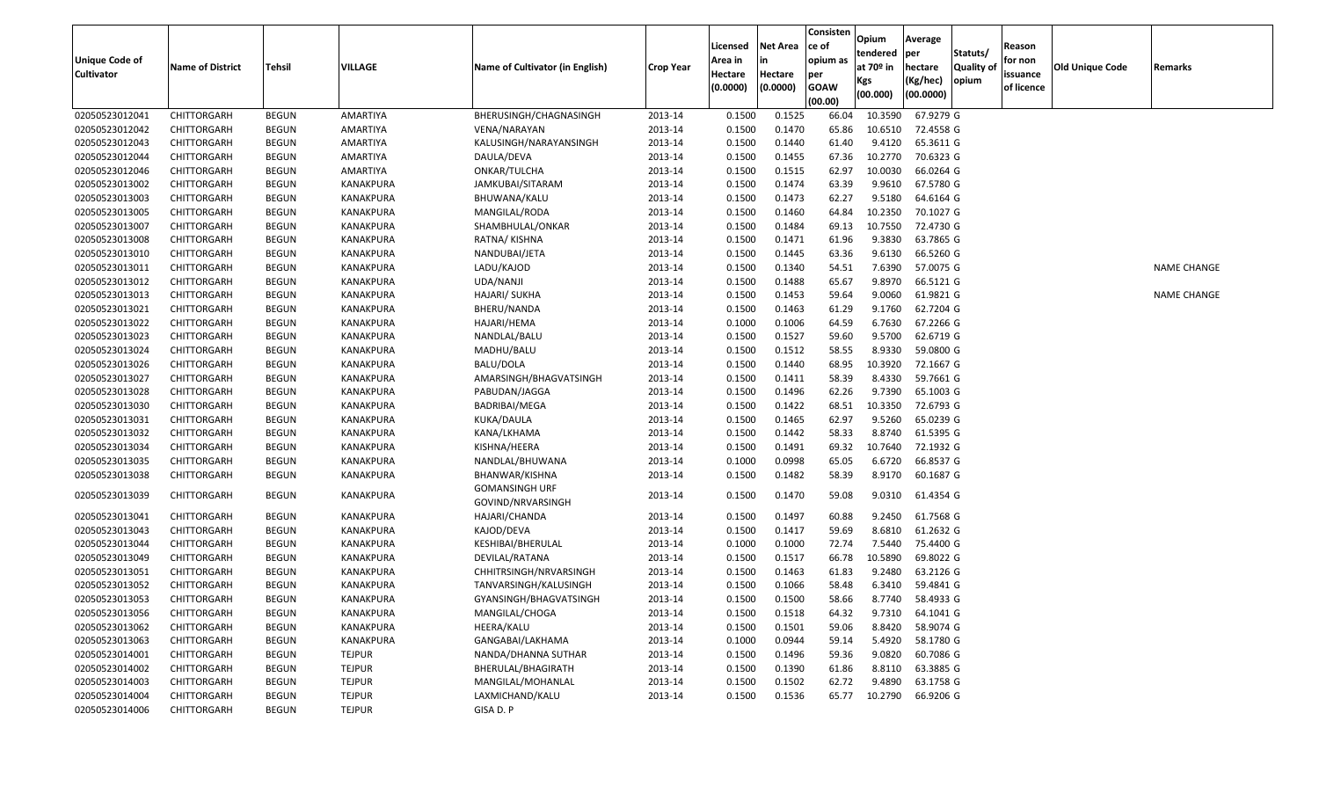| <b>Unique Code of</b><br><b>Cultivator</b> | <b>Name of District</b> | <b>Tehsil</b> | <b>VILLAGE</b>   | Name of Cultivator (in English) | <b>Crop Year</b> | Licensed<br>Area in<br>Hectare<br>(0.0000) | <b>Net Area</b><br>Hectare<br>(0.0000) | Consisten<br>ce of<br>opium as<br>per<br><b>GOAW</b><br>(00.00) | Opium<br>tendered<br>at 70 <sup>o</sup> in<br><b>Kgs</b><br>(00.000) | Average<br>per<br>hectare<br>(Kg/hec)<br>(00.0000) | Statuts/<br><b>Quality of</b><br>opium | Reason<br>for non<br>issuance<br>of licence | <b>Old Unique Code</b> | Remarks            |
|--------------------------------------------|-------------------------|---------------|------------------|---------------------------------|------------------|--------------------------------------------|----------------------------------------|-----------------------------------------------------------------|----------------------------------------------------------------------|----------------------------------------------------|----------------------------------------|---------------------------------------------|------------------------|--------------------|
| 02050523012041                             | CHITTORGARH             | <b>BEGUN</b>  | AMARTIYA         | BHERUSINGH/CHAGNASINGH          | 2013-14          | 0.1500                                     | 0.1525                                 | 66.04                                                           | 10.3590                                                              | 67.9279 G                                          |                                        |                                             |                        |                    |
| 02050523012042                             | CHITTORGARH             | <b>BEGUN</b>  | AMARTIYA         | VENA/NARAYAN                    | 2013-14          | 0.1500                                     | 0.1470                                 | 65.86                                                           | 10.6510                                                              | 72.4558 G                                          |                                        |                                             |                        |                    |
| 02050523012043                             | CHITTORGARH             | <b>BEGUN</b>  | AMARTIYA         | KALUSINGH/NARAYANSINGH          | 2013-14          | 0.1500                                     | 0.1440                                 | 61.40                                                           | 9.4120                                                               | 65.3611 G                                          |                                        |                                             |                        |                    |
| 02050523012044                             | CHITTORGARH             | <b>BEGUN</b>  | AMARTIYA         | DAULA/DEVA                      | 2013-14          | 0.1500                                     | 0.1455                                 | 67.36                                                           | 10.2770                                                              | 70.6323 G                                          |                                        |                                             |                        |                    |
| 02050523012046                             | CHITTORGARH             | <b>BEGUN</b>  | AMARTIYA         | ONKAR/TULCHA                    | 2013-14          | 0.1500                                     | 0.1515                                 | 62.97                                                           | 10.0030                                                              | 66.0264 G                                          |                                        |                                             |                        |                    |
| 02050523013002                             | CHITTORGARH             | <b>BEGUN</b>  | KANAKPURA        | JAMKUBAI/SITARAM                | 2013-14          | 0.1500                                     | 0.1474                                 | 63.39                                                           | 9.9610                                                               | 67.5780 G                                          |                                        |                                             |                        |                    |
| 02050523013003                             | CHITTORGARH             | <b>BEGUN</b>  | KANAKPURA        | BHUWANA/KALU                    | 2013-14          | 0.1500                                     | 0.1473                                 | 62.27                                                           | 9.5180                                                               | 64.6164 G                                          |                                        |                                             |                        |                    |
| 02050523013005                             | CHITTORGARH             | <b>BEGUN</b>  | KANAKPURA        | MANGILAL/RODA                   | 2013-14          | 0.1500                                     | 0.1460                                 | 64.84                                                           | 10.2350                                                              | 70.1027 G                                          |                                        |                                             |                        |                    |
| 02050523013007                             | CHITTORGARH             | <b>BEGUN</b>  | KANAKPURA        | SHAMBHULAL/ONKAR                | 2013-14          | 0.1500                                     | 0.1484                                 | 69.13                                                           | 10.7550                                                              | 72.4730 G                                          |                                        |                                             |                        |                    |
| 02050523013008                             | CHITTORGARH             | <b>BEGUN</b>  | KANAKPURA        | RATNA/KISHNA                    | 2013-14          | 0.1500                                     | 0.1471                                 | 61.96                                                           | 9.3830                                                               | 63.7865 G                                          |                                        |                                             |                        |                    |
| 02050523013010                             | CHITTORGARH             | <b>BEGUN</b>  | KANAKPURA        | NANDUBAI/JETA                   | 2013-14          | 0.1500                                     | 0.1445                                 | 63.36                                                           | 9.6130                                                               | 66.5260 G                                          |                                        |                                             |                        |                    |
| 02050523013011                             | CHITTORGARH             | <b>BEGUN</b>  | KANAKPURA        | LADU/KAJOD                      | 2013-14          | 0.1500                                     | 0.1340                                 | 54.51                                                           | 7.6390                                                               | 57.0075 G                                          |                                        |                                             |                        | <b>NAME CHANGE</b> |
| 02050523013012                             | CHITTORGARH             | <b>BEGUN</b>  | KANAKPURA        | UDA/NANJI                       | 2013-14          | 0.1500                                     | 0.1488                                 | 65.67                                                           | 9.8970                                                               | 66.5121 G                                          |                                        |                                             |                        |                    |
| 02050523013013                             | CHITTORGARH             | <b>BEGUN</b>  | KANAKPURA        | HAJARI/ SUKHA                   | 2013-14          | 0.1500                                     | 0.1453                                 | 59.64                                                           | 9.0060                                                               | 61.9821 G                                          |                                        |                                             |                        | <b>NAME CHANGE</b> |
| 02050523013021                             | CHITTORGARH             | <b>BEGUN</b>  | KANAKPURA        | BHERU/NANDA                     | 2013-14          | 0.1500                                     | 0.1463                                 | 61.29                                                           | 9.1760                                                               | 62.7204 G                                          |                                        |                                             |                        |                    |
| 02050523013022                             | CHITTORGARH             | <b>BEGUN</b>  | KANAKPURA        | HAJARI/HEMA                     | 2013-14          | 0.1000                                     | 0.1006                                 | 64.59                                                           | 6.7630                                                               | 67.2266 G                                          |                                        |                                             |                        |                    |
| 02050523013023                             | CHITTORGARH             | BEGUN         | KANAKPURA        | NANDLAL/BALU                    | 2013-14          | 0.1500                                     | 0.1527                                 | 59.60                                                           | 9.5700                                                               | 62.6719 G                                          |                                        |                                             |                        |                    |
| 02050523013024                             | CHITTORGARH             | <b>BEGUN</b>  | KANAKPURA        | MADHU/BALU                      | 2013-14          | 0.1500                                     | 0.1512                                 | 58.55                                                           | 8.9330                                                               | 59.0800 G                                          |                                        |                                             |                        |                    |
| 02050523013026                             | CHITTORGARH             | <b>BEGUN</b>  | KANAKPURA        | <b>BALU/DOLA</b>                | 2013-14          | 0.1500                                     | 0.1440                                 | 68.95                                                           | 10.3920                                                              | 72.1667 G                                          |                                        |                                             |                        |                    |
| 02050523013027                             | CHITTORGARH             | <b>BEGUN</b>  | KANAKPURA        | AMARSINGH/BHAGVATSINGH          | 2013-14          | 0.1500                                     | 0.1411                                 | 58.39                                                           | 8.4330                                                               | 59.7661 G                                          |                                        |                                             |                        |                    |
| 02050523013028                             | CHITTORGARH             | <b>BEGUN</b>  | KANAKPURA        | PABUDAN/JAGGA                   | 2013-14          | 0.1500                                     | 0.1496                                 | 62.26                                                           | 9.7390                                                               | 65.1003 G                                          |                                        |                                             |                        |                    |
| 02050523013030                             | CHITTORGARH             | <b>BEGUN</b>  | KANAKPURA        | BADRIBAI/MEGA                   | 2013-14          | 0.1500                                     | 0.1422                                 | 68.51                                                           | 10.3350                                                              | 72.6793 G                                          |                                        |                                             |                        |                    |
| 02050523013031                             | CHITTORGARH             | <b>BEGUN</b>  | KANAKPURA        | KUKA/DAULA                      | 2013-14          | 0.1500                                     | 0.1465                                 | 62.97                                                           | 9.5260                                                               | 65.0239 G                                          |                                        |                                             |                        |                    |
| 02050523013032                             | CHITTORGARH             | <b>BEGUN</b>  | KANAKPURA        | KANA/LKHAMA                     | 2013-14          | 0.1500                                     | 0.1442                                 | 58.33                                                           | 8.8740                                                               | 61.5395 G                                          |                                        |                                             |                        |                    |
| 02050523013034                             | CHITTORGARH             | <b>BEGUN</b>  | KANAKPURA        | KISHNA/HEERA                    | 2013-14          | 0.1500                                     | 0.1491                                 | 69.32                                                           | 10.7640                                                              | 72.1932 G                                          |                                        |                                             |                        |                    |
| 02050523013035                             | CHITTORGARH             | <b>BEGUN</b>  | KANAKPURA        | NANDLAL/BHUWANA                 | 2013-14          | 0.1000                                     | 0.0998                                 | 65.05                                                           | 6.6720                                                               | 66.8537 G                                          |                                        |                                             |                        |                    |
| 02050523013038                             | CHITTORGARH             | <b>BEGUN</b>  | KANAKPURA        | BHANWAR/KISHNA                  | 2013-14          | 0.1500                                     | 0.1482                                 | 58.39                                                           | 8.9170                                                               | 60.1687 G                                          |                                        |                                             |                        |                    |
|                                            |                         |               |                  | <b>GOMANSINGH URF</b>           |                  |                                            |                                        |                                                                 |                                                                      |                                                    |                                        |                                             |                        |                    |
| 02050523013039                             | CHITTORGARH             | <b>BEGUN</b>  | KANAKPURA        | GOVIND/NRVARSINGH               | 2013-14          | 0.1500                                     | 0.1470                                 | 59.08                                                           | 9.0310                                                               | 61.4354 G                                          |                                        |                                             |                        |                    |
| 02050523013041                             | <b>CHITTORGARH</b>      | <b>BEGUN</b>  | KANAKPURA        | HAJARI/CHANDA                   | 2013-14          | 0.1500                                     | 0.1497                                 | 60.88                                                           | 9.2450                                                               | 61.7568 G                                          |                                        |                                             |                        |                    |
| 02050523013043                             | CHITTORGARH             | <b>BEGUN</b>  | KANAKPURA        | KAJOD/DEVA                      | 2013-14          | 0.1500                                     | 0.1417                                 | 59.69                                                           | 8.6810                                                               | 61.2632 G                                          |                                        |                                             |                        |                    |
| 02050523013044                             | CHITTORGARH             | <b>BEGUN</b>  | KANAKPURA        | KESHIBAI/BHERULAL               | 2013-14          | 0.1000                                     | 0.1000                                 | 72.74                                                           | 7.5440                                                               | 75.4400 G                                          |                                        |                                             |                        |                    |
| 02050523013049                             | CHITTORGARH             | <b>BEGUN</b>  | KANAKPURA        | DEVILAL/RATANA                  | 2013-14          | 0.1500                                     | 0.1517                                 | 66.78                                                           | 10.5890                                                              | 69.8022 G                                          |                                        |                                             |                        |                    |
| 02050523013051                             | CHITTORGARH             | <b>BEGUN</b>  | KANAKPURA        | CHHITRSINGH/NRVARSINGH          | 2013-14          | 0.1500                                     | 0.1463                                 | 61.83                                                           | 9.2480                                                               | 63.2126 G                                          |                                        |                                             |                        |                    |
| 02050523013052                             | <b>CHITTORGARH</b>      | <b>BEGUN</b>  | <b>KANAKPURA</b> | TANVARSINGH/KALUSINGH           | 2013-14          | 0.1500                                     | 0.1066                                 | 58.48                                                           | 6.3410                                                               | 59.4841 G                                          |                                        |                                             |                        |                    |
| 02050523013053                             | CHITTORGARH             | <b>BEGUN</b>  | KANAKPURA        | GYANSINGH/BHAGVATSINGH          | 2013-14          | 0.1500                                     | 0.1500                                 | 58.66                                                           |                                                                      | 8.7740 58.4933 G                                   |                                        |                                             |                        |                    |
| 02050523013056                             | CHITTORGARH             | <b>BEGUN</b>  | KANAKPURA        | MANGILAL/CHOGA                  | 2013-14          | 0.1500                                     | 0.1518                                 | 64.32                                                           |                                                                      | 9.7310 64.1041 G                                   |                                        |                                             |                        |                    |
| 02050523013062                             | CHITTORGARH             | BEGUN         | KANAKPURA        | HEERA/KALU                      | 2013-14          | 0.1500                                     | 0.1501                                 | 59.06                                                           |                                                                      | 8.8420 58.9074 G                                   |                                        |                                             |                        |                    |
| 02050523013063                             | CHITTORGARH             | <b>BEGUN</b>  | KANAKPURA        | GANGABAI/LAKHAMA                | 2013-14          | 0.1000                                     | 0.0944                                 | 59.14                                                           |                                                                      | 5.4920 58.1780 G                                   |                                        |                                             |                        |                    |
| 02050523014001                             | CHITTORGARH             | <b>BEGUN</b>  | <b>TEJPUR</b>    | NANDA/DHANNA SUTHAR             | 2013-14          | 0.1500                                     | 0.1496                                 | 59.36                                                           | 9.0820                                                               | 60.7086 G                                          |                                        |                                             |                        |                    |
| 02050523014002                             | CHITTORGARH             | <b>BEGUN</b>  | <b>TEJPUR</b>    | BHERULAL/BHAGIRATH              | 2013-14          | 0.1500                                     | 0.1390                                 | 61.86                                                           |                                                                      | 8.8110 63.3885 G                                   |                                        |                                             |                        |                    |
| 02050523014003                             | CHITTORGARH             | <b>BEGUN</b>  | <b>TEJPUR</b>    | MANGILAL/MOHANLAL               | 2013-14          | 0.1500                                     | 0.1502                                 | 62.72                                                           | 9.4890                                                               | 63.1758 G                                          |                                        |                                             |                        |                    |
| 02050523014004                             | CHITTORGARH             | <b>BEGUN</b>  | <b>TEJPUR</b>    | LAXMICHAND/KALU                 | 2013-14          | 0.1500                                     | 0.1536                                 | 65.77                                                           |                                                                      | 10.2790 66.9206 G                                  |                                        |                                             |                        |                    |
| 02050523014006                             | CHITTORGARH             | <b>BEGUN</b>  | <b>TEJPUR</b>    | GISA D. P                       |                  |                                            |                                        |                                                                 |                                                                      |                                                    |                                        |                                             |                        |                    |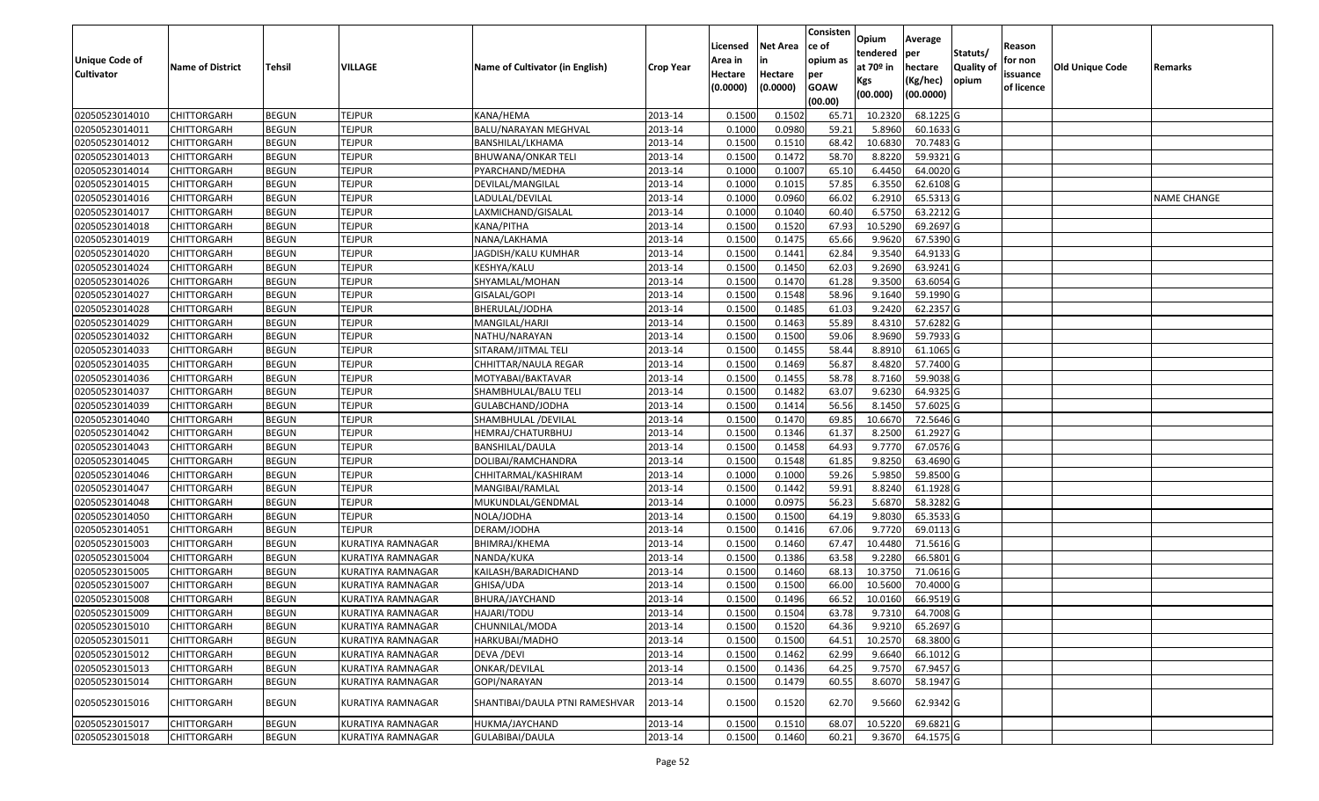|                   |                         |               |                          |                                 |                  |                     |                     | Consisten          | Opium       | Average     |                  |                        |                 |                    |
|-------------------|-------------------------|---------------|--------------------------|---------------------------------|------------------|---------------------|---------------------|--------------------|-------------|-------------|------------------|------------------------|-----------------|--------------------|
|                   |                         |               |                          |                                 |                  | Licensed            | <b>Net Area</b>     | ce of              | tendered    | per         | Statuts/         | Reason                 |                 |                    |
| Unique Code of    | <b>Name of District</b> | <b>Tehsil</b> | VILLAGE                  | Name of Cultivator (in English) | <b>Crop Year</b> | Area in             | in                  | opium as           | at $70°$ in | hectare     | <b>Quality o</b> | for non                | Old Unique Code | Remarks            |
| <b>Cultivator</b> |                         |               |                          |                                 |                  | Hectare<br>(0.0000) | Hectare<br>(0.0000) | per<br><b>GOAW</b> | Kgs         | (Kg/hec)    | opium            | issuance<br>of licence |                 |                    |
|                   |                         |               |                          |                                 |                  |                     |                     | (00.00)            | (00.000)    | (00.0000)   |                  |                        |                 |                    |
| 02050523014010    | CHITTORGARH             | <b>BEGUN</b>  | <b>TEJPUR</b>            | KANA/HEMA                       | 2013-14          | 0.1500              | 0.1502              | 65.71              | 10.2320     | 68.1225 G   |                  |                        |                 |                    |
| 02050523014011    | CHITTORGARH             | <b>BEGUN</b>  | <b>TEJPUR</b>            | BALU/NARAYAN MEGHVAL            | 2013-14          | 0.1000              | 0.0980              | 59.21              | 5.8960      | 60.1633 G   |                  |                        |                 |                    |
| 02050523014012    | CHITTORGARH             | <b>BEGUN</b>  | <b>TEJPUR</b>            | BANSHILAL/LKHAMA                | 2013-14          | 0.1500              | 0.1510              | 68.42              | 10.6830     | 70.7483 G   |                  |                        |                 |                    |
| 02050523014013    | <b>CHITTORGARH</b>      | <b>BEGUN</b>  | <b>TEJPUR</b>            | <b>BHUWANA/ONKAR TELI</b>       | 2013-14          | 0.1500              | 0.1472              | 58.70              | 8.8220      | 59.9321G    |                  |                        |                 |                    |
| 02050523014014    | CHITTORGARH             | <b>BEGUN</b>  | <b>TEJPUR</b>            | PYARCHAND/MEDHA                 | 2013-14          | 0.1000              | 0.1007              | 65.10              | 6.4450      | 64.0020 G   |                  |                        |                 |                    |
| 02050523014015    | CHITTORGARH             | <b>BEGUN</b>  | <b>TEJPUR</b>            | DEVILAL/MANGILAL                | 2013-14          | 0.1000              | 0.1015              | 57.85              | 6.3550      | $62.6108$ G |                  |                        |                 |                    |
| 02050523014016    | CHITTORGARH             | <b>BEGUN</b>  | <b>TEJPUR</b>            | LADULAL/DEVILAL                 | 2013-14          | 0.1000              | 0.0960              | 66.02              | 6.2910      | 65.5313 G   |                  |                        |                 | <b>NAME CHANGE</b> |
| 02050523014017    | CHITTORGARH             | <b>BEGUN</b>  | <b>TEJPUR</b>            | LAXMICHAND/GISALAL              | 2013-14          | 0.1000              | 0.1040              | 60.40              | 6.5750      | 63.2212 G   |                  |                        |                 |                    |
| 02050523014018    | CHITTORGARH             | <b>BEGUN</b>  | <b>TEJPUR</b>            | KANA/PITHA                      | 2013-14          | 0.1500              | 0.1520              | 67.93              | 10.5290     | 69.2697 G   |                  |                        |                 |                    |
| 02050523014019    | CHITTORGARH             | <b>BEGUN</b>  | <b>TEJPUR</b>            | NANA/LAKHAMA                    | 2013-14          | 0.1500              | 0.1475              | 65.66              | 9.9620      | 67.5390 G   |                  |                        |                 |                    |
| 02050523014020    | CHITTORGARH             | <b>BEGUN</b>  | <b>TEJPUR</b>            | JAGDISH/KALU KUMHAR             | 2013-14          | 0.1500              | 0.1441              | 62.84              | 9.3540      | 64.9133 G   |                  |                        |                 |                    |
| 02050523014024    | CHITTORGARH             | <b>BEGUN</b>  | <b>TEJPUR</b>            | KESHYA/KALU                     | 2013-14          | 0.1500              | 0.1450              | 62.03              | 9.2690      | 63.9241 G   |                  |                        |                 |                    |
| 02050523014026    | <b>CHITTORGARH</b>      | <b>BEGUN</b>  | <b>TEJPUR</b>            | SHYAMLAL/MOHAN                  | 2013-14          | 0.1500              | 0.1470              | 61.28              | 9.3500      | 63.6054 G   |                  |                        |                 |                    |
| 02050523014027    | CHITTORGARH             | <b>BEGUN</b>  | <b>TEJPUR</b>            | GISALAL/GOPI                    | 2013-14          | 0.1500              | 0.1548              | 58.96              | 9.1640      | 59.1990G    |                  |                        |                 |                    |
| 02050523014028    | CHITTORGARH             | <b>BEGUN</b>  | <b>TEJPUR</b>            | BHERULAL/JODHA                  | 2013-14          | 0.1500              | 0.1485              | 61.03              | 9.2420      | 62.2357 G   |                  |                        |                 |                    |
| 02050523014029    | CHITTORGARH             | <b>BEGUN</b>  | <b>TEJPUR</b>            | MANGILAL/HARJI                  | 2013-14          | 0.1500              | 0.1463              | 55.89              | 8.4310      | 57.6282 G   |                  |                        |                 |                    |
| 02050523014032    | CHITTORGARH             | <b>BEGUN</b>  | <b>TEJPUR</b>            | NATHU/NARAYAN                   | 2013-14          | 0.1500              | 0.1500              | 59.06              | 8.9690      | 59.7933 G   |                  |                        |                 |                    |
| 02050523014033    | CHITTORGARH             | <b>BEGUN</b>  | <b>TEJPUR</b>            | SITARAM/JITMAL TELI             | 2013-14          | 0.1500              | 0.1455              | 58.44              | 8.8910      | 61.1065 G   |                  |                        |                 |                    |
| 02050523014035    | CHITTORGARH             | <b>BEGUN</b>  | <b>TEJPUR</b>            | CHHITTAR/NAULA REGAR            | 2013-14          | 0.1500              | 0.1469              | 56.87              | 8.4820      | 57.7400 G   |                  |                        |                 |                    |
| 02050523014036    | CHITTORGARH             | <b>BEGUN</b>  | <b>TEJPUR</b>            | MOTYABAI/BAKTAVAR               | 2013-14          | 0.1500              | 0.1455              | 58.78              | 8.7160      | 59.9038 G   |                  |                        |                 |                    |
| 02050523014037    | CHITTORGARH             | <b>BEGUN</b>  | <b>TEJPUR</b>            | SHAMBHULAL/BALU TELI            | 2013-14          | 0.1500              | 0.1482              | 63.07              | 9.6230      | 64.9325 G   |                  |                        |                 |                    |
| 02050523014039    | CHITTORGARH             | <b>BEGUN</b>  | <b>TEJPUR</b>            | GULABCHAND/JODHA                | 2013-14          | 0.1500              | 0.1414              | 56.56              | 8.1450      | 57.6025 G   |                  |                        |                 |                    |
| 02050523014040    | CHITTORGARH             | <b>BEGUN</b>  | <b>TEJPUR</b>            | SHAMBHULAL /DEVILAL             | 2013-14          | 0.1500              | 0.1470              | 69.85              | 10.6670     | 72.5646 G   |                  |                        |                 |                    |
| 02050523014042    | CHITTORGARH             | <b>BEGUN</b>  | <b>TEJPUR</b>            | HEMRAJ/CHATURBHUJ               | 2013-14          | 0.1500              | 0.1346              | 61.37              | 8.2500      | 61.2927 G   |                  |                        |                 |                    |
| 02050523014043    | <b>CHITTORGARH</b>      | <b>BEGUN</b>  | <b>TEJPUR</b>            | BANSHILAL/DAULA                 | 2013-14          | 0.1500              | 0.1458              | 64.93              | 9.7770      | 67.0576 G   |                  |                        |                 |                    |
| 02050523014045    | CHITTORGARH             | <b>BEGUN</b>  | <b>TEJPUR</b>            | DOLIBAI/RAMCHANDRA              | 2013-14          | 0.1500              | 0.1548              | 61.85              | 9.8250      | 63.4690 G   |                  |                        |                 |                    |
| 02050523014046    | CHITTORGARH             | <b>BEGUN</b>  | <b>TEJPUR</b>            | CHHITARMAL/KASHIRAM             | 2013-14          | 0.1000              | 0.1000              | 59.26              | 5.9850      | 59.8500 G   |                  |                        |                 |                    |
| 02050523014047    | CHITTORGARH             | <b>BEGUN</b>  | <b>TEJPUR</b>            | MANGIBAI/RAMLAL                 | 2013-14          | 0.1500              | 0.1442              | 59.91              | 8.8240      | 61.1928 G   |                  |                        |                 |                    |
| 02050523014048    | CHITTORGARH             | <b>BEGUN</b>  | <b>TEJPUR</b>            | MUKUNDLAL/GENDMAL               | 2013-14          | 0.1000              | 0.0975              | 56.23              | 5.6870      | 58.3282 G   |                  |                        |                 |                    |
| 02050523014050    | CHITTORGARH             | <b>BEGUN</b>  | <b>TEJPUR</b>            | NOLA/JODHA                      | 2013-14          | 0.1500              | 0.1500              | 64.19              | 9.8030      | 65.3533 G   |                  |                        |                 |                    |
| 02050523014051    | CHITTORGARH             | <b>BEGUN</b>  | <b>TEJPUR</b>            | DERAM/JODHA                     | 2013-14          | 0.1500              | 0.1416              | 67.06              | 9.7720      | 69.0113 G   |                  |                        |                 |                    |
| 02050523015003    | CHITTORGARH             | <b>BEGUN</b>  | <b>KURATIYA RAMNAGAR</b> | BHIMRAJ/KHEMA                   | 2013-14          | 0.1500              | 0.1460              | 67.47              | 10.4480     | 71.5616 G   |                  |                        |                 |                    |
| 02050523015004    | CHITTORGARH             | <b>BEGUN</b>  | KURATIYA RAMNAGAR        | NANDA/KUKA                      | 2013-14          | 0.1500              | 0.1386              | 63.58              | 9.2280      | 66.5801G    |                  |                        |                 |                    |
| 02050523015005    | CHITTORGARH             | <b>BEGUN</b>  | KURATIYA RAMNAGAR        | KAILASH/BARADICHAND             | 2013-14          | 0.1500              | 0.1460              | 68.13              | 10.375      | 71.0616 G   |                  |                        |                 |                    |
| 02050523015007    | CHITTORGARH             | <b>BEGUN</b>  | KURATIYA RAMNAGAR        | GHISA/UDA                       | 2013-14          | 0.1500              | 0.1500              | 66.00              | 10.5600     | 70.4000 G   |                  |                        |                 |                    |
| 02050523015008    | CHITTORGARH             | <b>BEGUN</b>  | KURATIYA RAMNAGAR        | BHURA/JAYCHAND                  | 2013-14          | 0.1500              | 0.1496              | 66.52              | 10.0160     | 66.9519 G   |                  |                        |                 |                    |
| 02050523015009    | <b>CHITTORGARH</b>      | <b>BEGUN</b>  | KURATIYA RAMNAGAR        | HAJARI/TODU                     | 2013-14          | 0.1500              | 0.1504              | 63.78              | 9.7310      | 64.7008 G   |                  |                        |                 |                    |
| 02050523015010    | <b>CHITTORGARH</b>      | <b>BEGUN</b>  | <b>KURATIYA RAMNAGAR</b> | CHUNNILAL/MODA                  | 2013-14          | 0.1500              | 0.1520              | 64.36              | 9.9210      | 65.2697 G   |                  |                        |                 |                    |
| 02050523015011    | <b>CHITTORGARH</b>      | <b>BEGUN</b>  | <b>KURATIYA RAMNAGAR</b> | HARKUBAI/MADHO                  | 2013-14          | 0.1500              | 0.1500              | 64.51              | 10.2570     | 68.3800 G   |                  |                        |                 |                    |
| 02050523015012    | <b>CHITTORGARH</b>      | <b>BEGUN</b>  | KURATIYA RAMNAGAR        | DEVA / DEVI                     | 2013-14          | 0.1500              | 0.1462              | 62.99              | 9.6640      | 66.1012 G   |                  |                        |                 |                    |
| 02050523015013    | <b>CHITTORGARH</b>      | <b>BEGUN</b>  | KURATIYA RAMNAGAR        | ONKAR/DEVILAL                   | 2013-14          | 0.1500              | 0.1436              | 64.25              | 9.7570      | 67.9457 G   |                  |                        |                 |                    |
| 02050523015014    | <b>CHITTORGARH</b>      | <b>BEGUN</b>  | <b>KURATIYA RAMNAGAR</b> | GOPI/NARAYAN                    | 2013-14          | 0.1500              | 0.1479              | 60.55              | 8.6070      | 58.1947 G   |                  |                        |                 |                    |
| 02050523015016    | <b>CHITTORGARH</b>      | <b>BEGUN</b>  | KURATIYA RAMNAGAR        | SHANTIBAI/DAULA PTNI RAMESHVAR  | 2013-14          | 0.1500              | 0.1520              | 62.70              | 9.5660      | 62.9342 G   |                  |                        |                 |                    |
| 02050523015017    | <b>CHITTORGARH</b>      | <b>BEGUN</b>  | KURATIYA RAMNAGAR        | HUKMA/JAYCHAND                  | 2013-14          | 0.1500              | 0.1510              | 68.07              | 10.5220     | 69.6821 G   |                  |                        |                 |                    |
| 02050523015018    | <b>CHITTORGARH</b>      | <b>BEGUN</b>  | <b>KURATIYA RAMNAGAR</b> | GULABIBAI/DAULA                 | 2013-14          | 0.1500              | 0.1460              | 60.21              | 9.3670      | 64.1575 G   |                  |                        |                 |                    |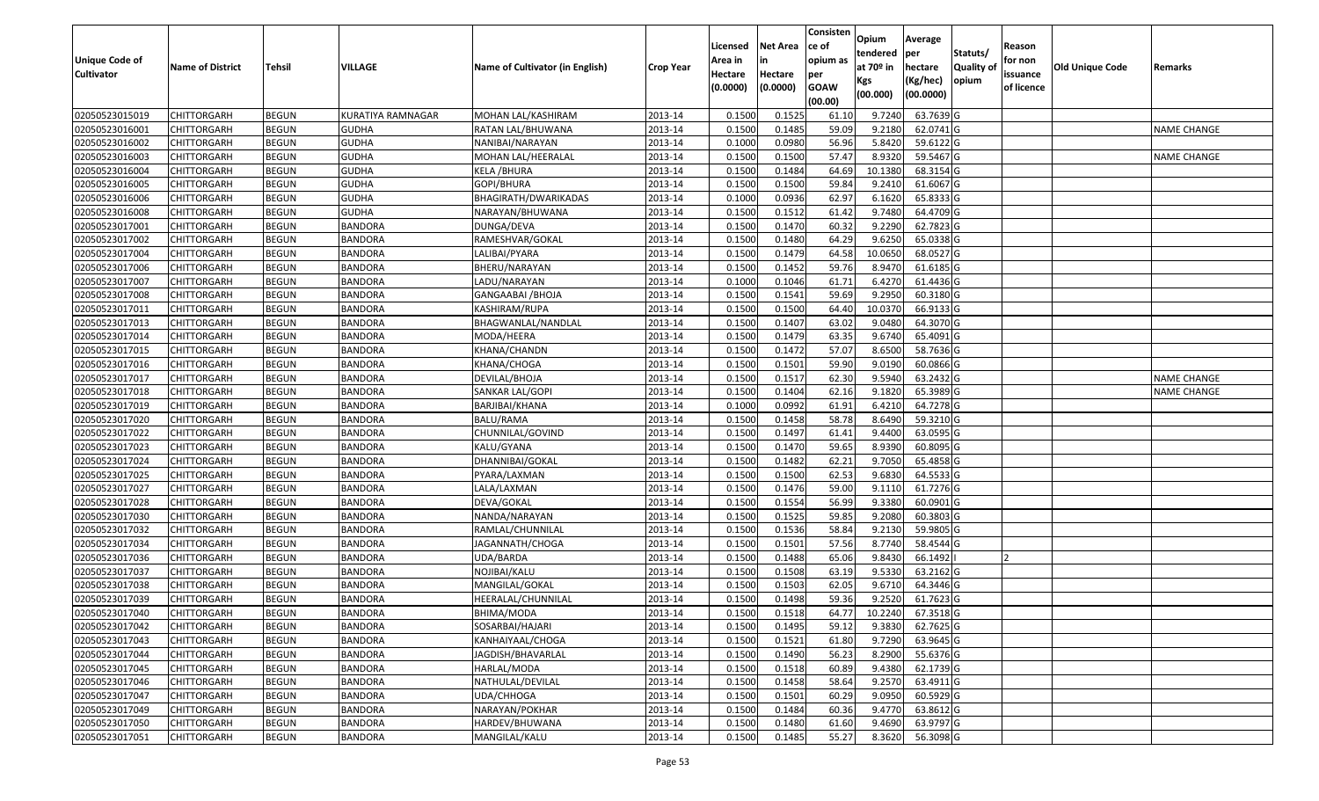|                   |                         |               |                   |                                 |                  | Licensed | <b>Net Area</b> | Consisten<br>ce of | Opium       | Average   |                  | Reason     |                        |                    |
|-------------------|-------------------------|---------------|-------------------|---------------------------------|------------------|----------|-----------------|--------------------|-------------|-----------|------------------|------------|------------------------|--------------------|
| Unique Code of    |                         |               |                   |                                 |                  | Area in  | in              | opium as           | tendered    | per       | Statuts/         | for non    |                        |                    |
| <b>Cultivator</b> | <b>Name of District</b> | <b>Tehsil</b> | <b>VILLAGE</b>    | Name of Cultivator (in English) | <b>Crop Year</b> | Hectare  | Hectare         | per                | at $70°$ in | hectare   | <b>Quality o</b> | issuance   | <b>Old Unique Code</b> | Remarks            |
|                   |                         |               |                   |                                 |                  | (0.0000) | (0.0000)        | <b>GOAW</b>        | Kgs         | (Kg/hec)  | opium            | of licence |                        |                    |
|                   |                         |               |                   |                                 |                  |          |                 | (00.00)            | (00.000)    | (00.0000) |                  |            |                        |                    |
| 02050523015019    | CHITTORGARH             | <b>BEGUN</b>  | KURATIYA RAMNAGAR | MOHAN LAL/KASHIRAM              | 2013-14          | 0.1500   | 0.1525          | 61.10              | 9.7240      | 63.7639 G |                  |            |                        |                    |
| 02050523016001    | CHITTORGARH             | <b>BEGUN</b>  | <b>GUDHA</b>      | RATAN LAL/BHUWANA               | 2013-14          | 0.1500   | 0.1485          | 59.09              | 9.2180      | 62.0741 G |                  |            |                        | <b>NAME CHANGE</b> |
| 02050523016002    | CHITTORGARH             | <b>BEGUN</b>  | <b>GUDHA</b>      | NANIBAI/NARAYAN                 | 2013-14          | 0.1000   | 0.0980          | 56.96              | 5.8420      | 59.6122G  |                  |            |                        |                    |
| 02050523016003    | <b>CHITTORGARH</b>      | <b>BEGUN</b>  | <b>GUDHA</b>      | MOHAN LAL/HEERALAL              | 2013-14          | 0.1500   | 0.1500          | 57.47              | 8.9320      | 59.5467 G |                  |            |                        | <b>NAME CHANGE</b> |
| 02050523016004    | CHITTORGARH             | <b>BEGUN</b>  | <b>GUDHA</b>      | KELA / BHURA                    | 2013-14          | 0.1500   | 0.1484          | 64.69              | 10.1380     | 68.3154 G |                  |            |                        |                    |
| 02050523016005    | CHITTORGARH             | <b>BEGUN</b>  | <b>GUDHA</b>      | GOPI/BHURA                      | 2013-14          | 0.1500   | 0.1500          | 59.84              | 9.2410      | 61.6067 G |                  |            |                        |                    |
| 02050523016006    | CHITTORGARH             | <b>BEGUN</b>  | <b>GUDHA</b>      | BHAGIRATH/DWARIKADAS            | 2013-14          | 0.1000   | 0.0936          | 62.97              | 6.1620      | 65.8333 G |                  |            |                        |                    |
| 02050523016008    | CHITTORGARH             | <b>BEGUN</b>  | <b>GUDHA</b>      | NARAYAN/BHUWANA                 | 2013-14          | 0.1500   | 0.1512          | 61.42              | 9.7480      | 64.4709 G |                  |            |                        |                    |
| 02050523017001    | CHITTORGARH             | <b>BEGUN</b>  | <b>BANDORA</b>    | DUNGA/DEVA                      | 2013-14          | 0.1500   | 0.1470          | 60.32              | 9.2290      | 62.7823 G |                  |            |                        |                    |
| 02050523017002    | CHITTORGARH             | <b>BEGUN</b>  | <b>BANDORA</b>    | RAMESHVAR/GOKAL                 | 2013-14          | 0.1500   | 0.1480          | 64.29              | 9.6250      | 65.0338 G |                  |            |                        |                    |
| 02050523017004    | CHITTORGARH             | <b>BEGUN</b>  | <b>BANDORA</b>    | LALIBAI/PYARA                   | 2013-14          | 0.1500   | 0.1479          | 64.58              | 10.0650     | 68.0527 G |                  |            |                        |                    |
| 02050523017006    | CHITTORGARH             | <b>BEGUN</b>  | <b>BANDORA</b>    | BHERU/NARAYAN                   | 2013-14          | 0.1500   | 0.1452          | 59.76              | 8.9470      | 61.6185 G |                  |            |                        |                    |
| 02050523017007    | <b>CHITTORGARH</b>      | <b>BEGUN</b>  | <b>BANDORA</b>    | LADU/NARAYAN                    | 2013-14          | 0.1000   | 0.1046          | 61.71              | 6.4270      | 61.4436 G |                  |            |                        |                    |
| 02050523017008    | CHITTORGARH             | <b>BEGUN</b>  | <b>BANDORA</b>    | GANGAABAI /BHOJA                | 2013-14          | 0.1500   | 0.1541          | 59.69              | 9.295       | 60.3180 G |                  |            |                        |                    |
| 02050523017011    | <b>CHITTORGARH</b>      | <b>BEGUN</b>  | <b>BANDORA</b>    | KASHIRAM/RUPA                   | 2013-14          | 0.1500   | 0.1500          | 64.40              | 10.0370     | 66.9133 G |                  |            |                        |                    |
| 02050523017013    | <b>CHITTORGARH</b>      | <b>BEGUN</b>  | <b>BANDORA</b>    | BHAGWANLAL/NANDLAL              | 2013-14          | 0.1500   | 0.1407          | 63.02              | 9.0480      | 64.3070 G |                  |            |                        |                    |
| 02050523017014    | CHITTORGARH             | <b>BEGUN</b>  | <b>BANDORA</b>    | MODA/HEERA                      | 2013-14          | 0.1500   | 0.1479          | 63.35              | 9.6740      | 65.4091G  |                  |            |                        |                    |
| 02050523017015    | CHITTORGARH             | <b>BEGUN</b>  | <b>BANDORA</b>    | KHANA/CHANDN                    | 2013-14          | 0.1500   | 0.1472          | 57.07              | 8.6500      | 58.7636 G |                  |            |                        |                    |
| 02050523017016    | CHITTORGARH             | <b>BEGUN</b>  | <b>BANDORA</b>    | KHANA/CHOGA                     | 2013-14          | 0.1500   | 0.1501          | 59.90              | 9.0190      | 60.0866 G |                  |            |                        |                    |
| 02050523017017    | CHITTORGARH             | <b>BEGUN</b>  | <b>BANDORA</b>    | DEVILAL/BHOJA                   | 2013-14          | 0.1500   | 0.1517          | 62.30              | 9.5940      | 63.2432 G |                  |            |                        | <b>NAME CHANGE</b> |
| 02050523017018    | CHITTORGARH             | <b>BEGUN</b>  | <b>BANDORA</b>    | SANKAR LAL/GOPI                 | 2013-14          | 0.1500   | 0.1404          | 62.16              | 9.1820      | 65.3989 G |                  |            |                        | <b>NAME CHANGE</b> |
| 02050523017019    | CHITTORGARH             | <b>BEGUN</b>  | <b>BANDORA</b>    | BARJIBAI/KHANA                  | 2013-14          | 0.1000   | 0.0992          | 61.91              | 6.4210      | 64.7278 G |                  |            |                        |                    |
| 02050523017020    | CHITTORGARH             | <b>BEGUN</b>  | <b>BANDORA</b>    | BALU/RAMA                       | 2013-14          | 0.1500   | 0.1458          | 58.78              | 8.6490      | 59.3210G  |                  |            |                        |                    |
| 02050523017022    | <b>CHITTORGARH</b>      | <b>BEGUN</b>  | <b>BANDORA</b>    | CHUNNILAL/GOVIND                | 2013-14          | 0.1500   | 0.1497          | 61.41              | 9.4400      | 63.0595 G |                  |            |                        |                    |
| 02050523017023    | <b>CHITTORGARH</b>      | <b>BEGUN</b>  | <b>BANDORA</b>    | KALU/GYANA                      | 2013-14          | 0.1500   | 0.1470          | 59.65              | 8.9390      | 60.8095 G |                  |            |                        |                    |
| 02050523017024    | CHITTORGARH             | <b>BEGUN</b>  | <b>BANDORA</b>    | DHANNIBAI/GOKAL                 | 2013-14          | 0.1500   | 0.1482          | 62.21              | 9.7050      | 65.4858 G |                  |            |                        |                    |
| 02050523017025    | CHITTORGARH             | <b>BEGUN</b>  | <b>BANDORA</b>    | PYARA/LAXMAN                    | 2013-14          | 0.1500   | 0.1500          | 62.53              | 9.6830      | 64.5533 G |                  |            |                        |                    |
| 02050523017027    | CHITTORGARH             | <b>BEGUN</b>  | <b>BANDORA</b>    | LALA/LAXMAN                     | 2013-14          | 0.1500   | 0.1476          | 59.00              | 9.1110      | 61.7276 G |                  |            |                        |                    |
| 02050523017028    | CHITTORGARH             | <b>BEGUN</b>  | <b>BANDORA</b>    | DEVA/GOKAL                      | 2013-14          | 0.1500   | 0.1554          | 56.99              | 9.3380      | 60.0901G  |                  |            |                        |                    |
| 02050523017030    | CHITTORGARH             | <b>BEGUN</b>  | <b>BANDORA</b>    | NANDA/NARAYAN                   | 2013-14          | 0.1500   | 0.1525          | 59.85              | 9.2080      | 60.3803 G |                  |            |                        |                    |
| 02050523017032    | CHITTORGARH             | <b>BEGUN</b>  | <b>BANDORA</b>    | RAMLAL/CHUNNILAL                | 2013-14          | 0.1500   | 0.1536          | 58.84              | 9.2130      | 59.9805 G |                  |            |                        |                    |
| 02050523017034    | CHITTORGARH             | <b>BEGUN</b>  | <b>BANDORA</b>    | JAGANNATH/CHOGA                 | 2013-14          | 0.1500   | 0.1501          | 57.56              | 8.7740      | 58.4544 G |                  |            |                        |                    |
| 02050523017036    | CHITTORGARH             | <b>BEGUN</b>  | <b>BANDORA</b>    | UDA/BARDA                       | 2013-14          | 0.1500   | 0.1488          | 65.06              | 9.8430      | 66.1492   |                  |            |                        |                    |
| 02050523017037    | CHITTORGARH             | <b>BEGUN</b>  | <b>BANDORA</b>    | NOJIBAI/KALU                    | 2013-14          | 0.1500   | 0.1508          | 63.19              | 9.5330      | 63.2162 G |                  |            |                        |                    |
| 02050523017038    | CHITTORGARH             | <b>BEGUN</b>  | <b>BANDORA</b>    | MANGILAL/GOKAL                  | 2013-14          | 0.1500   | 0.1503          | 62.05              | 9.6710      | 64.3446 G |                  |            |                        |                    |
| 02050523017039    | CHITTORGARH             | <b>BEGUN</b>  | <b>BANDORA</b>    | HEERALAL/CHUNNILAL              | 2013-14          | 0.1500   | 0.1498          | 59.36              | 9.2520      | 61.7623 G |                  |            |                        |                    |
| 02050523017040    | <b>CHITTORGARH</b>      | <b>BEGUN</b>  | <b>BANDORA</b>    | BHIMA/MODA                      | 2013-14          | 0.1500   | 0.1518          | 64.77              | 10.2240     | 67.3518 G |                  |            |                        |                    |
| 02050523017042    | <b>CHITTORGARH</b>      | <b>BEGUN</b>  | <b>BANDORA</b>    | SOSARBAI/HAJARI                 | 2013-14          | 0.1500   | 0.1495          | 59.12              | 9.3830      | 62.7625 G |                  |            |                        |                    |
| 02050523017043    | <b>CHITTORGARH</b>      | <b>BEGUN</b>  | <b>BANDORA</b>    | KANHAIYAAL/CHOGA                | 2013-14          | 0.1500   | 0.1521          | 61.80              | 9.7290      | 63.9645 G |                  |            |                        |                    |
| 02050523017044    | <b>CHITTORGARH</b>      | <b>BEGUN</b>  | <b>BANDORA</b>    | JAGDISH/BHAVARLAL               | 2013-14          | 0.1500   | 0.1490          | 56.23              | 8.2900      | 55.6376 G |                  |            |                        |                    |
| 02050523017045    | <b>CHITTORGARH</b>      | <b>BEGUN</b>  | <b>BANDORA</b>    | HARLAL/MODA                     | 2013-14          | 0.1500   | 0.1518          | 60.89              | 9.4380      | 62.1739 G |                  |            |                        |                    |
| 02050523017046    | <b>CHITTORGARH</b>      | <b>BEGUN</b>  | <b>BANDORA</b>    | NATHULAL/DEVILAL                | 2013-14          | 0.1500   | 0.1458          | 58.64              | 9.2570      | 63.4911 G |                  |            |                        |                    |
| 02050523017047    | <b>CHITTORGARH</b>      | <b>BEGUN</b>  | <b>BANDORA</b>    | UDA/CHHOGA                      | 2013-14          | 0.1500   | 0.1501          | 60.29              | 9.0950      | 60.5929 G |                  |            |                        |                    |
| 02050523017049    | <b>CHITTORGARH</b>      | <b>BEGUN</b>  | <b>BANDORA</b>    | NARAYAN/POKHAR                  | 2013-14          | 0.1500   | 0.1484          | 60.36              | 9.4770      | 63.8612 G |                  |            |                        |                    |
| 02050523017050    | <b>CHITTORGARH</b>      | <b>BEGUN</b>  | BANDORA           | HARDEV/BHUWANA                  | 2013-14          | 0.1500   | 0.1480          | 61.60              | 9.4690      | 63.9797 G |                  |            |                        |                    |
| 02050523017051    | <b>CHITTORGARH</b>      | <b>BEGUN</b>  | <b>BANDORA</b>    | MANGILAL/KALU                   | 2013-14          | 0.1500   | 0.1485          | 55.27              | 8.3620      | 56.3098 G |                  |            |                        |                    |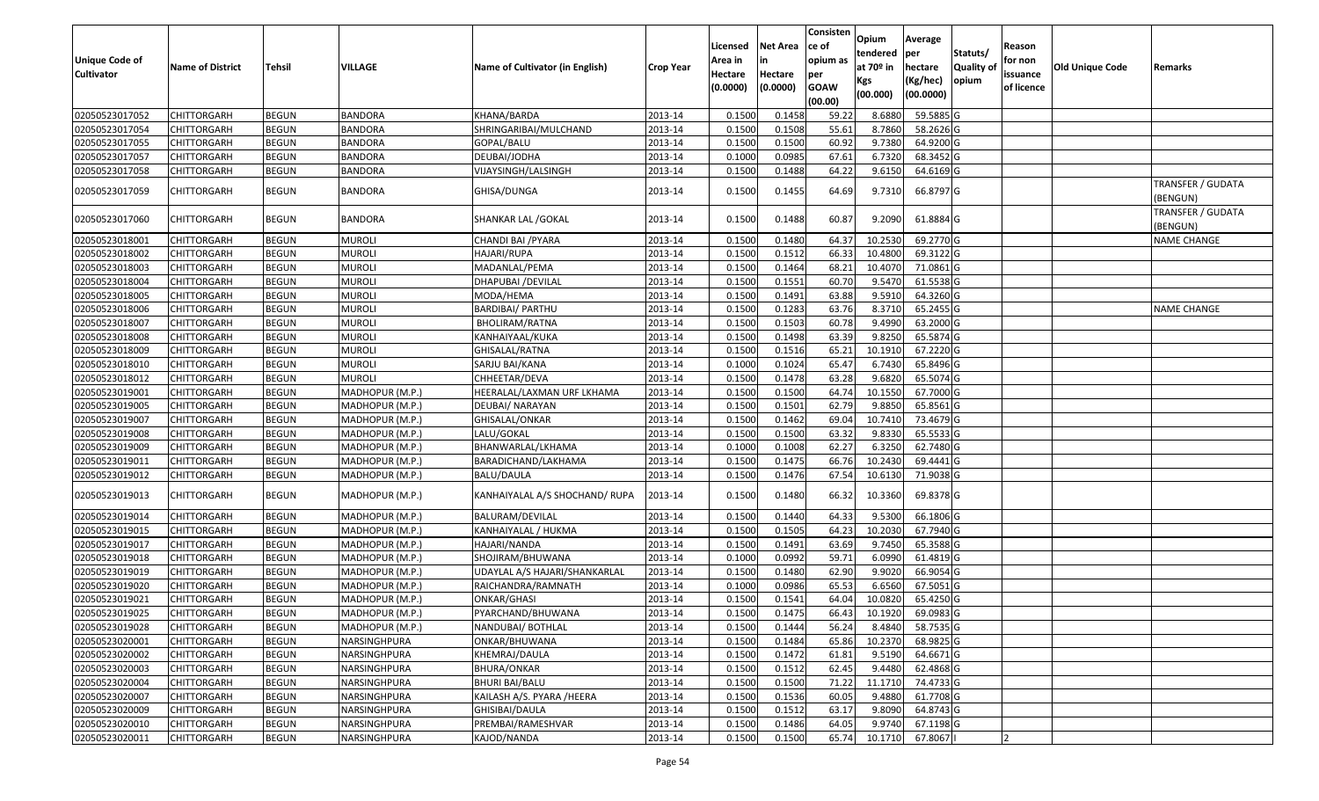| <b>Unique Code of</b><br><b>Cultivator</b> | <b>Name of District</b> | Tehsil       | VILLAGE         | Name of Cultivator (in English) | <b>Crop Year</b> | Licensed<br>Area in<br>Hectare<br>(0.0000) | Net Area<br>in<br>Hectare<br>(0.0000) | Consisten<br>ce of<br>opium as<br>per<br><b>GOAW</b><br>(00.00) | <b>Opium</b><br>tendered<br>at 70 <sup>o</sup> in<br>Kgs<br>(00.000) | Average<br> per<br>hectare<br>(Kg/hec)<br>(00.0000) | Statuts/<br><b>Quality of</b><br>opium | Reason<br>for non<br>issuance<br>of licence | <b>Old Unique Code</b> | Remarks                       |
|--------------------------------------------|-------------------------|--------------|-----------------|---------------------------------|------------------|--------------------------------------------|---------------------------------------|-----------------------------------------------------------------|----------------------------------------------------------------------|-----------------------------------------------------|----------------------------------------|---------------------------------------------|------------------------|-------------------------------|
| 02050523017052                             | <b>CHITTORGARH</b>      | <b>BEGUN</b> | <b>BANDORA</b>  | KHANA/BARDA                     | 2013-14          | 0.1500                                     | 0.1458                                | 59.22                                                           | 8.6880                                                               | 59.5885 G                                           |                                        |                                             |                        |                               |
| 02050523017054                             | CHITTORGARH             | <b>BEGUN</b> | <b>BANDORA</b>  | SHRINGARIBAI/MULCHAND           | 2013-14          | 0.1500                                     | 0.1508                                | 55.61                                                           | 8.7860                                                               | 58.2626 G                                           |                                        |                                             |                        |                               |
| 02050523017055                             | CHITTORGARH             | <b>BEGUN</b> | <b>BANDORA</b>  | GOPAL/BALU                      | 2013-14          | 0.1500                                     | 0.1500                                | 60.92                                                           | 9.7380                                                               | 64.9200 G                                           |                                        |                                             |                        |                               |
| 02050523017057                             | <b>CHITTORGARH</b>      | <b>BEGUN</b> | <b>BANDORA</b>  | DEUBAI/JODHA                    | 2013-14          | 0.1000                                     | 0.0985                                | 67.61                                                           | 6.7320                                                               | 68.3452 G                                           |                                        |                                             |                        |                               |
| 02050523017058                             | CHITTORGARH             | <b>BEGUN</b> | <b>BANDORA</b>  | VIJAYSINGH/LALSINGH             | 2013-14          | 0.1500                                     | 0.1488                                | 64.22                                                           | 9.6150                                                               | 64.6169 G                                           |                                        |                                             |                        |                               |
| 02050523017059                             | CHITTORGARH             | <b>BEGUN</b> | BANDORA         | GHISA/DUNGA                     | 2013-14          | 0.1500                                     | 0.1455                                | 64.69                                                           | 9.7310                                                               | 66.8797 G                                           |                                        |                                             |                        | TRANSFER / GUDATA<br>BENGUN)  |
| 02050523017060                             | CHITTORGARH             | <b>BEGUN</b> | <b>BANDORA</b>  | SHANKAR LAL / GOKAL             | 2013-14          | 0.1500                                     | 0.1488                                | 60.87                                                           | 9.2090                                                               | 61.8884 G                                           |                                        |                                             |                        | TRANSFER / GUDATA<br>(BENGUN) |
| 02050523018001                             | CHITTORGARH             | <b>BEGUN</b> | <b>MUROLI</b>   | CHANDI BAI /PYARA               | 2013-14          | 0.1500                                     | 0.1480                                | 64.37                                                           | 10.2530                                                              | 69.2770 G                                           |                                        |                                             |                        | <b>NAME CHANGE</b>            |
| 02050523018002                             | CHITTORGARH             | <b>BEGUN</b> | <b>MUROLI</b>   | HAJARI/RUPA                     | 2013-14          | 0.1500                                     | 0.1512                                | 66.33                                                           | 10.4800                                                              | 69.3122 G                                           |                                        |                                             |                        |                               |
| 02050523018003                             | CHITTORGARH             | <b>BEGUN</b> | MUROLI          | MADANLAL/PEMA                   | 2013-14          | 0.1500                                     | 0.1464                                | 68.21                                                           | 10.4070                                                              | 71.0861 G                                           |                                        |                                             |                        |                               |
| 02050523018004                             | CHITTORGARH             | <b>BEGUN</b> | <b>MUROLI</b>   | DHAPUBAI / DEVILAL              | 2013-14          | 0.1500                                     | 0.1551                                | 60.70                                                           | 9.5470                                                               | 61.5538 G                                           |                                        |                                             |                        |                               |
| 02050523018005                             | CHITTORGARH             | <b>BEGUN</b> | <b>MUROLI</b>   | MODA/HEMA                       | 2013-14          | 0.1500                                     | 0.1491                                | 63.88                                                           | 9.5910                                                               | 64.3260 G                                           |                                        |                                             |                        |                               |
| 02050523018006                             | <b>CHITTORGARH</b>      | <b>BEGUN</b> | <b>MUROLI</b>   | BARDIBAI/ PARTHU                | 2013-14          | 0.1500                                     | 0.1283                                | 63.76                                                           | 8.3710                                                               | 65.2455 G                                           |                                        |                                             |                        | <b>NAME CHANGE</b>            |
| 02050523018007                             | CHITTORGARH             | <b>BEGUN</b> | <b>MUROLI</b>   | BHOLIRAM/RATNA                  | 2013-14          | 0.1500                                     | 0.1503                                | 60.78                                                           | 9.4990                                                               | 63.2000 G                                           |                                        |                                             |                        |                               |
| 02050523018008                             | CHITTORGARH             | <b>BEGUN</b> | <b>MUROLI</b>   | KANHAIYAAL/KUKA                 | 2013-14          | 0.1500                                     | 0.1498                                | 63.39                                                           | 9.8250                                                               | 65.5874 G                                           |                                        |                                             |                        |                               |
| 02050523018009                             | CHITTORGARH             | <b>BEGUN</b> | <b>MUROLI</b>   | GHISALAL/RATNA                  | 2013-14          | 0.1500                                     | 0.1516                                | 65.21                                                           | 10.1910                                                              | 67.2220 G                                           |                                        |                                             |                        |                               |
| 02050523018010                             | CHITTORGARH             | <b>BEGUN</b> | <b>MUROLI</b>   | SARJU BAI/KANA                  | 2013-14          | 0.1000                                     | 0.1024                                | 65.47                                                           | 6.7430                                                               | 65.8496 G                                           |                                        |                                             |                        |                               |
| 02050523018012                             | CHITTORGARH             | <b>BEGUN</b> | <b>MUROLI</b>   | CHHEETAR/DEVA                   | 2013-14          | 0.1500                                     | 0.1478                                | 63.28                                                           | 9.6820                                                               | 65.5074 G                                           |                                        |                                             |                        |                               |
| 02050523019001                             | <b>CHITTORGARH</b>      | <b>BEGUN</b> | MADHOPUR (M.P.) | HEERALAL/LAXMAN URF LKHAMA      | 2013-14          | 0.1500                                     | 0.1500                                | 64.74                                                           | 10.1550                                                              | 67.7000 G                                           |                                        |                                             |                        |                               |
| 02050523019005                             | CHITTORGARH             | <b>BEGUN</b> | MADHOPUR (M.P.) | DEUBAI/ NARAYAN                 | 2013-14          | 0.1500                                     | 0.1501                                | 62.79                                                           | 9.8850                                                               | 65.8561 G                                           |                                        |                                             |                        |                               |
| 02050523019007                             | CHITTORGARH             | <b>BEGUN</b> | MADHOPUR (M.P.) | GHISALAL/ONKAR                  | 2013-14          | 0.1500                                     | 0.1462                                | 69.04                                                           | 10.7410                                                              | 73.4679 G                                           |                                        |                                             |                        |                               |
| 02050523019008                             | CHITTORGARH             | <b>BEGUN</b> | MADHOPUR (M.P.) | LALU/GOKAL                      | 2013-14          | 0.1500                                     | 0.1500                                | 63.32                                                           | 9.8330                                                               | 65.5533 G                                           |                                        |                                             |                        |                               |
| 02050523019009                             | <b>CHITTORGARH</b>      | <b>BEGUN</b> | MADHOPUR (M.P.) | BHANWARLAL/LKHAMA               | 2013-14          | 0.1000                                     | 0.1008                                | 62.27                                                           | 6.3250                                                               | 62.7480 G                                           |                                        |                                             |                        |                               |
| 02050523019011                             | <b>CHITTORGARH</b>      | <b>BEGUN</b> | MADHOPUR (M.P.) | BARADICHAND/LAKHAMA             | 2013-14          | 0.1500                                     | 0.1475                                | 66.76                                                           | 10.2430                                                              | 69.4441 G                                           |                                        |                                             |                        |                               |
| 02050523019012                             | CHITTORGARH             | <b>BEGUN</b> | MADHOPUR (M.P.) | <b>BALU/DAULA</b>               | 2013-14          | 0.1500                                     | 0.1476                                | 67.54                                                           | 10.6130                                                              | 71.9038 G                                           |                                        |                                             |                        |                               |
| 02050523019013                             | CHITTORGARH             | <b>BEGUN</b> | MADHOPUR (M.P.) | KANHAIYALAL A/S SHOCHAND/ RUPA  | 2013-14          | 0.1500                                     | 0.1480                                | 66.32                                                           | 10.3360                                                              | 69.8378 G                                           |                                        |                                             |                        |                               |
| 02050523019014                             | <b>CHITTORGARH</b>      | <b>BEGUN</b> | MADHOPUR (M.P.) | BALURAM/DEVILAL                 | 2013-14          | 0.1500                                     | 0.1440                                | 64.33                                                           | 9.5300                                                               | 66.1806 G                                           |                                        |                                             |                        |                               |
| 02050523019015                             | CHITTORGARH             | <b>BEGUN</b> | MADHOPUR (M.P.) | KANHAIYALAL / HUKMA             | 2013-14          | 0.1500                                     | 0.1505                                | 64.23                                                           | 10.2030                                                              | 67.7940 G                                           |                                        |                                             |                        |                               |
| 02050523019017                             | CHITTORGARH             | <b>BEGUN</b> | MADHOPUR (M.P.) | HAJARI/NANDA                    | 2013-14          | 0.1500                                     | 0.1491                                | 63.69                                                           | 9.7450                                                               | 65.3588 G                                           |                                        |                                             |                        |                               |
| 02050523019018                             | <b>CHITTORGARH</b>      | <b>BEGUN</b> | MADHOPUR (M.P.) | SHOJIRAM/BHUWANA                | 2013-14          | 0.1000                                     | 0.0992                                | 59.71                                                           | 6.0990                                                               | 61.4819 G                                           |                                        |                                             |                        |                               |
| 02050523019019                             | CHITTORGARH             | <b>BEGUN</b> | MADHOPUR (M.P.) | UDAYLAL A/S HAJARI/SHANKARLAL   | 2013-14          | 0.1500                                     | 0.1480                                | 62.90                                                           | 9.9020                                                               | 66.9054 G                                           |                                        |                                             |                        |                               |
| 02050523019020                             | CHITTORGARH             | <b>BEGUN</b> | MADHOPUR (M.P.) | RAICHANDRA/RAMNATH              | 2013-14          | 0.1000                                     | 0.0986                                | 65.53                                                           | 6.6560                                                               | 67.5051 G                                           |                                        |                                             |                        |                               |
| 02050523019021                             | CHITTORGARH             | <b>BEGUN</b> | MADHOPUR (M.P.) | ONKAR/GHASI                     | 2013-14          | 0.1500                                     | 0.1541                                | 64.04                                                           | 10.0820                                                              | 65.4250 G                                           |                                        |                                             |                        |                               |
| 02050523019025                             | <b>CHITTORGARH</b>      | <b>BEGUN</b> | MADHOPUR (M.P.) | PYARCHAND/BHUWANA               | 2013-14          | 0.1500                                     | 0.1475                                | 66.43                                                           |                                                                      | 10.1920 69.0983 G                                   |                                        |                                             |                        |                               |
| 02050523019028                             | <b>CHITTORGARH</b>      | <b>BEGUN</b> | MADHOPUR (M.P.) | NANDUBAI/ BOTHLAL               | 2013-14          | 0.1500                                     | 0.1444                                | 56.24                                                           | 8.4840                                                               | 58.7535 G                                           |                                        |                                             |                        |                               |
| 02050523020001                             | <b>CHITTORGARH</b>      | <b>BEGUN</b> | NARSINGHPURA    | ONKAR/BHUWANA                   | 2013-14          | 0.1500                                     | 0.1484                                | 65.86                                                           | 10.2370                                                              | 68.9825 G                                           |                                        |                                             |                        |                               |
| 02050523020002                             | <b>CHITTORGARH</b>      | <b>BEGUN</b> | NARSINGHPURA    | KHEMRAJ/DAULA                   | 2013-14          | 0.1500                                     | 0.1472                                | 61.81                                                           | 9.5190                                                               | 64.6671 G                                           |                                        |                                             |                        |                               |
| 02050523020003                             | <b>CHITTORGARH</b>      | <b>BEGUN</b> | NARSINGHPURA    | BHURA/ONKAR                     | 2013-14          | 0.1500                                     | 0.1512                                | 62.45                                                           | 9.4480                                                               | 62.4868 G                                           |                                        |                                             |                        |                               |
| 02050523020004                             | <b>CHITTORGARH</b>      | <b>BEGUN</b> | NARSINGHPURA    | <b>BHURI BAI/BALU</b>           | 2013-14          | 0.1500                                     | 0.1500                                | 71.22                                                           | 11.1710                                                              | 74.4733 G                                           |                                        |                                             |                        |                               |
| 02050523020007                             | <b>CHITTORGARH</b>      | <b>BEGUN</b> | NARSINGHPURA    | KAILASH A/S. PYARA /HEERA       | 2013-14          | 0.1500                                     | 0.1536                                | 60.05                                                           | 9.4880                                                               | 61.7708 G                                           |                                        |                                             |                        |                               |
| 02050523020009                             | <b>CHITTORGARH</b>      | <b>BEGUN</b> | NARSINGHPURA    | GHISIBAI/DAULA                  | 2013-14          | 0.1500                                     | 0.1512                                | 63.17                                                           | 9.8090                                                               | 64.8743 G                                           |                                        |                                             |                        |                               |
| 02050523020010                             | CHITTORGARH             | <b>BEGUN</b> | NARSINGHPURA    | PREMBAI/RAMESHVAR               | 2013-14          | 0.1500                                     | 0.1486                                | 64.05                                                           | 9.9740                                                               | 67.1198 G                                           |                                        |                                             |                        |                               |
| 02050523020011                             | <b>CHITTORGARH</b>      | <b>BEGUN</b> | NARSINGHPURA    | KAJOD/NANDA                     | 2013-14          | 0.1500                                     | 0.1500                                | 65.74                                                           | 10.1710                                                              | 67.8067                                             |                                        |                                             |                        |                               |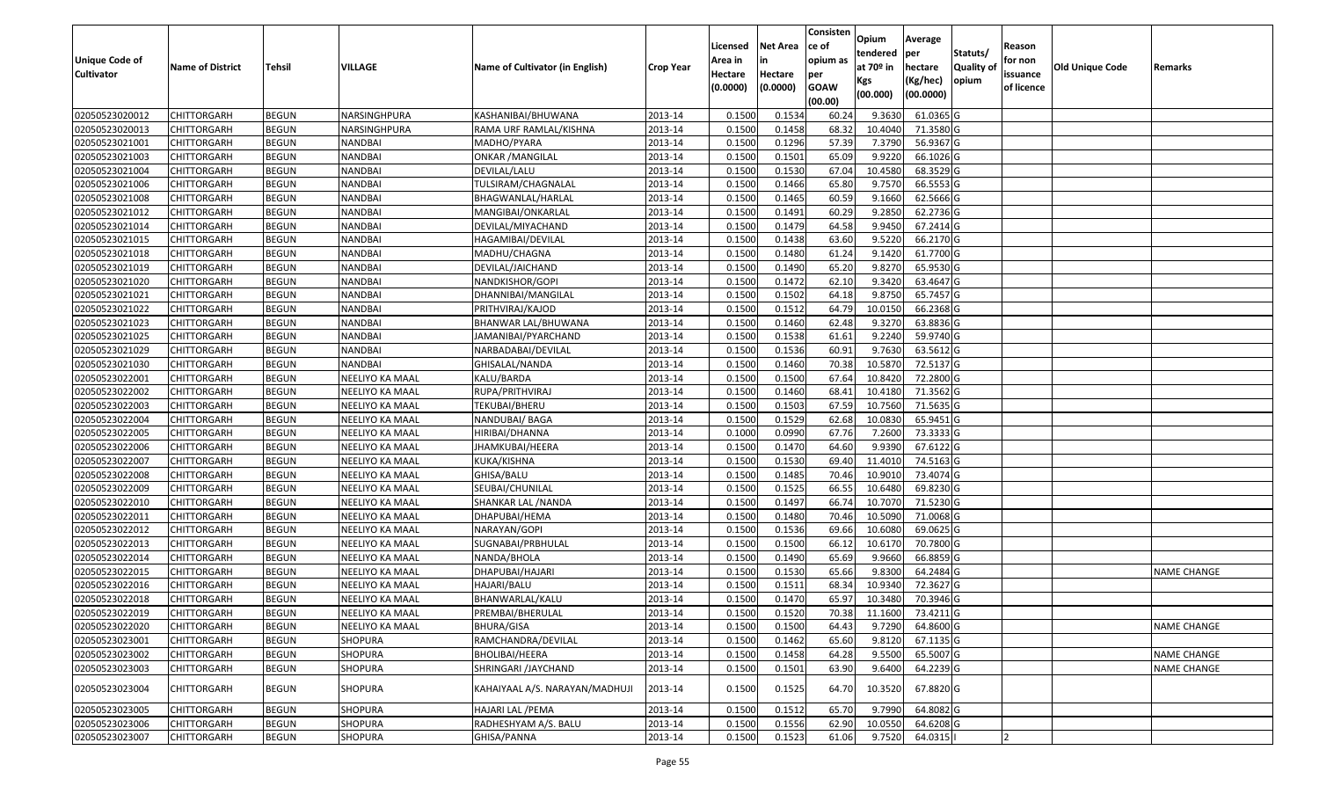| <b>Unique Code of</b><br><b>Cultivator</b> | <b>Name of District</b> | Tehsil       | VILLAGE         | Name of Cultivator (in English) | <b>Crop Year</b> | Licensed<br>Area in<br>Hectare<br>(0.0000) | <b>Net Area</b><br>in<br>Hectare<br>(0.0000) | Consisten<br>ce of<br>opium as<br>per<br><b>GOAW</b><br>(00.00) | Opium<br>tendered<br>at $70°$ in<br>Kgs<br>(00.000) | Average<br>per<br>hectare<br>(Kg/hec)<br>(00.0000) | Statuts/<br>Quality of<br>opium | Reason<br>for non<br>issuance<br>of licence | <b>Old Unique Code</b> | Remarks            |
|--------------------------------------------|-------------------------|--------------|-----------------|---------------------------------|------------------|--------------------------------------------|----------------------------------------------|-----------------------------------------------------------------|-----------------------------------------------------|----------------------------------------------------|---------------------------------|---------------------------------------------|------------------------|--------------------|
| 02050523020012                             | <b>CHITTORGARH</b>      | <b>BEGUN</b> | NARSINGHPURA    | KASHANIBAI/BHUWANA              | 2013-14          | 0.1500                                     | 0.1534                                       | 60.24                                                           | 9.3630                                              | 61.0365 G                                          |                                 |                                             |                        |                    |
| 02050523020013                             | CHITTORGARH             | <b>BEGUN</b> | NARSINGHPURA    | RAMA URF RAMLAL/KISHNA          | 2013-14          | 0.1500                                     | 0.1458                                       | 68.32                                                           | 10.4040                                             | 71.3580 G                                          |                                 |                                             |                        |                    |
| 02050523021001                             | CHITTORGARH             | <b>BEGUN</b> | NANDBAI         | MADHO/PYARA                     | 2013-14          | 0.1500                                     | 0.1296                                       | 57.39                                                           | 7.3790                                              | 56.9367 G                                          |                                 |                                             |                        |                    |
| 02050523021003                             | <b>CHITTORGARH</b>      | <b>BEGUN</b> | <b>NANDBAI</b>  | <b>ONKAR / MANGILAL</b>         | 2013-14          | 0.1500                                     | 0.1501                                       | 65.09                                                           | 9.9220                                              | 66.1026 G                                          |                                 |                                             |                        |                    |
| 02050523021004                             | <b>CHITTORGARH</b>      | <b>BEGUN</b> | <b>NANDBAI</b>  | DEVILAL/LALU                    | 2013-14          | 0.1500                                     | 0.1530                                       | 67.04                                                           | 10.4580                                             | 68.3529 G                                          |                                 |                                             |                        |                    |
| 02050523021006                             | <b>CHITTORGARH</b>      | <b>BEGUN</b> | NANDBAI         | TULSIRAM/CHAGNALAL              | 2013-14          | 0.1500                                     | 0.1466                                       | 65.80                                                           | 9.7570                                              | 66.5553 G                                          |                                 |                                             |                        |                    |
| 02050523021008                             | CHITTORGARH             | <b>BEGUN</b> | NANDBAI         | BHAGWANLAL/HARLAL               | 2013-14          | 0.1500                                     | 0.1465                                       | 60.59                                                           | 9.1660                                              | 62.5666 G                                          |                                 |                                             |                        |                    |
| 02050523021012                             | <b>CHITTORGARH</b>      | <b>BEGUN</b> | <b>NANDBAI</b>  | MANGIBAI/ONKARLAL               | 2013-14          | 0.1500                                     | 0.1491                                       | 60.29                                                           | 9.2850                                              | 62.2736 G                                          |                                 |                                             |                        |                    |
| 02050523021014                             | <b>CHITTORGARH</b>      | <b>BEGUN</b> | <b>NANDBAI</b>  | DEVILAL/MIYACHAND               | 2013-14          | 0.1500                                     | 0.1479                                       | 64.58                                                           | 9.9450                                              | 67.2414 G                                          |                                 |                                             |                        |                    |
| 02050523021015                             | <b>CHITTORGARH</b>      | <b>BEGUN</b> | NANDBAI         | HAGAMIBAI/DEVILAL               | 2013-14          | 0.1500                                     | 0.1438                                       | 63.60                                                           | 9.5220                                              | 66.2170 G                                          |                                 |                                             |                        |                    |
| 02050523021018                             | <b>CHITTORGARH</b>      | <b>BEGUN</b> | NANDBAI         | MADHU/CHAGNA                    | 2013-14          | 0.1500                                     | 0.1480                                       | 61.24                                                           | 9.1420                                              | 61.7700 G                                          |                                 |                                             |                        |                    |
| 02050523021019                             | <b>CHITTORGARH</b>      | <b>BEGUN</b> | NANDBAI         | DEVILAL/JAICHAND                | 2013-14          | 0.1500                                     | 0.1490                                       | 65.20                                                           | 9.8270                                              | 65.9530 G                                          |                                 |                                             |                        |                    |
| 02050523021020                             | <b>CHITTORGARH</b>      | <b>BEGUN</b> | <b>NANDBAI</b>  | NANDKISHOR/GOPI                 | 2013-14          | 0.1500                                     | 0.1472                                       | 62.10                                                           | 9.3420                                              | 63.4647 G                                          |                                 |                                             |                        |                    |
| 02050523021021                             | <b>CHITTORGARH</b>      | <b>BEGUN</b> | <b>NANDBAI</b>  | DHANNIBAI/MANGILAL              | 2013-14          | 0.1500                                     | 0.1502                                       | 64.18                                                           | 9.8750                                              | 65.7457 G                                          |                                 |                                             |                        |                    |
| 02050523021022                             | <b>CHITTORGARH</b>      | <b>BEGUN</b> | <b>NANDBAI</b>  | PRITHVIRAJ/KAJOD                | 2013-14          | 0.1500                                     | 0.1512                                       | 64.79                                                           | 10.0150                                             | 66.2368 G                                          |                                 |                                             |                        |                    |
| 02050523021023                             | <b>CHITTORGARH</b>      | <b>BEGUN</b> | NANDBAI         | BHANWAR LAL/BHUWANA             | 2013-14          | 0.1500                                     | 0.1460                                       | 62.48                                                           | 9.3270                                              | 63.8836 G                                          |                                 |                                             |                        |                    |
| 02050523021025                             | <b>CHITTORGARH</b>      | <b>BEGUN</b> | NANDBAI         | JAMANIBAI/PYARCHAND             | 2013-14          | 0.1500                                     | 0.1538                                       | 61.61                                                           | 9.2240                                              | 59.9740 G                                          |                                 |                                             |                        |                    |
| 02050523021029                             | <b>CHITTORGARH</b>      | <b>BEGUN</b> | <b>NANDBAI</b>  | NARBADABAI/DEVILAL              | 2013-14          | 0.1500                                     | 0.1536                                       | 60.91                                                           | 9.7630                                              | 63.5612 G                                          |                                 |                                             |                        |                    |
| 02050523021030                             | <b>CHITTORGARH</b>      | <b>BEGUN</b> | NANDBAI         | GHISALAL/NANDA                  | 2013-14          | 0.1500                                     | 0.1460                                       | 70.38                                                           | 10.5870                                             | 72.5137 G                                          |                                 |                                             |                        |                    |
| 02050523022001                             | CHITTORGARH             | <b>BEGUN</b> | NEELIYO KA MAAL | KALU/BARDA                      | 2013-14          | 0.1500                                     | 0.1500                                       | 67.64                                                           | 10.8420                                             | 72.2800 G                                          |                                 |                                             |                        |                    |
| 02050523022002                             | <b>CHITTORGARH</b>      | <b>BEGUN</b> | NEELIYO KA MAAL | RUPA/PRITHVIRAJ                 | 2013-14          | 0.1500                                     | 0.1460                                       | 68.41                                                           | 10.4180                                             | 71.3562 G                                          |                                 |                                             |                        |                    |
| 02050523022003                             | <b>CHITTORGARH</b>      | <b>BEGUN</b> | NEELIYO KA MAAL | TEKUBAI/BHERU                   | 2013-14          | 0.1500                                     | 0.1503                                       | 67.59                                                           | 10.7560                                             | 71.5635 G                                          |                                 |                                             |                        |                    |
| 02050523022004                             | <b>CHITTORGARH</b>      | <b>BEGUN</b> | NEELIYO KA MAAL | NANDUBAI/ BAGA                  | 2013-14          | 0.1500                                     | 0.1529                                       | 62.68                                                           | 10.0830                                             | 65.9451 G                                          |                                 |                                             |                        |                    |
| 02050523022005                             | <b>CHITTORGARH</b>      | <b>BEGUN</b> | NEELIYO KA MAAL | HIRIBAI/DHANNA                  | 2013-14          | 0.1000                                     | 0.0990                                       | 67.76                                                           | 7.2600                                              | 73.3333 G                                          |                                 |                                             |                        |                    |
| 02050523022006                             | <b>CHITTORGARH</b>      | <b>BEGUN</b> | NEELIYO KA MAAL | JHAMKUBAI/HEERA                 | 2013-14          | 0.1500                                     | 0.1470                                       | 64.60                                                           | 9.9390                                              | 67.6122 G                                          |                                 |                                             |                        |                    |
| 02050523022007                             | <b>CHITTORGARH</b>      | <b>BEGUN</b> | NEELIYO KA MAAL | KUKA/KISHNA                     | 2013-14          | 0.1500                                     | 0.1530                                       | 69.40                                                           | 11.4010                                             | 74.5163 G                                          |                                 |                                             |                        |                    |
| 02050523022008                             | <b>CHITTORGARH</b>      | <b>BEGUN</b> | NEELIYO KA MAAL | GHISA/BALU                      | 2013-14          | 0.1500                                     | 0.1485                                       | 70.46                                                           | 10.9010                                             | 73.4074 G                                          |                                 |                                             |                        |                    |
| 02050523022009                             | <b>CHITTORGARH</b>      | <b>BEGUN</b> | NEELIYO KA MAAL | SEUBAI/CHUNILAL                 | 2013-14          | 0.1500                                     | 0.1525                                       | 66.55                                                           | 10.6480                                             | 69.8230 G                                          |                                 |                                             |                        |                    |
| 02050523022010                             | <b>CHITTORGARH</b>      | <b>BEGUN</b> | NEELIYO KA MAAL | SHANKAR LAL / NANDA             | 2013-14          | 0.1500                                     | 0.1497                                       | 66.74                                                           | 10.7070                                             | 71.5230 G                                          |                                 |                                             |                        |                    |
| 02050523022011                             | <b>CHITTORGARH</b>      | <b>BEGUN</b> | NEELIYO KA MAAL | DHAPUBAI/HEMA                   | 2013-14          | 0.1500                                     | 0.1480                                       | 70.46                                                           | 10.5090                                             | 71.0068 G                                          |                                 |                                             |                        |                    |
| 02050523022012                             | <b>CHITTORGARH</b>      | <b>BEGUN</b> | NEELIYO KA MAAL | NARAYAN/GOPI                    | 2013-14          | 0.1500                                     | 0.1536                                       | 69.66                                                           | 10.6080                                             | 69.0625 G                                          |                                 |                                             |                        |                    |
| 02050523022013                             | CHITTORGARH             | <b>BEGUN</b> | NEELIYO KA MAAL | SUGNABAI/PRBHULAL               | 2013-14          | 0.1500                                     | 0.1500                                       | 66.12                                                           | 10.6170                                             | 70.7800 G                                          |                                 |                                             |                        |                    |
| 02050523022014                             | <b>CHITTORGARH</b>      | <b>BEGUN</b> | NEELIYO KA MAAL | NANDA/BHOLA                     | 2013-14          | 0.1500                                     | 0.1490                                       | 65.69                                                           | 9.9660                                              | 66.8859 G                                          |                                 |                                             |                        |                    |
| 02050523022015                             | <b>CHITTORGARH</b>      | <b>BEGUN</b> | NEELIYO KA MAAL | DHAPUBAI/HAJARI                 | 2013-14          | 0.1500                                     | 0.1530                                       | 65.66                                                           | 9.8300                                              | 64.2484 G                                          |                                 |                                             |                        | <b>NAME CHANGE</b> |
| 02050523022016                             | CHITTORGARH             | <b>BEGUN</b> | NEELIYO KA MAAL | HAJARI/BALU                     | 2013-14          | 0.1500                                     | 0.1511                                       | 68.34                                                           | 10.9340                                             | 72.3627 G                                          |                                 |                                             |                        |                    |
| 02050523022018                             | <b>CHITTORGARH</b>      | <b>BEGUN</b> | NEELIYO KA MAAL | BHANWARLAL/KALU                 | 2013-14          | 0.1500                                     | 0.1470                                       | 65.97                                                           | 10.3480                                             | 70.3946 G                                          |                                 |                                             |                        |                    |
| 02050523022019                             | <b>CHITTORGARH</b>      | <b>BEGUN</b> | NEELIYO KA MAAL | PREMBAI/BHERULAL                | 2013-14          | 0.1500                                     | 0.1520                                       | 70.38                                                           | 11.1600                                             | 73.4211 G                                          |                                 |                                             |                        |                    |
| 02050523022020                             | <b>CHITTORGARH</b>      | <b>BEGUN</b> | NEELIYO KA MAAL | BHURA/GISA                      | 2013-14          | 0.1500                                     | 0.1500                                       | 64.43                                                           | 9.7290                                              | 64.8600 G                                          |                                 |                                             |                        | <b>NAME CHANGE</b> |
| 02050523023001                             | <b>CHITTORGARH</b>      | <b>BEGUN</b> | SHOPURA         | RAMCHANDRA/DEVILAL              | 2013-14          | 0.1500                                     | 0.1462                                       | 65.60                                                           | 9.8120                                              | 67.1135 G                                          |                                 |                                             |                        |                    |
| 02050523023002                             | <b>CHITTORGARH</b>      | <b>BEGUN</b> | <b>SHOPURA</b>  | BHOLIBAI/HEERA                  | 2013-14          | 0.1500                                     | 0.1458                                       | 64.28                                                           | 9.5500                                              | 65.5007 G                                          |                                 |                                             |                        | <b>NAME CHANGE</b> |
| 02050523023003                             | <b>CHITTORGARH</b>      | <b>BEGUN</b> | SHOPURA         | SHRINGARI / JAYCHAND            | 2013-14          | 0.1500                                     | 0.1501                                       | 63.90                                                           | 9.6400                                              | 64.2239 G                                          |                                 |                                             |                        | <b>NAME CHANGE</b> |
| 02050523023004                             | <b>CHITTORGARH</b>      | <b>BEGUN</b> | SHOPURA         | KAHAIYAAL A/S. NARAYAN/MADHUJI  | 2013-14          | 0.1500                                     | 0.1525                                       | 64.70                                                           | 10.3520                                             | 67.8820 G                                          |                                 |                                             |                        |                    |
| 02050523023005                             | <b>CHITTORGARH</b>      | <b>BEGUN</b> | <b>SHOPURA</b>  | HAJARI LAL / PEMA               | 2013-14          | 0.1500                                     | 0.1512                                       | 65.70                                                           | 9.7990                                              | 64.8082 G                                          |                                 |                                             |                        |                    |
| 02050523023006                             | <b>CHITTORGARH</b>      | <b>BEGUN</b> | SHOPURA         | RADHESHYAM A/S. BALU            | 2013-14          | 0.1500                                     | 0.1556                                       | 62.90                                                           | 10.0550                                             | 64.6208 G                                          |                                 |                                             |                        |                    |
| 02050523023007                             | <b>CHITTORGARH</b>      | <b>BEGUN</b> | SHOPURA         | GHISA/PANNA                     | 2013-14          | 0.1500                                     | 0.1523                                       | 61.06                                                           | 9.7520                                              | 64.0315                                            |                                 |                                             |                        |                    |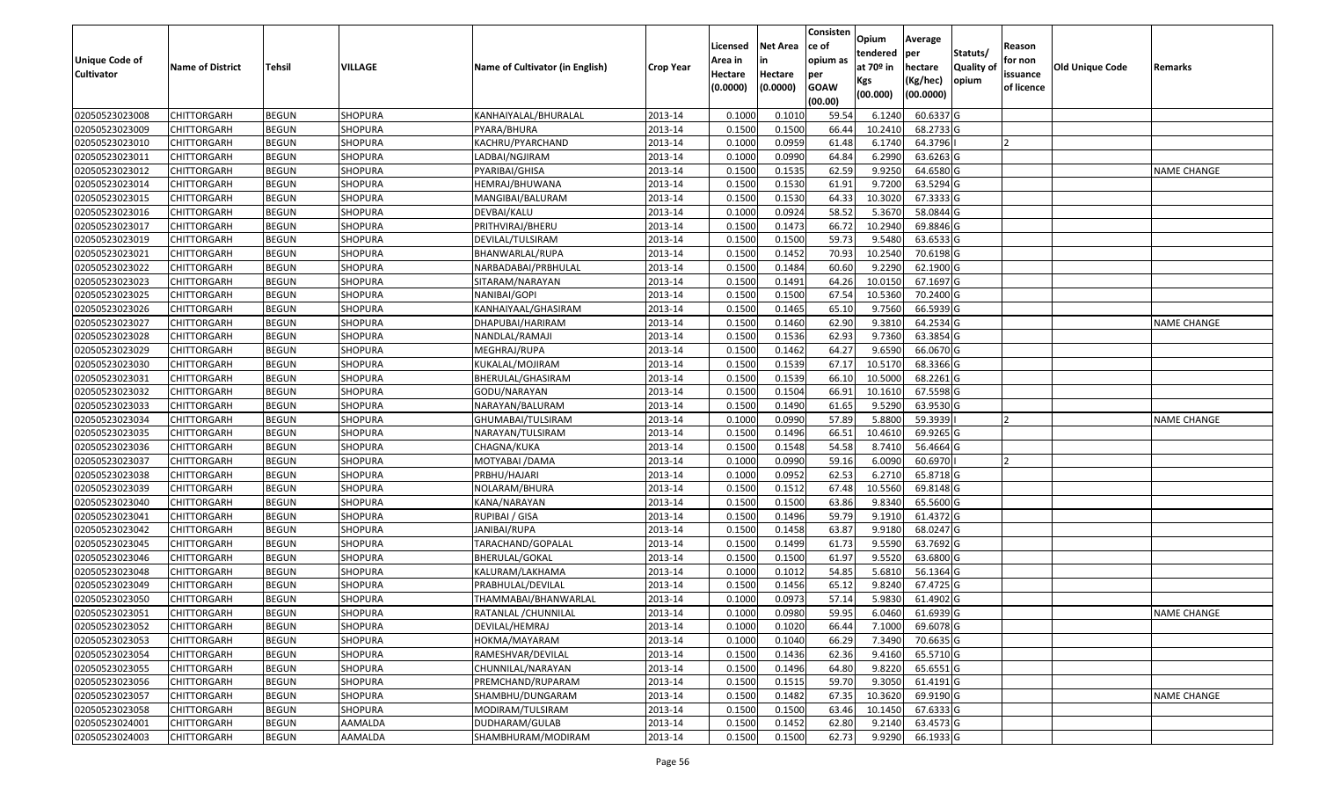|                       |                         |               |                |                                 |           | Licensed | <b>Net Area</b> | Consisten<br>ce of     | Opium           | Average               |                   | Reason     |                 |                    |
|-----------------------|-------------------------|---------------|----------------|---------------------------------|-----------|----------|-----------------|------------------------|-----------------|-----------------------|-------------------|------------|-----------------|--------------------|
| <b>Unique Code of</b> |                         |               |                |                                 |           | Area in  | in              | opium as               | tendered        | <b>per</b>            | Statuts/          | for non    |                 |                    |
| <b>Cultivator</b>     | <b>Name of District</b> | <b>Tehsil</b> | VILLAGE        | Name of Cultivator (in English) | Crop Year | Hectare  | Hectare         | per                    | at 70º in       | hectare               | <b>Quality of</b> | issuance   | Old Unique Code | Remarks            |
|                       |                         |               |                |                                 |           | (0.0000) | (0.0000)        | <b>GOAW</b><br>(00.00) | Kgs<br>(00.000) | (Kg/hec)<br>(00.0000) | opium             | of licence |                 |                    |
| 02050523023008        | <b>CHITTORGARH</b>      | <b>BEGUN</b>  | SHOPURA        | KANHAIYALAL/BHURALAL            | 2013-14   | 0.1000   | 0.1010          | 59.54                  | 6.1240          | 60.6337 G             |                   |            |                 |                    |
| 02050523023009        | <b>CHITTORGARH</b>      | <b>BEGUN</b>  | SHOPURA        | PYARA/BHURA                     | 2013-14   | 0.1500   | 0.1500          | 66.44                  | 10.2410         | 68.2733 G             |                   |            |                 |                    |
| 02050523023010        | <b>CHITTORGARH</b>      | <b>BEGUN</b>  | SHOPURA        | KACHRU/PYARCHAND                | 2013-14   | 0.1000   | 0.0959          | 61.48                  | 6.1740          | 64.3796               |                   | 12         |                 |                    |
| 02050523023011        | <b>CHITTORGARH</b>      | <b>BEGUN</b>  | <b>SHOPURA</b> | LADBAI/NGJIRAM                  | 2013-14   | 0.1000   | 0.0990          | 64.84                  | 6.2990          | 63.6263 G             |                   |            |                 |                    |
| 02050523023012        | <b>CHITTORGARH</b>      | <b>BEGUN</b>  | SHOPURA        | PYARIBAI/GHISA                  | 2013-14   | 0.1500   | 0.1535          | 62.59                  | 9.9250          | 64.6580 G             |                   |            |                 | <b>NAME CHANGE</b> |
| 02050523023014        | <b>CHITTORGARH</b>      | <b>BEGUN</b>  | SHOPURA        | HEMRAJ/BHUWANA                  | 2013-14   | 0.1500   | 0.1530          | 61.91                  | 9.7200          | 63.5294 G             |                   |            |                 |                    |
| 02050523023015        | <b>CHITTORGARH</b>      | <b>BEGUN</b>  | SHOPURA        | MANGIBAI/BALURAM                | 2013-14   | 0.1500   | 0.1530          | 64.33                  | 10.3020         | 67.3333 G             |                   |            |                 |                    |
| 02050523023016        | <b>CHITTORGARH</b>      | <b>BEGUN</b>  | SHOPURA        | DEVBAI/KALU                     | 2013-14   | 0.1000   | 0.0924          | 58.52                  | 5.3670          | 58.0844 G             |                   |            |                 |                    |
| 02050523023017        | <b>CHITTORGARH</b>      | <b>BEGUN</b>  | SHOPURA        | PRITHVIRAJ/BHERU                | 2013-14   | 0.1500   | 0.1473          | 66.72                  | 10.2940         | 69.8846 G             |                   |            |                 |                    |
| 02050523023019        | <b>CHITTORGARH</b>      | <b>BEGUN</b>  | SHOPURA        | DEVILAL/TULSIRAM                | 2013-14   | 0.1500   | 0.1500          | 59.73                  | 9.5480          | 63.6533 G             |                   |            |                 |                    |
| 02050523023021        | <b>CHITTORGARH</b>      | <b>BEGUN</b>  | SHOPURA        | BHANWARLAL/RUPA                 | 2013-14   | 0.1500   | 0.1452          | 70.93                  | 10.2540         | 70.6198 G             |                   |            |                 |                    |
| 02050523023022        | <b>CHITTORGARH</b>      | <b>BEGUN</b>  | SHOPURA        | NARBADABAI/PRBHULAL             | 2013-14   | 0.1500   | 0.1484          | 60.60                  | 9.2290          | 62.1900 G             |                   |            |                 |                    |
| 02050523023023        | <b>CHITTORGARH</b>      | <b>BEGUN</b>  | SHOPURA        | SITARAM/NARAYAN                 | 2013-14   | 0.1500   | 0.1491          | 64.26                  | 10.0150         | 67.1697 G             |                   |            |                 |                    |
| 02050523023025        | <b>CHITTORGARH</b>      | <b>BEGUN</b>  | SHOPURA        | NANIBAI/GOPI                    | 2013-14   | 0.1500   | 0.1500          | 67.54                  | 10.5360         | 70.2400 G             |                   |            |                 |                    |
| 02050523023026        | <b>CHITTORGARH</b>      | <b>BEGUN</b>  | SHOPURA        | KANHAIYAAL/GHASIRAM             | 2013-14   | 0.1500   | 0.1465          | 65.10                  | 9.7560          | 66.5939 G             |                   |            |                 |                    |
| 02050523023027        | <b>CHITTORGARH</b>      | <b>BEGUN</b>  | SHOPURA        | DHAPUBAI/HARIRAM                | 2013-14   | 0.1500   | 0.1460          | 62.90                  | 9.3810          | 64.2534 G             |                   |            |                 | NAME CHANGE        |
| 02050523023028        | <b>CHITTORGARH</b>      | <b>BEGUN</b>  | SHOPURA        | NANDLAL/RAMAJI                  | 2013-14   | 0.1500   | 0.1536          | 62.93                  | 9.7360          | 63.3854 G             |                   |            |                 |                    |
| 02050523023029        | <b>CHITTORGARH</b>      | <b>BEGUN</b>  | SHOPURA        | MEGHRAJ/RUPA                    | 2013-14   | 0.1500   | 0.1462          | 64.27                  | 9.6590          | 66.0670 G             |                   |            |                 |                    |
| 02050523023030        | <b>CHITTORGARH</b>      | <b>BEGUN</b>  | SHOPURA        | KUKALAL/MOJIRAM                 | 2013-14   | 0.1500   | 0.1539          | 67.17                  | 10.5170         | 68.3366 G             |                   |            |                 |                    |
| 02050523023031        | <b>CHITTORGARH</b>      | <b>BEGUN</b>  | SHOPURA        | BHERULAL/GHASIRAM               | 2013-14   | 0.1500   | 0.1539          | 66.10                  | 10.5000         | 68.2261 G             |                   |            |                 |                    |
| 02050523023032        | <b>CHITTORGARH</b>      | <b>BEGUN</b>  | SHOPURA        | GODU/NARAYAN                    | 2013-14   | 0.1500   | 0.1504          | 66.91                  | 10.1610         | 67.5598 G             |                   |            |                 |                    |
| 02050523023033        | <b>CHITTORGARH</b>      | <b>BEGUN</b>  | SHOPURA        | NARAYAN/BALURAM                 | 2013-14   | 0.1500   | 0.1490          | 61.65                  | 9.5290          | 63.9530 G             |                   |            |                 |                    |
| 02050523023034        | <b>CHITTORGARH</b>      | <b>BEGUN</b>  | SHOPURA        | GHUMABAI/TULSIRAM               | 2013-14   | 0.1000   | 0.0990          | 57.89                  | 5.8800          | 59.3939               |                   |            |                 | <b>NAME CHANGE</b> |
| 02050523023035        | <b>CHITTORGARH</b>      | <b>BEGUN</b>  | SHOPURA        | NARAYAN/TULSIRAM                | 2013-14   | 0.1500   | 0.1496          | 66.5                   | 10.4610         | 69.9265 G             |                   |            |                 |                    |
| 02050523023036        | <b>CHITTORGARH</b>      | <b>BEGUN</b>  | SHOPURA        | CHAGNA/KUKA                     | 2013-14   | 0.1500   | 0.1548          | 54.58                  | 8.7410          | 56.4664 G             |                   |            |                 |                    |
| 02050523023037        | <b>CHITTORGARH</b>      | <b>BEGUN</b>  | SHOPURA        | MOTYABAI /DAMA                  | 2013-14   | 0.1000   | 0.0990          | 59.16                  | 6.0090          | 60.6970               |                   |            |                 |                    |
| 02050523023038        | <b>CHITTORGARH</b>      | <b>BEGUN</b>  | SHOPURA        | PRBHU/HAJARI                    | 2013-14   | 0.1000   | 0.0952          | 62.53                  | 6.2710          | 65.8718 G             |                   |            |                 |                    |
| 02050523023039        | <b>CHITTORGARH</b>      | <b>BEGUN</b>  | SHOPURA        | NOLARAM/BHURA                   | 2013-14   | 0.1500   | 0.1512          | 67.48                  | 10.5560         | 69.8148 G             |                   |            |                 |                    |
| 02050523023040        | <b>CHITTORGARH</b>      | <b>BEGUN</b>  | SHOPURA        | KANA/NARAYAN                    | 2013-14   | 0.1500   | 0.1500          | 63.86                  | 9.8340          | 65.5600 G             |                   |            |                 |                    |
| 02050523023041        | <b>CHITTORGARH</b>      | <b>BEGUN</b>  | SHOPURA        | RUPIBAI / GISA                  | 2013-14   | 0.1500   | 0.1496          | 59.79                  | 9.1910          | 61.4372 G             |                   |            |                 |                    |
| 02050523023042        | <b>CHITTORGARH</b>      | <b>BEGUN</b>  | SHOPURA        | JANIBAI/RUPA                    | 2013-14   | 0.1500   | 0.1458          | 63.87                  | 9.9180          | 68.0247 G             |                   |            |                 |                    |
| 02050523023045        | <b>CHITTORGARH</b>      | <b>BEGUN</b>  | SHOPURA        | TARACHAND/GOPALAL               | 2013-14   | 0.1500   | 0.1499          | 61.73                  | 9.5590          | 63.7692 G             |                   |            |                 |                    |
| 02050523023046        | <b>CHITTORGARH</b>      | <b>BEGUN</b>  | SHOPURA        | BHERULAL/GOKAL                  | 2013-14   | 0.1500   | 0.1500          | 61.97                  | 9.5520          | 63.6800 G             |                   |            |                 |                    |
| 02050523023048        | <b>CHITTORGARH</b>      | <b>BEGUN</b>  | SHOPURA        | KALURAM/LAKHAMA                 | 2013-14   | 0.1000   | 0.1012          | 54.85                  | 5.6810          | 56.1364 G             |                   |            |                 |                    |
| 02050523023049        | CHITTORGARH             | <b>BEGUN</b>  | SHOPURA        | PRABHULAL/DEVILAL               | 2013-14   | 0.1500   | 0.1456          | 65.12                  | 9.8240          | 67.4725 G             |                   |            |                 |                    |
| 02050523023050        | <b>CHITTORGARH</b>      | <b>BEGUN</b>  | SHOPURA        | THAMMABAI/BHANWARLAL            | 2013-14   | 0.1000   | 0.0973          | 57.14                  | 5.9830          | 61.4902 G             |                   |            |                 |                    |
| 02050523023051        | CHITTORGARH             | <b>BEGUN</b>  | <b>SHOPURA</b> | RATANLAL / CHUNNILAL            | 2013-14   | 0.1000   | 0.0980          | 59.95                  | 6.0460          | 61.6939 G             |                   |            |                 | <b>NAME CHANGE</b> |
| 02050523023052        | <b>CHITTORGARH</b>      | <b>BEGUN</b>  | SHOPURA        | DEVILAL/HEMRAJ                  | 2013-14   | 0.1000   | 0.1020          | 66.44                  | 7.1000          | 69.6078 G             |                   |            |                 |                    |
| 02050523023053        | <b>CHITTORGARH</b>      | <b>BEGUN</b>  | SHOPURA        | HOKMA/MAYARAM                   | 2013-14   | 0.1000   | 0.1040          | 66.29                  | 7.3490          | 70.6635 G             |                   |            |                 |                    |
| 02050523023054        | <b>CHITTORGARH</b>      | <b>BEGUN</b>  | SHOPURA        | RAMESHVAR/DEVILAL               | 2013-14   | 0.1500   | 0.1436          | 62.36                  | 9.4160          | 65.5710 G             |                   |            |                 |                    |
| 02050523023055        | <b>CHITTORGARH</b>      | <b>BEGUN</b>  | SHOPURA        | CHUNNILAL/NARAYAN               | 2013-14   | 0.1500   | 0.1496          | 64.80                  | 9.8220          | 65.6551 G             |                   |            |                 |                    |
| 02050523023056        | <b>CHITTORGARH</b>      | <b>BEGUN</b>  | SHOPURA        | PREMCHAND/RUPARAM               | 2013-14   | 0.1500   | 0.1515          | 59.70                  | 9.3050          | 61.4191 G             |                   |            |                 |                    |
| 02050523023057        | <b>CHITTORGARH</b>      | <b>BEGUN</b>  | SHOPURA        | SHAMBHU/DUNGARAM                | 2013-14   | 0.1500   | 0.1482          | 67.35                  | 10.3620         | 69.9190 G             |                   |            |                 | <b>NAME CHANGE</b> |
| 02050523023058        | <b>CHITTORGARH</b>      | <b>BEGUN</b>  | SHOPURA        | MODIRAM/TULSIRAM                | 2013-14   | 0.1500   | 0.1500          | 63.46                  | 10.1450         | 67.6333 G             |                   |            |                 |                    |
| 02050523024001        | <b>CHITTORGARH</b>      | <b>BEGUN</b>  | AAMALDA        | DUDHARAM/GULAB                  | 2013-14   | 0.1500   | 0.1452          | 62.80                  | 9.2140          | 63.4573 G             |                   |            |                 |                    |
| 02050523024003        | <b>CHITTORGARH</b>      | <b>BEGUN</b>  | AAMALDA        | SHAMBHURAM/MODIRAM              | 2013-14   | 0.1500   | 0.1500          | 62.73                  | 9.9290          | 66.1933 G             |                   |            |                 |                    |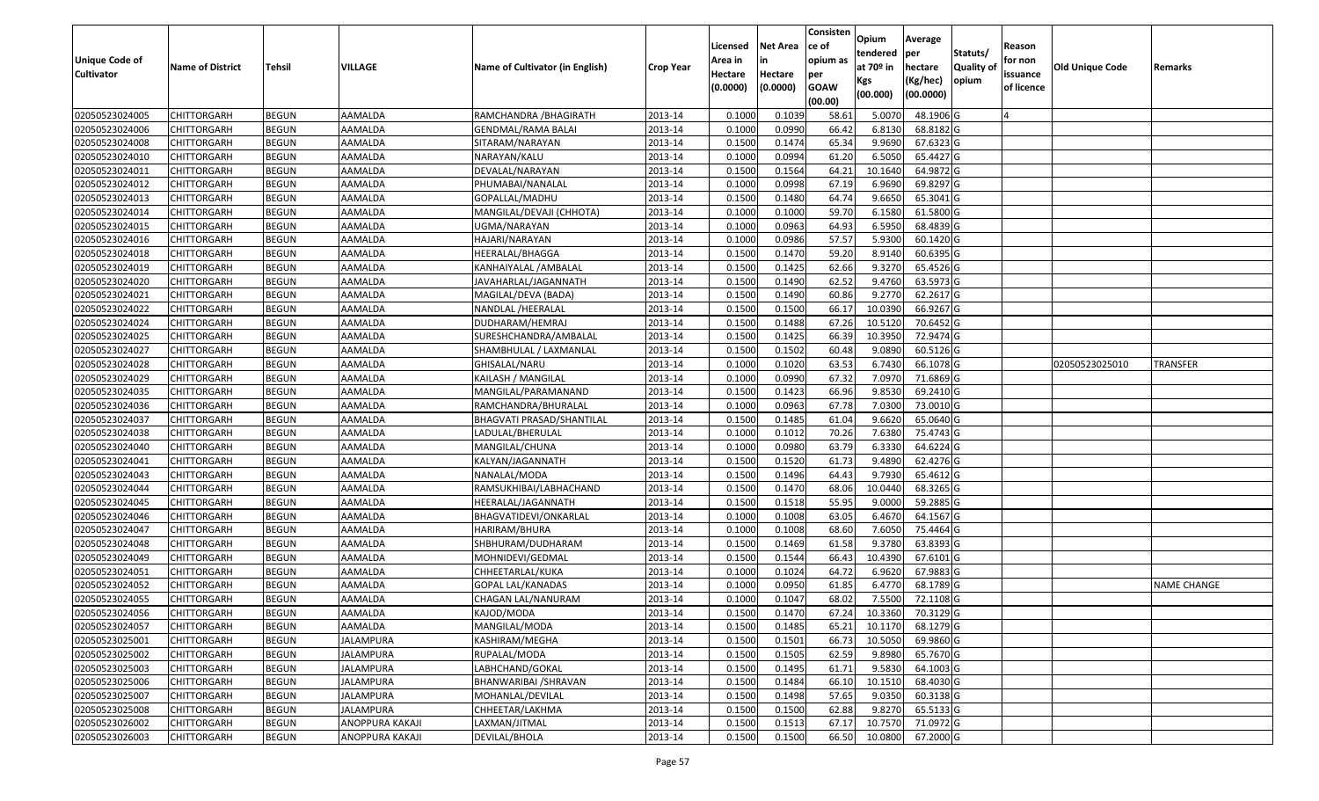|                   |                         |               |                  |                                 |                  |          |                 | Consisten              | Opium       | Average                 |                  |            |                        |                    |
|-------------------|-------------------------|---------------|------------------|---------------------------------|------------------|----------|-----------------|------------------------|-------------|-------------------------|------------------|------------|------------------------|--------------------|
|                   |                         |               |                  |                                 |                  | Licensed | <b>Net Area</b> | lce of                 | tendered    | per                     | Statuts/         | Reason     |                        |                    |
| Unique Code of    | <b>Name of District</b> | <b>Tehsil</b> | VILLAGE          | Name of Cultivator (in English) | <b>Crop Year</b> | Area in  | in              | opium as               | at $70°$ in | hectare                 | <b>Quality o</b> | for non    | <b>Old Unique Code</b> | Remarks            |
| <b>Cultivator</b> |                         |               |                  |                                 |                  | Hectare  | Hectare         | per                    | Kgs         | (Kg/hec)                | opium            | issuance   |                        |                    |
|                   |                         |               |                  |                                 |                  | (0.0000) | (0.0000)        | <b>GOAW</b><br>(00.00) | (00.000)    | (00.0000)               |                  | of licence |                        |                    |
| 02050523024005    | CHITTORGARH             | <b>BEGUN</b>  | AAMALDA          | RAMCHANDRA / BHAGIRATH          | 2013-14          | 0.1000   | 0.1039          | 58.61                  | 5.0070      | 48.1906 G               |                  |            |                        |                    |
| 02050523024006    | CHITTORGARH             | <b>BEGUN</b>  | AAMALDA          | GENDMAL/RAMA BALAI              | 2013-14          | 0.1000   | 0.0990          | 66.42                  | 6.8130      | 68.8182 G               |                  |            |                        |                    |
| 02050523024008    | CHITTORGARH             | <b>BEGUN</b>  | AAMALDA          | SITARAM/NARAYAN                 | 2013-14          | 0.1500   | 0.1474          | 65.34                  | 9.9690      | 67.6323 G               |                  |            |                        |                    |
| 02050523024010    | <b>CHITTORGARH</b>      | <b>BEGUN</b>  | AAMALDA          | NARAYAN/KALU                    | 2013-14          | 0.1000   | 0.0994          | 61.20                  | 6.5050      | 65.4427 G               |                  |            |                        |                    |
| 02050523024011    | CHITTORGARH             | <b>BEGUN</b>  | AAMALDA          | DEVALAL/NARAYAN                 | 2013-14          | 0.1500   | 0.1564          | 64.21                  | 10.1640     | 64.9872 G               |                  |            |                        |                    |
| 02050523024012    | CHITTORGARH             | <b>BEGUN</b>  | AAMALDA          | PHUMABAI/NANALAL                | 2013-14          | 0.1000   | 0.0998          | 67.19                  | 6.9690      | 69.8297 G               |                  |            |                        |                    |
| 02050523024013    | CHITTORGARH             | <b>BEGUN</b>  | AAMALDA          | GOPALLAL/MADHU                  | 2013-14          | 0.1500   | 0.1480          | 64.74                  | 9.6650      | 65.3041G                |                  |            |                        |                    |
| 02050523024014    | <b>CHITTORGARH</b>      | <b>BEGUN</b>  | AAMALDA          | MANGILAL/DEVAJI (CHHOTA)        | 2013-14          | 0.1000   | 0.1000          | 59.70                  | 6.1580      | 61.5800 G               |                  |            |                        |                    |
| 02050523024015    | CHITTORGARH             | <b>BEGUN</b>  | AAMALDA          | UGMA/NARAYAN                    | 2013-14          | 0.1000   | 0.0963          | 64.93                  | 6.5950      | 68.4839 G               |                  |            |                        |                    |
| 02050523024016    | CHITTORGARH             | <b>BEGUN</b>  | AAMALDA          | HAJARI/NARAYAN                  | 2013-14          | 0.1000   | 0.0986          | 57.57                  | 5.9300      | 60.1420 G               |                  |            |                        |                    |
| 02050523024018    | CHITTORGARH             | <b>BEGUN</b>  | AAMALDA          | HEERALAL/BHAGGA                 | 2013-14          | 0.1500   | 0.1470          | 59.20                  | 8.9140      | 60.6395 G               |                  |            |                        |                    |
| 02050523024019    | CHITTORGARH             | <b>BEGUN</b>  | AAMALDA          | KANHAIYALAL / AMBALAL           | 2013-14          | 0.1500   | 0.1425          | 62.66                  | 9.3270      | 65.4526 G               |                  |            |                        |                    |
| 02050523024020    | <b>CHITTORGARH</b>      | <b>BEGUN</b>  | AAMALDA          | JAVAHARLAL/JAGANNATH            | 2013-14          | 0.1500   | 0.1490          | 62.52                  | 9.4760      | 63.5973 G               |                  |            |                        |                    |
| 02050523024021    | <b>CHITTORGARH</b>      | <b>BEGUN</b>  | AAMALDA          | MAGILAL/DEVA (BADA)             | 2013-14          | 0.1500   | 0.1490          | 60.86                  | 9.2770      | 62.2617 G               |                  |            |                        |                    |
| 02050523024022    | <b>CHITTORGARH</b>      | <b>BEGUN</b>  | AAMALDA          | NANDLAL /HEERALAL               | 2013-14          | 0.1500   | 0.1500          | 66.17                  | 10.0390     | 66.9267 G               |                  |            |                        |                    |
| 02050523024024    | CHITTORGARH             | <b>BEGUN</b>  | AAMALDA          | DUDHARAM/HEMRAJ                 | 2013-14          | 0.1500   | 0.1488          | 67.26                  | 10.5120     | 70.6452 G               |                  |            |                        |                    |
| 02050523024025    | CHITTORGARH             | <b>BEGUN</b>  | AAMALDA          | SURESHCHANDRA/AMBALAL           | 2013-14          | 0.1500   | 0.1425          | 66.39                  | 10.395      | 72.9474 G               |                  |            |                        |                    |
| 02050523024027    | CHITTORGARH             | <b>BEGUN</b>  | AAMALDA          | SHAMBHULAL / LAXMANLAL          | 2013-14          | 0.1500   | 0.1502          | 60.48                  | 9.0890      | 60.5126 G               |                  |            |                        |                    |
| 02050523024028    | CHITTORGARH             | <b>BEGUN</b>  | AAMALDA          | GHISALAL/NARU                   | 2013-14          | 0.100    | 0.1020          | 63.53                  | 6.7430      | 66.1078 G               |                  |            | 02050523025010         | TRANSFER           |
| 02050523024029    | CHITTORGARH             | <b>BEGUN</b>  | AAMALDA          | KAILASH / MANGILAL              | 2013-14          | 0.1000   | 0.0990          | 67.32                  | 7.0970      | 71.6869 G               |                  |            |                        |                    |
| 02050523024035    | CHITTORGARH             | <b>BEGUN</b>  | AAMALDA          | MANGILAL/PARAMANAND             | 2013-14          | 0.1500   | 0.1423          | 66.96                  | 9.8530      | 69.2410 G               |                  |            |                        |                    |
| 02050523024036    | CHITTORGARH             | <b>BEGUN</b>  | AAMALDA          | RAMCHANDRA/BHURALAL             | 2013-14          | 0.1000   | 0.0963          | 67.78                  | 7.0300      | 73.0010 G               |                  |            |                        |                    |
| 02050523024037    | CHITTORGARH             | <b>BEGUN</b>  | AAMALDA          | BHAGVATI PRASAD/SHANTILAL       | 2013-14          | 0.1500   | 0.1485          | 61.04                  | 9.6620      | 65.0640 G               |                  |            |                        |                    |
| 02050523024038    | CHITTORGARH             | <b>BEGUN</b>  | AAMALDA          | LADULAL/BHERULAL                | 2013-14          | 0.100    | 0.1012          | 70.26                  | 7.6380      | 75.4743 G               |                  |            |                        |                    |
| 02050523024040    | CHITTORGARH             | <b>BEGUN</b>  | AAMALDA          | MANGILAL/CHUNA                  | 2013-14          | 0.100    | 0.0980          | 63.79                  | 6.3330      | 64.6224 G               |                  |            |                        |                    |
| 02050523024041    | CHITTORGARH             | <b>BEGUN</b>  | AAMALDA          | KALYAN/JAGANNATH                | 2013-14          | 0.1500   | 0.1520          | 61.73                  | 9.4890      | 62.4276 G               |                  |            |                        |                    |
| 02050523024043    | CHITTORGARH             | <b>BEGUN</b>  | AAMALDA          | NANALAL/MODA                    | 2013-14          | 0.1500   | 0.1496          | 64.43                  | 9.7930      | 65.4612G                |                  |            |                        |                    |
| 02050523024044    | CHITTORGARH             | <b>BEGUN</b>  | AAMALDA          | RAMSUKHIBAI/LABHACHAND          | 2013-14          | 0.1500   | 0.1470          | 68.06                  | 10.0440     | 68.3265 G               |                  |            |                        |                    |
| 02050523024045    | CHITTORGARH             | <b>BEGUN</b>  | AAMALDA          | HEERALAL/JAGANNATH              | 2013-14          | 0.1500   | 0.1518          | 55.95                  | 9.0000      | 59.2885 G               |                  |            |                        |                    |
| 02050523024046    | CHITTORGARH             | <b>BEGUN</b>  | AAMALDA          | BHAGVATIDEVI/ONKARLAL           | 2013-14          | 0.1000   | 0.1008          | 63.05                  | 6.4670      | 64.1567 G               |                  |            |                        |                    |
| 02050523024047    | CHITTORGARH             | <b>BEGUN</b>  | AAMALDA          | HARIRAM/BHURA                   | 2013-14          | 0.100    | 0.1008          | 68.60                  | 7.6050      | 75.4464 G               |                  |            |                        |                    |
| 02050523024048    | CHITTORGARH             | <b>BEGUN</b>  | AAMALDA          | SHBHURAM/DUDHARAM               | 2013-14          | 0.1500   | 0.1469          | 61.58                  | 9.3780      | 63.8393 G               |                  |            |                        |                    |
| 02050523024049    | CHITTORGARH             | <b>BEGUN</b>  | AAMALDA          | MOHNIDEVI/GEDMAL                | 2013-14          | 0.1500   | 0.1544          | 66.43                  | 10.4390     | 67.6101G                |                  |            |                        |                    |
| 02050523024051    | CHITTORGARH             | <b>BEGUN</b>  | AAMALDA          | CHHEETARLAL/KUKA                | 2013-14          | 0.1000   | 0.1024          | 64.72                  | 6.9620      | 67.9883 G               |                  |            |                        |                    |
| 02050523024052    | CHITTORGARH             | <b>BEGUN</b>  | AAMALDA          | GOPAL LAL/KANADAS               | 2013-14          | 0.1000   | 0.0950          | 61.85                  | 6.4770      | 68.1789 G               |                  |            |                        | <b>NAME CHANGE</b> |
| 02050523024055    | CHITTORGARH             | <b>BEGUN</b>  | AAMALDA          | CHAGAN LAL/NANURAM              | 2013-14          | 0.1000   | 0.1047          | 68.02                  | 7.5500      | 72.1108G                |                  |            |                        |                    |
| 02050523024056    | <b>CHITTORGARH</b>      | <b>BEGUN</b>  | AAMALDA          | KAJOD/MODA                      | 2013-14          | 0.1500   | 0.1470          |                        |             | 67.24 10.3360 70.3129 G |                  |            |                        |                    |
| 02050523024057    | <b>CHITTORGARH</b>      | <b>BEGUN</b>  | AAMALDA          | MANGILAL/MODA                   | 2013-14          | 0.1500   | 0.1485          | 65.21                  | 10.1170     | 68.1279 G               |                  |            |                        |                    |
| 02050523025001    | <b>CHITTORGARH</b>      | <b>BEGUN</b>  | JALAMPURA        | KASHIRAM/MEGHA                  | 2013-14          | 0.1500   | 0.1501          | 66.73                  | 10.5050     | 69.9860 G               |                  |            |                        |                    |
| 02050523025002    | <b>CHITTORGARH</b>      | <b>BEGUN</b>  | JALAMPURA        | RUPALAL/MODA                    | 2013-14          | 0.1500   | 0.1505          | 62.59                  | 9.8980      | 65.7670 G               |                  |            |                        |                    |
| 02050523025003    | CHITTORGARH             | <b>BEGUN</b>  | JALAMPURA        | LABHCHAND/GOKAL                 | 2013-14          | 0.1500   | 0.1495          | 61.71                  | 9.5830      | 64.1003 G               |                  |            |                        |                    |
| 02050523025006    | <b>CHITTORGARH</b>      | <b>BEGUN</b>  | <b>JALAMPURA</b> | BHANWARIBAI / SHRAVAN           | 2013-14          | 0.1500   | 0.1484          | 66.10                  | 10.1510     | 68.4030 G               |                  |            |                        |                    |
| 02050523025007    | <b>CHITTORGARH</b>      | <b>BEGUN</b>  | <b>JALAMPURA</b> | MOHANLAL/DEVILAL                | 2013-14          | 0.1500   | 0.1498          | 57.65                  | 9.0350      | 60.3138 G               |                  |            |                        |                    |
| 02050523025008    | CHITTORGARH             | <b>BEGUN</b>  | <b>JALAMPURA</b> | CHHEETAR/LAKHMA                 | 2013-14          | 0.1500   | 0.1500          | 62.88                  | 9.8270      | 65.5133 G               |                  |            |                        |                    |
| 02050523026002    | <b>CHITTORGARH</b>      | <b>BEGUN</b>  | ANOPPURA KAKAJI  | LAXMAN/JITMAL                   | 2013-14          | 0.1500   | 0.1513          | 67.17                  | 10.7570     | 71.0972 G               |                  |            |                        |                    |
| 02050523026003    | <b>CHITTORGARH</b>      | <b>BEGUN</b>  | ANOPPURA KAKAJI  | DEVILAL/BHOLA                   | 2013-14          | 0.1500   | 0.1500          | 66.50                  | 10.0800     | 67.2000 G               |                  |            |                        |                    |
|                   |                         |               |                  |                                 |                  |          |                 |                        |             |                         |                  |            |                        |                    |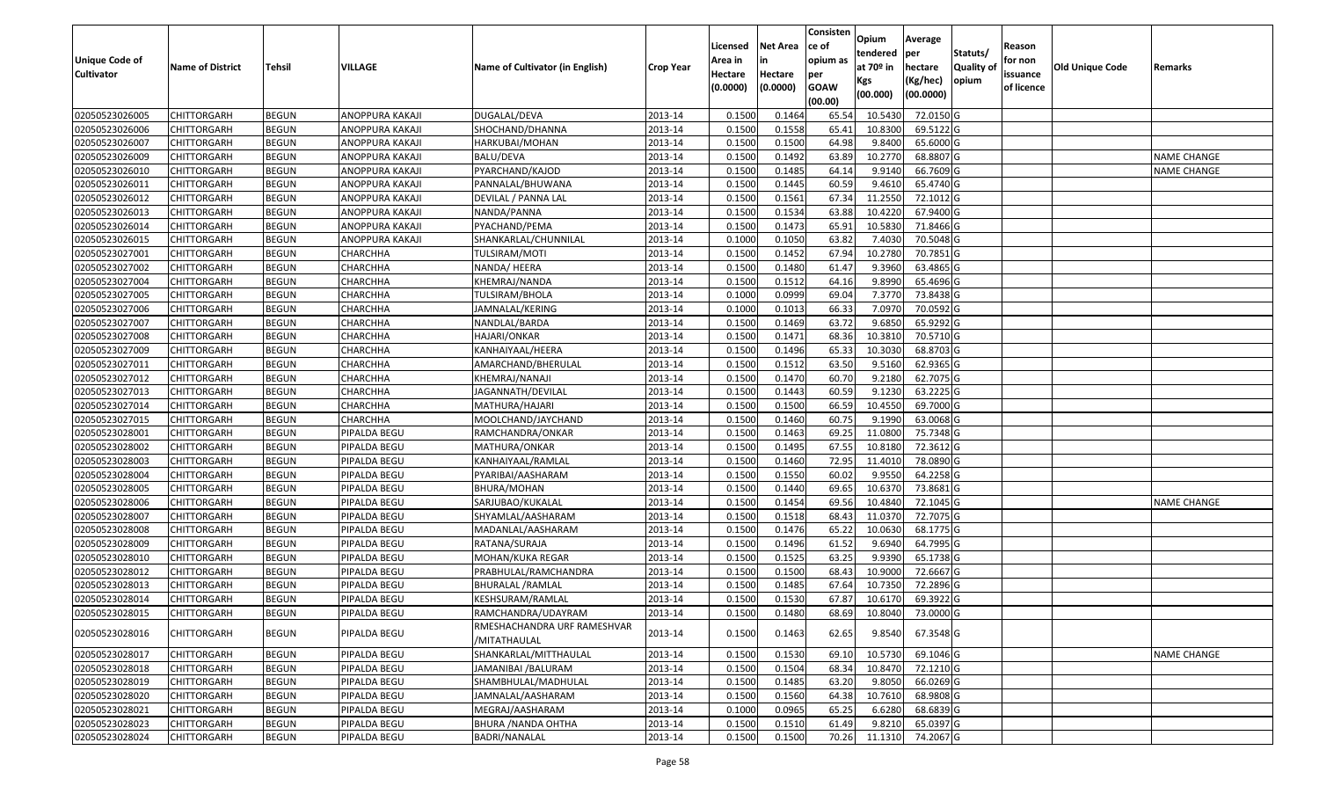| <b>Unique Code of</b><br><b>Cultivator</b> | <b>Name of District</b> | <b>Tehsil</b> | VILLAGE         | Name of Cultivator (in English)             | <b>Crop Year</b> | Licensed<br>Area in<br>Hectare<br>(0.0000) | <b>Net Area</b><br>in<br>Hectare<br>(0.0000) | Consisten<br>ce of<br>opium as<br>per<br><b>GOAW</b><br>(00.00) | Opium<br>tendered<br>at 70º in<br>Kgs<br>(00.000) | Average<br>per<br>hectare<br>(Kg/hec)<br>(00.0000) | Statuts/<br><b>Quality of</b><br>opium | Reason<br>for non<br>issuance<br>of licence | <b>Old Unique Code</b> | Remarks            |
|--------------------------------------------|-------------------------|---------------|-----------------|---------------------------------------------|------------------|--------------------------------------------|----------------------------------------------|-----------------------------------------------------------------|---------------------------------------------------|----------------------------------------------------|----------------------------------------|---------------------------------------------|------------------------|--------------------|
| 02050523026005                             | <b>CHITTORGARH</b>      | <b>BEGUN</b>  | ANOPPURA KAKAJI | DUGALAL/DEVA                                | 2013-14          | 0.1500                                     | 0.1464                                       | 65.54                                                           | 10.5430                                           | 72.0150 G                                          |                                        |                                             |                        |                    |
| 02050523026006                             | <b>CHITTORGARH</b>      | <b>BEGUN</b>  | ANOPPURA KAKAJI | SHOCHAND/DHANNA                             | 2013-14          | 0.1500                                     | 0.1558                                       | 65.41                                                           | 10.8300                                           | 69.5122 G                                          |                                        |                                             |                        |                    |
| 02050523026007                             | <b>CHITTORGARH</b>      | <b>BEGUN</b>  | ANOPPURA KAKAJI | HARKUBAI/MOHAN                              | 2013-14          | 0.1500                                     | 0.1500                                       | 64.98                                                           | 9.8400                                            | 65.6000 G                                          |                                        |                                             |                        |                    |
| 02050523026009                             | <b>CHITTORGARH</b>      | <b>BEGUN</b>  | ANOPPURA KAKAJI | <b>BALU/DEVA</b>                            | 2013-14          | 0.1500                                     | 0.1492                                       | 63.89                                                           | 10.2770                                           | 68.8807 G                                          |                                        |                                             |                        | <b>NAME CHANGE</b> |
| 02050523026010                             | <b>CHITTORGARH</b>      | <b>BEGUN</b>  | ANOPPURA KAKAJI | PYARCHAND/KAJOD                             | 2013-14          | 0.1500                                     | 0.1485                                       | 64.14                                                           | 9.9140                                            | 66.7609 G                                          |                                        |                                             |                        | <b>NAME CHANGE</b> |
| 02050523026011                             | <b>CHITTORGARH</b>      | <b>BEGUN</b>  | ANOPPURA KAKAJI | PANNALAL/BHUWANA                            | 2013-14          | 0.1500                                     | 0.1445                                       | 60.59                                                           | 9.4610                                            | 65.4740 G                                          |                                        |                                             |                        |                    |
| 02050523026012                             | <b>CHITTORGARH</b>      | <b>BEGUN</b>  | ANOPPURA KAKAJI | DEVILAL / PANNA LAL                         | 2013-14          | 0.1500                                     | 0.1561                                       | 67.34                                                           | 11.2550                                           | 72.1012 G                                          |                                        |                                             |                        |                    |
| 02050523026013                             | <b>CHITTORGARH</b>      | <b>BEGUN</b>  | ANOPPURA KAKAJI | NANDA/PANNA                                 | 2013-14          | 0.1500                                     | 0.1534                                       | 63.88                                                           | 10.4220                                           | 67.9400 G                                          |                                        |                                             |                        |                    |
| 02050523026014                             | <b>CHITTORGARH</b>      | <b>BEGUN</b>  | ANOPPURA KAKAJI | PYACHAND/PEMA                               | 2013-14          | 0.1500                                     | 0.1473                                       | 65.91                                                           | 10.5830                                           | 71.8466 G                                          |                                        |                                             |                        |                    |
| 02050523026015                             | <b>CHITTORGARH</b>      | <b>BEGUN</b>  | ANOPPURA KAKAJI | SHANKARLAL/CHUNNILAL                        | 2013-14          | 0.1000                                     | 0.1050                                       | 63.82                                                           | 7.4030                                            | 70.5048 G                                          |                                        |                                             |                        |                    |
| 02050523027001                             | <b>CHITTORGARH</b>      | <b>BEGUN</b>  | CHARCHHA        | TULSIRAM/MOTI                               | 2013-14          | 0.1500                                     | 0.1452                                       | 67.94                                                           | 10.2780                                           | 70.7851 G                                          |                                        |                                             |                        |                    |
| 02050523027002                             | <b>CHITTORGARH</b>      | <b>BEGUN</b>  | CHARCHHA        | NANDA/ HEERA                                | 2013-14          | 0.1500                                     | 0.1480                                       | 61.47                                                           | 9.3960                                            | 63.4865 G                                          |                                        |                                             |                        |                    |
| 02050523027004                             | <b>CHITTORGARH</b>      | <b>BEGUN</b>  | CHARCHHA        | KHEMRAJ/NANDA                               | 2013-14          | 0.1500                                     | 0.1512                                       | 64.16                                                           | 9.8990                                            | 65.4696 G                                          |                                        |                                             |                        |                    |
| 02050523027005                             | <b>CHITTORGARH</b>      | <b>BEGUN</b>  | CHARCHHA        | TULSIRAM/BHOLA                              | 2013-14          | 0.1000                                     | 0.0999                                       | 69.04                                                           | 7.3770                                            | 73.8438 G                                          |                                        |                                             |                        |                    |
| 02050523027006                             | <b>CHITTORGARH</b>      | <b>BEGUN</b>  | CHARCHHA        | JAMNALAL/KERING                             | 2013-14          | 0.1000                                     | 0.1013                                       | 66.33                                                           | 7.0970                                            | 70.0592 G                                          |                                        |                                             |                        |                    |
| 02050523027007                             | <b>CHITTORGARH</b>      | <b>BEGUN</b>  | CHARCHHA        | NANDLAL/BARDA                               | 2013-14          | 0.1500                                     | 0.1469                                       | 63.72                                                           | 9.6850                                            | 65.9292 G                                          |                                        |                                             |                        |                    |
| 02050523027008                             | <b>CHITTORGARH</b>      | <b>BEGUN</b>  | CHARCHHA        | HAJARI/ONKAR                                | 2013-14          | 0.1500                                     | 0.1471                                       | 68.36                                                           | 10.3810                                           | 70.5710 G                                          |                                        |                                             |                        |                    |
| 02050523027009                             | <b>CHITTORGARH</b>      | <b>BEGUN</b>  | CHARCHHA        | KANHAIYAAL/HEERA                            | 2013-14          | 0.1500                                     | 0.1496                                       | 65.33                                                           | 10.3030                                           | 68.8703 G                                          |                                        |                                             |                        |                    |
| 02050523027011                             | <b>CHITTORGARH</b>      | <b>BEGUN</b>  | CHARCHHA        | AMARCHAND/BHERULAL                          | 2013-14          | 0.1500                                     | 0.1512                                       | 63.50                                                           | 9.5160                                            | 62.9365 G                                          |                                        |                                             |                        |                    |
| 02050523027012                             | <b>CHITTORGARH</b>      | <b>BEGUN</b>  | CHARCHHA        | KHEMRAJ/NANAJI                              | 2013-14          | 0.1500                                     | 0.1470                                       | 60.70                                                           | 9.2180                                            | 62.7075 G                                          |                                        |                                             |                        |                    |
| 02050523027013                             | <b>CHITTORGARH</b>      | <b>BEGUN</b>  | CHARCHHA        | JAGANNATH/DEVILAL                           | 2013-14          | 0.1500                                     | 0.1443                                       | 60.59                                                           | 9.1230                                            | 63.2225 G                                          |                                        |                                             |                        |                    |
| 02050523027014                             | <b>CHITTORGARH</b>      | <b>BEGUN</b>  | CHARCHHA        | MATHURA/HAJARI                              | 2013-14          | 0.1500                                     | 0.1500                                       | 66.59                                                           | 10.4550                                           | 69.7000 G                                          |                                        |                                             |                        |                    |
| 02050523027015                             | <b>CHITTORGARH</b>      | <b>BEGUN</b>  | CHARCHHA        | MOOLCHAND/JAYCHAND                          | 2013-14          | 0.1500                                     | 0.1460                                       | 60.75                                                           | 9.1990                                            | 63.0068 G                                          |                                        |                                             |                        |                    |
| 02050523028001                             | <b>CHITTORGARH</b>      | <b>BEGUN</b>  | PIPALDA BEGU    | RAMCHANDRA/ONKAR                            | 2013-14          | 0.1500                                     | 0.1463                                       | 69.25                                                           | 11.0800                                           | 75.7348 G                                          |                                        |                                             |                        |                    |
| 02050523028002                             | <b>CHITTORGARH</b>      | <b>BEGUN</b>  | PIPALDA BEGU    | MATHURA/ONKAR                               | 2013-14          | 0.1500                                     | 0.1495                                       | 67.55                                                           | 10.8180                                           | 72.3612 G                                          |                                        |                                             |                        |                    |
| 02050523028003                             | <b>CHITTORGARH</b>      | <b>BEGUN</b>  | PIPALDA BEGU    | KANHAIYAAL/RAMLAL                           | 2013-14          | 0.1500                                     | 0.1460                                       | 72.95                                                           | 11.4010                                           | 78.0890 G                                          |                                        |                                             |                        |                    |
| 02050523028004                             | <b>CHITTORGARH</b>      | <b>BEGUN</b>  | PIPALDA BEGU    | PYARIBAI/AASHARAM                           | 2013-14          | 0.1500                                     | 0.1550                                       | 60.02                                                           | 9.9550                                            | 64.2258 G                                          |                                        |                                             |                        |                    |
| 02050523028005                             | <b>CHITTORGARH</b>      | <b>BEGUN</b>  | PIPALDA BEGU    | BHURA/MOHAN                                 | 2013-14          | 0.1500                                     | 0.1440                                       | 69.65                                                           | 10.6370                                           | 73.8681 G                                          |                                        |                                             |                        |                    |
| 02050523028006                             | <b>CHITTORGARH</b>      | <b>BEGUN</b>  | PIPALDA BEGU    | SARJUBAO/KUKALAL                            | 2013-14          | 0.1500                                     | 0.1454                                       | 69.56                                                           | 10.4840                                           | 72.1045 G                                          |                                        |                                             |                        | <b>NAME CHANGE</b> |
| 02050523028007                             | <b>CHITTORGARH</b>      | <b>BEGUN</b>  | PIPALDA BEGU    | SHYAMLAL/AASHARAM                           | 2013-14          | 0.1500                                     | 0.1518                                       | 68.43                                                           | 11.0370                                           | 72.7075 G                                          |                                        |                                             |                        |                    |
| 02050523028008                             | <b>CHITTORGARH</b>      | <b>BEGUN</b>  | PIPALDA BEGU    | MADANLAL/AASHARAM                           | 2013-14          | 0.1500                                     | 0.1476                                       | 65.22                                                           | 10.0630                                           | 68.1775 G                                          |                                        |                                             |                        |                    |
| 02050523028009                             | <b>CHITTORGARH</b>      | <b>BEGUN</b>  | PIPALDA BEGU    | RATANA/SURAJA                               | 2013-14          | 0.1500                                     | 0.1496                                       | 61.52                                                           | 9.6940                                            | 64.7995 G                                          |                                        |                                             |                        |                    |
| 02050523028010                             | <b>CHITTORGARH</b>      | <b>BEGUN</b>  | PIPALDA BEGU    | MOHAN/KUKA REGAR                            | 2013-14          | 0.1500                                     | 0.1525                                       | 63.25                                                           | 9.9390                                            | 65.1738 G                                          |                                        |                                             |                        |                    |
| 02050523028012                             | <b>CHITTORGARH</b>      | <b>BEGUN</b>  | PIPALDA BEGU    | PRABHULAL/RAMCHANDRA                        | 2013-14          | 0.1500                                     | 0.1500                                       | 68.43                                                           | 10.9000                                           | 72.6667 G                                          |                                        |                                             |                        |                    |
| 02050523028013                             | <b>CHITTORGARH</b>      | <b>BEGUN</b>  | PIPALDA BEGU    | <b>BHURALAL / RAMLAL</b>                    | 2013-14          | 0.1500                                     | 0.1485                                       | 67.64                                                           | 10.7350                                           | 72.2896 G                                          |                                        |                                             |                        |                    |
| 02050523028014                             | <b>CHITTORGARH</b>      | <b>BEGUN</b>  | PIPALDA BEGU    | KESHSURAM/RAMLAL                            | 2013-14          | 0.1500                                     | 0.1530                                       | 67.87                                                           | 10.6170                                           | 69.3922 G                                          |                                        |                                             |                        |                    |
| 02050523028015                             | <b>CHITTORGARH</b>      | <b>BEGUN</b>  | PIPALDA BEGU    | RAMCHANDRA/UDAYRAM                          | 2013-14          | 0.1500                                     | 0.1480                                       | 68.69                                                           | 10.8040                                           | 73.0000 G                                          |                                        |                                             |                        |                    |
| 02050523028016                             | <b>CHITTORGARH</b>      | <b>BEGUN</b>  | PIPALDA BEGU    | RMESHACHANDRA URF RAMESHVAR<br>/MITATHAULAL | 2013-14          | 0.1500                                     | 0.1463                                       | 62.65                                                           | 9.8540                                            | 67.3548 G                                          |                                        |                                             |                        |                    |
| 02050523028017                             | <b>CHITTORGARH</b>      | <b>BEGUN</b>  | PIPALDA BEGU    | SHANKARLAL/MITTHAULAL                       | 2013-14          | 0.1500                                     | 0.1530                                       | 69.10                                                           | 10.5730                                           | 69.1046 G                                          |                                        |                                             |                        | <b>NAME CHANGE</b> |
| 02050523028018                             | <b>CHITTORGARH</b>      | <b>BEGUN</b>  | PIPALDA BEGU    | JAMANIBAI /BALURAM                          | 2013-14          | 0.1500                                     | 0.1504                                       | 68.34                                                           | 10.8470                                           | 72.1210 G                                          |                                        |                                             |                        |                    |
| 02050523028019                             | <b>CHITTORGARH</b>      | <b>BEGUN</b>  | PIPALDA BEGU    | SHAMBHULAL/MADHULAL                         | 2013-14          | 0.1500                                     | 0.1485                                       | 63.20                                                           | 9.8050                                            | 66.0269 G                                          |                                        |                                             |                        |                    |
| 02050523028020                             | <b>CHITTORGARH</b>      | <b>BEGUN</b>  | PIPALDA BEGU    | JAMNALAL/AASHARAM                           | 2013-14          | 0.1500                                     | 0.1560                                       | 64.38                                                           | 10.7610                                           | 68.9808 G                                          |                                        |                                             |                        |                    |
| 02050523028021                             | <b>CHITTORGARH</b>      | <b>BEGUN</b>  | PIPALDA BEGU    | MEGRAJ/AASHARAM                             | 2013-14          | 0.1000                                     | 0.0965                                       | 65.25                                                           | 6.6280                                            | 68.6839 G                                          |                                        |                                             |                        |                    |
| 02050523028023                             | <b>CHITTORGARH</b>      | <b>BEGUN</b>  | PIPALDA BEGU    | BHURA / NANDA OHTHA                         | 2013-14          | 0.1500                                     | 0.1510                                       | 61.49                                                           | 9.8210                                            | 65.0397 G                                          |                                        |                                             |                        |                    |
| 02050523028024                             | <b>CHITTORGARH</b>      | <b>BEGUN</b>  | PIPALDA BEGU    | BADRI/NANALAL                               | 2013-14          | 0.1500                                     | 0.1500                                       | 70.26                                                           | 11.1310                                           | 74.2067 G                                          |                                        |                                             |                        |                    |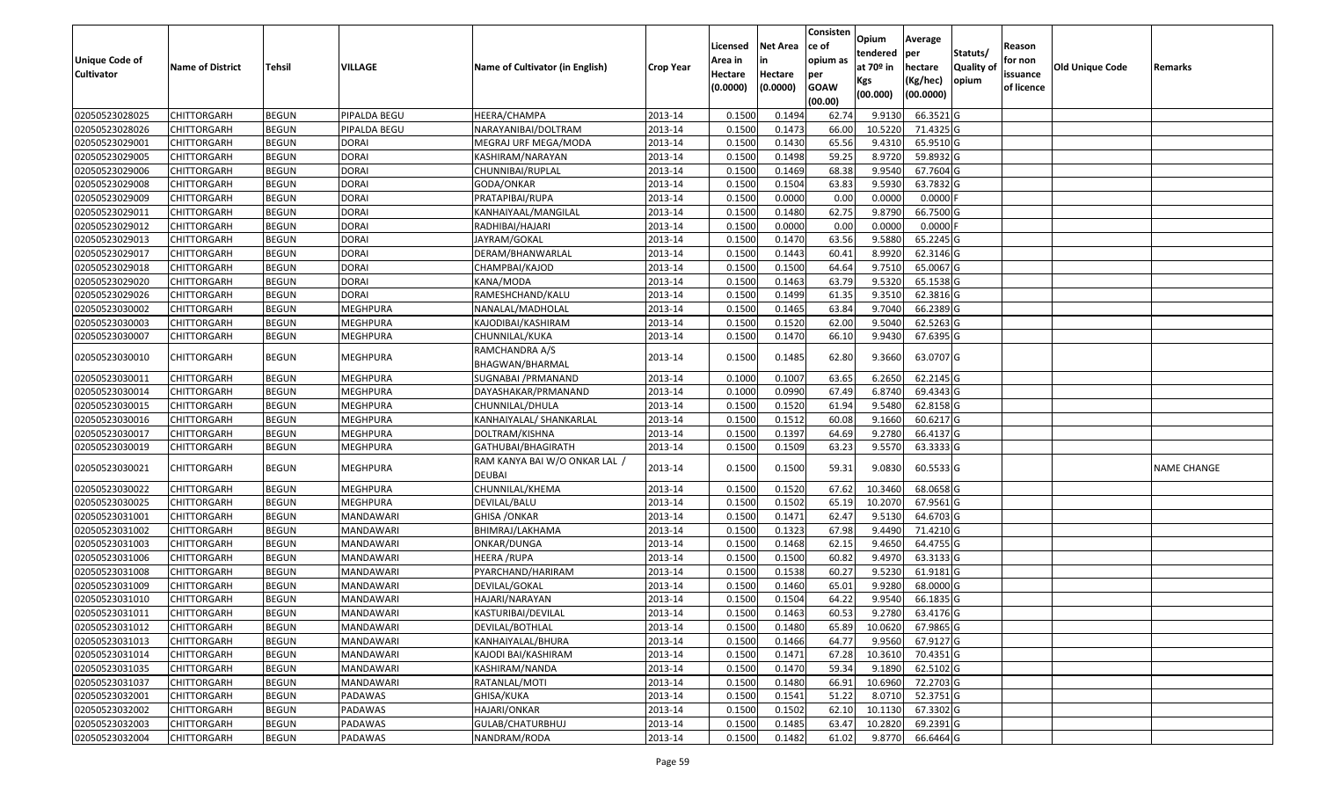|                       |                         |               |                  |                                                |                  | Licensed | <b>Net Area</b> | Consisten<br>ce of | Opium           | Average               |                           | Reason     |                        |                    |
|-----------------------|-------------------------|---------------|------------------|------------------------------------------------|------------------|----------|-----------------|--------------------|-----------------|-----------------------|---------------------------|------------|------------------------|--------------------|
| <b>Unique Code of</b> |                         |               |                  |                                                |                  | Area in  | in              | opium as           | tendered        | per                   | Statuts/                  | for non    |                        |                    |
| <b>Cultivator</b>     | <b>Name of District</b> | <b>Tehsil</b> | VILLAGE          | Name of Cultivator (in English)                | <b>Crop Year</b> | Hectare  | Hectare         | per                | at $70°$ in     | hectare               | <b>Quality o</b><br>opium | issuance   | <b>Old Unique Code</b> | Remarks            |
|                       |                         |               |                  |                                                |                  | (0.0000) | (0.0000)        | <b>GOAW</b>        | Kgs<br>(00.000) | (Kg/hec)<br>(00.0000) |                           | of licence |                        |                    |
|                       |                         |               |                  |                                                |                  |          |                 | (00.00)            |                 |                       |                           |            |                        |                    |
| 02050523028025        | CHITTORGARH             | <b>BEGUN</b>  | PIPALDA BEGU     | HEERA/CHAMPA                                   | 2013-14          | 0.1500   | 0.1494          | 62.74              | 9.913           | 66.3521G              |                           |            |                        |                    |
| 02050523028026        | CHITTORGARH             | <b>BEGUN</b>  | PIPALDA BEGU     | NARAYANIBAI/DOLTRAM                            | 2013-14          | 0.1500   | 0.1473          | 66.00              | 10.5220         | 71.4325 G             |                           |            |                        |                    |
| 02050523029001        | CHITTORGARH             | <b>BEGUN</b>  | <b>DORAI</b>     | MEGRAJ URF MEGA/MODA                           | 2013-14          | 0.1500   | 0.1430          | 65.56              | 9.431           | 65.9510 G             |                           |            |                        |                    |
| 02050523029005        | <b>CHITTORGARH</b>      | <b>BEGUN</b>  | <b>DORAI</b>     | KASHIRAM/NARAYAN                               | 2013-14          | 0.1500   | 0.1498          | 59.25              | 8.9720          | 59.8932 G             |                           |            |                        |                    |
| 02050523029006        | CHITTORGARH             | <b>BEGUN</b>  | <b>DORAI</b>     | CHUNNIBAI/RUPLAL                               | 2013-14          | 0.1500   | 0.1469          | 68.38              | 9.9540          | 67.7604 G             |                           |            |                        |                    |
| 02050523029008        | CHITTORGARH             | <b>BEGUN</b>  | <b>DORAI</b>     | GODA/ONKAR                                     | 2013-14          | 0.1500   | 0.1504          | 63.83              | 9.5930          | 63.7832 G             |                           |            |                        |                    |
| 02050523029009        | CHITTORGARH             | <b>BEGUN</b>  | <b>DORAI</b>     | PRATAPIBAI/RUPA                                | 2013-14          | 0.1500   | 0.0000          | 0.00               | 0.0000          | 0.0000                |                           |            |                        |                    |
| 02050523029011        | <b>CHITTORGARH</b>      | <b>BEGUN</b>  | <b>DORAI</b>     | KANHAIYAAL/MANGILAL                            | 2013-14          | 0.1500   | 0.1480          | 62.75              | 9.8790          | 66.7500 G             |                           |            |                        |                    |
| 02050523029012        | CHITTORGARH             | <b>BEGUN</b>  | <b>DORAI</b>     | RADHIBAI/HAJARI                                | 2013-14          | 0.1500   | 0.0000          | 0.00               | 0.0000          | $0.0000$ F            |                           |            |                        |                    |
| 02050523029013        | CHITTORGARH             | <b>BEGUN</b>  | <b>DORAI</b>     | JAYRAM/GOKAL                                   | 2013-14          | 0.1500   | 0.1470          | 63.56              | 9.5880          | 65.2245 G             |                           |            |                        |                    |
| 02050523029017        | CHITTORGARH             | <b>BEGUN</b>  | <b>DORAI</b>     | DERAM/BHANWARLAL                               | 2013-14          | 0.1500   | 0.1443          | 60.41              | 8.9920          | 62.3146 G             |                           |            |                        |                    |
| 02050523029018        | <b>CHITTORGARH</b>      | <b>BEGUN</b>  | <b>DORAI</b>     | CHAMPBAI/KAJOD                                 | 2013-14          | 0.1500   | 0.1500          | 64.64              | 9.7510          | 65.0067 G             |                           |            |                        |                    |
| 02050523029020        | <b>CHITTORGARH</b>      | <b>BEGUN</b>  | <b>DORAI</b>     | KANA/MODA                                      | 2013-14          | 0.1500   | 0.1463          | 63.79              | 9.5320          | 65.1538 G             |                           |            |                        |                    |
| 02050523029026        | CHITTORGARH             | <b>BEGUN</b>  | <b>DORAI</b>     | RAMESHCHAND/KALU                               | 2013-14          | 0.1500   | 0.1499          | 61.35              | 9.3510          | 62.3816 G             |                           |            |                        |                    |
| 02050523030002        | <b>CHITTORGARH</b>      | <b>BEGUN</b>  | <b>MEGHPURA</b>  | NANALAL/MADHOLAL                               | 2013-14          | 0.1500   | 0.1465          | 63.84              | 9.7040          | 66.2389 G             |                           |            |                        |                    |
| 02050523030003        | CHITTORGARH             | <b>BEGUN</b>  | MEGHPURA         | KAJODIBAI/KASHIRAM                             | 2013-14          | 0.1500   | 0.1520          | 62.00              | 9.5040          | 62.5263 G             |                           |            |                        |                    |
| 02050523030007        | CHITTORGARH             | <b>BEGUN</b>  | MEGHPURA         | CHUNNILAL/KUKA                                 | 2013-14          | 0.1500   | 0.1470          | 66.10              | 9.9430          | 67.6395 G             |                           |            |                        |                    |
| 02050523030010        | CHITTORGARH             | <b>BEGUN</b>  | <b>MEGHPURA</b>  | RAMCHANDRA A/S<br>BHAGWAN/BHARMAL              | 2013-14          | 0.1500   | 0.1485          | 62.80              | 9.3660          | 63.0707 G             |                           |            |                        |                    |
| 02050523030011        | CHITTORGARH             | <b>BEGUN</b>  | <b>MEGHPURA</b>  | SUGNABAI /PRMANAND                             | 2013-14          | 0.100    | 0.1007          | 63.65              | 6.2650          | 62.2145 G             |                           |            |                        |                    |
| 02050523030014        | CHITTORGARH             | <b>BEGUN</b>  | <b>MEGHPURA</b>  | DAYASHAKAR/PRMANAND                            | 2013-14          | 0.1000   | 0.0990          | 67.49              | 6.8740          | 69.4343 G             |                           |            |                        |                    |
| 02050523030015        | CHITTORGARH             | <b>BEGUN</b>  | MEGHPURA         | CHUNNILAL/DHULA                                | 2013-14          | 0.1500   | 0.1520          | 61.94              | 9.5480          | 62.8158 G             |                           |            |                        |                    |
| 02050523030016        | CHITTORGARH             | <b>BEGUN</b>  | MEGHPURA         | KANHAIYALAL/ SHANKARLAL                        | 2013-14          | 0.1500   | 0.1512          | 60.08              | 9.1660          | 60.6217 G             |                           |            |                        |                    |
| 02050523030017        | CHITTORGARH             | <b>BEGUN</b>  | MEGHPURA         | DOLTRAM/KISHNA                                 | 2013-14          | 0.1500   | 0.1397          | 64.69              | 9.2780          | 66.4137 G             |                           |            |                        |                    |
| 02050523030019        | CHITTORGARH             | <b>BEGUN</b>  | <b>MEGHPURA</b>  | GATHUBAI/BHAGIRATH                             | 2013-14          | 0.1500   | 0.1509          | 63.23              | 9.5570          | 63.3333 G             |                           |            |                        |                    |
| 02050523030021        | CHITTORGARH             | <b>BEGUN</b>  | MEGHPURA         | RAM KANYA BAI W/O ONKAR LAL /<br><b>DEUBAI</b> | 2013-14          | 0.1500   | 0.1500          | 59.31              | 9.0830          | 60.5533 G             |                           |            |                        | <b>NAME CHANGE</b> |
| 02050523030022        | <b>CHITTORGARH</b>      | <b>BEGUN</b>  | <b>MEGHPURA</b>  | CHUNNILAL/KHEMA                                | 2013-14          | 0.1500   | 0.1520          | 67.62              | 10.3460         | 68.0658 G             |                           |            |                        |                    |
| 02050523030025        | CHITTORGARH             | <b>BEGUN</b>  | <b>MEGHPURA</b>  | DEVILAL/BALU                                   | 2013-14          | 0.1500   | 0.1502          | 65.19              | 10.2070         | 67.9561 G             |                           |            |                        |                    |
| 02050523031001        | CHITTORGARH             | <b>BEGUN</b>  | MANDAWARI        | <b>GHISA / ONKAR</b>                           | 2013-14          | 0.1500   | 0.1471          | 62.47              | 9.5130          | 64.6703 G             |                           |            |                        |                    |
| 02050523031002        | CHITTORGARH             | <b>BEGUN</b>  | MANDAWARI        | BHIMRAJ/LAKHAMA                                | 2013-14          | 0.1500   | 0.1323          | 67.98              | 9.4490          | 71.4210 G             |                           |            |                        |                    |
| 02050523031003        | CHITTORGARH             | <b>BEGUN</b>  | MANDAWARI        | ONKAR/DUNGA                                    | 2013-14          | 0.1500   | 0.1468          | 62.15              | 9.4650          | 64.4755 G             |                           |            |                        |                    |
| 02050523031006        | CHITTORGARH             | <b>BEGUN</b>  | MANDAWARI        | HEERA /RUPA                                    | 2013-14          | 0.1500   | 0.1500          | 60.82              | 9.4970          | 63.3133 G             |                           |            |                        |                    |
| 02050523031008        | CHITTORGARH             | <b>BEGUN</b>  | MANDAWARI        | PYARCHAND/HARIRAM                              | 2013-14          | 0.1500   | 0.1538          | 60.27              | 9.5230          | $61.9181$ G           |                           |            |                        |                    |
| 02050523031009        | CHITTORGARH             | <b>BEGUN</b>  | MANDAWARI        | DEVILAL/GOKAL                                  | 2013-14          | 0.150    | 0.1460          | 65.01              | 9.9280          | 68.0000 G             |                           |            |                        |                    |
| 02050523031010        | CHITTORGARH             | <b>BEGUN</b>  | MANDAWARI        | HAJARI/NARAYAN                                 | 2013-14          | 0.1500   | 0.1504          | 64.22              | 9.9540          | 66.1835 G             |                           |            |                        |                    |
| 02050523031011        | <b>CHITTORGARH</b>      | <b>BEGUN</b>  | MANDAWARI        | KASTURIBAI/DEVILAL                             | 2013-14          | 0.1500   | 0.1463          | 60.53              | 9.2780          | 63.4176 G             |                           |            |                        |                    |
| 02050523031012        | <b>CHITTORGARH</b>      | <b>BEGUN</b>  | MANDAWARI        | DEVILAL/BOTHLAL                                | 2013-14          | 0.1500   | 0.1480          | 65.89              | 10.0620         | 67.9865 G             |                           |            |                        |                    |
| 02050523031013        | <b>CHITTORGARH</b>      | <b>BEGUN</b>  | MANDAWARI        | KANHAIYALAL/BHURA                              | 2013-14          | 0.1500   | 0.1466          | 64.77              | 9.9560          | 67.9127 G             |                           |            |                        |                    |
| 02050523031014        | <b>CHITTORGARH</b>      | <b>BEGUN</b>  | <b>MANDAWARI</b> | KAJODI BAI/KASHIRAM                            | 2013-14          | 0.1500   | 0.1471          | 67.28              | 10.3610         | 70.4351 G             |                           |            |                        |                    |
| 02050523031035        | <b>CHITTORGARH</b>      | <b>BEGUN</b>  | MANDAWARI        | KASHIRAM/NANDA                                 | 2013-14          | 0.1500   | 0.1470          | 59.34              | 9.1890          | 62.5102 G             |                           |            |                        |                    |
| 02050523031037        | <b>CHITTORGARH</b>      | <b>BEGUN</b>  | <b>MANDAWARI</b> | RATANLAL/MOTI                                  | 2013-14          | 0.1500   | 0.1480          | 66.91              | 10.6960         | 72.2703 G             |                           |            |                        |                    |
| 02050523032001        | <b>CHITTORGARH</b>      | <b>BEGUN</b>  | PADAWAS          | GHISA/KUKA                                     | 2013-14          | 0.1500   | 0.1541          | 51.22              | 8.0710          | 52.3751 G             |                           |            |                        |                    |
| 02050523032002        | <b>CHITTORGARH</b>      | <b>BEGUN</b>  | PADAWAS          | HAJARI/ONKAR                                   | 2013-14          | 0.1500   | 0.1502          | 62.10              | 10.1130         | 67.3302 G             |                           |            |                        |                    |
| 02050523032003        | <b>CHITTORGARH</b>      | <b>BEGUN</b>  | PADAWAS          | GULAB/CHATURBHUJ                               | 2013-14          | 0.1500   | 0.1485          | 63.47              | 10.2820         | 69.2391 G             |                           |            |                        |                    |
| 02050523032004        | <b>CHITTORGARH</b>      | <b>BEGUN</b>  | PADAWAS          | NANDRAM/RODA                                   | 2013-14          | 0.1500   | 0.1482          | 61.02              | 9.8770          | 66.6464 G             |                           |            |                        |                    |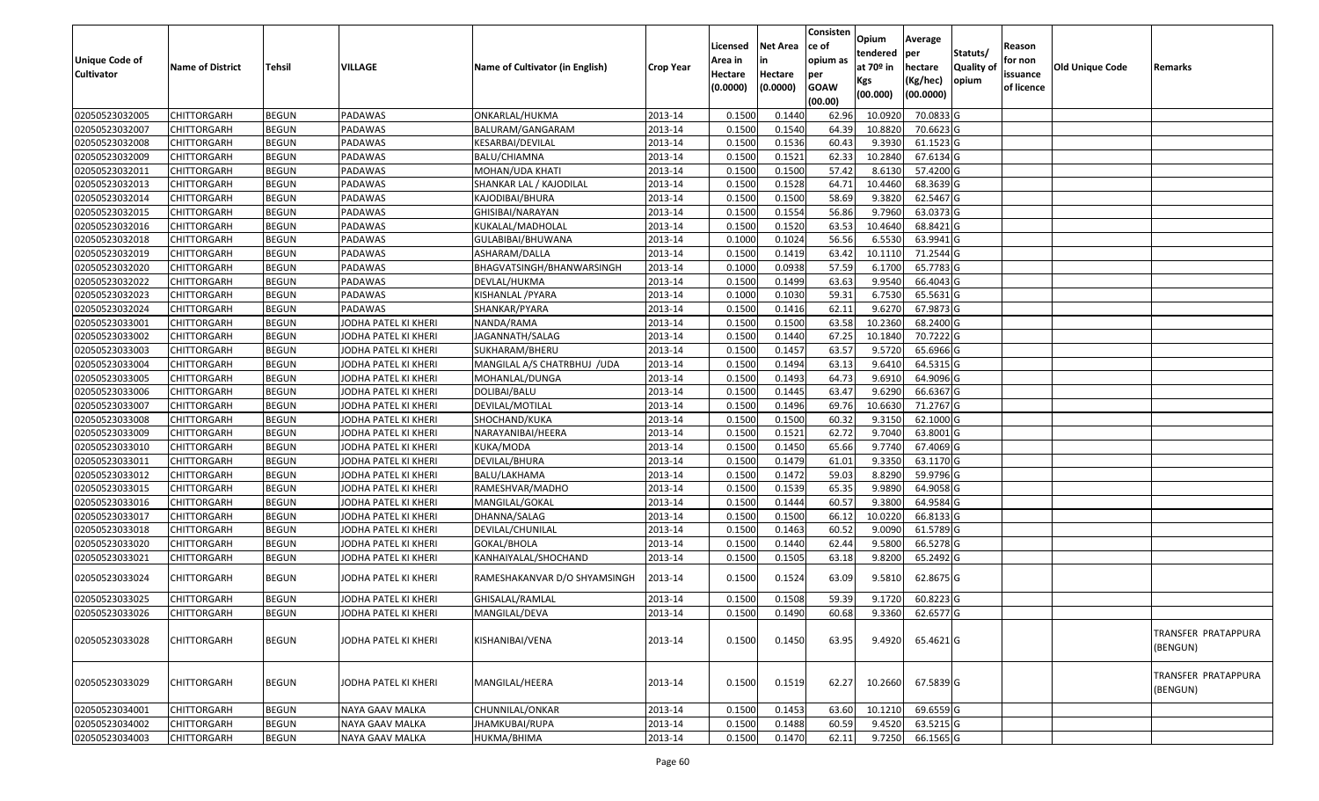|                       |                         |                              |                      |                                    |                    | Licensed         | <b>Net Area</b> | Consisten<br>ce of | Opium<br>tendered | Average<br>per         | Statuts/   | Reason     |                        |                                 |
|-----------------------|-------------------------|------------------------------|----------------------|------------------------------------|--------------------|------------------|-----------------|--------------------|-------------------|------------------------|------------|------------|------------------------|---------------------------------|
| <b>Unique Code of</b> | <b>Name of District</b> | Tehsil                       | VILLAGE              | Name of Cultivator (in English)    | <b>Crop Year</b>   | Area in          | in              | opium as           | at 70º in         | hectare                | Quality of | for non    | <b>Old Unique Code</b> | Remarks                         |
| <b>Cultivator</b>     |                         |                              |                      |                                    |                    | Hectare          | Hectare         | per                | Kgs               | (Kg/hec)               | opium      | issuance   |                        |                                 |
|                       |                         |                              |                      |                                    |                    | (0.0000)         | (0.0000)        | <b>GOAW</b>        | (00.000)          | (00.0000)              |            | of licence |                        |                                 |
| 02050523032005        | <b>CHITTORGARH</b>      |                              |                      |                                    |                    | 0.1500           | 0.1440          | (00.00)            | 10.0920           | 70.0833 G              |            |            |                        |                                 |
| 02050523032007        | <b>CHITTORGARH</b>      | <b>BEGUN</b><br><b>BEGUN</b> | PADAWAS<br>PADAWAS   | ONKARLAL/HUKMA<br>BALURAM/GANGARAM | 2013-14<br>2013-14 | 0.1500           | 0.1540          | 62.96<br>64.39     | 10.8820           | 70.6623 G              |            |            |                        |                                 |
| 02050523032008        | <b>CHITTORGARH</b>      | <b>BEGUN</b>                 | PADAWAS              | KESARBAI/DEVILAL                   | 2013-14            | 0.1500           | 0.1536          | 60.43              | 9.3930            | 61.1523 G              |            |            |                        |                                 |
| 02050523032009        | <b>CHITTORGARH</b>      | <b>BEGUN</b>                 | PADAWAS              | BALU/CHIAMNA                       | 2013-14            | 0.1500           | 0.1521          | 62.33              | 10.2840           | 67.6134 G              |            |            |                        |                                 |
| 02050523032011        | <b>CHITTORGARH</b>      | <b>BEGUN</b>                 | PADAWAS              | MOHAN/UDA KHATI                    | 2013-14            | 0.1500           | 0.1500          | 57.42              | 8.6130            | 57.4200 G              |            |            |                        |                                 |
| 02050523032013        | <b>CHITTORGARH</b>      | <b>BEGUN</b>                 | PADAWAS              | SHANKAR LAL / KAJODILAL            | 2013-14            | 0.1500           | 0.1528          | 64.71              | 10.4460           | 68.3639 G              |            |            |                        |                                 |
| 02050523032014        | CHITTORGARH             | <b>BEGUN</b>                 | PADAWAS              | KAJODIBAI/BHURA                    | 2013-14            | 0.1500           | 0.1500          | 58.69              | 9.3820            | 62.5467 G              |            |            |                        |                                 |
| 02050523032015        | <b>CHITTORGARH</b>      | <b>BEGUN</b>                 | PADAWAS              | GHISIBAI/NARAYAN                   | 2013-14            | 0.1500           | 0.1554          | 56.86              | 9.7960            | 63.0373 G              |            |            |                        |                                 |
| 02050523032016        | <b>CHITTORGARH</b>      | <b>BEGUN</b>                 | PADAWAS              | KUKALAL/MADHOLAL                   | 2013-14            | 0.1500           | 0.1520          | 63.53              | 10.4640           | 68.8421 G              |            |            |                        |                                 |
| 02050523032018        | <b>CHITTORGARH</b>      | <b>BEGUN</b>                 | PADAWAS              | GULABIBAI/BHUWANA                  | 2013-14            | 0.1000           | 0.1024          | 56.56              | 6.5530            | 63.9941 G              |            |            |                        |                                 |
| 02050523032019        | <b>CHITTORGARH</b>      | <b>BEGUN</b>                 | PADAWAS              | ASHARAM/DALLA                      | 2013-14            | 0.1500           | 0.1419          | 63.42              | 10.1110           | 71.2544 G              |            |            |                        |                                 |
| 02050523032020        | <b>CHITTORGARH</b>      | <b>BEGUN</b>                 | PADAWAS              | BHAGVATSINGH/BHANWARSINGH          | 2013-14            | 0.1000           | 0.0938          | 57.59              | 6.1700            | 65.7783 G              |            |            |                        |                                 |
| 02050523032022        | <b>CHITTORGARH</b>      | <b>BEGUN</b>                 | PADAWAS              | DEVLAL/HUKMA                       | 2013-14            | 0.1500           | 0.1499          | 63.63              | 9.9540            | 66.4043 G              |            |            |                        |                                 |
| 02050523032023        | <b>CHITTORGARH</b>      | <b>BEGUN</b>                 | PADAWAS              | KISHANLAL / PYARA                  | 2013-14            | 0.1000           | 0.1030          | 59.31              | 6.7530            | 65.5631 G              |            |            |                        |                                 |
| 02050523032024        | <b>CHITTORGARH</b>      | <b>BEGUN</b>                 | PADAWAS              |                                    | 2013-14            | 0.1500           | 0.1416          | 62.11              | 9.6270            | 67.9873 G              |            |            |                        |                                 |
| 02050523033001        | <b>CHITTORGARH</b>      | <b>BEGUN</b>                 | JODHA PATEL KI KHERI | SHANKAR/PYARA<br>NANDA/RAMA        | 2013-14            | 0.1500           | 0.1500          | 63.58              | 10.2360           | 68.2400 G              |            |            |                        |                                 |
| 02050523033002        | <b>CHITTORGARH</b>      | <b>BEGUN</b>                 | JODHA PATEL KI KHERI | JAGANNATH/SALAG                    | 2013-14            | 0.1500           | 0.1440          | 67.25              | 10.1840           | 70.7222 G              |            |            |                        |                                 |
| 02050523033003        | <b>CHITTORGARH</b>      | <b>BEGUN</b>                 | JODHA PATEL KI KHERI | SUKHARAM/BHERU                     | 2013-14            | 0.1500           | 0.1457          | 63.57              | 9.5720            | 65.6966 G              |            |            |                        |                                 |
| 02050523033004        | <b>CHITTORGARH</b>      | <b>BEGUN</b>                 | JODHA PATEL KI KHERI | MANGILAL A/S CHATRBHUJ /UDA        | 2013-14            | 0.1500           | 0.1494          | 63.13              | 9.6410            | 64.5315 G              |            |            |                        |                                 |
| 02050523033005        | <b>CHITTORGARH</b>      | <b>BEGUN</b>                 | JODHA PATEL KI KHERI | MOHANLAL/DUNGA                     | 2013-14            | 0.1500           | 0.1493          | 64.73              | 9.6910            | 64.9096 G              |            |            |                        |                                 |
| 02050523033006        | <b>CHITTORGARH</b>      | <b>BEGUN</b>                 | JODHA PATEL KI KHERI | DOLIBAI/BALU                       | 2013-14            | 0.1500           | 0.1445          | 63.47              | 9.6290            | 66.6367 G              |            |            |                        |                                 |
| 02050523033007        | <b>CHITTORGARH</b>      | <b>BEGUN</b>                 | JODHA PATEL KI KHERI | DEVILAL/MOTILAL                    | 2013-14            | 0.1500           | 0.1496          | 69.76              | 10.6630           | 71.2767 G              |            |            |                        |                                 |
| 02050523033008        | <b>CHITTORGARH</b>      | <b>BEGUN</b>                 | JODHA PATEL KI KHERI | SHOCHAND/KUKA                      | 2013-14            | 0.1500           | 0.1500          | 60.32              | 9.3150            | 62.1000 G              |            |            |                        |                                 |
| 02050523033009        |                         | <b>BEGUN</b>                 |                      |                                    | 2013-14            | 0.1500           | 0.1521          | 62.72              | 9.7040            | 63.8001 G              |            |            |                        |                                 |
|                       | <b>CHITTORGARH</b>      | <b>BEGUN</b>                 | JODHA PATEL KI KHERI | NARAYANIBAI/HEERA                  | 2013-14            |                  | 0.1450          | 65.66              | 9.7740            | 67.4069 G              |            |            |                        |                                 |
| 02050523033010        | <b>CHITTORGARH</b>      | <b>BEGUN</b>                 | JODHA PATEL KI KHERI | KUKA/MODA                          | 2013-14            | 0.1500<br>0.1500 | 0.1479          |                    | 9.3350            |                        |            |            |                        |                                 |
| 02050523033011        | <b>CHITTORGARH</b>      | <b>BEGUN</b>                 | JODHA PATEL KI KHERI | DEVILAL/BHURA                      | 2013-14            | 0.1500           | 0.1472          | 61.01<br>59.03     | 8.8290            | 63.1170 G<br>59.9796 G |            |            |                        |                                 |
| 02050523033012        | <b>CHITTORGARH</b>      |                              | JODHA PATEL KI KHERI | BALU/LAKHAMA                       |                    | 0.1500           | 0.1539          | 65.35              | 9.9890            | 64.9058 G              |            |            |                        |                                 |
| 02050523033015        | <b>CHITTORGARH</b>      | <b>BEGUN</b><br><b>BEGUN</b> | JODHA PATEL KI KHERI | RAMESHVAR/MADHO                    | 2013-14            |                  | 0.1444          | 60.57              | 9.3800            |                        |            |            |                        |                                 |
| 02050523033016        | <b>CHITTORGARH</b>      | <b>BEGUN</b>                 | JODHA PATEL KI KHERI | MANGILAL/GOKAL                     | 2013-14<br>2013-14 | 0.1500<br>0.1500 | 0.1500          | 66.12              |                   | 64.9584 G              |            |            |                        |                                 |
| 02050523033017        | <b>CHITTORGARH</b>      |                              | JODHA PATEL KI KHERI | DHANNA/SALAG                       |                    |                  |                 |                    | 10.0220           | 66.8133 G              |            |            |                        |                                 |
| 02050523033018        | <b>CHITTORGARH</b>      | <b>BEGUN</b><br><b>BEGUN</b> | JODHA PATEL KI KHERI | DEVILAL/CHUNILAL                   | 2013-14            | 0.1500<br>0.1500 | 0.1463          | 60.52              | 9.0090            | 61.5789 G<br>66.5278 G |            |            |                        |                                 |
| 02050523033020        | CHITTORGARH             |                              | JODHA PATEL KI KHERI | GOKAL/BHOLA                        | 2013-14            |                  | 0.1440          | 62.44              | 9.5800            |                        |            |            |                        |                                 |
| 02050523033021        | CHITTORGARH             | <b>BEGUN</b>                 | JODHA PATEL KI KHERI | KANHAIYALAL/SHOCHAND               | 2013-14            | 0.1500           | 0.1505          | 63.18              | 9.8200            | 65.2492 G              |            |            |                        |                                 |
| 02050523033024        | <b>CHITTORGARH</b>      | <b>BEGUN</b>                 | JODHA PATEL KI KHERI | RAMESHAKANVAR D/O SHYAMSINGH       | 2013-14            | 0.1500           | 0.1524          | 63.09              | 9.5810            | 62.8675 G              |            |            |                        |                                 |
|                       |                         |                              |                      |                                    |                    |                  |                 |                    |                   |                        |            |            |                        |                                 |
| 02050523033025        | <b>CHITTORGARH</b>      | <b>BEGUN</b>                 | JODHA PATEL KI KHERI | GHISALAL/RAMLAL                    | 2013-14            | 0.1500           | 0.1508          | 59.39              | 9.1720            | 60.8223 G              |            |            |                        |                                 |
| 02050523033026        | <b>CHITTORGARH</b>      | <b>BEGUN</b>                 | JODHA PATEL KI KHERI | MANGILAL/DEVA                      | 2013-14            | 0.1500           | 0.1490          | 60.68              | 9.3360            | 62.6577 G              |            |            |                        |                                 |
| 02050523033028        | <b>CHITTORGARH</b>      | <b>BEGUN</b>                 | JODHA PATEL KI KHERI | KISHANIBAI/VENA                    | 2013-14            | 0.1500           | 0.1450          | 63.95              | 9.4920            | 65.4621 G              |            |            |                        | TRANSFER PRATAPPURA<br>(BENGUN) |
| 02050523033029        | <b>CHITTORGARH</b>      | <b>BEGUN</b>                 | JODHA PATEL KI KHERI | MANGILAL/HEERA                     | 2013-14            | 0.1500           | 0.1519          | 62.27              | 10.2660           | 67.5839 G              |            |            |                        | TRANSFER PRATAPPURA<br>(BENGUN) |
| 02050523034001        | <b>CHITTORGARH</b>      | <b>BEGUN</b>                 | NAYA GAAV MALKA      | CHUNNILAL/ONKAR                    | 2013-14            | 0.1500           | 0.1453          | 63.60              | 10.1210           | 69.6559 G              |            |            |                        |                                 |
| 02050523034002        | <b>CHITTORGARH</b>      | <b>BEGUN</b>                 | NAYA GAAV MALKA      | JHAMKUBAI/RUPA                     | 2013-14            | 0.1500           | 0.1488          | 60.59              | 9.4520            | 63.5215 G              |            |            |                        |                                 |
| 02050523034003        | <b>CHITTORGARH</b>      | <b>BEGUN</b>                 | NAYA GAAV MALKA      | HUKMA/BHIMA                        | 2013-14            | 0.1500           | 0.1470          | 62.11              | 9.7250            | 66.1565 G              |            |            |                        |                                 |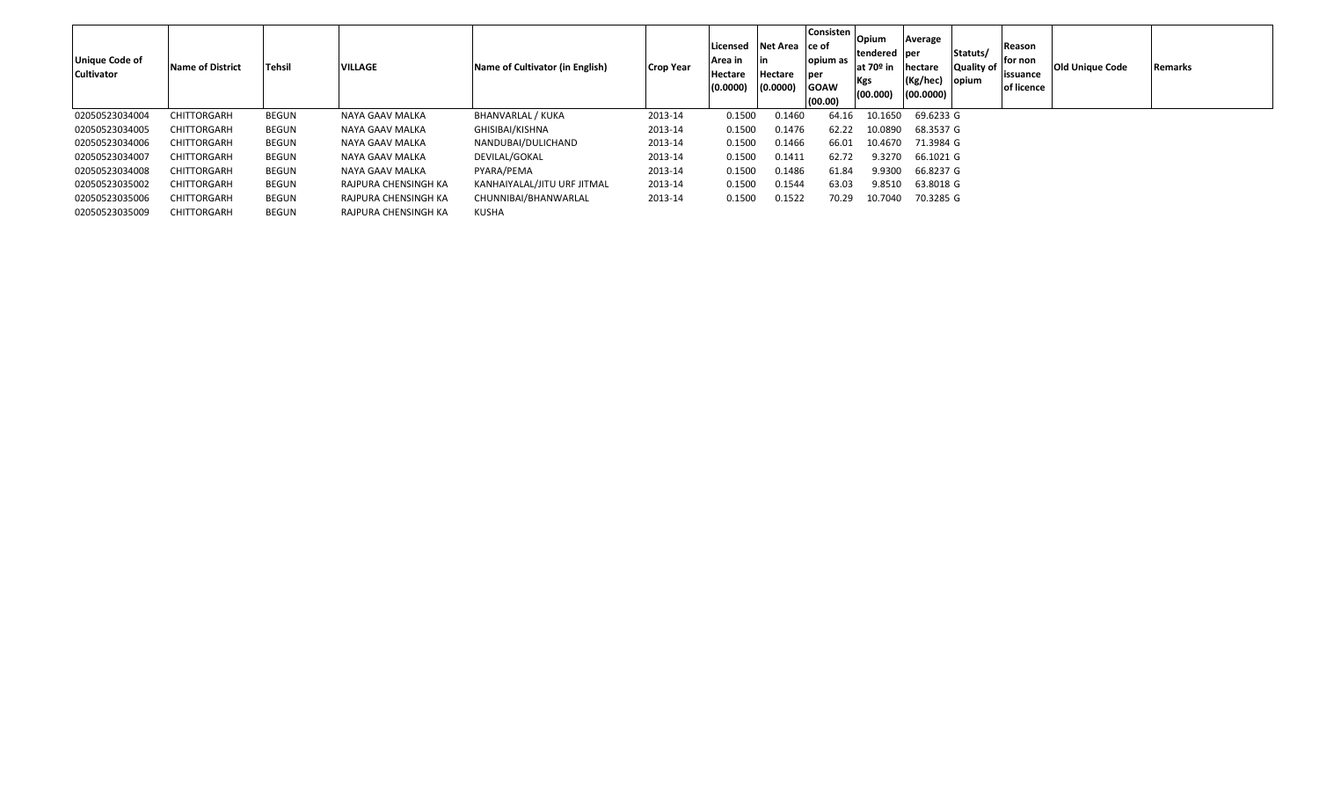| Unique Code of<br><b>Cultivator</b> | <b>Name of District</b> | <b>Tehsil</b> | <b>VILLAGE</b>       | Name of Cultivator (in English) | Crop Year | Licensed<br>Area in<br>Hectare<br>(0.0000) | Net Area ce of<br>Hectare<br>(0.0000) | Consisten<br>opium as<br>per<br><b>GOAW</b><br>(00.00) | Opium<br>tendered  per<br>at 70 <sup>o</sup> in<br>Kgs<br>(00.000) | Average<br>hectare<br>(Kg/hec)<br>(00.0000) | Statuts/<br>Quality of<br>opium | Reason<br>for non<br>issuance<br>of licence | <b>Old Unique Code</b> | <b>Remarks</b> |
|-------------------------------------|-------------------------|---------------|----------------------|---------------------------------|-----------|--------------------------------------------|---------------------------------------|--------------------------------------------------------|--------------------------------------------------------------------|---------------------------------------------|---------------------------------|---------------------------------------------|------------------------|----------------|
| 02050523034004                      | CHITTORGARH             | BEGUN         | NAYA GAAV MALKA      | BHANVARLAL / KUKA               | 2013-14   | 0.1500                                     | 0.1460                                | 64.16                                                  | 10.1650                                                            | 69.6233 G                                   |                                 |                                             |                        |                |
| 02050523034005                      | CHITTORGARH             | BEGUN         | NAYA GAAV MALKA      | GHISIBAI/KISHNA                 | 2013-14   | 0.1500                                     | 0.1476                                | 62.22                                                  | 10.0890                                                            | 68.3537 G                                   |                                 |                                             |                        |                |
| 02050523034006                      | CHITTORGARH             | BEGUN         | NAYA GAAV MALKA      | NANDUBAI/DULICHAND              | 2013-14   | 0.1500                                     | 0.1466                                | 66.01                                                  | 10.4670                                                            | 71.3984 G                                   |                                 |                                             |                        |                |
| 02050523034007                      | CHITTORGARH             | BEGUN         | NAYA GAAV MALKA      | DEVILAL/GOKAL                   | 2013-14   | 0.1500                                     | 0.1411                                | 62.72                                                  | 9.3270                                                             | 66.1021 G                                   |                                 |                                             |                        |                |
| 02050523034008                      | CHITTORGARH             | BEGUN         | NAYA GAAV MALKA      | PYARA/PEMA                      | 2013-14   | 0.1500                                     | 0.1486                                | 61.84                                                  | 9.9300                                                             | 66.8237 G                                   |                                 |                                             |                        |                |
| 02050523035002                      | CHITTORGARH             | BEGUN         | RAJPURA CHENSINGH KA | KANHAIYALAL/JITU URF JITMAL     | 2013-14   | 0.1500                                     | 0.1544                                | 63.03                                                  | 9.8510                                                             | 63.8018 G                                   |                                 |                                             |                        |                |
| 02050523035006                      | CHITTORGARH             | BEGUN         | RAJPURA CHENSINGH KA | CHUNNIBAI/BHANWARLAL            | 2013-14   | 0.1500                                     | 0.1522                                | 70.29                                                  | 10.7040                                                            | 70.3285 G                                   |                                 |                                             |                        |                |
| 02050523035009                      | CHITTORGARH             | BEGUN         | RAJPURA CHENSINGH KA | KUSHA                           |           |                                            |                                       |                                                        |                                                                    |                                             |                                 |                                             |                        |                |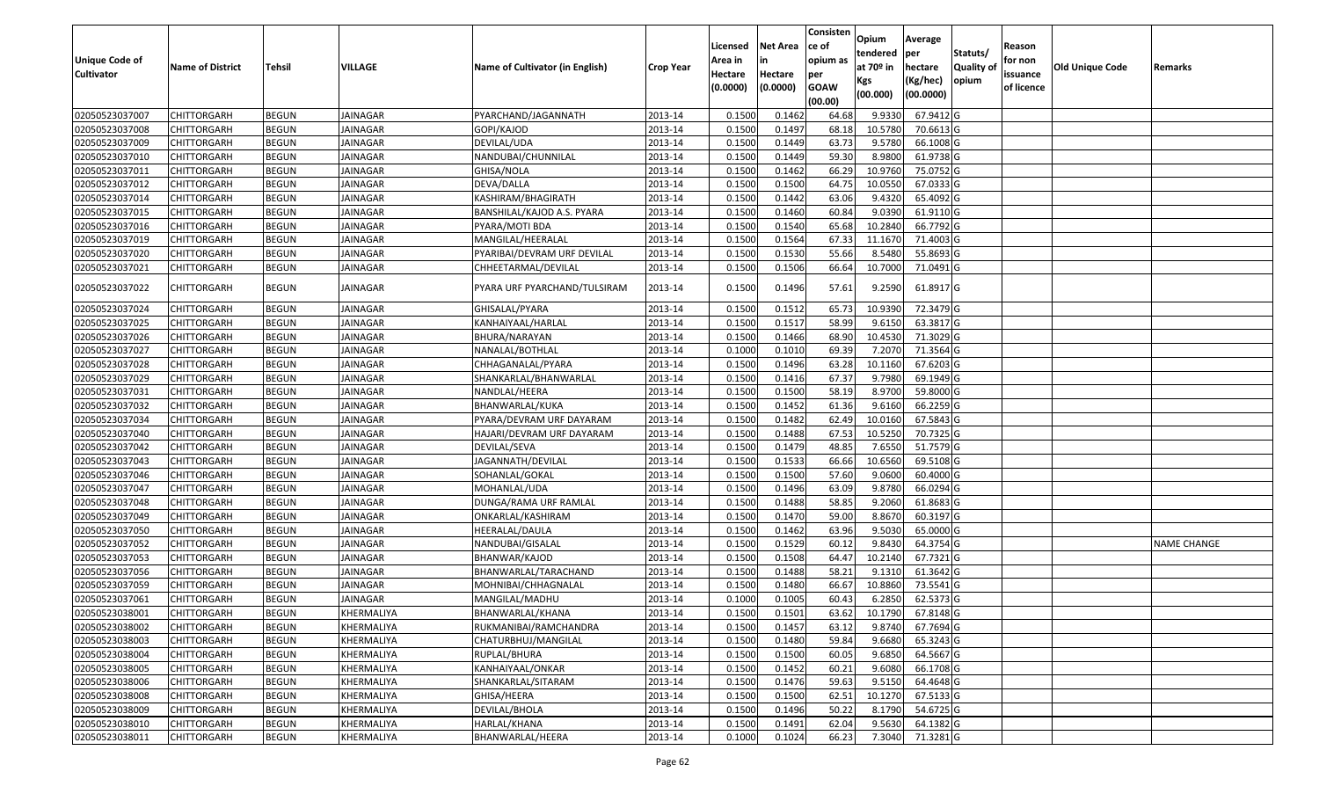|                                     |                         |               |                 |                                 |                  |                     |                     | Consisten          | Opium         | Average   |                  |                        |                        |                    |
|-------------------------------------|-------------------------|---------------|-----------------|---------------------------------|------------------|---------------------|---------------------|--------------------|---------------|-----------|------------------|------------------------|------------------------|--------------------|
|                                     |                         |               |                 |                                 |                  | Licensed            | <b>Net Area</b>     | ce of              | tendered      | per       | Statuts/         | Reason                 |                        |                    |
| Unique Code of<br><b>Cultivator</b> | <b>Name of District</b> | <b>Tehsil</b> | <b>VILLAGE</b>  | Name of Cultivator (in English) | <b>Crop Year</b> | Area in             | in                  | opium as           | at $70°$ in   | hectare   | <b>Quality o</b> | for non                | <b>Old Unique Code</b> | Remarks            |
|                                     |                         |               |                 |                                 |                  | Hectare<br>(0.0000) | Hectare<br>(0.0000) | per<br><b>GOAW</b> | Kgs           | (Kg/hec)  | opium            | issuance<br>of licence |                        |                    |
|                                     |                         |               |                 |                                 |                  |                     |                     | (00.00)            | (00.000)      | (00.0000) |                  |                        |                        |                    |
| 02050523037007                      | CHITTORGARH             | <b>BEGUN</b>  | <b>JAINAGAR</b> | PYARCHAND/JAGANNATH             | 2013-14          | 0.1500              | 0.1462              | 64.68              | 9.9330        | 67.9412 G |                  |                        |                        |                    |
| 02050523037008                      | CHITTORGARH             | <b>BEGUN</b>  | JAINAGAR        | GOPI/KAJOD                      | 2013-14          | 0.1500              | 0.1497              | 68.18              | 10.5780       | 70.6613 G |                  |                        |                        |                    |
| 02050523037009                      | CHITTORGARH             | <b>BEGUN</b>  | JAINAGAR        | DEVILAL/UDA                     | 2013-14          | 0.1500              | 0.1449              | 63.73              | 9.5780        | 66.1008 G |                  |                        |                        |                    |
| 02050523037010                      | <b>CHITTORGARH</b>      | <b>BEGUN</b>  | <b>JAINAGAR</b> | NANDUBAI/CHUNNILAL              | 2013-14          | 0.1500              | 0.1449              | 59.30              | 8.9800        | 61.9738 G |                  |                        |                        |                    |
| 02050523037011                      | CHITTORGARH             | <b>BEGUN</b>  | JAINAGAR        | GHISA/NOLA                      | 2013-14          | 0.1500              | 0.1462              | 66.29              | 10.9760       | 75.0752 G |                  |                        |                        |                    |
| 02050523037012                      | CHITTORGARH             | <b>BEGUN</b>  | <b>JAINAGAR</b> | DEVA/DALLA                      | 2013-14          | 0.1500              | 0.1500              | 64.75              | 10.0550       | 67.0333 G |                  |                        |                        |                    |
| 02050523037014                      | CHITTORGARH             | <b>BEGUN</b>  | JAINAGAR        | KASHIRAM/BHAGIRATH              | 2013-14          | 0.1500              | 0.1442              | 63.06              | 9.4320        | 65.4092 G |                  |                        |                        |                    |
| 02050523037015                      | <b>CHITTORGARH</b>      | <b>BEGUN</b>  | JAINAGAR        | BANSHILAL/KAJOD A.S. PYARA      | 2013-14          | 0.1500              | 0.1460              | 60.84              | 9.0390        | 61.9110G  |                  |                        |                        |                    |
| 02050523037016                      | CHITTORGARH             | <b>BEGUN</b>  | JAINAGAR        | PYARA/MOTI BDA                  | 2013-14          | 0.1500              | 0.1540              | 65.68              | 10.284        | 66.7792 G |                  |                        |                        |                    |
| 02050523037019                      | CHITTORGARH             | <b>BEGUN</b>  | JAINAGAR        | MANGILAL/HEERALAL               | 2013-14          | 0.1500              | 0.1564              | 67.33              | 11.1670       | 71.4003 G |                  |                        |                        |                    |
| 02050523037020                      | CHITTORGARH             | <b>BEGUN</b>  | JAINAGAR        | PYARIBAI/DEVRAM URF DEVILAL     | 2013-14          | 0.1500              | 0.1530              | 55.66              | 8.5480        | 55.8693 G |                  |                        |                        |                    |
| 02050523037021                      | CHITTORGARH             | <b>BEGUN</b>  | JAINAGAR        | CHHEETARMAL/DEVILAL             | 2013-14          | 0.1500              | 0.1506              | 66.64              | 10.7000       | 71.0491G  |                  |                        |                        |                    |
| 02050523037022                      | CHITTORGARH             | <b>BEGUN</b>  | JAINAGAR        | PYARA URF PYARCHAND/TULSIRAM    | 2013-14          | 0.1500              | 0.1496              | 57.61              | 9.2590        | 61.8917 G |                  |                        |                        |                    |
| 02050523037024                      | CHITTORGARH             | <b>BEGUN</b>  | JAINAGAR        | GHISALAL/PYARA                  | 2013-14          | 0.1500              | 0.1512              | 65.73              | 10.9390       | 72.3479 G |                  |                        |                        |                    |
| 02050523037025                      | CHITTORGARH             | <b>BEGUN</b>  | JAINAGAR        | KANHAIYAAL/HARLAL               | 2013-14          | 0.1500              | 0.1517              | 58.99              | 9.615         | 63.3817 G |                  |                        |                        |                    |
| 02050523037026                      | CHITTORGARH             | <b>BEGUN</b>  | <b>JAINAGAR</b> | BHURA/NARAYAN                   | 2013-14          | 0.1500              | 0.1466              | 68.90              | 10.4530       | 71.3029 G |                  |                        |                        |                    |
| 02050523037027                      | CHITTORGARH             | <b>BEGUN</b>  | JAINAGAR        | NANALAL/BOTHLAL                 | 2013-14          | 0.100               | 0.1010              | 69.39              | 7.2070        | 71.3564 G |                  |                        |                        |                    |
| 02050523037028                      | CHITTORGARH             | <b>BEGUN</b>  | JAINAGAR        | CHHAGANALAL/PYARA               | 2013-14          | 0.1500              | 0.1496              | 63.28              | 10.1160       | 67.6203 G |                  |                        |                        |                    |
| 02050523037029                      | CHITTORGARH             | <b>BEGUN</b>  | JAINAGAR        | SHANKARLAL/BHANWARLAL           | 2013-14          | 0.1500              | 0.1416              | 67.37              | 9.7980        | 69.1949 G |                  |                        |                        |                    |
| 02050523037031                      | CHITTORGARH             | <b>BEGUN</b>  | <b>JAINAGAR</b> | NANDLAL/HEERA                   | 2013-14          | 0.1500              | 0.1500              | 58.19              | 8.9700        | 59.8000 G |                  |                        |                        |                    |
| 02050523037032                      | CHITTORGARH             | <b>BEGUN</b>  | JAINAGAR        | BHANWARLAL/KUKA                 | 2013-14          | 0.1500              | 0.1452              | 61.36              | 9.6160        | 66.2259 G |                  |                        |                        |                    |
| 02050523037034                      | CHITTORGARH             | <b>BEGUN</b>  | <b>JAINAGAR</b> | PYARA/DEVRAM URF DAYARAM        | 2013-14          | 0.1500              | 0.1482              | 62.49              | 10.0160       | 67.5843 G |                  |                        |                        |                    |
| 02050523037040                      | CHITTORGARH             | <b>BEGUN</b>  | JAINAGAR        | HAJARI/DEVRAM URF DAYARAM       | 2013-14          | 0.1500              | 0.1488              | 67.53              | 10.5250       | 70.7325 G |                  |                        |                        |                    |
| 02050523037042                      | <b>CHITTORGARH</b>      | <b>BEGUN</b>  | <b>JAINAGAR</b> | DEVILAL/SEVA                    | 2013-14          | 0.1500              | 0.1479              | 48.85              | 7.6550        | 51.7579 G |                  |                        |                        |                    |
| 02050523037043                      | CHITTORGARH             | <b>BEGUN</b>  | JAINAGAR        | JAGANNATH/DEVILAL               | 2013-14          | 0.1500              | 0.1533              | 66.66              | 10.6560       | 69.5108 G |                  |                        |                        |                    |
| 02050523037046                      | CHITTORGARH             | <b>BEGUN</b>  | <b>JAINAGAR</b> | SOHANLAL/GOKAL                  | 2013-14          | 0.1500              | 0.1500              | 57.60              | 9.0600        | 60.4000 G |                  |                        |                        |                    |
| 02050523037047                      | CHITTORGARH             | <b>BEGUN</b>  | JAINAGAR        | MOHANLAL/UDA                    | 2013-14          | 0.1500              | 0.1496              | 63.09              | 9.8780        | 66.0294 G |                  |                        |                        |                    |
| 02050523037048                      | <b>CHITTORGARH</b>      | <b>BEGUN</b>  | JAINAGAR        | DUNGA/RAMA URF RAMLAL           | 2013-14          | 0.1500              | 0.1488              | 58.85              | 9.2060        | 61.8683 G |                  |                        |                        |                    |
| 02050523037049                      | CHITTORGARH             | <b>BEGUN</b>  | JAINAGAR        | ONKARLAL/KASHIRAM               | 2013-14          | 0.1500              | 0.1470              | 59.00              | 8.8670        | 60.3197 G |                  |                        |                        |                    |
| 02050523037050                      | CHITTORGARH             | <b>BEGUN</b>  | JAINAGAR        | HEERALAL/DAULA                  | 2013-14          | 0.1500              | 0.1462              | 63.96              | 9.5030        | 65.0000G  |                  |                        |                        |                    |
| 02050523037052                      | CHITTORGARH             | <b>BEGUN</b>  | JAINAGAR        | NANDUBAI/GISALAL                | 2013-14          | 0.1500              | 0.1529              | 60.1               | 9.8430        | 64.3754 G |                  |                        |                        | <b>NAME CHANGE</b> |
| 02050523037053                      | <b>CHITTORGARH</b>      | <b>BEGUN</b>  | JAINAGAR        | BHANWAR/KAJOD                   | 2013-14          | 0.1500              | 0.1508              | 64.47              | 10.2140       | 67.7321G  |                  |                        |                        |                    |
| 02050523037056                      | <b>CHITTORGARH</b>      | <b>BEGUN</b>  | JAINAGAR        | BHANWARLAL/TARACHAND            | 2013-14          | 0.1500              | 0.1488              | 58.21              | 9.1310        | 61.3642 G |                  |                        |                        |                    |
| 02050523037059                      | CHITTORGARH             | <b>BEGUN</b>  | JAINAGAR        | MOHNIBAI/CHHAGNALAL             | 2013-14          | 0.150               | 0.1480              | 66.67              | 10.8860       | 73.5541G  |                  |                        |                        |                    |
| 02050523037061                      | CHITTORGARH             | <b>BEGUN</b>  | JAINAGAR        | MANGILAL/MADHU                  | 2013-14          | 0.1000              | 0.1005              | 60.43              | 6.2850        | 62.5373 G |                  |                        |                        |                    |
| 02050523038001                      | <b>CHITTORGARH</b>      | <b>BEGUN</b>  | KHERMALIYA      | BHANWARLAL/KHANA                | 2013-14          | 0.1500              | 0.1501              |                    | 63.62 10.1790 | 67.8148 G |                  |                        |                        |                    |
| 02050523038002                      | <b>CHITTORGARH</b>      | <b>BEGUN</b>  | KHERMALIYA      | RUKMANIBAI/RAMCHANDRA           | 2013-14          | 0.1500              | 0.1457              | 63.12              | 9.8740        | 67.7694 G |                  |                        |                        |                    |
| 02050523038003                      | <b>CHITTORGARH</b>      | <b>BEGUN</b>  | KHERMALIYA      | CHATURBHUJ/MANGILAL             | 2013-14          | 0.1500              | 0.1480              | 59.84              | 9.6680        | 65.3243 G |                  |                        |                        |                    |
| 02050523038004                      | <b>CHITTORGARH</b>      | <b>BEGUN</b>  | KHERMALIYA      | RUPLAL/BHURA                    | 2013-14          | 0.1500              | 0.1500              | 60.05              | 9.6850        | 64.5667 G |                  |                        |                        |                    |
| 02050523038005                      | CHITTORGARH             | <b>BEGUN</b>  | KHERMALIYA      | KANHAIYAAL/ONKAR                | 2013-14          | 0.1500              | 0.1452              | 60.21              | 9.6080        | 66.1708 G |                  |                        |                        |                    |
| 02050523038006                      | <b>CHITTORGARH</b>      | <b>BEGUN</b>  | KHERMALIYA      | SHANKARLAL/SITARAM              | 2013-14          | 0.1500              | 0.1476              | 59.63              | 9.5150        | 64.4648 G |                  |                        |                        |                    |
| 02050523038008                      | <b>CHITTORGARH</b>      | <b>BEGUN</b>  | KHERMALIYA      | GHISA/HEERA                     | 2013-14          | 0.1500              | 0.1500              | 62.51              | 10.1270       | 67.5133 G |                  |                        |                        |                    |
| 02050523038009                      | CHITTORGARH             | <b>BEGUN</b>  | KHERMALIYA      | DEVILAL/BHOLA                   | 2013-14          | 0.1500              | 0.1496              | 50.22              | 8.1790        | 54.6725 G |                  |                        |                        |                    |
| 02050523038010                      | <b>CHITTORGARH</b>      | <b>BEGUN</b>  | KHERMALIYA      | HARLAL/KHANA                    | 2013-14          | 0.1500              | 0.1491              | 62.04              | 9.5630        | 64.1382 G |                  |                        |                        |                    |
| 02050523038011                      | <b>CHITTORGARH</b>      | <b>BEGUN</b>  | KHERMALIYA      | BHANWARLAL/HEERA                | 2013-14          | 0.1000              | 0.1024              | 66.23              | 7.3040        | 71.3281 G |                  |                        |                        |                    |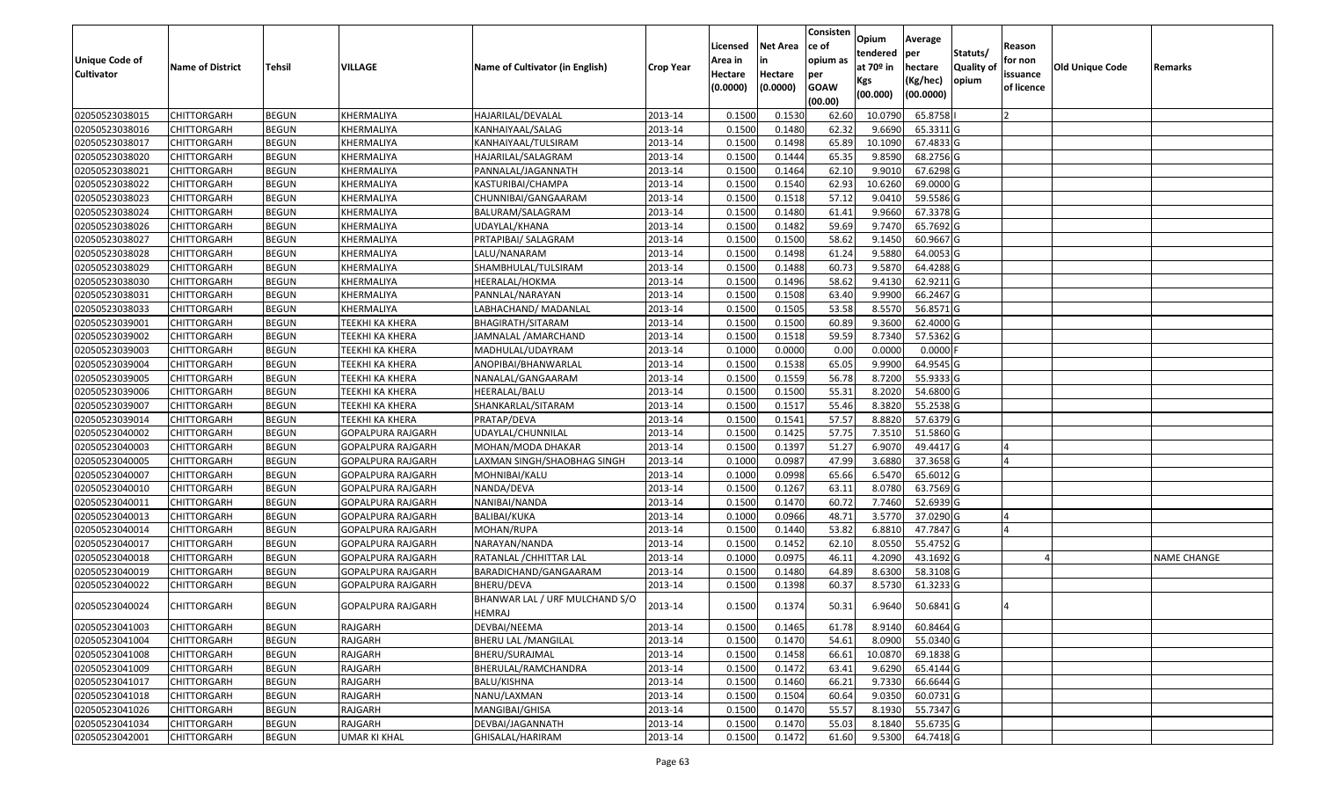| Statuts/<br>tendered<br>per<br>opium as<br>for non<br>Unique Code of<br>Area in<br>in<br>at $70°$ in<br><b>Quality o</b><br>VILLAGE<br>Name of Cultivator (in English)<br>Old Unique Code<br><b>Name of District</b><br><b>Tehsil</b><br>hectare<br><b>Crop Year</b><br>Remarks<br><b>Cultivator</b><br>Hectare<br>issuance<br>Hectare<br>per<br>opium<br>(Kg/hec)<br>Kgs<br>(0.0000)<br><b>GOAW</b><br>(0.0000)<br>of licence<br>(00.0000)<br>(00.000)<br>(00.00)<br>02050523038015<br>HAJARILAL/DEVALAL<br>0.1500<br>0.1530<br>65.8758<br>CHITTORGARH<br><b>BEGUN</b><br>KHERMALIYA<br>2013-14<br>62.60<br>10.079<br>02050523038016<br>0.1500<br>0.1480<br>62.32<br>9.6690<br>65.3311G<br>CHITTORGARH<br><b>BEGUN</b><br>KHERMALIYA<br>KANHAIYAAL/SALAG<br>2013-14<br>0.1500<br>0.1498<br>65.89<br>10.1090<br>67.4833 G<br>02050523038017<br>CHITTORGARH<br><b>BEGUN</b><br>KHERMALIYA<br>KANHAIYAAL/TULSIRAM<br>2013-14<br>02050523038020<br><b>CHITTORGARH</b><br><b>BEGUN</b><br>KHERMALIYA<br>HAJARILAL/SALAGRAM<br>2013-14<br>0.1500<br>0.1444<br>65.35<br>9.8590<br>68.2756 G<br>02050523038021<br><b>BEGUN</b><br>2013-14<br>0.1500<br>0.1464<br>62.10<br>9.901<br>67.6298 G<br>CHITTORGARH<br>KHERMALIYA<br>PANNALAL/JAGANNATH<br>02050523038022<br><b>BEGUN</b><br>KHERMALIYA<br>0.1500<br>0.1540<br>62.93<br>10.6260<br>69.0000 G<br>CHITTORGARH<br>KASTURIBAI/CHAMPA<br>2013-14<br>57.12<br><b>BEGUN</b><br>2013-14<br>0.1500<br>59.5586 G<br>02050523038023<br>KHERMALIYA<br>0.1518<br>9.0410<br>CHITTORGARH<br>CHUNNIBAI/GANGAARAM<br>67.3378 G<br>02050523038024<br>CHITTORGARH<br><b>BEGUN</b><br>KHERMALIYA<br>BALURAM/SALAGRAM<br>2013-14<br>0.1500<br>0.1480<br>61.41<br>9.9660<br>02050523038026<br>2013-14<br>0.1500<br>0.1482<br>59.69<br>9.7470<br>65.7692 G<br>CHITTORGARH<br><b>BEGUN</b><br>KHERMALIYA<br>UDAYLAL/KHANA<br>02050523038027<br><b>BEGUN</b><br>2013-14<br>0.1500<br>0.1500<br>58.62<br>9.1450<br>60.9667 G<br>CHITTORGARH<br>KHERMALIYA<br>PRTAPIBAI/ SALAGRAM<br>0.1500<br>02050523038028<br><b>BEGUN</b><br>2013-14<br>0.1498<br>61.24<br>9.5880<br>64.0053 G<br>CHITTORGARH<br>KHERMALIYA<br>LALU/NANARAM<br>02050523038029<br>CHITTORGARH<br><b>BEGUN</b><br>KHERMALIYA<br>2013-14<br>0.1500<br>0.1488<br>60.73<br>9.5870<br>64.4288 G<br>SHAMBHULAL/TULSIRAM<br>62.9211 G<br>02050523038030<br>2013-14<br>0.1500<br>0.1496<br>58.62<br>9.4130<br><b>CHITTORGARH</b><br><b>BEGUN</b><br>KHERMALIYA<br>HEERALAL/HOKMA<br>66.2467 G<br>02050523038031<br><b>BEGUN</b><br>0.1500<br>0.1508<br>9.9900<br>CHITTORGARH<br>KHERMALIYA<br>PANNLAL/NARAYAN<br>2013-14<br>63.40<br>53.58<br>8.5570<br><b>BEGUN</b><br>0.1500<br>0.1505<br>56.8571G<br>02050523038033<br>KHERMALIYA<br>LABHACHAND/ MADANLAL<br>2013-14<br>CHITTORGARH<br>0.1500<br>02050523039001<br><b>BEGUN</b><br><b>TEEKHI KA KHERA</b><br>2013-14<br>0.1500<br>60.89<br>9.3600<br>62.4000 G<br>CHITTORGARH<br>BHAGIRATH/SITARAM<br>0.1500<br>0.1518<br>59.59<br>8.7340<br>57.5362 G<br>02050523039002<br>CHITTORGARH<br><b>BEGUN</b><br><b>TEEKHI KA KHERA</b><br>JAMNALAL /AMARCHAND<br>2013-14<br>02050523039003<br><b>BEGUN</b><br>0.1000<br>0.0000<br>0.0000<br>0.0000F<br>CHITTORGARH<br>TEEKHI KA KHERA<br>MADHULAL/UDAYRAM<br>2013-14<br>0.00<br>02050523039004<br><b>BEGUN</b><br>0.1500<br>0.1538<br>65.05<br>9.9900<br>64.9545 G<br>CHITTORGARH<br>TEEKHI KA KHERA<br>ANOPIBAI/BHANWARLAL<br>2013-14<br>0.1559<br>56.78<br><b>BEGUN</b><br><b>TEEKHI KA KHERA</b><br>0.1500<br>8.7200<br>55.9333 G<br>02050523039005<br>CHITTORGARH<br>NANALAL/GANGAARAM<br>2013-14<br>0.1500<br>55.31<br>02050523039006<br>2013-14<br>0.1500<br>8.2020<br>54.6800 G<br>CHITTORGARH<br><b>BEGUN</b><br><b>TEEKHI KA KHERA</b><br>HEERALAL/BALU<br>02050523039007<br><b>BEGUN</b><br><b>TEEKHI KA KHERA</b><br>2013-14<br>0.150<br>0.1517<br>55.46<br>8.3820<br>55.2538 G<br>CHITTORGARH<br>SHANKARLAL/SITARAM<br>0.1500<br>57.57<br>8.8820<br>57.6379 G<br>02050523039014<br><b>BEGUN</b><br>0.1541<br>CHITTORGARH<br>TEEKHI KA KHERA<br>PRATAP/DEVA<br>2013-14<br>57.75<br>0.1500<br>0.1425<br>7.351<br>51.5860 G<br>02050523040002<br><b>CHITTORGARH</b><br><b>BEGUN</b><br>GOPALPURA RAJGARH<br>2013-14<br>UDAYLAL/CHUNNILAL<br>0.1397<br>6.9070<br>49.4417 G<br>02050523040003<br><b>BEGUN</b><br><b>GOPALPURA RAJGARH</b><br>MOHAN/MODA DHAKAR<br>2013-14<br>0.1500<br>51.27<br>CHITTORGARH<br>02050523040005<br>0.1000<br>0.0987<br>47.99<br>37.3658 G<br>CHITTORGARH<br><b>BEGUN</b><br>GOPALPURA RAJGARH<br>LAXMAN SINGH/SHAOBHAG SINGH<br>2013-14<br>3.6880<br>02050523040007<br><b>BEGUN</b><br>2013-14<br>0.1000<br>0.0998<br>65.66<br>6.5470<br>65.6012G<br>CHITTORGARH<br>GOPALPURA RAJGARH<br>MOHNIBAI/KALU<br>2013-14<br>0.1500<br>0.1267<br>63.1<br>63.7569 G<br>02050523040010<br>CHITTORGARH<br><b>BEGUN</b><br>GOPALPURA RAJGARH<br>8.0780<br>NANDA/DEVA<br>02050523040011<br><b>BEGUN</b><br>2013-14<br>0.1500<br>0.1470<br>60.72<br>7.7460<br>52.6939 G<br>CHITTORGARH<br>GOPALPURA RAJGARH<br>NANIBAI/NANDA<br>02050523040013<br><b>BEGUN</b><br>2013-14<br>0.1000<br>0.0966<br>48.71<br>3.5770<br>37.0290 G<br>CHITTORGARH<br>GOPALPURA RAJGARH<br><b>BALIBAI/KUKA</b><br>02050523040014<br><b>BEGUN</b><br>2013-14<br>0.1500<br>0.1440<br>53.82<br>6.881<br>47.7847 G<br>CHITTORGARH<br>GOPALPURA RAJGARH<br>MOHAN/RUPA<br><b>BEGUN</b><br>2013-14<br>0.1500<br>0.1452<br>62.10<br>8.0550<br>55.4752 G<br>02050523040017<br>CHITTORGARH<br>GOPALPURA RAJGARH<br>NARAYAN/NANDA<br>02050523040018<br>CHITTORGARH<br><b>BEGUN</b><br>2013-14<br>0.1000<br>0.0975<br>46.11<br>4.2090<br>43.1692 G<br>GOPALPURA RAJGARH<br>RATANLAL /CHHITTAR LAL<br><b>NAME CHANGE</b><br>58.3108 G<br>02050523040019<br>CHITTORGARH<br><b>BEGUN</b><br>BARADICHAND/GANGAARAM<br>2013-14<br>0.1500<br>0.1480<br>64.89<br>8.6300<br>GOPALPURA RAJGARH<br>02050523040022<br><b>BEGUN</b><br>2013-14<br>0.1500<br>0.1398<br>8.5730<br>61.3233 G<br>CHITTORGARH<br>GOPALPURA RAJGARH<br>BHERU/DEVA<br>60.37<br>BHANWAR LAL / URF MULCHAND S/O<br>0.1500<br>0.1374<br>50.31<br>6.9640<br>50.6841 G<br>02050523040024<br>CHITTORGARH<br><b>BEGUN</b><br>GOPALPURA RAJGARH<br>2013-14<br><b>HEMRAJ</b><br>60.8464 G<br>02050523041003<br>RAJGARH<br>0.1500<br>0.1465<br>61.78<br><b>CHITTORGARH</b><br><b>BEGUN</b><br>DEVBAI/NEEMA<br>2013-14<br>8.9140<br>02050523041004<br>55.0340 G<br><b>CHITTORGARH</b><br><b>BEGUN</b><br>RAJGARH<br><b>BHERU LAL /MANGILAL</b><br>2013-14<br>0.1500<br>0.1470<br>54.61<br>8.0900<br>10.0870<br>69.1838 G<br>02050523041008<br><b>BEGUN</b><br>2013-14<br>0.1500<br>0.1458<br>66.61<br><b>CHITTORGARH</b><br>RAJGARH<br>BHERU/SURAJMAL<br>0.1472<br>02050523041009<br><b>BEGUN</b><br>RAJGARH<br>2013-14<br>0.1500<br>63.41<br>9.6290<br>65.4144 G<br>CHITTORGARH<br>BHERULAL/RAMCHANDRA<br>0.1460<br>66.21<br>9.7330<br>66.6644 G<br>02050523041017<br><b>CHITTORGARH</b><br><b>BEGUN</b><br>RAJGARH<br>BALU/KISHNA<br>2013-14<br>0.1500<br>60.0731 G<br>02050523041018<br><b>CHITTORGARH</b><br><b>BEGUN</b><br>RAJGARH<br>2013-14<br>0.1500<br>0.1504<br>60.64<br>9.0350<br>NANU/LAXMAN<br>8.1930<br>55.7347 G<br>02050523041026<br><b>BEGUN</b><br>0.1500<br>0.1470<br>55.57<br>CHITTORGARH<br>RAJGARH<br>MANGIBAI/GHISA<br>2013-14<br>55.6735 G<br>RAJGARH<br>0.1500<br>0.1470<br>55.03<br>8.1840<br>02050523041034<br>CHITTORGARH<br><b>BEGUN</b><br>DEVBAI/JAGANNATH<br>2013-14<br>02050523042001<br>GHISALAL/HARIRAM<br>0.1500<br>0.1472<br>61.60<br>9.5300<br>64.7418 G<br><b>CHITTORGARH</b><br><b>BEGUN</b><br>UMAR KI KHAL<br>2013-14 |  |  |  | Licensed | <b>Net Area</b> | Consisten<br>ce of | Opium | Average | Reason |  |
|----------------------------------------------------------------------------------------------------------------------------------------------------------------------------------------------------------------------------------------------------------------------------------------------------------------------------------------------------------------------------------------------------------------------------------------------------------------------------------------------------------------------------------------------------------------------------------------------------------------------------------------------------------------------------------------------------------------------------------------------------------------------------------------------------------------------------------------------------------------------------------------------------------------------------------------------------------------------------------------------------------------------------------------------------------------------------------------------------------------------------------------------------------------------------------------------------------------------------------------------------------------------------------------------------------------------------------------------------------------------------------------------------------------------------------------------------------------------------------------------------------------------------------------------------------------------------------------------------------------------------------------------------------------------------------------------------------------------------------------------------------------------------------------------------------------------------------------------------------------------------------------------------------------------------------------------------------------------------------------------------------------------------------------------------------------------------------------------------------------------------------------------------------------------------------------------------------------------------------------------------------------------------------------------------------------------------------------------------------------------------------------------------------------------------------------------------------------------------------------------------------------------------------------------------------------------------------------------------------------------------------------------------------------------------------------------------------------------------------------------------------------------------------------------------------------------------------------------------------------------------------------------------------------------------------------------------------------------------------------------------------------------------------------------------------------------------------------------------------------------------------------------------------------------------------------------------------------------------------------------------------------------------------------------------------------------------------------------------------------------------------------------------------------------------------------------------------------------------------------------------------------------------------------------------------------------------------------------------------------------------------------------------------------------------------------------------------------------------------------------------------------------------------------------------------------------------------------------------------------------------------------------------------------------------------------------------------------------------------------------------------------------------------------------------------------------------------------------------------------------------------------------------------------------------------------------------------------------------------------------------------------------------------------------------------------------------------------------------------------------------------------------------------------------------------------------------------------------------------------------------------------------------------------------------------------------------------------------------------------------------------------------------------------------------------------------------------------------------------------------------------------------------------------------------------------------------------------------------------------------------------------------------------------------------------------------------------------------------------------------------------------------------------------------------------------------------------------------------------------------------------------------------------------------------------------------------------------------------------------------------------------------------------------------------------------------------------------------------------------------------------------------------------------------------------------------------------------------------------------------------------------------------------------------------------------------------------------------------------------------------------------------------------------------------------------------------------------------------------------------------------------------------------------------------------------------------------------------------------------------------------------------------------------------------------------------------------------------------------------------------------------------------------------------------------------------------------------------------------------------------------------------------------------------------------------------------------------------------------------------------------------------------------------------------------------------------------------------------------------------------------------------------------------------------------------------------------------------------------------------------------------------------------------------------------------------------------------------------------------------------------------------------------------------------------------------------------------------------------------------------------------------------------------------------------------------------------------------------------------------------------------------------------------------------------------------------------------------------------------------------------------------------------------------------------------------------------------------------------------------------------------------------------------------------------------------------------------------------------------------------------------------------------------------------------------------------------------------------------------------------------------------------------------------------------------------------------------------------------------------------------------------------------------------------------------------------------------|--|--|--|----------|-----------------|--------------------|-------|---------|--------|--|
|                                                                                                                                                                                                                                                                                                                                                                                                                                                                                                                                                                                                                                                                                                                                                                                                                                                                                                                                                                                                                                                                                                                                                                                                                                                                                                                                                                                                                                                                                                                                                                                                                                                                                                                                                                                                                                                                                                                                                                                                                                                                                                                                                                                                                                                                                                                                                                                                                                                                                                                                                                                                                                                                                                                                                                                                                                                                                                                                                                                                                                                                                                                                                                                                                                                                                                                                                                                                                                                                                                                                                                                                                                                                                                                                                                                                                                                                                                                                                                                                                                                                                                                                                                                                                                                                                                                                                                                                                                                                                                                                                                                                                                                                                                                                                                                                                                                                                                                                                                                                                                                                                                                                                                                                                                                                                                                                                                                                                                                                                                                                                                                                                                                                                                                                                                                                                                                                                                                                                                                                                                                                                                                                                                                                                                                                                                                                                                                                                                                                                                                                                                                                                                                                                                                                                                                                                                                                                                                                                                                                                                                                                                                                                                                                                                                                                                                                                                                                                                                                                                                                                                                        |  |  |  |          |                 |                    |       |         |        |  |
|                                                                                                                                                                                                                                                                                                                                                                                                                                                                                                                                                                                                                                                                                                                                                                                                                                                                                                                                                                                                                                                                                                                                                                                                                                                                                                                                                                                                                                                                                                                                                                                                                                                                                                                                                                                                                                                                                                                                                                                                                                                                                                                                                                                                                                                                                                                                                                                                                                                                                                                                                                                                                                                                                                                                                                                                                                                                                                                                                                                                                                                                                                                                                                                                                                                                                                                                                                                                                                                                                                                                                                                                                                                                                                                                                                                                                                                                                                                                                                                                                                                                                                                                                                                                                                                                                                                                                                                                                                                                                                                                                                                                                                                                                                                                                                                                                                                                                                                                                                                                                                                                                                                                                                                                                                                                                                                                                                                                                                                                                                                                                                                                                                                                                                                                                                                                                                                                                                                                                                                                                                                                                                                                                                                                                                                                                                                                                                                                                                                                                                                                                                                                                                                                                                                                                                                                                                                                                                                                                                                                                                                                                                                                                                                                                                                                                                                                                                                                                                                                                                                                                                                        |  |  |  |          |                 |                    |       |         |        |  |
|                                                                                                                                                                                                                                                                                                                                                                                                                                                                                                                                                                                                                                                                                                                                                                                                                                                                                                                                                                                                                                                                                                                                                                                                                                                                                                                                                                                                                                                                                                                                                                                                                                                                                                                                                                                                                                                                                                                                                                                                                                                                                                                                                                                                                                                                                                                                                                                                                                                                                                                                                                                                                                                                                                                                                                                                                                                                                                                                                                                                                                                                                                                                                                                                                                                                                                                                                                                                                                                                                                                                                                                                                                                                                                                                                                                                                                                                                                                                                                                                                                                                                                                                                                                                                                                                                                                                                                                                                                                                                                                                                                                                                                                                                                                                                                                                                                                                                                                                                                                                                                                                                                                                                                                                                                                                                                                                                                                                                                                                                                                                                                                                                                                                                                                                                                                                                                                                                                                                                                                                                                                                                                                                                                                                                                                                                                                                                                                                                                                                                                                                                                                                                                                                                                                                                                                                                                                                                                                                                                                                                                                                                                                                                                                                                                                                                                                                                                                                                                                                                                                                                                                        |  |  |  |          |                 |                    |       |         |        |  |
|                                                                                                                                                                                                                                                                                                                                                                                                                                                                                                                                                                                                                                                                                                                                                                                                                                                                                                                                                                                                                                                                                                                                                                                                                                                                                                                                                                                                                                                                                                                                                                                                                                                                                                                                                                                                                                                                                                                                                                                                                                                                                                                                                                                                                                                                                                                                                                                                                                                                                                                                                                                                                                                                                                                                                                                                                                                                                                                                                                                                                                                                                                                                                                                                                                                                                                                                                                                                                                                                                                                                                                                                                                                                                                                                                                                                                                                                                                                                                                                                                                                                                                                                                                                                                                                                                                                                                                                                                                                                                                                                                                                                                                                                                                                                                                                                                                                                                                                                                                                                                                                                                                                                                                                                                                                                                                                                                                                                                                                                                                                                                                                                                                                                                                                                                                                                                                                                                                                                                                                                                                                                                                                                                                                                                                                                                                                                                                                                                                                                                                                                                                                                                                                                                                                                                                                                                                                                                                                                                                                                                                                                                                                                                                                                                                                                                                                                                                                                                                                                                                                                                                                        |  |  |  |          |                 |                    |       |         |        |  |
|                                                                                                                                                                                                                                                                                                                                                                                                                                                                                                                                                                                                                                                                                                                                                                                                                                                                                                                                                                                                                                                                                                                                                                                                                                                                                                                                                                                                                                                                                                                                                                                                                                                                                                                                                                                                                                                                                                                                                                                                                                                                                                                                                                                                                                                                                                                                                                                                                                                                                                                                                                                                                                                                                                                                                                                                                                                                                                                                                                                                                                                                                                                                                                                                                                                                                                                                                                                                                                                                                                                                                                                                                                                                                                                                                                                                                                                                                                                                                                                                                                                                                                                                                                                                                                                                                                                                                                                                                                                                                                                                                                                                                                                                                                                                                                                                                                                                                                                                                                                                                                                                                                                                                                                                                                                                                                                                                                                                                                                                                                                                                                                                                                                                                                                                                                                                                                                                                                                                                                                                                                                                                                                                                                                                                                                                                                                                                                                                                                                                                                                                                                                                                                                                                                                                                                                                                                                                                                                                                                                                                                                                                                                                                                                                                                                                                                                                                                                                                                                                                                                                                                                        |  |  |  |          |                 |                    |       |         |        |  |
|                                                                                                                                                                                                                                                                                                                                                                                                                                                                                                                                                                                                                                                                                                                                                                                                                                                                                                                                                                                                                                                                                                                                                                                                                                                                                                                                                                                                                                                                                                                                                                                                                                                                                                                                                                                                                                                                                                                                                                                                                                                                                                                                                                                                                                                                                                                                                                                                                                                                                                                                                                                                                                                                                                                                                                                                                                                                                                                                                                                                                                                                                                                                                                                                                                                                                                                                                                                                                                                                                                                                                                                                                                                                                                                                                                                                                                                                                                                                                                                                                                                                                                                                                                                                                                                                                                                                                                                                                                                                                                                                                                                                                                                                                                                                                                                                                                                                                                                                                                                                                                                                                                                                                                                                                                                                                                                                                                                                                                                                                                                                                                                                                                                                                                                                                                                                                                                                                                                                                                                                                                                                                                                                                                                                                                                                                                                                                                                                                                                                                                                                                                                                                                                                                                                                                                                                                                                                                                                                                                                                                                                                                                                                                                                                                                                                                                                                                                                                                                                                                                                                                                                        |  |  |  |          |                 |                    |       |         |        |  |
|                                                                                                                                                                                                                                                                                                                                                                                                                                                                                                                                                                                                                                                                                                                                                                                                                                                                                                                                                                                                                                                                                                                                                                                                                                                                                                                                                                                                                                                                                                                                                                                                                                                                                                                                                                                                                                                                                                                                                                                                                                                                                                                                                                                                                                                                                                                                                                                                                                                                                                                                                                                                                                                                                                                                                                                                                                                                                                                                                                                                                                                                                                                                                                                                                                                                                                                                                                                                                                                                                                                                                                                                                                                                                                                                                                                                                                                                                                                                                                                                                                                                                                                                                                                                                                                                                                                                                                                                                                                                                                                                                                                                                                                                                                                                                                                                                                                                                                                                                                                                                                                                                                                                                                                                                                                                                                                                                                                                                                                                                                                                                                                                                                                                                                                                                                                                                                                                                                                                                                                                                                                                                                                                                                                                                                                                                                                                                                                                                                                                                                                                                                                                                                                                                                                                                                                                                                                                                                                                                                                                                                                                                                                                                                                                                                                                                                                                                                                                                                                                                                                                                                                        |  |  |  |          |                 |                    |       |         |        |  |
|                                                                                                                                                                                                                                                                                                                                                                                                                                                                                                                                                                                                                                                                                                                                                                                                                                                                                                                                                                                                                                                                                                                                                                                                                                                                                                                                                                                                                                                                                                                                                                                                                                                                                                                                                                                                                                                                                                                                                                                                                                                                                                                                                                                                                                                                                                                                                                                                                                                                                                                                                                                                                                                                                                                                                                                                                                                                                                                                                                                                                                                                                                                                                                                                                                                                                                                                                                                                                                                                                                                                                                                                                                                                                                                                                                                                                                                                                                                                                                                                                                                                                                                                                                                                                                                                                                                                                                                                                                                                                                                                                                                                                                                                                                                                                                                                                                                                                                                                                                                                                                                                                                                                                                                                                                                                                                                                                                                                                                                                                                                                                                                                                                                                                                                                                                                                                                                                                                                                                                                                                                                                                                                                                                                                                                                                                                                                                                                                                                                                                                                                                                                                                                                                                                                                                                                                                                                                                                                                                                                                                                                                                                                                                                                                                                                                                                                                                                                                                                                                                                                                                                                        |  |  |  |          |                 |                    |       |         |        |  |
|                                                                                                                                                                                                                                                                                                                                                                                                                                                                                                                                                                                                                                                                                                                                                                                                                                                                                                                                                                                                                                                                                                                                                                                                                                                                                                                                                                                                                                                                                                                                                                                                                                                                                                                                                                                                                                                                                                                                                                                                                                                                                                                                                                                                                                                                                                                                                                                                                                                                                                                                                                                                                                                                                                                                                                                                                                                                                                                                                                                                                                                                                                                                                                                                                                                                                                                                                                                                                                                                                                                                                                                                                                                                                                                                                                                                                                                                                                                                                                                                                                                                                                                                                                                                                                                                                                                                                                                                                                                                                                                                                                                                                                                                                                                                                                                                                                                                                                                                                                                                                                                                                                                                                                                                                                                                                                                                                                                                                                                                                                                                                                                                                                                                                                                                                                                                                                                                                                                                                                                                                                                                                                                                                                                                                                                                                                                                                                                                                                                                                                                                                                                                                                                                                                                                                                                                                                                                                                                                                                                                                                                                                                                                                                                                                                                                                                                                                                                                                                                                                                                                                                                        |  |  |  |          |                 |                    |       |         |        |  |
|                                                                                                                                                                                                                                                                                                                                                                                                                                                                                                                                                                                                                                                                                                                                                                                                                                                                                                                                                                                                                                                                                                                                                                                                                                                                                                                                                                                                                                                                                                                                                                                                                                                                                                                                                                                                                                                                                                                                                                                                                                                                                                                                                                                                                                                                                                                                                                                                                                                                                                                                                                                                                                                                                                                                                                                                                                                                                                                                                                                                                                                                                                                                                                                                                                                                                                                                                                                                                                                                                                                                                                                                                                                                                                                                                                                                                                                                                                                                                                                                                                                                                                                                                                                                                                                                                                                                                                                                                                                                                                                                                                                                                                                                                                                                                                                                                                                                                                                                                                                                                                                                                                                                                                                                                                                                                                                                                                                                                                                                                                                                                                                                                                                                                                                                                                                                                                                                                                                                                                                                                                                                                                                                                                                                                                                                                                                                                                                                                                                                                                                                                                                                                                                                                                                                                                                                                                                                                                                                                                                                                                                                                                                                                                                                                                                                                                                                                                                                                                                                                                                                                                                        |  |  |  |          |                 |                    |       |         |        |  |
|                                                                                                                                                                                                                                                                                                                                                                                                                                                                                                                                                                                                                                                                                                                                                                                                                                                                                                                                                                                                                                                                                                                                                                                                                                                                                                                                                                                                                                                                                                                                                                                                                                                                                                                                                                                                                                                                                                                                                                                                                                                                                                                                                                                                                                                                                                                                                                                                                                                                                                                                                                                                                                                                                                                                                                                                                                                                                                                                                                                                                                                                                                                                                                                                                                                                                                                                                                                                                                                                                                                                                                                                                                                                                                                                                                                                                                                                                                                                                                                                                                                                                                                                                                                                                                                                                                                                                                                                                                                                                                                                                                                                                                                                                                                                                                                                                                                                                                                                                                                                                                                                                                                                                                                                                                                                                                                                                                                                                                                                                                                                                                                                                                                                                                                                                                                                                                                                                                                                                                                                                                                                                                                                                                                                                                                                                                                                                                                                                                                                                                                                                                                                                                                                                                                                                                                                                                                                                                                                                                                                                                                                                                                                                                                                                                                                                                                                                                                                                                                                                                                                                                                        |  |  |  |          |                 |                    |       |         |        |  |
|                                                                                                                                                                                                                                                                                                                                                                                                                                                                                                                                                                                                                                                                                                                                                                                                                                                                                                                                                                                                                                                                                                                                                                                                                                                                                                                                                                                                                                                                                                                                                                                                                                                                                                                                                                                                                                                                                                                                                                                                                                                                                                                                                                                                                                                                                                                                                                                                                                                                                                                                                                                                                                                                                                                                                                                                                                                                                                                                                                                                                                                                                                                                                                                                                                                                                                                                                                                                                                                                                                                                                                                                                                                                                                                                                                                                                                                                                                                                                                                                                                                                                                                                                                                                                                                                                                                                                                                                                                                                                                                                                                                                                                                                                                                                                                                                                                                                                                                                                                                                                                                                                                                                                                                                                                                                                                                                                                                                                                                                                                                                                                                                                                                                                                                                                                                                                                                                                                                                                                                                                                                                                                                                                                                                                                                                                                                                                                                                                                                                                                                                                                                                                                                                                                                                                                                                                                                                                                                                                                                                                                                                                                                                                                                                                                                                                                                                                                                                                                                                                                                                                                                        |  |  |  |          |                 |                    |       |         |        |  |
|                                                                                                                                                                                                                                                                                                                                                                                                                                                                                                                                                                                                                                                                                                                                                                                                                                                                                                                                                                                                                                                                                                                                                                                                                                                                                                                                                                                                                                                                                                                                                                                                                                                                                                                                                                                                                                                                                                                                                                                                                                                                                                                                                                                                                                                                                                                                                                                                                                                                                                                                                                                                                                                                                                                                                                                                                                                                                                                                                                                                                                                                                                                                                                                                                                                                                                                                                                                                                                                                                                                                                                                                                                                                                                                                                                                                                                                                                                                                                                                                                                                                                                                                                                                                                                                                                                                                                                                                                                                                                                                                                                                                                                                                                                                                                                                                                                                                                                                                                                                                                                                                                                                                                                                                                                                                                                                                                                                                                                                                                                                                                                                                                                                                                                                                                                                                                                                                                                                                                                                                                                                                                                                                                                                                                                                                                                                                                                                                                                                                                                                                                                                                                                                                                                                                                                                                                                                                                                                                                                                                                                                                                                                                                                                                                                                                                                                                                                                                                                                                                                                                                                                        |  |  |  |          |                 |                    |       |         |        |  |
|                                                                                                                                                                                                                                                                                                                                                                                                                                                                                                                                                                                                                                                                                                                                                                                                                                                                                                                                                                                                                                                                                                                                                                                                                                                                                                                                                                                                                                                                                                                                                                                                                                                                                                                                                                                                                                                                                                                                                                                                                                                                                                                                                                                                                                                                                                                                                                                                                                                                                                                                                                                                                                                                                                                                                                                                                                                                                                                                                                                                                                                                                                                                                                                                                                                                                                                                                                                                                                                                                                                                                                                                                                                                                                                                                                                                                                                                                                                                                                                                                                                                                                                                                                                                                                                                                                                                                                                                                                                                                                                                                                                                                                                                                                                                                                                                                                                                                                                                                                                                                                                                                                                                                                                                                                                                                                                                                                                                                                                                                                                                                                                                                                                                                                                                                                                                                                                                                                                                                                                                                                                                                                                                                                                                                                                                                                                                                                                                                                                                                                                                                                                                                                                                                                                                                                                                                                                                                                                                                                                                                                                                                                                                                                                                                                                                                                                                                                                                                                                                                                                                                                                        |  |  |  |          |                 |                    |       |         |        |  |
|                                                                                                                                                                                                                                                                                                                                                                                                                                                                                                                                                                                                                                                                                                                                                                                                                                                                                                                                                                                                                                                                                                                                                                                                                                                                                                                                                                                                                                                                                                                                                                                                                                                                                                                                                                                                                                                                                                                                                                                                                                                                                                                                                                                                                                                                                                                                                                                                                                                                                                                                                                                                                                                                                                                                                                                                                                                                                                                                                                                                                                                                                                                                                                                                                                                                                                                                                                                                                                                                                                                                                                                                                                                                                                                                                                                                                                                                                                                                                                                                                                                                                                                                                                                                                                                                                                                                                                                                                                                                                                                                                                                                                                                                                                                                                                                                                                                                                                                                                                                                                                                                                                                                                                                                                                                                                                                                                                                                                                                                                                                                                                                                                                                                                                                                                                                                                                                                                                                                                                                                                                                                                                                                                                                                                                                                                                                                                                                                                                                                                                                                                                                                                                                                                                                                                                                                                                                                                                                                                                                                                                                                                                                                                                                                                                                                                                                                                                                                                                                                                                                                                                                        |  |  |  |          |                 |                    |       |         |        |  |
|                                                                                                                                                                                                                                                                                                                                                                                                                                                                                                                                                                                                                                                                                                                                                                                                                                                                                                                                                                                                                                                                                                                                                                                                                                                                                                                                                                                                                                                                                                                                                                                                                                                                                                                                                                                                                                                                                                                                                                                                                                                                                                                                                                                                                                                                                                                                                                                                                                                                                                                                                                                                                                                                                                                                                                                                                                                                                                                                                                                                                                                                                                                                                                                                                                                                                                                                                                                                                                                                                                                                                                                                                                                                                                                                                                                                                                                                                                                                                                                                                                                                                                                                                                                                                                                                                                                                                                                                                                                                                                                                                                                                                                                                                                                                                                                                                                                                                                                                                                                                                                                                                                                                                                                                                                                                                                                                                                                                                                                                                                                                                                                                                                                                                                                                                                                                                                                                                                                                                                                                                                                                                                                                                                                                                                                                                                                                                                                                                                                                                                                                                                                                                                                                                                                                                                                                                                                                                                                                                                                                                                                                                                                                                                                                                                                                                                                                                                                                                                                                                                                                                                                        |  |  |  |          |                 |                    |       |         |        |  |
|                                                                                                                                                                                                                                                                                                                                                                                                                                                                                                                                                                                                                                                                                                                                                                                                                                                                                                                                                                                                                                                                                                                                                                                                                                                                                                                                                                                                                                                                                                                                                                                                                                                                                                                                                                                                                                                                                                                                                                                                                                                                                                                                                                                                                                                                                                                                                                                                                                                                                                                                                                                                                                                                                                                                                                                                                                                                                                                                                                                                                                                                                                                                                                                                                                                                                                                                                                                                                                                                                                                                                                                                                                                                                                                                                                                                                                                                                                                                                                                                                                                                                                                                                                                                                                                                                                                                                                                                                                                                                                                                                                                                                                                                                                                                                                                                                                                                                                                                                                                                                                                                                                                                                                                                                                                                                                                                                                                                                                                                                                                                                                                                                                                                                                                                                                                                                                                                                                                                                                                                                                                                                                                                                                                                                                                                                                                                                                                                                                                                                                                                                                                                                                                                                                                                                                                                                                                                                                                                                                                                                                                                                                                                                                                                                                                                                                                                                                                                                                                                                                                                                                                        |  |  |  |          |                 |                    |       |         |        |  |
|                                                                                                                                                                                                                                                                                                                                                                                                                                                                                                                                                                                                                                                                                                                                                                                                                                                                                                                                                                                                                                                                                                                                                                                                                                                                                                                                                                                                                                                                                                                                                                                                                                                                                                                                                                                                                                                                                                                                                                                                                                                                                                                                                                                                                                                                                                                                                                                                                                                                                                                                                                                                                                                                                                                                                                                                                                                                                                                                                                                                                                                                                                                                                                                                                                                                                                                                                                                                                                                                                                                                                                                                                                                                                                                                                                                                                                                                                                                                                                                                                                                                                                                                                                                                                                                                                                                                                                                                                                                                                                                                                                                                                                                                                                                                                                                                                                                                                                                                                                                                                                                                                                                                                                                                                                                                                                                                                                                                                                                                                                                                                                                                                                                                                                                                                                                                                                                                                                                                                                                                                                                                                                                                                                                                                                                                                                                                                                                                                                                                                                                                                                                                                                                                                                                                                                                                                                                                                                                                                                                                                                                                                                                                                                                                                                                                                                                                                                                                                                                                                                                                                                                        |  |  |  |          |                 |                    |       |         |        |  |
|                                                                                                                                                                                                                                                                                                                                                                                                                                                                                                                                                                                                                                                                                                                                                                                                                                                                                                                                                                                                                                                                                                                                                                                                                                                                                                                                                                                                                                                                                                                                                                                                                                                                                                                                                                                                                                                                                                                                                                                                                                                                                                                                                                                                                                                                                                                                                                                                                                                                                                                                                                                                                                                                                                                                                                                                                                                                                                                                                                                                                                                                                                                                                                                                                                                                                                                                                                                                                                                                                                                                                                                                                                                                                                                                                                                                                                                                                                                                                                                                                                                                                                                                                                                                                                                                                                                                                                                                                                                                                                                                                                                                                                                                                                                                                                                                                                                                                                                                                                                                                                                                                                                                                                                                                                                                                                                                                                                                                                                                                                                                                                                                                                                                                                                                                                                                                                                                                                                                                                                                                                                                                                                                                                                                                                                                                                                                                                                                                                                                                                                                                                                                                                                                                                                                                                                                                                                                                                                                                                                                                                                                                                                                                                                                                                                                                                                                                                                                                                                                                                                                                                                        |  |  |  |          |                 |                    |       |         |        |  |
|                                                                                                                                                                                                                                                                                                                                                                                                                                                                                                                                                                                                                                                                                                                                                                                                                                                                                                                                                                                                                                                                                                                                                                                                                                                                                                                                                                                                                                                                                                                                                                                                                                                                                                                                                                                                                                                                                                                                                                                                                                                                                                                                                                                                                                                                                                                                                                                                                                                                                                                                                                                                                                                                                                                                                                                                                                                                                                                                                                                                                                                                                                                                                                                                                                                                                                                                                                                                                                                                                                                                                                                                                                                                                                                                                                                                                                                                                                                                                                                                                                                                                                                                                                                                                                                                                                                                                                                                                                                                                                                                                                                                                                                                                                                                                                                                                                                                                                                                                                                                                                                                                                                                                                                                                                                                                                                                                                                                                                                                                                                                                                                                                                                                                                                                                                                                                                                                                                                                                                                                                                                                                                                                                                                                                                                                                                                                                                                                                                                                                                                                                                                                                                                                                                                                                                                                                                                                                                                                                                                                                                                                                                                                                                                                                                                                                                                                                                                                                                                                                                                                                                                        |  |  |  |          |                 |                    |       |         |        |  |
|                                                                                                                                                                                                                                                                                                                                                                                                                                                                                                                                                                                                                                                                                                                                                                                                                                                                                                                                                                                                                                                                                                                                                                                                                                                                                                                                                                                                                                                                                                                                                                                                                                                                                                                                                                                                                                                                                                                                                                                                                                                                                                                                                                                                                                                                                                                                                                                                                                                                                                                                                                                                                                                                                                                                                                                                                                                                                                                                                                                                                                                                                                                                                                                                                                                                                                                                                                                                                                                                                                                                                                                                                                                                                                                                                                                                                                                                                                                                                                                                                                                                                                                                                                                                                                                                                                                                                                                                                                                                                                                                                                                                                                                                                                                                                                                                                                                                                                                                                                                                                                                                                                                                                                                                                                                                                                                                                                                                                                                                                                                                                                                                                                                                                                                                                                                                                                                                                                                                                                                                                                                                                                                                                                                                                                                                                                                                                                                                                                                                                                                                                                                                                                                                                                                                                                                                                                                                                                                                                                                                                                                                                                                                                                                                                                                                                                                                                                                                                                                                                                                                                                                        |  |  |  |          |                 |                    |       |         |        |  |
|                                                                                                                                                                                                                                                                                                                                                                                                                                                                                                                                                                                                                                                                                                                                                                                                                                                                                                                                                                                                                                                                                                                                                                                                                                                                                                                                                                                                                                                                                                                                                                                                                                                                                                                                                                                                                                                                                                                                                                                                                                                                                                                                                                                                                                                                                                                                                                                                                                                                                                                                                                                                                                                                                                                                                                                                                                                                                                                                                                                                                                                                                                                                                                                                                                                                                                                                                                                                                                                                                                                                                                                                                                                                                                                                                                                                                                                                                                                                                                                                                                                                                                                                                                                                                                                                                                                                                                                                                                                                                                                                                                                                                                                                                                                                                                                                                                                                                                                                                                                                                                                                                                                                                                                                                                                                                                                                                                                                                                                                                                                                                                                                                                                                                                                                                                                                                                                                                                                                                                                                                                                                                                                                                                                                                                                                                                                                                                                                                                                                                                                                                                                                                                                                                                                                                                                                                                                                                                                                                                                                                                                                                                                                                                                                                                                                                                                                                                                                                                                                                                                                                                                        |  |  |  |          |                 |                    |       |         |        |  |
|                                                                                                                                                                                                                                                                                                                                                                                                                                                                                                                                                                                                                                                                                                                                                                                                                                                                                                                                                                                                                                                                                                                                                                                                                                                                                                                                                                                                                                                                                                                                                                                                                                                                                                                                                                                                                                                                                                                                                                                                                                                                                                                                                                                                                                                                                                                                                                                                                                                                                                                                                                                                                                                                                                                                                                                                                                                                                                                                                                                                                                                                                                                                                                                                                                                                                                                                                                                                                                                                                                                                                                                                                                                                                                                                                                                                                                                                                                                                                                                                                                                                                                                                                                                                                                                                                                                                                                                                                                                                                                                                                                                                                                                                                                                                                                                                                                                                                                                                                                                                                                                                                                                                                                                                                                                                                                                                                                                                                                                                                                                                                                                                                                                                                                                                                                                                                                                                                                                                                                                                                                                                                                                                                                                                                                                                                                                                                                                                                                                                                                                                                                                                                                                                                                                                                                                                                                                                                                                                                                                                                                                                                                                                                                                                                                                                                                                                                                                                                                                                                                                                                                                        |  |  |  |          |                 |                    |       |         |        |  |
|                                                                                                                                                                                                                                                                                                                                                                                                                                                                                                                                                                                                                                                                                                                                                                                                                                                                                                                                                                                                                                                                                                                                                                                                                                                                                                                                                                                                                                                                                                                                                                                                                                                                                                                                                                                                                                                                                                                                                                                                                                                                                                                                                                                                                                                                                                                                                                                                                                                                                                                                                                                                                                                                                                                                                                                                                                                                                                                                                                                                                                                                                                                                                                                                                                                                                                                                                                                                                                                                                                                                                                                                                                                                                                                                                                                                                                                                                                                                                                                                                                                                                                                                                                                                                                                                                                                                                                                                                                                                                                                                                                                                                                                                                                                                                                                                                                                                                                                                                                                                                                                                                                                                                                                                                                                                                                                                                                                                                                                                                                                                                                                                                                                                                                                                                                                                                                                                                                                                                                                                                                                                                                                                                                                                                                                                                                                                                                                                                                                                                                                                                                                                                                                                                                                                                                                                                                                                                                                                                                                                                                                                                                                                                                                                                                                                                                                                                                                                                                                                                                                                                                                        |  |  |  |          |                 |                    |       |         |        |  |
|                                                                                                                                                                                                                                                                                                                                                                                                                                                                                                                                                                                                                                                                                                                                                                                                                                                                                                                                                                                                                                                                                                                                                                                                                                                                                                                                                                                                                                                                                                                                                                                                                                                                                                                                                                                                                                                                                                                                                                                                                                                                                                                                                                                                                                                                                                                                                                                                                                                                                                                                                                                                                                                                                                                                                                                                                                                                                                                                                                                                                                                                                                                                                                                                                                                                                                                                                                                                                                                                                                                                                                                                                                                                                                                                                                                                                                                                                                                                                                                                                                                                                                                                                                                                                                                                                                                                                                                                                                                                                                                                                                                                                                                                                                                                                                                                                                                                                                                                                                                                                                                                                                                                                                                                                                                                                                                                                                                                                                                                                                                                                                                                                                                                                                                                                                                                                                                                                                                                                                                                                                                                                                                                                                                                                                                                                                                                                                                                                                                                                                                                                                                                                                                                                                                                                                                                                                                                                                                                                                                                                                                                                                                                                                                                                                                                                                                                                                                                                                                                                                                                                                                        |  |  |  |          |                 |                    |       |         |        |  |
|                                                                                                                                                                                                                                                                                                                                                                                                                                                                                                                                                                                                                                                                                                                                                                                                                                                                                                                                                                                                                                                                                                                                                                                                                                                                                                                                                                                                                                                                                                                                                                                                                                                                                                                                                                                                                                                                                                                                                                                                                                                                                                                                                                                                                                                                                                                                                                                                                                                                                                                                                                                                                                                                                                                                                                                                                                                                                                                                                                                                                                                                                                                                                                                                                                                                                                                                                                                                                                                                                                                                                                                                                                                                                                                                                                                                                                                                                                                                                                                                                                                                                                                                                                                                                                                                                                                                                                                                                                                                                                                                                                                                                                                                                                                                                                                                                                                                                                                                                                                                                                                                                                                                                                                                                                                                                                                                                                                                                                                                                                                                                                                                                                                                                                                                                                                                                                                                                                                                                                                                                                                                                                                                                                                                                                                                                                                                                                                                                                                                                                                                                                                                                                                                                                                                                                                                                                                                                                                                                                                                                                                                                                                                                                                                                                                                                                                                                                                                                                                                                                                                                                                        |  |  |  |          |                 |                    |       |         |        |  |
|                                                                                                                                                                                                                                                                                                                                                                                                                                                                                                                                                                                                                                                                                                                                                                                                                                                                                                                                                                                                                                                                                                                                                                                                                                                                                                                                                                                                                                                                                                                                                                                                                                                                                                                                                                                                                                                                                                                                                                                                                                                                                                                                                                                                                                                                                                                                                                                                                                                                                                                                                                                                                                                                                                                                                                                                                                                                                                                                                                                                                                                                                                                                                                                                                                                                                                                                                                                                                                                                                                                                                                                                                                                                                                                                                                                                                                                                                                                                                                                                                                                                                                                                                                                                                                                                                                                                                                                                                                                                                                                                                                                                                                                                                                                                                                                                                                                                                                                                                                                                                                                                                                                                                                                                                                                                                                                                                                                                                                                                                                                                                                                                                                                                                                                                                                                                                                                                                                                                                                                                                                                                                                                                                                                                                                                                                                                                                                                                                                                                                                                                                                                                                                                                                                                                                                                                                                                                                                                                                                                                                                                                                                                                                                                                                                                                                                                                                                                                                                                                                                                                                                                        |  |  |  |          |                 |                    |       |         |        |  |
|                                                                                                                                                                                                                                                                                                                                                                                                                                                                                                                                                                                                                                                                                                                                                                                                                                                                                                                                                                                                                                                                                                                                                                                                                                                                                                                                                                                                                                                                                                                                                                                                                                                                                                                                                                                                                                                                                                                                                                                                                                                                                                                                                                                                                                                                                                                                                                                                                                                                                                                                                                                                                                                                                                                                                                                                                                                                                                                                                                                                                                                                                                                                                                                                                                                                                                                                                                                                                                                                                                                                                                                                                                                                                                                                                                                                                                                                                                                                                                                                                                                                                                                                                                                                                                                                                                                                                                                                                                                                                                                                                                                                                                                                                                                                                                                                                                                                                                                                                                                                                                                                                                                                                                                                                                                                                                                                                                                                                                                                                                                                                                                                                                                                                                                                                                                                                                                                                                                                                                                                                                                                                                                                                                                                                                                                                                                                                                                                                                                                                                                                                                                                                                                                                                                                                                                                                                                                                                                                                                                                                                                                                                                                                                                                                                                                                                                                                                                                                                                                                                                                                                                        |  |  |  |          |                 |                    |       |         |        |  |
|                                                                                                                                                                                                                                                                                                                                                                                                                                                                                                                                                                                                                                                                                                                                                                                                                                                                                                                                                                                                                                                                                                                                                                                                                                                                                                                                                                                                                                                                                                                                                                                                                                                                                                                                                                                                                                                                                                                                                                                                                                                                                                                                                                                                                                                                                                                                                                                                                                                                                                                                                                                                                                                                                                                                                                                                                                                                                                                                                                                                                                                                                                                                                                                                                                                                                                                                                                                                                                                                                                                                                                                                                                                                                                                                                                                                                                                                                                                                                                                                                                                                                                                                                                                                                                                                                                                                                                                                                                                                                                                                                                                                                                                                                                                                                                                                                                                                                                                                                                                                                                                                                                                                                                                                                                                                                                                                                                                                                                                                                                                                                                                                                                                                                                                                                                                                                                                                                                                                                                                                                                                                                                                                                                                                                                                                                                                                                                                                                                                                                                                                                                                                                                                                                                                                                                                                                                                                                                                                                                                                                                                                                                                                                                                                                                                                                                                                                                                                                                                                                                                                                                                        |  |  |  |          |                 |                    |       |         |        |  |
|                                                                                                                                                                                                                                                                                                                                                                                                                                                                                                                                                                                                                                                                                                                                                                                                                                                                                                                                                                                                                                                                                                                                                                                                                                                                                                                                                                                                                                                                                                                                                                                                                                                                                                                                                                                                                                                                                                                                                                                                                                                                                                                                                                                                                                                                                                                                                                                                                                                                                                                                                                                                                                                                                                                                                                                                                                                                                                                                                                                                                                                                                                                                                                                                                                                                                                                                                                                                                                                                                                                                                                                                                                                                                                                                                                                                                                                                                                                                                                                                                                                                                                                                                                                                                                                                                                                                                                                                                                                                                                                                                                                                                                                                                                                                                                                                                                                                                                                                                                                                                                                                                                                                                                                                                                                                                                                                                                                                                                                                                                                                                                                                                                                                                                                                                                                                                                                                                                                                                                                                                                                                                                                                                                                                                                                                                                                                                                                                                                                                                                                                                                                                                                                                                                                                                                                                                                                                                                                                                                                                                                                                                                                                                                                                                                                                                                                                                                                                                                                                                                                                                                                        |  |  |  |          |                 |                    |       |         |        |  |
|                                                                                                                                                                                                                                                                                                                                                                                                                                                                                                                                                                                                                                                                                                                                                                                                                                                                                                                                                                                                                                                                                                                                                                                                                                                                                                                                                                                                                                                                                                                                                                                                                                                                                                                                                                                                                                                                                                                                                                                                                                                                                                                                                                                                                                                                                                                                                                                                                                                                                                                                                                                                                                                                                                                                                                                                                                                                                                                                                                                                                                                                                                                                                                                                                                                                                                                                                                                                                                                                                                                                                                                                                                                                                                                                                                                                                                                                                                                                                                                                                                                                                                                                                                                                                                                                                                                                                                                                                                                                                                                                                                                                                                                                                                                                                                                                                                                                                                                                                                                                                                                                                                                                                                                                                                                                                                                                                                                                                                                                                                                                                                                                                                                                                                                                                                                                                                                                                                                                                                                                                                                                                                                                                                                                                                                                                                                                                                                                                                                                                                                                                                                                                                                                                                                                                                                                                                                                                                                                                                                                                                                                                                                                                                                                                                                                                                                                                                                                                                                                                                                                                                                        |  |  |  |          |                 |                    |       |         |        |  |
|                                                                                                                                                                                                                                                                                                                                                                                                                                                                                                                                                                                                                                                                                                                                                                                                                                                                                                                                                                                                                                                                                                                                                                                                                                                                                                                                                                                                                                                                                                                                                                                                                                                                                                                                                                                                                                                                                                                                                                                                                                                                                                                                                                                                                                                                                                                                                                                                                                                                                                                                                                                                                                                                                                                                                                                                                                                                                                                                                                                                                                                                                                                                                                                                                                                                                                                                                                                                                                                                                                                                                                                                                                                                                                                                                                                                                                                                                                                                                                                                                                                                                                                                                                                                                                                                                                                                                                                                                                                                                                                                                                                                                                                                                                                                                                                                                                                                                                                                                                                                                                                                                                                                                                                                                                                                                                                                                                                                                                                                                                                                                                                                                                                                                                                                                                                                                                                                                                                                                                                                                                                                                                                                                                                                                                                                                                                                                                                                                                                                                                                                                                                                                                                                                                                                                                                                                                                                                                                                                                                                                                                                                                                                                                                                                                                                                                                                                                                                                                                                                                                                                                                        |  |  |  |          |                 |                    |       |         |        |  |
|                                                                                                                                                                                                                                                                                                                                                                                                                                                                                                                                                                                                                                                                                                                                                                                                                                                                                                                                                                                                                                                                                                                                                                                                                                                                                                                                                                                                                                                                                                                                                                                                                                                                                                                                                                                                                                                                                                                                                                                                                                                                                                                                                                                                                                                                                                                                                                                                                                                                                                                                                                                                                                                                                                                                                                                                                                                                                                                                                                                                                                                                                                                                                                                                                                                                                                                                                                                                                                                                                                                                                                                                                                                                                                                                                                                                                                                                                                                                                                                                                                                                                                                                                                                                                                                                                                                                                                                                                                                                                                                                                                                                                                                                                                                                                                                                                                                                                                                                                                                                                                                                                                                                                                                                                                                                                                                                                                                                                                                                                                                                                                                                                                                                                                                                                                                                                                                                                                                                                                                                                                                                                                                                                                                                                                                                                                                                                                                                                                                                                                                                                                                                                                                                                                                                                                                                                                                                                                                                                                                                                                                                                                                                                                                                                                                                                                                                                                                                                                                                                                                                                                                        |  |  |  |          |                 |                    |       |         |        |  |
|                                                                                                                                                                                                                                                                                                                                                                                                                                                                                                                                                                                                                                                                                                                                                                                                                                                                                                                                                                                                                                                                                                                                                                                                                                                                                                                                                                                                                                                                                                                                                                                                                                                                                                                                                                                                                                                                                                                                                                                                                                                                                                                                                                                                                                                                                                                                                                                                                                                                                                                                                                                                                                                                                                                                                                                                                                                                                                                                                                                                                                                                                                                                                                                                                                                                                                                                                                                                                                                                                                                                                                                                                                                                                                                                                                                                                                                                                                                                                                                                                                                                                                                                                                                                                                                                                                                                                                                                                                                                                                                                                                                                                                                                                                                                                                                                                                                                                                                                                                                                                                                                                                                                                                                                                                                                                                                                                                                                                                                                                                                                                                                                                                                                                                                                                                                                                                                                                                                                                                                                                                                                                                                                                                                                                                                                                                                                                                                                                                                                                                                                                                                                                                                                                                                                                                                                                                                                                                                                                                                                                                                                                                                                                                                                                                                                                                                                                                                                                                                                                                                                                                                        |  |  |  |          |                 |                    |       |         |        |  |
|                                                                                                                                                                                                                                                                                                                                                                                                                                                                                                                                                                                                                                                                                                                                                                                                                                                                                                                                                                                                                                                                                                                                                                                                                                                                                                                                                                                                                                                                                                                                                                                                                                                                                                                                                                                                                                                                                                                                                                                                                                                                                                                                                                                                                                                                                                                                                                                                                                                                                                                                                                                                                                                                                                                                                                                                                                                                                                                                                                                                                                                                                                                                                                                                                                                                                                                                                                                                                                                                                                                                                                                                                                                                                                                                                                                                                                                                                                                                                                                                                                                                                                                                                                                                                                                                                                                                                                                                                                                                                                                                                                                                                                                                                                                                                                                                                                                                                                                                                                                                                                                                                                                                                                                                                                                                                                                                                                                                                                                                                                                                                                                                                                                                                                                                                                                                                                                                                                                                                                                                                                                                                                                                                                                                                                                                                                                                                                                                                                                                                                                                                                                                                                                                                                                                                                                                                                                                                                                                                                                                                                                                                                                                                                                                                                                                                                                                                                                                                                                                                                                                                                                        |  |  |  |          |                 |                    |       |         |        |  |
|                                                                                                                                                                                                                                                                                                                                                                                                                                                                                                                                                                                                                                                                                                                                                                                                                                                                                                                                                                                                                                                                                                                                                                                                                                                                                                                                                                                                                                                                                                                                                                                                                                                                                                                                                                                                                                                                                                                                                                                                                                                                                                                                                                                                                                                                                                                                                                                                                                                                                                                                                                                                                                                                                                                                                                                                                                                                                                                                                                                                                                                                                                                                                                                                                                                                                                                                                                                                                                                                                                                                                                                                                                                                                                                                                                                                                                                                                                                                                                                                                                                                                                                                                                                                                                                                                                                                                                                                                                                                                                                                                                                                                                                                                                                                                                                                                                                                                                                                                                                                                                                                                                                                                                                                                                                                                                                                                                                                                                                                                                                                                                                                                                                                                                                                                                                                                                                                                                                                                                                                                                                                                                                                                                                                                                                                                                                                                                                                                                                                                                                                                                                                                                                                                                                                                                                                                                                                                                                                                                                                                                                                                                                                                                                                                                                                                                                                                                                                                                                                                                                                                                                        |  |  |  |          |                 |                    |       |         |        |  |
|                                                                                                                                                                                                                                                                                                                                                                                                                                                                                                                                                                                                                                                                                                                                                                                                                                                                                                                                                                                                                                                                                                                                                                                                                                                                                                                                                                                                                                                                                                                                                                                                                                                                                                                                                                                                                                                                                                                                                                                                                                                                                                                                                                                                                                                                                                                                                                                                                                                                                                                                                                                                                                                                                                                                                                                                                                                                                                                                                                                                                                                                                                                                                                                                                                                                                                                                                                                                                                                                                                                                                                                                                                                                                                                                                                                                                                                                                                                                                                                                                                                                                                                                                                                                                                                                                                                                                                                                                                                                                                                                                                                                                                                                                                                                                                                                                                                                                                                                                                                                                                                                                                                                                                                                                                                                                                                                                                                                                                                                                                                                                                                                                                                                                                                                                                                                                                                                                                                                                                                                                                                                                                                                                                                                                                                                                                                                                                                                                                                                                                                                                                                                                                                                                                                                                                                                                                                                                                                                                                                                                                                                                                                                                                                                                                                                                                                                                                                                                                                                                                                                                                                        |  |  |  |          |                 |                    |       |         |        |  |
|                                                                                                                                                                                                                                                                                                                                                                                                                                                                                                                                                                                                                                                                                                                                                                                                                                                                                                                                                                                                                                                                                                                                                                                                                                                                                                                                                                                                                                                                                                                                                                                                                                                                                                                                                                                                                                                                                                                                                                                                                                                                                                                                                                                                                                                                                                                                                                                                                                                                                                                                                                                                                                                                                                                                                                                                                                                                                                                                                                                                                                                                                                                                                                                                                                                                                                                                                                                                                                                                                                                                                                                                                                                                                                                                                                                                                                                                                                                                                                                                                                                                                                                                                                                                                                                                                                                                                                                                                                                                                                                                                                                                                                                                                                                                                                                                                                                                                                                                                                                                                                                                                                                                                                                                                                                                                                                                                                                                                                                                                                                                                                                                                                                                                                                                                                                                                                                                                                                                                                                                                                                                                                                                                                                                                                                                                                                                                                                                                                                                                                                                                                                                                                                                                                                                                                                                                                                                                                                                                                                                                                                                                                                                                                                                                                                                                                                                                                                                                                                                                                                                                                                        |  |  |  |          |                 |                    |       |         |        |  |
|                                                                                                                                                                                                                                                                                                                                                                                                                                                                                                                                                                                                                                                                                                                                                                                                                                                                                                                                                                                                                                                                                                                                                                                                                                                                                                                                                                                                                                                                                                                                                                                                                                                                                                                                                                                                                                                                                                                                                                                                                                                                                                                                                                                                                                                                                                                                                                                                                                                                                                                                                                                                                                                                                                                                                                                                                                                                                                                                                                                                                                                                                                                                                                                                                                                                                                                                                                                                                                                                                                                                                                                                                                                                                                                                                                                                                                                                                                                                                                                                                                                                                                                                                                                                                                                                                                                                                                                                                                                                                                                                                                                                                                                                                                                                                                                                                                                                                                                                                                                                                                                                                                                                                                                                                                                                                                                                                                                                                                                                                                                                                                                                                                                                                                                                                                                                                                                                                                                                                                                                                                                                                                                                                                                                                                                                                                                                                                                                                                                                                                                                                                                                                                                                                                                                                                                                                                                                                                                                                                                                                                                                                                                                                                                                                                                                                                                                                                                                                                                                                                                                                                                        |  |  |  |          |                 |                    |       |         |        |  |
|                                                                                                                                                                                                                                                                                                                                                                                                                                                                                                                                                                                                                                                                                                                                                                                                                                                                                                                                                                                                                                                                                                                                                                                                                                                                                                                                                                                                                                                                                                                                                                                                                                                                                                                                                                                                                                                                                                                                                                                                                                                                                                                                                                                                                                                                                                                                                                                                                                                                                                                                                                                                                                                                                                                                                                                                                                                                                                                                                                                                                                                                                                                                                                                                                                                                                                                                                                                                                                                                                                                                                                                                                                                                                                                                                                                                                                                                                                                                                                                                                                                                                                                                                                                                                                                                                                                                                                                                                                                                                                                                                                                                                                                                                                                                                                                                                                                                                                                                                                                                                                                                                                                                                                                                                                                                                                                                                                                                                                                                                                                                                                                                                                                                                                                                                                                                                                                                                                                                                                                                                                                                                                                                                                                                                                                                                                                                                                                                                                                                                                                                                                                                                                                                                                                                                                                                                                                                                                                                                                                                                                                                                                                                                                                                                                                                                                                                                                                                                                                                                                                                                                                        |  |  |  |          |                 |                    |       |         |        |  |
|                                                                                                                                                                                                                                                                                                                                                                                                                                                                                                                                                                                                                                                                                                                                                                                                                                                                                                                                                                                                                                                                                                                                                                                                                                                                                                                                                                                                                                                                                                                                                                                                                                                                                                                                                                                                                                                                                                                                                                                                                                                                                                                                                                                                                                                                                                                                                                                                                                                                                                                                                                                                                                                                                                                                                                                                                                                                                                                                                                                                                                                                                                                                                                                                                                                                                                                                                                                                                                                                                                                                                                                                                                                                                                                                                                                                                                                                                                                                                                                                                                                                                                                                                                                                                                                                                                                                                                                                                                                                                                                                                                                                                                                                                                                                                                                                                                                                                                                                                                                                                                                                                                                                                                                                                                                                                                                                                                                                                                                                                                                                                                                                                                                                                                                                                                                                                                                                                                                                                                                                                                                                                                                                                                                                                                                                                                                                                                                                                                                                                                                                                                                                                                                                                                                                                                                                                                                                                                                                                                                                                                                                                                                                                                                                                                                                                                                                                                                                                                                                                                                                                                                        |  |  |  |          |                 |                    |       |         |        |  |
|                                                                                                                                                                                                                                                                                                                                                                                                                                                                                                                                                                                                                                                                                                                                                                                                                                                                                                                                                                                                                                                                                                                                                                                                                                                                                                                                                                                                                                                                                                                                                                                                                                                                                                                                                                                                                                                                                                                                                                                                                                                                                                                                                                                                                                                                                                                                                                                                                                                                                                                                                                                                                                                                                                                                                                                                                                                                                                                                                                                                                                                                                                                                                                                                                                                                                                                                                                                                                                                                                                                                                                                                                                                                                                                                                                                                                                                                                                                                                                                                                                                                                                                                                                                                                                                                                                                                                                                                                                                                                                                                                                                                                                                                                                                                                                                                                                                                                                                                                                                                                                                                                                                                                                                                                                                                                                                                                                                                                                                                                                                                                                                                                                                                                                                                                                                                                                                                                                                                                                                                                                                                                                                                                                                                                                                                                                                                                                                                                                                                                                                                                                                                                                                                                                                                                                                                                                                                                                                                                                                                                                                                                                                                                                                                                                                                                                                                                                                                                                                                                                                                                                                        |  |  |  |          |                 |                    |       |         |        |  |
|                                                                                                                                                                                                                                                                                                                                                                                                                                                                                                                                                                                                                                                                                                                                                                                                                                                                                                                                                                                                                                                                                                                                                                                                                                                                                                                                                                                                                                                                                                                                                                                                                                                                                                                                                                                                                                                                                                                                                                                                                                                                                                                                                                                                                                                                                                                                                                                                                                                                                                                                                                                                                                                                                                                                                                                                                                                                                                                                                                                                                                                                                                                                                                                                                                                                                                                                                                                                                                                                                                                                                                                                                                                                                                                                                                                                                                                                                                                                                                                                                                                                                                                                                                                                                                                                                                                                                                                                                                                                                                                                                                                                                                                                                                                                                                                                                                                                                                                                                                                                                                                                                                                                                                                                                                                                                                                                                                                                                                                                                                                                                                                                                                                                                                                                                                                                                                                                                                                                                                                                                                                                                                                                                                                                                                                                                                                                                                                                                                                                                                                                                                                                                                                                                                                                                                                                                                                                                                                                                                                                                                                                                                                                                                                                                                                                                                                                                                                                                                                                                                                                                                                        |  |  |  |          |                 |                    |       |         |        |  |
|                                                                                                                                                                                                                                                                                                                                                                                                                                                                                                                                                                                                                                                                                                                                                                                                                                                                                                                                                                                                                                                                                                                                                                                                                                                                                                                                                                                                                                                                                                                                                                                                                                                                                                                                                                                                                                                                                                                                                                                                                                                                                                                                                                                                                                                                                                                                                                                                                                                                                                                                                                                                                                                                                                                                                                                                                                                                                                                                                                                                                                                                                                                                                                                                                                                                                                                                                                                                                                                                                                                                                                                                                                                                                                                                                                                                                                                                                                                                                                                                                                                                                                                                                                                                                                                                                                                                                                                                                                                                                                                                                                                                                                                                                                                                                                                                                                                                                                                                                                                                                                                                                                                                                                                                                                                                                                                                                                                                                                                                                                                                                                                                                                                                                                                                                                                                                                                                                                                                                                                                                                                                                                                                                                                                                                                                                                                                                                                                                                                                                                                                                                                                                                                                                                                                                                                                                                                                                                                                                                                                                                                                                                                                                                                                                                                                                                                                                                                                                                                                                                                                                                                        |  |  |  |          |                 |                    |       |         |        |  |
|                                                                                                                                                                                                                                                                                                                                                                                                                                                                                                                                                                                                                                                                                                                                                                                                                                                                                                                                                                                                                                                                                                                                                                                                                                                                                                                                                                                                                                                                                                                                                                                                                                                                                                                                                                                                                                                                                                                                                                                                                                                                                                                                                                                                                                                                                                                                                                                                                                                                                                                                                                                                                                                                                                                                                                                                                                                                                                                                                                                                                                                                                                                                                                                                                                                                                                                                                                                                                                                                                                                                                                                                                                                                                                                                                                                                                                                                                                                                                                                                                                                                                                                                                                                                                                                                                                                                                                                                                                                                                                                                                                                                                                                                                                                                                                                                                                                                                                                                                                                                                                                                                                                                                                                                                                                                                                                                                                                                                                                                                                                                                                                                                                                                                                                                                                                                                                                                                                                                                                                                                                                                                                                                                                                                                                                                                                                                                                                                                                                                                                                                                                                                                                                                                                                                                                                                                                                                                                                                                                                                                                                                                                                                                                                                                                                                                                                                                                                                                                                                                                                                                                                        |  |  |  |          |                 |                    |       |         |        |  |
|                                                                                                                                                                                                                                                                                                                                                                                                                                                                                                                                                                                                                                                                                                                                                                                                                                                                                                                                                                                                                                                                                                                                                                                                                                                                                                                                                                                                                                                                                                                                                                                                                                                                                                                                                                                                                                                                                                                                                                                                                                                                                                                                                                                                                                                                                                                                                                                                                                                                                                                                                                                                                                                                                                                                                                                                                                                                                                                                                                                                                                                                                                                                                                                                                                                                                                                                                                                                                                                                                                                                                                                                                                                                                                                                                                                                                                                                                                                                                                                                                                                                                                                                                                                                                                                                                                                                                                                                                                                                                                                                                                                                                                                                                                                                                                                                                                                                                                                                                                                                                                                                                                                                                                                                                                                                                                                                                                                                                                                                                                                                                                                                                                                                                                                                                                                                                                                                                                                                                                                                                                                                                                                                                                                                                                                                                                                                                                                                                                                                                                                                                                                                                                                                                                                                                                                                                                                                                                                                                                                                                                                                                                                                                                                                                                                                                                                                                                                                                                                                                                                                                                                        |  |  |  |          |                 |                    |       |         |        |  |
|                                                                                                                                                                                                                                                                                                                                                                                                                                                                                                                                                                                                                                                                                                                                                                                                                                                                                                                                                                                                                                                                                                                                                                                                                                                                                                                                                                                                                                                                                                                                                                                                                                                                                                                                                                                                                                                                                                                                                                                                                                                                                                                                                                                                                                                                                                                                                                                                                                                                                                                                                                                                                                                                                                                                                                                                                                                                                                                                                                                                                                                                                                                                                                                                                                                                                                                                                                                                                                                                                                                                                                                                                                                                                                                                                                                                                                                                                                                                                                                                                                                                                                                                                                                                                                                                                                                                                                                                                                                                                                                                                                                                                                                                                                                                                                                                                                                                                                                                                                                                                                                                                                                                                                                                                                                                                                                                                                                                                                                                                                                                                                                                                                                                                                                                                                                                                                                                                                                                                                                                                                                                                                                                                                                                                                                                                                                                                                                                                                                                                                                                                                                                                                                                                                                                                                                                                                                                                                                                                                                                                                                                                                                                                                                                                                                                                                                                                                                                                                                                                                                                                                                        |  |  |  |          |                 |                    |       |         |        |  |
|                                                                                                                                                                                                                                                                                                                                                                                                                                                                                                                                                                                                                                                                                                                                                                                                                                                                                                                                                                                                                                                                                                                                                                                                                                                                                                                                                                                                                                                                                                                                                                                                                                                                                                                                                                                                                                                                                                                                                                                                                                                                                                                                                                                                                                                                                                                                                                                                                                                                                                                                                                                                                                                                                                                                                                                                                                                                                                                                                                                                                                                                                                                                                                                                                                                                                                                                                                                                                                                                                                                                                                                                                                                                                                                                                                                                                                                                                                                                                                                                                                                                                                                                                                                                                                                                                                                                                                                                                                                                                                                                                                                                                                                                                                                                                                                                                                                                                                                                                                                                                                                                                                                                                                                                                                                                                                                                                                                                                                                                                                                                                                                                                                                                                                                                                                                                                                                                                                                                                                                                                                                                                                                                                                                                                                                                                                                                                                                                                                                                                                                                                                                                                                                                                                                                                                                                                                                                                                                                                                                                                                                                                                                                                                                                                                                                                                                                                                                                                                                                                                                                                                                        |  |  |  |          |                 |                    |       |         |        |  |
|                                                                                                                                                                                                                                                                                                                                                                                                                                                                                                                                                                                                                                                                                                                                                                                                                                                                                                                                                                                                                                                                                                                                                                                                                                                                                                                                                                                                                                                                                                                                                                                                                                                                                                                                                                                                                                                                                                                                                                                                                                                                                                                                                                                                                                                                                                                                                                                                                                                                                                                                                                                                                                                                                                                                                                                                                                                                                                                                                                                                                                                                                                                                                                                                                                                                                                                                                                                                                                                                                                                                                                                                                                                                                                                                                                                                                                                                                                                                                                                                                                                                                                                                                                                                                                                                                                                                                                                                                                                                                                                                                                                                                                                                                                                                                                                                                                                                                                                                                                                                                                                                                                                                                                                                                                                                                                                                                                                                                                                                                                                                                                                                                                                                                                                                                                                                                                                                                                                                                                                                                                                                                                                                                                                                                                                                                                                                                                                                                                                                                                                                                                                                                                                                                                                                                                                                                                                                                                                                                                                                                                                                                                                                                                                                                                                                                                                                                                                                                                                                                                                                                                                        |  |  |  |          |                 |                    |       |         |        |  |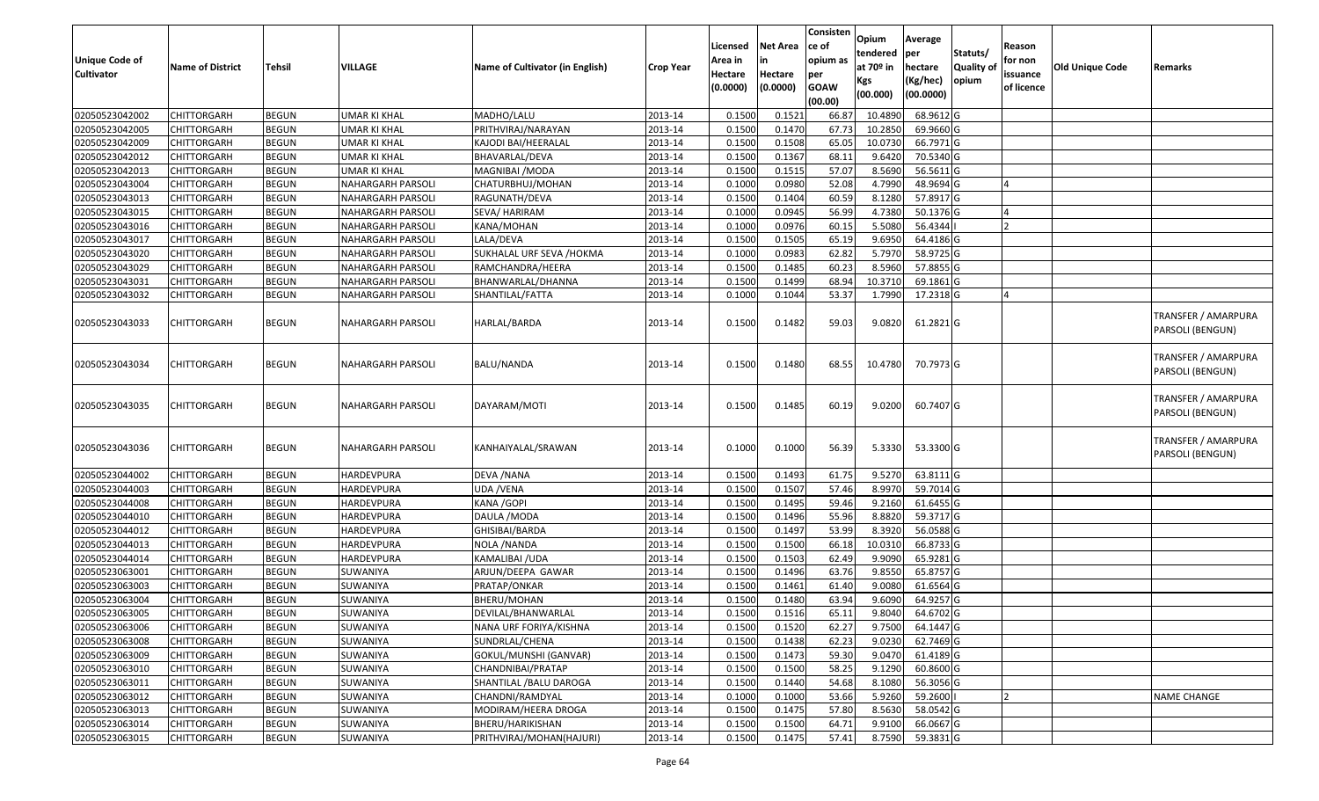| <b>Unique Code of</b><br><b>Cultivator</b> | <b>Name of District</b> | <b>Tehsil</b> | VILLAGE                  | Name of Cultivator (in English) | <b>Crop Year</b> | Licensed<br>Area in<br>Hectare<br>(0.0000) | <b>Net Area</b><br>in<br>Hectare<br>(0.0000) | Consisten<br>ce of<br>opium as<br>per<br><b>GOAW</b><br>(00.00) | Opium<br>tendered<br>at 70 <sup>o</sup> in<br>Kgs<br>(00.000) | Average<br>per<br>hectare<br>(Kg/hec)<br>(00.0000) | Statuts/<br>Quality of<br>opium | Reason<br>for non<br>issuance<br>of licence | <b>Old Unique Code</b> | Remarks                                 |
|--------------------------------------------|-------------------------|---------------|--------------------------|---------------------------------|------------------|--------------------------------------------|----------------------------------------------|-----------------------------------------------------------------|---------------------------------------------------------------|----------------------------------------------------|---------------------------------|---------------------------------------------|------------------------|-----------------------------------------|
| 02050523042002                             | <b>CHITTORGARH</b>      | <b>BEGUN</b>  | <b>UMAR KI KHAL</b>      | MADHO/LALU                      | 2013-14          | 0.1500                                     | 0.1521                                       | 66.87                                                           | 10.489                                                        | 68.9612 G                                          |                                 |                                             |                        |                                         |
| 02050523042005                             | CHITTORGARH             | <b>BEGUN</b>  | <b>UMAR KI KHAL</b>      | PRITHVIRAJ/NARAYAN              | 2013-14          | 0.1500                                     | 0.1470                                       | 67.73                                                           | 10.2850                                                       | 69.9660 G                                          |                                 |                                             |                        |                                         |
| 02050523042009                             | CHITTORGARH             | <b>BEGUN</b>  | UMAR KI KHAL             | KAJODI BAI/HEERALAL             | 2013-14          | 0.1500                                     | 0.1508                                       | 65.05                                                           | 10.073                                                        | 66.7971 G                                          |                                 |                                             |                        |                                         |
| 02050523042012                             | CHITTORGARH             | <b>BEGUN</b>  | <b>UMAR KI KHAL</b>      | BHAVARLAL/DEVA                  | 2013-14          | 0.1500                                     | 0.1367                                       | 68.1                                                            | 9.6420                                                        | 70.5340 G                                          |                                 |                                             |                        |                                         |
| 02050523042013                             | <b>CHITTORGARH</b>      | <b>BEGUN</b>  | <b>UMAR KI KHAL</b>      | MAGNIBAI / MODA                 | 2013-14          | 0.1500                                     | 0.1515                                       | 57.07                                                           | 8.5690                                                        | 56.5611 G                                          |                                 |                                             |                        |                                         |
| 02050523043004                             | <b>CHITTORGARH</b>      | <b>BEGUN</b>  | NAHARGARH PARSOLI        | CHATURBHUJ/MOHAN                | 2013-14          | 0.1000                                     | 0.0980                                       | 52.08                                                           | 4.7990                                                        | 48.9694 G                                          |                                 |                                             |                        |                                         |
| 02050523043013                             | <b>CHITTORGARH</b>      | <b>BEGUN</b>  | NAHARGARH PARSOLI        | RAGUNATH/DEVA                   | 2013-14          | 0.1500                                     | 0.1404                                       | 60.59                                                           | 8.1280                                                        | 57.8917 G                                          |                                 |                                             |                        |                                         |
| 02050523043015                             | <b>CHITTORGARH</b>      | <b>BEGUN</b>  | <b>NAHARGARH PARSOLI</b> | SEVA/ HARIRAM                   | 2013-14          | 0.1000                                     | 0.0945                                       | 56.99                                                           | 4.7380                                                        | 50.1376 G                                          |                                 |                                             |                        |                                         |
| 02050523043016                             | CHITTORGARH             | <b>BEGUN</b>  | NAHARGARH PARSOLI        | KANA/MOHAN                      | 2013-14          | 0.1000                                     | 0.0976                                       | 60.15                                                           | 5.5080                                                        | 56.4344                                            |                                 |                                             |                        |                                         |
| 02050523043017                             | <b>CHITTORGARH</b>      | <b>BEGUN</b>  | <b>NAHARGARH PARSOLI</b> | LALA/DEVA                       | 2013-14          | 0.150                                      | 0.1505                                       | 65.19                                                           | 9.695                                                         | 64.4186 G                                          |                                 |                                             |                        |                                         |
| 02050523043020                             | <b>CHITTORGARH</b>      | <b>BEGUN</b>  | <b>NAHARGARH PARSOLI</b> | SUKHALAL URF SEVA /HOKMA        | 2013-14          | 0.1000                                     | 0.0983                                       | 62.82                                                           | 5.7970                                                        | 58.9725 G                                          |                                 |                                             |                        |                                         |
| 02050523043029                             | CHITTORGARH             | <b>BEGUN</b>  | NAHARGARH PARSOLI        | RAMCHANDRA/HEERA                | 2013-14          | 0.1500                                     | 0.1485                                       | 60.23                                                           | 8.5960                                                        | 57.8855 G                                          |                                 |                                             |                        |                                         |
| 02050523043031                             | CHITTORGARH             | <b>BEGUN</b>  | <b>NAHARGARH PARSOLI</b> | BHANWARLAL/DHANNA               | 2013-14          | 0.1500                                     | 0.1499                                       | 68.94                                                           | 10.3710                                                       | 69.1861 G                                          |                                 |                                             |                        |                                         |
| 02050523043032                             | CHITTORGARH             | <b>BEGUN</b>  | NAHARGARH PARSOLI        | SHANTILAL/FATTA                 | 2013-14          | 0.1000                                     | 0.1044                                       | 53.37                                                           | 1.7990                                                        | 17.2318 G                                          |                                 |                                             |                        |                                         |
| 02050523043033                             | CHITTORGARH             | <b>BEGUN</b>  | NAHARGARH PARSOLI        | HARLAL/BARDA                    | 2013-14          | 0.1500                                     | 0.1482                                       | 59.03                                                           | 9.0820                                                        | 61.2821 G                                          |                                 |                                             |                        | TRANSFER / AMARPURA<br>PARSOLI (BENGUN) |
| 02050523043034                             | CHITTORGARH             | <b>BEGUN</b>  | NAHARGARH PARSOLI        | BALU/NANDA                      | 2013-14          | 0.1500                                     | 0.1480                                       | 68.55                                                           | 10.4780                                                       | 70.7973 G                                          |                                 |                                             |                        | TRANSFER / AMARPURA<br>PARSOLI (BENGUN) |
| 02050523043035                             | CHITTORGARH             | <b>BEGUN</b>  | NAHARGARH PARSOLI        | DAYARAM/MOTI                    | 2013-14          | 0.1500                                     | 0.1485                                       | 60.19                                                           | 9.0200                                                        | 60.7407 G                                          |                                 |                                             |                        | TRANSFER / AMARPURA<br>PARSOLI (BENGUN) |
| 02050523043036                             | CHITTORGARH             | <b>BEGUN</b>  | NAHARGARH PARSOLI        | KANHAIYALAL/SRAWAN              | 2013-14          | 0.1000                                     | 0.1000                                       | 56.39                                                           | 5.3330                                                        | 53.3300 G                                          |                                 |                                             |                        | TRANSFER / AMARPURA<br>PARSOLI (BENGUN) |
| 02050523044002                             | <b>CHITTORGARH</b>      | <b>BEGUN</b>  | HARDEVPURA               | DEVA / NANA                     | 2013-14          | 0.150                                      | 0.1493                                       | 61.75                                                           | 9.5270                                                        | 63.8111G                                           |                                 |                                             |                        |                                         |
| 02050523044003                             | CHITTORGARH             | <b>BEGUN</b>  | HARDEVPURA               | UDA /VENA                       | 2013-14          | 0.1500                                     | 0.1507                                       | 57.46                                                           | 8.9970                                                        | 59.7014 G                                          |                                 |                                             |                        |                                         |
| 02050523044008                             | CHITTORGARH             | <b>BEGUN</b>  | HARDEVPURA               | KANA / GOPI                     | 2013-14          | 0.1500                                     | 0.1495                                       | 59.46                                                           | 9.2160                                                        | 61.6455 G                                          |                                 |                                             |                        |                                         |
| 02050523044010                             | CHITTORGARH             | <b>BEGUN</b>  | <b>HARDEVPURA</b>        | DAULA / MODA                    | 2013-14          | 0.1500                                     | 0.1496                                       | 55.96                                                           | 8.8820                                                        | 59.3717 G                                          |                                 |                                             |                        |                                         |
| 02050523044012                             | CHITTORGARH             | <b>BEGUN</b>  | HARDEVPURA               | GHISIBAI/BARDA                  | 2013-14          | 0.150                                      | 0.1497                                       | 53.99                                                           | 8.3920                                                        | 56.0588 G                                          |                                 |                                             |                        |                                         |
| 02050523044013                             | CHITTORGARH             | <b>BEGUN</b>  | HARDEVPURA               | NOLA /NANDA                     | 2013-14          | 0.1500                                     | 0.1500                                       | 66.18                                                           | 10.031                                                        | 66.8733 G                                          |                                 |                                             |                        |                                         |
| 02050523044014                             | CHITTORGARH             | <b>BEGUN</b>  | HARDEVPURA               | KAMALIBAI / UDA                 | 2013-14          | 0.150                                      | 0.1503                                       | 62.49                                                           | 9.9090                                                        | 65.9281 G                                          |                                 |                                             |                        |                                         |
| 02050523063001                             | CHITTORGARH             | <b>BEGUN</b>  | SUWANIYA                 | ARJUN/DEEPA GAWAR               | 2013-14          | 0.1500                                     | 0.1496                                       | 63.76                                                           | 9.855                                                         | 65.8757 G                                          |                                 |                                             |                        |                                         |
| 02050523063003                             | CHITTORGARH             | <b>BEGUN</b>  | SUWANIYA                 | PRATAP/ONKAR                    | 2013-14          | 0.150                                      | 0.1461                                       | 61.40                                                           | 9.008                                                         | 61.6564 G                                          |                                 |                                             |                        |                                         |
| 02050523063004                             | CHITTORGARH             | <b>BEGUN</b>  | SUWANIYA                 | BHERU/MOHAN                     | 2013-14          | 0.1500                                     | 0.1480                                       | 63.94                                                           | 9.6090                                                        | 64.9257 G                                          |                                 |                                             |                        |                                         |
| 02050523063005                             | <b>CHITTORGARH</b>      | <b>BEGUN</b>  | SUWANIYA                 | DEVILAL/BHANWARLAL              | 2013-14          | 0.1500                                     | 0.1516                                       | 65.11                                                           | 9.8040                                                        | 64.6702 G                                          |                                 |                                             |                        |                                         |
| 02050523063006                             | <b>CHITTORGARH</b>      | <b>BEGUN</b>  | SUWANIYA                 | NANA URF FORIYA/KISHNA          | 2013-14          | 0.1500                                     | 0.1520                                       | 62.27                                                           | 9.7500                                                        | 64.1447 G                                          |                                 |                                             |                        |                                         |
| 02050523063008                             | <b>CHITTORGARH</b>      | <b>BEGUN</b>  | SUWANIYA                 | SUNDRLAL/CHENA                  | 2013-14          | 0.1500                                     | 0.1438                                       | 62.23                                                           | 9.0230                                                        | 62.7469 G                                          |                                 |                                             |                        |                                         |
| 02050523063009                             | <b>CHITTORGARH</b>      | <b>BEGUN</b>  | SUWANIYA                 | GOKUL/MUNSHI (GANVAR)           | 2013-14          | 0.1500                                     | 0.1473                                       | 59.30                                                           | 9.0470                                                        | 61.4189 G                                          |                                 |                                             |                        |                                         |
| 02050523063010                             | CHITTORGARH             | <b>BEGUN</b>  | SUWANIYA                 | CHANDNIBAI/PRATAP               | 2013-14          | 0.1500                                     | 0.1500                                       | 58.25                                                           | 9.1290                                                        | 60.8600 G                                          |                                 |                                             |                        |                                         |
| 02050523063011                             | <b>CHITTORGARH</b>      | <b>BEGUN</b>  | SUWANIYA                 | SHANTILAL / BALU DAROGA         | 2013-14          | 0.1500                                     | 0.1440                                       | 54.68                                                           | 8.1080                                                        | 56.3056 G                                          |                                 |                                             |                        |                                         |
| 02050523063012                             | <b>CHITTORGARH</b>      | <b>BEGUN</b>  | SUWANIYA                 | CHANDNI/RAMDYAL                 | 2013-14          | 0.1000                                     | 0.1000                                       | 53.66                                                           | 5.9260                                                        | 59.2600                                            |                                 |                                             |                        | <b>NAME CHANGE</b>                      |
| 02050523063013                             | <b>CHITTORGARH</b>      | <b>BEGUN</b>  | SUWANIYA                 | MODIRAM/HEERA DROGA             | 2013-14          | 0.1500                                     | 0.1475                                       | 57.80                                                           | 8.5630                                                        | 58.0542 G                                          |                                 |                                             |                        |                                         |
| 02050523063014                             | <b>CHITTORGARH</b>      | <b>BEGUN</b>  | SUWANIYA                 | BHERU/HARIKISHAN                | 2013-14          | 0.1500                                     | 0.1500                                       | 64.71                                                           | 9.9100                                                        | 66.0667 G                                          |                                 |                                             |                        |                                         |
| 02050523063015                             | CHITTORGARH             | <b>BEGUN</b>  | SUWANIYA                 | PRITHVIRAJ/MOHAN(HAJURI)        | 2013-14          | 0.1500                                     | 0.1475                                       | 57.41                                                           | 8.7590                                                        | 59.3831G                                           |                                 |                                             |                        |                                         |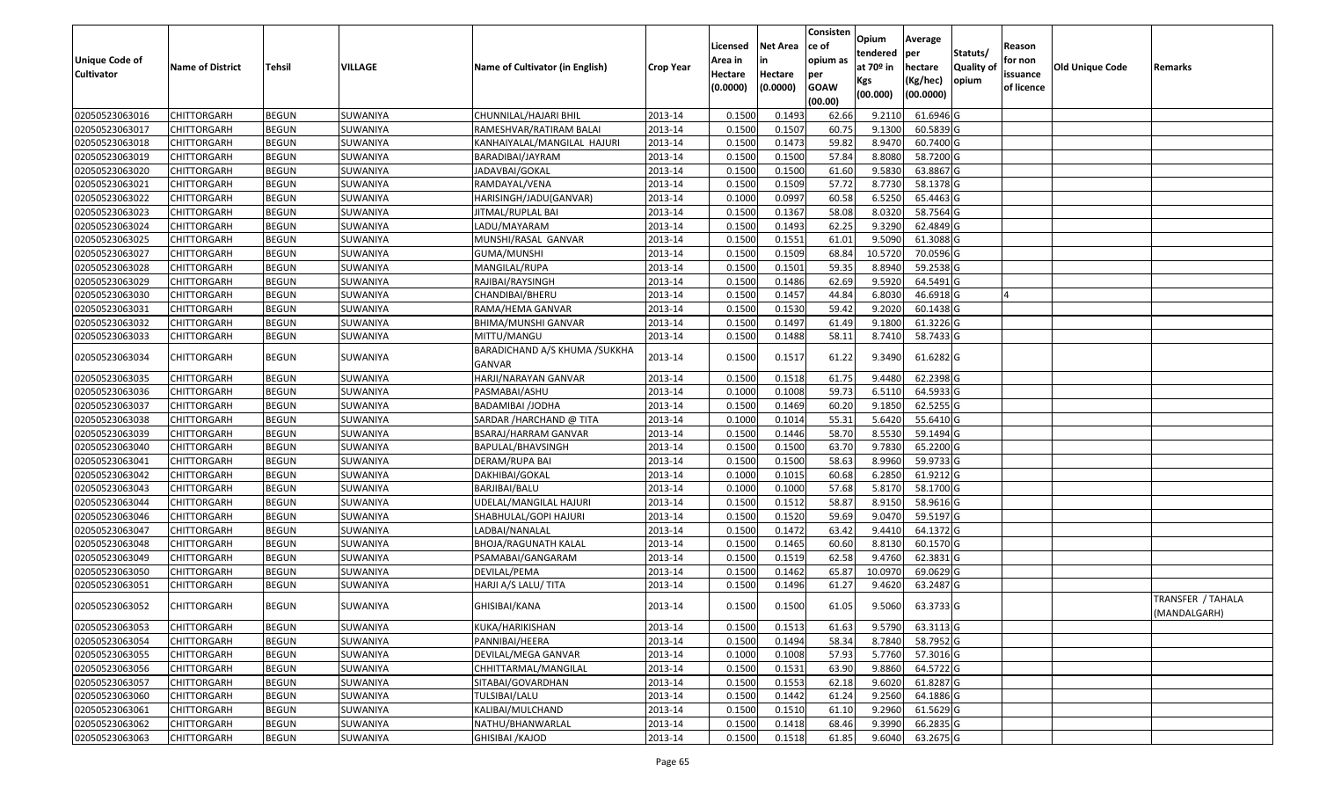| <b>Unique Code of</b><br><b>Cultivator</b> | <b>Name of District</b> | Tehsil       | VILLAGE  | Name of Cultivator (in English)                | <b>Crop Year</b> | Licensed<br>Area in<br>Hectare<br>(0.0000) | <b>Net Area</b><br>in<br>Hectare<br>(0.0000) | Consisten<br>ce of<br>opium as<br>per<br><b>GOAW</b><br>(00.00) | Opium<br>tendered<br>at $70°$ in<br>Kgs<br>(00.000) | Average<br>per<br>hectare<br>(Kg/hec)<br>(00.0000) | Statuts/<br>Quality of<br>opium | Reason<br>for non<br>issuance<br>of licence | Old Unique Code | Remarks                           |
|--------------------------------------------|-------------------------|--------------|----------|------------------------------------------------|------------------|--------------------------------------------|----------------------------------------------|-----------------------------------------------------------------|-----------------------------------------------------|----------------------------------------------------|---------------------------------|---------------------------------------------|-----------------|-----------------------------------|
| 02050523063016                             | <b>CHITTORGARH</b>      | <b>BEGUN</b> | SUWANIYA | CHUNNILAL/HAJARI BHIL                          | 2013-14          | 0.1500                                     | 0.1493                                       | 62.66                                                           | 9.2110                                              | 61.6946 G                                          |                                 |                                             |                 |                                   |
| 02050523063017                             | CHITTORGARH             | <b>BEGUN</b> | SUWANIYA | RAMESHVAR/RATIRAM BALAI                        | 2013-14          | 0.1500                                     | 0.1507                                       | 60.75                                                           | 9.1300                                              | 60.5839 G                                          |                                 |                                             |                 |                                   |
| 02050523063018                             | CHITTORGARH             | <b>BEGUN</b> | SUWANIYA | KANHAIYALAL/MANGILAL HAJURI                    | 2013-14          | 0.1500                                     | 0.1473                                       | 59.82                                                           | 8.9470                                              | 60.7400 G                                          |                                 |                                             |                 |                                   |
| 02050523063019                             | <b>CHITTORGARH</b>      | <b>BEGUN</b> | SUWANIYA | BARADIBAI/JAYRAM                               | 2013-14          | 0.1500                                     | 0.1500                                       | 57.84                                                           | 8.8080                                              | 58.7200 G                                          |                                 |                                             |                 |                                   |
| 02050523063020                             | <b>CHITTORGARH</b>      | <b>BEGUN</b> | SUWANIYA | JADAVBAI/GOKAL                                 | 2013-14          | 0.1500                                     | 0.1500                                       | 61.60                                                           | 9.5830                                              | 63.8867 G                                          |                                 |                                             |                 |                                   |
| 02050523063021                             | <b>CHITTORGARH</b>      | <b>BEGUN</b> | SUWANIYA | RAMDAYAL/VENA                                  | 2013-14          | 0.1500                                     | 0.1509                                       | 57.72                                                           | 8.7730                                              | 58.1378 G                                          |                                 |                                             |                 |                                   |
| 02050523063022                             | CHITTORGARH             | <b>BEGUN</b> | SUWANIYA | HARISINGH/JADU(GANVAR)                         | 2013-14          | 0.1000                                     | 0.0997                                       | 60.58                                                           | 6.5250                                              | 65.4463 G                                          |                                 |                                             |                 |                                   |
| 02050523063023                             | <b>CHITTORGARH</b>      | <b>BEGUN</b> | SUWANIYA | JITMAL/RUPLAL BAI                              | 2013-14          | 0.1500                                     | 0.1367                                       | 58.08                                                           | 8.0320                                              | 58.7564 G                                          |                                 |                                             |                 |                                   |
| 02050523063024                             | <b>CHITTORGARH</b>      | <b>BEGUN</b> | SUWANIYA | LADU/MAYARAM                                   | 2013-14          | 0.1500                                     | 0.1493                                       | 62.25                                                           | 9.3290                                              | 62.4849 G                                          |                                 |                                             |                 |                                   |
| 02050523063025                             | <b>CHITTORGARH</b>      | <b>BEGUN</b> | SUWANIYA | MUNSHI/RASAL GANVAR                            | 2013-14          | 0.1500                                     | 0.1551                                       | 61.01                                                           | 9.5090                                              | 61.3088 G                                          |                                 |                                             |                 |                                   |
| 02050523063027                             | <b>CHITTORGARH</b>      | <b>BEGUN</b> | SUWANIYA | GUMA/MUNSHI                                    | 2013-14          | 0.1500                                     | 0.1509                                       | 68.84                                                           | 10.5720                                             | 70.0596 G                                          |                                 |                                             |                 |                                   |
| 02050523063028                             | <b>CHITTORGARH</b>      | <b>BEGUN</b> | SUWANIYA | MANGILAL/RUPA                                  | 2013-14          | 0.1500                                     | 0.1501                                       | 59.35                                                           | 8.8940                                              | 59.2538 G                                          |                                 |                                             |                 |                                   |
| 02050523063029                             | <b>CHITTORGARH</b>      | <b>BEGUN</b> | SUWANIYA | RAJIBAI/RAYSINGH                               | 2013-14          | 0.1500                                     | 0.1486                                       | 62.69                                                           | 9.5920                                              | 64.5491 G                                          |                                 |                                             |                 |                                   |
| 02050523063030                             | <b>CHITTORGARH</b>      | <b>BEGUN</b> | SUWANIYA | CHANDIBAI/BHERU                                | 2013-14          | 0.1500                                     | 0.1457                                       | 44.84                                                           | 6.8030                                              | 46.6918 G                                          |                                 |                                             |                 |                                   |
| 02050523063031                             | <b>CHITTORGARH</b>      | <b>BEGUN</b> | SUWANIYA | RAMA/HEMA GANVAR                               | 2013-14          | 0.1500                                     | 0.1530                                       | 59.42                                                           | 9.2020                                              | 60.1438 G                                          |                                 |                                             |                 |                                   |
| 02050523063032                             | <b>CHITTORGARH</b>      | <b>BEGUN</b> | SUWANIYA | BHIMA/MUNSHI GANVAR                            | 2013-14          | 0.1500                                     | 0.1497                                       | 61.49                                                           | 9.1800                                              | 61.3226 G                                          |                                 |                                             |                 |                                   |
| 02050523063033                             | <b>CHITTORGARH</b>      | <b>BEGUN</b> | SUWANIYA | MITTU/MANGU                                    | 2013-14          | 0.1500                                     | 0.1488                                       | 58.11                                                           | 8.7410                                              | 58.7433 G                                          |                                 |                                             |                 |                                   |
| 02050523063034                             | <b>CHITTORGARH</b>      | <b>BEGUN</b> | SUWANIYA | BARADICHAND A/S KHUMA /SUKKHA<br><b>GANVAR</b> | 2013-14          | 0.1500                                     | 0.1517                                       | 61.22                                                           | 9.3490                                              | 61.6282 G                                          |                                 |                                             |                 |                                   |
| 02050523063035                             | <b>CHITTORGARH</b>      | <b>BEGUN</b> | SUWANIYA | HARJI/NARAYAN GANVAR                           | 2013-14          | 0.1500                                     | 0.1518                                       | 61.75                                                           | 9.4480                                              | 62.2398 G                                          |                                 |                                             |                 |                                   |
| 02050523063036                             | <b>CHITTORGARH</b>      | <b>BEGUN</b> | SUWANIYA | PASMABAI/ASHU                                  | 2013-14          | 0.1000                                     | 0.1008                                       | 59.73                                                           | 6.5110                                              | 64.5933 G                                          |                                 |                                             |                 |                                   |
| 02050523063037                             | <b>CHITTORGARH</b>      | <b>BEGUN</b> | SUWANIYA | <b>BADAMIBAI /JODHA</b>                        | 2013-14          | 0.1500                                     | 0.1469                                       | 60.20                                                           | 9.1850                                              | 62.5255 G                                          |                                 |                                             |                 |                                   |
| 02050523063038                             | <b>CHITTORGARH</b>      | <b>BEGUN</b> | SUWANIYA | SARDAR /HARCHAND @ TITA                        | 2013-14          | 0.1000                                     | 0.1014                                       | 55.31                                                           | 5.6420                                              | 55.6410 G                                          |                                 |                                             |                 |                                   |
| 02050523063039                             | CHITTORGARH             | <b>BEGUN</b> | SUWANIYA | BSARAJ/HARRAM GANVAR                           | 2013-14          | 0.1500                                     | 0.1446                                       | 58.70                                                           | 8.5530                                              | 59.1494 G                                          |                                 |                                             |                 |                                   |
| 02050523063040                             | <b>CHITTORGARH</b>      | <b>BEGUN</b> | SUWANIYA | BAPULAL/BHAVSINGH                              | 2013-14          | 0.1500                                     | 0.1500                                       | 63.70                                                           | 9.7830                                              | 65.2200 G                                          |                                 |                                             |                 |                                   |
| 02050523063041                             | <b>CHITTORGARH</b>      | <b>BEGUN</b> | SUWANIYA | DERAM/RUPA BAI                                 | 2013-14          | 0.1500                                     | 0.1500                                       | 58.63                                                           | 8.9960                                              | 59.9733 G                                          |                                 |                                             |                 |                                   |
| 02050523063042                             | <b>CHITTORGARH</b>      | <b>BEGUN</b> | SUWANIYA | DAKHIBAI/GOKAL                                 | 2013-14          | 0.1000                                     | 0.1015                                       | 60.68                                                           | 6.2850                                              | 61.9212 G                                          |                                 |                                             |                 |                                   |
| 02050523063043                             | <b>CHITTORGARH</b>      | <b>BEGUN</b> | SUWANIYA | BARJIBAI/BALU                                  | 2013-14          | 0.1000                                     | 0.1000                                       | 57.68                                                           | 5.8170                                              | 58.1700 G                                          |                                 |                                             |                 |                                   |
| 02050523063044                             | <b>CHITTORGARH</b>      | <b>BEGUN</b> | SUWANIYA | UDELAL/MANGILAL HAJURI                         | 2013-14          | 0.1500                                     | 0.1512                                       | 58.87                                                           | 8.9150                                              | 58.9616 G                                          |                                 |                                             |                 |                                   |
| 02050523063046                             | <b>CHITTORGARH</b>      | <b>BEGUN</b> | SUWANIYA | SHABHULAL/GOPI HAJURI                          | 2013-14          | 0.1500                                     | 0.1520                                       | 59.69                                                           | 9.0470                                              | 59.5197 G                                          |                                 |                                             |                 |                                   |
| 02050523063047                             | <b>CHITTORGARH</b>      | <b>BEGUN</b> | SUWANIYA | LADBAI/NANALAL                                 | 2013-14          | 0.1500                                     | 0.1472                                       | 63.42                                                           | 9.4410                                              | 64.1372 G                                          |                                 |                                             |                 |                                   |
| 02050523063048                             | CHITTORGARH             | <b>BEGUN</b> | SUWANIYA | BHOJA/RAGUNATH KALAL                           | 2013-14          | 0.1500                                     | 0.1465                                       | 60.60                                                           | 8.8130                                              | 60.1570 G                                          |                                 |                                             |                 |                                   |
| 02050523063049                             | <b>CHITTORGARH</b>      | <b>BEGUN</b> | SUWANIYA | PSAMABAI/GANGARAM                              | 2013-14          | 0.1500                                     | 0.1519                                       | 62.58                                                           | 9.4760                                              | 62.3831 G                                          |                                 |                                             |                 |                                   |
| 02050523063050                             | <b>CHITTORGARH</b>      | <b>BEGUN</b> | SUWANIYA | DEVILAL/PEMA                                   | 2013-14          | 0.1500                                     | 0.1462                                       | 65.87                                                           | 10.0970                                             | 69.0629 G                                          |                                 |                                             |                 |                                   |
| 02050523063051                             | <b>CHITTORGARH</b>      | <b>BEGUN</b> | SUWANIYA | HARJI A/S LALU/ TITA                           | 2013-14          | 0.150                                      | 0.1496                                       | 61.27                                                           | 9.4620                                              | 63.2487 G                                          |                                 |                                             |                 |                                   |
| 02050523063052                             | <b>CHITTORGARH</b>      | <b>BEGUN</b> | SUWANIYA | GHISIBAI/KANA                                  | 2013-14          | 0.1500                                     | 0.1500                                       | 61.05                                                           | 9.5060                                              | 63.3733 G                                          |                                 |                                             |                 | TRANSFER / TAHALA<br>(MANDALGARH) |
| 02050523063053                             | <b>CHITTORGARH</b>      | <b>BEGUN</b> | SUWANIYA | KUKA/HARIKISHAN                                | 2013-14          | 0.1500                                     | 0.1513                                       | 61.63                                                           | 9.5790                                              | 63.3113 G                                          |                                 |                                             |                 |                                   |
| 02050523063054                             | <b>CHITTORGARH</b>      | <b>BEGUN</b> | SUWANIYA | PANNIBAI/HEERA                                 | 2013-14          | 0.1500                                     | 0.1494                                       | 58.34                                                           | 8.7840                                              | 58.7952 G                                          |                                 |                                             |                 |                                   |
| 02050523063055                             | <b>CHITTORGARH</b>      | <b>BEGUN</b> | SUWANIYA | DEVILAL/MEGA GANVAR                            | 2013-14          | 0.1000                                     | 0.1008                                       | 57.93                                                           | 5.7760                                              | 57.3016 G                                          |                                 |                                             |                 |                                   |
| 02050523063056                             | <b>CHITTORGARH</b>      | <b>BEGUN</b> | SUWANIYA | CHHITTARMAL/MANGILAL                           | 2013-14          | 0.1500                                     | 0.1531                                       | 63.90                                                           | 9.8860                                              | 64.5722 G                                          |                                 |                                             |                 |                                   |
| 02050523063057                             | <b>CHITTORGARH</b>      | <b>BEGUN</b> | SUWANIYA | SITABAI/GOVARDHAN                              | 2013-14          | 0.1500                                     | 0.1553                                       | 62.18                                                           | 9.6020                                              | 61.8287 G                                          |                                 |                                             |                 |                                   |
| 02050523063060                             | <b>CHITTORGARH</b>      | <b>BEGUN</b> | SUWANIYA | TULSIBAI/LALU                                  | 2013-14          | 0.1500                                     | 0.1442                                       | 61.24                                                           | 9.2560                                              | 64.1886 G                                          |                                 |                                             |                 |                                   |
| 02050523063061                             | <b>CHITTORGARH</b>      | <b>BEGUN</b> | SUWANIYA | KALIBAI/MULCHAND                               | 2013-14          | 0.1500                                     | 0.1510                                       | 61.10                                                           | 9.2960                                              | 61.5629 G                                          |                                 |                                             |                 |                                   |
| 02050523063062                             | <b>CHITTORGARH</b>      | <b>BEGUN</b> | SUWANIYA | NATHU/BHANWARLAL                               | 2013-14          | 0.1500                                     | 0.1418                                       | 68.46                                                           | 9.3990                                              | 66.2835 G                                          |                                 |                                             |                 |                                   |
| 02050523063063                             | <b>CHITTORGARH</b>      | <b>BEGUN</b> | SUWANIYA | <b>GHISIBAI / KAJOD</b>                        | 2013-14          | 0.1500                                     | 0.1518                                       | 61.85                                                           | 9.6040                                              | 63.2675 G                                          |                                 |                                             |                 |                                   |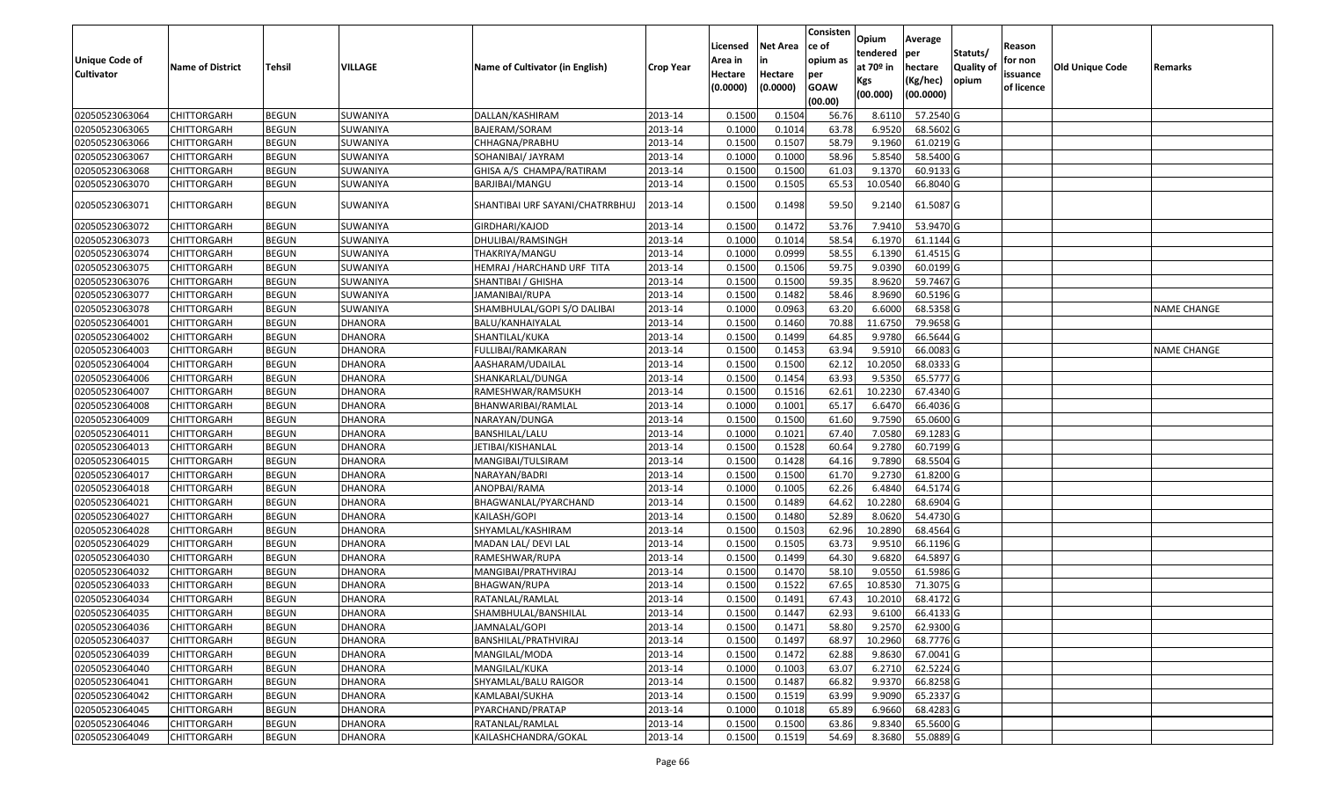| <b>Unique Code of</b><br><b>Cultivator</b> | <b>Name of District</b> | <b>Tehsil</b> | VILLAGE        | Name of Cultivator (in English) | <b>Crop Year</b> | Licensed<br>Area in<br>Hectare<br>(0.0000) | <b>Net Area</b><br>in<br>Hectare<br>(0.0000) | Consisten<br>ce of<br>opium as<br>per<br><b>GOAW</b><br>(00.00) | Opium<br>tendered<br>at $70°$ in<br>Kgs<br>(00.000) | Average<br>per<br>hectare<br>(Kg/hec)<br>(00.0000) | Statuts/<br>Quality of<br>opium | Reason<br>for non<br>issuance<br>of licence | <b>Old Unique Code</b> | Remarks            |
|--------------------------------------------|-------------------------|---------------|----------------|---------------------------------|------------------|--------------------------------------------|----------------------------------------------|-----------------------------------------------------------------|-----------------------------------------------------|----------------------------------------------------|---------------------------------|---------------------------------------------|------------------------|--------------------|
| 02050523063064                             | <b>CHITTORGARH</b>      | <b>BEGUN</b>  | SUWANIYA       | DALLAN/KASHIRAM                 | 2013-14          | 0.1500                                     | 0.1504                                       | 56.76                                                           | 8.6110                                              | 57.2540 G                                          |                                 |                                             |                        |                    |
| 02050523063065                             | CHITTORGARH             | <b>BEGUN</b>  | SUWANIYA       | BAJERAM/SORAM                   | 2013-14          | 0.1000                                     | 0.1014                                       | 63.78                                                           | 6.9520                                              | 68.5602 G                                          |                                 |                                             |                        |                    |
| 02050523063066                             | CHITTORGARH             | <b>BEGUN</b>  | SUWANIYA       | CHHAGNA/PRABHU                  | 2013-14          | 0.1500                                     | 0.1507                                       | 58.79                                                           | 9.1960                                              | 61.0219 G                                          |                                 |                                             |                        |                    |
| 02050523063067                             | CHITTORGARH             | <b>BEGUN</b>  | SUWANIYA       | SOHANIBAI/ JAYRAM               | 2013-14          | 0.1000                                     | 0.1000                                       | 58.96                                                           | 5.8540                                              | 58.5400 G                                          |                                 |                                             |                        |                    |
| 02050523063068                             | <b>CHITTORGARH</b>      | <b>BEGUN</b>  | SUWANIYA       | GHISA A/S CHAMPA/RATIRAM        | 2013-14          | 0.1500                                     | 0.1500                                       | 61.03                                                           | 9.1370                                              | 60.9133 G                                          |                                 |                                             |                        |                    |
| 02050523063070                             | CHITTORGARH             | <b>BEGUN</b>  | SUWANIYA       | BARJIBAI/MANGU                  | 2013-14          | 0.1500                                     | 0.1505                                       | 65.53                                                           | 10.0540                                             | 66.8040 G                                          |                                 |                                             |                        |                    |
| 02050523063071                             | CHITTORGARH             | <b>BEGUN</b>  | SUWANIYA       | SHANTIBAI URF SAYANI/CHATRRBHUJ | 2013-14          | 0.1500                                     | 0.1498                                       | 59.50                                                           | 9.2140                                              | 61.5087 G                                          |                                 |                                             |                        |                    |
| 02050523063072                             | CHITTORGARH             | <b>BEGUN</b>  | SUWANIYA       | GIRDHARI/KAJOD                  | 2013-14          | 0.1500                                     | 0.1472                                       | 53.76                                                           | 7.9410                                              | 53.9470 G                                          |                                 |                                             |                        |                    |
| 02050523063073                             | CHITTORGARH             | <b>BEGUN</b>  | SUWANIYA       | DHULIBAI/RAMSINGH               | 2013-14          | 0.100                                      | 0.1014                                       | 58.54                                                           | 6.1970                                              | 61.1144 G                                          |                                 |                                             |                        |                    |
| 02050523063074                             | CHITTORGARH             | <b>BEGUN</b>  | SUWANIYA       | THAKRIYA/MANGU                  | 2013-14          | 0.100                                      | 0.0999                                       | 58.55                                                           | 6.1390                                              | 61.4515 G                                          |                                 |                                             |                        |                    |
| 02050523063075                             | CHITTORGARH             | <b>BEGUN</b>  | SUWANIYA       | HEMRAJ /HARCHAND URF TITA       | 2013-14          | 0.1500                                     | 0.1506                                       | 59.75                                                           | 9.0390                                              | 60.0199 G                                          |                                 |                                             |                        |                    |
| 02050523063076                             | CHITTORGARH             | <b>BEGUN</b>  | SUWANIYA       | SHANTIBAI / GHISHA              | 2013-14          | 0.1500                                     | 0.1500                                       | 59.35                                                           | 8.9620                                              | 59.7467 G                                          |                                 |                                             |                        |                    |
| 02050523063077                             | CHITTORGARH             | <b>BEGUN</b>  | SUWANIYA       | JAMANIBAI/RUPA                  | 2013-14          | 0.150                                      | 0.1482                                       | 58.46                                                           | 8.9690                                              | 60.5196 G                                          |                                 |                                             |                        |                    |
| 02050523063078                             | CHITTORGARH             | <b>BEGUN</b>  | SUWANIYA       | SHAMBHULAL/GOPI S/O DALIBAI     | 2013-14          | 0.100                                      | 0.0963                                       | 63.20                                                           | 6.6000                                              | 68.5358 G                                          |                                 |                                             |                        | <b>NAME CHANGE</b> |
| 02050523064001                             | CHITTORGARH             | <b>BEGUN</b>  | <b>DHANORA</b> | BALU/KANHAIYALAL                | 2013-14          | 0.1500                                     | 0.1460                                       | 70.88                                                           | 11.675                                              | 79.9658 G                                          |                                 |                                             |                        |                    |
| 02050523064002                             | CHITTORGARH             | <b>BEGUN</b>  | <b>DHANORA</b> | SHANTILAL/KUKA                  | 2013-14          | 0.1500                                     | 0.1499                                       | 64.85                                                           | 9.9780                                              | 66.5644 G                                          |                                 |                                             |                        |                    |
| 02050523064003                             | CHITTORGARH             | <b>BEGUN</b>  | <b>DHANORA</b> | FULLIBAI/RAMKARAN               | 2013-14          | 0.1500                                     | 0.1453                                       | 63.94                                                           | 9.591                                               | 66.0083 G                                          |                                 |                                             |                        | <b>NAME CHANGE</b> |
| 02050523064004                             | CHITTORGARH             | <b>BEGUN</b>  | <b>DHANORA</b> | AASHARAM/UDAILAL                | 2013-14          | 0.1500                                     | 0.1500                                       | 62.12                                                           | 10.2050                                             | 68.0333 G                                          |                                 |                                             |                        |                    |
| 02050523064006                             | CHITTORGARH             | <b>BEGUN</b>  | <b>DHANORA</b> | SHANKARLAL/DUNGA                | 2013-14          | 0.1500                                     | 0.1454                                       | 63.93                                                           | 9.5350                                              | 65.5777 G                                          |                                 |                                             |                        |                    |
| 02050523064007                             | CHITTORGARH             | <b>BEGUN</b>  | <b>DHANORA</b> | RAMESHWAR/RAMSUKH               | 2013-14          | 0.1500                                     | 0.1516                                       | 62.61                                                           | 10.2230                                             | 67.4340 G                                          |                                 |                                             |                        |                    |
| 02050523064008                             | CHITTORGARH             | <b>BEGUN</b>  | <b>DHANORA</b> | BHANWARIBAI/RAMLAL              | 2013-14          | 0.1000                                     | 0.1001                                       | 65.17                                                           | 6.6470                                              | 66.4036 G                                          |                                 |                                             |                        |                    |
| 02050523064009                             | CHITTORGARH             | <b>BEGUN</b>  | <b>DHANORA</b> | NARAYAN/DUNGA                   | 2013-14          | 0.1500                                     | 0.1500                                       | 61.60                                                           | 9.7590                                              | 65.0600G                                           |                                 |                                             |                        |                    |
| 02050523064011                             | CHITTORGARH             | <b>BEGUN</b>  | <b>DHANORA</b> | BANSHILAL/LALU                  | 2013-14          | 0.1000                                     | 0.1021                                       | 67.40                                                           | 7.0580                                              | 69.1283 G                                          |                                 |                                             |                        |                    |
| 02050523064013                             | CHITTORGARH             | <b>BEGUN</b>  | <b>DHANORA</b> | JETIBAI/KISHANLAL               | 2013-14          | 0.1500                                     | 0.1528                                       | 60.64                                                           | 9.2780                                              | 60.7199 G                                          |                                 |                                             |                        |                    |
| 02050523064015                             | CHITTORGARH             | <b>BEGUN</b>  | <b>DHANORA</b> | MANGIBAI/TULSIRAM               | 2013-14          | 0.1500                                     | 0.1428                                       | 64.16                                                           | 9.7890                                              | 68.5504 G                                          |                                 |                                             |                        |                    |
| 02050523064017                             | CHITTORGARH             | <b>BEGUN</b>  | DHANORA        | NARAYAN/BADRI                   | 2013-14          | 0.1500                                     | 0.1500                                       | 61.70                                                           | 9.2730                                              | 61.8200 G                                          |                                 |                                             |                        |                    |
| 02050523064018                             | <b>CHITTORGARH</b>      | <b>BEGUN</b>  | DHANORA        | ANOPBAI/RAMA                    | 2013-14          | 0.1000                                     | 0.1005                                       | 62.26                                                           | 6.4840                                              | 64.5174 G                                          |                                 |                                             |                        |                    |
| 02050523064021                             | CHITTORGARH             | <b>BEGUN</b>  | <b>DHANORA</b> | BHAGWANLAL/PYARCHAND            | 2013-14          | 0.1500                                     | 0.1489                                       | 64.62                                                           | 10.2280                                             | 68.6904 G                                          |                                 |                                             |                        |                    |
| 02050523064027                             | CHITTORGARH             | <b>BEGUN</b>  | <b>DHANORA</b> | KAILASH/GOPI                    | 2013-14          | 0.1500                                     | 0.1480                                       | 52.89                                                           | 8.0620                                              | 54.4730 G                                          |                                 |                                             |                        |                    |
| 02050523064028                             | CHITTORGARH             | <b>BEGUN</b>  | DHANORA        | SHYAMLAL/KASHIRAM               | 2013-14          | 0.1500                                     | 0.1503                                       | 62.96                                                           | 10.2890                                             | 68.4564 G                                          |                                 |                                             |                        |                    |
| 02050523064029                             | CHITTORGARH             | <b>BEGUN</b>  | <b>DHANORA</b> | MADAN LAL/DEVI LAL              | 2013-14          | 0.1500                                     | 0.1505                                       | 63.73                                                           | 9.9510                                              | 66.1196 G                                          |                                 |                                             |                        |                    |
| 02050523064030                             | CHITTORGARH             | <b>BEGUN</b>  | <b>DHANORA</b> | RAMESHWAR/RUPA                  | 2013-14          | 0.1500                                     | 0.1499                                       | 64.30                                                           | 9.6820                                              | 64.5897 G                                          |                                 |                                             |                        |                    |
| 02050523064032                             | CHITTORGARH             | <b>BEGUN</b>  | <b>DHANORA</b> | MANGIBAI/PRATHVIRAJ             | 2013-14          | 0.1500                                     | 0.1470                                       | 58.10                                                           | 9.055                                               | 61.5986 G                                          |                                 |                                             |                        |                    |
| 02050523064033                             | CHITTORGARH             | <b>BEGUN</b>  | <b>DHANORA</b> | BHAGWAN/RUPA                    | 2013-14          | 0.150                                      | 0.1522                                       | 67.65                                                           | 10.853                                              | 71.3075 G                                          |                                 |                                             |                        |                    |
| 02050523064034                             | CHITTORGARH             | <b>BEGUN</b>  | <b>DHANORA</b> | RATANLAL/RAMLAL                 | 2013-14          | 0.1500                                     | 0.1491                                       | 67.43                                                           | 10.2010                                             | 68.4172 G                                          |                                 |                                             |                        |                    |
| 02050523064035                             | <b>CHITTORGARH</b>      | <b>BEGUN</b>  | <b>DHANORA</b> | SHAMBHULAL/BANSHILAL            | 2013-14          | 0.1500                                     | 0.1447                                       | 62.93                                                           | 9.6100                                              | 66.4133 G                                          |                                 |                                             |                        |                    |
| 02050523064036                             | <b>CHITTORGARH</b>      | <b>BEGUN</b>  | <b>DHANORA</b> | JAMNALAL/GOPI                   | 2013-14          | 0.1500                                     | 0.1471                                       | 58.80                                                           | 9.2570                                              | 62.9300 G                                          |                                 |                                             |                        |                    |
| 02050523064037                             | <b>CHITTORGARH</b>      | <b>BEGUN</b>  | <b>DHANORA</b> | BANSHILAL/PRATHVIRAJ            | 2013-14          | 0.1500                                     | 0.1497                                       | 68.97                                                           | 10.2960                                             | 68.7776 G                                          |                                 |                                             |                        |                    |
| 02050523064039                             | <b>CHITTORGARH</b>      | <b>BEGUN</b>  | <b>DHANORA</b> | MANGILAL/MODA                   | 2013-14          | 0.1500                                     | 0.1472                                       | 62.88                                                           | 9.8630                                              | 67.0041 G                                          |                                 |                                             |                        |                    |
| 02050523064040                             | <b>CHITTORGARH</b>      | <b>BEGUN</b>  | <b>DHANORA</b> | MANGILAL/KUKA                   | 2013-14          | 0.1000                                     | 0.1003                                       | 63.07                                                           | 6.2710                                              | 62.5224 G                                          |                                 |                                             |                        |                    |
| 02050523064041                             | <b>CHITTORGARH</b>      | <b>BEGUN</b>  | <b>DHANORA</b> | SHYAMLAL/BALU RAIGOR            | 2013-14          | 0.1500                                     | 0.1487                                       | 66.82                                                           | 9.9370                                              | 66.8258 G                                          |                                 |                                             |                        |                    |
| 02050523064042                             | <b>CHITTORGARH</b>      | <b>BEGUN</b>  | <b>DHANORA</b> | KAMLABAI/SUKHA                  | 2013-14          | 0.1500                                     | 0.1519                                       | 63.99                                                           | 9.9090                                              | 65.2337 G                                          |                                 |                                             |                        |                    |
| 02050523064045                             | CHITTORGARH             | <b>BEGUN</b>  | <b>DHANORA</b> | PYARCHAND/PRATAP                | 2013-14          | 0.1000                                     | 0.1018                                       | 65.89                                                           | 6.9660                                              | 68.4283 G                                          |                                 |                                             |                        |                    |
| 02050523064046                             | CHITTORGARH             | <b>BEGUN</b>  | <b>DHANORA</b> | RATANLAL/RAMLAL                 | 2013-14          | 0.1500                                     | 0.1500                                       | 63.86                                                           | 9.8340                                              | 65.5600 G                                          |                                 |                                             |                        |                    |
| 02050523064049                             | <b>CHITTORGARH</b>      | <b>BEGUN</b>  | <b>DHANORA</b> | KAILASHCHANDRA/GOKAL            | 2013-14          | 0.1500                                     | 0.1519                                       | 54.69                                                           | 8.3680                                              | 55.0889 G                                          |                                 |                                             |                        |                    |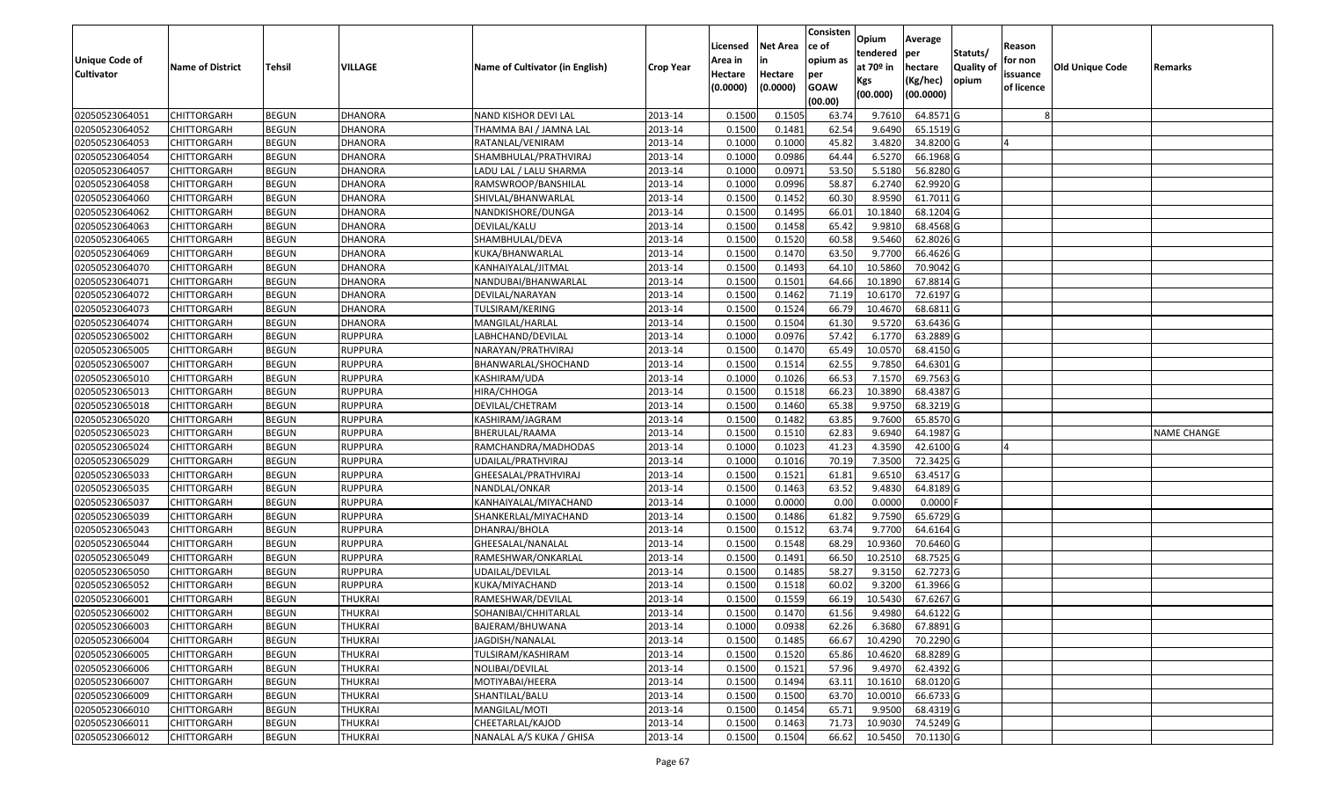|                                            |                         |               |                |                                 |                  |                     |                     | Consisten          | Opium       | Average    |                  |                        |                 |                    |
|--------------------------------------------|-------------------------|---------------|----------------|---------------------------------|------------------|---------------------|---------------------|--------------------|-------------|------------|------------------|------------------------|-----------------|--------------------|
|                                            |                         |               |                |                                 |                  | Licensed            | <b>Net Area</b>     | ce of              | tendered    | per        | Statuts/         | Reason                 |                 |                    |
| <b>Unique Code of</b><br><b>Cultivator</b> | <b>Name of District</b> | <b>Tehsil</b> | VILLAGE        | Name of Cultivator (in English) | <b>Crop Year</b> | Area in             |                     | opium as           | at $70°$ in | hectare    | <b>Quality o</b> | for non                | Old Unique Code | Remarks            |
|                                            |                         |               |                |                                 |                  | Hectare<br>(0.0000) | Hectare<br>(0.0000) | per<br><b>GOAW</b> | Kgs         | (Kg/hec)   | opium            | issuance<br>of licence |                 |                    |
|                                            |                         |               |                |                                 |                  |                     |                     | (00.00)            | (00.000)    | (00.0000)  |                  |                        |                 |                    |
| 02050523064051                             | CHITTORGARH             | <b>BEGUN</b>  | <b>DHANORA</b> | <b>NAND KISHOR DEVI LAL</b>     | 2013-14          | 0.1500              | 0.1505              | 63.74              | 9.7610      | 64.8571 G  |                  |                        |                 |                    |
| 02050523064052                             | CHITTORGARH             | <b>BEGUN</b>  | <b>DHANORA</b> | THAMMA BAI / JAMNA LAL          | 2013-14          | 0.1500              | 0.1481              | 62.54              | 9.6490      | 65.1519 G  |                  |                        |                 |                    |
| 02050523064053                             | CHITTORGARH             | <b>BEGUN</b>  | <b>DHANORA</b> | RATANLAL/VENIRAM                | 2013-14          | 0.1000              | 0.1000              | 45.82              | 3.4820      | 34.8200 G  |                  |                        |                 |                    |
| 02050523064054                             | <b>CHITTORGARH</b>      | <b>BEGUN</b>  | <b>DHANORA</b> | SHAMBHULAL/PRATHVIRAJ           | 2013-14          | 0.1000              | 0.0986              | 64.44              | 6.5270      | 66.1968 G  |                  |                        |                 |                    |
| 02050523064057                             | CHITTORGARH             | <b>BEGUN</b>  | <b>DHANORA</b> | LADU LAL / LALU SHARMA          | 2013-14          | 0.1000              | 0.0971              | 53.50              | 5.5180      | 56.8280 G  |                  |                        |                 |                    |
| 02050523064058                             | CHITTORGARH             | <b>BEGUN</b>  | <b>DHANORA</b> | RAMSWROOP/BANSHILAL             | 2013-14          | 0.1000              | 0.0996              | 58.87              | 6.2740      | 62.9920 G  |                  |                        |                 |                    |
| 02050523064060                             | CHITTORGARH             | <b>BEGUN</b>  | <b>DHANORA</b> | SHIVLAL/BHANWARLAL              | 2013-14          | 0.1500              | 0.1452              | 60.30              | 8.9590      | 61.7011G   |                  |                        |                 |                    |
| 02050523064062                             | CHITTORGARH             | <b>BEGUN</b>  | <b>DHANORA</b> | NANDKISHORE/DUNGA               | 2013-14          | 0.1500              | 0.1495              | 66.01              | 10.1840     | 68.1204 G  |                  |                        |                 |                    |
| 02050523064063                             | CHITTORGARH             | <b>BEGUN</b>  | <b>DHANORA</b> | DEVILAL/KALU                    | 2013-14          | 0.1500              | 0.1458              | 65.42              | 9.981       | 68.4568 G  |                  |                        |                 |                    |
| 02050523064065                             | CHITTORGARH             | <b>BEGUN</b>  | DHANORA        | SHAMBHULAL/DEVA                 | 2013-14          | 0.1500              | 0.1520              | 60.58              | 9.5460      | 62.8026 G  |                  |                        |                 |                    |
| 02050523064069                             | CHITTORGARH             | <b>BEGUN</b>  | <b>DHANORA</b> | KUKA/BHANWARLAL                 | 2013-14          | 0.1500              | 0.1470              | 63.50              | 9.7700      | 66.4626 G  |                  |                        |                 |                    |
| 02050523064070                             | <b>CHITTORGARH</b>      | <b>BEGUN</b>  | DHANORA        | KANHAIYALAL/JITMAL              | 2013-14          | 0.1500              | 0.1493              | 64.10              | 10.5860     | 70.9042 G  |                  |                        |                 |                    |
| 02050523064071                             | <b>CHITTORGARH</b>      | <b>BEGUN</b>  | <b>DHANORA</b> | NANDUBAI/BHANWARLAL             | 2013-14          | 0.1500              | 0.1501              | 64.66              | 10.1890     | 67.8814 G  |                  |                        |                 |                    |
| 02050523064072                             | <b>CHITTORGARH</b>      | <b>BEGUN</b>  | <b>DHANORA</b> | DEVILAL/NARAYAN                 | 2013-14          | 0.1500              | 0.1462              | 71.19              | 10.6170     | 72.6197 G  |                  |                        |                 |                    |
| 02050523064073                             | CHITTORGARH             | <b>BEGUN</b>  | <b>DHANORA</b> | TULSIRAM/KERING                 | 2013-14          | 0.1500              | 0.1524              | 66.79              | 10.4670     | 68.6811G   |                  |                        |                 |                    |
| 02050523064074                             | CHITTORGARH             | <b>BEGUN</b>  | <b>DHANORA</b> | MANGILAL/HARLAL                 | 2013-14          | 0.1500              | 0.1504              | 61.30              | 9.5720      | 63.6436 G  |                  |                        |                 |                    |
| 02050523065002                             | CHITTORGARH             | <b>BEGUN</b>  | <b>RUPPURA</b> | LABHCHAND/DEVILAL               | 2013-14          | 0.1000              | 0.0976              | 57.42              | 6.1770      | 63.2889 G  |                  |                        |                 |                    |
| 02050523065005                             | CHITTORGARH             | <b>BEGUN</b>  | <b>RUPPURA</b> | NARAYAN/PRATHVIRAJ              | 2013-14          | 0.1500              | 0.1470              | 65.49              | 10.0570     | 68.4150 G  |                  |                        |                 |                    |
| 02050523065007                             | CHITTORGARH             | <b>BEGUN</b>  | <b>RUPPURA</b> | BHANWARLAL/SHOCHAND             | 2013-14          | 0.1500              | 0.1514              | 62.55              | 9.785       | 64.6301G   |                  |                        |                 |                    |
| 02050523065010                             | CHITTORGARH             | <b>BEGUN</b>  | <b>RUPPURA</b> | KASHIRAM/UDA                    | 2013-14          | 0.1000              | 0.1026              | 66.53              | 7.1570      | 69.7563 G  |                  |                        |                 |                    |
| 02050523065013                             | CHITTORGARH             | <b>BEGUN</b>  | <b>RUPPURA</b> | HIRA/CHHOGA                     | 2013-14          | 0.1500              | 0.1518              | 66.23              | 10.3890     | 68.4387 G  |                  |                        |                 |                    |
| 02050523065018                             | CHITTORGARH             | <b>BEGUN</b>  | <b>RUPPURA</b> | DEVILAL/CHETRAM                 | 2013-14          | 0.150               | 0.1460              | 65.38              | 9.975       | 68.3219 G  |                  |                        |                 |                    |
| 02050523065020                             | CHITTORGARH             | <b>BEGUN</b>  | <b>RUPPURA</b> | KASHIRAM/JAGRAM                 | 2013-14          | 0.1500              | 0.1482              | 63.85              | 9.7600      | 65.8570 G  |                  |                        |                 |                    |
| 02050523065023                             | CHITTORGARH             | <b>BEGUN</b>  | <b>RUPPURA</b> | BHERULAL/RAAMA                  | 2013-14          | 0.1500              | 0.1510              | 62.83              | 9.6940      | 64.1987 G  |                  |                        |                 | <b>NAME CHANGE</b> |
| 02050523065024                             | CHITTORGARH             | <b>BEGUN</b>  | <b>RUPPURA</b> | RAMCHANDRA/MADHODAS             | 2013-14          | 0.1000              | 0.1023              | 41.23              | 4.3590      | 42.6100G   |                  |                        |                 |                    |
| 02050523065029                             | CHITTORGARH             | <b>BEGUN</b>  | <b>RUPPURA</b> | UDAILAL/PRATHVIRAJ              | 2013-14          | 0.1000              | 0.1016              | 70.19              | 7.3500      | 72.3425 G  |                  |                        |                 |                    |
| 02050523065033                             | CHITTORGARH             | <b>BEGUN</b>  | <b>RUPPURA</b> | GHEESALAL/PRATHVIRAJ            | 2013-14          | 0.1500              | 0.1521              | 61.81              | 9.6510      | 63.4517 G  |                  |                        |                 |                    |
| 02050523065035                             | CHITTORGARH             | <b>BEGUN</b>  | <b>RUPPURA</b> | NANDLAL/ONKAR                   | 2013-14          | 0.1500              | 0.1463              | 63.52              | 9.4830      | 64.8189 G  |                  |                        |                 |                    |
| 02050523065037                             | CHITTORGARH             | <b>BEGUN</b>  | <b>RUPPURA</b> | KANHAIYALAL/MIYACHAND           | 2013-14          | 0.1000              | 0.0000              | 0.00               | 0.0000      | $0.0000$ F |                  |                        |                 |                    |
| 02050523065039                             | CHITTORGARH             | <b>BEGUN</b>  | <b>RUPPURA</b> | SHANKERLAL/MIYACHAND            | 2013-14          | 0.1500              | 0.1486              | 61.82              | 9.7590      | 65.6729 G  |                  |                        |                 |                    |
| 02050523065043                             | CHITTORGARH             | <b>BEGUN</b>  | <b>RUPPURA</b> | DHANRAJ/BHOLA                   | 2013-14          | 0.1500              | 0.1512              | 63.74              | 9.7700      | 64.6164 G  |                  |                        |                 |                    |
| 02050523065044                             | CHITTORGARH             | <b>BEGUN</b>  | <b>RUPPURA</b> | GHEESALAL/NANALAL               | 2013-14          | 0.1500              | 0.1548              | 68.29              | 10.9360     | 70.6460 G  |                  |                        |                 |                    |
| 02050523065049                             | CHITTORGARH             | <b>BEGUN</b>  | <b>RUPPURA</b> | RAMESHWAR/ONKARLAL              | 2013-14          | 0.1500              | 0.1491              | 66.50              | 10.2510     | 68.7525 G  |                  |                        |                 |                    |
| 02050523065050                             | CHITTORGARH             | <b>BEGUN</b>  | <b>RUPPURA</b> | UDAILAL/DEVILAL                 | 2013-14          | 0.1500              | 0.1485              | 58.27              | 9.315       | 62.7273 G  |                  |                        |                 |                    |
| 02050523065052                             | CHITTORGARH             | <b>BEGUN</b>  | <b>RUPPURA</b> | KUKA/MIYACHAND                  | 2013-14          | 0.150               | 0.1518              | 60.02              | 9.3200      | 61.3966 G  |                  |                        |                 |                    |
| 02050523066001                             | CHITTORGARH             | <b>BEGUN</b>  | <b>THUKRAI</b> | RAMESHWAR/DEVILAL               | 2013-14          | 0.1500              | 0.1559              | 66.19              | 10.5430     | 67.6267 G  |                  |                        |                 |                    |
| 02050523066002                             | <b>CHITTORGARH</b>      | <b>BEGUN</b>  | THUKRAI        | SOHANIBAI/CHHITARLAL            | 2013-14          | 0.1500              | 0.1470              | 61.56              | 9.4980      | 64.6122 G  |                  |                        |                 |                    |
| 02050523066003                             | <b>CHITTORGARH</b>      | <b>BEGUN</b>  | <b>THUKRAI</b> | BAJERAM/BHUWANA                 | 2013-14          | 0.1000              | 0.0938              | 62.26              | 6.3680      | 67.8891 G  |                  |                        |                 |                    |
| 02050523066004                             | <b>CHITTORGARH</b>      | <b>BEGUN</b>  | <b>THUKRAI</b> | JAGDISH/NANALAL                 | 2013-14          | 0.1500              | 0.1485              | 66.67              | 10.4290     | 70.2290 G  |                  |                        |                 |                    |
| 02050523066005                             | <b>CHITTORGARH</b>      | <b>BEGUN</b>  | <b>THUKRAI</b> | TULSIRAM/KASHIRAM               | 2013-14          | 0.1500              | 0.1520              | 65.86              | 10.4620     | 68.8289 G  |                  |                        |                 |                    |
| 02050523066006                             | <b>CHITTORGARH</b>      | <b>BEGUN</b>  | <b>THUKRAI</b> | NOLIBAI/DEVILAL                 | 2013-14          | 0.1500              | 0.1521              | 57.96              | 9.4970      | 62.4392 G  |                  |                        |                 |                    |
| 02050523066007                             | <b>CHITTORGARH</b>      | <b>BEGUN</b>  | <b>THUKRAI</b> | MOTIYABAI/HEERA                 | 2013-14          | 0.1500              | 0.1494              | 63.11              | 10.1610     | 68.0120 G  |                  |                        |                 |                    |
| 02050523066009                             | <b>CHITTORGARH</b>      | <b>BEGUN</b>  | <b>THUKRAI</b> | SHANTILAL/BALU                  | 2013-14          | 0.1500              | 0.1500              | 63.70              | 10.0010     | 66.6733 G  |                  |                        |                 |                    |
| 02050523066010                             | <b>CHITTORGARH</b>      | <b>BEGUN</b>  | <b>THUKRAI</b> | MANGILAL/MOTI                   | 2013-14          | 0.1500              | 0.1454              | 65.71              | 9.9500      | 68.4319 G  |                  |                        |                 |                    |
| 02050523066011                             | CHITTORGARH             | <b>BEGUN</b>  | <b>THUKRAI</b> | CHEETARLAL/KAJOD                | 2013-14          | 0.1500              | 0.1463              | 71.73              | 10.9030     | 74.5249 G  |                  |                        |                 |                    |
| 02050523066012                             | <b>CHITTORGARH</b>      | <b>BEGUN</b>  | <b>THUKRAI</b> | NANALAL A/S KUKA / GHISA        | 2013-14          | 0.1500              | 0.1504              | 66.62              | 10.5450     | 70.1130 G  |                  |                        |                 |                    |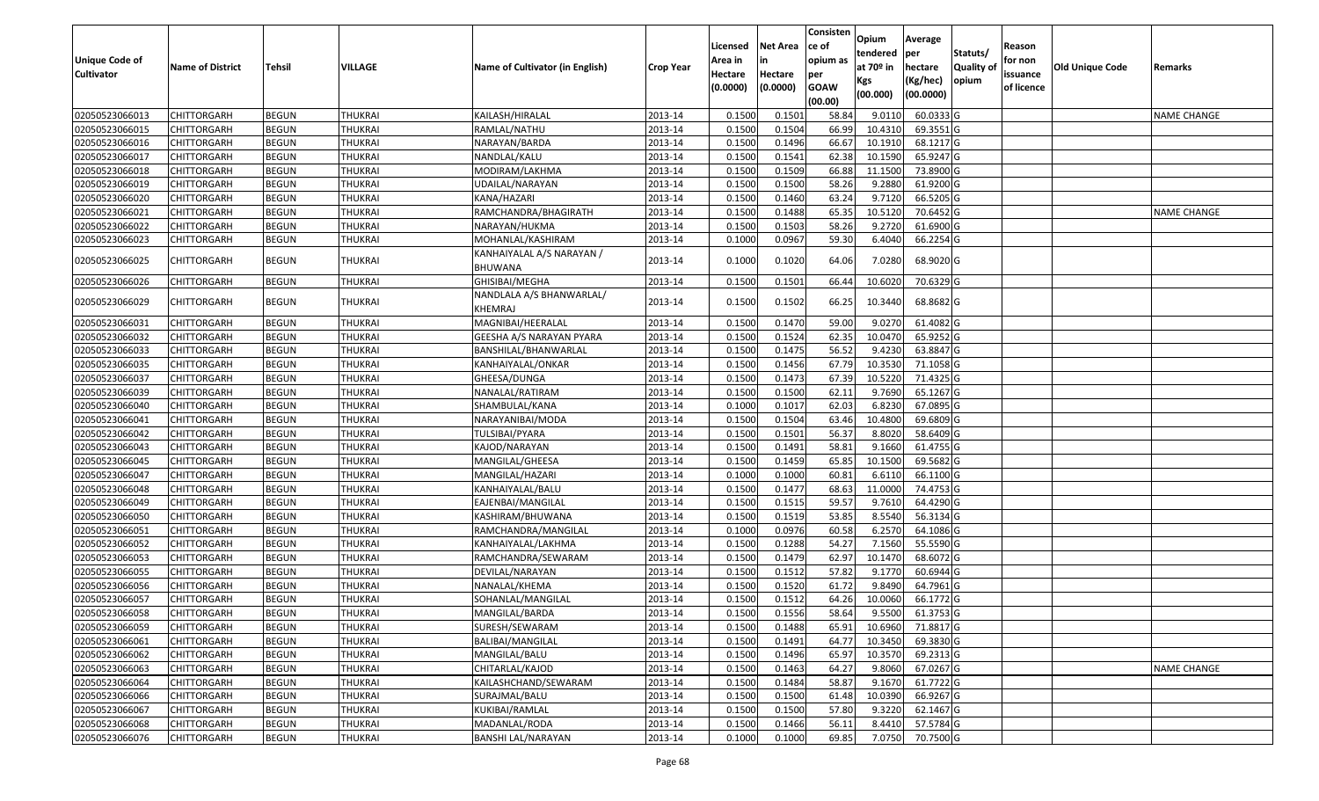| Unique Code of<br><b>Cultivator</b> | <b>Name of District</b> | Tehsil       | VILLAGE        | Name of Cultivator (in English)             | <b>Crop Year</b> | Licensed<br>Area in<br>Hectare<br>(0.0000) | Net Area<br>in<br>Hectare<br>(0.0000) | Consisten<br>ce of<br>opium as<br>per<br><b>GOAW</b><br>(00.00) | Opium<br>tendered<br>at 70º in<br>Kgs<br>(00.000) | Average<br> per<br>hectare<br>(Kg/hec)<br>(00.0000) | Statuts/<br><b>Quality of</b><br>opium | Reason<br>for non<br>issuance<br>of licence | <b>Old Unique Code</b> | Remarks            |
|-------------------------------------|-------------------------|--------------|----------------|---------------------------------------------|------------------|--------------------------------------------|---------------------------------------|-----------------------------------------------------------------|---------------------------------------------------|-----------------------------------------------------|----------------------------------------|---------------------------------------------|------------------------|--------------------|
| 02050523066013                      | <b>CHITTORGARH</b>      | <b>BEGUN</b> | THUKRAI        | KAILASH/HIRALAL                             | 2013-14          | 0.1500                                     | 0.150                                 | 58.84                                                           | 9.0110                                            | 60.0333 G                                           |                                        |                                             |                        | <b>NAME CHANGE</b> |
| 02050523066015                      | CHITTORGARH             | <b>BEGUN</b> | <b>THUKRAI</b> | RAMLAL/NATHU                                | 2013-14          | 0.1500                                     | 0.1504                                | 66.99                                                           | 10.4310                                           | 69.3551 G                                           |                                        |                                             |                        |                    |
| 02050523066016                      | CHITTORGARH             | <b>BEGUN</b> | <b>THUKRAI</b> | NARAYAN/BARDA                               | 2013-14          | 0.1500                                     | 0.1496                                | 66.67                                                           | 10.1910                                           | 68.1217 G                                           |                                        |                                             |                        |                    |
| 02050523066017                      | CHITTORGARH             | <b>BEGUN</b> | <b>THUKRAI</b> | NANDLAL/KALU                                | 2013-14          | 0.1500                                     | 0.1541                                | 62.38                                                           | 10.1590                                           | 65.9247 G                                           |                                        |                                             |                        |                    |
| 02050523066018                      | CHITTORGARH             | <b>BEGUN</b> | <b>THUKRAI</b> | MODIRAM/LAKHMA                              | 2013-14          | 0.1500                                     | 0.1509                                | 66.88                                                           | 11.1500                                           | 73.8900 G                                           |                                        |                                             |                        |                    |
| 02050523066019                      | CHITTORGARH             | <b>BEGUN</b> | <b>THUKRAI</b> | UDAILAL/NARAYAN                             | 2013-14          | 0.1500                                     | 0.1500                                | 58.26                                                           | 9.2880                                            | 61.9200 G                                           |                                        |                                             |                        |                    |
| 02050523066020                      | CHITTORGARH             | <b>BEGUN</b> | <b>THUKRAI</b> | KANA/HAZARI                                 | 2013-14          | 0.1500                                     | 0.1460                                | 63.24                                                           | 9.7120                                            | 66.5205 G                                           |                                        |                                             |                        |                    |
| 02050523066021                      | CHITTORGARH             | <b>BEGUN</b> | <b>THUKRAI</b> | RAMCHANDRA/BHAGIRATH                        | 2013-14          | 0.1500                                     | 0.1488                                | 65.35                                                           | 10.5120                                           | 70.6452 G                                           |                                        |                                             |                        | <b>NAME CHANGE</b> |
| 02050523066022                      | CHITTORGARH             | <b>BEGUN</b> | <b>THUKRAI</b> | NARAYAN/HUKMA                               | 2013-14          | 0.1500                                     | 0.1503                                | 58.26                                                           | 9.2720                                            | 61.6900 G                                           |                                        |                                             |                        |                    |
| 02050523066023                      | CHITTORGARH             | <b>BEGUN</b> | THUKRAI        | MOHANLAL/KASHIRAM                           | 2013-14          | 0.1000                                     | 0.0967                                | 59.30                                                           | 6.4040                                            | 66.2254 G                                           |                                        |                                             |                        |                    |
| 02050523066025                      | CHITTORGARH             | <b>BEGUN</b> | THUKRAI        | KANHAIYALAL A/S NARAYAN /<br><b>BHUWANA</b> | 2013-14          | 0.1000                                     | 0.1020                                | 64.06                                                           | 7.0280                                            | 68.9020 G                                           |                                        |                                             |                        |                    |
| 02050523066026                      | CHITTORGARH             | <b>BEGUN</b> | THUKRAI        | GHISIBAI/MEGHA                              | 2013-14          | 0.1500                                     | 0.1501                                | 66.44                                                           | 10.6020                                           | 70.6329 G                                           |                                        |                                             |                        |                    |
| 02050523066029                      | CHITTORGARH             | <b>BEGUN</b> | THUKRAI        | NANDLALA A/S BHANWARLAL/<br><b>KHEMRAJ</b>  | 2013-14          | 0.1500                                     | 0.1502                                | 66.25                                                           | 10.3440                                           | 68.8682 G                                           |                                        |                                             |                        |                    |
| 02050523066031                      | <b>CHITTORGARH</b>      | <b>BEGUN</b> | <b>THUKRAI</b> | MAGNIBAI/HEERALAL                           | 2013-14          | 0.1500                                     | 0.1470                                | 59.00                                                           | 9.0270                                            | 61.4082 G                                           |                                        |                                             |                        |                    |
| 02050523066032                      | <b>CHITTORGARH</b>      | <b>BEGUN</b> | <b>THUKRAI</b> | GEESHA A/S NARAYAN PYARA                    | 2013-14          | 0.1500                                     | 0.1524                                | 62.35                                                           | 10.0470                                           | 65.9252 G                                           |                                        |                                             |                        |                    |
| 02050523066033                      | CHITTORGARH             | <b>BEGUN</b> | <b>THUKRAI</b> | BANSHILAL/BHANWARLAL                        | 2013-14          | 0.1500                                     | 0.1475                                | 56.52                                                           | 9.4230                                            | 63.8847 G                                           |                                        |                                             |                        |                    |
| 02050523066035                      | CHITTORGARH             | <b>BEGUN</b> | THUKRAI        | KANHAIYALAL/ONKAR                           | 2013-14          | 0.1500                                     | 0.1456                                | 67.79                                                           | 10.3530                                           | 71.1058 G                                           |                                        |                                             |                        |                    |
| 02050523066037                      | CHITTORGARH             | <b>BEGUN</b> | <b>THUKRAI</b> | GHEESA/DUNGA                                | 2013-14          | 0.1500                                     | 0.1473                                | 67.39                                                           | 10.5220                                           | 71.4325 G                                           |                                        |                                             |                        |                    |
| 02050523066039                      | CHITTORGARH             | <b>BEGUN</b> | <b>THUKRAI</b> | NANALAL/RATIRAM                             | 2013-14          | 0.1500                                     | 0.1500                                | 62.11                                                           | 9.7690                                            | 65.1267 G                                           |                                        |                                             |                        |                    |
| 02050523066040                      | CHITTORGARH             | <b>BEGUN</b> | <b>THUKRAI</b> | SHAMBULAL/KANA                              | 2013-14          | 0.1000                                     | 0.101                                 | 62.03                                                           | 6.8230                                            | 67.0895 G                                           |                                        |                                             |                        |                    |
| 02050523066041                      | CHITTORGARH             | <b>BEGUN</b> | <b>THUKRAI</b> | NARAYANIBAI/MODA                            | 2013-14          | 0.1500                                     | 0.1504                                | 63.46                                                           | 10.4800                                           | 69.6809 G                                           |                                        |                                             |                        |                    |
| 02050523066042                      | CHITTORGARH             | <b>BEGUN</b> | <b>THUKRAI</b> | TULSIBAI/PYARA                              | 2013-14          | 0.1500                                     | 0.1501                                | 56.37                                                           | 8.8020                                            | 58.6409 G                                           |                                        |                                             |                        |                    |
| 02050523066043                      | CHITTORGARH             | <b>BEGUN</b> | <b>THUKRAI</b> | KAJOD/NARAYAN                               | 2013-14          | 0.1500                                     | 0.1491                                | 58.81                                                           | 9.1660                                            | 61.4755 G                                           |                                        |                                             |                        |                    |
| 02050523066045                      | CHITTORGARH             | <b>BEGUN</b> | <b>THUKRAI</b> | MANGILAL/GHEESA                             | 2013-14          | 0.1500                                     | 0.1459                                | 65.85                                                           | 10.1500                                           | 69.5682 G                                           |                                        |                                             |                        |                    |
| 02050523066047                      | CHITTORGARH             | <b>BEGUN</b> | <b>THUKRAI</b> | MANGILAL/HAZARI                             | 2013-14          | 0.1000                                     | 0.1000                                | 60.81                                                           | 6.6110                                            | 66.1100 G                                           |                                        |                                             |                        |                    |
| 02050523066048                      | CHITTORGARH             | <b>BEGUN</b> | <b>THUKRAI</b> | KANHAIYALAL/BALU                            | 2013-14          | 0.1500                                     | 0.1477                                | 68.63                                                           | 11.0000                                           | 74.4753 G                                           |                                        |                                             |                        |                    |
| 02050523066049                      | CHITTORGARH             | <b>BEGUN</b> | <b>THUKRAI</b> | EAJENBAI/MANGILAL                           | 2013-14          | 0.1500                                     | 0.1515                                | 59.57                                                           | 9.7610                                            | 64.4290 G                                           |                                        |                                             |                        |                    |
| 02050523066050                      | CHITTORGARH             | <b>BEGUN</b> | <b>THUKRAI</b> | KASHIRAM/BHUWANA                            | 2013-14          | 0.1500                                     | 0.1519                                | 53.85                                                           | 8.5540                                            | 56.3134 G                                           |                                        |                                             |                        |                    |
| 02050523066051                      | CHITTORGARH             | <b>BEGUN</b> | THUKRAI        | RAMCHANDRA/MANGILAL                         | 2013-14          | 0.1000                                     | 0.0976                                | 60.58                                                           | 6.2570                                            | 64.1086 G                                           |                                        |                                             |                        |                    |
| 02050523066052                      | CHITTORGARH             | <b>BEGUN</b> | <b>THUKRAI</b> | KANHAIYALAL/LAKHMA                          | 2013-14          | 0.1500                                     | 0.1288                                | 54.27                                                           | 7.1560                                            | 55.5590 G                                           |                                        |                                             |                        |                    |
| 02050523066053                      | <b>CHITTORGARH</b>      | <b>BEGUN</b> | <b>THUKRAI</b> | RAMCHANDRA/SEWARAM                          | 2013-14          | 0.1500                                     | 0.1479                                | 62.97                                                           | 10.1470                                           | 68.6072 G                                           |                                        |                                             |                        |                    |
| 02050523066055                      | CHITTORGARH             | <b>BEGUN</b> | <b>THUKRAI</b> | DEVILAL/NARAYAN                             | 2013-14          | 0.1500                                     | 0.1512                                | 57.82                                                           | 9.1770                                            | 60.6944 G                                           |                                        |                                             |                        |                    |
| 02050523066056                      | CHITTORGARH             | <b>BEGUN</b> | <b>THUKRAI</b> | NANALAL/KHEMA                               | 2013-14          | 0.1500                                     | 0.1520                                | 61.72                                                           | 9.8490                                            | 64.7961 G                                           |                                        |                                             |                        |                    |
| 02050523066057                      | CHITTORGARH             | <b>BEGUN</b> | <b>THUKRAI</b> | SOHANLAL/MANGILAL                           | 2013-14          | 0.1500                                     | 0.1512                                | 64.26                                                           | 10.0060                                           | 66.1772 G                                           |                                        |                                             |                        |                    |
| 02050523066058                      | <b>CHITTORGARH</b>      | <b>BEGUN</b> | <b>THUKRAI</b> | MANGILAL/BARDA                              | 2013-14          | 0.1500                                     | 0.1556                                | 58.64                                                           |                                                   | 9.5500 61.3753 G                                    |                                        |                                             |                        |                    |
| 02050523066059                      | <b>CHITTORGARH</b>      | <b>BEGUN</b> | <b>THUKRAI</b> | SURESH/SEWARAM                              | 2013-14          | 0.1500                                     | 0.1488                                | 65.91                                                           | 10.6960                                           | 71.8817 G                                           |                                        |                                             |                        |                    |
| 02050523066061                      | <b>CHITTORGARH</b>      | <b>BEGUN</b> | <b>THUKRAI</b> | <b>BALIBAI/MANGILAL</b>                     | 2013-14          | 0.1500                                     | 0.1491                                | 64.77                                                           | 10.3450                                           | 69.3830 G                                           |                                        |                                             |                        |                    |
| 02050523066062                      | <b>CHITTORGARH</b>      | <b>BEGUN</b> | <b>THUKRAI</b> | MANGILAL/BALU                               | 2013-14          | 0.1500                                     | 0.1496                                | 65.97                                                           | 10.3570                                           | 69.2313 G                                           |                                        |                                             |                        |                    |
| 02050523066063                      | CHITTORGARH             | <b>BEGUN</b> | <b>THUKRAI</b> | CHITARLAL/KAJOD                             | 2013-14          | 0.1500                                     | 0.1463                                | 64.27                                                           | 9.8060                                            | 67.0267 G                                           |                                        |                                             |                        | <b>NAME CHANGE</b> |
| 02050523066064                      | <b>CHITTORGARH</b>      | <b>BEGUN</b> | <b>THUKRAI</b> | KAILASHCHAND/SEWARAM                        | 2013-14          | 0.1500                                     | 0.1484                                | 58.87                                                           | 9.1670                                            | $61.7722$ G                                         |                                        |                                             |                        |                    |
| 02050523066066                      | <b>CHITTORGARH</b>      | <b>BEGUN</b> | <b>THUKRAI</b> | SURAJMAL/BALU                               | 2013-14          | 0.1500                                     | 0.1500                                | 61.48                                                           | 10.0390                                           | 66.9267 G                                           |                                        |                                             |                        |                    |
| 02050523066067                      | <b>CHITTORGARH</b>      | <b>BEGUN</b> | THUKRAI        | KUKIBAI/RAMLAL                              | 2013-14          | 0.1500                                     | 0.1500                                | 57.80                                                           | 9.3220                                            | 62.1467 G                                           |                                        |                                             |                        |                    |
| 02050523066068                      | <b>CHITTORGARH</b>      | <b>BEGUN</b> | <b>THUKRAI</b> | MADANLAL/RODA                               | 2013-14          | 0.1500                                     | 0.1466                                | 56.11                                                           | 8.4410                                            | 57.5784 G                                           |                                        |                                             |                        |                    |
| 02050523066076                      | <b>CHITTORGARH</b>      | <b>BEGUN</b> | <b>THUKRAI</b> | <b>BANSHI LAL/NARAYAN</b>                   | 2013-14          | 0.1000                                     | 0.1000                                | 69.85                                                           |                                                   | 7.0750 70.7500 G                                    |                                        |                                             |                        |                    |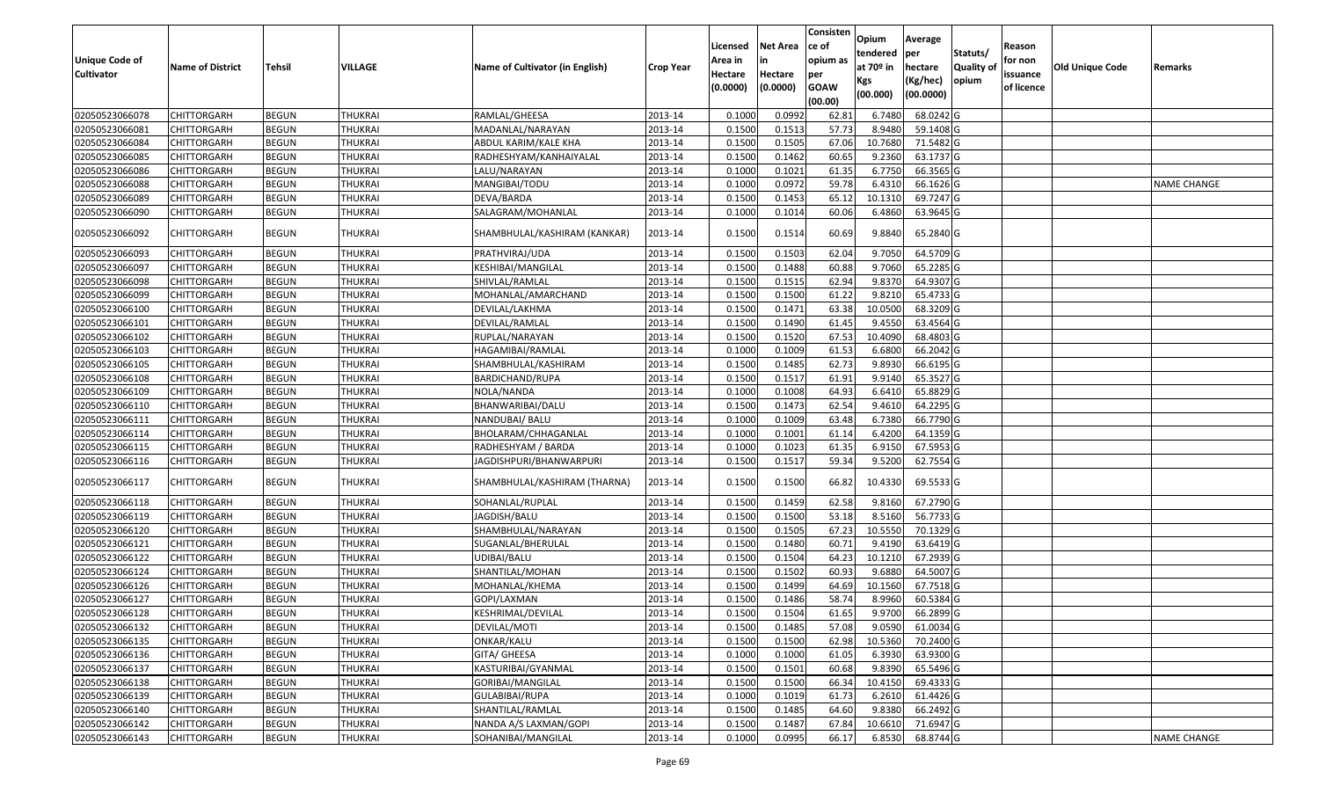| <b>Unique Code of</b><br><b>Cultivator</b> | <b>Name of District</b> | <b>Tehsil</b> | VILLAGE        | Name of Cultivator (in English) | <b>Crop Year</b> | Licensed<br>Area in<br>Hectare<br>(0.0000) | <b>Net Area</b><br>in<br>Hectare<br>(0.0000) | Consisten<br>ce of<br>opium as<br>per<br><b>GOAW</b><br>(00.00) | Opium<br>tendered<br>at $70°$ in<br>Kgs<br>(00.000) | Average<br>per<br>hectare<br>(Kg/hec)<br>(00.0000) | Statuts/<br>Quality of<br>opium | Reason<br>for non<br>issuance<br>of licence | <b>Old Unique Code</b> | Remarks            |
|--------------------------------------------|-------------------------|---------------|----------------|---------------------------------|------------------|--------------------------------------------|----------------------------------------------|-----------------------------------------------------------------|-----------------------------------------------------|----------------------------------------------------|---------------------------------|---------------------------------------------|------------------------|--------------------|
| 02050523066078                             | <b>CHITTORGARH</b>      | <b>BEGUN</b>  | <b>THUKRAI</b> | RAMLAL/GHEESA                   | 2013-14          | 0.1000                                     | 0.0992                                       | 62.81                                                           | 6.7480                                              | 68.0242 G                                          |                                 |                                             |                        |                    |
| 02050523066081                             | CHITTORGARH             | <b>BEGUN</b>  | <b>THUKRAI</b> | MADANLAL/NARAYAN                | 2013-14          | 0.1500                                     | 0.1513                                       | 57.73                                                           | 8.9480                                              | 59.1408 G                                          |                                 |                                             |                        |                    |
| 02050523066084                             | CHITTORGARH             | <b>BEGUN</b>  | <b>THUKRAI</b> | ABDUL KARIM/KALE KHA            | 2013-14          | 0.1500                                     | 0.1505                                       | 67.06                                                           | 10.7680                                             | 71.5482 G                                          |                                 |                                             |                        |                    |
| 02050523066085                             | <b>CHITTORGARH</b>      | <b>BEGUN</b>  | <b>THUKRAI</b> | RADHESHYAM/KANHAIYALAL          | 2013-14          | 0.1500                                     | 0.1462                                       | 60.65                                                           | 9.2360                                              | 63.1737 G                                          |                                 |                                             |                        |                    |
| 02050523066086                             | <b>CHITTORGARH</b>      | <b>BEGUN</b>  | <b>THUKRAI</b> | LALU/NARAYAN                    | 2013-14          | 0.1000                                     | 0.1021                                       | 61.35                                                           | 6.7750                                              | 66.3565 G                                          |                                 |                                             |                        |                    |
| 02050523066088                             | <b>CHITTORGARH</b>      | <b>BEGUN</b>  | <b>THUKRAI</b> | MANGIBAI/TODU                   | 2013-14          | 0.1000                                     | 0.0972                                       | 59.78                                                           | 6.4310                                              | 66.1626 G                                          |                                 |                                             |                        | <b>NAME CHANGE</b> |
| 02050523066089                             | <b>CHITTORGARH</b>      | <b>BEGUN</b>  | <b>THUKRAI</b> | DEVA/BARDA                      | 2013-14          | 0.1500                                     | 0.1453                                       | 65.12                                                           | 10.1310                                             | 69.7247 G                                          |                                 |                                             |                        |                    |
| 02050523066090                             | <b>CHITTORGARH</b>      | <b>BEGUN</b>  | <b>THUKRAI</b> | SALAGRAM/MOHANLAL               | 2013-14          | 0.1000                                     | 0.1014                                       | 60.06                                                           | 6.4860                                              | 63.9645 G                                          |                                 |                                             |                        |                    |
| 02050523066092                             | CHITTORGARH             | <b>BEGUN</b>  | THUKRAI        | SHAMBHULAL/KASHIRAM (KANKAR)    | 2013-14          | 0.1500                                     | 0.1514                                       | 60.69                                                           | 9.8840                                              | 65.2840 G                                          |                                 |                                             |                        |                    |
| 02050523066093                             | CHITTORGARH             | <b>BEGUN</b>  | <b>THUKRAI</b> | PRATHVIRAJ/UDA                  | 2013-14          | 0.1500                                     | 0.1503                                       | 62.04                                                           | 9.7050                                              | 64.5709 G                                          |                                 |                                             |                        |                    |
| 02050523066097                             | CHITTORGARH             | <b>BEGUN</b>  | <b>THUKRAI</b> | KESHIBAI/MANGILAL               | 2013-14          | 0.1500                                     | 0.1488                                       | 60.88                                                           | 9.7060                                              | 65.2285 G                                          |                                 |                                             |                        |                    |
| 02050523066098                             | CHITTORGARH             | <b>BEGUN</b>  | <b>THUKRAI</b> | SHIVLAL/RAMLAL                  | 2013-14          | 0.1500                                     | 0.1515                                       | 62.94                                                           | 9.8370                                              | 64.9307 G                                          |                                 |                                             |                        |                    |
| 02050523066099                             | CHITTORGARH             | <b>BEGUN</b>  | <b>THUKRAI</b> | MOHANLAL/AMARCHAND              | 2013-14          | 0.1500                                     | 0.1500                                       | 61.22                                                           | 9.8210                                              | 65.4733 G                                          |                                 |                                             |                        |                    |
| 02050523066100                             | CHITTORGARH             | <b>BEGUN</b>  | <b>THUKRAI</b> | DEVILAL/LAKHMA                  | 2013-14          | 0.1500                                     | 0.1471                                       | 63.38                                                           | 10.0500                                             | 68.3209 G                                          |                                 |                                             |                        |                    |
| 02050523066101                             | CHITTORGARH             | <b>BEGUN</b>  | <b>THUKRAI</b> | DEVILAL/RAMLAL                  | 2013-14          | 0.1500                                     | 0.1490                                       | 61.45                                                           | 9.455                                               | 63.4564 G                                          |                                 |                                             |                        |                    |
| 02050523066102                             | CHITTORGARH             | <b>BEGUN</b>  | <b>THUKRAI</b> | RUPLAL/NARAYAN                  | 2013-14          | 0.1500                                     | 0.1520                                       | 67.53                                                           | 10.4090                                             | 68.4803 G                                          |                                 |                                             |                        |                    |
| 02050523066103                             | CHITTORGARH             | <b>BEGUN</b>  | <b>THUKRAI</b> | HAGAMIBAI/RAMLAL                | 2013-14          | 0.1000                                     | 0.1009                                       | 61.53                                                           | 6.6800                                              | 66.2042 G                                          |                                 |                                             |                        |                    |
| 02050523066105                             | CHITTORGARH             | <b>BEGUN</b>  | <b>THUKRAI</b> | SHAMBHULAL/KASHIRAM             | 2013-14          | 0.1500                                     | 0.1485                                       | 62.73                                                           | 9.8930                                              | 66.6195 G                                          |                                 |                                             |                        |                    |
| 02050523066108                             | CHITTORGARH             | <b>BEGUN</b>  | <b>THUKRAI</b> | BARDICHAND/RUPA                 | 2013-14          | 0.1500                                     | 0.1517                                       | 61.91                                                           | 9.9140                                              | 65.3527 G                                          |                                 |                                             |                        |                    |
| 02050523066109                             | CHITTORGARH             | <b>BEGUN</b>  | <b>THUKRAI</b> | NOLA/NANDA                      | 2013-14          | 0.1000                                     | 0.1008                                       | 64.93                                                           | 6.6410                                              | 65.8829 G                                          |                                 |                                             |                        |                    |
| 02050523066110                             | CHITTORGARH             | <b>BEGUN</b>  | <b>THUKRAI</b> | BHANWARIBAI/DALU                | 2013-14          | 0.1500                                     | 0.1473                                       | 62.54                                                           | 9.4610                                              | 64.2295 G                                          |                                 |                                             |                        |                    |
| 02050523066111                             | CHITTORGARH             | <b>BEGUN</b>  | <b>THUKRAI</b> | NANDUBAI/ BALU                  | 2013-14          | 0.1000                                     | 0.1009                                       | 63.48                                                           | 6.7380                                              | 66.7790 G                                          |                                 |                                             |                        |                    |
| 02050523066114                             | CHITTORGARH             | <b>BEGUN</b>  | <b>THUKRAI</b> | BHOLARAM/CHHAGANLAL             | 2013-14          | 0.1000                                     | 0.1001                                       | 61.14                                                           | 6.4200                                              | 64.1359 G                                          |                                 |                                             |                        |                    |
| 02050523066115                             | CHITTORGARH             | <b>BEGUN</b>  | <b>THUKRAI</b> | RADHESHYAM / BARDA              | 2013-14          | 0.1000                                     | 0.1023                                       | 61.35                                                           | 6.9150                                              | 67.5953 G                                          |                                 |                                             |                        |                    |
| 02050523066116                             | CHITTORGARH             | <b>BEGUN</b>  | <b>THUKRAI</b> | JAGDISHPURI/BHANWARPURI         | 2013-14          | 0.1500                                     | 0.1517                                       | 59.34                                                           | 9.5200                                              | 62.7554 G                                          |                                 |                                             |                        |                    |
| 02050523066117                             | CHITTORGARH             | <b>BEGUN</b>  | THUKRAI        | SHAMBHULAL/KASHIRAM (THARNA)    | 2013-14          | 0.1500                                     | 0.1500                                       | 66.82                                                           | 10.4330                                             | 69.5533 G                                          |                                 |                                             |                        |                    |
| 02050523066118                             | <b>CHITTORGARH</b>      | <b>BEGUN</b>  | <b>THUKRAI</b> | SOHANLAL/RUPLAL                 | 2013-14          | 0.1500                                     | 0.1459                                       | 62.58                                                           | 9.8160                                              | 67.2790 G                                          |                                 |                                             |                        |                    |
| 02050523066119                             | CHITTORGARH             | <b>BEGUN</b>  | <b>THUKRAI</b> | JAGDISH/BALU                    | 2013-14          | 0.1500                                     | 0.1500                                       | 53.18                                                           | 8.5160                                              | 56.7733 G                                          |                                 |                                             |                        |                    |
| 02050523066120                             | CHITTORGARH             | <b>BEGUN</b>  | <b>THUKRAI</b> | SHAMBHULAL/NARAYAN              | 2013-14          | 0.1500                                     | 0.1505                                       | 67.23                                                           | 10.5550                                             | 70.1329 G                                          |                                 |                                             |                        |                    |
| 02050523066121                             | <b>CHITTORGARH</b>      | <b>BEGUN</b>  | <b>THUKRAI</b> | SUGANLAL/BHERULAL               | 2013-14          | 0.1500                                     | 0.1480                                       | 60.7                                                            | 9.4190                                              | 63.6419 G                                          |                                 |                                             |                        |                    |
| 02050523066122                             | CHITTORGARH             | <b>BEGUN</b>  | <b>THUKRAI</b> | UDIBAI/BALU                     | 2013-14          | 0.1500                                     | 0.1504                                       | 64.23                                                           | 10.121                                              | 67.2939 G                                          |                                 |                                             |                        |                    |
| 02050523066124                             | CHITTORGARH             | <b>BEGUN</b>  | <b>THUKRAI</b> | SHANTILAL/MOHAN                 | 2013-14          | 0.1500                                     | 0.1502                                       | 60.93                                                           | 9.6880                                              | 64.5007 G                                          |                                 |                                             |                        |                    |
| 02050523066126                             | CHITTORGARH             | <b>BEGUN</b>  | <b>THUKRAI</b> | MOHANLAL/KHEMA                  | 2013-14          | 0.150                                      | 0.1499                                       | 64.69                                                           | 10.1560                                             | 67.7518 G                                          |                                 |                                             |                        |                    |
| 02050523066127                             | CHITTORGARH             | <b>BEGUN</b>  | <b>THUKRAI</b> | GOPI/LAXMAN                     | 2013-14          | 0.1500                                     | 0.1486                                       | 58.74                                                           | 8.9960                                              | 60.5384 G                                          |                                 |                                             |                        |                    |
| 02050523066128                             | CHITTORGARH             | <b>BEGUN</b>  | <b>THUKRAI</b> | KESHRIMAL/DEVILAL               | 2013-14          | 0.1500                                     | 0.1504                                       | 61.65                                                           | 9.9700                                              | 66.2899 G                                          |                                 |                                             |                        |                    |
| 02050523066132                             | <b>CHITTORGARH</b>      | <b>BEGUN</b>  | <b>THUKRAI</b> | DEVILAL/MOTI                    | 2013-14          | 0.1500                                     | 0.1485                                       | 57.08                                                           | 9.0590                                              | 61.0034 G                                          |                                 |                                             |                        |                    |
| 02050523066135                             | <b>CHITTORGARH</b>      | <b>BEGUN</b>  | <b>THUKRAI</b> | ONKAR/KALU                      | 2013-14          | 0.1500                                     | 0.1500                                       | 62.98                                                           | 10.5360                                             | 70.2400 G                                          |                                 |                                             |                        |                    |
| 02050523066136                             | <b>CHITTORGARH</b>      | <b>BEGUN</b>  | <b>THUKRAI</b> | GITA/ GHEESA                    | 2013-14          | 0.1000                                     | 0.1000                                       | 61.05                                                           | 6.3930                                              | 63.9300 G                                          |                                 |                                             |                        |                    |
| 02050523066137                             | CHITTORGARH             | <b>BEGUN</b>  | <b>THUKRAI</b> | KASTURIBAI/GYANMAL              | 2013-14          | 0.1500                                     | 0.1501                                       | 60.68                                                           | 9.8390                                              | 65.5496 G                                          |                                 |                                             |                        |                    |
| 02050523066138                             | <b>CHITTORGARH</b>      | <b>BEGUN</b>  | <b>THUKRAI</b> | GORIBAI/MANGILAL                | 2013-14          | 0.1500                                     | 0.1500                                       | 66.34                                                           | 10.4150                                             | 69.4333 G                                          |                                 |                                             |                        |                    |
| 02050523066139                             | <b>CHITTORGARH</b>      | <b>BEGUN</b>  | <b>THUKRAI</b> | GULABIBAI/RUPA                  | 2013-14          | 0.1000                                     | 0.1019                                       | 61.73                                                           | 6.2610                                              | 61.4426 G                                          |                                 |                                             |                        |                    |
| 02050523066140                             | <b>CHITTORGARH</b>      | <b>BEGUN</b>  | <b>THUKRAI</b> | SHANTILAL/RAMLAL                | 2013-14          | 0.1500                                     | 0.1485                                       | 64.60                                                           | 9.8380                                              | 66.2492 G                                          |                                 |                                             |                        |                    |
| 02050523066142                             | CHITTORGARH             | <b>BEGUN</b>  | <b>THUKRAI</b> | NANDA A/S LAXMAN/GOPI           | 2013-14          | 0.1500                                     | 0.1487                                       | 67.84                                                           | 10.6610                                             | 71.6947 G                                          |                                 |                                             |                        |                    |
| 02050523066143                             | CHITTORGARH             | <b>BEGUN</b>  | <b>THUKRAI</b> | SOHANIBAI/MANGILAL              | 2013-14          | 0.1000                                     | 0.0995                                       | 66.17                                                           | 6.8530                                              | 68.8744 G                                          |                                 |                                             |                        | <b>NAME CHANGE</b> |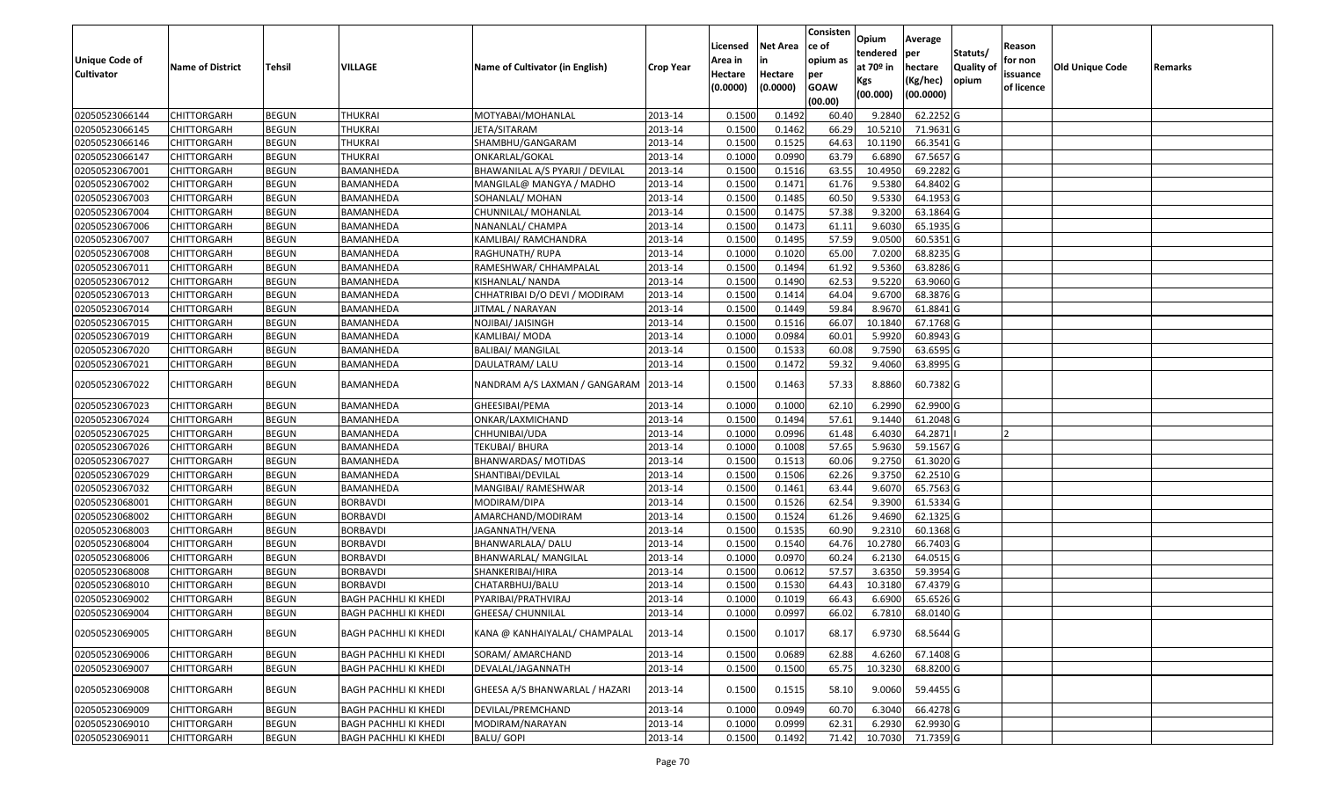|                       |                         |               |                              |                                 |                  |          |                 | Consisten        | Opium       | Average   |                  |            |                        |         |
|-----------------------|-------------------------|---------------|------------------------------|---------------------------------|------------------|----------|-----------------|------------------|-------------|-----------|------------------|------------|------------------------|---------|
|                       |                         |               |                              |                                 |                  | Licensed | <b>Net Area</b> | ce of            | tendered    | per       | Statuts/         | Reason     |                        |         |
| <b>Unique Code of</b> | <b>Name of District</b> | <b>Tehsil</b> | VILLAGE                      | Name of Cultivator (in English) | <b>Crop Year</b> | Area in  |                 | opium as         | at $70°$ in | hectare   | <b>Quality o</b> | for non    | <b>Old Unique Code</b> | Remarks |
| <b>Cultivator</b>     |                         |               |                              |                                 |                  | Hectare  | Hectare         | per              | Kgs         | (Kg/hec)  | opium            | issuance   |                        |         |
|                       |                         |               |                              |                                 |                  | (0.0000) | (0.0000)        | <b>GOAW</b>      | (00.000)    | (00.0000) |                  | of licence |                        |         |
| 02050523066144        | CHITTORGARH             | <b>BEGUN</b>  | <b>THUKRAI</b>               | MOTYABAI/MOHANLAL               | 2013-14          | 0.1500   | 0.1492          | (00.00)<br>60.40 | 9.2840      | 62.2252 G |                  |            |                        |         |
| 02050523066145        | CHITTORGARH             | <b>BEGUN</b>  | <b>THUKRAI</b>               | JETA/SITARAM                    | 2013-14          | 0.1500   | 0.1462          | 66.29            | 10.5210     | 71.9631 G |                  |            |                        |         |
| 02050523066146        | CHITTORGARH             | <b>BEGUN</b>  | <b>THUKRAI</b>               | SHAMBHU/GANGARAM                | 2013-14          | 0.1500   | 0.1525          | 64.63            | 10.1190     | 66.3541 G |                  |            |                        |         |
| 02050523066147        | <b>CHITTORGARH</b>      | <b>BEGUN</b>  | <b>THUKRAI</b>               | ONKARLAL/GOKAL                  | 2013-14          | 0.1000   | 0.0990          | 63.79            | 6.6890      | 67.5657 G |                  |            |                        |         |
| 02050523067001        | CHITTORGARH             | <b>BEGUN</b>  | BAMANHEDA                    | BHAWANILAL A/S PYARJI / DEVILAL | 2013-14          | 0.1500   | 0.1516          | 63.55            | 10.4950     | 69.2282 G |                  |            |                        |         |
| 02050523067002        | CHITTORGARH             | <b>BEGUN</b>  | BAMANHEDA                    | MANGILAL@ MANGYA / MADHO        | 2013-14          | 0.1500   | 0.1471          | 61.76            | 9.5380      | 64.8402 G |                  |            |                        |         |
| 02050523067003        | CHITTORGARH             | <b>BEGUN</b>  | BAMANHEDA                    | SOHANLAL/ MOHAN                 | 2013-14          | 0.1500   | 0.1485          | 60.50            | 9.5330      | 64.1953 G |                  |            |                        |         |
| 02050523067004        | CHITTORGARH             | <b>BEGUN</b>  | BAMANHEDA                    | CHUNNILAL/ MOHANLAL             | 2013-14          | 0.1500   | 0.1475          | 57.38            | 9.3200      | 63.1864 G |                  |            |                        |         |
| 02050523067006        | CHITTORGARH             | <b>BEGUN</b>  | BAMANHEDA                    | NANANLAL/ CHAMPA                | 2013-14          | 0.1500   | 0.1473          | 61.11            | 9.6030      | 65.1935 G |                  |            |                        |         |
| 02050523067007        | CHITTORGARH             | <b>BEGUN</b>  | BAMANHEDA                    | KAMLIBAI/ RAMCHANDRA            | 2013-14          | 0.1500   | 0.1495          | 57.59            | 9.0500      | 60.5351G  |                  |            |                        |         |
| 02050523067008        | CHITTORGARH             | <b>BEGUN</b>  | BAMANHEDA                    | RAGHUNATH/ RUPA                 | 2013-14          | 0.1000   | 0.1020          | 65.00            | 7.0200      | 68.8235 G |                  |            |                        |         |
| 02050523067011        | <b>CHITTORGARH</b>      | <b>BEGUN</b>  | BAMANHEDA                    | RAMESHWAR/ CHHAMPALAL           | 2013-14          | 0.1500   | 0.1494          | 61.92            | 9.5360      | 63.8286 G |                  |            |                        |         |
| 02050523067012        | <b>CHITTORGARH</b>      | <b>BEGUN</b>  | BAMANHEDA                    | KISHANLAL/ NANDA                | 2013-14          | 0.1500   | 0.1490          | 62.53            | 9.5220      | 63.9060 G |                  |            |                        |         |
| 02050523067013        | <b>CHITTORGARH</b>      | <b>BEGUN</b>  | BAMANHEDA                    | CHHATRIBAI D/O DEVI / MODIRAM   | 2013-14          | 0.1500   | 0.1414          | 64.04            | 9.6700      | 68.3876 G |                  |            |                        |         |
| 02050523067014        | CHITTORGARH             | <b>BEGUN</b>  | BAMANHEDA                    | IITMAL / NARAYAN                | 2013-14          | 0.1500   | 0.1449          | 59.84            | 8.9670      | 61.8841 G |                  |            |                        |         |
| 02050523067015        | CHITTORGARH             | <b>BEGUN</b>  | BAMANHEDA                    | NOJIBAI/ JAISINGH               | 2013-14          | 0.1500   | 0.1516          | 66.07            | 10.1840     | 67.1768 G |                  |            |                        |         |
| 02050523067019        | CHITTORGARH             | <b>BEGUN</b>  | BAMANHEDA                    | KAMLIBAI/ MODA                  | 2013-14          | 0.1000   | 0.0984          | 60.01            | 5.9920      | 60.8943 G |                  |            |                        |         |
| 02050523067020        | CHITTORGARH             | <b>BEGUN</b>  | BAMANHEDA                    | <b>BALIBAI/ MANGILAL</b>        | 2013-14          | 0.1500   | 0.1533          | 60.08            | 9.7590      | 63.6595 G |                  |            |                        |         |
| 02050523067021        | CHITTORGARH             | <b>BEGUN</b>  | BAMANHEDA                    | DAULATRAM/ LALU                 | 2013-14          | 0.1500   | 0.1472          | 59.32            | 9.4060      | 63.8995 G |                  |            |                        |         |
| 02050523067022        | CHITTORGARH             | <b>BEGUN</b>  | BAMANHEDA                    | NANDRAM A/S LAXMAN / GANGARAM   | 2013-14          | 0.1500   | 0.1463          | 57.33            | 8.8860      | 60.7382 G |                  |            |                        |         |
| 02050523067023        | CHITTORGARH             | <b>BEGUN</b>  | BAMANHEDA                    | GHEESIBAI/PEMA                  | 2013-14          | 0.1000   | 0.1000          | 62.10            | 6.2990      | 62.9900 G |                  |            |                        |         |
| 02050523067024        | CHITTORGARH             | <b>BEGUN</b>  | BAMANHEDA                    | ONKAR/LAXMICHAND                | 2013-14          | 0.1500   | 0.1494          | 57.61            | 9.1440      | 61.2048 G |                  |            |                        |         |
| 02050523067025        | CHITTORGARH             | <b>BEGUN</b>  | BAMANHEDA                    | CHHUNIBAI/UDA                   | 2013-14          | 0.1000   | 0.0996          | 61.48            | 6.4030      | 64.2871   |                  |            |                        |         |
| 02050523067026        | CHITTORGARH             | <b>BEGUN</b>  | BAMANHEDA                    | TEKUBAI/ BHURA                  | 2013-14          | 0.1000   | 0.1008          | 57.65            | 5.9630      | 59.1567 G |                  |            |                        |         |
| 02050523067027        | CHITTORGARH             | <b>BEGUN</b>  | BAMANHEDA                    | BHANWARDAS/ MOTIDAS             | 2013-14          | 0.1500   | 0.1513          | 60.06            | 9.2750      | 61.3020 G |                  |            |                        |         |
| 02050523067029        | CHITTORGARH             | <b>BEGUN</b>  | BAMANHEDA                    | SHANTIBAI/DEVILAL               | 2013-14          | 0.1500   | 0.1506          | 62.26            | 9.3750      | 62.2510 G |                  |            |                        |         |
| 02050523067032        | CHITTORGARH             | <b>BEGUN</b>  | BAMANHEDA                    | MANGIBAI/ RAMESHWAR             | 2013-14          | 0.1500   | 0.1461          | 63.44            | 9.6070      | 65.7563 G |                  |            |                        |         |
| 02050523068001        | CHITTORGARH             | <b>BEGUN</b>  | <b>BORBAVDI</b>              | MODIRAM/DIPA                    | 2013-14          | 0.1500   | 0.1526          | 62.54            | 9.3900      | 61.5334 G |                  |            |                        |         |
| 02050523068002        | CHITTORGARH             | <b>BEGUN</b>  | <b>BORBAVDI</b>              | AMARCHAND/MODIRAM               | 2013-14          | 0.1500   | 0.1524          | 61.26            | 9.4690      | 62.1325 G |                  |            |                        |         |
| 02050523068003        | CHITTORGARH             | <b>BEGUN</b>  | <b>BORBAVDI</b>              | JAGANNATH/VENA                  | 2013-14          | 0.1500   | 0.1535          | 60.90            | 9.2310      | 60.1368 G |                  |            |                        |         |
| 02050523068004        | CHITTORGARH             | <b>BEGUN</b>  | <b>BORBAVDI</b>              | BHANWARLALA/ DALU               | 2013-14          | 0.1500   | 0.1540          | 64.76            | 10.2780     | 66.7403 G |                  |            |                        |         |
| 02050523068006        | CHITTORGARH             | <b>BEGUN</b>  | <b>BORBAVDI</b>              | BHANWARLAL/ MANGILAL            | 2013-14          | 0.1000   | 0.0970          | 60.24            | 6.2130      | 64.0515 G |                  |            |                        |         |
| 02050523068008        | <b>CHITTORGARH</b>      | <b>BEGUN</b>  | <b>BORBAVDI</b>              | SHANKERIBAI/HIRA                | 2013-14          | 0.1500   | 0.0612          | 57.57            | 3.6350      | 59.3954 G |                  |            |                        |         |
| 02050523068010        | CHITTORGARH             | <b>BEGUN</b>  | <b>BORBAVDI</b>              | CHATARBHUJ/BALU                 | 2013-14          | 0.150    | 0.1530          | 64.43            | 10.3180     | 67.4379 G |                  |            |                        |         |
| 02050523069002        | CHITTORGARH             | <b>BEGUN</b>  | BAGH PACHHLI KI KHEDI        | PYARIBAI/PRATHVIRAJ             | 2013-14          | 0.1000   | 0.1019          | 66.43            | 6.6900      | 65.6526 G |                  |            |                        |         |
| 02050523069004        | CHITTORGARH             | <b>BEGUN</b>  | BAGH PACHHLI KI KHEDI        | GHEESA/ CHUNNILAL               | 2013-14          | 0.1000   | 0.0997          | 66.02            | 6.7810      | 68.0140 G |                  |            |                        |         |
| 02050523069005        | <b>CHITTORGARH</b>      | <b>BEGUN</b>  | <b>BAGH PACHHLI KI KHEDI</b> | KANA @ KANHAIYALAL/ CHAMPALAL   | 2013-14          | 0.1500   | 0.1017          | 68.17            | 6.9730      | 68.5644 G |                  |            |                        |         |
| 02050523069006        | <b>CHITTORGARH</b>      | <b>BEGUN</b>  | <b>BAGH PACHHLI KI KHEDI</b> | SORAM/ AMARCHAND                | 2013-14          | 0.1500   | 0.0689          | 62.88            | 4.6260      | 67.1408 G |                  |            |                        |         |
| 02050523069007        | CHITTORGARH             | <b>BEGUN</b>  | <b>BAGH PACHHLI KI KHEDI</b> | DEVALAL/JAGANNATH               | 2013-14          | 0.1500   | 0.1500          | 65.75            | 10.3230     | 68.8200 G |                  |            |                        |         |
| 02050523069008        | <b>CHITTORGARH</b>      | <b>BEGUN</b>  | <b>BAGH PACHHLI KI KHEDI</b> | GHEESA A/S BHANWARLAL / HAZARI  | 2013-14          | 0.1500   | 0.1515          | 58.10            | 9.0060      | 59.4455 G |                  |            |                        |         |
| 02050523069009        | CHITTORGARH             | <b>BEGUN</b>  | <b>BAGH PACHHLI KI KHEDI</b> | DEVILAL/PREMCHAND               | 2013-14          | 0.1000   | 0.0949          | 60.70            | 6.3040      | 66.4278 G |                  |            |                        |         |
| 02050523069010        | CHITTORGARH             | <b>BEGUN</b>  | BAGH PACHHLI KI KHEDI        | MODIRAM/NARAYAN                 | 2013-14          | 0.1000   | 0.0999          | 62.31            | 6.2930      | 62.9930 G |                  |            |                        |         |
| 02050523069011        | <b>CHITTORGARH</b>      | <b>BEGUN</b>  | <b>BAGH PACHHLI KI KHEDI</b> | <b>BALU/ GOPI</b>               | 2013-14          | 0.1500   | 0.1492          | 71.42            | 10.7030     | 71.7359 G |                  |            |                        |         |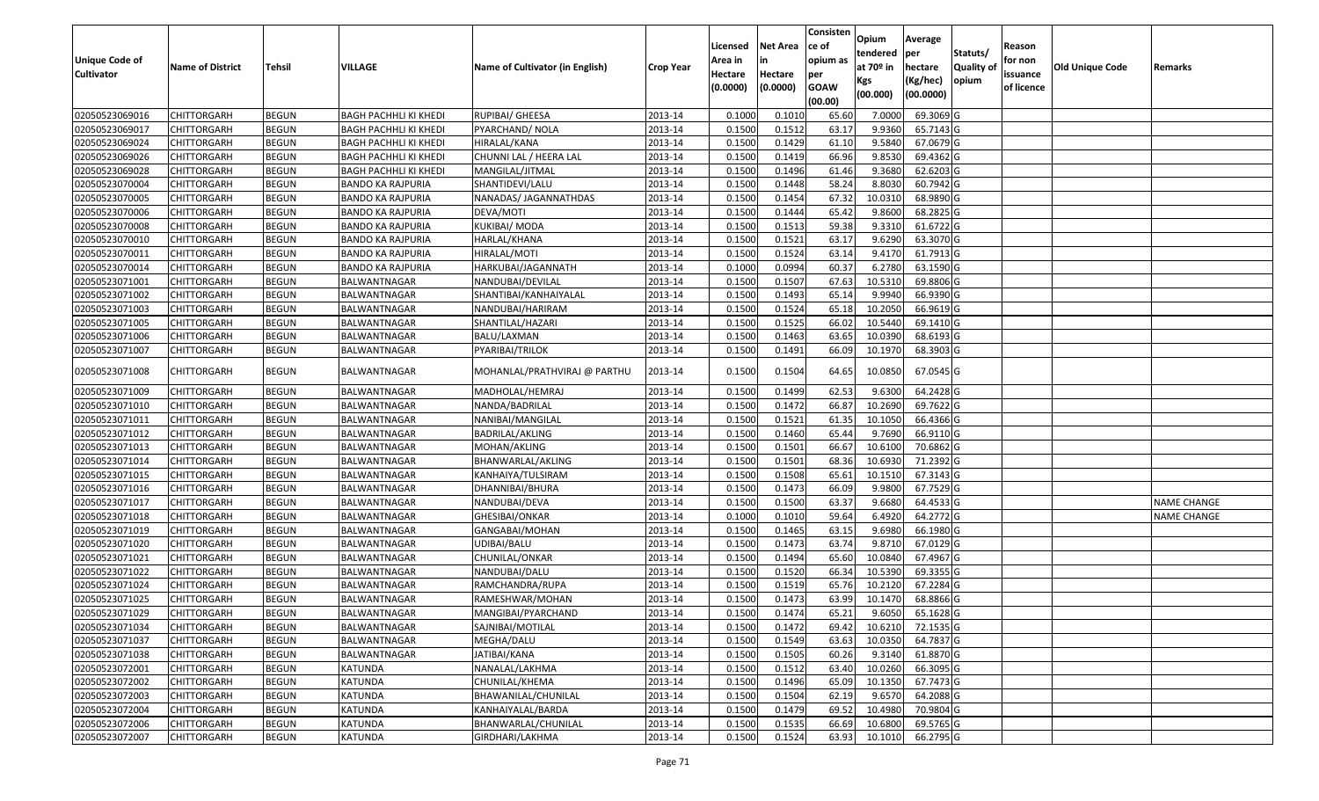|                                            |                                   |                              |                                     |                                  |                    |                    |                  | Consisten         | Opium              | Average                |                  |                     |                        |                    |
|--------------------------------------------|-----------------------------------|------------------------------|-------------------------------------|----------------------------------|--------------------|--------------------|------------------|-------------------|--------------------|------------------------|------------------|---------------------|------------------------|--------------------|
|                                            |                                   |                              |                                     |                                  |                    | Licensed           | <b>Net Area</b>  | ce of<br>opium as | tendered           | per                    | Statuts/         | Reason              |                        |                    |
| <b>Unique Code of</b><br><b>Cultivator</b> | <b>Name of District</b>           | <b>Tehsil</b>                | VILLAGE                             | Name of Cultivator (in English)  | <b>Crop Year</b>   | Area in<br>Hectare | Hectare          | per               | at $70°$ in        | hectare                | <b>Quality o</b> | for non<br>issuance | <b>Old Unique Code</b> | Remarks            |
|                                            |                                   |                              |                                     |                                  |                    | (0.0000)           | (0.0000)         | <b>GOAW</b>       | Kgs                | (Kg/hec)               | opium            | of licence          |                        |                    |
|                                            |                                   |                              |                                     |                                  |                    |                    |                  | (00.00)           | (00.000)           | (00.0000)              |                  |                     |                        |                    |
| 02050523069016                             | CHITTORGARH                       | <b>BEGUN</b>                 | <b>BAGH PACHHLI KI KHEDI</b>        | RUPIBAI/ GHEESA                  | 2013-14            | 0.1000             | 0.1010           | 65.60             | 7.0000             | 69.3069 G              |                  |                     |                        |                    |
| 02050523069017                             | CHITTORGARH                       | <b>BEGUN</b>                 | BAGH PACHHLI KI KHEDI               | PYARCHAND/NOLA                   | 2013-14            | 0.1500             | 0.1512           | 63.17             | 9.9360             | 65.7143 G              |                  |                     |                        |                    |
| 02050523069024                             | CHITTORGARH                       | <b>BEGUN</b>                 | BAGH PACHHLI KI KHEDI               | HIRALAL/KANA                     | 2013-14            | 0.1500             | 0.1429           | 61.10             | 9.5840             | 67.0679 G              |                  |                     |                        |                    |
| 02050523069026                             | CHITTORGARH                       | <b>BEGUN</b>                 | <b>BAGH PACHHLI KI KHEDI</b>        | CHUNNI LAL / HEERA LAL           | 2013-14            | 0.1500             | 0.1419           | 66.96             | 9.8530             | 69.4362 G              |                  |                     |                        |                    |
| 02050523069028                             | CHITTORGARH                       | <b>BEGUN</b>                 | BAGH PACHHLI KI KHEDI               | MANGILAL/JITMAL                  | 2013-14            | 0.1500             | 0.1496           | 61.46             | 9.3680             | 62.6203 G              |                  |                     |                        |                    |
| 02050523070004                             | CHITTORGARH                       | <b>BEGUN</b>                 | <b>BANDO KA RAJPURIA</b>            | SHANTIDEVI/LALU                  | 2013-14            | 0.1500             | 0.1448           | 58.24             | 8.8030             | 60.7942 G              |                  |                     |                        |                    |
| 02050523070005                             | CHITTORGARH                       | <b>BEGUN</b>                 | BANDO KA RAJPURIA                   | NANADAS/ JAGANNATHDAS            | 2013-14            | 0.1500             | 0.1454           | 67.32             | 10.031             | 68.9890 G              |                  |                     |                        |                    |
| 02050523070006                             | <b>CHITTORGARH</b>                | <b>BEGUN</b>                 | <b>BANDO KA RAJPURIA</b>            | DEVA/MOTI                        | 2013-14            | 0.1500             | 0.1444           | 65.42             | 9.8600             | 68.2825 G              |                  |                     |                        |                    |
| 02050523070008                             | CHITTORGARH                       | <b>BEGUN</b>                 | <b>BANDO KA RAJPURIA</b>            | <b>KUKIBAI/ MODA</b>             | 2013-14            | 0.1500             | 0.1513           | 59.38             | 9.331              | 61.6722 G              |                  |                     |                        |                    |
| 02050523070010                             | CHITTORGARH                       | <b>BEGUN</b>                 | <b>BANDO KA RAJPURIA</b>            | HARLAL/KHANA                     | 2013-14            | 0.1500             | 0.1521           | 63.17             | 9.6290             | 63.3070 G              |                  |                     |                        |                    |
| 02050523070011                             | CHITTORGARH                       | <b>BEGUN</b>                 | <b>BANDO KA RAJPURIA</b>            | HIRALAL/MOTI                     | 2013-14            | 0.1500             | 0.1524           | 63.14             | 9.4170             | 61.7913 G              |                  |                     |                        |                    |
| 02050523070014                             | CHITTORGARH                       | <b>BEGUN</b>                 | <b>BANDO KA RAJPURIA</b>            | HARKUBAI/JAGANNATH               | 2013-14            | 0.1000             | 0.0994           | 60.37             | 6.2780             | 63.1590 G              |                  |                     |                        |                    |
| 02050523071001                             | <b>CHITTORGARH</b>                | <b>BEGUN</b>                 | BALWANTNAGAR                        | NANDUBAI/DEVILAL                 | 2013-14            | 0.1500             | 0.1507           | 67.63             | 10.5310            | 69.8806 G              |                  |                     |                        |                    |
| 02050523071002                             | <b>CHITTORGARH</b>                | <b>BEGUN</b>                 | BALWANTNAGAR                        | SHANTIBAI/KANHAIYALAL            | 2013-14            | 0.1500             | 0.1493           | 65.14             | 9.994              | 66.9390 G              |                  |                     |                        |                    |
| 02050523071003                             | CHITTORGARH                       | <b>BEGUN</b>                 | BALWANTNAGAR                        | NANDUBAI/HARIRAM                 | 2013-14            | 0.1500             | 0.1524           | 65.18             | 10.2050            | 66.9619 G              |                  |                     |                        |                    |
| 02050523071005                             | <b>CHITTORGARH</b>                | <b>BEGUN</b>                 | BALWANTNAGAR                        | SHANTILAL/HAZARI                 | 2013-14            | 0.1500             | 0.1525           | 66.02             | 10.5440            | 69.1410G               |                  |                     |                        |                    |
| 02050523071006                             | CHITTORGARH                       | <b>BEGUN</b>                 | BALWANTNAGAR                        | BALU/LAXMAN                      | 2013-14            | 0.1500             | 0.1463           | 63.65             | 10.0390            | 68.6193 G              |                  |                     |                        |                    |
| 02050523071007                             | CHITTORGARH                       | <b>BEGUN</b>                 | BALWANTNAGAR                        | PYARIBAI/TRILOK                  | 2013-14            | 0.1500             | 0.1491           | 66.09             | 10.1970            | 68.3903 G              |                  |                     |                        |                    |
| 02050523071008                             | CHITTORGARH                       | <b>BEGUN</b>                 | BALWANTNAGAR                        | MOHANLAL/PRATHVIRAJ @ PARTHU     | 2013-14            | 0.1500             | 0.1504           | 64.65             | 10.0850            | 67.0545 G              |                  |                     |                        |                    |
| 02050523071009                             | CHITTORGARH                       | <b>BEGUN</b>                 | BALWANTNAGAR                        | MADHOLAL/HEMRAJ                  | 2013-14            | 0.1500             | 0.1499           | 62.53             | 9.6300             | 64.2428 G              |                  |                     |                        |                    |
| 02050523071010                             | CHITTORGARH                       | <b>BEGUN</b>                 | BALWANTNAGAR                        | NANDA/BADRILAL                   | 2013-14            | 0.1500             | 0.1472           | 66.87             | 10.2690            | 69.7622 G              |                  |                     |                        |                    |
| 02050523071011                             | CHITTORGARH                       | <b>BEGUN</b>                 | BALWANTNAGAR                        | NANIBAI/MANGILAL                 | 2013-14            | 0.1500             | 0.1521           | 61.35             | 10.1050            | 66.4366 G              |                  |                     |                        |                    |
| 02050523071012                             | CHITTORGARH                       | <b>BEGUN</b>                 | BALWANTNAGAR                        | BADRILAL/AKLING                  | 2013-14            | 0.1500             | 0.1460           | 65.44             | 9.7690             | 66.9110 G              |                  |                     |                        |                    |
| 02050523071013                             | CHITTORGARH                       | <b>BEGUN</b>                 | BALWANTNAGAR                        | MOHAN/AKLING                     | 2013-14            | 0.1500             | 0.1501           | 66.67             | 10.6100            | 70.6862G               |                  |                     |                        |                    |
| 02050523071014                             | CHITTORGARH                       | <b>BEGUN</b>                 | BALWANTNAGAR                        | BHANWARLAL/AKLING                | 2013-14            | 0.1500             | 0.1501           | 68.36             | 10.6930            | 71.2392 G              |                  |                     |                        |                    |
| 02050523071015                             | CHITTORGARH                       | <b>BEGUN</b>                 | BALWANTNAGAR                        | KANHAIYA/TULSIRAM                | 2013-14            | 0.1500             | 0.1508           | 65.6              | 10.1510            | 67.3143 G              |                  |                     |                        |                    |
| 02050523071016                             | CHITTORGARH                       | <b>BEGUN</b>                 | BALWANTNAGAR                        | DHANNIBAI/BHURA                  | 2013-14            | 0.1500             | 0.1473           | 66.09             | 9.9800             | 67.7529 G              |                  |                     |                        |                    |
| 02050523071017                             | CHITTORGARH                       | <b>BEGUN</b>                 | BALWANTNAGAR                        | NANDUBAI/DEVA                    | 2013-14            | 0.1500             | 0.1500           | 63.37             | 9.6680             | 64.4533 G              |                  |                     |                        | <b>NAME CHANGE</b> |
| 02050523071018                             | CHITTORGARH                       | <b>BEGUN</b>                 | BALWANTNAGAR                        | GHESIBAI/ONKAR                   | 2013-14            | 0.1000             | 0.1010           | 59.64             | 6.4920             | 64.2772 G              |                  |                     |                        | NAME CHANGE        |
| 02050523071019                             | CHITTORGARH                       | <b>BEGUN</b>                 | BALWANTNAGAR                        | GANGABAI/MOHAN                   | 2013-14            | 0.1500             | 0.1465           | 63.1              | 9.6980             | 66.1980 G              |                  |                     |                        |                    |
| 02050523071020                             | CHITTORGARH                       | <b>BEGUN</b>                 | BALWANTNAGAR                        | UDIBAI/BALU                      | 2013-14            | 0.1500             | 0.1473           | 63.7              | 9.871              | 67.0129 G              |                  |                     |                        |                    |
| 02050523071021                             | <b>CHITTORGARH</b>                | <b>BEGUN</b>                 | BALWANTNAGAR                        | CHUNILAL/ONKAR                   | 2013-14            | 0.1500             | 0.1494           | 65.60             | 10.0840            | 67.4967 G              |                  |                     |                        |                    |
| 02050523071022                             | <b>CHITTORGARH</b>                | <b>BEGUN</b>                 | BALWANTNAGAR                        | NANDUBAI/DALU                    | 2013-14            | 0.1500             | 0.1520           | 66.34             | 10.5390            | 69.3355 G              |                  |                     |                        |                    |
| 02050523071024                             | CHITTORGARH                       | <b>BEGUN</b>                 | BALWANTNAGAR                        | RAMCHANDRA/RUPA                  | 2013-14            | 0.150              | 0.1519           | 65.76             | 10.2120            | 67.2284 G              |                  |                     |                        |                    |
| 02050523071025<br>02050523071029           | CHITTORGARH                       | <b>BEGUN</b><br><b>BEGUN</b> | <b>BALWANTNAGAR</b><br>BALWANTNAGAR | RAMESHWAR/MOHAN                  | 2013-14<br>2013-14 | 0.1500<br>0.1500   | 0.1473<br>0.1474 | 63.99             | 10.1470            | 68.8866 G<br>65.1628 G |                  |                     |                        |                    |
|                                            | <b>CHITTORGARH</b>                |                              |                                     | MANGIBAI/PYARCHAND               |                    |                    |                  | 65.21             | 9.6050             |                        |                  |                     |                        |                    |
| 02050523071034<br>02050523071037           | <b>CHITTORGARH</b>                | <b>BEGUN</b>                 | <b>BALWANTNAGAR</b>                 | SAJNIBAI/MOTILAL                 | 2013-14            | 0.1500             | 0.1472           | 69.42             | 10.6210            | 72.1535 G              |                  |                     |                        |                    |
| 02050523071038                             | <b>CHITTORGARH</b>                | <b>BEGUN</b><br><b>BEGUN</b> | BALWANTNAGAR<br>BALWANTNAGAR        | MEGHA/DALU                       | 2013-14            | 0.1500<br>0.1500   | 0.1549<br>0.1505 | 63.63<br>60.26    | 10.0350<br>9.3140  | 64.7837 G<br>61.8870 G |                  |                     |                        |                    |
|                                            | <b>CHITTORGARH</b>                |                              |                                     | JATIBAI/KANA                     | 2013-14            |                    |                  |                   |                    | 66.3095 G              |                  |                     |                        |                    |
| 02050523072001<br>02050523072002           | CHITTORGARH<br><b>CHITTORGARH</b> | <b>BEGUN</b><br><b>BEGUN</b> | KATUNDA<br><b>KATUNDA</b>           | NANALAL/LAKHMA<br>CHUNILAL/KHEMA | 2013-14<br>2013-14 | 0.1500<br>0.1500   | 0.1512<br>0.1496 | 63.40<br>65.09    | 10.0260<br>10.1350 | 67.7473 G              |                  |                     |                        |                    |
| 02050523072003                             | <b>CHITTORGARH</b>                | <b>BEGUN</b>                 | KATUNDA                             | BHAWANILAL/CHUNILAL              | 2013-14            | 0.1500             | 0.1504           | 62.19             | 9.6570             | 64.2088 G              |                  |                     |                        |                    |
| 02050523072004                             | CHITTORGARH                       | <b>BEGUN</b>                 | KATUNDA                             | KANHAIYALAL/BARDA                | 2013-14            | 0.1500             | 0.1479           | 69.52             | 10.4980            | 70.9804 G              |                  |                     |                        |                    |
| 02050523072006                             | CHITTORGARH                       | <b>BEGUN</b>                 | KATUNDA                             | BHANWARLAL/CHUNILAL              | 2013-14            | 0.1500             | 0.1535           | 66.69             | 10.6800            | 69.5765 G              |                  |                     |                        |                    |
| 02050523072007                             | <b>CHITTORGARH</b>                | <b>BEGUN</b>                 | KATUNDA                             | GIRDHARI/LAKHMA                  | 2013-14            | 0.1500             | 0.1524           | 63.93             | 10.1010            | 66.2795 G              |                  |                     |                        |                    |
|                                            |                                   |                              |                                     |                                  |                    |                    |                  |                   |                    |                        |                  |                     |                        |                    |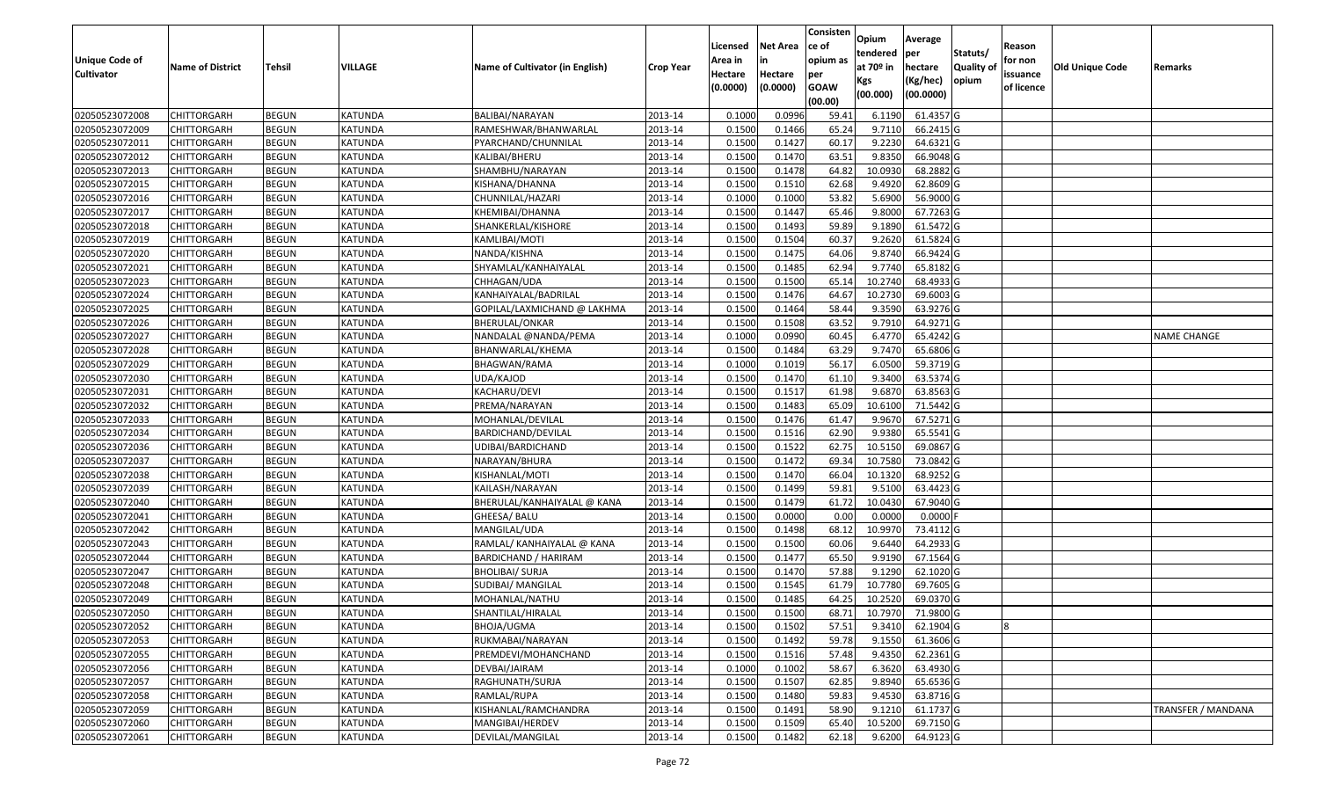| Unique Code of<br><b>Cultivator</b> | <b>Name of District</b> | <b>Tehsil</b> | VILLAGE        | Name of Cultivator (in English) | <b>Crop Year</b> | Licensed<br>Area in<br>Hectare<br>(0.0000) | <b>Net Area</b><br>in<br>Hectare<br>(0.0000) | Consisten<br>ce of<br>opium as<br>per<br><b>GOAW</b><br>(00.00) | Opium<br>tendered<br>at $70°$ in<br>Kgs<br>(00.000) | Average<br>per<br>hectare<br>(Kg/hec)<br>(00.0000) | Statuts/<br>Quality of<br>opium | Reason<br>for non<br>issuance<br>of licence | <b>Old Unique Code</b> | Remarks                   |
|-------------------------------------|-------------------------|---------------|----------------|---------------------------------|------------------|--------------------------------------------|----------------------------------------------|-----------------------------------------------------------------|-----------------------------------------------------|----------------------------------------------------|---------------------------------|---------------------------------------------|------------------------|---------------------------|
| 02050523072008                      | <b>CHITTORGARH</b>      | <b>BEGUN</b>  | <b>KATUNDA</b> | BALIBAI/NARAYAN                 | 2013-14          | 0.1000                                     | 0.0996                                       | 59.41                                                           | 6.1190                                              | 61.4357 G                                          |                                 |                                             |                        |                           |
| 02050523072009                      | CHITTORGARH             | <b>BEGUN</b>  | <b>KATUNDA</b> | RAMESHWAR/BHANWARLAL            | 2013-14          | 0.1500                                     | 0.1466                                       | 65.24                                                           | 9.7110                                              | 66.2415 G                                          |                                 |                                             |                        |                           |
| 02050523072011                      | CHITTORGARH             | <b>BEGUN</b>  | KATUNDA        | PYARCHAND/CHUNNILAL             | 2013-14          | 0.1500                                     | 0.1427                                       | 60.17                                                           | 9.2230                                              | 64.6321 G                                          |                                 |                                             |                        |                           |
| 02050523072012                      | <b>CHITTORGARH</b>      | <b>BEGUN</b>  | <b>KATUNDA</b> | KALIBAI/BHERU                   | 2013-14          | 0.1500                                     | 0.1470                                       | 63.51                                                           | 9.8350                                              | 66.9048 G                                          |                                 |                                             |                        |                           |
| 02050523072013                      | <b>CHITTORGARH</b>      | <b>BEGUN</b>  | <b>KATUNDA</b> | SHAMBHU/NARAYAN                 | 2013-14          | 0.1500                                     | 0.1478                                       | 64.82                                                           | 10.0930                                             | 68.2882 G                                          |                                 |                                             |                        |                           |
| 02050523072015                      | CHITTORGARH             | <b>BEGUN</b>  | <b>KATUNDA</b> | KISHANA/DHANNA                  | 2013-14          | 0.1500                                     | 0.1510                                       | 62.68                                                           | 9.4920                                              | 62.8609 G                                          |                                 |                                             |                        |                           |
| 02050523072016                      | CHITTORGARH             | <b>BEGUN</b>  | KATUNDA        | CHUNNILAL/HAZARI                | 2013-14          | 0.1000                                     | 0.1000                                       | 53.82                                                           | 5.6900                                              | 56.9000 G                                          |                                 |                                             |                        |                           |
| 02050523072017                      | CHITTORGARH             | <b>BEGUN</b>  | <b>KATUNDA</b> | KHEMIBAI/DHANNA                 | 2013-14          | 0.1500                                     | 0.1447                                       | 65.46                                                           | 9.8000                                              | 67.7263 G                                          |                                 |                                             |                        |                           |
| 02050523072018                      | CHITTORGARH             | <b>BEGUN</b>  | <b>KATUNDA</b> | SHANKERLAL/KISHORE              | 2013-14          | 0.1500                                     | 0.1493                                       | 59.89                                                           | 9.1890                                              | 61.5472 G                                          |                                 |                                             |                        |                           |
| 02050523072019                      | CHITTORGARH             | <b>BEGUN</b>  | <b>KATUNDA</b> | KAMLIBAI/MOTI                   | 2013-14          | 0.150                                      | 0.1504                                       | 60.37                                                           | 9.2620                                              | 61.5824 G                                          |                                 |                                             |                        |                           |
| 02050523072020                      | CHITTORGARH             | <b>BEGUN</b>  | KATUNDA        | NANDA/KISHNA                    | 2013-14          | 0.1500                                     | 0.1475                                       | 64.06                                                           | 9.8740                                              | 66.9424 G                                          |                                 |                                             |                        |                           |
| 02050523072021                      | CHITTORGARH             | <b>BEGUN</b>  | <b>KATUNDA</b> | SHYAMLAL/KANHAIYALAL            | 2013-14          | 0.1500                                     | 0.1485                                       | 62.94                                                           | 9.7740                                              | 65.8182 G                                          |                                 |                                             |                        |                           |
| 02050523072023                      | CHITTORGARH             | <b>BEGUN</b>  | <b>KATUNDA</b> | CHHAGAN/UDA                     | 2013-14          | 0.1500                                     | 0.1500                                       | 65.14                                                           | 10.2740                                             | 68.4933 G                                          |                                 |                                             |                        |                           |
| 02050523072024                      | CHITTORGARH             | <b>BEGUN</b>  | <b>KATUNDA</b> | KANHAIYALAL/BADRILAL            | 2013-14          | 0.150                                      | 0.1476                                       | 64.67                                                           | 10.2730                                             | 69.6003 G                                          |                                 |                                             |                        |                           |
| 02050523072025                      | CHITTORGARH             | <b>BEGUN</b>  | <b>KATUNDA</b> | GOPILAL/LAXMICHAND @ LAKHMA     | 2013-14          | 0.1500                                     | 0.1464                                       | 58.44                                                           | 9.3590                                              | 63.9276 G                                          |                                 |                                             |                        |                           |
| 02050523072026                      | CHITTORGARH             | <b>BEGUN</b>  | <b>KATUNDA</b> | BHERULAL/ONKAR                  | 2013-14          | 0.150                                      | 0.1508                                       | 63.52                                                           | 9.791                                               | 64.9271 G                                          |                                 |                                             |                        |                           |
| 02050523072027                      | CHITTORGARH             | <b>BEGUN</b>  | KATUNDA        | NANDALAL @NANDA/PEMA            | 2013-14          | 0.1000                                     | 0.0990                                       | 60.45                                                           | 6.4770                                              | 65.4242 G                                          |                                 |                                             |                        | <b>NAME CHANGE</b>        |
| 02050523072028                      | CHITTORGARH             | <b>BEGUN</b>  | KATUNDA        | BHANWARLAL/KHEMA                | 2013-14          | 0.150                                      | 0.1484                                       | 63.29                                                           | 9.7470                                              | 65.6806 G                                          |                                 |                                             |                        |                           |
| 02050523072029                      | <b>CHITTORGARH</b>      | <b>BEGUN</b>  | KATUNDA        | BHAGWAN/RAMA                    | 2013-14          | 0.1000                                     | 0.1019                                       | 56.17                                                           | 6.0500                                              | 59.3719 G                                          |                                 |                                             |                        |                           |
| 02050523072030                      | CHITTORGARH             | <b>BEGUN</b>  | KATUNDA        | UDA/KAJOD                       | 2013-14          | 0.1500                                     | 0.1470                                       | 61.10                                                           | 9.3400                                              | 63.5374 G                                          |                                 |                                             |                        |                           |
| 02050523072031                      | <b>CHITTORGARH</b>      | <b>BEGUN</b>  | <b>KATUNDA</b> | KACHARU/DEVI                    | 2013-14          | 0.1500                                     | 0.1517                                       | 61.98                                                           | 9.6870                                              | 63.8563 G                                          |                                 |                                             |                        |                           |
| 02050523072032                      | CHITTORGARH             | <b>BEGUN</b>  | <b>KATUNDA</b> | PREMA/NARAYAN                   | 2013-14          | 0.1500                                     | 0.1483                                       | 65.09                                                           | 10.6100                                             | 71.5442 G                                          |                                 |                                             |                        |                           |
| 02050523072033                      | CHITTORGARH             | <b>BEGUN</b>  | <b>KATUNDA</b> | MOHANLAL/DEVILAL                | 2013-14          | 0.1500                                     | 0.1476                                       | 61.47                                                           | 9.9670                                              | 67.5271 G                                          |                                 |                                             |                        |                           |
| 02050523072034                      | CHITTORGARH             | <b>BEGUN</b>  | <b>KATUNDA</b> | BARDICHAND/DEVILAL              | 2013-14          | 0.1500                                     | 0.1516                                       | 62.90                                                           | 9.9380                                              | 65.5541 G                                          |                                 |                                             |                        |                           |
| 02050523072036                      | CHITTORGARH             | <b>BEGUN</b>  | <b>KATUNDA</b> | JDIBAI/BARDICHAND               | 2013-14          | 0.1500                                     | 0.1522                                       | 62.75                                                           | 10.515                                              | 69.0867 G                                          |                                 |                                             |                        |                           |
| 02050523072037                      | CHITTORGARH             | <b>BEGUN</b>  | <b>KATUNDA</b> | NARAYAN/BHURA                   | 2013-14          | 0.1500                                     | 0.1472                                       | 69.34                                                           | 10.7580                                             | 73.0842 G                                          |                                 |                                             |                        |                           |
| 02050523072038                      | CHITTORGARH             | <b>BEGUN</b>  | <b>KATUNDA</b> | KISHANLAL/MOTI                  | 2013-14          | 0.1500                                     | 0.1470                                       | 66.04                                                           | 10.1320                                             | 68.9252 G                                          |                                 |                                             |                        |                           |
| 02050523072039                      | CHITTORGARH             | <b>BEGUN</b>  | <b>KATUNDA</b> | KAILASH/NARAYAN                 | 2013-14          | 0.1500                                     | 0.1499                                       | 59.8                                                            | 9.5100                                              | 63.4423 G                                          |                                 |                                             |                        |                           |
| 02050523072040                      | <b>CHITTORGARH</b>      | <b>BEGUN</b>  | <b>KATUNDA</b> | BHERULAL/KANHAIYALAL @ KANA     | 2013-14          | 0.1500                                     | 0.1479                                       | 61.72                                                           | 10.0430                                             | 67.9040 G                                          |                                 |                                             |                        |                           |
| 02050523072041                      | <b>CHITTORGARH</b>      | <b>BEGUN</b>  | <b>KATUNDA</b> | GHEESA/ BALU                    | 2013-14          | 0.1500                                     | 0.0000                                       | 0.00                                                            | 0.0000                                              | $0.0000$ F                                         |                                 |                                             |                        |                           |
| 02050523072042                      | <b>CHITTORGARH</b>      | <b>BEGUN</b>  | <b>KATUNDA</b> | MANGILAL/UDA                    | 2013-14          | 0.1500                                     | 0.1498                                       | 68.12                                                           | 10.9970                                             | 73.4112G                                           |                                 |                                             |                        |                           |
| 02050523072043                      | CHITTORGARH             | <b>BEGUN</b>  | KATUNDA        | RAMLAL/ KANHAIYALAL @ KANA      | 2013-14          | 0.1500                                     | 0.1500                                       | 60.06                                                           | 9.6440                                              | 64.2933 G                                          |                                 |                                             |                        |                           |
| 02050523072044                      | <b>CHITTORGARH</b>      | <b>BEGUN</b>  | <b>KATUNDA</b> | BARDICHAND / HARIRAM            | 2013-14          | 0.1500                                     | 0.1477                                       | 65.50                                                           | 9.9190                                              | 67.1564 G                                          |                                 |                                             |                        |                           |
| 02050523072047                      | CHITTORGARH             | <b>BEGUN</b>  | <b>KATUNDA</b> | <b>BHOLIBAI/ SURJA</b>          | 2013-14          | 0.1500                                     | 0.1470                                       | 57.88                                                           | 9.1290                                              | 62.1020 G                                          |                                 |                                             |                        |                           |
| 02050523072048                      | CHITTORGARH             | <b>BEGUN</b>  | <b>KATUNDA</b> | SUDIBAI/ MANGILAL               | 2013-14          | 0.150                                      | 0.1545                                       | 61.79                                                           | 10.7780                                             | 69.7605 G                                          |                                 |                                             |                        |                           |
| 02050523072049                      | CHITTORGARH             | <b>BEGUN</b>  | <b>KATUNDA</b> | MOHANLAL/NATHU                  | 2013-14          | 0.1500                                     | 0.1485                                       | 64.25                                                           | 10.2520                                             | 69.0370 G                                          |                                 |                                             |                        |                           |
| 02050523072050                      | <b>CHITTORGARH</b>      | <b>BEGUN</b>  | <b>KATUNDA</b> | SHANTILAL/HIRALAL               | 2013-14          | 0.1500                                     | 0.1500                                       | 68.71                                                           | 10.7970                                             | 71.9800 G                                          |                                 |                                             |                        |                           |
| 02050523072052                      | <b>CHITTORGARH</b>      | <b>BEGUN</b>  | KATUNDA        | BHOJA/UGMA                      | 2013-14          | 0.1500                                     | 0.1502                                       | 57.51                                                           | 9.3410                                              | 62.1904 G                                          |                                 |                                             |                        |                           |
| 02050523072053                      | <b>CHITTORGARH</b>      | <b>BEGUN</b>  | KATUNDA        | RUKMABAI/NARAYAN                | 2013-14          | 0.1500                                     | 0.1492                                       | 59.78                                                           | 9.1550                                              | 61.3606 G                                          |                                 |                                             |                        |                           |
| 02050523072055                      | <b>CHITTORGARH</b>      | <b>BEGUN</b>  | KATUNDA        | PREMDEVI/MOHANCHAND             | 2013-14          | 0.1500                                     | 0.1516                                       | 57.48                                                           | 9.4350                                              | 62.2361 G                                          |                                 |                                             |                        |                           |
| 02050523072056                      | <b>CHITTORGARH</b>      | <b>BEGUN</b>  | <b>KATUNDA</b> | DEVBAI/JAIRAM                   | 2013-14          | 0.1000                                     | 0.1002                                       | 58.67                                                           | 6.3620                                              | 63.4930 G                                          |                                 |                                             |                        |                           |
| 02050523072057                      | <b>CHITTORGARH</b>      | <b>BEGUN</b>  | <b>KATUNDA</b> | RAGHUNATH/SURJA                 | 2013-14          | 0.1500                                     | 0.1507                                       | 62.85                                                           | 9.8940                                              | 65.6536 G                                          |                                 |                                             |                        |                           |
| 02050523072058                      | <b>CHITTORGARH</b>      | <b>BEGUN</b>  | <b>KATUNDA</b> | RAMLAL/RUPA                     | 2013-14          | 0.1500                                     | 0.1480                                       | 59.83                                                           | 9.4530                                              | 63.8716 G                                          |                                 |                                             |                        |                           |
| 02050523072059                      | <b>CHITTORGARH</b>      | <b>BEGUN</b>  | KATUNDA        | KISHANLAL/RAMCHANDRA            | 2013-14          | 0.1500                                     | 0.1491                                       | 58.90                                                           | 9.1210                                              | 61.1737 G                                          |                                 |                                             |                        | <b>TRANSFER / MANDANA</b> |
| 02050523072060                      | <b>CHITTORGARH</b>      | <b>BEGUN</b>  | KATUNDA        | MANGIBAI/HERDEV                 | 2013-14          | 0.1500                                     | 0.1509                                       | 65.40                                                           | 10.5200                                             | 69.7150 G                                          |                                 |                                             |                        |                           |
| 02050523072061                      | <b>CHITTORGARH</b>      | <b>BEGUN</b>  | KATUNDA        | DEVILAL/MANGILAL                | 2013-14          | 0.1500                                     | 0.1482                                       | 62.18                                                           | 9.6200                                              | 64.9123 G                                          |                                 |                                             |                        |                           |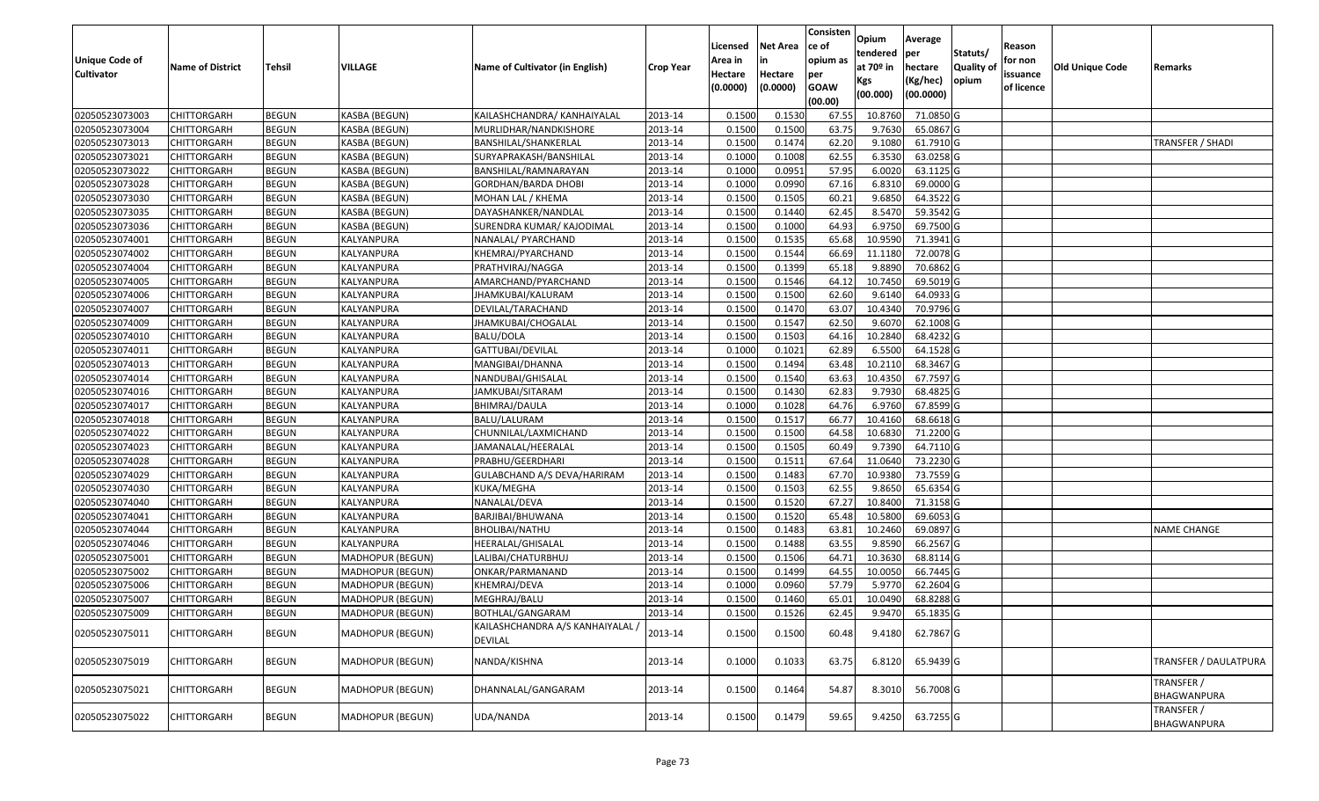| <b>Unique Code of</b><br><b>Cultivator</b> | <b>Name of District</b> | <b>Tehsil</b> | VILLAGE          | Name of Cultivator (in English)                  | <b>Crop Year</b> | Licensed<br>Area in<br>Hectare<br>(0.0000) | <b>Net Area</b><br>in<br>Hectare<br>(0.0000) | Consisten<br>ce of<br>opium as<br>per<br><b>GOAW</b><br>(00.00) | Opium<br>tendered<br>at $70°$ in<br>Kgs<br>(00.000) | Average<br>per<br>hectare<br>(Kg/hec)<br>(00.0000) | Statuts/<br>Quality of<br>opium | Reason<br>for non<br>issuance<br>of licence | <b>Old Unique Code</b> | Remarks                   |
|--------------------------------------------|-------------------------|---------------|------------------|--------------------------------------------------|------------------|--------------------------------------------|----------------------------------------------|-----------------------------------------------------------------|-----------------------------------------------------|----------------------------------------------------|---------------------------------|---------------------------------------------|------------------------|---------------------------|
| 02050523073003                             | <b>CHITTORGARH</b>      | <b>BEGUN</b>  | KASBA (BEGUN)    | KAILASHCHANDRA/ KANHAIYALAL                      | 2013-14          | 0.1500                                     | 0.1530                                       | 67.55                                                           | 10.8760                                             | 71.0850 G                                          |                                 |                                             |                        |                           |
| 02050523073004                             | CHITTORGARH             | <b>BEGUN</b>  | KASBA (BEGUN)    | MURLIDHAR/NANDKISHORE                            | 2013-14          | 0.1500                                     | 0.1500                                       | 63.75                                                           | 9.7630                                              | 65.0867 G                                          |                                 |                                             |                        |                           |
| 02050523073013                             | CHITTORGARH             | <b>BEGUN</b>  | KASBA (BEGUN)    | BANSHILAL/SHANKERLAL                             | 2013-14          | 0.1500                                     | 0.1474                                       | 62.20                                                           | 9.1080                                              | 61.7910 G                                          |                                 |                                             |                        | TRANSFER / SHADI          |
| 02050523073021                             | <b>CHITTORGARH</b>      | <b>BEGUN</b>  | KASBA (BEGUN)    | SURYAPRAKASH/BANSHILAL                           | 2013-14          | 0.1000                                     | 0.1008                                       | 62.55                                                           | 6.3530                                              | 63.0258 G                                          |                                 |                                             |                        |                           |
| 02050523073022                             | <b>CHITTORGARH</b>      | <b>BEGUN</b>  | KASBA (BEGUN)    | BANSHILAL/RAMNARAYAN                             | 2013-14          | 0.1000                                     | 0.0951                                       | 57.95                                                           | 6.0020                                              | 63.1125 G                                          |                                 |                                             |                        |                           |
| 02050523073028                             | <b>CHITTORGARH</b>      | <b>BEGUN</b>  | KASBA (BEGUN)    | GORDHAN/BARDA DHOBI                              | 2013-14          | 0.1000                                     | 0.0990                                       | 67.16                                                           | 6.8310                                              | 69.0000 G                                          |                                 |                                             |                        |                           |
| 02050523073030                             | <b>CHITTORGARH</b>      | <b>BEGUN</b>  | KASBA (BEGUN)    | MOHAN LAL / KHEMA                                | 2013-14          | 0.1500                                     | 0.1505                                       | 60.21                                                           | 9.6850                                              | 64.3522 G                                          |                                 |                                             |                        |                           |
| 02050523073035                             | <b>CHITTORGARH</b>      | <b>BEGUN</b>  | KASBA (BEGUN)    | DAYASHANKER/NANDLAL                              | 2013-14          | 0.1500                                     | 0.1440                                       | 62.45                                                           | 8.5470                                              | 59.3542 G                                          |                                 |                                             |                        |                           |
| 02050523073036                             | CHITTORGARH             | <b>BEGUN</b>  | KASBA (BEGUN)    | SURENDRA KUMAR/ KAJODIMAL                        | 2013-14          | 0.1500                                     | 0.1000                                       | 64.93                                                           | 6.9750                                              | 69.7500 G                                          |                                 |                                             |                        |                           |
| 02050523074001                             | CHITTORGARH             | <b>BEGUN</b>  | KALYANPURA       | NANALAL/ PYARCHAND                               | 2013-14          | 0.1500                                     | 0.1535                                       | 65.68                                                           | 10.9590                                             | 71.3941 G                                          |                                 |                                             |                        |                           |
| 02050523074002                             | <b>CHITTORGARH</b>      | <b>BEGUN</b>  | KALYANPURA       | KHEMRAJ/PYARCHAND                                | 2013-14          | 0.1500                                     | 0.1544                                       | 66.69                                                           | 11.1180                                             | 72.0078 G                                          |                                 |                                             |                        |                           |
| 02050523074004                             | CHITTORGARH             | <b>BEGUN</b>  | KALYANPURA       | PRATHVIRAJ/NAGGA                                 | 2013-14          | 0.1500                                     | 0.1399                                       | 65.18                                                           | 9.8890                                              | 70.6862 G                                          |                                 |                                             |                        |                           |
| 02050523074005                             | CHITTORGARH             | <b>BEGUN</b>  | KALYANPURA       | AMARCHAND/PYARCHAND                              | 2013-14          | 0.1500                                     | 0.1546                                       | 64.12                                                           | 10.745                                              | 69.5019 G                                          |                                 |                                             |                        |                           |
| 02050523074006                             | CHITTORGARH             | <b>BEGUN</b>  | KALYANPURA       | JHAMKUBAI/KALURAM                                | 2013-14          | 0.1500                                     | 0.1500                                       | 62.60                                                           | 9.6140                                              | 64.0933 G                                          |                                 |                                             |                        |                           |
| 02050523074007                             | CHITTORGARH             | <b>BEGUN</b>  | KALYANPURA       | DEVILAL/TARACHAND                                | 2013-14          | 0.1500                                     | 0.1470                                       | 63.07                                                           | 10.4340                                             | 70.9796 G                                          |                                 |                                             |                        |                           |
| 02050523074009                             | CHITTORGARH             | <b>BEGUN</b>  | KALYANPURA       | JHAMKUBAI/CHOGALAL                               | 2013-14          | 0.1500                                     | 0.1547                                       | 62.50                                                           | 9.6070                                              | 62.1008 G                                          |                                 |                                             |                        |                           |
| 02050523074010                             | CHITTORGARH             | <b>BEGUN</b>  | KALYANPURA       | BALU/DOLA                                        | 2013-14          | 0.1500                                     | 0.1503                                       | 64.16                                                           | 10.2840                                             | 68.4232 G                                          |                                 |                                             |                        |                           |
| 02050523074011                             | CHITTORGARH             | <b>BEGUN</b>  | KALYANPURA       | GATTUBAI/DEVILAL                                 | 2013-14          | 0.1000                                     | 0.1021                                       | 62.89                                                           | 6.5500                                              | 64.1528 G                                          |                                 |                                             |                        |                           |
| 02050523074013                             | <b>CHITTORGARH</b>      | <b>BEGUN</b>  | KALYANPURA       | MANGIBAI/DHANNA                                  | 2013-14          | 0.1500                                     | 0.1494                                       | 63.48                                                           | 10.2110                                             | 68.3467 G                                          |                                 |                                             |                        |                           |
| 02050523074014                             | CHITTORGARH             | <b>BEGUN</b>  | KALYANPURA       | NANDUBAI/GHISALAL                                | 2013-14          | 0.1500                                     | 0.1540                                       | 63.63                                                           | 10.4350                                             | 67.7597 G                                          |                                 |                                             |                        |                           |
| 02050523074016                             | <b>CHITTORGARH</b>      | <b>BEGUN</b>  | KALYANPURA       | JAMKUBAI/SITARAM                                 | 2013-14          | 0.1500                                     | 0.1430                                       | 62.83                                                           | 9.7930                                              | 68.4825 G                                          |                                 |                                             |                        |                           |
| 02050523074017                             | CHITTORGARH             | <b>BEGUN</b>  | KALYANPURA       | BHIMRAJ/DAULA                                    | 2013-14          | 0.1000                                     | 0.1028                                       | 64.76                                                           | 6.9760                                              | 67.8599 G                                          |                                 |                                             |                        |                           |
| 02050523074018                             | CHITTORGARH             | <b>BEGUN</b>  | KALYANPURA       | BALU/LALURAM                                     | 2013-14          | 0.1500                                     | 0.1517                                       | 66.77                                                           | 10.4160                                             | 68.6618 G                                          |                                 |                                             |                        |                           |
| 02050523074022                             | CHITTORGARH             | <b>BEGUN</b>  | KALYANPURA       | CHUNNILAL/LAXMICHAND                             | 2013-14          | 0.1500                                     | 0.1500                                       | 64.58                                                           | 10.6830                                             | 71.2200 G                                          |                                 |                                             |                        |                           |
| 02050523074023                             | CHITTORGARH             | <b>BEGUN</b>  | KALYANPURA       | JAMANALAL/HEERALAL                               | 2013-14          | 0.1500                                     | 0.1505                                       | 60.49                                                           | 9.7390                                              | 64.7110 G                                          |                                 |                                             |                        |                           |
| 02050523074028                             | CHITTORGARH             | <b>BEGUN</b>  | KALYANPURA       | PRABHU/GEERDHARI                                 | 2013-14          | 0.1500                                     | 0.1511                                       | 67.64                                                           | 11.0640                                             | 73.2230 G                                          |                                 |                                             |                        |                           |
| 02050523074029                             | CHITTORGARH             | <b>BEGUN</b>  | KALYANPURA       | GULABCHAND A/S DEVA/HARIRAM                      | 2013-14          | 0.1500                                     | 0.1483                                       | 67.70                                                           | 10.9380                                             | 73.7559 G                                          |                                 |                                             |                        |                           |
| 02050523074030                             | CHITTORGARH             | <b>BEGUN</b>  | KALYANPURA       | KUKA/MEGHA                                       | 2013-14          | 0.1500                                     | 0.1503                                       | 62.55                                                           | 9.865                                               | 65.6354 G                                          |                                 |                                             |                        |                           |
| 02050523074040                             | <b>CHITTORGARH</b>      | <b>BEGUN</b>  | KALYANPURA       | NANALAL/DEVA                                     | 2013-14          | 0.1500                                     | 0.1520                                       | 67.27                                                           | 10.8400                                             | 71.3158 G                                          |                                 |                                             |                        |                           |
| 02050523074041                             | <b>CHITTORGARH</b>      | <b>BEGUN</b>  | KALYANPURA       | BARJIBAI/BHUWANA                                 | 2013-14          | 0.1500                                     | 0.1520                                       | 65.48                                                           | 10.5800                                             | 69.6053 G                                          |                                 |                                             |                        |                           |
| 02050523074044                             | <b>CHITTORGARH</b>      | <b>BEGUN</b>  | KALYANPURA       | BHOLIBAI/NATHU                                   | 2013-14          | 0.1500                                     | 0.1483                                       | 63.81                                                           | 10.2460                                             | 69.0897 G                                          |                                 |                                             |                        | <b>NAME CHANGE</b>        |
| 02050523074046                             | <b>CHITTORGARH</b>      | <b>BEGUN</b>  | KALYANPURA       | HEERALAL/GHISALAL                                | 2013-14          | 0.1500                                     | 0.1488                                       | 63.55                                                           | 9.8590                                              | 66.2567 G                                          |                                 |                                             |                        |                           |
| 02050523075001                             | CHITTORGARH             | <b>BEGUN</b>  | MADHOPUR (BEGUN) | LALIBAI/CHATURBHUJ                               | 2013-14          | 0.1500                                     | 0.1506                                       | 64.71                                                           | 10.3630                                             | 68.8114 G                                          |                                 |                                             |                        |                           |
| 02050523075002                             | <b>CHITTORGARH</b>      | <b>BEGUN</b>  | MADHOPUR (BEGUN) | ONKAR/PARMANAND                                  | 2013-14          | 0.1500                                     | 0.1499                                       | 64.55                                                           | 10.0050                                             | 66.7445 G                                          |                                 |                                             |                        |                           |
| 02050523075006                             | CHITTORGARH             | <b>BEGUN</b>  | MADHOPUR (BEGUN) | KHEMRAJ/DEVA                                     | 2013-14          | 0.1000                                     | 0.0960                                       | 57.79                                                           | 5.977                                               | 62.2604 G                                          |                                 |                                             |                        |                           |
| 02050523075007                             | CHITTORGARH             | <b>BEGUN</b>  | MADHOPUR (BEGUN) | MEGHRAJ/BALU                                     | 2013-14          | 0.1500                                     | 0.1460                                       | 65.01                                                           | 10.0490                                             | 68.8288 G                                          |                                 |                                             |                        |                           |
| 02050523075009                             | <b>CHITTORGARH</b>      | <b>BEGUN</b>  | MADHOPUR (BEGUN) | BOTHLAL/GANGARAM                                 | 2013-14          | 0.150                                      | 0.1526                                       | 62.45                                                           | 9.9470                                              | 65.1835 G                                          |                                 |                                             |                        |                           |
| 02050523075011                             | <b>CHITTORGARH</b>      | <b>BEGUN</b>  | MADHOPUR (BEGUN) | KAILASHCHANDRA A/S KANHAIYALAL<br><b>DEVILAL</b> | 2013-14          | 0.1500                                     | 0.1500                                       | 60.48                                                           | 9.4180                                              | 62.7867 G                                          |                                 |                                             |                        |                           |
| 02050523075019                             | <b>CHITTORGARH</b>      | <b>BEGUN</b>  | MADHOPUR (BEGUN) | NANDA/KISHNA                                     | 2013-14          | 0.1000                                     | 0.1033                                       | 63.75                                                           | 6.8120                                              | 65.9439 G                                          |                                 |                                             |                        | TRANSFER / DAULATPURA     |
| 02050523075021                             | <b>CHITTORGARH</b>      | <b>BEGUN</b>  | MADHOPUR (BEGUN) | DHANNALAL/GANGARAM                               | 2013-14          | 0.1500                                     | 0.1464                                       | 54.87                                                           | 8.3010                                              | 56.7008 G                                          |                                 |                                             |                        | TRANSFER /<br>BHAGWANPURA |
| 02050523075022                             | CHITTORGARH             | <b>BEGUN</b>  | MADHOPUR (BEGUN) | UDA/NANDA                                        | 2013-14          | 0.1500                                     | 0.1479                                       | 59.65                                                           | 9.4250                                              | 63.7255 G                                          |                                 |                                             |                        | TRANSFER /<br>BHAGWANPURA |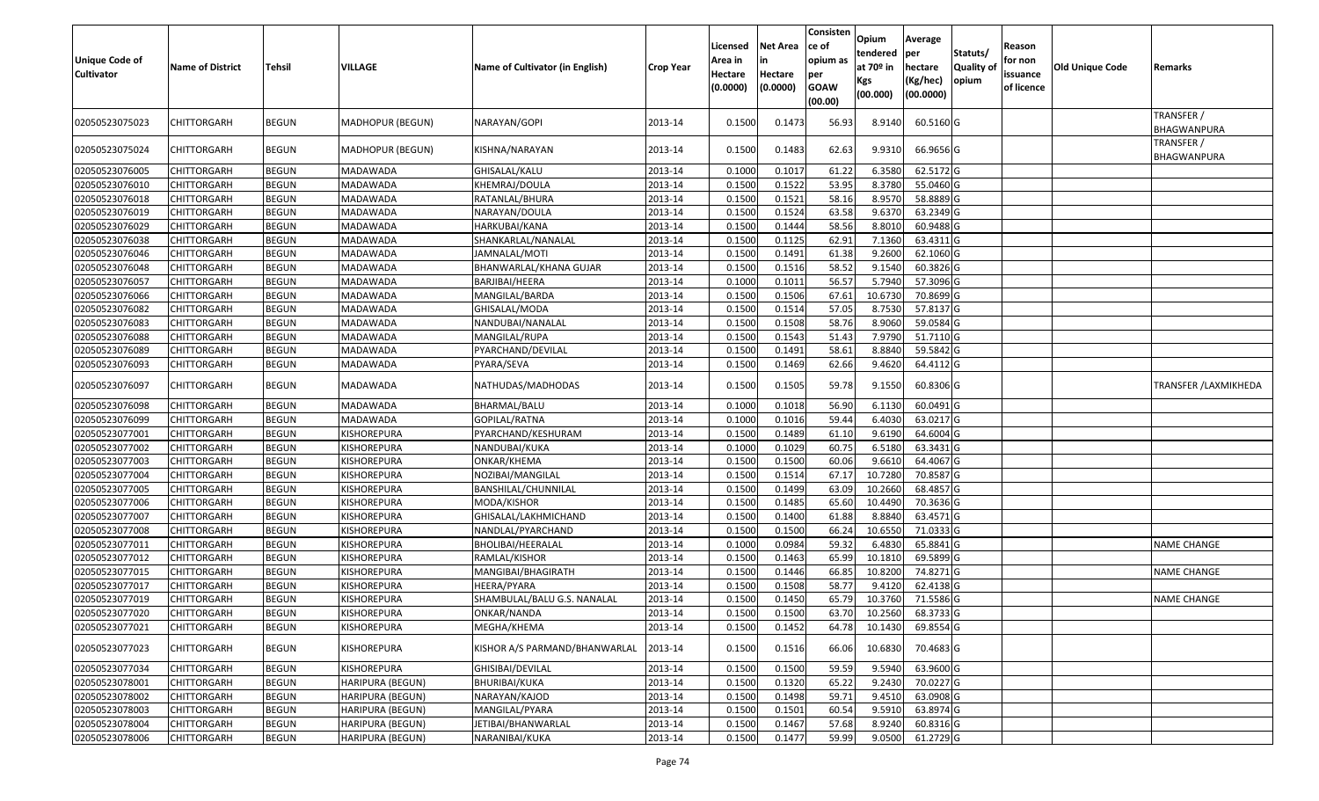| <b>Unique Code of</b><br><b>Cultivator</b> | <b>Name of District</b> | <b>Tehsil</b> | VILLAGE          | Name of Cultivator (in English) | <b>Crop Year</b> | Licensed<br>Area in<br>Hectare<br>(0.0000) | <b>Net Area</b><br>in<br>Hectare<br>(0.0000) | Consisten<br>ce of<br>opium as<br>per<br><b>GOAW</b><br>(00.00) | Opium<br>tendered<br>at 70º in<br>Kgs<br>(00.000) | Average<br><b>per</b><br>hectare<br>(Kg/hec)<br>(00.0000) | Statuts/<br><b>Quality of</b><br>opium | Reason<br>for non<br>issuance<br>of licence | Old Unique Code | Remarks                   |
|--------------------------------------------|-------------------------|---------------|------------------|---------------------------------|------------------|--------------------------------------------|----------------------------------------------|-----------------------------------------------------------------|---------------------------------------------------|-----------------------------------------------------------|----------------------------------------|---------------------------------------------|-----------------|---------------------------|
| 02050523075023                             | CHITTORGARH             | BEGUN         | MADHOPUR (BEGUN) | NARAYAN/GOPI                    | 2013-14          | 0.1500                                     | 0.1473                                       | 56.93                                                           | 8.9140                                            | 60.5160 G                                                 |                                        |                                             |                 | TRANSFER /<br>BHAGWANPURA |
| 02050523075024                             | <b>CHITTORGARH</b>      | <b>BEGUN</b>  | MADHOPUR (BEGUN) | KISHNA/NARAYAN                  | 2013-14          | 0.1500                                     | 0.1483                                       | 62.63                                                           | 9.9310                                            | 66.9656 G                                                 |                                        |                                             |                 | TRANSFER /<br>BHAGWANPURA |
| 02050523076005                             | <b>CHITTORGARH</b>      | <b>BEGUN</b>  | MADAWADA         | GHISALAL/KALU                   | 2013-14          | 0.100                                      | 0.1017                                       | 61.22                                                           | 6.3580                                            | 62.5172 G                                                 |                                        |                                             |                 |                           |
| 02050523076010                             | <b>CHITTORGARH</b>      | <b>BEGUN</b>  | MADAWADA         | KHEMRAJ/DOULA                   | 2013-14          | 0.1500                                     | 0.1522                                       | 53.95                                                           | 8.3780                                            | 55.0460 G                                                 |                                        |                                             |                 |                           |
| 02050523076018                             | <b>CHITTORGARH</b>      | <b>BEGUN</b>  | MADAWADA         | RATANLAL/BHURA                  | 2013-14          | 0.1500                                     | 0.1521                                       | 58.16                                                           | 8.9570                                            | 58.8889 G                                                 |                                        |                                             |                 |                           |
| 02050523076019                             | <b>CHITTORGARH</b>      | <b>BEGUN</b>  | MADAWADA         | NARAYAN/DOULA                   | 2013-14          | 0.1500                                     | 0.1524                                       | 63.58                                                           | 9.6370                                            | 63.2349 G                                                 |                                        |                                             |                 |                           |
| 02050523076029                             | <b>CHITTORGARH</b>      | <b>BEGUN</b>  | MADAWADA         | HARKUBAI/KANA                   | 2013-14          | 0.1500                                     | 0.1444                                       | 58.56                                                           | 8.8010                                            | 60.9488 G                                                 |                                        |                                             |                 |                           |
| 02050523076038                             | <b>CHITTORGARH</b>      | <b>BEGUN</b>  | MADAWADA         | SHANKARLAL/NANALAL              | 2013-14          | 0.1500                                     | 0.1125                                       | 62.91                                                           | 7.1360                                            | 63.4311 G                                                 |                                        |                                             |                 |                           |
| 02050523076046                             | <b>CHITTORGARH</b>      | <b>BEGUN</b>  | MADAWADA         | JAMNALAL/MOTI                   | 2013-14          | 0.1500                                     | 0.1491                                       | 61.38                                                           | 9.2600                                            | 62.1060 G                                                 |                                        |                                             |                 |                           |
| 02050523076048                             | <b>CHITTORGARH</b>      | <b>BEGUN</b>  | MADAWADA         | BHANWARLAL/KHANA GUJAR          | 2013-14          | 0.1500                                     | 0.1516                                       | 58.52                                                           | 9.1540                                            | 60.3826 G                                                 |                                        |                                             |                 |                           |
| 02050523076057                             | <b>CHITTORGARH</b>      | <b>BEGUN</b>  | MADAWADA         | BARJIBAI/HEERA                  | 2013-14          | 0.1000                                     | 0.1011                                       | 56.57                                                           | 5.7940                                            | 57.3096 G                                                 |                                        |                                             |                 |                           |
| 02050523076066                             | <b>CHITTORGARH</b>      | <b>BEGUN</b>  | MADAWADA         | MANGILAL/BARDA                  | 2013-14          | 0.1500                                     | 0.1506                                       | 67.61                                                           | 10.6730                                           | 70.8699 G                                                 |                                        |                                             |                 |                           |
| 02050523076082                             | <b>CHITTORGARH</b>      | <b>BEGUN</b>  | MADAWADA         | GHISALAL/MODA                   | 2013-14          | 0.1500                                     | 0.1514                                       | 57.05                                                           | 8.7530                                            | 57.8137 G                                                 |                                        |                                             |                 |                           |
| 02050523076083                             | <b>CHITTORGARH</b>      | <b>BEGUN</b>  | MADAWADA         | NANDUBAI/NANALAL                | 2013-14          | 0.1500                                     | 0.1508                                       | 58.76                                                           | 8.9060                                            | 59.0584 G                                                 |                                        |                                             |                 |                           |
| 02050523076088                             | <b>CHITTORGARH</b>      | <b>BEGUN</b>  | MADAWADA         | MANGILAL/RUPA                   | 2013-14          | 0.1500                                     | 0.1543                                       | 51.43                                                           | 7.9790                                            | 51.7110 G                                                 |                                        |                                             |                 |                           |
| 02050523076089                             | <b>CHITTORGARH</b>      | <b>BEGUN</b>  | MADAWADA         | PYARCHAND/DEVILAL               | 2013-14          | 0.1500                                     | 0.1491                                       | 58.61                                                           | 8.8840                                            | 59.5842 G                                                 |                                        |                                             |                 |                           |
| 02050523076093                             | <b>CHITTORGARH</b>      | <b>BEGUN</b>  | MADAWADA         | PYARA/SEVA                      | 2013-14          | 0.1500                                     | 0.1469                                       | 62.66                                                           | 9.4620                                            | 64.4112 G                                                 |                                        |                                             |                 |                           |
| 02050523076097                             | <b>CHITTORGARH</b>      | <b>BEGUN</b>  | MADAWADA         | NATHUDAS/MADHODAS               | 2013-14          | 0.1500                                     | 0.1505                                       | 59.78                                                           | 9.1550                                            | 60.8306 G                                                 |                                        |                                             |                 | TRANSFER / LAXMIKHEDA     |
| 02050523076098                             | <b>CHITTORGARH</b>      | <b>BEGUN</b>  | MADAWADA         | BHARMAL/BALU                    | 2013-14          | 0.100                                      | 0.1018                                       | 56.90                                                           | 6.1130                                            | 60.0491 G                                                 |                                        |                                             |                 |                           |
| 02050523076099                             | <b>CHITTORGARH</b>      | <b>BEGUN</b>  | MADAWADA         | GOPILAL/RATNA                   | 2013-14          | 0.1000                                     | 0.1016                                       | 59.44                                                           | 6.4030                                            | 63.0217 G                                                 |                                        |                                             |                 |                           |
| 02050523077001                             | <b>CHITTORGARH</b>      | <b>BEGUN</b>  | KISHOREPURA      | PYARCHAND/KESHURAM              | 2013-14          | 0.1500                                     | 0.1489                                       | 61.10                                                           | 9.6190                                            | 64.6004 G                                                 |                                        |                                             |                 |                           |
| 02050523077002                             | <b>CHITTORGARH</b>      | <b>BEGUN</b>  | KISHOREPURA      | NANDUBAI/KUKA                   | 2013-14          | 0.1000                                     | 0.1029                                       | 60.75                                                           | 6.5180                                            | 63.3431 G                                                 |                                        |                                             |                 |                           |
| 02050523077003                             | <b>CHITTORGARH</b>      | <b>BEGUN</b>  | KISHOREPURA      | ONKAR/KHEMA                     | 2013-14          | 0.1500                                     | 0.1500                                       | 60.06                                                           | 9.6610                                            | 64.4067 G                                                 |                                        |                                             |                 |                           |
| 02050523077004                             | <b>CHITTORGARH</b>      | <b>BEGUN</b>  | KISHOREPURA      | NOZIBAI/MANGILAL                | 2013-14          | 0.1500                                     | 0.1514                                       | 67.17                                                           | 10.7280                                           | 70.8587 G                                                 |                                        |                                             |                 |                           |
| 02050523077005                             | <b>CHITTORGARH</b>      | <b>BEGUN</b>  | KISHOREPURA      | BANSHILAL/CHUNNILAL             | 2013-14          | 0.1500                                     | 0.1499                                       | 63.09                                                           | 10.2660                                           | 68.4857 G                                                 |                                        |                                             |                 |                           |
| 02050523077006                             | <b>CHITTORGARH</b>      | <b>BEGUN</b>  | KISHOREPURA      | MODA/KISHOR                     | 2013-14          | 0.1500                                     | 0.1485                                       | 65.60                                                           | 10.4490                                           | 70.3636 G                                                 |                                        |                                             |                 |                           |
| 02050523077007                             | <b>CHITTORGARH</b>      | <b>BEGUN</b>  | KISHOREPURA      | GHISALAL/LAKHMICHAND            | 2013-14          | 0.1500                                     | 0.1400                                       | 61.88                                                           | 8.8840                                            | 63.4571 G                                                 |                                        |                                             |                 |                           |
| 02050523077008                             | <b>CHITTORGARH</b>      | <b>BEGUN</b>  | KISHOREPURA      | NANDLAL/PYARCHAND               | 2013-14          | 0.1500                                     | 0.1500                                       | 66.24                                                           | 10.6550                                           | 71.0333 G                                                 |                                        |                                             |                 |                           |
| 02050523077011                             | <b>CHITTORGARH</b>      | <b>BEGUN</b>  | KISHOREPURA      | BHOLIBAI/HEERALAL               | 2013-14          | 0.1000                                     | 0.0984                                       | 59.32                                                           | 6.4830                                            | 65.8841 G                                                 |                                        |                                             |                 | <b>NAME CHANGE</b>        |
| 02050523077012                             | <b>CHITTORGARH</b>      | <b>BEGUN</b>  | KISHOREPURA      | RAMLAL/KISHOR                   | 2013-14          | 0.1500                                     | 0.1463                                       | 65.99                                                           | 10.1810                                           | 69.5899 G                                                 |                                        |                                             |                 |                           |
| 02050523077015                             | <b>CHITTORGARH</b>      | <b>BEGUN</b>  | KISHOREPURA      | MANGIBAI/BHAGIRATH              | 2013-14          | 0.1500                                     | 0.1446                                       | 66.85                                                           | 10.8200                                           | 74.8271 G                                                 |                                        |                                             |                 | <b>NAME CHANGE</b>        |
| 02050523077017                             | CHITTORGARH             | <b>BEGUN</b>  | KISHOREPURA      | HEERA/PYARA                     | 2013-14          | 0.1500                                     | 0.1508                                       | 58.77                                                           | 9.4120                                            | 62.4138 G                                                 |                                        |                                             |                 |                           |
| 02050523077019                             | <b>CHITTORGARH</b>      | <b>BEGUN</b>  | KISHOREPURA      | SHAMBULAL/BALU G.S. NANALAL     | 2013-14          | 0.1500                                     | 0.1450                                       | 65.79                                                           | 10.3760                                           | 71.5586 G                                                 |                                        |                                             |                 | <b>NAME CHANGE</b>        |
| 02050523077020                             | <b>CHITTORGARH</b>      | <b>BEGUN</b>  | KISHOREPURA      | ONKAR/NANDA                     | 2013-14          | 0.1500                                     | 0.1500                                       | 63.70                                                           | 10.2560                                           | 68.3733 G                                                 |                                        |                                             |                 |                           |
| 02050523077021                             | <b>CHITTORGARH</b>      | <b>BEGUN</b>  | KISHOREPURA      | MEGHA/KHEMA                     | 2013-14          | 0.1500                                     | 0.1452                                       | 64.78                                                           | 10.1430                                           | 69.8554 G                                                 |                                        |                                             |                 |                           |
| 02050523077023                             | <b>CHITTORGARH</b>      | <b>BEGUN</b>  | KISHOREPURA      | KISHOR A/S PARMAND/BHANWARLAL   | 2013-14          | 0.1500                                     | 0.1516                                       | 66.06                                                           | 10.6830                                           | 70.4683 G                                                 |                                        |                                             |                 |                           |
| 02050523077034                             | <b>CHITTORGARH</b>      | <b>BEGUN</b>  | KISHOREPURA      | GHISIBAI/DEVILAL                | 2013-14          | 0.1500                                     | 0.1500                                       | 59.59                                                           | 9.5940                                            | 63.9600 G                                                 |                                        |                                             |                 |                           |
| 02050523078001                             | <b>CHITTORGARH</b>      | <b>BEGUN</b>  | HARIPURA (BEGUN) | <b>BHURIBAI/KUKA</b>            | 2013-14          | 0.1500                                     | 0.1320                                       | 65.22                                                           | 9.2430                                            | 70.0227 G                                                 |                                        |                                             |                 |                           |
| 02050523078002                             | <b>CHITTORGARH</b>      | <b>BEGUN</b>  | HARIPURA (BEGUN) | NARAYAN/KAJOD                   | 2013-14          | 0.1500                                     | 0.1498                                       | 59.71                                                           | 9.4510                                            | 63.0908 G                                                 |                                        |                                             |                 |                           |
| 02050523078003                             | <b>CHITTORGARH</b>      | <b>BEGUN</b>  | HARIPURA (BEGUN) | MANGILAL/PYARA                  | 2013-14          | 0.1500                                     | 0.1501                                       | 60.54                                                           | 9.5910                                            | 63.8974 G                                                 |                                        |                                             |                 |                           |
| 02050523078004                             | <b>CHITTORGARH</b>      | <b>BEGUN</b>  | HARIPURA (BEGUN) | JETIBAI/BHANWARLAL              | 2013-14          | 0.1500                                     | 0.1467                                       | 57.68                                                           | 8.9240                                            | 60.8316 G                                                 |                                        |                                             |                 |                           |
| 02050523078006                             | <b>CHITTORGARH</b>      | <b>BEGUN</b>  | HARIPURA (BEGUN) | NARANIBAI/KUKA                  | 2013-14          | 0.1500                                     | 0.1477                                       | 59.99                                                           | 9.0500                                            | 61.2729 G                                                 |                                        |                                             |                 |                           |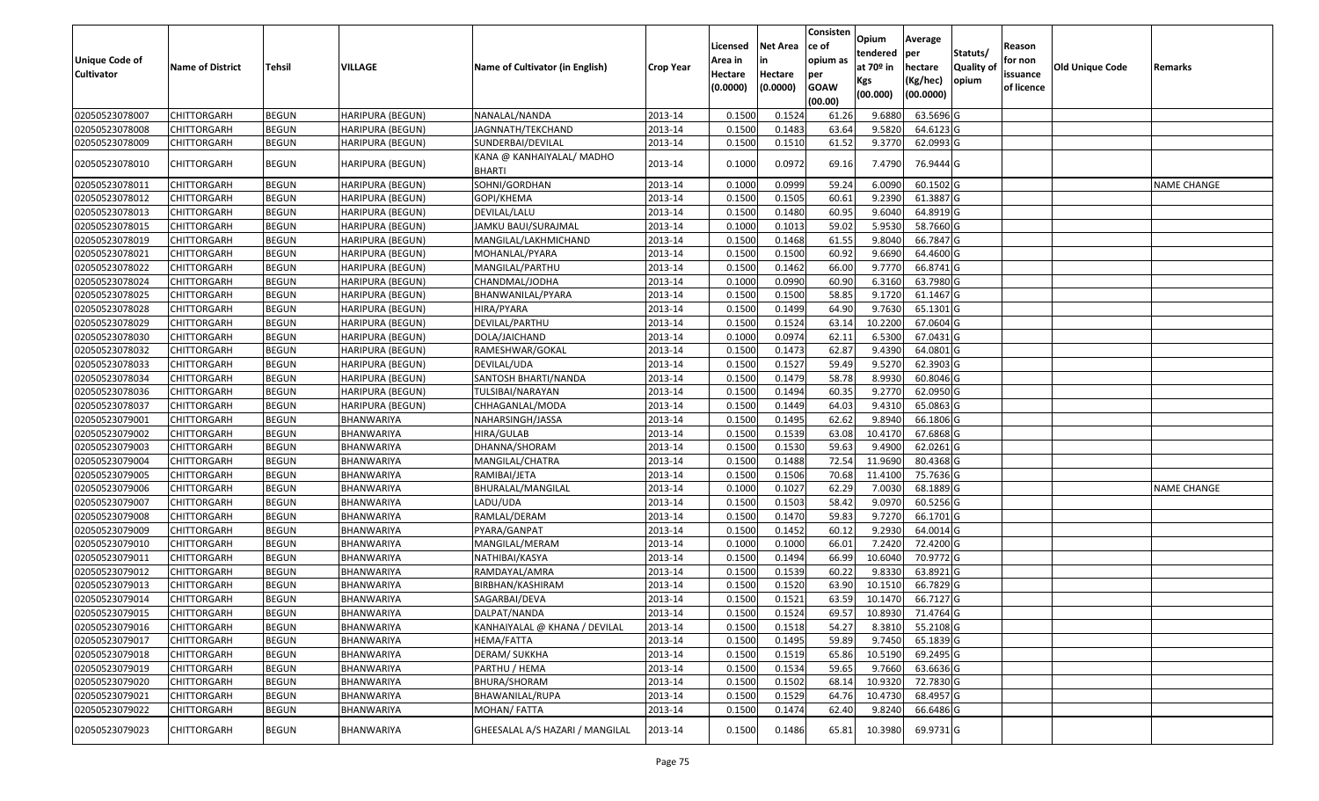| <b>Unique Code of</b><br><b>Cultivator</b> | <b>Name of District</b> | <b>Tehsil</b> | VILLAGE                 | Name of Cultivator (in English)            | <b>Crop Year</b> | Licensed<br>Area in<br>Hectare<br>(0.0000) | <b>Net Area</b><br>in<br>Hectare<br>(0.0000) | Consisten<br>ce of<br>opium as<br>per<br><b>GOAW</b><br>(00.00) | Opium<br>tendered<br>at 70º in<br>Kgs<br>(00.000) | Average<br>per<br>hectare<br>(Kg/hec)<br>(00.0000) | Statuts/<br><b>Quality of</b><br>opium | Reason<br>for non<br>issuance<br>of licence | <b>Old Unique Code</b> | Remarks            |
|--------------------------------------------|-------------------------|---------------|-------------------------|--------------------------------------------|------------------|--------------------------------------------|----------------------------------------------|-----------------------------------------------------------------|---------------------------------------------------|----------------------------------------------------|----------------------------------------|---------------------------------------------|------------------------|--------------------|
| 02050523078007                             | <b>CHITTORGARH</b>      | <b>BEGUN</b>  | HARIPURA (BEGUN)        | NANALAL/NANDA                              | 2013-14          | 0.1500                                     | 0.1524                                       | 61.26                                                           | 9.6880                                            | 63.5696 G                                          |                                        |                                             |                        |                    |
| 02050523078008                             | <b>CHITTORGARH</b>      | <b>BEGUN</b>  | HARIPURA (BEGUN)        | JAGNNATH/TEKCHAND                          | 2013-14          | 0.1500                                     | 0.1483                                       | 63.64                                                           | 9.5820                                            | 64.6123 G                                          |                                        |                                             |                        |                    |
| 02050523078009                             | <b>CHITTORGARH</b>      | <b>BEGUN</b>  | HARIPURA (BEGUN)        | SUNDERBAI/DEVILAL                          | 2013-14          | 0.1500                                     | 0.1510                                       | 61.52                                                           | 9.3770                                            | 62.0993 G                                          |                                        |                                             |                        |                    |
| 02050523078010                             | <b>CHITTORGARH</b>      | <b>BEGUN</b>  | HARIPURA (BEGUN)        | KANA @ KANHAIYALAL/ MADHO<br><b>BHARTI</b> | 2013-14          | 0.1000                                     | 0.0972                                       | 69.16                                                           | 7.4790                                            | 76.9444 G                                          |                                        |                                             |                        |                    |
| 02050523078011                             | <b>CHITTORGARH</b>      | <b>BEGUN</b>  | HARIPURA (BEGUN)        | SOHNI/GORDHAN                              | 2013-14          | 0.1000                                     | 0.0999                                       | 59.24                                                           | 6.0090                                            | 60.1502 G                                          |                                        |                                             |                        | <b>NAME CHANGE</b> |
| 02050523078012                             | <b>CHITTORGARH</b>      | <b>BEGUN</b>  | HARIPURA (BEGUN)        | GOPI/KHEMA                                 | 2013-14          | 0.1500                                     | 0.1505                                       | 60.61                                                           | 9.2390                                            | 61.3887 G                                          |                                        |                                             |                        |                    |
| 02050523078013                             | <b>CHITTORGARH</b>      | <b>BEGUN</b>  | HARIPURA (BEGUN)        | DEVILAL/LALU                               | 2013-14          | 0.1500                                     | 0.1480                                       | 60.95                                                           | 9.6040                                            | 64.8919 G                                          |                                        |                                             |                        |                    |
| 02050523078015                             | <b>CHITTORGARH</b>      | <b>BEGUN</b>  | HARIPURA (BEGUN)        | JAMKU BAUI/SURAJMAL                        | 2013-14          | 0.1000                                     | 0.1013                                       | 59.02                                                           | 5.9530                                            | 58.7660 G                                          |                                        |                                             |                        |                    |
| 02050523078019                             | <b>CHITTORGARH</b>      | <b>BEGUN</b>  | HARIPURA (BEGUN)        | MANGILAL/LAKHMICHAND                       | 2013-14          | 0.1500                                     | 0.1468                                       | 61.55                                                           | 9.8040                                            | 66.7847 G                                          |                                        |                                             |                        |                    |
| 02050523078021                             | <b>CHITTORGARH</b>      | <b>BEGUN</b>  | HARIPURA (BEGUN)        | MOHANLAL/PYARA                             | 2013-14          | 0.1500                                     | 0.1500                                       | 60.92                                                           | 9.6690                                            | 64.4600 G                                          |                                        |                                             |                        |                    |
| 02050523078022                             | <b>CHITTORGARH</b>      | <b>BEGUN</b>  | HARIPURA (BEGUN)        | MANGILAL/PARTHU                            | 2013-14          | 0.1500                                     | 0.1462                                       | 66.00                                                           | 9.7770                                            | 66.8741 G                                          |                                        |                                             |                        |                    |
| 02050523078024                             | <b>CHITTORGARH</b>      | <b>BEGUN</b>  | HARIPURA (BEGUN)        | CHANDMAL/JODHA                             | 2013-14          | 0.1000                                     | 0.0990                                       | 60.90                                                           | 6.3160                                            | 63.7980 G                                          |                                        |                                             |                        |                    |
| 02050523078025                             | <b>CHITTORGARH</b>      | <b>BEGUN</b>  | HARIPURA (BEGUN)        | BHANWANILAL/PYARA                          | 2013-14          | 0.1500                                     | 0.1500                                       | 58.85                                                           | 9.1720                                            | 61.1467 G                                          |                                        |                                             |                        |                    |
| 02050523078028                             | <b>CHITTORGARH</b>      | <b>BEGUN</b>  | HARIPURA (BEGUN)        | HIRA/PYARA                                 | 2013-14          | 0.1500                                     | 0.1499                                       | 64.90                                                           | 9.7630                                            | 65.1301 G                                          |                                        |                                             |                        |                    |
| 02050523078029                             | <b>CHITTORGARH</b>      | <b>BEGUN</b>  | HARIPURA (BEGUN)        | DEVILAL/PARTHU                             | 2013-14          | 0.1500                                     | 0.1524                                       | 63.14                                                           | 10.2200                                           | 67.0604 G                                          |                                        |                                             |                        |                    |
| 02050523078030                             | <b>CHITTORGARH</b>      | <b>BEGUN</b>  | <b>HARIPURA (BEGUN)</b> | DOLA/JAICHAND                              | 2013-14          | 0.1000                                     | 0.0974                                       | 62.11                                                           | 6.5300                                            | 67.0431 G                                          |                                        |                                             |                        |                    |
| 02050523078032                             | <b>CHITTORGARH</b>      | <b>BEGUN</b>  | HARIPURA (BEGUN)        | RAMESHWAR/GOKAL                            | 2013-14          | 0.1500                                     | 0.1473                                       | 62.87                                                           | 9.4390                                            | 64.0801 G                                          |                                        |                                             |                        |                    |
| 02050523078033                             | <b>CHITTORGARH</b>      | <b>BEGUN</b>  | HARIPURA (BEGUN)        | DEVILAL/UDA                                | 2013-14          | 0.1500                                     | 0.1527                                       | 59.49                                                           | 9.5270                                            | 62.3903 G                                          |                                        |                                             |                        |                    |
| 02050523078034                             | <b>CHITTORGARH</b>      | <b>BEGUN</b>  | HARIPURA (BEGUN)        | SANTOSH BHARTI/NANDA                       | 2013-14          | 0.1500                                     | 0.1479                                       | 58.78                                                           | 8.9930                                            | 60.8046 G                                          |                                        |                                             |                        |                    |
| 02050523078036                             | <b>CHITTORGARH</b>      | <b>BEGUN</b>  | HARIPURA (BEGUN)        | TULSIBAI/NARAYAN                           | 2013-14          | 0.1500                                     | 0.1494                                       | 60.35                                                           | 9.2770                                            | 62.0950 G                                          |                                        |                                             |                        |                    |
| 02050523078037                             | <b>CHITTORGARH</b>      | <b>BEGUN</b>  | HARIPURA (BEGUN)        | CHHAGANLAL/MODA                            | 2013-14          | 0.1500                                     | 0.1449                                       | 64.03                                                           | 9.4310                                            | 65.0863 G                                          |                                        |                                             |                        |                    |
| 02050523079001                             | <b>CHITTORGARH</b>      | <b>BEGUN</b>  | BHANWARIYA              | NAHARSINGH/JASSA                           | 2013-14          | 0.1500                                     | 0.1495                                       | 62.62                                                           | 9.8940                                            | 66.1806 G                                          |                                        |                                             |                        |                    |
| 02050523079002                             | <b>CHITTORGARH</b>      | <b>BEGUN</b>  | BHANWARIYA              | HIRA/GULAB                                 | 2013-14          | 0.1500                                     | 0.1539                                       | 63.08                                                           | 10.4170                                           | 67.6868 G                                          |                                        |                                             |                        |                    |
| 02050523079003                             | <b>CHITTORGARH</b>      | <b>BEGUN</b>  | BHANWARIYA              | DHANNA/SHORAM                              | 2013-14          | 0.1500                                     | 0.1530                                       | 59.63                                                           | 9.4900                                            | 62.0261G                                           |                                        |                                             |                        |                    |
| 02050523079004                             | <b>CHITTORGARH</b>      | <b>BEGUN</b>  | BHANWARIYA              | MANGILAL/CHATRA                            | 2013-14          | 0.1500                                     | 0.1488                                       | 72.54                                                           | 11.9690                                           | 80.4368 G                                          |                                        |                                             |                        |                    |
| 02050523079005                             | <b>CHITTORGARH</b>      | <b>BEGUN</b>  | BHANWARIYA              | RAMIBAI/JETA                               | 2013-14          | 0.1500                                     | 0.1506                                       | 70.68                                                           | 11.4100                                           | 75.7636 G                                          |                                        |                                             |                        |                    |
| 02050523079006                             | <b>CHITTORGARH</b>      | <b>BEGUN</b>  | BHANWARIYA              | BHURALAL/MANGILAL                          | 2013-14          | 0.1000                                     | 0.1027                                       | 62.29                                                           | 7.0030                                            | 68.1889 G                                          |                                        |                                             |                        | <b>NAME CHANGE</b> |
| 02050523079007                             | <b>CHITTORGARH</b>      | <b>BEGUN</b>  | BHANWARIYA              | LADU/UDA                                   | 2013-14          | 0.1500                                     | 0.1503                                       | 58.42                                                           | 9.0970                                            | 60.5256 G                                          |                                        |                                             |                        |                    |
| 02050523079008                             | <b>CHITTORGARH</b>      | <b>BEGUN</b>  | BHANWARIYA              | RAMLAL/DERAM                               | 2013-14          | 0.1500                                     | 0.1470                                       | 59.83                                                           | 9.7270                                            | 66.1701 G                                          |                                        |                                             |                        |                    |
| 02050523079009                             | <b>CHITTORGARH</b>      | <b>BEGUN</b>  | BHANWARIYA              | PYARA/GANPAT                               | 2013-14          | 0.1500                                     | 0.1452                                       | 60.12                                                           | 9.2930                                            | 64.0014 G                                          |                                        |                                             |                        |                    |
| 02050523079010                             | <b>CHITTORGARH</b>      | <b>BEGUN</b>  | BHANWARIYA              | MANGILAL/MERAM                             | 2013-14          | 0.1000                                     | 0.1000                                       | 66.01                                                           | 7.2420                                            | 72.4200 G                                          |                                        |                                             |                        |                    |
| 02050523079011                             | <b>CHITTORGARH</b>      | <b>BEGUN</b>  | BHANWARIYA              | NATHIBAI/KASYA                             | 2013-14          | 0.1500                                     | 0.1494                                       | 66.99                                                           | 10.6040                                           | 70.9772 G                                          |                                        |                                             |                        |                    |
| 02050523079012                             | <b>CHITTORGARH</b>      | <b>BEGUN</b>  | BHANWARIYA              | RAMDAYAL/AMRA                              | 2013-14          | 0.1500                                     | 0.1539                                       | 60.22                                                           | 9.8330                                            | 63.8921 G                                          |                                        |                                             |                        |                    |
| 02050523079013                             | <b>CHITTORGARH</b>      | <b>BEGUN</b>  | BHANWARIYA              | BIRBHAN/KASHIRAM                           | 2013-14          | 0.1500                                     | 0.1520                                       | 63.90                                                           | 10.1510                                           | 66.7829 G                                          |                                        |                                             |                        |                    |
| 02050523079014                             | <b>CHITTORGARH</b>      | <b>BEGUN</b>  | BHANWARIYA              | SAGARBAI/DEVA                              | 2013-14          | 0.1500                                     | 0.1521                                       | 63.59                                                           | 10.1470                                           | 66.7127 G                                          |                                        |                                             |                        |                    |
| 02050523079015                             | <b>CHITTORGARH</b>      | <b>BEGUN</b>  | BHANWARIYA              | DALPAT/NANDA                               | 2013-14          | 0.1500                                     | 0.1524                                       | 69.57                                                           | 10.8930                                           | 71.4764 G                                          |                                        |                                             |                        |                    |
| 02050523079016                             | <b>CHITTORGARH</b>      | <b>BEGUN</b>  | BHANWARIYA              | KANHAIYALAL @ KHANA / DEVILAL              | 2013-14          | 0.1500                                     | 0.1518                                       | 54.27                                                           | 8.3810                                            | 55.2108 G                                          |                                        |                                             |                        |                    |
| 02050523079017                             | <b>CHITTORGARH</b>      | <b>BEGUN</b>  | BHANWARIYA              | HEMA/FATTA                                 | 2013-14          | 0.1500                                     | 0.1495                                       | 59.89                                                           | 9.7450                                            | 65.1839 G                                          |                                        |                                             |                        |                    |
| 02050523079018                             | <b>CHITTORGARH</b>      | <b>BEGUN</b>  | BHANWARIYA              | <b>DERAM/ SUKKHA</b>                       | 2013-14          | 0.1500                                     | 0.1519                                       | 65.86                                                           | 10.5190                                           | 69.2495 G                                          |                                        |                                             |                        |                    |
| 02050523079019                             | <b>CHITTORGARH</b>      | <b>BEGUN</b>  | BHANWARIYA              | PARTHU / HEMA                              | 2013-14          | 0.1500                                     | 0.1534                                       | 59.65                                                           | 9.7660                                            | 63.6636 G                                          |                                        |                                             |                        |                    |
| 02050523079020                             | <b>CHITTORGARH</b>      | <b>BEGUN</b>  | BHANWARIYA              | BHURA/SHORAM                               | 2013-14          | 0.1500                                     | 0.1502                                       | 68.14                                                           | 10.9320                                           | 72.7830 G                                          |                                        |                                             |                        |                    |
| 02050523079021                             | <b>CHITTORGARH</b>      | <b>BEGUN</b>  | BHANWARIYA              | BHAWANILAL/RUPA                            | 2013-14          | 0.1500                                     | 0.1529                                       | 64.76                                                           | 10.4730                                           | 68.4957 G                                          |                                        |                                             |                        |                    |
| 02050523079022                             | <b>CHITTORGARH</b>      | <b>BEGUN</b>  | BHANWARIYA              | MOHAN/FATTA                                | 2013-14          | 0.1500                                     | 0.1474                                       | 62.40                                                           | 9.8240                                            | 66.6486 G                                          |                                        |                                             |                        |                    |
| 02050523079023                             | <b>CHITTORGARH</b>      | <b>BEGUN</b>  | BHANWARIYA              | GHEESALAL A/S HAZARI / MANGILAL            | 2013-14          | 0.1500                                     | 0.1486                                       | 65.81                                                           | 10.3980                                           | 69.9731 G                                          |                                        |                                             |                        |                    |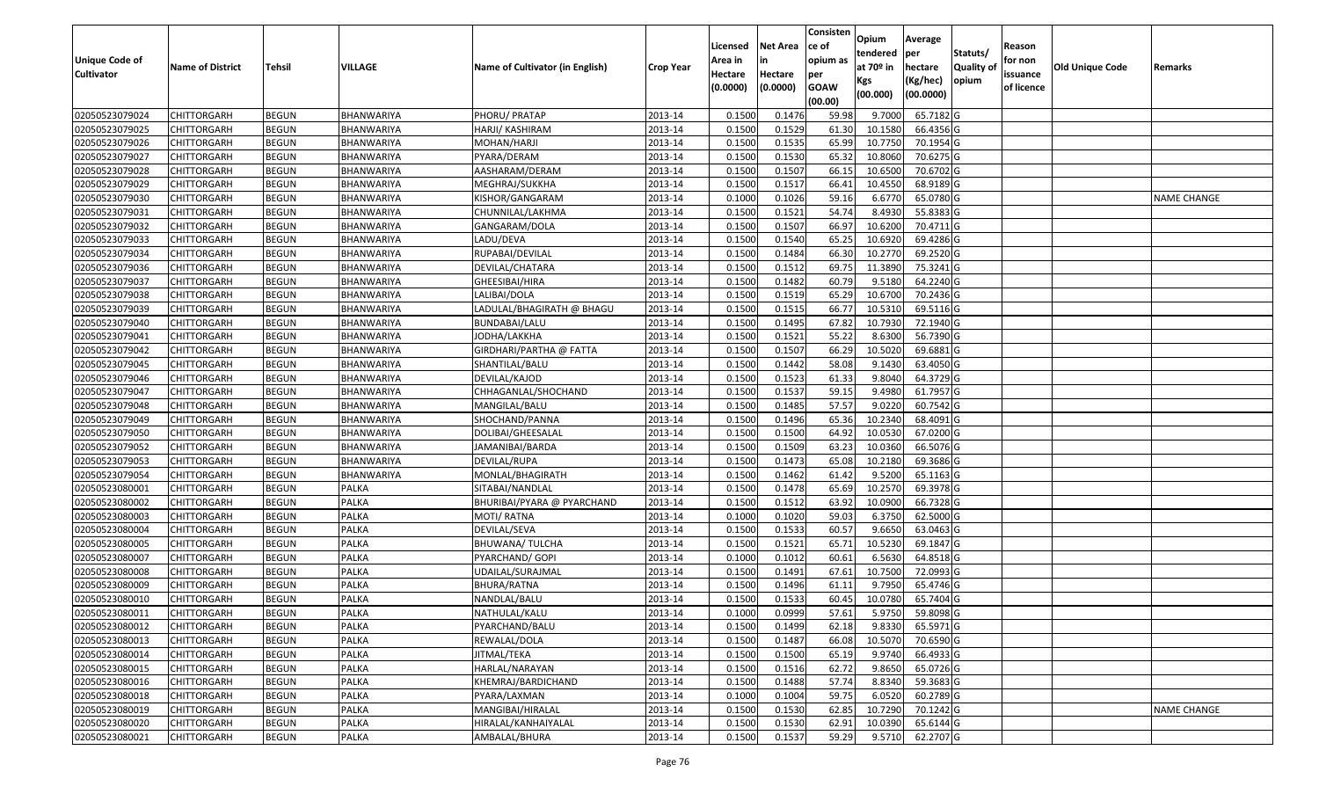|                       |                         |               |                   |                                 |                  |          |                 | Consisten              | Opium       | Average   |                  |            |                        |                    |
|-----------------------|-------------------------|---------------|-------------------|---------------------------------|------------------|----------|-----------------|------------------------|-------------|-----------|------------------|------------|------------------------|--------------------|
|                       |                         |               |                   |                                 |                  | Licensed | <b>Net Area</b> | ce of                  | tendered    | per       | Statuts/         | Reason     |                        |                    |
| <b>Unique Code of</b> | <b>Name of District</b> | <b>Tehsil</b> | <b>VILLAGE</b>    | Name of Cultivator (in English) | <b>Crop Year</b> | Area in  |                 | opium as               | at $70°$ in | hectare   | <b>Quality o</b> | for non    | <b>Old Unique Code</b> | Remarks            |
| <b>Cultivator</b>     |                         |               |                   |                                 |                  | Hectare  | Hectare         | per                    | Kgs         | (Kg/hec)  | opium            | issuance   |                        |                    |
|                       |                         |               |                   |                                 |                  | (0.0000) | (0.0000)        | <b>GOAW</b><br>(00.00) | (00.000)    | (00.0000) |                  | of licence |                        |                    |
| 02050523079024        | CHITTORGARH             | <b>BEGUN</b>  | BHANWARIYA        | PHORU/ PRATAP                   | 2013-14          | 0.1500   | 0.1476          | 59.98                  | 9.7000      | 65.7182 G |                  |            |                        |                    |
| 02050523079025        | CHITTORGARH             | <b>BEGUN</b>  | BHANWARIYA        | HARJI/ KASHIRAM                 | 2013-14          | 0.1500   | 0.1529          | 61.30                  | 10.1580     | 66.4356 G |                  |            |                        |                    |
| 02050523079026        | CHITTORGARH             | <b>BEGUN</b>  | BHANWARIYA        | MOHAN/HARJI                     | 2013-14          | 0.1500   | 0.1535          | 65.99                  | 10.775      | 70.1954 G |                  |            |                        |                    |
| 02050523079027        | <b>CHITTORGARH</b>      | <b>BEGUN</b>  | <b>BHANWARIYA</b> | PYARA/DERAM                     | 2013-14          | 0.1500   | 0.1530          | 65.32                  | 10.8060     | 70.6275 G |                  |            |                        |                    |
| 02050523079028        | CHITTORGARH             | <b>BEGUN</b>  | BHANWARIYA        | AASHARAM/DERAM                  | 2013-14          | 0.1500   | 0.1507          | 66.1                   | 10.6500     | 70.6702 G |                  |            |                        |                    |
| 02050523079029        | CHITTORGARH             | <b>BEGUN</b>  | BHANWARIYA        | MEGHRAJ/SUKKHA                  | 2013-14          | 0.1500   | 0.1517          | 66.41                  | 10.4550     | 68.9189 G |                  |            |                        |                    |
| 02050523079030        | CHITTORGARH             | <b>BEGUN</b>  | BHANWARIYA        | KISHOR/GANGARAM                 | 2013-14          | 0.1000   | 0.1026          | 59.1                   | 6.6770      | 65.0780 G |                  |            |                        | <b>NAME CHANGE</b> |
| 02050523079031        | CHITTORGARH             | <b>BEGUN</b>  | BHANWARIYA        | CHUNNILAL/LAKHMA                | 2013-14          | 0.1500   | 0.1521          | 54.74                  | 8.4930      | 55.8383 G |                  |            |                        |                    |
| 02050523079032        | CHITTORGARH             | <b>BEGUN</b>  | BHANWARIYA        | GANGARAM/DOLA                   | 2013-14          | 0.1500   | 0.1507          | 66.97                  | 10.6200     | 70.4711 G |                  |            |                        |                    |
| 02050523079033        | CHITTORGARH             | <b>BEGUN</b>  | BHANWARIYA        | LADU/DEVA                       | 2013-14          | 0.1500   | 0.1540          | 65.25                  | 10.6920     | 69.4286 G |                  |            |                        |                    |
| 02050523079034        | CHITTORGARH             | <b>BEGUN</b>  | BHANWARIYA        | RUPABAI/DEVILAL                 | 2013-14          | 0.1500   | 0.1484          | 66.30                  | 10.2770     | 69.2520 G |                  |            |                        |                    |
| 02050523079036        | <b>CHITTORGARH</b>      | <b>BEGUN</b>  | BHANWARIYA        | DEVILAL/CHATARA                 | 2013-14          | 0.1500   | 0.1512          | 69.75                  | 11.3890     | 75.3241G  |                  |            |                        |                    |
| 02050523079037        | <b>CHITTORGARH</b>      | <b>BEGUN</b>  | BHANWARIYA        | GHEESIBAI/HIRA                  | 2013-14          | 0.1500   | 0.1482          | 60.79                  | 9.5180      | 64.2240 G |                  |            |                        |                    |
| 02050523079038        | <b>CHITTORGARH</b>      | <b>BEGUN</b>  | BHANWARIYA        | LALIBAI/DOLA                    | 2013-14          | 0.1500   | 0.1519          | 65.29                  | 10.6700     | 70.2436 G |                  |            |                        |                    |
| 02050523079039        | CHITTORGARH             | <b>BEGUN</b>  | BHANWARIYA        | LADULAL/BHAGIRATH @ BHAGU       | 2013-14          | 0.1500   | 0.1515          | 66.77                  | 10.5310     | 69.5116 G |                  |            |                        |                    |
| 02050523079040        | <b>CHITTORGARH</b>      | <b>BEGUN</b>  | BHANWARIYA        | BUNDABAI/LALU                   | 2013-14          | 0.1500   | 0.1495          | 67.82                  | 10.7930     | 72.1940 G |                  |            |                        |                    |
| 02050523079041        | CHITTORGARH             | <b>BEGUN</b>  | BHANWARIYA        | JODHA/LAKKHA                    | 2013-14          | 0.1500   | 0.1521          | 55.22                  | 8.6300      | 56.7390 G |                  |            |                        |                    |
| 02050523079042        | CHITTORGARH             | <b>BEGUN</b>  | BHANWARIYA        | GIRDHARI/PARTHA @ FATTA         | 2013-14          | 0.1500   | 0.1507          | 66.29                  | 10.5020     | 69.6881 G |                  |            |                        |                    |
| 02050523079045        | CHITTORGARH             | <b>BEGUN</b>  | BHANWARIYA        | SHANTILAL/BALU                  | 2013-14          | 0.1500   | 0.1442          | 58.08                  | 9.1430      | 63.4050 G |                  |            |                        |                    |
| 02050523079046        | CHITTORGARH             | <b>BEGUN</b>  | BHANWARIYA        | DEVILAL/KAJOD                   | 2013-14          | 0.1500   | 0.1523          | 61.33                  | 9.8040      | 64.3729 G |                  |            |                        |                    |
| 02050523079047        | CHITTORGARH             | <b>BEGUN</b>  | BHANWARIYA        | CHHAGANLAL/SHOCHAND             | 2013-14          | 0.1500   | 0.1537          | 59.15                  | 9.4980      | 61.7957 G |                  |            |                        |                    |
| 02050523079048        | CHITTORGARH             | <b>BEGUN</b>  | BHANWARIYA        | MANGILAL/BALU                   | 2013-14          | 0.150    | 0.1485          | 57.57                  | 9.022       | 60.7542 G |                  |            |                        |                    |
| 02050523079049        | CHITTORGARH             | <b>BEGUN</b>  | BHANWARIYA        | SHOCHAND/PANNA                  | 2013-14          | 0.1500   | 0.1496          | 65.36                  | 10.2340     | 68.4091 G |                  |            |                        |                    |
| 02050523079050        | CHITTORGARH             | <b>BEGUN</b>  | BHANWARIYA        | DOLIBAI/GHEESALAL               | 2013-14          | 0.1500   | 0.1500          | 64.92                  | 10.0530     | 67.0200 G |                  |            |                        |                    |
| 02050523079052        | CHITTORGARH             | <b>BEGUN</b>  | <b>BHANWARIYA</b> | JAMANIBAI/BARDA                 | 2013-14          | 0.1500   | 0.1509          | 63.23                  | 10.0360     | 66.5076 G |                  |            |                        |                    |
| 02050523079053        | CHITTORGARH             | <b>BEGUN</b>  | BHANWARIYA        | DEVILAL/RUPA                    | 2013-14          | 0.1500   | 0.1473          | 65.08                  | 10.218      | 69.3686 G |                  |            |                        |                    |
| 02050523079054        | CHITTORGARH             | <b>BEGUN</b>  | BHANWARIYA        | MONLAL/BHAGIRATH                | 2013-14          | 0.1500   | 0.1462          | 61.42                  | 9.5200      | 65.1163 G |                  |            |                        |                    |
| 02050523080001        | CHITTORGARH             | <b>BEGUN</b>  | PALKA             | SITABAI/NANDLAL                 | 2013-14          | 0.1500   | 0.1478          | 65.69                  | 10.2570     | 69.3978 G |                  |            |                        |                    |
| 02050523080002        | CHITTORGARH             | <b>BEGUN</b>  | <b>PALKA</b>      | BHURIBAI/PYARA @ PYARCHAND      | 2013-14          | 0.1500   | 0.1512          | 63.92                  | 10.0900     | 66.7328 G |                  |            |                        |                    |
| 02050523080003        | CHITTORGARH             | <b>BEGUN</b>  | <b>PALKA</b>      | MOTI/ RATNA                     | 2013-14          | 0.1000   | 0.1020          | 59.03                  | 6.3750      | 62.5000 G |                  |            |                        |                    |
| 02050523080004        | CHITTORGARH             | <b>BEGUN</b>  | PALKA             | DEVILAL/SEVA                    | 2013-14          | 0.1500   | 0.1533          | 60.57                  | 9.665       | 63.0463 G |                  |            |                        |                    |
| 02050523080005        | CHITTORGARH             | <b>BEGUN</b>  | PALKA             | BHUWANA/ TULCHA                 | 2013-14          | 0.1500   | 0.1521          | 65.71                  | 10.5230     | 69.1847 G |                  |            |                        |                    |
| 02050523080007        | CHITTORGARH             | <b>BEGUN</b>  | PALKA             | PYARCHAND/ GOPI                 | 2013-14          | 0.100    | 0.1012          | 60.6                   | 6.5630      | 64.8518 G |                  |            |                        |                    |
| 02050523080008        | CHITTORGARH             | <b>BEGUN</b>  | PALKA             | UDAILAL/SURAJMAL                | 2013-14          | 0.1500   | 0.1491          | 67.61                  | 10.7500     | 72.0993 G |                  |            |                        |                    |
| 02050523080009        | CHITTORGARH             | <b>BEGUN</b>  | PALKA             | BHURA/RATNA                     | 2013-14          | 0.150    | 0.1496          | 61.1                   | 9.795       | 65.4746 G |                  |            |                        |                    |
| 02050523080010        | CHITTORGARH             | <b>BEGUN</b>  | <b>PALKA</b>      | NANDLAL/BALU                    | 2013-14          | 0.1500   | 0.1533          | 60.45                  | 10.0780     | 65.7404 G |                  |            |                        |                    |
| 02050523080011        | <b>CHITTORGARH</b>      | <b>BEGUN</b>  | PALKA             | NATHULAL/KALU                   | 2013-14          | 0.1000   | 0.0999          | 57.61                  | 5.9750      | 59.8098G  |                  |            |                        |                    |
| 02050523080012        | <b>CHITTORGARH</b>      | <b>BEGUN</b>  | PALKA             | PYARCHAND/BALU                  | 2013-14          | 0.1500   | 0.1499          | 62.18                  | 9.8330      | 65.5971 G |                  |            |                        |                    |
| 02050523080013        | <b>CHITTORGARH</b>      | <b>BEGUN</b>  | <b>PALKA</b>      | REWALAL/DOLA                    | 2013-14          | 0.1500   | 0.1487          | 66.08                  | 10.5070     | 70.6590 G |                  |            |                        |                    |
| 02050523080014        | <b>CHITTORGARH</b>      | <b>BEGUN</b>  | <b>PALKA</b>      | JITMAL/TEKA                     | 2013-14          | 0.1500   | 0.1500          | 65.19                  | 9.9740      | 66.4933 G |                  |            |                        |                    |
| 02050523080015        | <b>CHITTORGARH</b>      | <b>BEGUN</b>  | PALKA             | HARLAL/NARAYAN                  | 2013-14          | 0.1500   | 0.1516          | 62.72                  | 9.8650      | 65.0726 G |                  |            |                        |                    |
| 02050523080016        | <b>CHITTORGARH</b>      | <b>BEGUN</b>  | <b>PALKA</b>      | KHEMRAJ/BARDICHAND              | 2013-14          | 0.1500   | 0.1488          | 57.74                  | 8.8340      | 59.3683 G |                  |            |                        |                    |
| 02050523080018        | <b>CHITTORGARH</b>      | <b>BEGUN</b>  | <b>PALKA</b>      | PYARA/LAXMAN                    | 2013-14          | 0.1000   | 0.1004          | 59.75                  | 6.0520      | 60.2789 G |                  |            |                        |                    |
| 02050523080019        | <b>CHITTORGARH</b>      | <b>BEGUN</b>  | PALKA             | MANGIBAI/HIRALAL                | 2013-14          | 0.1500   | 0.1530          | 62.85                  | 10.7290     | 70.1242 G |                  |            |                        | <b>NAME CHANGE</b> |
| 02050523080020        | <b>CHITTORGARH</b>      | <b>BEGUN</b>  | <b>PALKA</b>      | HIRALAL/KANHAIYALAL             | 2013-14          | 0.1500   | 0.1530          | 62.91                  | 10.0390     | 65.6144 G |                  |            |                        |                    |
| 02050523080021        | <b>CHITTORGARH</b>      | <b>BEGUN</b>  | PALKA             | AMBALAL/BHURA                   | 2013-14          | 0.1500   | 0.1537          | 59.29                  | 9.5710      | 62.2707 G |                  |            |                        |                    |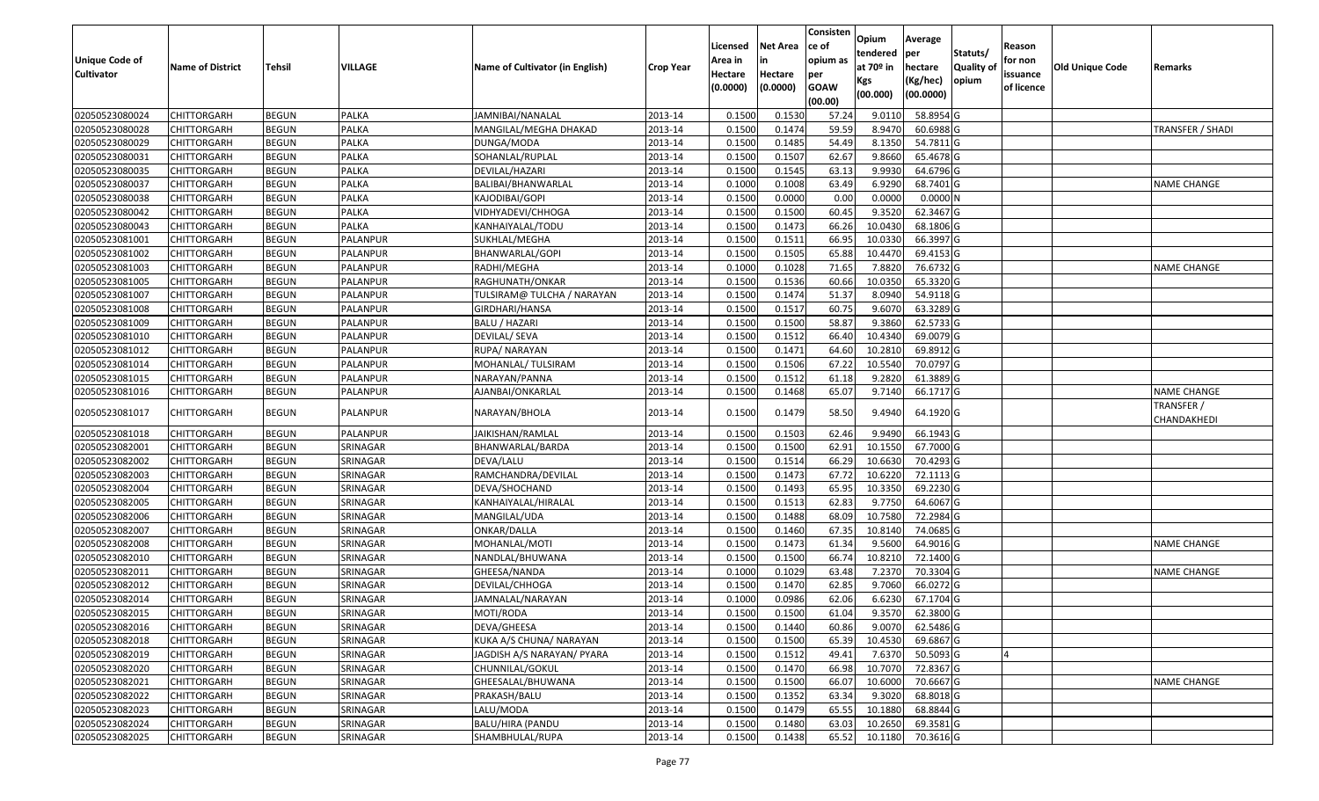| <b>Unique Code of</b> |                         |               |              |                                 |           | Licensed<br>Area in | <b>Net Area</b><br>in | Consisten<br>ce of<br>opium as | Opium<br>tendered            | Average<br><b>per</b>            | Statuts/                   | Reason<br>for non      |                        |                           |
|-----------------------|-------------------------|---------------|--------------|---------------------------------|-----------|---------------------|-----------------------|--------------------------------|------------------------------|----------------------------------|----------------------------|------------------------|------------------------|---------------------------|
| <b>Cultivator</b>     | <b>Name of District</b> | <b>Tehsil</b> | VILLAGE      | Name of Cultivator (in English) | Crop Year | Hectare<br>(0.0000) | Hectare<br>(0.0000)   | per<br><b>GOAW</b><br>(00.00)  | at 70º in<br>Kgs<br>(00.000) | hectare<br>(Kg/hec)<br>(00.0000) | <b>Quality of</b><br>opium | issuance<br>of licence | <b>Old Unique Code</b> | Remarks                   |
| 02050523080024        | <b>CHITTORGARH</b>      | <b>BEGUN</b>  | PALKA        | JAMNIBAI/NANALAL                | 2013-14   | 0.1500              | 0.1530                | 57.24                          | 9.0110                       | 58.8954 G                        |                            |                        |                        |                           |
| 02050523080028        | <b>CHITTORGARH</b>      | <b>BEGUN</b>  | PALKA        | MANGILAL/MEGHA DHAKAD           | 2013-14   | 0.1500              | 0.1474                | 59.59                          | 8.9470                       | 60.6988 G                        |                            |                        |                        | TRANSFER / SHADI          |
| 02050523080029        | <b>CHITTORGARH</b>      | <b>BEGUN</b>  | PALKA        | DUNGA/MODA                      | 2013-14   | 0.1500              | 0.1485                | 54.49                          | 8.1350                       | 54.7811 G                        |                            |                        |                        |                           |
| 02050523080031        | <b>CHITTORGARH</b>      | <b>BEGUN</b>  | <b>PALKA</b> | SOHANLAL/RUPLAL                 | 2013-14   | 0.1500              | 0.1507                | 62.67                          | 9.8660                       | 65.4678 G                        |                            |                        |                        |                           |
| 02050523080035        | <b>CHITTORGARH</b>      | <b>BEGUN</b>  | PALKA        | DEVILAL/HAZARI                  | 2013-14   | 0.1500              | 0.1545                | 63.13                          | 9.9930                       | 64.6796 G                        |                            |                        |                        |                           |
| 02050523080037        | <b>CHITTORGARH</b>      | <b>BEGUN</b>  | PALKA        | BALIBAI/BHANWARLAL              | 2013-14   | 0.1000              | 0.1008                | 63.49                          | 6.9290                       | 68.7401 G                        |                            |                        |                        | <b>NAME CHANGE</b>        |
| 02050523080038        | <b>CHITTORGARH</b>      | <b>BEGUN</b>  | PALKA        | KAJODIBAI/GOPI                  | 2013-14   | 0.1500              | 0.0000                | 0.00                           | 0.0000                       | 0.0000N                          |                            |                        |                        |                           |
| 02050523080042        | <b>CHITTORGARH</b>      | <b>BEGUN</b>  | <b>PALKA</b> | VIDHYADEVI/CHHOGA               | 2013-14   | 0.1500              | 0.1500                | 60.45                          | 9.3520                       | 62.3467 G                        |                            |                        |                        |                           |
| 02050523080043        | <b>CHITTORGARH</b>      | <b>BEGUN</b>  | PALKA        | KANHAIYALAL/TODU                | 2013-14   | 0.1500              | 0.1473                | 66.26                          | 10.0430                      | 68.1806 G                        |                            |                        |                        |                           |
| 02050523081001        | <b>CHITTORGARH</b>      | <b>BEGUN</b>  | PALANPUR     | SUKHLAL/MEGHA                   | 2013-14   | 0.1500              | 0.1511                | 66.95                          | 10.0330                      | 66.3997 G                        |                            |                        |                        |                           |
| 02050523081002        | <b>CHITTORGARH</b>      | <b>BEGUN</b>  | PALANPUR     | BHANWARLAL/GOPI                 | 2013-14   | 0.1500              | 0.1505                | 65.88                          | 10.4470                      | 69.4153 G                        |                            |                        |                        |                           |
| 02050523081003        | <b>CHITTORGARH</b>      | <b>BEGUN</b>  | PALANPUR     | RADHI/MEGHA                     | 2013-14   | 0.1000              | 0.1028                | 71.65                          | 7.8820                       | 76.6732 G                        |                            |                        |                        | <b>NAME CHANGE</b>        |
| 02050523081005        | <b>CHITTORGARH</b>      | <b>BEGUN</b>  | PALANPUR     | RAGHUNATH/ONKAR                 | 2013-14   | 0.1500              | 0.1536                | 60.66                          | 10.0350                      | 65.3320 G                        |                            |                        |                        |                           |
| 02050523081007        | <b>CHITTORGARH</b>      | <b>BEGUN</b>  | PALANPUR     | TULSIRAM@ TULCHA / NARAYAN      | 2013-14   | 0.1500              | 0.1474                | 51.37                          | 8.0940                       | 54.9118 G                        |                            |                        |                        |                           |
| 02050523081008        | <b>CHITTORGARH</b>      | <b>BEGUN</b>  | PALANPUR     | GIRDHARI/HANSA                  | 2013-14   | 0.1500              | 0.1517                | 60.75                          | 9.6070                       | 63.3289 G                        |                            |                        |                        |                           |
| 02050523081009        | <b>CHITTORGARH</b>      | <b>BEGUN</b>  | PALANPUR     | <b>BALU / HAZARI</b>            | 2013-14   | 0.1500              | 0.1500                | 58.87                          | 9.3860                       | 62.5733 G                        |                            |                        |                        |                           |
| 02050523081010        | <b>CHITTORGARH</b>      | <b>BEGUN</b>  | PALANPUR     | <b>DEVILAL/ SEVA</b>            | 2013-14   | 0.1500              | 0.1512                | 66.40                          | 10.4340                      | 69.0079 G                        |                            |                        |                        |                           |
| 02050523081012        | <b>CHITTORGARH</b>      | <b>BEGUN</b>  | PALANPUR     | RUPA/ NARAYAN                   | 2013-14   | 0.1500              | 0.1471                | 64.60                          | 10.2810                      | 69.8912 G                        |                            |                        |                        |                           |
| 02050523081014        | <b>CHITTORGARH</b>      | <b>BEGUN</b>  | PALANPUR     | MOHANLAL/ TULSIRAM              | 2013-14   | 0.1500              | 0.1506                | 67.22                          | 10.5540                      | 70.0797 G                        |                            |                        |                        |                           |
| 02050523081015        | <b>CHITTORGARH</b>      | <b>BEGUN</b>  | PALANPUR     | NARAYAN/PANNA                   | 2013-14   | 0.1500              | 0.1512                | 61.18                          | 9.2820                       | 61.3889 G                        |                            |                        |                        |                           |
| 02050523081016        | <b>CHITTORGARH</b>      | <b>BEGUN</b>  | PALANPUR     | AJANBAI/ONKARLAL                | 2013-14   | 0.1500              | 0.1468                | 65.07                          | 9.7140                       | 66.1717 G                        |                            |                        |                        | <b>NAME CHANGE</b>        |
| 02050523081017        | <b>CHITTORGARH</b>      | <b>BEGUN</b>  | PALANPUR     | NARAYAN/BHOLA                   | 2013-14   | 0.1500              | 0.1479                | 58.50                          | 9.4940                       | 64.1920 G                        |                            |                        |                        | TRANSFER /<br>CHANDAKHEDI |
| 02050523081018        | <b>CHITTORGARH</b>      | <b>BEGUN</b>  | PALANPUR     | JAIKISHAN/RAMLAL                | 2013-14   | 0.1500              | 0.1503                | 62.46                          | 9.9490                       | 66.1943 G                        |                            |                        |                        |                           |
| 02050523082001        | <b>CHITTORGARH</b>      | <b>BEGUN</b>  | SRINAGAR     | BHANWARLAL/BARDA                | 2013-14   | 0.1500              | 0.1500                | 62.91                          | 10.1550                      | 67.7000 G                        |                            |                        |                        |                           |
| 02050523082002        | <b>CHITTORGARH</b>      | <b>BEGUN</b>  | SRINAGAR     | DEVA/LALU                       | 2013-14   | 0.1500              | 0.1514                | 66.29                          | 10.6630                      | 70.4293 G                        |                            |                        |                        |                           |
| 02050523082003        | <b>CHITTORGARH</b>      | <b>BEGUN</b>  | SRINAGAR     | RAMCHANDRA/DEVILAL              | 2013-14   | 0.1500              | 0.1473                | 67.72                          | 10.6220                      | 72.1113 G                        |                            |                        |                        |                           |
| 02050523082004        | <b>CHITTORGARH</b>      | <b>BEGUN</b>  | SRINAGAR     | DEVA/SHOCHAND                   | 2013-14   | 0.1500              | 0.1493                | 65.95                          | 10.3350                      | 69.2230 G                        |                            |                        |                        |                           |
| 02050523082005        | <b>CHITTORGARH</b>      | <b>BEGUN</b>  | SRINAGAR     | KANHAIYALAL/HIRALAL             | 2013-14   | 0.1500              | 0.1513                | 62.83                          | 9.7750                       | 64.6067 G                        |                            |                        |                        |                           |
| 02050523082006        | <b>CHITTORGARH</b>      | <b>BEGUN</b>  | SRINAGAR     | MANGILAL/UDA                    | 2013-14   | 0.1500              | 0.1488                | 68.09                          | 10.7580                      | 72.2984 G                        |                            |                        |                        |                           |
| 02050523082007        | <b>CHITTORGARH</b>      | <b>BEGUN</b>  | SRINAGAR     | ONKAR/DALLA                     | 2013-14   | 0.1500              | 0.1460                | 67.35                          | 10.8140                      | 74.0685 G                        |                            |                        |                        |                           |
| 02050523082008        | <b>CHITTORGARH</b>      | <b>BEGUN</b>  | SRINAGAR     | MOHANLAL/MOTI                   | 2013-14   | 0.1500              | 0.1473                | 61.34                          | 9.5600                       | 64.9016 G                        |                            |                        |                        | <b>NAME CHANGE</b>        |
| 02050523082010        | <b>CHITTORGARH</b>      | <b>BEGUN</b>  | SRINAGAR     | NANDLAL/BHUWANA                 | 2013-14   | 0.1500              | 0.1500                | 66.74                          | 10.8210                      | 72.1400 G                        |                            |                        |                        |                           |
| 02050523082011        | <b>CHITTORGARH</b>      | <b>BEGUN</b>  | SRINAGAR     | GHEESA/NANDA                    | 2013-14   | 0.1000              | 0.1029                | 63.48                          | 7.2370                       | 70.3304 G                        |                            |                        |                        | <b>NAME CHANGE</b>        |
| 02050523082012        | <b>CHITTORGARH</b>      | <b>BEGUN</b>  | SRINAGAR     | DEVILAL/CHHOGA                  | 2013-14   | 0.1500              | 0.1470                | 62.85                          | 9.7060                       | 66.0272 G                        |                            |                        |                        |                           |
| 02050523082014        | <b>CHITTORGARH</b>      | <b>BEGUN</b>  | SRINAGAR     | JAMNALAL/NARAYAN                | 2013-14   | 0.1000              | 0.0986                | 62.06                          | 6.6230                       | 67.1704 G                        |                            |                        |                        |                           |
| 02050523082015        | <b>CHITTORGARH</b>      | <b>BEGUN</b>  | SRINAGAR     | MOTI/RODA                       | 2013-14   | 0.1500              | 0.1500                | 61.04                          | 9.3570                       | 62.3800 G                        |                            |                        |                        |                           |
| 02050523082016        | <b>CHITTORGARH</b>      | <b>BEGUN</b>  | SRINAGAR     | DEVA/GHEESA                     | 2013-14   | 0.1500              | 0.1440                | 60.86                          | 9.0070                       | 62.5486 G                        |                            |                        |                        |                           |
| 02050523082018        | <b>CHITTORGARH</b>      | <b>BEGUN</b>  | SRINAGAR     | KUKA A/S CHUNA/ NARAYAN         | 2013-14   | 0.1500              | 0.1500                | 65.39                          | 10.4530                      | 69.6867 G                        |                            |                        |                        |                           |
| 02050523082019        | <b>CHITTORGARH</b>      | <b>BEGUN</b>  | SRINAGAR     | JAGDISH A/S NARAYAN/ PYARA      | 2013-14   | 0.1500              | 0.1512                | 49.41                          | 7.6370                       | 50.5093 G                        |                            | IΔ                     |                        |                           |
| 02050523082020        | <b>CHITTORGARH</b>      | <b>BEGUN</b>  | SRINAGAR     | CHUNNILAL/GOKUL                 | 2013-14   | 0.1500              | 0.1470                | 66.98                          | 10.7070                      | 72.8367 G                        |                            |                        |                        |                           |
| 02050523082021        | <b>CHITTORGARH</b>      | <b>BEGUN</b>  | SRINAGAR     | GHEESALAL/BHUWANA               | 2013-14   | 0.1500              | 0.1500                | 66.07                          | 10.6000                      | 70.6667 G                        |                            |                        |                        | <b>NAME CHANGE</b>        |
| 02050523082022        | <b>CHITTORGARH</b>      | <b>BEGUN</b>  | SRINAGAR     | PRAKASH/BALU                    | 2013-14   | 0.1500              | 0.1352                | 63.34                          | 9.3020                       | 68.8018 G                        |                            |                        |                        |                           |
| 02050523082023        | <b>CHITTORGARH</b>      | <b>BEGUN</b>  | SRINAGAR     | LALU/MODA                       | 2013-14   | 0.1500              | 0.1479                | 65.55                          | 10.1880                      | 68.8844 G                        |                            |                        |                        |                           |
| 02050523082024        | <b>CHITTORGARH</b>      | <b>BEGUN</b>  | SRINAGAR     | <b>BALU/HIRA (PANDU</b>         | 2013-14   | 0.1500              | 0.1480                | 63.03                          | 10.2650                      | 69.3581G                         |                            |                        |                        |                           |
| 02050523082025        | <b>CHITTORGARH</b>      | <b>BEGUN</b>  | SRINAGAR     | SHAMBHULAL/RUPA                 | 2013-14   | 0.1500              | 0.1438                | 65.52                          | 10.1180                      | 70.3616 G                        |                            |                        |                        |                           |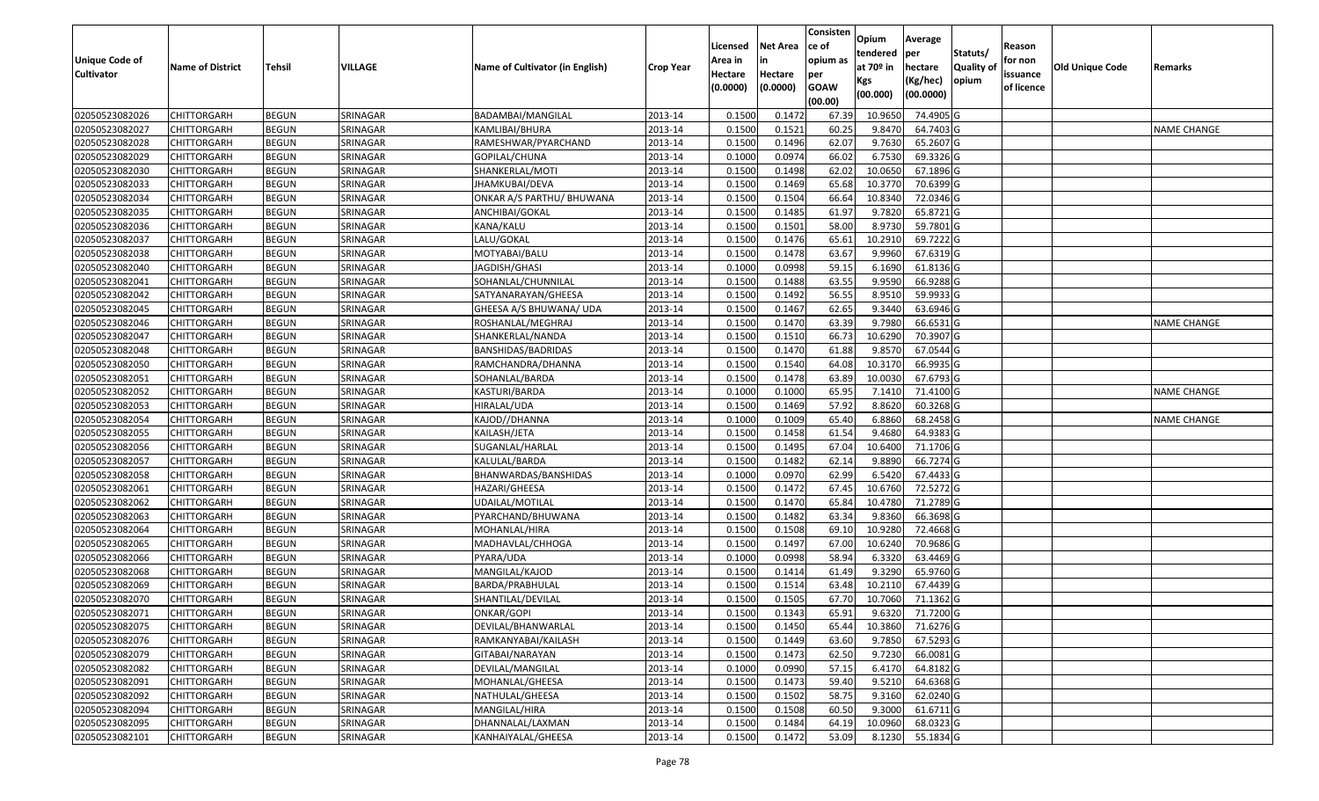|                       |                         |               |          |                                 |                  |          |                 | Consisten              | Opium       | Average          |                  |            |                        |                    |
|-----------------------|-------------------------|---------------|----------|---------------------------------|------------------|----------|-----------------|------------------------|-------------|------------------|------------------|------------|------------------------|--------------------|
|                       |                         |               |          |                                 |                  | Licensed | <b>Net Area</b> | ce of                  | tendered    | per              | Statuts/         | Reason     |                        |                    |
| <b>Unique Code of</b> | <b>Name of District</b> | <b>Tehsil</b> | VILLAGE  | Name of Cultivator (in English) | <b>Crop Year</b> | Area in  |                 | opium as               | at $70°$ in | hectare          | <b>Quality o</b> | for non    | <b>Old Unique Code</b> | Remarks            |
| <b>Cultivator</b>     |                         |               |          |                                 |                  | Hectare  | Hectare         | per                    | Kgs         | (Kg/hec)         | opium            | issuance   |                        |                    |
|                       |                         |               |          |                                 |                  | (0.0000) | (0.0000)        | <b>GOAW</b><br>(00.00) | (00.000)    | (00.0000)        |                  | of licence |                        |                    |
| 02050523082026        | CHITTORGARH             | <b>BEGUN</b>  | SRINAGAR | BADAMBAI/MANGILAL               | 2013-14          | 0.1500   | 0.1472          | 67.39                  | 10.965      | 74.4905 G        |                  |            |                        |                    |
| 02050523082027        | CHITTORGARH             | <b>BEGUN</b>  | SRINAGAR | KAMLIBAI/BHURA                  | 2013-14          | 0.1500   | 0.1521          | 60.25                  | 9.8470      | 64.7403 G        |                  |            |                        | <b>NAME CHANGE</b> |
| 02050523082028        | CHITTORGARH             | <b>BEGUN</b>  | SRINAGAR | RAMESHWAR/PYARCHAND             | 2013-14          | 0.1500   | 0.1496          | 62.07                  | 9.7630      | 65.2607 G        |                  |            |                        |                    |
| 02050523082029        | <b>CHITTORGARH</b>      | <b>BEGUN</b>  | SRINAGAR | GOPILAL/CHUNA                   | 2013-14          | 0.1000   | 0.0974          | 66.02                  | 6.7530      | 69.3326 G        |                  |            |                        |                    |
| 02050523082030        | CHITTORGARH             | <b>BEGUN</b>  | SRINAGAR | SHANKERLAL/MOTI                 | 2013-14          | 0.1500   | 0.1498          | 62.02                  | 10.065      | 67.1896 G        |                  |            |                        |                    |
| 02050523082033        | CHITTORGARH             | <b>BEGUN</b>  | SRINAGAR | JHAMKUBAI/DEVA                  | 2013-14          | 0.1500   | 0.1469          | 65.68                  | 10.3770     | 70.6399 G        |                  |            |                        |                    |
| 02050523082034        | CHITTORGARH             | <b>BEGUN</b>  | SRINAGAR | ONKAR A/S PARTHU/ BHUWANA       | 2013-14          | 0.1500   | 0.1504          | 66.64                  | 10.8340     | 72.0346 G        |                  |            |                        |                    |
| 02050523082035        | CHITTORGARH             | <b>BEGUN</b>  | SRINAGAR | ANCHIBAI/GOKAL                  | 2013-14          | 0.1500   | 0.1485          | 61.97                  | 9.7820      | 65.8721 G        |                  |            |                        |                    |
| 02050523082036        | CHITTORGARH             | <b>BEGUN</b>  | SRINAGAR | KANA/KALU                       | 2013-14          | 0.1500   | 0.1501          | 58.00                  | 8.973       | 59.7801G         |                  |            |                        |                    |
| 02050523082037        | CHITTORGARH             | <b>BEGUN</b>  | SRINAGAR | LALU/GOKAL                      | 2013-14          | 0.1500   | 0.1476          | 65.61                  | 10.2910     | 69.7222 G        |                  |            |                        |                    |
| 02050523082038        | CHITTORGARH             | <b>BEGUN</b>  | SRINAGAR | MOTYABAI/BALU                   | 2013-14          | 0.1500   | 0.1478          | 63.67                  | 9.9960      | 67.6319 G        |                  |            |                        |                    |
| 02050523082040        | CHITTORGARH             | <b>BEGUN</b>  | SRINAGAR | JAGDISH/GHASI                   | 2013-14          | 0.1000   | 0.0998          | 59.15                  | 6.1690      | 61.8136 G        |                  |            |                        |                    |
| 02050523082041        | <b>CHITTORGARH</b>      | <b>BEGUN</b>  | SRINAGAR | SOHANLAL/CHUNNILAL              | 2013-14          | 0.1500   | 0.1488          | 63.55                  | 9.9590      | 66.9288 G        |                  |            |                        |                    |
| 02050523082042        | CHITTORGARH             | <b>BEGUN</b>  | SRINAGAR | SATYANARAYAN/GHEESA             | 2013-14          | 0.1500   | 0.1492          | 56.55                  | 8.9510      | 59.9933 G        |                  |            |                        |                    |
| 02050523082045        | <b>CHITTORGARH</b>      | <b>BEGUN</b>  | SRINAGAR | GHEESA A/S BHUWANA/ UDA         | 2013-14          | 0.1500   | 0.1467          | 62.65                  | 9.3440      | 63.6946 G        |                  |            |                        |                    |
| 02050523082046        | CHITTORGARH             | <b>BEGUN</b>  | SRINAGAR | ROSHANLAL/MEGHRAJ               | 2013-14          | 0.1500   | 0.1470          | 63.39                  | 9.7980      | 66.6531 G        |                  |            |                        | <b>NAME CHANGE</b> |
| 02050523082047        | CHITTORGARH             | <b>BEGUN</b>  | SRINAGAR | SHANKERLAL/NANDA                | 2013-14          | 0.1500   | 0.1510          | 66.73                  | 10.6290     | 70.3907 G        |                  |            |                        |                    |
| 02050523082048        | CHITTORGARH             | <b>BEGUN</b>  | SRINAGAR | BANSHIDAS/BADRIDAS              | 2013-14          | 0.1500   | 0.1470          | 61.88                  | 9.8570      | 67.0544 G        |                  |            |                        |                    |
| 02050523082050        | CHITTORGARH             | <b>BEGUN</b>  | SRINAGAR | RAMCHANDRA/DHANNA               | 2013-14          | 0.1500   | 0.1540          | 64.08                  | 10.3170     | 66.9935 G        |                  |            |                        |                    |
| 02050523082051        | CHITTORGARH             | <b>BEGUN</b>  | SRINAGAR | SOHANLAL/BARDA                  | 2013-14          | 0.150    | 0.1478          | 63.89                  | 10.003      | 67.6793 G        |                  |            |                        |                    |
| 02050523082052        | CHITTORGARH             | <b>BEGUN</b>  | SRINAGAR | KASTURI/BARDA                   | 2013-14          | 0.100    | 0.1000          | 65.95                  | 7.1410      | 71.4100 G        |                  |            |                        | <b>NAME CHANGE</b> |
| 02050523082053        | CHITTORGARH             | <b>BEGUN</b>  | SRINAGAR | HIRALAL/UDA                     | 2013-14          | 0.150    | 0.1469          | 57.92                  | 8.8620      | 60.3268 G        |                  |            |                        |                    |
| 02050523082054        | CHITTORGARH             | <b>BEGUN</b>  | SRINAGAR | KAJOD//DHANNA                   | 2013-14          | 0.1000   | 0.1009          | 65.40                  | 6.8860      | 68.2458 G        |                  |            |                        | <b>NAME CHANGE</b> |
| 02050523082055        | CHITTORGARH             | <b>BEGUN</b>  | SRINAGAR | KAILASH/JETA                    | 2013-14          | 0.150    | 0.1458          | 61.54                  | 9.4680      | 64.9383 G        |                  |            |                        |                    |
| 02050523082056        | <b>CHITTORGARH</b>      | <b>BEGUN</b>  | SRINAGAR | SUGANLAL/HARLAL                 | 2013-14          | 0.1500   | 0.1495          | 67.04                  | 10.6400     | 71.1706 G        |                  |            |                        |                    |
| 02050523082057        | CHITTORGARH             | <b>BEGUN</b>  | SRINAGAR | KALULAL/BARDA                   | 2013-14          | 0.1500   | 0.1482          | 62.14                  | 9.8890      | 66.7274 G        |                  |            |                        |                    |
| 02050523082058        | CHITTORGARH             | <b>BEGUN</b>  | SRINAGAR | BHANWARDAS/BANSHIDAS            | 2013-14          | 0.1000   | 0.0970          | 62.99                  | 6.5420      | 67.4433 G        |                  |            |                        |                    |
| 02050523082061        | CHITTORGARH             | <b>BEGUN</b>  | SRINAGAR | HAZARI/GHEESA                   | 2013-14          | 0.1500   | 0.1472          | 67.45                  | 10.6760     | 72.5272 G        |                  |            |                        |                    |
| 02050523082062        | CHITTORGARH             | <b>BEGUN</b>  | SRINAGAR | JDAILAL/MOTILAL                 | 2013-14          | 0.1500   | 0.1470          | 65.84                  | 10.4780     | 71.2789 G        |                  |            |                        |                    |
| 02050523082063        | CHITTORGARH             | <b>BEGUN</b>  | SRINAGAR | PYARCHAND/BHUWANA               | 2013-14          | 0.1500   | 0.1482          | 63.34                  | 9.8360      | 66.3698 G        |                  |            |                        |                    |
| 02050523082064        | CHITTORGARH             | <b>BEGUN</b>  | SRINAGAR | MOHANLAL/HIRA                   | 2013-14          | 0.1500   | 0.1508          | 69.1                   | 10.9280     | 72.4668G         |                  |            |                        |                    |
| 02050523082065        | CHITTORGARH             | <b>BEGUN</b>  | SRINAGAR | MADHAVLAL/CHHOGA                | 2013-14          | 0.1500   | 0.1497          | 67.00                  | 10.6240     | 70.9686 G        |                  |            |                        |                    |
| 02050523082066        | CHITTORGARH             | <b>BEGUN</b>  | SRINAGAR | PYARA/UDA                       | 2013-14          | 0.1000   | 0.0998          | 58.94                  | 6.3320      | 63.4469 G        |                  |            |                        |                    |
| 02050523082068        | CHITTORGARH             | <b>BEGUN</b>  | SRINAGAR | MANGILAL/KAJOD                  | 2013-14          | 0.1500   | 0.1414          | 61.49                  | 9.3290      | 65.9760 G        |                  |            |                        |                    |
| 02050523082069        | CHITTORGARH             | <b>BEGUN</b>  | SRINAGAR | BARDA/PRABHULAL                 | 2013-14          | 0.1500   | 0.1514          | 63.48                  | 10.2110     | 67.4439 G        |                  |            |                        |                    |
| 02050523082070        | CHITTORGARH             | <b>BEGUN</b>  | SRINAGAR | SHANTILAL/DEVILAL               | 2013-14          | 0.1500   | 0.1505          | 67.70                  | 10.7060     | 71.1362 G        |                  |            |                        |                    |
| 02050523082071        | <b>CHITTORGARH</b>      | <b>BEGUN</b>  | SRINAGAR | ONKAR/GOPI                      | 2013-14          | 0.1500   | 0.1343          | 65.91                  |             | 9.6320 71.7200 G |                  |            |                        |                    |
| 02050523082075        | <b>CHITTORGARH</b>      | <b>BEGUN</b>  | SRINAGAR | DEVILAL/BHANWARLAL              | 2013-14          | 0.1500   | 0.1450          | 65.44                  | 10.3860     | 71.6276 G        |                  |            |                        |                    |
| 02050523082076        | <b>CHITTORGARH</b>      | <b>BEGUN</b>  | SRINAGAR | RAMKANYABAI/KAILASH             | 2013-14          | 0.1500   | 0.1449          | 63.60                  | 9.7850      | 67.5293 G        |                  |            |                        |                    |
| 02050523082079        | <b>CHITTORGARH</b>      | <b>BEGUN</b>  | SRINAGAR | GITABAI/NARAYAN                 | 2013-14          | 0.1500   | 0.1473          | 62.50                  | 9.7230      | 66.0081 G        |                  |            |                        |                    |
| 02050523082082        | CHITTORGARH             | <b>BEGUN</b>  | SRINAGAR | DEVILAL/MANGILAL                | 2013-14          | 0.1000   | 0.0990          | 57.15                  | 6.4170      | 64.8182 G        |                  |            |                        |                    |
| 02050523082091        | <b>CHITTORGARH</b>      | <b>BEGUN</b>  | SRINAGAR | MOHANLAL/GHEESA                 | 2013-14          | 0.1500   | 0.1473          | 59.40                  | 9.5210      | 64.6368 G        |                  |            |                        |                    |
| 02050523082092        | <b>CHITTORGARH</b>      | <b>BEGUN</b>  | SRINAGAR | NATHULAL/GHEESA                 | 2013-14          | 0.1500   | 0.1502          | 58.75                  | 9.3160      | 62.0240 G        |                  |            |                        |                    |
| 02050523082094        | CHITTORGARH             | <b>BEGUN</b>  | SRINAGAR | MANGILAL/HIRA                   | 2013-14          | 0.1500   | 0.1508          | 60.50                  | 9.3000      | 61.6711 G        |                  |            |                        |                    |
| 02050523082095        | <b>CHITTORGARH</b>      | <b>BEGUN</b>  | SRINAGAR | DHANNALAL/LAXMAN                | 2013-14          | 0.1500   | 0.1484          | 64.19                  | 10.0960     | 68.0323 G        |                  |            |                        |                    |
| 02050523082101        | <b>CHITTORGARH</b>      | <b>BEGUN</b>  | SRINAGAR | KANHAIYALAL/GHEESA              | 2013-14          | 0.1500   | 0.1472          | 53.09                  | 8.1230      | 55.1834 G        |                  |            |                        |                    |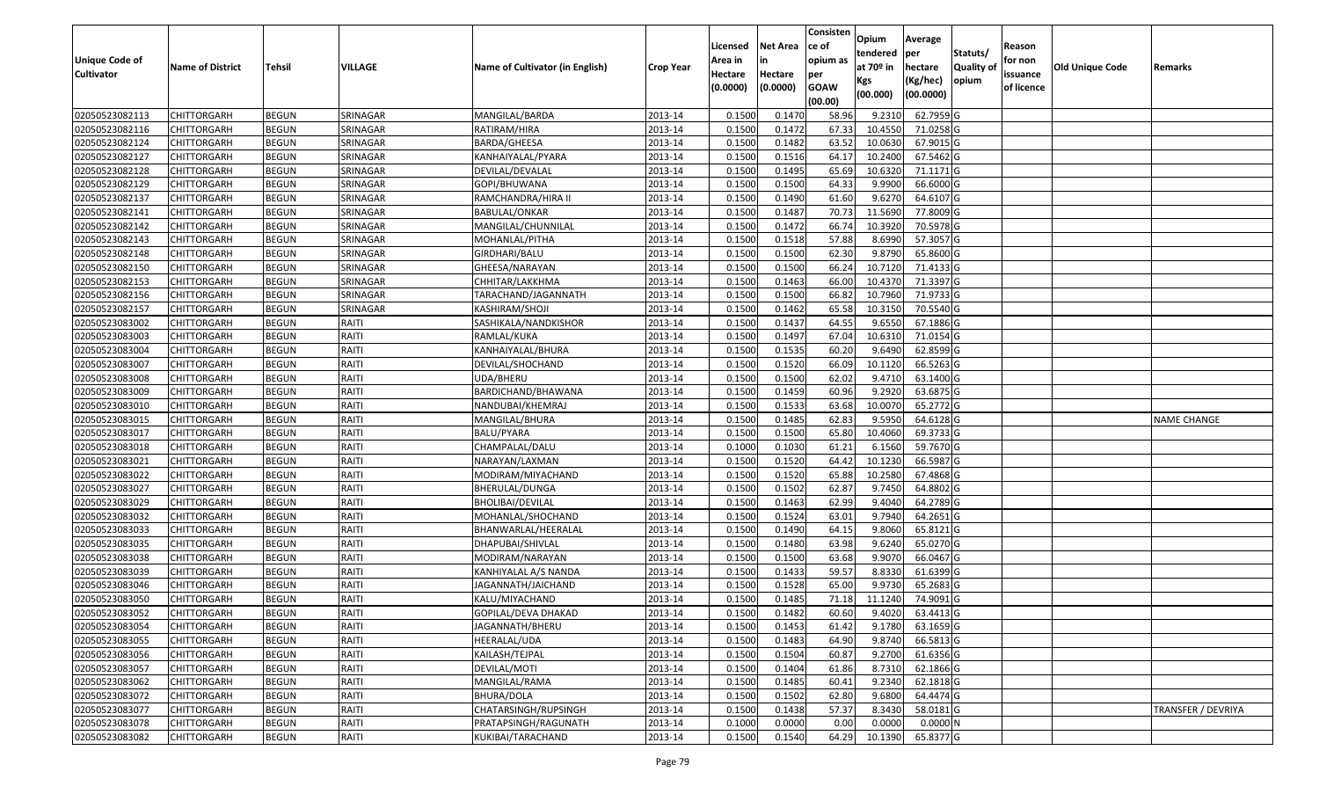|                       |                         |               |          |                                 |                  |          |                 | Consisten   | Opium       | Average   |                  |            |                        |                    |
|-----------------------|-------------------------|---------------|----------|---------------------------------|------------------|----------|-----------------|-------------|-------------|-----------|------------------|------------|------------------------|--------------------|
|                       |                         |               |          |                                 |                  | Licensed | <b>Net Area</b> | lce of      | tendered    | per       | Statuts/         | Reason     |                        |                    |
| <b>Unique Code of</b> | <b>Name of District</b> | <b>Tehsil</b> | VILLAGE  | Name of Cultivator (in English) | <b>Crop Year</b> | Area in  | in              | opium as    | at $70°$ in | hectare   | <b>Quality o</b> | for non    | <b>Old Unique Code</b> | Remarks            |
| <b>Cultivator</b>     |                         |               |          |                                 |                  | Hectare  | Hectare         | per         | Kgs         | (Kg/hec)  | opium            | issuance   |                        |                    |
|                       |                         |               |          |                                 |                  | (0.0000) | (0.0000)        | <b>GOAW</b> | (00.000)    | (00.0000) |                  | of licence |                        |                    |
|                       |                         |               |          |                                 |                  |          |                 | (00.00)     |             |           |                  |            |                        |                    |
| 02050523082113        | CHITTORGARH             | <b>BEGUN</b>  | SRINAGAR | MANGILAL/BARDA                  | 2013-14          | 0.1500   | 0.1470          | 58.96       | 9.2310      | 62.7959 G |                  |            |                        |                    |
| 02050523082116        | CHITTORGARH             | <b>BEGUN</b>  | SRINAGAR | RATIRAM/HIRA                    | 2013-14          | 0.1500   | 0.1472          | 67.33       | 10.4550     | 71.0258 G |                  |            |                        |                    |
| 02050523082124        | CHITTORGARH             | <b>BEGUN</b>  | SRINAGAR | BARDA/GHEESA                    | 2013-14          | 0.1500   | 0.1482          | 63.52       | 10.0630     | 67.9015 G |                  |            |                        |                    |
| 02050523082127        | <b>CHITTORGARH</b>      | <b>BEGUN</b>  | SRINAGAR | KANHAIYALAL/PYARA               | 2013-14          | 0.1500   | 0.1516          | 64.17       | 10.2400     | 67.5462 G |                  |            |                        |                    |
| 02050523082128        | CHITTORGARH             | <b>BEGUN</b>  | SRINAGAR | DEVILAL/DEVALAL                 | 2013-14          | 0.1500   | 0.1495          | 65.69       | 10.6320     | 71.1171 G |                  |            |                        |                    |
| 02050523082129        | <b>CHITTORGARH</b>      | <b>BEGUN</b>  | SRINAGAR | GOPI/BHUWANA                    | 2013-14          | 0.1500   | 0.1500          | 64.33       | 9.9900      | 66.6000G  |                  |            |                        |                    |
| 02050523082137        | CHITTORGARH             | <b>BEGUN</b>  | SRINAGAR | RAMCHANDRA/HIRA II              | 2013-14          | 0.1500   | 0.1490          | 61.60       | 9.6270      | 64.6107 G |                  |            |                        |                    |
| 02050523082141        | CHITTORGARH             | <b>BEGUN</b>  | SRINAGAR | <b>BABULAL/ONKAR</b>            | 2013-14          | 0.1500   | 0.1487          | 70.73       | 11.5690     | 77.8009 G |                  |            |                        |                    |
| 02050523082142        | CHITTORGARH             | <b>BEGUN</b>  | SRINAGAR | MANGILAL/CHUNNILAL              | 2013-14          | 0.1500   | 0.1472          | 66.74       | 10.3920     | 70.5978 G |                  |            |                        |                    |
| 02050523082143        | CHITTORGARH             | <b>BEGUN</b>  | SRINAGAR | MOHANLAL/PITHA                  | 2013-14          | 0.1500   | 0.1518          | 57.88       | 8.6990      | 57.3057 G |                  |            |                        |                    |
| 02050523082148        | CHITTORGARH             | <b>BEGUN</b>  | SRINAGAR | GIRDHARI/BALU                   | 2013-14          | 0.1500   | 0.1500          | 62.30       | 9.8790      | 65.8600 G |                  |            |                        |                    |
| 02050523082150        | <b>CHITTORGARH</b>      | <b>BEGUN</b>  | SRINAGAR | GHEESA/NARAYAN                  | 2013-14          | 0.1500   | 0.1500          | 66.24       | 10.7120     | 71.4133 G |                  |            |                        |                    |
| 02050523082153        | <b>CHITTORGARH</b>      | <b>BEGUN</b>  | SRINAGAR | CHHITAR/LAKKHMA                 | 2013-14          | 0.1500   | 0.1463          | 66.00       | 10.4370     | 71.3397 G |                  |            |                        |                    |
| 02050523082156        | CHITTORGARH             | <b>BEGUN</b>  | SRINAGAR | TARACHAND/JAGANNATH             | 2013-14          | 0.1500   | 0.1500          | 66.82       | 10.7960     | 71.9733 G |                  |            |                        |                    |
| 02050523082157        | <b>CHITTORGARH</b>      | <b>BEGUN</b>  | SRINAGAR | KASHIRAM/SHOJI                  | 2013-14          | 0.1500   | 0.1462          | 65.58       | 10.3150     | 70.5540 G |                  |            |                        |                    |
| 02050523083002        | CHITTORGARH             | <b>BEGUN</b>  | RAITI    | SASHIKALA/NANDKISHOR            | 2013-14          | 0.1500   | 0.1437          | 64.55       | 9.6550      | 67.1886 G |                  |            |                        |                    |
| 02050523083003        | CHITTORGARH             | <b>BEGUN</b>  | RAITI    | RAMLAL/KUKA                     | 2013-14          | 0.1500   | 0.1497          | 67.04       | 10.6310     | 71.0154 G |                  |            |                        |                    |
| 02050523083004        | CHITTORGARH             | <b>BEGUN</b>  | RAITI    | KANHAIYALAL/BHURA               | 2013-14          | 0.1500   | 0.1535          | 60.20       | 9.6490      | 62.8599 G |                  |            |                        |                    |
| 02050523083007        | CHITTORGARH             | <b>BEGUN</b>  | RAITI    | DEVILAL/SHOCHAND                | 2013-14          | 0.1500   | 0.1520          | 66.09       | 10.1120     | 66.5263 G |                  |            |                        |                    |
| 02050523083008        | CHITTORGARH             | <b>BEGUN</b>  | RAITI    | JDA/BHERU                       | 2013-14          | 0.1500   | 0.1500          | 62.02       | 9.4710      | 63.1400 G |                  |            |                        |                    |
| 02050523083009        | CHITTORGARH             | <b>BEGUN</b>  | RAITI    | BARDICHAND/BHAWANA              | 2013-14          | 0.1500   | 0.1459          | 60.96       | 9.2920      | 63.6875 G |                  |            |                        |                    |
| 02050523083010        | CHITTORGARH             | <b>BEGUN</b>  | RAITI    | NANDUBAI/KHEMRAJ                | 2013-14          | 0.1500   | 0.1533          | 63.68       | 10.007      | 65.2772 G |                  |            |                        |                    |
| 02050523083015        | CHITTORGARH             | <b>BEGUN</b>  | RAITI    | MANGILAL/BHURA                  | 2013-14          | 0.1500   | 0.1485          | 62.83       | 9.5950      | 64.6128 G |                  |            |                        | <b>NAME CHANGE</b> |
| 02050523083017        | CHITTORGARH             | <b>BEGUN</b>  | RAITI    | BALU/PYARA                      | 2013-14          | 0.1500   | 0.1500          | 65.80       | 10.4060     | 69.3733 G |                  |            |                        |                    |
| 02050523083018        | <b>CHITTORGARH</b>      | <b>BEGUN</b>  | RAITI    | CHAMPALAL/DALU                  | 2013-14          | 0.1000   | 0.1030          | 61.21       | 6.1560      | 59.7670 G |                  |            |                        |                    |
| 02050523083021        | CHITTORGARH             | <b>BEGUN</b>  | RAITI    | NARAYAN/LAXMAN                  | 2013-14          | 0.1500   | 0.1520          | 64.42       | 10.1230     | 66.5987 G |                  |            |                        |                    |
| 02050523083022        | CHITTORGARH             | <b>BEGUN</b>  | RAITI    | MODIRAM/MIYACHAND               | 2013-14          | 0.1500   | 0.1520          | 65.88       | 10.2580     | 67.4868 G |                  |            |                        |                    |
| 02050523083027        | CHITTORGARH             | <b>BEGUN</b>  | RAITI    | BHERULAL/DUNGA                  | 2013-14          | 0.1500   | 0.1502          | 62.87       | 9.7450      | 64.8802 G |                  |            |                        |                    |
| 02050523083029        | CHITTORGARH             | <b>BEGUN</b>  | RAITI    | BHOLIBAI/DEVILAL                | 2013-14          | 0.1500   | 0.1463          | 62.99       | 9.4040      | 64.2789 G |                  |            |                        |                    |
| 02050523083032        | CHITTORGARH             | <b>BEGUN</b>  | RAITI    | MOHANLAL/SHOCHAND               | 2013-14          | 0.1500   | 0.1524          | 63.01       | 9.7940      | 64.2651 G |                  |            |                        |                    |
| 02050523083033        | CHITTORGARH             | <b>BEGUN</b>  | RAITI    | BHANWARLAL/HEERALAL             | 2013-14          | 0.1500   | 0.1490          | 64.15       | 9.8060      | 65.8121 G |                  |            |                        |                    |
| 02050523083035        | CHITTORGARH             | <b>BEGUN</b>  | RAITI    | DHAPUBAI/SHIVLAL                | 2013-14          | 0.1500   | 0.1480          | 63.98       | 9.6240      | 65.0270 G |                  |            |                        |                    |
| 02050523083038        | CHITTORGARH             | <b>BEGUN</b>  | RAITI    | MODIRAM/NARAYAN                 | 2013-14          | 0.1500   | 0.1500          | 63.68       | 9.9070      | 66.0467 G |                  |            |                        |                    |
| 02050523083039        | CHITTORGARH             | <b>BEGUN</b>  | RAITI    | KANHIYALAL A/S NANDA            | 2013-14          | 0.1500   | 0.1433          | 59.57       | 8.833       | 61.6399 G |                  |            |                        |                    |
| 02050523083046        | CHITTORGARH             | <b>BEGUN</b>  | RAITI    | JAGANNATH/JAICHAND              | 2013-14          | 0.1500   | 0.1528          | 65.00       | 9.9730      | 65.2683 G |                  |            |                        |                    |
| 02050523083050        | CHITTORGARH             | <b>BEGUN</b>  | RAITI    | KALU/MIYACHAND                  | 2013-14          | 0.1500   | 0.1485          | 71.18       | 11.1240     | 74.9091G  |                  |            |                        |                    |
| 02050523083052        | <b>CHITTORGARH</b>      | <b>BEGUN</b>  | RAITI    | GOPILAL/DEVA DHAKAD             | 2013-14          | 0.1500   | 0.1482          | 60.60       | 9.4020      | 63.4413 G |                  |            |                        |                    |
| 02050523083054        | <b>CHITTORGARH</b>      | <b>BEGUN</b>  | RAITI    | JAGANNATH/BHERU                 | 2013-14          | 0.1500   | 0.1453          | 61.42       | 9.1780      | 63.1659 G |                  |            |                        |                    |
| 02050523083055        | <b>CHITTORGARH</b>      | <b>BEGUN</b>  | RAITI    | HEERALAL/UDA                    | 2013-14          | 0.1500   | 0.1483          | 64.90       | 9.8740      | 66.5813 G |                  |            |                        |                    |
| 02050523083056        | <b>CHITTORGARH</b>      | <b>BEGUN</b>  | RAITI    | KAILASH/TEJPAL                  | 2013-14          | 0.1500   | 0.1504          | 60.87       | 9.2700      | 61.6356 G |                  |            |                        |                    |
| 02050523083057        | CHITTORGARH             | <b>BEGUN</b>  | RAITI    | DEVILAL/MOTI                    | 2013-14          | 0.1500   | 0.1404          | 61.86       | 8.7310      | 62.1866 G |                  |            |                        |                    |
| 02050523083062        | <b>CHITTORGARH</b>      | <b>BEGUN</b>  | RAITI    | MANGILAL/RAMA                   | 2013-14          | 0.1500   | 0.1485          | 60.41       | 9.2340      | 62.1818 G |                  |            |                        |                    |
| 02050523083072        | <b>CHITTORGARH</b>      | <b>BEGUN</b>  | RAITI    | BHURA/DOLA                      | 2013-14          | 0.1500   | 0.1502          | 62.80       | 9.6800      | 64.4474 G |                  |            |                        |                    |
| 02050523083077        | <b>CHITTORGARH</b>      | <b>BEGUN</b>  | RAITI    | CHATARSINGH/RUPSINGH            | 2013-14          | 0.1500   | 0.1438          | 57.37       | 8.3430      | 58.0181 G |                  |            |                        | TRANSFER / DEVRIYA |
| 02050523083078        | CHITTORGARH             | <b>BEGUN</b>  | RAITI    | PRATAPSINGH/RAGUNATH            | 2013-14          | 0.1000   | 0.0000          | 0.00        | 0.0000      | 0.0000N   |                  |            |                        |                    |
| 02050523083082        | <b>CHITTORGARH</b>      | <b>BEGUN</b>  | RAITI    | KUKIBAI/TARACHAND               | 2013-14          | 0.1500   | 0.1540          | 64.29       | 10.1390     | 65.8377 G |                  |            |                        |                    |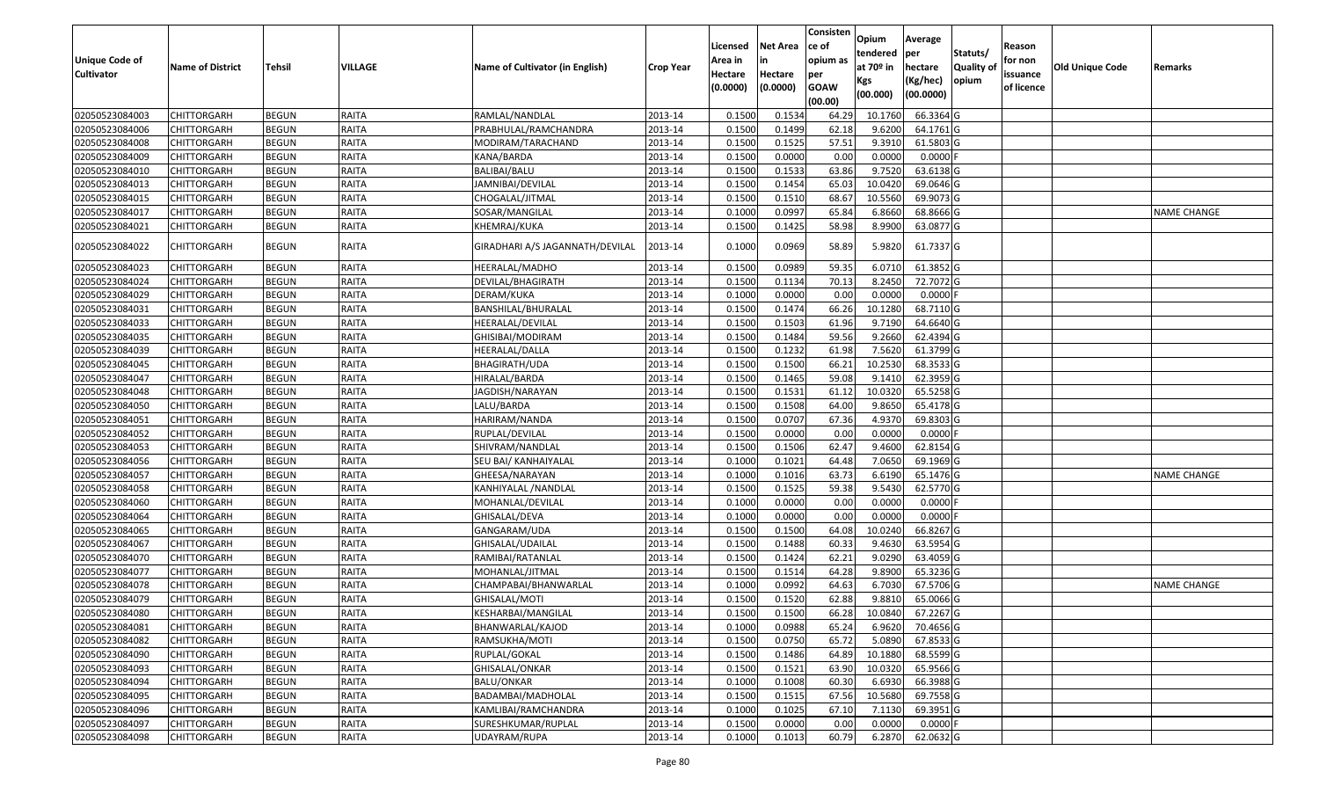| <b>Unique Code of</b> | <b>Name of District</b> |              | VILLAGE      |                                 |                  | Licensed<br>Area in | Net Area<br>in      | Consisten<br>ce of<br>opium as | Opium<br>tendered<br>at 70º in | Average<br>per<br>hectare | Statuts/<br><b>Quality of</b> | Reason<br>for non      | Old Unique Code |                    |
|-----------------------|-------------------------|--------------|--------------|---------------------------------|------------------|---------------------|---------------------|--------------------------------|--------------------------------|---------------------------|-------------------------------|------------------------|-----------------|--------------------|
| <b>Cultivator</b>     |                         | Tehsil       |              | Name of Cultivator (in English) | <b>Crop Year</b> | Hectare<br>(0.0000) | Hectare<br>(0.0000) | per<br><b>GOAW</b><br>(00.00)  | Kgs<br>(00.000)                | (Kg/hec)<br>(00.0000)     | opium                         | issuance<br>of licence |                 | Remarks            |
| 02050523084003        | <b>CHITTORGARH</b>      | <b>BEGUN</b> | RAITA        | RAMLAL/NANDLAL                  | 2013-14          | 0.1500              | 0.1534              | 64.29                          | 10.1760                        | 66.3364 G                 |                               |                        |                 |                    |
| 02050523084006        | CHITTORGARH             | <b>BEGUN</b> | RAITA        | PRABHULAL/RAMCHANDRA            | 2013-14          | 0.1500              | 0.1499              | 62.18                          | 9.6200                         | 64.1761 G                 |                               |                        |                 |                    |
| 02050523084008        | CHITTORGARH             | <b>BEGUN</b> | RAITA        | MODIRAM/TARACHAND               | 2013-14          | 0.1500              | 0.1525              | 57.51                          | 9.3910                         | 61.5803 G                 |                               |                        |                 |                    |
| 02050523084009        | <b>CHITTORGARH</b>      | <b>BEGUN</b> | RAITA        | KANA/BARDA                      | 2013-14          | 0.1500              | 0.0000              | 0.00                           | 0.0000                         | $0.0000$ F                |                               |                        |                 |                    |
| 02050523084010        | CHITTORGARH             | <b>BEGUN</b> | RAITA        | BALIBAI/BALU                    | 2013-14          | 0.1500              | 0.1533              | 63.86                          | 9.7520                         | 63.6138 G                 |                               |                        |                 |                    |
| 02050523084013        | <b>CHITTORGARH</b>      | <b>BEGUN</b> | RAITA        | JAMNIBAI/DEVILAL                | 2013-14          | 0.1500              | 0.1454              | 65.03                          | 10.0420                        | 69.0646 G                 |                               |                        |                 |                    |
| 02050523084015        | CHITTORGARH             | <b>BEGUN</b> | RAITA        | CHOGALAL/JITMAL                 | 2013-14          | 0.1500              | 0.1510              | 68.67                          | 10.5560                        | 69.9073 G                 |                               |                        |                 |                    |
| 02050523084017        | <b>CHITTORGARH</b>      | <b>BEGUN</b> | RAITA        | SOSAR/MANGILAL                  | 2013-14          | 0.1000              | 0.0997              | 65.84                          | 6.8660                         | 68.8666 G                 |                               |                        |                 | <b>NAME CHANGE</b> |
| 02050523084021        | CHITTORGARH             | <b>BEGUN</b> | RAITA        | KHEMRAJ/KUKA                    | 2013-14          | 0.1500              | 0.1425              | 58.98                          | 8.9900                         | 63.0877 G                 |                               |                        |                 |                    |
| 02050523084022        | CHITTORGARH             | <b>BEGUN</b> | RAITA        | GIRADHARI A/S JAGANNATH/DEVILAL | 2013-14          | 0.1000              | 0.0969              | 58.89                          | 5.9820                         | 61.7337 G                 |                               |                        |                 |                    |
| 02050523084023        | <b>CHITTORGARH</b>      | <b>BEGUN</b> | RAITA        | HEERALAL/MADHO                  | 2013-14          | 0.1500              | 0.0989              | 59.35                          | 6.0710                         | 61.3852 G                 |                               |                        |                 |                    |
| 02050523084024        | <b>CHITTORGARH</b>      | <b>BEGUN</b> | RAITA        | DEVILAL/BHAGIRATH               | 2013-14          | 0.1500              | 0.1134              | 70.13                          | 8.2450                         | 72.7072 G                 |                               |                        |                 |                    |
| 02050523084029        | CHITTORGARH             | <b>BEGUN</b> | RAITA        | DERAM/KUKA                      | 2013-14          | 0.1000              | 0.0000              | 0.00                           | 0.0000                         | $0.0000$ F                |                               |                        |                 |                    |
| 02050523084031        | CHITTORGARH             | <b>BEGUN</b> | RAITA        | BANSHILAL/BHURALAL              | 2013-14          | 0.1500              | 0.1474              | 66.26                          | 10.1280                        | 68.7110 G                 |                               |                        |                 |                    |
| 02050523084033        | CHITTORGARH             | <b>BEGUN</b> | RAITA        | HEERALAL/DEVILAL                | 2013-14          | 0.1500              | 0.1503              | 61.96                          | 9.7190                         | 64.6640 G                 |                               |                        |                 |                    |
| 02050523084035        | CHITTORGARH             | <b>BEGUN</b> | RAITA        | GHISIBAI/MODIRAM                | 2013-14          | 0.1500              | 0.1484              | 59.56                          | 9.2660                         | 62.4394 G                 |                               |                        |                 |                    |
| 02050523084039        | CHITTORGARH             | <b>BEGUN</b> | RAITA        | HEERALAL/DALLA                  | 2013-14          | 0.1500              | 0.1232              | 61.98                          | 7.5620                         | 61.3799 G                 |                               |                        |                 |                    |
| 02050523084045        | CHITTORGARH             | <b>BEGUN</b> | RAITA        | <b>BHAGIRATH/UDA</b>            | 2013-14          | 0.1500              | 0.1500              | 66.21                          | 10.2530                        | 68.3533 G                 |                               |                        |                 |                    |
| 02050523084047        | CHITTORGARH             | <b>BEGUN</b> | RAITA        | HIRALAL/BARDA                   | 2013-14          | 0.1500              | 0.1465              | 59.08                          | 9.1410                         | 62.3959 G                 |                               |                        |                 |                    |
| 02050523084048        | CHITTORGARH             | <b>BEGUN</b> | RAITA        | JAGDISH/NARAYAN                 | 2013-14          | 0.1500              | 0.1531              | 61.12                          | 10.0320                        | 65.5258 G                 |                               |                        |                 |                    |
| 02050523084050        | <b>CHITTORGARH</b>      | <b>BEGUN</b> | RAITA        | LALU/BARDA                      | 2013-14          | 0.1500              | 0.1508              | 64.00                          | 9.8650                         | 65.4178 G                 |                               |                        |                 |                    |
| 02050523084051        | CHITTORGARH             | <b>BEGUN</b> | RAITA        | HARIRAM/NANDA                   | 2013-14          | 0.1500              | 0.0707              | 67.36                          | 4.9370                         | 69.8303 G                 |                               |                        |                 |                    |
| 02050523084052        | CHITTORGARH             | <b>BEGUN</b> | RAITA        | RUPLAL/DEVILAL                  | 2013-14          | 0.1500              | 0.0000              | 0.00                           | 0.0000                         | $0.0000$ F                |                               |                        |                 |                    |
| 02050523084053        | <b>CHITTORGARH</b>      | <b>BEGUN</b> | RAITA        | SHIVRAM/NANDLAL                 | 2013-14          | 0.1500              | 0.1506              | 62.47                          | 9.4600                         | 62.8154 G                 |                               |                        |                 |                    |
| 02050523084056        | CHITTORGARH             | <b>BEGUN</b> | RAITA        | SEU BAI/ KANHAIYALAL            | 2013-14          | 0.1000              | 0.1021              | 64.48                          | 7.0650                         | 69.1969 G                 |                               |                        |                 |                    |
| 02050523084057        | CHITTORGARH             | <b>BEGUN</b> | RAITA        | GHEESA/NARAYAN                  | 2013-14          | 0.1000              | 0.1016              | 63.73                          | 6.6190                         | 65.1476 G                 |                               |                        |                 | <b>NAME CHANGE</b> |
| 02050523084058        | CHITTORGARH             | <b>BEGUN</b> | RAITA        | KANHIYALAL /NANDLAL             | 2013-14          | 0.1500              | 0.1525              | 59.38                          | 9.5430                         | 62.5770 G                 |                               |                        |                 |                    |
| 02050523084060        | <b>CHITTORGARH</b>      | <b>BEGUN</b> | RAITA        | MOHANLAL/DEVILAL                | 2013-14          | 0.1000              | 0.0000              | 0.00                           | 0.0000                         | $0.0000$ F                |                               |                        |                 |                    |
| 02050523084064        | CHITTORGARH             | <b>BEGUN</b> | RAITA        | GHISALAL/DEVA                   | 2013-14          | 0.1000              | 0.0000              | 0.00                           | 0.0000                         | $0.0000$ F                |                               |                        |                 |                    |
| 02050523084065        | CHITTORGARH             | <b>BEGUN</b> | RAITA        | GANGARAM/UDA                    | 2013-14          | 0.1500              | 0.1500              | 64.08                          | 10.0240                        | 66.8267 G                 |                               |                        |                 |                    |
| 02050523084067        | CHITTORGARH             | <b>BEGUN</b> | RAITA        | GHISALAL/UDAILAL                | 2013-14          | 0.1500              | 0.1488              | 60.33                          | 9.4630                         | 63.5954 G                 |                               |                        |                 |                    |
| 02050523084070        | <b>CHITTORGARH</b>      | <b>BEGUN</b> | RAITA        | RAMIBAI/RATANLAL                | 2013-14          | 0.1500              | 0.1424              | 62.21                          | 9.0290                         | 63.4059 G                 |                               |                        |                 |                    |
| 02050523084077        | <b>CHITTORGARH</b>      | <b>BEGUN</b> | RAITA        | MOHANLAL/JITMAL                 | 2013-14          | 0.1500              | 0.1514              | 64.28                          | 9.8900                         | 65.3236 G                 |                               |                        |                 |                    |
| 02050523084078        | CHITTORGARH             | <b>BEGUN</b> | RAITA        | CHAMPABAI/BHANWARLAL            | 2013-14          | 0.1000              | 0.0992              | 64.63                          | 6.7030                         | 67.5706 G                 |                               |                        |                 | <b>NAME CHANGE</b> |
| 02050523084079        | <b>CHITTORGARH</b>      | <b>BEGUN</b> | RAITA        | GHISALAL/MOTI                   | 2013-14          | 0.1500              | 0.1520              | 62.88                          | 9.8810                         | 65.0066 G                 |                               |                        |                 |                    |
| 02050523084080        | <b>CHITTORGARH</b>      | <b>BEGUN</b> | <b>RAITA</b> | KESHARBAI/MANGILAL              | 2013-14          | 0.1500              | 0.1500              | 66.28                          |                                | 10.0840 67.2267 G         |                               |                        |                 |                    |
| 02050523084081        | <b>CHITTORGARH</b>      | <b>BEGUN</b> | RAITA        | BHANWARLAL/KAJOD                | 2013-14          | 0.1000              | 0.0988              | 65.24                          | 6.9620                         | 70.4656 G                 |                               |                        |                 |                    |
| 02050523084082        | <b>CHITTORGARH</b>      | <b>BEGUN</b> | RAITA        | RAMSUKHA/MOTI                   | 2013-14          | 0.1500              | 0.0750              | 65.72                          | 5.0890                         | 67.8533 G                 |                               |                        |                 |                    |
| 02050523084090        | <b>CHITTORGARH</b>      | <b>BEGUN</b> | <b>RAITA</b> | RUPLAL/GOKAL                    | 2013-14          | 0.1500              | 0.1486              | 64.89                          | 10.1880                        | 68.5599 G                 |                               |                        |                 |                    |
| 02050523084093        | <b>CHITTORGARH</b>      | <b>BEGUN</b> | RAITA        | GHISALAL/ONKAR                  | 2013-14          | 0.1500              | 0.1521              | 63.90                          | 10.0320                        | 65.9566 G                 |                               |                        |                 |                    |
| 02050523084094        | <b>CHITTORGARH</b>      | <b>BEGUN</b> | <b>RAITA</b> | <b>BALU/ONKAR</b>               | 2013-14          | 0.1000              | 0.1008              | 60.30                          | 6.6930                         | 66.3988 G                 |                               |                        |                 |                    |
| 02050523084095        | <b>CHITTORGARH</b>      | <b>BEGUN</b> | RAITA        | BADAMBAI/MADHOLAL               | 2013-14          | 0.1500              | 0.1515              | 67.56                          | 10.5680                        | 69.7558 G                 |                               |                        |                 |                    |
| 02050523084096        | <b>CHITTORGARH</b>      | <b>BEGUN</b> | RAITA        | KAMLIBAI/RAMCHANDRA             | 2013-14          | 0.1000              | 0.1025              | 67.10                          | 7.1130                         | 69.3951 G                 |                               |                        |                 |                    |
| 02050523084097        | <b>CHITTORGARH</b>      | <b>BEGUN</b> | RAITA        | SURESHKUMAR/RUPLAL              | 2013-14          | 0.1500              | 0.0000              | 0.00                           | 0.0000                         | $0.0000$ F                |                               |                        |                 |                    |
| 02050523084098        | <b>CHITTORGARH</b>      | <b>BEGUN</b> | RAITA        | UDAYRAM/RUPA                    | 2013-14          | 0.1000              | 0.1013              | 60.79                          | 6.2870                         | 62.0632 G                 |                               |                        |                 |                    |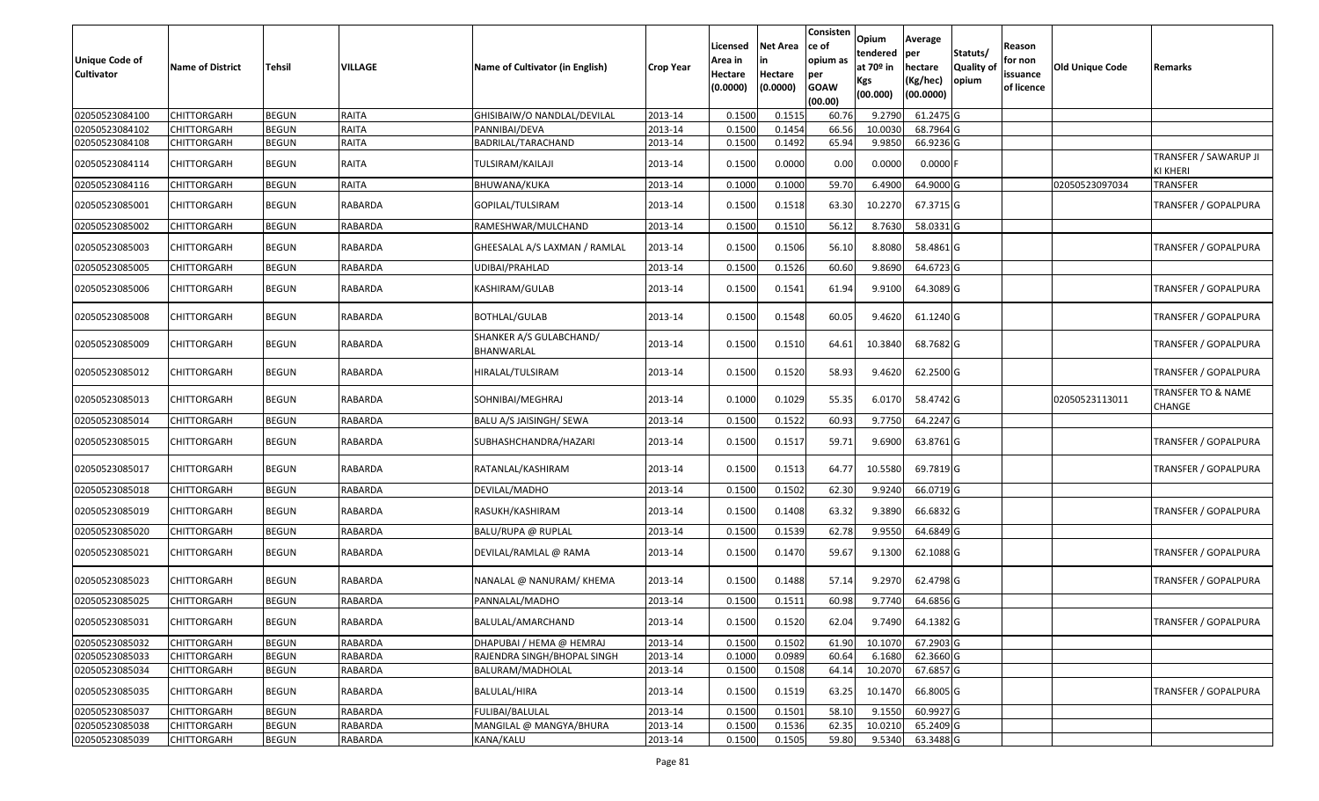| <b>Unique Code of</b><br><b>Cultivator</b> | <b>Name of District</b> | Tehsil       | VILLAGE        | Name of Cultivator (in English)       | <b>Crop Year</b> | Licensed<br>Area in<br>Hectare<br>(0.0000) | Net Area<br>in<br>Hectare<br>(0.0000) | Consisten<br>ce of<br>opium as<br>per<br><b>GOAW</b><br>(00.00) | Opium<br>tendered<br>at 70º in<br>Kgs<br>(00.000) | Average<br>per<br>hectare<br>(Kg/hec)<br>(00.0000) | Statuts/<br><b>Quality of</b><br>opium | Reason<br>for non<br>issuance<br>of licence | <b>Old Unique Code</b> | Remarks                           |
|--------------------------------------------|-------------------------|--------------|----------------|---------------------------------------|------------------|--------------------------------------------|---------------------------------------|-----------------------------------------------------------------|---------------------------------------------------|----------------------------------------------------|----------------------------------------|---------------------------------------------|------------------------|-----------------------------------|
| 02050523084100                             | <b>CHITTORGARH</b>      | <b>BEGUN</b> | RAITA          | GHISIBAIW/O NANDLAL/DEVILAL           | 2013-14          | 0.1500                                     | 0.1515                                | 60.76                                                           | 9.2790                                            | 61.2475 G                                          |                                        |                                             |                        |                                   |
| 02050523084102                             | CHITTORGARH             | <b>BEGUN</b> | RAITA          | PANNIBAI/DEVA                         | 2013-14          | 0.1500                                     | 0.1454                                | 66.56                                                           | 10.0030                                           | 68.7964 G                                          |                                        |                                             |                        |                                   |
| 02050523084108                             | CHITTORGARH             | <b>BEGUN</b> | RAITA          | BADRILAL/TARACHAND                    | 2013-14          | 0.1500                                     | 0.1492                                | 65.94                                                           | 9.9850                                            | 66.9236 G                                          |                                        |                                             |                        |                                   |
| 02050523084114                             | CHITTORGARH             | <b>BEGUN</b> | RAITA          | TULSIRAM/KAILAJI                      | 2013-14          | 0.1500                                     | 0.0000                                | 0.00                                                            | 0.0000                                            | $0.0000$ F                                         |                                        |                                             |                        | TRANSFER / SAWARUP JI<br>KI KHERI |
| 02050523084116                             | CHITTORGARH             | <b>BEGUN</b> | RAITA          | BHUWANA/KUKA                          | 2013-14          | 0.1000                                     | 0.1000                                | 59.70                                                           | 6.4900                                            | 64.9000 G                                          |                                        |                                             | 02050523097034         | TRANSFER                          |
| 02050523085001                             | CHITTORGARH             | <b>BEGUN</b> | RABARDA        | GOPILAL/TULSIRAM                      | 2013-14          | 0.1500                                     | 0.1518                                | 63.30                                                           | 10.2270                                           | 67.3715 G                                          |                                        |                                             |                        | TRANSFER / GOPALPURA              |
| 02050523085002                             | CHITTORGARH             | <b>BEGUN</b> | RABARDA        | RAMESHWAR/MULCHAND                    | 2013-14          | 0.1500                                     | 0.1510                                | 56.12                                                           | 8.7630                                            | 58.0331 G                                          |                                        |                                             |                        |                                   |
| 02050523085003                             | CHITTORGARH             | <b>BEGUN</b> | RABARDA        | GHEESALAL A/S LAXMAN / RAMLAL         | 2013-14          | 0.1500                                     | 0.1506                                | 56.10                                                           | 8.8080                                            | 58.4861 G                                          |                                        |                                             |                        | TRANSFER / GOPALPURA              |
| 02050523085005                             | <b>CHITTORGARH</b>      | <b>BEGUN</b> | <b>RABARDA</b> | UDIBAI/PRAHLAD                        | 2013-14          | 0.1500                                     | 0.1526                                | 60.60                                                           | 9.8690                                            | 64.6723 G                                          |                                        |                                             |                        |                                   |
| 02050523085006                             | CHITTORGARH             | <b>BEGUN</b> | RABARDA        | KASHIRAM/GULAB                        | 2013-14          | 0.1500                                     | 0.1541                                | 61.94                                                           | 9.9100                                            | 64.3089 G                                          |                                        |                                             |                        | <b>TRANSFER / GOPALPURA</b>       |
| 02050523085008                             | CHITTORGARH             | <b>BEGUN</b> | RABARDA        | BOTHLAL/GULAB                         | 2013-14          | 0.1500                                     | 0.1548                                | 60.05                                                           | 9.4620                                            | 61.1240 G                                          |                                        |                                             |                        | TRANSFER / GOPALPURA              |
| 02050523085009                             | CHITTORGARH             | <b>BEGUN</b> | RABARDA        | SHANKER A/S GULABCHAND/<br>BHANWARLAL | 2013-14          | 0.1500                                     | 0.1510                                | 64.61                                                           | 10.3840                                           | 68.7682 G                                          |                                        |                                             |                        | TRANSFER / GOPALPURA              |
| 02050523085012                             | CHITTORGARH             | <b>BEGUN</b> | RABARDA        | HIRALAL/TULSIRAM                      | 2013-14          | 0.1500                                     | 0.1520                                | 58.93                                                           | 9.4620                                            | 62.2500 G                                          |                                        |                                             |                        | TRANSFER / GOPALPURA              |
| 02050523085013                             | CHITTORGARH             | <b>BEGUN</b> | RABARDA        | SOHNIBAI/MEGHRAJ                      | 2013-14          | 0.1000                                     | 0.1029                                | 55.35                                                           | 6.0170                                            | 58.4742 G                                          |                                        |                                             | 02050523113011         | TRANSFER TO & NAME<br>CHANGE      |
| 02050523085014                             | CHITTORGARH             | <b>BEGUN</b> | RABARDA        | BALU A/S JAISINGH/ SEWA               | 2013-14          | 0.1500                                     | 0.1522                                | 60.93                                                           | 9.7750                                            | 64.2247 G                                          |                                        |                                             |                        |                                   |
| 02050523085015                             | CHITTORGARH             | <b>BEGUN</b> | RABARDA        | SUBHASHCHANDRA/HAZARI                 | 2013-14          | 0.1500                                     | 0.1517                                | 59.71                                                           | 9.6900                                            | 63.8761 G                                          |                                        |                                             |                        | TRANSFER / GOPALPURA              |
| 02050523085017                             | CHITTORGARH             | <b>BEGUN</b> | RABARDA        | RATANLAL/KASHIRAM                     | 2013-14          | 0.1500                                     | 0.1513                                | 64.77                                                           | 10.5580                                           | 69.7819 G                                          |                                        |                                             |                        | TRANSFER / GOPALPURA              |
| 02050523085018                             | CHITTORGARH             | <b>BEGUN</b> | RABARDA        | DEVILAL/MADHO                         | 2013-14          | 0.1500                                     | 0.1502                                | 62.30                                                           | 9.9240                                            | 66.0719 G                                          |                                        |                                             |                        |                                   |
| 02050523085019                             | CHITTORGARH             | <b>BEGUN</b> | RABARDA        | RASUKH/KASHIRAM                       | 2013-14          | 0.1500                                     | 0.1408                                | 63.32                                                           | 9.3890                                            | 66.6832 G                                          |                                        |                                             |                        | TRANSFER / GOPALPURA              |
| 02050523085020                             | CHITTORGARH             | <b>BEGUN</b> | RABARDA        | BALU/RUPA @ RUPLAL                    | 2013-14          | 0.1500                                     | 0.1539                                | 62.78                                                           | 9.9550                                            | 64.6849 G                                          |                                        |                                             |                        |                                   |
| 02050523085021                             | CHITTORGARH             | <b>BEGUN</b> | RABARDA        | DEVILAL/RAMLAL @ RAMA                 | 2013-14          | 0.1500                                     | 0.1470                                | 59.67                                                           | 9.1300                                            | 62.1088 G                                          |                                        |                                             |                        | TRANSFER / GOPALPURA              |
| 02050523085023                             | CHITTORGARH             | <b>BEGUN</b> | RABARDA        | NANALAL @ NANURAM/ KHEMA              | 2013-14          | 0.1500                                     | 0.1488                                | 57.14                                                           | 9.2970                                            | 62.4798 G                                          |                                        |                                             |                        | <b>TRANSFER / GOPALPURA</b>       |
| 02050523085025                             | CHITTORGARH             | <b>BEGUN</b> | RABARDA        | PANNALAL/MADHO                        | 2013-14          | 0.1500                                     | 0.151                                 | 60.98                                                           | 9.7740                                            | 64.6856 G                                          |                                        |                                             |                        |                                   |
| 02050523085031                             | <b>CHITTORGARH</b>      | <b>BEGUN</b> | RABARDA        | BALULAL/AMARCHAND                     | 2013-14          | 0.1500                                     | 0.1520                                | 62.04                                                           | 9.7490                                            | 64.1382 G                                          |                                        |                                             |                        | <b>TRANSFER / GOPALPURA</b>       |
| 02050523085032                             | <b>CHITTORGARH</b>      | <b>BEGUN</b> | <b>RABARDA</b> | DHAPUBAI / HEMA @ HEMRAJ              | 2013-14          | 0.1500                                     | 0.1502                                | 61.90                                                           | 10.1070                                           | 67.2903 G                                          |                                        |                                             |                        |                                   |
| 02050523085033                             | <b>CHITTORGARH</b>      | <b>BEGUN</b> | RABARDA        | RAJENDRA SINGH/BHOPAL SINGH           | 2013-14          | 0.1000                                     | 0.0989                                | 60.64                                                           | 6.1680                                            | 62.3660 G                                          |                                        |                                             |                        |                                   |
| 02050523085034                             | CHITTORGARH             | <b>BEGUN</b> | RABARDA        | BALURAM/MADHOLAL                      | 2013-14          | 0.1500                                     | 0.1508                                | 64.14                                                           | 10.2070                                           | 67.6857 G                                          |                                        |                                             |                        |                                   |
| 02050523085035                             | CHITTORGARH             | <b>BEGUN</b> | RABARDA        | BALULAL/HIRA                          | 2013-14          | 0.1500                                     | 0.1519                                | 63.25                                                           | 10.1470                                           | 66.8005 G                                          |                                        |                                             |                        | <b>TRANSFER / GOPALPURA</b>       |
| 02050523085037                             | <b>CHITTORGARH</b>      | <b>BEGUN</b> | RABARDA        | FULIBAI/BALULAL                       | 2013-14          | 0.1500                                     | 0.1501                                | 58.10                                                           | 9.1550                                            | 60.9927 G                                          |                                        |                                             |                        |                                   |
| 02050523085038                             | <b>CHITTORGARH</b>      | <b>BEGUN</b> | RABARDA        | MANGILAL @ MANGYA/BHURA               | 2013-14          | 0.1500                                     | 0.1536                                | 62.35                                                           | 10.0210                                           | 65.2409 G                                          |                                        |                                             |                        |                                   |
| 02050523085039                             | <b>CHITTORGARH</b>      | <b>BEGUN</b> | RABARDA        | KANA/KALU                             | 2013-14          | 0.1500                                     | 0.1505                                | 59.80                                                           | 9.5340                                            | 63.3488 G                                          |                                        |                                             |                        |                                   |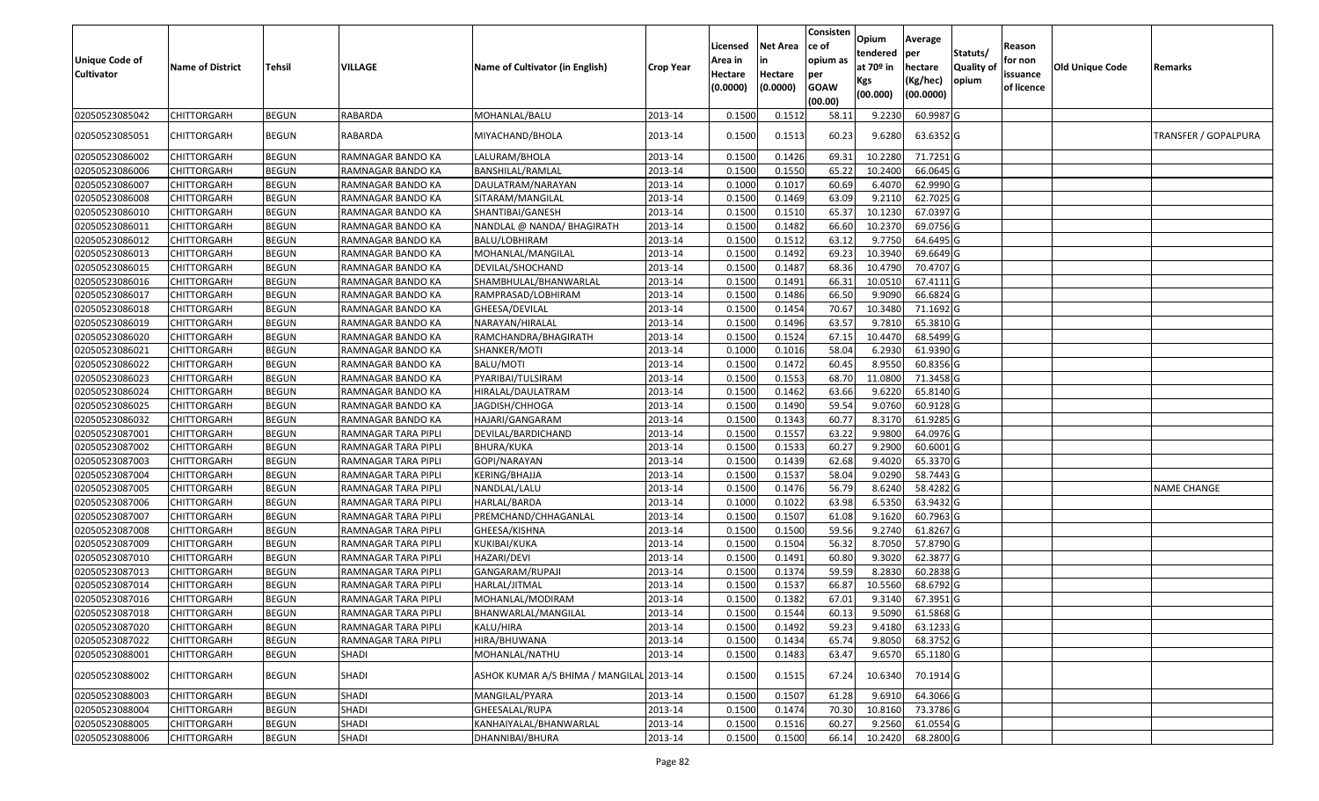| <b>Unique Code of</b><br><b>Cultivator</b> | <b>Name of District</b> | Tehsil       | VILLAGE             | Name of Cultivator (in English)          | <b>Crop Year</b> | Licensed<br>Area in<br>Hectare<br>(0.0000) | <b>Net Area</b><br>Hectare<br>(0.0000) | Consisten<br>ce of<br>opium as<br>per<br><b>GOAW</b><br>(00.00) | Opium<br>tendered<br>at 70º in<br>Kgs<br>(00.000) | Average<br>per<br>hectare<br>(Kg/hec)<br>(00.0000) | Statuts/<br><b>Quality of</b><br>opium | Reason<br>for non<br>issuance<br>of licence | Old Unique Code | Remarks              |
|--------------------------------------------|-------------------------|--------------|---------------------|------------------------------------------|------------------|--------------------------------------------|----------------------------------------|-----------------------------------------------------------------|---------------------------------------------------|----------------------------------------------------|----------------------------------------|---------------------------------------------|-----------------|----------------------|
| 02050523085042                             | <b>CHITTORGARH</b>      | <b>BEGUN</b> | RABARDA             | MOHANLAL/BALU                            | 2013-14          | 0.1500                                     | 0.1512                                 | 58.11                                                           | 9.2230                                            | 60.9987 G                                          |                                        |                                             |                 |                      |
| 02050523085051                             | CHITTORGARH             | <b>BEGUN</b> | RABARDA             | MIYACHAND/BHOLA                          | 2013-14          | 0.1500                                     | 0.1513                                 | 60.23                                                           | 9.6280                                            | 63.6352 G                                          |                                        |                                             |                 | TRANSFER / GOPALPURA |
| 02050523086002                             | <b>CHITTORGARH</b>      | <b>BEGUN</b> | RAMNAGAR BANDO KA   | LALURAM/BHOLA                            | 2013-14          | 0.1500                                     | 0.1426                                 | 69.31                                                           | 10.2280                                           | 71.7251G                                           |                                        |                                             |                 |                      |
| 02050523086006                             | CHITTORGARH             | <b>BEGUN</b> | RAMNAGAR BANDO KA   | BANSHILAL/RAMLAL                         | 2013-14          | 0.1500                                     | 0.1550                                 | 65.22                                                           | 10.2400                                           | 66.0645 G                                          |                                        |                                             |                 |                      |
| 02050523086007                             | CHITTORGARH             | <b>BEGUN</b> | RAMNAGAR BANDO KA   | DAULATRAM/NARAYAN                        | 2013-14          | 0.1000                                     | 0.1017                                 | 60.69                                                           | 6.4070                                            | 62.9990 G                                          |                                        |                                             |                 |                      |
| 02050523086008                             | CHITTORGARH             | <b>BEGUN</b> | RAMNAGAR BANDO KA   | SITARAM/MANGILAL                         | 2013-14          | 0.1500                                     | 0.1469                                 | 63.09                                                           | 9.2110                                            | 62.7025 G                                          |                                        |                                             |                 |                      |
| 02050523086010                             | CHITTORGARH             | <b>BEGUN</b> | RAMNAGAR BANDO KA   | SHANTIBAI/GANESH                         | 2013-14          | 0.1500                                     | 0.1510                                 | 65.37                                                           | 10.1230                                           | 67.0397 G                                          |                                        |                                             |                 |                      |
| 02050523086011                             | <b>CHITTORGARH</b>      | <b>BEGUN</b> | RAMNAGAR BANDO KA   | NANDLAL @ NANDA/ BHAGIRATH               | 2013-14          | 0.1500                                     | 0.1482                                 | 66.60                                                           | 10.2370                                           | 69.0756 G                                          |                                        |                                             |                 |                      |
| 02050523086012                             | <b>CHITTORGARH</b>      | <b>BEGUN</b> | RAMNAGAR BANDO KA   | BALU/LOBHIRAM                            | 2013-14          | 0.1500                                     | 0.1512                                 | 63.12                                                           | 9.7750                                            | 64.6495 G                                          |                                        |                                             |                 |                      |
| 02050523086013                             | <b>CHITTORGARH</b>      | <b>BEGUN</b> | RAMNAGAR BANDO KA   | MOHANLAL/MANGILAL                        | 2013-14          | 0.1500                                     | 0.1492                                 | 69.23                                                           | 10.3940                                           | 69.6649 G                                          |                                        |                                             |                 |                      |
| 02050523086015                             | <b>CHITTORGARH</b>      | <b>BEGUN</b> | RAMNAGAR BANDO KA   | DEVILAL/SHOCHAND                         | 2013-14          | 0.1500                                     | 0.1487                                 | 68.36                                                           | 10.4790                                           | 70.4707 G                                          |                                        |                                             |                 |                      |
| 02050523086016                             | <b>CHITTORGARH</b>      | <b>BEGUN</b> | RAMNAGAR BANDO KA   | SHAMBHULAL/BHANWARLAL                    | 2013-14          | 0.1500                                     | 0.1491                                 | 66.31                                                           | 10.0510                                           | 67.4111G                                           |                                        |                                             |                 |                      |
| 02050523086017                             | <b>CHITTORGARH</b>      | <b>BEGUN</b> | RAMNAGAR BANDO KA   | RAMPRASAD/LOBHIRAM                       | 2013-14          | 0.1500                                     | 0.1486                                 | 66.50                                                           | 9.9090                                            | 66.6824 G                                          |                                        |                                             |                 |                      |
| 02050523086018                             | CHITTORGARH             | <b>BEGUN</b> | RAMNAGAR BANDO KA   | GHEESA/DEVILAL                           | 2013-14          | 0.1500                                     | 0.1454                                 | 70.67                                                           | 10.3480                                           | 71.1692 G                                          |                                        |                                             |                 |                      |
| 02050523086019                             | <b>CHITTORGARH</b>      | <b>BEGUN</b> | RAMNAGAR BANDO KA   | NARAYAN/HIRALAL                          | 2013-14          | 0.1500                                     | 0.1496                                 | 63.57                                                           | 9.7810                                            | 65.3810 G                                          |                                        |                                             |                 |                      |
| 02050523086020                             | <b>CHITTORGARH</b>      | <b>BEGUN</b> | RAMNAGAR BANDO KA   | RAMCHANDRA/BHAGIRATH                     | 2013-14          | 0.1500                                     | 0.1524                                 | 67.15                                                           | 10.4470                                           | 68.5499 G                                          |                                        |                                             |                 |                      |
| 02050523086021                             | CHITTORGARH             | <b>BEGUN</b> | RAMNAGAR BANDO KA   | SHANKER/MOTI                             | 2013-14          | 0.1000                                     | 0.1016                                 | 58.04                                                           | 6.2930                                            | 61.9390 G                                          |                                        |                                             |                 |                      |
| 02050523086022                             | CHITTORGARH             | <b>BEGUN</b> | RAMNAGAR BANDO KA   | BALU/MOTI                                | 2013-14          | 0.1500                                     | 0.1472                                 | 60.45                                                           | 8.9550                                            | 60.8356 G                                          |                                        |                                             |                 |                      |
| 02050523086023                             | <b>CHITTORGARH</b>      | <b>BEGUN</b> | RAMNAGAR BANDO KA   | PYARIBAI/TULSIRAM                        | 2013-14          | 0.1500                                     | 0.1553                                 | 68.70                                                           | 11.0800                                           | 71.3458 G                                          |                                        |                                             |                 |                      |
| 02050523086024                             | <b>CHITTORGARH</b>      | <b>BEGUN</b> | RAMNAGAR BANDO KA   | HIRALAL/DAULATRAM                        | 2013-14          | 0.1500                                     | 0.1462                                 | 63.66                                                           | 9.6220                                            | 65.8140 G                                          |                                        |                                             |                 |                      |
| 02050523086025                             | <b>CHITTORGARH</b>      | <b>BEGUN</b> | RAMNAGAR BANDO KA   | JAGDISH/CHHOGA                           | 2013-14          | 0.1500                                     | 0.1490                                 | 59.54                                                           | 9.0760                                            | 60.9128 G                                          |                                        |                                             |                 |                      |
| 02050523086032                             | CHITTORGARH             | <b>BEGUN</b> | RAMNAGAR BANDO KA   | HAJARI/GANGARAM                          | 2013-14          | 0.1500                                     | 0.1343                                 | 60.77                                                           | 8.3170                                            | 61.9285 G                                          |                                        |                                             |                 |                      |
| 02050523087001                             | CHITTORGARH             | <b>BEGUN</b> | RAMNAGAR TARA PIPLI | DEVILAL/BARDICHAND                       | 2013-14          | 0.1500                                     | 0.1557                                 | 63.22                                                           | 9.9800                                            | 64.0976 G                                          |                                        |                                             |                 |                      |
| 02050523087002                             | <b>CHITTORGARH</b>      | <b>BEGUN</b> | RAMNAGAR TARA PIPLI | <b>BHURA/KUKA</b>                        | 2013-14          | 0.1500                                     | 0.1533                                 | 60.27                                                           | 9.2900                                            | 60.6001G                                           |                                        |                                             |                 |                      |
| 02050523087003                             | <b>CHITTORGARH</b>      | <b>BEGUN</b> | RAMNAGAR TARA PIPLI | GOPI/NARAYAN                             | 2013-14          | 0.1500                                     | 0.1439                                 | 62.68                                                           | 9.4020                                            | 65.3370 G                                          |                                        |                                             |                 |                      |
| 02050523087004                             | CHITTORGARH             | <b>BEGUN</b> | RAMNAGAR TARA PIPLI | KERING/BHAJJA                            | 2013-14          | 0.1500                                     | 0.1537                                 | 58.04                                                           | 9.0290                                            | 58.7443 G                                          |                                        |                                             |                 |                      |
| 02050523087005                             | CHITTORGARH             | <b>BEGUN</b> | RAMNAGAR TARA PIPLI | NANDLAL/LALU                             | 2013-14          | 0.1500                                     | 0.1476                                 | 56.79                                                           | 8.6240                                            | 58.4282 G                                          |                                        |                                             |                 | <b>NAME CHANGE</b>   |
| 02050523087006                             | <b>CHITTORGARH</b>      | <b>BEGUN</b> | RAMNAGAR TARA PIPLI | HARLAL/BARDA                             | 2013-14          | 0.1000                                     | 0.1022                                 | 63.98                                                           | 6.5350                                            | 63.9432 G                                          |                                        |                                             |                 |                      |
| 02050523087007                             | CHITTORGARH             | <b>BEGUN</b> | RAMNAGAR TARA PIPLI | PREMCHAND/CHHAGANLAL                     | 2013-14          | 0.1500                                     | 0.1507                                 | 61.08                                                           | 9.1620                                            | 60.7963 G                                          |                                        |                                             |                 |                      |
| 02050523087008                             | CHITTORGARH             | <b>BEGUN</b> | RAMNAGAR TARA PIPLI | GHEESA/KISHNA                            | 2013-14          | 0.1500                                     | 0.1500                                 | 59.56                                                           | 9.2740                                            | 61.8267 G                                          |                                        |                                             |                 |                      |
| 02050523087009                             | CHITTORGARH             | <b>BEGUN</b> | RAMNAGAR TARA PIPLI | KUKIBAI/KUKA                             | 2013-14          | 0.1500                                     | 0.1504                                 | 56.32                                                           | 8.7050                                            | 57.8790 G                                          |                                        |                                             |                 |                      |
| 02050523087010                             | <b>CHITTORGARH</b>      | <b>BEGUN</b> | RAMNAGAR TARA PIPLI | HAZARI/DEVI                              | 2013-14          | 0.1500                                     | 0.1491                                 | 60.80                                                           | 9.3020                                            | 62.3877 G                                          |                                        |                                             |                 |                      |
| 02050523087013                             | <b>CHITTORGARH</b>      | <b>BEGUN</b> | RAMNAGAR TARA PIPLI | GANGARAM/RUPAJI                          | 2013-14          | 0.1500                                     | 0.1374                                 | 59.59                                                           | 8.2830                                            | 60.2838 G                                          |                                        |                                             |                 |                      |
| 02050523087014                             | <b>CHITTORGARH</b>      | <b>BEGUN</b> | RAMNAGAR TARA PIPLI | HARLAL/JITMAL                            | 2013-14          | 0.1500                                     | 0.1537                                 | 66.87                                                           | 10.5560                                           | 68.6792 G                                          |                                        |                                             |                 |                      |
| 02050523087016                             | <b>CHITTORGARH</b>      | <b>BEGUN</b> | RAMNAGAR TARA PIPLI | MOHANLAL/MODIRAM                         | 2013-14          | 0.1500                                     | 0.1382                                 | 67.01                                                           | 9.3140                                            | 67.3951 G                                          |                                        |                                             |                 |                      |
| 02050523087018                             | <b>CHITTORGARH</b>      | <b>BEGUN</b> | RAMNAGAR TARA PIPLI | BHANWARLAL/MANGILAL                      | 2013-14          | 0.1500                                     | 0.1544                                 | 60.13                                                           | 9.5090                                            | 61.5868 G                                          |                                        |                                             |                 |                      |
| 02050523087020                             | <b>CHITTORGARH</b>      | <b>BEGUN</b> | RAMNAGAR TARA PIPLI | KALU/HIRA                                | 2013-14          | 0.1500                                     | 0.1492                                 | 59.23                                                           | 9.4180                                            | 63.1233 G                                          |                                        |                                             |                 |                      |
| 02050523087022                             | <b>CHITTORGARH</b>      | <b>BEGUN</b> | RAMNAGAR TARA PIPLI | HIRA/BHUWANA                             | 2013-14          | 0.1500                                     | 0.1434                                 | 65.74                                                           | 9.8050                                            | 68.3752 G                                          |                                        |                                             |                 |                      |
| 02050523088001                             | <b>CHITTORGARH</b>      | <b>BEGUN</b> | SHADI               | MOHANLAL/NATHU                           | 2013-14          | 0.1500                                     | 0.1483                                 | 63.47                                                           | 9.6570                                            | 65.1180 G                                          |                                        |                                             |                 |                      |
| 02050523088002                             | <b>CHITTORGARH</b>      | <b>BEGUN</b> | SHADI               | ASHOK KUMAR A/S BHIMA / MANGILAL 2013-14 |                  | 0.1500                                     | 0.1515                                 | 67.24                                                           | 10.6340                                           | 70.1914 G                                          |                                        |                                             |                 |                      |
| 02050523088003                             | <b>CHITTORGARH</b>      | <b>BEGUN</b> | <b>SHADI</b>        | MANGILAL/PYARA                           | 2013-14          | 0.1500                                     | 0.1507                                 | 61.28                                                           | 9.6910                                            | 64.3066 G                                          |                                        |                                             |                 |                      |
| 02050523088004                             | <b>CHITTORGARH</b>      | <b>BEGUN</b> | <b>SHADI</b>        | GHEESALAL/RUPA                           | 2013-14          | 0.1500                                     | 0.1474                                 | 70.30                                                           | 10.8160                                           | 73.3786 G                                          |                                        |                                             |                 |                      |
| 02050523088005                             | <b>CHITTORGARH</b>      | <b>BEGUN</b> | SHADI               | KANHAIYALAL/BHANWARLAL                   | 2013-14          | 0.1500                                     | 0.1516                                 | 60.27                                                           | 9.2560                                            | 61.0554 G                                          |                                        |                                             |                 |                      |
| 02050523088006                             | <b>CHITTORGARH</b>      | <b>BEGUN</b> | SHADI               | DHANNIBAI/BHURA                          | 2013-14          | 0.1500                                     | 0.1500                                 | 66.14                                                           | 10.2420                                           | 68.2800 G                                          |                                        |                                             |                 |                      |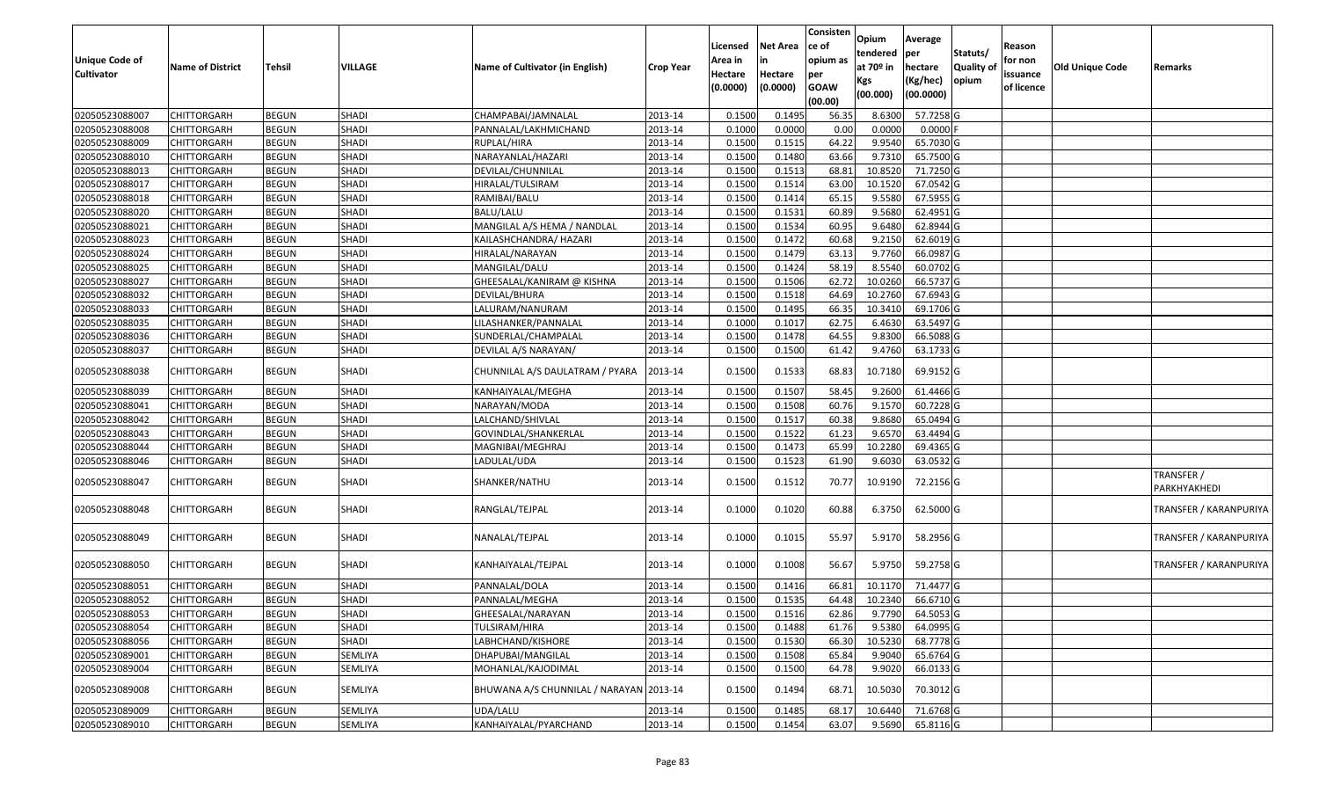| Unique Code of<br><b>Cultivator</b> | <b>Name of District</b> | <b>Tehsil</b> | VILLAGE      | Name of Cultivator (in English)         | <b>Crop Year</b> | Licensed<br>Area in<br>Hectare<br>(0.0000) | Net Area<br>in<br>Hectare<br>(0.0000) | Consisten<br>ce of<br>opium as<br>per<br><b>GOAW</b><br>(00.00) | Opium<br>tendered<br>at 70 <sup>o</sup> in<br>Kgs<br>(00.000) | Average<br>per<br>hectare<br>(Kg/hec)<br>(00.0000) | Statuts/<br><b>Quality of</b><br>opium | Reason<br>for non<br>issuance<br>of licence | <b>Old Unique Code</b> | Remarks                       |
|-------------------------------------|-------------------------|---------------|--------------|-----------------------------------------|------------------|--------------------------------------------|---------------------------------------|-----------------------------------------------------------------|---------------------------------------------------------------|----------------------------------------------------|----------------------------------------|---------------------------------------------|------------------------|-------------------------------|
| 02050523088007                      | <b>CHITTORGARH</b>      | <b>BEGUN</b>  | <b>SHADI</b> | CHAMPABAI/JAMNALAL                      | 2013-14          | 0.1500                                     | 0.149                                 | 56.35                                                           | 8.6300                                                        | 57.7258 G                                          |                                        |                                             |                        |                               |
| 02050523088008                      | CHITTORGARH             | <b>BEGUN</b>  | <b>SHADI</b> | PANNALAL/LAKHMICHAND                    | 2013-14          | 0.1000                                     | 0.0000                                | 0.00                                                            | 0.0000                                                        | $0.0000$ F                                         |                                        |                                             |                        |                               |
| 02050523088009                      | CHITTORGARH             | <b>BEGUN</b>  | <b>SHADI</b> | RUPLAL/HIRA                             | 2013-14          | 0.1500                                     | 0.1515                                | 64.22                                                           | 9.9540                                                        | 65.7030 G                                          |                                        |                                             |                        |                               |
| 02050523088010                      | <b>CHITTORGARH</b>      | <b>BEGUN</b>  | <b>SHADI</b> | NARAYANLAL/HAZARI                       | 2013-14          | 0.1500                                     | 0.1480                                | 63.66                                                           | 9.7310                                                        | 65.7500 G                                          |                                        |                                             |                        |                               |
| 02050523088013                      | <b>CHITTORGARH</b>      | <b>BEGUN</b>  | <b>SHADI</b> | DEVILAL/CHUNNILAL                       | 2013-14          | 0.1500                                     | 0.1513                                | 68.81                                                           | 10.8520                                                       | 71.7250 G                                          |                                        |                                             |                        |                               |
| 02050523088017                      | <b>CHITTORGARH</b>      | <b>BEGUN</b>  | <b>SHADI</b> | HIRALAL/TULSIRAM                        | 2013-14          | 0.1500                                     | 0.1514                                | 63.00                                                           | 10.1520                                                       | 67.0542 G                                          |                                        |                                             |                        |                               |
| 02050523088018                      | CHITTORGARH             | <b>BEGUN</b>  | <b>SHADI</b> | RAMIBAI/BALU                            | 2013-14          | 0.1500                                     | 0.1414                                | 65.15                                                           | 9.5580                                                        | 67.5955 G                                          |                                        |                                             |                        |                               |
| 02050523088020                      | <b>CHITTORGARH</b>      | <b>BEGUN</b>  | <b>SHADI</b> | BALU/LALU                               | 2013-14          | 0.1500                                     | 0.1531                                | 60.89                                                           | 9.5680                                                        | 62.4951 G                                          |                                        |                                             |                        |                               |
| 02050523088021                      | CHITTORGARH             | <b>BEGUN</b>  | <b>SHADI</b> | MANGILAL A/S HEMA / NANDLAL             | 2013-14          | 0.1500                                     | 0.1534                                | 60.95                                                           | 9.6480                                                        | 62.8944 G                                          |                                        |                                             |                        |                               |
| 02050523088023                      | CHITTORGARH             | <b>BEGUN</b>  | <b>SHADI</b> | KAILASHCHANDRA/ HAZARI                  | 2013-14          | 0.1500                                     | 0.1472                                | 60.68                                                           | 9.2150                                                        | 62.6019 G                                          |                                        |                                             |                        |                               |
| 02050523088024                      | CHITTORGARH             | <b>BEGUN</b>  | <b>SHADI</b> | HIRALAL/NARAYAN                         | 2013-14          | 0.1500                                     | 0.1479                                | 63.13                                                           | 9.7760                                                        | 66.0987 G                                          |                                        |                                             |                        |                               |
| 02050523088025                      | CHITTORGARH             | <b>BEGUN</b>  | <b>SHADI</b> | MANGILAL/DALU                           | 2013-14          | 0.1500                                     | 0.1424                                | 58.19                                                           | 8.5540                                                        | 60.0702 G                                          |                                        |                                             |                        |                               |
| 02050523088027                      | CHITTORGARH             | <b>BEGUN</b>  | <b>SHADI</b> | GHEESALAL/KANIRAM @ KISHNA              | 2013-14          | 0.1500                                     | 0.1506                                | 62.72                                                           | 10.0260                                                       | 66.5737 G                                          |                                        |                                             |                        |                               |
| 02050523088032                      | CHITTORGARH             | <b>BEGUN</b>  | <b>SHADI</b> | DEVILAL/BHURA                           | 2013-14          | 0.1500                                     | 0.1518                                | 64.69                                                           | 10.2760                                                       | 67.6943 G                                          |                                        |                                             |                        |                               |
| 02050523088033                      | CHITTORGARH             | <b>BEGUN</b>  | <b>SHADI</b> | LALURAM/NANURAM                         | 2013-14          | 0.1500                                     | 0.1495                                | 66.35                                                           | 10.3410                                                       | 69.1706 G                                          |                                        |                                             |                        |                               |
| 02050523088035                      | CHITTORGARH             | <b>BEGUN</b>  | <b>SHADI</b> | LILASHANKER/PANNALAL                    | 2013-14          | 0.1000                                     | 0.1017                                | 62.75                                                           | 6.4630                                                        | 63.5497 G                                          |                                        |                                             |                        |                               |
| 02050523088036                      | CHITTORGARH             | <b>BEGUN</b>  | SHADI        | SUNDERLAL/CHAMPALAL                     | 2013-14          | 0.1500                                     | 0.1478                                | 64.55                                                           | 9.8300                                                        | 66.5088 G                                          |                                        |                                             |                        |                               |
| 02050523088037                      | <b>CHITTORGARH</b>      | <b>BEGUN</b>  | SHADI        | DEVILAL A/S NARAYAN/                    | 2013-14          | 0.1500                                     | 0.1500                                | 61.42                                                           | 9.4760                                                        | 63.1733 G                                          |                                        |                                             |                        |                               |
| 02050523088038                      | CHITTORGARH             | <b>BEGUN</b>  | SHADI        | CHUNNILAL A/S DAULATRAM / PYARA         | 2013-14          | 0.1500                                     | 0.1533                                | 68.83                                                           | 10.7180                                                       | 69.9152 G                                          |                                        |                                             |                        |                               |
| 02050523088039                      | CHITTORGARH             | <b>BEGUN</b>  | SHADI        | KANHAIYALAL/MEGHA                       | 2013-14          | 0.1500                                     | 0.1507                                | 58.45                                                           | 9.2600                                                        | 61.4466 G                                          |                                        |                                             |                        |                               |
| 02050523088041                      | CHITTORGARH             | <b>BEGUN</b>  | <b>SHADI</b> | NARAYAN/MODA                            | 2013-14          | 0.1500                                     | 0.1508                                | 60.76                                                           | 9.1570                                                        | 60.7228 G                                          |                                        |                                             |                        |                               |
| 02050523088042                      | <b>CHITTORGARH</b>      | <b>BEGUN</b>  | <b>SHADI</b> | LALCHAND/SHIVLAL                        | 2013-14          | 0.1500                                     | 0.1517                                | 60.38                                                           | 9.8680                                                        | 65.0494 G                                          |                                        |                                             |                        |                               |
| 02050523088043                      | CHITTORGARH             | <b>BEGUN</b>  | <b>SHADI</b> | GOVINDLAL/SHANKERLAL                    | 2013-14          | 0.1500                                     | 0.1522                                | 61.23                                                           | 9.6570                                                        | 63.4494 G                                          |                                        |                                             |                        |                               |
| 02050523088044                      | CHITTORGARH             | <b>BEGUN</b>  | SHADI        | MAGNIBAI/MEGHRAJ                        | 2013-14          | 0.1500                                     | 0.1473                                | 65.99                                                           | 10.2280                                                       | 69.4365 G                                          |                                        |                                             |                        |                               |
| 02050523088046                      | CHITTORGARH             | <b>BEGUN</b>  | <b>SHADI</b> | LADULAL/UDA                             | 2013-14          | 0.1500                                     | 0.1523                                | 61.90                                                           | 9.6030                                                        | 63.0532 G                                          |                                        |                                             |                        |                               |
| 02050523088047                      | CHITTORGARH             | <b>BEGUN</b>  | SHADI        | SHANKER/NATHU                           | 2013-14          | 0.1500                                     | 0.1512                                | 70.77                                                           | 10.9190                                                       | 72.2156 G                                          |                                        |                                             |                        | TRANSFER /<br>PARKHYAKHEDI    |
| 02050523088048                      | CHITTORGARH             | <b>BEGUN</b>  | SHADI        | RANGLAL/TEJPAL                          | 2013-14          | 0.1000                                     | 0.1020                                | 60.88                                                           | 6.3750                                                        | 62.5000 G                                          |                                        |                                             |                        | <b>TRANSFER / KARANPURIYA</b> |
| 02050523088049                      | CHITTORGARH             | <b>BEGUN</b>  | SHADI        | NANALAL/TEJPAL                          | 2013-14          | 0.1000                                     | 0.1015                                | 55.97                                                           | 5.9170                                                        | 58.2956 G                                          |                                        |                                             |                        | TRANSFER / KARANPURIYA        |
| 02050523088050                      | CHITTORGARH             | <b>BEGUN</b>  | <b>SHADI</b> | KANHAIYALAL/TEJPAL                      | 2013-14          | 0.1000                                     | 0.1008                                | 56.67                                                           | 5.9750                                                        | 59.2758 G                                          |                                        |                                             |                        | <b>TRANSFER / KARANPURIYA</b> |
| 02050523088051                      | CHITTORGARH             | <b>BEGUN</b>  | <b>SHADI</b> | PANNALAL/DOLA                           | 2013-14          | 0.1500                                     | 0.1416                                | 66.81                                                           | 10.1170                                                       | 71.4477 G                                          |                                        |                                             |                        |                               |
| 02050523088052                      | CHITTORGARH             | <b>BEGUN</b>  | SHADI        | PANNALAL/MEGHA                          | 2013-14          | 0.1500                                     | 0.1535                                | 64.48                                                           | 10.2340                                                       | 66.6710 G                                          |                                        |                                             |                        |                               |
| 02050523088053                      | CHITTORGARH             | <b>BEGUN</b>  | SHADI        | GHEESALAL/NARAYAN                       | 2013-14          | 0.1500                                     | 0.1516                                | 62.86                                                           | 9.7790                                                        | 64.5053 G                                          |                                        |                                             |                        |                               |
| 02050523088054                      | <b>CHITTORGARH</b>      | <b>BEGUN</b>  | SHADI        | <b>TULSIRAM/HIRA</b>                    | 2013-14          | 0.1500                                     | 0.1488                                | 61.76                                                           | 9.5380                                                        | 64.0995 G                                          |                                        |                                             |                        |                               |
| 02050523088056                      | <b>CHITTORGARH</b>      | <b>BEGUN</b>  | SHADI        | LABHCHAND/KISHORE                       | 2013-14          | 0.1500                                     | 0.1530                                | 66.30                                                           | 10.5230                                                       | 68.7778 G                                          |                                        |                                             |                        |                               |
| 02050523089001                      | <b>CHITTORGARH</b>      | <b>BEGUN</b>  | SEMLIYA      | DHAPUBAI/MANGILAL                       | 2013-14          | 0.1500                                     | 0.1508                                | 65.84                                                           | 9.9040                                                        | 65.6764 G                                          |                                        |                                             |                        |                               |
| 02050523089004                      | CHITTORGARH             | <b>BEGUN</b>  | SEMLIYA      | MOHANLAL/KAJODIMAL                      | 2013-14          | 0.1500                                     | 0.1500                                | 64.78                                                           | 9.9020                                                        | 66.0133 G                                          |                                        |                                             |                        |                               |
| 02050523089008                      | <b>CHITTORGARH</b>      | <b>BEGUN</b>  | SEMLIYA      | BHUWANA A/S CHUNNILAL / NARAYAN 2013-14 |                  | 0.1500                                     | 0.1494                                | 68.71                                                           | 10.5030                                                       | 70.3012 G                                          |                                        |                                             |                        |                               |
| 02050523089009                      | <b>CHITTORGARH</b>      | <b>BEGUN</b>  | SEMLIYA      | UDA/LALU                                | 2013-14          | 0.1500                                     | 0.1485                                | 68.17                                                           | 10.6440                                                       | 71.6768 G                                          |                                        |                                             |                        |                               |
| 02050523089010                      | <b>CHITTORGARH</b>      | <b>BEGUN</b>  | SEMLIYA      | KANHAIYALAL/PYARCHAND                   | 2013-14          | 0.1500                                     | 0.1454                                | 63.07                                                           | 9.5690                                                        | 65.8116 G                                          |                                        |                                             |                        |                               |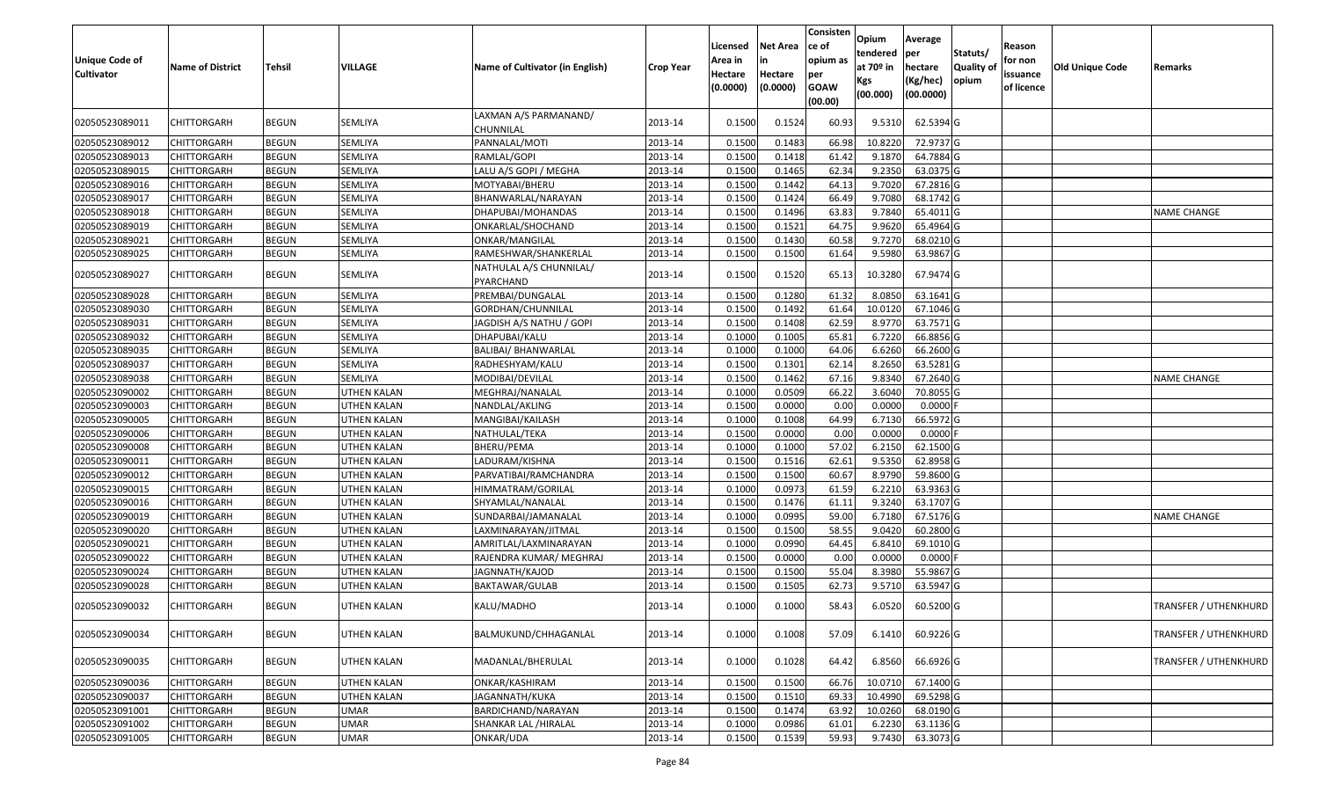| <b>Unique Code of</b><br><b>Cultivator</b> | <b>Name of District</b> | <b>Tehsil</b> | VILLAGE            | Name of Cultivator (in English)      | <b>Crop Year</b> | Licensed<br>Area in<br>Hectare<br>(0.0000) | <b>Net Area</b><br>in<br>Hectare<br>(0.0000) | Consisten<br>ce of<br>opium as<br>per<br><b>GOAW</b><br>(00.00) | Opium<br>tendered<br>at $70°$ in<br>Kgs<br>(00.000) | Average<br>per<br>hectare<br>(Kg/hec)<br>(00.0000) | Statuts/<br>Quality of<br>opium | Reason<br>for non<br>issuance<br>of licence | <b>Old Unique Code</b> | Remarks                      |
|--------------------------------------------|-------------------------|---------------|--------------------|--------------------------------------|------------------|--------------------------------------------|----------------------------------------------|-----------------------------------------------------------------|-----------------------------------------------------|----------------------------------------------------|---------------------------------|---------------------------------------------|------------------------|------------------------------|
| 02050523089011                             | CHITTORGARH             | <b>BEGUN</b>  | SEMLIYA            | LAXMAN A/S PARMANAND/<br>CHUNNILAL   | 2013-14          | 0.1500                                     | 0.1524                                       | 60.93                                                           | 9.5310                                              | 62.5394 G                                          |                                 |                                             |                        |                              |
| 02050523089012                             | <b>CHITTORGARH</b>      | <b>BEGUN</b>  | <b>SEMLIYA</b>     | PANNALAL/MOTI                        | 2013-14          | 0.1500                                     | 0.1483                                       | 66.98                                                           | 10.8220                                             | 72.9737 G                                          |                                 |                                             |                        |                              |
| 02050523089013                             | <b>CHITTORGARH</b>      | <b>BEGUN</b>  | SEMLIYA            | RAMLAL/GOPI                          | 2013-14          | 0.1500                                     | 0.1418                                       | 61.42                                                           | 9.1870                                              | 64.7884 G                                          |                                 |                                             |                        |                              |
| 02050523089015                             | <b>CHITTORGARH</b>      | <b>BEGUN</b>  | SEMLIYA            | LALU A/S GOPI / MEGHA                | 2013-14          | 0.1500                                     | 0.1465                                       | 62.34                                                           | 9.2350                                              | 63.0375 G                                          |                                 |                                             |                        |                              |
| 02050523089016                             | <b>CHITTORGARH</b>      | <b>BEGUN</b>  | <b>SEMLIYA</b>     | MOTYABAI/BHERU                       | 2013-14          | 0.1500                                     | 0.1442                                       | 64.13                                                           | 9.7020                                              | 67.2816 G                                          |                                 |                                             |                        |                              |
| 02050523089017                             | <b>CHITTORGARH</b>      | <b>BEGUN</b>  | <b>SEMLIYA</b>     | BHANWARLAL/NARAYAN                   | 2013-14          | 0.1500                                     | 0.1424                                       | 66.49                                                           | 9.7080                                              | 68.1742 G                                          |                                 |                                             |                        |                              |
| 02050523089018                             | CHITTORGARH             | <b>BEGUN</b>  | <b>SEMLIYA</b>     | DHAPUBAI/MOHANDAS                    | 2013-14          | 0.1500                                     | 0.1496                                       | 63.83                                                           | 9.7840                                              | 65.4011 G                                          |                                 |                                             |                        | <b>NAME CHANGE</b>           |
| 02050523089019                             | CHITTORGARH             | <b>BEGUN</b>  | SEMLIYA            | ONKARLAL/SHOCHAND                    | 2013-14          | 0.1500                                     | 0.1521                                       | 64.75                                                           | 9.9620                                              | 65.4964 G                                          |                                 |                                             |                        |                              |
| 02050523089021                             | CHITTORGARH             | <b>BEGUN</b>  | <b>SEMLIYA</b>     | ONKAR/MANGILAL                       | 2013-14          | 0.150                                      | 0.1430                                       | 60.58                                                           | 9.7270                                              | 68.0210 G                                          |                                 |                                             |                        |                              |
| 02050523089025                             | CHITTORGARH             | <b>BEGUN</b>  | SEMLIYA            | RAMESHWAR/SHANKERLAL                 | 2013-14          | 0.1500                                     | 0.1500                                       | 61.64                                                           | 9.5980                                              | 63.9867 G                                          |                                 |                                             |                        |                              |
| 02050523089027                             | CHITTORGARH             | <b>BEGUN</b>  | SEMLIYA            | NATHULAL A/S CHUNNILAL/<br>PYARCHAND | 2013-14          | 0.1500                                     | 0.1520                                       | 65.13                                                           | 10.3280                                             | 67.9474 G                                          |                                 |                                             |                        |                              |
| 02050523089028                             | <b>CHITTORGARH</b>      | <b>BEGUN</b>  | <b>SEMLIYA</b>     | PREMBAI/DUNGALAL                     | 2013-14          | 0.150                                      | 0.1280                                       | 61.32                                                           | 8.085                                               | 63.1641 G                                          |                                 |                                             |                        |                              |
| 02050523089030                             | CHITTORGARH             | <b>BEGUN</b>  | <b>SEMLIYA</b>     | GORDHAN/CHUNNILAL                    | 2013-14          | 0.1500                                     | 0.1492                                       | 61.64                                                           | 10.0120                                             | 67.1046 G                                          |                                 |                                             |                        |                              |
| 02050523089031                             | CHITTORGARH             | <b>BEGUN</b>  | SEMLIYA            | JAGDISH A/S NATHU / GOPI             | 2013-14          | 0.1500                                     | 0.1408                                       | 62.59                                                           | 8.9770                                              | 63.7571G                                           |                                 |                                             |                        |                              |
| 02050523089032                             | CHITTORGARH             | <b>BEGUN</b>  | SEMLIYA            | DHAPUBAI/KALU                        | 2013-14          | 0.1000                                     | 0.1005                                       | 65.81                                                           | 6.7220                                              | 66.8856 G                                          |                                 |                                             |                        |                              |
| 02050523089035                             | CHITTORGARH             | <b>BEGUN</b>  | SEMLIYA            | <b>BALIBAI/ BHANWARLAL</b>           | 2013-14          | 0.1000                                     | 0.1000                                       | 64.06                                                           | 6.6260                                              | 66.2600 G                                          |                                 |                                             |                        |                              |
| 02050523089037                             | CHITTORGARH             | <b>BEGUN</b>  | SEMLIYA            | RADHESHYAM/KALU                      | 2013-14          | 0.1500                                     | 0.1301                                       | 62.14                                                           | 8.2650                                              | 63.5281 G                                          |                                 |                                             |                        |                              |
| 02050523089038                             | CHITTORGARH             | <b>BEGUN</b>  | SEMLIYA            | MODIBAI/DEVILAL                      | 2013-14          | 0.1500                                     | 0.1462                                       | 67.16                                                           | 9.8340                                              | 67.2640 G                                          |                                 |                                             |                        | <b>NAME CHANGE</b>           |
| 02050523090002                             | CHITTORGARH             | <b>BEGUN</b>  | <b>UTHEN KALAN</b> | MEGHRAJ/NANALAL                      | 2013-14          | 0.1000                                     | 0.0509                                       | 66.22                                                           | 3.6040                                              | 70.8055 G                                          |                                 |                                             |                        |                              |
| 02050523090003                             | CHITTORGARH             | <b>BEGUN</b>  | <b>UTHEN KALAN</b> | NANDLAL/AKLING                       | 2013-14          | 0.1500                                     | 0.0000                                       | 0.00                                                            | 0.0000                                              | 0.0000                                             |                                 |                                             |                        |                              |
| 02050523090005                             | CHITTORGARH             | <b>BEGUN</b>  | <b>UTHEN KALAN</b> | MANGIBAI/KAILASH                     | 2013-14          | 0.1000                                     | 0.1008                                       | 64.99                                                           | 6.7130                                              | 66.5972 G                                          |                                 |                                             |                        |                              |
| 02050523090006                             | CHITTORGARH             | <b>BEGUN</b>  | UTHEN KALAN        | NATHULAL/TEKA                        | 2013-14          | 0.1500                                     | 0.0000                                       | 0.00                                                            | 0.0000                                              | 0.0000F                                            |                                 |                                             |                        |                              |
| 02050523090008                             | <b>CHITTORGARH</b>      | <b>BEGUN</b>  | <b>UTHEN KALAN</b> | BHERU/PEMA                           | 2013-14          | 0.1000                                     | 0.1000                                       | 57.02                                                           | 6.2150                                              | 62.1500 G                                          |                                 |                                             |                        |                              |
| 02050523090011                             | <b>CHITTORGARH</b>      | <b>BEGUN</b>  | <b>UTHEN KALAN</b> | LADURAM/KISHNA                       | 2013-14          | 0.1500                                     | 0.1516                                       | 62.61                                                           | 9.5350                                              | 62.8958 G                                          |                                 |                                             |                        |                              |
| 02050523090012                             | <b>CHITTORGARH</b>      | <b>BEGUN</b>  | <b>UTHEN KALAN</b> | PARVATIBAI/RAMCHANDRA                | 2013-14          | 0.150                                      | 0.1500                                       | 60.67                                                           | 8.9790                                              | 59.8600 G                                          |                                 |                                             |                        |                              |
| 02050523090015                             | CHITTORGARH             | <b>BEGUN</b>  | UTHEN KALAN        | HIMMATRAM/GORILAL                    | 2013-14          | 0.1000                                     | 0.0973                                       | 61.59                                                           | 6.2210                                              | 63.9363 G                                          |                                 |                                             |                        |                              |
| 02050523090016                             | CHITTORGARH             | <b>BEGUN</b>  | <b>UTHEN KALAN</b> | SHYAMLAL/NANALAL                     | 2013-14          | 0.1500                                     | 0.1476                                       | 61.11                                                           | 9.3240                                              | 63.1707 G                                          |                                 |                                             |                        |                              |
| 02050523090019                             | <b>CHITTORGARH</b>      | <b>BEGUN</b>  | UTHEN KALAN        | SUNDARBAI/JAMANALAL                  | 2013-14          | 0.1000                                     | 0.0995                                       | 59.00                                                           | 6.7180                                              | 67.5176 G                                          |                                 |                                             |                        | <b>NAME CHANGE</b>           |
| 02050523090020                             | CHITTORGARH             | <b>BEGUN</b>  | <b>UTHEN KALAN</b> | LAXMINARAYAN/JITMAL                  | 2013-14          | 0.1500                                     | 0.1500                                       | 58.55                                                           | 9.0420                                              | 60.2800 G                                          |                                 |                                             |                        |                              |
| 02050523090021                             | <b>CHITTORGARH</b>      | <b>BEGUN</b>  | <b>UTHEN KALAN</b> | AMRITLAL/LAXMINARAYAN                | 2013-14          | 0.1000                                     | 0.0990                                       | 64.45                                                           | 6.8410                                              | 69.1010 G                                          |                                 |                                             |                        |                              |
| 02050523090022                             | CHITTORGARH             | <b>BEGUN</b>  | <b>UTHEN KALAN</b> | RAJENDRA KUMAR/ MEGHRAJ              | 2013-14          | 0.150                                      | 0.0000                                       | 0.00                                                            | 0.0000                                              | 0.0000                                             |                                 |                                             |                        |                              |
| 02050523090024                             | CHITTORGARH             | <b>BEGUN</b>  | UTHEN KALAN        | JAGNNATH/KAJOD                       | 2013-14          | 0.1500                                     | 0.1500                                       | 55.04                                                           | 8.3980                                              | 55.9867 G                                          |                                 |                                             |                        |                              |
| 02050523090028                             | CHITTORGARH             | <b>BEGUN</b>  | UTHEN KALAN        | BAKTAWAR/GULAB                       | 2013-14          | 0.150                                      | 0.1505                                       | 62.73                                                           | 9.5710                                              | 63.5947 G                                          |                                 |                                             |                        |                              |
| 02050523090032                             | CHITTORGARH             | <b>BEGUN</b>  | <b>UTHEN KALAN</b> | KALU/MADHO                           | 2013-14          | 0.1000                                     | 0.1000                                       | 58.43                                                           | 6.0520                                              | 60.5200 G                                          |                                 |                                             |                        | <b>TRANSFER / UTHENKHURD</b> |
| 02050523090034                             | CHITTORGARH             | <b>BEGUN</b>  | UTHEN KALAN        | BALMUKUND/CHHAGANLAL                 | 2013-14          | 0.1000                                     | 0.1008                                       | 57.09                                                           | 6.1410                                              | 60.9226 G                                          |                                 |                                             |                        | <b>TRANSFER / UTHENKHURD</b> |
| 02050523090035                             | CHITTORGARH             | <b>BEGUN</b>  | UTHEN KALAN        | MADANLAL/BHERULAL                    | 2013-14          | 0.1000                                     | 0.1028                                       | 64.42                                                           | 6.8560                                              | 66.6926 G                                          |                                 |                                             |                        | <b>TRANSFER / UTHENKHURD</b> |
| 02050523090036                             | <b>CHITTORGARH</b>      | <b>BEGUN</b>  | <b>UTHEN KALAN</b> | ONKAR/KASHIRAM                       | 2013-14          | 0.1500                                     | 0.1500                                       | 66.76                                                           | 10.0710                                             | 67.1400 G                                          |                                 |                                             |                        |                              |
| 02050523090037                             | <b>CHITTORGARH</b>      | <b>BEGUN</b>  | UTHEN KALAN        | JAGANNATH/KUKA                       | 2013-14          | 0.1500                                     | 0.1510                                       | 69.33                                                           | 10.4990                                             | 69.5298 G                                          |                                 |                                             |                        |                              |
| 02050523091001                             | <b>CHITTORGARH</b>      | <b>BEGUN</b>  | <b>UMAR</b>        | BARDICHAND/NARAYAN                   | 2013-14          | 0.1500                                     | 0.1474                                       | 63.92                                                           | 10.0260                                             | 68.0190 G                                          |                                 |                                             |                        |                              |
| 02050523091002                             | <b>CHITTORGARH</b>      | <b>BEGUN</b>  | <b>UMAR</b>        | SHANKAR LAL /HIRALAL                 | 2013-14          | 0.1000                                     | 0.0986                                       | 61.01                                                           | 6.2230                                              | 63.1136 G                                          |                                 |                                             |                        |                              |
| 02050523091005                             | <b>CHITTORGARH</b>      | <b>BEGUN</b>  | <b>UMAR</b>        | ONKAR/UDA                            | 2013-14          | 0.1500                                     | 0.1539                                       | 59.93                                                           | 9.7430                                              | 63.3073 G                                          |                                 |                                             |                        |                              |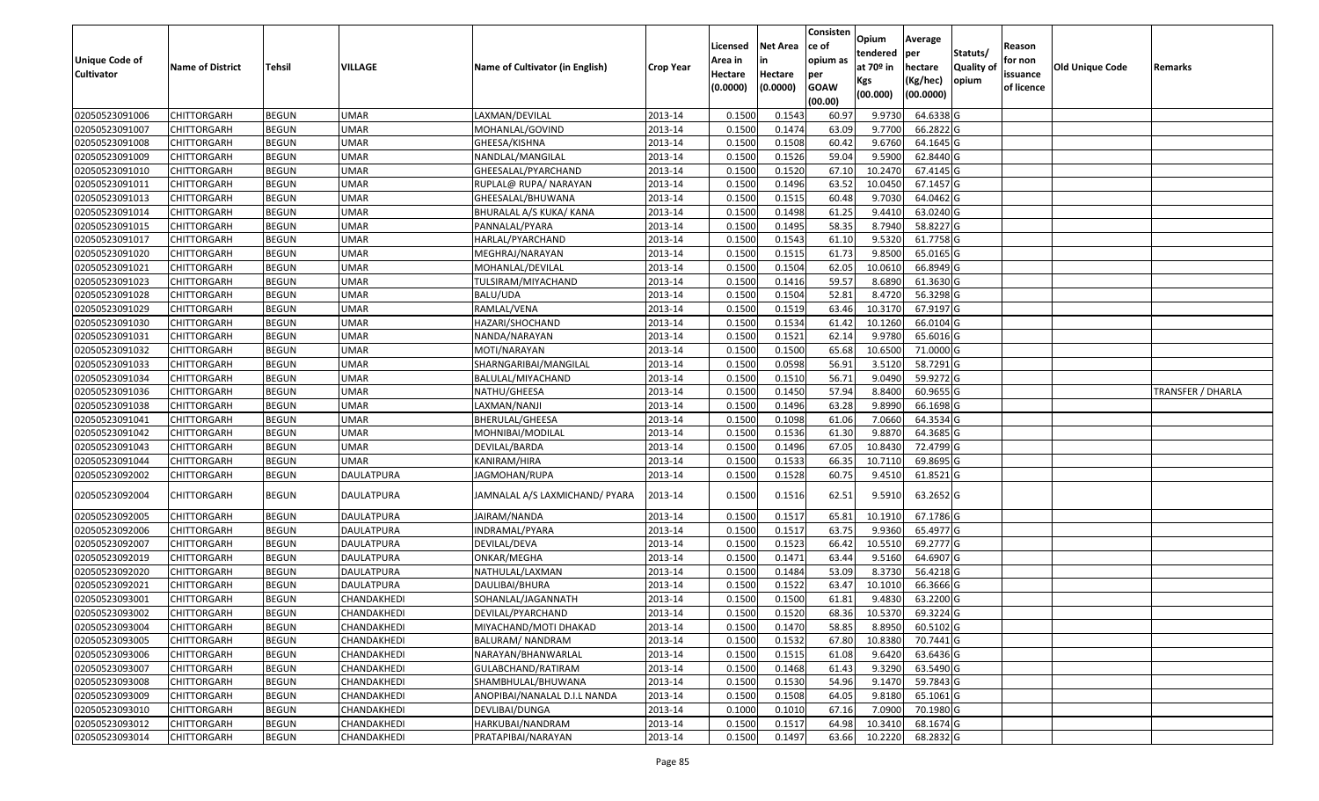|                                            |                         |               |                   |                                 |                  |                    | <b>Net Area</b> | Consisten       | Opium       | Average     |                  |                     |                        |                          |
|--------------------------------------------|-------------------------|---------------|-------------------|---------------------------------|------------------|--------------------|-----------------|-----------------|-------------|-------------|------------------|---------------------|------------------------|--------------------------|
|                                            |                         |               |                   |                                 |                  | Licensed           |                 | ce of           | tendered    | per         | Statuts/         | Reason              |                        |                          |
| <b>Unique Code of</b><br><b>Cultivator</b> | <b>Name of District</b> | <b>Tehsil</b> | VILLAGE           | Name of Cultivator (in English) | <b>Crop Year</b> | Area in<br>Hectare | Hectare         | opium as<br>per | at $70°$ in | hectare     | <b>Quality o</b> | for non<br>issuance | <b>Old Unique Code</b> | Remarks                  |
|                                            |                         |               |                   |                                 |                  | (0.0000)           | (0.0000)        | <b>GOAW</b>     | Kgs         | (Kg/hec)    | opium            | of licence          |                        |                          |
|                                            |                         |               |                   |                                 |                  |                    |                 | (00.00)         | (00.000)    | (00.0000)   |                  |                     |                        |                          |
| 02050523091006                             | CHITTORGARH             | <b>BEGUN</b>  | <b>UMAR</b>       | LAXMAN/DEVILAL                  | 2013-14          | 0.1500             | 0.1543          | 60.97           | 9.9730      | 64.6338 G   |                  |                     |                        |                          |
| 02050523091007                             | CHITTORGARH             | <b>BEGUN</b>  | <b>UMAR</b>       | MOHANLAL/GOVIND                 | 2013-14          | 0.1500             | 0.1474          | 63.09           | 9.7700      | 66.2822 G   |                  |                     |                        |                          |
| 02050523091008                             | CHITTORGARH             | <b>BEGUN</b>  | <b>UMAR</b>       | GHEESA/KISHNA                   | 2013-14          | 0.1500             | 0.1508          | 60.42           | 9.6760      | 64.1645 G   |                  |                     |                        |                          |
| 02050523091009                             | <b>CHITTORGARH</b>      | <b>BEGUN</b>  | <b>UMAR</b>       | NANDLAL/MANGILAL                | 2013-14          | 0.1500             | 0.1526          | 59.04           | 9.5900      | 62.8440 G   |                  |                     |                        |                          |
| 02050523091010                             | CHITTORGARH             | <b>BEGUN</b>  | <b>UMAR</b>       | GHEESALAL/PYARCHAND             | 2013-14          | 0.1500             | 0.1520          | 67.10           | 10.2470     | 67.4145 G   |                  |                     |                        |                          |
| 02050523091011                             | CHITTORGARH             | <b>BEGUN</b>  | <b>UMAR</b>       | RUPLAL@ RUPA/ NARAYAN           | 2013-14          | 0.1500             | 0.1496          | 63.52           | 10.0450     | $67.1457$ G |                  |                     |                        |                          |
| 02050523091013                             | CHITTORGARH             | <b>BEGUN</b>  | <b>UMAR</b>       | GHEESALAL/BHUWANA               | 2013-14          | 0.1500             | 0.1515          | 60.48           | 9.7030      | 64.0462G    |                  |                     |                        |                          |
| 02050523091014                             | <b>CHITTORGARH</b>      | <b>BEGUN</b>  | <b>UMAR</b>       | BHURALAL A/S KUKA/ KANA         | 2013-14          | 0.1500             | 0.1498          | 61.25           | 9.4410      | 63.0240 G   |                  |                     |                        |                          |
| 02050523091015                             | CHITTORGARH             | <b>BEGUN</b>  | <b>UMAR</b>       | PANNALAL/PYARA                  | 2013-14          | 0.1500             | 0.1495          | 58.35           | 8.7940      | 58.8227 G   |                  |                     |                        |                          |
| 02050523091017                             | CHITTORGARH             | <b>BEGUN</b>  | <b>UMAR</b>       | HARLAL/PYARCHAND                | 2013-14          | 0.1500             | 0.1543          | 61.10           | 9.5320      | 61.7758 G   |                  |                     |                        |                          |
| 02050523091020                             | CHITTORGARH             | <b>BEGUN</b>  | <b>UMAR</b>       | MEGHRAJ/NARAYAN                 | 2013-14          | 0.1500             | 0.1515          | 61.73           | 9.8500      | 65.0165 G   |                  |                     |                        |                          |
| 02050523091021                             | <b>CHITTORGARH</b>      | <b>BEGUN</b>  | <b>UMAR</b>       | MOHANLAL/DEVILAL                | 2013-14          | 0.1500             | 0.1504          | 62.05           | 10.0610     | 66.8949 G   |                  |                     |                        |                          |
| 02050523091023                             | <b>CHITTORGARH</b>      | <b>BEGUN</b>  | <b>UMAR</b>       | TULSIRAM/MIYACHAND              | 2013-14          | 0.1500             | 0.1416          | 59.57           | 8.6890      | 61.3630 G   |                  |                     |                        |                          |
| 02050523091028                             | <b>CHITTORGARH</b>      | <b>BEGUN</b>  | <b>UMAR</b>       | BALU/UDA                        | 2013-14          | 0.1500             | 0.1504          | 52.81           | 8.4720      | 56.3298 G   |                  |                     |                        |                          |
| 02050523091029                             | CHITTORGARH             | <b>BEGUN</b>  | <b>UMAR</b>       | RAMLAL/VENA                     | 2013-14          | 0.1500             | 0.1519          | 63.46           | 10.3170     | 67.9197 G   |                  |                     |                        |                          |
| 02050523091030                             | CHITTORGARH             | <b>BEGUN</b>  | <b>UMAR</b>       | HAZARI/SHOCHAND                 | 2013-14          | 0.1500             | 0.1534          | 61.42           | 10.1260     | 66.0104 G   |                  |                     |                        |                          |
| 02050523091031                             | <b>CHITTORGARH</b>      | <b>BEGUN</b>  | <b>UMAR</b>       | NANDA/NARAYAN                   | 2013-14          | 0.1500             | 0.1521          | 62.14           | 9.9780      | 65.6016 G   |                  |                     |                        |                          |
| 02050523091032                             | CHITTORGARH             | <b>BEGUN</b>  | <b>UMAR</b>       | MOTI/NARAYAN                    | 2013-14          | 0.1500             | 0.1500          | 65.68           | 10.6500     | 71.0000 G   |                  |                     |                        |                          |
| 02050523091033                             | CHITTORGARH             | <b>BEGUN</b>  | <b>UMAR</b>       | SHARNGARIBAI/MANGILAL           | 2013-14          | 0.1500             | 0.0598          | 56.9            | 3.5120      | 58.7291 G   |                  |                     |                        |                          |
| 02050523091034                             | CHITTORGARH             | <b>BEGUN</b>  | <b>UMAR</b>       | BALULAL/MIYACHAND               | 2013-14          | 0.1500             | 0.1510          | 56.71           | 9.0490      | 59.9272G    |                  |                     |                        |                          |
| 02050523091036                             | CHITTORGARH             | <b>BEGUN</b>  | <b>UMAR</b>       | NATHU/GHEESA                    | 2013-14          | 0.1500             | 0.1450          | 57.94           | 8.8400      | 60.9655 G   |                  |                     |                        | <b>TRANSFER / DHARLA</b> |
| 02050523091038                             | CHITTORGARH             | <b>BEGUN</b>  | <b>UMAR</b>       | LAXMAN/NANJI                    | 2013-14          | 0.150              | 0.1496          | 63.28           | 9.8990      | 66.1698 G   |                  |                     |                        |                          |
| 02050523091041                             | CHITTORGARH             | <b>BEGUN</b>  | <b>UMAR</b>       | BHERULAL/GHEESA                 | 2013-14          | 0.1500             | 0.1098          | 61.06           | 7.0660      | 64.3534 G   |                  |                     |                        |                          |
| 02050523091042                             | CHITTORGARH             | <b>BEGUN</b>  | <b>UMAR</b>       | MOHNIBAI/MODILAL                | 2013-14          | 0.1500             | 0.1536          | 61.30           | 9.8870      | 64.3685 G   |                  |                     |                        |                          |
| 02050523091043                             | <b>CHITTORGARH</b>      | <b>BEGUN</b>  | <b>UMAR</b>       | DEVILAL/BARDA                   | 2013-14          | 0.1500             | 0.1496          | 67.05           | 10.8430     | 72.4799 G   |                  |                     |                        |                          |
| 02050523091044                             | CHITTORGARH             | <b>BEGUN</b>  | <b>UMAR</b>       | KANIRAM/HIRA                    | 2013-14          | 0.1500             | 0.1533          | 66.35           | 10.7110     | 69.8695 G   |                  |                     |                        |                          |
| 02050523092002                             | CHITTORGARH             | <b>BEGUN</b>  | DAULATPURA        | JAGMOHAN/RUPA                   | 2013-14          | 0.1500             | 0.1528          | 60.75           | 9.4510      | $61.8521$ G |                  |                     |                        |                          |
| 02050523092004                             | CHITTORGARH             | <b>BEGUN</b>  | DAULATPURA        | JAMNALAL A/S LAXMICHAND/ PYARA  | 2013-14          | 0.1500             | 0.1516          | 62.51           | 9.5910      | 63.2652 G   |                  |                     |                        |                          |
| 02050523092005                             | <b>CHITTORGARH</b>      | <b>BEGUN</b>  | DAULATPURA        | JAIRAM/NANDA                    | 2013-14          | 0.1500             | 0.1517          | 65.81           | 10.1910     | 67.1786 G   |                  |                     |                        |                          |
| 02050523092006                             | CHITTORGARH             | <b>BEGUN</b>  | DAULATPURA        | INDRAMAL/PYARA                  | 2013-14          | 0.1500             | 0.1517          | 63.75           | 9.9360      | 65.4977 G   |                  |                     |                        |                          |
| 02050523092007                             | CHITTORGARH             | <b>BEGUN</b>  | <b>DAULATPURA</b> | DEVILAL/DEVA                    | 2013-14          | 0.1500             | 0.1523          | 66.42           | 10.5510     | 69.2777 G   |                  |                     |                        |                          |
| 02050523092019                             | <b>CHITTORGARH</b>      | <b>BEGUN</b>  | <b>DAULATPURA</b> | ONKAR/MEGHA                     | 2013-14          | 0.1500             | 0.1471          | 63.44           | 9.5160      | 64.6907 G   |                  |                     |                        |                          |
| 02050523092020                             | <b>CHITTORGARH</b>      | <b>BEGUN</b>  | <b>DAULATPURA</b> | NATHULAL/LAXMAN                 | 2013-14          | 0.1500             | 0.1484          | 53.09           | 8.3730      | 56.4218 G   |                  |                     |                        |                          |
| 02050523092021                             | CHITTORGARH             | <b>BEGUN</b>  | DAULATPURA        | DAULIBAI/BHURA                  | 2013-14          | 0.150              | 0.1522          | 63.47           | 10.1010     | 66.3666 G   |                  |                     |                        |                          |
| 02050523093001                             | CHITTORGARH             | <b>BEGUN</b>  | CHANDAKHEDI       | SOHANLAL/JAGANNATH              | 2013-14          | 0.1500             | 0.1500          | 61.81           | 9.4830      | 63.2200 G   |                  |                     |                        |                          |
| 02050523093002                             | <b>CHITTORGARH</b>      | <b>BEGUN</b>  | CHANDAKHEDI       | DEVILAL/PYARCHAND               | 2013-14          | 0.1500             | 0.1520          | 68.36           | 10.5370     | 69.3224 G   |                  |                     |                        |                          |
| 02050523093004                             | <b>CHITTORGARH</b>      | <b>BEGUN</b>  | CHANDAKHEDI       | MIYACHAND/MOTI DHAKAD           | 2013-14          | 0.1500             | 0.1470          | 58.85           | 8.8950      | 60.5102 G   |                  |                     |                        |                          |
| 02050523093005                             | <b>CHITTORGARH</b>      | <b>BEGUN</b>  | CHANDAKHEDI       | BALURAM/ NANDRAM                | 2013-14          | 0.1500             | 0.1532          | 67.80           | 10.8380     | 70.7441 G   |                  |                     |                        |                          |
| 02050523093006                             | <b>CHITTORGARH</b>      | <b>BEGUN</b>  | CHANDAKHEDI       | NARAYAN/BHANWARLAL              | 2013-14          | 0.1500             | 0.1515          | 61.08           | 9.6420      | 63.6436 G   |                  |                     |                        |                          |
| 02050523093007                             | <b>CHITTORGARH</b>      | <b>BEGUN</b>  | CHANDAKHEDI       | GULABCHAND/RATIRAM              | 2013-14          | 0.1500             | 0.1468          | 61.43           | 9.3290      | 63.5490 G   |                  |                     |                        |                          |
| 02050523093008                             | <b>CHITTORGARH</b>      | <b>BEGUN</b>  | CHANDAKHEDI       | SHAMBHULAL/BHUWANA              | 2013-14          | 0.1500             | 0.1530          | 54.96           | 9.1470      | 59.7843 G   |                  |                     |                        |                          |
| 02050523093009                             | <b>CHITTORGARH</b>      | <b>BEGUN</b>  | CHANDAKHEDI       | ANOPIBAI/NANALAL D.I.L NANDA    | 2013-14          | 0.1500             | 0.1508          | 64.05           | 9.8180      | 65.1061 G   |                  |                     |                        |                          |
| 02050523093010                             | CHITTORGARH             | <b>BEGUN</b>  | CHANDAKHEDI       | DEVLIBAI/DUNGA                  | 2013-14          | 0.1000             | 0.1010          | 67.16           | 7.0900      | 70.1980 G   |                  |                     |                        |                          |
| 02050523093012                             | CHITTORGARH             | <b>BEGUN</b>  | CHANDAKHEDI       | HARKUBAI/NANDRAM                | 2013-14          | 0.1500             | 0.1517          | 64.98           | 10.3410     | 68.1674 G   |                  |                     |                        |                          |
| 02050523093014                             | <b>CHITTORGARH</b>      | <b>BEGUN</b>  | CHANDAKHEDI       | PRATAPIBAI/NARAYAN              | 2013-14          | 0.1500             | 0.1497          | 63.66           | 10.2220     | 68.2832 G   |                  |                     |                        |                          |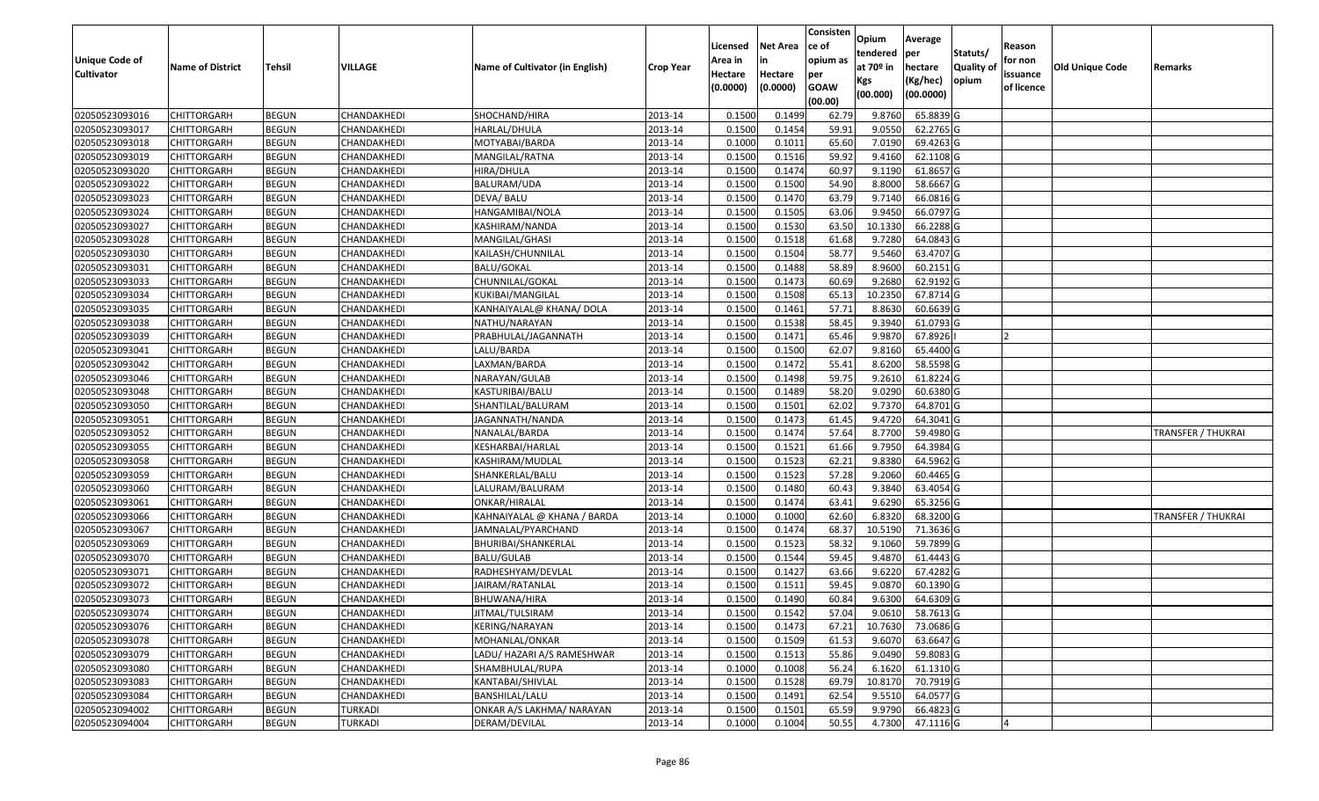|                       |                         |              |                |                                 |                  | Licensed | Net Area | Consisten<br>ce of     | Opium                 | Average               |                   | Reason         |                 |                           |
|-----------------------|-------------------------|--------------|----------------|---------------------------------|------------------|----------|----------|------------------------|-----------------------|-----------------------|-------------------|----------------|-----------------|---------------------------|
| <b>Unique Code of</b> |                         |              |                |                                 |                  | Area in  | in       | opium as               | tendered              | per                   | Statuts/          | for non        |                 |                           |
| <b>Cultivator</b>     | <b>Name of District</b> | Tehsil       | VILLAGE        | Name of Cultivator (in English) | <b>Crop Year</b> | Hectare  | Hectare  | per                    | at 70 <sup>o</sup> in | hectare               | <b>Quality of</b> | issuance       | Old Unique Code | Remarks                   |
|                       |                         |              |                |                                 |                  | (0.0000) | (0.0000) | <b>GOAW</b><br>(00.00) | Kgs<br>(00.000)       | (Kg/hec)<br>(00.0000) | opium             | of licence     |                 |                           |
| 02050523093016        | CHITTORGARH             | <b>BEGUN</b> | CHANDAKHEDI    | SHOCHAND/HIRA                   | 2013-14          | 0.1500   | 0.1499   | 62.79                  | 9.8760                | 65.8839 G             |                   |                |                 |                           |
| 02050523093017        | CHITTORGARH             | <b>BEGUN</b> | CHANDAKHEDI    | HARLAL/DHULA                    | 2013-14          | 0.1500   | 0.1454   | 59.91                  | 9.0550                | 62.2765 G             |                   |                |                 |                           |
| 02050523093018        | CHITTORGARH             | <b>BEGUN</b> | CHANDAKHEDI    | MOTYABAI/BARDA                  | 2013-14          | 0.1000   | 0.1012   | 65.60                  | 7.0190                | 69.4263 G             |                   |                |                 |                           |
| 02050523093019        | <b>CHITTORGARH</b>      | <b>BEGUN</b> | CHANDAKHEDI    | MANGILAL/RATNA                  | 2013-14          | 0.1500   | 0.1516   | 59.92                  | 9.4160                | 62.1108 G             |                   |                |                 |                           |
| 02050523093020        | CHITTORGARH             | <b>BEGUN</b> | CHANDAKHEDI    | HIRA/DHULA                      | 2013-14          | 0.1500   | 0.1474   | 60.97                  | 9.1190                | 61.8657 G             |                   |                |                 |                           |
| 02050523093022        | CHITTORGARH             | <b>BEGUN</b> | CHANDAKHEDI    | BALURAM/UDA                     | 2013-14          | 0.1500   | 0.1500   | 54.90                  | 8.8000                | 58.6667 G             |                   |                |                 |                           |
| 02050523093023        | CHITTORGARH             | <b>BEGUN</b> | CHANDAKHEDI    | DEVA/ BALU                      | 2013-14          | 0.1500   | 0.1470   | 63.79                  | 9.7140                | 66.0816 G             |                   |                |                 |                           |
| 02050523093024        | <b>CHITTORGARH</b>      | <b>BEGUN</b> | CHANDAKHEDI    | HANGAMIBAI/NOLA                 | 2013-14          | 0.1500   | 0.1505   | 63.06                  | 9.9450                | 66.0797 G             |                   |                |                 |                           |
| 02050523093027        | CHITTORGARH             | <b>BEGUN</b> | CHANDAKHEDI    | KASHIRAM/NANDA                  | 2013-14          | 0.1500   | 0.1530   | 63.50                  | 10.1330               | 66.2288 G             |                   |                |                 |                           |
| 02050523093028        | CHITTORGARH             | <b>BEGUN</b> | CHANDAKHEDI    | MANGILAL/GHASI                  | 2013-14          | 0.1500   | 0.1518   | 61.68                  | 9.7280                | 64.0843 G             |                   |                |                 |                           |
| 02050523093030        | CHITTORGARH             | <b>BEGUN</b> | CHANDAKHEDI    | KAILASH/CHUNNILAL               | 2013-14          | 0.1500   | 0.1504   | 58.77                  | 9.5460                | 63.4707 G             |                   |                |                 |                           |
| 02050523093031        | <b>CHITTORGARH</b>      | <b>BEGUN</b> | CHANDAKHEDI    | <b>BALU/GOKAL</b>               | 2013-14          | 0.1500   | 0.1488   | 58.89                  | 8.9600                | 60.2151 G             |                   |                |                 |                           |
| 02050523093033        | <b>CHITTORGARH</b>      | <b>BEGUN</b> | CHANDAKHEDI    | CHUNNILAL/GOKAL                 | 2013-14          | 0.1500   | 0.1473   | 60.69                  | 9.2680                | 62.9192 G             |                   |                |                 |                           |
| 02050523093034        | <b>CHITTORGARH</b>      | <b>BEGUN</b> | CHANDAKHEDI    | KUKIBAI/MANGILAL                | 2013-14          | 0.1500   | 0.1508   | 65.13                  | 10.2350               | 67.8714 G             |                   |                |                 |                           |
| 02050523093035        | CHITTORGARH             | <b>BEGUN</b> | CHANDAKHEDI    | KANHAIYALAL@ KHANA/ DOLA        | 2013-14          | 0.1500   | 0.1461   | 57.71                  | 8.8630                | 60.6639 G             |                   |                |                 |                           |
| 02050523093038        | <b>CHITTORGARH</b>      | <b>BEGUN</b> | CHANDAKHEDI    | NATHU/NARAYAN                   | 2013-14          | 0.1500   | 0.1538   | 58.45                  | 9.3940                | 61.0793 G             |                   |                |                 |                           |
| 02050523093039        | <b>CHITTORGARH</b>      | <b>BEGUN</b> | CHANDAKHEDI    | PRABHULAL/JAGANNATH             | 2013-14          | 0.1500   | 0.1471   | 65.46                  | 9.9870                | 67.8926               |                   |                |                 |                           |
| 02050523093041        | CHITTORGARH             | <b>BEGUN</b> | CHANDAKHEDI    | LALU/BARDA                      | 2013-14          | 0.1500   | 0.1500   | 62.07                  | 9.8160                | 65.4400 G             |                   |                |                 |                           |
| 02050523093042        | CHITTORGARH             | <b>BEGUN</b> | CHANDAKHEDI    | LAXMAN/BARDA                    | 2013-14          | 0.1500   | 0.1472   | 55.41                  | 8.6200                | 58.5598 G             |                   |                |                 |                           |
| 02050523093046        | CHITTORGARH             | <b>BEGUN</b> | CHANDAKHEDI    | NARAYAN/GULAB                   | 2013-14          | 0.1500   | 0.1498   | 59.75                  | 9.2610                | 61.8224 G             |                   |                |                 |                           |
| 02050523093048        | CHITTORGARH             | <b>BEGUN</b> | CHANDAKHEDI    | KASTURIBAI/BALU                 | 2013-14          | 0.1500   | 0.1489   | 58.20                  | 9.0290                | 60.6380 G             |                   |                |                 |                           |
| 02050523093050        | CHITTORGARH             | <b>BEGUN</b> | CHANDAKHEDI    | SHANTILAL/BALURAM               | 2013-14          | 0.1500   | 0.1501   | 62.02                  | 9.7370                | 64.8701 G             |                   |                |                 |                           |
| 02050523093051        | CHITTORGARH             | <b>BEGUN</b> | CHANDAKHEDI    | JAGANNATH/NANDA                 | 2013-14          | 0.1500   | 0.1473   | 61.45                  | 9.4720                | 64.3041 G             |                   |                |                 |                           |
| 02050523093052        | CHITTORGARH             | <b>BEGUN</b> | CHANDAKHEDI    | NANALAL/BARDA                   | 2013-14          | 0.1500   | 0.1474   | 57.64                  | 8.7700                | 59.4980 G             |                   |                |                 | <b>TRANSFER / THUKRAI</b> |
| 02050523093055        | CHITTORGARH             | <b>BEGUN</b> | CHANDAKHEDI    | KESHARBAI/HARLAL                | 2013-14          | 0.1500   | 0.1521   | 61.66                  | 9.7950                | 64.3984 G             |                   |                |                 |                           |
| 02050523093058        | CHITTORGARH             | <b>BEGUN</b> | CHANDAKHEDI    | KASHIRAM/MUDLAL                 | 2013-14          | 0.1500   | 0.1523   | 62.21                  | 9.8380                | 64.5962 G             |                   |                |                 |                           |
| 02050523093059        | CHITTORGARH             | <b>BEGUN</b> | CHANDAKHEDI    | SHANKERLAL/BALU                 | 2013-14          | 0.1500   | 0.1523   | 57.28                  | 9.2060                | 60.4465 G             |                   |                |                 |                           |
| 02050523093060        | CHITTORGARH             | <b>BEGUN</b> | CHANDAKHEDI    | LALURAM/BALURAM                 | 2013-14          | 0.1500   | 0.1480   | 60.43                  | 9.3840                | 63.4054 G             |                   |                |                 |                           |
| 02050523093061        | <b>CHITTORGARH</b>      | <b>BEGUN</b> | CHANDAKHEDI    | ONKAR/HIRALAL                   | 2013-14          | 0.1500   | 0.1474   | 63.41                  | 9.6290                | 65.3256 G             |                   |                |                 |                           |
| 02050523093066        | CHITTORGARH             | <b>BEGUN</b> | CHANDAKHEDI    | KAHNAIYALAL @ KHANA / BARDA     | 2013-14          | 0.1000   | 0.1000   | 62.60                  | 6.8320                | 68.3200 G             |                   |                |                 | <b>TRANSFER / THUKRAI</b> |
| 02050523093067        | CHITTORGARH             | <b>BEGUN</b> | CHANDAKHEDI    | JAMNALAL/PYARCHAND              | 2013-14          | 0.1500   | 0.1474   | 68.37                  | 10.5190               | 71.3636 G             |                   |                |                 |                           |
| 02050523093069        | CHITTORGARH             | <b>BEGUN</b> | CHANDAKHEDI    | BHURIBAI/SHANKERLAL             | 2013-14          | 0.1500   | 0.1523   | 58.32                  | 9.1060                | 59.7899 G             |                   |                |                 |                           |
| 02050523093070        | CHITTORGARH             | <b>BEGUN</b> | CHANDAKHEDI    | <b>BALU/GULAB</b>               | 2013-14          | 0.1500   | 0.1544   | 59.45                  | 9.4870                | 61.4443 G             |                   |                |                 |                           |
| 02050523093071        | CHITTORGARH             | <b>BEGUN</b> | CHANDAKHEDI    | RADHESHYAM/DEVLAL               | 2013-14          | 0.1500   | 0.1427   | 63.66                  | 9.6220                | 67.4282 G             |                   |                |                 |                           |
| 02050523093072        | CHITTORGARH             | <b>BEGUN</b> | CHANDAKHEDI    | JAIRAM/RATANLAL                 | 2013-14          | 0.1500   | 0.1512   | 59.45                  | 9.0870                | 60.1390 G             |                   |                |                 |                           |
| 02050523093073        | CHITTORGARH             | <b>BEGUN</b> | CHANDAKHEDI    | BHUWANA/HIRA                    | 2013-14          | 0.1500   | 0.1490   | 60.84                  | 9.6300                | 64.6309 G             |                   |                |                 |                           |
| 02050523093074        | <b>CHITTORGARH</b>      | <b>BEGUN</b> | CHANDAKHEDI    | JITMAL/TULSIRAM                 | 2013-14          | 0.1500   | 0.1542   | 57.04                  |                       | 9.0610 58.7613 G      |                   |                |                 |                           |
| 02050523093076        | <b>CHITTORGARH</b>      | <b>BEGUN</b> | CHANDAKHEDI    | KERING/NARAYAN                  | 2013-14          | 0.1500   | 0.1473   | 67.21                  | 10.7630               | 73.0686 G             |                   |                |                 |                           |
| 02050523093078        | <b>CHITTORGARH</b>      | <b>BEGUN</b> | CHANDAKHEDI    | MOHANLAL/ONKAR                  | 2013-14          | 0.1500   | 0.1509   | 61.53                  | 9.6070                | 63.6647 G             |                   |                |                 |                           |
| 02050523093079        | <b>CHITTORGARH</b>      | <b>BEGUN</b> | CHANDAKHEDI    | LADU/ HAZARI A/S RAMESHWAR      | 2013-14          | 0.1500   | 0.1513   | 55.86                  | 9.0490                | 59.8083 G             |                   |                |                 |                           |
| 02050523093080        | <b>CHITTORGARH</b>      | <b>BEGUN</b> | CHANDAKHEDI    | SHAMBHULAL/RUPA                 | 2013-14          | 0.1000   | 0.1008   | 56.24                  | 6.1620                | 61.1310 G             |                   |                |                 |                           |
| 02050523093083        | <b>CHITTORGARH</b>      | <b>BEGUN</b> | CHANDAKHEDI    | KANTABAI/SHIVLAL                | 2013-14          | 0.1500   | 0.1528   | 69.79                  | 10.8170               | 70.7919 G             |                   |                |                 |                           |
| 02050523093084        | <b>CHITTORGARH</b>      | <b>BEGUN</b> | CHANDAKHEDI    | BANSHILAL/LALU                  | 2013-14          | 0.1500   | 0.1491   | 62.54                  | 9.5510                | 64.0577 G             |                   |                |                 |                           |
| 02050523094002        | <b>CHITTORGARH</b>      | <b>BEGUN</b> | TURKADI        | ONKAR A/S LAKHMA/ NARAYAN       | 2013-14          | 0.1500   | 0.1501   | 65.59                  | 9.9790                | 66.4823 G             |                   |                |                 |                           |
| 02050523094004        | <b>CHITTORGARH</b>      | <b>BEGUN</b> | <b>TURKADI</b> | DERAM/DEVILAL                   | 2013-14          | 0.1000   | 0.1004   | 50.55                  | 4.7300                | 47.1116 G             |                   | $\overline{4}$ |                 |                           |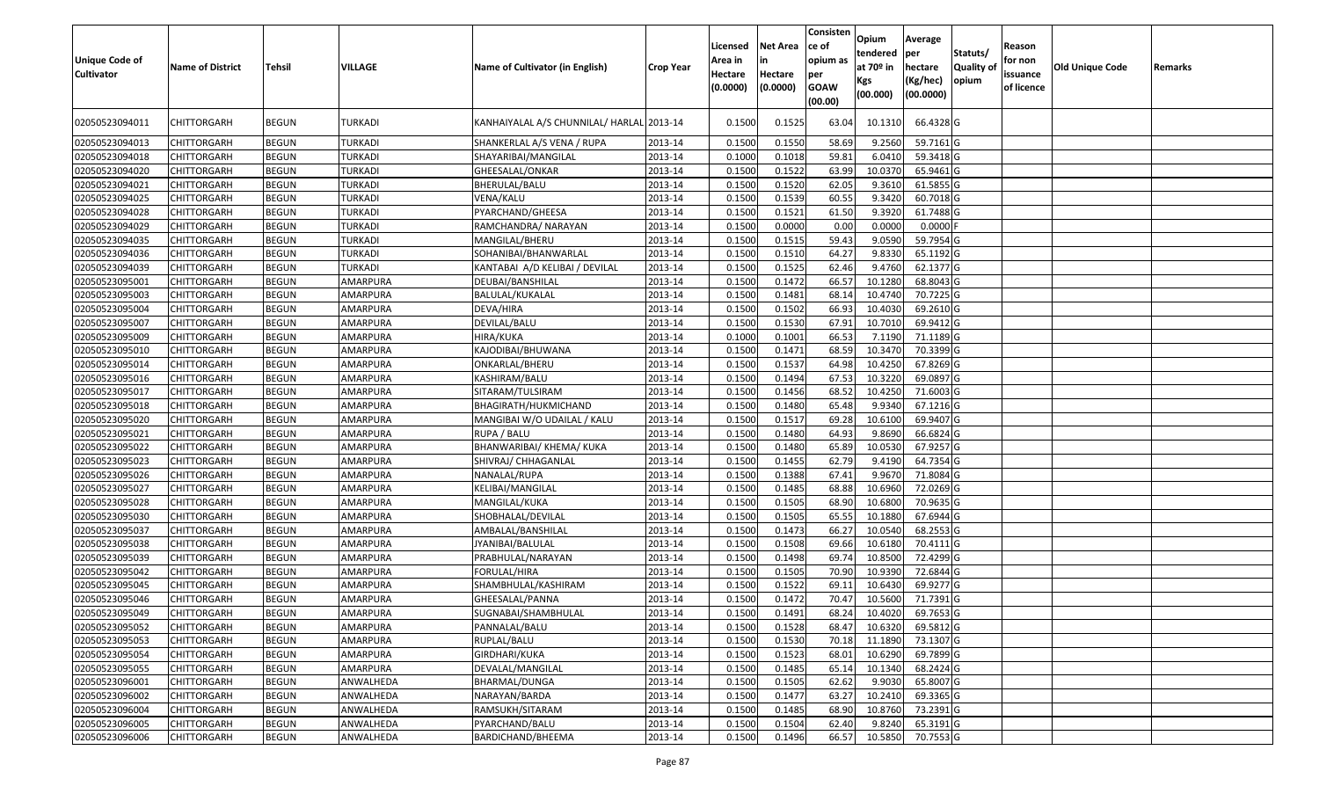| <b>Unique Code of</b><br><b>Cultivator</b> | <b>Name of District</b> | <b>Tehsil</b> | VILLAGE        | Name of Cultivator (in English)           | <b>Crop Year</b> | Licensed<br>Area in<br>Hectare<br>(0.0000) | <b>Net Area</b><br>in<br>Hectare<br>(0.0000) | Consisten<br>ce of<br>opium as<br>per<br><b>GOAW</b><br>(00.00) | Opium<br>tendered<br>at $70°$ in<br>Kgs<br>(00.000) | Average<br>per<br>hectare<br>(Kg/hec)<br>(00.0000) | Statuts/<br>Quality of<br>opium | Reason<br>for non<br>issuance<br>of licence | <b>Old Unique Code</b> | Remarks |
|--------------------------------------------|-------------------------|---------------|----------------|-------------------------------------------|------------------|--------------------------------------------|----------------------------------------------|-----------------------------------------------------------------|-----------------------------------------------------|----------------------------------------------------|---------------------------------|---------------------------------------------|------------------------|---------|
| 02050523094011                             | CHITTORGARH             | <b>BEGUN</b>  | TURKADI        | KANHAIYALAL A/S CHUNNILAL/ HARLAL 2013-14 |                  | 0.1500                                     | 0.1525                                       | 63.04                                                           | 10.1310                                             | 66.4328 G                                          |                                 |                                             |                        |         |
| 02050523094013                             | <b>CHITTORGARH</b>      | <b>BEGUN</b>  | <b>TURKADI</b> | SHANKERLAL A/S VENA / RUPA                | 2013-14          | 0.1500                                     | 0.1550                                       | 58.69                                                           | 9.2560                                              | 59.7161 G                                          |                                 |                                             |                        |         |
| 02050523094018                             | <b>CHITTORGARH</b>      | <b>BEGUN</b>  | <b>TURKADI</b> | SHAYARIBAI/MANGILAL                       | 2013-14          | 0.1000                                     | 0.1018                                       | 59.81                                                           | 6.0410                                              | 59.3418 G                                          |                                 |                                             |                        |         |
| 02050523094020                             | <b>CHITTORGARH</b>      | <b>BEGUN</b>  | <b>TURKADI</b> | GHEESALAL/ONKAR                           | 2013-14          | 0.1500                                     | 0.1522                                       | 63.99                                                           | 10.0370                                             | 65.9461 G                                          |                                 |                                             |                        |         |
| 02050523094021                             | CHITTORGARH             | <b>BEGUN</b>  | <b>TURKADI</b> | BHERULAL/BALU                             | 2013-14          | 0.1500                                     | 0.1520                                       | 62.05                                                           | 9.3610                                              | 61.5855 G                                          |                                 |                                             |                        |         |
| 02050523094025                             | <b>CHITTORGARH</b>      | <b>BEGUN</b>  | <b>TURKADI</b> | VENA/KALU                                 | 2013-14          | 0.1500                                     | 0.1539                                       | 60.55                                                           | 9.3420                                              | 60.7018G                                           |                                 |                                             |                        |         |
| 02050523094028                             | <b>CHITTORGARH</b>      | <b>BEGUN</b>  | <b>TURKADI</b> | PYARCHAND/GHEESA                          | 2013-14          | 0.1500                                     | 0.1521                                       | 61.50                                                           | 9.3920                                              | 61.7488 G                                          |                                 |                                             |                        |         |
| 02050523094029                             | CHITTORGARH             | <b>BEGUN</b>  | <b>TURKADI</b> | RAMCHANDRA/ NARAYAN                       | 2013-14          | 0.1500                                     | 0.0000                                       | 0.00                                                            | 0.0000                                              | $0.0000$ F                                         |                                 |                                             |                        |         |
| 02050523094035                             | CHITTORGARH             | <b>BEGUN</b>  | <b>TURKADI</b> | MANGILAL/BHERU                            | 2013-14          | 0.150                                      | 0.1515                                       | 59.43                                                           | 9.0590                                              | 59.7954 G                                          |                                 |                                             |                        |         |
| 02050523094036                             | CHITTORGARH             | <b>BEGUN</b>  | <b>TURKADI</b> | SOHANIBAI/BHANWARLAL                      | 2013-14          | 0.1500                                     | 0.1510                                       | 64.27                                                           | 9.8330                                              | 65.1192 G                                          |                                 |                                             |                        |         |
| 02050523094039                             | CHITTORGARH             | <b>BEGUN</b>  | <b>TURKADI</b> | KANTABAI A/D KELIBAI / DEVILAL            | 2013-14          | 0.1500                                     | 0.1525                                       | 62.46                                                           | 9.4760                                              | 62.1377 G                                          |                                 |                                             |                        |         |
| 02050523095001                             | <b>CHITTORGARH</b>      | <b>BEGUN</b>  | AMARPURA       | DEUBAI/BANSHILAL                          | 2013-14          | 0.1500                                     | 0.1472                                       | 66.57                                                           | 10.1280                                             | 68.8043 G                                          |                                 |                                             |                        |         |
| 02050523095003                             | CHITTORGARH             | <b>BEGUN</b>  | AMARPURA       | BALULAL/KUKALAL                           | 2013-14          | 0.1500                                     | 0.1481                                       | 68.1                                                            | 10.4740                                             | 70.7225 G                                          |                                 |                                             |                        |         |
| 02050523095004                             | CHITTORGARH             | <b>BEGUN</b>  | AMARPURA       | DEVA/HIRA                                 | 2013-14          | 0.1500                                     | 0.1502                                       | 66.93                                                           | 10.4030                                             | 69.2610 G                                          |                                 |                                             |                        |         |
| 02050523095007                             | CHITTORGARH             | <b>BEGUN</b>  | AMARPURA       | DEVILAL/BALU                              | 2013-14          | 0.1500                                     | 0.1530                                       | 67.91                                                           | 10.7010                                             | 69.9412G                                           |                                 |                                             |                        |         |
| 02050523095009                             | CHITTORGARH             | <b>BEGUN</b>  | AMARPURA       | <b>HIRA/KUKA</b>                          | 2013-14          | 0.1000                                     | 0.1001                                       | 66.53                                                           | 7.1190                                              | 71.1189 G                                          |                                 |                                             |                        |         |
| 02050523095010                             | CHITTORGARH             | <b>BEGUN</b>  | AMARPURA       | KAJODIBAI/BHUWANA                         | 2013-14          | 0.1500                                     | 0.1471                                       | 68.59                                                           | 10.3470                                             | 70.3399 G                                          |                                 |                                             |                        |         |
| 02050523095014                             | <b>CHITTORGARH</b>      | <b>BEGUN</b>  | AMARPURA       | ONKARLAL/BHERU                            | 2013-14          | 0.1500                                     | 0.1537                                       | 64.98                                                           | 10.4250                                             | 67.8269 G                                          |                                 |                                             |                        |         |
| 02050523095016                             | CHITTORGARH             | <b>BEGUN</b>  | AMARPURA       | KASHIRAM/BALU                             | 2013-14          | 0.1500                                     | 0.1494                                       | 67.53                                                           | 10.3220                                             | 69.0897 G                                          |                                 |                                             |                        |         |
| 02050523095017                             | CHITTORGARH             | <b>BEGUN</b>  | AMARPURA       | SITARAM/TULSIRAM                          | 2013-14          | 0.1500                                     | 0.1456                                       | 68.52                                                           | 10.4250                                             | 71.6003 G                                          |                                 |                                             |                        |         |
| 02050523095018                             | CHITTORGARH             | <b>BEGUN</b>  | AMARPURA       | BHAGIRATH/HUKMICHAND                      | 2013-14          | 0.1500                                     | 0.1480                                       | 65.48                                                           | 9.934                                               | 67.1216 G                                          |                                 |                                             |                        |         |
| 02050523095020                             | CHITTORGARH             | <b>BEGUN</b>  | AMARPURA       | MANGIBAI W/O UDAILAL / KALU               | 2013-14          | 0.1500                                     | 0.1517                                       | 69.28                                                           | 10.6100                                             | 69.9407 G                                          |                                 |                                             |                        |         |
| 02050523095021                             | CHITTORGARH             | <b>BEGUN</b>  | AMARPURA       | RUPA / BALU                               | 2013-14          | 0.1500                                     | 0.1480                                       | 64.93                                                           | 9.8690                                              | 66.6824 G                                          |                                 |                                             |                        |         |
| 02050523095022                             | CHITTORGARH             | <b>BEGUN</b>  | AMARPURA       | BHANWARIBAI/ KHEMA/ KUKA                  | 2013-14          | 0.1500                                     | 0.1480                                       | 65.89                                                           | 10.0530                                             | 67.9257 G                                          |                                 |                                             |                        |         |
| 02050523095023                             | <b>CHITTORGARH</b>      | <b>BEGUN</b>  | AMARPURA       | SHIVRAJ/ CHHAGANLAL                       | 2013-14          | 0.1500                                     | 0.1455                                       | 62.79                                                           | 9.4190                                              | 64.7354 G                                          |                                 |                                             |                        |         |
| 02050523095026                             | <b>CHITTORGARH</b>      | <b>BEGUN</b>  | AMARPURA       | NANALAL/RUPA                              | 2013-14          | 0.1500                                     | 0.1388                                       | 67.41                                                           | 9.967                                               | 71.8084 G                                          |                                 |                                             |                        |         |
| 02050523095027                             | <b>CHITTORGARH</b>      | <b>BEGUN</b>  | AMARPURA       | KELIBAI/MANGILAL                          | 2013-14          | 0.1500                                     | 0.1485                                       | 68.88                                                           | 10.6960                                             | 72.0269 G                                          |                                 |                                             |                        |         |
| 02050523095028                             | CHITTORGARH             | <b>BEGUN</b>  | AMARPURA       | MANGILAL/KUKA                             | 2013-14          | 0.1500                                     | 0.1505                                       | 68.90                                                           | 10.6800                                             | 70.9635 G                                          |                                 |                                             |                        |         |
| 02050523095030                             | <b>CHITTORGARH</b>      | <b>BEGUN</b>  | AMARPURA       | SHOBHALAL/DEVILAL                         | 2013-14          | 0.1500                                     | 0.1505                                       | 65.55                                                           | 10.1880                                             | 67.6944 G                                          |                                 |                                             |                        |         |
| 02050523095037                             | <b>CHITTORGARH</b>      | <b>BEGUN</b>  | AMARPURA       | AMBALAL/BANSHILAL                         | 2013-14          | 0.1500                                     | 0.1473                                       | 66.27                                                           | 10.0540                                             | 68.2553 G                                          |                                 |                                             |                        |         |
| 02050523095038                             | <b>CHITTORGARH</b>      | <b>BEGUN</b>  | AMARPURA       | JYANIBAI/BALULAL                          | 2013-14          | 0.1500                                     | 0.1508                                       | 69.66                                                           | 10.6180                                             | 70.4111G                                           |                                 |                                             |                        |         |
| 02050523095039                             | CHITTORGARH             | <b>BEGUN</b>  | AMARPURA       | PRABHULAL/NARAYAN                         | 2013-14          | 0.1500                                     | 0.1498                                       | 69.7                                                            | 10.8500                                             | 72.4299 G                                          |                                 |                                             |                        |         |
| 02050523095042                             | CHITTORGARH             | <b>BEGUN</b>  | AMARPURA       | FORULAL/HIRA                              | 2013-14          | 0.1500                                     | 0.1505                                       | 70.90                                                           | 10.9390                                             | $\overline{72.6844}$ G                             |                                 |                                             |                        |         |
| 02050523095045                             | CHITTORGARH             | <b>BEGUN</b>  | AMARPURA       | SHAMBHULAL/KASHIRAM                       | 2013-14          | 0.150                                      | 0.1522                                       | 69.1                                                            | 10.643                                              | 69.9277 G                                          |                                 |                                             |                        |         |
| 02050523095046                             | CHITTORGARH             | <b>BEGUN</b>  | AMARPURA       | GHEESALAL/PANNA                           | 2013-14          | 0.1500                                     | 0.1472                                       | 70.47                                                           | 10.5600                                             | 71.7391 G                                          |                                 |                                             |                        |         |
| 02050523095049                             | <b>CHITTORGARH</b>      | <b>BEGUN</b>  | AMARPURA       | SUGNABAI/SHAMBHULAL                       | 2013-14          | 0.1500                                     | 0.1491                                       | 68.24                                                           | 10.4020                                             | 69.7653G                                           |                                 |                                             |                        |         |
| 02050523095052                             | <b>CHITTORGARH</b>      | <b>BEGUN</b>  | AMARPURA       | PANNALAL/BALU                             | 2013-14          | 0.1500                                     | 0.1528                                       | 68.47                                                           | 10.6320                                             | 69.5812 G                                          |                                 |                                             |                        |         |
| 02050523095053                             | <b>CHITTORGARH</b>      | <b>BEGUN</b>  | AMARPURA       | RUPLAL/BALU                               | 2013-14          | 0.1500                                     | 0.1530                                       | 70.18                                                           | 11.1890                                             | 73.1307 G                                          |                                 |                                             |                        |         |
| 02050523095054                             | <b>CHITTORGARH</b>      | <b>BEGUN</b>  | AMARPURA       | GIRDHARI/KUKA                             | 2013-14          | 0.1500                                     | 0.1523                                       | 68.01                                                           | 10.6290                                             | 69.7899 G                                          |                                 |                                             |                        |         |
| 02050523095055                             | <b>CHITTORGARH</b>      | <b>BEGUN</b>  | AMARPURA       | DEVALAL/MANGILAL                          | 2013-14          | 0.1500                                     | 0.1485                                       | 65.14                                                           | 10.1340                                             | 68.2424 G                                          |                                 |                                             |                        |         |
| 02050523096001                             | <b>CHITTORGARH</b>      | <b>BEGUN</b>  | ANWALHEDA      | BHARMAL/DUNGA                             | 2013-14          | 0.1500                                     | 0.1505                                       | 62.62                                                           | 9.9030                                              | 65.8007 G                                          |                                 |                                             |                        |         |
| 02050523096002                             | <b>CHITTORGARH</b>      | <b>BEGUN</b>  | ANWALHEDA      | NARAYAN/BARDA                             | 2013-14          | 0.1500                                     | 0.1477                                       | 63.27                                                           | 10.2410                                             | 69.3365 G                                          |                                 |                                             |                        |         |
| 02050523096004                             | <b>CHITTORGARH</b>      | <b>BEGUN</b>  | ANWALHEDA      | RAMSUKH/SITARAM                           | 2013-14          | 0.1500                                     | 0.1485                                       | 68.90                                                           | 10.8760                                             | 73.2391 G                                          |                                 |                                             |                        |         |
| 02050523096005                             | CHITTORGARH             | <b>BEGUN</b>  | ANWALHEDA      | PYARCHAND/BALU                            | 2013-14          | 0.1500                                     | 0.1504                                       | 62.40                                                           | 9.8240                                              | 65.3191 G                                          |                                 |                                             |                        |         |
| 02050523096006                             | <b>CHITTORGARH</b>      | <b>BEGUN</b>  | ANWALHEDA      | BARDICHAND/BHEEMA                         | 2013-14          | 0.1500                                     | 0.1496                                       | 66.57                                                           | 10.5850                                             | 70.7553 G                                          |                                 |                                             |                        |         |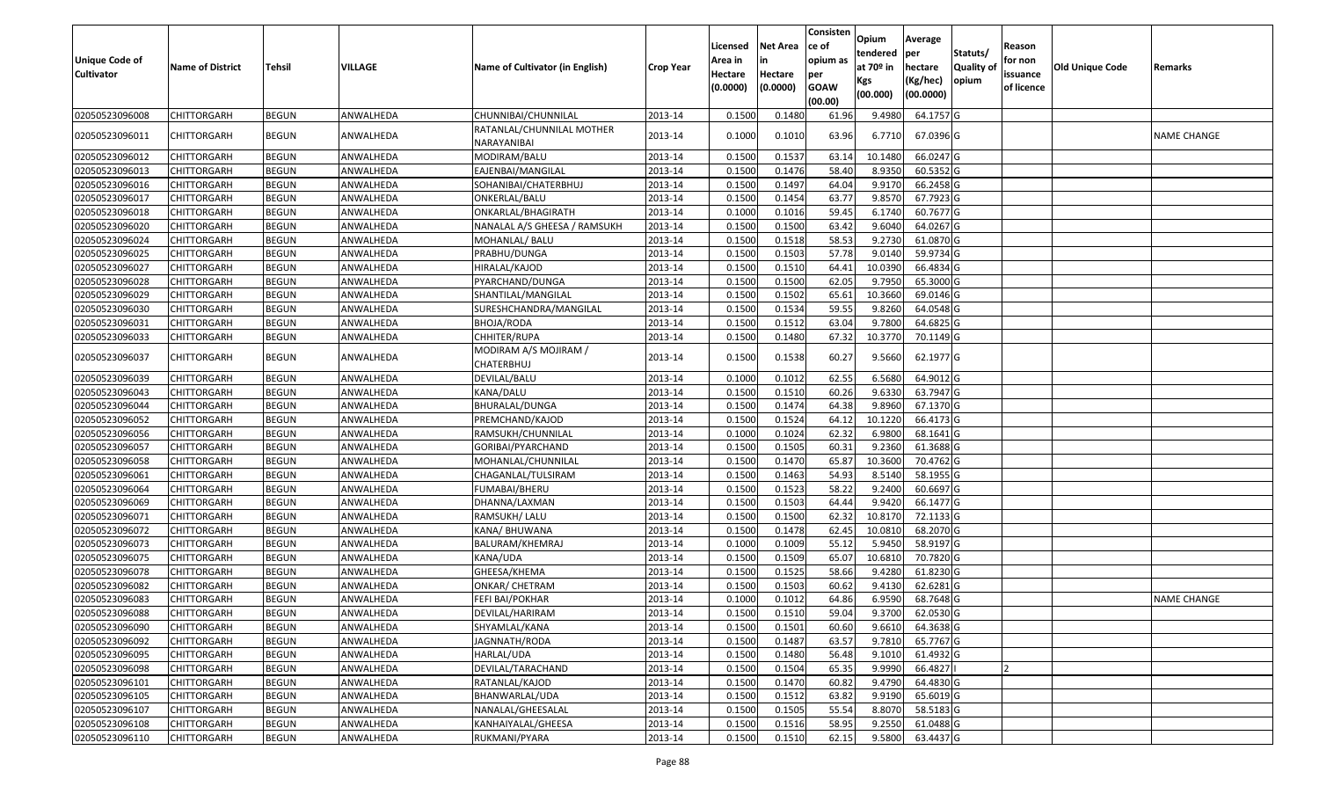| <b>Unique Code of</b><br><b>Cultivator</b> | <b>Name of District</b> | Tehsil       | VILLAGE   | Name of Cultivator (in English)          | <b>Crop Year</b> | Licensed<br>Area in<br>Hectare<br>(0.0000) | <b>Net Area</b><br>in<br>Hectare<br>(0.0000) | Consisten<br>ce of<br>opium as<br>per<br><b>GOAW</b><br>(00.00) | Opium<br>tendered<br>at $70°$ in<br>Kgs<br>(00.000) | Average<br>per<br>hectare<br>(Kg/hec)<br>(00.0000) | Statuts/<br><b>Quality o</b><br>opium | Reason<br>for non<br>issuance<br>of licence | Old Unique Code | Remarks            |
|--------------------------------------------|-------------------------|--------------|-----------|------------------------------------------|------------------|--------------------------------------------|----------------------------------------------|-----------------------------------------------------------------|-----------------------------------------------------|----------------------------------------------------|---------------------------------------|---------------------------------------------|-----------------|--------------------|
| 02050523096008                             | <b>CHITTORGARH</b>      | <b>BEGUN</b> | ANWALHEDA | CHUNNIBAI/CHUNNILAL                      | 2013-14          | 0.1500                                     | 0.1480                                       | 61.96                                                           | 9.4980                                              | 64.1757 G                                          |                                       |                                             |                 |                    |
| 02050523096011                             | CHITTORGARH             | <b>BEGUN</b> | ANWALHEDA | RATANLAL/CHUNNILAL MOTHER<br>NARAYANIBAI | 2013-14          | 0.1000                                     | 0.1010                                       | 63.96                                                           | 6.7710                                              | 67.0396 G                                          |                                       |                                             |                 | NAME CHANGE        |
| 02050523096012                             | <b>CHITTORGARH</b>      | <b>BEGUN</b> | ANWALHEDA | MODIRAM/BALU                             | 2013-14          | 0.1500                                     | 0.1537                                       | 63.14                                                           | 10.1480                                             | 66.0247 G                                          |                                       |                                             |                 |                    |
| 02050523096013                             | <b>CHITTORGARH</b>      | <b>BEGUN</b> | ANWALHEDA | EAJENBAI/MANGILAL                        | 2013-14          | 0.1500                                     | 0.1476                                       | 58.40                                                           | 8.9350                                              | 60.5352 G                                          |                                       |                                             |                 |                    |
| 02050523096016                             | <b>CHITTORGARH</b>      | <b>BEGUN</b> | ANWALHEDA | SOHANIBAI/CHATERBHUJ                     | 2013-14          | 0.1500                                     | 0.1497                                       | 64.04                                                           | 9.9170                                              | 66.2458 G                                          |                                       |                                             |                 |                    |
| 02050523096017                             | CHITTORGARH             | <b>BEGUN</b> | ANWALHEDA | ONKERLAL/BALU                            | 2013-14          | 0.1500                                     | 0.1454                                       | 63.77                                                           | 9.8570                                              | 67.7923 G                                          |                                       |                                             |                 |                    |
| 02050523096018                             | <b>CHITTORGARH</b>      | <b>BEGUN</b> | ANWALHEDA | ONKARLAL/BHAGIRATH                       | 2013-14          | 0.1000                                     | 0.1016                                       | 59.45                                                           | 6.1740                                              | 60.7677 G                                          |                                       |                                             |                 |                    |
| 02050523096020                             | <b>CHITTORGARH</b>      | <b>BEGUN</b> | ANWALHEDA | NANALAL A/S GHEESA / RAMSUKH             | 2013-14          | 0.1500                                     | 0.1500                                       | 63.42                                                           | 9.6040                                              | 64.0267 G                                          |                                       |                                             |                 |                    |
| 02050523096024                             | <b>CHITTORGARH</b>      | <b>BEGUN</b> | ANWALHEDA | MOHANLAL/ BALU                           | 2013-14          | 0.1500                                     | 0.1518                                       | 58.53                                                           | 9.2730                                              | 61.0870 G                                          |                                       |                                             |                 |                    |
| 02050523096025                             | <b>CHITTORGARH</b>      | <b>BEGUN</b> | ANWALHEDA | PRABHU/DUNGA                             | 2013-14          | 0.1500                                     | 0.1503                                       | 57.78                                                           | 9.0140                                              | 59.9734 G                                          |                                       |                                             |                 |                    |
| 02050523096027                             | <b>CHITTORGARH</b>      | <b>BEGUN</b> | ANWALHEDA | HIRALAL/KAJOD                            | 2013-14          | 0.1500                                     | 0.1510                                       | 64.41                                                           | 10.0390                                             | 66.4834 G                                          |                                       |                                             |                 |                    |
| 02050523096028                             | <b>CHITTORGARH</b>      | <b>BEGUN</b> | ANWALHEDA | PYARCHAND/DUNGA                          | 2013-14          | 0.1500                                     | 0.1500                                       | 62.05                                                           | 9.7950                                              | 65.3000 G                                          |                                       |                                             |                 |                    |
| 02050523096029                             | <b>CHITTORGARH</b>      | <b>BEGUN</b> | ANWALHEDA | SHANTILAL/MANGILAL                       | 2013-14          | 0.1500                                     | 0.1502                                       | 65.61                                                           | 10.3660                                             | 69.0146 G                                          |                                       |                                             |                 |                    |
| 02050523096030                             | CHITTORGARH             | <b>BEGUN</b> | ANWALHEDA | SURESHCHANDRA/MANGILAL                   | 2013-14          | 0.1500                                     | 0.1534                                       | 59.55                                                           | 9.8260                                              | 64.0548 G                                          |                                       |                                             |                 |                    |
| 02050523096031                             | <b>CHITTORGARH</b>      | <b>BEGUN</b> | ANWALHEDA | BHOJA/RODA                               | 2013-14          | 0.1500                                     | 0.1512                                       | 63.04                                                           | 9.7800                                              | 64.6825 G                                          |                                       |                                             |                 |                    |
| 02050523096033                             | <b>CHITTORGARH</b>      | <b>BEGUN</b> | ANWALHEDA | CHHITER/RUPA                             | 2013-14          | 0.1500                                     | 0.1480                                       | 67.32                                                           | 10.3770                                             | 70.1149 G                                          |                                       |                                             |                 |                    |
| 02050523096037                             | <b>CHITTORGARH</b>      | <b>BEGUN</b> | ANWALHEDA | MODIRAM A/S MOJIRAM /<br>CHATERBHUJ      | 2013-14          | 0.1500                                     | 0.1538                                       | 60.27                                                           | 9.5660                                              | 62.1977 G                                          |                                       |                                             |                 |                    |
| 02050523096039                             | <b>CHITTORGARH</b>      | <b>BEGUN</b> | ANWALHEDA | DEVILAL/BALU                             | 2013-14          | 0.1000                                     | 0.1012                                       | 62.55                                                           | 6.5680                                              | 64.9012 G                                          |                                       |                                             |                 |                    |
| 02050523096043                             | <b>CHITTORGARH</b>      | <b>BEGUN</b> | ANWALHEDA | KANA/DALU                                | 2013-14          | 0.1500                                     | 0.1510                                       | 60.26                                                           | 9.6330                                              | 63.7947 G                                          |                                       |                                             |                 |                    |
| 02050523096044                             | <b>CHITTORGARH</b>      | <b>BEGUN</b> | ANWALHEDA | BHURALAL/DUNGA                           | 2013-14          | 0.1500                                     | 0.1474                                       | 64.38                                                           | 9.8960                                              | 67.1370 G                                          |                                       |                                             |                 |                    |
| 02050523096052                             | <b>CHITTORGARH</b>      | <b>BEGUN</b> | ANWALHEDA | PREMCHAND/KAJOD                          | 2013-14          | 0.1500                                     | 0.1524                                       | 64.12                                                           | 10.1220                                             | 66.4173 G                                          |                                       |                                             |                 |                    |
| 02050523096056                             | <b>CHITTORGARH</b>      | <b>BEGUN</b> | ANWALHEDA | RAMSUKH/CHUNNILAL                        | 2013-14          | 0.1000                                     | 0.1024                                       | 62.32                                                           | 6.9800                                              | 68.1641 G                                          |                                       |                                             |                 |                    |
| 02050523096057                             | <b>CHITTORGARH</b>      | <b>BEGUN</b> | ANWALHEDA | GORIBAI/PYARCHAND                        | 2013-14          | 0.1500                                     | 0.1505                                       | 60.31                                                           | 9.2360                                              | 61.3688 G                                          |                                       |                                             |                 |                    |
| 02050523096058                             | <b>CHITTORGARH</b>      | <b>BEGUN</b> | ANWALHEDA | MOHANLAL/CHUNNILAL                       | 2013-14          | 0.1500                                     | 0.1470                                       | 65.87                                                           | 10.3600                                             | 70.4762 G                                          |                                       |                                             |                 |                    |
| 02050523096061                             | <b>CHITTORGARH</b>      | <b>BEGUN</b> | ANWALHEDA | CHAGANLAL/TULSIRAM                       | 2013-14          | 0.1500                                     | 0.1463                                       | 54.93                                                           | 8.5140                                              | 58.1955 G                                          |                                       |                                             |                 |                    |
| 02050523096064                             | <b>CHITTORGARH</b>      | <b>BEGUN</b> | ANWALHEDA | FUMABAI/BHERU                            | 2013-14          | 0.1500                                     | 0.1523                                       | 58.22                                                           | 9.2400                                              | 60.6697 G                                          |                                       |                                             |                 |                    |
| 02050523096069                             | <b>CHITTORGARH</b>      | <b>BEGUN</b> | ANWALHEDA | DHANNA/LAXMAN                            | 2013-14          | 0.1500                                     | 0.1503                                       | 64.44                                                           | 9.9420                                              | 66.1477 G                                          |                                       |                                             |                 |                    |
| 02050523096071                             | <b>CHITTORGARH</b>      | <b>BEGUN</b> | ANWALHEDA | RAMSUKH/ LALU                            | 2013-14          | 0.1500                                     | 0.1500                                       | 62.32                                                           | 10.8170                                             | 72.1133 G                                          |                                       |                                             |                 |                    |
| 02050523096072                             | <b>CHITTORGARH</b>      | <b>BEGUN</b> | ANWALHEDA | KANA/ BHUWANA                            | 2013-14          | 0.1500                                     | 0.1478                                       | 62.45                                                           | 10.0810                                             | 68.2070 G                                          |                                       |                                             |                 |                    |
| 02050523096073                             | <b>CHITTORGARH</b>      | <b>BEGUN</b> | ANWALHEDA | BALURAM/KHEMRAJ                          | 2013-14          | 0.1000                                     | 0.1009                                       | 55.12                                                           | 5.9450                                              | 58.9197 G                                          |                                       |                                             |                 |                    |
| 02050523096075                             | <b>CHITTORGARH</b>      | <b>BEGUN</b> | ANWALHEDA | KANA/UDA                                 | 2013-14          | 0.1500                                     | 0.1509                                       | 65.07                                                           | 10.6810                                             | 70.7820 G                                          |                                       |                                             |                 |                    |
| 02050523096078                             | <b>CHITTORGARH</b>      | <b>BEGUN</b> | ANWALHEDA | GHEESA/KHEMA                             | 2013-14          | 0.1500                                     | 0.1525                                       | 58.66                                                           | 9.4280                                              | 61.8230 G                                          |                                       |                                             |                 |                    |
| 02050523096082                             | <b>CHITTORGARH</b>      | <b>BEGUN</b> | ANWALHEDA | ONKAR/ CHETRAM                           | 2013-14          | 0.1500                                     | 0.1503                                       | 60.62                                                           | 9.4130                                              | 62.6281 G                                          |                                       |                                             |                 |                    |
| 02050523096083                             | <b>CHITTORGARH</b>      | <b>BEGUN</b> | ANWALHEDA | FEFI BAI/POKHAR                          | 2013-14          | 0.1000                                     | 0.1012                                       | 64.86                                                           | 6.9590                                              | 68.7648 G                                          |                                       |                                             |                 | <b>NAME CHANGE</b> |
| 02050523096088                             | CHITTORGARH             | <b>BEGUN</b> | ANWALHEDA | DEVILAL/HARIRAM                          | 2013-14          | 0.1500                                     | 0.1510                                       | 59.04                                                           | 9.3700                                              | 62.0530 G                                          |                                       |                                             |                 |                    |
| 02050523096090                             | <b>CHITTORGARH</b>      | <b>BEGUN</b> | ANWALHEDA | SHYAMLAL/KANA                            | 2013-14          | 0.1500                                     | 0.1501                                       | 60.60                                                           | 9.6610                                              | 64.3638 G                                          |                                       |                                             |                 |                    |
| 02050523096092                             | <b>CHITTORGARH</b>      | <b>BEGUN</b> | ANWALHEDA | JAGNNATH/RODA                            | 2013-14          | 0.1500                                     | 0.1487                                       | 63.57                                                           | 9.7810                                              | 65.7767 G                                          |                                       |                                             |                 |                    |
| 02050523096095                             | <b>CHITTORGARH</b>      | <b>BEGUN</b> | ANWALHEDA | HARLAL/UDA                               | 2013-14          | 0.1500                                     | 0.1480                                       | 56.48                                                           | 9.1010                                              | 61.4932 G                                          |                                       |                                             |                 |                    |
| 02050523096098                             | <b>CHITTORGARH</b>      | <b>BEGUN</b> | ANWALHEDA | DEVILAL/TARACHAND                        | 2013-14          | 0.1500                                     | 0.1504                                       | 65.35                                                           | 9.9990                                              | 66.4827                                            |                                       |                                             |                 |                    |
| 02050523096101                             | <b>CHITTORGARH</b>      | <b>BEGUN</b> | ANWALHEDA | RATANLAL/KAJOD                           | 2013-14          | 0.1500                                     | 0.1470                                       | 60.82                                                           | 9.4790                                              | 64.4830 G                                          |                                       |                                             |                 |                    |
| 02050523096105                             | <b>CHITTORGARH</b>      | <b>BEGUN</b> | ANWALHEDA | BHANWARLAL/UDA                           | 2013-14          | 0.1500                                     | 0.1512                                       | 63.82                                                           | 9.9190                                              | 65.6019 G                                          |                                       |                                             |                 |                    |
| 02050523096107                             | <b>CHITTORGARH</b>      | <b>BEGUN</b> | ANWALHEDA | NANALAL/GHEESALAL                        | 2013-14          | 0.1500                                     | 0.1505                                       | 55.54                                                           | 8.8070                                              | 58.5183 G                                          |                                       |                                             |                 |                    |
| 02050523096108                             | <b>CHITTORGARH</b>      | <b>BEGUN</b> | ANWALHEDA | KANHAIYALAL/GHEESA                       | 2013-14          | 0.1500                                     | 0.1516                                       | 58.95                                                           | 9.2550                                              | 61.0488 G                                          |                                       |                                             |                 |                    |
| 02050523096110                             | <b>CHITTORGARH</b>      | <b>BEGUN</b> | ANWALHEDA | RUKMANI/PYARA                            | 2013-14          | 0.1500                                     | 0.1510                                       | 62.15                                                           | 9.5800                                              | 63.4437 G                                          |                                       |                                             |                 |                    |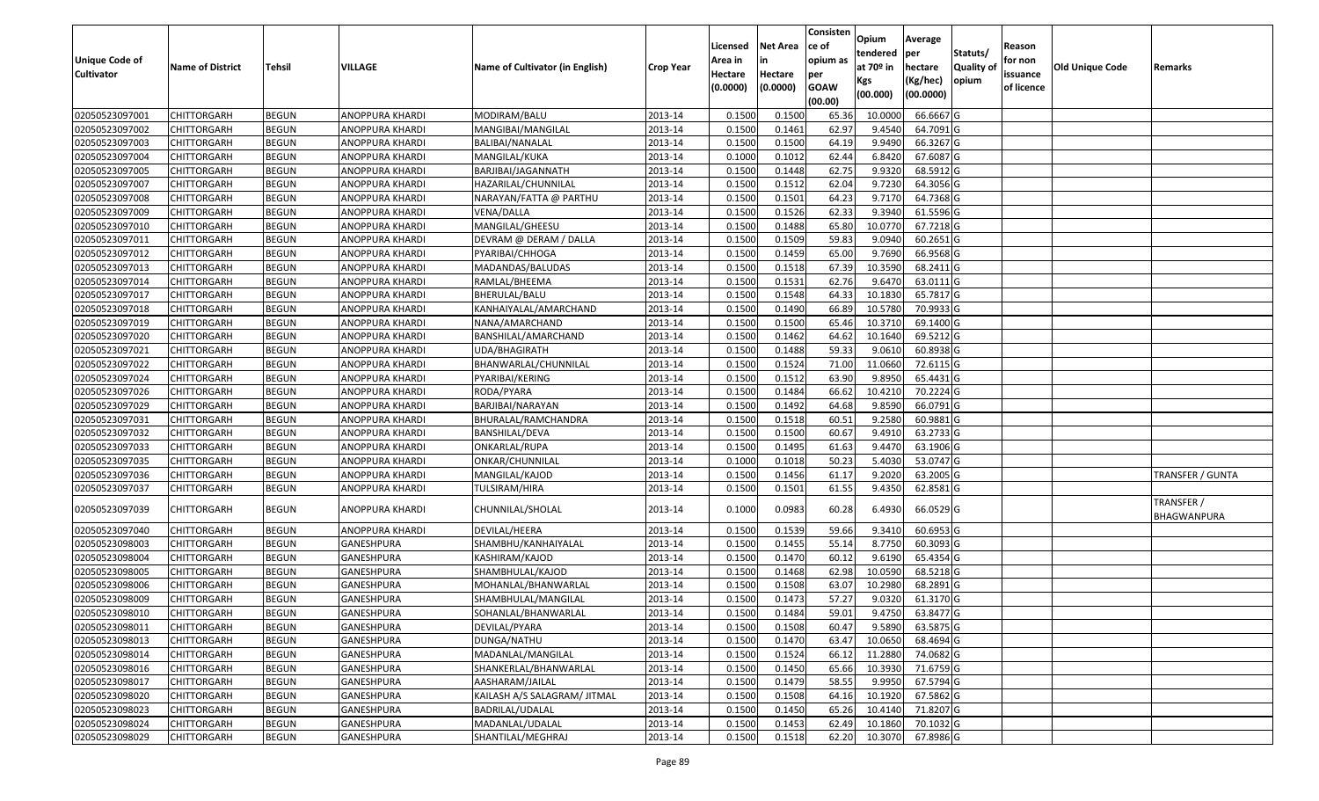|                       |                         |               |                   |                                 |                  | Licensed | <b>Net Area</b> | Consisten<br>ce of | Opium       | Average                |                  | Reason     |                 |                           |
|-----------------------|-------------------------|---------------|-------------------|---------------------------------|------------------|----------|-----------------|--------------------|-------------|------------------------|------------------|------------|-----------------|---------------------------|
| <b>Unique Code of</b> |                         |               |                   |                                 |                  | Area in  |                 | opium as           | tendered    | per                    | Statuts/         | for non    |                 |                           |
| <b>Cultivator</b>     | <b>Name of District</b> | <b>Tehsil</b> | VILLAGE           | Name of Cultivator (in English) | <b>Crop Year</b> | Hectare  | Hectare         | per                | at $70°$ in | hectare                | <b>Quality o</b> | issuance   | Old Unique Code | Remarks                   |
|                       |                         |               |                   |                                 |                  | (0.0000) | (0.0000)        | <b>GOAW</b>        | Kgs         | (Kg/hec)               | opium            | of licence |                 |                           |
|                       |                         |               |                   |                                 |                  |          |                 | (00.00)            | (00.000)    | (00.0000)              |                  |            |                 |                           |
| 02050523097001        | CHITTORGARH             | <b>BEGUN</b>  | ANOPPURA KHARDI   | MODIRAM/BALU                    | 2013-14          | 0.1500   | 0.1500          | 65.36              | 10.000      | 66.6667 G              |                  |            |                 |                           |
| 02050523097002        | CHITTORGARH             | <b>BEGUN</b>  | ANOPPURA KHARDI   | MANGIBAI/MANGILAL               | 2013-14          | 0.1500   | 0.1461          | 62.97              | 9.4540      | 64.7091G               |                  |            |                 |                           |
| 02050523097003        | CHITTORGARH             | <b>BEGUN</b>  | ANOPPURA KHARDI   | BALIBAI/NANALAL                 | 2013-14          | 0.1500   | 0.1500          | 64.19              | 9.9490      | 66.3267 G              |                  |            |                 |                           |
| 02050523097004        | CHITTORGARH             | <b>BEGUN</b>  | ANOPPURA KHARDI   | MANGILAL/KUKA                   | 2013-14          | 0.1000   | 0.1012          | 62.44              | 6.8420      | 67.6087 G              |                  |            |                 |                           |
| 02050523097005        | CHITTORGARH             | <b>BEGUN</b>  | ANOPPURA KHARDI   | BARJIBAI/JAGANNATH              | 2013-14          | 0.1500   | 0.1448          | 62.75              | 9.9320      | 68.5912 G              |                  |            |                 |                           |
| 02050523097007        | CHITTORGARH             | <b>BEGUN</b>  | ANOPPURA KHARDI   | HAZARILAL/CHUNNILAL             | 2013-14          | 0.1500   | 0.1512          | 62.04              | 9.7230      | $\overline{64.3056}$ G |                  |            |                 |                           |
| 02050523097008        | CHITTORGARH             | <b>BEGUN</b>  | ANOPPURA KHARDI   | NARAYAN/FATTA @ PARTHU          | 2013-14          | 0.1500   | 0.1501          | 64.23              | 9.7170      | 64.7368 G              |                  |            |                 |                           |
| 02050523097009        | CHITTORGARH             | <b>BEGUN</b>  | ANOPPURA KHARDI   | VENA/DALLA                      | 2013-14          | 0.1500   | 0.1526          | 62.33              | 9.3940      | 61.5596 G              |                  |            |                 |                           |
| 02050523097010        | <b>CHITTORGARH</b>      | <b>BEGUN</b>  | ANOPPURA KHARDI   | MANGILAL/GHEESU                 | 2013-14          | 0.1500   | 0.1488          | 65.80              | 10.0770     | 67.7218 G              |                  |            |                 |                           |
| 02050523097011        | CHITTORGARH             | <b>BEGUN</b>  | ANOPPURA KHARDI   | DEVRAM @ DERAM / DALLA          | 2013-14          | 0.1500   | 0.1509          | 59.83              | 9.0940      | 60.2651 G              |                  |            |                 |                           |
| 02050523097012        | CHITTORGARH             | <b>BEGUN</b>  | ANOPPURA KHARDI   | PYARIBAI/CHHOGA                 | 2013-14          | 0.1500   | 0.1459          | 65.00              | 9.7690      | 66.9568 G              |                  |            |                 |                           |
| 02050523097013        | <b>CHITTORGARH</b>      | <b>BEGUN</b>  | ANOPPURA KHARDI   | MADANDAS/BALUDAS                | 2013-14          | 0.1500   | 0.1518          | 67.39              | 10.3590     | 68.2411 G              |                  |            |                 |                           |
| 02050523097014        | <b>CHITTORGARH</b>      | <b>BEGUN</b>  | ANOPPURA KHARDI   | RAMLAL/BHEEMA                   | 2013-14          | 0.1500   | 0.1531          | 62.76              | 9.6470      | 63.0111G               |                  |            |                 |                           |
| 02050523097017        | <b>CHITTORGARH</b>      | <b>BEGUN</b>  | ANOPPURA KHARDI   | BHERULAL/BALU                   | 2013-14          | 0.1500   | 0.1548          | 64.33              | 10.1830     | 65.7817 G              |                  |            |                 |                           |
| 02050523097018        | CHITTORGARH             | <b>BEGUN</b>  | ANOPPURA KHARDI   | KANHAIYALAL/AMARCHAND           | 2013-14          | 0.1500   | 0.1490          | 66.89              | 10.5780     | 70.9933 G              |                  |            |                 |                           |
| 02050523097019        | <b>CHITTORGARH</b>      | <b>BEGUN</b>  | ANOPPURA KHARDI   | NANA/AMARCHAND                  | 2013-14          | 0.1500   | 0.1500          | 65.46              | 10.3710     | 69.1400 G              |                  |            |                 |                           |
| 02050523097020        | <b>CHITTORGARH</b>      | <b>BEGUN</b>  | ANOPPURA KHARDI   | BANSHILAL/AMARCHAND             | 2013-14          | 0.1500   | 0.1462          | 64.62              | 10.1640     | 69.5212 G              |                  |            |                 |                           |
| 02050523097021        | CHITTORGARH             | <b>BEGUN</b>  | ANOPPURA KHARDI   | UDA/BHAGIRATH                   | 2013-14          | 0.1500   | 0.1488          | 59.33              | 9.0610      | 60.8938 G              |                  |            |                 |                           |
| 02050523097022        | CHITTORGARH             | <b>BEGUN</b>  | ANOPPURA KHARDI   | BHANWARLAL/CHUNNILAL            | 2013-14          | 0.1500   | 0.1524          | 71.00              | 11.0660     | 72.6115 G              |                  |            |                 |                           |
| 02050523097024        | CHITTORGARH             | <b>BEGUN</b>  | ANOPPURA KHARDI   | PYARIBAI/KERING                 | 2013-14          | 0.1500   | 0.1512          | 63.90              | 9.895       | 65.4431 G              |                  |            |                 |                           |
| 02050523097026        | CHITTORGARH             | <b>BEGUN</b>  | ANOPPURA KHARDI   | RODA/PYARA                      | 2013-14          | 0.1500   | 0.1484          | 66.62              | 10.4210     | 70.2224G               |                  |            |                 |                           |
| 02050523097029        | CHITTORGARH             | <b>BEGUN</b>  | ANOPPURA KHARDI   | BARJIBAI/NARAYAN                | 2013-14          | 0.1500   | 0.1492          | 64.68              | 9.8590      | 66.0791 G              |                  |            |                 |                           |
| 02050523097031        | CHITTORGARH             | <b>BEGUN</b>  | ANOPPURA KHARDI   | BHURALAL/RAMCHANDRA             | 2013-14          | 0.1500   | 0.1518          | 60.5               | 9.2580      | 60.9881 G              |                  |            |                 |                           |
| 02050523097032        | <b>CHITTORGARH</b>      | <b>BEGUN</b>  | ANOPPURA KHARDI   | BANSHILAL/DEVA                  | 2013-14          | 0.1500   | 0.1500          | 60.67              | 9.491       | 63.2733 G              |                  |            |                 |                           |
| 02050523097033        | CHITTORGARH             | <b>BEGUN</b>  | ANOPPURA KHARDI   | ONKARLAL/RUPA                   | 2013-14          | 0.1500   | 0.1495          | 61.63              | 9.4470      | 63.1906 G              |                  |            |                 |                           |
| 02050523097035        | CHITTORGARH             | <b>BEGUN</b>  | ANOPPURA KHARDI   | ONKAR/CHUNNILAL                 | 2013-14          | 0.1000   | 0.1018          | 50.23              | 5.4030      | 53.0747 G              |                  |            |                 |                           |
| 02050523097036        | CHITTORGARH             | <b>BEGUN</b>  | ANOPPURA KHARDI   | MANGILAL/KAJOD                  | 2013-14          | 0.1500   | 0.1456          | 61.17              | 9.2020      | 63.2005 G              |                  |            |                 | TRANSFER / GUNTA          |
| 02050523097037        | CHITTORGARH             | <b>BEGUN</b>  | ANOPPURA KHARDI   | TULSIRAM/HIRA                   | 2013-14          | 0.1500   | 0.1501          | 61.55              | 9.4350      | 62.8581 G              |                  |            |                 |                           |
| 02050523097039        | CHITTORGARH             | <b>BEGUN</b>  | ANOPPURA KHARDI   | CHUNNILAL/SHOLAL                | 2013-14          | 0.1000   | 0.0983          | 60.28              | 6.4930      | 66.0529 G              |                  |            |                 | TRANSFER /<br>BHAGWANPURA |
| 02050523097040        | CHITTORGARH             | <b>BEGUN</b>  | ANOPPURA KHARDI   | DEVILAL/HEERA                   | 2013-14          | 0.150    | 0.1539          | 59.66              | 9.341       | 60.6953 G              |                  |            |                 |                           |
| 02050523098003        | CHITTORGARH             | <b>BEGUN</b>  | GANESHPURA        | SHAMBHU/KANHAIYALAL             | 2013-14          | 0.1500   | 0.1455          | 55.14              | 8.7750      | 60.3093 G              |                  |            |                 |                           |
| 02050523098004        | CHITTORGARH             | <b>BEGUN</b>  | <b>GANESHPURA</b> | KASHIRAM/KAJOD                  | 2013-14          | 0.1500   | 0.1470          | 60.12              | 9.6190      | 65.4354 G              |                  |            |                 |                           |
| 02050523098005        | <b>CHITTORGARH</b>      | <b>BEGUN</b>  | GANESHPURA        | SHAMBHULAL/KAJOD                | 2013-14          | 0.1500   | 0.1468          | 62.98              | 10.0590     | 68.5218 G              |                  |            |                 |                           |
| 02050523098006        | CHITTORGARH             | <b>BEGUN</b>  | GANESHPURA        | MOHANLAL/BHANWARLAL             | 2013-14          | 0.1500   | 0.1508          | 63.07              | 10.2980     | 68.2891 G              |                  |            |                 |                           |
| 02050523098009        | CHITTORGARH             | <b>BEGUN</b>  | GANESHPURA        | SHAMBHULAL/MANGILAL             | 2013-14          | 0.1500   | 0.1473          | 57.27              | 9.0320      | 61.3170 G              |                  |            |                 |                           |
| 02050523098010        | <b>CHITTORGARH</b>      | <b>BEGUN</b>  | GANESHPURA        | SOHANLAL/BHANWARLAL             | 2013-14          | 0.1500   | 0.1484          | 59.01              | 9.4750      | 63.8477 G              |                  |            |                 |                           |
| 02050523098011        | <b>CHITTORGARH</b>      | <b>BEGUN</b>  | GANESHPURA        | DEVILAL/PYARA                   | 2013-14          | 0.1500   | 0.1508          | 60.47              | 9.5890      | 63.5875 G              |                  |            |                 |                           |
| 02050523098013        | <b>CHITTORGARH</b>      | <b>BEGUN</b>  | GANESHPURA        | DUNGA/NATHU                     | 2013-14          | 0.1500   | 0.1470          | 63.47              | 10.0650     | 68.4694 G              |                  |            |                 |                           |
| 02050523098014        | <b>CHITTORGARH</b>      | <b>BEGUN</b>  | <b>GANESHPURA</b> | MADANLAL/MANGILAL               | 2013-14          | 0.1500   | 0.1524          | 66.12              | 11.2880     | 74.0682 G              |                  |            |                 |                           |
| 02050523098016        | <b>CHITTORGARH</b>      | <b>BEGUN</b>  | GANESHPURA        | SHANKERLAL/BHANWARLAL           | 2013-14          | 0.1500   | 0.1450          | 65.66              | 10.3930     | 71.6759 G              |                  |            |                 |                           |
| 02050523098017        | <b>CHITTORGARH</b>      | <b>BEGUN</b>  | <b>GANESHPURA</b> | AASHARAM/JAILAL                 | 2013-14          | 0.1500   | 0.1479          | 58.55              | 9.9950      | 67.5794 G              |                  |            |                 |                           |
| 02050523098020        | <b>CHITTORGARH</b>      | <b>BEGUN</b>  | GANESHPURA        | KAILASH A/S SALAGRAM/ JITMAL    | 2013-14          | 0.1500   | 0.1508          | 64.16              | 10.1920     | 67.5862 G              |                  |            |                 |                           |
| 02050523098023        | CHITTORGARH             | <b>BEGUN</b>  | <b>GANESHPURA</b> | BADRILAL/UDALAL                 | 2013-14          | 0.1500   | 0.1450          | 65.26              | 10.4140     | 71.8207 G              |                  |            |                 |                           |
| 02050523098024        | CHITTORGARH             | <b>BEGUN</b>  | GANESHPURA        | MADANLAL/UDALAL                 | 2013-14          | 0.1500   | 0.1453          | 62.49              | 10.1860     | 70.1032 G              |                  |            |                 |                           |
| 02050523098029        | <b>CHITTORGARH</b>      | <b>BEGUN</b>  | GANESHPURA        | SHANTILAL/MEGHRAJ               | 2013-14          | 0.1500   | 0.1518          | 62.20              | 10.3070     | 67.8986 G              |                  |            |                 |                           |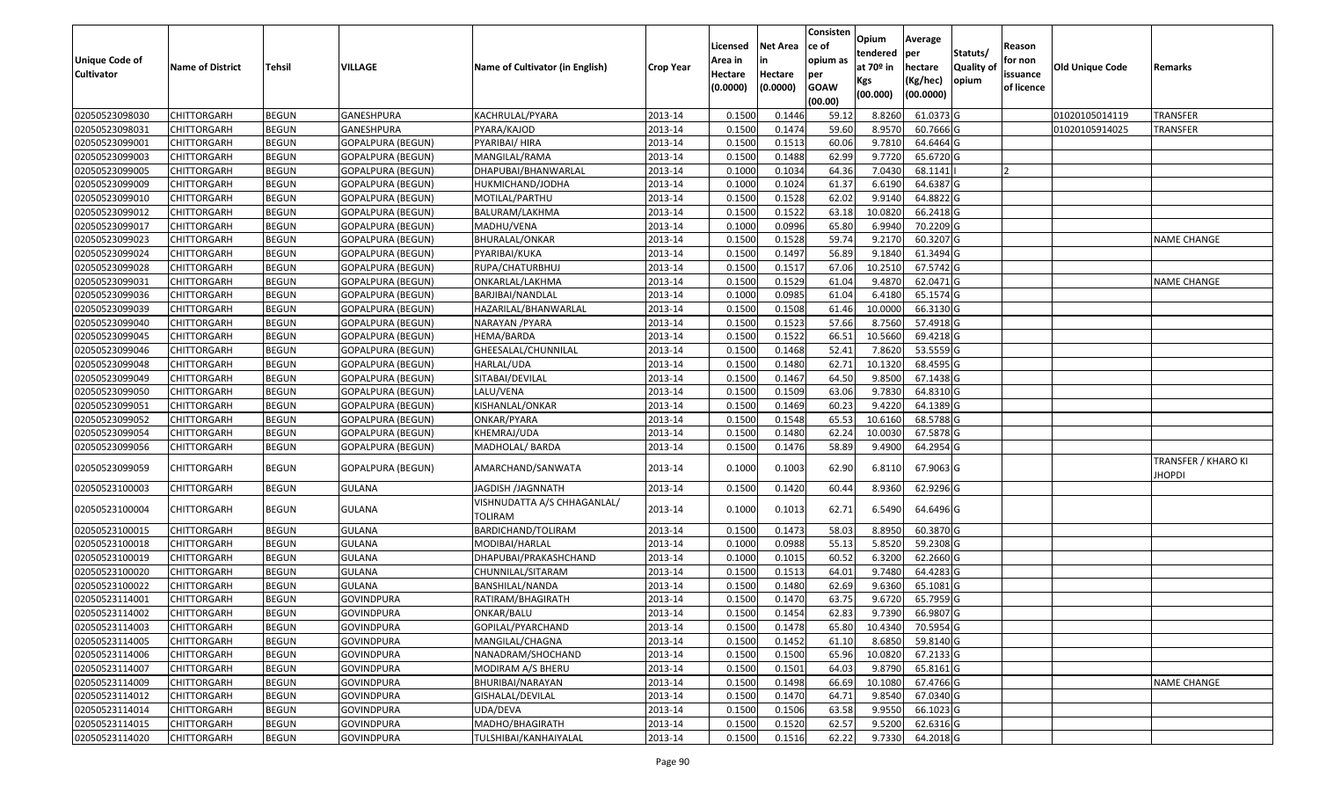|                                            |                         |               |                          |                                        |                  | Licensed                       | <b>Net Area</b>     | Consisten<br>ce of                        | Opium<br>tendered                        | Average<br>per                   | Statuts/            | Reason                            |                 |                                      |
|--------------------------------------------|-------------------------|---------------|--------------------------|----------------------------------------|------------------|--------------------------------|---------------------|-------------------------------------------|------------------------------------------|----------------------------------|---------------------|-----------------------------------|-----------------|--------------------------------------|
| <b>Unique Code of</b><br><b>Cultivator</b> | <b>Name of District</b> | <b>Tehsil</b> | VILLAGE                  | Name of Cultivator (in English)        | <b>Crop Year</b> | Area in<br>Hectare<br>(0.0000) | Hectare<br>(0.0000) | opium as<br>per<br><b>GOAW</b><br>(00.00) | at 70 <sup>o</sup> in<br>Kgs<br>(00.000) | hectare<br>(Kg/hec)<br>(00.0000) | Quality of<br>opium | for non<br>issuance<br>of licence | Old Unique Code | Remarks                              |
| 02050523098030                             | <b>CHITTORGARH</b>      | <b>BEGUN</b>  | GANESHPURA               | KACHRULAL/PYARA                        | 2013-14          | 0.1500                         | 0.1446              | 59.12                                     | 8.8260                                   | 61.0373 G                        |                     |                                   | 01020105014119  | TRANSFER                             |
| 02050523098031                             | CHITTORGARH             | <b>BEGUN</b>  | <b>GANESHPURA</b>        | PYARA/KAJOD                            | 2013-14          | 0.1500                         | 0.1474              | 59.60                                     | 8.9570                                   | 60.7666 G                        |                     |                                   | 01020105914025  | TRANSFER                             |
| 02050523099001                             | <b>CHITTORGARH</b>      | <b>BEGUN</b>  | <b>GOPALPURA (BEGUN)</b> | PYARIBAI/ HIRA                         | 2013-14          | 0.1500                         | 0.1513              | 60.06                                     | 9.7810                                   | 64.6464 G                        |                     |                                   |                 |                                      |
| 02050523099003                             | <b>CHITTORGARH</b>      | <b>BEGUN</b>  | GOPALPURA (BEGUN)        | MANGILAL/RAMA                          | 2013-14          | 0.1500                         | 0.1488              | 62.99                                     | 9.7720                                   | 65.6720 G                        |                     |                                   |                 |                                      |
| 02050523099005                             | <b>CHITTORGARH</b>      | <b>BEGUN</b>  | <b>GOPALPURA (BEGUN)</b> | DHAPUBAI/BHANWARLAL                    | 2013-14          | 0.1000                         | 0.1034              | 64.36                                     | 7.0430                                   | 68.1141                          |                     |                                   |                 |                                      |
| 02050523099009                             | CHITTORGARH             | <b>BEGUN</b>  | GOPALPURA (BEGUN)        | HUKMICHAND/JODHA                       | 2013-14          | 0.1000                         | 0.1024              | 61.37                                     | 6.6190                                   | 64.6387 G                        |                     |                                   |                 |                                      |
| 02050523099010                             | CHITTORGARH             | <b>BEGUN</b>  | GOPALPURA (BEGUN)        | MOTILAL/PARTHU                         | 2013-14          | 0.1500                         | 0.1528              | 62.02                                     | 9.9140                                   | 64.8822 G                        |                     |                                   |                 |                                      |
| 02050523099012                             | <b>CHITTORGARH</b>      | <b>BEGUN</b>  | <b>GOPALPURA (BEGUN)</b> | BALURAM/LAKHMA                         | 2013-14          | 0.1500                         | 0.1522              | 63.18                                     | 10.0820                                  | 66.2418 G                        |                     |                                   |                 |                                      |
| 02050523099017                             | <b>CHITTORGARH</b>      | <b>BEGUN</b>  | GOPALPURA (BEGUN)        | MADHU/VENA                             | 2013-14          | 0.1000                         | 0.0996              | 65.80                                     | 6.9940                                   | 70.2209 G                        |                     |                                   |                 |                                      |
| 02050523099023                             | <b>CHITTORGARH</b>      | <b>BEGUN</b>  | <b>GOPALPURA (BEGUN)</b> | BHURALAL/ONKAR                         | 2013-14          | 0.1500                         | 0.1528              | 59.74                                     | 9.2170                                   | 60.3207 G                        |                     |                                   |                 | NAME CHANGE                          |
| 02050523099024                             | <b>CHITTORGARH</b>      | <b>BEGUN</b>  | GOPALPURA (BEGUN)        | PYARIBAI/KUKA                          | 2013-14          | 0.1500                         | 0.1497              | 56.89                                     | 9.1840                                   | 61.3494 G                        |                     |                                   |                 |                                      |
| 02050523099028                             | <b>CHITTORGARH</b>      | <b>BEGUN</b>  | <b>GOPALPURA (BEGUN)</b> | RUPA/CHATURBHUJ                        | 2013-14          | 0.1500                         | 0.1517              | 67.06                                     | 10.2510                                  | 67.5742 G                        |                     |                                   |                 |                                      |
| 02050523099031                             | <b>CHITTORGARH</b>      | <b>BEGUN</b>  | GOPALPURA (BEGUN)        | ONKARLAL/LAKHMA                        | 2013-14          | 0.1500                         | 0.1529              | 61.04                                     | 9.4870                                   | 62.0471 G                        |                     |                                   |                 | <b>NAME CHANGE</b>                   |
| 02050523099036                             | <b>CHITTORGARH</b>      | <b>BEGUN</b>  | GOPALPURA (BEGUN)        | BARJIBAI/NANDLAL                       | 2013-14          | 0.1000                         | 0.0985              | 61.04                                     | 6.4180                                   | 65.1574 G                        |                     |                                   |                 |                                      |
| 02050523099039                             | <b>CHITTORGARH</b>      | <b>BEGUN</b>  | GOPALPURA (BEGUN)        | HAZARILAL/BHANWARLAL                   | 2013-14          | 0.1500                         | 0.1508              | 61.46                                     | 10.0000                                  | 66.3130 G                        |                     |                                   |                 |                                      |
| 02050523099040                             | <b>CHITTORGARH</b>      | <b>BEGUN</b>  | <b>GOPALPURA (BEGUN)</b> | NARAYAN /PYARA                         | 2013-14          | 0.1500                         | 0.1523              | 57.66                                     | 8.7560                                   | 57.4918 G                        |                     |                                   |                 |                                      |
| 02050523099045                             | <b>CHITTORGARH</b>      | <b>BEGUN</b>  | <b>GOPALPURA (BEGUN)</b> | HEMA/BARDA                             | 2013-14          | 0.1500                         | 0.1522              | 66.51                                     | 10.5660                                  | 69.4218 G                        |                     |                                   |                 |                                      |
| 02050523099046                             | <b>CHITTORGARH</b>      | <b>BEGUN</b>  | GOPALPURA (BEGUN)        | GHEESALAL/CHUNNILAL                    | 2013-14          | 0.1500                         | 0.1468              | 52.4                                      | 7.8620                                   | 53.5559 G                        |                     |                                   |                 |                                      |
| 02050523099048                             | CHITTORGARH             | <b>BEGUN</b>  | <b>GOPALPURA (BEGUN)</b> | HARLAL/UDA                             | 2013-14          | 0.1500                         | 0.1480              | 62.72                                     | 10.1320                                  | 68.4595 G                        |                     |                                   |                 |                                      |
| 02050523099049                             | <b>CHITTORGARH</b>      | <b>BEGUN</b>  | <b>GOPALPURA (BEGUN)</b> | SITABAI/DEVILAL                        | 2013-14          | 0.1500                         | 0.1467              | 64.50                                     | 9.8500                                   | 67.1438 G                        |                     |                                   |                 |                                      |
| 02050523099050                             | <b>CHITTORGARH</b>      | <b>BEGUN</b>  | <b>GOPALPURA (BEGUN)</b> | LALU/VENA                              | 2013-14          | 0.1500                         | 0.1509              | 63.06                                     | 9.7830                                   | 64.8310 G                        |                     |                                   |                 |                                      |
| 02050523099051                             | <b>CHITTORGARH</b>      | <b>BEGUN</b>  | <b>GOPALPURA (BEGUN)</b> | KISHANLAL/ONKAR                        | 2013-14          | 0.1500                         | 0.1469              | 60.23                                     | 9.4220                                   | 64.1389 G                        |                     |                                   |                 |                                      |
| 02050523099052                             | CHITTORGARH             | <b>BEGUN</b>  | GOPALPURA (BEGUN)        | ONKAR/PYARA                            | 2013-14          | 0.1500                         | 0.1548              | 65.53                                     | 10.6160                                  | 68.5788 G                        |                     |                                   |                 |                                      |
| 02050523099054                             | <b>CHITTORGARH</b>      | <b>BEGUN</b>  | <b>GOPALPURA (BEGUN)</b> | KHEMRAJ/UDA                            | 2013-14          | 0.1500                         | 0.1480              | 62.24                                     | 10.0030                                  | 67.5878 G                        |                     |                                   |                 |                                      |
| 02050523099056                             | <b>CHITTORGARH</b>      | <b>BEGUN</b>  | GOPALPURA (BEGUN)        | MADHOLAL/ BARDA                        | 2013-14          | 0.1500                         | 0.1476              | 58.89                                     | 9.4900                                   | 64.2954 G                        |                     |                                   |                 |                                      |
| 02050523099059                             | CHITTORGARH             | <b>BEGUN</b>  | <b>GOPALPURA (BEGUN)</b> | AMARCHAND/SANWATA                      | 2013-14          | 0.1000                         | 0.1003              | 62.90                                     | 6.8110                                   | 67.9063 G                        |                     |                                   |                 | TRANSFER / KHARO KI<br><b>IHOPDI</b> |
| 02050523100003                             | CHITTORGARH             | <b>BEGUN</b>  | GULANA                   | JAGDISH /JAGNNATH                      | 2013-14          | 0.1500                         | 0.1420              | 60.44                                     | 8.9360                                   | 62.9296 G                        |                     |                                   |                 |                                      |
| 02050523100004                             | CHITTORGARH             | <b>BEGUN</b>  | GULANA                   | VISHNUDATTA A/S CHHAGANLAL/<br>TOLIRAM | 2013-14          | 0.1000                         | 0.1013              | 62.71                                     | 6.5490                                   | 64.6496 G                        |                     |                                   |                 |                                      |
| 02050523100015                             | CHITTORGARH             | <b>BEGUN</b>  | <b>GULANA</b>            | BARDICHAND/TOLIRAM                     | 2013-14          | 0.1500                         | 0.1473              | 58.03                                     | 8.8950                                   | 60.3870 G                        |                     |                                   |                 |                                      |
| 02050523100018                             | <b>CHITTORGARH</b>      | <b>BEGUN</b>  | <b>GULANA</b>            | MODIBAI/HARLAL                         | 2013-14          | 0.1000                         | 0.0988              | 55.13                                     | 5.8520                                   | 59.2308 G                        |                     |                                   |                 |                                      |
| 02050523100019                             | <b>CHITTORGARH</b>      | <b>BEGUN</b>  | <b>GULANA</b>            | DHAPUBAI/PRAKASHCHAND                  | 2013-14          | 0.1000                         | 0.1015              | 60.52                                     | 6.3200                                   | 62.2660 G                        |                     |                                   |                 |                                      |
| 02050523100020                             | CHITTORGARH             | <b>BEGUN</b>  | <b>GULANA</b>            | CHUNNILAL/SITARAM                      | 2013-14          | 0.1500                         | 0.1513              | 64.01                                     | 9.7480                                   | 64.4283 G                        |                     |                                   |                 |                                      |
| 02050523100022                             | <b>CHITTORGARH</b>      | <b>BEGUN</b>  | <b>GULANA</b>            | BANSHILAL/NANDA                        | 2013-14          | 0.1500                         | 0.1480              | 62.69                                     | 9.6360                                   | 65.1081 G                        |                     |                                   |                 |                                      |
| 02050523114001                             | <b>CHITTORGARH</b>      | <b>BEGUN</b>  | <b>GOVINDPURA</b>        | RATIRAM/BHAGIRATH                      | 2013-14          | 0.1500                         | 0.1470              | 63.75                                     | 9.6720                                   | 65.7959 G                        |                     |                                   |                 |                                      |
| 02050523114002                             | <b>CHITTORGARH</b>      | <b>BEGUN</b>  | <b>GOVINDPURA</b>        | ONKAR/BALU                             | 2013-14          | 0.1500                         | 0.1454              | 62.83                                     | 9.7390                                   | 66.9807 G                        |                     |                                   |                 |                                      |
| 02050523114003                             | <b>CHITTORGARH</b>      | <b>BEGUN</b>  | <b>GOVINDPURA</b>        | GOPILAL/PYARCHAND                      | 2013-14          | 0.1500                         | 0.1478              | 65.80                                     | 10.4340                                  | 70.5954 G                        |                     |                                   |                 |                                      |
| 02050523114005                             | <b>CHITTORGARH</b>      | <b>BEGUN</b>  | <b>GOVINDPURA</b>        | MANGILAL/CHAGNA                        | 2013-14          | 0.1500                         | 0.1452              | 61.10                                     | 8.6850                                   | 59.8140 G                        |                     |                                   |                 |                                      |
| 02050523114006                             | <b>CHITTORGARH</b>      | <b>BEGUN</b>  | <b>GOVINDPURA</b>        | NANADRAM/SHOCHAND                      | 2013-14          | 0.1500                         | 0.1500              | 65.96                                     | 10.0820                                  | 67.2133 G                        |                     |                                   |                 |                                      |
| 02050523114007                             | <b>CHITTORGARH</b>      | <b>BEGUN</b>  | <b>GOVINDPURA</b>        | MODIRAM A/S BHERU                      | 2013-14          | 0.1500                         | 0.1501              | 64.03                                     | 9.8790                                   | 65.8161 G                        |                     |                                   |                 |                                      |
| 02050523114009                             | <b>CHITTORGARH</b>      | <b>BEGUN</b>  | <b>GOVINDPURA</b>        | BHURIBAI/NARAYAN                       | 2013-14          | 0.1500                         | 0.1498              | 66.69                                     | 10.1080                                  | 67.4766 G                        |                     |                                   |                 | <b>NAME CHANGE</b>                   |
| 02050523114012                             | <b>CHITTORGARH</b>      | <b>BEGUN</b>  | <b>GOVINDPURA</b>        | GISHALAL/DEVILAL                       | 2013-14          | 0.1500                         | 0.1470              | 64.71                                     | 9.8540                                   | 67.0340 G                        |                     |                                   |                 |                                      |
| 02050523114014                             | <b>CHITTORGARH</b>      | <b>BEGUN</b>  | <b>GOVINDPURA</b>        | UDA/DEVA                               | 2013-14          | 0.1500                         | 0.1506              | 63.58                                     | 9.9550                                   | 66.1023 G                        |                     |                                   |                 |                                      |
| 02050523114015                             | <b>CHITTORGARH</b>      | <b>BEGUN</b>  | <b>GOVINDPURA</b>        | MADHO/BHAGIRATH                        | 2013-14          | 0.1500                         | 0.1520              | 62.57                                     | 9.5200                                   | 62.6316 G                        |                     |                                   |                 |                                      |
| 02050523114020                             | <b>CHITTORGARH</b>      | <b>BEGUN</b>  | <b>GOVINDPURA</b>        | TULSHIBAI/KANHAIYALAL                  | 2013-14          | 0.1500                         | 0.1516              | 62.22                                     | 9.7330                                   | 64.2018 G                        |                     |                                   |                 |                                      |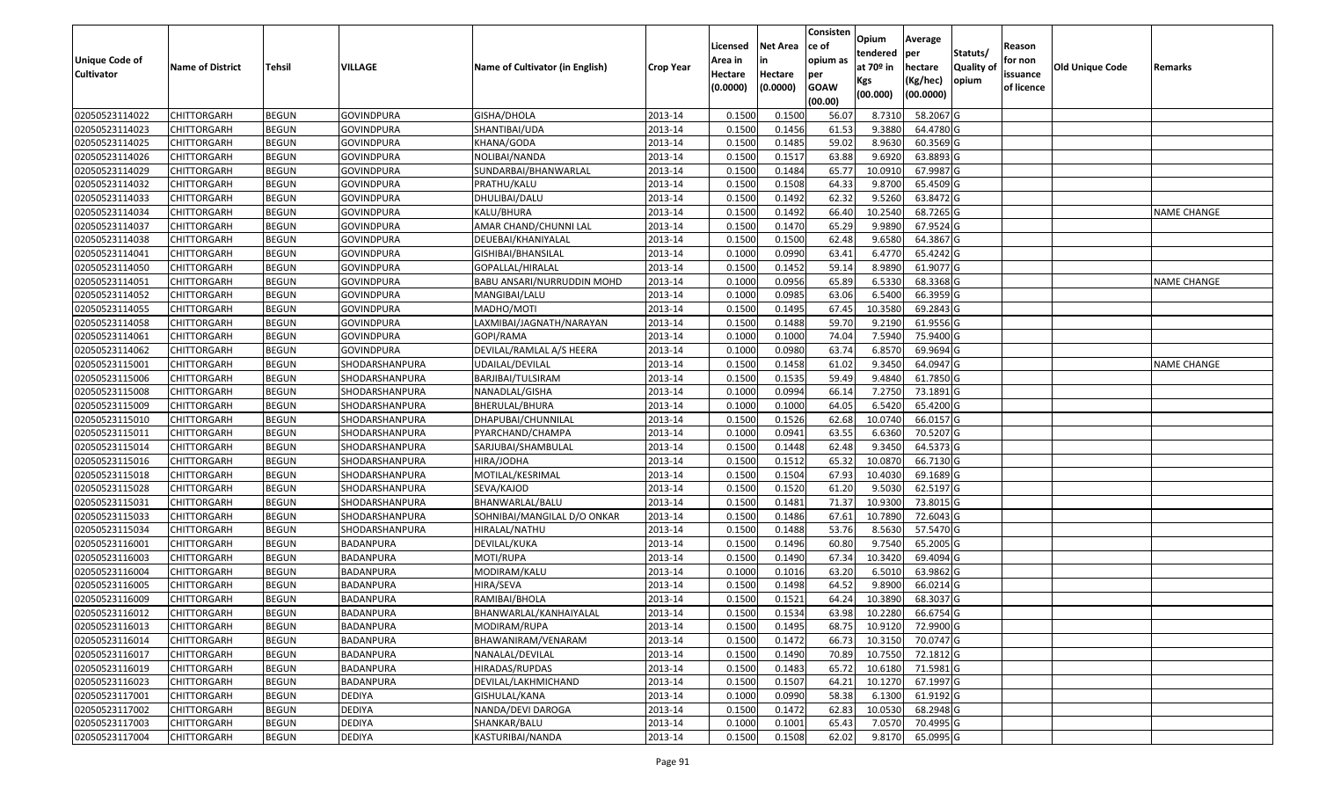|                       |                         |               |                   |                                 |                  |          |                 | Consisten              | Opium         | Average     |                  |            |                 |                    |
|-----------------------|-------------------------|---------------|-------------------|---------------------------------|------------------|----------|-----------------|------------------------|---------------|-------------|------------------|------------|-----------------|--------------------|
|                       |                         |               |                   |                                 |                  | Licensed | <b>Net Area</b> | ce of                  | tendered      | per         | Statuts/         | Reason     |                 |                    |
| <b>Unique Code of</b> | <b>Name of District</b> | <b>Tehsil</b> | VILLAGE           | Name of Cultivator (in English) | <b>Crop Year</b> | Area in  |                 | opium as               | at $70°$ in   | hectare     | <b>Quality o</b> | for non    | Old Unique Code | Remarks            |
| <b>Cultivator</b>     |                         |               |                   |                                 |                  | Hectare  | Hectare         | per                    | Kgs           | (Kg/hec)    | opium            | issuance   |                 |                    |
|                       |                         |               |                   |                                 |                  | (0.0000) | (0.0000)        | <b>GOAW</b><br>(00.00) | (00.000)      | (00.0000)   |                  | of licence |                 |                    |
| 02050523114022        | CHITTORGARH             | <b>BEGUN</b>  | GOVINDPURA        | GISHA/DHOLA                     | 2013-14          | 0.1500   | 0.1500          | 56.07                  | 8.7310        | 58.2067 G   |                  |            |                 |                    |
| 02050523114023        | CHITTORGARH             | <b>BEGUN</b>  | <b>GOVINDPURA</b> | SHANTIBAI/UDA                   | 2013-14          | 0.1500   | 0.1456          | 61.53                  | 9.3880        | 64.4780 G   |                  |            |                 |                    |
| 02050523114025        | CHITTORGARH             | <b>BEGUN</b>  | <b>GOVINDPURA</b> | KHANA/GODA                      | 2013-14          | 0.1500   | 0.1485          | 59.02                  | 8.9630        | 60.3569 G   |                  |            |                 |                    |
| 02050523114026        | <b>CHITTORGARH</b>      | <b>BEGUN</b>  | <b>GOVINDPURA</b> | NOLIBAI/NANDA                   | 2013-14          | 0.1500   | 0.1517          | 63.88                  | 9.6920        | 63.8893 G   |                  |            |                 |                    |
| 02050523114029        | CHITTORGARH             | <b>BEGUN</b>  | <b>GOVINDPURA</b> | SUNDARBAI/BHANWARLAL            | 2013-14          | 0.1500   | 0.1484          | 65.77                  | 10.091        | 67.9987 G   |                  |            |                 |                    |
| 02050523114032        | CHITTORGARH             | <b>BEGUN</b>  | <b>GOVINDPURA</b> | PRATHU/KALU                     | 2013-14          | 0.1500   | 0.1508          | 64.33                  | 9.8700        | 65.4509 G   |                  |            |                 |                    |
| 02050523114033        | CHITTORGARH             | <b>BEGUN</b>  | GOVINDPURA        | DHULIBAI/DALU                   | 2013-14          | 0.1500   | 0.1492          | 62.32                  | 9.5260        | 63.8472 G   |                  |            |                 |                    |
| 02050523114034        | CHITTORGARH             | <b>BEGUN</b>  | <b>GOVINDPURA</b> | KALU/BHURA                      | 2013-14          | 0.1500   | 0.1492          | 66.40                  | 10.2540       | 68.7265 G   |                  |            |                 | <b>NAME CHANGE</b> |
| 02050523114037        | CHITTORGARH             | <b>BEGUN</b>  | GOVINDPURA        | AMAR CHAND/CHUNNI LAL           | 2013-14          | 0.1500   | 0.1470          | 65.29                  | 9.9890        | 67.9524 G   |                  |            |                 |                    |
| 02050523114038        | CHITTORGARH             | <b>BEGUN</b>  | <b>GOVINDPURA</b> | DEUEBAI/KHANIYALAL              | 2013-14          | 0.1500   | 0.1500          | 62.48                  | 9.6580        | 64.3867 G   |                  |            |                 |                    |
| 02050523114041        | CHITTORGARH             | <b>BEGUN</b>  | <b>GOVINDPURA</b> | GISHIBAI/BHANSILAL              | 2013-14          | 0.1000   | 0.0990          | 63.41                  | 6.4770        | 65.4242 G   |                  |            |                 |                    |
| 02050523114050        | <b>CHITTORGARH</b>      | <b>BEGUN</b>  | <b>GOVINDPURA</b> | GOPALLAL/HIRALAL                | 2013-14          | 0.1500   | 0.1452          | 59.14                  | 8.9890        | 61.9077 G   |                  |            |                 |                    |
| 02050523114051        | <b>CHITTORGARH</b>      | <b>BEGUN</b>  | <b>GOVINDPURA</b> | BABU ANSARI/NURRUDDIN MOHD      | 2013-14          | 0.1000   | 0.0956          | 65.89                  | 6.5330        | 68.3368 G   |                  |            |                 | <b>NAME CHANGE</b> |
| 02050523114052        | <b>CHITTORGARH</b>      | <b>BEGUN</b>  | <b>GOVINDPURA</b> | MANGIBAI/LALU                   | 2013-14          | 0.1000   | 0.0985          | 63.06                  | 6.5400        | 66.3959 G   |                  |            |                 |                    |
| 02050523114055        | CHITTORGARH             | <b>BEGUN</b>  | <b>GOVINDPURA</b> | MADHO/MOTI                      | 2013-14          | 0.1500   | 0.1495          | 67.45                  | 10.3580       | 69.2843 G   |                  |            |                 |                    |
| 02050523114058        | <b>CHITTORGARH</b>      | <b>BEGUN</b>  | <b>GOVINDPURA</b> | LAXMIBAI/JAGNATH/NARAYAN        | 2013-14          | 0.1500   | 0.1488          | 59.70                  | 9.2190        | 61.9556 G   |                  |            |                 |                    |
| 02050523114061        | CHITTORGARH             | <b>BEGUN</b>  | <b>GOVINDPURA</b> | GOPI/RAMA                       | 2013-14          | 0.1000   | 0.1000          | 74.04                  | 7.5940        | 75.9400 G   |                  |            |                 |                    |
| 02050523114062        | CHITTORGARH             | <b>BEGUN</b>  | <b>GOVINDPURA</b> | DEVILAL/RAMLAL A/S HEERA        | 2013-14          | 0.1000   | 0.0980          | 63.74                  | 6.8570        | 69.9694 G   |                  |            |                 |                    |
| 02050523115001        | CHITTORGARH             | <b>BEGUN</b>  | SHODARSHANPURA    | UDAILAL/DEVILAL                 | 2013-14          | 0.150    | 0.1458          | 61.02                  | 9.3450        | 64.0947 G   |                  |            |                 | <b>NAME CHANGE</b> |
| 02050523115006        | CHITTORGARH             | <b>BEGUN</b>  | SHODARSHANPURA    | BARJIBAI/TULSIRAM               | 2013-14          | 0.1500   | 0.1535          | 59.49                  | 9.4840        | 61.7850 G   |                  |            |                 |                    |
| 02050523115008        | CHITTORGARH             | <b>BEGUN</b>  | SHODARSHANPURA    | NANADLAL/GISHA                  | 2013-14          | 0.1000   | 0.0994          | 66.14                  | 7.2750        | 73.1891G    |                  |            |                 |                    |
| 02050523115009        | CHITTORGARH             | <b>BEGUN</b>  | SHODARSHANPURA    | BHERULAL/BHURA                  | 2013-14          | 0.1000   | 0.1000          | 64.05                  | 6.5420        | 65.4200 G   |                  |            |                 |                    |
| 02050523115010        | CHITTORGARH             | <b>BEGUN</b>  | SHODARSHANPURA    | DHAPUBAI/CHUNNILAL              | 2013-14          | 0.1500   | 0.1526          | 62.68                  | 10.0740       | 66.0157 G   |                  |            |                 |                    |
| 02050523115011        | CHITTORGARH             | <b>BEGUN</b>  | SHODARSHANPURA    | PYARCHAND/CHAMPA                | 2013-14          | 0.1000   | 0.0941          | 63.55                  | 6.6360        | 70.5207 G   |                  |            |                 |                    |
| 02050523115014        | CHITTORGARH             | <b>BEGUN</b>  | SHODARSHANPURA    | SARJUBAI/SHAMBULAL              | 2013-14          | 0.1500   | 0.1448          | 62.48                  | 9.3450        | 64.5373 G   |                  |            |                 |                    |
| 02050523115016        | CHITTORGARH             | <b>BEGUN</b>  | SHODARSHANPURA    | HIRA/JODHA                      | 2013-14          | 0.1500   | 0.1512          | 65.32                  | 10.0870       | 66.7130 G   |                  |            |                 |                    |
| 02050523115018        | CHITTORGARH             | <b>BEGUN</b>  | SHODARSHANPURA    | MOTILAL/KESRIMAL                | 2013-14          | 0.1500   | 0.1504          | 67.93                  | 10.4030       | 69.1689 G   |                  |            |                 |                    |
| 02050523115028        | CHITTORGARH             | <b>BEGUN</b>  | SHODARSHANPURA    | SEVA/KAJOD                      | 2013-14          | 0.1500   | 0.1520          | 61.20                  | 9.503         | 62.5197 G   |                  |            |                 |                    |
| 02050523115031        | CHITTORGARH             | <b>BEGUN</b>  | SHODARSHANPURA    | BHANWARLAL/BALU                 | 2013-14          | 0.1500   | 0.1481          | 71.37                  | 10.9300       | 73.8015 G   |                  |            |                 |                    |
| 02050523115033        | CHITTORGARH             | <b>BEGUN</b>  | SHODARSHANPURA    | SOHNIBAI/MANGILAL D/O ONKAR     | 2013-14          | 0.1500   | 0.1486          | 67.61                  | 10.7890       | 72.6043 G   |                  |            |                 |                    |
| 02050523115034        | CHITTORGARH             | <b>BEGUN</b>  | SHODARSHANPURA    | HIRALAL/NATHU                   | 2013-14          | 0.1500   | 0.1488          | 53.76                  | 8.5630        | 57.5470 G   |                  |            |                 |                    |
| 02050523116001        | CHITTORGARH             | <b>BEGUN</b>  | BADANPURA         | DEVILAL/KUKA                    | 2013-14          | 0.1500   | 0.1496          | 60.80                  | 9.7540        | 65.2005 G   |                  |            |                 |                    |
| 02050523116003        | CHITTORGARH             | <b>BEGUN</b>  | <b>BADANPURA</b>  | MOTI/RUPA                       | 2013-14          | 0.1500   | 0.1490          | 67.34                  | 10.3420       | 69.4094 G   |                  |            |                 |                    |
| 02050523116004        | CHITTORGARH             | <b>BEGUN</b>  | BADANPURA         | MODIRAM/KALU                    | 2013-14          | 0.1000   | 0.1016          | 63.20                  | 6.5010        | 63.9862 G   |                  |            |                 |                    |
| 02050523116005        | CHITTORGARH             | <b>BEGUN</b>  | BADANPURA         | HIRA/SEVA                       | 2013-14          | 0.150    | 0.1498          | 64.52                  | 9.8900        | 66.0214 G   |                  |            |                 |                    |
| 02050523116009        | CHITTORGARH             | <b>BEGUN</b>  | BADANPURA         | RAMIBAI/BHOLA                   | 2013-14          | 0.1500   | 0.1521          | 64.24                  | 10.3890       | 68.3037 G   |                  |            |                 |                    |
| 02050523116012        | <b>CHITTORGARH</b>      | <b>BEGUN</b>  | BADANPURA         | BHANWARLAL/KANHAIYALAL          | 2013-14          | 0.1500   | 0.1534          |                        | 63.98 10.2280 | 66.6754 G   |                  |            |                 |                    |
| 02050523116013        | <b>CHITTORGARH</b>      | <b>BEGUN</b>  | BADANPURA         | MODIRAM/RUPA                    | 2013-14          | 0.1500   | 0.1495          | 68.75                  | 10.9120       | 72.9900 G   |                  |            |                 |                    |
| 02050523116014        | <b>CHITTORGARH</b>      | <b>BEGUN</b>  | BADANPURA         | BHAWANIRAM/VENARAM              | 2013-14          | 0.1500   | 0.1472          | 66.73                  | 10.3150       | 70.0747 G   |                  |            |                 |                    |
| 02050523116017        | <b>CHITTORGARH</b>      | <b>BEGUN</b>  | BADANPURA         | NANALAL/DEVILAL                 | 2013-14          | 0.1500   | 0.1490          | 70.89                  | 10.7550       | 72.1812 G   |                  |            |                 |                    |
| 02050523116019        | <b>CHITTORGARH</b>      | <b>BEGUN</b>  | BADANPURA         | HIRADAS/RUPDAS                  | 2013-14          | 0.1500   | 0.1483          | 65.72                  | 10.6180       | 71.5981 G   |                  |            |                 |                    |
| 02050523116023        | <b>CHITTORGARH</b>      | <b>BEGUN</b>  | BADANPURA         | DEVILAL/LAKHMICHAND             | 2013-14          | 0.1500   | 0.1507          | 64.21                  | 10.1270       | 67.1997 G   |                  |            |                 |                    |
| 02050523117001        | <b>CHITTORGARH</b>      | <b>BEGUN</b>  | <b>DEDIYA</b>     | GISHULAL/KANA                   | 2013-14          | 0.1000   | 0.0990          | 58.38                  | 6.1300        | 61.9192 G   |                  |            |                 |                    |
| 02050523117002        | <b>CHITTORGARH</b>      | <b>BEGUN</b>  | <b>DEDIYA</b>     | NANDA/DEVI DAROGA               | 2013-14          | 0.1500   | 0.1472          | 62.83                  | 10.0530       | $68.2948$ G |                  |            |                 |                    |
| 02050523117003        | <b>CHITTORGARH</b>      | <b>BEGUN</b>  | <b>DEDIYA</b>     | SHANKAR/BALU                    | 2013-14          | 0.1000   | 0.1001          | 65.43                  | 7.0570        | 70.4995 G   |                  |            |                 |                    |
| 02050523117004        | <b>CHITTORGARH</b>      | <b>BEGUN</b>  | DEDIYA            | KASTURIBAI/NANDA                | 2013-14          | 0.1500   | 0.1508          | 62.02                  | 9.8170        | 65.0995 G   |                  |            |                 |                    |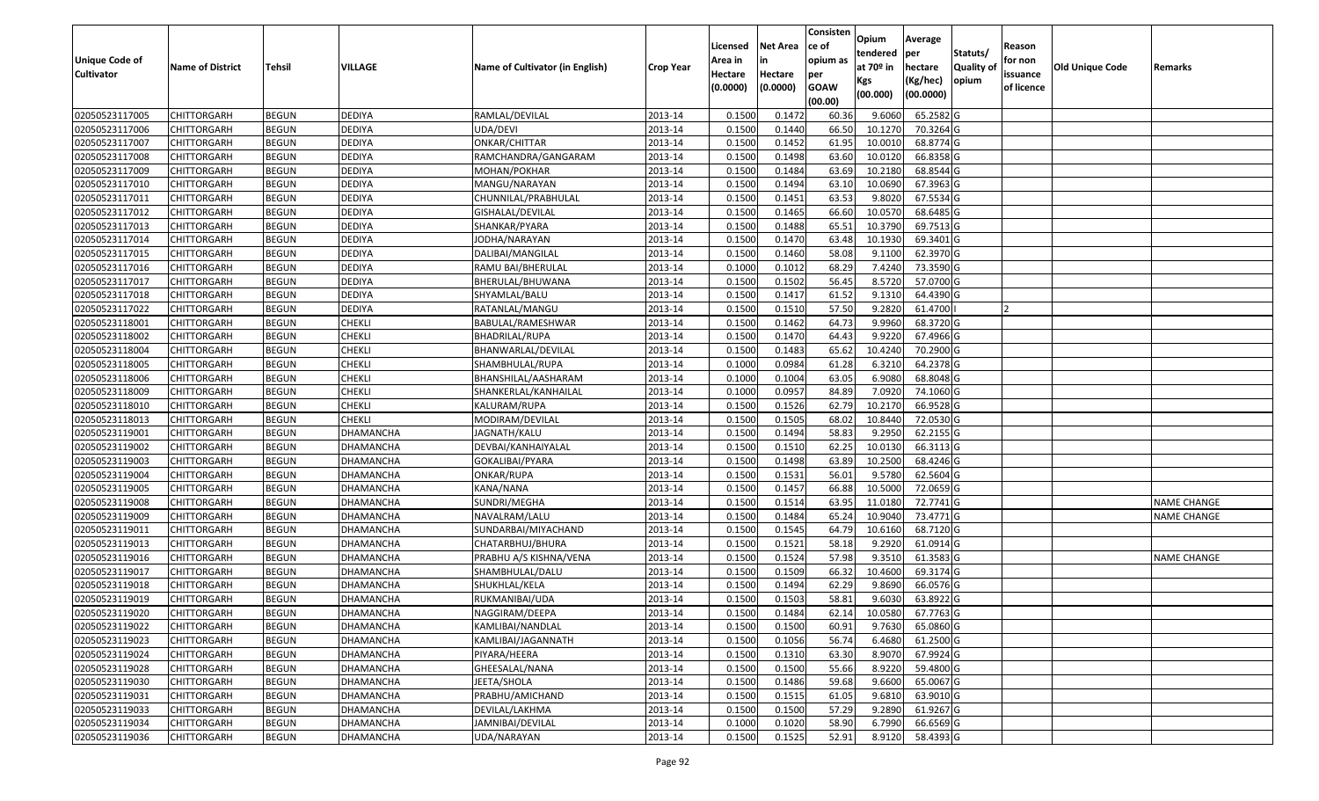|                   |                         |               |                  |                                 |                  |          |                 | Consisten   | Opium       | Average        |                  |            |                        |                    |
|-------------------|-------------------------|---------------|------------------|---------------------------------|------------------|----------|-----------------|-------------|-------------|----------------|------------------|------------|------------------------|--------------------|
|                   |                         |               |                  |                                 |                  | Licensed | <b>Net Area</b> | ce of       | tendered    |                | Statuts/         | Reason     |                        |                    |
| Unique Code of    | <b>Name of District</b> | <b>Tehsil</b> | VILLAGE          | Name of Cultivator (in English) | <b>Crop Year</b> | Area in  | in              | opium as    | at $70°$ in | per<br>hectare | <b>Quality o</b> | for non    | <b>Old Unique Code</b> | Remarks            |
| <b>Cultivator</b> |                         |               |                  |                                 |                  | Hectare  | Hectare         | per         | Kgs         | (Kg/hec)       | opium            | issuance   |                        |                    |
|                   |                         |               |                  |                                 |                  | (0.0000) | (0.0000)        | <b>GOAW</b> | (00.000)    | (00.0000)      |                  | of licence |                        |                    |
|                   |                         |               |                  |                                 |                  |          |                 | (00.00)     |             |                |                  |            |                        |                    |
| 02050523117005    | CHITTORGARH             | <b>BEGUN</b>  | <b>DEDIYA</b>    | RAMLAL/DEVILAL                  | 2013-14          | 0.1500   | 0.1472          | 60.36       | 9.6060      | 65.2582 G      |                  |            |                        |                    |
| 02050523117006    | CHITTORGARH             | <b>BEGUN</b>  | <b>DEDIYA</b>    | UDA/DEVI                        | 2013-14          | 0.1500   | 0.1440          | 66.50       | 10.1270     | 70.3264 G      |                  |            |                        |                    |
| 02050523117007    | CHITTORGARH             | <b>BEGUN</b>  | <b>DEDIYA</b>    | ONKAR/CHITTAR                   | 2013-14          | 0.1500   | 0.1452          | 61.95       | 10.0010     | 68.8774 G      |                  |            |                        |                    |
| 02050523117008    | <b>CHITTORGARH</b>      | <b>BEGUN</b>  | <b>DEDIYA</b>    | RAMCHANDRA/GANGARAM             | 2013-14          | 0.1500   | 0.1498          | 63.60       | 10.0120     | 66.8358 G      |                  |            |                        |                    |
| 02050523117009    | CHITTORGARH             | <b>BEGUN</b>  | <b>DEDIYA</b>    | MOHAN/POKHAR                    | 2013-14          | 0.1500   | 0.1484          | 63.69       | 10.218      | 68.8544 G      |                  |            |                        |                    |
| 02050523117010    | CHITTORGARH             | <b>BEGUN</b>  | <b>DEDIYA</b>    | MANGU/NARAYAN                   | 2013-14          | 0.1500   | 0.1494          | 63.10       | 10.0690     | 67.3963 G      |                  |            |                        |                    |
| 02050523117011    | CHITTORGARH             | <b>BEGUN</b>  | <b>DEDIYA</b>    | CHUNNILAL/PRABHULAL             | 2013-14          | 0.1500   | 0.1451          | 63.53       | 9.802       | 67.5534 G      |                  |            |                        |                    |
| 02050523117012    | <b>CHITTORGARH</b>      | <b>BEGUN</b>  | <b>DEDIYA</b>    | GISHALAL/DEVILAL                | 2013-14          | 0.1500   | 0.1465          | 66.60       | 10.0570     | 68.6485 G      |                  |            |                        |                    |
| 02050523117013    | CHITTORGARH             | <b>BEGUN</b>  | <b>DEDIYA</b>    | SHANKAR/PYARA                   | 2013-14          | 0.1500   | 0.1488          | 65.51       | 10.3790     | 69.7513 G      |                  |            |                        |                    |
| 02050523117014    | CHITTORGARH             | <b>BEGUN</b>  | <b>DEDIYA</b>    | JODHA/NARAYAN                   | 2013-14          | 0.1500   | 0.1470          | 63.48       | 10.1930     | 69.3401G       |                  |            |                        |                    |
| 02050523117015    | CHITTORGARH             | <b>BEGUN</b>  | <b>DEDIYA</b>    | DALIBAI/MANGILAL                | 2013-14          | 0.1500   | 0.1460          | 58.08       | 9.1100      | 62.3970 G      |                  |            |                        |                    |
| 02050523117016    | <b>CHITTORGARH</b>      | <b>BEGUN</b>  | <b>DEDIYA</b>    | RAMU BAI/BHERULAL               | 2013-14          | 0.1000   | 0.1012          | 68.29       | 7.4240      | 73.3590 G      |                  |            |                        |                    |
| 02050523117017    | <b>CHITTORGARH</b>      | <b>BEGUN</b>  | <b>DEDIYA</b>    | BHERULAL/BHUWANA                | 2013-14          | 0.1500   | 0.1502          | 56.45       | 8.5720      | 57.0700 G      |                  |            |                        |                    |
| 02050523117018    | <b>CHITTORGARH</b>      | <b>BEGUN</b>  | <b>DEDIYA</b>    | SHYAMLAL/BALU                   | 2013-14          | 0.1500   | 0.1417          | 61.52       | 9.1310      | 64.4390 G      |                  |            |                        |                    |
| 02050523117022    | <b>CHITTORGARH</b>      | <b>BEGUN</b>  | <b>DEDIYA</b>    | RATANLAL/MANGU                  | 2013-14          | 0.1500   | 0.1510          | 57.50       | 9.2820      | 61.4700        |                  |            |                        |                    |
| 02050523118001    | CHITTORGARH             | <b>BEGUN</b>  | <b>CHEKLI</b>    | BABULAL/RAMESHWAR               | 2013-14          | 0.1500   | 0.1462          | 64.73       | 9.9960      | 68.3720 G      |                  |            |                        |                    |
| 02050523118002    | CHITTORGARH             | <b>BEGUN</b>  | <b>CHEKLI</b>    | BHADRILAL/RUPA                  | 2013-14          | 0.1500   | 0.1470          | 64.43       | 9.9220      | 67.4966 G      |                  |            |                        |                    |
| 02050523118004    | CHITTORGARH             | <b>BEGUN</b>  | <b>CHEKLI</b>    | BHANWARLAL/DEVILAL              | 2013-14          | 0.1500   | 0.1483          | 65.62       | 10.4240     | 70.2900 G      |                  |            |                        |                    |
| 02050523118005    | CHITTORGARH             | <b>BEGUN</b>  | <b>CHEKLI</b>    | SHAMBHULAL/RUPA                 | 2013-14          | 0.1000   | 0.0984          | 61.28       | 6.3210      | 64.2378 G      |                  |            |                        |                    |
| 02050523118006    | CHITTORGARH             | <b>BEGUN</b>  | <b>CHEKLI</b>    | BHANSHILAL/AASHARAM             | 2013-14          | 0.1000   | 0.1004          | 63.05       | 6.9080      | 68.8048 G      |                  |            |                        |                    |
| 02050523118009    | CHITTORGARH             | <b>BEGUN</b>  | <b>CHEKLI</b>    | SHANKERLAL/KANHAILAL            | 2013-14          | 0.1000   | 0.0957          | 84.89       | 7.0920      | 74.1060 G      |                  |            |                        |                    |
| 02050523118010    | CHITTORGARH             | <b>BEGUN</b>  | <b>CHEKLI</b>    | KALURAM/RUPA                    | 2013-14          | 0.1500   | 0.1526          | 62.79       | 10.2170     | 66.9528 G      |                  |            |                        |                    |
| 02050523118013    | CHITTORGARH             | <b>BEGUN</b>  | <b>CHEKLI</b>    | MODIRAM/DEVILAL                 | 2013-14          | 0.1500   | 0.1505          | 68.02       | 10.8440     | 72.0530 G      |                  |            |                        |                    |
| 02050523119001    | CHITTORGARH             | <b>BEGUN</b>  | DHAMANCHA        | JAGNATH/KALU                    | 2013-14          | 0.1500   | 0.1494          | 58.83       | 9.295       | 62.2155 G      |                  |            |                        |                    |
| 02050523119002    | <b>CHITTORGARH</b>      | <b>BEGUN</b>  | DHAMANCHA        | DEVBAI/KANHAIYALAL              | 2013-14          | 0.1500   | 0.1510          | 62.25       | 10.0130     | 66.3113 G      |                  |            |                        |                    |
| 02050523119003    | CHITTORGARH             | <b>BEGUN</b>  | DHAMANCHA        | GOKALIBAI/PYARA                 | 2013-14          | 0.1500   | 0.1498          | 63.89       | 10.2500     | 68.4246 G      |                  |            |                        |                    |
| 02050523119004    | CHITTORGARH             | <b>BEGUN</b>  | DHAMANCHA        | ONKAR/RUPA                      | 2013-14          | 0.1500   | 0.1531          | 56.01       | 9.5780      | 62.5604 G      |                  |            |                        |                    |
| 02050523119005    | CHITTORGARH             | <b>BEGUN</b>  | DHAMANCHA        | KANA/NANA                       | 2013-14          | 0.1500   | 0.1457          | 66.88       | 10.5000     | 72.0659 G      |                  |            |                        |                    |
| 02050523119008    | CHITTORGARH             | <b>BEGUN</b>  | DHAMANCHA        | SUNDRI/MEGHA                    | 2013-14          | 0.1500   | 0.1514          | 63.95       | 11.0180     | 72.7741 G      |                  |            |                        | <b>NAME CHANGE</b> |
| 02050523119009    | CHITTORGARH             | <b>BEGUN</b>  | DHAMANCHA        | NAVALRAM/LALU                   | 2013-14          | 0.1500   | 0.1484          | 65.24       | 10.9040     | 73.4771 G      |                  |            |                        | <b>NAME CHANGE</b> |
| 02050523119011    | CHITTORGARH             | <b>BEGUN</b>  | DHAMANCHA        | SUNDARBAI/MIYACHAND             | 2013-14          | 0.1500   | 0.1545          | 64.79       | 10.6160     | 68.7120 G      |                  |            |                        |                    |
| 02050523119013    | CHITTORGARH             | <b>BEGUN</b>  | DHAMANCHA        | CHATARBHUJ/BHURA                | 2013-14          | 0.1500   | 0.1521          | 58.18       | 9.2920      | 61.0914 G      |                  |            |                        |                    |
| 02050523119016    | CHITTORGARH             | <b>BEGUN</b>  | DHAMANCHA        | PRABHU A/S KISHNA/VENA          | 2013-14          | 0.1500   | 0.1524          | 57.98       | 9.3510      | 61.3583 G      |                  |            |                        | <b>NAME CHANGE</b> |
| 02050523119017    | CHITTORGARH             | <b>BEGUN</b>  | DHAMANCHA        | SHAMBHULAL/DALU                 | 2013-14          | 0.1500   | 0.1509          | 66.32       | 10.4600     | 69.3174 G      |                  |            |                        |                    |
| 02050523119018    | CHITTORGARH             | <b>BEGUN</b>  | DHAMANCHA        | SHUKHLAL/KELA                   | 2013-14          | 0.1500   | 0.1494          | 62.29       | 9.8690      | 66.0576 G      |                  |            |                        |                    |
| 02050523119019    | CHITTORGARH             | <b>BEGUN</b>  | DHAMANCHA        | RUKMANIBAI/UDA                  | 2013-14          | 0.1500   | 0.1503          | 58.81       | 9.6030      | 63.8922 G      |                  |            |                        |                    |
| 02050523119020    | <b>CHITTORGARH</b>      | <b>BEGUN</b>  | DHAMANCHA        | NAGGIRAM/DEEPA                  | 2013-14          | 0.1500   | 0.1484          | 62.14       | 10.0580     | 67.7763 G      |                  |            |                        |                    |
| 02050523119022    | <b>CHITTORGARH</b>      | <b>BEGUN</b>  | DHAMANCHA        | KAMLIBAI/NANDLAL                | 2013-14          | 0.1500   | 0.1500          | 60.91       | 9.7630      | 65.0860 G      |                  |            |                        |                    |
| 02050523119023    | <b>CHITTORGARH</b>      | <b>BEGUN</b>  | <b>DHAMANCHA</b> | KAMLIBAI/JAGANNATH              | 2013-14          | 0.1500   | 0.1056          | 56.74       | 6.4680      | 61.2500 G      |                  |            |                        |                    |
| 02050523119024    | <b>CHITTORGARH</b>      | <b>BEGUN</b>  | DHAMANCHA        | PIYARA/HEERA                    | 2013-14          | 0.1500   | 0.1310          | 63.30       | 8.9070      | 67.9924 G      |                  |            |                        |                    |
| 02050523119028    | <b>CHITTORGARH</b>      | <b>BEGUN</b>  | <b>DHAMANCHA</b> | GHEESALAL/NANA                  | 2013-14          | 0.1500   | 0.1500          | 55.66       | 8.9220      | 59.4800 G      |                  |            |                        |                    |
| 02050523119030    | <b>CHITTORGARH</b>      | <b>BEGUN</b>  | <b>DHAMANCHA</b> | JEETA/SHOLA                     | 2013-14          | 0.1500   | 0.1486          | 59.68       | 9.6600      | 65.0067 G      |                  |            |                        |                    |
| 02050523119031    | <b>CHITTORGARH</b>      | <b>BEGUN</b>  | DHAMANCHA        | PRABHU/AMICHAND                 | 2013-14          | 0.1500   | 0.1515          | 61.05       | 9.6810      | 63.9010 G      |                  |            |                        |                    |
| 02050523119033    | <b>CHITTORGARH</b>      | <b>BEGUN</b>  | DHAMANCHA        | DEVILAL/LAKHMA                  | 2013-14          | 0.1500   | 0.1500          | 57.29       | 9.2890      | 61.9267 G      |                  |            |                        |                    |
| 02050523119034    | <b>CHITTORGARH</b>      | <b>BEGUN</b>  | DHAMANCHA        | JAMNIBAI/DEVILAL                | 2013-14          | 0.1000   | 0.1020          | 58.90       | 6.7990      | 66.6569 G      |                  |            |                        |                    |
| 02050523119036    | <b>CHITTORGARH</b>      | <b>BEGUN</b>  | DHAMANCHA        | UDA/NARAYAN                     | 2013-14          | 0.1500   | 0.1525          | 52.91       | 8.9120      | 58.4393 G      |                  |            |                        |                    |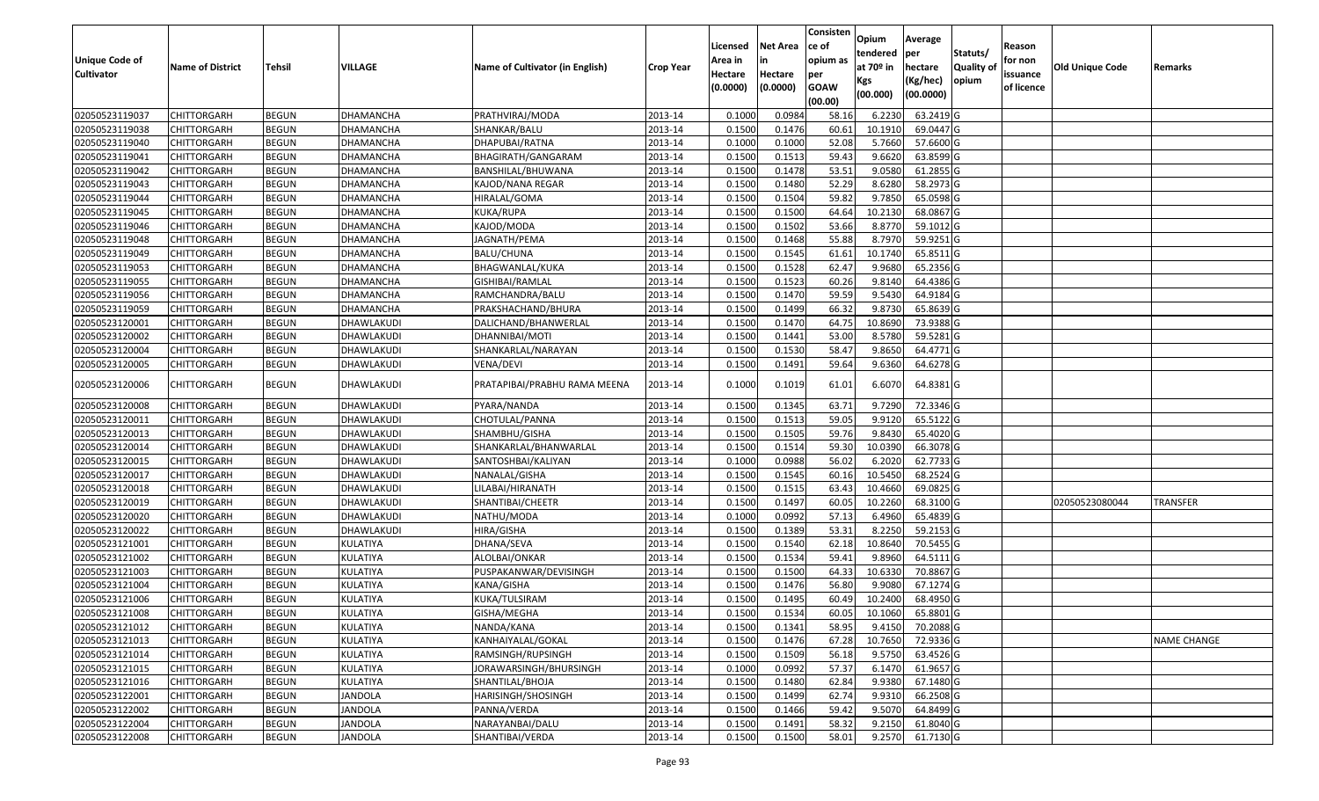|                   |                         |               |                 |                                 |                  |          |                 | Consisten              | Opium       | Average     |                  |            |                 |                    |
|-------------------|-------------------------|---------------|-----------------|---------------------------------|------------------|----------|-----------------|------------------------|-------------|-------------|------------------|------------|-----------------|--------------------|
|                   |                         |               |                 |                                 |                  | Licensed | <b>Net Area</b> | ce of                  | tendered    | per         | Statuts/         | Reason     |                 |                    |
| Unique Code of    | <b>Name of District</b> | <b>Tehsil</b> | <b>VILLAGE</b>  | Name of Cultivator (in English) | <b>Crop Year</b> | Area in  | in              | opium as               | at $70°$ in | hectare     | <b>Quality o</b> | for non    | Old Unique Code | Remarks            |
| <b>Cultivator</b> |                         |               |                 |                                 |                  | Hectare  | Hectare         | per                    | Kgs         | (Kg/hec)    | opium            | issuance   |                 |                    |
|                   |                         |               |                 |                                 |                  | (0.0000) | (0.0000)        | <b>GOAW</b><br>(00.00) | (00.000)    | (00.0000)   |                  | of licence |                 |                    |
| 02050523119037    | CHITTORGARH             | <b>BEGUN</b>  | DHAMANCHA       | PRATHVIRAJ/MODA                 | 2013-14          | 0.1000   | 0.0984          | 58.16                  | 6.2230      | 63.2419 G   |                  |            |                 |                    |
| 02050523119038    | CHITTORGARH             | <b>BEGUN</b>  | DHAMANCHA       | SHANKAR/BALU                    | 2013-14          | 0.1500   | 0.1476          | 60.61                  | 10.1910     | 69.0447 G   |                  |            |                 |                    |
| 02050523119040    | CHITTORGARH             | <b>BEGUN</b>  | DHAMANCHA       | DHAPUBAI/RATNA                  | 2013-14          | 0.1000   | 0.1000          | 52.08                  | 5.7660      | 57.6600 G   |                  |            |                 |                    |
| 02050523119041    | <b>CHITTORGARH</b>      | <b>BEGUN</b>  | DHAMANCHA       | BHAGIRATH/GANGARAM              | 2013-14          | 0.1500   | 0.1513          | 59.43                  | 9.6620      | 63.8599 G   |                  |            |                 |                    |
| 02050523119042    | CHITTORGARH             | <b>BEGUN</b>  | DHAMANCHA       | BANSHILAL/BHUWANA               | 2013-14          | 0.1500   | 0.1478          | 53.51                  | 9.0580      | 61.2855 G   |                  |            |                 |                    |
| 02050523119043    | CHITTORGARH             | <b>BEGUN</b>  | DHAMANCHA       | KAJOD/NANA REGAR                | 2013-14          | 0.1500   | 0.1480          | 52.29                  | 8.6280      | 58.2973 G   |                  |            |                 |                    |
| 02050523119044    | CHITTORGARH             | <b>BEGUN</b>  | DHAMANCHA       | HIRALAL/GOMA                    | 2013-14          | 0.1500   | 0.1504          | 59.82                  | 9.7850      | 65.0598 G   |                  |            |                 |                    |
| 02050523119045    | CHITTORGARH             | <b>BEGUN</b>  | DHAMANCHA       | KUKA/RUPA                       | 2013-14          | 0.1500   | 0.1500          | 64.64                  | 10.2130     | 68.0867 G   |                  |            |                 |                    |
| 02050523119046    | CHITTORGARH             | <b>BEGUN</b>  | DHAMANCHA       | KAJOD/MODA                      | 2013-14          | 0.1500   | 0.1502          | 53.66                  | 8.8770      | 59.1012G    |                  |            |                 |                    |
| 02050523119048    | CHITTORGARH             | <b>BEGUN</b>  | DHAMANCHA       | JAGNATH/PEMA                    | 2013-14          | 0.1500   | 0.1468          | 55.88                  | 8.7970      | 59.9251G    |                  |            |                 |                    |
| 02050523119049    | CHITTORGARH             | <b>BEGUN</b>  | DHAMANCHA       | BALU/CHUNA                      | 2013-14          | 0.1500   | 0.1545          | 61.61                  | 10.1740     | 65.8511G    |                  |            |                 |                    |
| 02050523119053    | <b>CHITTORGARH</b>      | <b>BEGUN</b>  | DHAMANCHA       | BHAGWANLAL/KUKA                 | 2013-14          | 0.1500   | 0.1528          | 62.47                  | 9.9680      | 65.2356 G   |                  |            |                 |                    |
| 02050523119055    | <b>CHITTORGARH</b>      | <b>BEGUN</b>  | DHAMANCHA       | GISHIBAI/RAMLAL                 | 2013-14          | 0.1500   | 0.1523          | 60.26                  | 9.8140      | 64.4386 G   |                  |            |                 |                    |
| 02050523119056    | <b>CHITTORGARH</b>      | <b>BEGUN</b>  | DHAMANCHA       | RAMCHANDRA/BALU                 | 2013-14          | 0.1500   | 0.1470          | 59.59                  | 9.5430      | 64.9184 G   |                  |            |                 |                    |
| 02050523119059    | <b>CHITTORGARH</b>      | <b>BEGUN</b>  | DHAMANCHA       | PRAKSHACHAND/BHURA              | 2013-14          | 0.1500   | 0.1499          | 66.32                  | 9.8730      | 65.8639 G   |                  |            |                 |                    |
| 02050523120001    | <b>CHITTORGARH</b>      | <b>BEGUN</b>  | DHAWLAKUDI      | DALICHAND/BHANWERLAL            | 2013-14          | 0.1500   | 0.1470          | 64.75                  | 10.8690     | 73.9388 G   |                  |            |                 |                    |
| 02050523120002    | CHITTORGARH             | <b>BEGUN</b>  | DHAWLAKUDI      | DHANNIBAI/MOTI                  | 2013-14          | 0.1500   | 0.1441          | 53.00                  | 8.5780      | 59.5281G    |                  |            |                 |                    |
| 02050523120004    | CHITTORGARH             | <b>BEGUN</b>  | DHAWLAKUDI      | SHANKARLAL/NARAYAN              | 2013-14          | 0.1500   | 0.1530          | 58.47                  | 9.8650      | 64.4771 G   |                  |            |                 |                    |
| 02050523120005    | CHITTORGARH             | <b>BEGUN</b>  | DHAWLAKUDI      | VENA/DEVI                       | 2013-14          | 0.1500   | 0.1491          | 59.64                  | 9.6360      | 64.6278 G   |                  |            |                 |                    |
| 02050523120006    | CHITTORGARH             | <b>BEGUN</b>  | DHAWLAKUDI      | PRATAPIBAI/PRABHU RAMA MEENA    | 2013-14          | 0.1000   | 0.1019          | 61.01                  | 6.6070      | 64.8381 G   |                  |            |                 |                    |
| 02050523120008    | CHITTORGARH             | <b>BEGUN</b>  | DHAWLAKUDI      | PYARA/NANDA                     | 2013-14          | 0.1500   | 0.1345          | 63.71                  | 9.7290      | 72.3346 G   |                  |            |                 |                    |
| 02050523120011    | CHITTORGARH             | <b>BEGUN</b>  | DHAWLAKUDI      | CHOTULAL/PANNA                  | 2013-14          | 0.1500   | 0.1513          | 59.05                  | 9.9120      | 65.5122G    |                  |            |                 |                    |
| 02050523120013    | CHITTORGARH             | <b>BEGUN</b>  | DHAWLAKUDI      | SHAMBHU/GISHA                   | 2013-14          | 0.1500   | 0.1505          | 59.76                  | 9.8430      | 65.4020 G   |                  |            |                 |                    |
| 02050523120014    | CHITTORGARH             | <b>BEGUN</b>  | DHAWLAKUDI      | SHANKARLAL/BHANWARLAL           | 2013-14          | 0.1500   | 0.1514          | 59.30                  | 10.0390     | 66.3078 G   |                  |            |                 |                    |
| 02050523120015    | CHITTORGARH             | <b>BEGUN</b>  | DHAWLAKUDI      | SANTOSHBAI/KALIYAN              | 2013-14          | 0.1000   | 0.0988          | 56.02                  | 6.2020      | 62.7733 G   |                  |            |                 |                    |
| 02050523120017    | CHITTORGARH             | <b>BEGUN</b>  | DHAWLAKUDI      | NANALAL/GISHA                   | 2013-14          | 0.1500   | 0.1545          | 60.16                  | 10.5450     | 68.2524 G   |                  |            |                 |                    |
| 02050523120018    | <b>CHITTORGARH</b>      | <b>BEGUN</b>  | DHAWLAKUDI      | LILABAI/HIRANATH                | 2013-14          | 0.1500   | 0.1515          | 63.43                  | 10.4660     | 69.0825 G   |                  |            |                 |                    |
| 02050523120019    | <b>CHITTORGARH</b>      | <b>BEGUN</b>  | DHAWLAKUDI      | SHANTIBAI/CHEETR                | 2013-14          | 0.1500   | 0.1497          | 60.05                  | 10.2260     | 68.3100 G   |                  |            | 02050523080044  | <b>TRANSFER</b>    |
| 02050523120020    | CHITTORGARH             | <b>BEGUN</b>  | DHAWLAKUDI      | NATHU/MODA                      | 2013-14          | 0.1000   | 0.0992          | 57.13                  | 6.4960      | 65.4839 G   |                  |            |                 |                    |
| 02050523120022    | CHITTORGARH             | <b>BEGUN</b>  | DHAWLAKUDI      | HIRA/GISHA                      | 2013-14          | 0.1500   | 0.1389          | 53.31                  | 8.2250      | 59.2153 G   |                  |            |                 |                    |
| 02050523121001    | CHITTORGARH             | <b>BEGUN</b>  | KULATIYA        | DHANA/SEVA                      | 2013-14          | 0.1500   | 0.1540          | 62.18                  | 10.8640     | 70.5455 G   |                  |            |                 |                    |
| 02050523121002    | <b>CHITTORGARH</b>      | <b>BEGUN</b>  | KULATIYA        | ALOLBAI/ONKAR                   | 2013-14          | 0.1500   | 0.1534          | 59.41                  | 9.8960      | 64.5111 G   |                  |            |                 |                    |
| 02050523121003    | <b>CHITTORGARH</b>      | <b>BEGUN</b>  | KULATIYA        | PUSPAKANWAR/DEVISINGH           | 2013-14          | 0.1500   | 0.1500          | 64.33                  | 10.6330     | 70.8867 G   |                  |            |                 |                    |
| 02050523121004    | CHITTORGARH             | <b>BEGUN</b>  | KULATIYA        | KANA/GISHA                      | 2013-14          | 0.150    | 0.1476          | 56.80                  | 9.908       | 67.1274 G   |                  |            |                 |                    |
| 02050523121006    | CHITTORGARH             | <b>BEGUN</b>  | KULATIYA        | KUKA/TULSIRAM                   | 2013-14          | 0.1500   | 0.1495          | 60.49                  | 10.2400     | 68.4950 G   |                  |            |                 |                    |
| 02050523121008    | <b>CHITTORGARH</b>      | <b>BEGUN</b>  | <b>KULATIYA</b> | GISHA/MEGHA                     | 2013-14          | 0.1500   | 0.1534          | 60.05                  | 10.1060     | 65.8801G    |                  |            |                 |                    |
| 02050523121012    | <b>CHITTORGARH</b>      | <b>BEGUN</b>  | KULATIYA        | NANDA/KANA                      | 2013-14          | 0.1500   | 0.1341          | 58.95                  | 9.4150      | 70.2088 G   |                  |            |                 |                    |
| 02050523121013    | <b>CHITTORGARH</b>      | <b>BEGUN</b>  | KULATIYA        | KANHAIYALAL/GOKAL               | 2013-14          | 0.1500   | 0.1476          | 67.28                  | 10.7650     | 72.9336 G   |                  |            |                 | <b>NAME CHANGE</b> |
| 02050523121014    | <b>CHITTORGARH</b>      | <b>BEGUN</b>  | KULATIYA        | RAMSINGH/RUPSINGH               | 2013-14          | 0.1500   | 0.1509          | 56.18                  | 9.5750      | 63.4526 G   |                  |            |                 |                    |
| 02050523121015    | CHITTORGARH             | <b>BEGUN</b>  | <b>KULATIYA</b> | IORAWARSINGH/BHURSINGH          | 2013-14          | 0.1000   | 0.0992          | 57.37                  | 6.1470      | 61.9657 G   |                  |            |                 |                    |
| 02050523121016    | <b>CHITTORGARH</b>      | <b>BEGUN</b>  | KULATIYA        | SHANTILAL/BHOJA                 | 2013-14          | 0.1500   | 0.1480          | 62.84                  | 9.9380      | 67.1480 G   |                  |            |                 |                    |
| 02050523122001    | <b>CHITTORGARH</b>      | <b>BEGUN</b>  | <b>JANDOLA</b>  | HARISINGH/SHOSINGH              | 2013-14          | 0.1500   | 0.1499          | 62.74                  | 9.9310      | 66.2508 G   |                  |            |                 |                    |
| 02050523122002    | <b>CHITTORGARH</b>      | <b>BEGUN</b>  | JANDOLA         | PANNA/VERDA                     | 2013-14          | 0.1500   | 0.1466          | 59.42                  | 9.5070      | $64.8499$ G |                  |            |                 |                    |
| 02050523122004    | <b>CHITTORGARH</b>      | <b>BEGUN</b>  | JANDOLA         | NARAYANBAI/DALU                 | 2013-14          | 0.1500   | 0.1491          | 58.32                  | 9.2150      | 61.8040 G   |                  |            |                 |                    |
| 02050523122008    | <b>CHITTORGARH</b>      | <b>BEGUN</b>  | <b>JANDOLA</b>  | SHANTIBAI/VERDA                 | 2013-14          | 0.1500   | 0.1500          | 58.01                  | 9.2570      | 61.7130 G   |                  |            |                 |                    |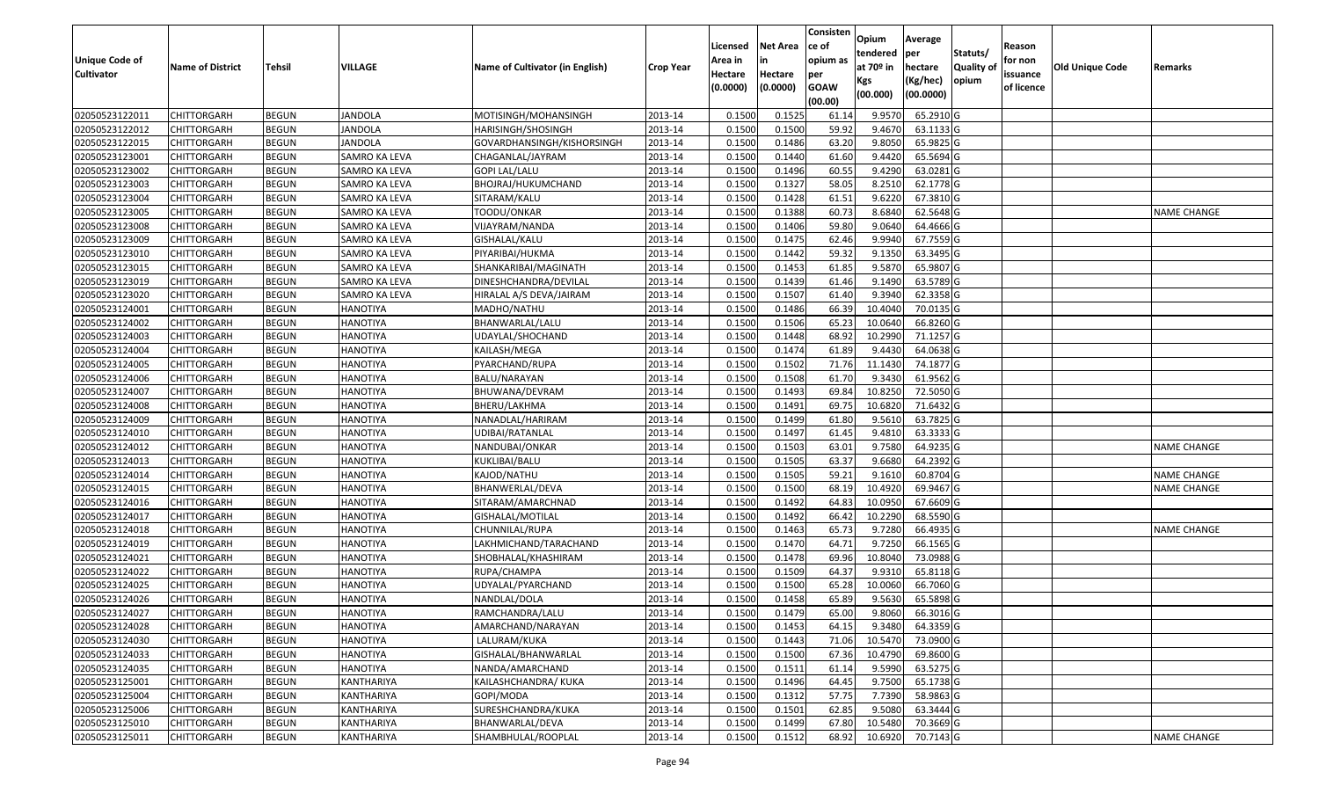| <b>Unique Code of</b><br><b>Cultivator</b> | <b>Name of District</b> | <b>Tehsil</b> | VILLAGE              | Name of Cultivator (in English) | <b>Crop Year</b> | Licensed<br>Area in<br>Hectare<br>(0.0000) | <b>Net Area</b><br>in<br>Hectare<br>(0.0000) | Consisten<br>ce of<br>opium as<br>per<br><b>GOAW</b><br>(00.00) | Opium<br>tendered<br>at $70°$ in<br>Kgs<br>(00.000) | Average<br>per<br>hectare<br>(Kg/hec)<br>(00.0000) | Statuts/<br>Quality of<br>opium | Reason<br>for non<br>issuance<br>of licence | <b>Old Unique Code</b> | Remarks            |
|--------------------------------------------|-------------------------|---------------|----------------------|---------------------------------|------------------|--------------------------------------------|----------------------------------------------|-----------------------------------------------------------------|-----------------------------------------------------|----------------------------------------------------|---------------------------------|---------------------------------------------|------------------------|--------------------|
| 02050523122011                             | <b>CHITTORGARH</b>      | <b>BEGUN</b>  | <b>JANDOLA</b>       | MOTISINGH/MOHANSINGH            | 2013-14          | 0.1500                                     | 0.1525                                       | 61.14                                                           | 9.9570                                              | 65.2910 G                                          |                                 |                                             |                        |                    |
| 02050523122012                             | CHITTORGARH             | <b>BEGUN</b>  | <b>JANDOLA</b>       | HARISINGH/SHOSINGH              | 2013-14          | 0.1500                                     | 0.1500                                       | 59.92                                                           | 9.4670                                              | 63.1133 G                                          |                                 |                                             |                        |                    |
| 02050523122015                             | CHITTORGARH             | <b>BEGUN</b>  | <b>JANDOLA</b>       | GOVARDHANSINGH/KISHORSINGH      | 2013-14          | 0.1500                                     | 0.1486                                       | 63.20                                                           | 9.8050                                              | 65.9825 G                                          |                                 |                                             |                        |                    |
| 02050523123001                             | <b>CHITTORGARH</b>      | <b>BEGUN</b>  | SAMRO KA LEVA        | CHAGANLAL/JAYRAM                | 2013-14          | 0.1500                                     | 0.1440                                       | 61.60                                                           | 9.4420                                              | 65.5694 G                                          |                                 |                                             |                        |                    |
| 02050523123002                             | <b>CHITTORGARH</b>      | <b>BEGUN</b>  | <b>SAMRO KA LEVA</b> | <b>GOPI LAL/LALU</b>            | 2013-14          | 0.1500                                     | 0.1496                                       | 60.55                                                           | 9.4290                                              | 63.0281G                                           |                                 |                                             |                        |                    |
| 02050523123003                             | CHITTORGARH             | <b>BEGUN</b>  | SAMRO KA LEVA        | BHOJRAJ/HUKUMCHAND              | 2013-14          | 0.1500                                     | 0.1327                                       | 58.05                                                           | 8.2510                                              | 62.1778 G                                          |                                 |                                             |                        |                    |
| 02050523123004                             | <b>CHITTORGARH</b>      | <b>BEGUN</b>  | SAMRO KA LEVA        | SITARAM/KALU                    | 2013-14          | 0.1500                                     | 0.1428                                       | 61.51                                                           | 9.6220                                              | 67.3810 G                                          |                                 |                                             |                        |                    |
| 02050523123005                             | CHITTORGARH             | <b>BEGUN</b>  | SAMRO KA LEVA        | TOODU/ONKAR                     | 2013-14          | 0.1500                                     | 0.1388                                       | 60.73                                                           | 8.6840                                              | 62.5648 G                                          |                                 |                                             |                        | <b>NAME CHANGE</b> |
| 02050523123008                             | CHITTORGARH             | <b>BEGUN</b>  | SAMRO KA LEVA        | VIJAYRAM/NANDA                  | 2013-14          | 0.1500                                     | 0.1406                                       | 59.80                                                           | 9.0640                                              | 64.4666 G                                          |                                 |                                             |                        |                    |
| 02050523123009                             | CHITTORGARH             | <b>BEGUN</b>  | SAMRO KA LEVA        | GISHALAL/KALU                   | 2013-14          | 0.1500                                     | 0.1475                                       | 62.46                                                           | 9.9940                                              | 67.7559 G                                          |                                 |                                             |                        |                    |
| 02050523123010                             | <b>CHITTORGARH</b>      | <b>BEGUN</b>  | SAMRO KA LEVA        | PIYARIBAI/HUKMA                 | 2013-14          | 0.1500                                     | 0.1442                                       | 59.32                                                           | 9.1350                                              | 63.3495 G                                          |                                 |                                             |                        |                    |
| 02050523123015                             | CHITTORGARH             | <b>BEGUN</b>  | SAMRO KA LEVA        | SHANKARIBAI/MAGINATH            | 2013-14          | 0.1500                                     | 0.1453                                       | 61.85                                                           | 9.5870                                              | 65.9807 G                                          |                                 |                                             |                        |                    |
| 02050523123019                             | CHITTORGARH             | <b>BEGUN</b>  | SAMRO KA LEVA        | DINESHCHANDRA/DEVILAL           | 2013-14          | 0.1500                                     | 0.1439                                       | 61.46                                                           | 9.1490                                              | 63.5789 G                                          |                                 |                                             |                        |                    |
| 02050523123020                             | CHITTORGARH             | <b>BEGUN</b>  | SAMRO KA LEVA        | HIRALAL A/S DEVA/JAIRAM         | 2013-14          | 0.1500                                     | 0.1507                                       | 61.40                                                           | 9.3940                                              | 62.3358 G                                          |                                 |                                             |                        |                    |
| 02050523124001                             | CHITTORGARH             | <b>BEGUN</b>  | <b>HANOTIYA</b>      | MADHO/NATHU                     | 2013-14          | 0.1500                                     | 0.1486                                       | 66.39                                                           | 10.4040                                             | 70.0135 G                                          |                                 |                                             |                        |                    |
| 02050523124002                             | CHITTORGARH             | <b>BEGUN</b>  | <b>HANOTIYA</b>      | BHANWARLAL/LALU                 | 2013-14          | 0.150                                      | 0.1506                                       | 65.23                                                           | 10.064                                              | 66.8260 G                                          |                                 |                                             |                        |                    |
| 02050523124003                             | CHITTORGARH             | <b>BEGUN</b>  | <b>HANOTIYA</b>      | UDAYLAL/SHOCHAND                | 2013-14          | 0.1500                                     | 0.1448                                       | 68.92                                                           | 10.2990                                             | 71.1257 G                                          |                                 |                                             |                        |                    |
| 02050523124004                             | CHITTORGARH             | <b>BEGUN</b>  | <b>HANOTIYA</b>      | KAILASH/MEGA                    | 2013-14          | 0.1500                                     | 0.1474                                       | 61.89                                                           | 9.443                                               | 64.0638 G                                          |                                 |                                             |                        |                    |
| 02050523124005                             | <b>CHITTORGARH</b>      | <b>BEGUN</b>  | <b>HANOTIYA</b>      | PYARCHAND/RUPA                  | 2013-14          | 0.1500                                     | 0.1502                                       | 71.76                                                           | 11.1430                                             | 74.1877 G                                          |                                 |                                             |                        |                    |
| 02050523124006                             | CHITTORGARH             | <b>BEGUN</b>  | <b>HANOTIYA</b>      | BALU/NARAYAN                    | 2013-14          | 0.1500                                     | 0.1508                                       | 61.70                                                           | 9.3430                                              | 61.9562G                                           |                                 |                                             |                        |                    |
| 02050523124007                             | <b>CHITTORGARH</b>      | <b>BEGUN</b>  | <b>HANOTIYA</b>      | BHUWANA/DEVRAM                  | 2013-14          | 0.1500                                     | 0.1493                                       | 69.84                                                           | 10.8250                                             | 72.5050 G                                          |                                 |                                             |                        |                    |
| 02050523124008                             | CHITTORGARH             | <b>BEGUN</b>  | <b>HANOTIYA</b>      | BHERU/LAKHMA                    | 2013-14          | 0.1500                                     | 0.1491                                       | 69.75                                                           | 10.6820                                             | 71.6432 G                                          |                                 |                                             |                        |                    |
| 02050523124009                             | CHITTORGARH             | <b>BEGUN</b>  | <b>HANOTIYA</b>      | NANADLAL/HARIRAM                | 2013-14          | 0.1500                                     | 0.1499                                       | 61.80                                                           | 9.5610                                              | 63.7825 G                                          |                                 |                                             |                        |                    |
| 02050523124010                             | CHITTORGARH             | <b>BEGUN</b>  | <b>HANOTIYA</b>      | UDIBAI/RATANLAL                 | 2013-14          | 0.1500                                     | 0.1497                                       | 61.45                                                           | 9.4810                                              | 63.3333 G                                          |                                 |                                             |                        |                    |
| 02050523124012                             | CHITTORGARH             | <b>BEGUN</b>  | <b>HANOTIYA</b>      | NANDUBAI/ONKAR                  | 2013-14          | 0.1500                                     | 0.1503                                       | 63.01                                                           | 9.7580                                              | 64.9235 G                                          |                                 |                                             |                        | <b>NAME CHANGE</b> |
| 02050523124013                             | CHITTORGARH             | <b>BEGUN</b>  | <b>HANOTIYA</b>      | KUKLIBAI/BALU                   | 2013-14          | 0.1500                                     | 0.1505                                       | 63.37                                                           | 9.6680                                              | 64.2392 G                                          |                                 |                                             |                        |                    |
| 02050523124014                             | CHITTORGARH             | <b>BEGUN</b>  | <b>HANOTIYA</b>      | KAJOD/NATHU                     | 2013-14          | 0.1500                                     | 0.1505                                       | 59.21                                                           | 9.1610                                              | 60.8704 G                                          |                                 |                                             |                        | <b>NAME CHANGE</b> |
| 02050523124015                             | CHITTORGARH             | <b>BEGUN</b>  | <b>HANOTIYA</b>      | BHANWERLAL/DEVA                 | 2013-14          | 0.1500                                     | 0.1500                                       | 68.19                                                           | 10.4920                                             | 69.9467 G                                          |                                 |                                             |                        | <b>NAME CHANGE</b> |
| 02050523124016                             | <b>CHITTORGARH</b>      | <b>BEGUN</b>  | <b>HANOTIYA</b>      | SITARAM/AMARCHNAD               | 2013-14          | 0.1500                                     | 0.1492                                       | 64.83                                                           | 10.0950                                             | 67.6609 G                                          |                                 |                                             |                        |                    |
| 02050523124017                             | <b>CHITTORGARH</b>      | <b>BEGUN</b>  | <b>HANOTIYA</b>      | GISHALAL/MOTILAL                | 2013-14          | 0.1500                                     | 0.1492                                       | 66.42                                                           | 10.2290                                             | 68.5590 G                                          |                                 |                                             |                        |                    |
| 02050523124018                             | <b>CHITTORGARH</b>      | <b>BEGUN</b>  | <b>HANOTIYA</b>      | CHUNNILAL/RUPA                  | 2013-14          | 0.1500                                     | 0.1463                                       | 65.73                                                           | 9.7280                                              | 66.4935 G                                          |                                 |                                             |                        | NAME CHANGE        |
| 02050523124019                             | <b>CHITTORGARH</b>      | <b>BEGUN</b>  | <b>HANOTIYA</b>      | LAKHMICHAND/TARACHAND           | 2013-14          | 0.1500                                     | 0.1470                                       | 64.71                                                           | 9.7250                                              | 66.1565 G                                          |                                 |                                             |                        |                    |
| 02050523124021                             | CHITTORGARH             | <b>BEGUN</b>  | <b>HANOTIYA</b>      | SHOBHALAL/KHASHIRAM             | 2013-14          | 0.1500                                     | 0.1478                                       | 69.96                                                           | 10.8040                                             | 73.0988 G                                          |                                 |                                             |                        |                    |
| 02050523124022                             | CHITTORGARH             | <b>BEGUN</b>  | <b>HANOTIYA</b>      | RUPA/CHAMPA                     | 2013-14          | 0.1500                                     | 0.1509                                       | 64.37                                                           | 9.9310                                              | 65.8118 G                                          |                                 |                                             |                        |                    |
| 02050523124025                             | CHITTORGARH             | <b>BEGUN</b>  | <b>HANOTIYA</b>      | UDYALAL/PYARCHAND               | 2013-14          | 0.150                                      | 0.1500                                       | 65.28                                                           | 10.0060                                             | 66.7060 G                                          |                                 |                                             |                        |                    |
| 02050523124026                             | CHITTORGARH             | <b>BEGUN</b>  | <b>HANOTIYA</b>      | NANDLAL/DOLA                    | 2013-14          | 0.1500                                     | 0.1458                                       | 65.89                                                           | 9.5630                                              | 65.5898 G                                          |                                 |                                             |                        |                    |
| 02050523124027                             | <b>CHITTORGARH</b>      | <b>BEGUN</b>  | <b>HANOTIYA</b>      | RAMCHANDRA/LALU                 | 2013-14          | 0.1500                                     | 0.1479                                       | 65.00                                                           | 9.8060                                              | 66.3016 G                                          |                                 |                                             |                        |                    |
| 02050523124028                             | <b>CHITTORGARH</b>      | <b>BEGUN</b>  | <b>HANOTIYA</b>      | AMARCHAND/NARAYAN               | 2013-14          | 0.1500                                     | 0.1453                                       | 64.15                                                           | 9.3480                                              | 64.3359 G                                          |                                 |                                             |                        |                    |
| 02050523124030                             | <b>CHITTORGARH</b>      | <b>BEGUN</b>  | <b>HANOTIYA</b>      | LALURAM/KUKA                    | 2013-14          | 0.1500                                     | 0.1443                                       | 71.06                                                           | 10.5470                                             | 73.0900 G                                          |                                 |                                             |                        |                    |
| 02050523124033                             | <b>CHITTORGARH</b>      | <b>BEGUN</b>  | <b>HANOTIYA</b>      | GISHALAL/BHANWARLAL             | 2013-14          | 0.1500                                     | 0.1500                                       | 67.36                                                           | 10.4790                                             | 69.8600 G                                          |                                 |                                             |                        |                    |
| 02050523124035                             | <b>CHITTORGARH</b>      | <b>BEGUN</b>  | <b>HANOTIYA</b>      | NANDA/AMARCHAND                 | 2013-14          | 0.1500                                     | 0.1511                                       | 61.14                                                           | 9.5990                                              | 63.5275 G                                          |                                 |                                             |                        |                    |
| 02050523125001                             | <b>CHITTORGARH</b>      | <b>BEGUN</b>  | KANTHARIYA           | KAILASHCHANDRA/ KUKA            | 2013-14          | 0.1500                                     | 0.1496                                       | 64.45                                                           | 9.7500                                              | 65.1738 G                                          |                                 |                                             |                        |                    |
| 02050523125004                             | <b>CHITTORGARH</b>      | <b>BEGUN</b>  | KANTHARIYA           | GOPI/MODA                       | 2013-14          | 0.1500                                     | 0.1312                                       | 57.75                                                           | 7.7390                                              | 58.9863 G                                          |                                 |                                             |                        |                    |
| 02050523125006                             | <b>CHITTORGARH</b>      | <b>BEGUN</b>  | KANTHARIYA           | SURESHCHANDRA/KUKA              | 2013-14          | 0.1500                                     | 0.1501                                       | 62.85                                                           | 9.5080                                              | 63.3444 G                                          |                                 |                                             |                        |                    |
| 02050523125010                             | <b>CHITTORGARH</b>      | <b>BEGUN</b>  | KANTHARIYA           | BHANWARLAL/DEVA                 | 2013-14          | 0.1500                                     | 0.1499                                       | 67.80                                                           | 10.5480                                             | 70.3669 G                                          |                                 |                                             |                        |                    |
| 02050523125011                             | <b>CHITTORGARH</b>      | <b>BEGUN</b>  | KANTHARIYA           | SHAMBHULAL/ROOPLAL              | 2013-14          | 0.1500                                     | 0.1512                                       | 68.92                                                           | 10.6920                                             | 70.7143 G                                          |                                 |                                             |                        | <b>NAME CHANGE</b> |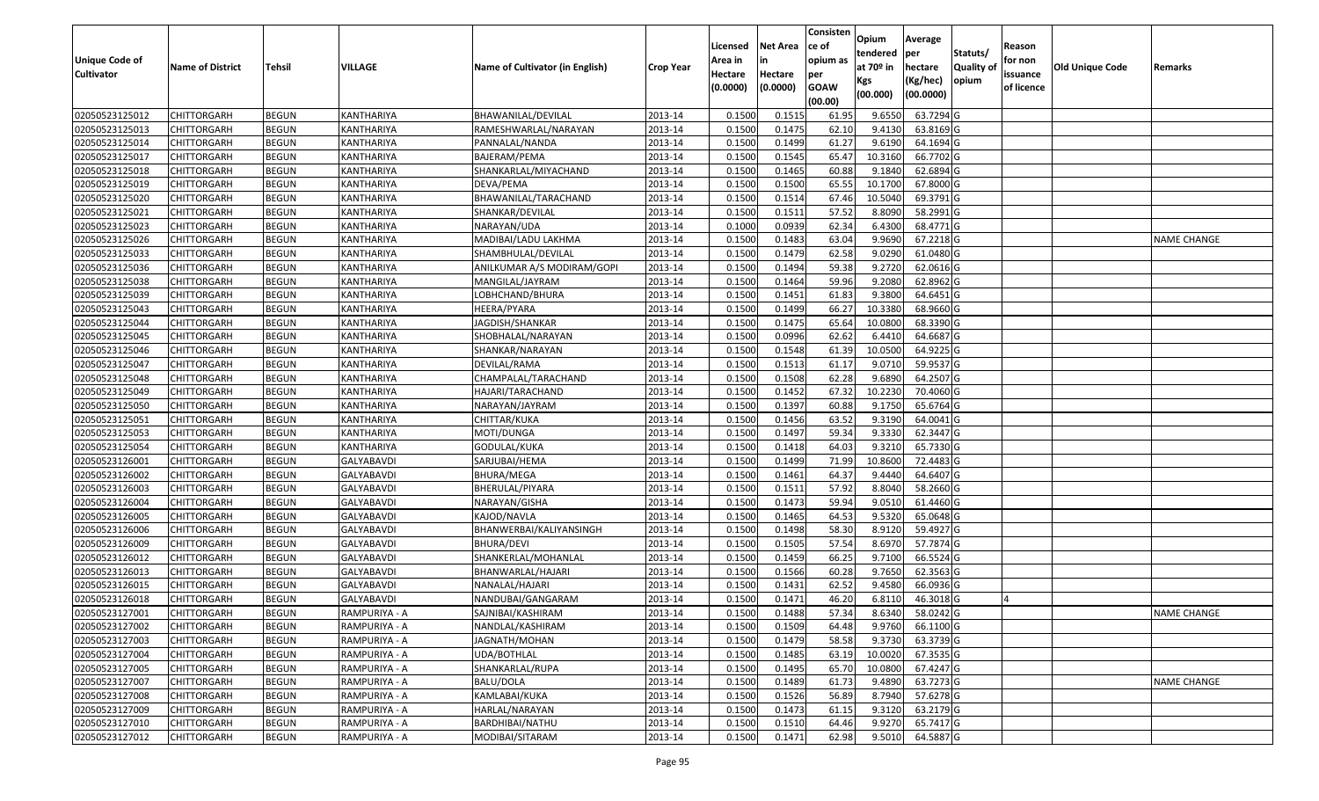| Statuts/<br>tendered<br>per<br><b>Unique Code of</b><br>opium as<br>for non<br>Area in<br>in<br>at 70º in<br><b>Quality of</b><br><b>Tehsil</b><br>VILLAGE<br><b>Old Unique Code</b><br><b>Name of District</b><br>Name of Cultivator (in English)<br>hectare<br><b>Crop Year</b><br>Remarks<br><b>Cultivator</b><br>Hectare<br>Hectare<br>per<br>issuance<br>(Kg/hec)<br>opium<br>Kgs<br><b>GOAW</b><br>(0.0000)<br>(0.0000)<br>of licence<br>(00.000)<br>(00.0000)<br>(00.00)<br>02050523125012<br>0.1515<br>9.6550<br>63.7294 G<br><b>CHITTORGARH</b><br><b>BEGUN</b><br>KANTHARIYA<br>BHAWANILAL/DEVILAL<br>2013-14<br>0.1500<br>61.95<br>02050523125013<br>0.1500<br>9.4130<br>63.8169 G<br><b>CHITTORGARH</b><br><b>BEGUN</b><br>KANTHARIYA<br>RAMESHWARLAL/NARAYAN<br>2013-14<br>0.1475<br>62.10<br>0.1500<br>0.1499<br>61.27<br>9.6190<br>64.1694 G<br>02050523125014<br><b>CHITTORGARH</b><br><b>BEGUN</b><br>KANTHARIYA<br>2013-14<br>PANNALAL/NANDA<br>02050523125017<br><b>BEGUN</b><br>KANTHARIYA<br>2013-14<br>0.1500<br>0.1545<br>65.47<br>10.3160<br>66.7702 G<br><b>CHITTORGARH</b><br>BAJERAM/PEMA<br>02050523125018<br><b>BEGUN</b><br>2013-14<br>0.1500<br>0.1465<br>60.88<br>9.1840<br>62.6894 G<br><b>CHITTORGARH</b><br>KANTHARIYA<br>SHANKARLAL/MIYACHAND<br>02050523125019<br><b>BEGUN</b><br>2013-14<br>0.1500<br>0.1500<br>65.55<br>10.1700<br>67.8000 G<br><b>CHITTORGARH</b><br>KANTHARIYA<br>DEVA/PEMA<br><b>BEGUN</b><br>0.1500<br>0.1514<br>67.46<br>10.5040<br>69.3791 G<br>02050523125020<br>BHAWANILAL/TARACHAND<br>2013-14<br><b>CHITTORGARH</b><br>KANTHARIYA<br>57.52<br>58.2991 G<br>02050523125021<br><b>CHITTORGARH</b><br><b>BEGUN</b><br>KANTHARIYA<br>2013-14<br>0.1500<br>0.1511<br>8.8090<br>SHANKAR/DEVILAL<br>02050523125023<br>NARAYAN/UDA<br>2013-14<br>0.0939<br>62.34<br>6.4300<br>68.4771 G<br><b>CHITTORGARH</b><br><b>BEGUN</b><br>KANTHARIYA<br>0.1000<br>02050523125026<br><b>BEGUN</b><br>2013-14<br>0.1500<br>0.1483<br>63.04<br>9.9690<br>67.2218 G<br><b>CHITTORGARH</b><br>KANTHARIYA<br>MADIBAI/LADU LAKHMA<br><b>NAME CHANGE</b><br>62.58<br>9.0290<br><b>BEGUN</b><br>0.1500<br>0.1479<br>61.0480 G<br>02050523125033<br><b>CHITTORGARH</b><br>KANTHARIYA<br>SHAMBHULAL/DEVILAL<br>2013-14<br>02050523125036<br><b>BEGUN</b><br>KANTHARIYA<br>2013-14<br>0.1500<br>0.1494<br>59.38<br>9.2720<br>62.0616 G<br><b>CHITTORGARH</b><br>ANILKUMAR A/S MODIRAM/GOPI<br>02050523125038<br><b>BEGUN</b><br>0.1500<br>0.1464<br>59.96<br>9.2080<br>62.8962 G<br><b>CHITTORGARH</b><br>KANTHARIYA<br>MANGILAL/JAYRAM<br>2013-14<br>02050523125039<br><b>BEGUN</b><br>0.1500<br>0.1451<br>9.3800<br>64.6451 G<br><b>CHITTORGARH</b><br>KANTHARIYA<br>2013-14<br>61.83<br>LOBHCHAND/BHURA<br><b>BEGUN</b><br>0.1500<br>0.1499<br>66.27<br>10.3380<br>68.9660 G<br>02050523125043<br>KANTHARIYA<br>2013-14<br><b>CHITTORGARH</b><br>HEERA/PYARA<br>68.3390 G<br>02050523125044<br><b>BEGUN</b><br>2013-14<br>0.1500<br>0.1475<br>65.64<br>10.0800<br><b>CHITTORGARH</b><br>KANTHARIYA<br>JAGDISH/SHANKAR<br>0.0996<br>62.62<br>6.4410<br>64.6687 G<br>02050523125045<br><b>CHITTORGARH</b><br><b>BEGUN</b><br>KANTHARIYA<br>SHOBHALAL/NARAYAN<br>2013-14<br>0.1500<br>02050523125046<br><b>BEGUN</b><br>0.1500<br>0.1548<br>10.0500<br>64.9225 G<br><b>CHITTORGARH</b><br>KANTHARIYA<br>SHANKAR/NARAYAN<br>2013-14<br>61.39<br>9.0710<br>0.1500<br>0.1513<br>61.17<br>59.9537 G<br>02050523125047<br><b>CHITTORGARH</b><br><b>BEGUN</b><br>KANTHARIYA<br>DEVILAL/RAMA<br>2013-14<br>62.28<br><b>BEGUN</b><br>CHAMPALAL/TARACHAND<br>2013-14<br>0.1500<br>0.1508<br>9.6890<br>64.2507 G<br>02050523125048<br><b>CHITTORGARH</b><br>KANTHARIYA<br>10.2230<br>02050523125049<br><b>BEGUN</b><br>0.1500<br>0.1452<br>67.32<br>70.4060 G<br><b>CHITTORGARH</b><br>KANTHARIYA<br>HAJARI/TARACHAND<br>2013-14<br>02050523125050<br><b>BEGUN</b><br>2013-14<br>0.1500<br>0.1397<br>60.88<br>9.1750<br>65.6764 G<br><b>CHITTORGARH</b><br>KANTHARIYA<br>NARAYAN/JAYRAM<br>02050523125051<br>0.1500<br>0.1456<br>63.52<br>9.3190<br>64.0041 G<br><b>CHITTORGARH</b><br><b>BEGUN</b><br>KANTHARIYA<br>CHITTAR/KUKA<br>2013-14<br>59.34<br>0.1500<br>0.1497<br>9.3330<br>62.3447 G<br>02050523125053<br><b>CHITTORGARH</b><br><b>BEGUN</b><br>KANTHARIYA<br>MOTI/DUNGA<br>2013-14<br>9.3210<br>65.7330 G<br>02050523125054<br><b>CHITTORGARH</b><br><b>BEGUN</b><br>KANTHARIYA<br>GODULAL/KUKA<br>2013-14<br>0.1500<br>0.1418<br>64.03<br>02050523126001<br>SARJUBAI/HEMA<br>10.8600<br>72.4483 G<br><b>CHITTORGARH</b><br><b>BEGUN</b><br>GALYABAVDI<br>2013-14<br>0.1500<br>0.1499<br>71.99<br>02050523126002<br><b>BEGUN</b><br>0.1500<br>0.1461<br>64.37<br>9.4440<br>64.6407 G<br><b>CHITTORGARH</b><br>GALYABAVDI<br>BHURA/MEGA<br>2013-14<br>57.92<br>0.1500<br>0.1511<br>8.8040<br>58.2660 G<br>02050523126003<br><b>CHITTORGARH</b><br><b>BEGUN</b><br>GALYABAVDI<br>2013-14<br>BHERULAL/PIYARA<br>02050523126004<br>GALYABAVDI<br>2013-14<br>0.1500<br>0.1473<br>59.94<br>9.0510<br>61.4460 G<br><b>CHITTORGARH</b><br><b>BEGUN</b><br>NARAYAN/GISHA<br>02050523126005<br><b>BEGUN</b><br>GALYABAVDI<br>KAJOD/NAVLA<br>2013-14<br>0.1500<br>0.1465<br>64.53<br>9.5320<br>65.0648 G<br><b>CHITTORGARH</b><br>02050523126006<br><b>BEGUN</b><br>2013-14<br>0.1500<br>0.1498<br>58.30<br>8.9120<br>59.4927 G<br><b>CHITTORGARH</b><br>GALYABAVDI<br>BHANWERBAI/KALIYANSINGH<br><b>BEGUN</b><br>0.1500<br>0.1505<br>57.54<br>8.6970<br>57.7874 G<br>02050523126009<br>GALYABAVDI<br>BHURA/DEVI<br>2013-14<br><b>CHITTORGARH</b><br>66.5524 G<br>02050523126012<br><b>BEGUN</b><br>GALYABAVDI<br>2013-14<br>0.1500<br>0.1459<br>66.25<br>9.7100<br><b>CHITTORGARH</b><br>SHANKERLAL/MOHANLAL<br>02050523126013<br><b>BEGUN</b><br>9.7650<br>62.3563 G<br><b>CHITTORGARH</b><br>GALYABAVDI<br>BHANWARLAL/HAJARI<br>2013-14<br>0.1500<br>0.1566<br>60.28<br>02050523126015<br><b>BEGUN</b><br>GALYABAVDI<br>0.1500<br>0.1431<br>62.52<br>9.4580<br>66.0936 G<br><b>CHITTORGARH</b><br>NANALAL/HAJARI<br>2013-14<br><b>BEGUN</b><br>0.1500<br>0.1471<br>46.20<br>6.8110<br>02050523126018<br><b>CHITTORGARH</b><br>2013-14<br>46.3018 G<br>GALYABAVDI<br>NANDUBAI/GANGARAM<br>IΔ<br>CHITTORGARH<br><b>BEGUN</b><br>2013-14<br>0.1488<br>8.6340<br>58.0242 G<br>02050523127001<br>RAMPURIYA - A<br>SAJNIBAI/KASHIRAM<br>0.1500<br>57.34<br><b>NAME CHANGE</b><br>0.1509<br>9.9760<br>02050523127002<br><b>BEGUN</b><br>RAMPURIYA - A<br>NANDLAL/KASHIRAM<br>2013-14<br>0.1500<br>64.48<br>66.1100 G<br>CHITTORGARH<br>02050523127003<br>58.58<br>9.3730<br>63.3739 G<br><b>CHITTORGARH</b><br><b>BEGUN</b><br>RAMPURIYA - A<br>JAGNATH/MOHAN<br>2013-14<br>0.1500<br>0.1479<br>10.0020<br>67.3535 G<br>02050523127004<br>RAMPURIYA - A<br>2013-14<br>0.1500<br>0.1485<br>63.19<br><b>CHITTORGARH</b><br><b>BEGUN</b><br>UDA/BOTHLAL<br>67.4247 G<br>02050523127005<br><b>BEGUN</b><br>RAMPURIYA - A<br>2013-14<br>0.1495<br>65.70<br>10.0800<br><b>CHITTORGARH</b><br>SHANKARLAL/RUPA<br>0.1500<br>63.7273 G<br>02050523127007<br>RAMPURIYA - A<br>BALU/DOLA<br>0.1489<br>9.4890<br><b>CHITTORGARH</b><br><b>BEGUN</b><br>2013-14<br>0.1500<br>61.73<br><b>NAME CHANGE</b><br>57.6278 G<br>02050523127008<br><b>BEGUN</b><br>RAMPURIYA - A<br>KAMLABAI/KUKA<br>2013-14<br>0.1500<br>0.1526<br>56.89<br>8.7940<br><b>CHITTORGARH</b><br>9.3120<br>63.2179 G<br>02050523127009<br><b>BEGUN</b><br>0.1500<br>0.1473<br>61.15<br><b>CHITTORGARH</b><br>RAMPURIYA - A<br>HARLAL/NARAYAN<br>2013-14<br>65.7417 G<br>02050523127010<br><b>BEGUN</b><br>2013-14<br>0.1510<br>64.46<br>9.9270<br><b>CHITTORGARH</b><br>RAMPURIYA - A<br>BARDHIBAI/NATHU<br>0.1500<br>9.5010<br>64.5887 G<br>0.1500<br>0.1471<br><b>CHITTORGARH</b><br>MODIBAI/SITARAM |                |              |               |         |          |                 | Consisten | Opium | Average |        |  |
|---------------------------------------------------------------------------------------------------------------------------------------------------------------------------------------------------------------------------------------------------------------------------------------------------------------------------------------------------------------------------------------------------------------------------------------------------------------------------------------------------------------------------------------------------------------------------------------------------------------------------------------------------------------------------------------------------------------------------------------------------------------------------------------------------------------------------------------------------------------------------------------------------------------------------------------------------------------------------------------------------------------------------------------------------------------------------------------------------------------------------------------------------------------------------------------------------------------------------------------------------------------------------------------------------------------------------------------------------------------------------------------------------------------------------------------------------------------------------------------------------------------------------------------------------------------------------------------------------------------------------------------------------------------------------------------------------------------------------------------------------------------------------------------------------------------------------------------------------------------------------------------------------------------------------------------------------------------------------------------------------------------------------------------------------------------------------------------------------------------------------------------------------------------------------------------------------------------------------------------------------------------------------------------------------------------------------------------------------------------------------------------------------------------------------------------------------------------------------------------------------------------------------------------------------------------------------------------------------------------------------------------------------------------------------------------------------------------------------------------------------------------------------------------------------------------------------------------------------------------------------------------------------------------------------------------------------------------------------------------------------------------------------------------------------------------------------------------------------------------------------------------------------------------------------------------------------------------------------------------------------------------------------------------------------------------------------------------------------------------------------------------------------------------------------------------------------------------------------------------------------------------------------------------------------------------------------------------------------------------------------------------------------------------------------------------------------------------------------------------------------------------------------------------------------------------------------------------------------------------------------------------------------------------------------------------------------------------------------------------------------------------------------------------------------------------------------------------------------------------------------------------------------------------------------------------------------------------------------------------------------------------------------------------------------------------------------------------------------------------------------------------------------------------------------------------------------------------------------------------------------------------------------------------------------------------------------------------------------------------------------------------------------------------------------------------------------------------------------------------------------------------------------------------------------------------------------------------------------------------------------------------------------------------------------------------------------------------------------------------------------------------------------------------------------------------------------------------------------------------------------------------------------------------------------------------------------------------------------------------------------------------------------------------------------------------------------------------------------------------------------------------------------------------------------------------------------------------------------------------------------------------------------------------------------------------------------------------------------------------------------------------------------------------------------------------------------------------------------------------------------------------------------------------------------------------------------------------------------------------------------------------------------------------------------------------------------------------------------------------------------------------------------------------------------------------------------------------------------------------------------------------------------------------------------------------------------------------------------------------------------------------------------------------------------------------------------------------------------------------------------------------------------------------------------------------------------------------------------------------------------------------------------------------------------------------------------------------------------------------------------------------------------------------------------------------------------------------------------------------------------------------------------------------------------------------------------------------------------------------------------------------------------------------------------------------------------------------------------------------------------------------------------------------------------------------------------------------------------------------------------------------------------------------------------------------------------------------------------------------------------------------------------------------------------------------------------------------------------------------------------------------------------------------------------------------------------------------------------------------------------------------------------------------------------------------------------------------------------------------------------------------------------------------------------------------------------------------------------------------------------------------------------------------|----------------|--------------|---------------|---------|----------|-----------------|-----------|-------|---------|--------|--|
|                                                                                                                                                                                                                                                                                                                                                                                                                                                                                                                                                                                                                                                                                                                                                                                                                                                                                                                                                                                                                                                                                                                                                                                                                                                                                                                                                                                                                                                                                                                                                                                                                                                                                                                                                                                                                                                                                                                                                                                                                                                                                                                                                                                                                                                                                                                                                                                                                                                                                                                                                                                                                                                                                                                                                                                                                                                                                                                                                                                                                                                                                                                                                                                                                                                                                                                                                                                                                                                                                                                                                                                                                                                                                                                                                                                                                                                                                                                                                                                                                                                                                                                                                                                                                                                                                                                                                                                                                                                                                                                                                                                                                                                                                                                                                                                                                                                                                                                                                                                                                                                                                                                                                                                                                                                                                                                                                                                                                                                                                                                                                                                                                                                                                                                                                                                                                                                                                                                                                                                                                                                                                                                                                                                                                                                                                                                                                                                                                                                                                                                                                                                                                                                                                                                                                                                                                                                                                                                                                                                                                                                                                                                                                                                                                                                                                                                                                                                                                                                                                                                                                                                                                                                                                                                                                                                       |                |              |               |         | Licensed | <b>Net Area</b> | ce of     |       |         | Reason |  |
|                                                                                                                                                                                                                                                                                                                                                                                                                                                                                                                                                                                                                                                                                                                                                                                                                                                                                                                                                                                                                                                                                                                                                                                                                                                                                                                                                                                                                                                                                                                                                                                                                                                                                                                                                                                                                                                                                                                                                                                                                                                                                                                                                                                                                                                                                                                                                                                                                                                                                                                                                                                                                                                                                                                                                                                                                                                                                                                                                                                                                                                                                                                                                                                                                                                                                                                                                                                                                                                                                                                                                                                                                                                                                                                                                                                                                                                                                                                                                                                                                                                                                                                                                                                                                                                                                                                                                                                                                                                                                                                                                                                                                                                                                                                                                                                                                                                                                                                                                                                                                                                                                                                                                                                                                                                                                                                                                                                                                                                                                                                                                                                                                                                                                                                                                                                                                                                                                                                                                                                                                                                                                                                                                                                                                                                                                                                                                                                                                                                                                                                                                                                                                                                                                                                                                                                                                                                                                                                                                                                                                                                                                                                                                                                                                                                                                                                                                                                                                                                                                                                                                                                                                                                                                                                                                                                       |                |              |               |         |          |                 |           |       |         |        |  |
|                                                                                                                                                                                                                                                                                                                                                                                                                                                                                                                                                                                                                                                                                                                                                                                                                                                                                                                                                                                                                                                                                                                                                                                                                                                                                                                                                                                                                                                                                                                                                                                                                                                                                                                                                                                                                                                                                                                                                                                                                                                                                                                                                                                                                                                                                                                                                                                                                                                                                                                                                                                                                                                                                                                                                                                                                                                                                                                                                                                                                                                                                                                                                                                                                                                                                                                                                                                                                                                                                                                                                                                                                                                                                                                                                                                                                                                                                                                                                                                                                                                                                                                                                                                                                                                                                                                                                                                                                                                                                                                                                                                                                                                                                                                                                                                                                                                                                                                                                                                                                                                                                                                                                                                                                                                                                                                                                                                                                                                                                                                                                                                                                                                                                                                                                                                                                                                                                                                                                                                                                                                                                                                                                                                                                                                                                                                                                                                                                                                                                                                                                                                                                                                                                                                                                                                                                                                                                                                                                                                                                                                                                                                                                                                                                                                                                                                                                                                                                                                                                                                                                                                                                                                                                                                                                                                       |                |              |               |         |          |                 |           |       |         |        |  |
|                                                                                                                                                                                                                                                                                                                                                                                                                                                                                                                                                                                                                                                                                                                                                                                                                                                                                                                                                                                                                                                                                                                                                                                                                                                                                                                                                                                                                                                                                                                                                                                                                                                                                                                                                                                                                                                                                                                                                                                                                                                                                                                                                                                                                                                                                                                                                                                                                                                                                                                                                                                                                                                                                                                                                                                                                                                                                                                                                                                                                                                                                                                                                                                                                                                                                                                                                                                                                                                                                                                                                                                                                                                                                                                                                                                                                                                                                                                                                                                                                                                                                                                                                                                                                                                                                                                                                                                                                                                                                                                                                                                                                                                                                                                                                                                                                                                                                                                                                                                                                                                                                                                                                                                                                                                                                                                                                                                                                                                                                                                                                                                                                                                                                                                                                                                                                                                                                                                                                                                                                                                                                                                                                                                                                                                                                                                                                                                                                                                                                                                                                                                                                                                                                                                                                                                                                                                                                                                                                                                                                                                                                                                                                                                                                                                                                                                                                                                                                                                                                                                                                                                                                                                                                                                                                                                       |                |              |               |         |          |                 |           |       |         |        |  |
|                                                                                                                                                                                                                                                                                                                                                                                                                                                                                                                                                                                                                                                                                                                                                                                                                                                                                                                                                                                                                                                                                                                                                                                                                                                                                                                                                                                                                                                                                                                                                                                                                                                                                                                                                                                                                                                                                                                                                                                                                                                                                                                                                                                                                                                                                                                                                                                                                                                                                                                                                                                                                                                                                                                                                                                                                                                                                                                                                                                                                                                                                                                                                                                                                                                                                                                                                                                                                                                                                                                                                                                                                                                                                                                                                                                                                                                                                                                                                                                                                                                                                                                                                                                                                                                                                                                                                                                                                                                                                                                                                                                                                                                                                                                                                                                                                                                                                                                                                                                                                                                                                                                                                                                                                                                                                                                                                                                                                                                                                                                                                                                                                                                                                                                                                                                                                                                                                                                                                                                                                                                                                                                                                                                                                                                                                                                                                                                                                                                                                                                                                                                                                                                                                                                                                                                                                                                                                                                                                                                                                                                                                                                                                                                                                                                                                                                                                                                                                                                                                                                                                                                                                                                                                                                                                                                       |                |              |               |         |          |                 |           |       |         |        |  |
|                                                                                                                                                                                                                                                                                                                                                                                                                                                                                                                                                                                                                                                                                                                                                                                                                                                                                                                                                                                                                                                                                                                                                                                                                                                                                                                                                                                                                                                                                                                                                                                                                                                                                                                                                                                                                                                                                                                                                                                                                                                                                                                                                                                                                                                                                                                                                                                                                                                                                                                                                                                                                                                                                                                                                                                                                                                                                                                                                                                                                                                                                                                                                                                                                                                                                                                                                                                                                                                                                                                                                                                                                                                                                                                                                                                                                                                                                                                                                                                                                                                                                                                                                                                                                                                                                                                                                                                                                                                                                                                                                                                                                                                                                                                                                                                                                                                                                                                                                                                                                                                                                                                                                                                                                                                                                                                                                                                                                                                                                                                                                                                                                                                                                                                                                                                                                                                                                                                                                                                                                                                                                                                                                                                                                                                                                                                                                                                                                                                                                                                                                                                                                                                                                                                                                                                                                                                                                                                                                                                                                                                                                                                                                                                                                                                                                                                                                                                                                                                                                                                                                                                                                                                                                                                                                                                       |                |              |               |         |          |                 |           |       |         |        |  |
|                                                                                                                                                                                                                                                                                                                                                                                                                                                                                                                                                                                                                                                                                                                                                                                                                                                                                                                                                                                                                                                                                                                                                                                                                                                                                                                                                                                                                                                                                                                                                                                                                                                                                                                                                                                                                                                                                                                                                                                                                                                                                                                                                                                                                                                                                                                                                                                                                                                                                                                                                                                                                                                                                                                                                                                                                                                                                                                                                                                                                                                                                                                                                                                                                                                                                                                                                                                                                                                                                                                                                                                                                                                                                                                                                                                                                                                                                                                                                                                                                                                                                                                                                                                                                                                                                                                                                                                                                                                                                                                                                                                                                                                                                                                                                                                                                                                                                                                                                                                                                                                                                                                                                                                                                                                                                                                                                                                                                                                                                                                                                                                                                                                                                                                                                                                                                                                                                                                                                                                                                                                                                                                                                                                                                                                                                                                                                                                                                                                                                                                                                                                                                                                                                                                                                                                                                                                                                                                                                                                                                                                                                                                                                                                                                                                                                                                                                                                                                                                                                                                                                                                                                                                                                                                                                                                       |                |              |               |         |          |                 |           |       |         |        |  |
|                                                                                                                                                                                                                                                                                                                                                                                                                                                                                                                                                                                                                                                                                                                                                                                                                                                                                                                                                                                                                                                                                                                                                                                                                                                                                                                                                                                                                                                                                                                                                                                                                                                                                                                                                                                                                                                                                                                                                                                                                                                                                                                                                                                                                                                                                                                                                                                                                                                                                                                                                                                                                                                                                                                                                                                                                                                                                                                                                                                                                                                                                                                                                                                                                                                                                                                                                                                                                                                                                                                                                                                                                                                                                                                                                                                                                                                                                                                                                                                                                                                                                                                                                                                                                                                                                                                                                                                                                                                                                                                                                                                                                                                                                                                                                                                                                                                                                                                                                                                                                                                                                                                                                                                                                                                                                                                                                                                                                                                                                                                                                                                                                                                                                                                                                                                                                                                                                                                                                                                                                                                                                                                                                                                                                                                                                                                                                                                                                                                                                                                                                                                                                                                                                                                                                                                                                                                                                                                                                                                                                                                                                                                                                                                                                                                                                                                                                                                                                                                                                                                                                                                                                                                                                                                                                                                       |                |              |               |         |          |                 |           |       |         |        |  |
|                                                                                                                                                                                                                                                                                                                                                                                                                                                                                                                                                                                                                                                                                                                                                                                                                                                                                                                                                                                                                                                                                                                                                                                                                                                                                                                                                                                                                                                                                                                                                                                                                                                                                                                                                                                                                                                                                                                                                                                                                                                                                                                                                                                                                                                                                                                                                                                                                                                                                                                                                                                                                                                                                                                                                                                                                                                                                                                                                                                                                                                                                                                                                                                                                                                                                                                                                                                                                                                                                                                                                                                                                                                                                                                                                                                                                                                                                                                                                                                                                                                                                                                                                                                                                                                                                                                                                                                                                                                                                                                                                                                                                                                                                                                                                                                                                                                                                                                                                                                                                                                                                                                                                                                                                                                                                                                                                                                                                                                                                                                                                                                                                                                                                                                                                                                                                                                                                                                                                                                                                                                                                                                                                                                                                                                                                                                                                                                                                                                                                                                                                                                                                                                                                                                                                                                                                                                                                                                                                                                                                                                                                                                                                                                                                                                                                                                                                                                                                                                                                                                                                                                                                                                                                                                                                                                       |                |              |               |         |          |                 |           |       |         |        |  |
|                                                                                                                                                                                                                                                                                                                                                                                                                                                                                                                                                                                                                                                                                                                                                                                                                                                                                                                                                                                                                                                                                                                                                                                                                                                                                                                                                                                                                                                                                                                                                                                                                                                                                                                                                                                                                                                                                                                                                                                                                                                                                                                                                                                                                                                                                                                                                                                                                                                                                                                                                                                                                                                                                                                                                                                                                                                                                                                                                                                                                                                                                                                                                                                                                                                                                                                                                                                                                                                                                                                                                                                                                                                                                                                                                                                                                                                                                                                                                                                                                                                                                                                                                                                                                                                                                                                                                                                                                                                                                                                                                                                                                                                                                                                                                                                                                                                                                                                                                                                                                                                                                                                                                                                                                                                                                                                                                                                                                                                                                                                                                                                                                                                                                                                                                                                                                                                                                                                                                                                                                                                                                                                                                                                                                                                                                                                                                                                                                                                                                                                                                                                                                                                                                                                                                                                                                                                                                                                                                                                                                                                                                                                                                                                                                                                                                                                                                                                                                                                                                                                                                                                                                                                                                                                                                                                       |                |              |               |         |          |                 |           |       |         |        |  |
|                                                                                                                                                                                                                                                                                                                                                                                                                                                                                                                                                                                                                                                                                                                                                                                                                                                                                                                                                                                                                                                                                                                                                                                                                                                                                                                                                                                                                                                                                                                                                                                                                                                                                                                                                                                                                                                                                                                                                                                                                                                                                                                                                                                                                                                                                                                                                                                                                                                                                                                                                                                                                                                                                                                                                                                                                                                                                                                                                                                                                                                                                                                                                                                                                                                                                                                                                                                                                                                                                                                                                                                                                                                                                                                                                                                                                                                                                                                                                                                                                                                                                                                                                                                                                                                                                                                                                                                                                                                                                                                                                                                                                                                                                                                                                                                                                                                                                                                                                                                                                                                                                                                                                                                                                                                                                                                                                                                                                                                                                                                                                                                                                                                                                                                                                                                                                                                                                                                                                                                                                                                                                                                                                                                                                                                                                                                                                                                                                                                                                                                                                                                                                                                                                                                                                                                                                                                                                                                                                                                                                                                                                                                                                                                                                                                                                                                                                                                                                                                                                                                                                                                                                                                                                                                                                                                       |                |              |               |         |          |                 |           |       |         |        |  |
|                                                                                                                                                                                                                                                                                                                                                                                                                                                                                                                                                                                                                                                                                                                                                                                                                                                                                                                                                                                                                                                                                                                                                                                                                                                                                                                                                                                                                                                                                                                                                                                                                                                                                                                                                                                                                                                                                                                                                                                                                                                                                                                                                                                                                                                                                                                                                                                                                                                                                                                                                                                                                                                                                                                                                                                                                                                                                                                                                                                                                                                                                                                                                                                                                                                                                                                                                                                                                                                                                                                                                                                                                                                                                                                                                                                                                                                                                                                                                                                                                                                                                                                                                                                                                                                                                                                                                                                                                                                                                                                                                                                                                                                                                                                                                                                                                                                                                                                                                                                                                                                                                                                                                                                                                                                                                                                                                                                                                                                                                                                                                                                                                                                                                                                                                                                                                                                                                                                                                                                                                                                                                                                                                                                                                                                                                                                                                                                                                                                                                                                                                                                                                                                                                                                                                                                                                                                                                                                                                                                                                                                                                                                                                                                                                                                                                                                                                                                                                                                                                                                                                                                                                                                                                                                                                                                       |                |              |               |         |          |                 |           |       |         |        |  |
|                                                                                                                                                                                                                                                                                                                                                                                                                                                                                                                                                                                                                                                                                                                                                                                                                                                                                                                                                                                                                                                                                                                                                                                                                                                                                                                                                                                                                                                                                                                                                                                                                                                                                                                                                                                                                                                                                                                                                                                                                                                                                                                                                                                                                                                                                                                                                                                                                                                                                                                                                                                                                                                                                                                                                                                                                                                                                                                                                                                                                                                                                                                                                                                                                                                                                                                                                                                                                                                                                                                                                                                                                                                                                                                                                                                                                                                                                                                                                                                                                                                                                                                                                                                                                                                                                                                                                                                                                                                                                                                                                                                                                                                                                                                                                                                                                                                                                                                                                                                                                                                                                                                                                                                                                                                                                                                                                                                                                                                                                                                                                                                                                                                                                                                                                                                                                                                                                                                                                                                                                                                                                                                                                                                                                                                                                                                                                                                                                                                                                                                                                                                                                                                                                                                                                                                                                                                                                                                                                                                                                                                                                                                                                                                                                                                                                                                                                                                                                                                                                                                                                                                                                                                                                                                                                                                       |                |              |               |         |          |                 |           |       |         |        |  |
|                                                                                                                                                                                                                                                                                                                                                                                                                                                                                                                                                                                                                                                                                                                                                                                                                                                                                                                                                                                                                                                                                                                                                                                                                                                                                                                                                                                                                                                                                                                                                                                                                                                                                                                                                                                                                                                                                                                                                                                                                                                                                                                                                                                                                                                                                                                                                                                                                                                                                                                                                                                                                                                                                                                                                                                                                                                                                                                                                                                                                                                                                                                                                                                                                                                                                                                                                                                                                                                                                                                                                                                                                                                                                                                                                                                                                                                                                                                                                                                                                                                                                                                                                                                                                                                                                                                                                                                                                                                                                                                                                                                                                                                                                                                                                                                                                                                                                                                                                                                                                                                                                                                                                                                                                                                                                                                                                                                                                                                                                                                                                                                                                                                                                                                                                                                                                                                                                                                                                                                                                                                                                                                                                                                                                                                                                                                                                                                                                                                                                                                                                                                                                                                                                                                                                                                                                                                                                                                                                                                                                                                                                                                                                                                                                                                                                                                                                                                                                                                                                                                                                                                                                                                                                                                                                                                       |                |              |               |         |          |                 |           |       |         |        |  |
|                                                                                                                                                                                                                                                                                                                                                                                                                                                                                                                                                                                                                                                                                                                                                                                                                                                                                                                                                                                                                                                                                                                                                                                                                                                                                                                                                                                                                                                                                                                                                                                                                                                                                                                                                                                                                                                                                                                                                                                                                                                                                                                                                                                                                                                                                                                                                                                                                                                                                                                                                                                                                                                                                                                                                                                                                                                                                                                                                                                                                                                                                                                                                                                                                                                                                                                                                                                                                                                                                                                                                                                                                                                                                                                                                                                                                                                                                                                                                                                                                                                                                                                                                                                                                                                                                                                                                                                                                                                                                                                                                                                                                                                                                                                                                                                                                                                                                                                                                                                                                                                                                                                                                                                                                                                                                                                                                                                                                                                                                                                                                                                                                                                                                                                                                                                                                                                                                                                                                                                                                                                                                                                                                                                                                                                                                                                                                                                                                                                                                                                                                                                                                                                                                                                                                                                                                                                                                                                                                                                                                                                                                                                                                                                                                                                                                                                                                                                                                                                                                                                                                                                                                                                                                                                                                                                       |                |              |               |         |          |                 |           |       |         |        |  |
|                                                                                                                                                                                                                                                                                                                                                                                                                                                                                                                                                                                                                                                                                                                                                                                                                                                                                                                                                                                                                                                                                                                                                                                                                                                                                                                                                                                                                                                                                                                                                                                                                                                                                                                                                                                                                                                                                                                                                                                                                                                                                                                                                                                                                                                                                                                                                                                                                                                                                                                                                                                                                                                                                                                                                                                                                                                                                                                                                                                                                                                                                                                                                                                                                                                                                                                                                                                                                                                                                                                                                                                                                                                                                                                                                                                                                                                                                                                                                                                                                                                                                                                                                                                                                                                                                                                                                                                                                                                                                                                                                                                                                                                                                                                                                                                                                                                                                                                                                                                                                                                                                                                                                                                                                                                                                                                                                                                                                                                                                                                                                                                                                                                                                                                                                                                                                                                                                                                                                                                                                                                                                                                                                                                                                                                                                                                                                                                                                                                                                                                                                                                                                                                                                                                                                                                                                                                                                                                                                                                                                                                                                                                                                                                                                                                                                                                                                                                                                                                                                                                                                                                                                                                                                                                                                                                       |                |              |               |         |          |                 |           |       |         |        |  |
|                                                                                                                                                                                                                                                                                                                                                                                                                                                                                                                                                                                                                                                                                                                                                                                                                                                                                                                                                                                                                                                                                                                                                                                                                                                                                                                                                                                                                                                                                                                                                                                                                                                                                                                                                                                                                                                                                                                                                                                                                                                                                                                                                                                                                                                                                                                                                                                                                                                                                                                                                                                                                                                                                                                                                                                                                                                                                                                                                                                                                                                                                                                                                                                                                                                                                                                                                                                                                                                                                                                                                                                                                                                                                                                                                                                                                                                                                                                                                                                                                                                                                                                                                                                                                                                                                                                                                                                                                                                                                                                                                                                                                                                                                                                                                                                                                                                                                                                                                                                                                                                                                                                                                                                                                                                                                                                                                                                                                                                                                                                                                                                                                                                                                                                                                                                                                                                                                                                                                                                                                                                                                                                                                                                                                                                                                                                                                                                                                                                                                                                                                                                                                                                                                                                                                                                                                                                                                                                                                                                                                                                                                                                                                                                                                                                                                                                                                                                                                                                                                                                                                                                                                                                                                                                                                                                       |                |              |               |         |          |                 |           |       |         |        |  |
|                                                                                                                                                                                                                                                                                                                                                                                                                                                                                                                                                                                                                                                                                                                                                                                                                                                                                                                                                                                                                                                                                                                                                                                                                                                                                                                                                                                                                                                                                                                                                                                                                                                                                                                                                                                                                                                                                                                                                                                                                                                                                                                                                                                                                                                                                                                                                                                                                                                                                                                                                                                                                                                                                                                                                                                                                                                                                                                                                                                                                                                                                                                                                                                                                                                                                                                                                                                                                                                                                                                                                                                                                                                                                                                                                                                                                                                                                                                                                                                                                                                                                                                                                                                                                                                                                                                                                                                                                                                                                                                                                                                                                                                                                                                                                                                                                                                                                                                                                                                                                                                                                                                                                                                                                                                                                                                                                                                                                                                                                                                                                                                                                                                                                                                                                                                                                                                                                                                                                                                                                                                                                                                                                                                                                                                                                                                                                                                                                                                                                                                                                                                                                                                                                                                                                                                                                                                                                                                                                                                                                                                                                                                                                                                                                                                                                                                                                                                                                                                                                                                                                                                                                                                                                                                                                                                       |                |              |               |         |          |                 |           |       |         |        |  |
|                                                                                                                                                                                                                                                                                                                                                                                                                                                                                                                                                                                                                                                                                                                                                                                                                                                                                                                                                                                                                                                                                                                                                                                                                                                                                                                                                                                                                                                                                                                                                                                                                                                                                                                                                                                                                                                                                                                                                                                                                                                                                                                                                                                                                                                                                                                                                                                                                                                                                                                                                                                                                                                                                                                                                                                                                                                                                                                                                                                                                                                                                                                                                                                                                                                                                                                                                                                                                                                                                                                                                                                                                                                                                                                                                                                                                                                                                                                                                                                                                                                                                                                                                                                                                                                                                                                                                                                                                                                                                                                                                                                                                                                                                                                                                                                                                                                                                                                                                                                                                                                                                                                                                                                                                                                                                                                                                                                                                                                                                                                                                                                                                                                                                                                                                                                                                                                                                                                                                                                                                                                                                                                                                                                                                                                                                                                                                                                                                                                                                                                                                                                                                                                                                                                                                                                                                                                                                                                                                                                                                                                                                                                                                                                                                                                                                                                                                                                                                                                                                                                                                                                                                                                                                                                                                                                       |                |              |               |         |          |                 |           |       |         |        |  |
|                                                                                                                                                                                                                                                                                                                                                                                                                                                                                                                                                                                                                                                                                                                                                                                                                                                                                                                                                                                                                                                                                                                                                                                                                                                                                                                                                                                                                                                                                                                                                                                                                                                                                                                                                                                                                                                                                                                                                                                                                                                                                                                                                                                                                                                                                                                                                                                                                                                                                                                                                                                                                                                                                                                                                                                                                                                                                                                                                                                                                                                                                                                                                                                                                                                                                                                                                                                                                                                                                                                                                                                                                                                                                                                                                                                                                                                                                                                                                                                                                                                                                                                                                                                                                                                                                                                                                                                                                                                                                                                                                                                                                                                                                                                                                                                                                                                                                                                                                                                                                                                                                                                                                                                                                                                                                                                                                                                                                                                                                                                                                                                                                                                                                                                                                                                                                                                                                                                                                                                                                                                                                                                                                                                                                                                                                                                                                                                                                                                                                                                                                                                                                                                                                                                                                                                                                                                                                                                                                                                                                                                                                                                                                                                                                                                                                                                                                                                                                                                                                                                                                                                                                                                                                                                                                                                       |                |              |               |         |          |                 |           |       |         |        |  |
|                                                                                                                                                                                                                                                                                                                                                                                                                                                                                                                                                                                                                                                                                                                                                                                                                                                                                                                                                                                                                                                                                                                                                                                                                                                                                                                                                                                                                                                                                                                                                                                                                                                                                                                                                                                                                                                                                                                                                                                                                                                                                                                                                                                                                                                                                                                                                                                                                                                                                                                                                                                                                                                                                                                                                                                                                                                                                                                                                                                                                                                                                                                                                                                                                                                                                                                                                                                                                                                                                                                                                                                                                                                                                                                                                                                                                                                                                                                                                                                                                                                                                                                                                                                                                                                                                                                                                                                                                                                                                                                                                                                                                                                                                                                                                                                                                                                                                                                                                                                                                                                                                                                                                                                                                                                                                                                                                                                                                                                                                                                                                                                                                                                                                                                                                                                                                                                                                                                                                                                                                                                                                                                                                                                                                                                                                                                                                                                                                                                                                                                                                                                                                                                                                                                                                                                                                                                                                                                                                                                                                                                                                                                                                                                                                                                                                                                                                                                                                                                                                                                                                                                                                                                                                                                                                                                       |                |              |               |         |          |                 |           |       |         |        |  |
|                                                                                                                                                                                                                                                                                                                                                                                                                                                                                                                                                                                                                                                                                                                                                                                                                                                                                                                                                                                                                                                                                                                                                                                                                                                                                                                                                                                                                                                                                                                                                                                                                                                                                                                                                                                                                                                                                                                                                                                                                                                                                                                                                                                                                                                                                                                                                                                                                                                                                                                                                                                                                                                                                                                                                                                                                                                                                                                                                                                                                                                                                                                                                                                                                                                                                                                                                                                                                                                                                                                                                                                                                                                                                                                                                                                                                                                                                                                                                                                                                                                                                                                                                                                                                                                                                                                                                                                                                                                                                                                                                                                                                                                                                                                                                                                                                                                                                                                                                                                                                                                                                                                                                                                                                                                                                                                                                                                                                                                                                                                                                                                                                                                                                                                                                                                                                                                                                                                                                                                                                                                                                                                                                                                                                                                                                                                                                                                                                                                                                                                                                                                                                                                                                                                                                                                                                                                                                                                                                                                                                                                                                                                                                                                                                                                                                                                                                                                                                                                                                                                                                                                                                                                                                                                                                                                       |                |              |               |         |          |                 |           |       |         |        |  |
|                                                                                                                                                                                                                                                                                                                                                                                                                                                                                                                                                                                                                                                                                                                                                                                                                                                                                                                                                                                                                                                                                                                                                                                                                                                                                                                                                                                                                                                                                                                                                                                                                                                                                                                                                                                                                                                                                                                                                                                                                                                                                                                                                                                                                                                                                                                                                                                                                                                                                                                                                                                                                                                                                                                                                                                                                                                                                                                                                                                                                                                                                                                                                                                                                                                                                                                                                                                                                                                                                                                                                                                                                                                                                                                                                                                                                                                                                                                                                                                                                                                                                                                                                                                                                                                                                                                                                                                                                                                                                                                                                                                                                                                                                                                                                                                                                                                                                                                                                                                                                                                                                                                                                                                                                                                                                                                                                                                                                                                                                                                                                                                                                                                                                                                                                                                                                                                                                                                                                                                                                                                                                                                                                                                                                                                                                                                                                                                                                                                                                                                                                                                                                                                                                                                                                                                                                                                                                                                                                                                                                                                                                                                                                                                                                                                                                                                                                                                                                                                                                                                                                                                                                                                                                                                                                                                       |                |              |               |         |          |                 |           |       |         |        |  |
|                                                                                                                                                                                                                                                                                                                                                                                                                                                                                                                                                                                                                                                                                                                                                                                                                                                                                                                                                                                                                                                                                                                                                                                                                                                                                                                                                                                                                                                                                                                                                                                                                                                                                                                                                                                                                                                                                                                                                                                                                                                                                                                                                                                                                                                                                                                                                                                                                                                                                                                                                                                                                                                                                                                                                                                                                                                                                                                                                                                                                                                                                                                                                                                                                                                                                                                                                                                                                                                                                                                                                                                                                                                                                                                                                                                                                                                                                                                                                                                                                                                                                                                                                                                                                                                                                                                                                                                                                                                                                                                                                                                                                                                                                                                                                                                                                                                                                                                                                                                                                                                                                                                                                                                                                                                                                                                                                                                                                                                                                                                                                                                                                                                                                                                                                                                                                                                                                                                                                                                                                                                                                                                                                                                                                                                                                                                                                                                                                                                                                                                                                                                                                                                                                                                                                                                                                                                                                                                                                                                                                                                                                                                                                                                                                                                                                                                                                                                                                                                                                                                                                                                                                                                                                                                                                                                       |                |              |               |         |          |                 |           |       |         |        |  |
|                                                                                                                                                                                                                                                                                                                                                                                                                                                                                                                                                                                                                                                                                                                                                                                                                                                                                                                                                                                                                                                                                                                                                                                                                                                                                                                                                                                                                                                                                                                                                                                                                                                                                                                                                                                                                                                                                                                                                                                                                                                                                                                                                                                                                                                                                                                                                                                                                                                                                                                                                                                                                                                                                                                                                                                                                                                                                                                                                                                                                                                                                                                                                                                                                                                                                                                                                                                                                                                                                                                                                                                                                                                                                                                                                                                                                                                                                                                                                                                                                                                                                                                                                                                                                                                                                                                                                                                                                                                                                                                                                                                                                                                                                                                                                                                                                                                                                                                                                                                                                                                                                                                                                                                                                                                                                                                                                                                                                                                                                                                                                                                                                                                                                                                                                                                                                                                                                                                                                                                                                                                                                                                                                                                                                                                                                                                                                                                                                                                                                                                                                                                                                                                                                                                                                                                                                                                                                                                                                                                                                                                                                                                                                                                                                                                                                                                                                                                                                                                                                                                                                                                                                                                                                                                                                                                       |                |              |               |         |          |                 |           |       |         |        |  |
|                                                                                                                                                                                                                                                                                                                                                                                                                                                                                                                                                                                                                                                                                                                                                                                                                                                                                                                                                                                                                                                                                                                                                                                                                                                                                                                                                                                                                                                                                                                                                                                                                                                                                                                                                                                                                                                                                                                                                                                                                                                                                                                                                                                                                                                                                                                                                                                                                                                                                                                                                                                                                                                                                                                                                                                                                                                                                                                                                                                                                                                                                                                                                                                                                                                                                                                                                                                                                                                                                                                                                                                                                                                                                                                                                                                                                                                                                                                                                                                                                                                                                                                                                                                                                                                                                                                                                                                                                                                                                                                                                                                                                                                                                                                                                                                                                                                                                                                                                                                                                                                                                                                                                                                                                                                                                                                                                                                                                                                                                                                                                                                                                                                                                                                                                                                                                                                                                                                                                                                                                                                                                                                                                                                                                                                                                                                                                                                                                                                                                                                                                                                                                                                                                                                                                                                                                                                                                                                                                                                                                                                                                                                                                                                                                                                                                                                                                                                                                                                                                                                                                                                                                                                                                                                                                                                       |                |              |               |         |          |                 |           |       |         |        |  |
|                                                                                                                                                                                                                                                                                                                                                                                                                                                                                                                                                                                                                                                                                                                                                                                                                                                                                                                                                                                                                                                                                                                                                                                                                                                                                                                                                                                                                                                                                                                                                                                                                                                                                                                                                                                                                                                                                                                                                                                                                                                                                                                                                                                                                                                                                                                                                                                                                                                                                                                                                                                                                                                                                                                                                                                                                                                                                                                                                                                                                                                                                                                                                                                                                                                                                                                                                                                                                                                                                                                                                                                                                                                                                                                                                                                                                                                                                                                                                                                                                                                                                                                                                                                                                                                                                                                                                                                                                                                                                                                                                                                                                                                                                                                                                                                                                                                                                                                                                                                                                                                                                                                                                                                                                                                                                                                                                                                                                                                                                                                                                                                                                                                                                                                                                                                                                                                                                                                                                                                                                                                                                                                                                                                                                                                                                                                                                                                                                                                                                                                                                                                                                                                                                                                                                                                                                                                                                                                                                                                                                                                                                                                                                                                                                                                                                                                                                                                                                                                                                                                                                                                                                                                                                                                                                                                       |                |              |               |         |          |                 |           |       |         |        |  |
|                                                                                                                                                                                                                                                                                                                                                                                                                                                                                                                                                                                                                                                                                                                                                                                                                                                                                                                                                                                                                                                                                                                                                                                                                                                                                                                                                                                                                                                                                                                                                                                                                                                                                                                                                                                                                                                                                                                                                                                                                                                                                                                                                                                                                                                                                                                                                                                                                                                                                                                                                                                                                                                                                                                                                                                                                                                                                                                                                                                                                                                                                                                                                                                                                                                                                                                                                                                                                                                                                                                                                                                                                                                                                                                                                                                                                                                                                                                                                                                                                                                                                                                                                                                                                                                                                                                                                                                                                                                                                                                                                                                                                                                                                                                                                                                                                                                                                                                                                                                                                                                                                                                                                                                                                                                                                                                                                                                                                                                                                                                                                                                                                                                                                                                                                                                                                                                                                                                                                                                                                                                                                                                                                                                                                                                                                                                                                                                                                                                                                                                                                                                                                                                                                                                                                                                                                                                                                                                                                                                                                                                                                                                                                                                                                                                                                                                                                                                                                                                                                                                                                                                                                                                                                                                                                                                       |                |              |               |         |          |                 |           |       |         |        |  |
|                                                                                                                                                                                                                                                                                                                                                                                                                                                                                                                                                                                                                                                                                                                                                                                                                                                                                                                                                                                                                                                                                                                                                                                                                                                                                                                                                                                                                                                                                                                                                                                                                                                                                                                                                                                                                                                                                                                                                                                                                                                                                                                                                                                                                                                                                                                                                                                                                                                                                                                                                                                                                                                                                                                                                                                                                                                                                                                                                                                                                                                                                                                                                                                                                                                                                                                                                                                                                                                                                                                                                                                                                                                                                                                                                                                                                                                                                                                                                                                                                                                                                                                                                                                                                                                                                                                                                                                                                                                                                                                                                                                                                                                                                                                                                                                                                                                                                                                                                                                                                                                                                                                                                                                                                                                                                                                                                                                                                                                                                                                                                                                                                                                                                                                                                                                                                                                                                                                                                                                                                                                                                                                                                                                                                                                                                                                                                                                                                                                                                                                                                                                                                                                                                                                                                                                                                                                                                                                                                                                                                                                                                                                                                                                                                                                                                                                                                                                                                                                                                                                                                                                                                                                                                                                                                                                       |                |              |               |         |          |                 |           |       |         |        |  |
|                                                                                                                                                                                                                                                                                                                                                                                                                                                                                                                                                                                                                                                                                                                                                                                                                                                                                                                                                                                                                                                                                                                                                                                                                                                                                                                                                                                                                                                                                                                                                                                                                                                                                                                                                                                                                                                                                                                                                                                                                                                                                                                                                                                                                                                                                                                                                                                                                                                                                                                                                                                                                                                                                                                                                                                                                                                                                                                                                                                                                                                                                                                                                                                                                                                                                                                                                                                                                                                                                                                                                                                                                                                                                                                                                                                                                                                                                                                                                                                                                                                                                                                                                                                                                                                                                                                                                                                                                                                                                                                                                                                                                                                                                                                                                                                                                                                                                                                                                                                                                                                                                                                                                                                                                                                                                                                                                                                                                                                                                                                                                                                                                                                                                                                                                                                                                                                                                                                                                                                                                                                                                                                                                                                                                                                                                                                                                                                                                                                                                                                                                                                                                                                                                                                                                                                                                                                                                                                                                                                                                                                                                                                                                                                                                                                                                                                                                                                                                                                                                                                                                                                                                                                                                                                                                                                       |                |              |               |         |          |                 |           |       |         |        |  |
|                                                                                                                                                                                                                                                                                                                                                                                                                                                                                                                                                                                                                                                                                                                                                                                                                                                                                                                                                                                                                                                                                                                                                                                                                                                                                                                                                                                                                                                                                                                                                                                                                                                                                                                                                                                                                                                                                                                                                                                                                                                                                                                                                                                                                                                                                                                                                                                                                                                                                                                                                                                                                                                                                                                                                                                                                                                                                                                                                                                                                                                                                                                                                                                                                                                                                                                                                                                                                                                                                                                                                                                                                                                                                                                                                                                                                                                                                                                                                                                                                                                                                                                                                                                                                                                                                                                                                                                                                                                                                                                                                                                                                                                                                                                                                                                                                                                                                                                                                                                                                                                                                                                                                                                                                                                                                                                                                                                                                                                                                                                                                                                                                                                                                                                                                                                                                                                                                                                                                                                                                                                                                                                                                                                                                                                                                                                                                                                                                                                                                                                                                                                                                                                                                                                                                                                                                                                                                                                                                                                                                                                                                                                                                                                                                                                                                                                                                                                                                                                                                                                                                                                                                                                                                                                                                                                       |                |              |               |         |          |                 |           |       |         |        |  |
|                                                                                                                                                                                                                                                                                                                                                                                                                                                                                                                                                                                                                                                                                                                                                                                                                                                                                                                                                                                                                                                                                                                                                                                                                                                                                                                                                                                                                                                                                                                                                                                                                                                                                                                                                                                                                                                                                                                                                                                                                                                                                                                                                                                                                                                                                                                                                                                                                                                                                                                                                                                                                                                                                                                                                                                                                                                                                                                                                                                                                                                                                                                                                                                                                                                                                                                                                                                                                                                                                                                                                                                                                                                                                                                                                                                                                                                                                                                                                                                                                                                                                                                                                                                                                                                                                                                                                                                                                                                                                                                                                                                                                                                                                                                                                                                                                                                                                                                                                                                                                                                                                                                                                                                                                                                                                                                                                                                                                                                                                                                                                                                                                                                                                                                                                                                                                                                                                                                                                                                                                                                                                                                                                                                                                                                                                                                                                                                                                                                                                                                                                                                                                                                                                                                                                                                                                                                                                                                                                                                                                                                                                                                                                                                                                                                                                                                                                                                                                                                                                                                                                                                                                                                                                                                                                                                       |                |              |               |         |          |                 |           |       |         |        |  |
|                                                                                                                                                                                                                                                                                                                                                                                                                                                                                                                                                                                                                                                                                                                                                                                                                                                                                                                                                                                                                                                                                                                                                                                                                                                                                                                                                                                                                                                                                                                                                                                                                                                                                                                                                                                                                                                                                                                                                                                                                                                                                                                                                                                                                                                                                                                                                                                                                                                                                                                                                                                                                                                                                                                                                                                                                                                                                                                                                                                                                                                                                                                                                                                                                                                                                                                                                                                                                                                                                                                                                                                                                                                                                                                                                                                                                                                                                                                                                                                                                                                                                                                                                                                                                                                                                                                                                                                                                                                                                                                                                                                                                                                                                                                                                                                                                                                                                                                                                                                                                                                                                                                                                                                                                                                                                                                                                                                                                                                                                                                                                                                                                                                                                                                                                                                                                                                                                                                                                                                                                                                                                                                                                                                                                                                                                                                                                                                                                                                                                                                                                                                                                                                                                                                                                                                                                                                                                                                                                                                                                                                                                                                                                                                                                                                                                                                                                                                                                                                                                                                                                                                                                                                                                                                                                                                       |                |              |               |         |          |                 |           |       |         |        |  |
|                                                                                                                                                                                                                                                                                                                                                                                                                                                                                                                                                                                                                                                                                                                                                                                                                                                                                                                                                                                                                                                                                                                                                                                                                                                                                                                                                                                                                                                                                                                                                                                                                                                                                                                                                                                                                                                                                                                                                                                                                                                                                                                                                                                                                                                                                                                                                                                                                                                                                                                                                                                                                                                                                                                                                                                                                                                                                                                                                                                                                                                                                                                                                                                                                                                                                                                                                                                                                                                                                                                                                                                                                                                                                                                                                                                                                                                                                                                                                                                                                                                                                                                                                                                                                                                                                                                                                                                                                                                                                                                                                                                                                                                                                                                                                                                                                                                                                                                                                                                                                                                                                                                                                                                                                                                                                                                                                                                                                                                                                                                                                                                                                                                                                                                                                                                                                                                                                                                                                                                                                                                                                                                                                                                                                                                                                                                                                                                                                                                                                                                                                                                                                                                                                                                                                                                                                                                                                                                                                                                                                                                                                                                                                                                                                                                                                                                                                                                                                                                                                                                                                                                                                                                                                                                                                                                       |                |              |               |         |          |                 |           |       |         |        |  |
|                                                                                                                                                                                                                                                                                                                                                                                                                                                                                                                                                                                                                                                                                                                                                                                                                                                                                                                                                                                                                                                                                                                                                                                                                                                                                                                                                                                                                                                                                                                                                                                                                                                                                                                                                                                                                                                                                                                                                                                                                                                                                                                                                                                                                                                                                                                                                                                                                                                                                                                                                                                                                                                                                                                                                                                                                                                                                                                                                                                                                                                                                                                                                                                                                                                                                                                                                                                                                                                                                                                                                                                                                                                                                                                                                                                                                                                                                                                                                                                                                                                                                                                                                                                                                                                                                                                                                                                                                                                                                                                                                                                                                                                                                                                                                                                                                                                                                                                                                                                                                                                                                                                                                                                                                                                                                                                                                                                                                                                                                                                                                                                                                                                                                                                                                                                                                                                                                                                                                                                                                                                                                                                                                                                                                                                                                                                                                                                                                                                                                                                                                                                                                                                                                                                                                                                                                                                                                                                                                                                                                                                                                                                                                                                                                                                                                                                                                                                                                                                                                                                                                                                                                                                                                                                                                                                       |                |              |               |         |          |                 |           |       |         |        |  |
|                                                                                                                                                                                                                                                                                                                                                                                                                                                                                                                                                                                                                                                                                                                                                                                                                                                                                                                                                                                                                                                                                                                                                                                                                                                                                                                                                                                                                                                                                                                                                                                                                                                                                                                                                                                                                                                                                                                                                                                                                                                                                                                                                                                                                                                                                                                                                                                                                                                                                                                                                                                                                                                                                                                                                                                                                                                                                                                                                                                                                                                                                                                                                                                                                                                                                                                                                                                                                                                                                                                                                                                                                                                                                                                                                                                                                                                                                                                                                                                                                                                                                                                                                                                                                                                                                                                                                                                                                                                                                                                                                                                                                                                                                                                                                                                                                                                                                                                                                                                                                                                                                                                                                                                                                                                                                                                                                                                                                                                                                                                                                                                                                                                                                                                                                                                                                                                                                                                                                                                                                                                                                                                                                                                                                                                                                                                                                                                                                                                                                                                                                                                                                                                                                                                                                                                                                                                                                                                                                                                                                                                                                                                                                                                                                                                                                                                                                                                                                                                                                                                                                                                                                                                                                                                                                                                       |                |              |               |         |          |                 |           |       |         |        |  |
|                                                                                                                                                                                                                                                                                                                                                                                                                                                                                                                                                                                                                                                                                                                                                                                                                                                                                                                                                                                                                                                                                                                                                                                                                                                                                                                                                                                                                                                                                                                                                                                                                                                                                                                                                                                                                                                                                                                                                                                                                                                                                                                                                                                                                                                                                                                                                                                                                                                                                                                                                                                                                                                                                                                                                                                                                                                                                                                                                                                                                                                                                                                                                                                                                                                                                                                                                                                                                                                                                                                                                                                                                                                                                                                                                                                                                                                                                                                                                                                                                                                                                                                                                                                                                                                                                                                                                                                                                                                                                                                                                                                                                                                                                                                                                                                                                                                                                                                                                                                                                                                                                                                                                                                                                                                                                                                                                                                                                                                                                                                                                                                                                                                                                                                                                                                                                                                                                                                                                                                                                                                                                                                                                                                                                                                                                                                                                                                                                                                                                                                                                                                                                                                                                                                                                                                                                                                                                                                                                                                                                                                                                                                                                                                                                                                                                                                                                                                                                                                                                                                                                                                                                                                                                                                                                                                       |                |              |               |         |          |                 |           |       |         |        |  |
|                                                                                                                                                                                                                                                                                                                                                                                                                                                                                                                                                                                                                                                                                                                                                                                                                                                                                                                                                                                                                                                                                                                                                                                                                                                                                                                                                                                                                                                                                                                                                                                                                                                                                                                                                                                                                                                                                                                                                                                                                                                                                                                                                                                                                                                                                                                                                                                                                                                                                                                                                                                                                                                                                                                                                                                                                                                                                                                                                                                                                                                                                                                                                                                                                                                                                                                                                                                                                                                                                                                                                                                                                                                                                                                                                                                                                                                                                                                                                                                                                                                                                                                                                                                                                                                                                                                                                                                                                                                                                                                                                                                                                                                                                                                                                                                                                                                                                                                                                                                                                                                                                                                                                                                                                                                                                                                                                                                                                                                                                                                                                                                                                                                                                                                                                                                                                                                                                                                                                                                                                                                                                                                                                                                                                                                                                                                                                                                                                                                                                                                                                                                                                                                                                                                                                                                                                                                                                                                                                                                                                                                                                                                                                                                                                                                                                                                                                                                                                                                                                                                                                                                                                                                                                                                                                                                       |                |              |               |         |          |                 |           |       |         |        |  |
|                                                                                                                                                                                                                                                                                                                                                                                                                                                                                                                                                                                                                                                                                                                                                                                                                                                                                                                                                                                                                                                                                                                                                                                                                                                                                                                                                                                                                                                                                                                                                                                                                                                                                                                                                                                                                                                                                                                                                                                                                                                                                                                                                                                                                                                                                                                                                                                                                                                                                                                                                                                                                                                                                                                                                                                                                                                                                                                                                                                                                                                                                                                                                                                                                                                                                                                                                                                                                                                                                                                                                                                                                                                                                                                                                                                                                                                                                                                                                                                                                                                                                                                                                                                                                                                                                                                                                                                                                                                                                                                                                                                                                                                                                                                                                                                                                                                                                                                                                                                                                                                                                                                                                                                                                                                                                                                                                                                                                                                                                                                                                                                                                                                                                                                                                                                                                                                                                                                                                                                                                                                                                                                                                                                                                                                                                                                                                                                                                                                                                                                                                                                                                                                                                                                                                                                                                                                                                                                                                                                                                                                                                                                                                                                                                                                                                                                                                                                                                                                                                                                                                                                                                                                                                                                                                                                       |                |              |               |         |          |                 |           |       |         |        |  |
|                                                                                                                                                                                                                                                                                                                                                                                                                                                                                                                                                                                                                                                                                                                                                                                                                                                                                                                                                                                                                                                                                                                                                                                                                                                                                                                                                                                                                                                                                                                                                                                                                                                                                                                                                                                                                                                                                                                                                                                                                                                                                                                                                                                                                                                                                                                                                                                                                                                                                                                                                                                                                                                                                                                                                                                                                                                                                                                                                                                                                                                                                                                                                                                                                                                                                                                                                                                                                                                                                                                                                                                                                                                                                                                                                                                                                                                                                                                                                                                                                                                                                                                                                                                                                                                                                                                                                                                                                                                                                                                                                                                                                                                                                                                                                                                                                                                                                                                                                                                                                                                                                                                                                                                                                                                                                                                                                                                                                                                                                                                                                                                                                                                                                                                                                                                                                                                                                                                                                                                                                                                                                                                                                                                                                                                                                                                                                                                                                                                                                                                                                                                                                                                                                                                                                                                                                                                                                                                                                                                                                                                                                                                                                                                                                                                                                                                                                                                                                                                                                                                                                                                                                                                                                                                                                                                       |                |              |               |         |          |                 |           |       |         |        |  |
|                                                                                                                                                                                                                                                                                                                                                                                                                                                                                                                                                                                                                                                                                                                                                                                                                                                                                                                                                                                                                                                                                                                                                                                                                                                                                                                                                                                                                                                                                                                                                                                                                                                                                                                                                                                                                                                                                                                                                                                                                                                                                                                                                                                                                                                                                                                                                                                                                                                                                                                                                                                                                                                                                                                                                                                                                                                                                                                                                                                                                                                                                                                                                                                                                                                                                                                                                                                                                                                                                                                                                                                                                                                                                                                                                                                                                                                                                                                                                                                                                                                                                                                                                                                                                                                                                                                                                                                                                                                                                                                                                                                                                                                                                                                                                                                                                                                                                                                                                                                                                                                                                                                                                                                                                                                                                                                                                                                                                                                                                                                                                                                                                                                                                                                                                                                                                                                                                                                                                                                                                                                                                                                                                                                                                                                                                                                                                                                                                                                                                                                                                                                                                                                                                                                                                                                                                                                                                                                                                                                                                                                                                                                                                                                                                                                                                                                                                                                                                                                                                                                                                                                                                                                                                                                                                                                       |                |              |               |         |          |                 |           |       |         |        |  |
|                                                                                                                                                                                                                                                                                                                                                                                                                                                                                                                                                                                                                                                                                                                                                                                                                                                                                                                                                                                                                                                                                                                                                                                                                                                                                                                                                                                                                                                                                                                                                                                                                                                                                                                                                                                                                                                                                                                                                                                                                                                                                                                                                                                                                                                                                                                                                                                                                                                                                                                                                                                                                                                                                                                                                                                                                                                                                                                                                                                                                                                                                                                                                                                                                                                                                                                                                                                                                                                                                                                                                                                                                                                                                                                                                                                                                                                                                                                                                                                                                                                                                                                                                                                                                                                                                                                                                                                                                                                                                                                                                                                                                                                                                                                                                                                                                                                                                                                                                                                                                                                                                                                                                                                                                                                                                                                                                                                                                                                                                                                                                                                                                                                                                                                                                                                                                                                                                                                                                                                                                                                                                                                                                                                                                                                                                                                                                                                                                                                                                                                                                                                                                                                                                                                                                                                                                                                                                                                                                                                                                                                                                                                                                                                                                                                                                                                                                                                                                                                                                                                                                                                                                                                                                                                                                                                       |                |              |               |         |          |                 |           |       |         |        |  |
|                                                                                                                                                                                                                                                                                                                                                                                                                                                                                                                                                                                                                                                                                                                                                                                                                                                                                                                                                                                                                                                                                                                                                                                                                                                                                                                                                                                                                                                                                                                                                                                                                                                                                                                                                                                                                                                                                                                                                                                                                                                                                                                                                                                                                                                                                                                                                                                                                                                                                                                                                                                                                                                                                                                                                                                                                                                                                                                                                                                                                                                                                                                                                                                                                                                                                                                                                                                                                                                                                                                                                                                                                                                                                                                                                                                                                                                                                                                                                                                                                                                                                                                                                                                                                                                                                                                                                                                                                                                                                                                                                                                                                                                                                                                                                                                                                                                                                                                                                                                                                                                                                                                                                                                                                                                                                                                                                                                                                                                                                                                                                                                                                                                                                                                                                                                                                                                                                                                                                                                                                                                                                                                                                                                                                                                                                                                                                                                                                                                                                                                                                                                                                                                                                                                                                                                                                                                                                                                                                                                                                                                                                                                                                                                                                                                                                                                                                                                                                                                                                                                                                                                                                                                                                                                                                                                       |                |              |               |         |          |                 |           |       |         |        |  |
|                                                                                                                                                                                                                                                                                                                                                                                                                                                                                                                                                                                                                                                                                                                                                                                                                                                                                                                                                                                                                                                                                                                                                                                                                                                                                                                                                                                                                                                                                                                                                                                                                                                                                                                                                                                                                                                                                                                                                                                                                                                                                                                                                                                                                                                                                                                                                                                                                                                                                                                                                                                                                                                                                                                                                                                                                                                                                                                                                                                                                                                                                                                                                                                                                                                                                                                                                                                                                                                                                                                                                                                                                                                                                                                                                                                                                                                                                                                                                                                                                                                                                                                                                                                                                                                                                                                                                                                                                                                                                                                                                                                                                                                                                                                                                                                                                                                                                                                                                                                                                                                                                                                                                                                                                                                                                                                                                                                                                                                                                                                                                                                                                                                                                                                                                                                                                                                                                                                                                                                                                                                                                                                                                                                                                                                                                                                                                                                                                                                                                                                                                                                                                                                                                                                                                                                                                                                                                                                                                                                                                                                                                                                                                                                                                                                                                                                                                                                                                                                                                                                                                                                                                                                                                                                                                                                       |                |              |               |         |          |                 |           |       |         |        |  |
|                                                                                                                                                                                                                                                                                                                                                                                                                                                                                                                                                                                                                                                                                                                                                                                                                                                                                                                                                                                                                                                                                                                                                                                                                                                                                                                                                                                                                                                                                                                                                                                                                                                                                                                                                                                                                                                                                                                                                                                                                                                                                                                                                                                                                                                                                                                                                                                                                                                                                                                                                                                                                                                                                                                                                                                                                                                                                                                                                                                                                                                                                                                                                                                                                                                                                                                                                                                                                                                                                                                                                                                                                                                                                                                                                                                                                                                                                                                                                                                                                                                                                                                                                                                                                                                                                                                                                                                                                                                                                                                                                                                                                                                                                                                                                                                                                                                                                                                                                                                                                                                                                                                                                                                                                                                                                                                                                                                                                                                                                                                                                                                                                                                                                                                                                                                                                                                                                                                                                                                                                                                                                                                                                                                                                                                                                                                                                                                                                                                                                                                                                                                                                                                                                                                                                                                                                                                                                                                                                                                                                                                                                                                                                                                                                                                                                                                                                                                                                                                                                                                                                                                                                                                                                                                                                                                       |                |              |               |         |          |                 |           |       |         |        |  |
|                                                                                                                                                                                                                                                                                                                                                                                                                                                                                                                                                                                                                                                                                                                                                                                                                                                                                                                                                                                                                                                                                                                                                                                                                                                                                                                                                                                                                                                                                                                                                                                                                                                                                                                                                                                                                                                                                                                                                                                                                                                                                                                                                                                                                                                                                                                                                                                                                                                                                                                                                                                                                                                                                                                                                                                                                                                                                                                                                                                                                                                                                                                                                                                                                                                                                                                                                                                                                                                                                                                                                                                                                                                                                                                                                                                                                                                                                                                                                                                                                                                                                                                                                                                                                                                                                                                                                                                                                                                                                                                                                                                                                                                                                                                                                                                                                                                                                                                                                                                                                                                                                                                                                                                                                                                                                                                                                                                                                                                                                                                                                                                                                                                                                                                                                                                                                                                                                                                                                                                                                                                                                                                                                                                                                                                                                                                                                                                                                                                                                                                                                                                                                                                                                                                                                                                                                                                                                                                                                                                                                                                                                                                                                                                                                                                                                                                                                                                                                                                                                                                                                                                                                                                                                                                                                                                       |                |              |               |         |          |                 |           |       |         |        |  |
|                                                                                                                                                                                                                                                                                                                                                                                                                                                                                                                                                                                                                                                                                                                                                                                                                                                                                                                                                                                                                                                                                                                                                                                                                                                                                                                                                                                                                                                                                                                                                                                                                                                                                                                                                                                                                                                                                                                                                                                                                                                                                                                                                                                                                                                                                                                                                                                                                                                                                                                                                                                                                                                                                                                                                                                                                                                                                                                                                                                                                                                                                                                                                                                                                                                                                                                                                                                                                                                                                                                                                                                                                                                                                                                                                                                                                                                                                                                                                                                                                                                                                                                                                                                                                                                                                                                                                                                                                                                                                                                                                                                                                                                                                                                                                                                                                                                                                                                                                                                                                                                                                                                                                                                                                                                                                                                                                                                                                                                                                                                                                                                                                                                                                                                                                                                                                                                                                                                                                                                                                                                                                                                                                                                                                                                                                                                                                                                                                                                                                                                                                                                                                                                                                                                                                                                                                                                                                                                                                                                                                                                                                                                                                                                                                                                                                                                                                                                                                                                                                                                                                                                                                                                                                                                                                                                       |                |              |               |         |          |                 |           |       |         |        |  |
|                                                                                                                                                                                                                                                                                                                                                                                                                                                                                                                                                                                                                                                                                                                                                                                                                                                                                                                                                                                                                                                                                                                                                                                                                                                                                                                                                                                                                                                                                                                                                                                                                                                                                                                                                                                                                                                                                                                                                                                                                                                                                                                                                                                                                                                                                                                                                                                                                                                                                                                                                                                                                                                                                                                                                                                                                                                                                                                                                                                                                                                                                                                                                                                                                                                                                                                                                                                                                                                                                                                                                                                                                                                                                                                                                                                                                                                                                                                                                                                                                                                                                                                                                                                                                                                                                                                                                                                                                                                                                                                                                                                                                                                                                                                                                                                                                                                                                                                                                                                                                                                                                                                                                                                                                                                                                                                                                                                                                                                                                                                                                                                                                                                                                                                                                                                                                                                                                                                                                                                                                                                                                                                                                                                                                                                                                                                                                                                                                                                                                                                                                                                                                                                                                                                                                                                                                                                                                                                                                                                                                                                                                                                                                                                                                                                                                                                                                                                                                                                                                                                                                                                                                                                                                                                                                                                       |                |              |               |         |          |                 |           |       |         |        |  |
|                                                                                                                                                                                                                                                                                                                                                                                                                                                                                                                                                                                                                                                                                                                                                                                                                                                                                                                                                                                                                                                                                                                                                                                                                                                                                                                                                                                                                                                                                                                                                                                                                                                                                                                                                                                                                                                                                                                                                                                                                                                                                                                                                                                                                                                                                                                                                                                                                                                                                                                                                                                                                                                                                                                                                                                                                                                                                                                                                                                                                                                                                                                                                                                                                                                                                                                                                                                                                                                                                                                                                                                                                                                                                                                                                                                                                                                                                                                                                                                                                                                                                                                                                                                                                                                                                                                                                                                                                                                                                                                                                                                                                                                                                                                                                                                                                                                                                                                                                                                                                                                                                                                                                                                                                                                                                                                                                                                                                                                                                                                                                                                                                                                                                                                                                                                                                                                                                                                                                                                                                                                                                                                                                                                                                                                                                                                                                                                                                                                                                                                                                                                                                                                                                                                                                                                                                                                                                                                                                                                                                                                                                                                                                                                                                                                                                                                                                                                                                                                                                                                                                                                                                                                                                                                                                                                       | 02050523127012 | <b>BEGUN</b> | RAMPURIYA - A | 2013-14 |          |                 | 62.98     |       |         |        |  |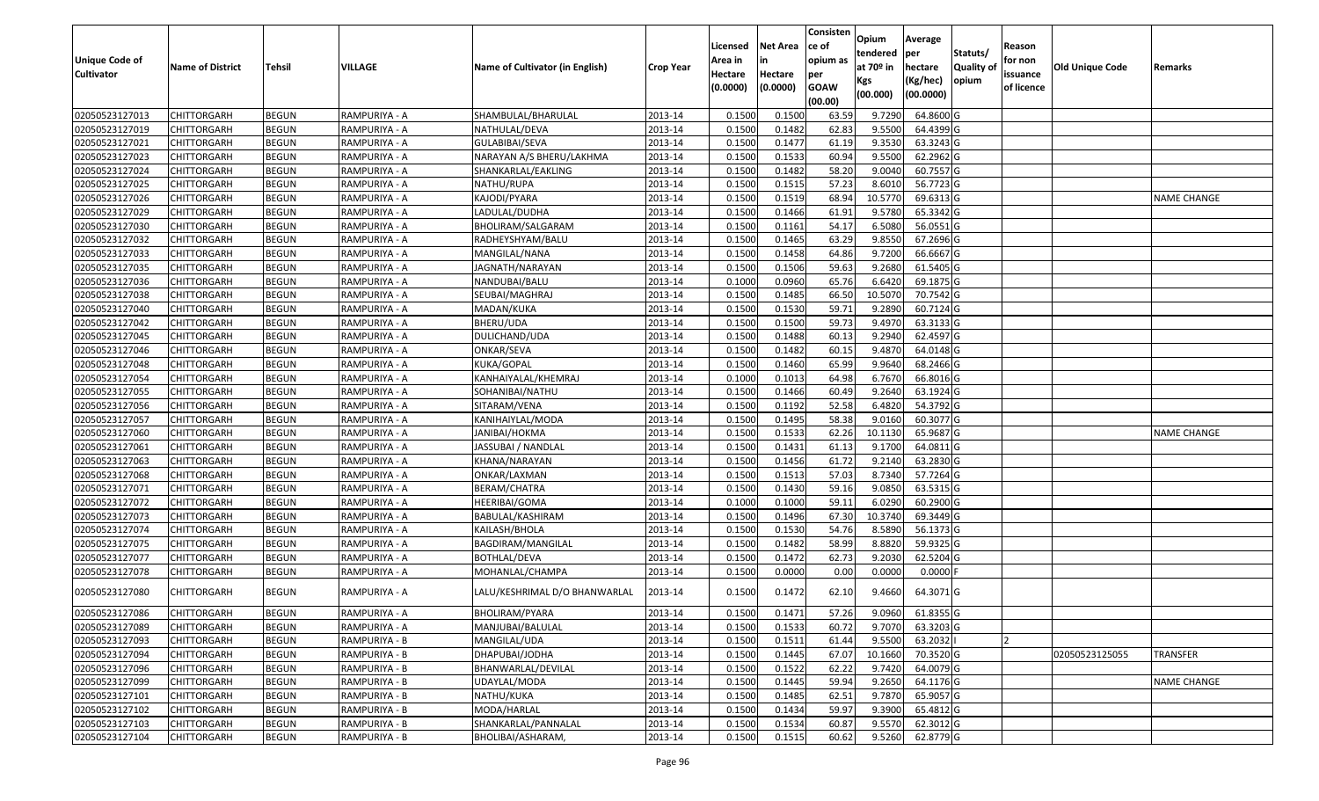|                       |                         |               |               |                                 |                  |          |                 | Consisten              | Opium       | Average          |                  |            |                 |                    |
|-----------------------|-------------------------|---------------|---------------|---------------------------------|------------------|----------|-----------------|------------------------|-------------|------------------|------------------|------------|-----------------|--------------------|
|                       |                         |               |               |                                 |                  | Licensed | <b>Net Area</b> | ce of                  | tendered    | per              | Statuts/         | Reason     |                 |                    |
| <b>Unique Code of</b> | <b>Name of District</b> | <b>Tehsil</b> | VILLAGE       | Name of Cultivator (in English) | <b>Crop Year</b> | Area in  | in              | opium as               | at $70°$ in | hectare          | <b>Quality o</b> | for non    | Old Unique Code | Remarks            |
| <b>Cultivator</b>     |                         |               |               |                                 |                  | Hectare  | Hectare         | per                    | Kgs         | (Kg/hec)         | opium            | issuance   |                 |                    |
|                       |                         |               |               |                                 |                  | (0.0000) | (0.0000)        | <b>GOAW</b><br>(00.00) | (00.000)    | (00.0000)        |                  | of licence |                 |                    |
| 02050523127013        | CHITTORGARH             | <b>BEGUN</b>  | RAMPURIYA - A | SHAMBULAL/BHARULAL              | 2013-14          | 0.1500   | 0.1500          | 63.59                  | 9.7290      | 64.8600 G        |                  |            |                 |                    |
| 02050523127019        | CHITTORGARH             | <b>BEGUN</b>  | RAMPURIYA - A | NATHULAL/DEVA                   | 2013-14          | 0.1500   | 0.1482          | 62.83                  | 9.5500      | 64.4399 G        |                  |            |                 |                    |
| 02050523127021        | CHITTORGARH             | <b>BEGUN</b>  | RAMPURIYA - A | GULABIBAI/SEVA                  | 2013-14          | 0.1500   | 0.1477          | 61.19                  | 9.3530      | 63.3243 G        |                  |            |                 |                    |
| 02050523127023        | <b>CHITTORGARH</b>      | <b>BEGUN</b>  | RAMPURIYA - A | NARAYAN A/S BHERU/LAKHMA        | 2013-14          | 0.1500   | 0.1533          | 60.94                  | 9.5500      | 62.2962 G        |                  |            |                 |                    |
| 02050523127024        | CHITTORGARH             | <b>BEGUN</b>  | RAMPURIYA - A | SHANKARLAL/EAKLING              | 2013-14          | 0.1500   | 0.1482          | 58.20                  | 9.0040      | 60.7557 G        |                  |            |                 |                    |
| 02050523127025        | CHITTORGARH             | <b>BEGUN</b>  | RAMPURIYA - A | NATHU/RUPA                      | 2013-14          | 0.1500   | 0.1515          | 57.23                  | 8.6010      | 56.7723 G        |                  |            |                 |                    |
| 02050523127026        | CHITTORGARH             | <b>BEGUN</b>  | RAMPURIYA - A | KAJODI/PYARA                    | 2013-14          | 0.1500   | 0.1519          | 68.94                  | 10.5770     | 69.6313 G        |                  |            |                 | <b>NAME CHANGE</b> |
| 02050523127029        | CHITTORGARH             | <b>BEGUN</b>  | RAMPURIYA - A | LADULAL/DUDHA                   | 2013-14          | 0.1500   | 0.1466          | 61.91                  | 9.5780      | 65.3342 G        |                  |            |                 |                    |
| 02050523127030        | CHITTORGARH             | <b>BEGUN</b>  | RAMPURIYA - A | BHOLIRAM/SALGARAM               | 2013-14          | 0.1500   | 0.1161          | 54.17                  | 6.5080      | 56.0551 G        |                  |            |                 |                    |
| 02050523127032        | CHITTORGARH             | <b>BEGUN</b>  | RAMPURIYA - A | RADHEYSHYAM/BALU                | 2013-14          | 0.1500   | 0.1465          | 63.29                  | 9.8550      | 67.2696 G        |                  |            |                 |                    |
| 02050523127033        | CHITTORGARH             | <b>BEGUN</b>  | RAMPURIYA - A | MANGILAL/NANA                   | 2013-14          | 0.1500   | 0.1458          | 64.86                  | 9.7200      | 66.6667 G        |                  |            |                 |                    |
| 02050523127035        | CHITTORGARH             | <b>BEGUN</b>  | RAMPURIYA - A | JAGNATH/NARAYAN                 | 2013-14          | 0.1500   | 0.1506          | 59.63                  | 9.2680      | 61.5405 G        |                  |            |                 |                    |
| 02050523127036        | <b>CHITTORGARH</b>      | <b>BEGUN</b>  | RAMPURIYA - A | NANDUBAI/BALU                   | 2013-14          | 0.1000   | 0.0960          | 65.76                  | 6.6420      | 69.1875 G        |                  |            |                 |                    |
| 02050523127038        | <b>CHITTORGARH</b>      | <b>BEGUN</b>  | RAMPURIYA - A | SEUBAI/MAGHRAJ                  | 2013-14          | 0.1500   | 0.1485          | 66.50                  | 10.5070     | 70.7542 G        |                  |            |                 |                    |
| 02050523127040        | <b>CHITTORGARH</b>      | <b>BEGUN</b>  | RAMPURIYA - A | MADAN/KUKA                      | 2013-14          | 0.1500   | 0.1530          | 59.71                  | 9.2890      | 60.7124 G        |                  |            |                 |                    |
| 02050523127042        | <b>CHITTORGARH</b>      | <b>BEGUN</b>  | RAMPURIYA - A | BHERU/UDA                       | 2013-14          | 0.1500   | 0.1500          | 59.73                  | 9.4970      | 63.3133 G        |                  |            |                 |                    |
| 02050523127045        | <b>CHITTORGARH</b>      | <b>BEGUN</b>  | RAMPURIYA - A | DULICHAND/UDA                   | 2013-14          | 0.1500   | 0.1488          | 60.13                  | 9.2940      | 62.4597 G        |                  |            |                 |                    |
| 02050523127046        | CHITTORGARH             | <b>BEGUN</b>  | RAMPURIYA - A | ONKAR/SEVA                      | 2013-14          | 0.1500   | 0.1482          | 60.15                  | 9.4870      | 64.0148 G        |                  |            |                 |                    |
| 02050523127048        | CHITTORGARH             | <b>BEGUN</b>  | RAMPURIYA - A | KUKA/GOPAL                      | 2013-14          | 0.1500   | 0.1460          | 65.99                  | 9.9640      | 68.2466 G        |                  |            |                 |                    |
| 02050523127054        | CHITTORGARH             | <b>BEGUN</b>  | RAMPURIYA - A | KANHAIYALAL/KHEMRAJ             | 2013-14          | 0.1000   | 0.1013          | 64.98                  | 6.7670      | 66.8016 G        |                  |            |                 |                    |
| 02050523127055        | CHITTORGARH             | <b>BEGUN</b>  | RAMPURIYA - A | SOHANIBAI/NATHU                 | 2013-14          | 0.1500   | 0.1466          | 60.49                  | 9.2640      | 63.1924 G        |                  |            |                 |                    |
| 02050523127056        | CHITTORGARH             | <b>BEGUN</b>  | RAMPURIYA - A | SITARAM/VENA                    | 2013-14          | 0.1500   | 0.1192          | 52.58                  | 6.4820      | 54.3792 G        |                  |            |                 |                    |
| 02050523127057        | CHITTORGARH             | <b>BEGUN</b>  | RAMPURIYA - A | KANIHAIYLAL/MODA                | 2013-14          | 0.1500   | 0.1495          | 58.38                  | 9.0160      | 60.3077 G        |                  |            |                 |                    |
| 02050523127060        | <b>CHITTORGARH</b>      | <b>BEGUN</b>  | RAMPURIYA - A | JANIBAI/HOKMA                   | 2013-14          | 0.1500   | 0.1533          | 62.26                  | 10.1130     | 65.9687 G        |                  |            |                 | <b>NAME CHANGE</b> |
| 02050523127061        | <b>CHITTORGARH</b>      | <b>BEGUN</b>  | RAMPURIYA - A | JASSUBAI / NANDLAL              | 2013-14          | 0.1500   | 0.1431          | 61.13                  | 9.1700      | 64.0811 G        |                  |            |                 |                    |
| 02050523127063        | CHITTORGARH             | <b>BEGUN</b>  | RAMPURIYA - A | KHANA/NARAYAN                   | 2013-14          | 0.1500   | 0.1456          | 61.72                  | 9.2140      | 63.2830 G        |                  |            |                 |                    |
| 02050523127068        | CHITTORGARH             | <b>BEGUN</b>  | RAMPURIYA - A | ONKAR/LAXMAN                    | 2013-14          | 0.1500   | 0.1513          | 57.03                  | 8.7340      | 57.7264 G        |                  |            |                 |                    |
| 02050523127071        | CHITTORGARH             | <b>BEGUN</b>  | RAMPURIYA - A | BERAM/CHATRA                    | 2013-14          | 0.1500   | 0.1430          | 59.16                  | 9.0850      | 63.5315 G        |                  |            |                 |                    |
| 02050523127072        | CHITTORGARH             | <b>BEGUN</b>  | RAMPURIYA - A | HEERIBAI/GOMA                   | 2013-14          | 0.1000   | 0.1000          | 59.11                  | 6.0290      | 60.2900 G        |                  |            |                 |                    |
| 02050523127073        | CHITTORGARH             | <b>BEGUN</b>  | RAMPURIYA - A | BABULAL/KASHIRAM                | 2013-14          | 0.1500   | 0.1496          | 67.30                  | 10.3740     | 69.3449 G        |                  |            |                 |                    |
| 02050523127074        | CHITTORGARH             | <b>BEGUN</b>  | RAMPURIYA - A | KAILASH/BHOLA                   | 2013-14          | 0.1500   | 0.1530          | 54.76                  | 8.5890      | 56.1373 G        |                  |            |                 |                    |
| 02050523127075        | CHITTORGARH             | <b>BEGUN</b>  | RAMPURIYA - A | BAGDIRAM/MANGILAL               | 2013-14          | 0.1500   | 0.1482          | 58.99                  | 8.8820      | 59.9325 G        |                  |            |                 |                    |
| 02050523127077        | CHITTORGARH             | <b>BEGUN</b>  | RAMPURIYA - A | <b>BOTHLAL/DEVA</b>             | 2013-14          | 0.1500   | 0.1472          | 62.73                  | 9.2030      | 62.5204 G        |                  |            |                 |                    |
| 02050523127078        | CHITTORGARH             | <b>BEGUN</b>  | RAMPURIYA - A | MOHANLAL/CHAMPA                 | 2013-14          | 0.1500   | 0.0000          | 0.00                   | 0.0000      | 0.0000F          |                  |            |                 |                    |
| 02050523127080        | CHITTORGARH             | <b>BEGUN</b>  | RAMPURIYA - A | LALU/KESHRIMAL D/O BHANWARLAL   | 2013-14          | 0.1500   | 0.1472          | 62.10                  | 9.4660      | 64.3071 G        |                  |            |                 |                    |
| 02050523127086        | <b>CHITTORGARH</b>      | <b>BEGUN</b>  | RAMPURIYA - A | BHOLIRAM/PYARA                  | 2013-14          | 0.1500   | 0.1471          | 57.26                  |             | 9.0960 61.8355 G |                  |            |                 |                    |
| 02050523127089        | <b>CHITTORGARH</b>      | <b>BEGUN</b>  | RAMPURIYA - A | MANJUBAI/BALULAL                | 2013-14          | 0.1500   | 0.1533          | 60.72                  | 9.7070      | 63.3203 G        |                  |            |                 |                    |
| 02050523127093        | <b>CHITTORGARH</b>      | <b>BEGUN</b>  | RAMPURIYA - B | MANGILAL/UDA                    | 2013-14          | 0.1500   | 0.1511          | 61.44                  | 9.5500      | 63.2032          |                  |            |                 |                    |
| 02050523127094        | <b>CHITTORGARH</b>      | <b>BEGUN</b>  | RAMPURIYA - B | DHAPUBAI/JODHA                  | 2013-14          | 0.1500   | 0.1445          | 67.07                  | 10.1660     | 70.3520 G        |                  |            | 02050523125055  | <b>TRANSFER</b>    |
| 02050523127096        | <b>CHITTORGARH</b>      | <b>BEGUN</b>  | RAMPURIYA - B | BHANWARLAL/DEVILAL              | 2013-14          | 0.1500   | 0.1522          | 62.22                  | 9.7420      | 64.0079 G        |                  |            |                 |                    |
| 02050523127099        | <b>CHITTORGARH</b>      | <b>BEGUN</b>  | RAMPURIYA - B | UDAYLAL/MODA                    | 2013-14          | 0.1500   | 0.1445          | 59.94                  | 9.2650      | 64.1176 G        |                  |            |                 | <b>NAME CHANGE</b> |
| 02050523127101        | <b>CHITTORGARH</b>      | <b>BEGUN</b>  | RAMPURIYA - B | NATHU/KUKA                      | 2013-14          | 0.1500   | 0.1485          | 62.51                  | 9.7870      | 65.9057 G        |                  |            |                 |                    |
| 02050523127102        | <b>CHITTORGARH</b>      | <b>BEGUN</b>  | RAMPURIYA - B | MODA/HARLAL                     | 2013-14          | 0.1500   | 0.1434          | 59.97                  | 9.3900      | 65.4812 G        |                  |            |                 |                    |
| 02050523127103        | <b>CHITTORGARH</b>      | <b>BEGUN</b>  | RAMPURIYA - B | SHANKARLAL/PANNALAL             | 2013-14          | 0.1500   | 0.1534          | 60.87                  | 9.5570      | 62.3012 G        |                  |            |                 |                    |
| 02050523127104        | <b>CHITTORGARH</b>      | <b>BEGUN</b>  | RAMPURIYA - B | BHOLIBAI/ASHARAM,               | 2013-14          | 0.1500   | 0.1515          | 60.62                  | 9.5260      | 62.8779 G        |                  |            |                 |                    |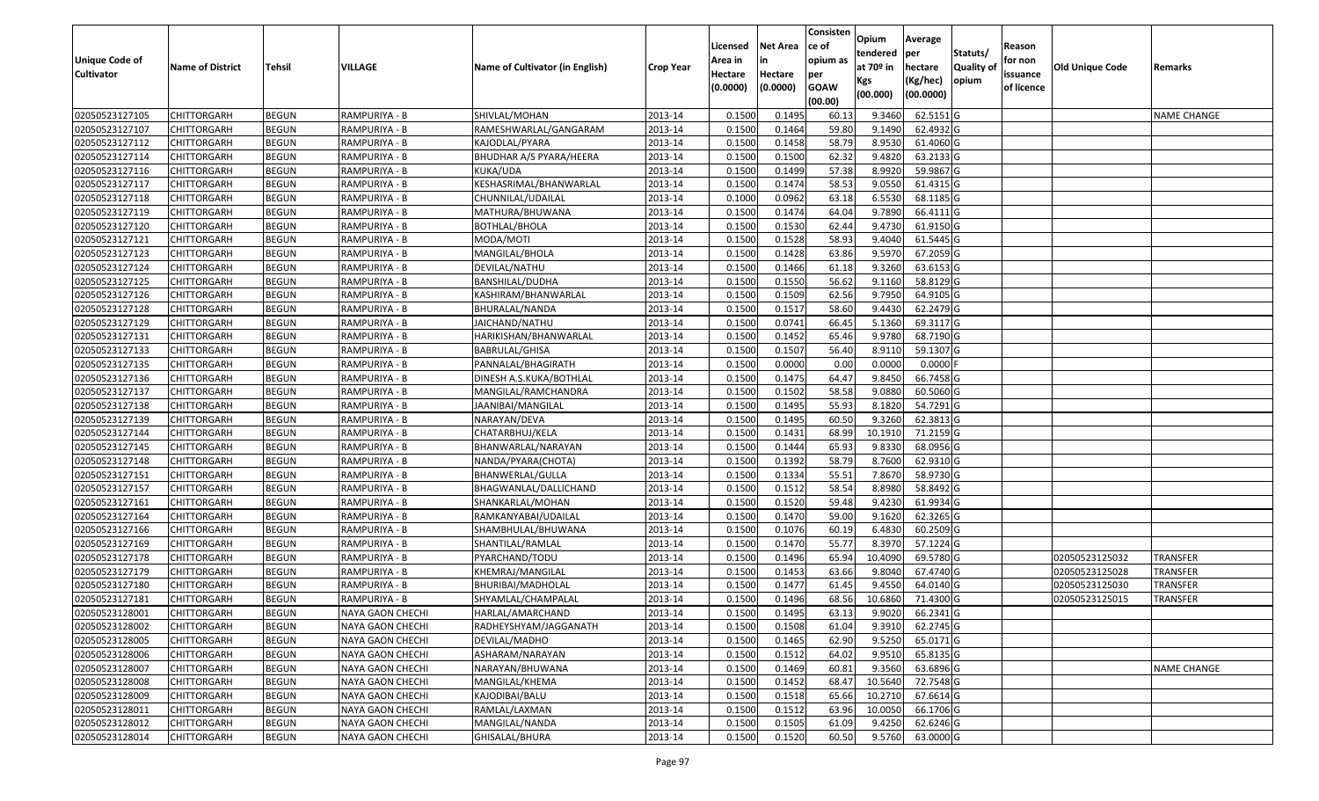|                                  |                                          |                              |                                      |                                   |                    |                  |                  | Consisten              | Opium              | Average                |                  |            |                 |                    |
|----------------------------------|------------------------------------------|------------------------------|--------------------------------------|-----------------------------------|--------------------|------------------|------------------|------------------------|--------------------|------------------------|------------------|------------|-----------------|--------------------|
|                                  |                                          |                              |                                      |                                   |                    | Licensed         | <b>Net Area</b>  | ce of                  | tendered           | per                    | Statuts/         | Reason     |                 |                    |
| Unique Code of                   | <b>Name of District</b>                  | <b>Tehsil</b>                | VILLAGE                              | Name of Cultivator (in English)   | <b>Crop Year</b>   | Area in          | in               | opium as               | at $70°$ in        | hectare                | <b>Quality o</b> | for non    | Old Unique Code | Remarks            |
| <b>Cultivator</b>                |                                          |                              |                                      |                                   |                    | Hectare          | Hectare          | per                    | Kgs                | (Kg/hec)               | opium            | issuance   |                 |                    |
|                                  |                                          |                              |                                      |                                   |                    | (0.0000)         | (0.0000)         | <b>GOAW</b><br>(00.00) | (00.000)           | (00.0000)              |                  | of licence |                 |                    |
| 02050523127105                   | CHITTORGARH                              | <b>BEGUN</b>                 | RAMPURIYA - B                        | SHIVLAL/MOHAN                     | 2013-14            | 0.1500           | 0.1495           | 60.13                  | 9.3460             | 62.5151G               |                  |            |                 | <b>NAME CHANGE</b> |
| 02050523127107                   | CHITTORGARH                              | <b>BEGUN</b>                 | RAMPURIYA - B                        | RAMESHWARLAL/GANGARAM             | 2013-14            | 0.1500           | 0.1464           | 59.80                  | 9.1490             | 62.4932 G              |                  |            |                 |                    |
| 02050523127112                   | CHITTORGARH                              | <b>BEGUN</b>                 | RAMPURIYA - B                        | KAJODLAL/PYARA                    | 2013-14            | 0.1500           | 0.1458           | 58.79                  | 8.9530             | 61.4060 G              |                  |            |                 |                    |
| 02050523127114                   | <b>CHITTORGARH</b>                       | <b>BEGUN</b>                 | RAMPURIYA - B                        | BHUDHAR A/S PYARA/HEERA           | 2013-14            | 0.1500           | 0.1500           | 62.32                  | 9.4820             | 63.2133 G              |                  |            |                 |                    |
| 02050523127116                   | CHITTORGARH                              | <b>BEGUN</b>                 | RAMPURIYA - B                        | KUKA/UDA                          | 2013-14            | 0.1500           | 0.1499           | 57.38                  | 8.9920             | 59.9867 G              |                  |            |                 |                    |
| 02050523127117                   | CHITTORGARH                              | <b>BEGUN</b>                 | RAMPURIYA - B                        | KESHASRIMAL/BHANWARLAL            | 2013-14            | 0.1500           | 0.1474           | 58.53                  | 9.0550             | 61.4315 G              |                  |            |                 |                    |
| 02050523127118                   | CHITTORGARH                              | <b>BEGUN</b>                 | RAMPURIYA - B                        | CHUNNILAL/UDAILAL                 | 2013-14            | 0.1000           | 0.0962           | 63.18                  | 6.5530             | 68.1185 G              |                  |            |                 |                    |
| 02050523127119                   | <b>CHITTORGARH</b>                       | <b>BEGUN</b>                 | RAMPURIYA - B                        | MATHURA/BHUWANA                   | 2013-14            | 0.1500           | 0.1474           | 64.04                  | 9.7890             | 66.4111G               |                  |            |                 |                    |
| 02050523127120                   | CHITTORGARH                              | <b>BEGUN</b>                 | RAMPURIYA - B                        | <b>BOTHLAL/BHOLA</b>              | 2013-14            | 0.1500           | 0.1530           | 62.44                  | 9.4730             | 61.9150 G              |                  |            |                 |                    |
| 02050523127121                   | CHITTORGARH                              | <b>BEGUN</b>                 | RAMPURIYA - B                        | MODA/MOTI                         | 2013-14            | 0.1500           | 0.1528           | 58.93                  | 9.4040             | 61.5445 G              |                  |            |                 |                    |
| 02050523127123                   | CHITTORGARH                              | <b>BEGUN</b>                 | RAMPURIYA - B                        | MANGILAL/BHOLA                    | 2013-14            | 0.1500           | 0.1428           | 63.86                  | 9.5970             | 67.2059 G              |                  |            |                 |                    |
| 02050523127124                   | <b>CHITTORGARH</b>                       | <b>BEGUN</b>                 | RAMPURIYA - B                        | DEVILAL/NATHU                     | 2013-14            | 0.1500           | 0.1466           | 61.18                  | 9.3260             | 63.6153 G              |                  |            |                 |                    |
| 02050523127125                   | <b>CHITTORGARH</b>                       | <b>BEGUN</b>                 | RAMPURIYA - B                        | BANSHILAL/DUDHA                   | 2013-14            | 0.1500           | 0.1550           | 56.62                  | 9.1160             | 58.8129 G              |                  |            |                 |                    |
| 02050523127126                   | <b>CHITTORGARH</b>                       | <b>BEGUN</b>                 | RAMPURIYA - B                        | KASHIRAM/BHANWARLAL               | 2013-14            | 0.1500           | 0.1509           | 62.56                  | 9.7950             | 64.9105 G              |                  |            |                 |                    |
| 02050523127128                   | CHITTORGARH                              | <b>BEGUN</b>                 | RAMPURIYA - B                        | BHURALAL/NANDA                    | 2013-14            | 0.1500           | 0.1517           | 58.60                  | 9.4430             | 62.2479 G              |                  |            |                 |                    |
| 02050523127129                   | <b>CHITTORGARH</b>                       | <b>BEGUN</b>                 | RAMPURIYA - B                        | JAICHAND/NATHU                    | 2013-14            | 0.1500           | 0.0741           | 66.45                  | 5.1360             | 69.3117 G              |                  |            |                 |                    |
| 02050523127131                   | <b>CHITTORGARH</b>                       | <b>BEGUN</b>                 | RAMPURIYA - B                        | HARIKISHAN/BHANWARLAL             | 2013-14            | 0.1500           | 0.1452           | 65.46                  | 9.9780             | 68.7190 G              |                  |            |                 |                    |
| 02050523127133                   | CHITTORGARH                              | <b>BEGUN</b>                 | RAMPURIYA - B                        | BABRULAL/GHISA                    | 2013-14            | 0.1500           | 0.1507           | 56.40                  | 8.9110             | 59.1307 G              |                  |            |                 |                    |
| 02050523127135                   | CHITTORGARH                              | <b>BEGUN</b>                 | RAMPURIYA - B                        | PANNALAL/BHAGIRATH                | 2013-14            | 0.1500           | 0.0000           | 0.00                   | 0.0000             | 0.0000F                |                  |            |                 |                    |
| 02050523127136                   | CHITTORGARH                              | <b>BEGUN</b>                 | RAMPURIYA - B                        | DINESH A.S.KUKA/BOTHLAL           | 2013-14            | 0.1500           | 0.1475           | 64.47                  | 9.8450             | 66.7458 G              |                  |            |                 |                    |
| 02050523127137                   | CHITTORGARH                              | <b>BEGUN</b>                 | RAMPURIYA - B                        | MANGILAL/RAMCHANDRA               | 2013-14            | 0.1500           | 0.1502           | 58.58                  | 9.0880             | 60.5060G               |                  |            |                 |                    |
| 02050523127138                   | CHITTORGARH                              | <b>BEGUN</b>                 | RAMPURIYA - B                        | JAANIBAI/MANGILAL                 | 2013-14            | 0.1500           | 0.1495           | 55.93                  | 8.1820             | 54.7291 G              |                  |            |                 |                    |
| 02050523127139                   | CHITTORGARH                              | <b>BEGUN</b>                 | RAMPURIYA - B                        | NARAYAN/DEVA                      | 2013-14            | 0.1500           | 0.1495           | 60.50                  | 9.3260             | 62.3813 G              |                  |            |                 |                    |
| 02050523127144                   | CHITTORGARH                              | <b>BEGUN</b>                 | RAMPURIYA - B                        | CHATARBHUJ/KELA                   | 2013-14            | 0.1500           | 0.1431           | 68.99                  | 10.1910            | 71.2159 G              |                  |            |                 |                    |
| 02050523127145                   | CHITTORGARH                              | <b>BEGUN</b>                 | RAMPURIYA - B                        | BHANWARLAL/NARAYAN                | 2013-14            | 0.1500           | 0.1444           | 65.93                  | 9.8330             | 68.0956 G              |                  |            |                 |                    |
| 02050523127148                   | CHITTORGARH                              | <b>BEGUN</b>                 | RAMPURIYA - B                        | NANDA/PYARA(CHOTA)                | 2013-14            | 0.1500           | 0.1392           | 58.79                  | 8.7600             | 62.9310 G              |                  |            |                 |                    |
| 02050523127151                   | CHITTORGARH                              | <b>BEGUN</b>                 | RAMPURIYA - B                        | BHANWERLAL/GULLA                  | 2013-14            | 0.1500           | 0.1334           | 55.51                  | 7.8670             | 58.9730 G              |                  |            |                 |                    |
| 02050523127157                   | CHITTORGARH                              | <b>BEGUN</b>                 | RAMPURIYA - B                        | BHAGWANLAL/DALLICHAND             | 2013-14            | 0.1500           | 0.1512           | 58.54                  | 8.8980             | 58.8492 G              |                  |            |                 |                    |
| 02050523127161                   | CHITTORGARH                              | <b>BEGUN</b>                 | RAMPURIYA - B                        | SHANKARLAL/MOHAN                  | 2013-14            | 0.1500           | 0.1520           | 59.48                  | 9.4230             | 61.9934 G              |                  |            |                 |                    |
| 02050523127164                   | CHITTORGARH                              | <b>BEGUN</b>                 | RAMPURIYA - B                        | RAMKANYABAI/UDAILAL               | 2013-14            | 0.1500           | 0.1470           | 59.00                  | 9.1620             | $62.3265$ G            |                  |            |                 |                    |
| 02050523127166                   | CHITTORGARH                              | <b>BEGUN</b>                 | RAMPURIYA - B                        | SHAMBHULAL/BHUWANA                | 2013-14            | 0.1500           | 0.1076           | 60.19                  | 6.4830             | 60.2509 G              |                  |            |                 |                    |
| 02050523127169                   | CHITTORGARH                              | <b>BEGUN</b>                 | RAMPURIYA - B                        | SHANTILAL/RAMLAL                  | 2013-14            | 0.1500           | 0.1470           | 55.77                  | 8.3970             | 57.1224 G              |                  |            |                 |                    |
| 02050523127178                   | CHITTORGARH                              | <b>BEGUN</b>                 | RAMPURIYA - B                        | PYARCHAND/TODU                    | 2013-14            | 0.1500           | 0.1496           | 65.94                  | 10.4090            | 69.5780 G              |                  |            | 02050523125032  | <b>TRANSFER</b>    |
| 02050523127179                   | CHITTORGARH                              | <b>BEGUN</b>                 | RAMPURIYA - B                        | KHEMRAJ/MANGILAL                  | 2013-14            | 0.1500           | 0.1453           | 63.66                  | 9.8040             | 67.4740 G              |                  |            | 02050523125028  | <b>TRANSFER</b>    |
| 02050523127180                   | CHITTORGARH                              | <b>BEGUN</b>                 | RAMPURIYA - B                        | BHURIBAI/MADHOLAL                 | 2013-14            | 0.1500           | 0.1477           | 61.45                  | 9.4550             | 64.0140 G              |                  |            | 02050523125030  | <b>TRANSFER</b>    |
| 02050523127181                   | CHITTORGARH                              | <b>BEGUN</b>                 | RAMPURIYA - B                        | SHYAMLAL/CHAMPALAL                | 2013-14            | 0.1500           | 0.1496           | 68.56                  | 10.6860            | 71.4300 G              |                  |            | 02050523125015  | TRANSFER           |
| 02050523128001                   | <b>CHITTORGARH</b>                       | <b>BEGUN</b>                 | NAYA GAON CHECHI                     | HARLAL/AMARCHAND                  | 2013-14            | 0.1500           | 0.1495           | 63.13                  | 9.9020             | 66.2341 G              |                  |            |                 |                    |
| 02050523128002                   | <b>CHITTORGARH</b>                       | <b>BEGUN</b>                 | NAYA GAON CHECHI                     | RADHEYSHYAM/JAGGANATH             | 2013-14            | 0.1500           | 0.1508           | 61.04                  | 9.3910             | 62.2745 G              |                  |            |                 |                    |
| 02050523128005                   | <b>CHITTORGARH</b>                       | <b>BEGUN</b>                 | NAYA GAON CHECHI                     | DEVILAL/MADHO                     | 2013-14            | 0.1500           | 0.1465           | 62.90                  | 9.5250             | 65.0171 G              |                  |            |                 |                    |
| 02050523128006                   | <b>CHITTORGARH</b>                       | <b>BEGUN</b>                 | NAYA GAON CHECHI                     | ASHARAM/NARAYAN                   | 2013-14            | 0.1500           | 0.1512           | 64.02                  | 9.9510             | 65.8135 G              |                  |            |                 |                    |
| 02050523128007<br>02050523128008 | CHITTORGARH<br><b>CHITTORGARH</b>        | <b>BEGUN</b>                 | NAYA GAON CHECHI<br>NAYA GAON CHECHI | NARAYAN/BHUWANA<br>MANGILAL/KHEMA | 2013-14<br>2013-14 | 0.1500<br>0.1500 | 0.1469<br>0.1452 | 60.81<br>68.47         | 9.3560<br>10.5640  | 63.6896 G<br>72.7548 G |                  |            |                 | <b>NAME CHANGE</b> |
| 02050523128009                   |                                          | <b>BEGUN</b>                 | <b>NAYA GAON CHECHI</b>              |                                   |                    |                  |                  |                        |                    |                        |                  |            |                 |                    |
| 02050523128011                   | <b>CHITTORGARH</b>                       | <b>BEGUN</b><br><b>BEGUN</b> | NAYA GAON CHECHI                     | KAJODIBAI/BALU<br>RAMLAL/LAXMAN   | 2013-14            | 0.1500<br>0.1500 | 0.1518<br>0.1512 | 65.66<br>63.96         | 10.2710<br>10.0050 | 67.6614 G<br>66.1706 G |                  |            |                 |                    |
| 02050523128012                   | <b>CHITTORGARH</b><br><b>CHITTORGARH</b> | <b>BEGUN</b>                 | NAYA GAON CHECHI                     | MANGILAL/NANDA                    | 2013-14<br>2013-14 | 0.1500           | 0.1505           | 61.09                  | 9.4250             | 62.6246 G              |                  |            |                 |                    |
| 02050523128014                   | <b>CHITTORGARH</b>                       | <b>BEGUN</b>                 | NAYA GAON CHECHI                     | GHISALAL/BHURA                    | 2013-14            | 0.1500           | 0.1520           | 60.50                  | 9.5760             | 63.0000 G              |                  |            |                 |                    |
|                                  |                                          |                              |                                      |                                   |                    |                  |                  |                        |                    |                        |                  |            |                 |                    |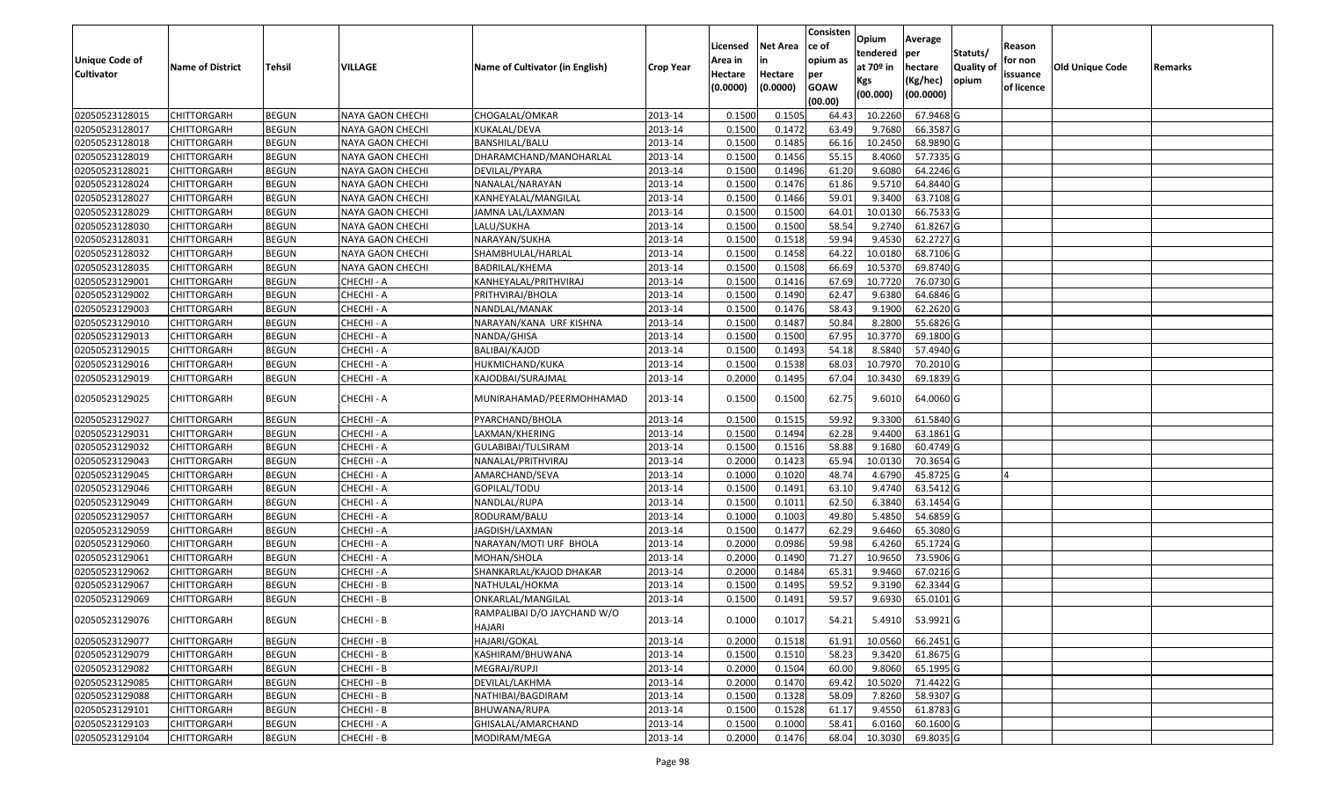| <b>Unique Code of</b><br><b>Cultivator</b> | <b>Name of District</b> | <b>Tehsil</b> | VILLAGE          | Name of Cultivator (in English)       | <b>Crop Year</b> | Licensed<br>Area in<br>Hectare<br>(0.0000) | <b>Net Area</b><br>in<br>Hectare<br>(0.0000) | Consisten<br>ce of<br>opium as<br>per<br><b>GOAW</b><br>(00.00) | Opium<br>tendered<br>at $70°$ in<br>Kgs<br>(00.000) | Average<br>per<br>hectare<br>(Kg/hec)<br>(00.0000) | Statuts/<br>Quality of<br>opium | Reason<br>for non<br>issuance<br>of licence | <b>Old Unique Code</b> | Remarks |
|--------------------------------------------|-------------------------|---------------|------------------|---------------------------------------|------------------|--------------------------------------------|----------------------------------------------|-----------------------------------------------------------------|-----------------------------------------------------|----------------------------------------------------|---------------------------------|---------------------------------------------|------------------------|---------|
| 02050523128015                             | <b>CHITTORGARH</b>      | <b>BEGUN</b>  | NAYA GAON CHECHI | CHOGALAL/OMKAR                        | 2013-14          | 0.1500                                     | 0.1505                                       | 64.43                                                           | 10.2260                                             | 67.9468 G                                          |                                 |                                             |                        |         |
| 02050523128017                             | CHITTORGARH             | <b>BEGUN</b>  | NAYA GAON CHECHI | KUKALAL/DEVA                          | 2013-14          | 0.1500                                     | 0.1472                                       | 63.49                                                           | 9.7680                                              | 66.3587 G                                          |                                 |                                             |                        |         |
| 02050523128018                             | CHITTORGARH             | <b>BEGUN</b>  | NAYA GAON CHECHI | BANSHILAL/BALU                        | 2013-14          | 0.1500                                     | 0.1485                                       | 66.16                                                           | 10.2450                                             | 68.9890 G                                          |                                 |                                             |                        |         |
| 02050523128019                             | <b>CHITTORGARH</b>      | <b>BEGUN</b>  | NAYA GAON CHECHI | DHARAMCHAND/MANOHARLAL                | 2013-14          | 0.1500                                     | 0.1456                                       | 55.15                                                           | 8.4060                                              | 57.7335 G                                          |                                 |                                             |                        |         |
| 02050523128021                             | <b>CHITTORGARH</b>      | <b>BEGUN</b>  | NAYA GAON CHECHI | DEVILAL/PYARA                         | 2013-14          | 0.1500                                     | 0.1496                                       | 61.20                                                           | 9.6080                                              | 64.2246 G                                          |                                 |                                             |                        |         |
| 02050523128024                             | CHITTORGARH             | <b>BEGUN</b>  | NAYA GAON CHECHI | NANALAL/NARAYAN                       | 2013-14          | 0.1500                                     | 0.1476                                       | 61.86                                                           | 9.5710                                              | 64.8440 G                                          |                                 |                                             |                        |         |
| 02050523128027                             | <b>CHITTORGARH</b>      | <b>BEGUN</b>  | NAYA GAON CHECHI | KANHEYALAL/MANGILAL                   | 2013-14          | 0.1500                                     | 0.1466                                       | 59.01                                                           | 9.3400                                              | 63.7108G                                           |                                 |                                             |                        |         |
| 02050523128029                             | CHITTORGARH             | <b>BEGUN</b>  | NAYA GAON CHECHI | JAMNA LAL/LAXMAN                      | 2013-14          | 0.1500                                     | 0.1500                                       | 64.01                                                           | 10.0130                                             | 66.7533 G                                          |                                 |                                             |                        |         |
| 02050523128030                             | CHITTORGARH             | <b>BEGUN</b>  | NAYA GAON CHECHI | LALU/SUKHA                            | 2013-14          | 0.1500                                     | 0.1500                                       | 58.54                                                           | 9.2740                                              | 61.8267 G                                          |                                 |                                             |                        |         |
| 02050523128031                             | CHITTORGARH             | <b>BEGUN</b>  | NAYA GAON CHECHI | NARAYAN/SUKHA                         | 2013-14          | 0.1500                                     | 0.1518                                       | 59.94                                                           | 9.4530                                              | 62.2727 G                                          |                                 |                                             |                        |         |
| 02050523128032                             | <b>CHITTORGARH</b>      | <b>BEGUN</b>  | NAYA GAON CHECHI | SHAMBHULAL/HARLAL                     | 2013-14          | 0.1500                                     | 0.1458                                       | 64.22                                                           | 10.0180                                             | 68.7106 G                                          |                                 |                                             |                        |         |
| 02050523128035                             | CHITTORGARH             | <b>BEGUN</b>  | NAYA GAON CHECHI | BADRILAL/KHEMA                        | 2013-14          | 0.1500                                     | 0.1508                                       | 66.69                                                           | 10.5370                                             | 69.8740 G                                          |                                 |                                             |                        |         |
| 02050523129001                             | CHITTORGARH             | <b>BEGUN</b>  | CHECHI - A       | KANHEYALAL/PRITHVIRAJ                 | 2013-14          | 0.1500                                     | 0.1416                                       | 67.69                                                           | 10.7720                                             | 76.0730 G                                          |                                 |                                             |                        |         |
| 02050523129002                             | CHITTORGARH             | <b>BEGUN</b>  | CHECHI - A       | PRITHVIRAJ/BHOLA                      | 2013-14          | 0.1500                                     | 0.1490                                       | 62.47                                                           | 9.6380                                              | 64.6846 G                                          |                                 |                                             |                        |         |
| 02050523129003                             | CHITTORGARH             | <b>BEGUN</b>  | CHECHI - A       | NANDLAL/MANAK                         | 2013-14          | 0.1500                                     | 0.1476                                       | 58.43                                                           | 9.1900                                              | 62.2620G                                           |                                 |                                             |                        |         |
| 02050523129010                             | CHITTORGARH             | <b>BEGUN</b>  | CHECHI - A       | NARAYAN/KANA URF KISHNA               | 2013-14          | 0.1500                                     | 0.1487                                       | 50.84                                                           | 8.2800                                              | 55.6826 G                                          |                                 |                                             |                        |         |
| 02050523129013                             | CHITTORGARH             | <b>BEGUN</b>  | CHECHI - A       | NANDA/GHISA                           | 2013-14          | 0.1500                                     | 0.1500                                       | 67.95                                                           | 10.3770                                             | 69.1800 G                                          |                                 |                                             |                        |         |
| 02050523129015                             | CHITTORGARH             | <b>BEGUN</b>  | CHECHI - A       | BALIBAI/KAJOD                         | 2013-14          | 0.1500                                     | 0.1493                                       | 54.18                                                           | 8.5840                                              | 57.4940 G                                          |                                 |                                             |                        |         |
| 02050523129016                             | CHITTORGARH             | <b>BEGUN</b>  | CHECHI - A       | HUKMICHAND/KUKA                       | 2013-14          | 0.1500                                     | 0.1538                                       | 68.03                                                           | 10.7970                                             | 70.2010 G                                          |                                 |                                             |                        |         |
| 02050523129019                             | CHITTORGARH             | <b>BEGUN</b>  | CHECHI - A       | KAJODBAI/SURAJMAL                     | 2013-14          | 0.2000                                     | 0.1495                                       | 67.04                                                           | 10.3430                                             | 69.1839 G                                          |                                 |                                             |                        |         |
| 02050523129025                             | CHITTORGARH             | <b>BEGUN</b>  | CHECHI - A       | MUNIRAHAMAD/PEERMOHHAMAD              | 2013-14          | 0.1500                                     | 0.1500                                       | 62.75                                                           | 9.6010                                              | 64.0060 G                                          |                                 |                                             |                        |         |
| 02050523129027                             | CHITTORGARH             | <b>BEGUN</b>  | CHECHI - A       | PYARCHAND/BHOLA                       | 2013-14          | 0.1500                                     | 0.1515                                       | 59.92                                                           | 9.3300                                              | 61.5840 G                                          |                                 |                                             |                        |         |
| 02050523129031                             | CHITTORGARH             | <b>BEGUN</b>  | CHECHI - A       | LAXMAN/KHERING                        | 2013-14          | 0.1500                                     | 0.1494                                       | 62.28                                                           | 9.4400                                              | 63.1861G                                           |                                 |                                             |                        |         |
| 02050523129032                             | CHITTORGARH             | <b>BEGUN</b>  | CHECHI - A       | GULABIBAI/TULSIRAM                    | 2013-14          | 0.1500                                     | 0.1516                                       | 58.88                                                           | 9.1680                                              | 60.4749 G                                          |                                 |                                             |                        |         |
| 02050523129043                             | CHITTORGARH             | <b>BEGUN</b>  | CHECHI - A       | NANALAL/PRITHVIRAJ                    | 2013-14          | 0.2000                                     | 0.1423                                       | 65.94                                                           | 10.0130                                             | 70.3654 G                                          |                                 |                                             |                        |         |
| 02050523129045                             | <b>CHITTORGARH</b>      | <b>BEGUN</b>  | CHECHI - A       | AMARCHAND/SEVA                        | 2013-14          | 0.1000                                     | 0.1020                                       | 48.74                                                           | 4.6790                                              | 45.8725 G                                          |                                 |                                             |                        |         |
| 02050523129046                             | <b>CHITTORGARH</b>      | <b>BEGUN</b>  | CHECHI - A       | GOPILAL/TODU                          | 2013-14          | 0.1500                                     | 0.1491                                       | 63.10                                                           | 9.4740                                              | 63.5412 G                                          |                                 |                                             |                        |         |
| 02050523129049                             | <b>CHITTORGARH</b>      | <b>BEGUN</b>  | CHECHI - A       | NANDLAL/RUPA                          | 2013-14          | 0.1500                                     | 0.1011                                       | 62.50                                                           | 6.3840                                              | 63.1454 G                                          |                                 |                                             |                        |         |
| 02050523129057                             | <b>CHITTORGARH</b>      | <b>BEGUN</b>  | CHECHI - A       | RODURAM/BALU                          | 2013-14          | 0.1000                                     | 0.1003                                       | 49.80                                                           | 5.4850                                              | 54.6859 G                                          |                                 |                                             |                        |         |
| 02050523129059                             | <b>CHITTORGARH</b>      | <b>BEGUN</b>  | CHECHI - A       | JAGDISH/LAXMAN                        | 2013-14          | 0.1500                                     | 0.1477                                       | 62.29                                                           | 9.6460                                              | 65.3080 G                                          |                                 |                                             |                        |         |
| 02050523129060                             | <b>CHITTORGARH</b>      | <b>BEGUN</b>  | CHECHI - A       | NARAYAN/MOTI URF BHOLA                | 2013-14          | 0.2000                                     | 0.0986                                       | 59.98                                                           | 6.4260                                              | 65.1724 G                                          |                                 |                                             |                        |         |
| 02050523129061                             | CHITTORGARH             | <b>BEGUN</b>  | CHECHI - A       | MOHAN/SHOLA                           | 2013-14          | 0.2000                                     | 0.1490                                       | 71.27                                                           | 10.9650                                             | 73.5906 G                                          |                                 |                                             |                        |         |
| 02050523129062                             | <b>CHITTORGARH</b>      | <b>BEGUN</b>  | CHECHI - A       | SHANKARLAL/KAJOD DHAKAR               | 2013-14          | 0.2000                                     | 0.1484                                       | 65.31                                                           | 9.9460                                              | 67.0216 G                                          |                                 |                                             |                        |         |
| 02050523129067                             | CHITTORGARH             | <b>BEGUN</b>  | CHECHI - B       | NATHULAL/HOKMA                        | 2013-14          | 0.150                                      | 0.1495                                       | 59.52                                                           | 9.3190                                              | 62.3344 G                                          |                                 |                                             |                        |         |
| 02050523129069                             | CHITTORGARH             | <b>BEGUN</b>  | CHECHI - B       | ONKARLAL/MANGILAL                     | 2013-14          | 0.1500                                     | 0.1491                                       | 59.57                                                           | 9.6930                                              | 65.0101G                                           |                                 |                                             |                        |         |
| 02050523129076                             | <b>CHITTORGARH</b>      | <b>BEGUN</b>  | CHECHI - B       | RAMPALIBAI D/O JAYCHAND W/O<br>HAJARI | 2013-14          | 0.1000                                     | 0.1017                                       | 54.21                                                           | 5.4910                                              | 53.9921 G                                          |                                 |                                             |                        |         |
| 02050523129077                             | <b>CHITTORGARH</b>      | <b>BEGUN</b>  | CHECHI - B       | HAJARI/GOKAL                          | 2013-14          | 0.2000                                     | 0.1518                                       | 61.91                                                           | 10.0560                                             | 66.2451 G                                          |                                 |                                             |                        |         |
| 02050523129079                             | <b>CHITTORGARH</b>      | <b>BEGUN</b>  | CHECHI - B       | KASHIRAM/BHUWANA                      | 2013-14          | 0.1500                                     | 0.1510                                       | 58.23                                                           | 9.3420                                              | 61.8675 G                                          |                                 |                                             |                        |         |
| 02050523129082                             | <b>CHITTORGARH</b>      | <b>BEGUN</b>  | CHECHI - B       | MEGRAJ/RUPJI                          | 2013-14          | 0.2000                                     | 0.1504                                       | 60.00                                                           | 9.8060                                              | 65.1995 G                                          |                                 |                                             |                        |         |
| 02050523129085                             | <b>CHITTORGARH</b>      | <b>BEGUN</b>  | CHECHI - B       | DEVILAL/LAKHMA                        | 2013-14          | 0.2000                                     | 0.1470                                       | 69.42                                                           | 10.5020                                             | 71.4422 G                                          |                                 |                                             |                        |         |
| 02050523129088                             | <b>CHITTORGARH</b>      | <b>BEGUN</b>  | CHECHI - B       | NATHIBAI/BAGDIRAM                     | 2013-14          | 0.1500                                     | 0.1328                                       | 58.09                                                           | 7.8260                                              | 58.9307 G                                          |                                 |                                             |                        |         |
| 02050523129101                             | <b>CHITTORGARH</b>      | <b>BEGUN</b>  | CHECHI - B       | BHUWANA/RUPA                          | 2013-14          | 0.1500                                     | 0.1528                                       | 61.17                                                           | 9.4550                                              | 61.8783 G                                          |                                 |                                             |                        |         |
| 02050523129103                             | CHITTORGARH             | <b>BEGUN</b>  | CHECHI - A       | GHISALAL/AMARCHAND                    | 2013-14          | 0.1500                                     | 0.1000                                       | 58.41                                                           | 6.0160                                              | 60.1600 G                                          |                                 |                                             |                        |         |
| 02050523129104                             | CHITTORGARH             | <b>BEGUN</b>  | CHECHI - B       | MODIRAM/MEGA                          | 2013-14          | 0.2000                                     | 0.1476                                       | 68.04                                                           | 10.3030                                             | 69.8035 G                                          |                                 |                                             |                        |         |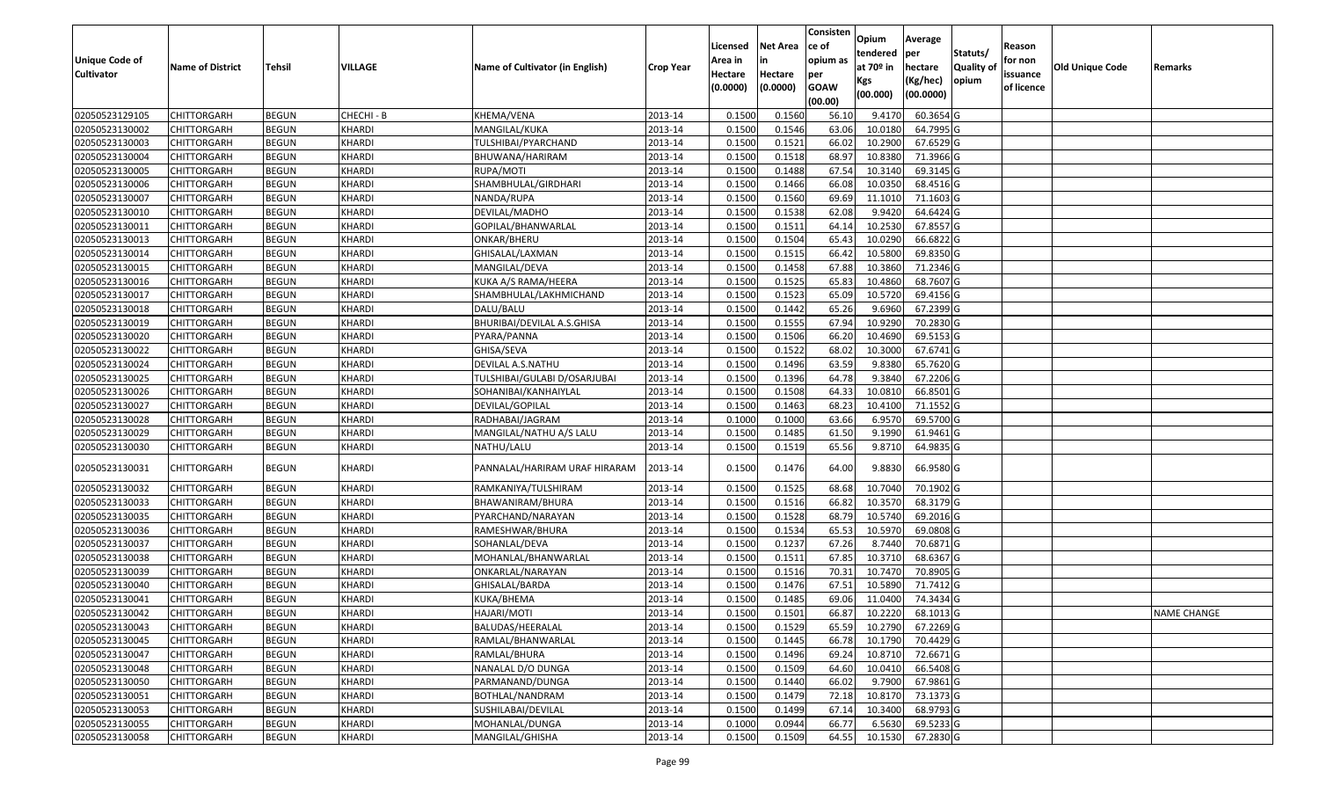|                   |                         |               |                |                                 |                  |          |                 | Consisten   | Opium         | Average   |                  |            |                 |                    |
|-------------------|-------------------------|---------------|----------------|---------------------------------|------------------|----------|-----------------|-------------|---------------|-----------|------------------|------------|-----------------|--------------------|
|                   |                         |               |                |                                 |                  | Licensed | <b>Net Area</b> | ce of       | tendered      | per       | Statuts/         | Reason     |                 |                    |
| Unique Code of    | <b>Name of District</b> | <b>Tehsil</b> | <b>VILLAGE</b> | Name of Cultivator (in English) | <b>Crop Year</b> | Area in  |                 | opium as    | at $70°$ in   | hectare   | <b>Quality o</b> | for non    | Old Unique Code | Remarks            |
| <b>Cultivator</b> |                         |               |                |                                 |                  | Hectare  | Hectare         | per         | Kgs           | (Kg/hec)  | opium            | issuance   |                 |                    |
|                   |                         |               |                |                                 |                  | (0.0000) | (0.0000)        | <b>GOAW</b> | (00.000)      | (00.0000) |                  | of licence |                 |                    |
|                   |                         |               |                |                                 |                  |          |                 | (00.00)     |               |           |                  |            |                 |                    |
| 02050523129105    | CHITTORGARH             | <b>BEGUN</b>  | CHECHI - B     | KHEMA/VENA                      | 2013-14          | 0.1500   | 0.1560          | 56.10       | 9.4170        | 60.3654 G |                  |            |                 |                    |
| 02050523130002    | CHITTORGARH             | <b>BEGUN</b>  | <b>KHARDI</b>  | MANGILAL/KUKA                   | 2013-14          | 0.1500   | 0.1546          | 63.06       | 10.0180       | 64.7995 G |                  |            |                 |                    |
| 02050523130003    | CHITTORGARH             | <b>BEGUN</b>  | <b>KHARDI</b>  | TULSHIBAI/PYARCHAND             | 2013-14          | 0.1500   | 0.1521          | 66.02       | 10.2900       | 67.6529 G |                  |            |                 |                    |
| 02050523130004    | CHITTORGARH             | <b>BEGUN</b>  | KHARDI         | BHUWANA/HARIRAM                 | 2013-14          | 0.1500   | 0.1518          | 68.97       | 10.8380       | 71.3966 G |                  |            |                 |                    |
| 02050523130005    | CHITTORGARH             | <b>BEGUN</b>  | <b>KHARDI</b>  | RUPA/MOTI                       | 2013-14          | 0.1500   | 0.1488          | 67.54       | 10.3140       | 69.3145 G |                  |            |                 |                    |
| 02050523130006    | CHITTORGARH             | <b>BEGUN</b>  | KHARDI         | SHAMBHULAL/GIRDHARI             | 2013-14          | 0.1500   | 0.1466          | 66.08       | 10.0350       | 68.4516 G |                  |            |                 |                    |
| 02050523130007    | CHITTORGARH             | <b>BEGUN</b>  | <b>KHARDI</b>  | NANDA/RUPA                      | 2013-14          | 0.1500   | 0.1560          | 69.69       | 11.101        | 71.1603 G |                  |            |                 |                    |
| 02050523130010    | <b>CHITTORGARH</b>      | <b>BEGUN</b>  | <b>KHARDI</b>  | DEVILAL/MADHO                   | 2013-14          | 0.1500   | 0.1538          | 62.08       | 9.9420        | 64.6424 G |                  |            |                 |                    |
| 02050523130011    | CHITTORGARH             | <b>BEGUN</b>  | <b>KHARDI</b>  | GOPILAL/BHANWARLAL              | 2013-14          | 0.1500   | 0.1511          | 64.14       | 10.2530       | 67.8557 G |                  |            |                 |                    |
| 02050523130013    | CHITTORGARH             | <b>BEGUN</b>  | <b>KHARDI</b>  | ONKAR/BHERU                     | 2013-14          | 0.1500   | 0.1504          | 65.43       | 10.0290       | 66.6822 G |                  |            |                 |                    |
| 02050523130014    | CHITTORGARH             | <b>BEGUN</b>  | KHARDI         | GHISALAL/LAXMAN                 | 2013-14          | 0.1500   | 0.1515          | 66.42       | 10.5800       | 69.8350 G |                  |            |                 |                    |
| 02050523130015    | <b>CHITTORGARH</b>      | <b>BEGUN</b>  | <b>KHARDI</b>  | MANGILAL/DEVA                   | 2013-14          | 0.1500   | 0.1458          | 67.88       | 10.3860       | 71.2346 G |                  |            |                 |                    |
| 02050523130016    | <b>CHITTORGARH</b>      | <b>BEGUN</b>  | KHARDI         | KUKA A/S RAMA/HEERA             | 2013-14          | 0.1500   | 0.1525          | 65.83       | 10.4860       | 68.7607 G |                  |            |                 |                    |
| 02050523130017    | CHITTORGARH             | <b>BEGUN</b>  | KHARDI         | SHAMBHULAL/LAKHMICHAND          | 2013-14          | 0.1500   | 0.1523          | 65.09       | 10.5720       | 69.4156 G |                  |            |                 |                    |
| 02050523130018    | <b>CHITTORGARH</b>      | <b>BEGUN</b>  | KHARDI         | DALU/BALU                       | 2013-14          | 0.1500   | 0.1442          | 65.26       | 9.6960        | 67.2399 G |                  |            |                 |                    |
| 02050523130019    | CHITTORGARH             | <b>BEGUN</b>  | KHARDI         | BHURIBAI/DEVILAL A.S.GHISA      | 2013-14          | 0.1500   | 0.1555          | 67.94       | 10.9290       | 70.2830 G |                  |            |                 |                    |
| 02050523130020    | CHITTORGARH             | <b>BEGUN</b>  | <b>KHARDI</b>  | PYARA/PANNA                     | 2013-14          | 0.1500   | 0.1506          | 66.20       | 10.4690       | 69.5153 G |                  |            |                 |                    |
| 02050523130022    | CHITTORGARH             | <b>BEGUN</b>  | <b>KHARDI</b>  | GHISA/SEVA                      | 2013-14          | 0.1500   | 0.1522          | 68.02       | 10.3000       | 67.6741G  |                  |            |                 |                    |
| 02050523130024    | CHITTORGARH             | <b>BEGUN</b>  | KHARDI         | DEVILAL A.S.NATHU               | 2013-14          | 0.1500   | 0.1496          | 63.59       | 9.8380        | 65.7620 G |                  |            |                 |                    |
| 02050523130025    | CHITTORGARH             | <b>BEGUN</b>  | KHARDI         | TULSHIBAI/GULABI D/OSARJUBAI    | 2013-14          | 0.1500   | 0.1396          | 64.78       | 9.3840        | 67.2206 G |                  |            |                 |                    |
| 02050523130026    | CHITTORGARH             | <b>BEGUN</b>  | KHARDI         | SOHANIBAI/KANHAIYLAL            | 2013-14          | 0.1500   | 0.1508          | 64.33       | 10.0810       | 66.8501G  |                  |            |                 |                    |
| 02050523130027    | CHITTORGARH             | <b>BEGUN</b>  | <b>KHARDI</b>  | DEVILAL/GOPILAL                 | 2013-14          | 0.150    | 0.1463          | 68.23       | 10.4100       | 71.1552 G |                  |            |                 |                    |
| 02050523130028    | CHITTORGARH             | <b>BEGUN</b>  | KHARDI         | RADHABAI/JAGRAM                 | 2013-14          | 0.1000   | 0.1000          | 63.66       | 6.9570        | 69.5700 G |                  |            |                 |                    |
| 02050523130029    | CHITTORGARH             | <b>BEGUN</b>  | <b>KHARDI</b>  | MANGILAL/NATHU A/S LALU         | 2013-14          | 0.150    | 0.1485          | 61.50       | 9.1990        | 61.9461 G |                  |            |                 |                    |
| 02050523130030    | CHITTORGARH             | <b>BEGUN</b>  | <b>KHARDI</b>  | NATHU/LALU                      | 2013-14          | 0.1500   | 0.1519          | 65.56       | 9.8710        | 64.9835 G |                  |            |                 |                    |
| 02050523130031    | CHITTORGARH             | <b>BEGUN</b>  | KHARDI         | PANNALAL/HARIRAM URAF HIRARAM   | 2013-14          | 0.1500   | 0.1476          | 64.00       | 9.8830        | 66.9580 G |                  |            |                 |                    |
| 02050523130032    | CHITTORGARH             | <b>BEGUN</b>  | <b>KHARDI</b>  | RAMKANIYA/TULSHIRAM             | 2013-14          | 0.1500   | 0.1525          | 68.68       | 10.7040       | 70.1902 G |                  |            |                 |                    |
| 02050523130033    | CHITTORGARH             | <b>BEGUN</b>  | <b>KHARDI</b>  | BHAWANIRAM/BHURA                | 2013-14          | 0.1500   | 0.1516          | 66.82       | 10.3570       | 68.3179 G |                  |            |                 |                    |
| 02050523130035    | CHITTORGARH             | <b>BEGUN</b>  | <b>KHARDI</b>  | PYARCHAND/NARAYAN               | 2013-14          | 0.1500   | 0.1528          | 68.79       | 10.5740       | 69.2016 G |                  |            |                 |                    |
| 02050523130036    | CHITTORGARH             | <b>BEGUN</b>  | <b>KHARDI</b>  | RAMESHWAR/BHURA                 | 2013-14          | 0.1500   | 0.1534          | 65.53       | 10.597        | 69.0808 G |                  |            |                 |                    |
| 02050523130037    | CHITTORGARH             | <b>BEGUN</b>  | <b>KHARDI</b>  | SOHANLAL/DEVA                   | 2013-14          | 0.1500   | 0.1237          | 67.26       | 8.7440        | 70.6871G  |                  |            |                 |                    |
| 02050523130038    | <b>CHITTORGARH</b>      | <b>BEGUN</b>  | <b>KHARDI</b>  | MOHANLAL/BHANWARLAL             | 2013-14          | 0.1500   | 0.1511          | 67.85       | 10.3710       | 68.6367 G |                  |            |                 |                    |
| 02050523130039    | <b>CHITTORGARH</b>      | <b>BEGUN</b>  | <b>KHARDI</b>  | ONKARLAL/NARAYAN                | 2013-14          | 0.1500   | 0.1516          | 70.3        | 10.7470       | 70.8905 G |                  |            |                 |                    |
| 02050523130040    | CHITTORGARH             | <b>BEGUN</b>  | <b>KHARDI</b>  | GHISALAL/BARDA                  | 2013-14          | 0.150    | 0.1476          | 67.5        | 10.5890       | 71.7412G  |                  |            |                 |                    |
| 02050523130041    | CHITTORGARH             | <b>BEGUN</b>  | <b>KHARDI</b>  | KUKA/BHEMA                      | 2013-14          | 0.1500   | 0.1485          | 69.06       | 11.0400       | 74.3434 G |                  |            |                 |                    |
| 02050523130042    | <b>CHITTORGARH</b>      | <b>BEGUN</b>  | <b>KHARDI</b>  | HAJARI/MOTI                     | 2013-14          | 0.1500   | 0.1501          |             | 66.87 10.2220 | 68.1013 G |                  |            |                 | <b>NAME CHANGE</b> |
| 02050523130043    | <b>CHITTORGARH</b>      | <b>BEGUN</b>  | <b>KHARDI</b>  | BALUDAS/HEERALAL                | 2013-14          | 0.1500   | 0.1529          | 65.59       | 10.2790       | 67.2269 G |                  |            |                 |                    |
| 02050523130045    | <b>CHITTORGARH</b>      | <b>BEGUN</b>  | KHARDI         | RAMLAL/BHANWARLAL               | 2013-14          | 0.1500   | 0.1445          | 66.78       | 10.1790       | 70.4429 G |                  |            |                 |                    |
| 02050523130047    | <b>CHITTORGARH</b>      | <b>BEGUN</b>  | <b>KHARDI</b>  | RAMLAL/BHURA                    | 2013-14          | 0.1500   | 0.1496          | 69.24       | 10.8710       | 72.6671 G |                  |            |                 |                    |
| 02050523130048    | <b>CHITTORGARH</b>      | <b>BEGUN</b>  | <b>KHARDI</b>  | NANALAL D/O DUNGA               | 2013-14          | 0.1500   | 0.1509          | 64.60       | 10.0410       | 66.5408 G |                  |            |                 |                    |
| 02050523130050    | <b>CHITTORGARH</b>      | <b>BEGUN</b>  | <b>KHARDI</b>  | PARMANAND/DUNGA                 | 2013-14          | 0.1500   | 0.1440          | 66.02       | 9.7900        | 67.9861 G |                  |            |                 |                    |
| 02050523130051    | <b>CHITTORGARH</b>      | <b>BEGUN</b>  | <b>KHARDI</b>  | BOTHLAL/NANDRAM                 | 2013-14          | 0.1500   | 0.1479          | 72.18       | 10.8170       | 73.1373 G |                  |            |                 |                    |
| 02050523130053    | CHITTORGARH             | <b>BEGUN</b>  | KHARDI         | SUSHILABAI/DEVILAL              | 2013-14          | 0.1500   | 0.1499          | 67.14       | 10.3400       | 68.9793 G |                  |            |                 |                    |
| 02050523130055    | <b>CHITTORGARH</b>      | <b>BEGUN</b>  | <b>KHARDI</b>  | MOHANLAL/DUNGA                  | 2013-14          | 0.1000   | 0.0944          | 66.77       | 6.5630        | 69.5233 G |                  |            |                 |                    |
| 02050523130058    | <b>CHITTORGARH</b>      | <b>BEGUN</b>  | <b>KHARDI</b>  | MANGILAL/GHISHA                 | 2013-14          | 0.1500   | 0.1509          | 64.55       | 10.1530       | 67.2830 G |                  |            |                 |                    |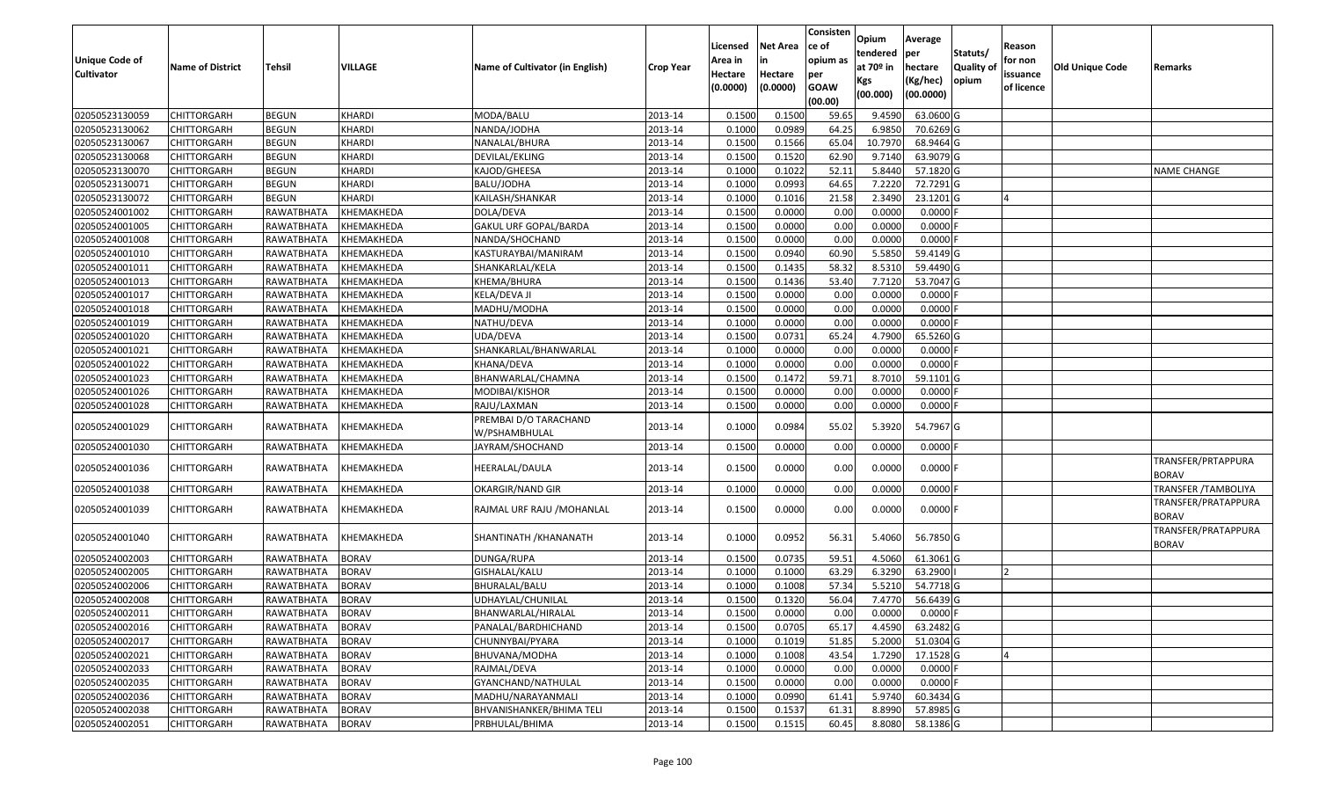| <b>Unique Code of</b><br>Cultivator | <b>Name of District</b> | Tehsil            | VILLAGE       | Name of Cultivator (in English)        | <b>Crop Year</b> | Licensed<br>Area in<br>Hectare<br>(0.0000) | Net Area<br>in<br>Hectare<br>(0.0000) | Consisten<br>ce of<br>opium as<br>per<br><b>GOAW</b><br>(00.00) | Opium<br>tendered<br>at 70º in<br>Kgs<br>(00.000) | Average<br> per<br>hectare<br>(Kg/hec)<br>(00.0000) | Statuts/<br>Quality of<br>opium | Reason<br>for non<br>issuance<br>of licence | Old Unique Code | Remarks                             |
|-------------------------------------|-------------------------|-------------------|---------------|----------------------------------------|------------------|--------------------------------------------|---------------------------------------|-----------------------------------------------------------------|---------------------------------------------------|-----------------------------------------------------|---------------------------------|---------------------------------------------|-----------------|-------------------------------------|
| 02050523130059                      | CHITTORGARH             | <b>BEGUN</b>      | KHARDI        | MODA/BALU                              | 2013-14          | 0.1500                                     | 0.1500                                | 59.65                                                           | 9.4590                                            | 63.0600 G                                           |                                 |                                             |                 |                                     |
| 02050523130062                      | CHITTORGARH             | <b>BEGUN</b>      | <b>KHARDI</b> | NANDA/JODHA                            | 2013-14          | 0.1000                                     | 0.0989                                | 64.25                                                           | 6.9850                                            | 70.6269 G                                           |                                 |                                             |                 |                                     |
| 02050523130067                      | CHITTORGARH             | <b>BEGUN</b>      | <b>KHARDI</b> | NANALAL/BHURA                          | 2013-14          | 0.1500                                     | 0.1566                                | 65.04                                                           | 10.7970                                           | 68.9464 G                                           |                                 |                                             |                 |                                     |
| 02050523130068                      | CHITTORGARH             | <b>BEGUN</b>      | <b>KHARDI</b> | DEVILAL/EKLING                         | 2013-14          | 0.1500                                     | 0.1520                                | 62.90                                                           | 9.7140                                            | 63.9079 G                                           |                                 |                                             |                 |                                     |
| 02050523130070                      | <b>CHITTORGARH</b>      | <b>BEGUN</b>      | <b>KHARDI</b> | KAJOD/GHEESA                           | 2013-14          | 0.1000                                     | 0.1022                                | 52.11                                                           | 5.8440                                            | 57.1820 G                                           |                                 |                                             |                 | <b>NAME CHANGE</b>                  |
| 02050523130071                      | <b>CHITTORGARH</b>      | <b>BEGUN</b>      | KHARDI        | BALU/JODHA                             | 2013-14          | 0.1000                                     | 0.0993                                | 64.65                                                           | 7.2220                                            | 72.7291G                                            |                                 |                                             |                 |                                     |
| 02050523130072                      | <b>CHITTORGARH</b>      | <b>BEGUN</b>      | KHARDI        | KAILASH/SHANKAR                        | 2013-14          | 0.1000                                     | 0.1016                                | 21.58                                                           | 2.3490                                            | 23.1201G                                            |                                 |                                             |                 |                                     |
| 02050524001002                      | CHITTORGARH             | RAWATBHATA        | KHEMAKHEDA    | DOLA/DEVA                              | 2013-14          | 0.1500                                     | 0.0000                                | 0.00                                                            | 0.0000                                            | $0.0000$ F                                          |                                 |                                             |                 |                                     |
| 02050524001005                      | <b>CHITTORGARH</b>      | RAWATBHATA        | KHEMAKHEDA    | GAKUL URF GOPAL/BARDA                  | 2013-14          | 0.1500                                     | 0.0000                                | 0.00                                                            | 0.0000                                            | $0.0000$ F                                          |                                 |                                             |                 |                                     |
| 02050524001008                      | CHITTORGARH             | RAWATBHATA        | KHEMAKHEDA    | NANDA/SHOCHAND                         | 2013-14          | 0.1500                                     | 0.0000                                | 0.00                                                            | 0.0000                                            | $0.0000$ F                                          |                                 |                                             |                 |                                     |
| 02050524001010                      | <b>CHITTORGARH</b>      | RAWATBHATA        | KHEMAKHEDA    | KASTURAYBAI/MANIRAM                    | 2013-14          | 0.1500                                     | 0.0940                                | 60.90                                                           | 5.5850                                            | 59.4149 G                                           |                                 |                                             |                 |                                     |
| 02050524001011                      | <b>CHITTORGARH</b>      | RAWATBHATA        | KHEMAKHEDA    | SHANKARLAL/KELA                        | 2013-14          | 0.1500                                     | 0.1435                                | 58.32                                                           | 8.5310                                            | 59.4490 G                                           |                                 |                                             |                 |                                     |
| 02050524001013                      | <b>CHITTORGARH</b>      | RAWATBHATA        | KHEMAKHEDA    | KHEMA/BHURA                            | 2013-14          | 0.1500                                     | 0.1436                                | 53.40                                                           | 7.7120                                            | 53.7047 G                                           |                                 |                                             |                 |                                     |
| 02050524001017                      | CHITTORGARH             | RAWATBHATA        | KHEMAKHEDA    | KELA/DEVA JI                           | 2013-14          | 0.1500                                     | 0.0000                                | 0.00                                                            | 0.0000                                            | $0.0000$ F                                          |                                 |                                             |                 |                                     |
| 02050524001018                      | CHITTORGARH             | RAWATBHATA        | KHEMAKHEDA    | MADHU/MODHA                            | 2013-14          | 0.1500                                     | 0.0000                                | 0.00                                                            | 0.0000                                            | $0.0000$ F                                          |                                 |                                             |                 |                                     |
| 02050524001019                      | CHITTORGARH             | RAWATBHATA        | KHEMAKHEDA    | NATHU/DEVA                             | 2013-14          | 0.1000                                     | 0.0000                                | 0.00                                                            | 0.0000                                            | $0.0000$ F                                          |                                 |                                             |                 |                                     |
| 02050524001020                      | CHITTORGARH             | <b>RAWATBHATA</b> | KHEMAKHEDA    | UDA/DEVA                               | 2013-14          | 0.1500                                     | 0.0731                                | 65.24                                                           | 4.7900                                            | 65.5260 G                                           |                                 |                                             |                 |                                     |
| 02050524001021                      | CHITTORGARH             | RAWATBHATA        | KHEMAKHEDA    | SHANKARLAL/BHANWARLAL                  | 2013-14          | 0.1000                                     | 0.0000                                | 0.00                                                            | 0.0000                                            | $0.0000$ F                                          |                                 |                                             |                 |                                     |
| 02050524001022                      | CHITTORGARH             | RAWATBHATA        | KHEMAKHEDA    | KHANA/DEVA                             | 2013-14          | 0.1000                                     | 0.0000                                | 0.00                                                            | 0.0000                                            | $0.0000$ F                                          |                                 |                                             |                 |                                     |
| 02050524001023                      | CHITTORGARH             | RAWATBHATA        | KHEMAKHEDA    | BHANWARLAL/CHAMNA                      | 2013-14          | 0.1500                                     | 0.1472                                | 59.71                                                           | 8.7010                                            | 59.1101 G                                           |                                 |                                             |                 |                                     |
| 02050524001026                      | <b>CHITTORGARH</b>      | RAWATBHATA        | KHEMAKHEDA    | MODIBAI/KISHOR                         | 2013-14          | 0.1500                                     | 0.0000                                | 0.00                                                            | 0.0000                                            | $0.0000$ F                                          |                                 |                                             |                 |                                     |
| 02050524001028                      | CHITTORGARH             | RAWATBHATA        | KHEMAKHEDA    | RAJU/LAXMAN                            | 2013-14          | 0.1500                                     | 0.0000                                | 0.00                                                            | 0.0000                                            | $0.0000$ F                                          |                                 |                                             |                 |                                     |
| 02050524001029                      | CHITTORGARH             | RAWATBHATA        | KHEMAKHEDA    | PREMBAI D/O TARACHAND<br>W/PSHAMBHULAL | 2013-14          | 0.1000                                     | 0.0984                                | 55.02                                                           | 5.3920                                            | 54.7967 G                                           |                                 |                                             |                 |                                     |
| 02050524001030                      | CHITTORGARH             | RAWATBHATA        | KHEMAKHEDA    | JAYRAM/SHOCHAND                        | 2013-14          | 0.1500                                     | 0.0000                                | 0.00                                                            | 0.0000                                            | $0.0000$ F                                          |                                 |                                             |                 |                                     |
| 02050524001036                      | CHITTORGARH             | RAWATBHATA        | KHEMAKHEDA    | HEERALAL/DAULA                         | 2013-14          | 0.1500                                     | 0.0000                                | 0.00                                                            | 0.0000                                            | $0.0000$ F                                          |                                 |                                             |                 | TRANSFER/PRTAPPURA<br><b>BORAV</b>  |
| 02050524001038                      | <b>CHITTORGARH</b>      | RAWATBHATA        | KHEMAKHEDA    | OKARGIR/NAND GIR                       | 2013-14          | 0.1000                                     | 0.0000                                | 0.00                                                            | 0.0000                                            | $0.0000$ F                                          |                                 |                                             |                 | TRANSFER / TAMBOLIYA                |
| 02050524001039                      | CHITTORGARH             | RAWATBHATA        | KHEMAKHEDA    | RAJMAL URF RAJU / MOHANLAL             | 2013-14          | 0.1500                                     | 0.0000                                | 0.00                                                            | 0.0000                                            | $0.0000$ F                                          |                                 |                                             |                 | TRANSFER/PRATAPPURA<br><b>BORAV</b> |
| 02050524001040                      | CHITTORGARH             | RAWATBHATA        | KHEMAKHEDA    | SHANTINATH / KHANANATH                 | 2013-14          | 0.1000                                     | 0.0952                                | 56.31                                                           | 5.4060                                            | 56.7850 G                                           |                                 |                                             |                 | TRANSFER/PRATAPPURA<br><b>BORAV</b> |
| 02050524002003                      | CHITTORGARH             | RAWATBHATA        | <b>BORAV</b>  | DUNGA/RUPA                             | 2013-14          | 0.1500                                     | 0.0735                                | 59.51                                                           | 4.5060                                            | 61.3061 G                                           |                                 |                                             |                 |                                     |
| 02050524002005                      | CHITTORGARH             | RAWATBHATA        | <b>BORAV</b>  | GISHALAL/KALU                          | 2013-14          | 0.1000                                     | 0.1000                                | 63.29                                                           | 6.3290                                            | 63.2900                                             |                                 |                                             |                 |                                     |
| 02050524002006                      | CHITTORGARH             | RAWATBHATA        | <b>BORAV</b>  | BHURALAL/BALU                          | 2013-14          | 0.1000                                     | 0.1008                                | 57.34                                                           | 5.5210                                            | 54.7718 G                                           |                                 |                                             |                 |                                     |
| 02050524002008                      | CHITTORGARH             | RAWATBHATA        | <b>BORAV</b>  | UDHAYLAL/CHUNILAL                      | 2013-14          | 0.1500                                     | 0.1320                                | 56.04                                                           | 7.4770                                            | 56.6439 G                                           |                                 |                                             |                 |                                     |
| 02050524002011                      | CHITTORGARH             | RAWATBHATA        | BORAV         | BHANWARLAL/HIRALAL                     | 2013-14          | 0.1500                                     | 0.0000                                | 0.00                                                            | 0.0000                                            | $0.0000$ F                                          |                                 |                                             |                 |                                     |
| 02050524002016                      | <b>CHITTORGARH</b>      | RAWATBHATA        | <b>BORAV</b>  | PANALAL/BARDHICHAND                    | 2013-14          | 0.1500                                     | 0.0705                                | 65.17                                                           | 4.4590                                            | 63.2482 G                                           |                                 |                                             |                 |                                     |
| 02050524002017                      | <b>CHITTORGARH</b>      | RAWATBHATA        | <b>BORAV</b>  | CHUNNYBAI/PYARA                        | 2013-14          | 0.1000                                     | 0.1019                                | 51.85                                                           | 5.2000                                            | 51.0304 G                                           |                                 |                                             |                 |                                     |
| 02050524002021                      | <b>CHITTORGARH</b>      | RAWATBHATA        | <b>BORAV</b>  | BHUVANA/MODHA                          | 2013-14          | 0.1000                                     | 0.1008                                | 43.54                                                           | 1.7290                                            | 17.1528 G                                           |                                 |                                             |                 |                                     |
| 02050524002033                      | <b>CHITTORGARH</b>      | RAWATBHATA        | <b>BORAV</b>  | RAJMAL/DEVA                            | 2013-14          | 0.1000                                     | 0.0000                                | 0.00                                                            | 0.0000                                            | $0.0000$ F                                          |                                 |                                             |                 |                                     |
| 02050524002035                      | <b>CHITTORGARH</b>      | RAWATBHATA        | <b>BORAV</b>  | GYANCHAND/NATHULAL                     | 2013-14          | 0.1500                                     | 0.0000                                | 0.00                                                            | 0.0000                                            | $0.0000$ F                                          |                                 |                                             |                 |                                     |
| 02050524002036                      | <b>CHITTORGARH</b>      | RAWATBHATA        | <b>BORAV</b>  | MADHU/NARAYANMALI                      | 2013-14          | 0.1000                                     | 0.0990                                | 61.41                                                           | 5.9740                                            | 60.3434 G                                           |                                 |                                             |                 |                                     |
| 02050524002038                      | <b>CHITTORGARH</b>      | RAWATBHATA        | <b>BORAV</b>  | BHVANISHANKER/BHIMA TELI               | 2013-14          | 0.1500                                     | 0.1537                                | 61.31                                                           | 8.8990                                            | 57.8985 G                                           |                                 |                                             |                 |                                     |
| 02050524002051                      | CHITTORGARH             | RAWATBHATA        | <b>BORAV</b>  | PRBHULAL/BHIMA                         | 2013-14          | 0.1500                                     | 0.1515                                | 60.45                                                           | 8.8080                                            | 58.1386 G                                           |                                 |                                             |                 |                                     |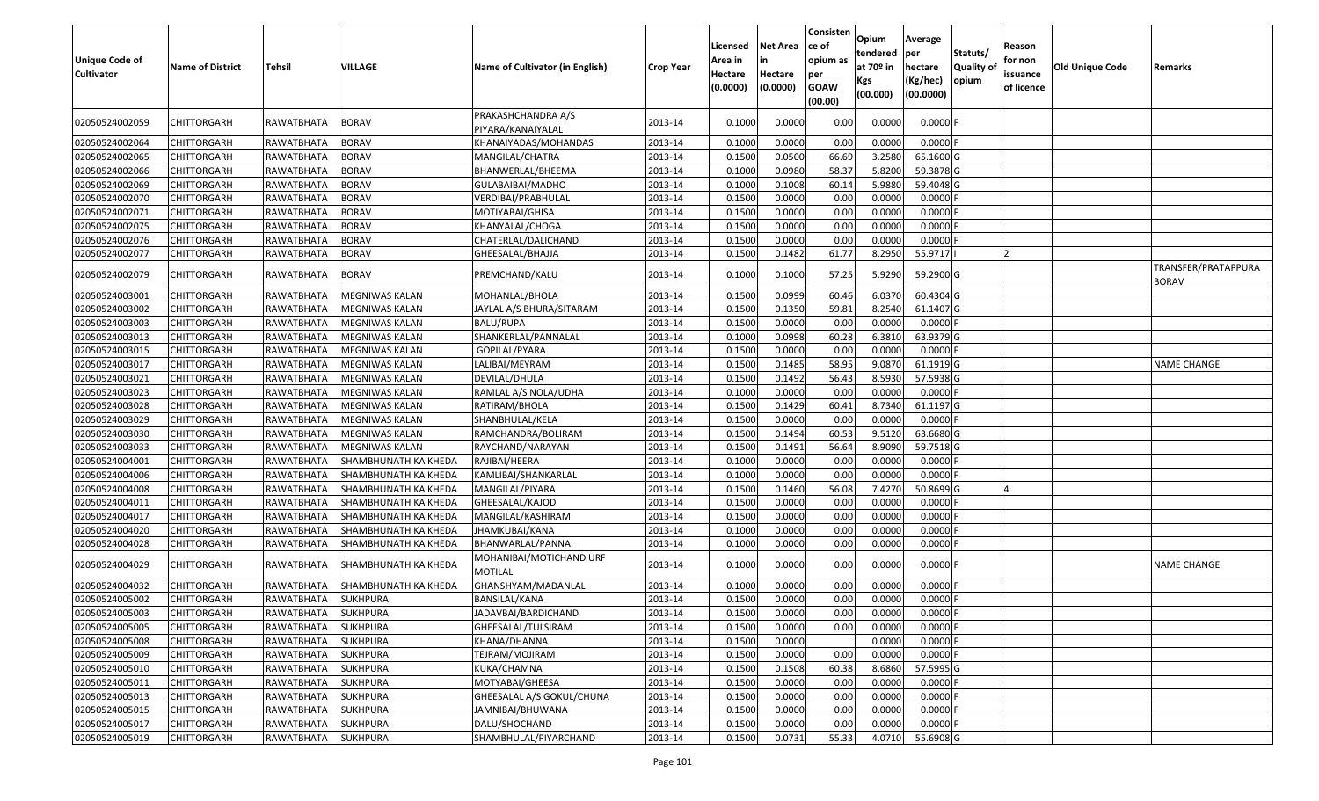| <b>Unique Code of</b><br><b>Cultivator</b> | <b>Name of District</b> | Tehsil            | VILLAGE              | Name of Cultivator (in English)         | <b>Crop Year</b> | Licensed<br>Area in<br>Hectare<br>(0.0000) | <b>Net Area</b><br>in<br>Hectare<br>(0.0000) | Consisten<br>ce of<br>opium as<br>per<br><b>GOAW</b><br>(00.00) | Opium<br>tendered<br>at $70°$ in<br>Kgs<br>(00.000) | Average<br>per<br>hectare<br>(Kg/hec)<br>(00.0000) | Statuts/<br><b>Quality o</b><br>opium | Reason<br>for non<br>issuance<br>of licence | Old Unique Code | Remarks                             |
|--------------------------------------------|-------------------------|-------------------|----------------------|-----------------------------------------|------------------|--------------------------------------------|----------------------------------------------|-----------------------------------------------------------------|-----------------------------------------------------|----------------------------------------------------|---------------------------------------|---------------------------------------------|-----------------|-------------------------------------|
| 02050524002059                             | CHITTORGARH             | RAWATBHATA        | <b>BORAV</b>         | PRAKASHCHANDRA A/S<br>PIYARA/KANAIYALAL | 2013-14          | 0.1000                                     | 0.0000                                       | 0.00                                                            | 0.0000                                              | $0.0000$ F                                         |                                       |                                             |                 |                                     |
| 02050524002064                             | <b>CHITTORGARH</b>      | RAWATBHATA        | <b>BORAV</b>         | KHANAIYADAS/MOHANDAS                    | 2013-14          | 0.1000                                     | 0.0000                                       | 0.00                                                            | 0.0000                                              | 0.0000                                             |                                       |                                             |                 |                                     |
| 02050524002065                             | <b>CHITTORGARH</b>      | RAWATBHATA        | <b>BORAV</b>         | MANGILAL/CHATRA                         | 2013-14          | 0.1500                                     | 0.0500                                       | 66.69                                                           | 3.2580                                              | 65.1600 G                                          |                                       |                                             |                 |                                     |
| 02050524002066                             | <b>CHITTORGARH</b>      | RAWATBHATA        | <b>BORAV</b>         | BHANWERLAL/BHEEMA                       | 2013-14          | 0.1000                                     | 0.0980                                       | 58.37                                                           | 5.8200                                              | 59.3878 G                                          |                                       |                                             |                 |                                     |
| 02050524002069                             | <b>CHITTORGARH</b>      | RAWATBHATA        | <b>BORAV</b>         | GULABAIBAI/MADHO                        | 2013-14          | 0.1000                                     | 0.1008                                       | 60.14                                                           | 5.9880                                              | 59.4048 G                                          |                                       |                                             |                 |                                     |
| 02050524002070                             | CHITTORGARH             | RAWATBHATA        | <b>BORAV</b>         | VERDIBAI/PRABHULAL                      | 2013-14          | 0.1500                                     | 0.0000                                       | 0.00                                                            | 0.0000                                              | 0.0000                                             |                                       |                                             |                 |                                     |
| 02050524002071                             | <b>CHITTORGARH</b>      | RAWATBHATA        | <b>BORAV</b>         | MOTIYABAI/GHISA                         | 2013-14          | 0.1500                                     | 0.0000                                       | 0.00                                                            | 0.0000                                              | 0.0000                                             |                                       |                                             |                 |                                     |
| 02050524002075                             | <b>CHITTORGARH</b>      | RAWATBHATA        | <b>BORAV</b>         | KHANYALAL/CHOGA                         | 2013-14          | 0.1500                                     | 0.0000                                       | 0.00                                                            | 0.0000                                              | 0.0000                                             |                                       |                                             |                 |                                     |
| 02050524002076                             | <b>CHITTORGARH</b>      | RAWATBHATA        | <b>BORAV</b>         | CHATERLAL/DALICHAND                     | 2013-14          | 0.1500                                     | 0.0000                                       | 0.00                                                            | 0.0000                                              | 0.0000                                             |                                       |                                             |                 |                                     |
| 02050524002077                             | CHITTORGARH             | RAWATBHATA        | <b>BORAV</b>         | GHEESALAL/BHAJJA                        | 2013-14          | 0.1500                                     | 0.1482                                       | 61.77                                                           | 8.2950                                              | 55.9717                                            |                                       |                                             |                 |                                     |
| 02050524002079                             | <b>CHITTORGARH</b>      | RAWATBHATA        | <b>BORAV</b>         | PREMCHAND/KALU                          | 2013-14          | 0.1000                                     | 0.1000                                       | 57.25                                                           | 5.9290                                              | 59.2900 G                                          |                                       |                                             |                 | TRANSFER/PRATAPPURA<br><b>BORAV</b> |
| 02050524003001                             | <b>CHITTORGARH</b>      | RAWATBHATA        | MEGNIWAS KALAN       | MOHANLAL/BHOLA                          | 2013-14          | 0.1500                                     | 0.0999                                       | 60.46                                                           | 6.0370                                              | 60.4304 G                                          |                                       |                                             |                 |                                     |
| 02050524003002                             | <b>CHITTORGARH</b>      | RAWATBHATA        | MEGNIWAS KALAN       | JAYLAL A/S BHURA/SITARAM                | 2013-14          | 0.1500                                     | 0.1350                                       | 59.81                                                           | 8.2540                                              | 61.1407 G                                          |                                       |                                             |                 |                                     |
| 02050524003003                             | <b>CHITTORGARH</b>      | RAWATBHATA        | MEGNIWAS KALAN       | BALU/RUPA                               | 2013-14          | 0.1500                                     | 0.0000                                       | 0.00                                                            | 0.0000                                              | 0.0000                                             |                                       |                                             |                 |                                     |
| 02050524003013                             | <b>CHITTORGARH</b>      | RAWATBHATA        | MEGNIWAS KALAN       | SHANKERLAL/PANNALAL                     | 2013-14          | 0.1000                                     | 0.0998                                       | 60.28                                                           | 6.3810                                              | 63.9379 G                                          |                                       |                                             |                 |                                     |
| 02050524003015                             | <b>CHITTORGARH</b>      | RAWATBHATA        | MEGNIWAS KALAN       | GOPILAL/PYARA                           | 2013-14          | 0.1500                                     | 0.0000                                       | 0.00                                                            | 0.0000                                              | 0.0000                                             |                                       |                                             |                 |                                     |
| 02050524003017                             | <b>CHITTORGARH</b>      | RAWATBHATA        | MEGNIWAS KALAN       | LALIBAI/MEYRAM                          | 2013-14          | 0.1500                                     | 0.1485                                       | 58.95                                                           | 9.0870                                              | 61.1919 G                                          |                                       |                                             |                 | <b>NAME CHANGE</b>                  |
| 02050524003021                             | <b>CHITTORGARH</b>      | RAWATBHATA        | MEGNIWAS KALAN       | DEVILAL/DHULA                           | 2013-14          | 0.1500                                     | 0.1492                                       | 56.43                                                           | 8.5930                                              | 57.5938 G                                          |                                       |                                             |                 |                                     |
| 02050524003023                             | <b>CHITTORGARH</b>      | RAWATBHATA        | MEGNIWAS KALAN       | RAMLAL A/S NOLA/UDHA                    | 2013-14          | 0.1000                                     | 0.0000                                       | 0.00                                                            | 0.0000                                              | 0.0000                                             |                                       |                                             |                 |                                     |
| 02050524003028                             | <b>CHITTORGARH</b>      | RAWATBHATA        | MEGNIWAS KALAN       | RATIRAM/BHOLA                           | 2013-14          | 0.1500                                     | 0.1429                                       | 60.41                                                           | 8.7340                                              | 61.1197 G                                          |                                       |                                             |                 |                                     |
| 02050524003029                             | <b>CHITTORGARH</b>      | RAWATBHATA        | MEGNIWAS KALAN       | SHANBHULAL/KELA                         | 2013-14          | 0.1500                                     | 0.0000                                       | 0.00                                                            | 0.0000                                              | 0.0000                                             |                                       |                                             |                 |                                     |
| 02050524003030                             | <b>CHITTORGARH</b>      | RAWATBHATA        | MEGNIWAS KALAN       | RAMCHANDRA/BOLIRAM                      | 2013-14          | 0.1500                                     | 0.1494                                       | 60.53                                                           | 9.5120                                              | 63.6680 G                                          |                                       |                                             |                 |                                     |
| 02050524003033                             | <b>CHITTORGARH</b>      | RAWATBHATA        | MEGNIWAS KALAN       | RAYCHAND/NARAYAN                        | 2013-14          | 0.1500                                     | 0.1491                                       | 56.64                                                           | 8.9090                                              | 59.7518 G                                          |                                       |                                             |                 |                                     |
| 02050524004001                             | <b>CHITTORGARH</b>      | RAWATBHATA        | SHAMBHUNATH KA KHEDA | RAJIBAI/HEERA                           | 2013-14          | 0.1000                                     | 0.0000                                       | 0.00                                                            | 0.0000                                              | 0.0000                                             |                                       |                                             |                 |                                     |
| 02050524004006                             | <b>CHITTORGARH</b>      | RAWATBHATA        | SHAMBHUNATH KA KHEDA | KAMLIBAI/SHANKARLAL                     | 2013-14          | 0.1000                                     | 0.0000                                       | 0.00                                                            | 0.0000                                              | 0.0000                                             |                                       |                                             |                 |                                     |
| 02050524004008                             | <b>CHITTORGARH</b>      | RAWATBHATA        | SHAMBHUNATH KA KHEDA | MANGILAL/PIYARA                         | 2013-14          | 0.1500                                     | 0.1460                                       | 56.08                                                           | 7.4270                                              | 50.8699 G                                          |                                       |                                             |                 |                                     |
| 02050524004011                             | <b>CHITTORGARH</b>      | RAWATBHATA        | SHAMBHUNATH KA KHEDA | GHEESALAL/KAJOD                         | 2013-14          | 0.1500                                     | 0.0000                                       | 0.00                                                            | 0.0000                                              | 0.0000                                             |                                       |                                             |                 |                                     |
| 02050524004017                             | <b>CHITTORGARH</b>      | RAWATBHATA        | SHAMBHUNATH KA KHEDA | MANGILAL/KASHIRAM                       | 2013-14          | 0.1500                                     | 0.0000                                       | 0.00                                                            | 0.0000                                              | 0.0000                                             |                                       |                                             |                 |                                     |
| 02050524004020                             | <b>CHITTORGARH</b>      | RAWATBHATA        | SHAMBHUNATH KA KHEDA | JHAMKUBAI/KANA                          | 2013-14          | 0.1000                                     | 0.0000                                       | 0.00                                                            | 0.0000                                              | 0.0000                                             |                                       |                                             |                 |                                     |
| 02050524004028                             | <b>CHITTORGARH</b>      | RAWATBHATA        | SHAMBHUNATH KA KHEDA | BHANWARLAL/PANNA                        | 2013-14          | 0.1000                                     | 0.0000                                       | 0.00                                                            | 0.0000                                              | 0.0000                                             |                                       |                                             |                 |                                     |
| 02050524004029                             | <b>CHITTORGARH</b>      | RAWATBHATA        | SHAMBHUNATH KA KHEDA | MOHANIBAI/MOTICHAND URF<br>MOTILAL      | 2013-14          | 0.1000                                     | 0.0000                                       | 0.00                                                            | 0.0000                                              | $0.0000$ F                                         |                                       |                                             |                 | <b>NAME CHANGE</b>                  |
| 02050524004032                             | CHITTORGARH             | RAWATBHATA        | SHAMBHUNATH KA KHEDA | GHANSHYAM/MADANLAL                      | 2013-14          | 0.1000                                     | 0.0000                                       | 0.00                                                            | 0.0000                                              | 0.0000                                             |                                       |                                             |                 |                                     |
| 02050524005002                             | <b>CHITTORGARH</b>      | RAWATBHATA        | <b>SUKHPURA</b>      | BANSILAL/KANA                           | 2013-14          | 0.1500                                     | 0.0000                                       | 0.00                                                            | 0.0000                                              | 0.0000                                             |                                       |                                             |                 |                                     |
| 02050524005003                             | <b>CHITTORGARH</b>      | RAWATBHATA        | <b>SUKHPURA</b>      | JADAVBAI/BARDICHAND                     | 2013-14          | 0.1500                                     | 0.0000                                       | 0.00                                                            | 0.0000                                              | $0.0000$ F                                         |                                       |                                             |                 |                                     |
| 02050524005005                             | <b>CHITTORGARH</b>      | RAWATBHATA        | <b>SUKHPURA</b>      | GHEESALAL/TULSIRAM                      | 2013-14          | 0.1500                                     | 0.0000                                       | 0.00                                                            | 0.0000                                              | 0.0000                                             |                                       |                                             |                 |                                     |
| 02050524005008                             | <b>CHITTORGARH</b>      | RAWATBHATA        | <b>SUKHPURA</b>      | KHANA/DHANNA                            | 2013-14          | 0.1500                                     | 0.0000                                       |                                                                 | 0.0000                                              | 0.0000                                             |                                       |                                             |                 |                                     |
| 02050524005009                             | <b>CHITTORGARH</b>      | RAWATBHATA        | <b>SUKHPURA</b>      | TEJRAM/MOJIRAM                          | 2013-14          | 0.1500                                     | 0.0000                                       | 0.00                                                            | 0.0000                                              | 0.0000                                             |                                       |                                             |                 |                                     |
| 02050524005010                             | <b>CHITTORGARH</b>      | RAWATBHATA        | <b>SUKHPURA</b>      | KUKA/CHAMNA                             | 2013-14          | 0.1500                                     | 0.1508                                       | 60.38                                                           | 8.6860                                              | 57.5995 G                                          |                                       |                                             |                 |                                     |
| 02050524005011                             | <b>CHITTORGARH</b>      | RAWATBHATA        | <b>SUKHPURA</b>      | MOTYABAI/GHEESA                         | 2013-14          | 0.1500                                     | 0.0000                                       | 0.00                                                            | 0.0000                                              | 0.0000                                             |                                       |                                             |                 |                                     |
| 02050524005013                             | <b>CHITTORGARH</b>      | RAWATBHATA        | <b>SUKHPURA</b>      | GHEESALAL A/S GOKUL/CHUNA               | 2013-14          | 0.1500                                     | 0.0000                                       | 0.00                                                            | 0.0000                                              | 0.0000                                             |                                       |                                             |                 |                                     |
| 02050524005015                             | <b>CHITTORGARH</b>      | <b>RAWATBHATA</b> | <b>SUKHPURA</b>      | JAMNIBAI/BHUWANA                        | 2013-14          | 0.1500                                     | 0.0000                                       | 0.00                                                            | 0.0000                                              | 0.0000                                             |                                       |                                             |                 |                                     |
| 02050524005017                             | <b>CHITTORGARH</b>      | RAWATBHATA        | <b>SUKHPURA</b>      | DALU/SHOCHAND                           | 2013-14          | 0.1500                                     | 0.0000                                       | 0.00                                                            | 0.0000                                              | 0.0000F                                            |                                       |                                             |                 |                                     |
| 02050524005019                             | <b>CHITTORGARH</b>      | RAWATBHATA        | <b>SUKHPURA</b>      | SHAMBHULAL/PIYARCHAND                   | 2013-14          | 0.1500                                     | 0.0731                                       | 55.33                                                           | 4.0710                                              | 55.6908 G                                          |                                       |                                             |                 |                                     |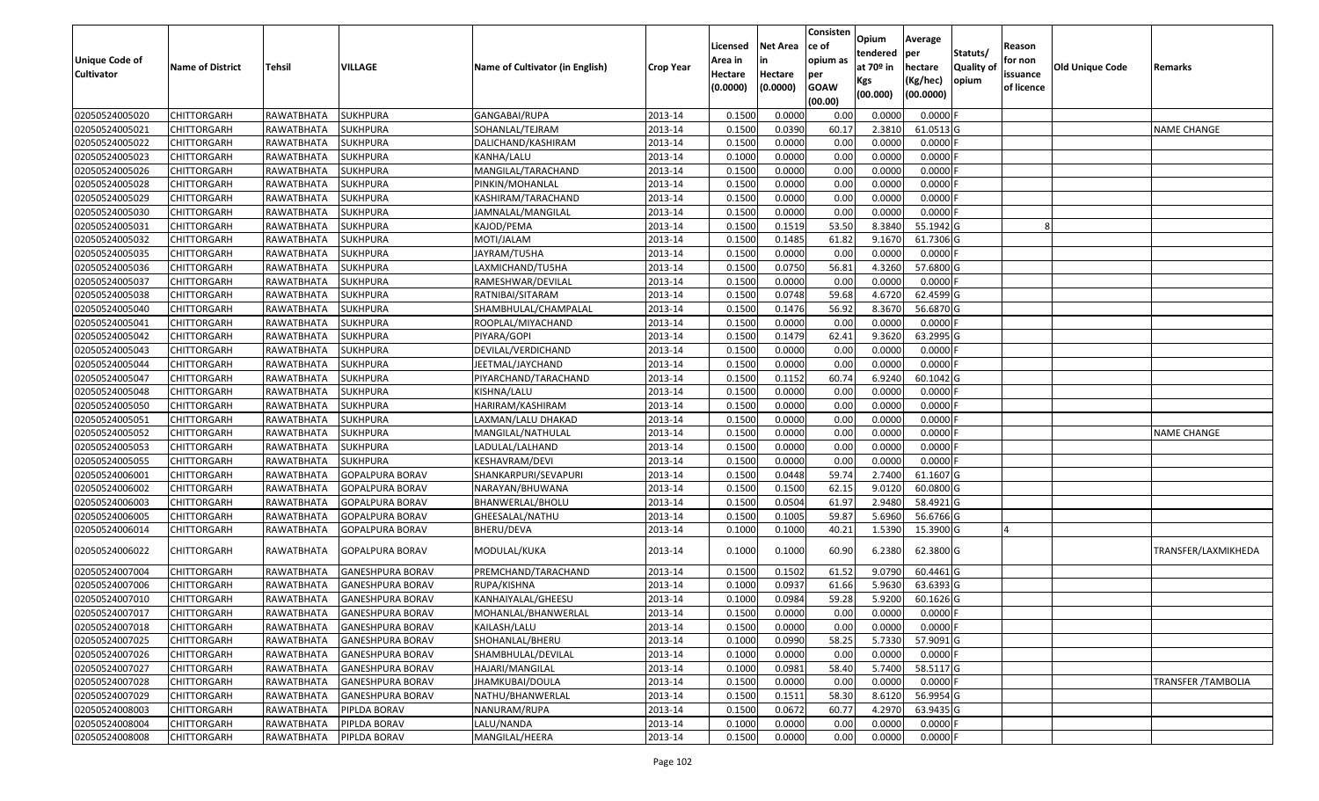| <b>Unique Code of</b><br><b>Cultivator</b> | <b>Name of District</b> | Tehsil            | VILLAGE                 | Name of Cultivator (in English) | <b>Crop Year</b> | Licensed<br>Area in<br>Hectare<br>(0.0000) | <b>Net Area</b><br>in<br>Hectare<br>(0.0000) | Consisten<br>ce of<br>opium as<br>per<br><b>GOAW</b><br>(00.00) | Opium<br>tendered<br>at $70°$ in<br>Kgs<br>(00.000) | Average<br>per<br>hectare<br>(Kg/hec)<br>(00.0000) | Statuts/<br>Quality of<br>opium | Reason<br>for non<br>issuance<br>of licence | Old Unique Code | Remarks                    |
|--------------------------------------------|-------------------------|-------------------|-------------------------|---------------------------------|------------------|--------------------------------------------|----------------------------------------------|-----------------------------------------------------------------|-----------------------------------------------------|----------------------------------------------------|---------------------------------|---------------------------------------------|-----------------|----------------------------|
| 02050524005020                             | <b>CHITTORGARH</b>      | RAWATBHATA        | <b>SUKHPURA</b>         | GANGABAI/RUPA                   | 2013-14          | 0.1500                                     | 0.0000                                       | 0.00                                                            | 0.0000                                              | 0.0000                                             |                                 |                                             |                 |                            |
| 02050524005021                             | CHITTORGARH             | RAWATBHATA        | <b>SUKHPURA</b>         | SOHANLAL/TEJRAM                 | 2013-14          | 0.1500                                     | 0.0390                                       | 60.17                                                           | 2.3810                                              | 61.0513 G                                          |                                 |                                             |                 | <b>NAME CHANGE</b>         |
| 02050524005022                             | <b>CHITTORGARH</b>      | RAWATBHATA        | <b>SUKHPURA</b>         | DALICHAND/KASHIRAM              | 2013-14          | 0.1500                                     | 0.0000                                       | 0.00                                                            | 0.0000                                              | 0.0000                                             |                                 |                                             |                 |                            |
| 02050524005023                             | <b>CHITTORGARH</b>      | <b>RAWATBHATA</b> | <b>SUKHPURA</b>         | KANHA/LALU                      | 2013-14          | 0.1000                                     | 0.0000                                       | 0.00                                                            | 0.0000                                              | 0.0000                                             |                                 |                                             |                 |                            |
| 02050524005026                             | <b>CHITTORGARH</b>      | RAWATBHATA        | <b>SUKHPURA</b>         | MANGILAL/TARACHAND              | 2013-14          | 0.1500                                     | 0.0000                                       | 0.00                                                            | 0.0000                                              | 0.0000                                             |                                 |                                             |                 |                            |
| 02050524005028                             | <b>CHITTORGARH</b>      | RAWATBHATA        | <b>SUKHPURA</b>         | PINKIN/MOHANLAL                 | 2013-14          | 0.1500                                     | 0.0000                                       | 0.00                                                            | 0.0000                                              | 0.0000                                             |                                 |                                             |                 |                            |
| 02050524005029                             | CHITTORGARH             | RAWATBHATA        | SUKHPURA                | KASHIRAM/TARACHAND              | 2013-14          | 0.1500                                     | 0.0000                                       | 0.00                                                            | 0.0000                                              | 0.0000                                             |                                 |                                             |                 |                            |
| 02050524005030                             | <b>CHITTORGARH</b>      | RAWATBHATA        | <b>SUKHPURA</b>         | JAMNALAL/MANGILAL               | 2013-14          | 0.1500                                     | 0.0000                                       | 0.00                                                            | 0.0000                                              | 0.0000                                             |                                 |                                             |                 |                            |
| 02050524005031                             | <b>CHITTORGARH</b>      | RAWATBHATA        | <b>SUKHPURA</b>         | KAJOD/PEMA                      | 2013-14          | 0.1500                                     | 0.1519                                       | 53.50                                                           | 8.3840                                              | 55.1942 G                                          |                                 |                                             |                 |                            |
| 02050524005032                             | <b>CHITTORGARH</b>      | RAWATBHATA        | <b>SUKHPURA</b>         | MOTI/JALAM                      | 2013-14          | 0.1500                                     | 0.1485                                       | 61.82                                                           | 9.1670                                              | 61.7306 G                                          |                                 |                                             |                 |                            |
| 02050524005035                             | <b>CHITTORGARH</b>      | RAWATBHATA        | <b>SUKHPURA</b>         | JAYRAM/TU5HA                    | 2013-14          | 0.1500                                     | 0.0000                                       | 0.00                                                            | 0.0000                                              | 0.0000                                             |                                 |                                             |                 |                            |
| 02050524005036                             | <b>CHITTORGARH</b>      | RAWATBHATA        | <b>SUKHPURA</b>         | LAXMICHAND/TU5HA                | 2013-14          | 0.1500                                     | 0.0750                                       | 56.81                                                           | 4.3260                                              | 57.6800 G                                          |                                 |                                             |                 |                            |
| 02050524005037                             | <b>CHITTORGARH</b>      | RAWATBHATA        | <b>SUKHPURA</b>         | RAMESHWAR/DEVILAL               | 2013-14          | 0.1500                                     | 0.0000                                       | 0.00                                                            | 0.0000                                              | 0.0000                                             |                                 |                                             |                 |                            |
| 02050524005038                             | <b>CHITTORGARH</b>      | RAWATBHATA        | <b>SUKHPURA</b>         | RATNIBAI/SITARAM                | 2013-14          | 0.1500                                     | 0.0748                                       | 59.68                                                           | 4.6720                                              | 62.4599 G                                          |                                 |                                             |                 |                            |
| 02050524005040                             | <b>CHITTORGARH</b>      | RAWATBHATA        | <b>SUKHPURA</b>         | SHAMBHULAL/CHAMPALAL            | 2013-14          | 0.1500                                     | 0.1476                                       | 56.92                                                           | 8.3670                                              | 56.6870 G                                          |                                 |                                             |                 |                            |
| 02050524005041                             | <b>CHITTORGARH</b>      | RAWATBHATA        | <b>SUKHPURA</b>         | ROOPLAL/MIYACHAND               | 2013-14          | 0.1500                                     | 0.0000                                       | 0.00                                                            | 0.0000                                              | 0.0000                                             |                                 |                                             |                 |                            |
| 02050524005042                             | <b>CHITTORGARH</b>      | RAWATBHATA        | <b>SUKHPURA</b>         | PIYARA/GOPI                     | 2013-14          | 0.1500                                     | 0.1479                                       | 62.41                                                           | 9.3620                                              | 63.2995 G                                          |                                 |                                             |                 |                            |
| 02050524005043                             | <b>CHITTORGARH</b>      | RAWATBHATA        | <b>SUKHPURA</b>         | DEVILAL/VERDICHAND              | 2013-14          | 0.1500                                     | 0.0000                                       | 0.00                                                            | 0.0000                                              | 0.0000                                             |                                 |                                             |                 |                            |
| 02050524005044                             | <b>CHITTORGARH</b>      | RAWATBHATA        | <b>SUKHPURA</b>         | JEETMAL/JAYCHAND                | 2013-14          | 0.1500                                     | 0.0000                                       | 0.00                                                            | 0.0000                                              | 0.0000                                             |                                 |                                             |                 |                            |
| 02050524005047                             | <b>CHITTORGARH</b>      | RAWATBHATA        | SUKHPURA                | PIYARCHAND/TARACHAND            | 2013-14          | 0.1500                                     | 0.1152                                       | 60.74                                                           | 6.9240                                              | 60.1042 G                                          |                                 |                                             |                 |                            |
| 02050524005048                             | <b>CHITTORGARH</b>      | RAWATBHATA        | <b>SUKHPURA</b>         | KISHNA/LALU                     | 2013-14          | 0.1500                                     | 0.0000                                       | 0.00                                                            | 0.0000                                              | 0.0000                                             |                                 |                                             |                 |                            |
| 02050524005050                             | CHITTORGARH             | RAWATBHATA        | <b>SUKHPURA</b>         | HARIRAM/KASHIRAM                | 2013-14          | 0.1500                                     | 0.0000                                       | 0.00                                                            | 0.0000                                              | 0.0000                                             |                                 |                                             |                 |                            |
| 02050524005051                             | CHITTORGARH             | RAWATBHATA        | <b>SUKHPURA</b>         | LAXMAN/LALU DHAKAD              | 2013-14          | 0.1500                                     | 0.0000                                       | 0.00                                                            | 0.0000                                              | 0.0000                                             |                                 |                                             |                 |                            |
| 02050524005052                             | <b>CHITTORGARH</b>      | RAWATBHATA        | SUKHPURA                | MANGILAL/NATHULAL               | 2013-14          | 0.1500                                     | 0.0000                                       | 0.00                                                            | 0.0000                                              | 0.0000                                             |                                 |                                             |                 | <b>NAME CHANGE</b>         |
| 02050524005053                             | <b>CHITTORGARH</b>      | RAWATBHATA        | <b>SUKHPURA</b>         | LADULAL/LALHAND                 | 2013-14          | 0.1500                                     | 0.0000                                       | 0.00                                                            | 0.0000                                              | 0.0000                                             |                                 |                                             |                 |                            |
| 02050524005055                             | <b>CHITTORGARH</b>      | RAWATBHATA        | <b>SUKHPURA</b>         | KESHAVRAM/DEVI                  | 2013-14          | 0.1500                                     | 0.0000                                       | 0.00                                                            | 0.0000                                              | 0.0000                                             |                                 |                                             |                 |                            |
| 02050524006001                             | <b>CHITTORGARH</b>      | RAWATBHATA        | <b>GOPALPURA BORAV</b>  | SHANKARPURI/SEVAPURI            | 2013-14          | 0.1500                                     | 0.0448                                       | 59.74                                                           | 2.7400                                              | 61.1607 G                                          |                                 |                                             |                 |                            |
| 02050524006002                             | CHITTORGARH             | RAWATBHATA        | GOPALPURA BORAV         | NARAYAN/BHUWANA                 | 2013-14          | 0.1500                                     | 0.1500                                       | 62.15                                                           | 9.0120                                              | 60.0800 G                                          |                                 |                                             |                 |                            |
| 02050524006003                             | <b>CHITTORGARH</b>      | RAWATBHATA        | GOPALPURA BORAV         | BHANWERLAL/BHOLU                | 2013-14          | 0.1500                                     | 0.0504                                       | 61.97                                                           | 2.9480                                              | 58.4921 G                                          |                                 |                                             |                 |                            |
| 02050524006005                             | <b>CHITTORGARH</b>      | RAWATBHATA        | GOPALPURA BORAV         | GHEESALAL/NATHU                 | 2013-14          | 0.1500                                     | 0.1005                                       | 59.87                                                           | 5.6960                                              | 56.6766 G                                          |                                 |                                             |                 |                            |
| 02050524006014                             | <b>CHITTORGARH</b>      | RAWATBHATA        | GOPALPURA BORAV         | BHERU/DEVA                      | 2013-14          | 0.1000                                     | 0.1000                                       | 40.21                                                           | 1.5390                                              | 15.3900 G                                          |                                 |                                             |                 |                            |
| 02050524006022                             | <b>CHITTORGARH</b>      | RAWATBHATA        | GOPALPURA BORAV         | MODULAL/KUKA                    | 2013-14          | 0.1000                                     | 0.1000                                       | 60.90                                                           | 6.2380                                              | 62.3800 G                                          |                                 |                                             |                 | TRANSFER/LAXMIKHEDA        |
| 02050524007004                             | <b>CHITTORGARH</b>      | RAWATBHATA        | <b>GANESHPURA BORAV</b> | PREMCHAND/TARACHAND             | 2013-14          | 0.1500                                     | 0.1502                                       | 61.52                                                           | 9.0790                                              | 60.4461 G                                          |                                 |                                             |                 |                            |
| 02050524007006                             | CHITTORGARH             | RAWATBHATA        | <b>GANESHPURA BORAV</b> | RUPA/KISHNA                     | 2013-14          | 0.1000                                     | 0.0937                                       | 61.66                                                           | 5.9630                                              | 63.6393 G                                          |                                 |                                             |                 |                            |
| 02050524007010                             | <b>CHITTORGARH</b>      | RAWATBHATA        | <b>GANESHPURA BORAV</b> | KANHAIYALAL/GHEESU              | 2013-14          | 0.1000                                     | 0.0984                                       | 59.28                                                           | 5.9200                                              | 60.1626 G                                          |                                 |                                             |                 |                            |
| 02050524007017                             | <b>CHITTORGARH</b>      | RAWATBHATA        | <b>GANESHPURA BORAV</b> | MOHANLAL/BHANWERLAL             | 2013-14          | 0.1500                                     | 0.0000                                       | 0.00                                                            | 0.0000                                              | $0.0000$ F                                         |                                 |                                             |                 |                            |
| 02050524007018                             | <b>CHITTORGARH</b>      | RAWATBHATA        | <b>GANESHPURA BORAV</b> | KAILASH/LALU                    | 2013-14          | 0.1500                                     | 0.0000                                       | 0.00                                                            | 0.0000                                              | $0.0000$ F                                         |                                 |                                             |                 |                            |
| 02050524007025                             | <b>CHITTORGARH</b>      | RAWATBHATA        | <b>GANESHPURA BORAV</b> | SHOHANLAL/BHERU                 | 2013-14          | 0.1000                                     | 0.0990                                       | 58.25                                                           | 5.7330                                              | 57.9091G                                           |                                 |                                             |                 |                            |
| 02050524007026                             | <b>CHITTORGARH</b>      | RAWATBHATA        | <b>GANESHPURA BORAV</b> | SHAMBHULAL/DEVILAL              | 2013-14          | 0.1000                                     | 0.0000                                       | 0.00                                                            | 0.0000                                              | $0.0000$ F                                         |                                 |                                             |                 |                            |
| 02050524007027                             | <b>CHITTORGARH</b>      | RAWATBHATA        | <b>GANESHPURA BORAV</b> | HAJARI/MANGILAL                 | 2013-14          | 0.1000                                     | 0.0981                                       | 58.40                                                           | 5.7400                                              | 58.5117 G                                          |                                 |                                             |                 |                            |
| 02050524007028                             | <b>CHITTORGARH</b>      | RAWATBHATA        | <b>GANESHPURA BORAV</b> | <b>JHAMKUBAI/DOULA</b>          | 2013-14          | 0.1500                                     | 0.0000                                       | 0.00                                                            | 0.0000                                              | 0.0000                                             |                                 |                                             |                 | <b>TRANSFER / TAMBOLIA</b> |
| 02050524007029                             | <b>CHITTORGARH</b>      | RAWATBHATA        | <b>GANESHPURA BORAV</b> | NATHU/BHANWERLAL                | 2013-14          | 0.1500                                     | 0.1511                                       | 58.30                                                           | 8.6120                                              | 56.9954 G                                          |                                 |                                             |                 |                            |
| 02050524008003                             | <b>CHITTORGARH</b>      | RAWATBHATA        | PIPLDA BORAV            | NANURAM/RUPA                    | 2013-14          | 0.1500                                     | 0.0672                                       | 60.77                                                           | 4.2970                                              | 63.9435 G                                          |                                 |                                             |                 |                            |
| 02050524008004                             | <b>CHITTORGARH</b>      | RAWATBHATA        | PIPLDA BORAV            | LALU/NANDA                      | 2013-14          | 0.1000                                     | 0.0000                                       | 0.00                                                            | 0.0000                                              | 0.0000                                             |                                 |                                             |                 |                            |
| 02050524008008                             | <b>CHITTORGARH</b>      | RAWATBHATA        | PIPLDA BORAV            | MANGILAL/HEERA                  | 2013-14          | 0.1500                                     | 0.0000                                       | 0.00                                                            | 0.0000                                              | $0.0000$ F                                         |                                 |                                             |                 |                            |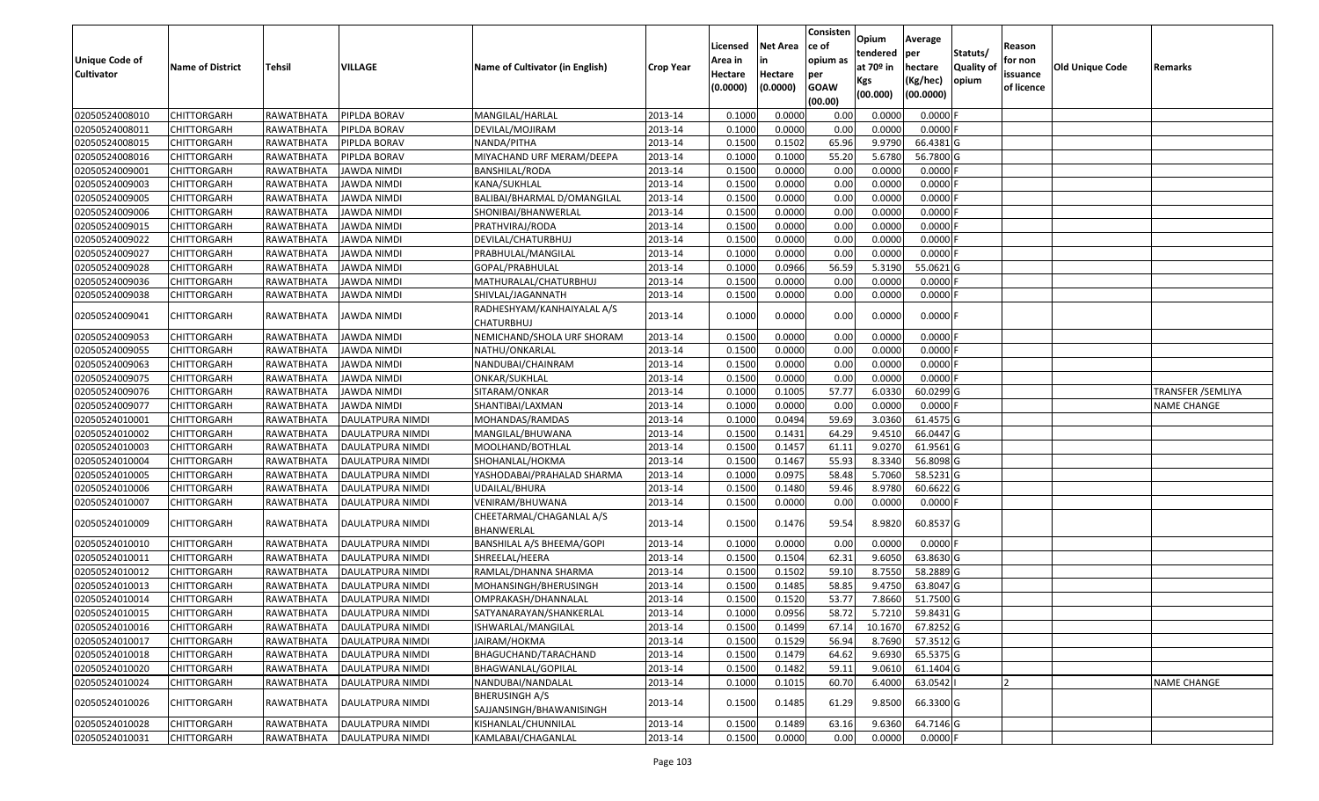| <b>Unique Code of</b><br><b>Cultivator</b> | <b>Name of District</b> | Tehsil     | VILLAGE            | Name of Cultivator (in English)            | <b>Crop Year</b> | Licensed<br>Area in<br>Hectare<br>(0.0000) | <b>Net Area</b><br>in<br>Hectare<br>(0.0000) | Consisten<br>ce of<br>opium as<br>per<br><b>GOAW</b> | Opium<br>tendered<br>at $70°$ in<br>Kgs | Average<br>per<br>hectare<br>(Kg/hec) | Statuts/<br>Quality of<br>opium | Reason<br>for non<br>issuance<br>of licence | Old Unique Code | Remarks            |
|--------------------------------------------|-------------------------|------------|--------------------|--------------------------------------------|------------------|--------------------------------------------|----------------------------------------------|------------------------------------------------------|-----------------------------------------|---------------------------------------|---------------------------------|---------------------------------------------|-----------------|--------------------|
|                                            |                         |            |                    |                                            |                  |                                            |                                              | (00.00)                                              | (00.000)                                | (00.0000)                             |                                 |                                             |                 |                    |
| 02050524008010                             | <b>CHITTORGARH</b>      | RAWATBHATA | PIPLDA BORAV       | MANGILAL/HARLAL                            | 2013-14          | 0.1000                                     | 0.0000                                       | 0.00                                                 | 0.0000                                  | 0.0000                                |                                 |                                             |                 |                    |
| 02050524008011                             | <b>CHITTORGARH</b>      | RAWATBHATA | PIPLDA BORAV       | DEVILAL/MOJIRAM                            | 2013-14          | 0.1000                                     | 0.0000                                       | 0.00                                                 | 0.0000                                  | 0.0000                                |                                 |                                             |                 |                    |
| 02050524008015                             | <b>CHITTORGARH</b>      | RAWATBHATA | PIPLDA BORAV       | NANDA/PITHA                                | 2013-14          | 0.1500                                     | 0.1502                                       | 65.96                                                | 9.9790                                  | 66.4381 G                             |                                 |                                             |                 |                    |
| 02050524008016                             | <b>CHITTORGARH</b>      | RAWATBHATA | PIPLDA BORAV       | MIYACHAND URF MERAM/DEEPA                  | 2013-14          | 0.1000                                     | 0.1000                                       | 55.20                                                | 5.6780                                  | 56.7800 G                             |                                 |                                             |                 |                    |
| 02050524009001                             | <b>CHITTORGARH</b>      | RAWATBHATA | <b>JAWDA NIMDI</b> | BANSHILAL/RODA                             | 2013-14          | 0.1500                                     | 0.0000                                       | 0.00                                                 | 0.0000                                  | 0.0000                                |                                 |                                             |                 |                    |
| 02050524009003                             | <b>CHITTORGARH</b>      | RAWATBHATA | JAWDA NIMDI        | KANA/SUKHLAL                               | 2013-14          | 0.1500                                     | 0.0000                                       | 0.00                                                 | 0.0000                                  | 0.0000                                |                                 |                                             |                 |                    |
| 02050524009005                             | CHITTORGARH             | RAWATBHATA | JAWDA NIMDI        | BALIBAI/BHARMAL D/OMANGILAL                | 2013-14          | 0.1500                                     | 0.0000                                       | 0.00                                                 | 0.0000                                  | 0.0000                                |                                 |                                             |                 |                    |
| 02050524009006                             | <b>CHITTORGARH</b>      | RAWATBHATA | JAWDA NIMDI        | SHONIBAI/BHANWERLAL                        | 2013-14          | 0.1500                                     | 0.0000                                       | 0.00                                                 | 0.0000                                  | 0.0000                                |                                 |                                             |                 |                    |
| 02050524009015                             | <b>CHITTORGARH</b>      | RAWATBHATA | JAWDA NIMDI        | PRATHVIRAJ/RODA                            | 2013-14          | 0.1500                                     | 0.0000                                       | 0.00                                                 | 0.0000                                  | 0.0000                                |                                 |                                             |                 |                    |
| 02050524009022                             | <b>CHITTORGARH</b>      | RAWATBHATA | <b>JAWDA NIMDI</b> | DEVILAL/CHATURBHUJ                         | 2013-14          | 0.1500                                     | 0.0000                                       | 0.00                                                 | 0.0000                                  | 0.0000                                |                                 |                                             |                 |                    |
| 02050524009027                             | <b>CHITTORGARH</b>      | RAWATBHATA | <b>JAWDA NIMDI</b> | PRABHULAL/MANGILAL                         | 2013-14          | 0.1000                                     | 0.0000                                       | 0.00                                                 | 0.0000                                  | 0.0000                                |                                 |                                             |                 |                    |
| 02050524009028                             | <b>CHITTORGARH</b>      | RAWATBHATA | <b>JAWDA NIMDI</b> | GOPAL/PRABHULAL                            | 2013-14          | 0.1000                                     | 0.0966                                       | 56.59                                                | 5.3190                                  | 55.0621 G                             |                                 |                                             |                 |                    |
| 02050524009036                             | <b>CHITTORGARH</b>      | RAWATBHATA | <b>JAWDA NIMDI</b> | MATHURALAL/CHATURBHUJ                      | 2013-14          | 0.1500                                     | 0.0000                                       | 0.00                                                 | 0.0000                                  | 0.0000                                |                                 |                                             |                 |                    |
| 02050524009038                             | <b>CHITTORGARH</b>      | RAWATBHATA | JAWDA NIMDI        | SHIVLAL/JAGANNATH                          | 2013-14          | 0.1500                                     | 0.0000                                       | 0.00                                                 | 0.0000                                  | 0.0000                                |                                 |                                             |                 |                    |
| 02050524009041                             | <b>CHITTORGARH</b>      | RAWATBHATA | JAWDA NIMDI        | RADHESHYAM/KANHAIYALAL A/S<br>CHATURBHUJ   | 2013-14          | 0.1000                                     | 0.0000                                       | 0.00                                                 | 0.0000                                  | $0.0000$ F                            |                                 |                                             |                 |                    |
| 02050524009053                             | <b>CHITTORGARH</b>      | RAWATBHATA | JAWDA NIMDI        | NEMICHAND/SHOLA URF SHORAM                 | 2013-14          | 0.1500                                     | 0.0000                                       | 0.00                                                 | 0.0000                                  | 0.0000                                |                                 |                                             |                 |                    |
| 02050524009055                             | <b>CHITTORGARH</b>      | RAWATBHATA | JAWDA NIMDI        | NATHU/ONKARLAL                             | 2013-14          | 0.1500                                     | 0.0000                                       | 0.00                                                 | 0.0000                                  | 0.0000                                |                                 |                                             |                 |                    |
| 02050524009063                             | <b>CHITTORGARH</b>      | RAWATBHATA | <b>JAWDA NIMDI</b> | NANDUBAI/CHAINRAM                          | 2013-14          | 0.1500                                     | 0.0000                                       | 0.00                                                 | 0.0000                                  | 0.0000                                |                                 |                                             |                 |                    |
| 02050524009075                             | <b>CHITTORGARH</b>      | RAWATBHATA | <b>JAWDA NIMDI</b> | ONKAR/SUKHLAL                              | 2013-14          | 0.1500                                     | 0.0000                                       | 0.00                                                 | 0.0000                                  | 0.0000                                |                                 |                                             |                 |                    |
| 02050524009076                             | <b>CHITTORGARH</b>      | RAWATBHATA | JAWDA NIMDI        | SITARAM/ONKAR                              | 2013-14          | 0.1000                                     | 0.1005                                       | 57.77                                                | 6.0330                                  | 60.0299 G                             |                                 |                                             |                 | TRANSFER /SEMLIYA  |
| 02050524009077                             | <b>CHITTORGARH</b>      | RAWATBHATA | JAWDA NIMDI        | SHANTIBAI/LAXMAN                           | 2013-14          | 0.1000                                     | 0.0000                                       | 0.00                                                 | 0.0000                                  | 0.0000                                |                                 |                                             |                 | <b>NAME CHANGE</b> |
| 02050524010001                             | <b>CHITTORGARH</b>      | RAWATBHATA | DAULATPURA NIMDI   | MOHANDAS/RAMDAS                            | 2013-14          | 0.1000                                     | 0.0494                                       | 59.69                                                | 3.0360                                  | 61.4575 G                             |                                 |                                             |                 |                    |
| 02050524010002                             | CHITTORGARH             | RAWATBHATA | DAULATPURA NIMDI   | MANGILAL/BHUWANA                           | 2013-14          | 0.1500                                     | 0.1431                                       | 64.29                                                | 9.4510                                  | 66.0447 G                             |                                 |                                             |                 |                    |
| 02050524010003                             | <b>CHITTORGARH</b>      | RAWATBHATA | DAULATPURA NIMDI   | MOOLHAND/BOTHLAL                           | 2013-14          | 0.1500                                     | 0.1457                                       | 61.11                                                | 9.0270                                  | 61.9561 G                             |                                 |                                             |                 |                    |
| 02050524010004                             | <b>CHITTORGARH</b>      | RAWATBHATA | DAULATPURA NIMDI   | SHOHANLAL/HOKMA                            | 2013-14          | 0.1500                                     | 0.1467                                       | 55.93                                                | 8.3340                                  | 56.8098 G                             |                                 |                                             |                 |                    |
| 02050524010005                             | <b>CHITTORGARH</b>      | RAWATBHATA | DAULATPURA NIMDI   | YASHODABAI/PRAHALAD SHARMA                 | 2013-14          | 0.1000                                     | 0.0975                                       | 58.48                                                | 5.7060                                  | 58.5231 G                             |                                 |                                             |                 |                    |
| 02050524010006                             | <b>CHITTORGARH</b>      | RAWATBHATA | DAULATPURA NIMDI   | UDAILAL/BHURA                              | 2013-14          | 0.1500                                     | 0.1480                                       | 59.46                                                | 8.9780                                  | 60.6622 G                             |                                 |                                             |                 |                    |
| 02050524010007                             | <b>CHITTORGARH</b>      | RAWATBHATA | DAULATPURA NIMDI   | VENIRAM/BHUWANA                            | 2013-14          | 0.1500                                     | 0.0000                                       | 0.00                                                 | 0.0000                                  | 0.0000                                |                                 |                                             |                 |                    |
| 02050524010009                             | <b>CHITTORGARH</b>      | RAWATBHATA | DAULATPURA NIMDI   | CHEETARMAL/CHAGANLAL A/S<br>BHANWERLAL     | 2013-14          | 0.1500                                     | 0.1476                                       | 59.54                                                | 8.9820                                  | 60.8537 G                             |                                 |                                             |                 |                    |
| 02050524010010                             | <b>CHITTORGARH</b>      | RAWATBHATA | DAULATPURA NIMDI   | BANSHILAL A/S BHEEMA/GOPI                  | 2013-14          | 0.1000                                     | 0.0000                                       | 0.00                                                 | 0.0000                                  | $0.0000$ F                            |                                 |                                             |                 |                    |
| 02050524010011                             | <b>CHITTORGARH</b>      | RAWATBHATA | DAULATPURA NIMDI   | SHREELAL/HEERA                             | 2013-14          | 0.1500                                     | 0.1504                                       | 62.31                                                | 9.6050                                  | 63.8630 G                             |                                 |                                             |                 |                    |
| 02050524010012                             | <b>CHITTORGARH</b>      | RAWATBHATA | DAULATPURA NIMDI   | RAMLAL/DHANNA SHARMA                       | 2013-14          | 0.1500                                     | 0.1502                                       | 59.10                                                | 8.7550                                  | 58.2889 G                             |                                 |                                             |                 |                    |
| 02050524010013                             | CHITTORGARH             | RAWATBHATA | DAULATPURA NIMDI   | MOHANSINGH/BHERUSINGH                      | 2013-14          | 0.1500                                     | 0.1485                                       | 58.85                                                | 9.4750                                  | 63.8047 G                             |                                 |                                             |                 |                    |
| 02050524010014                             | <b>CHITTORGARH</b>      | RAWATBHATA | DAULATPURA NIMDI   | OMPRAKASH/DHANNALAL                        | 2013-14          | 0.1500                                     | 0.1520                                       | 53.77                                                | 7.8660                                  | 51.7500 G                             |                                 |                                             |                 |                    |
| 02050524010015                             | CHITTORGARH             | RAWATBHATA | DAULATPURA NIMDI   | SATYANARAYAN/SHANKERLAL                    | 2013-14          | 0.1000                                     | 0.0956                                       | 58.72                                                | 5.7210                                  | 59.8431 G                             |                                 |                                             |                 |                    |
| 02050524010016                             | <b>CHITTORGARH</b>      | RAWATBHATA | DAULATPURA NIMDI   | ISHWARLAL/MANGILAL                         | 2013-14          | 0.1500                                     | 0.1499                                       | 67.14                                                | 10.1670                                 | 67.8252 G                             |                                 |                                             |                 |                    |
| 02050524010017                             | <b>CHITTORGARH</b>      | RAWATBHATA | DAULATPURA NIMDI   | JAIRAM/HOKMA                               | 2013-14          | 0.1500                                     | 0.1529                                       | 56.94                                                | 8.7690                                  | 57.3512 G                             |                                 |                                             |                 |                    |
| 02050524010018                             | <b>CHITTORGARH</b>      | RAWATBHATA | DAULATPURA NIMDI   | BHAGUCHAND/TARACHAND                       | 2013-14          | 0.1500                                     | 0.1479                                       | 64.62                                                | 9.6930                                  | 65.5375 G                             |                                 |                                             |                 |                    |
| 02050524010020                             | <b>CHITTORGARH</b>      | RAWATBHATA | DAULATPURA NIMDI   | BHAGWANLAL/GOPILAL                         | 2013-14          | 0.1500                                     | 0.1482                                       | 59.11                                                | 9.0610                                  | 61.1404 G                             |                                 |                                             |                 |                    |
| 02050524010024                             | <b>CHITTORGARH</b>      | RAWATBHATA | DAULATPURA NIMDI   | NANDUBAI/NANDALAL                          | 2013-14          | 0.1000                                     | 0.1015                                       | 60.70                                                | 6.4000                                  | 63.0542                               |                                 |                                             |                 | <b>NAME CHANGE</b> |
| 02050524010026                             | <b>CHITTORGARH</b>      | RAWATBHATA | DAULATPURA NIMDI   | BHERUSINGH A/S<br>SAJJANSINGH/BHAWANISINGH | 2013-14          | 0.1500                                     | 0.1485                                       | 61.29                                                | 9.8500                                  | 66.3300 G                             |                                 |                                             |                 |                    |
| 02050524010028                             | <b>CHITTORGARH</b>      | RAWATBHATA | DAULATPURA NIMDI   | KISHANLAL/CHUNNILAL                        | 2013-14          | 0.1500                                     | 0.1489                                       | 63.16                                                | 9.6360                                  | 64.7146 G                             |                                 |                                             |                 |                    |
| 02050524010031                             | <b>CHITTORGARH</b>      | RAWATBHATA | DAULATPURA NIMDI   | KAMLABAI/CHAGANLAL                         | 2013-14          | 0.1500                                     | 0.0000                                       | 0.00                                                 | 0.0000                                  | $0.0000$ F                            |                                 |                                             |                 |                    |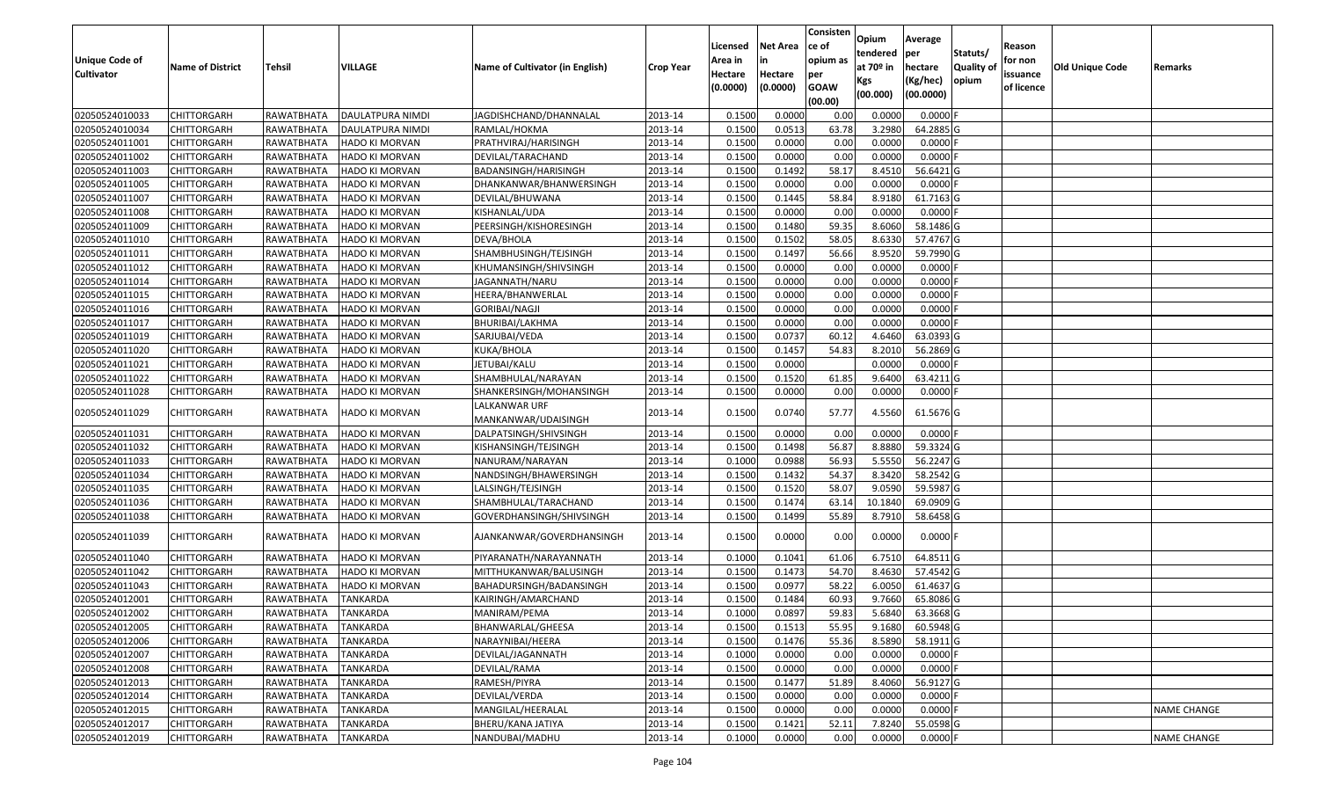| 02050524010033<br>2013-14<br>0.1500<br>0.0000<br>0.0000<br>0.0000<br><b>CHITTORGARH</b><br>RAWATBHATA<br>DAULATPURA NIMDI<br>JAGDISHCHAND/DHANNALAL<br>0.00<br>02050524010034<br>DAULATPURA NIMDI<br>0.1500<br>0.0513<br>63.78<br>3.2980<br>64.2885 G<br>CHITTORGARH<br>RAWATBHATA<br>RAMLAL/HOKMA<br>2013-14<br>2013-14<br>0.1500<br>0.0000<br>0.0000<br>02050524011001<br>PRATHVIRAJ/HARISINGH<br>0.00<br>0.0000<br>CHITTORGARH<br>RAWATBHATA<br><b>HADO KI MORVAN</b><br>02050524011002<br>RAWATBHATA<br>2013-14<br>0.1500<br>0.0000<br>0.00<br>0.0000<br>0.0000<br><b>CHITTORGARH</b><br><b>HADO KI MORVAN</b><br>DEVILAL/TARACHAND<br>02050524011003<br>2013-14<br>0.1500<br>0.1492<br>58.17<br>56.6421 G<br><b>CHITTORGARH</b><br>RAWATBHATA<br><b>HADO KI MORVAN</b><br>BADANSINGH/HARISINGH<br>8.4510<br>02050524011005<br>2013-14<br>0.1500<br>0.0000<br>0.0000<br>0.0000<br><b>CHITTORGARH</b><br>RAWATBHATA<br>HADO KI MORVAN<br>DHANKANWAR/BHANWERSINGH<br>0.00<br>0.1500<br>0.1445<br>58.84<br>8.9180<br>02050524011007<br>RAWATBHATA<br>2013-14<br>61.7163 G<br>CHITTORGARH<br><b>HADO KI MORVAN</b><br>DEVILAL/BHUWANA<br>02050524011008<br>2013-14<br>0.1500<br>0.0000<br>0.00<br>0.0000<br>0.0000<br><b>CHITTORGARH</b><br>RAWATBHATA<br><b>HADO KI MORVAN</b><br>KISHANLAL/UDA<br>02050524011009<br>0.1500<br>0.1480<br>59.35<br>8.6060<br><b>CHITTORGARH</b><br>RAWATBHATA<br><b>HADO KI MORVAN</b><br>PEERSINGH/KISHORESINGH<br>2013-14<br>58.1486 G<br>02050524011010<br>0.1500<br>0.1502<br>58.05<br>8.6330<br>57.4767 G<br><b>CHITTORGARH</b><br>RAWATBHATA<br><b>HADO KI MORVAN</b><br>DEVA/BHOLA<br>2013-14<br>SHAMBHUSINGH/TEJSINGH<br>0.1500<br>0.1497<br>56.66<br>8.9520<br>02050524011011<br><b>CHITTORGARH</b><br>RAWATBHATA<br><b>HADO KI MORVAN</b><br>2013-14<br>59.7990 G<br>02050524011012<br>2013-14<br>0.1500<br>0.0000<br>0.00<br>0.0000<br><b>CHITTORGARH</b><br>RAWATBHATA<br>KHUMANSINGH/SHIVSINGH<br>0.0000<br>HADO KI MORVAN<br>0.1500<br>02050524011014<br>RAWATBHATA<br>0.0000<br>0.00<br>0.0000<br>0.0000<br><b>CHITTORGARH</b><br><b>HADO KI MORVAN</b><br>JAGANNATH/NARU<br>2013-14<br>02050524011015<br>2013-14<br>0.1500<br>0.0000<br>0.0000<br><b>CHITTORGARH</b><br>RAWATBHATA<br>HADO KI MORVAN<br>HEERA/BHANWERLAL<br>0.00<br>0.0000<br>0.1500<br>0.0000<br>0.00<br>0.0000<br>0.0000<br>02050524011016<br><b>CHITTORGARH</b><br>RAWATBHATA<br><b>HADO KI MORVAN</b><br><b>GORIBAI/NAGJI</b><br>2013-14<br>2013-14<br>0.1500<br>0.0000<br>0.00<br>0.0000<br>02050524011017<br><b>CHITTORGARH</b><br>RAWATBHATA<br><b>HADO KI MORVAN</b><br>BHURIBAI/LAKHMA<br>0.0000<br>02050524011019<br>2013-14<br>0.1500<br>0.0737<br>60.12<br>4.6460<br>63.0393 G<br><b>CHITTORGARH</b><br>RAWATBHATA<br><b>HADO KI MORVAN</b><br>SARJUBAI/VEDA<br>02050524011020<br>0.1500<br>0.1457<br>54.83<br>8.2010<br>56.2869 G<br><b>CHITTORGARH</b><br>RAWATBHATA<br><b>HADO KI MORVAN</b><br>KUKA/BHOLA<br>2013-14<br>02050524011021<br>0.1500<br>0.0000<br>0.0000<br>0.0000<br><b>CHITTORGARH</b><br>RAWATBHATA<br><b>HADO KI MORVAN</b><br>JETUBAI/KALU<br>2013-14<br>2013-14<br>0.1500<br>0.1520<br>02050524011022<br>CHITTORGARH<br>RAWATBHATA<br>SHAMBHULAL/NARAYAN<br>61.85<br>9.6400<br>63.4211 G<br>HADO KI MORVAN<br>02050524011028<br>RAWATBHATA<br>2013-14<br>0.1500<br>0.0000<br>0.00<br>0.0000<br>0.0000<br><b>CHITTORGARH</b><br><b>HADO KI MORVAN</b><br>SHANKERSINGH/MOHANSINGH<br>LALKANWAR URF<br>0.1500<br>0.0740<br>02050524011029<br><b>CHITTORGARH</b><br>RAWATBHATA<br>HADO KI MORVAN<br>2013-14<br>57.77<br>4.5560<br>61.5676 G<br>MANKANWAR/UDAISINGH<br>2013-14<br>0.1500<br>0.0000<br>0.0000<br>0.0000<br>02050524011031<br>RAWATBHATA<br>0.00<br>CHITTORGARH<br>HADO KI MORVAN<br>DALPATSINGH/SHIVSINGH<br>56.87<br>02050524011032<br><b>CHITTORGARH</b><br>RAWATBHATA<br>HADO KI MORVAN<br>2013-14<br>0.1500<br>0.1498<br>8.8880<br>59.3324 G<br>KISHANSINGH/TEJSINGH<br>02050524011033<br>2013-14<br>0.1000<br>0.0988<br>56.93<br>5.5550<br>56.2247 G<br><b>CHITTORGARH</b><br>RAWATBHATA<br><b>HADO KI MORVAN</b><br>NANURAM/NARAYAN<br>02050524011034<br>2013-14<br>0.1500<br>0.1432<br>54.37<br>8.3420<br>58.2542 G<br><b>CHITTORGARH</b><br>RAWATBHATA<br>HADO KI MORVAN<br>NANDSINGH/BHAWERSINGH<br>0.1500<br>58.07<br>2013-14<br>0.1520<br>9.0590<br>59.5987 G<br>02050524011035<br><b>CHITTORGARH</b><br>RAWATBHATA<br><b>HADO KI MORVAN</b><br>LALSINGH/TEJSINGH<br>02050524011036<br>2013-14<br>0.1500<br>0.1474<br>63.14<br>10.1840<br>69.0909 G<br><b>CHITTORGARH</b><br>RAWATBHATA<br><b>HADO KI MORVAN</b><br>SHAMBHULAL/TARACHAND<br>0.1500<br>0.1499<br>55.89<br>8.7910<br>58.6458 G<br>02050524011038<br><b>CHITTORGARH</b><br>RAWATBHATA<br>GOVERDHANSINGH/SHIVSINGH<br>2013-14<br><b>HADO KI MORVAN</b><br>0.1500<br>0.0000<br>0.0000<br>$0.0000$ F<br>02050524011039<br><b>CHITTORGARH</b><br>RAWATBHATA<br>HADO KI MORVAN<br>2013-14<br>0.00<br>AJANKANWAR/GOVERDHANSINGH<br>64.8511 G<br>02050524011040<br><b>CHITTORGARH</b><br>RAWATBHATA<br>HADO KI MORVAN<br>PIYARANATH/NARAYANNATH<br>2013-14<br>0.1000<br>0.1041<br>61.06<br>6.7510<br>0.1500<br>0.1473<br>54.70<br>8.4630<br>57.4542 G<br>02050524011042<br><b>CHITTORGARH</b><br>RAWATBHATA<br><b>HADO KI MORVAN</b><br>MITTHUKANWAR/BALUSINGH<br>2013-14<br>02050524011043<br>0.150<br>58.22<br>61.4637 G<br>CHITTORGARH<br>RAWATBHATA<br>HADO KI MORVAN<br>BAHADURSINGH/BADANSINGH<br>2013-14<br>0.0977<br>6.0050<br>0.1500<br>0.1484<br>60.93<br>9.7660<br>02050524012001<br><b>CHITTORGARH</b><br>RAWATBHATA<br><b>TANKARDA</b><br>2013-14<br>65.8086 G<br>KAIRINGH/AMARCHAND<br>5.6840<br>02050524012002<br><b>CHITTORGARH</b><br>RAWATBHATA<br><b>TANKARDA</b><br>2013-14<br>0.1000<br>0.0897<br>59.83<br>63.3668 G<br>MANIRAM/PEMA<br>2013-14<br>0.1500<br>0.1513<br>55.95<br>9.1680<br>60.5948 G<br>02050524012005<br><b>CHITTORGARH</b><br>RAWATBHATA<br><b>TANKARDA</b><br>BHANWARLAL/GHEESA<br>02050524012006<br><b>CHITTORGARH</b><br>RAWATBHATA<br>NARAYNIBAI/HEERA<br>2013-14<br>0.1500<br>0.1476<br>55.36<br>8.5890<br>58.1911 G<br>TANKARDA<br>0.0000<br>02050524012007<br>RAWATBHATA<br><b>TANKARDA</b><br>DEVILAL/JAGANNATH<br>2013-14<br>0.1000<br>0.0000<br>0.00<br>$0.0000$ F<br><b>CHITTORGARH</b><br>0.1500<br>0.0000<br>0.0000<br>0.0000<br>02050524012008<br><b>CHITTORGARH</b><br>RAWATBHATA<br>TANKARDA<br>DEVILAL/RAMA<br>2013-14<br>0.00<br>0.1500<br>0.1477<br>8.4060<br>56.9127 G<br>02050524012013<br><b>CHITTORGARH</b><br><b>RAWATBHATA</b><br><b>TANKARDA</b><br>RAMESH/PIYRA<br>2013-14<br>51.89<br>02050524012014<br>RAWATBHATA<br>DEVILAL/VERDA<br>2013-14<br>0.1500<br>0.0000<br>0.00<br>0.0000<br>0.0000<br><b>CHITTORGARH</b><br>TANKARDA<br>0.0000<br>02050524012015<br>RAWATBHATA<br>MANGILAL/HEERALAL<br>0.1500<br>0.0000<br>0.0000<br><b>NAME CHANGE</b><br><b>CHITTORGARH</b><br><b>TANKARDA</b><br>2013-14<br>0.00<br>0.1500<br>0.1421<br>52.11<br>7.8240<br>55.0598 G<br>02050524012017<br><b>CHITTORGARH</b><br>RAWATBHATA<br>TANKARDA<br>BHERU/KANA JATIYA<br>2013-14<br>0.0000<br>02050524012019<br>RAWATBHATA<br><b>TANKARDA</b><br>2013-14<br>0.1000<br>0.0000<br>0.00<br>0.0000<br><b>NAME CHANGE</b><br><b>CHITTORGARH</b><br>NANDUBAI/MADHU | <b>Unique Code of</b><br><b>Cultivator</b> | <b>Name of District</b> | Tehsil | VILLAGE | Name of Cultivator (in English) | <b>Crop Year</b> | Licensed<br>Area in<br>Hectare<br>(0.0000) | <b>Net Area</b><br>in<br>Hectare<br>(0.0000) | Consisten<br>ce of<br>opium as<br>per<br><b>GOAW</b><br>(00.00) | Opium<br>tendered<br>at 70º in<br>Kgs<br>(00.000) | Average<br>per<br>hectare<br>(Kg/hec)<br>(00.0000) | Statuts/<br><b>Quality of</b><br>opium | Reason<br>for non<br>issuance<br>of licence | <b>Old Unique Code</b> | Remarks |
|--------------------------------------------------------------------------------------------------------------------------------------------------------------------------------------------------------------------------------------------------------------------------------------------------------------------------------------------------------------------------------------------------------------------------------------------------------------------------------------------------------------------------------------------------------------------------------------------------------------------------------------------------------------------------------------------------------------------------------------------------------------------------------------------------------------------------------------------------------------------------------------------------------------------------------------------------------------------------------------------------------------------------------------------------------------------------------------------------------------------------------------------------------------------------------------------------------------------------------------------------------------------------------------------------------------------------------------------------------------------------------------------------------------------------------------------------------------------------------------------------------------------------------------------------------------------------------------------------------------------------------------------------------------------------------------------------------------------------------------------------------------------------------------------------------------------------------------------------------------------------------------------------------------------------------------------------------------------------------------------------------------------------------------------------------------------------------------------------------------------------------------------------------------------------------------------------------------------------------------------------------------------------------------------------------------------------------------------------------------------------------------------------------------------------------------------------------------------------------------------------------------------------------------------------------------------------------------------------------------------------------------------------------------------------------------------------------------------------------------------------------------------------------------------------------------------------------------------------------------------------------------------------------------------------------------------------------------------------------------------------------------------------------------------------------------------------------------------------------------------------------------------------------------------------------------------------------------------------------------------------------------------------------------------------------------------------------------------------------------------------------------------------------------------------------------------------------------------------------------------------------------------------------------------------------------------------------------------------------------------------------------------------------------------------------------------------------------------------------------------------------------------------------------------------------------------------------------------------------------------------------------------------------------------------------------------------------------------------------------------------------------------------------------------------------------------------------------------------------------------------------------------------------------------------------------------------------------------------------------------------------------------------------------------------------------------------------------------------------------------------------------------------------------------------------------------------------------------------------------------------------------------------------------------------------------------------------------------------------------------------------------------------------------------------------------------------------------------------------------------------------------------------------------------------------------------------------------------------------------------------------------------------------------------------------------------------------------------------------------------------------------------------------------------------------------------------------------------------------------------------------------------------------------------------------------------------------------------------------------------------------------------------------------------------------------------------------------------------------------------------------------------------------------------------------------------------------------------------------------------------------------------------------------------------------------------------------------------------------------------------------------------------------------------------------------------------------------------------------------------------------------------------------------------------------------------------------------------------------------------------------------------------------------------------------------------------------------------------------------------------------------------------------------------------------------------------------------------------------------------------------------------------------------------------------------------------------------------------------------------------------------------------------------------------------------------------------------------------------------------------------------------------------------------------------------------------------------------------------------------------------------------------------------------------------------------------------------------------------------------------------------------------------------------------------------------------------------------------------------------------------------------------------------------------------------------------------------------------------------------------------------------------------------------------------------------------------------------------------------------------------------------------------------------------------------------------------------------------------------------------------------------------------------------------------------------------------------------------------------------------|--------------------------------------------|-------------------------|--------|---------|---------------------------------|------------------|--------------------------------------------|----------------------------------------------|-----------------------------------------------------------------|---------------------------------------------------|----------------------------------------------------|----------------------------------------|---------------------------------------------|------------------------|---------|
|                                                                                                                                                                                                                                                                                                                                                                                                                                                                                                                                                                                                                                                                                                                                                                                                                                                                                                                                                                                                                                                                                                                                                                                                                                                                                                                                                                                                                                                                                                                                                                                                                                                                                                                                                                                                                                                                                                                                                                                                                                                                                                                                                                                                                                                                                                                                                                                                                                                                                                                                                                                                                                                                                                                                                                                                                                                                                                                                                                                                                                                                                                                                                                                                                                                                                                                                                                                                                                                                                                                                                                                                                                                                                                                                                                                                                                                                                                                                                                                                                                                                                                                                                                                                                                                                                                                                                                                                                                                                                                                                                                                                                                                                                                                                                                                                                                                                                                                                                                                                                                                                                                                                                                                                                                                                                                                                                                                                                                                                                                                                                                                                                                                                                                                                                                                                                                                                                                                                                                                                                                                                                                                                                                                                                                                                                                                                                                                                                                                                                                                                                                                                                                                                                                                                                                                                                                                                                                                                                                                                                                                                                                                                                                                                                                                  |                                            |                         |        |         |                                 |                  |                                            |                                              |                                                                 |                                                   |                                                    |                                        |                                             |                        |         |
|                                                                                                                                                                                                                                                                                                                                                                                                                                                                                                                                                                                                                                                                                                                                                                                                                                                                                                                                                                                                                                                                                                                                                                                                                                                                                                                                                                                                                                                                                                                                                                                                                                                                                                                                                                                                                                                                                                                                                                                                                                                                                                                                                                                                                                                                                                                                                                                                                                                                                                                                                                                                                                                                                                                                                                                                                                                                                                                                                                                                                                                                                                                                                                                                                                                                                                                                                                                                                                                                                                                                                                                                                                                                                                                                                                                                                                                                                                                                                                                                                                                                                                                                                                                                                                                                                                                                                                                                                                                                                                                                                                                                                                                                                                                                                                                                                                                                                                                                                                                                                                                                                                                                                                                                                                                                                                                                                                                                                                                                                                                                                                                                                                                                                                                                                                                                                                                                                                                                                                                                                                                                                                                                                                                                                                                                                                                                                                                                                                                                                                                                                                                                                                                                                                                                                                                                                                                                                                                                                                                                                                                                                                                                                                                                                                                  |                                            |                         |        |         |                                 |                  |                                            |                                              |                                                                 |                                                   |                                                    |                                        |                                             |                        |         |
|                                                                                                                                                                                                                                                                                                                                                                                                                                                                                                                                                                                                                                                                                                                                                                                                                                                                                                                                                                                                                                                                                                                                                                                                                                                                                                                                                                                                                                                                                                                                                                                                                                                                                                                                                                                                                                                                                                                                                                                                                                                                                                                                                                                                                                                                                                                                                                                                                                                                                                                                                                                                                                                                                                                                                                                                                                                                                                                                                                                                                                                                                                                                                                                                                                                                                                                                                                                                                                                                                                                                                                                                                                                                                                                                                                                                                                                                                                                                                                                                                                                                                                                                                                                                                                                                                                                                                                                                                                                                                                                                                                                                                                                                                                                                                                                                                                                                                                                                                                                                                                                                                                                                                                                                                                                                                                                                                                                                                                                                                                                                                                                                                                                                                                                                                                                                                                                                                                                                                                                                                                                                                                                                                                                                                                                                                                                                                                                                                                                                                                                                                                                                                                                                                                                                                                                                                                                                                                                                                                                                                                                                                                                                                                                                                                                  |                                            |                         |        |         |                                 |                  |                                            |                                              |                                                                 |                                                   |                                                    |                                        |                                             |                        |         |
|                                                                                                                                                                                                                                                                                                                                                                                                                                                                                                                                                                                                                                                                                                                                                                                                                                                                                                                                                                                                                                                                                                                                                                                                                                                                                                                                                                                                                                                                                                                                                                                                                                                                                                                                                                                                                                                                                                                                                                                                                                                                                                                                                                                                                                                                                                                                                                                                                                                                                                                                                                                                                                                                                                                                                                                                                                                                                                                                                                                                                                                                                                                                                                                                                                                                                                                                                                                                                                                                                                                                                                                                                                                                                                                                                                                                                                                                                                                                                                                                                                                                                                                                                                                                                                                                                                                                                                                                                                                                                                                                                                                                                                                                                                                                                                                                                                                                                                                                                                                                                                                                                                                                                                                                                                                                                                                                                                                                                                                                                                                                                                                                                                                                                                                                                                                                                                                                                                                                                                                                                                                                                                                                                                                                                                                                                                                                                                                                                                                                                                                                                                                                                                                                                                                                                                                                                                                                                                                                                                                                                                                                                                                                                                                                                                                  |                                            |                         |        |         |                                 |                  |                                            |                                              |                                                                 |                                                   |                                                    |                                        |                                             |                        |         |
|                                                                                                                                                                                                                                                                                                                                                                                                                                                                                                                                                                                                                                                                                                                                                                                                                                                                                                                                                                                                                                                                                                                                                                                                                                                                                                                                                                                                                                                                                                                                                                                                                                                                                                                                                                                                                                                                                                                                                                                                                                                                                                                                                                                                                                                                                                                                                                                                                                                                                                                                                                                                                                                                                                                                                                                                                                                                                                                                                                                                                                                                                                                                                                                                                                                                                                                                                                                                                                                                                                                                                                                                                                                                                                                                                                                                                                                                                                                                                                                                                                                                                                                                                                                                                                                                                                                                                                                                                                                                                                                                                                                                                                                                                                                                                                                                                                                                                                                                                                                                                                                                                                                                                                                                                                                                                                                                                                                                                                                                                                                                                                                                                                                                                                                                                                                                                                                                                                                                                                                                                                                                                                                                                                                                                                                                                                                                                                                                                                                                                                                                                                                                                                                                                                                                                                                                                                                                                                                                                                                                                                                                                                                                                                                                                                                  |                                            |                         |        |         |                                 |                  |                                            |                                              |                                                                 |                                                   |                                                    |                                        |                                             |                        |         |
|                                                                                                                                                                                                                                                                                                                                                                                                                                                                                                                                                                                                                                                                                                                                                                                                                                                                                                                                                                                                                                                                                                                                                                                                                                                                                                                                                                                                                                                                                                                                                                                                                                                                                                                                                                                                                                                                                                                                                                                                                                                                                                                                                                                                                                                                                                                                                                                                                                                                                                                                                                                                                                                                                                                                                                                                                                                                                                                                                                                                                                                                                                                                                                                                                                                                                                                                                                                                                                                                                                                                                                                                                                                                                                                                                                                                                                                                                                                                                                                                                                                                                                                                                                                                                                                                                                                                                                                                                                                                                                                                                                                                                                                                                                                                                                                                                                                                                                                                                                                                                                                                                                                                                                                                                                                                                                                                                                                                                                                                                                                                                                                                                                                                                                                                                                                                                                                                                                                                                                                                                                                                                                                                                                                                                                                                                                                                                                                                                                                                                                                                                                                                                                                                                                                                                                                                                                                                                                                                                                                                                                                                                                                                                                                                                                                  |                                            |                         |        |         |                                 |                  |                                            |                                              |                                                                 |                                                   |                                                    |                                        |                                             |                        |         |
|                                                                                                                                                                                                                                                                                                                                                                                                                                                                                                                                                                                                                                                                                                                                                                                                                                                                                                                                                                                                                                                                                                                                                                                                                                                                                                                                                                                                                                                                                                                                                                                                                                                                                                                                                                                                                                                                                                                                                                                                                                                                                                                                                                                                                                                                                                                                                                                                                                                                                                                                                                                                                                                                                                                                                                                                                                                                                                                                                                                                                                                                                                                                                                                                                                                                                                                                                                                                                                                                                                                                                                                                                                                                                                                                                                                                                                                                                                                                                                                                                                                                                                                                                                                                                                                                                                                                                                                                                                                                                                                                                                                                                                                                                                                                                                                                                                                                                                                                                                                                                                                                                                                                                                                                                                                                                                                                                                                                                                                                                                                                                                                                                                                                                                                                                                                                                                                                                                                                                                                                                                                                                                                                                                                                                                                                                                                                                                                                                                                                                                                                                                                                                                                                                                                                                                                                                                                                                                                                                                                                                                                                                                                                                                                                                                                  |                                            |                         |        |         |                                 |                  |                                            |                                              |                                                                 |                                                   |                                                    |                                        |                                             |                        |         |
|                                                                                                                                                                                                                                                                                                                                                                                                                                                                                                                                                                                                                                                                                                                                                                                                                                                                                                                                                                                                                                                                                                                                                                                                                                                                                                                                                                                                                                                                                                                                                                                                                                                                                                                                                                                                                                                                                                                                                                                                                                                                                                                                                                                                                                                                                                                                                                                                                                                                                                                                                                                                                                                                                                                                                                                                                                                                                                                                                                                                                                                                                                                                                                                                                                                                                                                                                                                                                                                                                                                                                                                                                                                                                                                                                                                                                                                                                                                                                                                                                                                                                                                                                                                                                                                                                                                                                                                                                                                                                                                                                                                                                                                                                                                                                                                                                                                                                                                                                                                                                                                                                                                                                                                                                                                                                                                                                                                                                                                                                                                                                                                                                                                                                                                                                                                                                                                                                                                                                                                                                                                                                                                                                                                                                                                                                                                                                                                                                                                                                                                                                                                                                                                                                                                                                                                                                                                                                                                                                                                                                                                                                                                                                                                                                                                  |                                            |                         |        |         |                                 |                  |                                            |                                              |                                                                 |                                                   |                                                    |                                        |                                             |                        |         |
|                                                                                                                                                                                                                                                                                                                                                                                                                                                                                                                                                                                                                                                                                                                                                                                                                                                                                                                                                                                                                                                                                                                                                                                                                                                                                                                                                                                                                                                                                                                                                                                                                                                                                                                                                                                                                                                                                                                                                                                                                                                                                                                                                                                                                                                                                                                                                                                                                                                                                                                                                                                                                                                                                                                                                                                                                                                                                                                                                                                                                                                                                                                                                                                                                                                                                                                                                                                                                                                                                                                                                                                                                                                                                                                                                                                                                                                                                                                                                                                                                                                                                                                                                                                                                                                                                                                                                                                                                                                                                                                                                                                                                                                                                                                                                                                                                                                                                                                                                                                                                                                                                                                                                                                                                                                                                                                                                                                                                                                                                                                                                                                                                                                                                                                                                                                                                                                                                                                                                                                                                                                                                                                                                                                                                                                                                                                                                                                                                                                                                                                                                                                                                                                                                                                                                                                                                                                                                                                                                                                                                                                                                                                                                                                                                                                  |                                            |                         |        |         |                                 |                  |                                            |                                              |                                                                 |                                                   |                                                    |                                        |                                             |                        |         |
|                                                                                                                                                                                                                                                                                                                                                                                                                                                                                                                                                                                                                                                                                                                                                                                                                                                                                                                                                                                                                                                                                                                                                                                                                                                                                                                                                                                                                                                                                                                                                                                                                                                                                                                                                                                                                                                                                                                                                                                                                                                                                                                                                                                                                                                                                                                                                                                                                                                                                                                                                                                                                                                                                                                                                                                                                                                                                                                                                                                                                                                                                                                                                                                                                                                                                                                                                                                                                                                                                                                                                                                                                                                                                                                                                                                                                                                                                                                                                                                                                                                                                                                                                                                                                                                                                                                                                                                                                                                                                                                                                                                                                                                                                                                                                                                                                                                                                                                                                                                                                                                                                                                                                                                                                                                                                                                                                                                                                                                                                                                                                                                                                                                                                                                                                                                                                                                                                                                                                                                                                                                                                                                                                                                                                                                                                                                                                                                                                                                                                                                                                                                                                                                                                                                                                                                                                                                                                                                                                                                                                                                                                                                                                                                                                                                  |                                            |                         |        |         |                                 |                  |                                            |                                              |                                                                 |                                                   |                                                    |                                        |                                             |                        |         |
|                                                                                                                                                                                                                                                                                                                                                                                                                                                                                                                                                                                                                                                                                                                                                                                                                                                                                                                                                                                                                                                                                                                                                                                                                                                                                                                                                                                                                                                                                                                                                                                                                                                                                                                                                                                                                                                                                                                                                                                                                                                                                                                                                                                                                                                                                                                                                                                                                                                                                                                                                                                                                                                                                                                                                                                                                                                                                                                                                                                                                                                                                                                                                                                                                                                                                                                                                                                                                                                                                                                                                                                                                                                                                                                                                                                                                                                                                                                                                                                                                                                                                                                                                                                                                                                                                                                                                                                                                                                                                                                                                                                                                                                                                                                                                                                                                                                                                                                                                                                                                                                                                                                                                                                                                                                                                                                                                                                                                                                                                                                                                                                                                                                                                                                                                                                                                                                                                                                                                                                                                                                                                                                                                                                                                                                                                                                                                                                                                                                                                                                                                                                                                                                                                                                                                                                                                                                                                                                                                                                                                                                                                                                                                                                                                                                  |                                            |                         |        |         |                                 |                  |                                            |                                              |                                                                 |                                                   |                                                    |                                        |                                             |                        |         |
|                                                                                                                                                                                                                                                                                                                                                                                                                                                                                                                                                                                                                                                                                                                                                                                                                                                                                                                                                                                                                                                                                                                                                                                                                                                                                                                                                                                                                                                                                                                                                                                                                                                                                                                                                                                                                                                                                                                                                                                                                                                                                                                                                                                                                                                                                                                                                                                                                                                                                                                                                                                                                                                                                                                                                                                                                                                                                                                                                                                                                                                                                                                                                                                                                                                                                                                                                                                                                                                                                                                                                                                                                                                                                                                                                                                                                                                                                                                                                                                                                                                                                                                                                                                                                                                                                                                                                                                                                                                                                                                                                                                                                                                                                                                                                                                                                                                                                                                                                                                                                                                                                                                                                                                                                                                                                                                                                                                                                                                                                                                                                                                                                                                                                                                                                                                                                                                                                                                                                                                                                                                                                                                                                                                                                                                                                                                                                                                                                                                                                                                                                                                                                                                                                                                                                                                                                                                                                                                                                                                                                                                                                                                                                                                                                                                  |                                            |                         |        |         |                                 |                  |                                            |                                              |                                                                 |                                                   |                                                    |                                        |                                             |                        |         |
|                                                                                                                                                                                                                                                                                                                                                                                                                                                                                                                                                                                                                                                                                                                                                                                                                                                                                                                                                                                                                                                                                                                                                                                                                                                                                                                                                                                                                                                                                                                                                                                                                                                                                                                                                                                                                                                                                                                                                                                                                                                                                                                                                                                                                                                                                                                                                                                                                                                                                                                                                                                                                                                                                                                                                                                                                                                                                                                                                                                                                                                                                                                                                                                                                                                                                                                                                                                                                                                                                                                                                                                                                                                                                                                                                                                                                                                                                                                                                                                                                                                                                                                                                                                                                                                                                                                                                                                                                                                                                                                                                                                                                                                                                                                                                                                                                                                                                                                                                                                                                                                                                                                                                                                                                                                                                                                                                                                                                                                                                                                                                                                                                                                                                                                                                                                                                                                                                                                                                                                                                                                                                                                                                                                                                                                                                                                                                                                                                                                                                                                                                                                                                                                                                                                                                                                                                                                                                                                                                                                                                                                                                                                                                                                                                                                  |                                            |                         |        |         |                                 |                  |                                            |                                              |                                                                 |                                                   |                                                    |                                        |                                             |                        |         |
|                                                                                                                                                                                                                                                                                                                                                                                                                                                                                                                                                                                                                                                                                                                                                                                                                                                                                                                                                                                                                                                                                                                                                                                                                                                                                                                                                                                                                                                                                                                                                                                                                                                                                                                                                                                                                                                                                                                                                                                                                                                                                                                                                                                                                                                                                                                                                                                                                                                                                                                                                                                                                                                                                                                                                                                                                                                                                                                                                                                                                                                                                                                                                                                                                                                                                                                                                                                                                                                                                                                                                                                                                                                                                                                                                                                                                                                                                                                                                                                                                                                                                                                                                                                                                                                                                                                                                                                                                                                                                                                                                                                                                                                                                                                                                                                                                                                                                                                                                                                                                                                                                                                                                                                                                                                                                                                                                                                                                                                                                                                                                                                                                                                                                                                                                                                                                                                                                                                                                                                                                                                                                                                                                                                                                                                                                                                                                                                                                                                                                                                                                                                                                                                                                                                                                                                                                                                                                                                                                                                                                                                                                                                                                                                                                                                  |                                            |                         |        |         |                                 |                  |                                            |                                              |                                                                 |                                                   |                                                    |                                        |                                             |                        |         |
|                                                                                                                                                                                                                                                                                                                                                                                                                                                                                                                                                                                                                                                                                                                                                                                                                                                                                                                                                                                                                                                                                                                                                                                                                                                                                                                                                                                                                                                                                                                                                                                                                                                                                                                                                                                                                                                                                                                                                                                                                                                                                                                                                                                                                                                                                                                                                                                                                                                                                                                                                                                                                                                                                                                                                                                                                                                                                                                                                                                                                                                                                                                                                                                                                                                                                                                                                                                                                                                                                                                                                                                                                                                                                                                                                                                                                                                                                                                                                                                                                                                                                                                                                                                                                                                                                                                                                                                                                                                                                                                                                                                                                                                                                                                                                                                                                                                                                                                                                                                                                                                                                                                                                                                                                                                                                                                                                                                                                                                                                                                                                                                                                                                                                                                                                                                                                                                                                                                                                                                                                                                                                                                                                                                                                                                                                                                                                                                                                                                                                                                                                                                                                                                                                                                                                                                                                                                                                                                                                                                                                                                                                                                                                                                                                                                  |                                            |                         |        |         |                                 |                  |                                            |                                              |                                                                 |                                                   |                                                    |                                        |                                             |                        |         |
|                                                                                                                                                                                                                                                                                                                                                                                                                                                                                                                                                                                                                                                                                                                                                                                                                                                                                                                                                                                                                                                                                                                                                                                                                                                                                                                                                                                                                                                                                                                                                                                                                                                                                                                                                                                                                                                                                                                                                                                                                                                                                                                                                                                                                                                                                                                                                                                                                                                                                                                                                                                                                                                                                                                                                                                                                                                                                                                                                                                                                                                                                                                                                                                                                                                                                                                                                                                                                                                                                                                                                                                                                                                                                                                                                                                                                                                                                                                                                                                                                                                                                                                                                                                                                                                                                                                                                                                                                                                                                                                                                                                                                                                                                                                                                                                                                                                                                                                                                                                                                                                                                                                                                                                                                                                                                                                                                                                                                                                                                                                                                                                                                                                                                                                                                                                                                                                                                                                                                                                                                                                                                                                                                                                                                                                                                                                                                                                                                                                                                                                                                                                                                                                                                                                                                                                                                                                                                                                                                                                                                                                                                                                                                                                                                                                  |                                            |                         |        |         |                                 |                  |                                            |                                              |                                                                 |                                                   |                                                    |                                        |                                             |                        |         |
|                                                                                                                                                                                                                                                                                                                                                                                                                                                                                                                                                                                                                                                                                                                                                                                                                                                                                                                                                                                                                                                                                                                                                                                                                                                                                                                                                                                                                                                                                                                                                                                                                                                                                                                                                                                                                                                                                                                                                                                                                                                                                                                                                                                                                                                                                                                                                                                                                                                                                                                                                                                                                                                                                                                                                                                                                                                                                                                                                                                                                                                                                                                                                                                                                                                                                                                                                                                                                                                                                                                                                                                                                                                                                                                                                                                                                                                                                                                                                                                                                                                                                                                                                                                                                                                                                                                                                                                                                                                                                                                                                                                                                                                                                                                                                                                                                                                                                                                                                                                                                                                                                                                                                                                                                                                                                                                                                                                                                                                                                                                                                                                                                                                                                                                                                                                                                                                                                                                                                                                                                                                                                                                                                                                                                                                                                                                                                                                                                                                                                                                                                                                                                                                                                                                                                                                                                                                                                                                                                                                                                                                                                                                                                                                                                                                  |                                            |                         |        |         |                                 |                  |                                            |                                              |                                                                 |                                                   |                                                    |                                        |                                             |                        |         |
|                                                                                                                                                                                                                                                                                                                                                                                                                                                                                                                                                                                                                                                                                                                                                                                                                                                                                                                                                                                                                                                                                                                                                                                                                                                                                                                                                                                                                                                                                                                                                                                                                                                                                                                                                                                                                                                                                                                                                                                                                                                                                                                                                                                                                                                                                                                                                                                                                                                                                                                                                                                                                                                                                                                                                                                                                                                                                                                                                                                                                                                                                                                                                                                                                                                                                                                                                                                                                                                                                                                                                                                                                                                                                                                                                                                                                                                                                                                                                                                                                                                                                                                                                                                                                                                                                                                                                                                                                                                                                                                                                                                                                                                                                                                                                                                                                                                                                                                                                                                                                                                                                                                                                                                                                                                                                                                                                                                                                                                                                                                                                                                                                                                                                                                                                                                                                                                                                                                                                                                                                                                                                                                                                                                                                                                                                                                                                                                                                                                                                                                                                                                                                                                                                                                                                                                                                                                                                                                                                                                                                                                                                                                                                                                                                                                  |                                            |                         |        |         |                                 |                  |                                            |                                              |                                                                 |                                                   |                                                    |                                        |                                             |                        |         |
|                                                                                                                                                                                                                                                                                                                                                                                                                                                                                                                                                                                                                                                                                                                                                                                                                                                                                                                                                                                                                                                                                                                                                                                                                                                                                                                                                                                                                                                                                                                                                                                                                                                                                                                                                                                                                                                                                                                                                                                                                                                                                                                                                                                                                                                                                                                                                                                                                                                                                                                                                                                                                                                                                                                                                                                                                                                                                                                                                                                                                                                                                                                                                                                                                                                                                                                                                                                                                                                                                                                                                                                                                                                                                                                                                                                                                                                                                                                                                                                                                                                                                                                                                                                                                                                                                                                                                                                                                                                                                                                                                                                                                                                                                                                                                                                                                                                                                                                                                                                                                                                                                                                                                                                                                                                                                                                                                                                                                                                                                                                                                                                                                                                                                                                                                                                                                                                                                                                                                                                                                                                                                                                                                                                                                                                                                                                                                                                                                                                                                                                                                                                                                                                                                                                                                                                                                                                                                                                                                                                                                                                                                                                                                                                                                                                  |                                            |                         |        |         |                                 |                  |                                            |                                              |                                                                 |                                                   |                                                    |                                        |                                             |                        |         |
|                                                                                                                                                                                                                                                                                                                                                                                                                                                                                                                                                                                                                                                                                                                                                                                                                                                                                                                                                                                                                                                                                                                                                                                                                                                                                                                                                                                                                                                                                                                                                                                                                                                                                                                                                                                                                                                                                                                                                                                                                                                                                                                                                                                                                                                                                                                                                                                                                                                                                                                                                                                                                                                                                                                                                                                                                                                                                                                                                                                                                                                                                                                                                                                                                                                                                                                                                                                                                                                                                                                                                                                                                                                                                                                                                                                                                                                                                                                                                                                                                                                                                                                                                                                                                                                                                                                                                                                                                                                                                                                                                                                                                                                                                                                                                                                                                                                                                                                                                                                                                                                                                                                                                                                                                                                                                                                                                                                                                                                                                                                                                                                                                                                                                                                                                                                                                                                                                                                                                                                                                                                                                                                                                                                                                                                                                                                                                                                                                                                                                                                                                                                                                                                                                                                                                                                                                                                                                                                                                                                                                                                                                                                                                                                                                                                  |                                            |                         |        |         |                                 |                  |                                            |                                              |                                                                 |                                                   |                                                    |                                        |                                             |                        |         |
|                                                                                                                                                                                                                                                                                                                                                                                                                                                                                                                                                                                                                                                                                                                                                                                                                                                                                                                                                                                                                                                                                                                                                                                                                                                                                                                                                                                                                                                                                                                                                                                                                                                                                                                                                                                                                                                                                                                                                                                                                                                                                                                                                                                                                                                                                                                                                                                                                                                                                                                                                                                                                                                                                                                                                                                                                                                                                                                                                                                                                                                                                                                                                                                                                                                                                                                                                                                                                                                                                                                                                                                                                                                                                                                                                                                                                                                                                                                                                                                                                                                                                                                                                                                                                                                                                                                                                                                                                                                                                                                                                                                                                                                                                                                                                                                                                                                                                                                                                                                                                                                                                                                                                                                                                                                                                                                                                                                                                                                                                                                                                                                                                                                                                                                                                                                                                                                                                                                                                                                                                                                                                                                                                                                                                                                                                                                                                                                                                                                                                                                                                                                                                                                                                                                                                                                                                                                                                                                                                                                                                                                                                                                                                                                                                                                  |                                            |                         |        |         |                                 |                  |                                            |                                              |                                                                 |                                                   |                                                    |                                        |                                             |                        |         |
|                                                                                                                                                                                                                                                                                                                                                                                                                                                                                                                                                                                                                                                                                                                                                                                                                                                                                                                                                                                                                                                                                                                                                                                                                                                                                                                                                                                                                                                                                                                                                                                                                                                                                                                                                                                                                                                                                                                                                                                                                                                                                                                                                                                                                                                                                                                                                                                                                                                                                                                                                                                                                                                                                                                                                                                                                                                                                                                                                                                                                                                                                                                                                                                                                                                                                                                                                                                                                                                                                                                                                                                                                                                                                                                                                                                                                                                                                                                                                                                                                                                                                                                                                                                                                                                                                                                                                                                                                                                                                                                                                                                                                                                                                                                                                                                                                                                                                                                                                                                                                                                                                                                                                                                                                                                                                                                                                                                                                                                                                                                                                                                                                                                                                                                                                                                                                                                                                                                                                                                                                                                                                                                                                                                                                                                                                                                                                                                                                                                                                                                                                                                                                                                                                                                                                                                                                                                                                                                                                                                                                                                                                                                                                                                                                                                  |                                            |                         |        |         |                                 |                  |                                            |                                              |                                                                 |                                                   |                                                    |                                        |                                             |                        |         |
|                                                                                                                                                                                                                                                                                                                                                                                                                                                                                                                                                                                                                                                                                                                                                                                                                                                                                                                                                                                                                                                                                                                                                                                                                                                                                                                                                                                                                                                                                                                                                                                                                                                                                                                                                                                                                                                                                                                                                                                                                                                                                                                                                                                                                                                                                                                                                                                                                                                                                                                                                                                                                                                                                                                                                                                                                                                                                                                                                                                                                                                                                                                                                                                                                                                                                                                                                                                                                                                                                                                                                                                                                                                                                                                                                                                                                                                                                                                                                                                                                                                                                                                                                                                                                                                                                                                                                                                                                                                                                                                                                                                                                                                                                                                                                                                                                                                                                                                                                                                                                                                                                                                                                                                                                                                                                                                                                                                                                                                                                                                                                                                                                                                                                                                                                                                                                                                                                                                                                                                                                                                                                                                                                                                                                                                                                                                                                                                                                                                                                                                                                                                                                                                                                                                                                                                                                                                                                                                                                                                                                                                                                                                                                                                                                                                  |                                            |                         |        |         |                                 |                  |                                            |                                              |                                                                 |                                                   |                                                    |                                        |                                             |                        |         |
|                                                                                                                                                                                                                                                                                                                                                                                                                                                                                                                                                                                                                                                                                                                                                                                                                                                                                                                                                                                                                                                                                                                                                                                                                                                                                                                                                                                                                                                                                                                                                                                                                                                                                                                                                                                                                                                                                                                                                                                                                                                                                                                                                                                                                                                                                                                                                                                                                                                                                                                                                                                                                                                                                                                                                                                                                                                                                                                                                                                                                                                                                                                                                                                                                                                                                                                                                                                                                                                                                                                                                                                                                                                                                                                                                                                                                                                                                                                                                                                                                                                                                                                                                                                                                                                                                                                                                                                                                                                                                                                                                                                                                                                                                                                                                                                                                                                                                                                                                                                                                                                                                                                                                                                                                                                                                                                                                                                                                                                                                                                                                                                                                                                                                                                                                                                                                                                                                                                                                                                                                                                                                                                                                                                                                                                                                                                                                                                                                                                                                                                                                                                                                                                                                                                                                                                                                                                                                                                                                                                                                                                                                                                                                                                                                                                  |                                            |                         |        |         |                                 |                  |                                            |                                              |                                                                 |                                                   |                                                    |                                        |                                             |                        |         |
|                                                                                                                                                                                                                                                                                                                                                                                                                                                                                                                                                                                                                                                                                                                                                                                                                                                                                                                                                                                                                                                                                                                                                                                                                                                                                                                                                                                                                                                                                                                                                                                                                                                                                                                                                                                                                                                                                                                                                                                                                                                                                                                                                                                                                                                                                                                                                                                                                                                                                                                                                                                                                                                                                                                                                                                                                                                                                                                                                                                                                                                                                                                                                                                                                                                                                                                                                                                                                                                                                                                                                                                                                                                                                                                                                                                                                                                                                                                                                                                                                                                                                                                                                                                                                                                                                                                                                                                                                                                                                                                                                                                                                                                                                                                                                                                                                                                                                                                                                                                                                                                                                                                                                                                                                                                                                                                                                                                                                                                                                                                                                                                                                                                                                                                                                                                                                                                                                                                                                                                                                                                                                                                                                                                                                                                                                                                                                                                                                                                                                                                                                                                                                                                                                                                                                                                                                                                                                                                                                                                                                                                                                                                                                                                                                                                  |                                            |                         |        |         |                                 |                  |                                            |                                              |                                                                 |                                                   |                                                    |                                        |                                             |                        |         |
|                                                                                                                                                                                                                                                                                                                                                                                                                                                                                                                                                                                                                                                                                                                                                                                                                                                                                                                                                                                                                                                                                                                                                                                                                                                                                                                                                                                                                                                                                                                                                                                                                                                                                                                                                                                                                                                                                                                                                                                                                                                                                                                                                                                                                                                                                                                                                                                                                                                                                                                                                                                                                                                                                                                                                                                                                                                                                                                                                                                                                                                                                                                                                                                                                                                                                                                                                                                                                                                                                                                                                                                                                                                                                                                                                                                                                                                                                                                                                                                                                                                                                                                                                                                                                                                                                                                                                                                                                                                                                                                                                                                                                                                                                                                                                                                                                                                                                                                                                                                                                                                                                                                                                                                                                                                                                                                                                                                                                                                                                                                                                                                                                                                                                                                                                                                                                                                                                                                                                                                                                                                                                                                                                                                                                                                                                                                                                                                                                                                                                                                                                                                                                                                                                                                                                                                                                                                                                                                                                                                                                                                                                                                                                                                                                                                  |                                            |                         |        |         |                                 |                  |                                            |                                              |                                                                 |                                                   |                                                    |                                        |                                             |                        |         |
|                                                                                                                                                                                                                                                                                                                                                                                                                                                                                                                                                                                                                                                                                                                                                                                                                                                                                                                                                                                                                                                                                                                                                                                                                                                                                                                                                                                                                                                                                                                                                                                                                                                                                                                                                                                                                                                                                                                                                                                                                                                                                                                                                                                                                                                                                                                                                                                                                                                                                                                                                                                                                                                                                                                                                                                                                                                                                                                                                                                                                                                                                                                                                                                                                                                                                                                                                                                                                                                                                                                                                                                                                                                                                                                                                                                                                                                                                                                                                                                                                                                                                                                                                                                                                                                                                                                                                                                                                                                                                                                                                                                                                                                                                                                                                                                                                                                                                                                                                                                                                                                                                                                                                                                                                                                                                                                                                                                                                                                                                                                                                                                                                                                                                                                                                                                                                                                                                                                                                                                                                                                                                                                                                                                                                                                                                                                                                                                                                                                                                                                                                                                                                                                                                                                                                                                                                                                                                                                                                                                                                                                                                                                                                                                                                                                  |                                            |                         |        |         |                                 |                  |                                            |                                              |                                                                 |                                                   |                                                    |                                        |                                             |                        |         |
|                                                                                                                                                                                                                                                                                                                                                                                                                                                                                                                                                                                                                                                                                                                                                                                                                                                                                                                                                                                                                                                                                                                                                                                                                                                                                                                                                                                                                                                                                                                                                                                                                                                                                                                                                                                                                                                                                                                                                                                                                                                                                                                                                                                                                                                                                                                                                                                                                                                                                                                                                                                                                                                                                                                                                                                                                                                                                                                                                                                                                                                                                                                                                                                                                                                                                                                                                                                                                                                                                                                                                                                                                                                                                                                                                                                                                                                                                                                                                                                                                                                                                                                                                                                                                                                                                                                                                                                                                                                                                                                                                                                                                                                                                                                                                                                                                                                                                                                                                                                                                                                                                                                                                                                                                                                                                                                                                                                                                                                                                                                                                                                                                                                                                                                                                                                                                                                                                                                                                                                                                                                                                                                                                                                                                                                                                                                                                                                                                                                                                                                                                                                                                                                                                                                                                                                                                                                                                                                                                                                                                                                                                                                                                                                                                                                  |                                            |                         |        |         |                                 |                  |                                            |                                              |                                                                 |                                                   |                                                    |                                        |                                             |                        |         |
|                                                                                                                                                                                                                                                                                                                                                                                                                                                                                                                                                                                                                                                                                                                                                                                                                                                                                                                                                                                                                                                                                                                                                                                                                                                                                                                                                                                                                                                                                                                                                                                                                                                                                                                                                                                                                                                                                                                                                                                                                                                                                                                                                                                                                                                                                                                                                                                                                                                                                                                                                                                                                                                                                                                                                                                                                                                                                                                                                                                                                                                                                                                                                                                                                                                                                                                                                                                                                                                                                                                                                                                                                                                                                                                                                                                                                                                                                                                                                                                                                                                                                                                                                                                                                                                                                                                                                                                                                                                                                                                                                                                                                                                                                                                                                                                                                                                                                                                                                                                                                                                                                                                                                                                                                                                                                                                                                                                                                                                                                                                                                                                                                                                                                                                                                                                                                                                                                                                                                                                                                                                                                                                                                                                                                                                                                                                                                                                                                                                                                                                                                                                                                                                                                                                                                                                                                                                                                                                                                                                                                                                                                                                                                                                                                                                  |                                            |                         |        |         |                                 |                  |                                            |                                              |                                                                 |                                                   |                                                    |                                        |                                             |                        |         |
|                                                                                                                                                                                                                                                                                                                                                                                                                                                                                                                                                                                                                                                                                                                                                                                                                                                                                                                                                                                                                                                                                                                                                                                                                                                                                                                                                                                                                                                                                                                                                                                                                                                                                                                                                                                                                                                                                                                                                                                                                                                                                                                                                                                                                                                                                                                                                                                                                                                                                                                                                                                                                                                                                                                                                                                                                                                                                                                                                                                                                                                                                                                                                                                                                                                                                                                                                                                                                                                                                                                                                                                                                                                                                                                                                                                                                                                                                                                                                                                                                                                                                                                                                                                                                                                                                                                                                                                                                                                                                                                                                                                                                                                                                                                                                                                                                                                                                                                                                                                                                                                                                                                                                                                                                                                                                                                                                                                                                                                                                                                                                                                                                                                                                                                                                                                                                                                                                                                                                                                                                                                                                                                                                                                                                                                                                                                                                                                                                                                                                                                                                                                                                                                                                                                                                                                                                                                                                                                                                                                                                                                                                                                                                                                                                                                  |                                            |                         |        |         |                                 |                  |                                            |                                              |                                                                 |                                                   |                                                    |                                        |                                             |                        |         |
|                                                                                                                                                                                                                                                                                                                                                                                                                                                                                                                                                                                                                                                                                                                                                                                                                                                                                                                                                                                                                                                                                                                                                                                                                                                                                                                                                                                                                                                                                                                                                                                                                                                                                                                                                                                                                                                                                                                                                                                                                                                                                                                                                                                                                                                                                                                                                                                                                                                                                                                                                                                                                                                                                                                                                                                                                                                                                                                                                                                                                                                                                                                                                                                                                                                                                                                                                                                                                                                                                                                                                                                                                                                                                                                                                                                                                                                                                                                                                                                                                                                                                                                                                                                                                                                                                                                                                                                                                                                                                                                                                                                                                                                                                                                                                                                                                                                                                                                                                                                                                                                                                                                                                                                                                                                                                                                                                                                                                                                                                                                                                                                                                                                                                                                                                                                                                                                                                                                                                                                                                                                                                                                                                                                                                                                                                                                                                                                                                                                                                                                                                                                                                                                                                                                                                                                                                                                                                                                                                                                                                                                                                                                                                                                                                                                  |                                            |                         |        |         |                                 |                  |                                            |                                              |                                                                 |                                                   |                                                    |                                        |                                             |                        |         |
|                                                                                                                                                                                                                                                                                                                                                                                                                                                                                                                                                                                                                                                                                                                                                                                                                                                                                                                                                                                                                                                                                                                                                                                                                                                                                                                                                                                                                                                                                                                                                                                                                                                                                                                                                                                                                                                                                                                                                                                                                                                                                                                                                                                                                                                                                                                                                                                                                                                                                                                                                                                                                                                                                                                                                                                                                                                                                                                                                                                                                                                                                                                                                                                                                                                                                                                                                                                                                                                                                                                                                                                                                                                                                                                                                                                                                                                                                                                                                                                                                                                                                                                                                                                                                                                                                                                                                                                                                                                                                                                                                                                                                                                                                                                                                                                                                                                                                                                                                                                                                                                                                                                                                                                                                                                                                                                                                                                                                                                                                                                                                                                                                                                                                                                                                                                                                                                                                                                                                                                                                                                                                                                                                                                                                                                                                                                                                                                                                                                                                                                                                                                                                                                                                                                                                                                                                                                                                                                                                                                                                                                                                                                                                                                                                                                  |                                            |                         |        |         |                                 |                  |                                            |                                              |                                                                 |                                                   |                                                    |                                        |                                             |                        |         |
|                                                                                                                                                                                                                                                                                                                                                                                                                                                                                                                                                                                                                                                                                                                                                                                                                                                                                                                                                                                                                                                                                                                                                                                                                                                                                                                                                                                                                                                                                                                                                                                                                                                                                                                                                                                                                                                                                                                                                                                                                                                                                                                                                                                                                                                                                                                                                                                                                                                                                                                                                                                                                                                                                                                                                                                                                                                                                                                                                                                                                                                                                                                                                                                                                                                                                                                                                                                                                                                                                                                                                                                                                                                                                                                                                                                                                                                                                                                                                                                                                                                                                                                                                                                                                                                                                                                                                                                                                                                                                                                                                                                                                                                                                                                                                                                                                                                                                                                                                                                                                                                                                                                                                                                                                                                                                                                                                                                                                                                                                                                                                                                                                                                                                                                                                                                                                                                                                                                                                                                                                                                                                                                                                                                                                                                                                                                                                                                                                                                                                                                                                                                                                                                                                                                                                                                                                                                                                                                                                                                                                                                                                                                                                                                                                                                  |                                            |                         |        |         |                                 |                  |                                            |                                              |                                                                 |                                                   |                                                    |                                        |                                             |                        |         |
|                                                                                                                                                                                                                                                                                                                                                                                                                                                                                                                                                                                                                                                                                                                                                                                                                                                                                                                                                                                                                                                                                                                                                                                                                                                                                                                                                                                                                                                                                                                                                                                                                                                                                                                                                                                                                                                                                                                                                                                                                                                                                                                                                                                                                                                                                                                                                                                                                                                                                                                                                                                                                                                                                                                                                                                                                                                                                                                                                                                                                                                                                                                                                                                                                                                                                                                                                                                                                                                                                                                                                                                                                                                                                                                                                                                                                                                                                                                                                                                                                                                                                                                                                                                                                                                                                                                                                                                                                                                                                                                                                                                                                                                                                                                                                                                                                                                                                                                                                                                                                                                                                                                                                                                                                                                                                                                                                                                                                                                                                                                                                                                                                                                                                                                                                                                                                                                                                                                                                                                                                                                                                                                                                                                                                                                                                                                                                                                                                                                                                                                                                                                                                                                                                                                                                                                                                                                                                                                                                                                                                                                                                                                                                                                                                                                  |                                            |                         |        |         |                                 |                  |                                            |                                              |                                                                 |                                                   |                                                    |                                        |                                             |                        |         |
|                                                                                                                                                                                                                                                                                                                                                                                                                                                                                                                                                                                                                                                                                                                                                                                                                                                                                                                                                                                                                                                                                                                                                                                                                                                                                                                                                                                                                                                                                                                                                                                                                                                                                                                                                                                                                                                                                                                                                                                                                                                                                                                                                                                                                                                                                                                                                                                                                                                                                                                                                                                                                                                                                                                                                                                                                                                                                                                                                                                                                                                                                                                                                                                                                                                                                                                                                                                                                                                                                                                                                                                                                                                                                                                                                                                                                                                                                                                                                                                                                                                                                                                                                                                                                                                                                                                                                                                                                                                                                                                                                                                                                                                                                                                                                                                                                                                                                                                                                                                                                                                                                                                                                                                                                                                                                                                                                                                                                                                                                                                                                                                                                                                                                                                                                                                                                                                                                                                                                                                                                                                                                                                                                                                                                                                                                                                                                                                                                                                                                                                                                                                                                                                                                                                                                                                                                                                                                                                                                                                                                                                                                                                                                                                                                                                  |                                            |                         |        |         |                                 |                  |                                            |                                              |                                                                 |                                                   |                                                    |                                        |                                             |                        |         |
|                                                                                                                                                                                                                                                                                                                                                                                                                                                                                                                                                                                                                                                                                                                                                                                                                                                                                                                                                                                                                                                                                                                                                                                                                                                                                                                                                                                                                                                                                                                                                                                                                                                                                                                                                                                                                                                                                                                                                                                                                                                                                                                                                                                                                                                                                                                                                                                                                                                                                                                                                                                                                                                                                                                                                                                                                                                                                                                                                                                                                                                                                                                                                                                                                                                                                                                                                                                                                                                                                                                                                                                                                                                                                                                                                                                                                                                                                                                                                                                                                                                                                                                                                                                                                                                                                                                                                                                                                                                                                                                                                                                                                                                                                                                                                                                                                                                                                                                                                                                                                                                                                                                                                                                                                                                                                                                                                                                                                                                                                                                                                                                                                                                                                                                                                                                                                                                                                                                                                                                                                                                                                                                                                                                                                                                                                                                                                                                                                                                                                                                                                                                                                                                                                                                                                                                                                                                                                                                                                                                                                                                                                                                                                                                                                                                  |                                            |                         |        |         |                                 |                  |                                            |                                              |                                                                 |                                                   |                                                    |                                        |                                             |                        |         |
|                                                                                                                                                                                                                                                                                                                                                                                                                                                                                                                                                                                                                                                                                                                                                                                                                                                                                                                                                                                                                                                                                                                                                                                                                                                                                                                                                                                                                                                                                                                                                                                                                                                                                                                                                                                                                                                                                                                                                                                                                                                                                                                                                                                                                                                                                                                                                                                                                                                                                                                                                                                                                                                                                                                                                                                                                                                                                                                                                                                                                                                                                                                                                                                                                                                                                                                                                                                                                                                                                                                                                                                                                                                                                                                                                                                                                                                                                                                                                                                                                                                                                                                                                                                                                                                                                                                                                                                                                                                                                                                                                                                                                                                                                                                                                                                                                                                                                                                                                                                                                                                                                                                                                                                                                                                                                                                                                                                                                                                                                                                                                                                                                                                                                                                                                                                                                                                                                                                                                                                                                                                                                                                                                                                                                                                                                                                                                                                                                                                                                                                                                                                                                                                                                                                                                                                                                                                                                                                                                                                                                                                                                                                                                                                                                                                  |                                            |                         |        |         |                                 |                  |                                            |                                              |                                                                 |                                                   |                                                    |                                        |                                             |                        |         |
|                                                                                                                                                                                                                                                                                                                                                                                                                                                                                                                                                                                                                                                                                                                                                                                                                                                                                                                                                                                                                                                                                                                                                                                                                                                                                                                                                                                                                                                                                                                                                                                                                                                                                                                                                                                                                                                                                                                                                                                                                                                                                                                                                                                                                                                                                                                                                                                                                                                                                                                                                                                                                                                                                                                                                                                                                                                                                                                                                                                                                                                                                                                                                                                                                                                                                                                                                                                                                                                                                                                                                                                                                                                                                                                                                                                                                                                                                                                                                                                                                                                                                                                                                                                                                                                                                                                                                                                                                                                                                                                                                                                                                                                                                                                                                                                                                                                                                                                                                                                                                                                                                                                                                                                                                                                                                                                                                                                                                                                                                                                                                                                                                                                                                                                                                                                                                                                                                                                                                                                                                                                                                                                                                                                                                                                                                                                                                                                                                                                                                                                                                                                                                                                                                                                                                                                                                                                                                                                                                                                                                                                                                                                                                                                                                                                  |                                            |                         |        |         |                                 |                  |                                            |                                              |                                                                 |                                                   |                                                    |                                        |                                             |                        |         |
|                                                                                                                                                                                                                                                                                                                                                                                                                                                                                                                                                                                                                                                                                                                                                                                                                                                                                                                                                                                                                                                                                                                                                                                                                                                                                                                                                                                                                                                                                                                                                                                                                                                                                                                                                                                                                                                                                                                                                                                                                                                                                                                                                                                                                                                                                                                                                                                                                                                                                                                                                                                                                                                                                                                                                                                                                                                                                                                                                                                                                                                                                                                                                                                                                                                                                                                                                                                                                                                                                                                                                                                                                                                                                                                                                                                                                                                                                                                                                                                                                                                                                                                                                                                                                                                                                                                                                                                                                                                                                                                                                                                                                                                                                                                                                                                                                                                                                                                                                                                                                                                                                                                                                                                                                                                                                                                                                                                                                                                                                                                                                                                                                                                                                                                                                                                                                                                                                                                                                                                                                                                                                                                                                                                                                                                                                                                                                                                                                                                                                                                                                                                                                                                                                                                                                                                                                                                                                                                                                                                                                                                                                                                                                                                                                                                  |                                            |                         |        |         |                                 |                  |                                            |                                              |                                                                 |                                                   |                                                    |                                        |                                             |                        |         |
|                                                                                                                                                                                                                                                                                                                                                                                                                                                                                                                                                                                                                                                                                                                                                                                                                                                                                                                                                                                                                                                                                                                                                                                                                                                                                                                                                                                                                                                                                                                                                                                                                                                                                                                                                                                                                                                                                                                                                                                                                                                                                                                                                                                                                                                                                                                                                                                                                                                                                                                                                                                                                                                                                                                                                                                                                                                                                                                                                                                                                                                                                                                                                                                                                                                                                                                                                                                                                                                                                                                                                                                                                                                                                                                                                                                                                                                                                                                                                                                                                                                                                                                                                                                                                                                                                                                                                                                                                                                                                                                                                                                                                                                                                                                                                                                                                                                                                                                                                                                                                                                                                                                                                                                                                                                                                                                                                                                                                                                                                                                                                                                                                                                                                                                                                                                                                                                                                                                                                                                                                                                                                                                                                                                                                                                                                                                                                                                                                                                                                                                                                                                                                                                                                                                                                                                                                                                                                                                                                                                                                                                                                                                                                                                                                                                  |                                            |                         |        |         |                                 |                  |                                            |                                              |                                                                 |                                                   |                                                    |                                        |                                             |                        |         |
|                                                                                                                                                                                                                                                                                                                                                                                                                                                                                                                                                                                                                                                                                                                                                                                                                                                                                                                                                                                                                                                                                                                                                                                                                                                                                                                                                                                                                                                                                                                                                                                                                                                                                                                                                                                                                                                                                                                                                                                                                                                                                                                                                                                                                                                                                                                                                                                                                                                                                                                                                                                                                                                                                                                                                                                                                                                                                                                                                                                                                                                                                                                                                                                                                                                                                                                                                                                                                                                                                                                                                                                                                                                                                                                                                                                                                                                                                                                                                                                                                                                                                                                                                                                                                                                                                                                                                                                                                                                                                                                                                                                                                                                                                                                                                                                                                                                                                                                                                                                                                                                                                                                                                                                                                                                                                                                                                                                                                                                                                                                                                                                                                                                                                                                                                                                                                                                                                                                                                                                                                                                                                                                                                                                                                                                                                                                                                                                                                                                                                                                                                                                                                                                                                                                                                                                                                                                                                                                                                                                                                                                                                                                                                                                                                                                  |                                            |                         |        |         |                                 |                  |                                            |                                              |                                                                 |                                                   |                                                    |                                        |                                             |                        |         |
|                                                                                                                                                                                                                                                                                                                                                                                                                                                                                                                                                                                                                                                                                                                                                                                                                                                                                                                                                                                                                                                                                                                                                                                                                                                                                                                                                                                                                                                                                                                                                                                                                                                                                                                                                                                                                                                                                                                                                                                                                                                                                                                                                                                                                                                                                                                                                                                                                                                                                                                                                                                                                                                                                                                                                                                                                                                                                                                                                                                                                                                                                                                                                                                                                                                                                                                                                                                                                                                                                                                                                                                                                                                                                                                                                                                                                                                                                                                                                                                                                                                                                                                                                                                                                                                                                                                                                                                                                                                                                                                                                                                                                                                                                                                                                                                                                                                                                                                                                                                                                                                                                                                                                                                                                                                                                                                                                                                                                                                                                                                                                                                                                                                                                                                                                                                                                                                                                                                                                                                                                                                                                                                                                                                                                                                                                                                                                                                                                                                                                                                                                                                                                                                                                                                                                                                                                                                                                                                                                                                                                                                                                                                                                                                                                                                  |                                            |                         |        |         |                                 |                  |                                            |                                              |                                                                 |                                                   |                                                    |                                        |                                             |                        |         |
|                                                                                                                                                                                                                                                                                                                                                                                                                                                                                                                                                                                                                                                                                                                                                                                                                                                                                                                                                                                                                                                                                                                                                                                                                                                                                                                                                                                                                                                                                                                                                                                                                                                                                                                                                                                                                                                                                                                                                                                                                                                                                                                                                                                                                                                                                                                                                                                                                                                                                                                                                                                                                                                                                                                                                                                                                                                                                                                                                                                                                                                                                                                                                                                                                                                                                                                                                                                                                                                                                                                                                                                                                                                                                                                                                                                                                                                                                                                                                                                                                                                                                                                                                                                                                                                                                                                                                                                                                                                                                                                                                                                                                                                                                                                                                                                                                                                                                                                                                                                                                                                                                                                                                                                                                                                                                                                                                                                                                                                                                                                                                                                                                                                                                                                                                                                                                                                                                                                                                                                                                                                                                                                                                                                                                                                                                                                                                                                                                                                                                                                                                                                                                                                                                                                                                                                                                                                                                                                                                                                                                                                                                                                                                                                                                                                  |                                            |                         |        |         |                                 |                  |                                            |                                              |                                                                 |                                                   |                                                    |                                        |                                             |                        |         |
|                                                                                                                                                                                                                                                                                                                                                                                                                                                                                                                                                                                                                                                                                                                                                                                                                                                                                                                                                                                                                                                                                                                                                                                                                                                                                                                                                                                                                                                                                                                                                                                                                                                                                                                                                                                                                                                                                                                                                                                                                                                                                                                                                                                                                                                                                                                                                                                                                                                                                                                                                                                                                                                                                                                                                                                                                                                                                                                                                                                                                                                                                                                                                                                                                                                                                                                                                                                                                                                                                                                                                                                                                                                                                                                                                                                                                                                                                                                                                                                                                                                                                                                                                                                                                                                                                                                                                                                                                                                                                                                                                                                                                                                                                                                                                                                                                                                                                                                                                                                                                                                                                                                                                                                                                                                                                                                                                                                                                                                                                                                                                                                                                                                                                                                                                                                                                                                                                                                                                                                                                                                                                                                                                                                                                                                                                                                                                                                                                                                                                                                                                                                                                                                                                                                                                                                                                                                                                                                                                                                                                                                                                                                                                                                                                                                  |                                            |                         |        |         |                                 |                  |                                            |                                              |                                                                 |                                                   |                                                    |                                        |                                             |                        |         |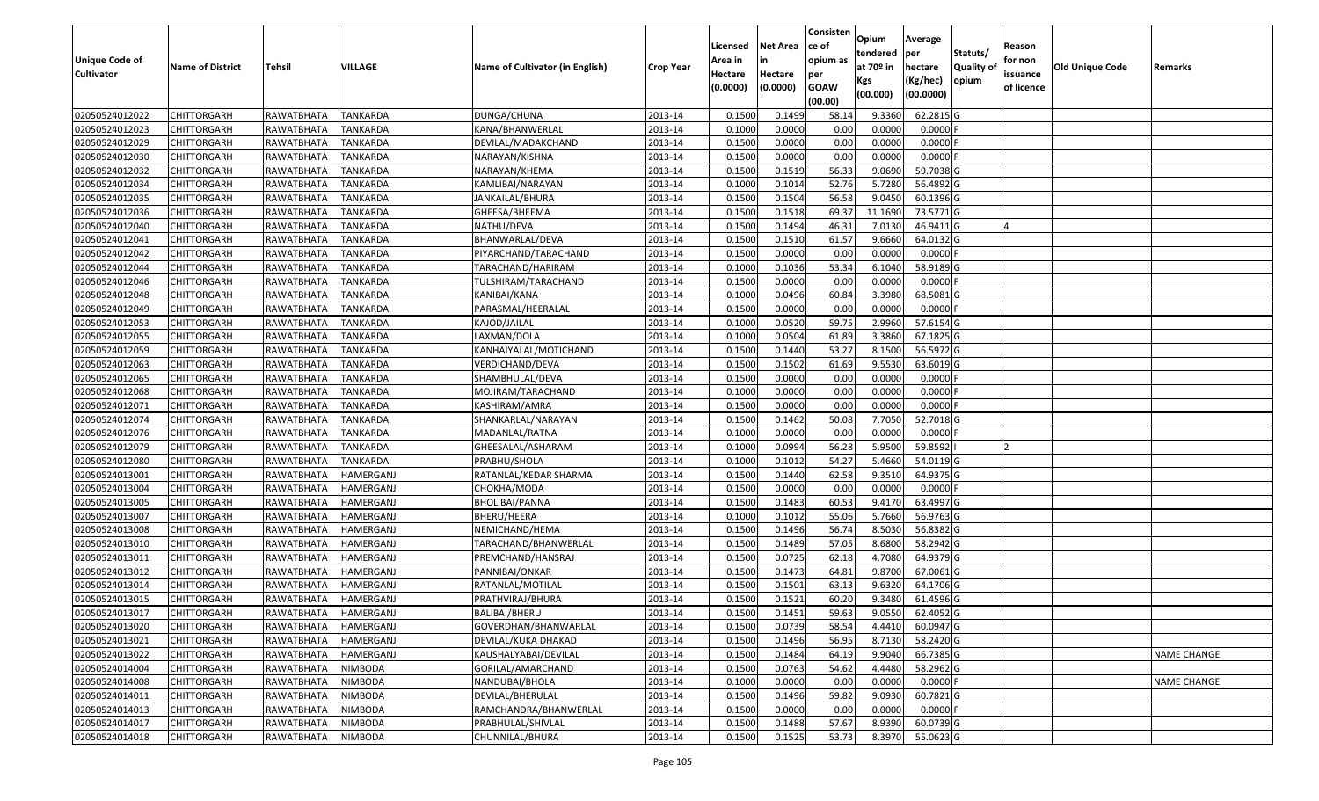|                   |                         |                   |                  |                                 |                  | Licensed | <b>Net Area</b> | Consisten<br>ce of | Opium       | Average    |                  | Reason     |                        |                    |
|-------------------|-------------------------|-------------------|------------------|---------------------------------|------------------|----------|-----------------|--------------------|-------------|------------|------------------|------------|------------------------|--------------------|
| Unique Code of    |                         |                   |                  |                                 |                  | Area in  | in              | opium as           | tendered    | per        | Statuts/         | for non    |                        |                    |
| <b>Cultivator</b> | <b>Name of District</b> | <b>Tehsil</b>     | VILLAGE          | Name of Cultivator (in English) | <b>Crop Year</b> | Hectare  | Hectare         | per                | at $70°$ in | hectare    | <b>Quality o</b> | issuance   | <b>Old Unique Code</b> | Remarks            |
|                   |                         |                   |                  |                                 |                  | (0.0000) | (0.0000)        | <b>GOAW</b>        | Kgs         | (Kg/hec)   | opium            | of licence |                        |                    |
|                   |                         |                   |                  |                                 |                  |          |                 | (00.00)            | (00.000)    | (00.0000)  |                  |            |                        |                    |
| 02050524012022    | CHITTORGARH             | RAWATBHATA        | <b>TANKARDA</b>  | DUNGA/CHUNA                     | 2013-14          | 0.1500   | 0.1499          | 58.14              | 9.3360      | 62.2815 G  |                  |            |                        |                    |
| 02050524012023    | CHITTORGARH             | RAWATBHATA        | <b>TANKARDA</b>  | KANA/BHANWERLAL                 | 2013-14          | 0.1000   | 0.0000          | 0.00               | 0.0000      | $0.0000$ F |                  |            |                        |                    |
| 02050524012029    | CHITTORGARH             | RAWATBHATA        | TANKARDA         | DEVILAL/MADAKCHAND              | 2013-14          | 0.1500   | 0.0000          | 0.00               | 0.0000      | 0.0000     |                  |            |                        |                    |
| 02050524012030    | <b>CHITTORGARH</b>      | <b>RAWATBHATA</b> | <b>TANKARDA</b>  | NARAYAN/KISHNA                  | 2013-14          | 0.1500   | 0.0000          | 0.00               | 0.0000      | 0.0000F    |                  |            |                        |                    |
| 02050524012032    | CHITTORGARH             | RAWATBHATA        | <b>TANKARDA</b>  | NARAYAN/KHEMA                   | 2013-14          | 0.1500   | 0.1519          | 56.33              | 9.0690      | 59.7038 G  |                  |            |                        |                    |
| 02050524012034    | <b>CHITTORGARH</b>      | RAWATBHATA        | <b>TANKARDA</b>  | KAMLIBAI/NARAYAN                | 2013-14          | 0.1000   | 0.1014          | 52.76              | 5.7280      | 56.4892 G  |                  |            |                        |                    |
| 02050524012035    | CHITTORGARH             | RAWATBHATA        | TANKARDA         | JANKAILAL/BHURA                 | 2013-14          | 0.1500   | 0.1504          | 56.58              | 9.045       | 60.1396 G  |                  |            |                        |                    |
| 02050524012036    | CHITTORGARH             | RAWATBHATA        | <b>TANKARDA</b>  | GHEESA/BHEEMA                   | 2013-14          | 0.1500   | 0.1518          | 69.37              | 11.1690     | 73.5771 G  |                  |            |                        |                    |
| 02050524012040    | <b>CHITTORGARH</b>      | RAWATBHATA        | TANKARDA         | NATHU/DEVA                      | 2013-14          | 0.1500   | 0.1494          | 46.31              | 7.0130      | 46.9411G   |                  |            |                        |                    |
| 02050524012041    | CHITTORGARH             | RAWATBHATA        | TANKARDA         | BHANWARLAL/DEVA                 | 2013-14          | 0.1500   | 0.1510          | 61.57              | 9.6660      | 64.0132 G  |                  |            |                        |                    |
| 02050524012042    | CHITTORGARH             | RAWATBHATA        | TANKARDA         | PIYARCHAND/TARACHAND            | 2013-14          | 0.1500   | 0.0000          | 0.00               | 0.0000      | $0.0000$ F |                  |            |                        |                    |
| 02050524012044    | CHITTORGARH             | RAWATBHATA        | <b>TANKARDA</b>  | TARACHAND/HARIRAM               | 2013-14          | 0.1000   | 0.1036          | 53.34              | 6.1040      | 58.9189 G  |                  |            |                        |                    |
| 02050524012046    | <b>CHITTORGARH</b>      | RAWATBHATA        | <b>TANKARDA</b>  | TULSHIRAM/TARACHAND             | 2013-14          | 0.1500   | 0.0000          | 0.00               | 0.0000      | $0.0000$ F |                  |            |                        |                    |
| 02050524012048    | <b>CHITTORGARH</b>      | RAWATBHATA        | <b>TANKARDA</b>  | KANIBAI/KANA                    | 2013-14          | 0.1000   | 0.0496          | 60.84              | 3.3980      | 68.5081 G  |                  |            |                        |                    |
| 02050524012049    | <b>CHITTORGARH</b>      | RAWATBHATA        | <b>TANKARDA</b>  | PARASMAL/HEERALAL               | 2013-14          | 0.1500   | 0.0000          | 0.00               | 0.0000      | $0.0000$ F |                  |            |                        |                    |
| 02050524012053    | <b>CHITTORGARH</b>      | RAWATBHATA        | <b>TANKARDA</b>  | KAJOD/JAILAL                    | 2013-14          | 0.1000   | 0.0520          | 59.75              | 2.9960      | 57.6154 G  |                  |            |                        |                    |
| 02050524012055    | <b>CHITTORGARH</b>      | RAWATBHATA        | <b>TANKARDA</b>  | LAXMAN/DOLA                     | 2013-14          | 0.1000   | 0.0504          | 61.89              | 3.3860      | 67.1825 G  |                  |            |                        |                    |
| 02050524012059    | CHITTORGARH             | RAWATBHATA        | <b>TANKARDA</b>  | KANHAIYALAL/MOTICHAND           | 2013-14          | 0.1500   | 0.1440          | 53.27              | 8.1500      | 56.5972 G  |                  |            |                        |                    |
| 02050524012063    | CHITTORGARH             | RAWATBHATA        | <b>TANKARDA</b>  | VERDICHAND/DEVA                 | 2013-14          | 0.1500   | 0.1502          | 61.69              | 9.5530      | 63.6019G   |                  |            |                        |                    |
| 02050524012065    | CHITTORGARH             | RAWATBHATA        | <b>TANKARDA</b>  | SHAMBHULAL/DEVA                 | 2013-14          | 0.1500   | 0.0000          | 0.00               | 0.0000      | 0.0000     |                  |            |                        |                    |
| 02050524012068    | CHITTORGARH             | RAWATBHATA        | <b>TANKARDA</b>  | MOJIRAM/TARACHAND               | 2013-14          | 0.1000   | 0.0000          | 0.00               | 0.0000      | 0.0000     |                  |            |                        |                    |
| 02050524012071    | CHITTORGARH             | RAWATBHATA        | <b>TANKARDA</b>  | KASHIRAM/AMRA                   | 2013-14          | 0.150    | 0.0000          | 0.00               | 0.0000      | 0.0000     |                  |            |                        |                    |
| 02050524012074    | CHITTORGARH             | RAWATBHATA        | <b>TANKARDA</b>  | SHANKARLAL/NARAYAN              | 2013-14          | 0.1500   | 0.1462          | 50.08              | 7.7050      | 52.7018 G  |                  |            |                        |                    |
| 02050524012076    | <b>CHITTORGARH</b>      | RAWATBHATA        | <b>TANKARDA</b>  | MADANLAL/RATNA                  | 2013-14          | 0.1000   | 0.0000          | 0.00               | 0.0000      | 0.0000     |                  |            |                        |                    |
| 02050524012079    | <b>CHITTORGARH</b>      | RAWATBHATA        | <b>TANKARDA</b>  | GHEESALAL/ASHARAM               | 2013-14          | 0.1000   | 0.0994          | 56.28              | 5.9500      | 59.8592    |                  |            |                        |                    |
| 02050524012080    | CHITTORGARH             | RAWATBHATA        | <b>TANKARDA</b>  | PRABHU/SHOLA                    | 2013-14          | 0.1000   | 0.1012          | 54.27              | 5.4660      | 54.0119 G  |                  |            |                        |                    |
| 02050524013001    | CHITTORGARH             | RAWATBHATA        | HAMERGANJ        | RATANLAL/KEDAR SHARMA           | 2013-14          | 0.1500   | 0.1440          | 62.58              | 9.3510      | 64.9375 G  |                  |            |                        |                    |
| 02050524013004    | CHITTORGARH             | RAWATBHATA        | HAMERGANJ        | СНОКНА/МОDА                     | 2013-14          | 0.1500   | 0.0000          | 0.00               | 0.0000      | $0.0000$ F |                  |            |                        |                    |
| 02050524013005    | CHITTORGARH             | RAWATBHATA        | HAMERGANJ        | BHOLIBAI/PANNA                  | 2013-14          | 0.1500   | 0.1483          | 60.53              | 9.4170      | 63.4997 G  |                  |            |                        |                    |
| 02050524013007    | CHITTORGARH             | RAWATBHATA        | <b>HAMERGANJ</b> | BHERU/HEERA                     | 2013-14          | 0.1000   | 0.1012          | 55.06              | 5.7660      | 56.9763 G  |                  |            |                        |                    |
| 02050524013008    | CHITTORGARH             | RAWATBHATA        | HAMERGANJ        | NEMICHAND/HEMA                  | 2013-14          | 0.1500   | 0.1496          | 56.74              | 8.5030      | 56.8382 G  |                  |            |                        |                    |
| 02050524013010    | CHITTORGARH             | RAWATBHATA        | HAMERGANJ        | TARACHAND/BHANWERLAL            | 2013-14          | 0.1500   | 0.1489          | 57.05              | 8.6800      | 58.2942 G  |                  |            |                        |                    |
| 02050524013011    | CHITTORGARH             | RAWATBHATA        | HAMERGANJ        | PREMCHAND/HANSRAJ               | 2013-14          | 0.1500   | 0.0725          | 62.18              | 4.7080      | 64.9379 G  |                  |            |                        |                    |
| 02050524013012    | <b>CHITTORGARH</b>      | RAWATBHATA        | HAMERGANJ        | PANNIBAI/ONKAR                  | 2013-14          | 0.1500   | 0.1473          | 64.8               | 9.8700      | 67.0061 G  |                  |            |                        |                    |
| 02050524013014    | CHITTORGARH             | RAWATBHATA        | HAMERGANJ        | RATANLAL/MOTILAL                | 2013-14          | 0.1500   | 0.1501          | 63.13              | 9.6320      | 64.1706 G  |                  |            |                        |                    |
| 02050524013015    | CHITTORGARH             | RAWATBHATA        | HAMERGANJ        | PRATHVIRAJ/BHURA                | 2013-14          | 0.1500   | 0.1521          | 60.20              | 9.3480      | 61.4596 G  |                  |            |                        |                    |
| 02050524013017    | <b>CHITTORGARH</b>      | RAWATBHATA        | <b>HAMERGANJ</b> | BALIBAI/BHERU                   | 2013-14          | 0.1500   | 0.1451          | 59.63              | 9.0550      | 62.4052G   |                  |            |                        |                    |
| 02050524013020    | <b>CHITTORGARH</b>      | RAWATBHATA        | HAMERGANJ        | GOVERDHAN/BHANWARLAL            | 2013-14          | 0.1500   | 0.0739          | 58.54              | 4.4410      | 60.0947 G  |                  |            |                        |                    |
| 02050524013021    | <b>CHITTORGARH</b>      | RAWATBHATA        | HAMERGANJ        | DEVILAL/KUKA DHAKAD             | 2013-14          | 0.1500   | 0.1496          | 56.95              | 8.7130      | 58.2420 G  |                  |            |                        |                    |
| 02050524013022    | <b>CHITTORGARH</b>      | RAWATBHATA        | HAMERGANJ        | KAUSHALYABAI/DEVILAL            | 2013-14          | 0.1500   | 0.1484          | 64.19              | 9.9040      | 66.7385 G  |                  |            |                        | <b>NAME CHANGE</b> |
| 02050524014004    | CHITTORGARH             | RAWATBHATA        | <b>NIMBODA</b>   | GORILAL/AMARCHAND               | 2013-14          | 0.1500   | 0.0763          | 54.62              | 4.4480      | 58.2962 G  |                  |            |                        |                    |
| 02050524014008    | <b>CHITTORGARH</b>      | RAWATBHATA        | <b>NIMBODA</b>   | NANDUBAI/BHOLA                  | 2013-14          | 0.1000   | 0.0000          | 0.00               | 0.0000      | $0.0000$ F |                  |            |                        | <b>NAME CHANGE</b> |
| 02050524014011    | <b>CHITTORGARH</b>      | RAWATBHATA        | <b>NIMBODA</b>   | DEVILAL/BHERULAL                | 2013-14          | 0.1500   | 0.1496          | 59.82              | 9.0930      | 60.7821 G  |                  |            |                        |                    |
| 02050524014013    | CHITTORGARH             | RAWATBHATA        | NIMBODA          | RAMCHANDRA/BHANWERLAL           | 2013-14          | 0.1500   | 0.0000          | 0.00               | 0.0000      | $0.0000$ F |                  |            |                        |                    |
| 02050524014017    | <b>CHITTORGARH</b>      | RAWATBHATA        | NIMBODA          | PRABHULAL/SHIVLAL               | 2013-14          | 0.1500   | 0.1488          | 57.67              | 8.9390      | 60.0739 G  |                  |            |                        |                    |
| 02050524014018    | <b>CHITTORGARH</b>      | RAWATBHATA        | <b>NIMBODA</b>   | CHUNNILAL/BHURA                 | 2013-14          | 0.1500   | 0.1525          | 53.73              | 8.3970      | 55.0623 G  |                  |            |                        |                    |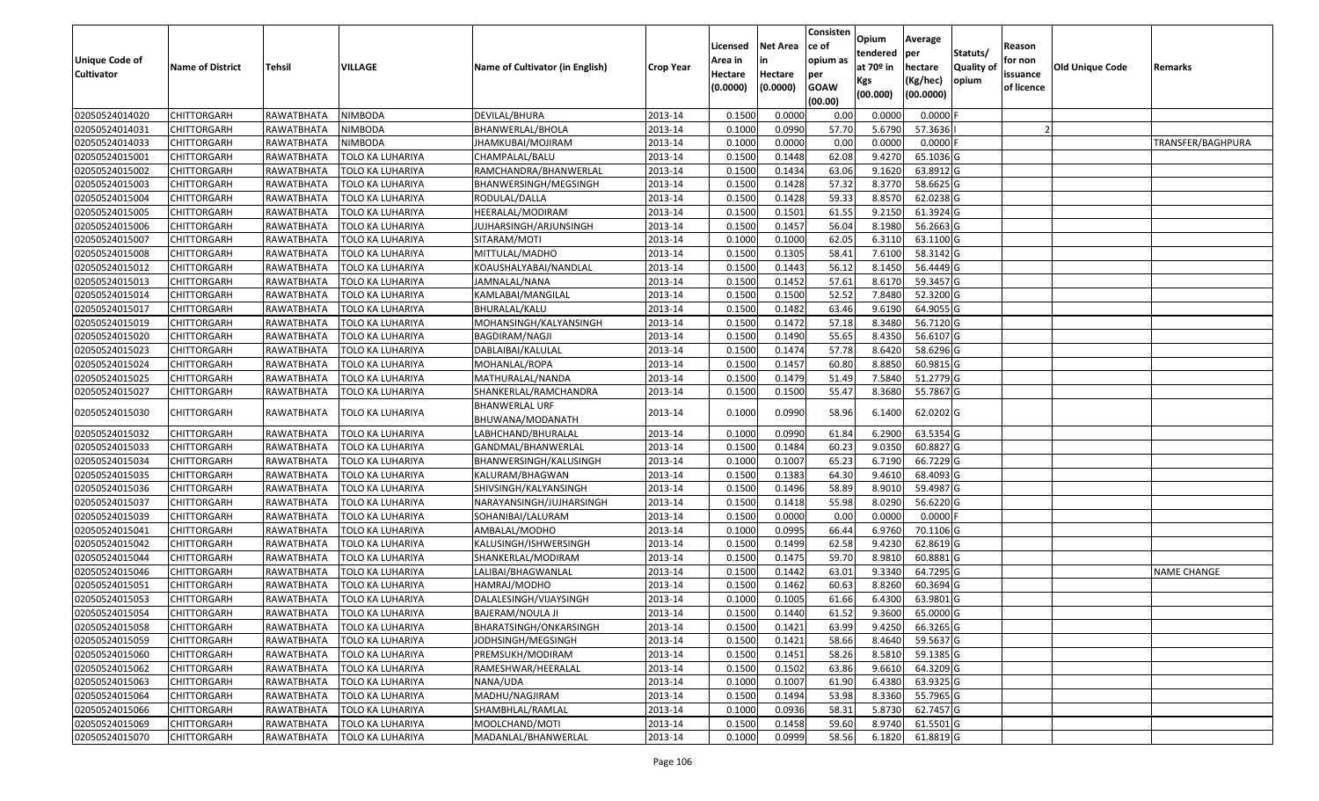| <b>Unique Code of</b><br><b>Cultivator</b> | <b>Name of District</b> | Tehsil     | VILLAGE                 | Name of Cultivator (in English)    | <b>Crop Year</b> | Licensed<br>Area in<br>Hectare<br>(0.0000) | <b>Net Area</b><br>in<br>Hectare<br>(0.0000) | Consisten<br>ce of<br>opium as<br>per<br><b>GOAW</b> | Opium<br>tendered<br>at $70°$ in<br>Kgs | Average<br>per<br>hectare<br>(Kg/hec) | Statuts/<br><b>Quality o</b><br>opium | Reason<br>for non<br>issuance<br>of licence | Old Unique Code | Remarks            |
|--------------------------------------------|-------------------------|------------|-------------------------|------------------------------------|------------------|--------------------------------------------|----------------------------------------------|------------------------------------------------------|-----------------------------------------|---------------------------------------|---------------------------------------|---------------------------------------------|-----------------|--------------------|
|                                            |                         |            |                         |                                    |                  |                                            |                                              | (00.00)                                              | (00.000)                                | (00.0000)                             |                                       |                                             |                 |                    |
| 02050524014020                             | <b>CHITTORGARH</b>      | RAWATBHATA | NIMBODA                 | DEVILAL/BHURA                      | 2013-14          | 0.1500                                     | 0.0000                                       | 0.00                                                 | 0.0000                                  | 0.0000                                |                                       |                                             |                 |                    |
| 02050524014031                             | <b>CHITTORGARH</b>      | RAWATBHATA | NIMBODA                 | BHANWERLAL/BHOLA                   | 2013-14          | 0.1000                                     | 0.0990                                       | 57.70                                                | 5.6790                                  | 57.3636                               |                                       |                                             |                 |                    |
| 02050524014033                             | <b>CHITTORGARH</b>      | RAWATBHATA | NIMBODA                 | IHAMKUBAI/MOJIRAM                  | 2013-14          | 0.1000                                     | 0.0000                                       | 0.00                                                 | 0.0000                                  | 0.0000                                |                                       |                                             |                 | TRANSFER/BAGHPURA  |
| 02050524015001                             | <b>CHITTORGARH</b>      | RAWATBHATA | TOLO KA LUHARIYA        | CHAMPALAL/BALU                     | 2013-14          | 0.1500                                     | 0.1448                                       | 62.08                                                | 9.4270                                  | 65.1036 G                             |                                       |                                             |                 |                    |
| 02050524015002                             | <b>CHITTORGARH</b>      | RAWATBHATA | TOLO KA LUHARIYA        | RAMCHANDRA/BHANWERLAL              | 2013-14          | 0.1500                                     | 0.1434                                       | 63.06                                                | 9.1620                                  | 63.8912 G                             |                                       |                                             |                 |                    |
| 02050524015003                             | <b>CHITTORGARH</b>      | RAWATBHATA | TOLO KA LUHARIYA        | BHANWERSINGH/MEGSINGH              | 2013-14          | 0.1500                                     | 0.1428                                       | 57.32                                                | 8.3770                                  | 58.6625 G                             |                                       |                                             |                 |                    |
| 02050524015004                             | CHITTORGARH             | RAWATBHATA | TOLO KA LUHARIYA        | RODULAL/DALLA                      | 2013-14          | 0.1500                                     | 0.1428                                       | 59.33                                                | 8.8570                                  | 62.0238 G                             |                                       |                                             |                 |                    |
| 02050524015005                             | <b>CHITTORGARH</b>      | RAWATBHATA | TOLO KA LUHARIYA        | HEERALAL/MODIRAM                   | 2013-14          | 0.1500                                     | 0.1501                                       | 61.55                                                | 9.2150                                  | 61.3924 G                             |                                       |                                             |                 |                    |
| 02050524015006                             | <b>CHITTORGARH</b>      | RAWATBHATA | TOLO KA LUHARIYA        | JUJHARSINGH/ARJUNSINGH             | 2013-14          | 0.1500                                     | 0.1457                                       | 56.04                                                | 8.1980                                  | 56.2663 G                             |                                       |                                             |                 |                    |
| 02050524015007                             | <b>CHITTORGARH</b>      | RAWATBHATA | TOLO KA LUHARIYA        | SITARAM/MOTI                       | 2013-14          | 0.1000                                     | 0.1000                                       | 62.05                                                | 6.3110                                  | 63.1100 G                             |                                       |                                             |                 |                    |
| 02050524015008                             | <b>CHITTORGARH</b>      | RAWATBHATA | TOLO KA LUHARIYA        | MITTULAL/MADHO                     | 2013-14          | 0.1500                                     | 0.1305                                       | 58.41                                                | 7.6100                                  | 58.3142 G                             |                                       |                                             |                 |                    |
| 02050524015012                             | <b>CHITTORGARH</b>      | RAWATBHATA | TOLO KA LUHARIYA        | KOAUSHALYABAI/NANDLAL              | 2013-14          | 0.1500                                     | 0.1443                                       | 56.12                                                | 8.1450                                  | 56.4449 G                             |                                       |                                             |                 |                    |
| 02050524015013                             | <b>CHITTORGARH</b>      | RAWATBHATA | TOLO KA LUHARIYA        | JAMNALAL/NANA                      | 2013-14          | 0.1500                                     | 0.1452                                       | 57.61                                                | 8.6170                                  | 59.3457 G                             |                                       |                                             |                 |                    |
| 02050524015014                             | <b>CHITTORGARH</b>      | RAWATBHATA | TOLO KA LUHARIYA        | KAMLABAI/MANGILAL                  | 2013-14          | 0.1500                                     | 0.1500                                       | 52.52                                                | 7.8480                                  | 52.3200 G                             |                                       |                                             |                 |                    |
| 02050524015017                             | CHITTORGARH             | RAWATBHATA | TOLO KA LUHARIYA        | BHURALAL/KALU                      | 2013-14          | 0.1500                                     | 0.1482                                       | 63.46                                                | 9.6190                                  | 64.9055 G                             |                                       |                                             |                 |                    |
| 02050524015019                             | <b>CHITTORGARH</b>      | RAWATBHATA | TOLO KA LUHARIYA        | MOHANSINGH/KALYANSINGH             | 2013-14          | 0.1500                                     | 0.1472                                       | 57.18                                                | 8.3480                                  | 56.7120 G                             |                                       |                                             |                 |                    |
| 02050524015020                             | <b>CHITTORGARH</b>      | RAWATBHATA | TOLO KA LUHARIYA        | BAGDIRAM/NAGJI                     | 2013-14          | 0.1500                                     | 0.1490                                       | 55.65                                                | 8.4350                                  | 56.6107 G                             |                                       |                                             |                 |                    |
| 02050524015023                             | <b>CHITTORGARH</b>      | RAWATBHATA | TOLO KA LUHARIYA        | DABLAIBAI/KALULAL                  | 2013-14          | 0.1500                                     | 0.1474                                       | 57.78                                                | 8.6420                                  | 58.6296 G                             |                                       |                                             |                 |                    |
| 02050524015024                             | <b>CHITTORGARH</b>      | RAWATBHATA | TOLO KA LUHARIYA        | MOHANLAL/ROPA                      | 2013-14          | 0.1500                                     | 0.1457                                       | 60.80                                                | 8.8850                                  | 60.9815 G                             |                                       |                                             |                 |                    |
| 02050524015025                             | <b>CHITTORGARH</b>      | RAWATBHATA | TOLO KA LUHARIYA        | MATHURALAL/NANDA                   | 2013-14          | 0.1500                                     | 0.1479                                       | 51.49                                                | 7.5840                                  | 51.2779 G                             |                                       |                                             |                 |                    |
| 02050524015027                             | <b>CHITTORGARH</b>      | RAWATBHATA | TOLO KA LUHARIYA        | SHANKERLAL/RAMCHANDRA              | 2013-14          | 0.1500                                     | 0.1500                                       | 55.47                                                | 8.3680                                  | 55.7867 G                             |                                       |                                             |                 |                    |
| 02050524015030                             | <b>CHITTORGARH</b>      | RAWATBHATA | TOLO KA LUHARIYA        | BHANWERLAL URF<br>BHUWANA/MODANATH | 2013-14          | 0.1000                                     | 0.0990                                       | 58.96                                                | 6.1400                                  | 62.0202 G                             |                                       |                                             |                 |                    |
| 02050524015032                             | <b>CHITTORGARH</b>      | RAWATBHATA | TOLO KA LUHARIYA        | LABHCHAND/BHURALAL                 | 2013-14          | 0.1000                                     | 0.0990                                       | 61.84                                                | 6.2900                                  | 63.5354 G                             |                                       |                                             |                 |                    |
| 02050524015033                             | <b>CHITTORGARH</b>      | RAWATBHATA | TOLO KA LUHARIYA        | GANDMAL/BHANWERLAL                 | 2013-14          | 0.1500                                     | 0.1484                                       | 60.23                                                | 9.0350                                  | 60.8827 G                             |                                       |                                             |                 |                    |
| 02050524015034                             | <b>CHITTORGARH</b>      | RAWATBHATA | TOLO KA LUHARIYA        | BHANWERSINGH/KALUSINGH             | 2013-14          | 0.1000                                     | 0.1007                                       | 65.23                                                | 6.7190                                  | 66.7229 G                             |                                       |                                             |                 |                    |
| 02050524015035                             | <b>CHITTORGARH</b>      | RAWATBHATA | TOLO KA LUHARIYA        | KALURAM/BHAGWAN                    | 2013-14          | 0.1500                                     | 0.1383                                       | 64.30                                                | 9.4610                                  | 68.4093 G                             |                                       |                                             |                 |                    |
| 02050524015036                             | <b>CHITTORGARH</b>      | RAWATBHATA | TOLO KA LUHARIYA        | SHIVSINGH/KALYANSINGH              | 2013-14          | 0.1500                                     | 0.1496                                       | 58.89                                                | 8.9010                                  | 59.4987 G                             |                                       |                                             |                 |                    |
| 02050524015037                             | <b>CHITTORGARH</b>      | RAWATBHATA | TOLO KA LUHARIYA        | NARAYANSINGH/JUJHARSINGH           | 2013-14          | 0.1500                                     | 0.1418                                       | 55.98                                                | 8.0290                                  | 56.6220 G                             |                                       |                                             |                 |                    |
| 02050524015039                             | <b>CHITTORGARH</b>      | RAWATBHATA | TOLO KA LUHARIYA        | SOHANIBAI/LALURAM                  | 2013-14          | 0.1500                                     | 0.0000                                       | 0.00                                                 | 0.0000                                  | 0.0000                                |                                       |                                             |                 |                    |
| 02050524015041                             | <b>CHITTORGARH</b>      | RAWATBHATA | TOLO KA LUHARIYA        | AMBALAL/MODHO                      | 2013-14          | 0.1000                                     | 0.0995                                       | 66.44                                                | 6.9760                                  | 70.1106 G                             |                                       |                                             |                 |                    |
| 02050524015042                             | <b>CHITTORGARH</b>      | RAWATBHATA | TOLO KA LUHARIYA        | KALUSINGH/ISHWERSINGH              | 2013-14          | 0.1500                                     | 0.1499                                       | 62.58                                                | 9.4230                                  | 62.8619 G                             |                                       |                                             |                 |                    |
| 02050524015044                             | <b>CHITTORGARH</b>      | RAWATBHATA | TOLO KA LUHARIYA        | SHANKERLAL/MODIRAM                 | 2013-14          | 0.1500                                     | 0.1475                                       | 59.70                                                | 8.9810                                  | 60.8881 G                             |                                       |                                             |                 |                    |
| 02050524015046                             | <b>CHITTORGARH</b>      | RAWATBHATA | TOLO KA LUHARIYA        | LALIBAI/BHAGWANLAL                 | 2013-14          | 0.1500                                     | 0.1442                                       | 63.01                                                | 9.3340                                  | 64.7295 G                             |                                       |                                             |                 | <b>NAME CHANGE</b> |
| 02050524015051                             | <b>CHITTORGARH</b>      | RAWATBHATA | TOLO KA LUHARIYA        | HAMRAJ/MODHO                       | 2013-14          | 0.1500                                     | 0.1462                                       | 60.63                                                | 8.8260                                  | 60.3694 G                             |                                       |                                             |                 |                    |
| 02050524015053                             | <b>CHITTORGARH</b>      | RAWATBHATA | TOLO KA LUHARIYA        | DALALESINGH/VIJAYSINGH             | 2013-14          | 0.1000                                     | 0.1005                                       | 61.66                                                | 6.4300                                  | 63.9801 G                             |                                       |                                             |                 |                    |
| 02050524015054                             | <b>CHITTORGARH</b>      | RAWATBHATA | <b>TOLO KA LUHARIYA</b> | <b>BAJERAM/NOULA JI</b>            | 2013-14          | 0.1500                                     | 0.1440                                       | 61.52                                                | 9.3600                                  | 65.0000G                              |                                       |                                             |                 |                    |
| 02050524015058                             | <b>CHITTORGARH</b>      | RAWATBHATA | TOLO KA LUHARIYA        | BHARATSINGH/ONKARSINGH             | 2013-14          | 0.1500                                     | 0.1421                                       | 63.99                                                | 9.4250                                  | 66.3265 G                             |                                       |                                             |                 |                    |
| 02050524015059                             | <b>CHITTORGARH</b>      | RAWATBHATA | TOLO KA LUHARIYA        | JODHSINGH/MEGSINGH                 | 2013-14          | 0.1500                                     | 0.1421                                       | 58.66                                                | 8.4640                                  | 59.5637 G                             |                                       |                                             |                 |                    |
| 02050524015060                             | <b>CHITTORGARH</b>      | RAWATBHATA | TOLO KA LUHARIYA        | PREMSUKH/MODIRAM                   | 2013-14          | 0.1500                                     | 0.1451                                       | 58.26                                                | 8.5810                                  | 59.1385 G                             |                                       |                                             |                 |                    |
| 02050524015062                             | <b>CHITTORGARH</b>      | RAWATBHATA | <b>TOLO KA LUHARIYA</b> | RAMESHWAR/HEERALAL                 | 2013-14          | 0.1500                                     | 0.1502                                       | 63.86                                                | 9.6610                                  | 64.3209 G                             |                                       |                                             |                 |                    |
| 02050524015063                             | <b>CHITTORGARH</b>      | RAWATBHATA | <b>TOLO KA LUHARIYA</b> | NANA/UDA                           | 2013-14          | 0.1000                                     | 0.1007                                       | 61.90                                                | 6.4380                                  | 63.9325 G                             |                                       |                                             |                 |                    |
| 02050524015064                             | <b>CHITTORGARH</b>      | RAWATBHATA | TOLO KA LUHARIYA        | MADHU/NAGJIRAM                     | 2013-14          | 0.1500                                     | 0.1494                                       | 53.98                                                | 8.3360                                  | 55.7965 G                             |                                       |                                             |                 |                    |
| 02050524015066                             | <b>CHITTORGARH</b>      | RAWATBHATA | TOLO KA LUHARIYA        | SHAMBHLAL/RAMLAL                   | 2013-14          | 0.1000                                     | 0.0936                                       | 58.31                                                | 5.8730                                  | 62.7457 G                             |                                       |                                             |                 |                    |
| 02050524015069                             | <b>CHITTORGARH</b>      | RAWATBHATA | TOLO KA LUHARIYA        | MOOLCHAND/MOTI                     | 2013-14          | 0.1500                                     | 0.1458                                       | 59.60                                                | 8.9740                                  | 61.5501G                              |                                       |                                             |                 |                    |
| 02050524015070                             | <b>CHITTORGARH</b>      | RAWATBHATA | TOLO KA LUHARIYA        | MADANLAL/BHANWERLAL                | 2013-14          | 0.1000                                     | 0.0999                                       | 58.56                                                |                                         | 6.1820 61.8819 G                      |                                       |                                             |                 |                    |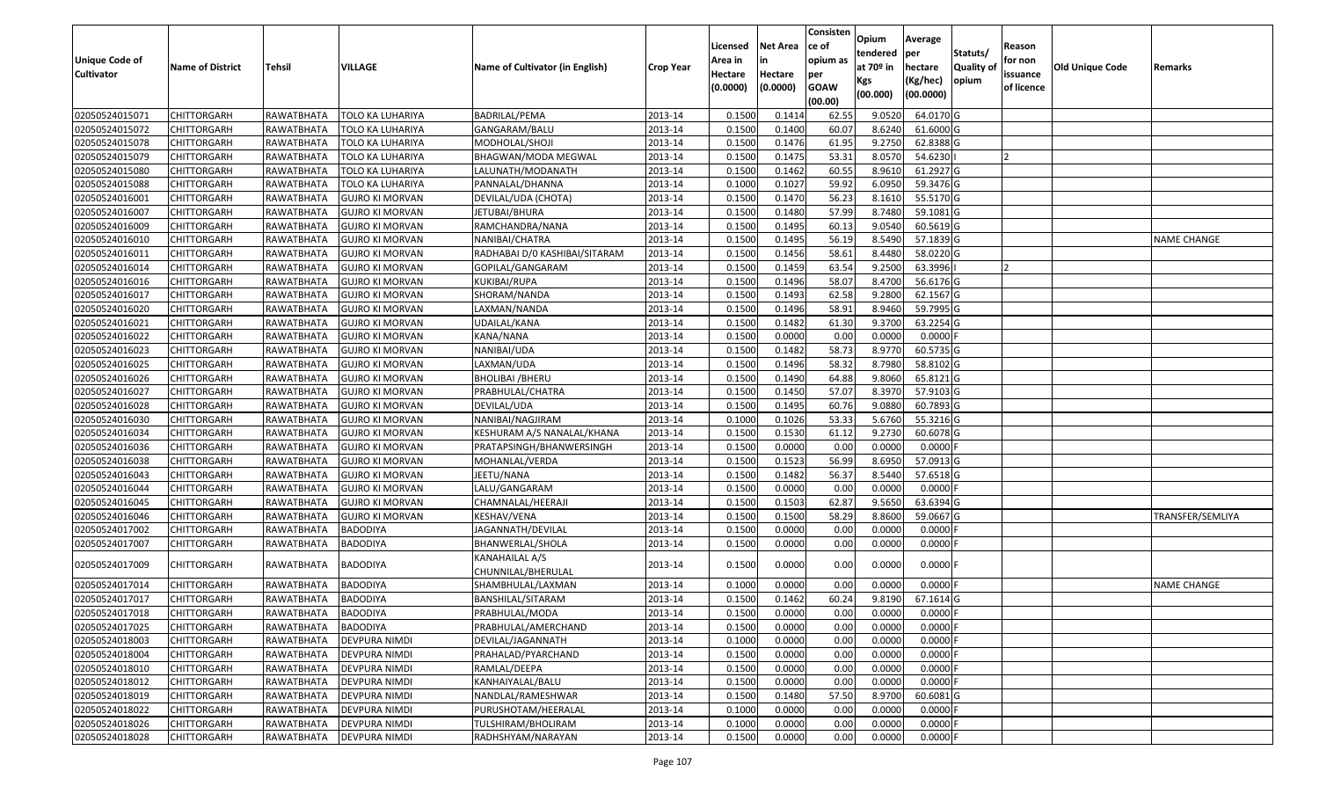| <b>Unique Code of</b> | <b>Name of District</b> | <b>Tehsil</b> | <b>VILLAGE</b>          | <b>Name of Cultivator (in English)</b> | <b>Crop Year</b> | Licensed<br>Area in | <b>Net Area</b>     | Consisten<br>ce of<br>opium as | Opium<br>tendered<br>at $70°$ in | Average<br>per<br>hectare | Statuts/<br>Quality of | Reason<br>for non      | <b>Old Unique Code</b> | Remarks            |
|-----------------------|-------------------------|---------------|-------------------------|----------------------------------------|------------------|---------------------|---------------------|--------------------------------|----------------------------------|---------------------------|------------------------|------------------------|------------------------|--------------------|
| <b>Cultivator</b>     |                         |               |                         |                                        |                  | Hectare<br>(0.0000) | Hectare<br>(0.0000) | per<br><b>GOAW</b><br>(00.00)  | Kgs<br>(00.000)                  | (Kg/hec)<br>(00.0000)     | opium                  | issuance<br>of licence |                        |                    |
| 02050524015071        | <b>CHITTORGARH</b>      | RAWATBHATA    | TOLO KA LUHARIYA        | <b>BADRILAL/PEMA</b>                   | 2013-14          | 0.1500              | 0.1414              | 62.55                          | 9.0520                           | 64.0170 G                 |                        |                        |                        |                    |
| 02050524015072        | CHITTORGARH             | RAWATBHATA    | <b>TOLO KA LUHARIYA</b> | GANGARAM/BALU                          | 2013-14          | 0.1500              | 0.1400              | 60.07                          | 8.6240                           | 61.6000 G                 |                        |                        |                        |                    |
| 02050524015078        | <b>CHITTORGARH</b>      | RAWATBHATA    | TOLO KA LUHARIYA        | MODHOLAL/SHOJI                         | 2013-14          | 0.1500              | 0.1476              | 61.95                          | 9.2750                           | 62.8388 G                 |                        |                        |                        |                    |
| 02050524015079        | <b>CHITTORGARH</b>      | RAWATBHATA    | <b>TOLO KA LUHARIYA</b> | BHAGWAN/MODA MEGWAL                    | 2013-14          | 0.1500              | 0.1475              | 53.31                          | 8.0570                           | 54.6230                   |                        | l 2                    |                        |                    |
| 02050524015080        | <b>CHITTORGARH</b>      | RAWATBHATA    | TOLO KA LUHARIYA        | LALUNATH/MODANATH                      | 2013-14          | 0.1500              | 0.1462              | 60.55                          | 8.9610                           | 61.2927 G                 |                        |                        |                        |                    |
| 02050524015088        | <b>CHITTORGARH</b>      | RAWATBHATA    | <b>TOLO KA LUHARIYA</b> | PANNALAL/DHANNA                        | 2013-14          | 0.1000              | 0.1027              | 59.92                          | 6.0950                           | 59.3476 G                 |                        |                        |                        |                    |
| 02050524016001        | CHITTORGARH             | RAWATBHATA    | <b>GUJRO KI MORVAN</b>  | DEVILAL/UDA (CHOTA)                    | 2013-14          | 0.1500              | 0.1470              | 56.23                          | 8.1610                           | 55.5170 G                 |                        |                        |                        |                    |
| 02050524016007        | <b>CHITTORGARH</b>      | RAWATBHATA    | <b>GUJRO KI MORVAN</b>  | JETUBAI/BHURA                          | 2013-14          | 0.1500              | 0.1480              | 57.99                          | 8.7480                           | 59.1081 G                 |                        |                        |                        |                    |
| 02050524016009        | CHITTORGARH             | RAWATBHATA    | <b>GUJRO KI MORVAN</b>  | RAMCHANDRA/NANA                        | 2013-14          | 0.1500              | 0.1495              | 60.13                          | 9.0540                           | 60.5619 G                 |                        |                        |                        |                    |
| 02050524016010        | CHITTORGARH             | RAWATBHATA    | <b>GUJRO KI MORVAN</b>  | NANIBAI/CHATRA                         | 2013-14          | 0.1500              | 0.1495              | 56.19                          | 8.5490                           | 57.1839 G                 |                        |                        |                        | <b>NAME CHANGE</b> |
| 02050524016011        | <b>CHITTORGARH</b>      | RAWATBHATA    | <b>GUJRO KI MORVAN</b>  | RADHABAI D/0 KASHIBAI/SITARAM          | 2013-14          | 0.1500              | 0.1456              | 58.61                          | 8.4480                           | 58.0220 G                 |                        |                        |                        |                    |
| 02050524016014        | <b>CHITTORGARH</b>      | RAWATBHATA    | <b>GUJRO KI MORVAN</b>  | GOPILAL/GANGARAM                       | 2013-14          | 0.1500              | 0.1459              | 63.54                          | 9.2500                           | 63.3996                   |                        | 12                     |                        |                    |
| 02050524016016        | <b>CHITTORGARH</b>      | RAWATBHATA    | <b>GUJRO KI MORVAN</b>  | KUKIBAI/RUPA                           | 2013-14          | 0.1500              | 0.1496              | 58.07                          | 8.4700                           | 56.6176 G                 |                        |                        |                        |                    |
| 02050524016017        | <b>CHITTORGARH</b>      | RAWATBHATA    | <b>GUJRO KI MORVAN</b>  | SHORAM/NANDA                           | 2013-14          | 0.1500              | 0.1493              | 62.58                          | 9.2800                           | 62.1567 G                 |                        |                        |                        |                    |
| 02050524016020        | <b>CHITTORGARH</b>      | RAWATBHATA    | <b>GUJRO KI MORVAN</b>  | LAXMAN/NANDA                           | 2013-14          | 0.1500              | 0.1496              | 58.91                          | 8.9460                           | 59.7995 G                 |                        |                        |                        |                    |
| 02050524016021        | <b>CHITTORGARH</b>      | RAWATBHATA    | <b>GUJRO KI MORVAN</b>  | UDAILAL/KANA                           | 2013-14          | 0.1500              | 0.1482              | 61.30                          | 9.3700                           | 63.2254 G                 |                        |                        |                        |                    |
| 02050524016022        | <b>CHITTORGARH</b>      | RAWATBHATA    | <b>GUJRO KI MORVAN</b>  | KANA/NANA                              | 2013-14          | 0.1500              | 0.0000              | 0.00                           | 0.0000                           | $0.0000$ F                |                        |                        |                        |                    |
| 02050524016023        | <b>CHITTORGARH</b>      | RAWATBHATA    | <b>GUJRO KI MORVAN</b>  | NANIBAI/UDA                            | 2013-14          | 0.1500              | 0.1482              | 58.73                          | 8.9770                           | 60.5735 G                 |                        |                        |                        |                    |
| 02050524016025        | CHITTORGARH             | RAWATBHATA    | <b>GUJRO KI MORVAN</b>  | LAXMAN/UDA                             | 2013-14          | 0.1500              | 0.1496              | 58.32                          | 8.7980                           | 58.8102 G                 |                        |                        |                        |                    |
| 02050524016026        | <b>CHITTORGARH</b>      | RAWATBHATA    | <b>GUJRO KI MORVAN</b>  | BHOLIBAI /BHERU                        | 2013-14          | 0.1500              | 0.1490              | 64.88                          | 9.8060                           | 65.8121 G                 |                        |                        |                        |                    |
| 02050524016027        | <b>CHITTORGARH</b>      | RAWATBHATA    | <b>GUJRO KI MORVAN</b>  | PRABHULAL/CHATRA                       | 2013-14          | 0.1500              | 0.1450              | 57.07                          | 8.3970                           | 57.9103 G                 |                        |                        |                        |                    |
| 02050524016028        | <b>CHITTORGARH</b>      | RAWATBHATA    | <b>GUJRO KI MORVAN</b>  | DEVILAL/UDA                            | 2013-14          | 0.1500              | 0.1495              | 60.76                          | 9.0880                           | 60.7893 G                 |                        |                        |                        |                    |
| 02050524016030        | CHITTORGARH             | RAWATBHATA    | <b>GUJRO KI MORVAN</b>  | NANIBAI/NAGJIRAM                       | 2013-14          | 0.1000              | 0.1026              | 53.33                          | 5.6760                           | 55.3216 G                 |                        |                        |                        |                    |
| 02050524016034        | <b>CHITTORGARH</b>      | RAWATBHATA    | <b>GUJRO KI MORVAN</b>  | KESHURAM A/S NANALAL/KHANA             | 2013-14          | 0.1500              | 0.1530              | 61.12                          | 9.2730                           | 60.6078 G                 |                        |                        |                        |                    |
| 02050524016036        | <b>CHITTORGARH</b>      | RAWATBHATA    | <b>GUJRO KI MORVAN</b>  | PRATAPSINGH/BHANWERSINGH               | 2013-14          | 0.1500              | 0.0000              | 0.00                           | 0.0000                           | $0.0000$ F                |                        |                        |                        |                    |
| 02050524016038        | <b>CHITTORGARH</b>      | RAWATBHATA    | <b>GUJRO KI MORVAN</b>  | MOHANLAL/VERDA                         | 2013-14          | 0.1500              | 0.1523              | 56.99                          | 8.6950                           | 57.0913 G                 |                        |                        |                        |                    |
| 02050524016043        | <b>CHITTORGARH</b>      | RAWATBHATA    | <b>GUJRO KI MORVAN</b>  | JEETU/NANA                             | 2013-14          | 0.1500              | 0.1482              | 56.37                          | 8.5440                           | 57.6518 G                 |                        |                        |                        |                    |
| 02050524016044        | <b>CHITTORGARH</b>      | RAWATBHATA    | <b>GUJRO KI MORVAN</b>  | LALU/GANGARAM                          | 2013-14          | 0.1500              | 0.0000              | 0.00                           | 0.0000                           | $0.0000$ F                |                        |                        |                        |                    |
| 02050524016045        | <b>CHITTORGARH</b>      | RAWATBHATA    | <b>GUJRO KI MORVAN</b>  | CHAMNALAL/HEERAJI                      | 2013-14          | 0.1500              | 0.1503              | 62.87                          | 9.5650                           | 63.6394 G                 |                        |                        |                        |                    |
| 02050524016046        | <b>CHITTORGARH</b>      | RAWATBHATA    | <b>GUJRO KI MORVAN</b>  | KESHAV/VENA                            | 2013-14          | 0.1500              | 0.1500              | 58.29                          | 8.8600                           | 59.0667 G                 |                        |                        |                        | TRANSFER/SEMLIYA   |
| 02050524017002        | <b>CHITTORGARH</b>      | RAWATBHATA    | <b>BADODIYA</b>         | JAGANNATH/DEVILAL                      | 2013-14          | 0.1500              | 0.0000              | 0.00                           | 0.0000                           | 0.0000F                   |                        |                        |                        |                    |
| 02050524017007        | CHITTORGARH             | RAWATBHATA    | BADODIYA                | BHANWERLAL/SHOLA                       | 2013-14          | 0.1500              | 0.0000              | 0.00                           | 0.0000                           | 0.0000                    |                        |                        |                        |                    |
| 02050524017009        | CHITTORGARH             | RAWATBHATA    | BADODIYA                | KANAHAILAL A/S<br>CHUNNILAL/BHERULAL   | 2013-14          | 0.1500              | 0.0000              | 0.00                           | 0.0000                           | $0.0000$ F                |                        |                        |                        |                    |
| 02050524017014        | CHITTORGARH             | RAWATBHATA    | <b>BADODIYA</b>         | SHAMBHULAL/LAXMAN                      | 2013-14          | 0.100               | 0.0000              | 0.00                           | 0.0000                           | $0.0000$ F                |                        |                        |                        | <b>NAME CHANGE</b> |
| 02050524017017        | <b>CHITTORGARH</b>      | RAWATBHATA    | <b>BADODIYA</b>         | BANSHILAL/SITARAM                      | 2013-14          | 0.1500              | 0.1462              | 60.24                          | 9.8190                           | 67.1614 G                 |                        |                        |                        |                    |
| 02050524017018        | <b>CHITTORGARH</b>      | RAWATBHATA    | <b>BADODIYA</b>         | PRABHULAL/MODA                         | 2013-14          | 0.1500              | 0.0000              | 0.00                           | 0.0000                           | 0.0000 F                  |                        |                        |                        |                    |
| 02050524017025        | <b>CHITTORGARH</b>      | RAWATBHATA    | BADODIYA                | PRABHULAL/AMERCHAND                    | 2013-14          | 0.1500              | 0.0000              | 0.00                           | 0.0000                           | $0.0000$ F                |                        |                        |                        |                    |
| 02050524018003        | <b>CHITTORGARH</b>      | RAWATBHATA    | <b>DEVPURA NIMDI</b>    | DEVILAL/JAGANNATH                      | 2013-14          | 0.1000              | 0.0000              | 0.00                           | 0.0000                           | 0.0000F                   |                        |                        |                        |                    |
| 02050524018004        | CHITTORGARH             | RAWATBHATA    | <b>DEVPURA NIMDI</b>    | PRAHALAD/PYARCHAND                     | 2013-14          | 0.1500              | 0.0000              | 0.00                           | 0.0000                           | $0.0000$ F                |                        |                        |                        |                    |
| 02050524018010        | CHITTORGARH             | RAWATBHATA    | <b>DEVPURA NIMDI</b>    | RAMLAL/DEEPA                           | 2013-14          | 0.1500              | 0.0000              | 0.00                           | 0.0000                           | 0.0000                    |                        |                        |                        |                    |
| 02050524018012        | <b>CHITTORGARH</b>      | RAWATBHATA    | <b>DEVPURA NIMDI</b>    | KANHAIYALAL/BALU                       | 2013-14          | 0.1500              | 0.0000              | 0.00                           | 0.0000                           | $0.0000$ F                |                        |                        |                        |                    |
| 02050524018019        | <b>CHITTORGARH</b>      | RAWATBHATA    | <b>DEVPURA NIMDI</b>    | NANDLAL/RAMESHWAR                      | 2013-14          | 0.1500              | 0.1480              | 57.50                          | 8.9700                           | 60.6081G                  |                        |                        |                        |                    |
| 02050524018022        | <b>CHITTORGARH</b>      | RAWATBHATA    | DEVPURA NIMDI           | PURUSHOTAM/HEERALAL                    | 2013-14          | 0.1000              | 0.0000              | 0.00                           | 0.0000                           | $0.0000$ F                |                        |                        |                        |                    |
| 02050524018026        | <b>CHITTORGARH</b>      | RAWATBHATA    | <b>DEVPURA NIMDI</b>    | TULSHIRAM/BHOLIRAM                     | 2013-14          | 0.1000              | 0.0000              | 0.00                           | 0.0000                           | 0.0000F                   |                        |                        |                        |                    |
| 02050524018028        | <b>CHITTORGARH</b>      | RAWATBHATA    | <b>DEVPURA NIMDI</b>    | RADHSHYAM/NARAYAN                      | 2013-14          | 0.1500              | 0.0000              | 0.00                           | 0.0000                           | $0.0000$ F                |                        |                        |                        |                    |